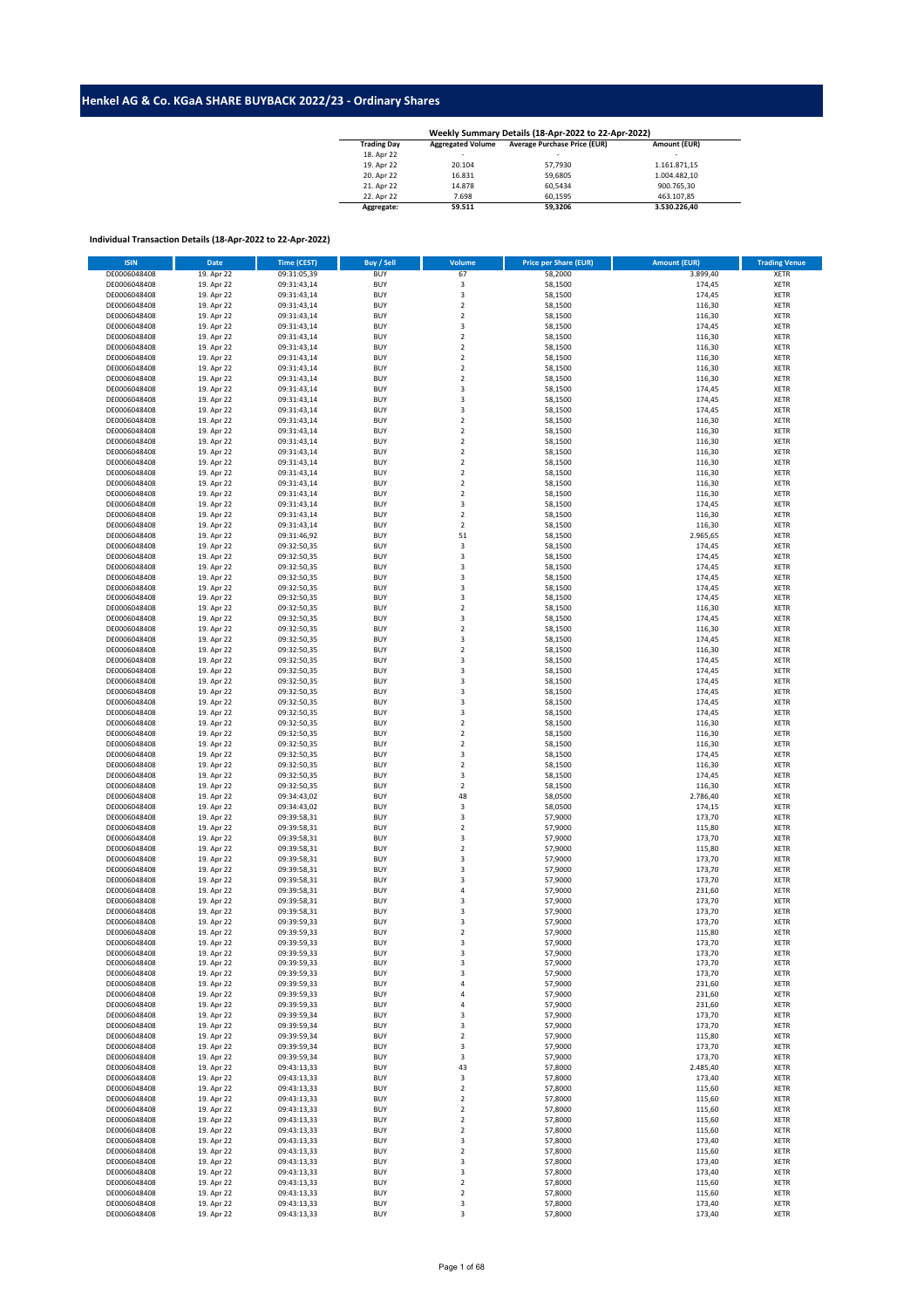## **Henkel AG & Co. KGaA SHARE BUYBACK 2022/23 - Ordinary Shares**

| <b>Trading Day</b> | <b>Aggregated Volume</b> | <b>Average Purchase Price (EUR)</b> | Amount (EUR) |
|--------------------|--------------------------|-------------------------------------|--------------|
| 18. Apr 22         | ۰                        | ۰                                   |              |
| 19. Apr 22         | 20.104                   | 57.7930                             | 1.161.871.15 |
| 20. Apr 22         | 16.831                   | 59,6805                             | 1.004.482.10 |
| 21. Apr 22         | 14.878                   | 60.5434                             | 900.765.30   |
| 22. Apr 22         | 7.698                    | 60.1595                             | 463.107.85   |
| Aggregate:         | 59.511                   | 59.3206                             | 3.530.226.40 |

## **Individual Transaction Details (18-Apr-2022 to 22-Apr-2022)**

| <b>ISIN</b>  | Date       | <b>Time (CEST)</b> | <b>Buy / Sell</b> | Volume                  | <b>Price per Share (EUR)</b> | Amount (EUR) | <b>Trading Venue</b> |
|--------------|------------|--------------------|-------------------|-------------------------|------------------------------|--------------|----------------------|
| DE0006048408 | 19. Apr 22 | 09:31:05,39        | <b>BUY</b>        | 67                      | 58,2000                      | 3.899,40     | <b>XETR</b>          |
| DE0006048408 | 19. Apr 22 | 09:31:43,14        | <b>BUY</b>        | 3                       | 58,1500                      | 174,45       | <b>XETR</b>          |
|              | 19. Apr 22 |                    |                   | $\mathsf 3$             |                              |              |                      |
| DE0006048408 |            | 09:31:43,14        | <b>BUY</b>        |                         | 58,1500                      | 174,45       | <b>XETR</b>          |
| DE0006048408 | 19. Apr 22 | 09:31:43,14        | <b>BUY</b>        | $\mathbf 2$             | 58,1500                      | 116,30       | XETR                 |
| DE0006048408 | 19. Apr 22 | 09:31:43,14        | <b>BUY</b>        | $\mathbf 2$             | 58,1500                      | 116,30       | <b>XETR</b>          |
| DE0006048408 | 19. Apr 22 | 09:31:43,14        | <b>BUY</b>        | $\overline{\mathbf{3}}$ | 58,1500                      | 174,45       | <b>XETR</b>          |
| DE0006048408 | 19. Apr 22 | 09:31:43,14        | <b>BUY</b>        | $\overline{2}$          | 58,1500                      | 116,30       | <b>XETR</b>          |
| DE0006048408 | 19. Apr 22 | 09:31:43,14        | <b>BUY</b>        | $\overline{2}$          | 58,1500                      | 116,30       | <b>XETR</b>          |
| DE0006048408 | 19. Apr 22 | 09:31:43,14        | <b>BUY</b>        | $\sqrt{2}$              | 58,1500                      | 116,30       | XETR                 |
| DE0006048408 | 19. Apr 22 | 09:31:43,14        | <b>BUY</b>        | $\overline{2}$          | 58,1500                      | 116,30       | <b>XETR</b>          |
| DE0006048408 | 19. Apr 22 | 09:31:43,14        | <b>BUY</b>        | $\mathbf 2$             | 58,1500                      | 116,30       | XETR                 |
| DE0006048408 | 19. Apr 22 | 09:31:43,14        | <b>BUY</b>        | 3                       | 58,1500                      | 174,45       | <b>XETR</b>          |
|              |            |                    | <b>BUY</b>        | $\mathsf 3$             |                              | 174,45       | <b>XETR</b>          |
| DE0006048408 | 19. Apr 22 | 09:31:43,14        |                   |                         | 58,1500                      |              |                      |
| DE0006048408 | 19. Apr 22 | 09:31:43,14        | <b>BUY</b>        | 3                       | 58,1500                      | 174,45       | <b>XETR</b>          |
| DE0006048408 | 19. Apr 22 | 09:31:43,14        | <b>BUY</b>        | $\mathbf 2$             | 58,1500                      | 116,30       | <b>XETR</b>          |
| DE0006048408 | 19. Apr 22 | 09:31:43,14        | <b>BUY</b>        | $\overline{2}$          | 58,1500                      | 116,30       | <b>XETR</b>          |
| DE0006048408 | 19. Apr 22 | 09:31:43,14        | <b>BUY</b>        | $\sqrt{2}$              | 58,1500                      | 116,30       | <b>XETR</b>          |
| DE0006048408 | 19. Apr 22 | 09:31:43,14        | <b>BUY</b>        | $\overline{2}$          | 58,1500                      | 116,30       | <b>XETR</b>          |
| DE0006048408 | 19. Apr 22 | 09:31:43,14        | <b>BUY</b>        | $\mathbf 2$             | 58,1500                      | 116,30       | XETR                 |
| DE0006048408 | 19. Apr 22 | 09:31:43,14        | <b>BUY</b>        | $\overline{2}$          | 58,1500                      | 116,30       | <b>XETR</b>          |
| DE0006048408 | 19. Apr 22 | 09:31:43,14        | <b>BUY</b>        | $\sqrt{2}$              | 58,1500                      | 116,30       | XETR                 |
| DE0006048408 | 19. Apr 22 | 09:31:43,14        | <b>BUY</b>        | $\mathbf 2$             | 58,1500                      | 116,30       | <b>XETR</b>          |
| DE0006048408 | 19. Apr 22 | 09:31:43,14        | <b>BUY</b>        | $\overline{\mathbf{3}}$ | 58,1500                      | 174,45       | <b>XETR</b>          |
| DE0006048408 | 19. Apr 22 | 09:31:43,14        | <b>BUY</b>        | $\overline{2}$          | 58,1500                      | 116,30       | <b>XETR</b>          |
| DE0006048408 | 19. Apr 22 | 09:31:43,14        | <b>BUY</b>        | $\overline{2}$          | 58,1500                      | 116,30       | <b>XETR</b>          |
|              |            |                    | <b>BUY</b>        |                         |                              |              |                      |
| DE0006048408 | 19. Apr 22 | 09:31:46,92        |                   | 51                      | 58,1500                      | 2.965,65     | <b>XETR</b>          |
| DE0006048408 | 19. Apr 22 | 09:32:50,35        | <b>BUY</b>        | 3                       | 58,1500                      | 174,45       | <b>XETR</b>          |
| DE0006048408 | 19. Apr 22 | 09:32:50,35        | <b>BUY</b>        | $\mathsf 3$             | 58,1500                      | 174,45       | <b>XETR</b>          |
| DE0006048408 | 19. Apr 22 | 09:32:50,35        | <b>BUY</b>        | $\mathsf 3$             | 58,1500                      | 174,45       | <b>XETR</b>          |
| DE0006048408 | 19. Apr 22 | 09:32:50,35        | <b>BUY</b>        | $\mathsf 3$             | 58,1500                      | 174,45       | <b>XETR</b>          |
| DE0006048408 | 19. Apr 22 | 09:32:50,35        | <b>BUY</b>        | $\mathsf 3$             | 58,1500                      | 174,45       | <b>XETR</b>          |
| DE0006048408 | 19. Apr 22 | 09:32:50,35        | <b>BUY</b>        | $\mathsf 3$             | 58,1500                      | 174,45       | <b>XETR</b>          |
| DE0006048408 | 19. Apr 22 | 09:32:50,35        | <b>BUY</b>        | $\sqrt{2}$              | 58,1500                      | 116,30       | <b>XETR</b>          |
| DE0006048408 | 19. Apr 22 | 09:32:50,35        | <b>BUY</b>        | 3                       | 58,1500                      | 174,45       | <b>XETR</b>          |
| DE0006048408 | 19. Apr 22 | 09:32:50,35        | <b>BUY</b>        | $\overline{2}$          | 58,1500                      | 116,30       | <b>XETR</b>          |
|              |            |                    | <b>BUY</b>        | 3                       |                              |              |                      |
| DE0006048408 | 19. Apr 22 | 09:32:50,35        |                   |                         | 58,1500                      | 174,45       | XETR                 |
| DE0006048408 | 19. Apr 22 | 09:32:50,35        | <b>BUY</b>        | $\overline{2}$          | 58,1500                      | 116,30       | <b>XETR</b>          |
| DE0006048408 | 19. Apr 22 | 09:32:50,35        | <b>BUY</b>        | 3                       | 58,1500                      | 174,45       | XETR                 |
| DE0006048408 | 19. Apr 22 | 09:32:50,35        | <b>BUY</b>        | 3                       | 58,1500                      | 174,45       | <b>XETR</b>          |
| DE0006048408 | 19. Apr 22 | 09:32:50,35        | <b>BUY</b>        | $\overline{\mathbf{3}}$ | 58,1500                      | 174,45       | <b>XETR</b>          |
| DE0006048408 | 19. Apr 22 | 09:32:50,35        | <b>BUY</b>        | $\overline{\mathbf{3}}$ | 58,1500                      | 174,45       | <b>XETR</b>          |
| DE0006048408 | 19. Apr 22 | 09:32:50,35        | <b>BUY</b>        | 3                       | 58,1500                      | 174,45       | XETR                 |
| DE0006048408 | 19. Apr 22 | 09:32:50,35        | <b>BUY</b>        | 3                       | 58,1500                      | 174,45       | <b>XETR</b>          |
| DE0006048408 | 19. Apr 22 | 09:32:50,35        | <b>BUY</b>        | $\mathbf 2$             | 58,1500                      | 116,30       | XETR                 |
| DE0006048408 | 19. Apr 22 | 09:32:50,35        | <b>BUY</b>        | $\mathbf 2$             | 58,1500                      | 116,30       | <b>XETR</b>          |
|              |            |                    | <b>BUY</b>        | $\mathbf 2$             |                              |              | <b>XETR</b>          |
| DE0006048408 | 19. Apr 22 | 09:32:50,35        |                   |                         | 58,1500                      | 116,30       |                      |
| DE0006048408 | 19. Apr 22 | 09:32:50,35        | <b>BUY</b>        | 3                       | 58,1500                      | 174,45       | <b>XETR</b>          |
| DE0006048408 | 19. Apr 22 | 09:32:50,35        | <b>BUY</b>        | $\sqrt{2}$              | 58,1500                      | 116,30       | <b>XETR</b>          |
| DE0006048408 | 19. Apr 22 | 09:32:50,35        | <b>BUY</b>        | 3                       | 58,1500                      | 174,45       | <b>XETR</b>          |
| DE0006048408 | 19. Apr 22 | 09:32:50,35        | <b>BUY</b>        | $\sqrt{2}$              | 58,1500                      | 116,30       | <b>XETR</b>          |
| DE0006048408 | 19. Apr 22 | 09:34:43,02        | <b>BUY</b>        | 48                      | 58,0500                      | 2.786,40     | <b>XETR</b>          |
| DE0006048408 | 19. Apr 22 | 09:34:43,02        | <b>BUY</b>        | 3                       | 58,0500                      | 174,15       | <b>XETR</b>          |
| DE0006048408 | 19. Apr 22 | 09:39:58,31        | <b>BUY</b>        | 3                       | 57,9000                      | 173,70       | <b>XETR</b>          |
| DE0006048408 | 19. Apr 22 | 09:39:58,31        | <b>BUY</b>        | $\mathbf 2$             | 57,9000                      | 115,80       | <b>XETR</b>          |
| DE0006048408 | 19. Apr 22 | 09:39:58,31        | <b>BUY</b>        | $\mathsf 3$             | 57,9000                      | 173,70       | <b>XETR</b>          |
| DE0006048408 | 19. Apr 22 | 09:39:58,31        | <b>BUY</b>        | $\overline{2}$          | 57,9000                      | 115,80       | <b>XETR</b>          |
| DE0006048408 | 19. Apr 22 | 09:39:58,31        | <b>BUY</b>        | $\overline{\mathbf{3}}$ | 57,9000                      | 173,70       | <b>XETR</b>          |
| DE0006048408 | 19. Apr 22 | 09:39:58,31        | <b>BUY</b>        | 3                       | 57,9000                      | 173,70       | <b>XETR</b>          |
|              |            |                    |                   |                         |                              |              |                      |
| DE0006048408 | 19. Apr 22 | 09:39:58,31        | <b>BUY</b>        | $\overline{\mathbf{3}}$ | 57,9000                      | 173,70       | <b>XETR</b>          |
| DE0006048408 | 19. Apr 22 | 09:39:58,31        | <b>BUY</b>        | $\overline{4}$          | 57,9000                      | 231,60       | <b>XETR</b>          |
| DE0006048408 | 19. Apr 22 | 09:39:58,31        | <b>BUY</b>        | $\overline{\mathbf{3}}$ | 57,9000                      | 173,70       | XETR                 |
| DE0006048408 | 19. Apr 22 | 09:39:58,31        | <b>BUY</b>        | 3                       | 57,9000                      | 173,70       | <b>XETR</b>          |
| DE0006048408 | 19. Apr 22 | 09:39:59,33        | <b>BUY</b>        | 3                       | 57,9000                      | 173,70       | <b>XETR</b>          |
| DE0006048408 | 19. Apr 22 | 09:39:59,33        | <b>BUY</b>        | $\overline{2}$          | 57,9000                      | 115,80       | <b>XETR</b>          |
| DE0006048408 | 19. Apr 22 | 09:39:59,33        | <b>BUY</b>        | 3                       | 57,9000                      | 173,70       | <b>XETR</b>          |
| DE0006048408 | 19. Apr 22 | 09:39:59,33        | <b>BUY</b>        | 3                       | 57,9000                      | 173,70       | <b>XETR</b>          |
| DE0006048408 | 19. Apr 22 | 09:39:59,33        | <b>BUY</b>        | 3                       | 57,9000                      | 173,70       | XETR                 |
| DE0006048408 | 19. Apr 22 | 09:39:59,33        | <b>BUY</b>        | 3                       | 57,9000                      | 173,70       | XETR                 |
| DE0006048408 | 19. Apr 22 | 09:39:59,33        | <b>BUY</b>        | 4                       | 57,9000                      | 231,60       | XETR                 |
| DE0006048408 | 19. Apr 22 | 09:39:59,33        | <b>BUY</b>        | 4                       | 57,9000                      | 231,60       | XETR                 |
| DE0006048408 | 19. Apr 22 | 09:39:59,33        | <b>BUY</b>        | 4                       | 57,9000                      | 231,60       | XETR                 |
|              |            |                    |                   |                         |                              |              |                      |
| DE0006048408 | 19. Apr 22 | 09:39:59,34        | <b>BUY</b>        | 3                       | 57,9000                      | 173,70       | XETR                 |
| DE0006048408 | 19. Apr 22 | 09:39:59,34        | <b>BUY</b>        | 3                       | 57,9000                      | 173,70       | <b>XETR</b>          |
| DE0006048408 | 19. Apr 22 | 09:39:59,34        | <b>BUY</b>        | $\overline{2}$          | 57,9000                      | 115,80       | <b>XETR</b>          |
| DE0006048408 | 19. Apr 22 | 09:39:59,34        | <b>BUY</b>        | 3                       | 57,9000                      | 173,70       | XETR                 |
| DE0006048408 | 19. Apr 22 | 09:39:59,34        | <b>BUY</b>        | 3                       | 57,9000                      | 173,70       | <b>XETR</b>          |
| DE0006048408 | 19. Apr 22 | 09:43:13,33        | <b>BUY</b>        | 43                      | 57,8000                      | 2.485,40     | <b>XETR</b>          |
| DE0006048408 | 19. Apr 22 | 09:43:13,33        | <b>BUY</b>        | 3                       | 57,8000                      | 173,40       | <b>XETR</b>          |
| DE0006048408 | 19. Apr 22 | 09:43:13,33        | <b>BUY</b>        | $\mathbf 2$             | 57,8000                      | 115,60       | XETR                 |
| DE0006048408 | 19. Apr 22 | 09:43:13,33        | <b>BUY</b>        | $\boldsymbol{2}$        | 57,8000                      | 115,60       | <b>XETR</b>          |
| DE0006048408 | 19. Apr 22 | 09:43:13,33        | <b>BUY</b>        | $\mathbf 2$             | 57,8000                      | 115,60       | <b>XETR</b>          |
| DE0006048408 | 19. Apr 22 | 09:43:13,33        | <b>BUY</b>        | $\boldsymbol{2}$        | 57,8000                      | 115,60       | <b>XETR</b>          |
| DE0006048408 |            |                    |                   |                         |                              |              |                      |
|              | 19. Apr 22 | 09:43:13,33        | <b>BUY</b>        | $\overline{\mathbf{c}}$ | 57,8000                      | 115,60       | XETR                 |
| DE0006048408 | 19. Apr 22 | 09:43:13,33        | <b>BUY</b>        | 3                       | 57,8000                      | 173,40       | <b>XETR</b>          |
| DE0006048408 | 19. Apr 22 | 09:43:13,33        | <b>BUY</b>        | $\sqrt{2}$              | 57,8000                      | 115,60       | XETR                 |
| DE0006048408 | 19. Apr 22 | 09:43:13,33        | <b>BUY</b>        | 3                       | 57,8000                      | 173,40       | <b>XETR</b>          |
| DE0006048408 | 19. Apr 22 | 09:43:13,33        | <b>BUY</b>        | 3                       | 57,8000                      | 173,40       | XETR                 |
| DE0006048408 | 19. Apr 22 | 09:43:13,33        | <b>BUY</b>        | $\overline{\mathbf{c}}$ | 57,8000                      | 115,60       | XETR                 |
| DE0006048408 | 19. Apr 22 | 09:43:13,33        | <b>BUY</b>        | $\overline{2}$          | 57,8000                      | 115,60       | XETR                 |
| DE0006048408 | 19. Apr 22 | 09:43:13,33        | <b>BUY</b>        | 3                       | 57,8000                      | 173,40       | XETR                 |
| DE0006048408 | 19. Apr 22 | 09:43:13,33        | <b>BUY</b>        | 3                       | 57,8000                      | 173,40       | <b>XETR</b>          |
|              |            |                    |                   |                         |                              |              |                      |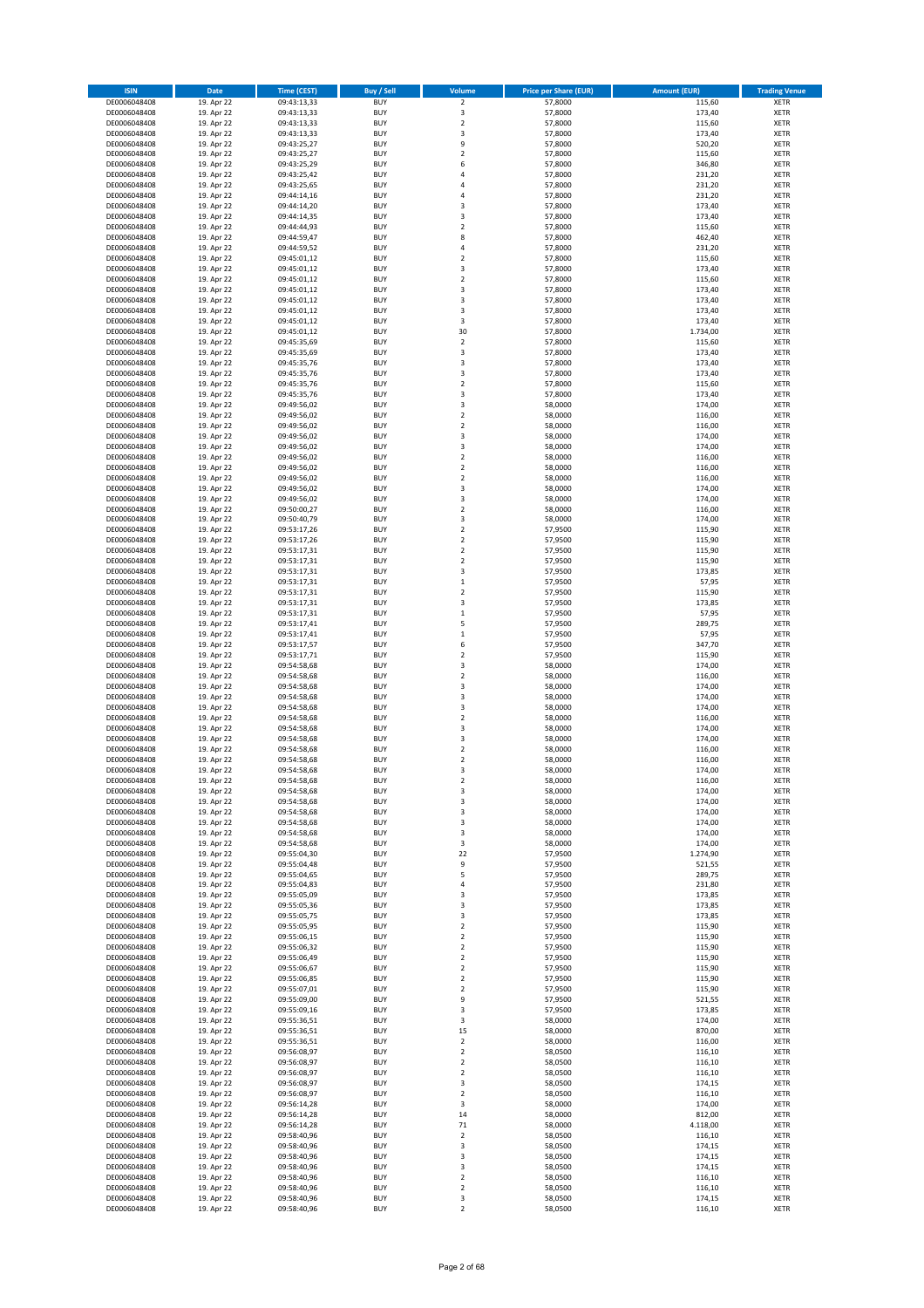| <b>ISIN</b>                  | Date                     | <b>Time (CEST)</b>         | <b>Buy / Sell</b>        | Volume                       | <b>Price per Share (EUR)</b> | <b>Amount (EUR)</b> | <b>Trading Venue</b>       |
|------------------------------|--------------------------|----------------------------|--------------------------|------------------------------|------------------------------|---------------------|----------------------------|
| DE0006048408                 | 19. Apr 22               | 09:43:13,33                | <b>BUY</b>               | $\overline{2}$               | 57,8000                      | 115,60              | <b>XETR</b>                |
| DE0006048408                 | 19. Apr 22               | 09:43:13,33                | <b>BUY</b>               | $\mathsf 3$                  | 57,8000                      | 173,40              | <b>XETR</b>                |
| DE0006048408<br>DE0006048408 | 19. Apr 22<br>19. Apr 22 | 09:43:13,33<br>09:43:13,33 | <b>BUY</b><br><b>BUY</b> | $\mathbf 2$<br>3             | 57,8000<br>57,8000           | 115,60<br>173,40    | <b>XETR</b><br><b>XETR</b> |
| DE0006048408                 | 19. Apr 22               | 09:43:25,27                | <b>BUY</b>               | 9                            | 57,8000                      | 520,20              | <b>XETR</b>                |
| DE0006048408                 | 19. Apr 22               | 09:43:25,27                | <b>BUY</b>               | $\overline{2}$               | 57,8000                      | 115,60              | <b>XETR</b>                |
| DE0006048408                 | 19. Apr 22               | 09:43:25,29                | <b>BUY</b>               | 6                            | 57,8000                      | 346,80              | <b>XETR</b>                |
| DE0006048408                 | 19. Apr 22               | 09:43:25,42                | <b>BUY</b>               | $\overline{4}$               | 57,8000                      | 231,20              | <b>XETR</b>                |
| DE0006048408                 | 19. Apr 22               | 09:43:25,65                | <b>BUY</b><br><b>BUY</b> | $\sqrt{4}$<br>$\overline{a}$ | 57,8000                      | 231,20              | XETR<br><b>XETR</b>        |
| DE0006048408<br>DE0006048408 | 19. Apr 22<br>19. Apr 22 | 09:44:14,16<br>09:44:14,20 | <b>BUY</b>               | 3                            | 57,8000<br>57,8000           | 231,20<br>173,40    | XETR                       |
| DE0006048408                 | 19. Apr 22               | 09:44:14,35                | <b>BUY</b>               | 3                            | 57,8000                      | 173,40              | <b>XETR</b>                |
| DE0006048408                 | 19. Apr 22               | 09:44:44,93                | <b>BUY</b>               | $\mathbf 2$                  | 57,8000                      | 115,60              | XETR                       |
| DE0006048408                 | 19. Apr 22               | 09:44:59,47                | <b>BUY</b>               | 8                            | 57,8000                      | 462,40              | <b>XETR</b>                |
| DE0006048408                 | 19. Apr 22               | 09:44:59,52                | <b>BUY</b>               | $\sqrt{4}$                   | 57,8000                      | 231,20              | <b>XETR</b>                |
| DE0006048408<br>DE0006048408 | 19. Apr 22<br>19. Apr 22 | 09:45:01,12<br>09:45:01,12 | <b>BUY</b><br><b>BUY</b> | $\overline{2}$<br>3          | 57,8000<br>57,8000           | 115,60<br>173,40    | <b>XETR</b><br>XETR        |
| DE0006048408                 | 19. Apr 22               | 09:45:01,12                | <b>BUY</b>               | $\overline{2}$               | 57,8000                      | 115,60              | <b>XETR</b>                |
| DE0006048408                 | 19. Apr 22               | 09:45:01,12                | <b>BUY</b>               | 3                            | 57,8000                      | 173,40              | XETR                       |
| DE0006048408                 | 19. Apr 22               | 09:45:01,12                | <b>BUY</b>               | 3                            | 57,8000                      | 173,40              | <b>XETR</b>                |
| DE0006048408<br>DE0006048408 | 19. Apr 22<br>19. Apr 22 | 09:45:01,12<br>09:45:01,12 | <b>BUY</b><br><b>BUY</b> | 3<br>3                       | 57,8000<br>57,8000           | 173,40<br>173,40    | <b>XETR</b><br><b>XETR</b> |
| DE0006048408                 | 19. Apr 22               | 09:45:01,12                | <b>BUY</b>               | 30                           | 57,8000                      | 1.734,00            | <b>XETR</b>                |
| DE0006048408                 | 19. Apr 22               | 09:45:35,69                | <b>BUY</b>               | $\mathbf 2$                  | 57,8000                      | 115,60              | <b>XETR</b>                |
| DE0006048408                 | 19. Apr 22               | 09:45:35,69                | <b>BUY</b>               | 3                            | 57,8000                      | 173,40              | <b>XETR</b>                |
| DE0006048408                 | 19. Apr 22               | 09:45:35,76                | <b>BUY</b>               | 3                            | 57,8000                      | 173,40              | <b>XETR</b>                |
| DE0006048408                 | 19. Apr 22               | 09:45:35,76                | <b>BUY</b>               | 3                            | 57,8000                      | 173,40              | <b>XETR</b>                |
| DE0006048408<br>DE0006048408 | 19. Apr 22<br>19. Apr 22 | 09:45:35,76<br>09:45:35,76 | <b>BUY</b><br><b>BUY</b> | $\overline{2}$<br>3          | 57,8000<br>57,8000           | 115,60<br>173,40    | <b>XETR</b><br><b>XETR</b> |
| DE0006048408                 | 19. Apr 22               | 09:49:56,02                | <b>BUY</b>               | 3                            | 58,0000                      | 174,00              | <b>XETR</b>                |
| DE0006048408                 | 19. Apr 22               | 09:49:56,02                | <b>BUY</b>               | $\boldsymbol{2}$             | 58,0000                      | 116,00              | <b>XETR</b>                |
| DE0006048408                 | 19. Apr 22               | 09:49:56,02                | <b>BUY</b>               | $\mathbf 2$                  | 58,0000                      | 116,00              | <b>XETR</b>                |
| DE0006048408                 | 19. Apr 22               | 09:49:56,02                | <b>BUY</b><br><b>BUY</b> | 3<br>3                       | 58,0000                      | 174,00              | <b>XETR</b><br>XETR        |
| DE0006048408<br>DE0006048408 | 19. Apr 22<br>19. Apr 22 | 09:49:56,02<br>09:49:56,02 | <b>BUY</b>               | $\overline{2}$               | 58,0000<br>58,0000           | 174,00<br>116,00    | <b>XETR</b>                |
| DE0006048408                 | 19. Apr 22               | 09:49:56,02                | <b>BUY</b>               | $\mathbf 2$                  | 58,0000                      | 116,00              | XETR                       |
| DE0006048408                 | 19. Apr 22               | 09:49:56,02                | <b>BUY</b>               | $\overline{2}$               | 58,0000                      | 116,00              | <b>XETR</b>                |
| DE0006048408                 | 19. Apr 22               | 09:49:56,02                | <b>BUY</b>               | 3                            | 58,0000                      | 174,00              | XETR                       |
| DE0006048408                 | 19. Apr 22               | 09:49:56,02                | <b>BUY</b>               | 3                            | 58,0000                      | 174,00              | <b>XETR</b>                |
| DE0006048408<br>DE0006048408 | 19. Apr 22<br>19. Apr 22 | 09:50:00,27<br>09:50:40,79 | <b>BUY</b><br><b>BUY</b> | $\overline{2}$<br>3          | 58,0000<br>58,0000           | 116,00<br>174,00    | <b>XETR</b><br><b>XETR</b> |
| DE0006048408                 | 19. Apr 22               | 09:53:17,26                | <b>BUY</b>               | $\overline{2}$               | 57,9500                      | 115,90              | XETR                       |
| DE0006048408                 | 19. Apr 22               | 09:53:17,26                | <b>BUY</b>               | $\overline{2}$               | 57,9500                      | 115,90              | <b>XETR</b>                |
| DE0006048408                 | 19. Apr 22               | 09:53:17,31                | <b>BUY</b>               | $\mathbf 2$                  | 57,9500                      | 115,90              | XETR                       |
| DE0006048408                 | 19. Apr 22               | 09:53:17,31                | <b>BUY</b>               | $\overline{2}$               | 57,9500                      | 115,90              | <b>XETR</b>                |
| DE0006048408                 | 19. Apr 22               | 09:53:17,31                | <b>BUY</b>               | 3                            | 57,9500                      | 173,85              | XETR                       |
| DE0006048408<br>DE0006048408 | 19. Apr 22<br>19. Apr 22 | 09:53:17,31<br>09:53:17,31 | <b>BUY</b><br><b>BUY</b> | $\,$ 1<br>$\overline{2}$     | 57,9500<br>57,9500           | 57,95<br>115,90     | <b>XETR</b><br><b>XETR</b> |
| DE0006048408                 | 19. Apr 22               | 09:53:17,31                | <b>BUY</b>               | 3                            | 57,9500                      | 173,85              | <b>XETR</b>                |
| DE0006048408                 | 19. Apr 22               | 09:53:17,31                | <b>BUY</b>               | $\,$ 1                       | 57,9500                      | 57,95               | <b>XETR</b>                |
| DE0006048408                 | 19. Apr 22               | 09:53:17,41                | <b>BUY</b>               | 5                            | 57,9500                      | 289,75              | <b>XETR</b>                |
| DE0006048408                 | 19. Apr 22               | 09:53:17,41                | <b>BUY</b><br><b>BUY</b> | $\,$ 1<br>6                  | 57,9500                      | 57,95<br>347,70     | <b>XETR</b><br><b>XETR</b> |
| DE0006048408<br>DE0006048408 | 19. Apr 22<br>19. Apr 22 | 09:53:17,57<br>09:53:17,71 | <b>BUY</b>               | $\overline{2}$               | 57,9500<br>57,9500           | 115,90              | <b>XETR</b>                |
| DE0006048408                 | 19. Apr 22               | 09:54:58,68                | <b>BUY</b>               | 3                            | 58,0000                      | 174,00              | <b>XETR</b>                |
| DE0006048408                 | 19. Apr 22               | 09:54:58,68                | <b>BUY</b>               | $\overline{2}$               | 58,0000                      | 116,00              | <b>XETR</b>                |
| DE0006048408                 | 19. Apr 22               | 09:54:58,68                | <b>BUY</b>               | 3                            | 58,0000                      | 174,00              | <b>XETR</b>                |
| DE0006048408                 | 19. Apr 22               | 09:54:58,68                | <b>BUY</b><br><b>BUY</b> | 3<br>3                       | 58,0000<br>58,0000           | 174,00              | <b>XETR</b><br><b>XETR</b> |
| DE0006048408<br>DE0006048408 | 19. Apr 22<br>19. Apr 22 | 09:54:58,68<br>09:54:58,68 | <b>BUY</b>               | $\overline{2}$               | 58,0000                      | 174,00<br>116,00    | <b>XETR</b>                |
| DE0006048408                 | 19. Apr 22               | 09:54:58,68                | <b>BUY</b>               | 3                            | 58,0000                      | 174,00              | XETR                       |
| DE0006048408                 | 19. Apr 22               | 09:54:58,68                | <b>BUY</b>               | 3                            | 58,0000                      | 174,00              | <b>XETR</b>                |
| DE0006048408                 | 19. Apr 22               | 09:54:58,68                | <b>BUY</b>               | $\sqrt{2}$                   | 58,0000                      | 116,00              | XETR                       |
| DE0006048408<br>DE0006048408 | 19. Apr 22               | 09:54:58,68                | <b>BUY</b><br><b>BUY</b> | $\overline{2}$<br>3          | 58,0000                      | 116,00              | <b>XETR</b>                |
| DE0006048408                 | 19. Apr 22<br>19. Apr 22 | 09:54:58,68<br>09:54:58,68 | <b>BUY</b>               | $\overline{\mathbf{c}}$      | 58,0000<br>58,0000           | 174,00<br>116,00    | <b>XETR</b><br>XETR        |
| DE0006048408                 | 19. Apr 22               | 09:54:58,68                | <b>BUY</b>               | 3                            | 58,0000                      | 174,00              | <b>XETR</b>                |
| DE0006048408                 | 19. Apr 22               | 09:54:58,68                | <b>BUY</b>               | 3                            | 58,0000                      | 174,00              | XETR                       |
| DE0006048408                 | 19. Apr 22               | 09:54:58,68                | <b>BUY</b>               | 3                            | 58,0000                      | 174,00              | <b>XETR</b>                |
| DE0006048408                 | 19. Apr 22               | 09:54:58,68                | <b>BUY</b><br><b>BUY</b> | 3                            | 58,0000<br>58,0000           | 174,00              | <b>XETR</b><br>XETR        |
| DE0006048408<br>DE0006048408 | 19. Apr 22<br>19. Apr 22 | 09:54:58,68<br>09:54:58,68 | <b>BUY</b>               | 3<br>3                       | 58,0000                      | 174,00<br>174,00    | <b>XETR</b>                |
| DE0006048408                 | 19. Apr 22               | 09:55:04,30                | <b>BUY</b>               | 22                           | 57,9500                      | 1.274,90            | <b>XETR</b>                |
| DE0006048408                 | 19. Apr 22               | 09:55:04,48                | <b>BUY</b>               | 9                            | 57,9500                      | 521,55              | <b>XETR</b>                |
| DE0006048408                 | 19. Apr 22               | 09:55:04,65                | <b>BUY</b>               | 5                            | 57,9500                      | 289,75              | XETR                       |
| DE0006048408<br>DE0006048408 | 19. Apr 22<br>19. Apr 22 | 09:55:04,83<br>09:55:05,09 | <b>BUY</b><br><b>BUY</b> | 4<br>3                       | 57,9500<br>57,9500           | 231,80<br>173,85    | <b>XETR</b><br><b>XETR</b> |
| DE0006048408                 | 19. Apr 22               | 09:55:05,36                | <b>BUY</b>               | 3                            | 57,9500                      | 173,85              | <b>XETR</b>                |
| DE0006048408                 | 19. Apr 22               | 09:55:05,75                | <b>BUY</b>               | 3                            | 57,9500                      | 173,85              | XETR                       |
| DE0006048408                 | 19. Apr 22               | 09:55:05,95                | <b>BUY</b>               | $\mathbf 2$                  | 57,9500                      | 115,90              | <b>XETR</b>                |
| DE0006048408                 | 19. Apr 22               | 09:55:06,15                | <b>BUY</b>               | $\sqrt{2}$                   | 57,9500                      | 115,90              | <b>XETR</b>                |
| DE0006048408<br>DE0006048408 | 19. Apr 22<br>19. Apr 22 | 09:55:06,32<br>09:55:06,49 | <b>BUY</b><br><b>BUY</b> | $\mathbf 2$<br>$\mathbf 2$   | 57,9500<br>57,9500           | 115,90<br>115,90    | <b>XETR</b><br><b>XETR</b> |
| DE0006048408                 | 19. Apr 22               | 09:55:06,67                | <b>BUY</b>               | $\overline{2}$               | 57,9500                      | 115,90              | <b>XETR</b>                |
| DE0006048408                 | 19. Apr 22               | 09:55:06,85                | <b>BUY</b>               | $\mathbf 2$                  | 57,9500                      | 115,90              | <b>XETR</b>                |
| DE0006048408                 | 19. Apr 22               | 09:55:07,01                | <b>BUY</b>               | $\overline{2}$               | 57,9500                      | 115,90              | <b>XETR</b>                |
| DE0006048408                 | 19. Apr 22               | 09:55:09,00                | <b>BUY</b>               | 9                            | 57,9500                      | 521,55              | <b>XETR</b>                |
| DE0006048408<br>DE0006048408 | 19. Apr 22<br>19. Apr 22 | 09:55:09,16<br>09:55:36,51 | <b>BUY</b><br><b>BUY</b> | 3<br>3                       | 57,9500<br>58,0000           | 173,85<br>174,00    | XETR<br>XETR               |
| DE0006048408                 | 19. Apr 22               | 09:55:36,51                | <b>BUY</b>               | 15                           | 58,0000                      | 870,00              | <b>XETR</b>                |
| DE0006048408                 | 19. Apr 22               | 09:55:36,51                | <b>BUY</b>               | $\overline{2}$               | 58,0000                      | 116,00              | <b>XETR</b>                |
| DE0006048408                 | 19. Apr 22               | 09:56:08,97                | <b>BUY</b>               | $\overline{\mathbf{c}}$      | 58,0500                      | 116,10              | XETR                       |
| DE0006048408                 | 19. Apr 22               | 09:56:08,97                | <b>BUY</b>               | $\overline{2}$               | 58,0500                      | 116,10              | XETR                       |
| DE0006048408<br>DE0006048408 | 19. Apr 22<br>19. Apr 22 | 09:56:08,97<br>09:56:08,97 | <b>BUY</b><br><b>BUY</b> | $\mathbf 2$<br>3             | 58,0500<br>58,0500           | 116,10<br>174,15    | <b>XETR</b><br><b>XETR</b> |
| DE0006048408                 | 19. Apr 22               | 09:56:08,97                | <b>BUY</b>               | $\overline{\mathbf{c}}$      | 58,0500                      | 116,10              | XETR                       |
| DE0006048408                 | 19. Apr 22               | 09:56:14,28                | <b>BUY</b>               | 3                            | 58,0000                      | 174,00              | XETR                       |
| DE0006048408                 | 19. Apr 22               | 09:56:14,28                | <b>BUY</b>               | 14                           | 58,0000                      | 812,00              | <b>XETR</b>                |
| DE0006048408                 | 19. Apr 22               | 09:56:14,28                | <b>BUY</b>               | 71                           | 58,0000                      | 4.118,00            | <b>XETR</b>                |
| DE0006048408<br>DE0006048408 | 19. Apr 22<br>19. Apr 22 | 09:58:40,96<br>09:58:40,96 | <b>BUY</b><br><b>BUY</b> | $\overline{\mathbf{c}}$<br>3 | 58,0500<br>58,0500           | 116,10<br>174,15    | <b>XETR</b><br><b>XETR</b> |
| DE0006048408                 | 19. Apr 22               | 09:58:40,96                | <b>BUY</b>               | 3                            | 58,0500                      | 174,15              | <b>XETR</b>                |
| DE0006048408                 | 19. Apr 22               | 09:58:40,96                | <b>BUY</b>               | 3                            | 58,0500                      | 174,15              | <b>XETR</b>                |
| DE0006048408                 | 19. Apr 22               | 09:58:40,96                | <b>BUY</b>               | $\mathbf 2$                  | 58,0500                      | 116,10              | <b>XETR</b>                |
| DE0006048408                 | 19. Apr 22               | 09:58:40,96                | <b>BUY</b>               | $\overline{2}$               | 58,0500                      | 116,10              | <b>XETR</b>                |
| DE0006048408<br>DE0006048408 | 19. Apr 22<br>19. Apr 22 | 09:58:40,96<br>09:58:40,96 | <b>BUY</b><br><b>BUY</b> | 3<br>$\mathbf 2$             | 58,0500<br>58,0500           | 174,15<br>116,10    | <b>XETR</b><br><b>XETR</b> |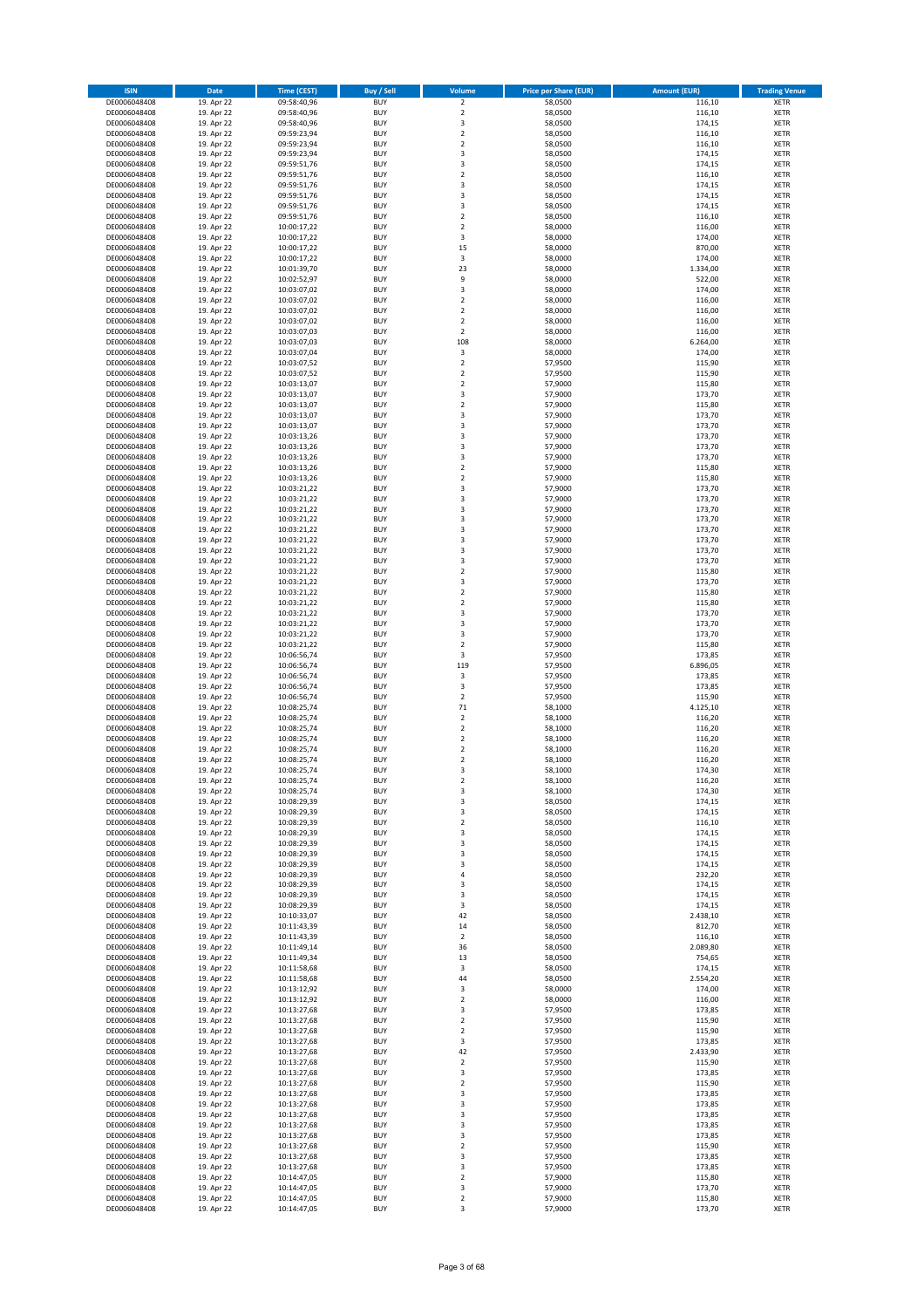| <b>ISIN</b>                  | <b>Date</b>              | <b>Time (CEST)</b>         | <b>Buy / Sell</b>        | Volume                       | <b>Price per Share (EUR)</b> | <b>Amount (EUR)</b> | <b>Trading Venue</b>       |
|------------------------------|--------------------------|----------------------------|--------------------------|------------------------------|------------------------------|---------------------|----------------------------|
| DE0006048408                 | 19. Apr 22               | 09:58:40,96                | <b>BUY</b>               | $\overline{\mathbf{c}}$      | 58,0500                      | 116,10              | XETR                       |
| DE0006048408                 | 19. Apr 22               | 09:58:40,96                | <b>BUY</b>               | $\mathbf 2$                  | 58,0500                      | 116,10              | XETR                       |
| DE0006048408<br>DE0006048408 | 19. Apr 22<br>19. Apr 22 | 09:58:40,96<br>09:59:23,94 | <b>BUY</b><br><b>BUY</b> | 3<br>$\mathbf 2$             | 58,0500<br>58,0500           | 174,15<br>116,10    | XETR<br>XETR               |
| DE0006048408                 | 19. Apr 22               | 09:59:23,94                | <b>BUY</b>               | $\mathbf 2$                  | 58,0500                      | 116,10              | XETR                       |
| DE0006048408                 | 19. Apr 22               | 09:59:23,94                | <b>BUY</b>               | 3                            | 58,0500                      | 174,15              | <b>XETR</b>                |
| DE0006048408                 | 19. Apr 22               | 09:59:51,76                | <b>BUY</b>               | 3                            | 58,0500                      | 174,15              | <b>XETR</b>                |
| DE0006048408                 | 19. Apr 22               | 09:59:51,76                | <b>BUY</b>               | $\mathbf 2$                  | 58,0500                      | 116,10              | <b>XETR</b>                |
| DE0006048408<br>DE0006048408 | 19. Apr 22<br>19. Apr 22 | 09:59:51,76                | <b>BUY</b><br><b>BUY</b> | 3<br>3                       | 58,0500<br>58,0500           | 174,15<br>174,15    | <b>XETR</b><br><b>XETR</b> |
| DE0006048408                 | 19. Apr 22               | 09:59:51,76<br>09:59:51,76 | <b>BUY</b>               | 3                            | 58,0500                      | 174,15              | XETR                       |
| DE0006048408                 | 19. Apr 22               | 09:59:51,76                | <b>BUY</b>               | $\mathbf 2$                  | 58,0500                      | 116,10              | <b>XETR</b>                |
| DE0006048408                 | 19. Apr 22               | 10:00:17,22                | <b>BUY</b>               | $\mathbf 2$                  | 58,0000                      | 116,00              | XETR                       |
| DE0006048408                 | 19. Apr 22               | 10:00:17,22                | <b>BUY</b>               | 3                            | 58,0000                      | 174,00              | <b>XETR</b>                |
| DE0006048408                 | 19. Apr 22               | 10:00:17,22                | <b>BUY</b>               | 15                           | 58,0000                      | 870,00              | XETR                       |
| DE0006048408<br>DE0006048408 | 19. Apr 22<br>19. Apr 22 | 10:00:17,22<br>10:01:39,70 | <b>BUY</b><br><b>BUY</b> | 3<br>23                      | 58,0000<br>58,0000           | 174,00<br>1.334,00  | <b>XETR</b><br>XETR        |
| DE0006048408                 | 19. Apr 22               | 10:02:52,97                | <b>BUY</b>               | 9                            | 58,0000                      | 522,00              | <b>XETR</b>                |
| DE0006048408                 | 19. Apr 22               | 10:03:07,02                | <b>BUY</b>               | 3                            | 58,0000                      | 174,00              | XETR                       |
| DE0006048408                 | 19. Apr 22               | 10:03:07,02                | <b>BUY</b>               | $\mathbf 2$                  | 58,0000                      | 116,00              | <b>XETR</b>                |
| DE0006048408                 | 19. Apr 22<br>19. Apr 22 | 10:03:07,02                | <b>BUY</b><br><b>BUY</b> | $\mathbf 2$<br>$\mathbf 2$   | 58,0000<br>58,0000           | 116,00<br>116,00    | XETR<br>XETR               |
| DE0006048408<br>DE0006048408 | 19. Apr 22               | 10:03:07,02<br>10:03:07,03 | <b>BUY</b>               | $\mathbf 2$                  | 58,0000                      | 116,00              | <b>XETR</b>                |
| DE0006048408                 | 19. Apr 22               | 10:03:07,03                | <b>BUY</b>               | 108                          | 58,0000                      | 6.264,00            | <b>XETR</b>                |
| DE0006048408                 | 19. Apr 22               | 10:03:07,04                | <b>BUY</b>               | 3                            | 58,0000                      | 174,00              | <b>XETR</b>                |
| DE0006048408                 | 19. Apr 22               | 10:03:07,52                | <b>BUY</b>               | $\mathbf 2$                  | 57,9500                      | 115,90              | <b>XETR</b>                |
| DE0006048408                 | 19. Apr 22               | 10:03:07,52                | <b>BUY</b>               | $\mathbf 2$                  | 57,9500                      | 115,90              | <b>XETR</b>                |
| DE0006048408<br>DE0006048408 | 19. Apr 22<br>19. Apr 22 | 10:03:13,07<br>10:03:13,07 | <b>BUY</b><br><b>BUY</b> | $\mathbf 2$<br>3             | 57,9000<br>57,9000           | 115,80<br>173,70    | <b>XETR</b><br><b>XETR</b> |
| DE0006048408                 | 19. Apr 22               | 10:03:13,07                | <b>BUY</b>               | $\mathbf 2$                  | 57,9000                      | 115,80              | <b>XETR</b>                |
| DE0006048408                 | 19. Apr 22               | 10:03:13,07                | <b>BUY</b>               | 3                            | 57,9000                      | 173,70              | <b>XETR</b>                |
| DE0006048408                 | 19. Apr 22               | 10:03:13,07                | <b>BUY</b>               | 3                            | 57,9000                      | 173,70              | <b>XETR</b>                |
| DE0006048408<br>DE0006048408 | 19. Apr 22               | 10:03:13,26                | <b>BUY</b><br><b>BUY</b> | 3                            | 57,9000                      | 173,70<br>173,70    | <b>XETR</b><br>XETR        |
| DE0006048408                 | 19. Apr 22<br>19. Apr 22 | 10:03:13,26<br>10:03:13,26 | <b>BUY</b>               | 3<br>3                       | 57,9000<br>57,9000           | 173,70              | <b>XETR</b>                |
| DE0006048408                 | 19. Apr 22               | 10:03:13,26                | <b>BUY</b>               | $\mathbf 2$                  | 57,9000                      | 115,80              | XETR                       |
| DE0006048408                 | 19. Apr 22               | 10:03:13,26                | <b>BUY</b>               | $\overline{\mathbf{c}}$      | 57,9000                      | 115,80              | <b>XETR</b>                |
| DE0006048408                 | 19. Apr 22               | 10:03:21,22                | <b>BUY</b>               | 3                            | 57,9000                      | 173,70              | XETR                       |
| DE0006048408                 | 19. Apr 22               | 10:03:21,22                | <b>BUY</b>               | 3                            | 57,9000                      | 173,70              | <b>XETR</b>                |
| DE0006048408<br>DE0006048408 | 19. Apr 22<br>19. Apr 22 | 10:03:21,22<br>10:03:21,22 | <b>BUY</b><br><b>BUY</b> | 3<br>3                       | 57,9000<br>57,9000           | 173,70<br>173,70    | <b>XETR</b><br><b>XETR</b> |
| DE0006048408                 | 19. Apr 22               | 10:03:21,22                | <b>BUY</b>               | 3                            | 57,9000                      | 173,70              | <b>XETR</b>                |
| DE0006048408                 | 19. Apr 22               | 10:03:21,22                | <b>BUY</b>               | 3                            | 57,9000                      | 173,70              | <b>XETR</b>                |
| DE0006048408                 | 19. Apr 22               | 10:03:21,22                | <b>BUY</b>               | 3                            | 57,9000                      | 173,70              | <b>XETR</b>                |
| DE0006048408                 | 19. Apr 22               | 10:03:21,22                | <b>BUY</b>               | 3                            | 57,9000                      | 173,70              | <b>XETR</b>                |
| DE0006048408                 | 19. Apr 22               | 10:03:21,22                | <b>BUY</b>               | $\mathbf 2$                  | 57,9000                      | 115,80              | XETR                       |
| DE0006048408<br>DE0006048408 | 19. Apr 22<br>19. Apr 22 | 10:03:21,22<br>10:03:21,22 | <b>BUY</b><br><b>BUY</b> | 3<br>$\mathbf 2$             | 57,9000<br>57,9000           | 173,70<br>115,80    | XETR<br><b>XETR</b>        |
| DE0006048408                 | 19. Apr 22               | 10:03:21,22                | <b>BUY</b>               | $\mathbf 2$                  | 57,9000                      | 115,80              | <b>XETR</b>                |
| DE0006048408                 | 19. Apr 22               | 10:03:21,22                | <b>BUY</b>               | 3                            | 57,9000                      | 173,70              | XETR                       |
| DE0006048408                 | 19. Apr 22               | 10:03:21,22                | <b>BUY</b>               | 3                            | 57,9000                      | 173,70              | <b>XETR</b>                |
| DE0006048408                 | 19. Apr 22               | 10:03:21,22                | <b>BUY</b><br><b>BUY</b> | 3<br>$\mathbf 2$             | 57,9000<br>57,9000           | 173,70<br>115,80    | <b>XETR</b><br><b>XETR</b> |
| DE0006048408<br>DE0006048408 | 19. Apr 22<br>19. Apr 22 | 10:03:21,22<br>10:06:56,74 | <b>BUY</b>               | 3                            | 57,9500                      | 173,85              | XETR                       |
| DE0006048408                 | 19. Apr 22               | 10:06:56,74                | <b>BUY</b>               | 119                          | 57,9500                      | 6.896,05            | XETR                       |
| DE0006048408                 | 19. Apr 22               | 10:06:56,74                | <b>BUY</b>               | 3                            | 57,9500                      | 173,85              | <b>XETR</b>                |
| DE0006048408                 | 19. Apr 22               | 10:06:56,74                | <b>BUY</b>               | 3                            | 57,9500                      | 173,85              | <b>XETR</b>                |
| DE0006048408                 | 19. Apr 22<br>19. Apr 22 | 10:06:56,74                | <b>BUY</b><br><b>BUY</b> | $\mathbf 2$<br>71            | 57,9500<br>58,1000           | 115,90<br>4.125,10  | <b>XETR</b><br>XETR        |
| DE0006048408<br>DE0006048408 | 19. Apr 22               | 10:08:25,74<br>10:08:25,74 | <b>BUY</b>               | $\mathbf 2$                  | 58,1000                      | 116,20              | <b>XETR</b>                |
| DE0006048408                 | 19. Apr 22               | 10:08:25,74                | <b>BUY</b>               | $\mathbf 2$                  | 58,1000                      | 116,20              | XETR                       |
| DE0006048408                 | 19. Apr 22               | 10:08:25,74                | <b>BUY</b>               | $\mathbf 2$                  | 58,1000                      | 116,20              | <b>XETR</b>                |
| DE0006048408                 | 19. Apr 22               | 10:08:25,74                | <b>BUY</b>               | 2                            | 58,1000                      | 116,20              | XETR                       |
| DE0006048408<br>DE0006048408 | 19. Apr 22<br>19. Apr 22 | 10:08:25,74<br>10:08:25,74 | <b>BUY</b><br><b>BUY</b> | $\mathbf 2$<br>3             | 58,1000<br>58,1000           | 116,20<br>174,30    | <b>XETR</b><br>XETR        |
| DE0006048408                 | 19. Apr 22               | 10:08:25,74                | <b>BUY</b>               | 2                            | 58,1000                      | 116,20              | <b>XETR</b>                |
| DE0006048408                 | 19. Apr 22               | 10:08:25,74                | <b>BUY</b>               | 3                            | 58,1000                      | 174,30              | XETR                       |
| DE0006048408                 | 19. Apr 22               | 10:08:29,39                | <b>BUY</b>               | 3                            | 58,0500                      | 174,15              | XETR                       |
| DE0006048408                 | 19. Apr 22               | 10:08:29,39                | <b>BUY</b>               | 3                            | 58,0500                      | 174,15              | XETR                       |
| DE0006048408<br>DE0006048408 | 19. Apr 22<br>19. Apr 22 | 10:08:29,39<br>10:08:29,39 | <b>BUY</b><br><b>BUY</b> | $\mathbf 2$<br>3             | 58,0500<br>58,0500           | 116,10<br>174,15    | <b>XETR</b><br>XETR        |
| DE0006048408                 | 19. Apr 22               | 10:08:29,39                | <b>BUY</b>               | 3                            | 58,0500                      | 174,15              | <b>XETR</b>                |
| DE0006048408                 | 19. Apr 22               | 10:08:29,39                | <b>BUY</b>               | 3                            | 58,0500                      | 174,15              | XETR                       |
| DE0006048408                 | 19. Apr 22               | 10:08:29,39                | <b>BUY</b>               | 3                            | 58,0500                      | 174,15              | <b>XETR</b>                |
| DE0006048408                 | 19. Apr 22               | 10:08:29,39                | <b>BUY</b>               | 4                            | 58,0500                      | 232,20              | XETR                       |
| DE0006048408<br>DE0006048408 | 19. Apr 22<br>19. Apr 22 | 10:08:29,39<br>10:08:29,39 | <b>BUY</b><br><b>BUY</b> | 3<br>3                       | 58,0500<br>58,0500           | 174,15<br>174,15    | <b>XETR</b><br>XETR        |
| DE0006048408                 | 19. Apr 22               | 10:08:29,39                | <b>BUY</b>               | 3                            | 58,0500                      | 174,15              | <b>XETR</b>                |
| DE0006048408                 | 19. Apr 22               | 10:10:33,07                | <b>BUY</b>               | 42                           | 58,0500                      | 2.438,10            | XETR                       |
| DE0006048408                 | 19. Apr 22               | 10:11:43,39                | <b>BUY</b>               | 14                           | 58,0500                      | 812,70              | <b>XETR</b>                |
| DE0006048408<br>DE0006048408 | 19. Apr 22<br>19. Apr 22 | 10:11:43,39<br>10:11:49,14 | <b>BUY</b><br><b>BUY</b> | $\boldsymbol{2}$<br>36       | 58,0500<br>58,0500           | 116,10<br>2.089,80  | XETR<br><b>XETR</b>        |
| DE0006048408                 | 19. Apr 22               | 10:11:49,34                | <b>BUY</b>               | 13                           | 58,0500                      | 754,65              | <b>XETR</b>                |
| DE0006048408                 | 19. Apr 22               | 10:11:58,68                | <b>BUY</b>               | 3                            | 58,0500                      | 174,15              | <b>XETR</b>                |
| DE0006048408                 | 19. Apr 22               | 10:11:58,68                | <b>BUY</b>               | 44                           | 58,0500                      | 2.554,20            | XETR                       |
| DE0006048408                 | 19. Apr 22               | 10:13:12,92                | <b>BUY</b>               | 3                            | 58,0000                      | 174,00              | <b>XETR</b>                |
| DE0006048408<br>DE0006048408 | 19. Apr 22<br>19. Apr 22 | 10:13:12,92<br>10:13:27,68 | <b>BUY</b><br><b>BUY</b> | 2<br>3                       | 58,0000<br>57,9500           | 116,00<br>173,85    | <b>XETR</b><br>XETR        |
| DE0006048408                 | 19. Apr 22               | 10:13:27,68                | <b>BUY</b>               | $\mathbf 2$                  | 57,9500                      | 115,90              | <b>XETR</b>                |
| DE0006048408                 | 19. Apr 22               | 10:13:27,68                | <b>BUY</b>               | $\mathbf 2$                  | 57,9500                      | 115,90              | XETR                       |
| DE0006048408                 | 19. Apr 22               | 10:13:27,68                | <b>BUY</b>               | 3                            | 57,9500                      | 173,85              | <b>XETR</b>                |
| DE0006048408                 | 19. Apr 22               | 10:13:27,68                | <b>BUY</b>               | 42                           | 57,9500                      | 2.433,90            | XETR                       |
| DE0006048408<br>DE0006048408 | 19. Apr 22<br>19. Apr 22 | 10:13:27,68<br>10:13:27,68 | <b>BUY</b><br><b>BUY</b> | $\overline{\mathbf{2}}$<br>3 | 57,9500<br>57,9500           | 115,90<br>173,85    | <b>XETR</b><br>XETR        |
| DE0006048408                 | 19. Apr 22               | 10:13:27,68                | <b>BUY</b>               | $\mathbf 2$                  | 57,9500                      | 115,90              | <b>XETR</b>                |
| DE0006048408                 | 19. Apr 22               | 10:13:27,68                | <b>BUY</b>               | 3                            | 57,9500                      | 173,85              | XETR                       |
| DE0006048408                 | 19. Apr 22               | 10:13:27,68                | <b>BUY</b>               | 3                            | 57,9500                      | 173,85              | <b>XETR</b>                |
| DE0006048408                 | 19. Apr 22               | 10:13:27,68                | <b>BUY</b>               | 3                            | 57,9500                      | 173,85              | XETR                       |
| DE0006048408                 | 19. Apr 22               | 10:13:27,68                | <b>BUY</b><br><b>BUY</b> | 3<br>3                       | 57,9500                      | 173,85<br>173,85    | <b>XETR</b><br><b>XETR</b> |
| DE0006048408<br>DE0006048408 | 19. Apr 22<br>19. Apr 22 | 10:13:27,68<br>10:13:27,68 | <b>BUY</b>               | 2                            | 57,9500<br>57,9500           | 115,90              | <b>XETR</b>                |
| DE0006048408                 | 19. Apr 22               | 10:13:27,68                | <b>BUY</b>               | 3                            | 57,9500                      | 173,85              | XETR                       |
| DE0006048408                 | 19. Apr 22               | 10:13:27,68                | <b>BUY</b>               | 3                            | 57,9500                      | 173,85              | <b>XETR</b>                |
| DE0006048408                 | 19. Apr 22               | 10:14:47,05                | <b>BUY</b>               | $\boldsymbol{2}$             | 57,9000                      | 115,80              | XETR                       |
| DE0006048408<br>DE0006048408 | 19. Apr 22<br>19. Apr 22 | 10:14:47,05<br>10:14:47,05 | <b>BUY</b><br><b>BUY</b> | 3<br>$\mathbf 2$             | 57,9000<br>57,9000           | 173,70<br>115,80    | XETR<br>XETR               |
| DE0006048408                 | 19. Apr 22               | 10:14:47,05                | <b>BUY</b>               | 3                            | 57,9000                      | 173,70              | <b>XETR</b>                |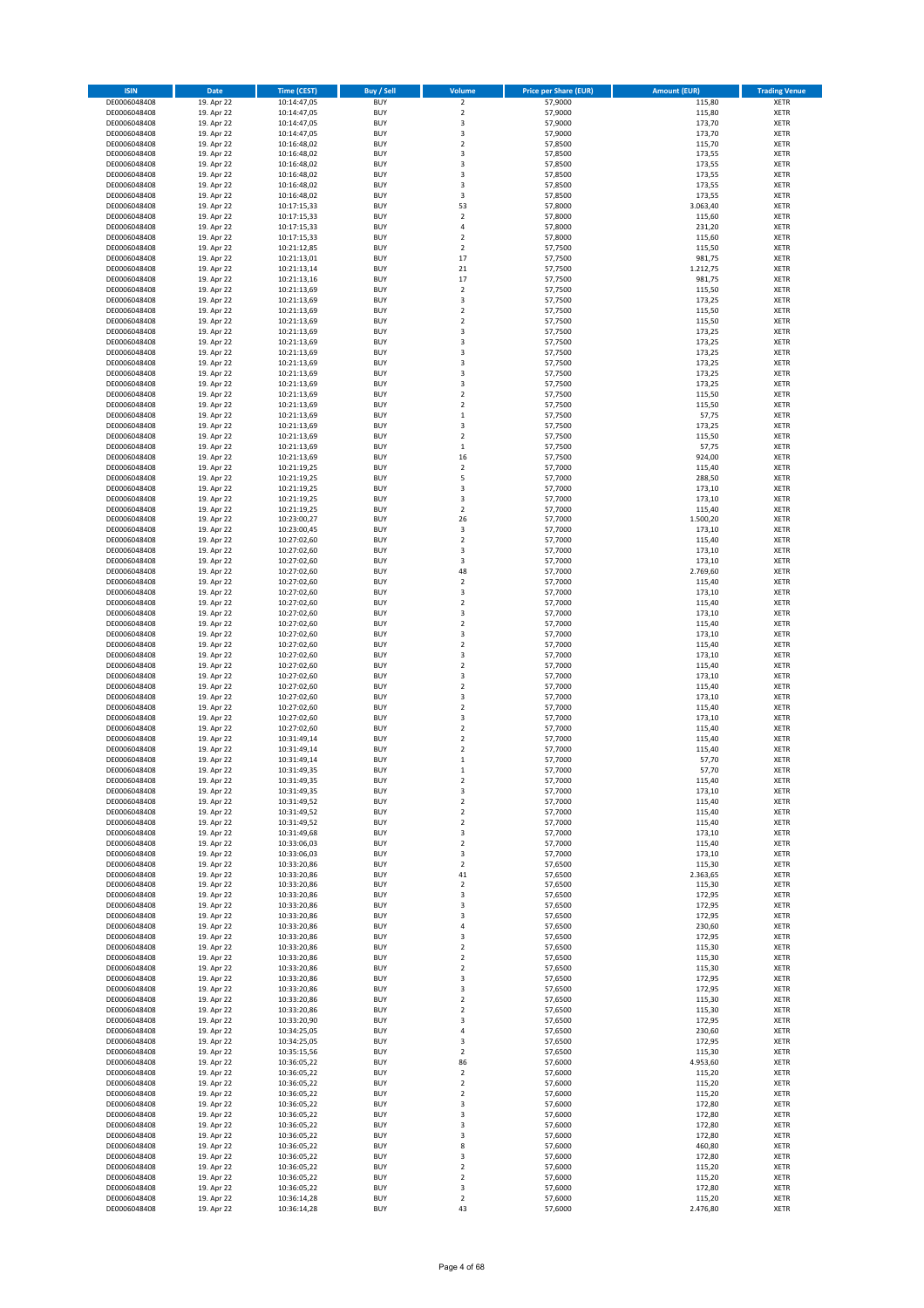| <b>ISIN</b>                  | <b>Date</b>              | <b>Time (CEST)</b>         | <b>Buy / Sell</b>        | Volume                  | <b>Price per Share (EUR)</b> | <b>Amount (EUR)</b> | <b>Trading Venue</b>       |
|------------------------------|--------------------------|----------------------------|--------------------------|-------------------------|------------------------------|---------------------|----------------------------|
| DE0006048408                 | 19. Apr 22               | 10:14:47,05                | <b>BUY</b>               | $\overline{2}$          | 57,9000                      | 115,80              | XETR                       |
| DE0006048408                 | 19. Apr 22               | 10:14:47,05                | <b>BUY</b>               | $\mathbf 2$             | 57,9000                      | 115,80              | XETR                       |
| DE0006048408<br>DE0006048408 | 19. Apr 22<br>19. Apr 22 | 10:14:47,05<br>10:14:47,05 | <b>BUY</b><br><b>BUY</b> | 3<br>3                  | 57,9000<br>57,9000           | 173,70<br>173,70    | XETR<br>XETR               |
| DE0006048408                 | 19. Apr 22               | 10:16:48,02                | <b>BUY</b>               | $\mathbf 2$             | 57,8500                      | 115,70              | XETR                       |
| DE0006048408                 | 19. Apr 22               | 10:16:48,02                | <b>BUY</b>               | 3                       | 57,8500                      | 173,55              | <b>XETR</b>                |
| DE0006048408                 | 19. Apr 22               | 10:16:48,02                | <b>BUY</b>               | 3                       | 57,8500                      | 173,55              | XETR                       |
| DE0006048408                 | 19. Apr 22               | 10:16:48,02                | <b>BUY</b>               | 3                       | 57,8500                      | 173,55              | <b>XETR</b>                |
| DE0006048408<br>DE0006048408 | 19. Apr 22<br>19. Apr 22 | 10:16:48,02<br>10:16:48,02 | <b>BUY</b><br><b>BUY</b> | 3<br>3                  | 57,8500<br>57,8500           | 173,55<br>173,55    | <b>XETR</b><br><b>XETR</b> |
| DE0006048408                 | 19. Apr 22               | 10:17:15,33                | <b>BUY</b>               | 53                      | 57,8000                      | 3.063,40            | XETR                       |
| DE0006048408                 | 19. Apr 22               | 10:17:15,33                | <b>BUY</b>               | $\mathbf 2$             | 57,8000                      | 115,60              | <b>XETR</b>                |
| DE0006048408                 | 19. Apr 22               | 10:17:15,33                | <b>BUY</b>               | 4                       | 57,8000                      | 231,20              | XETR                       |
| DE0006048408                 | 19. Apr 22               | 10:17:15,33                | <b>BUY</b>               | $\mathbf 2$             | 57,8000                      | 115,60              | <b>XETR</b>                |
| DE0006048408                 | 19. Apr 22               | 10:21:12,85                | <b>BUY</b>               | $\mathbf 2$             | 57,7500                      | 115,50              | XETR                       |
| DE0006048408<br>DE0006048408 | 19. Apr 22<br>19. Apr 22 | 10:21:13,01<br>10:21:13,14 | <b>BUY</b><br><b>BUY</b> | 17<br>21                | 57,7500<br>57,7500           | 981,75<br>1.212,75  | <b>XETR</b><br>XETR        |
| DE0006048408                 | 19. Apr 22               | 10:21:13,16                | <b>BUY</b>               | 17                      | 57,7500                      | 981,75              | <b>XETR</b>                |
| DE0006048408                 | 19. Apr 22               | 10:21:13,69                | <b>BUY</b>               | $\mathbf 2$             | 57,7500                      | 115,50              | XETR                       |
| DE0006048408                 | 19. Apr 22               | 10:21:13,69                | <b>BUY</b>               | 3                       | 57,7500                      | 173,25              | <b>XETR</b>                |
| DE0006048408                 | 19. Apr 22               | 10:21:13,69                | <b>BUY</b>               | $\mathbf 2$             | 57,7500                      | 115,50              | XETR                       |
| DE0006048408<br>DE0006048408 | 19. Apr 22<br>19. Apr 22 | 10:21:13,69<br>10:21:13,69 | <b>BUY</b><br><b>BUY</b> | $\mathbf 2$<br>3        | 57,7500<br>57,7500           | 115,50<br>173,25    | XETR<br><b>XETR</b>        |
| DE0006048408                 | 19. Apr 22               | 10:21:13,69                | <b>BUY</b>               | 3                       | 57,7500                      | 173,25              | <b>XETR</b>                |
| DE0006048408                 | 19. Apr 22               | 10:21:13,69                | <b>BUY</b>               | 3                       | 57,7500                      | 173,25              | <b>XETR</b>                |
| DE0006048408                 | 19. Apr 22               | 10:21:13,69                | <b>BUY</b>               | 3                       | 57,7500                      | 173,25              | XETR                       |
| DE0006048408                 | 19. Apr 22               | 10:21:13,69                | <b>BUY</b>               | 3                       | 57,7500                      | 173,25              | <b>XETR</b>                |
| DE0006048408<br>DE0006048408 | 19. Apr 22<br>19. Apr 22 | 10:21:13,69<br>10:21:13,69 | <b>BUY</b><br><b>BUY</b> | 3<br>$\mathbf 2$        | 57,7500<br>57,7500           | 173,25<br>115,50    | <b>XETR</b><br><b>XETR</b> |
| DE0006048408                 | 19. Apr 22               | 10:21:13,69                | <b>BUY</b>               | $\mathbf 2$             | 57,7500                      | 115,50              | <b>XETR</b>                |
| DE0006048408                 | 19. Apr 22               | 10:21:13,69                | <b>BUY</b>               | $\mathbf 1$             | 57,7500                      | 57,75               | <b>XETR</b>                |
| DE0006048408                 | 19. Apr 22               | 10:21:13,69                | <b>BUY</b>               | 3                       | 57,7500                      | 173,25              | <b>XETR</b>                |
| DE0006048408                 | 19. Apr 22               | 10:21:13,69                | <b>BUY</b>               | $\overline{\mathbf{2}}$ | 57,7500                      | 115,50              | <b>XETR</b>                |
| DE0006048408<br>DE0006048408 | 19. Apr 22<br>19. Apr 22 | 10:21:13,69                | <b>BUY</b><br><b>BUY</b> | $\mathbf 1$<br>16       | 57,7500<br>57,7500           | 57,75<br>924,00     | XETR<br><b>XETR</b>        |
| DE0006048408                 | 19. Apr 22               | 10:21:13,69<br>10:21:19,25 | <b>BUY</b>               | $\mathbf 2$             | 57,7000                      | 115,40              | XETR                       |
| DE0006048408                 | 19. Apr 22               | 10:21:19,25                | <b>BUY</b>               | 5                       | 57,7000                      | 288,50              | <b>XETR</b>                |
| DE0006048408                 | 19. Apr 22               | 10:21:19,25                | <b>BUY</b>               | 3                       | 57,7000                      | 173,10              | XETR                       |
| DE0006048408                 | 19. Apr 22               | 10:21:19,25                | <b>BUY</b>               | 3                       | 57,7000                      | 173,10              | <b>XETR</b>                |
| DE0006048408                 | 19. Apr 22               | 10:21:19,25                | <b>BUY</b>               | $\mathbf 2$             | 57,7000                      | 115,40              | <b>XETR</b>                |
| DE0006048408<br>DE0006048408 | 19. Apr 22<br>19. Apr 22 | 10:23:00,27<br>10:23:00,45 | <b>BUY</b><br><b>BUY</b> | 26<br>3                 | 57,7000<br>57,7000           | 1.500,20<br>173,10  | <b>XETR</b><br><b>XETR</b> |
| DE0006048408                 | 19. Apr 22               | 10:27:02,60                | <b>BUY</b>               | $\mathbf 2$             | 57,7000                      | 115,40              | <b>XETR</b>                |
| DE0006048408                 | 19. Apr 22               | 10:27:02,60                | <b>BUY</b>               | 3                       | 57,7000                      | 173,10              | <b>XETR</b>                |
| DE0006048408                 | 19. Apr 22               | 10:27:02,60                | <b>BUY</b>               | 3                       | 57,7000                      | 173,10              | <b>XETR</b>                |
| DE0006048408                 | 19. Apr 22               | 10:27:02,60                | <b>BUY</b>               | 48                      | 57,7000                      | 2.769,60            | XETR                       |
| DE0006048408<br>DE0006048408 | 19. Apr 22<br>19. Apr 22 | 10:27:02,60                | <b>BUY</b><br><b>BUY</b> | 2<br>3                  | 57,7000<br>57,7000           | 115,40<br>173,10    | XETR<br><b>XETR</b>        |
| DE0006048408                 | 19. Apr 22               | 10:27:02,60<br>10:27:02,60 | <b>BUY</b>               | $\mathbf 2$             | 57,7000                      | 115,40              | <b>XETR</b>                |
| DE0006048408                 | 19. Apr 22               | 10:27:02,60                | <b>BUY</b>               | 3                       | 57,7000                      | 173,10              | XETR                       |
| DE0006048408                 | 19. Apr 22               | 10:27:02,60                | <b>BUY</b>               | $\mathbf 2$             | 57,7000                      | 115,40              | <b>XETR</b>                |
| DE0006048408                 | 19. Apr 22               | 10:27:02,60                | <b>BUY</b>               | 3                       | 57,7000                      | 173,10              | <b>XETR</b>                |
| DE0006048408                 | 19. Apr 22               | 10:27:02,60                | <b>BUY</b>               | $\mathbf 2$             | 57,7000                      | 115,40              | <b>XETR</b>                |
| DE0006048408<br>DE0006048408 | 19. Apr 22<br>19. Apr 22 | 10:27:02,60<br>10:27:02,60 | <b>BUY</b><br><b>BUY</b> | 3<br>$\mathbf 2$        | 57,7000<br>57,7000           | 173,10<br>115,40    | <b>XETR</b><br><b>XETR</b> |
| DE0006048408                 | 19. Apr 22               | 10:27:02,60                | <b>BUY</b>               | 3                       | 57,7000                      | 173,10              | <b>XETR</b>                |
| DE0006048408                 | 19. Apr 22               | 10:27:02,60                | <b>BUY</b>               | $\mathbf 2$             | 57,7000                      | 115,40              | <b>XETR</b>                |
| DE0006048408                 | 19. Apr 22               | 10:27:02,60                | <b>BUY</b>               | 3                       | 57,7000                      | 173,10              | <b>XETR</b>                |
| DE0006048408                 | 19. Apr 22               | 10:27:02,60                | <b>BUY</b>               | $\mathbf 2$             | 57,7000                      | 115,40              | <b>XETR</b>                |
| DE0006048408<br>DE0006048408 | 19. Apr 22<br>19. Apr 22 | 10:27:02,60<br>10:27:02,60 | <b>BUY</b><br><b>BUY</b> | 3<br>$\mathbf 2$        | 57,7000<br>57,7000           | 173,10<br>115,40    | <b>XETR</b><br>XETR        |
| DE0006048408                 | 19. Apr 22               | 10:31:49,14                | <b>BUY</b>               | $\mathbf 2$             | 57,7000                      | 115,40              | <b>XETR</b>                |
| DE0006048408                 | 19. Apr 22               | 10:31:49,14                | <b>BUY</b>               | 2                       | 57,7000                      | 115,40              | XETR                       |
| DE0006048408                 | 19. Apr 22               | 10:31:49,14                | <b>BUY</b>               | $\mathbf 1$             | 57,7000                      | 57,70               | <b>XETR</b>                |
| DE0006048408                 | 19. Apr 22               | 10:31:49,35                | <b>BUY</b>               | $\mathbf 1$             | 57,7000                      | 57,70               | XETR                       |
| DE0006048408<br>DE0006048408 | 19. Apr 22<br>19. Apr 22 | 10:31:49,35<br>10:31:49,35 | <b>BUY</b><br><b>BUY</b> | 2<br>3                  | 57,7000<br>57,7000           | 115,40<br>173,10    | XETR<br>XETR               |
| DE0006048408                 | 19. Apr 22               | 10:31:49,52                | <b>BUY</b>               | $\mathbf 2$             | 57,7000                      | 115,40              | XETR                       |
| DE0006048408                 | 19. Apr 22               | 10:31:49,52                | <b>BUY</b>               | $\mathbf 2$             | 57,7000                      | 115,40              | XETR                       |
| DE0006048408                 | 19. Apr 22               | 10:31:49,52                | <b>BUY</b>               | $\mathbf 2$             | 57,7000                      | 115,40              | <b>XETR</b>                |
| DE0006048408                 | 19. Apr 22               | 10:31:49,68                | <b>BUY</b>               | 3                       | 57,7000                      | 173,10              | XETR                       |
| DE0006048408<br>DE0006048408 | 19. Apr 22<br>19. Apr 22 | 10:33:06,03<br>10:33:06,03 | <b>BUY</b><br><b>BUY</b> | $\mathbf 2$<br>3        | 57,7000<br>57,7000           | 115,40<br>173,10    | <b>XETR</b><br>XETR        |
| DE0006048408                 | 19. Apr 22               | 10:33:20,86                | <b>BUY</b>               | $\mathbf 2$             | 57,6500                      | 115,30              | <b>XETR</b>                |
| DE0006048408                 | 19. Apr 22               | 10:33:20,86                | <b>BUY</b>               | 41                      | 57,6500                      | 2.363,65            | XETR                       |
| DE0006048408                 | 19. Apr 22               | 10:33:20,86                | <b>BUY</b>               | 2                       | 57,6500                      | 115,30              | <b>XETR</b>                |
| DE0006048408                 | 19. Apr 22               | 10:33:20,86                | <b>BUY</b>               | 3                       | 57,6500                      | 172,95              | XETR                       |
| DE0006048408<br>DE0006048408 | 19. Apr 22<br>19. Apr 22 | 10:33:20,86<br>10:33:20,86 | <b>BUY</b><br><b>BUY</b> | 3<br>3                  | 57,6500<br>57,6500           | 172,95<br>172,95    | <b>XETR</b><br>XETR        |
| DE0006048408                 | 19. Apr 22               | 10:33:20,86                | <b>BUY</b>               | 4                       | 57,6500                      | 230,60              | <b>XETR</b>                |
| DE0006048408                 | 19. Apr 22               | 10:33:20,86                | <b>BUY</b>               | 3                       | 57,6500                      | 172,95              | XETR                       |
| DE0006048408                 | 19. Apr 22               | 10:33:20,86                | <b>BUY</b>               | $\mathbf 2$             | 57,6500                      | 115,30              | <b>XETR</b>                |
| DE0006048408                 | 19. Apr 22               | 10:33:20,86                | <b>BUY</b>               | 2                       | 57,6500                      | 115,30              | XETR                       |
| DE0006048408<br>DE0006048408 | 19. Apr 22<br>19. Apr 22 | 10:33:20,86<br>10:33:20,86 | <b>BUY</b><br><b>BUY</b> | 2<br>3                  | 57,6500<br>57,6500           | 115,30<br>172,95    | <b>XETR</b><br>XETR        |
| DE0006048408                 | 19. Apr 22               | 10:33:20,86                | <b>BUY</b>               | 3                       | 57,6500                      | 172,95              | <b>XETR</b>                |
| DE0006048408                 | 19. Apr 22               | 10:33:20,86                | <b>BUY</b>               | $\mathbf 2$             | 57,6500                      | 115,30              | <b>XETR</b>                |
| DE0006048408                 | 19. Apr 22               | 10:33:20,86                | <b>BUY</b>               | 2                       | 57,6500                      | 115,30              | XETR                       |
| DE0006048408                 | 19. Apr 22               | 10:33:20,90                | <b>BUY</b>               | 3                       | 57,6500                      | 172,95              | <b>XETR</b>                |
| DE0006048408<br>DE0006048408 | 19. Apr 22<br>19. Apr 22 | 10:34:25,05<br>10:34:25,05 | <b>BUY</b><br><b>BUY</b> | 4<br>3                  | 57,6500<br>57,6500           | 230,60<br>172,95    | XETR<br><b>XETR</b>        |
| DE0006048408                 | 19. Apr 22               | 10:35:15,56                | <b>BUY</b>               | 2                       | 57,6500                      | 115,30              | XETR                       |
| DE0006048408                 | 19. Apr 22               | 10:36:05,22                | <b>BUY</b>               | 86                      | 57,6000                      | 4.953,60            | <b>XETR</b>                |
| DE0006048408                 | 19. Apr 22               | 10:36:05,22                | <b>BUY</b>               | $\mathbf 2$             | 57,6000                      | 115,20              | XETR                       |
| DE0006048408                 | 19. Apr 22               | 10:36:05,22                | <b>BUY</b>               | $\mathbf 2$             | 57,6000                      | 115,20              | <b>XETR</b>                |
| DE0006048408<br>DE0006048408 | 19. Apr 22<br>19. Apr 22 | 10:36:05,22                | <b>BUY</b><br><b>BUY</b> | 2<br>3                  | 57,6000<br>57,6000           | 115,20<br>172,80    | XETR<br><b>XETR</b>        |
| DE0006048408                 | 19. Apr 22               | 10:36:05,22<br>10:36:05,22 | <b>BUY</b>               | 3                       | 57,6000                      | 172,80              | XETR                       |
| DE0006048408                 | 19. Apr 22               | 10:36:05,22                | <b>BUY</b>               | 3                       | 57,6000                      | 172,80              | <b>XETR</b>                |
| DE0006048408                 | 19. Apr 22               | 10:36:05,22                | <b>BUY</b>               | 3                       | 57,6000                      | 172,80              | <b>XETR</b>                |
| DE0006048408                 | 19. Apr 22               | 10:36:05,22                | <b>BUY</b>               | 8                       | 57,6000                      | 460,80              | <b>XETR</b>                |
| DE0006048408<br>DE0006048408 | 19. Apr 22<br>19. Apr 22 | 10:36:05,22<br>10:36:05,22 | <b>BUY</b><br><b>BUY</b> | 3<br>$\mathbf 2$        | 57,6000<br>57,6000           | 172,80<br>115,20    | XETR<br><b>XETR</b>        |
| DE0006048408                 | 19. Apr 22               | 10:36:05,22                | <b>BUY</b>               | $\boldsymbol{2}$        | 57,6000                      | 115,20              | XETR                       |
| DE0006048408                 | 19. Apr 22               | 10:36:05,22                | <b>BUY</b>               | 3                       | 57,6000                      | 172,80              | XETR                       |
| DE0006048408                 | 19. Apr 22               | 10:36:14,28                | <b>BUY</b>               | $\mathbf 2$             | 57,6000                      | 115,20              | XETR                       |
| DE0006048408                 | 19. Apr 22               | 10:36:14,28                | <b>BUY</b>               | 43                      | 57,6000                      | 2.476,80            | XETR                       |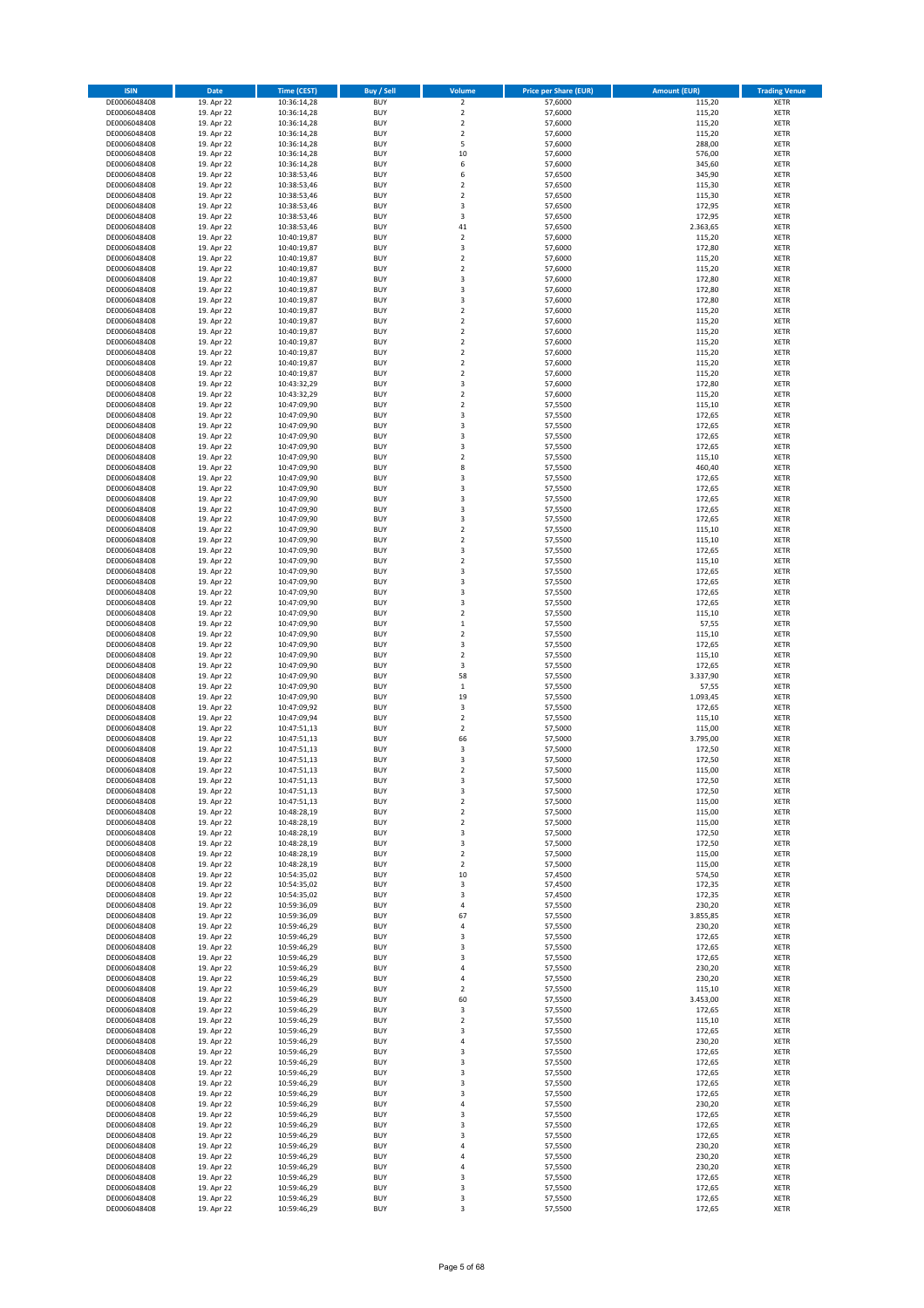| <b>ISIN</b>                  | <b>Date</b>              | <b>Time (CEST)</b>         | <b>Buy / Sell</b>        | Volume                                 | <b>Price per Share (EUR)</b> | <b>Amount (EUR)</b> | <b>Trading Venue</b>       |
|------------------------------|--------------------------|----------------------------|--------------------------|----------------------------------------|------------------------------|---------------------|----------------------------|
| DE0006048408                 | 19. Apr 22               | 10:36:14,28                | <b>BUY</b>               | $\overline{\mathbf{c}}$                | 57,6000                      | 115,20              | XETR                       |
| DE0006048408                 | 19. Apr 22               | 10:36:14,28                | <b>BUY</b>               | $\mathbf 2$                            | 57,6000                      | 115,20              | XETR                       |
| DE0006048408<br>DE0006048408 | 19. Apr 22<br>19. Apr 22 | 10:36:14,28<br>10:36:14,28 | <b>BUY</b><br><b>BUY</b> | $\mathbf 2$<br>$\mathbf 2$             | 57,6000<br>57,6000           | 115,20<br>115,20    | <b>XETR</b><br><b>XETR</b> |
| DE0006048408                 | 19. Apr 22               | 10:36:14,28                | <b>BUY</b>               | 5                                      | 57,6000                      | 288,00              | <b>XETR</b>                |
| DE0006048408                 | 19. Apr 22               | 10:36:14,28                | <b>BUY</b>               | 10                                     | 57,6000                      | 576,00              | <b>XETR</b>                |
| DE0006048408                 | 19. Apr 22               | 10:36:14,28                | <b>BUY</b>               | 6                                      | 57,6000                      | 345,60              | <b>XETR</b>                |
| DE0006048408                 | 19. Apr 22               | 10:38:53,46                | <b>BUY</b>               | 6                                      | 57,6500                      | 345,90              | <b>XETR</b>                |
| DE0006048408<br>DE0006048408 | 19. Apr 22<br>19. Apr 22 | 10:38:53,46                | <b>BUY</b><br><b>BUY</b> | $\mathbf 2$<br>$\overline{\mathbf{c}}$ | 57,6500<br>57,6500           | 115,30<br>115,30    | <b>XETR</b><br><b>XETR</b> |
| DE0006048408                 | 19. Apr 22               | 10:38:53,46<br>10:38:53,46 | <b>BUY</b>               | 3                                      | 57,6500                      | 172,95              | XETR                       |
| DE0006048408                 | 19. Apr 22               | 10:38:53,46                | <b>BUY</b>               | 3                                      | 57,6500                      | 172,95              | <b>XETR</b>                |
| DE0006048408                 | 19. Apr 22               | 10:38:53,46                | <b>BUY</b>               | 41                                     | 57,6500                      | 2.363,65            | XETR                       |
| DE0006048408                 | 19. Apr 22               | 10:40:19,87                | <b>BUY</b>               | $\overline{\mathbf{c}}$                | 57,6000                      | 115,20              | <b>XETR</b>                |
| DE0006048408                 | 19. Apr 22               | 10:40:19,87                | <b>BUY</b>               | 3                                      | 57,6000                      | 172,80              | XETR                       |
| DE0006048408<br>DE0006048408 | 19. Apr 22<br>19. Apr 22 | 10:40:19,87<br>10:40:19,87 | <b>BUY</b><br><b>BUY</b> | $\overline{\mathbf{c}}$<br>2           | 57,6000<br>57,6000           | 115,20<br>115,20    | <b>XETR</b><br>XETR        |
| DE0006048408                 | 19. Apr 22               | 10:40:19,87                | <b>BUY</b>               | 3                                      | 57,6000                      | 172,80              | <b>XETR</b>                |
| DE0006048408                 | 19. Apr 22               | 10:40:19,87                | <b>BUY</b>               | 3                                      | 57,6000                      | 172,80              | XETR                       |
| DE0006048408                 | 19. Apr 22               | 10:40:19,87                | <b>BUY</b>               | 3                                      | 57,6000                      | 172,80              | <b>XETR</b>                |
| DE0006048408                 | 19. Apr 22               | 10:40:19,87                | <b>BUY</b><br><b>BUY</b> | $\mathbf 2$<br>$\mathbf 2$             | 57,6000                      | 115,20<br>115,20    | <b>XETR</b><br><b>XETR</b> |
| DE0006048408<br>DE0006048408 | 19. Apr 22<br>19. Apr 22 | 10:40:19,87<br>10:40:19,87 | <b>BUY</b>               | $\overline{\mathbf{c}}$                | 57,6000<br>57,6000           | 115,20              | <b>XETR</b>                |
| DE0006048408                 | 19. Apr 22               | 10:40:19,87                | <b>BUY</b>               | $\mathbf 2$                            | 57,6000                      | 115,20              | <b>XETR</b>                |
| DE0006048408                 | 19. Apr 22               | 10:40:19,87                | <b>BUY</b>               | $\overline{\mathbf{c}}$                | 57,6000                      | 115,20              | <b>XETR</b>                |
| DE0006048408                 | 19. Apr 22               | 10:40:19,87                | <b>BUY</b>               | $\overline{\mathbf{c}}$                | 57,6000                      | 115,20              | <b>XETR</b>                |
| DE0006048408                 | 19. Apr 22               | 10:40:19,87                | <b>BUY</b>               | $\overline{\mathbf{c}}$                | 57,6000                      | 115,20              | <b>XETR</b>                |
| DE0006048408<br>DE0006048408 | 19. Apr 22<br>19. Apr 22 | 10:43:32,29<br>10:43:32,29 | <b>BUY</b><br><b>BUY</b> | 3<br>$\mathbf 2$                       | 57,6000<br>57,6000           | 172,80<br>115,20    | <b>XETR</b><br><b>XETR</b> |
| DE0006048408                 | 19. Apr 22               | 10:47:09,90                | <b>BUY</b>               | $\mathbf 2$                            | 57,5500                      | 115,10              | <b>XETR</b>                |
| DE0006048408                 | 19. Apr 22               | 10:47:09,90                | <b>BUY</b>               | 3                                      | 57,5500                      | 172,65              | <b>XETR</b>                |
| DE0006048408                 | 19. Apr 22               | 10:47:09,90                | <b>BUY</b>               | 3                                      | 57,5500                      | 172,65              | <b>XETR</b>                |
| DE0006048408                 | 19. Apr 22               | 10:47:09,90                | <b>BUY</b>               | 3                                      | 57,5500                      | 172,65              | <b>XETR</b>                |
| DE0006048408<br>DE0006048408 | 19. Apr 22<br>19. Apr 22 | 10:47:09,90<br>10:47:09,90 | <b>BUY</b><br><b>BUY</b> | 3<br>$\overline{\mathbf{c}}$           | 57,5500<br>57,5500           | 172,65<br>115,10    | XETR<br><b>XETR</b>        |
| DE0006048408                 | 19. Apr 22               | 10:47:09,90                | <b>BUY</b>               | 8                                      | 57,5500                      | 460,40              | XETR                       |
| DE0006048408                 | 19. Apr 22               | 10:47:09,90                | <b>BUY</b>               | 3                                      | 57,5500                      | 172,65              | <b>XETR</b>                |
| DE0006048408                 | 19. Apr 22               | 10:47:09,90                | <b>BUY</b>               | 3                                      | 57,5500                      | 172,65              | XETR                       |
| DE0006048408                 | 19. Apr 22               | 10:47:09,90                | <b>BUY</b>               | 3                                      | 57,5500                      | 172,65              | <b>XETR</b>                |
| DE0006048408                 | 19. Apr 22               | 10:47:09,90                | <b>BUY</b>               | 3                                      | 57,5500                      | 172,65              | <b>XETR</b>                |
| DE0006048408<br>DE0006048408 | 19. Apr 22<br>19. Apr 22 | 10:47:09,90<br>10:47:09,90 | <b>BUY</b><br><b>BUY</b> | 3<br>$\mathbf 2$                       | 57,5500<br>57,5500           | 172,65<br>115,10    | <b>XETR</b><br><b>XETR</b> |
| DE0006048408                 | 19. Apr 22               | 10:47:09,90                | <b>BUY</b>               | $\overline{\mathbf{c}}$                | 57,5500                      | 115,10              | <b>XETR</b>                |
| DE0006048408                 | 19. Apr 22               | 10:47:09,90                | <b>BUY</b>               | 3                                      | 57,5500                      | 172,65              | <b>XETR</b>                |
| DE0006048408                 | 19. Apr 22               | 10:47:09,90                | <b>BUY</b>               | $\overline{\mathbf{c}}$                | 57,5500                      | 115,10              | <b>XETR</b>                |
| DE0006048408                 | 19. Apr 22               | 10:47:09,90                | <b>BUY</b>               | 3                                      | 57,5500                      | 172,65              | XETR                       |
| DE0006048408<br>DE0006048408 | 19. Apr 22<br>19. Apr 22 | 10:47:09,90<br>10:47:09,90 | <b>BUY</b><br><b>BUY</b> | 3<br>3                                 | 57,5500<br>57,5500           | 172,65<br>172,65    | XETR<br><b>XETR</b>        |
| DE0006048408                 | 19. Apr 22               | 10:47:09,90                | <b>BUY</b>               | 3                                      | 57,5500                      | 172,65              | <b>XETR</b>                |
| DE0006048408                 | 19. Apr 22               | 10:47:09,90                | <b>BUY</b>               | $\mathbf 2$                            | 57,5500                      | 115,10              | XETR                       |
| DE0006048408                 | 19. Apr 22               | 10:47:09,90                | <b>BUY</b>               | $\mathbf 1$                            | 57,5500                      | 57,55               | <b>XETR</b>                |
| DE0006048408                 | 19. Apr 22               | 10:47:09,90                | <b>BUY</b>               | $\mathbf 2$                            | 57,5500                      | 115,10              | <b>XETR</b>                |
| DE0006048408                 | 19. Apr 22               | 10:47:09,90                | <b>BUY</b>               | 3                                      | 57,5500                      | 172,65              | <b>XETR</b>                |
| DE0006048408<br>DE0006048408 | 19. Apr 22<br>19. Apr 22 | 10:47:09,90<br>10:47:09,90 | <b>BUY</b><br><b>BUY</b> | $\mathbf 2$<br>3                       | 57,5500<br>57,5500           | 115,10<br>172,65    | <b>XETR</b><br><b>XETR</b> |
| DE0006048408                 | 19. Apr 22               | 10:47:09,90                | <b>BUY</b>               | 58                                     | 57,5500                      | 3.337,90            | <b>XETR</b>                |
| DE0006048408                 | 19. Apr 22               | 10:47:09,90                | <b>BUY</b>               | $\mathbf 1$                            | 57,5500                      | 57,55               | <b>XETR</b>                |
| DE0006048408                 | 19. Apr 22               | 10:47:09,90                | <b>BUY</b>               | 19                                     | 57,5500                      | 1.093,45            | XETR                       |
| DE0006048408                 | 19. Apr 22               | 10:47:09,92                | <b>BUY</b>               | 3                                      | 57,5500                      | 172,65              | XETR                       |
| DE0006048408<br>DE0006048408 | 19. Apr 22<br>19. Apr 22 | 10:47:09,94<br>10:47:51,13 | <b>BUY</b><br><b>BUY</b> | $\mathbf 2$<br>$\mathbf 2$             | 57,5500<br>57,5000           | 115,10<br>115,00    | <b>XETR</b><br>XETR        |
| DE0006048408                 | 19. Apr 22               | 10:47:51,13                | <b>BUY</b>               | 66                                     | 57,5000                      | 3.795,00            | <b>XETR</b>                |
| DE0006048408                 | 19. Apr 22               | 10:47:51,13                | <b>BUY</b>               | 3                                      | 57,5000                      | 172,50              | XETR                       |
| DE0006048408                 | 19. Apr 22               | 10:47:51,13                | <b>BUY</b>               | 3                                      | 57,5000                      | 172,50              | <b>XETR</b>                |
| DE0006048408                 | 19. Apr 22               | 10:47:51,13                | <b>BUY</b>               | $\mathbf 2$                            | 57,5000                      | 115,00              | XETR                       |
| DE0006048408<br>DE0006048408 | 19. Apr 22<br>19. Apr 22 | 10:47:51,13<br>10:47:51,13 | <b>BUY</b><br><b>BUY</b> | 3<br>3                                 | 57,5000<br>57,5000           | 172,50<br>172,50    | XETR<br>XETR               |
| DE0006048408                 | 19. Apr 22               | 10:47:51,13                | <b>BUY</b>               | $\mathbf 2$                            | 57,5000                      | 115,00              | XETR                       |
| DE0006048408                 | 19. Apr 22               | 10:48:28,19                | <b>BUY</b>               | 2                                      | 57,5000                      | 115,00              | XETR                       |
| DE0006048408                 | 19. Apr 22               | 10:48:28,19                | <b>BUY</b>               | $\mathbf 2$                            | 57,5000                      | 115,00              | <b>XETR</b>                |
| DE0006048408                 | 19. Apr 22               | 10:48:28,19                | <b>BUY</b>               | 3                                      | 57,5000                      | 172,50              | XETR                       |
| DE0006048408<br>DE0006048408 | 19. Apr 22<br>19. Apr 22 | 10:48:28,19<br>10:48:28,19 | <b>BUY</b><br><b>BUY</b> | 3<br>$\mathbf 2$                       | 57,5000<br>57,5000           | 172,50<br>115,00    | <b>XETR</b><br>XETR        |
| DE0006048408                 | 19. Apr 22               | 10:48:28,19                | <b>BUY</b>               | $\mathbf 2$                            | 57,5000                      | 115,00              | <b>XETR</b>                |
| DE0006048408                 | 19. Apr 22               | 10:54:35,02                | <b>BUY</b>               | 10                                     | 57,4500                      | 574,50              | XETR                       |
| DE0006048408                 | 19. Apr 22               | 10:54:35,02                | <b>BUY</b>               | 3                                      | 57,4500                      | 172,35              | <b>XETR</b>                |
| DE0006048408                 | 19. Apr 22               | 10:54:35,02                | <b>BUY</b>               | 3                                      | 57,4500                      | 172,35              | XETR                       |
| DE0006048408<br>DE0006048408 | 19. Apr 22<br>19. Apr 22 | 10:59:36,09<br>10:59:36,09 | <b>BUY</b><br><b>BUY</b> | 4<br>67                                | 57,5500<br>57,5500           | 230,20<br>3.855,85  | <b>XETR</b><br>XETR        |
| DE0006048408                 | 19. Apr 22               | 10:59:46,29                | <b>BUY</b>               | 4                                      | 57,5500                      | 230,20              | <b>XETR</b>                |
| DE0006048408                 | 19. Apr 22               | 10:59:46,29                | <b>BUY</b>               | 3                                      | 57,5500                      | 172,65              | XETR                       |
| DE0006048408                 | 19. Apr 22               | 10:59:46,29                | <b>BUY</b>               | 3                                      | 57,5500                      | 172,65              | <b>XETR</b>                |
| DE0006048408                 | 19. Apr 22               | 10:59:46,29                | <b>BUY</b>               | 3                                      | 57,5500                      | 172,65              | <b>XETR</b>                |
| DE0006048408<br>DE0006048408 | 19. Apr 22<br>19. Apr 22 | 10:59:46,29<br>10:59:46,29 | <b>BUY</b><br><b>BUY</b> | 4<br>4                                 | 57,5500<br>57,5500           | 230,20<br>230,20    | <b>XETR</b><br>XETR        |
| DE0006048408                 | 19. Apr 22               | 10:59:46,29                | <b>BUY</b>               | 2                                      | 57,5500                      | 115,10              | <b>XETR</b>                |
| DE0006048408                 | 19. Apr 22               | 10:59:46,29                | <b>BUY</b>               | 60                                     | 57,5500                      | 3.453,00            | <b>XETR</b>                |
| DE0006048408                 | 19. Apr 22               | 10:59:46,29                | <b>BUY</b>               | 3                                      | 57,5500                      | 172,65              | XETR                       |
| DE0006048408                 | 19. Apr 22               | 10:59:46,29                | <b>BUY</b>               | $\overline{\mathbf{c}}$                | 57,5500                      | 115,10              | <b>XETR</b>                |
| DE0006048408<br>DE0006048408 | 19. Apr 22<br>19. Apr 22 | 10:59:46,29<br>10:59:46,29 | <b>BUY</b><br><b>BUY</b> | 3<br>4                                 | 57,5500<br>57,5500           | 172,65<br>230,20    | XETR<br><b>XETR</b>        |
| DE0006048408                 | 19. Apr 22               | 10:59:46,29                | <b>BUY</b>               | 3                                      | 57,5500                      | 172,65              | XETR                       |
| DE0006048408                 | 19. Apr 22               | 10:59:46,29                | <b>BUY</b>               | 3                                      | 57,5500                      | 172,65              | <b>XETR</b>                |
| DE0006048408                 | 19. Apr 22               | 10:59:46,29                | <b>BUY</b>               | 3                                      | 57,5500                      | 172,65              | XETR                       |
| DE0006048408                 | 19. Apr 22               | 10:59:46,29                | <b>BUY</b>               | 3                                      | 57,5500                      | 172,65              | <b>XETR</b>                |
| DE0006048408<br>DE0006048408 | 19. Apr 22<br>19. Apr 22 | 10:59:46,29<br>10:59:46,29 | <b>BUY</b><br><b>BUY</b> | 3<br>4                                 | 57,5500<br>57,5500           | 172,65<br>230,20    | XETR<br><b>XETR</b>        |
| DE0006048408                 | 19. Apr 22               | 10:59:46,29                | <b>BUY</b>               | 3                                      | 57,5500                      | 172,65              | XETR                       |
| DE0006048408                 | 19. Apr 22               | 10:59:46,29                | <b>BUY</b>               | 3                                      | 57,5500                      | 172,65              | <b>XETR</b>                |
| DE0006048408                 | 19. Apr 22               | 10:59:46,29                | <b>BUY</b>               | 3                                      | 57,5500                      | 172,65              | <b>XETR</b>                |
| DE0006048408                 | 19. Apr 22               | 10:59:46,29                | <b>BUY</b>               | 4                                      | 57,5500                      | 230,20              | <b>XETR</b>                |
| DE0006048408<br>DE0006048408 | 19. Apr 22<br>19. Apr 22 | 10:59:46,29<br>10:59:46,29 | <b>BUY</b><br><b>BUY</b> | 4<br>4                                 | 57,5500<br>57,5500           | 230,20<br>230,20    | XETR<br><b>XETR</b>        |
| DE0006048408                 | 19. Apr 22               | 10:59:46,29                | <b>BUY</b>               | 3                                      | 57,5500                      | 172,65              | XETR                       |
| DE0006048408                 | 19. Apr 22               | 10:59:46,29                | <b>BUY</b>               | 3                                      | 57,5500                      | 172,65              | XETR                       |
| DE0006048408                 | 19. Apr 22               | 10:59:46,29                | <b>BUY</b>               | 3                                      | 57,5500                      | 172,65              | XETR                       |
| DE0006048408                 | 19. Apr 22               | 10:59:46,29                | <b>BUY</b>               | 3                                      | 57,5500                      | 172,65              | XETR                       |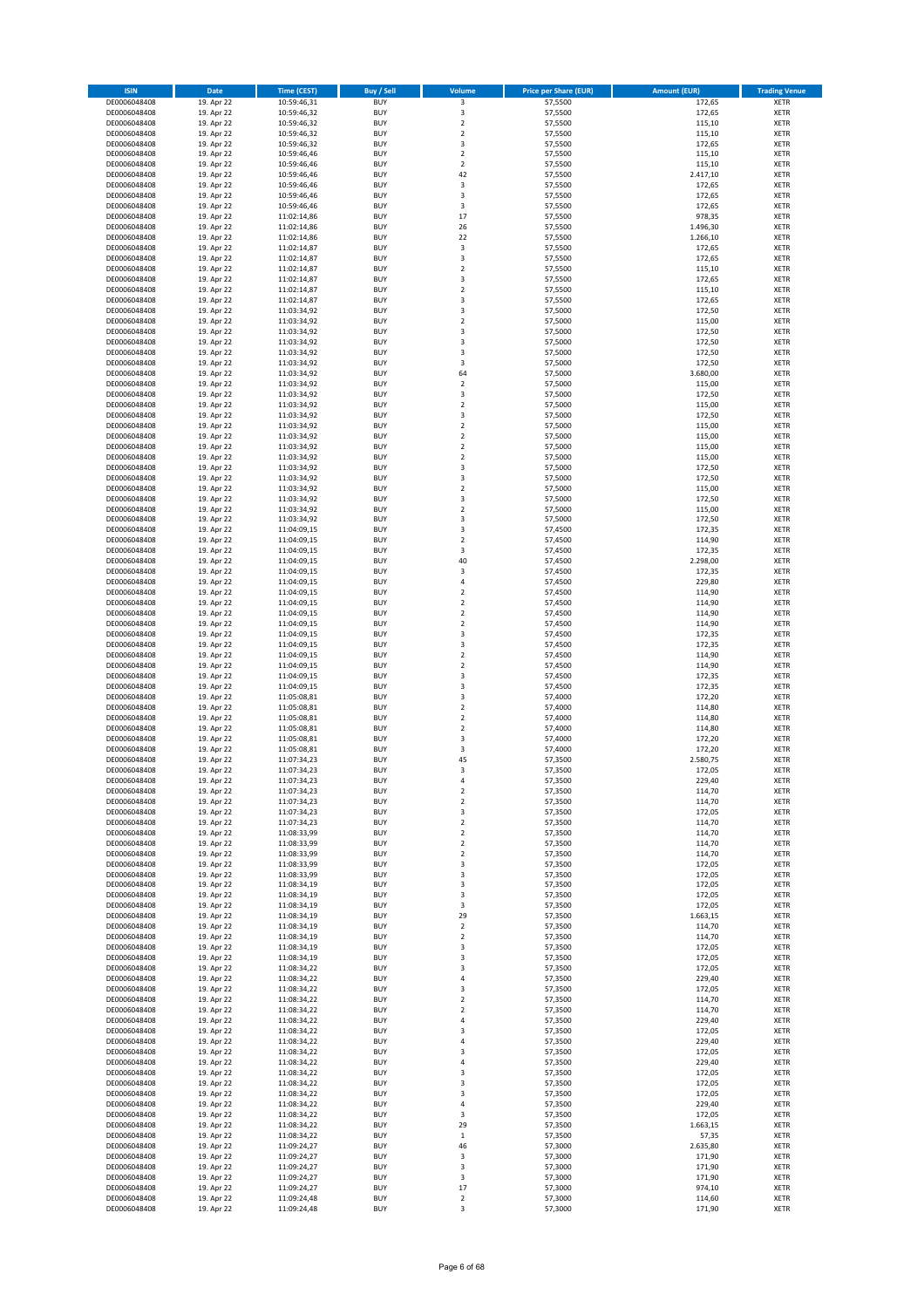| <b>ISIN</b>                  | Date                     | <b>Time (CEST)</b>         | <b>Buy / Sell</b>        | Volume                               | <b>Price per Share (EUR)</b> | <b>Amount (EUR)</b> | <b>Trading Venue</b>       |
|------------------------------|--------------------------|----------------------------|--------------------------|--------------------------------------|------------------------------|---------------------|----------------------------|
| DE0006048408                 | 19. Apr 22               | 10:59:46,31                | <b>BUY</b>               | $\overline{\mathbf{3}}$              | 57,5500                      | 172,65              | <b>XETR</b>                |
| DE0006048408                 | 19. Apr 22               | 10:59:46,32                | <b>BUY</b>               | $\mathsf 3$                          | 57,5500                      | 172,65              | <b>XETR</b>                |
| DE0006048408<br>DE0006048408 | 19. Apr 22<br>19. Apr 22 | 10:59:46,32<br>10:59:46,32 | <b>BUY</b><br><b>BUY</b> | $\mathbf 2$<br>$\mathbf 2$           | 57,5500<br>57,5500           | 115,10<br>115,10    | XETR<br><b>XETR</b>        |
| DE0006048408                 | 19. Apr 22               | 10:59:46,32                | <b>BUY</b>               | 3                                    | 57,5500                      | 172,65              | <b>XETR</b>                |
| DE0006048408                 | 19. Apr 22               | 10:59:46,46                | <b>BUY</b>               | $\overline{2}$                       | 57,5500                      | 115,10              | <b>XETR</b>                |
| DE0006048408                 | 19. Apr 22               | 10:59:46,46                | <b>BUY</b>               | $\overline{2}$                       | 57,5500                      | 115,10              | <b>XETR</b>                |
| DE0006048408                 | 19. Apr 22               | 10:59:46,46                | <b>BUY</b>               | 42                                   | 57,5500                      | 2.417,10            | <b>XETR</b>                |
| DE0006048408                 | 19. Apr 22               | 10:59:46,46                | <b>BUY</b><br><b>BUY</b> | 3<br>3                               | 57,5500                      | 172,65              | XETR<br><b>XETR</b>        |
| DE0006048408<br>DE0006048408 | 19. Apr 22<br>19. Apr 22 | 10:59:46,46<br>10:59:46,46 | <b>BUY</b>               | 3                                    | 57,5500<br>57,5500           | 172,65<br>172,65    | XETR                       |
| DE0006048408                 | 19. Apr 22               | 11:02:14,86                | <b>BUY</b>               | 17                                   | 57,5500                      | 978,35              | <b>XETR</b>                |
| DE0006048408                 | 19. Apr 22               | 11:02:14,86                | <b>BUY</b>               | 26                                   | 57,5500                      | 1.496,30            | XETR                       |
| DE0006048408                 | 19. Apr 22               | 11:02:14,86                | <b>BUY</b>               | 22                                   | 57,5500                      | 1.266,10            | <b>XETR</b>                |
| DE0006048408                 | 19. Apr 22               | 11:02:14,87                | <b>BUY</b>               | $\mathsf 3$                          | 57,5500                      | 172,65              | XETR                       |
| DE0006048408<br>DE0006048408 | 19. Apr 22<br>19. Apr 22 | 11:02:14,87<br>11:02:14,87 | <b>BUY</b><br><b>BUY</b> | 3<br>$\mathbf 2$                     | 57,5500<br>57,5500           | 172,65<br>115,10    | <b>XETR</b><br>XETR        |
| DE0006048408                 | 19. Apr 22               | 11:02:14,87                | <b>BUY</b>               | 3                                    | 57,5500                      | 172,65              | <b>XETR</b>                |
| DE0006048408                 | 19. Apr 22               | 11:02:14,87                | <b>BUY</b>               | $\overline{2}$                       | 57,5500                      | 115,10              | XETR                       |
| DE0006048408                 | 19. Apr 22               | 11:02:14,87                | <b>BUY</b>               | 3                                    | 57,5500                      | 172,65              | <b>XETR</b>                |
| DE0006048408                 | 19. Apr 22               | 11:03:34,92                | <b>BUY</b>               | 3                                    | 57,5000                      | 172,50              | <b>XETR</b>                |
| DE0006048408<br>DE0006048408 | 19. Apr 22<br>19. Apr 22 | 11:03:34,92<br>11:03:34,92 | <b>BUY</b><br><b>BUY</b> | $\mathbf 2$<br>3                     | 57,5000<br>57,5000           | 115,00<br>172,50    | <b>XETR</b><br><b>XETR</b> |
| DE0006048408                 | 19. Apr 22               | 11:03:34,92                | <b>BUY</b>               | $\overline{\mathbf{3}}$              | 57,5000                      | 172,50              | <b>XETR</b>                |
| DE0006048408                 | 19. Apr 22               | 11:03:34,92                | <b>BUY</b>               | 3                                    | 57,5000                      | 172,50              | <b>XETR</b>                |
| DE0006048408                 | 19. Apr 22               | 11:03:34,92                | <b>BUY</b>               | 3                                    | 57,5000                      | 172,50              | <b>XETR</b>                |
| DE0006048408                 | 19. Apr 22               | 11:03:34,92                | <b>BUY</b>               | 64                                   | 57,5000                      | 3.680,00            | <b>XETR</b>                |
| DE0006048408<br>DE0006048408 | 19. Apr 22<br>19. Apr 22 | 11:03:34,92                | <b>BUY</b><br><b>BUY</b> | $\mathbf 2$<br>3                     | 57,5000<br>57,5000           | 115,00<br>172,50    | <b>XETR</b><br><b>XETR</b> |
| DE0006048408                 | 19. Apr 22               | 11:03:34,92<br>11:03:34,92 | <b>BUY</b>               | $\mathbf 2$                          | 57,5000                      | 115,00              | <b>XETR</b>                |
| DE0006048408                 | 19. Apr 22               | 11:03:34,92                | <b>BUY</b>               | 3                                    | 57,5000                      | 172,50              | <b>XETR</b>                |
| DE0006048408                 | 19. Apr 22               | 11:03:34,92                | <b>BUY</b>               | $\mathbf 2$                          | 57,5000                      | 115,00              | <b>XETR</b>                |
| DE0006048408                 | 19. Apr 22               | 11:03:34,92                | <b>BUY</b>               | $\overline{2}$                       | 57,5000                      | 115,00              | <b>XETR</b>                |
| DE0006048408<br>DE0006048408 | 19. Apr 22<br>19. Apr 22 | 11:03:34,92<br>11:03:34,92 | <b>BUY</b><br><b>BUY</b> | $\mathbf 2$<br>$\overline{2}$        | 57,5000<br>57,5000           | 115,00<br>115,00    | XETR<br><b>XETR</b>        |
| DE0006048408                 | 19. Apr 22               | 11:03:34,92                | <b>BUY</b>               | $\overline{\mathbf{3}}$              | 57,5000                      | 172,50              | XETR                       |
| DE0006048408                 | 19. Apr 22               | 11:03:34,92                | <b>BUY</b>               | 3                                    | 57,5000                      | 172,50              | <b>XETR</b>                |
| DE0006048408                 | 19. Apr 22               | 11:03:34,92                | <b>BUY</b>               | $\sqrt{2}$                           | 57,5000                      | 115,00              | XETR                       |
| DE0006048408                 | 19. Apr 22               | 11:03:34,92                | <b>BUY</b>               | 3                                    | 57,5000                      | 172,50              | <b>XETR</b>                |
| DE0006048408                 | 19. Apr 22               | 11:03:34,92                | <b>BUY</b>               | $\overline{2}$                       | 57,5000                      | 115,00              | <b>XETR</b>                |
| DE0006048408<br>DE0006048408 | 19. Apr 22<br>19. Apr 22 | 11:03:34,92<br>11:04:09,15 | <b>BUY</b><br><b>BUY</b> | 3<br>3                               | 57,5000<br>57,4500           | 172,50<br>172,35    | <b>XETR</b><br>XETR        |
| DE0006048408                 | 19. Apr 22               | 11:04:09,15                | <b>BUY</b>               | $\overline{2}$                       | 57,4500                      | 114,90              | <b>XETR</b>                |
| DE0006048408                 | 19. Apr 22               | 11:04:09,15                | <b>BUY</b>               | 3                                    | 57,4500                      | 172,35              | <b>XETR</b>                |
| DE0006048408                 | 19. Apr 22               | 11:04:09,15                | <b>BUY</b>               | 40                                   | 57,4500                      | 2.298,00            | <b>XETR</b>                |
| DE0006048408                 | 19. Apr 22               | 11:04:09,15                | <b>BUY</b>               | 3                                    | 57,4500                      | 172,35              | <b>XETR</b>                |
| DE0006048408<br>DE0006048408 | 19. Apr 22<br>19. Apr 22 | 11:04:09,15<br>11:04:09,15 | <b>BUY</b><br><b>BUY</b> | 4<br>$\sqrt{2}$                      | 57,4500<br>57,4500           | 229,80<br>114,90    | XETR<br><b>XETR</b>        |
| DE0006048408                 | 19. Apr 22               | 11:04:09,15                | <b>BUY</b>               | $\mathbf 2$                          | 57,4500                      | 114,90              | <b>XETR</b>                |
| DE0006048408                 | 19. Apr 22               | 11:04:09,15                | <b>BUY</b>               | $\mathbf 2$                          | 57,4500                      | 114,90              | <b>XETR</b>                |
| DE0006048408                 | 19. Apr 22               | 11:04:09,15                | <b>BUY</b>               | $\mathbf 2$                          | 57,4500                      | 114,90              | <b>XETR</b>                |
| DE0006048408                 | 19. Apr 22               | 11:04:09,15                | <b>BUY</b>               | 3                                    | 57,4500                      | 172,35              | <b>XETR</b>                |
| DE0006048408<br>DE0006048408 | 19. Apr 22               | 11:04:09,15                | <b>BUY</b><br><b>BUY</b> | 3<br>$\overline{2}$                  | 57,4500                      | 172,35              | <b>XETR</b><br><b>XETR</b> |
| DE0006048408                 | 19. Apr 22<br>19. Apr 22 | 11:04:09,15<br>11:04:09,15 | <b>BUY</b>               | $\mathbf 2$                          | 57,4500<br>57,4500           | 114,90<br>114,90    | <b>XETR</b>                |
| DE0006048408                 | 19. Apr 22               | 11:04:09,15                | <b>BUY</b>               | 3                                    | 57,4500                      | 172,35              | <b>XETR</b>                |
| DE0006048408                 | 19. Apr 22               | 11:04:09,15                | <b>BUY</b>               | $\overline{\mathbf{3}}$              | 57,4500                      | 172,35              | <b>XETR</b>                |
| DE0006048408                 | 19. Apr 22               | 11:05:08,81                | <b>BUY</b>               | 3                                    | 57,4000                      | 172,20              | <b>XETR</b>                |
| DE0006048408                 | 19. Apr 22               | 11:05:08,81                | <b>BUY</b>               | $\mathbf 2$                          | 57,4000                      | 114,80              | <b>XETR</b>                |
| DE0006048408<br>DE0006048408 | 19. Apr 22<br>19. Apr 22 | 11:05:08,81<br>11:05:08,81 | <b>BUY</b><br><b>BUY</b> | $\overline{2}$<br>$\mathbf 2$        | 57,4000<br>57,4000           | 114,80<br>114,80    | <b>XETR</b><br>XETR        |
| DE0006048408                 | 19. Apr 22               | 11:05:08,81                | <b>BUY</b>               | 3                                    | 57,4000                      | 172,20              | <b>XETR</b>                |
| DE0006048408                 | 19. Apr 22               | 11:05:08,81                | <b>BUY</b>               | 3                                    | 57,4000                      | 172,20              | XETR                       |
| DE0006048408                 | 19. Apr 22               | 11:07:34,23                | <b>BUY</b>               | 45                                   | 57,3500                      | 2.580,75            | <b>XETR</b>                |
| DE0006048408                 | 19. Apr 22               | 11:07:34,23                | <b>BUY</b>               | 3                                    | 57,3500                      | 172,05              | <b>XETR</b>                |
| DE0006048408<br>DE0006048408 | 19. Apr 22<br>19. Apr 22 | 11:07:34,23<br>11:07:34,23 | <b>BUY</b><br><b>BUY</b> | 4<br>$\mathbf 2$                     | 57,3500<br>57,3500           | 229,40<br>114,70    | XETR<br>XETR               |
| DE0006048408                 | 19. Apr 22               | 11:07:34,23                | <b>BUY</b>               | $\boldsymbol{2}$                     | 57,3500                      | 114,70              | XETR                       |
| DE0006048408                 | 19. Apr 22               | 11:07:34,23                | <b>BUY</b>               | 3                                    | 57,3500                      | 172,05              | XETR                       |
| DE0006048408                 | 19. Apr 22               | 11:07:34,23                | <b>BUY</b>               | $\mathbf 2$                          | 57,3500                      | 114,70              | XETR                       |
| DE0006048408                 | 19. Apr 22               | 11:08:33,99                | <b>BUY</b>               | $\overline{\mathbf{c}}$              | 57,3500                      | 114,70              | XETR                       |
| DE0006048408<br>DE0006048408 | 19. Apr 22<br>19. Apr 22 | 11:08:33,99<br>11:08:33,99 | <b>BUY</b><br><b>BUY</b> | $\boldsymbol{2}$<br>$\boldsymbol{2}$ | 57,3500<br>57,3500           | 114,70<br>114,70    | <b>XETR</b><br>XETR        |
| DE0006048408                 | 19. Apr 22               | 11:08:33,99                | <b>BUY</b>               | 3                                    | 57,3500                      | 172,05              | <b>XETR</b>                |
| DE0006048408                 | 19. Apr 22               | 11:08:33,99                | <b>BUY</b>               | 3                                    | 57,3500                      | 172,05              | XETR                       |
| DE0006048408                 | 19. Apr 22               | 11:08:34,19                | <b>BUY</b>               | 3                                    | 57,3500                      | 172,05              | <b>XETR</b>                |
| DE0006048408                 | 19. Apr 22               | 11:08:34,19                | <b>BUY</b>               | 3                                    | 57,3500                      | 172,05              | <b>XETR</b>                |
| DE0006048408<br>DE0006048408 | 19. Apr 22<br>19. Apr 22 | 11:08:34,19<br>11:08:34,19 | <b>BUY</b><br><b>BUY</b> | 3<br>29                              | 57,3500<br>57,3500           | 172,05<br>1.663,15  | <b>XETR</b><br>XETR        |
| DE0006048408                 | 19. Apr 22               | 11:08:34,19                | <b>BUY</b>               | $\boldsymbol{2}$                     | 57,3500                      | 114,70              | <b>XETR</b>                |
| DE0006048408                 | 19. Apr 22               | 11:08:34,19                | <b>BUY</b>               | $\mathbf 2$                          | 57,3500                      | 114,70              | <b>XETR</b>                |
| DE0006048408                 | 19. Apr 22               | 11:08:34,19                | <b>BUY</b>               | 3                                    | 57,3500                      | 172,05              | <b>XETR</b>                |
| DE0006048408                 | 19. Apr 22               | 11:08:34,19                | <b>BUY</b>               | 3                                    | 57,3500                      | 172,05              | <b>XETR</b>                |
| DE0006048408<br>DE0006048408 | 19. Apr 22<br>19. Apr 22 | 11:08:34,22<br>11:08:34,22 | <b>BUY</b><br><b>BUY</b> | 3<br>4                               | 57,3500<br>57,3500           | 172,05<br>229,40    | <b>XETR</b><br><b>XETR</b> |
| DE0006048408                 | 19. Apr 22               | 11:08:34,22                | <b>BUY</b>               | 3                                    | 57,3500                      | 172,05              | <b>XETR</b>                |
| DE0006048408                 | 19. Apr 22               | 11:08:34,22                | <b>BUY</b>               | $\overline{2}$                       | 57,3500                      | 114,70              | XETR                       |
| DE0006048408                 | 19. Apr 22               | 11:08:34,22                | <b>BUY</b>               | $\overline{\mathbf{c}}$              | 57,3500                      | 114,70              | XETR                       |
| DE0006048408<br>DE0006048408 | 19. Apr 22<br>19. Apr 22 | 11:08:34,22                | <b>BUY</b><br><b>BUY</b> | 4                                    | 57,3500                      | 229,40<br>172,05    | XETR                       |
| DE0006048408                 | 19. Apr 22               | 11:08:34,22<br>11:08:34,22 | <b>BUY</b>               | 3<br>$\overline{4}$                  | 57,3500<br>57,3500           | 229,40              | XETR<br><b>XETR</b>        |
| DE0006048408                 | 19. Apr 22               | 11:08:34,22                | <b>BUY</b>               | 3                                    | 57,3500                      | 172,05              | XETR                       |
| DE0006048408                 | 19. Apr 22               | 11:08:34,22                | <b>BUY</b>               | 4                                    | 57,3500                      | 229,40              | XETR                       |
| DE0006048408                 | 19. Apr 22               | 11:08:34,22                | <b>BUY</b>               | 3                                    | 57,3500                      | 172,05              | XETR                       |
| DE0006048408                 | 19. Apr 22               | 11:08:34,22                | <b>BUY</b>               | 3                                    | 57,3500                      | 172,05              | XETR                       |
| DE0006048408<br>DE0006048408 | 19. Apr 22<br>19. Apr 22 | 11:08:34,22<br>11:08:34,22 | <b>BUY</b><br><b>BUY</b> | 3<br>4                               | 57,3500<br>57,3500           | 172,05<br>229,40    | XETR<br>XETR               |
| DE0006048408                 | 19. Apr 22               | 11:08:34,22                | <b>BUY</b>               | 3                                    | 57,3500                      | 172,05              | XETR                       |
| DE0006048408                 | 19. Apr 22               | 11:08:34,22                | <b>BUY</b>               | 29                                   | 57,3500                      | 1.663,15            | <b>XETR</b>                |
| DE0006048408                 | 19. Apr 22               | 11:08:34,22                | <b>BUY</b>               | $\mathbf{1}$                         | 57,3500                      | 57,35               | <b>XETR</b>                |
| DE0006048408                 | 19. Apr 22               | 11:09:24,27                | <b>BUY</b>               | 46                                   | 57,3000                      | 2.635,80            | <b>XETR</b>                |
| DE0006048408<br>DE0006048408 | 19. Apr 22<br>19. Apr 22 | 11:09:24,27<br>11:09:24,27 | <b>BUY</b><br><b>BUY</b> | 3<br>3                               | 57,3000<br>57,3000           | 171,90<br>171,90    | <b>XETR</b><br><b>XETR</b> |
| DE0006048408                 | 19. Apr 22               | 11:09:24,27                | <b>BUY</b>               | 3                                    | 57,3000                      | 171,90              | <b>XETR</b>                |
| DE0006048408                 | 19. Apr 22               | 11:09:24,27                | <b>BUY</b>               | 17                                   | 57,3000                      | 974,10              | <b>XETR</b>                |
| DE0006048408                 | 19. Apr 22               | 11:09:24,48                | <b>BUY</b>               | $\mathbf 2$                          | 57,3000                      | 114,60              | XETR                       |
| DE0006048408                 | 19. Apr 22               | 11:09:24,48                | <b>BUY</b>               | 3                                    | 57,3000                      | 171,90              | <b>XETR</b>                |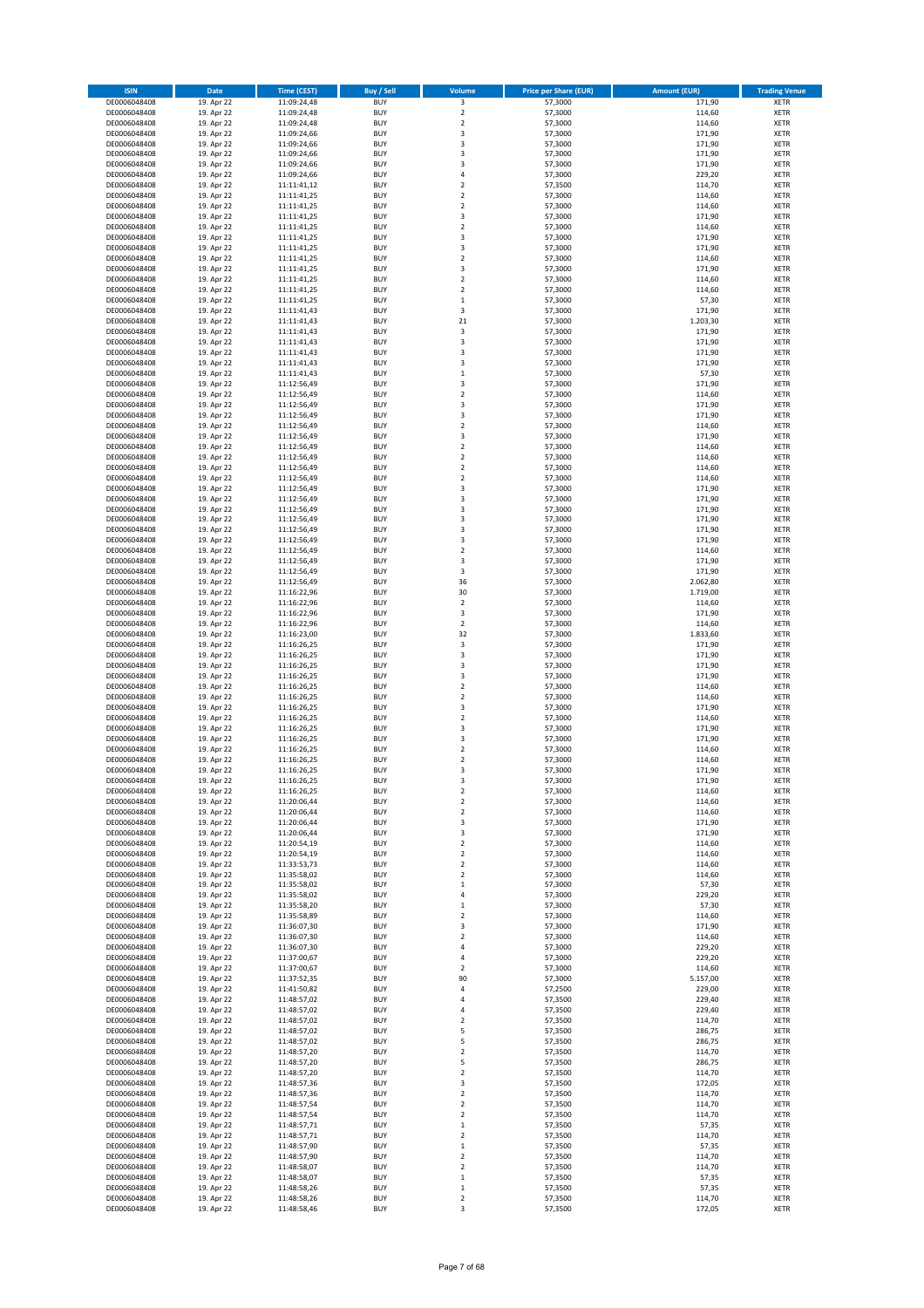| <b>BUY</b><br>$\overline{\mathbf{3}}$<br><b>XETR</b><br>DE0006048408<br>19. Apr 22<br>11:09:24,48<br>57,3000<br>171,90<br>$\mathbf 2$<br>57,3000<br>114,60<br>DE0006048408<br>19. Apr 22<br>11:09:24,48<br><b>BUY</b><br>XETR<br><b>BUY</b><br>$\mathbf 2$<br>57,3000<br>114,60<br>DE0006048408<br>19. Apr 22<br>11:09:24,48<br>XETR<br>57,3000<br>171,90<br>DE0006048408<br>19. Apr 22<br>11:09:24,66<br><b>BUY</b><br>3<br>XETR<br>171,90<br>DE0006048408<br>19. Apr 22<br>11:09:24,66<br><b>BUY</b><br>3<br>57,3000<br>XETR<br>19. Apr 22<br>171,90<br>DE0006048408<br>11:09:24,66<br><b>BUY</b><br>3<br>57,3000<br><b>XETR</b><br>19. Apr 22<br>171,90<br>DE0006048408<br>11:09:24,66<br><b>BUY</b><br>3<br>57,3000<br>XETR<br>DE0006048408<br>19. Apr 22<br>11:09:24,66<br><b>BUY</b><br>$\overline{4}$<br>57,3000<br>229,20<br><b>XETR</b><br><b>BUY</b><br>114,70<br>DE0006048408<br>19. Apr 22<br>11:11:41,12<br>$\overline{\mathbf{c}}$<br>57,3500<br><b>XETR</b><br>DE0006048408<br>19. Apr 22<br>11:11:41,25<br><b>BUY</b><br>$\overline{\mathbf{c}}$<br>57,3000<br>114,60<br><b>XETR</b><br><b>BUY</b><br>$\mathbf 2$<br>DE0006048408<br>19. Apr 22<br>11:11:41,25<br>57,3000<br>114,60<br>XETR<br>DE0006048408<br>19. Apr 22<br>11:11:41,25<br><b>BUY</b><br>3<br>57,3000<br>171,90<br><b>XETR</b><br>DE0006048408<br>19. Apr 22<br>11:11:41,25<br><b>BUY</b><br>$\mathbf 2$<br>57,3000<br>114,60<br>XETR<br>DE0006048408<br>19. Apr 22<br>11:11:41,25<br><b>BUY</b><br>3<br>57,3000<br>171,90<br><b>XETR</b><br>3<br>DE0006048408<br>19. Apr 22<br>11:11:41,25<br><b>BUY</b><br>57,3000<br>171,90<br>XETR<br>DE0006048408<br>19. Apr 22<br><b>BUY</b><br>$\mathbf 2$<br>57,3000<br>114,60<br><b>XETR</b><br>11:11:41,25<br>DE0006048408<br>19. Apr 22<br><b>BUY</b><br>3<br>57,3000<br>171,90<br>XETR<br>11:11:41,25<br>DE0006048408<br>19. Apr 22<br>11:11:41,25<br><b>BUY</b><br>$\mathbf 2$<br>57,3000<br>114,60<br><b>XETR</b><br>19. Apr 22<br><b>BUY</b><br>$\mathbf 2$<br>114,60<br>DE0006048408<br>11:11:41,25<br>57,3000<br>XETR<br><b>BUY</b><br>57,30<br>DE0006048408<br>19. Apr 22<br>11:11:41,25<br>$\mathbf 1$<br>57,3000<br><b>XETR</b><br>DE0006048408<br>19. Apr 22<br>11:11:41,43<br><b>BUY</b><br>3<br>57,3000<br>171,90<br>XETR<br>21<br>DE0006048408<br>19. Apr 22<br><b>BUY</b><br>57,3000<br>1.203,30<br>XETR<br>11:11:41,43<br>DE0006048408<br>19. Apr 22<br>11:11:41,43<br><b>BUY</b><br>3<br>57,3000<br>171,90<br><b>XETR</b><br>3<br>DE0006048408<br>19. Apr 22<br>11:11:41,43<br><b>BUY</b><br>57,3000<br>171,90<br>XETR<br>DE0006048408<br>19. Apr 22<br>11:11:41,43<br><b>BUY</b><br>3<br>57,3000<br>171,90<br><b>XETR</b><br>DE0006048408<br>19. Apr 22<br><b>BUY</b><br>3<br>57,3000<br>171,90<br>XETR<br>11:11:41,43<br>DE0006048408<br>19. Apr 22<br>11:11:41,43<br><b>BUY</b><br>$\mathbf 1$<br>57,3000<br>57,30<br><b>XETR</b><br>19. Apr 22<br>11:12:56,49<br><b>BUY</b><br>3<br>57,3000<br>171,90<br>XETR<br>DE0006048408<br>DE0006048408<br>19. Apr 22<br>11:12:56,49<br><b>BUY</b><br>$\mathbf 2$<br>57,3000<br>114,60<br>XETR<br>DE0006048408<br>19. Apr 22<br><b>BUY</b><br>3<br>57,3000<br>171,90<br>XETR<br>11:12:56,49<br>DE0006048408<br>19. Apr 22<br>11:12:56,49<br><b>BUY</b><br>3<br>57,3000<br>171,90<br><b>XETR</b><br>$\mathbf 2$<br>DE0006048408<br>19. Apr 22<br>11:12:56,49<br><b>BUY</b><br>57,3000<br>114,60<br><b>XETR</b><br>DE0006048408<br>19. Apr 22<br>11:12:56,49<br><b>BUY</b><br>3<br>57,3000<br>171,90<br><b>XETR</b><br>19. Apr 22<br>11:12:56,49<br><b>BUY</b><br>$\mathbf 2$<br>57,3000<br>114,60<br>XETR<br>DE0006048408<br>DE0006048408<br>19. Apr 22<br>11:12:56,49<br><b>BUY</b><br>$\mathbf 2$<br>57,3000<br>114,60<br><b>XETR</b><br><b>BUY</b><br>$\mathbf 2$<br>19. Apr 22<br>11:12:56,49<br>57,3000<br>114,60<br>XETR<br>DE0006048408<br>DE0006048408<br>19. Apr 22<br>11:12:56,49<br><b>BUY</b><br>$\mathbf 2$<br>57,3000<br>114,60<br><b>XETR</b><br><b>BUY</b><br>171,90<br>DE0006048408<br>19. Apr 22<br>11:12:56,49<br>3<br>57,3000<br>XETR<br>DE0006048408<br>19. Apr 22<br>11:12:56,49<br><b>BUY</b><br>3<br>57,3000<br>171,90<br><b>XETR</b><br>19. Apr 22<br>3<br>171,90<br><b>XETR</b><br>DE0006048408<br>11:12:56,49<br><b>BUY</b><br>57,3000<br>DE0006048408<br>19. Apr 22<br>11:12:56,49<br><b>BUY</b><br>3<br>57,3000<br>171,90<br><b>XETR</b><br><b>BUY</b><br>171,90<br>DE0006048408<br>19. Apr 22<br>11:12:56,49<br>3<br>57,3000<br><b>XETR</b><br>DE0006048408<br>19. Apr 22<br>11:12:56,49<br><b>BUY</b><br>3<br>57,3000<br>171,90<br><b>XETR</b><br><b>BUY</b><br>$\mathbf 2$<br>XETR<br>DE0006048408<br>19. Apr 22<br>11:12:56,49<br>57,3000<br>114,60<br>DE0006048408<br>19. Apr 22<br>11:12:56,49<br><b>BUY</b><br>3<br>57,3000<br>171,90<br><b>XETR</b><br><b>BUY</b><br>171,90<br>DE0006048408<br>19. Apr 22<br>11:12:56,49<br>3<br>57,3000<br>XETR<br><b>BUY</b><br>DE0006048408<br>19. Apr 22<br>11:12:56,49<br>36<br>57,3000<br>2.062,80<br>XETR<br>DE0006048408<br>19. Apr 22<br>11:16:22,96<br><b>BUY</b><br>30<br>57,3000<br>1.719,00<br><b>XETR</b><br>DE0006048408<br>19. Apr 22<br><b>BUY</b><br>$\mathbf 2$<br>57,3000<br>114,60<br>11:16:22,96<br><b>XETR</b><br>DE0006048408<br>19. Apr 22<br><b>BUY</b><br>3<br>57,3000<br>171,90<br><b>XETR</b><br>11:16:22,96<br>DE0006048408<br>19. Apr 22<br><b>BUY</b><br>$\mathbf 2$<br>57,3000<br>114,60<br>11:16:22,96<br><b>XETR</b><br>DE0006048408<br>19. Apr 22<br>11:16:23,00<br><b>BUY</b><br>32<br>57,3000<br>1.833,60<br><b>XETR</b><br>3<br>19. Apr 22<br><b>BUY</b><br>57,3000<br>171,90<br>DE0006048408<br>11:16:26,25<br><b>XETR</b><br>DE0006048408<br>19. Apr 22<br>11:16:26,25<br><b>BUY</b><br>3<br>57,3000<br>171,90<br>XETR<br>DE0006048408<br>19. Apr 22<br><b>BUY</b><br>3<br>57,3000<br>171,90<br>XETR<br>11:16:26,25<br>171,90<br>DE0006048408<br>19. Apr 22<br>11:16:26,25<br><b>BUY</b><br>3<br>57,3000<br><b>XETR</b><br>$\mathbf 2$<br>DE0006048408<br>19. Apr 22<br>11:16:26,25<br><b>BUY</b><br>57,3000<br>114,60<br>XETR<br>DE0006048408<br>19. Apr 22<br>11:16:26,25<br><b>BUY</b><br>$\overline{\mathbf{c}}$<br>57,3000<br>114,60<br><b>XETR</b><br>DE0006048408<br>19. Apr 22<br>11:16:26,25<br><b>BUY</b><br>3<br>57,3000<br>171,90<br>XETR<br>DE0006048408<br>19. Apr 22<br><b>BUY</b><br>$\overline{\mathbf{c}}$<br>57,3000<br>114,60<br><b>XETR</b><br>11:16:26,25<br>171,90<br>19. Apr 22<br><b>BUY</b><br>3<br>57,3000<br>XETR<br>DE0006048408<br>11:16:26,25<br>DE0006048408<br>19. Apr 22<br>11:16:26,25<br><b>BUY</b><br>3<br>57,3000<br>171,90<br><b>XETR</b><br>DE0006048408<br><b>BUY</b><br>$\mathbf 2$<br>57,3000<br>114,60<br>XETR<br>19. Apr 22<br>11:16:26,25<br>DE0006048408<br>19. Apr 22<br>11:16:26,25<br><b>BUY</b><br>$\overline{\mathbf{c}}$<br>57,3000<br>114,60<br><b>XETR</b><br>DE0006048408<br>19. Apr 22<br>11:16:26,25<br><b>BUY</b><br>3<br>57,3000<br>171,90<br><b>XETR</b><br>DE0006048408<br>19. Apr 22<br>11:16:26,25<br><b>BUY</b><br>3<br>57,3000<br>171,90<br>XETR<br>$\boldsymbol{2}$<br>57,3000<br>DE0006048408<br>19. Apr 22<br>11:16:26,25<br><b>BUY</b><br>114,60<br>XETR<br>DE0006048408<br>19. Apr 22<br>11:20:06,44<br><b>BUY</b><br>$\mathbf 2$<br>57,3000<br>114,60<br>XETR<br>57,3000<br>DE0006048408<br>19. Apr 22<br>11:20:06,44<br><b>BUY</b><br>114,60<br>XETR<br>2<br>DE0006048408<br>19. Apr 22<br>11:20:06,44<br><b>BUY</b><br>3<br>57,3000<br>171,90<br><b>XETR</b><br>11:20:06,44<br><b>BUY</b><br>57,3000<br>171,90<br>XETR<br>DE0006048408<br>19. Apr 22<br>3<br>DE0006048408<br>19. Apr 22<br>11:20:54,19<br><b>BUY</b><br>$\mathbf 2$<br>57,3000<br>114,60<br><b>XETR</b><br>DE0006048408<br>19. Apr 22<br>11:20:54,19<br><b>BUY</b><br>$\mathbf 2$<br>57,3000<br>114,60<br>XETR<br>19. Apr 22<br>$\mathbf 2$<br>57,3000<br>DE0006048408<br>11:33:53,73<br><b>BUY</b><br>114,60<br><b>XETR</b><br>DE0006048408<br>19. Apr 22<br>11:35:58,02<br><b>BUY</b><br>$\mathbf 2$<br>57,3000<br>114,60<br>XETR<br><b>BUY</b><br>57,3000<br>57,30<br>DE0006048408<br>19. Apr 22<br>11:35:58,02<br>$\mathbf 1$<br><b>XETR</b><br>19. Apr 22<br>11:35:58,02<br><b>BUY</b><br>4<br>57,3000<br>229,20<br>XETR<br>DE0006048408<br><b>BUY</b><br>57,3000<br>DE0006048408<br>19. Apr 22<br>11:35:58,20<br>$\mathbf 1$<br>57,30<br><b>XETR</b><br>19. Apr 22<br><b>BUY</b><br>57,3000<br>114,60<br>XETR<br>DE0006048408<br>11:35:58,89<br>2<br>DE0006048408<br>19. Apr 22<br>11:36:07,30<br><b>BUY</b><br>3<br>57,3000<br>171,90<br><b>XETR</b><br>DE0006048408<br>19. Apr 22<br><b>BUY</b><br>$\mathbf 2$<br>57,3000<br>114,60<br>XETR<br>11:36:07,30<br>DE0006048408<br>19. Apr 22<br>11:36:07,30<br><b>BUY</b><br>4<br>57,3000<br>229,20<br><b>XETR</b><br>19. Apr 22<br><b>BUY</b><br>57,3000<br>229,20<br>DE0006048408<br>11:37:00,67<br>4<br><b>XETR</b><br>DE0006048408<br>19. Apr 22<br>11:37:00,67<br><b>BUY</b><br>2<br>57,3000<br>114,60<br><b>XETR</b><br>19. Apr 22<br><b>BUY</b><br>90<br>57,3000<br>5.157,00<br>XETR<br>DE0006048408<br>11:37:52,35<br><b>BUY</b><br>57,2500<br>229,00<br>DE0006048408<br>19. Apr 22<br>11:41:50,82<br>4<br><b>XETR</b><br><b>BUY</b><br>57,3500<br>229,40<br>DE0006048408<br>19. Apr 22<br>11:48:57,02<br>4<br><b>XETR</b><br><b>BUY</b><br>57,3500<br>229,40<br>XETR<br>DE0006048408<br>19. Apr 22<br>11:48:57,02<br>4<br>DE0006048408<br>19. Apr 22<br>11:48:57,02<br><b>BUY</b><br>57,3500<br>114,70<br><b>XETR</b><br>$\overline{\mathbf{2}}$<br>DE0006048408<br>19. Apr 22<br><b>BUY</b><br>5<br>286,75<br>XETR<br>11:48:57,02<br>57,3500<br>DE0006048408<br>19. Apr 22<br><b>BUY</b><br>5<br>57,3500<br>286,75<br>11:48:57,02<br><b>XETR</b><br>19. Apr 22<br><b>BUY</b><br>57,3500<br>114,70<br>XETR<br>DE0006048408<br>11:48:57,20<br>2<br>19. Apr 22<br><b>BUY</b><br>5<br>57,3500<br>286,75<br><b>XETR</b><br>DE0006048408<br>11:48:57,20<br>19. Apr 22<br><b>BUY</b><br>$\mathbf 2$<br>57,3500<br>114,70<br>XETR<br>DE0006048408<br>11:48:57,20<br><b>BUY</b><br>3<br>57,3500<br>172,05<br><b>XETR</b><br>DE0006048408<br>19. Apr 22<br>11:48:57,36<br><b>BUY</b><br>57,3500<br>114,70<br>XETR<br>DE0006048408<br>19. Apr 22<br>11:48:57,36<br>2<br>DE0006048408<br>19. Apr 22<br><b>BUY</b><br>57,3500<br>114,70<br><b>XETR</b><br>11:48:57,54<br>2<br>DE0006048408<br>19. Apr 22<br><b>BUY</b><br>114,70<br>XETR<br>11:48:57,54<br>2<br>57,3500<br>DE0006048408<br>19. Apr 22<br><b>BUY</b><br>57,3500<br>11:48:57,71<br>$\mathbf 1$<br>57,35<br><b>XETR</b><br><b>BUY</b><br>114,70<br>DE0006048408<br>19. Apr 22<br>11:48:57,71<br>2<br>57,3500<br><b>XETR</b><br>DE0006048408<br>19. Apr 22<br>11:48:57,90<br><b>BUY</b><br>$\mathbf 1$<br>57,3500<br>57,35<br><b>XETR</b><br>19. Apr 22<br><b>BUY</b><br>$\mathbf 2$<br>57,3500<br>114,70<br>XETR<br>DE0006048408<br>11:48:57,90<br>$\mathbf 2$<br>114,70<br>DE0006048408<br>19. Apr 22<br>11:48:58,07<br><b>BUY</b><br>57,3500<br><b>XETR</b><br>DE0006048408<br>19. Apr 22<br><b>BUY</b><br>57,3500<br>57,35<br>XETR<br>11:48:58,07<br>$\mathbf 1$<br>57,3500<br>57,35<br>DE0006048408<br>19. Apr 22<br>11:48:58,26<br><b>BUY</b><br>$\mathbf 1$<br>XETR<br>DE0006048408<br>19. Apr 22<br><b>BUY</b><br>$\boldsymbol{2}$<br>57,3500<br>114,70<br>XETR<br>11:48:58,26 | <b>ISIN</b>  | <b>Date</b> | Time (CEST) | <b>Buy / Sell</b> | Volume | <b>Price per Share (EUR)</b> | <b>Amount (EUR)</b> | <b>Trading Venue</b> |
|--------------------------------------------------------------------------------------------------------------------------------------------------------------------------------------------------------------------------------------------------------------------------------------------------------------------------------------------------------------------------------------------------------------------------------------------------------------------------------------------------------------------------------------------------------------------------------------------------------------------------------------------------------------------------------------------------------------------------------------------------------------------------------------------------------------------------------------------------------------------------------------------------------------------------------------------------------------------------------------------------------------------------------------------------------------------------------------------------------------------------------------------------------------------------------------------------------------------------------------------------------------------------------------------------------------------------------------------------------------------------------------------------------------------------------------------------------------------------------------------------------------------------------------------------------------------------------------------------------------------------------------------------------------------------------------------------------------------------------------------------------------------------------------------------------------------------------------------------------------------------------------------------------------------------------------------------------------------------------------------------------------------------------------------------------------------------------------------------------------------------------------------------------------------------------------------------------------------------------------------------------------------------------------------------------------------------------------------------------------------------------------------------------------------------------------------------------------------------------------------------------------------------------------------------------------------------------------------------------------------------------------------------------------------------------------------------------------------------------------------------------------------------------------------------------------------------------------------------------------------------------------------------------------------------------------------------------------------------------------------------------------------------------------------------------------------------------------------------------------------------------------------------------------------------------------------------------------------------------------------------------------------------------------------------------------------------------------------------------------------------------------------------------------------------------------------------------------------------------------------------------------------------------------------------------------------------------------------------------------------------------------------------------------------------------------------------------------------------------------------------------------------------------------------------------------------------------------------------------------------------------------------------------------------------------------------------------------------------------------------------------------------------------------------------------------------------------------------------------------------------------------------------------------------------------------------------------------------------------------------------------------------------------------------------------------------------------------------------------------------------------------------------------------------------------------------------------------------------------------------------------------------------------------------------------------------------------------------------------------------------------------------------------------------------------------------------------------------------------------------------------------------------------------------------------------------------------------------------------------------------------------------------------------------------------------------------------------------------------------------------------------------------------------------------------------------------------------------------------------------------------------------------------------------------------------------------------------------------------------------------------------------------------------------------------------------------------------------------------------------------------------------------------------------------------------------------------------------------------------------------------------------------------------------------------------------------------------------------------------------------------------------------------------------------------------------------------------------------------------------------------------------------------------------------------------------------------------------------------------------------------------------------------------------------------------------------------------------------------------------------------------------------------------------------------------------------------------------------------------------------------------------------------------------------------------------------------------------------------------------------------------------------------------------------------------------------------------------------------------------------------------------------------------------------------------------------------------------------------------------------------------------------------------------------------------------------------------------------------------------------------------------------------------------------------------------------------------------------------------------------------------------------------------------------------------------------------------------------------------------------------------------------------------------------------------------------------------------------------------------------------------------------------------------------------------------------------------------------------------------------------------------------------------------------------------------------------------------------------------------------------------------------------------------------------------------------------------------------------------------------------------------------------------------------------------------------------------------------------------------------------------------------------------------------------------------------------------------------------------------------------------------------------------------------------------------------------------------------------------------------------------------------------------------------------------------------------------------------------------------------------------------------------------------------------------------------------------------------------------------------------------------------------------------------------------------------------------------------------------------------------------------------------------------------------------------------------------------------------------------------------------------------------------------------------------------------------------------------------------------------------------------------------------------------------------------------------------------------------------------------------------------------------------------------------------------------------------------------------------------------------------------------------------------------------------------------------------------------------------------------------------------------------------------------------------------------------------------------------------------------------------------------------------------------------------------------------------------------------------------------------------------------------------------------------------------------------------------------------------------------------------------------------------------------------------------------------------------------------------------------------------------------------------------------------------------------------------------------------------------------------------------------------------------------------------------------------------------------------------------------------------------------------------------------------------------------------------------------------------------------------------------------------------------------------------------------------------------------------------------------------------------------------------------------------------------------------------------------------------------------------------------------------------------------------------------------------------------------------------------------------------------------------------------------------------------------------------------------------------------------------------------------------------------------------------------------------------------------------------------------------------------------------------------------------------------------------------------------------------------------------------------------------------------------------------------------------------------------------------------------------------------------------------------------------------------------------------------------------------------------------------------------------------------------------------------------------------------------------------------------------------------------------------------------------------------------------------------------------------------------------------------------------------------------------------------------------------------------------------------------------------------------------------------------------------------------------------------------------------------------------------------------------------------------------------------------------------------------------------------------|--------------|-------------|-------------|-------------------|--------|------------------------------|---------------------|----------------------|
|                                                                                                                                                                                                                                                                                                                                                                                                                                                                                                                                                                                                                                                                                                                                                                                                                                                                                                                                                                                                                                                                                                                                                                                                                                                                                                                                                                                                                                                                                                                                                                                                                                                                                                                                                                                                                                                                                                                                                                                                                                                                                                                                                                                                                                                                                                                                                                                                                                                                                                                                                                                                                                                                                                                                                                                                                                                                                                                                                                                                                                                                                                                                                                                                                                                                                                                                                                                                                                                                                                                                                                                                                                                                                                                                                                                                                                                                                                                                                                                                                                                                                                                                                                                                                                                                                                                                                                                                                                                                                                                                                                                                                                                                                                                                                                                                                                                                                                                                                                                                                                                                                                                                                                                                                                                                                                                                                                                                                                                                                                                                                                                                                                                                                                                                                                                                                                                                                                                                                                                                                                                                                                                                                                                                                                                                                                                                                                                                                                                                                                                                                                                                                                                                                                                                                                                                                                                                                                                                                                                                                                                                                                                                                                                                                                                                                                                                                                                                                                                                                                                                                                                                                                                                                                                                                                                                                                                                                                                                                                                                                                                                                                                                                                                                                                                                                                                                                                                                                                                                                                                                                                                                                                                                                                                                                                                                                                                                                                                                                                                                                                                                                                                                                                                                                                                                                                                                                                                                                                                                                                                                                                                                                                                                                                                                                                                                                                                                                                                                                                                                                                                                                                                                                                                                                                                                                                                                                                                                                                                                                                                                                                                                                                                                                                                                                                                                                                                                                                                                                                                                                                                                                                                                                                                                                                                  |              |             |             |                   |        |                              |                     |                      |
|                                                                                                                                                                                                                                                                                                                                                                                                                                                                                                                                                                                                                                                                                                                                                                                                                                                                                                                                                                                                                                                                                                                                                                                                                                                                                                                                                                                                                                                                                                                                                                                                                                                                                                                                                                                                                                                                                                                                                                                                                                                                                                                                                                                                                                                                                                                                                                                                                                                                                                                                                                                                                                                                                                                                                                                                                                                                                                                                                                                                                                                                                                                                                                                                                                                                                                                                                                                                                                                                                                                                                                                                                                                                                                                                                                                                                                                                                                                                                                                                                                                                                                                                                                                                                                                                                                                                                                                                                                                                                                                                                                                                                                                                                                                                                                                                                                                                                                                                                                                                                                                                                                                                                                                                                                                                                                                                                                                                                                                                                                                                                                                                                                                                                                                                                                                                                                                                                                                                                                                                                                                                                                                                                                                                                                                                                                                                                                                                                                                                                                                                                                                                                                                                                                                                                                                                                                                                                                                                                                                                                                                                                                                                                                                                                                                                                                                                                                                                                                                                                                                                                                                                                                                                                                                                                                                                                                                                                                                                                                                                                                                                                                                                                                                                                                                                                                                                                                                                                                                                                                                                                                                                                                                                                                                                                                                                                                                                                                                                                                                                                                                                                                                                                                                                                                                                                                                                                                                                                                                                                                                                                                                                                                                                                                                                                                                                                                                                                                                                                                                                                                                                                                                                                                                                                                                                                                                                                                                                                                                                                                                                                                                                                                                                                                                                                                                                                                                                                                                                                                                                                                                                                                                                                                                                                                                  |              |             |             |                   |        |                              |                     |                      |
|                                                                                                                                                                                                                                                                                                                                                                                                                                                                                                                                                                                                                                                                                                                                                                                                                                                                                                                                                                                                                                                                                                                                                                                                                                                                                                                                                                                                                                                                                                                                                                                                                                                                                                                                                                                                                                                                                                                                                                                                                                                                                                                                                                                                                                                                                                                                                                                                                                                                                                                                                                                                                                                                                                                                                                                                                                                                                                                                                                                                                                                                                                                                                                                                                                                                                                                                                                                                                                                                                                                                                                                                                                                                                                                                                                                                                                                                                                                                                                                                                                                                                                                                                                                                                                                                                                                                                                                                                                                                                                                                                                                                                                                                                                                                                                                                                                                                                                                                                                                                                                                                                                                                                                                                                                                                                                                                                                                                                                                                                                                                                                                                                                                                                                                                                                                                                                                                                                                                                                                                                                                                                                                                                                                                                                                                                                                                                                                                                                                                                                                                                                                                                                                                                                                                                                                                                                                                                                                                                                                                                                                                                                                                                                                                                                                                                                                                                                                                                                                                                                                                                                                                                                                                                                                                                                                                                                                                                                                                                                                                                                                                                                                                                                                                                                                                                                                                                                                                                                                                                                                                                                                                                                                                                                                                                                                                                                                                                                                                                                                                                                                                                                                                                                                                                                                                                                                                                                                                                                                                                                                                                                                                                                                                                                                                                                                                                                                                                                                                                                                                                                                                                                                                                                                                                                                                                                                                                                                                                                                                                                                                                                                                                                                                                                                                                                                                                                                                                                                                                                                                                                                                                                                                                                                                                                                  |              |             |             |                   |        |                              |                     |                      |
|                                                                                                                                                                                                                                                                                                                                                                                                                                                                                                                                                                                                                                                                                                                                                                                                                                                                                                                                                                                                                                                                                                                                                                                                                                                                                                                                                                                                                                                                                                                                                                                                                                                                                                                                                                                                                                                                                                                                                                                                                                                                                                                                                                                                                                                                                                                                                                                                                                                                                                                                                                                                                                                                                                                                                                                                                                                                                                                                                                                                                                                                                                                                                                                                                                                                                                                                                                                                                                                                                                                                                                                                                                                                                                                                                                                                                                                                                                                                                                                                                                                                                                                                                                                                                                                                                                                                                                                                                                                                                                                                                                                                                                                                                                                                                                                                                                                                                                                                                                                                                                                                                                                                                                                                                                                                                                                                                                                                                                                                                                                                                                                                                                                                                                                                                                                                                                                                                                                                                                                                                                                                                                                                                                                                                                                                                                                                                                                                                                                                                                                                                                                                                                                                                                                                                                                                                                                                                                                                                                                                                                                                                                                                                                                                                                                                                                                                                                                                                                                                                                                                                                                                                                                                                                                                                                                                                                                                                                                                                                                                                                                                                                                                                                                                                                                                                                                                                                                                                                                                                                                                                                                                                                                                                                                                                                                                                                                                                                                                                                                                                                                                                                                                                                                                                                                                                                                                                                                                                                                                                                                                                                                                                                                                                                                                                                                                                                                                                                                                                                                                                                                                                                                                                                                                                                                                                                                                                                                                                                                                                                                                                                                                                                                                                                                                                                                                                                                                                                                                                                                                                                                                                                                                                                                                                                                  |              |             |             |                   |        |                              |                     |                      |
|                                                                                                                                                                                                                                                                                                                                                                                                                                                                                                                                                                                                                                                                                                                                                                                                                                                                                                                                                                                                                                                                                                                                                                                                                                                                                                                                                                                                                                                                                                                                                                                                                                                                                                                                                                                                                                                                                                                                                                                                                                                                                                                                                                                                                                                                                                                                                                                                                                                                                                                                                                                                                                                                                                                                                                                                                                                                                                                                                                                                                                                                                                                                                                                                                                                                                                                                                                                                                                                                                                                                                                                                                                                                                                                                                                                                                                                                                                                                                                                                                                                                                                                                                                                                                                                                                                                                                                                                                                                                                                                                                                                                                                                                                                                                                                                                                                                                                                                                                                                                                                                                                                                                                                                                                                                                                                                                                                                                                                                                                                                                                                                                                                                                                                                                                                                                                                                                                                                                                                                                                                                                                                                                                                                                                                                                                                                                                                                                                                                                                                                                                                                                                                                                                                                                                                                                                                                                                                                                                                                                                                                                                                                                                                                                                                                                                                                                                                                                                                                                                                                                                                                                                                                                                                                                                                                                                                                                                                                                                                                                                                                                                                                                                                                                                                                                                                                                                                                                                                                                                                                                                                                                                                                                                                                                                                                                                                                                                                                                                                                                                                                                                                                                                                                                                                                                                                                                                                                                                                                                                                                                                                                                                                                                                                                                                                                                                                                                                                                                                                                                                                                                                                                                                                                                                                                                                                                                                                                                                                                                                                                                                                                                                                                                                                                                                                                                                                                                                                                                                                                                                                                                                                                                                                                                                                                  |              |             |             |                   |        |                              |                     |                      |
|                                                                                                                                                                                                                                                                                                                                                                                                                                                                                                                                                                                                                                                                                                                                                                                                                                                                                                                                                                                                                                                                                                                                                                                                                                                                                                                                                                                                                                                                                                                                                                                                                                                                                                                                                                                                                                                                                                                                                                                                                                                                                                                                                                                                                                                                                                                                                                                                                                                                                                                                                                                                                                                                                                                                                                                                                                                                                                                                                                                                                                                                                                                                                                                                                                                                                                                                                                                                                                                                                                                                                                                                                                                                                                                                                                                                                                                                                                                                                                                                                                                                                                                                                                                                                                                                                                                                                                                                                                                                                                                                                                                                                                                                                                                                                                                                                                                                                                                                                                                                                                                                                                                                                                                                                                                                                                                                                                                                                                                                                                                                                                                                                                                                                                                                                                                                                                                                                                                                                                                                                                                                                                                                                                                                                                                                                                                                                                                                                                                                                                                                                                                                                                                                                                                                                                                                                                                                                                                                                                                                                                                                                                                                                                                                                                                                                                                                                                                                                                                                                                                                                                                                                                                                                                                                                                                                                                                                                                                                                                                                                                                                                                                                                                                                                                                                                                                                                                                                                                                                                                                                                                                                                                                                                                                                                                                                                                                                                                                                                                                                                                                                                                                                                                                                                                                                                                                                                                                                                                                                                                                                                                                                                                                                                                                                                                                                                                                                                                                                                                                                                                                                                                                                                                                                                                                                                                                                                                                                                                                                                                                                                                                                                                                                                                                                                                                                                                                                                                                                                                                                                                                                                                                                                                                                                                                  |              |             |             |                   |        |                              |                     |                      |
|                                                                                                                                                                                                                                                                                                                                                                                                                                                                                                                                                                                                                                                                                                                                                                                                                                                                                                                                                                                                                                                                                                                                                                                                                                                                                                                                                                                                                                                                                                                                                                                                                                                                                                                                                                                                                                                                                                                                                                                                                                                                                                                                                                                                                                                                                                                                                                                                                                                                                                                                                                                                                                                                                                                                                                                                                                                                                                                                                                                                                                                                                                                                                                                                                                                                                                                                                                                                                                                                                                                                                                                                                                                                                                                                                                                                                                                                                                                                                                                                                                                                                                                                                                                                                                                                                                                                                                                                                                                                                                                                                                                                                                                                                                                                                                                                                                                                                                                                                                                                                                                                                                                                                                                                                                                                                                                                                                                                                                                                                                                                                                                                                                                                                                                                                                                                                                                                                                                                                                                                                                                                                                                                                                                                                                                                                                                                                                                                                                                                                                                                                                                                                                                                                                                                                                                                                                                                                                                                                                                                                                                                                                                                                                                                                                                                                                                                                                                                                                                                                                                                                                                                                                                                                                                                                                                                                                                                                                                                                                                                                                                                                                                                                                                                                                                                                                                                                                                                                                                                                                                                                                                                                                                                                                                                                                                                                                                                                                                                                                                                                                                                                                                                                                                                                                                                                                                                                                                                                                                                                                                                                                                                                                                                                                                                                                                                                                                                                                                                                                                                                                                                                                                                                                                                                                                                                                                                                                                                                                                                                                                                                                                                                                                                                                                                                                                                                                                                                                                                                                                                                                                                                                                                                                                                                                                  |              |             |             |                   |        |                              |                     |                      |
|                                                                                                                                                                                                                                                                                                                                                                                                                                                                                                                                                                                                                                                                                                                                                                                                                                                                                                                                                                                                                                                                                                                                                                                                                                                                                                                                                                                                                                                                                                                                                                                                                                                                                                                                                                                                                                                                                                                                                                                                                                                                                                                                                                                                                                                                                                                                                                                                                                                                                                                                                                                                                                                                                                                                                                                                                                                                                                                                                                                                                                                                                                                                                                                                                                                                                                                                                                                                                                                                                                                                                                                                                                                                                                                                                                                                                                                                                                                                                                                                                                                                                                                                                                                                                                                                                                                                                                                                                                                                                                                                                                                                                                                                                                                                                                                                                                                                                                                                                                                                                                                                                                                                                                                                                                                                                                                                                                                                                                                                                                                                                                                                                                                                                                                                                                                                                                                                                                                                                                                                                                                                                                                                                                                                                                                                                                                                                                                                                                                                                                                                                                                                                                                                                                                                                                                                                                                                                                                                                                                                                                                                                                                                                                                                                                                                                                                                                                                                                                                                                                                                                                                                                                                                                                                                                                                                                                                                                                                                                                                                                                                                                                                                                                                                                                                                                                                                                                                                                                                                                                                                                                                                                                                                                                                                                                                                                                                                                                                                                                                                                                                                                                                                                                                                                                                                                                                                                                                                                                                                                                                                                                                                                                                                                                                                                                                                                                                                                                                                                                                                                                                                                                                                                                                                                                                                                                                                                                                                                                                                                                                                                                                                                                                                                                                                                                                                                                                                                                                                                                                                                                                                                                                                                                                                                                                  |              |             |             |                   |        |                              |                     |                      |
|                                                                                                                                                                                                                                                                                                                                                                                                                                                                                                                                                                                                                                                                                                                                                                                                                                                                                                                                                                                                                                                                                                                                                                                                                                                                                                                                                                                                                                                                                                                                                                                                                                                                                                                                                                                                                                                                                                                                                                                                                                                                                                                                                                                                                                                                                                                                                                                                                                                                                                                                                                                                                                                                                                                                                                                                                                                                                                                                                                                                                                                                                                                                                                                                                                                                                                                                                                                                                                                                                                                                                                                                                                                                                                                                                                                                                                                                                                                                                                                                                                                                                                                                                                                                                                                                                                                                                                                                                                                                                                                                                                                                                                                                                                                                                                                                                                                                                                                                                                                                                                                                                                                                                                                                                                                                                                                                                                                                                                                                                                                                                                                                                                                                                                                                                                                                                                                                                                                                                                                                                                                                                                                                                                                                                                                                                                                                                                                                                                                                                                                                                                                                                                                                                                                                                                                                                                                                                                                                                                                                                                                                                                                                                                                                                                                                                                                                                                                                                                                                                                                                                                                                                                                                                                                                                                                                                                                                                                                                                                                                                                                                                                                                                                                                                                                                                                                                                                                                                                                                                                                                                                                                                                                                                                                                                                                                                                                                                                                                                                                                                                                                                                                                                                                                                                                                                                                                                                                                                                                                                                                                                                                                                                                                                                                                                                                                                                                                                                                                                                                                                                                                                                                                                                                                                                                                                                                                                                                                                                                                                                                                                                                                                                                                                                                                                                                                                                                                                                                                                                                                                                                                                                                                                                                                                                                  |              |             |             |                   |        |                              |                     |                      |
|                                                                                                                                                                                                                                                                                                                                                                                                                                                                                                                                                                                                                                                                                                                                                                                                                                                                                                                                                                                                                                                                                                                                                                                                                                                                                                                                                                                                                                                                                                                                                                                                                                                                                                                                                                                                                                                                                                                                                                                                                                                                                                                                                                                                                                                                                                                                                                                                                                                                                                                                                                                                                                                                                                                                                                                                                                                                                                                                                                                                                                                                                                                                                                                                                                                                                                                                                                                                                                                                                                                                                                                                                                                                                                                                                                                                                                                                                                                                                                                                                                                                                                                                                                                                                                                                                                                                                                                                                                                                                                                                                                                                                                                                                                                                                                                                                                                                                                                                                                                                                                                                                                                                                                                                                                                                                                                                                                                                                                                                                                                                                                                                                                                                                                                                                                                                                                                                                                                                                                                                                                                                                                                                                                                                                                                                                                                                                                                                                                                                                                                                                                                                                                                                                                                                                                                                                                                                                                                                                                                                                                                                                                                                                                                                                                                                                                                                                                                                                                                                                                                                                                                                                                                                                                                                                                                                                                                                                                                                                                                                                                                                                                                                                                                                                                                                                                                                                                                                                                                                                                                                                                                                                                                                                                                                                                                                                                                                                                                                                                                                                                                                                                                                                                                                                                                                                                                                                                                                                                                                                                                                                                                                                                                                                                                                                                                                                                                                                                                                                                                                                                                                                                                                                                                                                                                                                                                                                                                                                                                                                                                                                                                                                                                                                                                                                                                                                                                                                                                                                                                                                                                                                                                                                                                                                                                  |              |             |             |                   |        |                              |                     |                      |
|                                                                                                                                                                                                                                                                                                                                                                                                                                                                                                                                                                                                                                                                                                                                                                                                                                                                                                                                                                                                                                                                                                                                                                                                                                                                                                                                                                                                                                                                                                                                                                                                                                                                                                                                                                                                                                                                                                                                                                                                                                                                                                                                                                                                                                                                                                                                                                                                                                                                                                                                                                                                                                                                                                                                                                                                                                                                                                                                                                                                                                                                                                                                                                                                                                                                                                                                                                                                                                                                                                                                                                                                                                                                                                                                                                                                                                                                                                                                                                                                                                                                                                                                                                                                                                                                                                                                                                                                                                                                                                                                                                                                                                                                                                                                                                                                                                                                                                                                                                                                                                                                                                                                                                                                                                                                                                                                                                                                                                                                                                                                                                                                                                                                                                                                                                                                                                                                                                                                                                                                                                                                                                                                                                                                                                                                                                                                                                                                                                                                                                                                                                                                                                                                                                                                                                                                                                                                                                                                                                                                                                                                                                                                                                                                                                                                                                                                                                                                                                                                                                                                                                                                                                                                                                                                                                                                                                                                                                                                                                                                                                                                                                                                                                                                                                                                                                                                                                                                                                                                                                                                                                                                                                                                                                                                                                                                                                                                                                                                                                                                                                                                                                                                                                                                                                                                                                                                                                                                                                                                                                                                                                                                                                                                                                                                                                                                                                                                                                                                                                                                                                                                                                                                                                                                                                                                                                                                                                                                                                                                                                                                                                                                                                                                                                                                                                                                                                                                                                                                                                                                                                                                                                                                                                                                                                                  |              |             |             |                   |        |                              |                     |                      |
|                                                                                                                                                                                                                                                                                                                                                                                                                                                                                                                                                                                                                                                                                                                                                                                                                                                                                                                                                                                                                                                                                                                                                                                                                                                                                                                                                                                                                                                                                                                                                                                                                                                                                                                                                                                                                                                                                                                                                                                                                                                                                                                                                                                                                                                                                                                                                                                                                                                                                                                                                                                                                                                                                                                                                                                                                                                                                                                                                                                                                                                                                                                                                                                                                                                                                                                                                                                                                                                                                                                                                                                                                                                                                                                                                                                                                                                                                                                                                                                                                                                                                                                                                                                                                                                                                                                                                                                                                                                                                                                                                                                                                                                                                                                                                                                                                                                                                                                                                                                                                                                                                                                                                                                                                                                                                                                                                                                                                                                                                                                                                                                                                                                                                                                                                                                                                                                                                                                                                                                                                                                                                                                                                                                                                                                                                                                                                                                                                                                                                                                                                                                                                                                                                                                                                                                                                                                                                                                                                                                                                                                                                                                                                                                                                                                                                                                                                                                                                                                                                                                                                                                                                                                                                                                                                                                                                                                                                                                                                                                                                                                                                                                                                                                                                                                                                                                                                                                                                                                                                                                                                                                                                                                                                                                                                                                                                                                                                                                                                                                                                                                                                                                                                                                                                                                                                                                                                                                                                                                                                                                                                                                                                                                                                                                                                                                                                                                                                                                                                                                                                                                                                                                                                                                                                                                                                                                                                                                                                                                                                                                                                                                                                                                                                                                                                                                                                                                                                                                                                                                                                                                                                                                                                                                                                                                  |              |             |             |                   |        |                              |                     |                      |
|                                                                                                                                                                                                                                                                                                                                                                                                                                                                                                                                                                                                                                                                                                                                                                                                                                                                                                                                                                                                                                                                                                                                                                                                                                                                                                                                                                                                                                                                                                                                                                                                                                                                                                                                                                                                                                                                                                                                                                                                                                                                                                                                                                                                                                                                                                                                                                                                                                                                                                                                                                                                                                                                                                                                                                                                                                                                                                                                                                                                                                                                                                                                                                                                                                                                                                                                                                                                                                                                                                                                                                                                                                                                                                                                                                                                                                                                                                                                                                                                                                                                                                                                                                                                                                                                                                                                                                                                                                                                                                                                                                                                                                                                                                                                                                                                                                                                                                                                                                                                                                                                                                                                                                                                                                                                                                                                                                                                                                                                                                                                                                                                                                                                                                                                                                                                                                                                                                                                                                                                                                                                                                                                                                                                                                                                                                                                                                                                                                                                                                                                                                                                                                                                                                                                                                                                                                                                                                                                                                                                                                                                                                                                                                                                                                                                                                                                                                                                                                                                                                                                                                                                                                                                                                                                                                                                                                                                                                                                                                                                                                                                                                                                                                                                                                                                                                                                                                                                                                                                                                                                                                                                                                                                                                                                                                                                                                                                                                                                                                                                                                                                                                                                                                                                                                                                                                                                                                                                                                                                                                                                                                                                                                                                                                                                                                                                                                                                                                                                                                                                                                                                                                                                                                                                                                                                                                                                                                                                                                                                                                                                                                                                                                                                                                                                                                                                                                                                                                                                                                                                                                                                                                                                                                                                                                                  |              |             |             |                   |        |                              |                     |                      |
|                                                                                                                                                                                                                                                                                                                                                                                                                                                                                                                                                                                                                                                                                                                                                                                                                                                                                                                                                                                                                                                                                                                                                                                                                                                                                                                                                                                                                                                                                                                                                                                                                                                                                                                                                                                                                                                                                                                                                                                                                                                                                                                                                                                                                                                                                                                                                                                                                                                                                                                                                                                                                                                                                                                                                                                                                                                                                                                                                                                                                                                                                                                                                                                                                                                                                                                                                                                                                                                                                                                                                                                                                                                                                                                                                                                                                                                                                                                                                                                                                                                                                                                                                                                                                                                                                                                                                                                                                                                                                                                                                                                                                                                                                                                                                                                                                                                                                                                                                                                                                                                                                                                                                                                                                                                                                                                                                                                                                                                                                                                                                                                                                                                                                                                                                                                                                                                                                                                                                                                                                                                                                                                                                                                                                                                                                                                                                                                                                                                                                                                                                                                                                                                                                                                                                                                                                                                                                                                                                                                                                                                                                                                                                                                                                                                                                                                                                                                                                                                                                                                                                                                                                                                                                                                                                                                                                                                                                                                                                                                                                                                                                                                                                                                                                                                                                                                                                                                                                                                                                                                                                                                                                                                                                                                                                                                                                                                                                                                                                                                                                                                                                                                                                                                                                                                                                                                                                                                                                                                                                                                                                                                                                                                                                                                                                                                                                                                                                                                                                                                                                                                                                                                                                                                                                                                                                                                                                                                                                                                                                                                                                                                                                                                                                                                                                                                                                                                                                                                                                                                                                                                                                                                                                                                                                                                  |              |             |             |                   |        |                              |                     |                      |
|                                                                                                                                                                                                                                                                                                                                                                                                                                                                                                                                                                                                                                                                                                                                                                                                                                                                                                                                                                                                                                                                                                                                                                                                                                                                                                                                                                                                                                                                                                                                                                                                                                                                                                                                                                                                                                                                                                                                                                                                                                                                                                                                                                                                                                                                                                                                                                                                                                                                                                                                                                                                                                                                                                                                                                                                                                                                                                                                                                                                                                                                                                                                                                                                                                                                                                                                                                                                                                                                                                                                                                                                                                                                                                                                                                                                                                                                                                                                                                                                                                                                                                                                                                                                                                                                                                                                                                                                                                                                                                                                                                                                                                                                                                                                                                                                                                                                                                                                                                                                                                                                                                                                                                                                                                                                                                                                                                                                                                                                                                                                                                                                                                                                                                                                                                                                                                                                                                                                                                                                                                                                                                                                                                                                                                                                                                                                                                                                                                                                                                                                                                                                                                                                                                                                                                                                                                                                                                                                                                                                                                                                                                                                                                                                                                                                                                                                                                                                                                                                                                                                                                                                                                                                                                                                                                                                                                                                                                                                                                                                                                                                                                                                                                                                                                                                                                                                                                                                                                                                                                                                                                                                                                                                                                                                                                                                                                                                                                                                                                                                                                                                                                                                                                                                                                                                                                                                                                                                                                                                                                                                                                                                                                                                                                                                                                                                                                                                                                                                                                                                                                                                                                                                                                                                                                                                                                                                                                                                                                                                                                                                                                                                                                                                                                                                                                                                                                                                                                                                                                                                                                                                                                                                                                                                                                                  |              |             |             |                   |        |                              |                     |                      |
|                                                                                                                                                                                                                                                                                                                                                                                                                                                                                                                                                                                                                                                                                                                                                                                                                                                                                                                                                                                                                                                                                                                                                                                                                                                                                                                                                                                                                                                                                                                                                                                                                                                                                                                                                                                                                                                                                                                                                                                                                                                                                                                                                                                                                                                                                                                                                                                                                                                                                                                                                                                                                                                                                                                                                                                                                                                                                                                                                                                                                                                                                                                                                                                                                                                                                                                                                                                                                                                                                                                                                                                                                                                                                                                                                                                                                                                                                                                                                                                                                                                                                                                                                                                                                                                                                                                                                                                                                                                                                                                                                                                                                                                                                                                                                                                                                                                                                                                                                                                                                                                                                                                                                                                                                                                                                                                                                                                                                                                                                                                                                                                                                                                                                                                                                                                                                                                                                                                                                                                                                                                                                                                                                                                                                                                                                                                                                                                                                                                                                                                                                                                                                                                                                                                                                                                                                                                                                                                                                                                                                                                                                                                                                                                                                                                                                                                                                                                                                                                                                                                                                                                                                                                                                                                                                                                                                                                                                                                                                                                                                                                                                                                                                                                                                                                                                                                                                                                                                                                                                                                                                                                                                                                                                                                                                                                                                                                                                                                                                                                                                                                                                                                                                                                                                                                                                                                                                                                                                                                                                                                                                                                                                                                                                                                                                                                                                                                                                                                                                                                                                                                                                                                                                                                                                                                                                                                                                                                                                                                                                                                                                                                                                                                                                                                                                                                                                                                                                                                                                                                                                                                                                                                                                                                                                                                  |              |             |             |                   |        |                              |                     |                      |
|                                                                                                                                                                                                                                                                                                                                                                                                                                                                                                                                                                                                                                                                                                                                                                                                                                                                                                                                                                                                                                                                                                                                                                                                                                                                                                                                                                                                                                                                                                                                                                                                                                                                                                                                                                                                                                                                                                                                                                                                                                                                                                                                                                                                                                                                                                                                                                                                                                                                                                                                                                                                                                                                                                                                                                                                                                                                                                                                                                                                                                                                                                                                                                                                                                                                                                                                                                                                                                                                                                                                                                                                                                                                                                                                                                                                                                                                                                                                                                                                                                                                                                                                                                                                                                                                                                                                                                                                                                                                                                                                                                                                                                                                                                                                                                                                                                                                                                                                                                                                                                                                                                                                                                                                                                                                                                                                                                                                                                                                                                                                                                                                                                                                                                                                                                                                                                                                                                                                                                                                                                                                                                                                                                                                                                                                                                                                                                                                                                                                                                                                                                                                                                                                                                                                                                                                                                                                                                                                                                                                                                                                                                                                                                                                                                                                                                                                                                                                                                                                                                                                                                                                                                                                                                                                                                                                                                                                                                                                                                                                                                                                                                                                                                                                                                                                                                                                                                                                                                                                                                                                                                                                                                                                                                                                                                                                                                                                                                                                                                                                                                                                                                                                                                                                                                                                                                                                                                                                                                                                                                                                                                                                                                                                                                                                                                                                                                                                                                                                                                                                                                                                                                                                                                                                                                                                                                                                                                                                                                                                                                                                                                                                                                                                                                                                                                                                                                                                                                                                                                                                                                                                                                                                                                                                                                                  |              |             |             |                   |        |                              |                     |                      |
|                                                                                                                                                                                                                                                                                                                                                                                                                                                                                                                                                                                                                                                                                                                                                                                                                                                                                                                                                                                                                                                                                                                                                                                                                                                                                                                                                                                                                                                                                                                                                                                                                                                                                                                                                                                                                                                                                                                                                                                                                                                                                                                                                                                                                                                                                                                                                                                                                                                                                                                                                                                                                                                                                                                                                                                                                                                                                                                                                                                                                                                                                                                                                                                                                                                                                                                                                                                                                                                                                                                                                                                                                                                                                                                                                                                                                                                                                                                                                                                                                                                                                                                                                                                                                                                                                                                                                                                                                                                                                                                                                                                                                                                                                                                                                                                                                                                                                                                                                                                                                                                                                                                                                                                                                                                                                                                                                                                                                                                                                                                                                                                                                                                                                                                                                                                                                                                                                                                                                                                                                                                                                                                                                                                                                                                                                                                                                                                                                                                                                                                                                                                                                                                                                                                                                                                                                                                                                                                                                                                                                                                                                                                                                                                                                                                                                                                                                                                                                                                                                                                                                                                                                                                                                                                                                                                                                                                                                                                                                                                                                                                                                                                                                                                                                                                                                                                                                                                                                                                                                                                                                                                                                                                                                                                                                                                                                                                                                                                                                                                                                                                                                                                                                                                                                                                                                                                                                                                                                                                                                                                                                                                                                                                                                                                                                                                                                                                                                                                                                                                                                                                                                                                                                                                                                                                                                                                                                                                                                                                                                                                                                                                                                                                                                                                                                                                                                                                                                                                                                                                                                                                                                                                                                                                                                                                  |              |             |             |                   |        |                              |                     |                      |
|                                                                                                                                                                                                                                                                                                                                                                                                                                                                                                                                                                                                                                                                                                                                                                                                                                                                                                                                                                                                                                                                                                                                                                                                                                                                                                                                                                                                                                                                                                                                                                                                                                                                                                                                                                                                                                                                                                                                                                                                                                                                                                                                                                                                                                                                                                                                                                                                                                                                                                                                                                                                                                                                                                                                                                                                                                                                                                                                                                                                                                                                                                                                                                                                                                                                                                                                                                                                                                                                                                                                                                                                                                                                                                                                                                                                                                                                                                                                                                                                                                                                                                                                                                                                                                                                                                                                                                                                                                                                                                                                                                                                                                                                                                                                                                                                                                                                                                                                                                                                                                                                                                                                                                                                                                                                                                                                                                                                                                                                                                                                                                                                                                                                                                                                                                                                                                                                                                                                                                                                                                                                                                                                                                                                                                                                                                                                                                                                                                                                                                                                                                                                                                                                                                                                                                                                                                                                                                                                                                                                                                                                                                                                                                                                                                                                                                                                                                                                                                                                                                                                                                                                                                                                                                                                                                                                                                                                                                                                                                                                                                                                                                                                                                                                                                                                                                                                                                                                                                                                                                                                                                                                                                                                                                                                                                                                                                                                                                                                                                                                                                                                                                                                                                                                                                                                                                                                                                                                                                                                                                                                                                                                                                                                                                                                                                                                                                                                                                                                                                                                                                                                                                                                                                                                                                                                                                                                                                                                                                                                                                                                                                                                                                                                                                                                                                                                                                                                                                                                                                                                                                                                                                                                                                                                                                                  |              |             |             |                   |        |                              |                     |                      |
|                                                                                                                                                                                                                                                                                                                                                                                                                                                                                                                                                                                                                                                                                                                                                                                                                                                                                                                                                                                                                                                                                                                                                                                                                                                                                                                                                                                                                                                                                                                                                                                                                                                                                                                                                                                                                                                                                                                                                                                                                                                                                                                                                                                                                                                                                                                                                                                                                                                                                                                                                                                                                                                                                                                                                                                                                                                                                                                                                                                                                                                                                                                                                                                                                                                                                                                                                                                                                                                                                                                                                                                                                                                                                                                                                                                                                                                                                                                                                                                                                                                                                                                                                                                                                                                                                                                                                                                                                                                                                                                                                                                                                                                                                                                                                                                                                                                                                                                                                                                                                                                                                                                                                                                                                                                                                                                                                                                                                                                                                                                                                                                                                                                                                                                                                                                                                                                                                                                                                                                                                                                                                                                                                                                                                                                                                                                                                                                                                                                                                                                                                                                                                                                                                                                                                                                                                                                                                                                                                                                                                                                                                                                                                                                                                                                                                                                                                                                                                                                                                                                                                                                                                                                                                                                                                                                                                                                                                                                                                                                                                                                                                                                                                                                                                                                                                                                                                                                                                                                                                                                                                                                                                                                                                                                                                                                                                                                                                                                                                                                                                                                                                                                                                                                                                                                                                                                                                                                                                                                                                                                                                                                                                                                                                                                                                                                                                                                                                                                                                                                                                                                                                                                                                                                                                                                                                                                                                                                                                                                                                                                                                                                                                                                                                                                                                                                                                                                                                                                                                                                                                                                                                                                                                                                                                                                  |              |             |             |                   |        |                              |                     |                      |
|                                                                                                                                                                                                                                                                                                                                                                                                                                                                                                                                                                                                                                                                                                                                                                                                                                                                                                                                                                                                                                                                                                                                                                                                                                                                                                                                                                                                                                                                                                                                                                                                                                                                                                                                                                                                                                                                                                                                                                                                                                                                                                                                                                                                                                                                                                                                                                                                                                                                                                                                                                                                                                                                                                                                                                                                                                                                                                                                                                                                                                                                                                                                                                                                                                                                                                                                                                                                                                                                                                                                                                                                                                                                                                                                                                                                                                                                                                                                                                                                                                                                                                                                                                                                                                                                                                                                                                                                                                                                                                                                                                                                                                                                                                                                                                                                                                                                                                                                                                                                                                                                                                                                                                                                                                                                                                                                                                                                                                                                                                                                                                                                                                                                                                                                                                                                                                                                                                                                                                                                                                                                                                                                                                                                                                                                                                                                                                                                                                                                                                                                                                                                                                                                                                                                                                                                                                                                                                                                                                                                                                                                                                                                                                                                                                                                                                                                                                                                                                                                                                                                                                                                                                                                                                                                                                                                                                                                                                                                                                                                                                                                                                                                                                                                                                                                                                                                                                                                                                                                                                                                                                                                                                                                                                                                                                                                                                                                                                                                                                                                                                                                                                                                                                                                                                                                                                                                                                                                                                                                                                                                                                                                                                                                                                                                                                                                                                                                                                                                                                                                                                                                                                                                                                                                                                                                                                                                                                                                                                                                                                                                                                                                                                                                                                                                                                                                                                                                                                                                                                                                                                                                                                                                                                                                                                                  |              |             |             |                   |        |                              |                     |                      |
|                                                                                                                                                                                                                                                                                                                                                                                                                                                                                                                                                                                                                                                                                                                                                                                                                                                                                                                                                                                                                                                                                                                                                                                                                                                                                                                                                                                                                                                                                                                                                                                                                                                                                                                                                                                                                                                                                                                                                                                                                                                                                                                                                                                                                                                                                                                                                                                                                                                                                                                                                                                                                                                                                                                                                                                                                                                                                                                                                                                                                                                                                                                                                                                                                                                                                                                                                                                                                                                                                                                                                                                                                                                                                                                                                                                                                                                                                                                                                                                                                                                                                                                                                                                                                                                                                                                                                                                                                                                                                                                                                                                                                                                                                                                                                                                                                                                                                                                                                                                                                                                                                                                                                                                                                                                                                                                                                                                                                                                                                                                                                                                                                                                                                                                                                                                                                                                                                                                                                                                                                                                                                                                                                                                                                                                                                                                                                                                                                                                                                                                                                                                                                                                                                                                                                                                                                                                                                                                                                                                                                                                                                                                                                                                                                                                                                                                                                                                                                                                                                                                                                                                                                                                                                                                                                                                                                                                                                                                                                                                                                                                                                                                                                                                                                                                                                                                                                                                                                                                                                                                                                                                                                                                                                                                                                                                                                                                                                                                                                                                                                                                                                                                                                                                                                                                                                                                                                                                                                                                                                                                                                                                                                                                                                                                                                                                                                                                                                                                                                                                                                                                                                                                                                                                                                                                                                                                                                                                                                                                                                                                                                                                                                                                                                                                                                                                                                                                                                                                                                                                                                                                                                                                                                                                                                                                  |              |             |             |                   |        |                              |                     |                      |
|                                                                                                                                                                                                                                                                                                                                                                                                                                                                                                                                                                                                                                                                                                                                                                                                                                                                                                                                                                                                                                                                                                                                                                                                                                                                                                                                                                                                                                                                                                                                                                                                                                                                                                                                                                                                                                                                                                                                                                                                                                                                                                                                                                                                                                                                                                                                                                                                                                                                                                                                                                                                                                                                                                                                                                                                                                                                                                                                                                                                                                                                                                                                                                                                                                                                                                                                                                                                                                                                                                                                                                                                                                                                                                                                                                                                                                                                                                                                                                                                                                                                                                                                                                                                                                                                                                                                                                                                                                                                                                                                                                                                                                                                                                                                                                                                                                                                                                                                                                                                                                                                                                                                                                                                                                                                                                                                                                                                                                                                                                                                                                                                                                                                                                                                                                                                                                                                                                                                                                                                                                                                                                                                                                                                                                                                                                                                                                                                                                                                                                                                                                                                                                                                                                                                                                                                                                                                                                                                                                                                                                                                                                                                                                                                                                                                                                                                                                                                                                                                                                                                                                                                                                                                                                                                                                                                                                                                                                                                                                                                                                                                                                                                                                                                                                                                                                                                                                                                                                                                                                                                                                                                                                                                                                                                                                                                                                                                                                                                                                                                                                                                                                                                                                                                                                                                                                                                                                                                                                                                                                                                                                                                                                                                                                                                                                                                                                                                                                                                                                                                                                                                                                                                                                                                                                                                                                                                                                                                                                                                                                                                                                                                                                                                                                                                                                                                                                                                                                                                                                                                                                                                                                                                                                                                                                                  |              |             |             |                   |        |                              |                     |                      |
|                                                                                                                                                                                                                                                                                                                                                                                                                                                                                                                                                                                                                                                                                                                                                                                                                                                                                                                                                                                                                                                                                                                                                                                                                                                                                                                                                                                                                                                                                                                                                                                                                                                                                                                                                                                                                                                                                                                                                                                                                                                                                                                                                                                                                                                                                                                                                                                                                                                                                                                                                                                                                                                                                                                                                                                                                                                                                                                                                                                                                                                                                                                                                                                                                                                                                                                                                                                                                                                                                                                                                                                                                                                                                                                                                                                                                                                                                                                                                                                                                                                                                                                                                                                                                                                                                                                                                                                                                                                                                                                                                                                                                                                                                                                                                                                                                                                                                                                                                                                                                                                                                                                                                                                                                                                                                                                                                                                                                                                                                                                                                                                                                                                                                                                                                                                                                                                                                                                                                                                                                                                                                                                                                                                                                                                                                                                                                                                                                                                                                                                                                                                                                                                                                                                                                                                                                                                                                                                                                                                                                                                                                                                                                                                                                                                                                                                                                                                                                                                                                                                                                                                                                                                                                                                                                                                                                                                                                                                                                                                                                                                                                                                                                                                                                                                                                                                                                                                                                                                                                                                                                                                                                                                                                                                                                                                                                                                                                                                                                                                                                                                                                                                                                                                                                                                                                                                                                                                                                                                                                                                                                                                                                                                                                                                                                                                                                                                                                                                                                                                                                                                                                                                                                                                                                                                                                                                                                                                                                                                                                                                                                                                                                                                                                                                                                                                                                                                                                                                                                                                                                                                                                                                                                                                                                                                  |              |             |             |                   |        |                              |                     |                      |
|                                                                                                                                                                                                                                                                                                                                                                                                                                                                                                                                                                                                                                                                                                                                                                                                                                                                                                                                                                                                                                                                                                                                                                                                                                                                                                                                                                                                                                                                                                                                                                                                                                                                                                                                                                                                                                                                                                                                                                                                                                                                                                                                                                                                                                                                                                                                                                                                                                                                                                                                                                                                                                                                                                                                                                                                                                                                                                                                                                                                                                                                                                                                                                                                                                                                                                                                                                                                                                                                                                                                                                                                                                                                                                                                                                                                                                                                                                                                                                                                                                                                                                                                                                                                                                                                                                                                                                                                                                                                                                                                                                                                                                                                                                                                                                                                                                                                                                                                                                                                                                                                                                                                                                                                                                                                                                                                                                                                                                                                                                                                                                                                                                                                                                                                                                                                                                                                                                                                                                                                                                                                                                                                                                                                                                                                                                                                                                                                                                                                                                                                                                                                                                                                                                                                                                                                                                                                                                                                                                                                                                                                                                                                                                                                                                                                                                                                                                                                                                                                                                                                                                                                                                                                                                                                                                                                                                                                                                                                                                                                                                                                                                                                                                                                                                                                                                                                                                                                                                                                                                                                                                                                                                                                                                                                                                                                                                                                                                                                                                                                                                                                                                                                                                                                                                                                                                                                                                                                                                                                                                                                                                                                                                                                                                                                                                                                                                                                                                                                                                                                                                                                                                                                                                                                                                                                                                                                                                                                                                                                                                                                                                                                                                                                                                                                                                                                                                                                                                                                                                                                                                                                                                                                                                                                                                                  |              |             |             |                   |        |                              |                     |                      |
|                                                                                                                                                                                                                                                                                                                                                                                                                                                                                                                                                                                                                                                                                                                                                                                                                                                                                                                                                                                                                                                                                                                                                                                                                                                                                                                                                                                                                                                                                                                                                                                                                                                                                                                                                                                                                                                                                                                                                                                                                                                                                                                                                                                                                                                                                                                                                                                                                                                                                                                                                                                                                                                                                                                                                                                                                                                                                                                                                                                                                                                                                                                                                                                                                                                                                                                                                                                                                                                                                                                                                                                                                                                                                                                                                                                                                                                                                                                                                                                                                                                                                                                                                                                                                                                                                                                                                                                                                                                                                                                                                                                                                                                                                                                                                                                                                                                                                                                                                                                                                                                                                                                                                                                                                                                                                                                                                                                                                                                                                                                                                                                                                                                                                                                                                                                                                                                                                                                                                                                                                                                                                                                                                                                                                                                                                                                                                                                                                                                                                                                                                                                                                                                                                                                                                                                                                                                                                                                                                                                                                                                                                                                                                                                                                                                                                                                                                                                                                                                                                                                                                                                                                                                                                                                                                                                                                                                                                                                                                                                                                                                                                                                                                                                                                                                                                                                                                                                                                                                                                                                                                                                                                                                                                                                                                                                                                                                                                                                                                                                                                                                                                                                                                                                                                                                                                                                                                                                                                                                                                                                                                                                                                                                                                                                                                                                                                                                                                                                                                                                                                                                                                                                                                                                                                                                                                                                                                                                                                                                                                                                                                                                                                                                                                                                                                                                                                                                                                                                                                                                                                                                                                                                                                                                                                                                  |              |             |             |                   |        |                              |                     |                      |
|                                                                                                                                                                                                                                                                                                                                                                                                                                                                                                                                                                                                                                                                                                                                                                                                                                                                                                                                                                                                                                                                                                                                                                                                                                                                                                                                                                                                                                                                                                                                                                                                                                                                                                                                                                                                                                                                                                                                                                                                                                                                                                                                                                                                                                                                                                                                                                                                                                                                                                                                                                                                                                                                                                                                                                                                                                                                                                                                                                                                                                                                                                                                                                                                                                                                                                                                                                                                                                                                                                                                                                                                                                                                                                                                                                                                                                                                                                                                                                                                                                                                                                                                                                                                                                                                                                                                                                                                                                                                                                                                                                                                                                                                                                                                                                                                                                                                                                                                                                                                                                                                                                                                                                                                                                                                                                                                                                                                                                                                                                                                                                                                                                                                                                                                                                                                                                                                                                                                                                                                                                                                                                                                                                                                                                                                                                                                                                                                                                                                                                                                                                                                                                                                                                                                                                                                                                                                                                                                                                                                                                                                                                                                                                                                                                                                                                                                                                                                                                                                                                                                                                                                                                                                                                                                                                                                                                                                                                                                                                                                                                                                                                                                                                                                                                                                                                                                                                                                                                                                                                                                                                                                                                                                                                                                                                                                                                                                                                                                                                                                                                                                                                                                                                                                                                                                                                                                                                                                                                                                                                                                                                                                                                                                                                                                                                                                                                                                                                                                                                                                                                                                                                                                                                                                                                                                                                                                                                                                                                                                                                                                                                                                                                                                                                                                                                                                                                                                                                                                                                                                                                                                                                                                                                                                                                                  |              |             |             |                   |        |                              |                     |                      |
|                                                                                                                                                                                                                                                                                                                                                                                                                                                                                                                                                                                                                                                                                                                                                                                                                                                                                                                                                                                                                                                                                                                                                                                                                                                                                                                                                                                                                                                                                                                                                                                                                                                                                                                                                                                                                                                                                                                                                                                                                                                                                                                                                                                                                                                                                                                                                                                                                                                                                                                                                                                                                                                                                                                                                                                                                                                                                                                                                                                                                                                                                                                                                                                                                                                                                                                                                                                                                                                                                                                                                                                                                                                                                                                                                                                                                                                                                                                                                                                                                                                                                                                                                                                                                                                                                                                                                                                                                                                                                                                                                                                                                                                                                                                                                                                                                                                                                                                                                                                                                                                                                                                                                                                                                                                                                                                                                                                                                                                                                                                                                                                                                                                                                                                                                                                                                                                                                                                                                                                                                                                                                                                                                                                                                                                                                                                                                                                                                                                                                                                                                                                                                                                                                                                                                                                                                                                                                                                                                                                                                                                                                                                                                                                                                                                                                                                                                                                                                                                                                                                                                                                                                                                                                                                                                                                                                                                                                                                                                                                                                                                                                                                                                                                                                                                                                                                                                                                                                                                                                                                                                                                                                                                                                                                                                                                                                                                                                                                                                                                                                                                                                                                                                                                                                                                                                                                                                                                                                                                                                                                                                                                                                                                                                                                                                                                                                                                                                                                                                                                                                                                                                                                                                                                                                                                                                                                                                                                                                                                                                                                                                                                                                                                                                                                                                                                                                                                                                                                                                                                                                                                                                                                                                                                                                                                  |              |             |             |                   |        |                              |                     |                      |
|                                                                                                                                                                                                                                                                                                                                                                                                                                                                                                                                                                                                                                                                                                                                                                                                                                                                                                                                                                                                                                                                                                                                                                                                                                                                                                                                                                                                                                                                                                                                                                                                                                                                                                                                                                                                                                                                                                                                                                                                                                                                                                                                                                                                                                                                                                                                                                                                                                                                                                                                                                                                                                                                                                                                                                                                                                                                                                                                                                                                                                                                                                                                                                                                                                                                                                                                                                                                                                                                                                                                                                                                                                                                                                                                                                                                                                                                                                                                                                                                                                                                                                                                                                                                                                                                                                                                                                                                                                                                                                                                                                                                                                                                                                                                                                                                                                                                                                                                                                                                                                                                                                                                                                                                                                                                                                                                                                                                                                                                                                                                                                                                                                                                                                                                                                                                                                                                                                                                                                                                                                                                                                                                                                                                                                                                                                                                                                                                                                                                                                                                                                                                                                                                                                                                                                                                                                                                                                                                                                                                                                                                                                                                                                                                                                                                                                                                                                                                                                                                                                                                                                                                                                                                                                                                                                                                                                                                                                                                                                                                                                                                                                                                                                                                                                                                                                                                                                                                                                                                                                                                                                                                                                                                                                                                                                                                                                                                                                                                                                                                                                                                                                                                                                                                                                                                                                                                                                                                                                                                                                                                                                                                                                                                                                                                                                                                                                                                                                                                                                                                                                                                                                                                                                                                                                                                                                                                                                                                                                                                                                                                                                                                                                                                                                                                                                                                                                                                                                                                                                                                                                                                                                                                                                                                                                                  |              |             |             |                   |        |                              |                     |                      |
|                                                                                                                                                                                                                                                                                                                                                                                                                                                                                                                                                                                                                                                                                                                                                                                                                                                                                                                                                                                                                                                                                                                                                                                                                                                                                                                                                                                                                                                                                                                                                                                                                                                                                                                                                                                                                                                                                                                                                                                                                                                                                                                                                                                                                                                                                                                                                                                                                                                                                                                                                                                                                                                                                                                                                                                                                                                                                                                                                                                                                                                                                                                                                                                                                                                                                                                                                                                                                                                                                                                                                                                                                                                                                                                                                                                                                                                                                                                                                                                                                                                                                                                                                                                                                                                                                                                                                                                                                                                                                                                                                                                                                                                                                                                                                                                                                                                                                                                                                                                                                                                                                                                                                                                                                                                                                                                                                                                                                                                                                                                                                                                                                                                                                                                                                                                                                                                                                                                                                                                                                                                                                                                                                                                                                                                                                                                                                                                                                                                                                                                                                                                                                                                                                                                                                                                                                                                                                                                                                                                                                                                                                                                                                                                                                                                                                                                                                                                                                                                                                                                                                                                                                                                                                                                                                                                                                                                                                                                                                                                                                                                                                                                                                                                                                                                                                                                                                                                                                                                                                                                                                                                                                                                                                                                                                                                                                                                                                                                                                                                                                                                                                                                                                                                                                                                                                                                                                                                                                                                                                                                                                                                                                                                                                                                                                                                                                                                                                                                                                                                                                                                                                                                                                                                                                                                                                                                                                                                                                                                                                                                                                                                                                                                                                                                                                                                                                                                                                                                                                                                                                                                                                                                                                                                                                                                  |              |             |             |                   |        |                              |                     |                      |
|                                                                                                                                                                                                                                                                                                                                                                                                                                                                                                                                                                                                                                                                                                                                                                                                                                                                                                                                                                                                                                                                                                                                                                                                                                                                                                                                                                                                                                                                                                                                                                                                                                                                                                                                                                                                                                                                                                                                                                                                                                                                                                                                                                                                                                                                                                                                                                                                                                                                                                                                                                                                                                                                                                                                                                                                                                                                                                                                                                                                                                                                                                                                                                                                                                                                                                                                                                                                                                                                                                                                                                                                                                                                                                                                                                                                                                                                                                                                                                                                                                                                                                                                                                                                                                                                                                                                                                                                                                                                                                                                                                                                                                                                                                                                                                                                                                                                                                                                                                                                                                                                                                                                                                                                                                                                                                                                                                                                                                                                                                                                                                                                                                                                                                                                                                                                                                                                                                                                                                                                                                                                                                                                                                                                                                                                                                                                                                                                                                                                                                                                                                                                                                                                                                                                                                                                                                                                                                                                                                                                                                                                                                                                                                                                                                                                                                                                                                                                                                                                                                                                                                                                                                                                                                                                                                                                                                                                                                                                                                                                                                                                                                                                                                                                                                                                                                                                                                                                                                                                                                                                                                                                                                                                                                                                                                                                                                                                                                                                                                                                                                                                                                                                                                                                                                                                                                                                                                                                                                                                                                                                                                                                                                                                                                                                                                                                                                                                                                                                                                                                                                                                                                                                                                                                                                                                                                                                                                                                                                                                                                                                                                                                                                                                                                                                                                                                                                                                                                                                                                                                                                                                                                                                                                                                                                                  |              |             |             |                   |        |                              |                     |                      |
|                                                                                                                                                                                                                                                                                                                                                                                                                                                                                                                                                                                                                                                                                                                                                                                                                                                                                                                                                                                                                                                                                                                                                                                                                                                                                                                                                                                                                                                                                                                                                                                                                                                                                                                                                                                                                                                                                                                                                                                                                                                                                                                                                                                                                                                                                                                                                                                                                                                                                                                                                                                                                                                                                                                                                                                                                                                                                                                                                                                                                                                                                                                                                                                                                                                                                                                                                                                                                                                                                                                                                                                                                                                                                                                                                                                                                                                                                                                                                                                                                                                                                                                                                                                                                                                                                                                                                                                                                                                                                                                                                                                                                                                                                                                                                                                                                                                                                                                                                                                                                                                                                                                                                                                                                                                                                                                                                                                                                                                                                                                                                                                                                                                                                                                                                                                                                                                                                                                                                                                                                                                                                                                                                                                                                                                                                                                                                                                                                                                                                                                                                                                                                                                                                                                                                                                                                                                                                                                                                                                                                                                                                                                                                                                                                                                                                                                                                                                                                                                                                                                                                                                                                                                                                                                                                                                                                                                                                                                                                                                                                                                                                                                                                                                                                                                                                                                                                                                                                                                                                                                                                                                                                                                                                                                                                                                                                                                                                                                                                                                                                                                                                                                                                                                                                                                                                                                                                                                                                                                                                                                                                                                                                                                                                                                                                                                                                                                                                                                                                                                                                                                                                                                                                                                                                                                                                                                                                                                                                                                                                                                                                                                                                                                                                                                                                                                                                                                                                                                                                                                                                                                                                                                                                                                                                                                  |              |             |             |                   |        |                              |                     |                      |
|                                                                                                                                                                                                                                                                                                                                                                                                                                                                                                                                                                                                                                                                                                                                                                                                                                                                                                                                                                                                                                                                                                                                                                                                                                                                                                                                                                                                                                                                                                                                                                                                                                                                                                                                                                                                                                                                                                                                                                                                                                                                                                                                                                                                                                                                                                                                                                                                                                                                                                                                                                                                                                                                                                                                                                                                                                                                                                                                                                                                                                                                                                                                                                                                                                                                                                                                                                                                                                                                                                                                                                                                                                                                                                                                                                                                                                                                                                                                                                                                                                                                                                                                                                                                                                                                                                                                                                                                                                                                                                                                                                                                                                                                                                                                                                                                                                                                                                                                                                                                                                                                                                                                                                                                                                                                                                                                                                                                                                                                                                                                                                                                                                                                                                                                                                                                                                                                                                                                                                                                                                                                                                                                                                                                                                                                                                                                                                                                                                                                                                                                                                                                                                                                                                                                                                                                                                                                                                                                                                                                                                                                                                                                                                                                                                                                                                                                                                                                                                                                                                                                                                                                                                                                                                                                                                                                                                                                                                                                                                                                                                                                                                                                                                                                                                                                                                                                                                                                                                                                                                                                                                                                                                                                                                                                                                                                                                                                                                                                                                                                                                                                                                                                                                                                                                                                                                                                                                                                                                                                                                                                                                                                                                                                                                                                                                                                                                                                                                                                                                                                                                                                                                                                                                                                                                                                                                                                                                                                                                                                                                                                                                                                                                                                                                                                                                                                                                                                                                                                                                                                                                                                                                                                                                                                                                                  |              |             |             |                   |        |                              |                     |                      |
|                                                                                                                                                                                                                                                                                                                                                                                                                                                                                                                                                                                                                                                                                                                                                                                                                                                                                                                                                                                                                                                                                                                                                                                                                                                                                                                                                                                                                                                                                                                                                                                                                                                                                                                                                                                                                                                                                                                                                                                                                                                                                                                                                                                                                                                                                                                                                                                                                                                                                                                                                                                                                                                                                                                                                                                                                                                                                                                                                                                                                                                                                                                                                                                                                                                                                                                                                                                                                                                                                                                                                                                                                                                                                                                                                                                                                                                                                                                                                                                                                                                                                                                                                                                                                                                                                                                                                                                                                                                                                                                                                                                                                                                                                                                                                                                                                                                                                                                                                                                                                                                                                                                                                                                                                                                                                                                                                                                                                                                                                                                                                                                                                                                                                                                                                                                                                                                                                                                                                                                                                                                                                                                                                                                                                                                                                                                                                                                                                                                                                                                                                                                                                                                                                                                                                                                                                                                                                                                                                                                                                                                                                                                                                                                                                                                                                                                                                                                                                                                                                                                                                                                                                                                                                                                                                                                                                                                                                                                                                                                                                                                                                                                                                                                                                                                                                                                                                                                                                                                                                                                                                                                                                                                                                                                                                                                                                                                                                                                                                                                                                                                                                                                                                                                                                                                                                                                                                                                                                                                                                                                                                                                                                                                                                                                                                                                                                                                                                                                                                                                                                                                                                                                                                                                                                                                                                                                                                                                                                                                                                                                                                                                                                                                                                                                                                                                                                                                                                                                                                                                                                                                                                                                                                                                                                                                  |              |             |             |                   |        |                              |                     |                      |
|                                                                                                                                                                                                                                                                                                                                                                                                                                                                                                                                                                                                                                                                                                                                                                                                                                                                                                                                                                                                                                                                                                                                                                                                                                                                                                                                                                                                                                                                                                                                                                                                                                                                                                                                                                                                                                                                                                                                                                                                                                                                                                                                                                                                                                                                                                                                                                                                                                                                                                                                                                                                                                                                                                                                                                                                                                                                                                                                                                                                                                                                                                                                                                                                                                                                                                                                                                                                                                                                                                                                                                                                                                                                                                                                                                                                                                                                                                                                                                                                                                                                                                                                                                                                                                                                                                                                                                                                                                                                                                                                                                                                                                                                                                                                                                                                                                                                                                                                                                                                                                                                                                                                                                                                                                                                                                                                                                                                                                                                                                                                                                                                                                                                                                                                                                                                                                                                                                                                                                                                                                                                                                                                                                                                                                                                                                                                                                                                                                                                                                                                                                                                                                                                                                                                                                                                                                                                                                                                                                                                                                                                                                                                                                                                                                                                                                                                                                                                                                                                                                                                                                                                                                                                                                                                                                                                                                                                                                                                                                                                                                                                                                                                                                                                                                                                                                                                                                                                                                                                                                                                                                                                                                                                                                                                                                                                                                                                                                                                                                                                                                                                                                                                                                                                                                                                                                                                                                                                                                                                                                                                                                                                                                                                                                                                                                                                                                                                                                                                                                                                                                                                                                                                                                                                                                                                                                                                                                                                                                                                                                                                                                                                                                                                                                                                                                                                                                                                                                                                                                                                                                                                                                                                                                                                                                                  |              |             |             |                   |        |                              |                     |                      |
|                                                                                                                                                                                                                                                                                                                                                                                                                                                                                                                                                                                                                                                                                                                                                                                                                                                                                                                                                                                                                                                                                                                                                                                                                                                                                                                                                                                                                                                                                                                                                                                                                                                                                                                                                                                                                                                                                                                                                                                                                                                                                                                                                                                                                                                                                                                                                                                                                                                                                                                                                                                                                                                                                                                                                                                                                                                                                                                                                                                                                                                                                                                                                                                                                                                                                                                                                                                                                                                                                                                                                                                                                                                                                                                                                                                                                                                                                                                                                                                                                                                                                                                                                                                                                                                                                                                                                                                                                                                                                                                                                                                                                                                                                                                                                                                                                                                                                                                                                                                                                                                                                                                                                                                                                                                                                                                                                                                                                                                                                                                                                                                                                                                                                                                                                                                                                                                                                                                                                                                                                                                                                                                                                                                                                                                                                                                                                                                                                                                                                                                                                                                                                                                                                                                                                                                                                                                                                                                                                                                                                                                                                                                                                                                                                                                                                                                                                                                                                                                                                                                                                                                                                                                                                                                                                                                                                                                                                                                                                                                                                                                                                                                                                                                                                                                                                                                                                                                                                                                                                                                                                                                                                                                                                                                                                                                                                                                                                                                                                                                                                                                                                                                                                                                                                                                                                                                                                                                                                                                                                                                                                                                                                                                                                                                                                                                                                                                                                                                                                                                                                                                                                                                                                                                                                                                                                                                                                                                                                                                                                                                                                                                                                                                                                                                                                                                                                                                                                                                                                                                                                                                                                                                                                                                                                                                  |              |             |             |                   |        |                              |                     |                      |
|                                                                                                                                                                                                                                                                                                                                                                                                                                                                                                                                                                                                                                                                                                                                                                                                                                                                                                                                                                                                                                                                                                                                                                                                                                                                                                                                                                                                                                                                                                                                                                                                                                                                                                                                                                                                                                                                                                                                                                                                                                                                                                                                                                                                                                                                                                                                                                                                                                                                                                                                                                                                                                                                                                                                                                                                                                                                                                                                                                                                                                                                                                                                                                                                                                                                                                                                                                                                                                                                                                                                                                                                                                                                                                                                                                                                                                                                                                                                                                                                                                                                                                                                                                                                                                                                                                                                                                                                                                                                                                                                                                                                                                                                                                                                                                                                                                                                                                                                                                                                                                                                                                                                                                                                                                                                                                                                                                                                                                                                                                                                                                                                                                                                                                                                                                                                                                                                                                                                                                                                                                                                                                                                                                                                                                                                                                                                                                                                                                                                                                                                                                                                                                                                                                                                                                                                                                                                                                                                                                                                                                                                                                                                                                                                                                                                                                                                                                                                                                                                                                                                                                                                                                                                                                                                                                                                                                                                                                                                                                                                                                                                                                                                                                                                                                                                                                                                                                                                                                                                                                                                                                                                                                                                                                                                                                                                                                                                                                                                                                                                                                                                                                                                                                                                                                                                                                                                                                                                                                                                                                                                                                                                                                                                                                                                                                                                                                                                                                                                                                                                                                                                                                                                                                                                                                                                                                                                                                                                                                                                                                                                                                                                                                                                                                                                                                                                                                                                                                                                                                                                                                                                                                                                                                                                                                                  |              |             |             |                   |        |                              |                     |                      |
|                                                                                                                                                                                                                                                                                                                                                                                                                                                                                                                                                                                                                                                                                                                                                                                                                                                                                                                                                                                                                                                                                                                                                                                                                                                                                                                                                                                                                                                                                                                                                                                                                                                                                                                                                                                                                                                                                                                                                                                                                                                                                                                                                                                                                                                                                                                                                                                                                                                                                                                                                                                                                                                                                                                                                                                                                                                                                                                                                                                                                                                                                                                                                                                                                                                                                                                                                                                                                                                                                                                                                                                                                                                                                                                                                                                                                                                                                                                                                                                                                                                                                                                                                                                                                                                                                                                                                                                                                                                                                                                                                                                                                                                                                                                                                                                                                                                                                                                                                                                                                                                                                                                                                                                                                                                                                                                                                                                                                                                                                                                                                                                                                                                                                                                                                                                                                                                                                                                                                                                                                                                                                                                                                                                                                                                                                                                                                                                                                                                                                                                                                                                                                                                                                                                                                                                                                                                                                                                                                                                                                                                                                                                                                                                                                                                                                                                                                                                                                                                                                                                                                                                                                                                                                                                                                                                                                                                                                                                                                                                                                                                                                                                                                                                                                                                                                                                                                                                                                                                                                                                                                                                                                                                                                                                                                                                                                                                                                                                                                                                                                                                                                                                                                                                                                                                                                                                                                                                                                                                                                                                                                                                                                                                                                                                                                                                                                                                                                                                                                                                                                                                                                                                                                                                                                                                                                                                                                                                                                                                                                                                                                                                                                                                                                                                                                                                                                                                                                                                                                                                                                                                                                                                                                                                                                                                  |              |             |             |                   |        |                              |                     |                      |
|                                                                                                                                                                                                                                                                                                                                                                                                                                                                                                                                                                                                                                                                                                                                                                                                                                                                                                                                                                                                                                                                                                                                                                                                                                                                                                                                                                                                                                                                                                                                                                                                                                                                                                                                                                                                                                                                                                                                                                                                                                                                                                                                                                                                                                                                                                                                                                                                                                                                                                                                                                                                                                                                                                                                                                                                                                                                                                                                                                                                                                                                                                                                                                                                                                                                                                                                                                                                                                                                                                                                                                                                                                                                                                                                                                                                                                                                                                                                                                                                                                                                                                                                                                                                                                                                                                                                                                                                                                                                                                                                                                                                                                                                                                                                                                                                                                                                                                                                                                                                                                                                                                                                                                                                                                                                                                                                                                                                                                                                                                                                                                                                                                                                                                                                                                                                                                                                                                                                                                                                                                                                                                                                                                                                                                                                                                                                                                                                                                                                                                                                                                                                                                                                                                                                                                                                                                                                                                                                                                                                                                                                                                                                                                                                                                                                                                                                                                                                                                                                                                                                                                                                                                                                                                                                                                                                                                                                                                                                                                                                                                                                                                                                                                                                                                                                                                                                                                                                                                                                                                                                                                                                                                                                                                                                                                                                                                                                                                                                                                                                                                                                                                                                                                                                                                                                                                                                                                                                                                                                                                                                                                                                                                                                                                                                                                                                                                                                                                                                                                                                                                                                                                                                                                                                                                                                                                                                                                                                                                                                                                                                                                                                                                                                                                                                                                                                                                                                                                                                                                                                                                                                                                                                                                                                                                                  |              |             |             |                   |        |                              |                     |                      |
|                                                                                                                                                                                                                                                                                                                                                                                                                                                                                                                                                                                                                                                                                                                                                                                                                                                                                                                                                                                                                                                                                                                                                                                                                                                                                                                                                                                                                                                                                                                                                                                                                                                                                                                                                                                                                                                                                                                                                                                                                                                                                                                                                                                                                                                                                                                                                                                                                                                                                                                                                                                                                                                                                                                                                                                                                                                                                                                                                                                                                                                                                                                                                                                                                                                                                                                                                                                                                                                                                                                                                                                                                                                                                                                                                                                                                                                                                                                                                                                                                                                                                                                                                                                                                                                                                                                                                                                                                                                                                                                                                                                                                                                                                                                                                                                                                                                                                                                                                                                                                                                                                                                                                                                                                                                                                                                                                                                                                                                                                                                                                                                                                                                                                                                                                                                                                                                                                                                                                                                                                                                                                                                                                                                                                                                                                                                                                                                                                                                                                                                                                                                                                                                                                                                                                                                                                                                                                                                                                                                                                                                                                                                                                                                                                                                                                                                                                                                                                                                                                                                                                                                                                                                                                                                                                                                                                                                                                                                                                                                                                                                                                                                                                                                                                                                                                                                                                                                                                                                                                                                                                                                                                                                                                                                                                                                                                                                                                                                                                                                                                                                                                                                                                                                                                                                                                                                                                                                                                                                                                                                                                                                                                                                                                                                                                                                                                                                                                                                                                                                                                                                                                                                                                                                                                                                                                                                                                                                                                                                                                                                                                                                                                                                                                                                                                                                                                                                                                                                                                                                                                                                                                                                                                                                                                                                  |              |             |             |                   |        |                              |                     |                      |
|                                                                                                                                                                                                                                                                                                                                                                                                                                                                                                                                                                                                                                                                                                                                                                                                                                                                                                                                                                                                                                                                                                                                                                                                                                                                                                                                                                                                                                                                                                                                                                                                                                                                                                                                                                                                                                                                                                                                                                                                                                                                                                                                                                                                                                                                                                                                                                                                                                                                                                                                                                                                                                                                                                                                                                                                                                                                                                                                                                                                                                                                                                                                                                                                                                                                                                                                                                                                                                                                                                                                                                                                                                                                                                                                                                                                                                                                                                                                                                                                                                                                                                                                                                                                                                                                                                                                                                                                                                                                                                                                                                                                                                                                                                                                                                                                                                                                                                                                                                                                                                                                                                                                                                                                                                                                                                                                                                                                                                                                                                                                                                                                                                                                                                                                                                                                                                                                                                                                                                                                                                                                                                                                                                                                                                                                                                                                                                                                                                                                                                                                                                                                                                                                                                                                                                                                                                                                                                                                                                                                                                                                                                                                                                                                                                                                                                                                                                                                                                                                                                                                                                                                                                                                                                                                                                                                                                                                                                                                                                                                                                                                                                                                                                                                                                                                                                                                                                                                                                                                                                                                                                                                                                                                                                                                                                                                                                                                                                                                                                                                                                                                                                                                                                                                                                                                                                                                                                                                                                                                                                                                                                                                                                                                                                                                                                                                                                                                                                                                                                                                                                                                                                                                                                                                                                                                                                                                                                                                                                                                                                                                                                                                                                                                                                                                                                                                                                                                                                                                                                                                                                                                                                                                                                                                                                                  |              |             |             |                   |        |                              |                     |                      |
|                                                                                                                                                                                                                                                                                                                                                                                                                                                                                                                                                                                                                                                                                                                                                                                                                                                                                                                                                                                                                                                                                                                                                                                                                                                                                                                                                                                                                                                                                                                                                                                                                                                                                                                                                                                                                                                                                                                                                                                                                                                                                                                                                                                                                                                                                                                                                                                                                                                                                                                                                                                                                                                                                                                                                                                                                                                                                                                                                                                                                                                                                                                                                                                                                                                                                                                                                                                                                                                                                                                                                                                                                                                                                                                                                                                                                                                                                                                                                                                                                                                                                                                                                                                                                                                                                                                                                                                                                                                                                                                                                                                                                                                                                                                                                                                                                                                                                                                                                                                                                                                                                                                                                                                                                                                                                                                                                                                                                                                                                                                                                                                                                                                                                                                                                                                                                                                                                                                                                                                                                                                                                                                                                                                                                                                                                                                                                                                                                                                                                                                                                                                                                                                                                                                                                                                                                                                                                                                                                                                                                                                                                                                                                                                                                                                                                                                                                                                                                                                                                                                                                                                                                                                                                                                                                                                                                                                                                                                                                                                                                                                                                                                                                                                                                                                                                                                                                                                                                                                                                                                                                                                                                                                                                                                                                                                                                                                                                                                                                                                                                                                                                                                                                                                                                                                                                                                                                                                                                                                                                                                                                                                                                                                                                                                                                                                                                                                                                                                                                                                                                                                                                                                                                                                                                                                                                                                                                                                                                                                                                                                                                                                                                                                                                                                                                                                                                                                                                                                                                                                                                                                                                                                                                                                                                                                  |              |             |             |                   |        |                              |                     |                      |
|                                                                                                                                                                                                                                                                                                                                                                                                                                                                                                                                                                                                                                                                                                                                                                                                                                                                                                                                                                                                                                                                                                                                                                                                                                                                                                                                                                                                                                                                                                                                                                                                                                                                                                                                                                                                                                                                                                                                                                                                                                                                                                                                                                                                                                                                                                                                                                                                                                                                                                                                                                                                                                                                                                                                                                                                                                                                                                                                                                                                                                                                                                                                                                                                                                                                                                                                                                                                                                                                                                                                                                                                                                                                                                                                                                                                                                                                                                                                                                                                                                                                                                                                                                                                                                                                                                                                                                                                                                                                                                                                                                                                                                                                                                                                                                                                                                                                                                                                                                                                                                                                                                                                                                                                                                                                                                                                                                                                                                                                                                                                                                                                                                                                                                                                                                                                                                                                                                                                                                                                                                                                                                                                                                                                                                                                                                                                                                                                                                                                                                                                                                                                                                                                                                                                                                                                                                                                                                                                                                                                                                                                                                                                                                                                                                                                                                                                                                                                                                                                                                                                                                                                                                                                                                                                                                                                                                                                                                                                                                                                                                                                                                                                                                                                                                                                                                                                                                                                                                                                                                                                                                                                                                                                                                                                                                                                                                                                                                                                                                                                                                                                                                                                                                                                                                                                                                                                                                                                                                                                                                                                                                                                                                                                                                                                                                                                                                                                                                                                                                                                                                                                                                                                                                                                                                                                                                                                                                                                                                                                                                                                                                                                                                                                                                                                                                                                                                                                                                                                                                                                                                                                                                                                                                                                                                                  |              |             |             |                   |        |                              |                     |                      |
|                                                                                                                                                                                                                                                                                                                                                                                                                                                                                                                                                                                                                                                                                                                                                                                                                                                                                                                                                                                                                                                                                                                                                                                                                                                                                                                                                                                                                                                                                                                                                                                                                                                                                                                                                                                                                                                                                                                                                                                                                                                                                                                                                                                                                                                                                                                                                                                                                                                                                                                                                                                                                                                                                                                                                                                                                                                                                                                                                                                                                                                                                                                                                                                                                                                                                                                                                                                                                                                                                                                                                                                                                                                                                                                                                                                                                                                                                                                                                                                                                                                                                                                                                                                                                                                                                                                                                                                                                                                                                                                                                                                                                                                                                                                                                                                                                                                                                                                                                                                                                                                                                                                                                                                                                                                                                                                                                                                                                                                                                                                                                                                                                                                                                                                                                                                                                                                                                                                                                                                                                                                                                                                                                                                                                                                                                                                                                                                                                                                                                                                                                                                                                                                                                                                                                                                                                                                                                                                                                                                                                                                                                                                                                                                                                                                                                                                                                                                                                                                                                                                                                                                                                                                                                                                                                                                                                                                                                                                                                                                                                                                                                                                                                                                                                                                                                                                                                                                                                                                                                                                                                                                                                                                                                                                                                                                                                                                                                                                                                                                                                                                                                                                                                                                                                                                                                                                                                                                                                                                                                                                                                                                                                                                                                                                                                                                                                                                                                                                                                                                                                                                                                                                                                                                                                                                                                                                                                                                                                                                                                                                                                                                                                                                                                                                                                                                                                                                                                                                                                                                                                                                                                                                                                                                                                                                  |              |             |             |                   |        |                              |                     |                      |
|                                                                                                                                                                                                                                                                                                                                                                                                                                                                                                                                                                                                                                                                                                                                                                                                                                                                                                                                                                                                                                                                                                                                                                                                                                                                                                                                                                                                                                                                                                                                                                                                                                                                                                                                                                                                                                                                                                                                                                                                                                                                                                                                                                                                                                                                                                                                                                                                                                                                                                                                                                                                                                                                                                                                                                                                                                                                                                                                                                                                                                                                                                                                                                                                                                                                                                                                                                                                                                                                                                                                                                                                                                                                                                                                                                                                                                                                                                                                                                                                                                                                                                                                                                                                                                                                                                                                                                                                                                                                                                                                                                                                                                                                                                                                                                                                                                                                                                                                                                                                                                                                                                                                                                                                                                                                                                                                                                                                                                                                                                                                                                                                                                                                                                                                                                                                                                                                                                                                                                                                                                                                                                                                                                                                                                                                                                                                                                                                                                                                                                                                                                                                                                                                                                                                                                                                                                                                                                                                                                                                                                                                                                                                                                                                                                                                                                                                                                                                                                                                                                                                                                                                                                                                                                                                                                                                                                                                                                                                                                                                                                                                                                                                                                                                                                                                                                                                                                                                                                                                                                                                                                                                                                                                                                                                                                                                                                                                                                                                                                                                                                                                                                                                                                                                                                                                                                                                                                                                                                                                                                                                                                                                                                                                                                                                                                                                                                                                                                                                                                                                                                                                                                                                                                                                                                                                                                                                                                                                                                                                                                                                                                                                                                                                                                                                                                                                                                                                                                                                                                                                                                                                                                                                                                                                                                                  |              |             |             |                   |        |                              |                     |                      |
|                                                                                                                                                                                                                                                                                                                                                                                                                                                                                                                                                                                                                                                                                                                                                                                                                                                                                                                                                                                                                                                                                                                                                                                                                                                                                                                                                                                                                                                                                                                                                                                                                                                                                                                                                                                                                                                                                                                                                                                                                                                                                                                                                                                                                                                                                                                                                                                                                                                                                                                                                                                                                                                                                                                                                                                                                                                                                                                                                                                                                                                                                                                                                                                                                                                                                                                                                                                                                                                                                                                                                                                                                                                                                                                                                                                                                                                                                                                                                                                                                                                                                                                                                                                                                                                                                                                                                                                                                                                                                                                                                                                                                                                                                                                                                                                                                                                                                                                                                                                                                                                                                                                                                                                                                                                                                                                                                                                                                                                                                                                                                                                                                                                                                                                                                                                                                                                                                                                                                                                                                                                                                                                                                                                                                                                                                                                                                                                                                                                                                                                                                                                                                                                                                                                                                                                                                                                                                                                                                                                                                                                                                                                                                                                                                                                                                                                                                                                                                                                                                                                                                                                                                                                                                                                                                                                                                                                                                                                                                                                                                                                                                                                                                                                                                                                                                                                                                                                                                                                                                                                                                                                                                                                                                                                                                                                                                                                                                                                                                                                                                                                                                                                                                                                                                                                                                                                                                                                                                                                                                                                                                                                                                                                                                                                                                                                                                                                                                                                                                                                                                                                                                                                                                                                                                                                                                                                                                                                                                                                                                                                                                                                                                                                                                                                                                                                                                                                                                                                                                                                                                                                                                                                                                                                                                                                  |              |             |             |                   |        |                              |                     |                      |
|                                                                                                                                                                                                                                                                                                                                                                                                                                                                                                                                                                                                                                                                                                                                                                                                                                                                                                                                                                                                                                                                                                                                                                                                                                                                                                                                                                                                                                                                                                                                                                                                                                                                                                                                                                                                                                                                                                                                                                                                                                                                                                                                                                                                                                                                                                                                                                                                                                                                                                                                                                                                                                                                                                                                                                                                                                                                                                                                                                                                                                                                                                                                                                                                                                                                                                                                                                                                                                                                                                                                                                                                                                                                                                                                                                                                                                                                                                                                                                                                                                                                                                                                                                                                                                                                                                                                                                                                                                                                                                                                                                                                                                                                                                                                                                                                                                                                                                                                                                                                                                                                                                                                                                                                                                                                                                                                                                                                                                                                                                                                                                                                                                                                                                                                                                                                                                                                                                                                                                                                                                                                                                                                                                                                                                                                                                                                                                                                                                                                                                                                                                                                                                                                                                                                                                                                                                                                                                                                                                                                                                                                                                                                                                                                                                                                                                                                                                                                                                                                                                                                                                                                                                                                                                                                                                                                                                                                                                                                                                                                                                                                                                                                                                                                                                                                                                                                                                                                                                                                                                                                                                                                                                                                                                                                                                                                                                                                                                                                                                                                                                                                                                                                                                                                                                                                                                                                                                                                                                                                                                                                                                                                                                                                                                                                                                                                                                                                                                                                                                                                                                                                                                                                                                                                                                                                                                                                                                                                                                                                                                                                                                                                                                                                                                                                                                                                                                                                                                                                                                                                                                                                                                                                                                                                                                                  |              |             |             |                   |        |                              |                     |                      |
|                                                                                                                                                                                                                                                                                                                                                                                                                                                                                                                                                                                                                                                                                                                                                                                                                                                                                                                                                                                                                                                                                                                                                                                                                                                                                                                                                                                                                                                                                                                                                                                                                                                                                                                                                                                                                                                                                                                                                                                                                                                                                                                                                                                                                                                                                                                                                                                                                                                                                                                                                                                                                                                                                                                                                                                                                                                                                                                                                                                                                                                                                                                                                                                                                                                                                                                                                                                                                                                                                                                                                                                                                                                                                                                                                                                                                                                                                                                                                                                                                                                                                                                                                                                                                                                                                                                                                                                                                                                                                                                                                                                                                                                                                                                                                                                                                                                                                                                                                                                                                                                                                                                                                                                                                                                                                                                                                                                                                                                                                                                                                                                                                                                                                                                                                                                                                                                                                                                                                                                                                                                                                                                                                                                                                                                                                                                                                                                                                                                                                                                                                                                                                                                                                                                                                                                                                                                                                                                                                                                                                                                                                                                                                                                                                                                                                                                                                                                                                                                                                                                                                                                                                                                                                                                                                                                                                                                                                                                                                                                                                                                                                                                                                                                                                                                                                                                                                                                                                                                                                                                                                                                                                                                                                                                                                                                                                                                                                                                                                                                                                                                                                                                                                                                                                                                                                                                                                                                                                                                                                                                                                                                                                                                                                                                                                                                                                                                                                                                                                                                                                                                                                                                                                                                                                                                                                                                                                                                                                                                                                                                                                                                                                                                                                                                                                                                                                                                                                                                                                                                                                                                                                                                                                                                                                                                  |              |             |             |                   |        |                              |                     |                      |
|                                                                                                                                                                                                                                                                                                                                                                                                                                                                                                                                                                                                                                                                                                                                                                                                                                                                                                                                                                                                                                                                                                                                                                                                                                                                                                                                                                                                                                                                                                                                                                                                                                                                                                                                                                                                                                                                                                                                                                                                                                                                                                                                                                                                                                                                                                                                                                                                                                                                                                                                                                                                                                                                                                                                                                                                                                                                                                                                                                                                                                                                                                                                                                                                                                                                                                                                                                                                                                                                                                                                                                                                                                                                                                                                                                                                                                                                                                                                                                                                                                                                                                                                                                                                                                                                                                                                                                                                                                                                                                                                                                                                                                                                                                                                                                                                                                                                                                                                                                                                                                                                                                                                                                                                                                                                                                                                                                                                                                                                                                                                                                                                                                                                                                                                                                                                                                                                                                                                                                                                                                                                                                                                                                                                                                                                                                                                                                                                                                                                                                                                                                                                                                                                                                                                                                                                                                                                                                                                                                                                                                                                                                                                                                                                                                                                                                                                                                                                                                                                                                                                                                                                                                                                                                                                                                                                                                                                                                                                                                                                                                                                                                                                                                                                                                                                                                                                                                                                                                                                                                                                                                                                                                                                                                                                                                                                                                                                                                                                                                                                                                                                                                                                                                                                                                                                                                                                                                                                                                                                                                                                                                                                                                                                                                                                                                                                                                                                                                                                                                                                                                                                                                                                                                                                                                                                                                                                                                                                                                                                                                                                                                                                                                                                                                                                                                                                                                                                                                                                                                                                                                                                                                                                                                                                                                                  |              |             |             |                   |        |                              |                     |                      |
|                                                                                                                                                                                                                                                                                                                                                                                                                                                                                                                                                                                                                                                                                                                                                                                                                                                                                                                                                                                                                                                                                                                                                                                                                                                                                                                                                                                                                                                                                                                                                                                                                                                                                                                                                                                                                                                                                                                                                                                                                                                                                                                                                                                                                                                                                                                                                                                                                                                                                                                                                                                                                                                                                                                                                                                                                                                                                                                                                                                                                                                                                                                                                                                                                                                                                                                                                                                                                                                                                                                                                                                                                                                                                                                                                                                                                                                                                                                                                                                                                                                                                                                                                                                                                                                                                                                                                                                                                                                                                                                                                                                                                                                                                                                                                                                                                                                                                                                                                                                                                                                                                                                                                                                                                                                                                                                                                                                                                                                                                                                                                                                                                                                                                                                                                                                                                                                                                                                                                                                                                                                                                                                                                                                                                                                                                                                                                                                                                                                                                                                                                                                                                                                                                                                                                                                                                                                                                                                                                                                                                                                                                                                                                                                                                                                                                                                                                                                                                                                                                                                                                                                                                                                                                                                                                                                                                                                                                                                                                                                                                                                                                                                                                                                                                                                                                                                                                                                                                                                                                                                                                                                                                                                                                                                                                                                                                                                                                                                                                                                                                                                                                                                                                                                                                                                                                                                                                                                                                                                                                                                                                                                                                                                                                                                                                                                                                                                                                                                                                                                                                                                                                                                                                                                                                                                                                                                                                                                                                                                                                                                                                                                                                                                                                                                                                                                                                                                                                                                                                                                                                                                                                                                                                                                                                                                  |              |             |             |                   |        |                              |                     |                      |
|                                                                                                                                                                                                                                                                                                                                                                                                                                                                                                                                                                                                                                                                                                                                                                                                                                                                                                                                                                                                                                                                                                                                                                                                                                                                                                                                                                                                                                                                                                                                                                                                                                                                                                                                                                                                                                                                                                                                                                                                                                                                                                                                                                                                                                                                                                                                                                                                                                                                                                                                                                                                                                                                                                                                                                                                                                                                                                                                                                                                                                                                                                                                                                                                                                                                                                                                                                                                                                                                                                                                                                                                                                                                                                                                                                                                                                                                                                                                                                                                                                                                                                                                                                                                                                                                                                                                                                                                                                                                                                                                                                                                                                                                                                                                                                                                                                                                                                                                                                                                                                                                                                                                                                                                                                                                                                                                                                                                                                                                                                                                                                                                                                                                                                                                                                                                                                                                                                                                                                                                                                                                                                                                                                                                                                                                                                                                                                                                                                                                                                                                                                                                                                                                                                                                                                                                                                                                                                                                                                                                                                                                                                                                                                                                                                                                                                                                                                                                                                                                                                                                                                                                                                                                                                                                                                                                                                                                                                                                                                                                                                                                                                                                                                                                                                                                                                                                                                                                                                                                                                                                                                                                                                                                                                                                                                                                                                                                                                                                                                                                                                                                                                                                                                                                                                                                                                                                                                                                                                                                                                                                                                                                                                                                                                                                                                                                                                                                                                                                                                                                                                                                                                                                                                                                                                                                                                                                                                                                                                                                                                                                                                                                                                                                                                                                                                                                                                                                                                                                                                                                                                                                                                                                                                                                                                                  |              |             |             |                   |        |                              |                     |                      |
|                                                                                                                                                                                                                                                                                                                                                                                                                                                                                                                                                                                                                                                                                                                                                                                                                                                                                                                                                                                                                                                                                                                                                                                                                                                                                                                                                                                                                                                                                                                                                                                                                                                                                                                                                                                                                                                                                                                                                                                                                                                                                                                                                                                                                                                                                                                                                                                                                                                                                                                                                                                                                                                                                                                                                                                                                                                                                                                                                                                                                                                                                                                                                                                                                                                                                                                                                                                                                                                                                                                                                                                                                                                                                                                                                                                                                                                                                                                                                                                                                                                                                                                                                                                                                                                                                                                                                                                                                                                                                                                                                                                                                                                                                                                                                                                                                                                                                                                                                                                                                                                                                                                                                                                                                                                                                                                                                                                                                                                                                                                                                                                                                                                                                                                                                                                                                                                                                                                                                                                                                                                                                                                                                                                                                                                                                                                                                                                                                                                                                                                                                                                                                                                                                                                                                                                                                                                                                                                                                                                                                                                                                                                                                                                                                                                                                                                                                                                                                                                                                                                                                                                                                                                                                                                                                                                                                                                                                                                                                                                                                                                                                                                                                                                                                                                                                                                                                                                                                                                                                                                                                                                                                                                                                                                                                                                                                                                                                                                                                                                                                                                                                                                                                                                                                                                                                                                                                                                                                                                                                                                                                                                                                                                                                                                                                                                                                                                                                                                                                                                                                                                                                                                                                                                                                                                                                                                                                                                                                                                                                                                                                                                                                                                                                                                                                                                                                                                                                                                                                                                                                                                                                                                                                                                                                                                  |              |             |             |                   |        |                              |                     |                      |
|                                                                                                                                                                                                                                                                                                                                                                                                                                                                                                                                                                                                                                                                                                                                                                                                                                                                                                                                                                                                                                                                                                                                                                                                                                                                                                                                                                                                                                                                                                                                                                                                                                                                                                                                                                                                                                                                                                                                                                                                                                                                                                                                                                                                                                                                                                                                                                                                                                                                                                                                                                                                                                                                                                                                                                                                                                                                                                                                                                                                                                                                                                                                                                                                                                                                                                                                                                                                                                                                                                                                                                                                                                                                                                                                                                                                                                                                                                                                                                                                                                                                                                                                                                                                                                                                                                                                                                                                                                                                                                                                                                                                                                                                                                                                                                                                                                                                                                                                                                                                                                                                                                                                                                                                                                                                                                                                                                                                                                                                                                                                                                                                                                                                                                                                                                                                                                                                                                                                                                                                                                                                                                                                                                                                                                                                                                                                                                                                                                                                                                                                                                                                                                                                                                                                                                                                                                                                                                                                                                                                                                                                                                                                                                                                                                                                                                                                                                                                                                                                                                                                                                                                                                                                                                                                                                                                                                                                                                                                                                                                                                                                                                                                                                                                                                                                                                                                                                                                                                                                                                                                                                                                                                                                                                                                                                                                                                                                                                                                                                                                                                                                                                                                                                                                                                                                                                                                                                                                                                                                                                                                                                                                                                                                                                                                                                                                                                                                                                                                                                                                                                                                                                                                                                                                                                                                                                                                                                                                                                                                                                                                                                                                                                                                                                                                                                                                                                                                                                                                                                                                                                                                                                                                                                                                                                                  |              |             |             |                   |        |                              |                     |                      |
|                                                                                                                                                                                                                                                                                                                                                                                                                                                                                                                                                                                                                                                                                                                                                                                                                                                                                                                                                                                                                                                                                                                                                                                                                                                                                                                                                                                                                                                                                                                                                                                                                                                                                                                                                                                                                                                                                                                                                                                                                                                                                                                                                                                                                                                                                                                                                                                                                                                                                                                                                                                                                                                                                                                                                                                                                                                                                                                                                                                                                                                                                                                                                                                                                                                                                                                                                                                                                                                                                                                                                                                                                                                                                                                                                                                                                                                                                                                                                                                                                                                                                                                                                                                                                                                                                                                                                                                                                                                                                                                                                                                                                                                                                                                                                                                                                                                                                                                                                                                                                                                                                                                                                                                                                                                                                                                                                                                                                                                                                                                                                                                                                                                                                                                                                                                                                                                                                                                                                                                                                                                                                                                                                                                                                                                                                                                                                                                                                                                                                                                                                                                                                                                                                                                                                                                                                                                                                                                                                                                                                                                                                                                                                                                                                                                                                                                                                                                                                                                                                                                                                                                                                                                                                                                                                                                                                                                                                                                                                                                                                                                                                                                                                                                                                                                                                                                                                                                                                                                                                                                                                                                                                                                                                                                                                                                                                                                                                                                                                                                                                                                                                                                                                                                                                                                                                                                                                                                                                                                                                                                                                                                                                                                                                                                                                                                                                                                                                                                                                                                                                                                                                                                                                                                                                                                                                                                                                                                                                                                                                                                                                                                                                                                                                                                                                                                                                                                                                                                                                                                                                                                                                                                                                                                                                                                  |              |             |             |                   |        |                              |                     |                      |
|                                                                                                                                                                                                                                                                                                                                                                                                                                                                                                                                                                                                                                                                                                                                                                                                                                                                                                                                                                                                                                                                                                                                                                                                                                                                                                                                                                                                                                                                                                                                                                                                                                                                                                                                                                                                                                                                                                                                                                                                                                                                                                                                                                                                                                                                                                                                                                                                                                                                                                                                                                                                                                                                                                                                                                                                                                                                                                                                                                                                                                                                                                                                                                                                                                                                                                                                                                                                                                                                                                                                                                                                                                                                                                                                                                                                                                                                                                                                                                                                                                                                                                                                                                                                                                                                                                                                                                                                                                                                                                                                                                                                                                                                                                                                                                                                                                                                                                                                                                                                                                                                                                                                                                                                                                                                                                                                                                                                                                                                                                                                                                                                                                                                                                                                                                                                                                                                                                                                                                                                                                                                                                                                                                                                                                                                                                                                                                                                                                                                                                                                                                                                                                                                                                                                                                                                                                                                                                                                                                                                                                                                                                                                                                                                                                                                                                                                                                                                                                                                                                                                                                                                                                                                                                                                                                                                                                                                                                                                                                                                                                                                                                                                                                                                                                                                                                                                                                                                                                                                                                                                                                                                                                                                                                                                                                                                                                                                                                                                                                                                                                                                                                                                                                                                                                                                                                                                                                                                                                                                                                                                                                                                                                                                                                                                                                                                                                                                                                                                                                                                                                                                                                                                                                                                                                                                                                                                                                                                                                                                                                                                                                                                                                                                                                                                                                                                                                                                                                                                                                                                                                                                                                                                                                                                                                                  |              |             |             |                   |        |                              |                     |                      |
|                                                                                                                                                                                                                                                                                                                                                                                                                                                                                                                                                                                                                                                                                                                                                                                                                                                                                                                                                                                                                                                                                                                                                                                                                                                                                                                                                                                                                                                                                                                                                                                                                                                                                                                                                                                                                                                                                                                                                                                                                                                                                                                                                                                                                                                                                                                                                                                                                                                                                                                                                                                                                                                                                                                                                                                                                                                                                                                                                                                                                                                                                                                                                                                                                                                                                                                                                                                                                                                                                                                                                                                                                                                                                                                                                                                                                                                                                                                                                                                                                                                                                                                                                                                                                                                                                                                                                                                                                                                                                                                                                                                                                                                                                                                                                                                                                                                                                                                                                                                                                                                                                                                                                                                                                                                                                                                                                                                                                                                                                                                                                                                                                                                                                                                                                                                                                                                                                                                                                                                                                                                                                                                                                                                                                                                                                                                                                                                                                                                                                                                                                                                                                                                                                                                                                                                                                                                                                                                                                                                                                                                                                                                                                                                                                                                                                                                                                                                                                                                                                                                                                                                                                                                                                                                                                                                                                                                                                                                                                                                                                                                                                                                                                                                                                                                                                                                                                                                                                                                                                                                                                                                                                                                                                                                                                                                                                                                                                                                                                                                                                                                                                                                                                                                                                                                                                                                                                                                                                                                                                                                                                                                                                                                                                                                                                                                                                                                                                                                                                                                                                                                                                                                                                                                                                                                                                                                                                                                                                                                                                                                                                                                                                                                                                                                                                                                                                                                                                                                                                                                                                                                                                                                                                                                                                                                  |              |             |             |                   |        |                              |                     |                      |
|                                                                                                                                                                                                                                                                                                                                                                                                                                                                                                                                                                                                                                                                                                                                                                                                                                                                                                                                                                                                                                                                                                                                                                                                                                                                                                                                                                                                                                                                                                                                                                                                                                                                                                                                                                                                                                                                                                                                                                                                                                                                                                                                                                                                                                                                                                                                                                                                                                                                                                                                                                                                                                                                                                                                                                                                                                                                                                                                                                                                                                                                                                                                                                                                                                                                                                                                                                                                                                                                                                                                                                                                                                                                                                                                                                                                                                                                                                                                                                                                                                                                                                                                                                                                                                                                                                                                                                                                                                                                                                                                                                                                                                                                                                                                                                                                                                                                                                                                                                                                                                                                                                                                                                                                                                                                                                                                                                                                                                                                                                                                                                                                                                                                                                                                                                                                                                                                                                                                                                                                                                                                                                                                                                                                                                                                                                                                                                                                                                                                                                                                                                                                                                                                                                                                                                                                                                                                                                                                                                                                                                                                                                                                                                                                                                                                                                                                                                                                                                                                                                                                                                                                                                                                                                                                                                                                                                                                                                                                                                                                                                                                                                                                                                                                                                                                                                                                                                                                                                                                                                                                                                                                                                                                                                                                                                                                                                                                                                                                                                                                                                                                                                                                                                                                                                                                                                                                                                                                                                                                                                                                                                                                                                                                                                                                                                                                                                                                                                                                                                                                                                                                                                                                                                                                                                                                                                                                                                                                                                                                                                                                                                                                                                                                                                                                                                                                                                                                                                                                                                                                                                                                                                                                                                                                                                                  |              |             |             |                   |        |                              |                     |                      |
|                                                                                                                                                                                                                                                                                                                                                                                                                                                                                                                                                                                                                                                                                                                                                                                                                                                                                                                                                                                                                                                                                                                                                                                                                                                                                                                                                                                                                                                                                                                                                                                                                                                                                                                                                                                                                                                                                                                                                                                                                                                                                                                                                                                                                                                                                                                                                                                                                                                                                                                                                                                                                                                                                                                                                                                                                                                                                                                                                                                                                                                                                                                                                                                                                                                                                                                                                                                                                                                                                                                                                                                                                                                                                                                                                                                                                                                                                                                                                                                                                                                                                                                                                                                                                                                                                                                                                                                                                                                                                                                                                                                                                                                                                                                                                                                                                                                                                                                                                                                                                                                                                                                                                                                                                                                                                                                                                                                                                                                                                                                                                                                                                                                                                                                                                                                                                                                                                                                                                                                                                                                                                                                                                                                                                                                                                                                                                                                                                                                                                                                                                                                                                                                                                                                                                                                                                                                                                                                                                                                                                                                                                                                                                                                                                                                                                                                                                                                                                                                                                                                                                                                                                                                                                                                                                                                                                                                                                                                                                                                                                                                                                                                                                                                                                                                                                                                                                                                                                                                                                                                                                                                                                                                                                                                                                                                                                                                                                                                                                                                                                                                                                                                                                                                                                                                                                                                                                                                                                                                                                                                                                                                                                                                                                                                                                                                                                                                                                                                                                                                                                                                                                                                                                                                                                                                                                                                                                                                                                                                                                                                                                                                                                                                                                                                                                                                                                                                                                                                                                                                                                                                                                                                                                                                                                                                  |              |             |             |                   |        |                              |                     |                      |
|                                                                                                                                                                                                                                                                                                                                                                                                                                                                                                                                                                                                                                                                                                                                                                                                                                                                                                                                                                                                                                                                                                                                                                                                                                                                                                                                                                                                                                                                                                                                                                                                                                                                                                                                                                                                                                                                                                                                                                                                                                                                                                                                                                                                                                                                                                                                                                                                                                                                                                                                                                                                                                                                                                                                                                                                                                                                                                                                                                                                                                                                                                                                                                                                                                                                                                                                                                                                                                                                                                                                                                                                                                                                                                                                                                                                                                                                                                                                                                                                                                                                                                                                                                                                                                                                                                                                                                                                                                                                                                                                                                                                                                                                                                                                                                                                                                                                                                                                                                                                                                                                                                                                                                                                                                                                                                                                                                                                                                                                                                                                                                                                                                                                                                                                                                                                                                                                                                                                                                                                                                                                                                                                                                                                                                                                                                                                                                                                                                                                                                                                                                                                                                                                                                                                                                                                                                                                                                                                                                                                                                                                                                                                                                                                                                                                                                                                                                                                                                                                                                                                                                                                                                                                                                                                                                                                                                                                                                                                                                                                                                                                                                                                                                                                                                                                                                                                                                                                                                                                                                                                                                                                                                                                                                                                                                                                                                                                                                                                                                                                                                                                                                                                                                                                                                                                                                                                                                                                                                                                                                                                                                                                                                                                                                                                                                                                                                                                                                                                                                                                                                                                                                                                                                                                                                                                                                                                                                                                                                                                                                                                                                                                                                                                                                                                                                                                                                                                                                                                                                                                                                                                                                                                                                                                                                                  |              |             |             |                   |        |                              |                     |                      |
|                                                                                                                                                                                                                                                                                                                                                                                                                                                                                                                                                                                                                                                                                                                                                                                                                                                                                                                                                                                                                                                                                                                                                                                                                                                                                                                                                                                                                                                                                                                                                                                                                                                                                                                                                                                                                                                                                                                                                                                                                                                                                                                                                                                                                                                                                                                                                                                                                                                                                                                                                                                                                                                                                                                                                                                                                                                                                                                                                                                                                                                                                                                                                                                                                                                                                                                                                                                                                                                                                                                                                                                                                                                                                                                                                                                                                                                                                                                                                                                                                                                                                                                                                                                                                                                                                                                                                                                                                                                                                                                                                                                                                                                                                                                                                                                                                                                                                                                                                                                                                                                                                                                                                                                                                                                                                                                                                                                                                                                                                                                                                                                                                                                                                                                                                                                                                                                                                                                                                                                                                                                                                                                                                                                                                                                                                                                                                                                                                                                                                                                                                                                                                                                                                                                                                                                                                                                                                                                                                                                                                                                                                                                                                                                                                                                                                                                                                                                                                                                                                                                                                                                                                                                                                                                                                                                                                                                                                                                                                                                                                                                                                                                                                                                                                                                                                                                                                                                                                                                                                                                                                                                                                                                                                                                                                                                                                                                                                                                                                                                                                                                                                                                                                                                                                                                                                                                                                                                                                                                                                                                                                                                                                                                                                                                                                                                                                                                                                                                                                                                                                                                                                                                                                                                                                                                                                                                                                                                                                                                                                                                                                                                                                                                                                                                                                                                                                                                                                                                                                                                                                                                                                                                                                                                                                                                  |              |             |             |                   |        |                              |                     |                      |
|                                                                                                                                                                                                                                                                                                                                                                                                                                                                                                                                                                                                                                                                                                                                                                                                                                                                                                                                                                                                                                                                                                                                                                                                                                                                                                                                                                                                                                                                                                                                                                                                                                                                                                                                                                                                                                                                                                                                                                                                                                                                                                                                                                                                                                                                                                                                                                                                                                                                                                                                                                                                                                                                                                                                                                                                                                                                                                                                                                                                                                                                                                                                                                                                                                                                                                                                                                                                                                                                                                                                                                                                                                                                                                                                                                                                                                                                                                                                                                                                                                                                                                                                                                                                                                                                                                                                                                                                                                                                                                                                                                                                                                                                                                                                                                                                                                                                                                                                                                                                                                                                                                                                                                                                                                                                                                                                                                                                                                                                                                                                                                                                                                                                                                                                                                                                                                                                                                                                                                                                                                                                                                                                                                                                                                                                                                                                                                                                                                                                                                                                                                                                                                                                                                                                                                                                                                                                                                                                                                                                                                                                                                                                                                                                                                                                                                                                                                                                                                                                                                                                                                                                                                                                                                                                                                                                                                                                                                                                                                                                                                                                                                                                                                                                                                                                                                                                                                                                                                                                                                                                                                                                                                                                                                                                                                                                                                                                                                                                                                                                                                                                                                                                                                                                                                                                                                                                                                                                                                                                                                                                                                                                                                                                                                                                                                                                                                                                                                                                                                                                                                                                                                                                                                                                                                                                                                                                                                                                                                                                                                                                                                                                                                                                                                                                                                                                                                                                                                                                                                                                                                                                                                                                                                                                                                                  |              |             |             |                   |        |                              |                     |                      |
|                                                                                                                                                                                                                                                                                                                                                                                                                                                                                                                                                                                                                                                                                                                                                                                                                                                                                                                                                                                                                                                                                                                                                                                                                                                                                                                                                                                                                                                                                                                                                                                                                                                                                                                                                                                                                                                                                                                                                                                                                                                                                                                                                                                                                                                                                                                                                                                                                                                                                                                                                                                                                                                                                                                                                                                                                                                                                                                                                                                                                                                                                                                                                                                                                                                                                                                                                                                                                                                                                                                                                                                                                                                                                                                                                                                                                                                                                                                                                                                                                                                                                                                                                                                                                                                                                                                                                                                                                                                                                                                                                                                                                                                                                                                                                                                                                                                                                                                                                                                                                                                                                                                                                                                                                                                                                                                                                                                                                                                                                                                                                                                                                                                                                                                                                                                                                                                                                                                                                                                                                                                                                                                                                                                                                                                                                                                                                                                                                                                                                                                                                                                                                                                                                                                                                                                                                                                                                                                                                                                                                                                                                                                                                                                                                                                                                                                                                                                                                                                                                                                                                                                                                                                                                                                                                                                                                                                                                                                                                                                                                                                                                                                                                                                                                                                                                                                                                                                                                                                                                                                                                                                                                                                                                                                                                                                                                                                                                                                                                                                                                                                                                                                                                                                                                                                                                                                                                                                                                                                                                                                                                                                                                                                                                                                                                                                                                                                                                                                                                                                                                                                                                                                                                                                                                                                                                                                                                                                                                                                                                                                                                                                                                                                                                                                                                                                                                                                                                                                                                                                                                                                                                                                                                                                                                                                  |              |             |             |                   |        |                              |                     |                      |
|                                                                                                                                                                                                                                                                                                                                                                                                                                                                                                                                                                                                                                                                                                                                                                                                                                                                                                                                                                                                                                                                                                                                                                                                                                                                                                                                                                                                                                                                                                                                                                                                                                                                                                                                                                                                                                                                                                                                                                                                                                                                                                                                                                                                                                                                                                                                                                                                                                                                                                                                                                                                                                                                                                                                                                                                                                                                                                                                                                                                                                                                                                                                                                                                                                                                                                                                                                                                                                                                                                                                                                                                                                                                                                                                                                                                                                                                                                                                                                                                                                                                                                                                                                                                                                                                                                                                                                                                                                                                                                                                                                                                                                                                                                                                                                                                                                                                                                                                                                                                                                                                                                                                                                                                                                                                                                                                                                                                                                                                                                                                                                                                                                                                                                                                                                                                                                                                                                                                                                                                                                                                                                                                                                                                                                                                                                                                                                                                                                                                                                                                                                                                                                                                                                                                                                                                                                                                                                                                                                                                                                                                                                                                                                                                                                                                                                                                                                                                                                                                                                                                                                                                                                                                                                                                                                                                                                                                                                                                                                                                                                                                                                                                                                                                                                                                                                                                                                                                                                                                                                                                                                                                                                                                                                                                                                                                                                                                                                                                                                                                                                                                                                                                                                                                                                                                                                                                                                                                                                                                                                                                                                                                                                                                                                                                                                                                                                                                                                                                                                                                                                                                                                                                                                                                                                                                                                                                                                                                                                                                                                                                                                                                                                                                                                                                                                                                                                                                                                                                                                                                                                                                                                                                                                                                                                                  |              |             |             |                   |        |                              |                     |                      |
|                                                                                                                                                                                                                                                                                                                                                                                                                                                                                                                                                                                                                                                                                                                                                                                                                                                                                                                                                                                                                                                                                                                                                                                                                                                                                                                                                                                                                                                                                                                                                                                                                                                                                                                                                                                                                                                                                                                                                                                                                                                                                                                                                                                                                                                                                                                                                                                                                                                                                                                                                                                                                                                                                                                                                                                                                                                                                                                                                                                                                                                                                                                                                                                                                                                                                                                                                                                                                                                                                                                                                                                                                                                                                                                                                                                                                                                                                                                                                                                                                                                                                                                                                                                                                                                                                                                                                                                                                                                                                                                                                                                                                                                                                                                                                                                                                                                                                                                                                                                                                                                                                                                                                                                                                                                                                                                                                                                                                                                                                                                                                                                                                                                                                                                                                                                                                                                                                                                                                                                                                                                                                                                                                                                                                                                                                                                                                                                                                                                                                                                                                                                                                                                                                                                                                                                                                                                                                                                                                                                                                                                                                                                                                                                                                                                                                                                                                                                                                                                                                                                                                                                                                                                                                                                                                                                                                                                                                                                                                                                                                                                                                                                                                                                                                                                                                                                                                                                                                                                                                                                                                                                                                                                                                                                                                                                                                                                                                                                                                                                                                                                                                                                                                                                                                                                                                                                                                                                                                                                                                                                                                                                                                                                                                                                                                                                                                                                                                                                                                                                                                                                                                                                                                                                                                                                                                                                                                                                                                                                                                                                                                                                                                                                                                                                                                                                                                                                                                                                                                                                                                                                                                                                                                                                                                                                  |              |             |             |                   |        |                              |                     |                      |
|                                                                                                                                                                                                                                                                                                                                                                                                                                                                                                                                                                                                                                                                                                                                                                                                                                                                                                                                                                                                                                                                                                                                                                                                                                                                                                                                                                                                                                                                                                                                                                                                                                                                                                                                                                                                                                                                                                                                                                                                                                                                                                                                                                                                                                                                                                                                                                                                                                                                                                                                                                                                                                                                                                                                                                                                                                                                                                                                                                                                                                                                                                                                                                                                                                                                                                                                                                                                                                                                                                                                                                                                                                                                                                                                                                                                                                                                                                                                                                                                                                                                                                                                                                                                                                                                                                                                                                                                                                                                                                                                                                                                                                                                                                                                                                                                                                                                                                                                                                                                                                                                                                                                                                                                                                                                                                                                                                                                                                                                                                                                                                                                                                                                                                                                                                                                                                                                                                                                                                                                                                                                                                                                                                                                                                                                                                                                                                                                                                                                                                                                                                                                                                                                                                                                                                                                                                                                                                                                                                                                                                                                                                                                                                                                                                                                                                                                                                                                                                                                                                                                                                                                                                                                                                                                                                                                                                                                                                                                                                                                                                                                                                                                                                                                                                                                                                                                                                                                                                                                                                                                                                                                                                                                                                                                                                                                                                                                                                                                                                                                                                                                                                                                                                                                                                                                                                                                                                                                                                                                                                                                                                                                                                                                                                                                                                                                                                                                                                                                                                                                                                                                                                                                                                                                                                                                                                                                                                                                                                                                                                                                                                                                                                                                                                                                                                                                                                                                                                                                                                                                                                                                                                                                                                                                                                                  |              |             |             |                   |        |                              |                     |                      |
|                                                                                                                                                                                                                                                                                                                                                                                                                                                                                                                                                                                                                                                                                                                                                                                                                                                                                                                                                                                                                                                                                                                                                                                                                                                                                                                                                                                                                                                                                                                                                                                                                                                                                                                                                                                                                                                                                                                                                                                                                                                                                                                                                                                                                                                                                                                                                                                                                                                                                                                                                                                                                                                                                                                                                                                                                                                                                                                                                                                                                                                                                                                                                                                                                                                                                                                                                                                                                                                                                                                                                                                                                                                                                                                                                                                                                                                                                                                                                                                                                                                                                                                                                                                                                                                                                                                                                                                                                                                                                                                                                                                                                                                                                                                                                                                                                                                                                                                                                                                                                                                                                                                                                                                                                                                                                                                                                                                                                                                                                                                                                                                                                                                                                                                                                                                                                                                                                                                                                                                                                                                                                                                                                                                                                                                                                                                                                                                                                                                                                                                                                                                                                                                                                                                                                                                                                                                                                                                                                                                                                                                                                                                                                                                                                                                                                                                                                                                                                                                                                                                                                                                                                                                                                                                                                                                                                                                                                                                                                                                                                                                                                                                                                                                                                                                                                                                                                                                                                                                                                                                                                                                                                                                                                                                                                                                                                                                                                                                                                                                                                                                                                                                                                                                                                                                                                                                                                                                                                                                                                                                                                                                                                                                                                                                                                                                                                                                                                                                                                                                                                                                                                                                                                                                                                                                                                                                                                                                                                                                                                                                                                                                                                                                                                                                                                                                                                                                                                                                                                                                                                                                                                                                                                                                                                                                  |              |             |             |                   |        |                              |                     |                      |
|                                                                                                                                                                                                                                                                                                                                                                                                                                                                                                                                                                                                                                                                                                                                                                                                                                                                                                                                                                                                                                                                                                                                                                                                                                                                                                                                                                                                                                                                                                                                                                                                                                                                                                                                                                                                                                                                                                                                                                                                                                                                                                                                                                                                                                                                                                                                                                                                                                                                                                                                                                                                                                                                                                                                                                                                                                                                                                                                                                                                                                                                                                                                                                                                                                                                                                                                                                                                                                                                                                                                                                                                                                                                                                                                                                                                                                                                                                                                                                                                                                                                                                                                                                                                                                                                                                                                                                                                                                                                                                                                                                                                                                                                                                                                                                                                                                                                                                                                                                                                                                                                                                                                                                                                                                                                                                                                                                                                                                                                                                                                                                                                                                                                                                                                                                                                                                                                                                                                                                                                                                                                                                                                                                                                                                                                                                                                                                                                                                                                                                                                                                                                                                                                                                                                                                                                                                                                                                                                                                                                                                                                                                                                                                                                                                                                                                                                                                                                                                                                                                                                                                                                                                                                                                                                                                                                                                                                                                                                                                                                                                                                                                                                                                                                                                                                                                                                                                                                                                                                                                                                                                                                                                                                                                                                                                                                                                                                                                                                                                                                                                                                                                                                                                                                                                                                                                                                                                                                                                                                                                                                                                                                                                                                                                                                                                                                                                                                                                                                                                                                                                                                                                                                                                                                                                                                                                                                                                                                                                                                                                                                                                                                                                                                                                                                                                                                                                                                                                                                                                                                                                                                                                                                                                                                                                                  |              |             |             |                   |        |                              |                     |                      |
|                                                                                                                                                                                                                                                                                                                                                                                                                                                                                                                                                                                                                                                                                                                                                                                                                                                                                                                                                                                                                                                                                                                                                                                                                                                                                                                                                                                                                                                                                                                                                                                                                                                                                                                                                                                                                                                                                                                                                                                                                                                                                                                                                                                                                                                                                                                                                                                                                                                                                                                                                                                                                                                                                                                                                                                                                                                                                                                                                                                                                                                                                                                                                                                                                                                                                                                                                                                                                                                                                                                                                                                                                                                                                                                                                                                                                                                                                                                                                                                                                                                                                                                                                                                                                                                                                                                                                                                                                                                                                                                                                                                                                                                                                                                                                                                                                                                                                                                                                                                                                                                                                                                                                                                                                                                                                                                                                                                                                                                                                                                                                                                                                                                                                                                                                                                                                                                                                                                                                                                                                                                                                                                                                                                                                                                                                                                                                                                                                                                                                                                                                                                                                                                                                                                                                                                                                                                                                                                                                                                                                                                                                                                                                                                                                                                                                                                                                                                                                                                                                                                                                                                                                                                                                                                                                                                                                                                                                                                                                                                                                                                                                                                                                                                                                                                                                                                                                                                                                                                                                                                                                                                                                                                                                                                                                                                                                                                                                                                                                                                                                                                                                                                                                                                                                                                                                                                                                                                                                                                                                                                                                                                                                                                                                                                                                                                                                                                                                                                                                                                                                                                                                                                                                                                                                                                                                                                                                                                                                                                                                                                                                                                                                                                                                                                                                                                                                                                                                                                                                                                                                                                                                                                                                                                                                                                  |              |             |             |                   |        |                              |                     |                      |
|                                                                                                                                                                                                                                                                                                                                                                                                                                                                                                                                                                                                                                                                                                                                                                                                                                                                                                                                                                                                                                                                                                                                                                                                                                                                                                                                                                                                                                                                                                                                                                                                                                                                                                                                                                                                                                                                                                                                                                                                                                                                                                                                                                                                                                                                                                                                                                                                                                                                                                                                                                                                                                                                                                                                                                                                                                                                                                                                                                                                                                                                                                                                                                                                                                                                                                                                                                                                                                                                                                                                                                                                                                                                                                                                                                                                                                                                                                                                                                                                                                                                                                                                                                                                                                                                                                                                                                                                                                                                                                                                                                                                                                                                                                                                                                                                                                                                                                                                                                                                                                                                                                                                                                                                                                                                                                                                                                                                                                                                                                                                                                                                                                                                                                                                                                                                                                                                                                                                                                                                                                                                                                                                                                                                                                                                                                                                                                                                                                                                                                                                                                                                                                                                                                                                                                                                                                                                                                                                                                                                                                                                                                                                                                                                                                                                                                                                                                                                                                                                                                                                                                                                                                                                                                                                                                                                                                                                                                                                                                                                                                                                                                                                                                                                                                                                                                                                                                                                                                                                                                                                                                                                                                                                                                                                                                                                                                                                                                                                                                                                                                                                                                                                                                                                                                                                                                                                                                                                                                                                                                                                                                                                                                                                                                                                                                                                                                                                                                                                                                                                                                                                                                                                                                                                                                                                                                                                                                                                                                                                                                                                                                                                                                                                                                                                                                                                                                                                                                                                                                                                                                                                                                                                                                                                                                                  |              |             |             |                   |        |                              |                     |                      |
|                                                                                                                                                                                                                                                                                                                                                                                                                                                                                                                                                                                                                                                                                                                                                                                                                                                                                                                                                                                                                                                                                                                                                                                                                                                                                                                                                                                                                                                                                                                                                                                                                                                                                                                                                                                                                                                                                                                                                                                                                                                                                                                                                                                                                                                                                                                                                                                                                                                                                                                                                                                                                                                                                                                                                                                                                                                                                                                                                                                                                                                                                                                                                                                                                                                                                                                                                                                                                                                                                                                                                                                                                                                                                                                                                                                                                                                                                                                                                                                                                                                                                                                                                                                                                                                                                                                                                                                                                                                                                                                                                                                                                                                                                                                                                                                                                                                                                                                                                                                                                                                                                                                                                                                                                                                                                                                                                                                                                                                                                                                                                                                                                                                                                                                                                                                                                                                                                                                                                                                                                                                                                                                                                                                                                                                                                                                                                                                                                                                                                                                                                                                                                                                                                                                                                                                                                                                                                                                                                                                                                                                                                                                                                                                                                                                                                                                                                                                                                                                                                                                                                                                                                                                                                                                                                                                                                                                                                                                                                                                                                                                                                                                                                                                                                                                                                                                                                                                                                                                                                                                                                                                                                                                                                                                                                                                                                                                                                                                                                                                                                                                                                                                                                                                                                                                                                                                                                                                                                                                                                                                                                                                                                                                                                                                                                                                                                                                                                                                                                                                                                                                                                                                                                                                                                                                                                                                                                                                                                                                                                                                                                                                                                                                                                                                                                                                                                                                                                                                                                                                                                                                                                                                                                                                                                                                  |              |             |             |                   |        |                              |                     |                      |
|                                                                                                                                                                                                                                                                                                                                                                                                                                                                                                                                                                                                                                                                                                                                                                                                                                                                                                                                                                                                                                                                                                                                                                                                                                                                                                                                                                                                                                                                                                                                                                                                                                                                                                                                                                                                                                                                                                                                                                                                                                                                                                                                                                                                                                                                                                                                                                                                                                                                                                                                                                                                                                                                                                                                                                                                                                                                                                                                                                                                                                                                                                                                                                                                                                                                                                                                                                                                                                                                                                                                                                                                                                                                                                                                                                                                                                                                                                                                                                                                                                                                                                                                                                                                                                                                                                                                                                                                                                                                                                                                                                                                                                                                                                                                                                                                                                                                                                                                                                                                                                                                                                                                                                                                                                                                                                                                                                                                                                                                                                                                                                                                                                                                                                                                                                                                                                                                                                                                                                                                                                                                                                                                                                                                                                                                                                                                                                                                                                                                                                                                                                                                                                                                                                                                                                                                                                                                                                                                                                                                                                                                                                                                                                                                                                                                                                                                                                                                                                                                                                                                                                                                                                                                                                                                                                                                                                                                                                                                                                                                                                                                                                                                                                                                                                                                                                                                                                                                                                                                                                                                                                                                                                                                                                                                                                                                                                                                                                                                                                                                                                                                                                                                                                                                                                                                                                                                                                                                                                                                                                                                                                                                                                                                                                                                                                                                                                                                                                                                                                                                                                                                                                                                                                                                                                                                                                                                                                                                                                                                                                                                                                                                                                                                                                                                                                                                                                                                                                                                                                                                                                                                                                                                                                                                                                                  |              |             |             |                   |        |                              |                     |                      |
|                                                                                                                                                                                                                                                                                                                                                                                                                                                                                                                                                                                                                                                                                                                                                                                                                                                                                                                                                                                                                                                                                                                                                                                                                                                                                                                                                                                                                                                                                                                                                                                                                                                                                                                                                                                                                                                                                                                                                                                                                                                                                                                                                                                                                                                                                                                                                                                                                                                                                                                                                                                                                                                                                                                                                                                                                                                                                                                                                                                                                                                                                                                                                                                                                                                                                                                                                                                                                                                                                                                                                                                                                                                                                                                                                                                                                                                                                                                                                                                                                                                                                                                                                                                                                                                                                                                                                                                                                                                                                                                                                                                                                                                                                                                                                                                                                                                                                                                                                                                                                                                                                                                                                                                                                                                                                                                                                                                                                                                                                                                                                                                                                                                                                                                                                                                                                                                                                                                                                                                                                                                                                                                                                                                                                                                                                                                                                                                                                                                                                                                                                                                                                                                                                                                                                                                                                                                                                                                                                                                                                                                                                                                                                                                                                                                                                                                                                                                                                                                                                                                                                                                                                                                                                                                                                                                                                                                                                                                                                                                                                                                                                                                                                                                                                                                                                                                                                                                                                                                                                                                                                                                                                                                                                                                                                                                                                                                                                                                                                                                                                                                                                                                                                                                                                                                                                                                                                                                                                                                                                                                                                                                                                                                                                                                                                                                                                                                                                                                                                                                                                                                                                                                                                                                                                                                                                                                                                                                                                                                                                                                                                                                                                                                                                                                                                                                                                                                                                                                                                                                                                                                                                                                                                                                                                                                  |              |             |             |                   |        |                              |                     |                      |
|                                                                                                                                                                                                                                                                                                                                                                                                                                                                                                                                                                                                                                                                                                                                                                                                                                                                                                                                                                                                                                                                                                                                                                                                                                                                                                                                                                                                                                                                                                                                                                                                                                                                                                                                                                                                                                                                                                                                                                                                                                                                                                                                                                                                                                                                                                                                                                                                                                                                                                                                                                                                                                                                                                                                                                                                                                                                                                                                                                                                                                                                                                                                                                                                                                                                                                                                                                                                                                                                                                                                                                                                                                                                                                                                                                                                                                                                                                                                                                                                                                                                                                                                                                                                                                                                                                                                                                                                                                                                                                                                                                                                                                                                                                                                                                                                                                                                                                                                                                                                                                                                                                                                                                                                                                                                                                                                                                                                                                                                                                                                                                                                                                                                                                                                                                                                                                                                                                                                                                                                                                                                                                                                                                                                                                                                                                                                                                                                                                                                                                                                                                                                                                                                                                                                                                                                                                                                                                                                                                                                                                                                                                                                                                                                                                                                                                                                                                                                                                                                                                                                                                                                                                                                                                                                                                                                                                                                                                                                                                                                                                                                                                                                                                                                                                                                                                                                                                                                                                                                                                                                                                                                                                                                                                                                                                                                                                                                                                                                                                                                                                                                                                                                                                                                                                                                                                                                                                                                                                                                                                                                                                                                                                                                                                                                                                                                                                                                                                                                                                                                                                                                                                                                                                                                                                                                                                                                                                                                                                                                                                                                                                                                                                                                                                                                                                                                                                                                                                                                                                                                                                                                                                                                                                                                                                                  |              |             |             |                   |        |                              |                     |                      |
|                                                                                                                                                                                                                                                                                                                                                                                                                                                                                                                                                                                                                                                                                                                                                                                                                                                                                                                                                                                                                                                                                                                                                                                                                                                                                                                                                                                                                                                                                                                                                                                                                                                                                                                                                                                                                                                                                                                                                                                                                                                                                                                                                                                                                                                                                                                                                                                                                                                                                                                                                                                                                                                                                                                                                                                                                                                                                                                                                                                                                                                                                                                                                                                                                                                                                                                                                                                                                                                                                                                                                                                                                                                                                                                                                                                                                                                                                                                                                                                                                                                                                                                                                                                                                                                                                                                                                                                                                                                                                                                                                                                                                                                                                                                                                                                                                                                                                                                                                                                                                                                                                                                                                                                                                                                                                                                                                                                                                                                                                                                                                                                                                                                                                                                                                                                                                                                                                                                                                                                                                                                                                                                                                                                                                                                                                                                                                                                                                                                                                                                                                                                                                                                                                                                                                                                                                                                                                                                                                                                                                                                                                                                                                                                                                                                                                                                                                                                                                                                                                                                                                                                                                                                                                                                                                                                                                                                                                                                                                                                                                                                                                                                                                                                                                                                                                                                                                                                                                                                                                                                                                                                                                                                                                                                                                                                                                                                                                                                                                                                                                                                                                                                                                                                                                                                                                                                                                                                                                                                                                                                                                                                                                                                                                                                                                                                                                                                                                                                                                                                                                                                                                                                                                                                                                                                                                                                                                                                                                                                                                                                                                                                                                                                                                                                                                                                                                                                                                                                                                                                                                                                                                                                                                                                                                                                  |              |             |             |                   |        |                              |                     |                      |
|                                                                                                                                                                                                                                                                                                                                                                                                                                                                                                                                                                                                                                                                                                                                                                                                                                                                                                                                                                                                                                                                                                                                                                                                                                                                                                                                                                                                                                                                                                                                                                                                                                                                                                                                                                                                                                                                                                                                                                                                                                                                                                                                                                                                                                                                                                                                                                                                                                                                                                                                                                                                                                                                                                                                                                                                                                                                                                                                                                                                                                                                                                                                                                                                                                                                                                                                                                                                                                                                                                                                                                                                                                                                                                                                                                                                                                                                                                                                                                                                                                                                                                                                                                                                                                                                                                                                                                                                                                                                                                                                                                                                                                                                                                                                                                                                                                                                                                                                                                                                                                                                                                                                                                                                                                                                                                                                                                                                                                                                                                                                                                                                                                                                                                                                                                                                                                                                                                                                                                                                                                                                                                                                                                                                                                                                                                                                                                                                                                                                                                                                                                                                                                                                                                                                                                                                                                                                                                                                                                                                                                                                                                                                                                                                                                                                                                                                                                                                                                                                                                                                                                                                                                                                                                                                                                                                                                                                                                                                                                                                                                                                                                                                                                                                                                                                                                                                                                                                                                                                                                                                                                                                                                                                                                                                                                                                                                                                                                                                                                                                                                                                                                                                                                                                                                                                                                                                                                                                                                                                                                                                                                                                                                                                                                                                                                                                                                                                                                                                                                                                                                                                                                                                                                                                                                                                                                                                                                                                                                                                                                                                                                                                                                                                                                                                                                                                                                                                                                                                                                                                                                                                                                                                                                                                                                                  |              |             |             |                   |        |                              |                     |                      |
|                                                                                                                                                                                                                                                                                                                                                                                                                                                                                                                                                                                                                                                                                                                                                                                                                                                                                                                                                                                                                                                                                                                                                                                                                                                                                                                                                                                                                                                                                                                                                                                                                                                                                                                                                                                                                                                                                                                                                                                                                                                                                                                                                                                                                                                                                                                                                                                                                                                                                                                                                                                                                                                                                                                                                                                                                                                                                                                                                                                                                                                                                                                                                                                                                                                                                                                                                                                                                                                                                                                                                                                                                                                                                                                                                                                                                                                                                                                                                                                                                                                                                                                                                                                                                                                                                                                                                                                                                                                                                                                                                                                                                                                                                                                                                                                                                                                                                                                                                                                                                                                                                                                                                                                                                                                                                                                                                                                                                                                                                                                                                                                                                                                                                                                                                                                                                                                                                                                                                                                                                                                                                                                                                                                                                                                                                                                                                                                                                                                                                                                                                                                                                                                                                                                                                                                                                                                                                                                                                                                                                                                                                                                                                                                                                                                                                                                                                                                                                                                                                                                                                                                                                                                                                                                                                                                                                                                                                                                                                                                                                                                                                                                                                                                                                                                                                                                                                                                                                                                                                                                                                                                                                                                                                                                                                                                                                                                                                                                                                                                                                                                                                                                                                                                                                                                                                                                                                                                                                                                                                                                                                                                                                                                                                                                                                                                                                                                                                                                                                                                                                                                                                                                                                                                                                                                                                                                                                                                                                                                                                                                                                                                                                                                                                                                                                                                                                                                                                                                                                                                                                                                                                                                                                                                                                                                  |              |             |             |                   |        |                              |                     |                      |
|                                                                                                                                                                                                                                                                                                                                                                                                                                                                                                                                                                                                                                                                                                                                                                                                                                                                                                                                                                                                                                                                                                                                                                                                                                                                                                                                                                                                                                                                                                                                                                                                                                                                                                                                                                                                                                                                                                                                                                                                                                                                                                                                                                                                                                                                                                                                                                                                                                                                                                                                                                                                                                                                                                                                                                                                                                                                                                                                                                                                                                                                                                                                                                                                                                                                                                                                                                                                                                                                                                                                                                                                                                                                                                                                                                                                                                                                                                                                                                                                                                                                                                                                                                                                                                                                                                                                                                                                                                                                                                                                                                                                                                                                                                                                                                                                                                                                                                                                                                                                                                                                                                                                                                                                                                                                                                                                                                                                                                                                                                                                                                                                                                                                                                                                                                                                                                                                                                                                                                                                                                                                                                                                                                                                                                                                                                                                                                                                                                                                                                                                                                                                                                                                                                                                                                                                                                                                                                                                                                                                                                                                                                                                                                                                                                                                                                                                                                                                                                                                                                                                                                                                                                                                                                                                                                                                                                                                                                                                                                                                                                                                                                                                                                                                                                                                                                                                                                                                                                                                                                                                                                                                                                                                                                                                                                                                                                                                                                                                                                                                                                                                                                                                                                                                                                                                                                                                                                                                                                                                                                                                                                                                                                                                                                                                                                                                                                                                                                                                                                                                                                                                                                                                                                                                                                                                                                                                                                                                                                                                                                                                                                                                                                                                                                                                                                                                                                                                                                                                                                                                                                                                                                                                                                                                                                                  |              |             |             |                   |        |                              |                     |                      |
|                                                                                                                                                                                                                                                                                                                                                                                                                                                                                                                                                                                                                                                                                                                                                                                                                                                                                                                                                                                                                                                                                                                                                                                                                                                                                                                                                                                                                                                                                                                                                                                                                                                                                                                                                                                                                                                                                                                                                                                                                                                                                                                                                                                                                                                                                                                                                                                                                                                                                                                                                                                                                                                                                                                                                                                                                                                                                                                                                                                                                                                                                                                                                                                                                                                                                                                                                                                                                                                                                                                                                                                                                                                                                                                                                                                                                                                                                                                                                                                                                                                                                                                                                                                                                                                                                                                                                                                                                                                                                                                                                                                                                                                                                                                                                                                                                                                                                                                                                                                                                                                                                                                                                                                                                                                                                                                                                                                                                                                                                                                                                                                                                                                                                                                                                                                                                                                                                                                                                                                                                                                                                                                                                                                                                                                                                                                                                                                                                                                                                                                                                                                                                                                                                                                                                                                                                                                                                                                                                                                                                                                                                                                                                                                                                                                                                                                                                                                                                                                                                                                                                                                                                                                                                                                                                                                                                                                                                                                                                                                                                                                                                                                                                                                                                                                                                                                                                                                                                                                                                                                                                                                                                                                                                                                                                                                                                                                                                                                                                                                                                                                                                                                                                                                                                                                                                                                                                                                                                                                                                                                                                                                                                                                                                                                                                                                                                                                                                                                                                                                                                                                                                                                                                                                                                                                                                                                                                                                                                                                                                                                                                                                                                                                                                                                                                                                                                                                                                                                                                                                                                                                                                                                                                                                                                                                  |              |             |             |                   |        |                              |                     |                      |
|                                                                                                                                                                                                                                                                                                                                                                                                                                                                                                                                                                                                                                                                                                                                                                                                                                                                                                                                                                                                                                                                                                                                                                                                                                                                                                                                                                                                                                                                                                                                                                                                                                                                                                                                                                                                                                                                                                                                                                                                                                                                                                                                                                                                                                                                                                                                                                                                                                                                                                                                                                                                                                                                                                                                                                                                                                                                                                                                                                                                                                                                                                                                                                                                                                                                                                                                                                                                                                                                                                                                                                                                                                                                                                                                                                                                                                                                                                                                                                                                                                                                                                                                                                                                                                                                                                                                                                                                                                                                                                                                                                                                                                                                                                                                                                                                                                                                                                                                                                                                                                                                                                                                                                                                                                                                                                                                                                                                                                                                                                                                                                                                                                                                                                                                                                                                                                                                                                                                                                                                                                                                                                                                                                                                                                                                                                                                                                                                                                                                                                                                                                                                                                                                                                                                                                                                                                                                                                                                                                                                                                                                                                                                                                                                                                                                                                                                                                                                                                                                                                                                                                                                                                                                                                                                                                                                                                                                                                                                                                                                                                                                                                                                                                                                                                                                                                                                                                                                                                                                                                                                                                                                                                                                                                                                                                                                                                                                                                                                                                                                                                                                                                                                                                                                                                                                                                                                                                                                                                                                                                                                                                                                                                                                                                                                                                                                                                                                                                                                                                                                                                                                                                                                                                                                                                                                                                                                                                                                                                                                                                                                                                                                                                                                                                                                                                                                                                                                                                                                                                                                                                                                                                                                                                                                                                                  |              |             |             |                   |        |                              |                     |                      |
|                                                                                                                                                                                                                                                                                                                                                                                                                                                                                                                                                                                                                                                                                                                                                                                                                                                                                                                                                                                                                                                                                                                                                                                                                                                                                                                                                                                                                                                                                                                                                                                                                                                                                                                                                                                                                                                                                                                                                                                                                                                                                                                                                                                                                                                                                                                                                                                                                                                                                                                                                                                                                                                                                                                                                                                                                                                                                                                                                                                                                                                                                                                                                                                                                                                                                                                                                                                                                                                                                                                                                                                                                                                                                                                                                                                                                                                                                                                                                                                                                                                                                                                                                                                                                                                                                                                                                                                                                                                                                                                                                                                                                                                                                                                                                                                                                                                                                                                                                                                                                                                                                                                                                                                                                                                                                                                                                                                                                                                                                                                                                                                                                                                                                                                                                                                                                                                                                                                                                                                                                                                                                                                                                                                                                                                                                                                                                                                                                                                                                                                                                                                                                                                                                                                                                                                                                                                                                                                                                                                                                                                                                                                                                                                                                                                                                                                                                                                                                                                                                                                                                                                                                                                                                                                                                                                                                                                                                                                                                                                                                                                                                                                                                                                                                                                                                                                                                                                                                                                                                                                                                                                                                                                                                                                                                                                                                                                                                                                                                                                                                                                                                                                                                                                                                                                                                                                                                                                                                                                                                                                                                                                                                                                                                                                                                                                                                                                                                                                                                                                                                                                                                                                                                                                                                                                                                                                                                                                                                                                                                                                                                                                                                                                                                                                                                                                                                                                                                                                                                                                                                                                                                                                                                                                                                                                  |              |             |             |                   |        |                              |                     |                      |
|                                                                                                                                                                                                                                                                                                                                                                                                                                                                                                                                                                                                                                                                                                                                                                                                                                                                                                                                                                                                                                                                                                                                                                                                                                                                                                                                                                                                                                                                                                                                                                                                                                                                                                                                                                                                                                                                                                                                                                                                                                                                                                                                                                                                                                                                                                                                                                                                                                                                                                                                                                                                                                                                                                                                                                                                                                                                                                                                                                                                                                                                                                                                                                                                                                                                                                                                                                                                                                                                                                                                                                                                                                                                                                                                                                                                                                                                                                                                                                                                                                                                                                                                                                                                                                                                                                                                                                                                                                                                                                                                                                                                                                                                                                                                                                                                                                                                                                                                                                                                                                                                                                                                                                                                                                                                                                                                                                                                                                                                                                                                                                                                                                                                                                                                                                                                                                                                                                                                                                                                                                                                                                                                                                                                                                                                                                                                                                                                                                                                                                                                                                                                                                                                                                                                                                                                                                                                                                                                                                                                                                                                                                                                                                                                                                                                                                                                                                                                                                                                                                                                                                                                                                                                                                                                                                                                                                                                                                                                                                                                                                                                                                                                                                                                                                                                                                                                                                                                                                                                                                                                                                                                                                                                                                                                                                                                                                                                                                                                                                                                                                                                                                                                                                                                                                                                                                                                                                                                                                                                                                                                                                                                                                                                                                                                                                                                                                                                                                                                                                                                                                                                                                                                                                                                                                                                                                                                                                                                                                                                                                                                                                                                                                                                                                                                                                                                                                                                                                                                                                                                                                                                                                                                                                                                                                                  |              |             |             |                   |        |                              |                     |                      |
|                                                                                                                                                                                                                                                                                                                                                                                                                                                                                                                                                                                                                                                                                                                                                                                                                                                                                                                                                                                                                                                                                                                                                                                                                                                                                                                                                                                                                                                                                                                                                                                                                                                                                                                                                                                                                                                                                                                                                                                                                                                                                                                                                                                                                                                                                                                                                                                                                                                                                                                                                                                                                                                                                                                                                                                                                                                                                                                                                                                                                                                                                                                                                                                                                                                                                                                                                                                                                                                                                                                                                                                                                                                                                                                                                                                                                                                                                                                                                                                                                                                                                                                                                                                                                                                                                                                                                                                                                                                                                                                                                                                                                                                                                                                                                                                                                                                                                                                                                                                                                                                                                                                                                                                                                                                                                                                                                                                                                                                                                                                                                                                                                                                                                                                                                                                                                                                                                                                                                                                                                                                                                                                                                                                                                                                                                                                                                                                                                                                                                                                                                                                                                                                                                                                                                                                                                                                                                                                                                                                                                                                                                                                                                                                                                                                                                                                                                                                                                                                                                                                                                                                                                                                                                                                                                                                                                                                                                                                                                                                                                                                                                                                                                                                                                                                                                                                                                                                                                                                                                                                                                                                                                                                                                                                                                                                                                                                                                                                                                                                                                                                                                                                                                                                                                                                                                                                                                                                                                                                                                                                                                                                                                                                                                                                                                                                                                                                                                                                                                                                                                                                                                                                                                                                                                                                                                                                                                                                                                                                                                                                                                                                                                                                                                                                                                                                                                                                                                                                                                                                                                                                                                                                                                                                                                                                  |              |             |             |                   |        |                              |                     |                      |
|                                                                                                                                                                                                                                                                                                                                                                                                                                                                                                                                                                                                                                                                                                                                                                                                                                                                                                                                                                                                                                                                                                                                                                                                                                                                                                                                                                                                                                                                                                                                                                                                                                                                                                                                                                                                                                                                                                                                                                                                                                                                                                                                                                                                                                                                                                                                                                                                                                                                                                                                                                                                                                                                                                                                                                                                                                                                                                                                                                                                                                                                                                                                                                                                                                                                                                                                                                                                                                                                                                                                                                                                                                                                                                                                                                                                                                                                                                                                                                                                                                                                                                                                                                                                                                                                                                                                                                                                                                                                                                                                                                                                                                                                                                                                                                                                                                                                                                                                                                                                                                                                                                                                                                                                                                                                                                                                                                                                                                                                                                                                                                                                                                                                                                                                                                                                                                                                                                                                                                                                                                                                                                                                                                                                                                                                                                                                                                                                                                                                                                                                                                                                                                                                                                                                                                                                                                                                                                                                                                                                                                                                                                                                                                                                                                                                                                                                                                                                                                                                                                                                                                                                                                                                                                                                                                                                                                                                                                                                                                                                                                                                                                                                                                                                                                                                                                                                                                                                                                                                                                                                                                                                                                                                                                                                                                                                                                                                                                                                                                                                                                                                                                                                                                                                                                                                                                                                                                                                                                                                                                                                                                                                                                                                                                                                                                                                                                                                                                                                                                                                                                                                                                                                                                                                                                                                                                                                                                                                                                                                                                                                                                                                                                                                                                                                                                                                                                                                                                                                                                                                                                                                                                                                                                                                                                                  |              |             |             |                   |        |                              |                     |                      |
|                                                                                                                                                                                                                                                                                                                                                                                                                                                                                                                                                                                                                                                                                                                                                                                                                                                                                                                                                                                                                                                                                                                                                                                                                                                                                                                                                                                                                                                                                                                                                                                                                                                                                                                                                                                                                                                                                                                                                                                                                                                                                                                                                                                                                                                                                                                                                                                                                                                                                                                                                                                                                                                                                                                                                                                                                                                                                                                                                                                                                                                                                                                                                                                                                                                                                                                                                                                                                                                                                                                                                                                                                                                                                                                                                                                                                                                                                                                                                                                                                                                                                                                                                                                                                                                                                                                                                                                                                                                                                                                                                                                                                                                                                                                                                                                                                                                                                                                                                                                                                                                                                                                                                                                                                                                                                                                                                                                                                                                                                                                                                                                                                                                                                                                                                                                                                                                                                                                                                                                                                                                                                                                                                                                                                                                                                                                                                                                                                                                                                                                                                                                                                                                                                                                                                                                                                                                                                                                                                                                                                                                                                                                                                                                                                                                                                                                                                                                                                                                                                                                                                                                                                                                                                                                                                                                                                                                                                                                                                                                                                                                                                                                                                                                                                                                                                                                                                                                                                                                                                                                                                                                                                                                                                                                                                                                                                                                                                                                                                                                                                                                                                                                                                                                                                                                                                                                                                                                                                                                                                                                                                                                                                                                                                                                                                                                                                                                                                                                                                                                                                                                                                                                                                                                                                                                                                                                                                                                                                                                                                                                                                                                                                                                                                                                                                                                                                                                                                                                                                                                                                                                                                                                                                                                                                                                  |              |             |             |                   |        |                              |                     |                      |
|                                                                                                                                                                                                                                                                                                                                                                                                                                                                                                                                                                                                                                                                                                                                                                                                                                                                                                                                                                                                                                                                                                                                                                                                                                                                                                                                                                                                                                                                                                                                                                                                                                                                                                                                                                                                                                                                                                                                                                                                                                                                                                                                                                                                                                                                                                                                                                                                                                                                                                                                                                                                                                                                                                                                                                                                                                                                                                                                                                                                                                                                                                                                                                                                                                                                                                                                                                                                                                                                                                                                                                                                                                                                                                                                                                                                                                                                                                                                                                                                                                                                                                                                                                                                                                                                                                                                                                                                                                                                                                                                                                                                                                                                                                                                                                                                                                                                                                                                                                                                                                                                                                                                                                                                                                                                                                                                                                                                                                                                                                                                                                                                                                                                                                                                                                                                                                                                                                                                                                                                                                                                                                                                                                                                                                                                                                                                                                                                                                                                                                                                                                                                                                                                                                                                                                                                                                                                                                                                                                                                                                                                                                                                                                                                                                                                                                                                                                                                                                                                                                                                                                                                                                                                                                                                                                                                                                                                                                                                                                                                                                                                                                                                                                                                                                                                                                                                                                                                                                                                                                                                                                                                                                                                                                                                                                                                                                                                                                                                                                                                                                                                                                                                                                                                                                                                                                                                                                                                                                                                                                                                                                                                                                                                                                                                                                                                                                                                                                                                                                                                                                                                                                                                                                                                                                                                                                                                                                                                                                                                                                                                                                                                                                                                                                                                                                                                                                                                                                                                                                                                                                                                                                                                                                                                                                                  |              |             |             |                   |        |                              |                     |                      |
|                                                                                                                                                                                                                                                                                                                                                                                                                                                                                                                                                                                                                                                                                                                                                                                                                                                                                                                                                                                                                                                                                                                                                                                                                                                                                                                                                                                                                                                                                                                                                                                                                                                                                                                                                                                                                                                                                                                                                                                                                                                                                                                                                                                                                                                                                                                                                                                                                                                                                                                                                                                                                                                                                                                                                                                                                                                                                                                                                                                                                                                                                                                                                                                                                                                                                                                                                                                                                                                                                                                                                                                                                                                                                                                                                                                                                                                                                                                                                                                                                                                                                                                                                                                                                                                                                                                                                                                                                                                                                                                                                                                                                                                                                                                                                                                                                                                                                                                                                                                                                                                                                                                                                                                                                                                                                                                                                                                                                                                                                                                                                                                                                                                                                                                                                                                                                                                                                                                                                                                                                                                                                                                                                                                                                                                                                                                                                                                                                                                                                                                                                                                                                                                                                                                                                                                                                                                                                                                                                                                                                                                                                                                                                                                                                                                                                                                                                                                                                                                                                                                                                                                                                                                                                                                                                                                                                                                                                                                                                                                                                                                                                                                                                                                                                                                                                                                                                                                                                                                                                                                                                                                                                                                                                                                                                                                                                                                                                                                                                                                                                                                                                                                                                                                                                                                                                                                                                                                                                                                                                                                                                                                                                                                                                                                                                                                                                                                                                                                                                                                                                                                                                                                                                                                                                                                                                                                                                                                                                                                                                                                                                                                                                                                                                                                                                                                                                                                                                                                                                                                                                                                                                                                                                                                                                                                  |              |             |             |                   |        |                              |                     |                      |
|                                                                                                                                                                                                                                                                                                                                                                                                                                                                                                                                                                                                                                                                                                                                                                                                                                                                                                                                                                                                                                                                                                                                                                                                                                                                                                                                                                                                                                                                                                                                                                                                                                                                                                                                                                                                                                                                                                                                                                                                                                                                                                                                                                                                                                                                                                                                                                                                                                                                                                                                                                                                                                                                                                                                                                                                                                                                                                                                                                                                                                                                                                                                                                                                                                                                                                                                                                                                                                                                                                                                                                                                                                                                                                                                                                                                                                                                                                                                                                                                                                                                                                                                                                                                                                                                                                                                                                                                                                                                                                                                                                                                                                                                                                                                                                                                                                                                                                                                                                                                                                                                                                                                                                                                                                                                                                                                                                                                                                                                                                                                                                                                                                                                                                                                                                                                                                                                                                                                                                                                                                                                                                                                                                                                                                                                                                                                                                                                                                                                                                                                                                                                                                                                                                                                                                                                                                                                                                                                                                                                                                                                                                                                                                                                                                                                                                                                                                                                                                                                                                                                                                                                                                                                                                                                                                                                                                                                                                                                                                                                                                                                                                                                                                                                                                                                                                                                                                                                                                                                                                                                                                                                                                                                                                                                                                                                                                                                                                                                                                                                                                                                                                                                                                                                                                                                                                                                                                                                                                                                                                                                                                                                                                                                                                                                                                                                                                                                                                                                                                                                                                                                                                                                                                                                                                                                                                                                                                                                                                                                                                                                                                                                                                                                                                                                                                                                                                                                                                                                                                                                                                                                                                                                                                                                                                                  |              |             |             |                   |        |                              |                     |                      |
|                                                                                                                                                                                                                                                                                                                                                                                                                                                                                                                                                                                                                                                                                                                                                                                                                                                                                                                                                                                                                                                                                                                                                                                                                                                                                                                                                                                                                                                                                                                                                                                                                                                                                                                                                                                                                                                                                                                                                                                                                                                                                                                                                                                                                                                                                                                                                                                                                                                                                                                                                                                                                                                                                                                                                                                                                                                                                                                                                                                                                                                                                                                                                                                                                                                                                                                                                                                                                                                                                                                                                                                                                                                                                                                                                                                                                                                                                                                                                                                                                                                                                                                                                                                                                                                                                                                                                                                                                                                                                                                                                                                                                                                                                                                                                                                                                                                                                                                                                                                                                                                                                                                                                                                                                                                                                                                                                                                                                                                                                                                                                                                                                                                                                                                                                                                                                                                                                                                                                                                                                                                                                                                                                                                                                                                                                                                                                                                                                                                                                                                                                                                                                                                                                                                                                                                                                                                                                                                                                                                                                                                                                                                                                                                                                                                                                                                                                                                                                                                                                                                                                                                                                                                                                                                                                                                                                                                                                                                                                                                                                                                                                                                                                                                                                                                                                                                                                                                                                                                                                                                                                                                                                                                                                                                                                                                                                                                                                                                                                                                                                                                                                                                                                                                                                                                                                                                                                                                                                                                                                                                                                                                                                                                                                                                                                                                                                                                                                                                                                                                                                                                                                                                                                                                                                                                                                                                                                                                                                                                                                                                                                                                                                                                                                                                                                                                                                                                                                                                                                                                                                                                                                                                                                                                                                                                  |              |             |             |                   |        |                              |                     |                      |
|                                                                                                                                                                                                                                                                                                                                                                                                                                                                                                                                                                                                                                                                                                                                                                                                                                                                                                                                                                                                                                                                                                                                                                                                                                                                                                                                                                                                                                                                                                                                                                                                                                                                                                                                                                                                                                                                                                                                                                                                                                                                                                                                                                                                                                                                                                                                                                                                                                                                                                                                                                                                                                                                                                                                                                                                                                                                                                                                                                                                                                                                                                                                                                                                                                                                                                                                                                                                                                                                                                                                                                                                                                                                                                                                                                                                                                                                                                                                                                                                                                                                                                                                                                                                                                                                                                                                                                                                                                                                                                                                                                                                                                                                                                                                                                                                                                                                                                                                                                                                                                                                                                                                                                                                                                                                                                                                                                                                                                                                                                                                                                                                                                                                                                                                                                                                                                                                                                                                                                                                                                                                                                                                                                                                                                                                                                                                                                                                                                                                                                                                                                                                                                                                                                                                                                                                                                                                                                                                                                                                                                                                                                                                                                                                                                                                                                                                                                                                                                                                                                                                                                                                                                                                                                                                                                                                                                                                                                                                                                                                                                                                                                                                                                                                                                                                                                                                                                                                                                                                                                                                                                                                                                                                                                                                                                                                                                                                                                                                                                                                                                                                                                                                                                                                                                                                                                                                                                                                                                                                                                                                                                                                                                                                                                                                                                                                                                                                                                                                                                                                                                                                                                                                                                                                                                                                                                                                                                                                                                                                                                                                                                                                                                                                                                                                                                                                                                                                                                                                                                                                                                                                                                                                                                                                                                                  |              |             |             |                   |        |                              |                     |                      |
|                                                                                                                                                                                                                                                                                                                                                                                                                                                                                                                                                                                                                                                                                                                                                                                                                                                                                                                                                                                                                                                                                                                                                                                                                                                                                                                                                                                                                                                                                                                                                                                                                                                                                                                                                                                                                                                                                                                                                                                                                                                                                                                                                                                                                                                                                                                                                                                                                                                                                                                                                                                                                                                                                                                                                                                                                                                                                                                                                                                                                                                                                                                                                                                                                                                                                                                                                                                                                                                                                                                                                                                                                                                                                                                                                                                                                                                                                                                                                                                                                                                                                                                                                                                                                                                                                                                                                                                                                                                                                                                                                                                                                                                                                                                                                                                                                                                                                                                                                                                                                                                                                                                                                                                                                                                                                                                                                                                                                                                                                                                                                                                                                                                                                                                                                                                                                                                                                                                                                                                                                                                                                                                                                                                                                                                                                                                                                                                                                                                                                                                                                                                                                                                                                                                                                                                                                                                                                                                                                                                                                                                                                                                                                                                                                                                                                                                                                                                                                                                                                                                                                                                                                                                                                                                                                                                                                                                                                                                                                                                                                                                                                                                                                                                                                                                                                                                                                                                                                                                                                                                                                                                                                                                                                                                                                                                                                                                                                                                                                                                                                                                                                                                                                                                                                                                                                                                                                                                                                                                                                                                                                                                                                                                                                                                                                                                                                                                                                                                                                                                                                                                                                                                                                                                                                                                                                                                                                                                                                                                                                                                                                                                                                                                                                                                                                                                                                                                                                                                                                                                                                                                                                                                                                                                                                                                  |              |             |             |                   |        |                              |                     |                      |
|                                                                                                                                                                                                                                                                                                                                                                                                                                                                                                                                                                                                                                                                                                                                                                                                                                                                                                                                                                                                                                                                                                                                                                                                                                                                                                                                                                                                                                                                                                                                                                                                                                                                                                                                                                                                                                                                                                                                                                                                                                                                                                                                                                                                                                                                                                                                                                                                                                                                                                                                                                                                                                                                                                                                                                                                                                                                                                                                                                                                                                                                                                                                                                                                                                                                                                                                                                                                                                                                                                                                                                                                                                                                                                                                                                                                                                                                                                                                                                                                                                                                                                                                                                                                                                                                                                                                                                                                                                                                                                                                                                                                                                                                                                                                                                                                                                                                                                                                                                                                                                                                                                                                                                                                                                                                                                                                                                                                                                                                                                                                                                                                                                                                                                                                                                                                                                                                                                                                                                                                                                                                                                                                                                                                                                                                                                                                                                                                                                                                                                                                                                                                                                                                                                                                                                                                                                                                                                                                                                                                                                                                                                                                                                                                                                                                                                                                                                                                                                                                                                                                                                                                                                                                                                                                                                                                                                                                                                                                                                                                                                                                                                                                                                                                                                                                                                                                                                                                                                                                                                                                                                                                                                                                                                                                                                                                                                                                                                                                                                                                                                                                                                                                                                                                                                                                                                                                                                                                                                                                                                                                                                                                                                                                                                                                                                                                                                                                                                                                                                                                                                                                                                                                                                                                                                                                                                                                                                                                                                                                                                                                                                                                                                                                                                                                                                                                                                                                                                                                                                                                                                                                                                                                                                                                                                                  | DE0006048408 | 19. Apr 22  | 11:48:58,46 | <b>BUY</b>        | 3      | 57,3500                      | 172,05              | <b>XETR</b>          |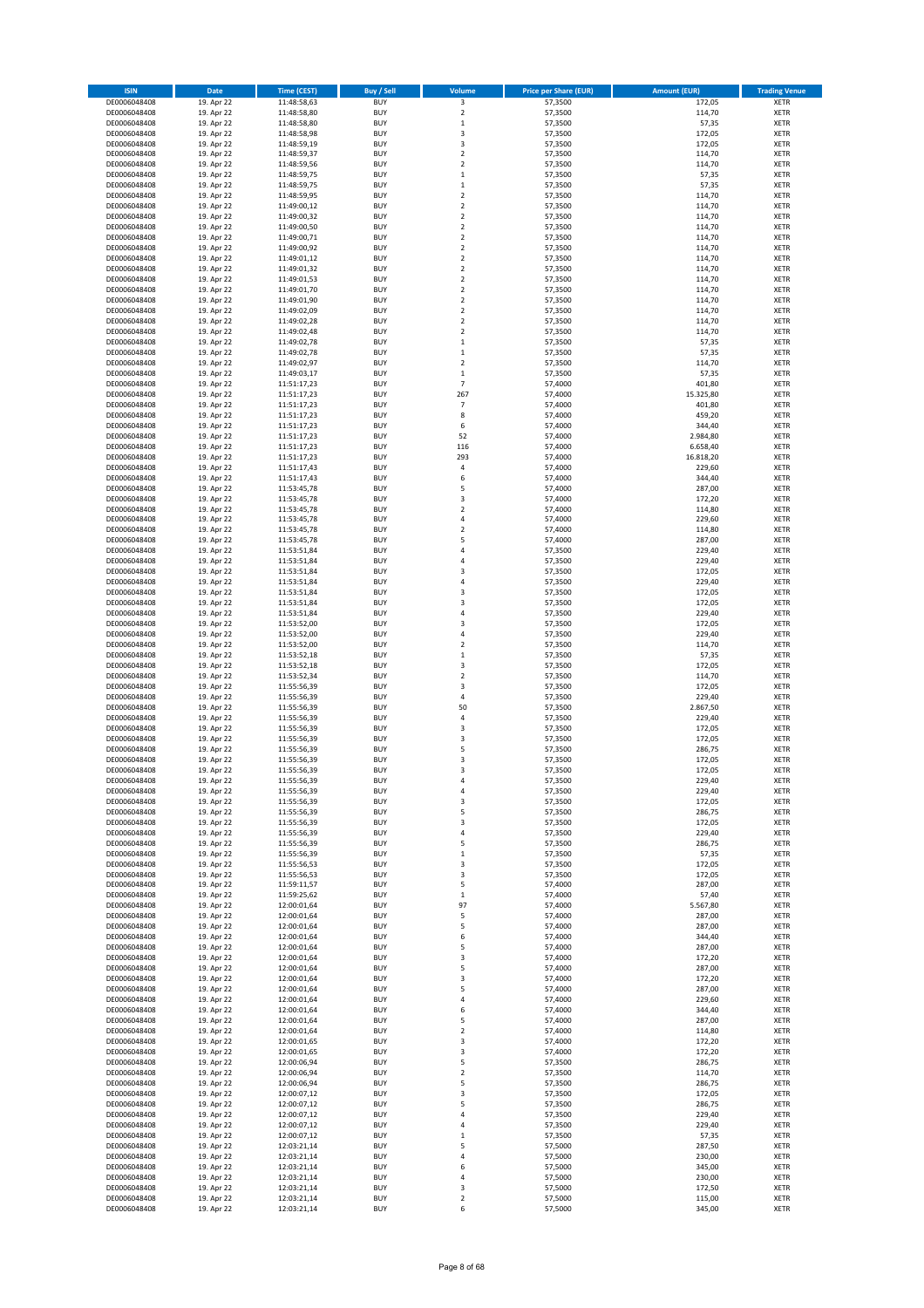| <b>ISIN</b>                  | Date                     | <b>Time (CEST)</b>         | <b>Buy / Sell</b>        | Volume                             | <b>Price per Share (EUR)</b> | <b>Amount (EUR)</b>  | <b>Trading Venue</b>       |
|------------------------------|--------------------------|----------------------------|--------------------------|------------------------------------|------------------------------|----------------------|----------------------------|
| DE0006048408                 | 19. Apr 22               | 11:48:58,63                | <b>BUY</b>               | 3                                  | 57,3500                      | 172,05               | <b>XETR</b>                |
| DE0006048408                 | 19. Apr 22               | 11:48:58,80                | <b>BUY</b>               | $\mathbf 2$                        | 57,3500                      | 114,70               | <b>XETR</b>                |
| DE0006048408<br>DE0006048408 | 19. Apr 22<br>19. Apr 22 | 11:48:58,80<br>11:48:58,98 | <b>BUY</b><br><b>BUY</b> | $\,$ 1<br>3                        | 57,3500<br>57,3500           | 57,35<br>172,05      | XETR<br><b>XETR</b>        |
| DE0006048408                 | 19. Apr 22               | 11:48:59,19                | <b>BUY</b>               | 3                                  | 57,3500                      | 172,05               | <b>XETR</b>                |
| DE0006048408                 | 19. Apr 22               | 11:48:59,37                | <b>BUY</b>               | $\overline{2}$                     | 57,3500                      | 114,70               | <b>XETR</b>                |
| DE0006048408                 | 19. Apr 22               | 11:48:59,56                | <b>BUY</b>               | $\overline{2}$                     | 57,3500                      | 114,70               | <b>XETR</b>                |
| DE0006048408                 | 19. Apr 22               | 11:48:59,75                | <b>BUY</b>               | $\,1\,$                            | 57,3500                      | 57,35                | <b>XETR</b>                |
| DE0006048408<br>DE0006048408 | 19. Apr 22<br>19. Apr 22 | 11:48:59,75                | <b>BUY</b><br><b>BUY</b> | $\,$ 1<br>$\overline{2}$           | 57,3500<br>57,3500           | 57,35<br>114,70      | XETR<br><b>XETR</b>        |
| DE0006048408                 | 19. Apr 22               | 11:48:59,95<br>11:49:00,12 | <b>BUY</b>               | $\mathbf 2$                        | 57,3500                      | 114,70               | XETR                       |
| DE0006048408                 | 19. Apr 22               | 11:49:00,32                | <b>BUY</b>               | $\overline{2}$                     | 57,3500                      | 114,70               | <b>XETR</b>                |
| DE0006048408                 | 19. Apr 22               | 11:49:00,50                | <b>BUY</b>               | $\boldsymbol{2}$                   | 57,3500                      | 114,70               | XETR                       |
| DE0006048408                 | 19. Apr 22               | 11:49:00,71                | <b>BUY</b>               | $\overline{2}$                     | 57,3500                      | 114,70               | <b>XETR</b>                |
| DE0006048408                 | 19. Apr 22               | 11:49:00,92                | <b>BUY</b>               | $\boldsymbol{2}$                   | 57,3500                      | 114,70               | XETR                       |
| DE0006048408<br>DE0006048408 | 19. Apr 22<br>19. Apr 22 | 11:49:01,12<br>11:49:01,32 | <b>BUY</b><br><b>BUY</b> | $\overline{2}$<br>$\boldsymbol{2}$ | 57,3500<br>57,3500           | 114,70<br>114,70     | <b>XETR</b><br>XETR        |
| DE0006048408                 | 19. Apr 22               | 11:49:01,53                | <b>BUY</b>               | $\overline{2}$                     | 57,3500                      | 114,70               | <b>XETR</b>                |
| DE0006048408                 | 19. Apr 22               | 11:49:01,70                | <b>BUY</b>               | $\mathbf 2$                        | 57,3500                      | 114,70               | XETR                       |
| DE0006048408                 | 19. Apr 22               | 11:49:01,90                | <b>BUY</b>               | $\mathbf 2$                        | 57,3500                      | 114,70               | XETR                       |
| DE0006048408<br>DE0006048408 | 19. Apr 22<br>19. Apr 22 | 11:49:02,09<br>11:49:02,28 | <b>BUY</b><br><b>BUY</b> | $\overline{2}$<br>$\mathbf 2$      | 57,3500<br>57,3500           | 114,70<br>114,70     | <b>XETR</b><br><b>XETR</b> |
| DE0006048408                 | 19. Apr 22               | 11:49:02,48                | <b>BUY</b>               | $\overline{2}$                     | 57,3500                      | 114,70               | <b>XETR</b>                |
| DE0006048408                 | 19. Apr 22               | 11:49:02,78                | <b>BUY</b>               | $\,1\,$                            | 57,3500                      | 57,35                | <b>XETR</b>                |
| DE0006048408                 | 19. Apr 22               | 11:49:02,78                | <b>BUY</b>               | $\,1\,$                            | 57,3500                      | 57,35                | <b>XETR</b>                |
| DE0006048408                 | 19. Apr 22               | 11:49:02,97                | <b>BUY</b>               | $\overline{2}$                     | 57,3500                      | 114,70               | <b>XETR</b>                |
| DE0006048408                 | 19. Apr 22               | 11:49:03,17                | <b>BUY</b>               | $\mathbf 1$                        | 57,3500                      | 57,35                | <b>XETR</b>                |
| DE0006048408<br>DE0006048408 | 19. Apr 22<br>19. Apr 22 | 11:51:17,23<br>11:51:17,23 | <b>BUY</b><br><b>BUY</b> | $\overline{7}$<br>267              | 57,4000<br>57,4000           | 401,80<br>15.325,80  | <b>XETR</b><br><b>XETR</b> |
| DE0006048408                 | 19. Apr 22               | 11:51:17,23                | <b>BUY</b>               | $\overline{7}$                     | 57,4000                      | 401,80               | <b>XETR</b>                |
| DE0006048408                 | 19. Apr 22               | 11:51:17,23                | <b>BUY</b>               | 8                                  | 57,4000                      | 459,20               | <b>XETR</b>                |
| DE0006048408                 | 19. Apr 22               | 11:51:17,23                | <b>BUY</b>               | 6                                  | 57,4000                      | 344,40               | <b>XETR</b>                |
| DE0006048408<br>DE0006048408 | 19. Apr 22               | 11:51:17,23<br>11:51:17,23 | <b>BUY</b><br><b>BUY</b> | 52<br>116                          | 57,4000<br>57,4000           | 2.984,80<br>6.658,40 | <b>XETR</b><br>XETR        |
| DE0006048408                 | 19. Apr 22<br>19. Apr 22 | 11:51:17,23                | <b>BUY</b>               | 293                                | 57,4000                      | 16.818,20            | <b>XETR</b>                |
| DE0006048408                 | 19. Apr 22               | 11:51:17,43                | <b>BUY</b>               | $\sqrt{4}$                         | 57,4000                      | 229,60               | XETR                       |
| DE0006048408                 | 19. Apr 22               | 11:51:17,43                | <b>BUY</b>               | 6                                  | 57,4000                      | 344,40               | <b>XETR</b>                |
| DE0006048408                 | 19. Apr 22               | 11:53:45,78                | <b>BUY</b>               | 5                                  | 57,4000                      | 287,00               | XETR                       |
| DE0006048408                 | 19. Apr 22               | 11:53:45,78                | <b>BUY</b>               | 3                                  | 57,4000                      | 172,20               | <b>XETR</b>                |
| DE0006048408<br>DE0006048408 | 19. Apr 22<br>19. Apr 22 | 11:53:45,78<br>11:53:45,78 | <b>BUY</b><br><b>BUY</b> | $\overline{2}$<br>$\sqrt{4}$       | 57,4000<br>57,4000           | 114,80<br>229,60     | <b>XETR</b><br><b>XETR</b> |
| DE0006048408                 | 19. Apr 22               | 11:53:45,78                | <b>BUY</b>               | $\overline{2}$                     | 57,4000                      | 114,80               | XETR                       |
| DE0006048408                 | 19. Apr 22               | 11:53:45,78                | <b>BUY</b>               | 5                                  | 57,4000                      | 287,00               | <b>XETR</b>                |
| DE0006048408                 | 19. Apr 22               | 11:53:51,84                | <b>BUY</b>               | $\sqrt{4}$                         | 57,3500                      | 229,40               | <b>XETR</b>                |
| DE0006048408                 | 19. Apr 22               | 11:53:51,84                | <b>BUY</b>               | $\sqrt{4}$                         | 57,3500                      | 229,40               | <b>XETR</b>                |
| DE0006048408                 | 19. Apr 22               | 11:53:51,84                | <b>BUY</b><br><b>BUY</b> | 3<br>4                             | 57,3500                      | 172,05<br>229,40     | XETR                       |
| DE0006048408<br>DE0006048408 | 19. Apr 22<br>19. Apr 22 | 11:53:51,84<br>11:53:51,84 | <b>BUY</b>               | 3                                  | 57,3500<br>57,3500           | 172,05               | XETR<br><b>XETR</b>        |
| DE0006048408                 | 19. Apr 22               | 11:53:51,84                | <b>BUY</b>               | 3                                  | 57,3500                      | 172,05               | <b>XETR</b>                |
| DE0006048408                 | 19. Apr 22               | 11:53:51,84                | <b>BUY</b>               | $\overline{4}$                     | 57,3500                      | 229,40               | <b>XETR</b>                |
| DE0006048408                 | 19. Apr 22               | 11:53:52,00                | <b>BUY</b>               | 3                                  | 57,3500                      | 172,05               | <b>XETR</b>                |
| DE0006048408                 | 19. Apr 22               | 11:53:52,00                | <b>BUY</b>               | $\overline{4}$                     | 57,3500                      | 229,40               | <b>XETR</b>                |
| DE0006048408<br>DE0006048408 | 19. Apr 22<br>19. Apr 22 | 11:53:52,00<br>11:53:52,18 | <b>BUY</b><br><b>BUY</b> | $\mathbf 2$<br>$\,$ 1              | 57,3500<br>57,3500           | 114,70<br>57,35      | <b>XETR</b><br><b>XETR</b> |
| DE0006048408                 | 19. Apr 22               | 11:53:52,18                | <b>BUY</b>               | $\mathsf 3$                        | 57,3500                      | 172,05               | <b>XETR</b>                |
| DE0006048408                 | 19. Apr 22               | 11:53:52,34                | <b>BUY</b>               | $\overline{2}$                     | 57,3500                      | 114,70               | <b>XETR</b>                |
| DE0006048408                 | 19. Apr 22               | 11:55:56,39                | <b>BUY</b>               | 3                                  | 57,3500                      | 172,05               | <b>XETR</b>                |
| DE0006048408                 | 19. Apr 22               | 11:55:56,39                | <b>BUY</b>               | $\sqrt{4}$                         | 57,3500                      | 229,40               | <b>XETR</b>                |
| DE0006048408<br>DE0006048408 | 19. Apr 22<br>19. Apr 22 | 11:55:56,39<br>11:55:56,39 | <b>BUY</b><br><b>BUY</b> | 50<br>$\sqrt{4}$                   | 57,3500<br>57,3500           | 2.867,50<br>229,40   | <b>XETR</b><br><b>XETR</b> |
| DE0006048408                 | 19. Apr 22               | 11:55:56,39                | <b>BUY</b>               | 3                                  | 57,3500                      | 172,05               | XETR                       |
| DE0006048408                 | 19. Apr 22               | 11:55:56,39                | <b>BUY</b>               | 3                                  | 57,3500                      | 172,05               | <b>XETR</b>                |
| DE0006048408                 | 19. Apr 22               | 11:55:56,39                | <b>BUY</b>               | 5                                  | 57,3500                      | 286,75               | XETR                       |
| DE0006048408                 | 19. Apr 22               | 11:55:56,39                | <b>BUY</b>               | 3                                  | 57,3500                      | 172,05               | <b>XETR</b>                |
| DE0006048408<br>DE0006048408 | 19. Apr 22<br>19. Apr 22 | 11:55:56,39<br>11:55:56,39 | <b>BUY</b><br><b>BUY</b> | 3<br>4                             | 57,3500<br>57,3500           | 172,05<br>229,40     | <b>XETR</b><br>XETR        |
| DE0006048408                 | 19. Apr 22               | 11:55:56,39                | <b>BUY</b>               | 4                                  | 57,3500                      | 229,40               | XETR                       |
| DE0006048408                 | 19. Apr 22               | 11:55:56,39                | <b>BUY</b>               | 3                                  | 57,3500                      | 172,05               | XETR                       |
| DE0006048408                 | 19. Apr 22               | 11:55:56,39                | <b>BUY</b>               | 5                                  | 57,3500                      | 286,75               | XETR                       |
| DE0006048408                 | 19. Apr 22               | 11:55:56,39                | <b>BUY</b>               | 3                                  | 57,3500                      | 172,05               | XETR                       |
| DE0006048408<br>DE0006048408 | 19. Apr 22<br>19. Apr 22 | 11:55:56,39<br>11:55:56,39 | <b>BUY</b><br><b>BUY</b> | 4<br>5                             | 57,3500<br>57,3500           | 229,40<br>286,75     | XETR<br><b>XETR</b>        |
| DE0006048408                 | 19. Apr 22               | 11:55:56,39                | <b>BUY</b>               | $\,$ 1                             | 57,3500                      | 57,35                | XETR                       |
| DE0006048408                 | 19. Apr 22               | 11:55:56,53                | <b>BUY</b>               | 3                                  | 57,3500                      | 172,05               | <b>XETR</b>                |
| DE0006048408                 | 19. Apr 22               | 11:55:56,53                | <b>BUY</b>               | 3                                  | 57,3500                      | 172,05               | XETR                       |
| DE0006048408<br>DE0006048408 | 19. Apr 22               | 11:59:11,57<br>11:59:25,62 | <b>BUY</b><br><b>BUY</b> | 5                                  | 57,4000<br>57,4000           | 287,00<br>57,40      | <b>XETR</b><br><b>XETR</b> |
| DE0006048408                 | 19. Apr 22<br>19. Apr 22 | 12:00:01,64                | <b>BUY</b>               | $\,$ 1<br>97                       | 57,4000                      | 5.567,80             | XETR                       |
| DE0006048408                 | 19. Apr 22               | 12:00:01,64                | <b>BUY</b>               | 5                                  | 57,4000                      | 287,00               | XETR                       |
| DE0006048408                 | 19. Apr 22               | 12:00:01,64                | <b>BUY</b>               | 5                                  | 57,4000                      | 287,00               | <b>XETR</b>                |
| DE0006048408                 | 19. Apr 22               | 12:00:01,64                | <b>BUY</b>               | 6                                  | 57,4000                      | 344,40               | <b>XETR</b>                |
| DE0006048408                 | 19. Apr 22               | 12:00:01,64                | <b>BUY</b>               | 5                                  | 57,4000                      | 287,00               | <b>XETR</b>                |
| DE0006048408<br>DE0006048408 | 19. Apr 22<br>19. Apr 22 | 12:00:01,64<br>12:00:01,64 | <b>BUY</b><br><b>BUY</b> | 3<br>5                             | 57,4000<br>57,4000           | 172,20<br>287,00     | <b>XETR</b><br><b>XETR</b> |
| DE0006048408                 | 19. Apr 22               | 12:00:01,64                | <b>BUY</b>               | 3                                  | 57,4000                      | 172,20               | <b>XETR</b>                |
| DE0006048408                 | 19. Apr 22               | 12:00:01,64                | <b>BUY</b>               | 5                                  | 57,4000                      | 287,00               | <b>XETR</b>                |
| DE0006048408                 | 19. Apr 22               | 12:00:01,64                | <b>BUY</b>               | 4                                  | 57,4000                      | 229,60               | XETR                       |
| DE0006048408<br>DE0006048408 | 19. Apr 22<br>19. Apr 22 | 12:00:01,64<br>12:00:01,64 | <b>BUY</b><br><b>BUY</b> | 6<br>5                             | 57,4000<br>57,4000           | 344,40<br>287,00     | XETR<br>XETR               |
| DE0006048408                 | 19. Apr 22               | 12:00:01,64                | <b>BUY</b>               | $\boldsymbol{2}$                   | 57,4000                      | 114,80               | XETR                       |
| DE0006048408                 | 19. Apr 22               | 12:00:01,65                | <b>BUY</b>               | 3                                  | 57,4000                      | 172,20               | <b>XETR</b>                |
| DE0006048408                 | 19. Apr 22               | 12:00:01,65                | <b>BUY</b>               | 3                                  | 57,4000                      | 172,20               | XETR                       |
| DE0006048408                 | 19. Apr 22               | 12:00:06,94                | <b>BUY</b>               | 5                                  | 57,3500                      | 286,75               | XETR                       |
| DE0006048408                 | 19. Apr 22               | 12:00:06,94                | <b>BUY</b>               | $\boldsymbol{2}$                   | 57,3500                      | 114,70               | XETR                       |
| DE0006048408<br>DE0006048408 | 19. Apr 22<br>19. Apr 22 | 12:00:06,94<br>12:00:07,12 | <b>BUY</b><br><b>BUY</b> | 5<br>3                             | 57,3500<br>57,3500           | 286,75<br>172,05     | XETR<br>XETR               |
| DE0006048408                 | 19. Apr 22               | 12:00:07,12                | <b>BUY</b>               | 5                                  | 57,3500                      | 286,75               | XETR                       |
| DE0006048408                 | 19. Apr 22               | 12:00:07,12                | <b>BUY</b>               | 4                                  | 57,3500                      | 229,40               | XETR                       |
| DE0006048408                 | 19. Apr 22               | 12:00:07,12                | <b>BUY</b>               | $\sqrt{4}$                         | 57,3500                      | 229,40               | <b>XETR</b>                |
| DE0006048408<br>DE0006048408 | 19. Apr 22<br>19. Apr 22 | 12:00:07,12<br>12:03:21,14 | <b>BUY</b><br><b>BUY</b> | $\,$ 1<br>5                        | 57,3500<br>57,5000           | 57,35<br>287,50      | <b>XETR</b><br><b>XETR</b> |
| DE0006048408                 | 19. Apr 22               | 12:03:21,14                | <b>BUY</b>               | 4                                  | 57,5000                      | 230,00               | <b>XETR</b>                |
| DE0006048408                 | 19. Apr 22               | 12:03:21,14                | <b>BUY</b>               | 6                                  | 57,5000                      | 345,00               | <b>XETR</b>                |
| DE0006048408                 | 19. Apr 22               | 12:03:21,14                | <b>BUY</b>               | $\pmb{4}$                          | 57,5000                      | 230,00               | <b>XETR</b>                |
| DE0006048408                 | 19. Apr 22               | 12:03:21,14                | <b>BUY</b>               | 3                                  | 57,5000                      | 172,50               | <b>XETR</b>                |
| DE0006048408<br>DE0006048408 | 19. Apr 22<br>19. Apr 22 | 12:03:21,14<br>12:03:21,14 | <b>BUY</b><br><b>BUY</b> | $\boldsymbol{2}$<br>6              | 57,5000<br>57,5000           | 115,00<br>345,00     | <b>XETR</b><br>XETR        |
|                              |                          |                            |                          |                                    |                              |                      |                            |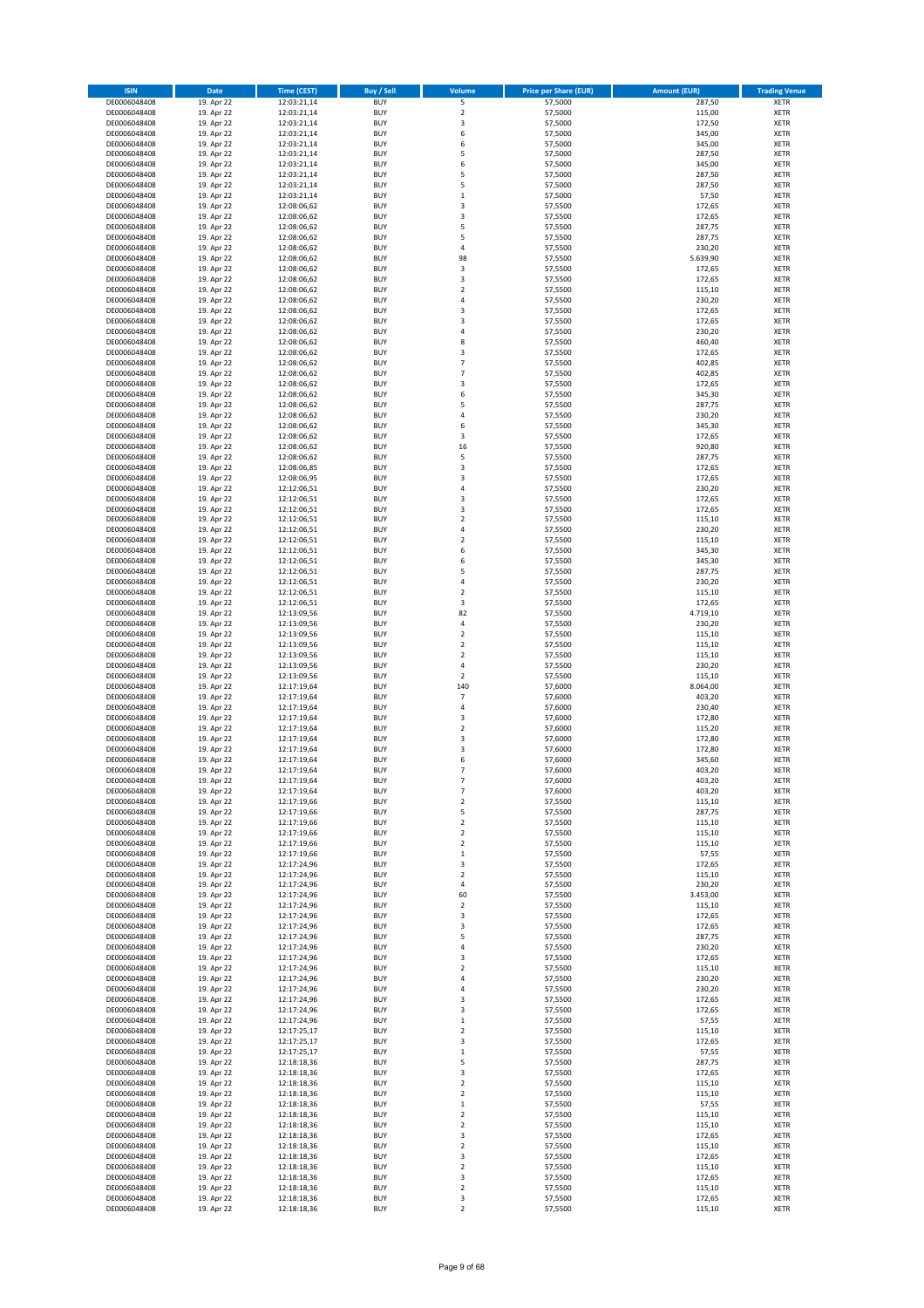| <b>ISIN</b>                  | Date                     | <b>Time (CEST)</b>         | <b>Buy / Sell</b>        | Volume                                    | <b>Price per Share (EUR)</b> | <b>Amount (EUR)</b> | <b>Trading Venue</b>       |
|------------------------------|--------------------------|----------------------------|--------------------------|-------------------------------------------|------------------------------|---------------------|----------------------------|
| DE0006048408                 | 19. Apr 22               | 12:03:21,14                | <b>BUY</b>               | 5                                         | 57,5000                      | 287,50              | <b>XETR</b>                |
| DE0006048408                 | 19. Apr 22               | 12:03:21,14                | <b>BUY</b>               | $\mathbf 2$                               | 57,5000                      | 115,00              | <b>XETR</b>                |
| DE0006048408<br>DE0006048408 | 19. Apr 22<br>19. Apr 22 | 12:03:21,14<br>12:03:21,14 | <b>BUY</b><br><b>BUY</b> | 3<br>6                                    | 57,5000<br>57,5000           | 172,50<br>345,00    | <b>XETR</b><br><b>XETR</b> |
| DE0006048408                 | 19. Apr 22               | 12:03:21,14                | <b>BUY</b>               | 6                                         | 57,5000                      | 345,00              | <b>XETR</b>                |
| DE0006048408                 | 19. Apr 22               | 12:03:21,14                | <b>BUY</b>               | 5                                         | 57,5000                      | 287,50              | <b>XETR</b>                |
| DE0006048408                 | 19. Apr 22               | 12:03:21,14                | <b>BUY</b>               | 6                                         | 57,5000                      | 345,00              | <b>XETR</b>                |
| DE0006048408                 | 19. Apr 22               | 12:03:21,14                | <b>BUY</b>               | 5                                         | 57,5000                      | 287,50              | <b>XETR</b>                |
| DE0006048408<br>DE0006048408 | 19. Apr 22<br>19. Apr 22 | 12:03:21,14<br>12:03:21,14 | <b>BUY</b><br><b>BUY</b> | 5<br>$\,1\,$                              | 57,5000<br>57,5000           | 287,50<br>57,50     | XETR<br><b>XETR</b>        |
| DE0006048408                 | 19. Apr 22               | 12:08:06,62                | <b>BUY</b>               | $\overline{\mathbf{3}}$                   | 57,5500                      | 172,65              | XETR                       |
| DE0006048408                 | 19. Apr 22               | 12:08:06,62                | <b>BUY</b>               | 3                                         | 57,5500                      | 172,65              | <b>XETR</b>                |
| DE0006048408                 | 19. Apr 22               | 12:08:06,62                | <b>BUY</b>               | 5                                         | 57,5500                      | 287,75              | XETR                       |
| DE0006048408                 | 19. Apr 22               | 12:08:06,62                | <b>BUY</b>               | 5                                         | 57,5500                      | 287,75              | <b>XETR</b>                |
| DE0006048408                 | 19. Apr 22               | 12:08:06,62                | <b>BUY</b>               | $\sqrt{4}$                                | 57,5500                      | 230,20              | XETR                       |
| DE0006048408<br>DE0006048408 | 19. Apr 22<br>19. Apr 22 | 12:08:06,62<br>12:08:06,62 | <b>BUY</b><br><b>BUY</b> | 98<br>3                                   | 57,5500<br>57,5500           | 5.639,90<br>172,65  | <b>XETR</b><br>XETR        |
| DE0006048408                 | 19. Apr 22               | 12:08:06,62                | <b>BUY</b>               | 3                                         | 57,5500                      | 172,65              | <b>XETR</b>                |
| DE0006048408                 | 19. Apr 22               | 12:08:06,62                | <b>BUY</b>               | $\overline{2}$                            | 57,5500                      | 115,10              | XETR                       |
| DE0006048408                 | 19. Apr 22               | 12:08:06,62                | <b>BUY</b>               | 4                                         | 57,5500                      | 230,20              | <b>XETR</b>                |
| DE0006048408                 | 19. Apr 22<br>19. Apr 22 | 12:08:06,62                | <b>BUY</b><br><b>BUY</b> | 3<br>3                                    | 57,5500<br>57,5500           | 172,65<br>172,65    | <b>XETR</b><br><b>XETR</b> |
| DE0006048408<br>DE0006048408 | 19. Apr 22               | 12:08:06,62<br>12:08:06,62 | <b>BUY</b>               | $\overline{4}$                            | 57,5500                      | 230,20              | <b>XETR</b>                |
| DE0006048408                 | 19. Apr 22               | 12:08:06,62                | <b>BUY</b>               | 8                                         | 57,5500                      | 460,40              | <b>XETR</b>                |
| DE0006048408                 | 19. Apr 22               | 12:08:06,62                | <b>BUY</b>               | 3                                         | 57,5500                      | 172,65              | <b>XETR</b>                |
| DE0006048408                 | 19. Apr 22               | 12:08:06,62                | <b>BUY</b>               | $\overline{7}$                            | 57,5500                      | 402,85              | <b>XETR</b>                |
| DE0006048408                 | 19. Apr 22               | 12:08:06,62                | <b>BUY</b>               | $\overline{7}$                            | 57,5500                      | 402,85              | <b>XETR</b>                |
| DE0006048408<br>DE0006048408 | 19. Apr 22<br>19. Apr 22 | 12:08:06,62<br>12:08:06,62 | <b>BUY</b><br><b>BUY</b> | 3<br>6                                    | 57,5500<br>57,5500           | 172,65<br>345,30    | <b>XETR</b><br><b>XETR</b> |
| DE0006048408                 | 19. Apr 22               | 12:08:06,62                | <b>BUY</b>               | 5                                         | 57,5500                      | 287,75              | <b>XETR</b>                |
| DE0006048408                 | 19. Apr 22               | 12:08:06,62                | <b>BUY</b>               | $\sqrt{4}$                                | 57,5500                      | 230,20              | <b>XETR</b>                |
| DE0006048408                 | 19. Apr 22               | 12:08:06,62                | <b>BUY</b>               | 6                                         | 57,5500                      | 345,30              | <b>XETR</b>                |
| DE0006048408                 | 19. Apr 22               | 12:08:06,62<br>12:08:06,62 | <b>BUY</b><br><b>BUY</b> | 3<br>16                                   | 57,5500<br>57,5500           | 172,65<br>920,80    | <b>XETR</b><br>XETR        |
| DE0006048408<br>DE0006048408 | 19. Apr 22<br>19. Apr 22 | 12:08:06,62                | <b>BUY</b>               | 5                                         | 57,5500                      | 287,75              | <b>XETR</b>                |
| DE0006048408                 | 19. Apr 22               | 12:08:06,85                | <b>BUY</b>               | $\overline{\mathbf{3}}$                   | 57,5500                      | 172,65              | XETR                       |
| DE0006048408                 | 19. Apr 22               | 12:08:06,95                | <b>BUY</b>               | 3                                         | 57,5500                      | 172,65              | <b>XETR</b>                |
| DE0006048408                 | 19. Apr 22               | 12:12:06,51                | <b>BUY</b>               | $\sqrt{4}$                                | 57,5500                      | 230,20              | <b>XETR</b>                |
| DE0006048408                 | 19. Apr 22               | 12:12:06,51                | <b>BUY</b>               | 3                                         | 57,5500                      | 172,65              | <b>XETR</b>                |
| DE0006048408<br>DE0006048408 | 19. Apr 22<br>19. Apr 22 | 12:12:06,51<br>12:12:06,51 | <b>BUY</b><br><b>BUY</b> | $\overline{\mathbf{3}}$<br>$\overline{2}$ | 57,5500<br>57,5500           | 172,65<br>115,10    | <b>XETR</b><br><b>XETR</b> |
| DE0006048408                 | 19. Apr 22               | 12:12:06,51                | <b>BUY</b>               | $\sqrt{4}$                                | 57,5500                      | 230,20              | <b>XETR</b>                |
| DE0006048408                 | 19. Apr 22               | 12:12:06,51                | <b>BUY</b>               | $\overline{2}$                            | 57,5500                      | 115,10              | <b>XETR</b>                |
| DE0006048408                 | 19. Apr 22               | 12:12:06,51                | <b>BUY</b>               | 6                                         | 57,5500                      | 345,30              | <b>XETR</b>                |
| DE0006048408                 | 19. Apr 22               | 12:12:06,51                | <b>BUY</b>               | 6                                         | 57,5500                      | 345,30              | <b>XETR</b>                |
| DE0006048408<br>DE0006048408 | 19. Apr 22<br>19. Apr 22 | 12:12:06,51<br>12:12:06,51 | <b>BUY</b><br><b>BUY</b> | 5<br>4                                    | 57,5500<br>57,5500           | 287,75<br>230,20    | <b>XETR</b><br><b>XETR</b> |
| DE0006048408                 | 19. Apr 22               | 12:12:06,51                | <b>BUY</b>               | $\sqrt{2}$                                | 57,5500                      | 115,10              | <b>XETR</b>                |
| DE0006048408                 | 19. Apr 22               | 12:12:06,51                | <b>BUY</b>               | 3                                         | 57,5500                      | 172,65              | <b>XETR</b>                |
| DE0006048408                 | 19. Apr 22               | 12:13:09,56                | <b>BUY</b>               | 82                                        | 57,5500                      | 4.719,10            | <b>XETR</b>                |
| DE0006048408                 | 19. Apr 22               | 12:13:09,56                | <b>BUY</b>               | 4                                         | 57,5500                      | 230,20              | <b>XETR</b>                |
| DE0006048408<br>DE0006048408 | 19. Apr 22<br>19. Apr 22 | 12:13:09,56<br>12:13:09,56 | <b>BUY</b><br><b>BUY</b> | $\overline{2}$<br>$\overline{2}$          | 57,5500<br>57,5500           | 115,10<br>115,10    | <b>XETR</b><br><b>XETR</b> |
| DE0006048408                 | 19. Apr 22               | 12:13:09,56                | <b>BUY</b>               | $\overline{2}$                            | 57,5500                      | 115,10              | <b>XETR</b>                |
| DE0006048408                 | 19. Apr 22               | 12:13:09,56                | <b>BUY</b>               | $\sqrt{4}$                                | 57,5500                      | 230,20              | <b>XETR</b>                |
| DE0006048408                 | 19. Apr 22               | 12:13:09,56                | <b>BUY</b>               | $\overline{2}$                            | 57,5500                      | 115,10              | <b>XETR</b>                |
| DE0006048408                 | 19. Apr 22               | 12:17:19,64                | <b>BUY</b>               | 140                                       | 57,6000                      | 8.064,00            | <b>XETR</b>                |
| DE0006048408<br>DE0006048408 | 19. Apr 22<br>19. Apr 22 | 12:17:19,64<br>12:17:19,64 | <b>BUY</b><br><b>BUY</b> | $\overline{7}$<br>4                       | 57,6000<br>57,6000           | 403,20<br>230,40    | <b>XETR</b><br><b>XETR</b> |
| DE0006048408                 | 19. Apr 22               | 12:17:19,64                | <b>BUY</b>               | 3                                         | 57,6000                      | 172,80              | <b>XETR</b>                |
| DE0006048408                 | 19. Apr 22               | 12:17:19,64                | <b>BUY</b>               | $\overline{2}$                            | 57,6000                      | 115,20              | XETR                       |
| DE0006048408                 | 19. Apr 22               | 12:17:19,64                | <b>BUY</b>               | 3                                         | 57,6000                      | 172,80              | <b>XETR</b>                |
| DE0006048408<br>DE0006048408 | 19. Apr 22<br>19. Apr 22 | 12:17:19,64<br>12:17:19,64 | <b>BUY</b><br><b>BUY</b> | 3<br>6                                    | 57,6000<br>57,6000           | 172,80<br>345,60    | <b>XETR</b><br><b>XETR</b> |
| DE0006048408                 | 19. Apr 22               | 12:17:19,64                | <b>BUY</b>               | $\overline{7}$                            | 57,6000                      | 403,20              | <b>XETR</b>                |
| DE0006048408                 | 19. Apr 22               | 12:17:19,64                | <b>BUY</b>               | $\overline{7}$                            | 57,6000                      | 403,20              | XETR                       |
| DE0006048408                 | 19. Apr 22               | 12:17:19,64                | <b>BUY</b>               | $\overline{\phantom{a}}$                  | 57,6000                      | 403,20              | XETR                       |
| DE0006048408                 | 19. Apr 22               | 12:17:19,66                | <b>BUY</b>               | $\mathbf 2$                               | 57,5500                      | 115,10              | XETR                       |
| DE0006048408<br>DE0006048408 | 19. Apr 22<br>19. Apr 22 | 12:17:19,66<br>12:17:19,66 | <b>BUY</b><br><b>BUY</b> | 5<br>$\overline{2}$                       | 57,5500<br>57,5500           | 287,75<br>115,10    | <b>XETR</b><br><b>XETR</b> |
| DE0006048408                 | 19. Apr 22               | 12:17:19,66                | <b>BUY</b>               | $\overline{2}$                            | 57,5500                      | 115,10              | XETR                       |
| DE0006048408                 | 19. Apr 22               | 12:17:19,66                | <b>BUY</b>               | $\mathbf 2$                               | 57,5500                      | 115,10              | <b>XETR</b>                |
| DE0006048408                 | 19. Apr 22               | 12:17:19,66                | <b>BUY</b>               | $\,$ 1                                    | 57,5500                      | 57,55               | XETR                       |
| DE0006048408<br>DE0006048408 | 19. Apr 22<br>19. Apr 22 | 12:17:24,96                | <b>BUY</b><br><b>BUY</b> | 3<br>$\mathbf 2$                          | 57,5500<br>57,5500           | 172,65<br>115,10    | <b>XETR</b><br>XETR        |
| DE0006048408                 | 19. Apr 22               | 12:17:24,96<br>12:17:24,96 | <b>BUY</b>               | 4                                         | 57,5500                      | 230,20              | <b>XETR</b>                |
| DE0006048408                 | 19. Apr 22               | 12:17:24,96                | <b>BUY</b>               | 60                                        | 57,5500                      | 3.453,00            | <b>XETR</b>                |
| DE0006048408                 | 19. Apr 22               | 12:17:24,96                | <b>BUY</b>               | $\mathbf 2$                               | 57,5500                      | 115,10              | <b>XETR</b>                |
| DE0006048408                 | 19. Apr 22               | 12:17:24,96                | <b>BUY</b>               | 3                                         | 57,5500                      | 172,65              | XETR                       |
| DE0006048408<br>DE0006048408 | 19. Apr 22<br>19. Apr 22 | 12:17:24,96<br>12:17:24,96 | <b>BUY</b><br><b>BUY</b> | 3<br>5                                    | 57,5500<br>57,5500           | 172,65<br>287,75    | <b>XETR</b><br><b>XETR</b> |
| DE0006048408                 | 19. Apr 22               | 12:17:24,96                | <b>BUY</b>               | 4                                         | 57,5500                      | 230,20              | <b>XETR</b>                |
| DE0006048408                 | 19. Apr 22               | 12:17:24,96                | <b>BUY</b>               | 3                                         | 57,5500                      | 172,65              | <b>XETR</b>                |
| DE0006048408                 | 19. Apr 22               | 12:17:24,96                | <b>BUY</b>               | $\overline{\mathbf{c}}$                   | 57,5500                      | 115,10              | <b>XETR</b>                |
| DE0006048408                 | 19. Apr 22               | 12:17:24,96                | <b>BUY</b>               | $\sqrt{4}$                                | 57,5500                      | 230,20              | <b>XETR</b>                |
| DE0006048408<br>DE0006048408 | 19. Apr 22<br>19. Apr 22 | 12:17:24,96<br>12:17:24,96 | <b>BUY</b><br><b>BUY</b> | 4<br>3                                    | 57,5500<br>57,5500           | 230,20<br>172,65    | <b>XETR</b><br>XETR        |
| DE0006048408                 | 19. Apr 22               | 12:17:24,96                | <b>BUY</b>               | 3                                         | 57,5500                      | 172,65              | XETR                       |
| DE0006048408                 | 19. Apr 22               | 12:17:24,96                | <b>BUY</b>               | $\mathbf 1$                               | 57,5500                      | 57,55               | XETR                       |
| DE0006048408                 | 19. Apr 22               | 12:17:25,17                | <b>BUY</b>               | $\boldsymbol{2}$                          | 57,5500                      | 115,10              | XETR                       |
| DE0006048408                 | 19. Apr 22               | 12:17:25,17                | <b>BUY</b>               | 3                                         | 57,5500                      | 172,65              | <b>XETR</b>                |
| DE0006048408<br>DE0006048408 | 19. Apr 22<br>19. Apr 22 | 12:17:25,17<br>12:18:18,36 | <b>BUY</b><br><b>BUY</b> | $\,$ 1<br>5                               | 57,5500<br>57,5500           | 57,55<br>287,75     | XETR<br>XETR               |
| DE0006048408                 | 19. Apr 22               | 12:18:18,36                | <b>BUY</b>               | 3                                         | 57,5500                      | 172,65              | XETR                       |
| DE0006048408                 | 19. Apr 22               | 12:18:18,36                | <b>BUY</b>               | $\overline{2}$                            | 57,5500                      | 115,10              | XETR                       |
| DE0006048408                 | 19. Apr 22               | 12:18:18,36                | <b>BUY</b>               | $\overline{\mathbf{c}}$                   | 57,5500                      | 115,10              | XETR                       |
| DE0006048408                 | 19. Apr 22               | 12:18:18,36                | <b>BUY</b>               | $\,$ 1                                    | 57,5500                      | 57,55               | XETR                       |
| DE0006048408<br>DE0006048408 | 19. Apr 22<br>19. Apr 22 | 12:18:18,36                | <b>BUY</b><br><b>BUY</b> | $\mathbf 2$<br>$\mathbf 2$                | 57,5500<br>57,5500           | 115,10<br>115,10    | XETR                       |
| DE0006048408                 | 19. Apr 22               | 12:18:18,36<br>12:18:18,36 | <b>BUY</b>               | 3                                         | 57,5500                      | 172,65              | <b>XETR</b><br><b>XETR</b> |
| DE0006048408                 | 19. Apr 22               | 12:18:18,36                | <b>BUY</b>               | $\mathbf 2$                               | 57,5500                      | 115,10              | <b>XETR</b>                |
| DE0006048408                 | 19. Apr 22               | 12:18:18,36                | <b>BUY</b>               | 3                                         | 57,5500                      | 172,65              | <b>XETR</b>                |
| DE0006048408                 | 19. Apr 22               | 12:18:18,36                | <b>BUY</b>               | $\overline{2}$                            | 57,5500                      | 115,10              | <b>XETR</b>                |
| DE0006048408                 | 19. Apr 22               | 12:18:18,36                | <b>BUY</b>               | 3<br>$\overline{2}$                       | 57,5500<br>57,5500           | 172,65<br>115,10    | <b>XETR</b>                |
| DE0006048408<br>DE0006048408 | 19. Apr 22<br>19. Apr 22 | 12:18:18,36<br>12:18:18,36 | <b>BUY</b><br><b>BUY</b> | 3                                         | 57,5500                      | 172,65              | <b>XETR</b><br><b>XETR</b> |
| DE0006048408                 | 19. Apr 22               | 12:18:18,36                | <b>BUY</b>               | $\mathbf 2$                               | 57,5500                      | 115,10              | <b>XETR</b>                |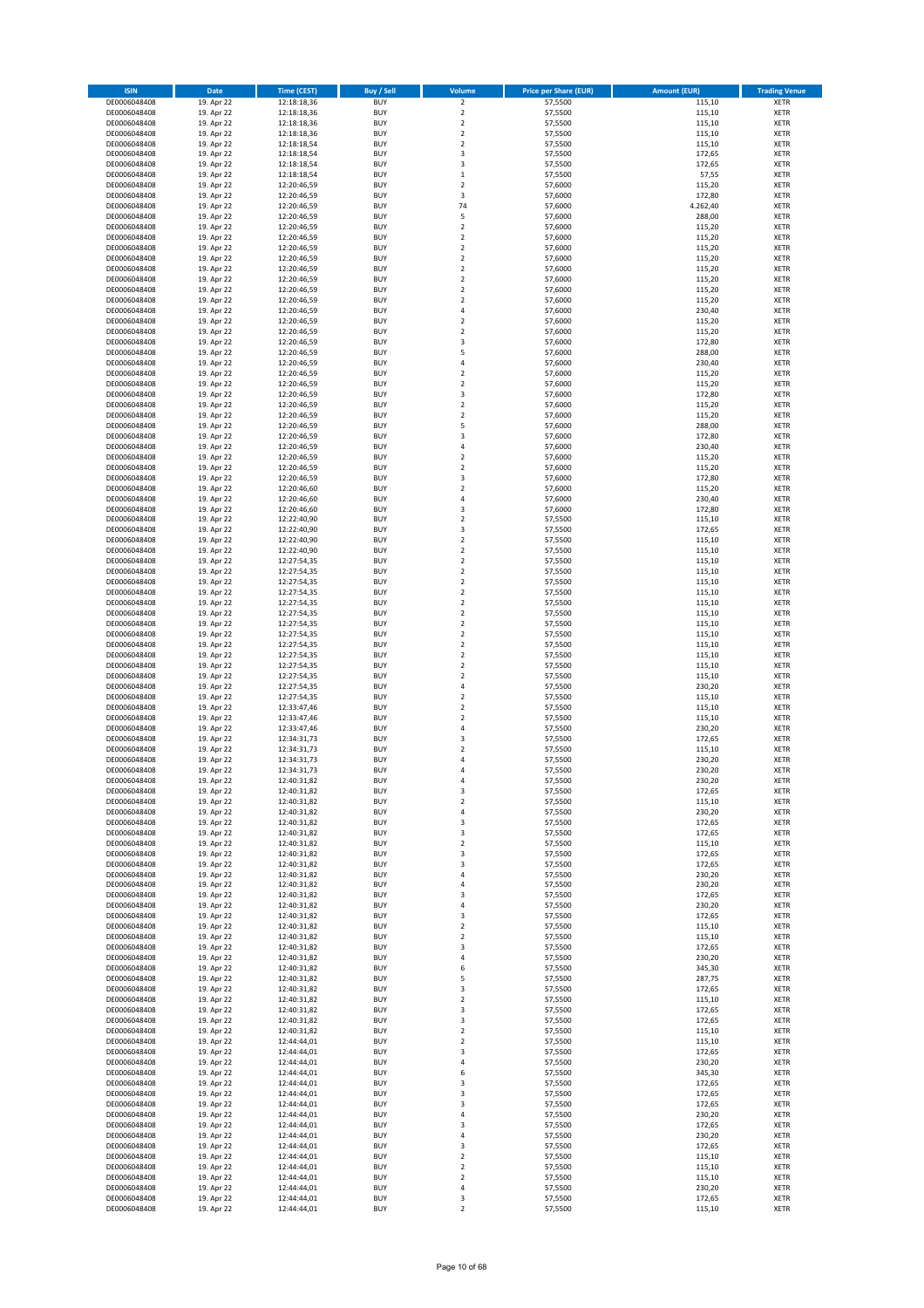| <b>ISIN</b>                  | <b>Date</b>              | <b>Time (CEST)</b>         | <b>Buy / Sell</b>        | Volume                                 | <b>Price per Share (EUR)</b> | <b>Amount (EUR)</b> | <b>Trading Venue</b>       |
|------------------------------|--------------------------|----------------------------|--------------------------|----------------------------------------|------------------------------|---------------------|----------------------------|
| DE0006048408                 | 19. Apr 22               | 12:18:18,36                | <b>BUY</b>               | $\overline{\mathbf{c}}$                | 57,5500                      | 115,10              | XETR                       |
| DE0006048408                 | 19. Apr 22               | 12:18:18,36                | <b>BUY</b>               | $\mathbf 2$                            | 57,5500                      | 115,10              | XETR                       |
| DE0006048408<br>DE0006048408 | 19. Apr 22<br>19. Apr 22 | 12:18:18,36<br>12:18:18,36 | <b>BUY</b><br><b>BUY</b> | $\mathbf 2$<br>$\mathbf 2$             | 57,5500<br>57,5500           | 115,10<br>115,10    | XETR<br>XETR               |
| DE0006048408                 | 19. Apr 22               | 12:18:18,54                | <b>BUY</b>               | $\mathbf 2$                            | 57,5500                      | 115,10              | XETR                       |
| DE0006048408                 | 19. Apr 22               | 12:18:18,54                | <b>BUY</b>               | 3                                      | 57,5500                      | 172,65              | <b>XETR</b>                |
| DE0006048408                 | 19. Apr 22               | 12:18:18,54                | <b>BUY</b>               | 3                                      | 57,5500                      | 172,65              | <b>XETR</b>                |
| DE0006048408                 | 19. Apr 22               | 12:18:18,54                | <b>BUY</b>               | $\mathbf 1$                            | 57,5500                      | 57,55               | <b>XETR</b>                |
| DE0006048408<br>DE0006048408 | 19. Apr 22<br>19. Apr 22 | 12:20:46,59<br>12:20:46,59 | <b>BUY</b><br><b>BUY</b> | $\mathbf 2$<br>3                       | 57,6000<br>57,6000           | 115,20<br>172,80    | <b>XETR</b><br><b>XETR</b> |
| DE0006048408                 | 19. Apr 22               | 12:20:46,59                | <b>BUY</b>               | 74                                     | 57,6000                      | 4.262,40            | XETR                       |
| DE0006048408                 | 19. Apr 22               | 12:20:46,59                | <b>BUY</b>               | 5                                      | 57,6000                      | 288,00              | <b>XETR</b>                |
| DE0006048408                 | 19. Apr 22               | 12:20:46,59                | <b>BUY</b>               | $\mathbf 2$                            | 57,6000                      | 115,20              | XETR                       |
| DE0006048408                 | 19. Apr 22               | 12:20:46,59                | <b>BUY</b>               | $\mathbf 2$                            | 57,6000                      | 115,20              | <b>XETR</b>                |
| DE0006048408                 | 19. Apr 22               | 12:20:46,59                | <b>BUY</b>               | $\mathbf 2$                            | 57,6000                      | 115,20              | XETR                       |
| DE0006048408                 | 19. Apr 22               | 12:20:46,59                | <b>BUY</b><br><b>BUY</b> | $\mathbf 2$<br>$\mathbf 2$             | 57,6000                      | 115,20<br>115,20    | <b>XETR</b><br>XETR        |
| DE0006048408<br>DE0006048408 | 19. Apr 22<br>19. Apr 22 | 12:20:46,59<br>12:20:46,59 | <b>BUY</b>               | $\mathbf 2$                            | 57,6000<br>57,6000           | 115,20              | <b>XETR</b>                |
| DE0006048408                 | 19. Apr 22               | 12:20:46,59                | <b>BUY</b>               | $\mathbf 2$                            | 57,6000                      | 115,20              | XETR                       |
| DE0006048408                 | 19. Apr 22               | 12:20:46,59                | <b>BUY</b>               | $\mathbf 2$                            | 57,6000                      | 115,20              | <b>XETR</b>                |
| DE0006048408                 | 19. Apr 22               | 12:20:46,59                | <b>BUY</b>               | 4                                      | 57,6000                      | 230,40              | XETR                       |
| DE0006048408                 | 19. Apr 22               | 12:20:46,59                | <b>BUY</b>               | $\mathbf 2$                            | 57,6000                      | 115,20              | XETR                       |
| DE0006048408                 | 19. Apr 22<br>19. Apr 22 | 12:20:46,59                | <b>BUY</b><br><b>BUY</b> | $\mathbf 2$<br>3                       | 57,6000<br>57,6000           | 115,20<br>172,80    | <b>XETR</b><br><b>XETR</b> |
| DE0006048408<br>DE0006048408 | 19. Apr 22               | 12:20:46,59<br>12:20:46,59 | <b>BUY</b>               | 5                                      | 57,6000                      | 288,00              | <b>XETR</b>                |
| DE0006048408                 | 19. Apr 22               | 12:20:46,59                | <b>BUY</b>               | 4                                      | 57,6000                      | 230,40              | <b>XETR</b>                |
| DE0006048408                 | 19. Apr 22               | 12:20:46,59                | <b>BUY</b>               | $\mathbf 2$                            | 57,6000                      | 115,20              | <b>XETR</b>                |
| DE0006048408                 | 19. Apr 22               | 12:20:46,59                | <b>BUY</b>               | $\mathbf 2$                            | 57,6000                      | 115,20              | <b>XETR</b>                |
| DE0006048408                 | 19. Apr 22               | 12:20:46,59                | <b>BUY</b>               | 3                                      | 57,6000                      | 172,80              | <b>XETR</b>                |
| DE0006048408                 | 19. Apr 22               | 12:20:46,59                | <b>BUY</b>               | $\mathbf 2$                            | 57,6000                      | 115,20              | XETR                       |
| DE0006048408<br>DE0006048408 | 19. Apr 22<br>19. Apr 22 | 12:20:46,59<br>12:20:46,59 | <b>BUY</b><br><b>BUY</b> | $\mathbf 2$<br>5                       | 57,6000<br>57,6000           | 115,20<br>288,00    | <b>XETR</b><br><b>XETR</b> |
| DE0006048408                 | 19. Apr 22               | 12:20:46,59                | <b>BUY</b>               | 3                                      | 57,6000                      | 172,80              | <b>XETR</b>                |
| DE0006048408                 | 19. Apr 22               | 12:20:46,59                | <b>BUY</b>               | 4                                      | 57,6000                      | 230,40              | XETR                       |
| DE0006048408                 | 19. Apr 22               | 12:20:46,59                | <b>BUY</b>               | $\overline{\mathbf{c}}$                | 57,6000                      | 115,20              | <b>XETR</b>                |
| DE0006048408                 | 19. Apr 22               | 12:20:46,59                | <b>BUY</b>               | $\mathbf 2$                            | 57,6000                      | 115,20              | XETR                       |
| DE0006048408                 | 19. Apr 22               | 12:20:46,59                | <b>BUY</b>               | 3                                      | 57,6000                      | 172,80              | <b>XETR</b>                |
| DE0006048408<br>DE0006048408 | 19. Apr 22<br>19. Apr 22 | 12:20:46,60<br>12:20:46,60 | <b>BUY</b><br><b>BUY</b> | $\mathbf 2$<br>4                       | 57,6000<br>57,6000           | 115,20<br>230,40    | XETR<br><b>XETR</b>        |
| DE0006048408                 | 19. Apr 22               | 12:20:46,60                | <b>BUY</b>               | 3                                      | 57,6000                      | 172,80              | <b>XETR</b>                |
| DE0006048408                 | 19. Apr 22               | 12:22:40,90                | <b>BUY</b>               | $\overline{\mathbf{c}}$                | 57,5500                      | 115,10              | <b>XETR</b>                |
| DE0006048408                 | 19. Apr 22               | 12:22:40,90                | <b>BUY</b>               | 3                                      | 57,5500                      | 172,65              | <b>XETR</b>                |
| DE0006048408                 | 19. Apr 22               | 12:22:40,90                | <b>BUY</b>               | $\overline{\mathbf{c}}$                | 57,5500                      | 115,10              | <b>XETR</b>                |
| DE0006048408                 | 19. Apr 22               | 12:22:40,90                | <b>BUY</b><br><b>BUY</b> | $\mathbf 2$<br>$\overline{\mathbf{c}}$ | 57,5500                      | 115,10              | <b>XETR</b><br><b>XETR</b> |
| DE0006048408<br>DE0006048408 | 19. Apr 22<br>19. Apr 22 | 12:27:54,35<br>12:27:54,35 | <b>BUY</b>               | $\mathbf 2$                            | 57,5500<br>57,5500           | 115,10<br>115,10    | XETR                       |
| DE0006048408                 | 19. Apr 22               | 12:27:54,35                | <b>BUY</b>               | 2                                      | 57,5500                      | 115,10              | XETR                       |
| DE0006048408                 | 19. Apr 22               | 12:27:54,35                | <b>BUY</b>               | $\mathbf 2$                            | 57,5500                      | 115,10              | <b>XETR</b>                |
| DE0006048408                 | 19. Apr 22               | 12:27:54,35                | <b>BUY</b>               | $\mathbf 2$                            | 57,5500                      | 115,10              | <b>XETR</b>                |
| DE0006048408                 | 19. Apr 22               | 12:27:54,35                | <b>BUY</b>               | $\mathbf 2$                            | 57,5500                      | 115,10              | XETR                       |
| DE0006048408                 | 19. Apr 22               | 12:27:54,35                | <b>BUY</b><br><b>BUY</b> | $\mathbf 2$<br>$\mathbf 2$             | 57,5500                      | 115,10              | <b>XETR</b><br><b>XETR</b> |
| DE0006048408<br>DE0006048408 | 19. Apr 22<br>19. Apr 22 | 12:27:54,35<br>12:27:54,35 | <b>BUY</b>               | $\mathbf 2$                            | 57,5500<br>57,5500           | 115,10<br>115,10    | <b>XETR</b>                |
| DE0006048408                 | 19. Apr 22               | 12:27:54,35                | <b>BUY</b>               | $\mathbf 2$                            | 57,5500                      | 115,10              | XETR                       |
| DE0006048408                 | 19. Apr 22               | 12:27:54,35                | <b>BUY</b>               | $\mathbf 2$                            | 57,5500                      | 115,10              | XETR                       |
| DE0006048408                 | 19. Apr 22               | 12:27:54,35                | <b>BUY</b>               | $\mathbf 2$                            | 57,5500                      | 115,10              | <b>XETR</b>                |
| DE0006048408                 | 19. Apr 22               | 12:27:54,35                | <b>BUY</b>               | 4                                      | 57,5500                      | 230,20              | <b>XETR</b>                |
| DE0006048408                 | 19. Apr 22               | 12:27:54,35                | <b>BUY</b><br><b>BUY</b> | $\mathbf 2$<br>$\mathbf 2$             | 57,5500                      | 115,10              | <b>XETR</b><br>XETR        |
| DE0006048408<br>DE0006048408 | 19. Apr 22<br>19. Apr 22 | 12:33:47,46<br>12:33:47,46 | <b>BUY</b>               | $\mathbf 2$                            | 57,5500<br>57,5500           | 115,10<br>115,10    | <b>XETR</b>                |
| DE0006048408                 | 19. Apr 22               | 12:33:47,46                | <b>BUY</b>               | 4                                      | 57,5500                      | 230,20              | XETR                       |
| DE0006048408                 | 19. Apr 22               | 12:34:31,73                | <b>BUY</b>               | 3                                      | 57,5500                      | 172,65              | <b>XETR</b>                |
| DE0006048408                 | 19. Apr 22               | 12:34:31,73                | <b>BUY</b>               | 2                                      | 57,5500                      | 115,10              | XETR                       |
| DE0006048408                 | 19. Apr 22               | 12:34:31,73                | <b>BUY</b>               | 4                                      | 57,5500                      | 230,20              | <b>XETR</b>                |
| DE0006048408<br>DE0006048408 | 19. Apr 22               | 12:34:31,73                | <b>BUY</b>               | 4<br>4                                 | 57,5500                      | 230,20              | XETR                       |
| DE0006048408                 | 19. Apr 22<br>19. Apr 22 | 12:40:31,82<br>12:40:31,82 | <b>BUY</b><br><b>BUY</b> | 3                                      | 57,5500<br>57,5500           | 230,20<br>172,65    | XETR<br>XETR               |
| DE0006048408                 | 19. Apr 22               | 12:40:31,82                | <b>BUY</b>               | $\mathbf 2$                            | 57,5500                      | 115,10              | XETR                       |
| DE0006048408                 | 19. Apr 22               | 12:40:31,82                | <b>BUY</b>               | 4                                      | 57,5500                      | 230,20              | XETR                       |
| DE0006048408                 | 19. Apr 22               | 12:40:31,82                | <b>BUY</b>               | 3                                      | 57,5500                      | 172,65              | <b>XETR</b>                |
| DE0006048408                 | 19. Apr 22               | 12:40:31,82                | <b>BUY</b>               | 3                                      | 57,5500                      | 172,65              | XETR                       |
| DE0006048408<br>DE0006048408 | 19. Apr 22               | 12:40:31,82                | <b>BUY</b>               | $\mathbf 2$                            | 57,5500                      | 115,10              | <b>XETR</b>                |
| DE0006048408                 | 19. Apr 22<br>19. Apr 22 | 12:40:31,82<br>12:40:31,82 | <b>BUY</b><br><b>BUY</b> | 3<br>3                                 | 57,5500<br>57,5500           | 172,65<br>172,65    | XETR<br><b>XETR</b>        |
| DE0006048408                 | 19. Apr 22               | 12:40:31,82                | <b>BUY</b>               | 4                                      | 57,5500                      | 230,20              | XETR                       |
| DE0006048408                 | 19. Apr 22               | 12:40:31,82                | <b>BUY</b>               | 4                                      | 57,5500                      | 230,20              | <b>XETR</b>                |
| DE0006048408                 | 19. Apr 22               | 12:40:31,82                | <b>BUY</b>               | 3                                      | 57,5500                      | 172,65              | XETR                       |
| DE0006048408                 | 19. Apr 22               | 12:40:31,82                | <b>BUY</b>               | 4                                      | 57,5500                      | 230,20              | <b>XETR</b>                |
| DE0006048408<br>DE0006048408 | 19. Apr 22<br>19. Apr 22 | 12:40:31,82<br>12:40:31,82 | <b>BUY</b><br><b>BUY</b> | 3<br>$\mathbf 2$                       | 57,5500<br>57,5500           | 172,65<br>115,10    | XETR<br><b>XETR</b>        |
| DE0006048408                 | 19. Apr 22               | 12:40:31,82                | <b>BUY</b>               | $\mathbf 2$                            | 57,5500                      | 115,10              | XETR                       |
| DE0006048408                 | 19. Apr 22               | 12:40:31,82                | <b>BUY</b>               | 3                                      | 57,5500                      | 172,65              | <b>XETR</b>                |
| DE0006048408                 | 19. Apr 22               | 12:40:31,82                | <b>BUY</b>               | 4                                      | 57,5500                      | 230,20              | XETR                       |
| DE0006048408                 | 19. Apr 22               | 12:40:31,82                | <b>BUY</b>               | 6                                      | 57,5500                      | 345,30              | <b>XETR</b>                |
| DE0006048408                 | 19. Apr 22               | 12:40:31,82                | <b>BUY</b>               | 5                                      | 57,5500                      | 287,75              | XETR                       |
| DE0006048408<br>DE0006048408 | 19. Apr 22<br>19. Apr 22 | 12:40:31,82<br>12:40:31,82 | <b>BUY</b><br><b>BUY</b> | 3<br>2                                 | 57,5500<br>57,5500           | 172,65<br>115,10    | <b>XETR</b><br><b>XETR</b> |
| DE0006048408                 | 19. Apr 22               | 12:40:31,82                | <b>BUY</b>               | 3                                      | 57,5500                      | 172,65              | XETR                       |
| DE0006048408                 | 19. Apr 22               | 12:40:31,82                | <b>BUY</b>               | 3                                      | 57,5500                      | 172,65              | XETR                       |
| DE0006048408                 | 19. Apr 22               | 12:40:31,82                | <b>BUY</b>               | $\mathbf 2$                            | 57,5500                      | 115,10              | XETR                       |
| DE0006048408                 | 19. Apr 22               | 12:44:44,01                | <b>BUY</b>               | $\overline{\mathbf{c}}$                | 57,5500                      | 115,10              | <b>XETR</b>                |
| DE0006048408                 | 19. Apr 22               | 12:44:44,01                | <b>BUY</b>               | 3                                      | 57,5500                      | 172,65              | XETR                       |
| DE0006048408<br>DE0006048408 | 19. Apr 22<br>19. Apr 22 | 12:44:44,01<br>12:44:44,01 | <b>BUY</b><br><b>BUY</b> | 4<br>6                                 | 57,5500<br>57,5500           | 230,20<br>345,30    | <b>XETR</b><br>XETR        |
| DE0006048408                 | 19. Apr 22               | 12:44:44,01                | <b>BUY</b>               | 3                                      | 57,5500                      | 172,65              | <b>XETR</b>                |
| DE0006048408                 | 19. Apr 22               | 12:44:44,01                | <b>BUY</b>               | 3                                      | 57,5500                      | 172,65              | XETR                       |
| DE0006048408                 | 19. Apr 22               | 12:44:44,01                | <b>BUY</b>               | 3                                      | 57,5500                      | 172,65              | <b>XETR</b>                |
| DE0006048408                 | 19. Apr 22               | 12:44:44,01                | <b>BUY</b>               | 4                                      | 57,5500                      | 230,20              | XETR                       |
| DE0006048408                 | 19. Apr 22               | 12:44:44,01                | <b>BUY</b>               | 3                                      | 57,5500                      | 172,65              | <b>XETR</b>                |
| DE0006048408<br>DE0006048408 | 19. Apr 22<br>19. Apr 22 | 12:44:44,01<br>12:44:44,01 | <b>BUY</b><br><b>BUY</b> | 4<br>3                                 | 57,5500<br>57,5500           | 230,20<br>172,65    | <b>XETR</b><br><b>XETR</b> |
| DE0006048408                 | 19. Apr 22               | 12:44:44,01                | <b>BUY</b>               | $\mathbf 2$                            | 57,5500                      | 115,10              | XETR                       |
| DE0006048408                 | 19. Apr 22               | 12:44:44,01                | <b>BUY</b>               | $\mathbf 2$                            | 57,5500                      | 115,10              | <b>XETR</b>                |
| DE0006048408                 | 19. Apr 22               | 12:44:44,01                | <b>BUY</b>               | $\boldsymbol{2}$                       | 57,5500                      | 115,10              | XETR                       |
| DE0006048408                 | 19. Apr 22               | 12:44:44,01                | <b>BUY</b>               | 4                                      | 57,5500                      | 230,20              | XETR                       |
| DE0006048408                 | 19. Apr 22               | 12:44:44,01                | <b>BUY</b>               | 3                                      | 57,5500                      | 172,65              | XETR                       |
| DE0006048408                 | 19. Apr 22               | 12:44:44,01                | <b>BUY</b>               | $\overline{\mathbf{c}}$                | 57,5500                      | 115,10              | XETR                       |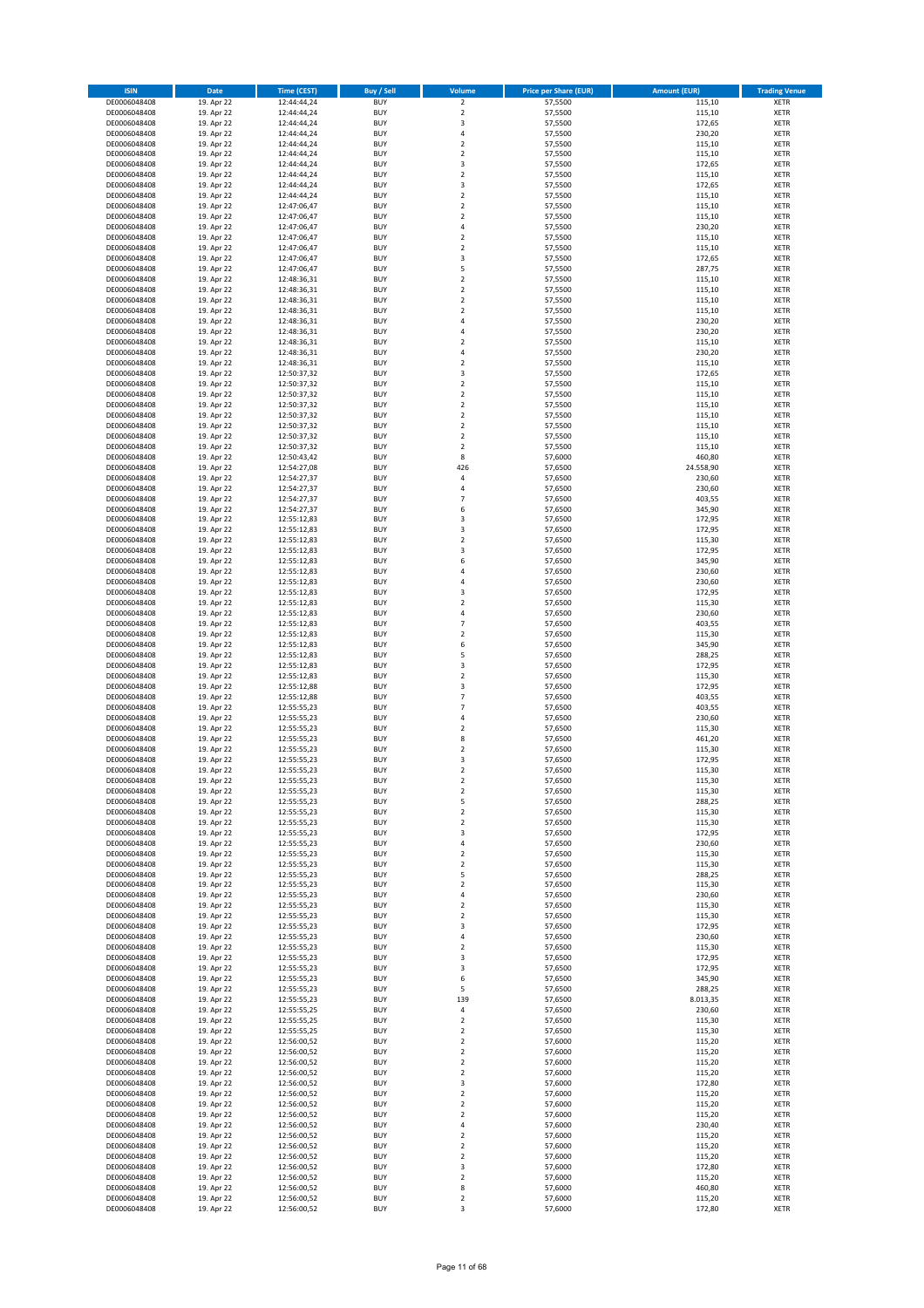| <b>ISIN</b>                  | Date                     | Time (CEST)                | <b>Buy / Sell</b>        | Volume                                 | <b>Price per Share (EUR)</b> | <b>Amount (EUR)</b> | <b>Trading Venue</b>       |
|------------------------------|--------------------------|----------------------------|--------------------------|----------------------------------------|------------------------------|---------------------|----------------------------|
| DE0006048408                 | 19. Apr 22               | 12:44:44,24                | <b>BUY</b>               | $\overline{\mathbf{c}}$                | 57,5500                      | 115,10              | XETR                       |
| DE0006048408                 | 19. Apr 22               | 12:44:44,24                | <b>BUY</b>               | $\mathbf 2$                            | 57,5500                      | 115,10              | XETR                       |
| DE0006048408<br>DE0006048408 | 19. Apr 22<br>19. Apr 22 | 12:44:44,24<br>12:44:44,24 | <b>BUY</b><br><b>BUY</b> | 3<br>4                                 | 57,5500<br>57,5500           | 172,65<br>230,20    | XETR<br>XETR               |
| DE0006048408                 | 19. Apr 22               | 12:44:44,24                | <b>BUY</b>               | $\mathbf 2$                            | 57,5500                      | 115,10              | XETR                       |
| DE0006048408                 | 19. Apr 22               | 12:44:44,24                | <b>BUY</b>               | $\overline{\mathbf{c}}$                | 57,5500                      | 115,10              | <b>XETR</b>                |
| DE0006048408                 | 19. Apr 22               | 12:44:44,24                | <b>BUY</b>               | 3                                      | 57,5500                      | 172,65              | XETR                       |
| DE0006048408                 | 19. Apr 22               | 12:44:44,24                | <b>BUY</b>               | $\overline{\mathbf{c}}$                | 57,5500                      | 115,10              | <b>XETR</b>                |
| DE0006048408<br>DE0006048408 | 19. Apr 22<br>19. Apr 22 | 12:44:44,24<br>12:44:44,24 | <b>BUY</b><br><b>BUY</b> | 3<br>$\overline{\mathbf{c}}$           | 57,5500<br>57,5500           | 172,65<br>115,10    | <b>XETR</b><br><b>XETR</b> |
| DE0006048408                 | 19. Apr 22               | 12:47:06,47                | <b>BUY</b>               | $\overline{\mathbf{c}}$                | 57,5500                      | 115,10              | XETR                       |
| DE0006048408                 | 19. Apr 22               | 12:47:06,47                | <b>BUY</b>               | $\overline{\mathbf{c}}$                | 57,5500                      | 115,10              | <b>XETR</b>                |
| DE0006048408                 | 19. Apr 22               | 12:47:06,47                | <b>BUY</b>               | 4                                      | 57,5500                      | 230,20              | XETR                       |
| DE0006048408                 | 19. Apr 22               | 12:47:06,47                | <b>BUY</b>               | $\overline{\mathbf{c}}$                | 57,5500                      | 115,10              | <b>XETR</b>                |
| DE0006048408                 | 19. Apr 22               | 12:47:06,47                | <b>BUY</b>               | $\mathbf 2$                            | 57,5500                      | 115,10              | XETR                       |
| DE0006048408<br>DE0006048408 | 19. Apr 22<br>19. Apr 22 | 12:47:06,47<br>12:47:06,47 | <b>BUY</b><br><b>BUY</b> | 3<br>5                                 | 57,5500<br>57,5500           | 172,65<br>287,75    | <b>XETR</b><br>XETR        |
| DE0006048408                 | 19. Apr 22               | 12:48:36,31                | <b>BUY</b>               | $\overline{\mathbf{c}}$                | 57,5500                      | 115,10              | <b>XETR</b>                |
| DE0006048408                 | 19. Apr 22               | 12:48:36,31                | <b>BUY</b>               | $\mathbf 2$                            | 57,5500                      | 115,10              | XETR                       |
| DE0006048408                 | 19. Apr 22               | 12:48:36,31                | <b>BUY</b>               | $\mathbf 2$                            | 57,5500                      | 115,10              | <b>XETR</b>                |
| DE0006048408                 | 19. Apr 22<br>19. Apr 22 | 12:48:36,31                | <b>BUY</b><br><b>BUY</b> | $\overline{\mathbf{c}}$<br>4           | 57,5500<br>57,5500           | 115,10<br>230,20    | XETR<br>XETR               |
| DE0006048408<br>DE0006048408 | 19. Apr 22               | 12:48:36,31<br>12:48:36,31 | <b>BUY</b>               | $\overline{4}$                         | 57,5500                      | 230,20              | <b>XETR</b>                |
| DE0006048408                 | 19. Apr 22               | 12:48:36,31                | <b>BUY</b>               | $\mathbf 2$                            | 57,5500                      | 115,10              | <b>XETR</b>                |
| DE0006048408                 | 19. Apr 22               | 12:48:36,31                | <b>BUY</b>               | $\overline{4}$                         | 57,5500                      | 230,20              | <b>XETR</b>                |
| DE0006048408                 | 19. Apr 22               | 12:48:36,31                | <b>BUY</b>               | $\overline{\mathbf{c}}$                | 57,5500                      | 115,10              | XETR                       |
| DE0006048408                 | 19. Apr 22               | 12:50:37,32                | <b>BUY</b>               | 3                                      | 57,5500                      | 172,65              | <b>XETR</b>                |
| DE0006048408<br>DE0006048408 | 19. Apr 22<br>19. Apr 22 | 12:50:37,32<br>12:50:37,32 | <b>BUY</b><br><b>BUY</b> | $\overline{\mathbf{c}}$<br>$\mathbf 2$ | 57,5500<br>57,5500           | 115,10<br>115,10    | <b>XETR</b><br>XETR        |
| DE0006048408                 | 19. Apr 22               | 12:50:37,32                | <b>BUY</b>               | $\mathbf 2$                            | 57,5500                      | 115,10              | XETR                       |
| DE0006048408                 | 19. Apr 22               | 12:50:37,32                | <b>BUY</b>               | $\mathbf 2$                            | 57,5500                      | 115,10              | <b>XETR</b>                |
| DE0006048408                 | 19. Apr 22               | 12:50:37,32                | <b>BUY</b>               | $\mathbf 2$                            | 57,5500                      | 115,10              | <b>XETR</b>                |
| DE0006048408                 | 19. Apr 22               | 12:50:37,32                | <b>BUY</b>               | $\overline{\mathbf{c}}$                | 57,5500                      | 115,10              | <b>XETR</b>                |
| DE0006048408<br>DE0006048408 | 19. Apr 22<br>19. Apr 22 | 12:50:37,32<br>12:50:43,42 | <b>BUY</b><br><b>BUY</b> | $\mathbf 2$<br>8                       | 57,5500<br>57,6000           | 115,10<br>460,80    | XETR<br><b>XETR</b>        |
| DE0006048408                 | 19. Apr 22               | 12:54:27,08                | <b>BUY</b>               | 426                                    | 57,6500                      | 24.558,90           | XETR                       |
| DE0006048408                 | 19. Apr 22               | 12:54:27,37                | <b>BUY</b>               | 4                                      | 57,6500                      | 230,60              | <b>XETR</b>                |
| DE0006048408                 | 19. Apr 22               | 12:54:27,37                | <b>BUY</b>               | 4                                      | 57,6500                      | 230,60              | XETR                       |
| DE0006048408                 | 19. Apr 22               | 12:54:27,37                | <b>BUY</b>               | $\overline{7}$                         | 57,6500                      | 403,55              | <b>XETR</b>                |
| DE0006048408<br>DE0006048408 | 19. Apr 22<br>19. Apr 22 | 12:54:27,37<br>12:55:12,83 | <b>BUY</b><br><b>BUY</b> | 6<br>3                                 | 57,6500                      | 345,90<br>172,95    | <b>XETR</b><br><b>XETR</b> |
| DE0006048408                 | 19. Apr 22               | 12:55:12,83                | <b>BUY</b>               | 3                                      | 57,6500<br>57,6500           | 172,95              | <b>XETR</b>                |
| DE0006048408                 | 19. Apr 22               | 12:55:12,83                | <b>BUY</b>               | $\mathbf 2$                            | 57,6500                      | 115,30              | <b>XETR</b>                |
| DE0006048408                 | 19. Apr 22               | 12:55:12,83                | <b>BUY</b>               | 3                                      | 57,6500                      | 172,95              | XETR                       |
| DE0006048408                 | 19. Apr 22               | 12:55:12,83                | <b>BUY</b>               | 6                                      | 57,6500                      | 345,90              | <b>XETR</b>                |
| DE0006048408                 | 19. Apr 22               | 12:55:12,83                | <b>BUY</b>               | 4                                      | 57,6500                      | 230,60              | XETR                       |
| DE0006048408<br>DE0006048408 | 19. Apr 22<br>19. Apr 22 | 12:55:12,83<br>12:55:12,83 | <b>BUY</b><br><b>BUY</b> | 4<br>3                                 | 57,6500<br>57,6500           | 230,60<br>172,95    | XETR<br><b>XETR</b>        |
| DE0006048408                 | 19. Apr 22               | 12:55:12,83                | <b>BUY</b>               | $\mathbf 2$                            | 57,6500                      | 115,30              | <b>XETR</b>                |
| DE0006048408                 | 19. Apr 22               | 12:55:12,83                | <b>BUY</b>               | 4                                      | 57,6500                      | 230,60              | XETR                       |
| DE0006048408                 | 19. Apr 22               | 12:55:12,83                | <b>BUY</b>               | $\overline{7}$                         | 57,6500                      | 403,55              | <b>XETR</b>                |
| DE0006048408                 | 19. Apr 22               | 12:55:12,83                | <b>BUY</b><br><b>BUY</b> | $\mathbf 2$<br>6                       | 57,6500                      | 115,30              | <b>XETR</b>                |
| DE0006048408<br>DE0006048408 | 19. Apr 22<br>19. Apr 22 | 12:55:12,83<br>12:55:12,83 | <b>BUY</b>               | 5                                      | 57,6500<br>57,6500           | 345,90<br>288,25    | <b>XETR</b><br>XETR        |
| DE0006048408                 | 19. Apr 22               | 12:55:12,83                | <b>BUY</b>               | 3                                      | 57,6500                      | 172,95              | XETR                       |
| DE0006048408                 | 19. Apr 22               | 12:55:12,83                | <b>BUY</b>               | $\mathbf 2$                            | 57,6500                      | 115,30              | <b>XETR</b>                |
| DE0006048408                 | 19. Apr 22               | 12:55:12,88                | <b>BUY</b>               | 3                                      | 57,6500                      | 172,95              | <b>XETR</b>                |
| DE0006048408                 | 19. Apr 22               | 12:55:12,88                | <b>BUY</b>               | $\overline{7}$<br>$\overline{7}$       | 57,6500                      | 403,55              | XETR                       |
| DE0006048408<br>DE0006048408 | 19. Apr 22<br>19. Apr 22 | 12:55:55,23<br>12:55:55,23 | <b>BUY</b><br><b>BUY</b> | 4                                      | 57,6500<br>57,6500           | 403,55<br>230,60    | XETR<br><b>XETR</b>        |
| DE0006048408                 | 19. Apr 22               | 12:55:55,23                | <b>BUY</b>               | $\mathbf 2$                            | 57,6500                      | 115,30              | XETR                       |
| DE0006048408                 | 19. Apr 22               | 12:55:55,23                | <b>BUY</b>               | 8                                      | 57,6500                      | 461,20              | <b>XETR</b>                |
| DE0006048408                 | 19. Apr 22               | 12:55:55,23                | <b>BUY</b>               | $\mathbf 2$                            | 57,6500                      | 115,30              | XETR                       |
| DE0006048408                 | 19. Apr 22               | 12:55:55,23                | <b>BUY</b>               | 3                                      | 57,6500                      | 172,95              | <b>XETR</b>                |
| DE0006048408<br>DE0006048408 | 19. Apr 22<br>19. Apr 22 | 12:55:55,23<br>12:55:55,23 | <b>BUY</b><br><b>BUY</b> | $\overline{\mathbf{c}}$<br>2           | 57,6500<br>57,6500           | 115,30<br>115,30    | XETR<br>XETR               |
| DE0006048408                 | 19. Apr 22               | 12:55:55,23                | <b>BUY</b>               | $\boldsymbol{2}$                       | 57,6500                      | 115,30              | XETR                       |
| DE0006048408                 | 19. Apr 22               | 12:55:55,23                | <b>BUY</b>               | 5                                      | 57,6500                      | 288,25              | XETR                       |
| DE0006048408                 | 19. Apr 22               | 12:55:55,23                | <b>BUY</b>               | $\mathbf 2$                            | 57,6500                      | 115,30              | XETR                       |
| DE0006048408                 | 19. Apr 22               | 12:55:55,23                | <b>BUY</b>               | $\mathbf 2$                            | 57,6500                      | 115,30              | <b>XETR</b>                |
| DE0006048408<br>DE0006048408 | 19. Apr 22<br>19. Apr 22 | 12:55:55,23<br>12:55:55,23 | <b>BUY</b><br><b>BUY</b> | 3<br>4                                 | 57,6500<br>57,6500           | 172,95<br>230,60    | XETR<br><b>XETR</b>        |
| DE0006048408                 | 19. Apr 22               | 12:55:55,23                | <b>BUY</b>               | $\mathbf 2$                            | 57,6500                      | 115,30              | XETR                       |
| DE0006048408                 | 19. Apr 22               | 12:55:55,23                | <b>BUY</b>               | $\mathbf 2$                            | 57,6500                      | 115,30              | <b>XETR</b>                |
| DE0006048408                 | 19. Apr 22               | 12:55:55,23                | <b>BUY</b>               | 5                                      | 57,6500                      | 288,25              | XETR                       |
| DE0006048408<br>DE0006048408 | 19. Apr 22<br>19. Apr 22 | 12:55:55,23<br>12:55:55,23 | <b>BUY</b><br><b>BUY</b> | 2<br>4                                 | 57,6500<br>57,6500           | 115,30<br>230,60    | <b>XETR</b><br>XETR        |
| DE0006048408                 | 19. Apr 22               | 12:55:55,23                | <b>BUY</b>               | $\mathbf 2$                            | 57,6500                      | 115,30              | <b>XETR</b>                |
| DE0006048408                 | 19. Apr 22               | 12:55:55,23                | <b>BUY</b>               | 2                                      | 57,6500                      | 115,30              | XETR                       |
| DE0006048408                 | 19. Apr 22               | 12:55:55,23                | <b>BUY</b>               | 3                                      | 57,6500                      | 172,95              | <b>XETR</b>                |
| DE0006048408                 | 19. Apr 22               | 12:55:55,23                | <b>BUY</b>               | 4                                      | 57,6500                      | 230,60              | XETR                       |
| DE0006048408<br>DE0006048408 | 19. Apr 22<br>19. Apr 22 | 12:55:55,23<br>12:55:55,23 | <b>BUY</b><br><b>BUY</b> | $\mathbf 2$<br>3                       | 57,6500<br>57,6500           | 115,30<br>172,95    | <b>XETR</b><br><b>XETR</b> |
| DE0006048408                 | 19. Apr 22               | 12:55:55,23                | <b>BUY</b>               | 3                                      | 57,6500                      | 172,95              | <b>XETR</b>                |
| DE0006048408                 | 19. Apr 22               | 12:55:55,23                | <b>BUY</b>               | 6                                      | 57,6500                      | 345,90              | XETR                       |
| DE0006048408                 | 19. Apr 22               | 12:55:55,23                | <b>BUY</b>               | 5                                      | 57,6500                      | 288,25              | <b>XETR</b>                |
| DE0006048408                 | 19. Apr 22               | 12:55:55,23                | <b>BUY</b>               | 139                                    | 57,6500                      | 8.013,35            | <b>XETR</b>                |
| DE0006048408<br>DE0006048408 | 19. Apr 22<br>19. Apr 22 | 12:55:55,25<br>12:55:55,25 | <b>BUY</b><br><b>BUY</b> | 4<br>$\overline{\mathbf{c}}$           | 57,6500<br>57,6500           | 230,60<br>115,30    | XETR<br><b>XETR</b>        |
| DE0006048408                 | 19. Apr 22               | 12:55:55,25                | <b>BUY</b>               | $\mathbf 2$                            | 57,6500                      | 115,30              | XETR                       |
| DE0006048408                 | 19. Apr 22               | 12:56:00,52                | <b>BUY</b>               | $\overline{\mathbf{c}}$                | 57,6000                      | 115,20              | <b>XETR</b>                |
| DE0006048408                 | 19. Apr 22               | 12:56:00,52                | <b>BUY</b>               | 2                                      | 57,6000                      | 115,20              | XETR                       |
| DE0006048408                 | 19. Apr 22               | 12:56:00,52                | <b>BUY</b>               | $\overline{\mathbf{c}}$                | 57,6000                      | 115,20              | <b>XETR</b>                |
| DE0006048408                 | 19. Apr 22               | 12:56:00,52                | <b>BUY</b><br><b>BUY</b> | $\mathbf 2$                            | 57,6000                      | 115,20              | XETR<br><b>XETR</b>        |
| DE0006048408<br>DE0006048408 | 19. Apr 22<br>19. Apr 22 | 12:56:00,52<br>12:56:00,52 | <b>BUY</b>               | 3<br>2                                 | 57,6000<br>57,6000           | 172,80<br>115,20    | XETR                       |
| DE0006048408                 | 19. Apr 22               | 12:56:00,52                | <b>BUY</b>               | 2                                      | 57,6000                      | 115,20              | <b>XETR</b>                |
| DE0006048408                 | 19. Apr 22               | 12:56:00,52                | <b>BUY</b>               | 2                                      | 57,6000                      | 115,20              | XETR                       |
| DE0006048408                 | 19. Apr 22               | 12:56:00,52                | <b>BUY</b>               | 4                                      | 57,6000                      | 230,40              | <b>XETR</b>                |
| DE0006048408<br>DE0006048408 | 19. Apr 22<br>19. Apr 22 | 12:56:00,52<br>12:56:00,52 | <b>BUY</b><br><b>BUY</b> | 2<br>2                                 | 57,6000<br>57,6000           | 115,20<br>115,20    | <b>XETR</b><br><b>XETR</b> |
| DE0006048408                 | 19. Apr 22               | 12:56:00,52                | <b>BUY</b>               | $\mathbf 2$                            | 57,6000                      | 115,20              | XETR                       |
| DE0006048408                 | 19. Apr 22               | 12:56:00,52                | <b>BUY</b>               | 3                                      | 57,6000                      | 172,80              | <b>XETR</b>                |
| DE0006048408                 | 19. Apr 22               | 12:56:00,52                | <b>BUY</b>               | $\boldsymbol{2}$                       | 57,6000                      | 115,20              | XETR                       |
| DE0006048408                 | 19. Apr 22               | 12:56:00,52                | <b>BUY</b>               | 8                                      | 57,6000                      | 460,80              | XETR                       |
| DE0006048408<br>DE0006048408 | 19. Apr 22<br>19. Apr 22 | 12:56:00,52<br>12:56:00,52 | <b>BUY</b><br><b>BUY</b> | $\mathbf 2$<br>3                       | 57,6000<br>57,6000           | 115,20<br>172,80    | XETR<br><b>XETR</b>        |
|                              |                          |                            |                          |                                        |                              |                     |                            |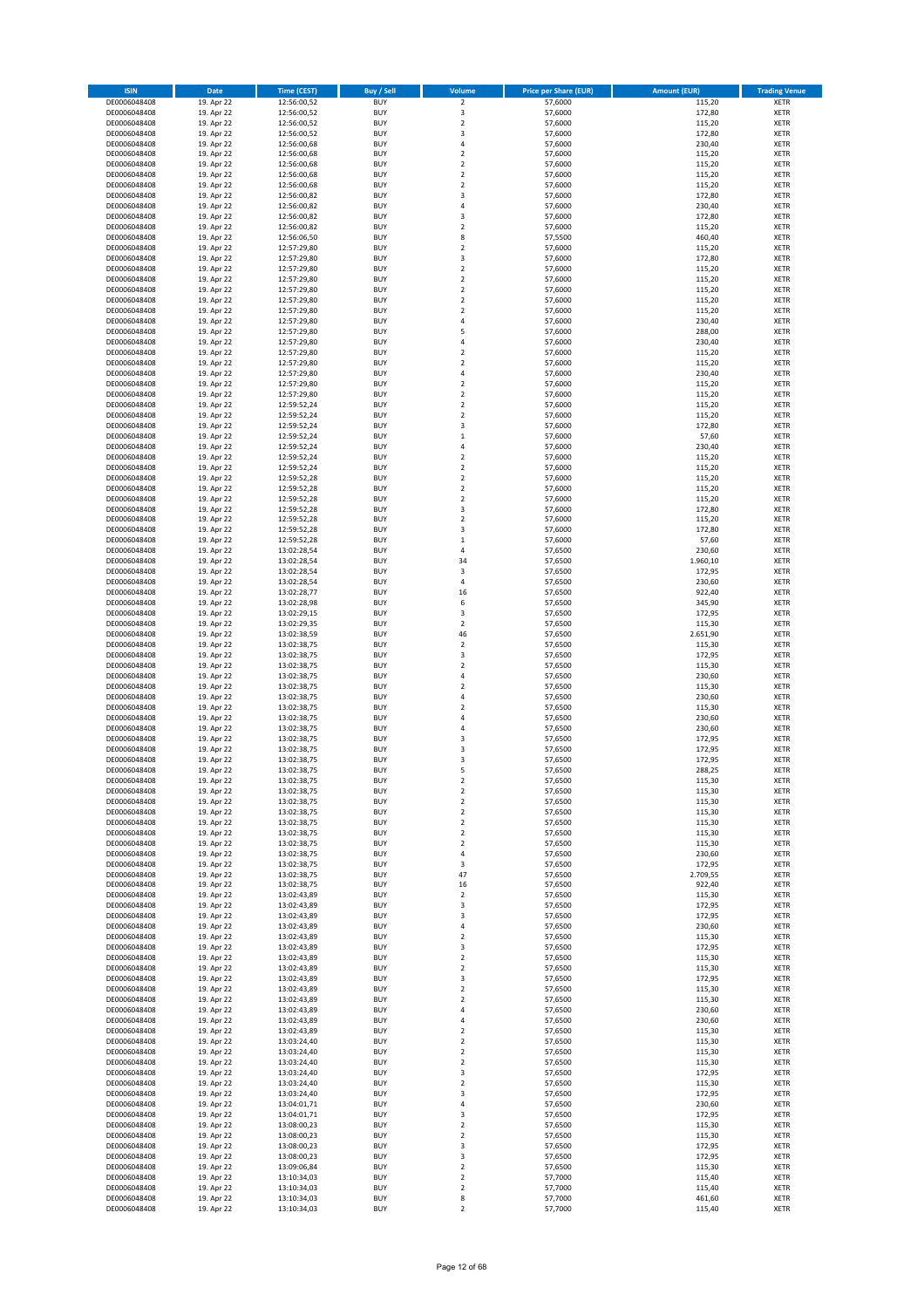| <b>ISIN</b>                  | Date                     | <b>Time (CEST)</b>         | <b>Buy / Sell</b>        | Volume                                      | <b>Price per Share (EUR)</b> | <b>Amount (EUR)</b> | <b>Trading Venue</b>       |
|------------------------------|--------------------------|----------------------------|--------------------------|---------------------------------------------|------------------------------|---------------------|----------------------------|
| DE0006048408                 | 19. Apr 22               | 12:56:00,52                | <b>BUY</b>               | $\overline{2}$                              | 57,6000                      | 115,20              | <b>XETR</b>                |
| DE0006048408                 | 19. Apr 22               | 12:56:00,52                | <b>BUY</b>               | $\mathsf 3$                                 | 57,6000                      | 172,80              | <b>XETR</b>                |
| DE0006048408<br>DE0006048408 | 19. Apr 22<br>19. Apr 22 | 12:56:00,52<br>12:56:00,52 | <b>BUY</b><br><b>BUY</b> | $\mathbf 2$<br>3                            | 57,6000<br>57,6000           | 115,20<br>172,80    | <b>XETR</b><br><b>XETR</b> |
| DE0006048408                 | 19. Apr 22               | 12:56:00,68                | <b>BUY</b>               | 4                                           | 57,6000                      | 230,40              | <b>XETR</b>                |
| DE0006048408                 | 19. Apr 22               | 12:56:00,68                | <b>BUY</b>               | $\overline{2}$                              | 57,6000                      | 115,20              | <b>XETR</b>                |
| DE0006048408                 | 19. Apr 22               | 12:56:00,68                | <b>BUY</b>               | $\overline{2}$                              | 57,6000                      | 115,20              | <b>XETR</b>                |
| DE0006048408                 | 19. Apr 22               | 12:56:00,68                | <b>BUY</b>               | $\overline{2}$                              | 57,6000                      | 115,20              | <b>XETR</b>                |
| DE0006048408<br>DE0006048408 | 19. Apr 22<br>19. Apr 22 | 12:56:00,68                | <b>BUY</b><br><b>BUY</b> | $\overline{2}$<br>3                         | 57,6000<br>57,6000           | 115,20<br>172,80    | XETR<br><b>XETR</b>        |
| DE0006048408                 | 19. Apr 22               | 12:56:00,82<br>12:56:00,82 | <b>BUY</b>               | $\sqrt{4}$                                  | 57,6000                      | 230,40              | XETR                       |
| DE0006048408                 | 19. Apr 22               | 12:56:00,82                | <b>BUY</b>               | 3                                           | 57,6000                      | 172,80              | <b>XETR</b>                |
| DE0006048408                 | 19. Apr 22               | 12:56:00,82                | <b>BUY</b>               | $\boldsymbol{2}$                            | 57,6000                      | 115,20              | XETR                       |
| DE0006048408                 | 19. Apr 22               | 12:56:06,50                | <b>BUY</b>               | 8                                           | 57,5500                      | 460,40              | <b>XETR</b>                |
| DE0006048408                 | 19. Apr 22               | 12:57:29,80                | <b>BUY</b>               | $\boldsymbol{2}$                            | 57,6000                      | 115,20              | <b>XETR</b>                |
| DE0006048408<br>DE0006048408 | 19. Apr 22<br>19. Apr 22 | 12:57:29,80<br>12:57:29,80 | <b>BUY</b><br><b>BUY</b> | 3<br>$\boldsymbol{2}$                       | 57,6000<br>57,6000           | 172,80<br>115,20    | <b>XETR</b><br>XETR        |
| DE0006048408                 | 19. Apr 22               | 12:57:29,80                | <b>BUY</b>               | $\overline{2}$                              | 57,6000                      | 115,20              | <b>XETR</b>                |
| DE0006048408                 | 19. Apr 22               | 12:57:29,80                | <b>BUY</b>               | $\boldsymbol{2}$                            | 57,6000                      | 115,20              | XETR                       |
| DE0006048408                 | 19. Apr 22               | 12:57:29,80                | <b>BUY</b>               | $\overline{2}$                              | 57,6000                      | 115,20              | XETR                       |
| DE0006048408                 | 19. Apr 22               | 12:57:29,80                | <b>BUY</b>               | $\overline{2}$                              | 57,6000                      | 115,20              | <b>XETR</b>                |
| DE0006048408<br>DE0006048408 | 19. Apr 22<br>19. Apr 22 | 12:57:29,80<br>12:57:29,80 | <b>BUY</b><br><b>BUY</b> | $\sqrt{4}$<br>5                             | 57,6000<br>57,6000           | 230,40<br>288,00    | <b>XETR</b><br><b>XETR</b> |
| DE0006048408                 | 19. Apr 22               | 12:57:29,80                | <b>BUY</b>               | $\sqrt{4}$                                  | 57,6000                      | 230,40              | <b>XETR</b>                |
| DE0006048408                 | 19. Apr 22               | 12:57:29,80                | <b>BUY</b>               | $\overline{2}$                              | 57,6000                      | 115,20              | <b>XETR</b>                |
| DE0006048408                 | 19. Apr 22               | 12:57:29,80                | <b>BUY</b>               | $\overline{2}$                              | 57,6000                      | 115,20              | <b>XETR</b>                |
| DE0006048408                 | 19. Apr 22               | 12:57:29,80                | <b>BUY</b>               | $\overline{4}$                              | 57,6000                      | 230,40              | <b>XETR</b>                |
| DE0006048408                 | 19. Apr 22               | 12:57:29,80                | <b>BUY</b><br><b>BUY</b> | $\overline{2}$                              | 57,6000                      | 115,20              | <b>XETR</b><br><b>XETR</b> |
| DE0006048408<br>DE0006048408 | 19. Apr 22<br>19. Apr 22 | 12:57:29,80<br>12:59:52,24 | <b>BUY</b>               | $\boldsymbol{2}$<br>$\boldsymbol{2}$        | 57,6000<br>57,6000           | 115,20<br>115,20    | <b>XETR</b>                |
| DE0006048408                 | 19. Apr 22               | 12:59:52,24                | <b>BUY</b>               | $\sqrt{2}$                                  | 57,6000                      | 115,20              | <b>XETR</b>                |
| DE0006048408                 | 19. Apr 22               | 12:59:52,24                | <b>BUY</b>               | 3                                           | 57,6000                      | 172,80              | <b>XETR</b>                |
| DE0006048408                 | 19. Apr 22               | 12:59:52,24                | <b>BUY</b>               | $\mathbf 1$                                 | 57,6000                      | 57,60               | <b>XETR</b>                |
| DE0006048408                 | 19. Apr 22               | 12:59:52,24                | <b>BUY</b>               | $\sqrt{4}$                                  | 57,6000                      | 230,40              | XETR                       |
| DE0006048408<br>DE0006048408 | 19. Apr 22<br>19. Apr 22 | 12:59:52,24<br>12:59:52,24 | <b>BUY</b><br><b>BUY</b> | $\overline{2}$<br>$\overline{2}$            | 57,6000<br>57,6000           | 115,20<br>115,20    | <b>XETR</b><br>XETR        |
| DE0006048408                 | 19. Apr 22               | 12:59:52,28                | <b>BUY</b>               | $\overline{2}$                              | 57,6000                      | 115,20              | <b>XETR</b>                |
| DE0006048408                 | 19. Apr 22               | 12:59:52,28                | <b>BUY</b>               | $\sqrt{2}$                                  | 57,6000                      | 115,20              | XETR                       |
| DE0006048408                 | 19. Apr 22               | 12:59:52,28                | <b>BUY</b>               | $\overline{2}$                              | 57,6000                      | 115,20              | <b>XETR</b>                |
| DE0006048408                 | 19. Apr 22               | 12:59:52,28                | <b>BUY</b>               | $\overline{\mathbf{3}}$                     | 57,6000                      | 172,80              | <b>XETR</b>                |
| DE0006048408                 | 19. Apr 22               | 12:59:52,28                | <b>BUY</b>               | $\overline{2}$                              | 57,6000                      | 115,20<br>172,80    | <b>XETR</b>                |
| DE0006048408<br>DE0006048408 | 19. Apr 22<br>19. Apr 22 | 12:59:52,28<br>12:59:52,28 | <b>BUY</b><br><b>BUY</b> | 3<br>$\,1\,$                                | 57,6000<br>57,6000           | 57,60               | XETR<br><b>XETR</b>        |
| DE0006048408                 | 19. Apr 22               | 13:02:28,54                | <b>BUY</b>               | $\sqrt{4}$                                  | 57,6500                      | 230,60              | XETR                       |
| DE0006048408                 | 19. Apr 22               | 13:02:28,54                | <b>BUY</b>               | 34                                          | 57,6500                      | 1.960,10            | <b>XETR</b>                |
| DE0006048408                 | 19. Apr 22               | 13:02:28,54                | <b>BUY</b>               | 3                                           | 57,6500                      | 172,95              | XETR                       |
| DE0006048408                 | 19. Apr 22               | 13:02:28,54                | <b>BUY</b>               | 4                                           | 57,6500                      | 230,60              | <b>XETR</b>                |
| DE0006048408<br>DE0006048408 | 19. Apr 22<br>19. Apr 22 | 13:02:28,77<br>13:02:28,98 | <b>BUY</b><br><b>BUY</b> | 16<br>6                                     | 57,6500<br>57,6500           | 922,40<br>345,90    | <b>XETR</b><br><b>XETR</b> |
| DE0006048408                 | 19. Apr 22               | 13:02:29,15                | <b>BUY</b>               | 3                                           | 57,6500                      | 172,95              | <b>XETR</b>                |
| DE0006048408                 | 19. Apr 22               | 13:02:29,35                | <b>BUY</b>               | $\boldsymbol{2}$                            | 57,6500                      | 115,30              | <b>XETR</b>                |
| DE0006048408                 | 19. Apr 22               | 13:02:38,59                | <b>BUY</b>               | 46                                          | 57,6500                      | 2.651,90            | <b>XETR</b>                |
| DE0006048408                 | 19. Apr 22               | 13:02:38,75                | <b>BUY</b>               | $\boldsymbol{2}$                            | 57,6500                      | 115,30              | <b>XETR</b>                |
| DE0006048408<br>DE0006048408 | 19. Apr 22<br>19. Apr 22 | 13:02:38,75<br>13:02:38,75 | <b>BUY</b><br><b>BUY</b> | 3<br>$\mathbf 2$                            | 57,6500<br>57,6500           | 172,95<br>115,30    | <b>XETR</b><br><b>XETR</b> |
| DE0006048408                 | 19. Apr 22               | 13:02:38,75                | <b>BUY</b>               | $\overline{4}$                              | 57,6500                      | 230,60              | <b>XETR</b>                |
| DE0006048408                 | 19. Apr 22               | 13:02:38,75                | <b>BUY</b>               | $\mathbf 2$                                 | 57,6500                      | 115,30              | <b>XETR</b>                |
| DE0006048408                 | 19. Apr 22               | 13:02:38,75                | <b>BUY</b>               | $\overline{4}$                              | 57,6500                      | 230,60              | <b>XETR</b>                |
| DE0006048408                 | 19. Apr 22               | 13:02:38,75                | <b>BUY</b>               | $\overline{2}$                              | 57,6500                      | 115,30              | <b>XETR</b>                |
| DE0006048408                 | 19. Apr 22               | 13:02:38,75                | <b>BUY</b>               | 4                                           | 57,6500                      | 230,60              | <b>XETR</b>                |
| DE0006048408<br>DE0006048408 | 19. Apr 22<br>19. Apr 22 | 13:02:38,75<br>13:02:38,75 | <b>BUY</b><br><b>BUY</b> | $\sqrt{4}$<br>3                             | 57,6500<br>57,6500           | 230,60<br>172,95    | XETR<br><b>XETR</b>        |
| DE0006048408                 | 19. Apr 22               | 13:02:38,75                | <b>BUY</b>               | 3                                           | 57,6500                      | 172,95              | <b>XETR</b>                |
| DE0006048408                 | 19. Apr 22               | 13:02:38,75                | <b>BUY</b>               | 3                                           | 57,6500                      | 172,95              | <b>XETR</b>                |
| DE0006048408                 | 19. Apr 22               | 13:02:38,75                | <b>BUY</b>               | 5                                           | 57,6500                      | 288,25              | <b>XETR</b>                |
| DE0006048408                 | 19. Apr 22               | 13:02:38,75                | <b>BUY</b>               | $\overline{\mathbf{c}}$                     | 57,6500                      | 115,30              | XETR                       |
| DE0006048408<br>DE0006048408 | 19. Apr 22<br>19. Apr 22 | 13:02:38,75<br>13:02:38,75 | <b>BUY</b><br><b>BUY</b> | $\mathbf 2$<br>$\mathbf 2$                  | 57,6500<br>57,6500           | 115,30<br>115,30    | XETR<br>XETR               |
| DE0006048408                 | 19. Apr 22               | 13:02:38,75                | <b>BUY</b>               | $\boldsymbol{2}$                            | 57,6500                      | 115,30              | XETR                       |
| DE0006048408                 | 19. Apr 22               | 13:02:38,75                | <b>BUY</b>               | $\mathbf 2$                                 | 57,6500                      | 115,30              | XETR                       |
| DE0006048408                 | 19. Apr 22               | 13:02:38,75                | <b>BUY</b>               | $\overline{\mathbf{c}}$                     | 57,6500                      | 115,30              | XETR                       |
| DE0006048408                 | 19. Apr 22               | 13:02:38,75                | <b>BUY</b>               | $\overline{2}$                              | 57,6500                      | 115,30              | <b>XETR</b>                |
| DE0006048408<br>DE0006048408 | 19. Apr 22<br>19. Apr 22 | 13:02:38,75<br>13:02:38,75 | <b>BUY</b><br><b>BUY</b> | $\sqrt{4}$<br>3                             | 57,6500<br>57,6500           | 230,60<br>172,95    | XETR<br><b>XETR</b>        |
| DE0006048408                 | 19. Apr 22               | 13:02:38,75                | <b>BUY</b>               | 47                                          | 57,6500                      | 2.709,55            | XETR                       |
| DE0006048408                 | 19. Apr 22               | 13:02:38,75                | <b>BUY</b>               | 16                                          | 57,6500                      | 922,40              | <b>XETR</b>                |
| DE0006048408                 | 19. Apr 22               | 13:02:43,89                | <b>BUY</b>               | $\sqrt{2}$                                  | 57,6500                      | 115,30              | <b>XETR</b>                |
| DE0006048408                 | 19. Apr 22               | 13:02:43,89                | <b>BUY</b>               | 3                                           | 57,6500                      | 172,95              | XETR                       |
| DE0006048408                 | 19. Apr 22<br>19. Apr 22 | 13:02:43,89<br>13:02:43,89 | <b>BUY</b><br><b>BUY</b> | 3                                           | 57,6500<br>57,6500           | 172,95<br>230,60    | XETR                       |
| DE0006048408<br>DE0006048408 | 19. Apr 22               | 13:02:43,89                | <b>BUY</b>               | 4<br>$\mathbf 2$                            | 57,6500                      | 115,30              | <b>XETR</b><br><b>XETR</b> |
| DE0006048408                 | 19. Apr 22               | 13:02:43,89                | <b>BUY</b>               | 3                                           | 57,6500                      | 172,95              | <b>XETR</b>                |
| DE0006048408                 | 19. Apr 22               | 13:02:43,89                | <b>BUY</b>               | $\mathbf 2$                                 | 57,6500                      | 115,30              | <b>XETR</b>                |
| DE0006048408                 | 19. Apr 22               | 13:02:43,89                | <b>BUY</b>               | $\overline{2}$                              | 57,6500                      | 115,30              | <b>XETR</b>                |
| DE0006048408                 | 19. Apr 22               | 13:02:43,89                | <b>BUY</b>               | 3                                           | 57,6500                      | 172,95              | <b>XETR</b>                |
| DE0006048408<br>DE0006048408 | 19. Apr 22<br>19. Apr 22 | 13:02:43,89<br>13:02:43,89 | <b>BUY</b><br><b>BUY</b> | $\overline{2}$<br>$\boldsymbol{2}$          | 57,6500<br>57,6500           | 115,30<br>115,30    | <b>XETR</b><br>XETR        |
| DE0006048408                 | 19. Apr 22               | 13:02:43,89                | <b>BUY</b>               | 4                                           | 57,6500                      | 230,60              | XETR                       |
| DE0006048408                 | 19. Apr 22               | 13:02:43,89                | <b>BUY</b>               | 4                                           | 57,6500                      | 230,60              | XETR                       |
| DE0006048408                 | 19. Apr 22               | 13:02:43,89                | <b>BUY</b>               | $\sqrt{2}$                                  | 57,6500                      | 115,30              | XETR                       |
| DE0006048408                 | 19. Apr 22               | 13:03:24,40                | <b>BUY</b>               | $\overline{2}$                              | 57,6500                      | 115,30              | <b>XETR</b>                |
| DE0006048408<br>DE0006048408 | 19. Apr 22<br>19. Apr 22 | 13:03:24,40<br>13:03:24,40 | <b>BUY</b><br><b>BUY</b> | $\overline{\mathbf{c}}$<br>$\overline{2}$   | 57,6500<br>57,6500           | 115,30<br>115,30    | XETR<br>XETR               |
| DE0006048408                 | 19. Apr 22               | 13:03:24,40                | <b>BUY</b>               | 3                                           | 57,6500                      | 172,95              | XETR                       |
| DE0006048408                 | 19. Apr 22               | 13:03:24,40                | <b>BUY</b>               | $\boldsymbol{2}$                            | 57,6500                      | 115,30              | XETR                       |
| DE0006048408                 | 19. Apr 22               | 13:03:24,40                | <b>BUY</b>               | 3                                           | 57,6500                      | 172,95              | XETR                       |
| DE0006048408                 | 19. Apr 22               | 13:04:01,71                | <b>BUY</b>               | 4                                           | 57,6500                      | 230,60              | XETR                       |
| DE0006048408                 | 19. Apr 22               | 13:04:01,71                | <b>BUY</b>               | 3                                           | 57,6500                      | 172,95              | XETR                       |
| DE0006048408<br>DE0006048408 | 19. Apr 22<br>19. Apr 22 | 13:08:00,23<br>13:08:00,23 | <b>BUY</b><br><b>BUY</b> | $\boldsymbol{2}$<br>$\overline{\mathbf{c}}$ | 57,6500<br>57,6500           | 115,30<br>115,30    | <b>XETR</b><br><b>XETR</b> |
| DE0006048408                 | 19. Apr 22               | 13:08:00,23                | <b>BUY</b>               | 3                                           | 57,6500                      | 172,95              | <b>XETR</b>                |
| DE0006048408                 | 19. Apr 22               | 13:08:00,23                | <b>BUY</b>               | 3                                           | 57,6500                      | 172,95              | <b>XETR</b>                |
| DE0006048408                 | 19. Apr 22               | 13:09:06,84                | <b>BUY</b>               | $\overline{2}$                              | 57,6500                      | 115,30              | <b>XETR</b>                |
| DE0006048408                 | 19. Apr 22               | 13:10:34,03                | <b>BUY</b>               | $\mathbf 2$                                 | 57,7000                      | 115,40              | <b>XETR</b>                |
| DE0006048408<br>DE0006048408 | 19. Apr 22<br>19. Apr 22 | 13:10:34,03<br>13:10:34,03 | <b>BUY</b><br><b>BUY</b> | $\overline{2}$<br>8                         | 57,7000<br>57,7000           | 115,40<br>461,60    | <b>XETR</b><br><b>XETR</b> |
| DE0006048408                 | 19. Apr 22               | 13:10:34,03                | <b>BUY</b>               | $\boldsymbol{2}$                            | 57,7000                      | 115,40              | XETR                       |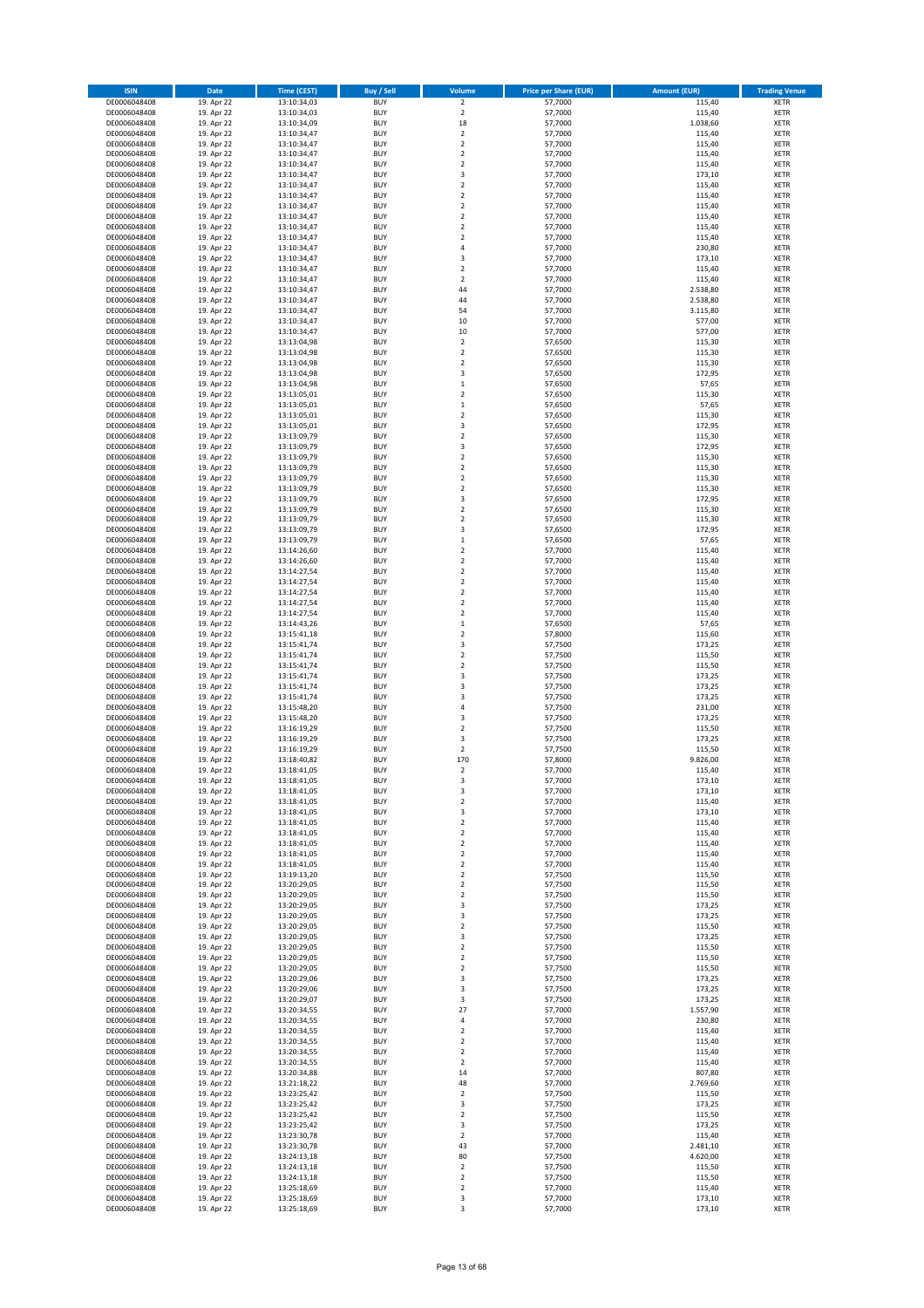| <b>ISIN</b>                  | Date                     | <b>Time (CEST)</b>         | <b>Buy / Sell</b>        | Volume                                    | <b>Price per Share (EUR)</b> | <b>Amount (EUR)</b> | <b>Trading Venue</b>       |
|------------------------------|--------------------------|----------------------------|--------------------------|-------------------------------------------|------------------------------|---------------------|----------------------------|
| DE0006048408                 | 19. Apr 22               | 13:10:34,03                | <b>BUY</b>               | $\overline{2}$                            | 57,7000                      | 115,40              | <b>XETR</b>                |
| DE0006048408                 | 19. Apr 22               | 13:10:34,03                | <b>BUY</b>               | $\mathbf 2$                               | 57,7000                      | 115,40              | XETR                       |
| DE0006048408<br>DE0006048408 | 19. Apr 22<br>19. Apr 22 | 13:10:34,09<br>13:10:34,47 | <b>BUY</b><br><b>BUY</b> | 18<br>$\overline{2}$                      | 57,7000<br>57,7000           | 1.038,60<br>115,40  | XETR<br><b>XETR</b>        |
| DE0006048408                 | 19. Apr 22               | 13:10:34,47                | <b>BUY</b>               | $\mathbf 2$                               | 57,7000                      | 115,40              | <b>XETR</b>                |
| DE0006048408                 | 19. Apr 22               | 13:10:34,47                | <b>BUY</b>               | $\overline{2}$                            | 57,7000                      | 115,40              | <b>XETR</b>                |
| DE0006048408                 | 19. Apr 22               | 13:10:34,47                | <b>BUY</b>               | $\mathbf 2$                               | 57,7000                      | 115,40              | <b>XETR</b>                |
| DE0006048408                 | 19. Apr 22               | 13:10:34,47                | <b>BUY</b>               | 3                                         | 57,7000                      | 173,10              | <b>XETR</b>                |
| DE0006048408<br>DE0006048408 | 19. Apr 22<br>19. Apr 22 | 13:10:34,47                | <b>BUY</b><br><b>BUY</b> | $\mathbf 2$<br>$\overline{2}$             | 57,7000<br>57,7000           | 115,40<br>115,40    | XETR<br><b>XETR</b>        |
| DE0006048408                 | 19. Apr 22               | 13:10:34,47<br>13:10:34,47 | <b>BUY</b>               | $\mathbf 2$                               | 57,7000                      | 115,40              | XETR                       |
| DE0006048408                 | 19. Apr 22               | 13:10:34,47                | <b>BUY</b>               | $\overline{2}$                            | 57,7000                      | 115,40              | <b>XETR</b>                |
| DE0006048408                 | 19. Apr 22               | 13:10:34,47                | <b>BUY</b>               | $\mathbf 2$                               | 57,7000                      | 115,40              | XETR                       |
| DE0006048408                 | 19. Apr 22               | 13:10:34,47                | <b>BUY</b>               | $\overline{2}$                            | 57,7000                      | 115,40              | <b>XETR</b>                |
| DE0006048408                 | 19. Apr 22               | 13:10:34,47                | <b>BUY</b>               | $\sqrt{4}$                                | 57,7000                      | 230,80              | XETR                       |
| DE0006048408<br>DE0006048408 | 19. Apr 22<br>19. Apr 22 | 13:10:34,47<br>13:10:34,47 | <b>BUY</b><br><b>BUY</b> | 3<br>$\mathbf 2$                          | 57,7000<br>57,7000           | 173,10<br>115,40    | <b>XETR</b><br>XETR        |
| DE0006048408                 | 19. Apr 22               | 13:10:34,47                | <b>BUY</b>               | $\overline{2}$                            | 57,7000                      | 115,40              | <b>XETR</b>                |
| DE0006048408                 | 19. Apr 22               | 13:10:34,47                | <b>BUY</b>               | 44                                        | 57,7000                      | 2.538,80            | XETR                       |
| DE0006048408                 | 19. Apr 22               | 13:10:34,47                | <b>BUY</b>               | 44                                        | 57,7000                      | 2.538,80            | XETR                       |
| DE0006048408                 | 19. Apr 22<br>19. Apr 22 | 13:10:34,47                | <b>BUY</b><br><b>BUY</b> | 54<br>10                                  | 57,7000<br>57,7000           | 3.115,80<br>577,00  | <b>XETR</b><br><b>XETR</b> |
| DE0006048408<br>DE0006048408 | 19. Apr 22               | 13:10:34,47<br>13:10:34,47 | <b>BUY</b>               | 10                                        | 57,7000                      | 577,00              | <b>XETR</b>                |
| DE0006048408                 | 19. Apr 22               | 13:13:04,98                | <b>BUY</b>               | $\overline{2}$                            | 57,6500                      | 115,30              | <b>XETR</b>                |
| DE0006048408                 | 19. Apr 22               | 13:13:04,98                | <b>BUY</b>               | $\overline{2}$                            | 57,6500                      | 115,30              | <b>XETR</b>                |
| DE0006048408                 | 19. Apr 22               | 13:13:04,98                | <b>BUY</b>               | $\overline{2}$                            | 57,6500                      | 115,30              | <b>XETR</b>                |
| DE0006048408                 | 19. Apr 22               | 13:13:04,98                | <b>BUY</b>               | 3                                         | 57,6500                      | 172,95              | <b>XETR</b>                |
| DE0006048408<br>DE0006048408 | 19. Apr 22<br>19. Apr 22 | 13:13:04,98<br>13:13:05,01 | <b>BUY</b><br><b>BUY</b> | $\,1\,$<br>$\overline{2}$                 | 57,6500<br>57,6500           | 57,65<br>115,30     | <b>XETR</b><br><b>XETR</b> |
| DE0006048408                 | 19. Apr 22               | 13:13:05,01                | <b>BUY</b>               | $\,$ 1                                    | 57,6500                      | 57,65               | <b>XETR</b>                |
| DE0006048408                 | 19. Apr 22               | 13:13:05,01                | <b>BUY</b>               | $\mathbf 2$                               | 57,6500                      | 115,30              | <b>XETR</b>                |
| DE0006048408                 | 19. Apr 22               | 13:13:05,01                | <b>BUY</b>               | 3                                         | 57,6500                      | 172,95              | <b>XETR</b>                |
| DE0006048408                 | 19. Apr 22               | 13:13:09,79                | <b>BUY</b><br><b>BUY</b> | $\overline{2}$<br>3                       | 57,6500<br>57,6500           | 115,30<br>172,95    | <b>XETR</b><br>XETR        |
| DE0006048408<br>DE0006048408 | 19. Apr 22<br>19. Apr 22 | 13:13:09,79<br>13:13:09,79 | <b>BUY</b>               | $\overline{2}$                            | 57,6500                      | 115,30              | <b>XETR</b>                |
| DE0006048408                 | 19. Apr 22               | 13:13:09,79                | <b>BUY</b>               | $\mathbf 2$                               | 57,6500                      | 115,30              | XETR                       |
| DE0006048408                 | 19. Apr 22               | 13:13:09,79                | <b>BUY</b>               | $\overline{2}$                            | 57,6500                      | 115,30              | <b>XETR</b>                |
| DE0006048408                 | 19. Apr 22               | 13:13:09,79                | <b>BUY</b>               | $\sqrt{2}$                                | 57,6500                      | 115,30              | XETR                       |
| DE0006048408                 | 19. Apr 22               | 13:13:09,79                | <b>BUY</b>               | 3                                         | 57,6500                      | 172,95              | <b>XETR</b>                |
| DE0006048408<br>DE0006048408 | 19. Apr 22<br>19. Apr 22 | 13:13:09,79<br>13:13:09,79 | <b>BUY</b><br><b>BUY</b> | $\overline{2}$<br>$\mathbf 2$             | 57,6500<br>57,6500           | 115,30<br>115,30    | <b>XETR</b><br><b>XETR</b> |
| DE0006048408                 | 19. Apr 22               | 13:13:09,79                | <b>BUY</b>               | 3                                         | 57,6500                      | 172,95              | XETR                       |
| DE0006048408                 | 19. Apr 22               | 13:13:09,79                | <b>BUY</b>               | $\,1\,$                                   | 57,6500                      | 57,65               | <b>XETR</b>                |
| DE0006048408                 | 19. Apr 22               | 13:14:26,60                | <b>BUY</b>               | $\mathbf 2$                               | 57,7000                      | 115,40              | <b>XETR</b>                |
| DE0006048408                 | 19. Apr 22               | 13:14:26,60                | <b>BUY</b>               | $\overline{2}$                            | 57,7000                      | 115,40              | <b>XETR</b>                |
| DE0006048408                 | 19. Apr 22               | 13:14:27,54                | <b>BUY</b>               | $\boldsymbol{2}$                          | 57,7000                      | 115,40              | XETR                       |
| DE0006048408<br>DE0006048408 | 19. Apr 22<br>19. Apr 22 | 13:14:27,54<br>13:14:27,54 | <b>BUY</b><br><b>BUY</b> | $\boldsymbol{2}$<br>$\boldsymbol{2}$      | 57,7000<br>57,7000           | 115,40<br>115,40    | <b>XETR</b><br><b>XETR</b> |
| DE0006048408                 | 19. Apr 22               | 13:14:27,54                | <b>BUY</b>               | $\boldsymbol{2}$                          | 57,7000                      | 115,40              | <b>XETR</b>                |
| DE0006048408                 | 19. Apr 22               | 13:14:27,54                | <b>BUY</b>               | $\boldsymbol{2}$                          | 57,7000                      | 115,40              | <b>XETR</b>                |
| DE0006048408                 | 19. Apr 22               | 13:14:43,26                | <b>BUY</b>               | $\,$ 1                                    | 57,6500                      | 57,65               | <b>XETR</b>                |
| DE0006048408                 | 19. Apr 22               | 13:15:41,18                | <b>BUY</b>               | $\overline{2}$                            | 57,8000                      | 115,60              | <b>XETR</b>                |
| DE0006048408                 | 19. Apr 22               | 13:15:41,74                | <b>BUY</b>               | 3                                         | 57,7500                      | 173,25              | <b>XETR</b>                |
| DE0006048408<br>DE0006048408 | 19. Apr 22<br>19. Apr 22 | 13:15:41,74<br>13:15:41,74 | <b>BUY</b><br><b>BUY</b> | $\overline{2}$<br>$\mathbf 2$             | 57,7500<br>57,7500           | 115,50<br>115,50    | <b>XETR</b><br><b>XETR</b> |
| DE0006048408                 | 19. Apr 22               | 13:15:41,74                | <b>BUY</b>               | 3                                         | 57,7500                      | 173,25              | <b>XETR</b>                |
| DE0006048408                 | 19. Apr 22               | 13:15:41,74                | <b>BUY</b>               | $\overline{\mathbf{3}}$                   | 57,7500                      | 173,25              | <b>XETR</b>                |
| DE0006048408                 | 19. Apr 22               | 13:15:41,74                | <b>BUY</b>               | 3                                         | 57,7500                      | 173,25              | <b>XETR</b>                |
| DE0006048408                 | 19. Apr 22               | 13:15:48,20                | <b>BUY</b>               | 4                                         | 57,7500                      | 231,00              | <b>XETR</b>                |
| DE0006048408<br>DE0006048408 | 19. Apr 22<br>19. Apr 22 | 13:15:48,20<br>13:16:19,29 | <b>BUY</b><br><b>BUY</b> | 3<br>$\overline{2}$                       | 57,7500<br>57,7500           | 173,25<br>115,50    | <b>XETR</b><br>XETR        |
| DE0006048408                 | 19. Apr 22               | 13:16:19,29                | <b>BUY</b>               | 3                                         | 57,7500                      | 173,25              | <b>XETR</b>                |
| DE0006048408                 | 19. Apr 22               | 13:16:19,29                | <b>BUY</b>               | $\boldsymbol{2}$                          | 57,7500                      | 115,50              | XETR                       |
| DE0006048408                 | 19. Apr 22               | 13:18:40,82                | <b>BUY</b>               | 170                                       | 57,8000                      | 9.826,00            | <b>XETR</b>                |
| DE0006048408                 | 19. Apr 22               | 13:18:41,05                | <b>BUY</b>               | $\overline{2}$                            | 57,7000                      | 115,40              | <b>XETR</b>                |
| DE0006048408<br>DE0006048408 | 19. Apr 22               | 13:18:41,05                | <b>BUY</b>               | 3                                         | 57,7000                      | 173,10              | XETR                       |
| DE0006048408                 | 19. Apr 22<br>19. Apr 22 | 13:18:41,05<br>13:18:41,05 | <b>BUY</b><br><b>BUY</b> | 3<br>$\mathbf 2$                          | 57,7000<br>57,7000           | 173,10<br>115,40    | XETR<br>XETR               |
| DE0006048408                 | 19. Apr 22               | 13:18:41,05                | <b>BUY</b>               | 3                                         | 57,7000                      | 173,10              | <b>XETR</b>                |
| DE0006048408                 | 19. Apr 22               | 13:18:41,05                | <b>BUY</b>               | $\overline{2}$                            | 57,7000                      | 115,40              | <b>XETR</b>                |
| DE0006048408                 | 19. Apr 22               | 13:18:41,05                | <b>BUY</b>               | $\overline{\mathbf{c}}$                   | 57,7000                      | 115,40              | XETR                       |
| DE0006048408<br>DE0006048408 | 19. Apr 22<br>19. Apr 22 | 13:18:41,05<br>13:18:41,05 | <b>BUY</b><br><b>BUY</b> | $\mathbf 2$<br>$\boldsymbol{2}$           | 57,7000<br>57,7000           | 115,40<br>115,40    | <b>XETR</b><br>XETR        |
| DE0006048408                 | 19. Apr 22               | 13:18:41,05                | <b>BUY</b>               | $\overline{2}$                            | 57,7000                      | 115,40              | <b>XETR</b>                |
| DE0006048408                 | 19. Apr 22               | 13:19:13,20                | <b>BUY</b>               | $\mathbf 2$                               | 57,7500                      | 115,50              | XETR                       |
| DE0006048408                 | 19. Apr 22               | 13:20:29,05                | <b>BUY</b>               | $\mathbf 2$                               | 57,7500                      | 115,50              | <b>XETR</b>                |
| DE0006048408                 | 19. Apr 22               | 13:20:29,05                | <b>BUY</b>               | $\mathbf 2$                               | 57,7500                      | 115,50              | <b>XETR</b>                |
| DE0006048408<br>DE0006048408 | 19. Apr 22<br>19. Apr 22 | 13:20:29,05<br>13:20:29,05 | <b>BUY</b><br><b>BUY</b> | 3<br>3                                    | 57,7500<br>57,7500           | 173,25<br>173,25    | <b>XETR</b><br>XETR        |
| DE0006048408                 | 19. Apr 22               | 13:20:29,05                | <b>BUY</b>               | $\mathbf 2$                               | 57,7500                      | 115,50              | <b>XETR</b>                |
| DE0006048408                 | 19. Apr 22               | 13:20:29,05                | <b>BUY</b>               | 3                                         | 57,7500                      | 173,25              | <b>XETR</b>                |
| DE0006048408                 | 19. Apr 22               | 13:20:29,05                | <b>BUY</b>               | $\mathbf 2$                               | 57,7500                      | 115,50              | <b>XETR</b>                |
| DE0006048408                 | 19. Apr 22               | 13:20:29,05                | <b>BUY</b>               | $\mathbf 2$                               | 57,7500                      | 115,50              | <b>XETR</b>                |
| DE0006048408<br>DE0006048408 | 19. Apr 22               | 13:20:29,05                | <b>BUY</b><br><b>BUY</b> | $\overline{2}$<br>3                       | 57,7500<br>57,7500           | 115,50              | <b>XETR</b><br><b>XETR</b> |
| DE0006048408                 | 19. Apr 22<br>19. Apr 22 | 13:20:29,06<br>13:20:29,06 | <b>BUY</b>               | 3                                         | 57,7500                      | 173,25<br>173,25    | <b>XETR</b>                |
| DE0006048408                 | 19. Apr 22               | 13:20:29,07                | <b>BUY</b>               | 3                                         | 57,7500                      | 173,25              | <b>XETR</b>                |
| DE0006048408                 | 19. Apr 22               | 13:20:34,55                | <b>BUY</b>               | 27                                        | 57,7000                      | 1.557,90            | XETR                       |
| DE0006048408                 | 19. Apr 22               | 13:20:34,55                | <b>BUY</b>               | 4                                         | 57,7000                      | 230,80              | XETR                       |
| DE0006048408                 | 19. Apr 22               | 13:20:34,55                | <b>BUY</b>               | $\boldsymbol{2}$                          | 57,7000                      | 115,40              | <b>XETR</b>                |
| DE0006048408<br>DE0006048408 | 19. Apr 22<br>19. Apr 22 | 13:20:34,55<br>13:20:34,55 | <b>BUY</b><br><b>BUY</b> | $\overline{2}$<br>$\overline{\mathbf{c}}$ | 57,7000<br>57,7000           | 115,40<br>115,40    | <b>XETR</b><br>XETR        |
| DE0006048408                 | 19. Apr 22               | 13:20:34,55                | <b>BUY</b>               | $\overline{2}$                            | 57,7000                      | 115,40              | XETR                       |
| DE0006048408                 | 19. Apr 22               | 13:20:34,88                | <b>BUY</b>               | 14                                        | 57,7000                      | 807,80              | XETR                       |
| DE0006048408                 | 19. Apr 22               | 13:21:18,22                | <b>BUY</b>               | 48                                        | 57,7000                      | 2.769,60            | <b>XETR</b>                |
| DE0006048408                 | 19. Apr 22               | 13:23:25,42                | <b>BUY</b>               | $\sqrt{2}$                                | 57,7500                      | 115,50              | XETR                       |
| DE0006048408<br>DE0006048408 | 19. Apr 22<br>19. Apr 22 | 13:23:25,42<br>13:23:25,42 | <b>BUY</b><br><b>BUY</b> | 3<br>$\mathbf 2$                          | 57,7500<br>57,7500           | 173,25<br>115,50    | XETR<br><b>XETR</b>        |
| DE0006048408                 | 19. Apr 22               | 13:23:25,42                | <b>BUY</b>               | 3                                         | 57,7500                      | 173,25              | <b>XETR</b>                |
| DE0006048408                 | 19. Apr 22               | 13:23:30,78                | <b>BUY</b>               | $\overline{2}$                            | 57,7000                      | 115,40              | <b>XETR</b>                |
| DE0006048408                 | 19. Apr 22               | 13:23:30,78                | <b>BUY</b>               | 43                                        | 57,7000                      | 2.481,10            | <b>XETR</b>                |
| DE0006048408                 | 19. Apr 22               | 13:24:13,18                | <b>BUY</b>               | 80                                        | 57,7500                      | 4.620,00            | <b>XETR</b>                |
| DE0006048408<br>DE0006048408 | 19. Apr 22<br>19. Apr 22 | 13:24:13,18<br>13:24:13,18 | <b>BUY</b><br><b>BUY</b> | $\overline{2}$<br>$\mathbf 2$             | 57,7500<br>57,7500           | 115,50<br>115,50    | <b>XETR</b><br><b>XETR</b> |
| DE0006048408                 | 19. Apr 22               | 13:25:18,69                | <b>BUY</b>               | $\overline{2}$                            | 57,7000                      | 115,40              | <b>XETR</b>                |
| DE0006048408                 | 19. Apr 22               | 13:25:18,69                | <b>BUY</b>               | 3                                         | 57,7000                      | 173,10              | <b>XETR</b>                |
| DE0006048408                 | 19. Apr 22               | 13:25:18,69                | <b>BUY</b>               | 3                                         | 57,7000                      | 173,10              | <b>XETR</b>                |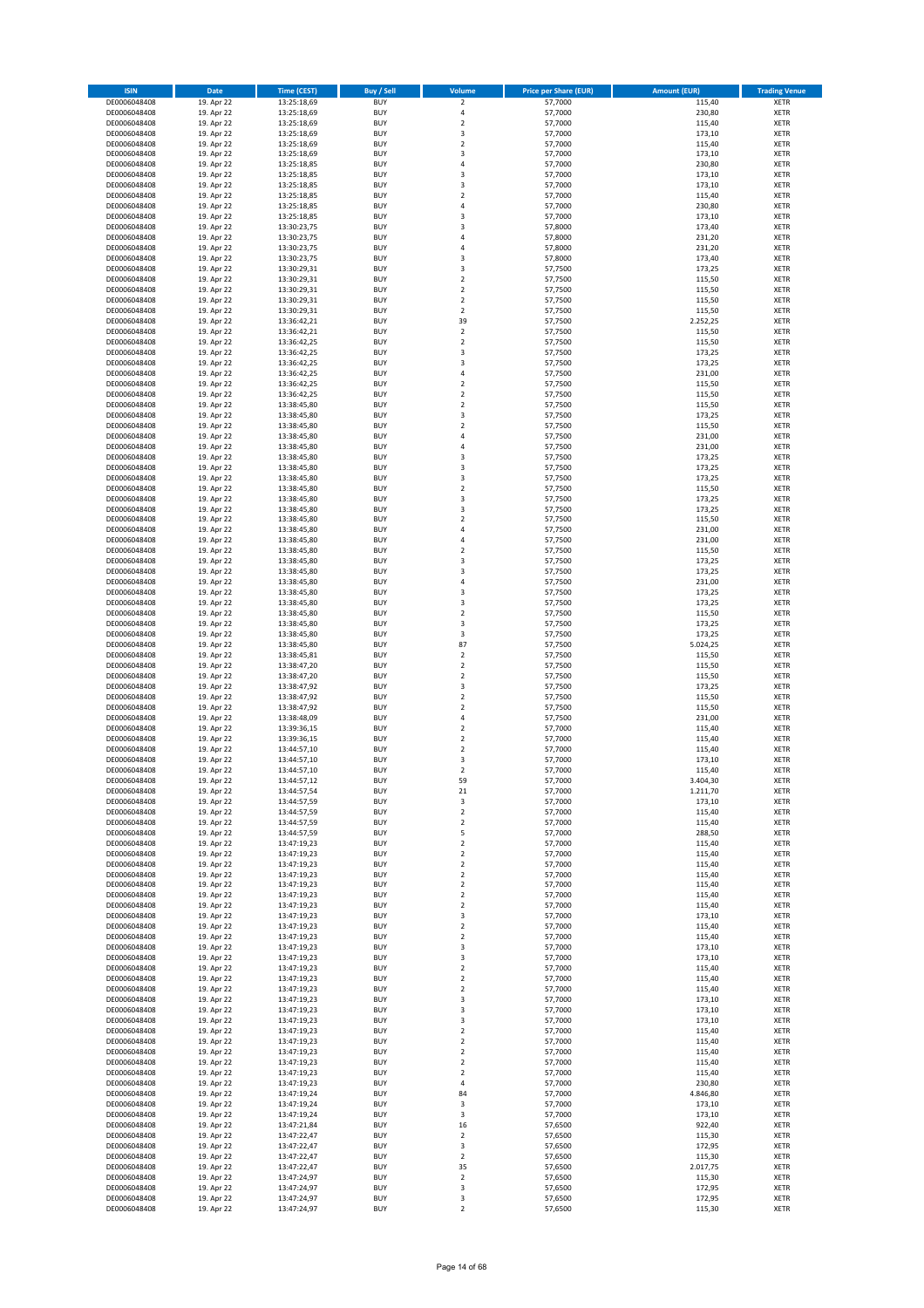| <b>ISIN</b>                  | Date                     | <b>Time (CEST)</b>         | <b>Buy / Sell</b>        | Volume                                    | <b>Price per Share (EUR)</b> | <b>Amount (EUR)</b> | <b>Trading Venue</b>       |
|------------------------------|--------------------------|----------------------------|--------------------------|-------------------------------------------|------------------------------|---------------------|----------------------------|
| DE0006048408                 | 19. Apr 22               | 13:25:18,69                | <b>BUY</b>               | $\overline{2}$                            | 57,7000                      | 115,40              | <b>XETR</b>                |
| DE0006048408                 | 19. Apr 22               | 13:25:18,69                | <b>BUY</b>               | $\sqrt{4}$                                | 57,7000                      | 230,80              | XETR                       |
| DE0006048408<br>DE0006048408 | 19. Apr 22<br>19. Apr 22 | 13:25:18,69<br>13:25:18,69 | <b>BUY</b><br><b>BUY</b> | $\mathbf 2$<br>3                          | 57,7000<br>57,7000           | 115,40<br>173,10    | <b>XETR</b><br><b>XETR</b> |
| DE0006048408                 | 19. Apr 22               | 13:25:18,69                | <b>BUY</b>               | $\mathbf 2$                               | 57,7000                      | 115,40              | <b>XETR</b>                |
| DE0006048408                 | 19. Apr 22               | 13:25:18,69                | <b>BUY</b>               | 3                                         | 57,7000                      | 173,10              | <b>XETR</b>                |
| DE0006048408                 | 19. Apr 22               | 13:25:18,85                | <b>BUY</b>               | $\overline{4}$                            | 57,7000                      | 230,80              | <b>XETR</b>                |
| DE0006048408                 | 19. Apr 22               | 13:25:18,85                | <b>BUY</b>               | 3                                         | 57,7000                      | 173,10              | <b>XETR</b>                |
| DE0006048408<br>DE0006048408 | 19. Apr 22<br>19. Apr 22 | 13:25:18,85                | <b>BUY</b><br><b>BUY</b> | 3<br>$\overline{2}$                       | 57,7000<br>57,7000           | 173,10<br>115,40    | XETR<br><b>XETR</b>        |
| DE0006048408                 | 19. Apr 22               | 13:25:18,85<br>13:25:18,85 | <b>BUY</b>               | $\sqrt{4}$                                | 57,7000                      | 230,80              | XETR                       |
| DE0006048408                 | 19. Apr 22               | 13:25:18,85                | <b>BUY</b>               | 3                                         | 57,7000                      | 173,10              | <b>XETR</b>                |
| DE0006048408                 | 19. Apr 22               | 13:30:23,75                | <b>BUY</b>               | 3                                         | 57,8000                      | 173,40              | XETR                       |
| DE0006048408                 | 19. Apr 22               | 13:30:23,75                | <b>BUY</b>               | $\sqrt{4}$                                | 57,8000                      | 231,20              | <b>XETR</b>                |
| DE0006048408                 | 19. Apr 22               | 13:30:23,75                | <b>BUY</b>               | $\sqrt{4}$                                | 57,8000                      | 231,20              | XETR                       |
| DE0006048408<br>DE0006048408 | 19. Apr 22<br>19. Apr 22 | 13:30:23,75<br>13:30:29,31 | <b>BUY</b><br><b>BUY</b> | 3<br>3                                    | 57,8000<br>57,7500           | 173,40<br>173,25    | <b>XETR</b><br>XETR        |
| DE0006048408                 | 19. Apr 22               | 13:30:29,31                | <b>BUY</b>               | $\overline{2}$                            | 57,7500                      | 115,50              | <b>XETR</b>                |
| DE0006048408                 | 19. Apr 22               | 13:30:29,31                | <b>BUY</b>               | $\mathbf 2$                               | 57,7500                      | 115,50              | XETR                       |
| DE0006048408                 | 19. Apr 22               | 13:30:29,31                | <b>BUY</b>               | $\overline{2}$                            | 57,7500                      | 115,50              | XETR                       |
| DE0006048408<br>DE0006048408 | 19. Apr 22<br>19. Apr 22 | 13:30:29,31<br>13:36:42,21 | <b>BUY</b><br><b>BUY</b> | $\overline{2}$<br>39                      | 57,7500<br>57,7500           | 115,50<br>2.252,25  | <b>XETR</b><br><b>XETR</b> |
| DE0006048408                 | 19. Apr 22               | 13:36:42,21                | <b>BUY</b>               | $\overline{2}$                            | 57,7500                      | 115,50              | <b>XETR</b>                |
| DE0006048408                 | 19. Apr 22               | 13:36:42,25                | <b>BUY</b>               | $\mathbf 2$                               | 57,7500                      | 115,50              | <b>XETR</b>                |
| DE0006048408                 | 19. Apr 22               | 13:36:42,25                | <b>BUY</b>               | 3                                         | 57,7500                      | 173,25              | <b>XETR</b>                |
| DE0006048408                 | 19. Apr 22               | 13:36:42,25                | <b>BUY</b>               | 3                                         | 57,7500                      | 173,25              | <b>XETR</b>                |
| DE0006048408                 | 19. Apr 22               | 13:36:42,25                | <b>BUY</b>               | $\overline{4}$                            | 57,7500                      | 231,00              | <b>XETR</b>                |
| DE0006048408<br>DE0006048408 | 19. Apr 22<br>19. Apr 22 | 13:36:42,25<br>13:36:42,25 | <b>BUY</b><br><b>BUY</b> | $\overline{2}$<br>$\mathbf 2$             | 57,7500<br>57,7500           | 115,50<br>115,50    | <b>XETR</b><br><b>XETR</b> |
| DE0006048408                 | 19. Apr 22               | 13:38:45,80                | <b>BUY</b>               | $\mathbf 2$                               | 57,7500                      | 115,50              | <b>XETR</b>                |
| DE0006048408                 | 19. Apr 22               | 13:38:45,80                | <b>BUY</b>               | 3                                         | 57,7500                      | 173,25              | <b>XETR</b>                |
| DE0006048408                 | 19. Apr 22               | 13:38:45,80                | <b>BUY</b>               | $\mathbf 2$                               | 57,7500                      | 115,50              | <b>XETR</b>                |
| DE0006048408<br>DE0006048408 | 19. Apr 22               | 13:38:45,80<br>13:38:45,80 | <b>BUY</b><br><b>BUY</b> | $\overline{4}$<br>$\sqrt{4}$              | 57,7500<br>57,7500           | 231,00<br>231,00    | <b>XETR</b><br>XETR        |
| DE0006048408                 | 19. Apr 22<br>19. Apr 22 | 13:38:45,80                | <b>BUY</b>               | 3                                         | 57,7500                      | 173,25              | <b>XETR</b>                |
| DE0006048408                 | 19. Apr 22               | 13:38:45,80                | <b>BUY</b>               | $\overline{\mathbf{3}}$                   | 57,7500                      | 173,25              | XETR                       |
| DE0006048408                 | 19. Apr 22               | 13:38:45,80                | <b>BUY</b>               | 3                                         | 57,7500                      | 173,25              | <b>XETR</b>                |
| DE0006048408                 | 19. Apr 22               | 13:38:45,80                | <b>BUY</b>               | $\sqrt{2}$                                | 57,7500                      | 115,50              | XETR                       |
| DE0006048408                 | 19. Apr 22               | 13:38:45,80                | <b>BUY</b>               | 3                                         | 57,7500                      | 173,25              | <b>XETR</b>                |
| DE0006048408<br>DE0006048408 | 19. Apr 22<br>19. Apr 22 | 13:38:45,80<br>13:38:45,80 | <b>BUY</b><br><b>BUY</b> | $\overline{\mathbf{3}}$<br>$\overline{2}$ | 57,7500<br>57,7500           | 173,25<br>115,50    | <b>XETR</b><br><b>XETR</b> |
| DE0006048408                 | 19. Apr 22               | 13:38:45,80                | <b>BUY</b>               | $\sqrt{4}$                                | 57,7500                      | 231,00              | XETR                       |
| DE0006048408                 | 19. Apr 22               | 13:38:45,80                | <b>BUY</b>               | 4                                         | 57,7500                      | 231,00              | <b>XETR</b>                |
| DE0006048408                 | 19. Apr 22               | 13:38:45,80                | <b>BUY</b>               | $\overline{2}$                            | 57,7500                      | 115,50              | <b>XETR</b>                |
| DE0006048408                 | 19. Apr 22               | 13:38:45,80                | <b>BUY</b>               | 3                                         | 57,7500                      | 173,25              | <b>XETR</b>                |
| DE0006048408                 | 19. Apr 22               | 13:38:45,80                | <b>BUY</b><br><b>BUY</b> | 3<br>4                                    | 57,7500                      | 173,25<br>231,00    | XETR                       |
| DE0006048408<br>DE0006048408 | 19. Apr 22<br>19. Apr 22 | 13:38:45,80<br>13:38:45,80 | <b>BUY</b>               | 3                                         | 57,7500<br>57,7500           | 173,25              | <b>XETR</b><br><b>XETR</b> |
| DE0006048408                 | 19. Apr 22               | 13:38:45,80                | <b>BUY</b>               | 3                                         | 57,7500                      | 173,25              | <b>XETR</b>                |
| DE0006048408                 | 19. Apr 22               | 13:38:45,80                | <b>BUY</b>               | $\mathbf 2$                               | 57,7500                      | 115,50              | <b>XETR</b>                |
| DE0006048408                 | 19. Apr 22               | 13:38:45,80                | <b>BUY</b>               | 3                                         | 57,7500                      | 173,25              | <b>XETR</b>                |
| DE0006048408<br>DE0006048408 | 19. Apr 22<br>19. Apr 22 | 13:38:45,80<br>13:38:45,80 | <b>BUY</b><br><b>BUY</b> | 3<br>87                                   | 57,7500<br>57,7500           | 173,25<br>5.024,25  | <b>XETR</b><br><b>XETR</b> |
| DE0006048408                 | 19. Apr 22               | 13:38:45,81                | <b>BUY</b>               | $\mathbf 2$                               | 57,7500                      | 115,50              | <b>XETR</b>                |
| DE0006048408                 | 19. Apr 22               | 13:38:47,20                | <b>BUY</b>               | $\mathbf 2$                               | 57,7500                      | 115,50              | <b>XETR</b>                |
| DE0006048408                 | 19. Apr 22               | 13:38:47,20                | <b>BUY</b>               | $\overline{2}$                            | 57,7500                      | 115,50              | <b>XETR</b>                |
| DE0006048408                 | 19. Apr 22               | 13:38:47,92                | <b>BUY</b>               | 3                                         | 57,7500                      | 173,25              | <b>XETR</b>                |
| DE0006048408<br>DE0006048408 | 19. Apr 22<br>19. Apr 22 | 13:38:47,92<br>13:38:47,92 | <b>BUY</b><br><b>BUY</b> | $\overline{2}$<br>$\overline{2}$          | 57,7500<br>57,7500           | 115,50<br>115,50    | <b>XETR</b><br><b>XETR</b> |
| DE0006048408                 | 19. Apr 22               | 13:38:48,09                | <b>BUY</b>               | 4                                         | 57,7500                      | 231,00              | <b>XETR</b>                |
| DE0006048408                 | 19. Apr 22               | 13:39:36,15                | <b>BUY</b>               | $\overline{2}$                            | 57,7000                      | 115,40              | XETR                       |
| DE0006048408                 | 19. Apr 22               | 13:39:36,15                | <b>BUY</b>               | $\overline{2}$                            | 57,7000                      | 115,40              | <b>XETR</b>                |
| DE0006048408                 | 19. Apr 22               | 13:44:57,10                | <b>BUY</b>               | $\sqrt{2}$                                | 57,7000                      | 115,40              | <b>XETR</b>                |
| DE0006048408<br>DE0006048408 | 19. Apr 22<br>19. Apr 22 | 13:44:57,10<br>13:44:57,10 | <b>BUY</b><br><b>BUY</b> | 3<br>$\overline{2}$                       | 57,7000<br>57,7000           | 173,10<br>115,40    | <b>XETR</b><br><b>XETR</b> |
| DE0006048408                 | 19. Apr 22               | 13:44:57,12                | <b>BUY</b>               | 59                                        | 57,7000                      | 3.404,30            | XETR                       |
| DE0006048408                 | 19. Apr 22               | 13:44:57,54                | <b>BUY</b>               | 21                                        | 57,7000                      | 1.211,70            | XETR                       |
| DE0006048408                 | 19. Apr 22               | 13:44:57,59                | <b>BUY</b>               | 3                                         | 57,7000                      | 173,10              | XETR                       |
| DE0006048408                 | 19. Apr 22               | 13:44:57,59                | <b>BUY</b>               | $\mathbf 2$                               | 57,7000                      | 115,40              | <b>XETR</b>                |
| DE0006048408<br>DE0006048408 | 19. Apr 22<br>19. Apr 22 | 13:44:57,59<br>13:44:57,59 | <b>BUY</b><br><b>BUY</b> | $\overline{2}$<br>5                       | 57,7000<br>57,7000           | 115,40<br>288,50    | <b>XETR</b><br>XETR        |
| DE0006048408                 | 19. Apr 22               | 13:47:19,23                | <b>BUY</b>               | $\mathbf 2$                               | 57,7000                      | 115,40              | <b>XETR</b>                |
| DE0006048408                 | 19. Apr 22               | 13:47:19,23                | <b>BUY</b>               | $\sqrt{2}$                                | 57,7000                      | 115,40              | XETR                       |
| DE0006048408                 | 19. Apr 22               | 13:47:19,23                | <b>BUY</b>               | $\overline{2}$                            | 57,7000                      | 115,40              | <b>XETR</b>                |
| DE0006048408                 | 19. Apr 22               | 13:47:19,23                | <b>BUY</b>               | $\mathbf 2$                               | 57,7000                      | 115,40              | XETR                       |
| DE0006048408<br>DE0006048408 | 19. Apr 22<br>19. Apr 22 | 13:47:19,23<br>13:47:19,23 | <b>BUY</b><br><b>BUY</b> | $\mathbf 2$<br>$\mathbf 2$                | 57,7000<br>57,7000           | 115,40<br>115,40    | <b>XETR</b><br><b>XETR</b> |
| DE0006048408                 | 19. Apr 22               | 13:47:19,23                | <b>BUY</b>               | $\overline{2}$                            | 57,7000                      | 115,40              | <b>XETR</b>                |
| DE0006048408                 | 19. Apr 22               | 13:47:19,23                | <b>BUY</b>               | 3                                         | 57,7000                      | 173,10              | XETR                       |
| DE0006048408                 | 19. Apr 22               | 13:47:19,23                | <b>BUY</b>               | $\mathbf 2$                               | 57,7000                      | 115,40              | <b>XETR</b>                |
| DE0006048408                 | 19. Apr 22               | 13:47:19,23                | <b>BUY</b>               | $\mathbf 2$                               | 57,7000                      | 115,40              | <b>XETR</b>                |
| DE0006048408<br>DE0006048408 | 19. Apr 22<br>19. Apr 22 | 13:47:19,23<br>13:47:19,23 | <b>BUY</b><br><b>BUY</b> | 3<br>3                                    | 57,7000<br>57,7000           | 173,10<br>173,10    | <b>XETR</b><br><b>XETR</b> |
| DE0006048408                 | 19. Apr 22               | 13:47:19,23                | <b>BUY</b>               | $\overline{2}$                            | 57,7000                      | 115,40              | <b>XETR</b>                |
| DE0006048408                 | 19. Apr 22               | 13:47:19,23                | <b>BUY</b>               | $\mathbf 2$                               | 57,7000                      | 115,40              | <b>XETR</b>                |
| DE0006048408                 | 19. Apr 22               | 13:47:19,23                | <b>BUY</b>               | $\overline{2}$                            | 57,7000                      | 115,40              | <b>XETR</b>                |
| DE0006048408<br>DE0006048408 | 19. Apr 22               | 13:47:19,23<br>13:47:19,23 | <b>BUY</b><br><b>BUY</b> | 3                                         | 57,7000<br>57,7000           | 173,10<br>173,10    | <b>XETR</b><br>XETR        |
| DE0006048408                 | 19. Apr 22<br>19. Apr 22 | 13:47:19,23                | <b>BUY</b>               | 3<br>3                                    | 57,7000                      | 173,10              | XETR                       |
| DE0006048408                 | 19. Apr 22               | 13:47:19,23                | <b>BUY</b>               | $\sqrt{2}$                                | 57,7000                      | 115,40              | <b>XETR</b>                |
| DE0006048408                 | 19. Apr 22               | 13:47:19,23                | <b>BUY</b>               | $\overline{2}$                            | 57,7000                      | 115,40              | <b>XETR</b>                |
| DE0006048408                 | 19. Apr 22               | 13:47:19,23                | <b>BUY</b>               | $\overline{\mathbf{c}}$                   | 57,7000                      | 115,40              | XETR                       |
| DE0006048408                 | 19. Apr 22               | 13:47:19,23                | <b>BUY</b><br><b>BUY</b> | $\overline{2}$                            | 57,7000<br>57,7000           | 115,40              | XETR                       |
| DE0006048408<br>DE0006048408 | 19. Apr 22<br>19. Apr 22 | 13:47:19,23<br>13:47:19,23 | <b>BUY</b>               | $\overline{\mathbf{c}}$<br>$\pmb{4}$      | 57,7000                      | 115,40<br>230,80    | <b>XETR</b><br><b>XETR</b> |
| DE0006048408                 | 19. Apr 22               | 13:47:19,24                | <b>BUY</b>               | 84                                        | 57,7000                      | 4.846,80            | XETR                       |
| DE0006048408                 | 19. Apr 22               | 13:47:19,24                | <b>BUY</b>               | 3                                         | 57,7000                      | 173,10              | XETR                       |
| DE0006048408                 | 19. Apr 22               | 13:47:19,24                | <b>BUY</b>               | 3                                         | 57,7000                      | 173,10              | <b>XETR</b>                |
| DE0006048408<br>DE0006048408 | 19. Apr 22<br>19. Apr 22 | 13:47:21,84<br>13:47:22,47 | <b>BUY</b><br><b>BUY</b> | 16<br>$\overline{\mathbf{c}}$             | 57,6500<br>57,6500           | 922,40<br>115,30    | <b>XETR</b><br><b>XETR</b> |
| DE0006048408                 | 19. Apr 22               | 13:47:22,47                | <b>BUY</b>               | 3                                         | 57,6500                      | 172,95              | <b>XETR</b>                |
| DE0006048408                 | 19. Apr 22               | 13:47:22,47                | <b>BUY</b>               | $\mathbf 2$                               | 57,6500                      | 115,30              | <b>XETR</b>                |
| DE0006048408                 | 19. Apr 22               | 13:47:22,47                | <b>BUY</b>               | 35                                        | 57,6500                      | 2.017,75            | <b>XETR</b>                |
| DE0006048408                 | 19. Apr 22               | 13:47:24,97                | <b>BUY</b>               | $\mathbf 2$                               | 57,6500                      | 115,30              | <b>XETR</b>                |
| DE0006048408<br>DE0006048408 | 19. Apr 22<br>19. Apr 22 | 13:47:24,97<br>13:47:24,97 | <b>BUY</b><br><b>BUY</b> | 3<br>3                                    | 57,6500<br>57,6500           | 172,95<br>172,95    | <b>XETR</b><br>XETR        |
| DE0006048408                 | 19. Apr 22               | 13:47:24,97                | <b>BUY</b>               | $\overline{2}$                            | 57,6500                      | 115,30              | <b>XETR</b>                |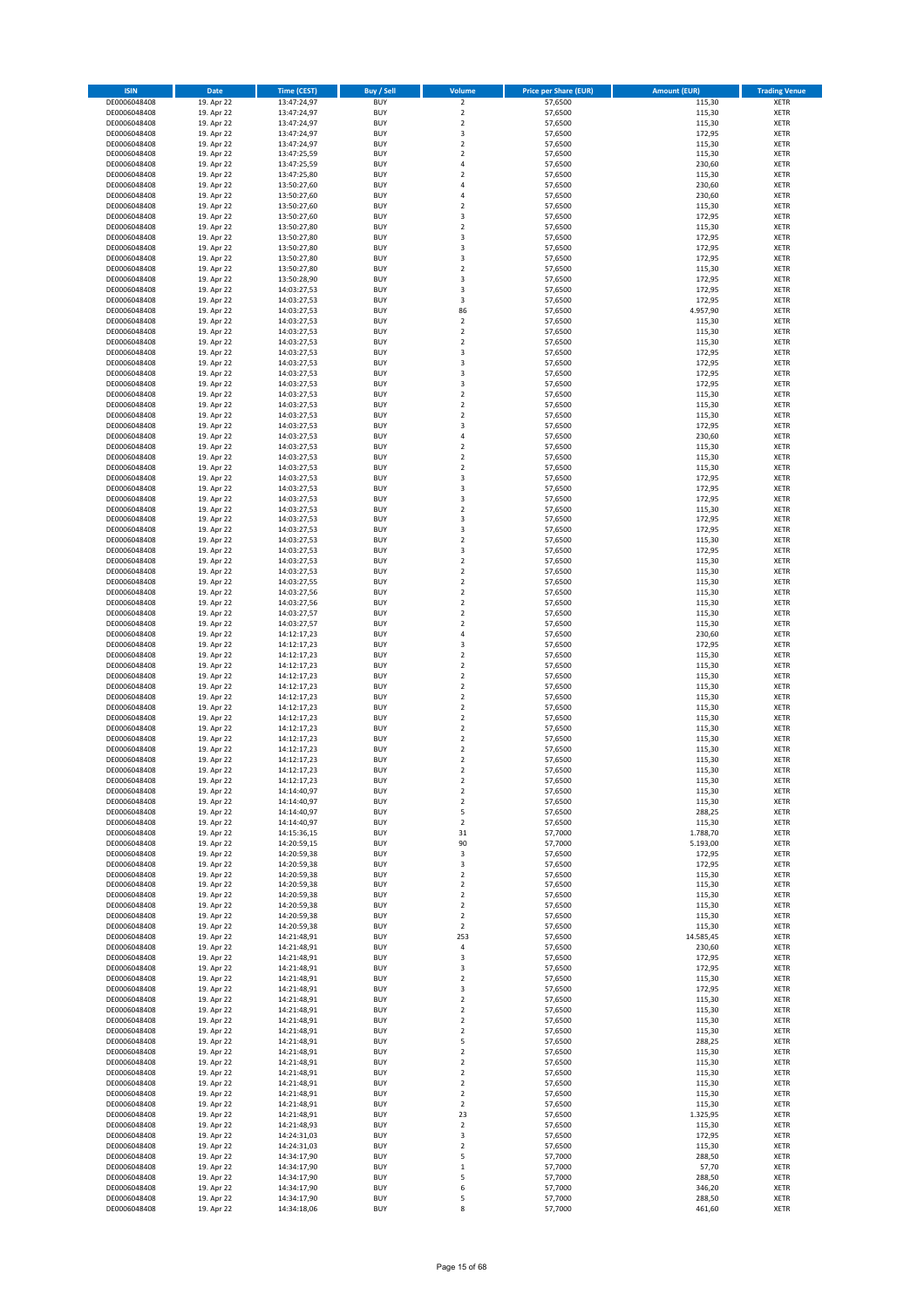| <b>ISIN</b>                  | Date                     | <b>Time (CEST)</b>         | <b>Buy / Sell</b>        | Volume                                 | <b>Price per Share (EUR)</b> | <b>Amount (EUR)</b>  | <b>Trading Venue</b>       |
|------------------------------|--------------------------|----------------------------|--------------------------|----------------------------------------|------------------------------|----------------------|----------------------------|
| DE0006048408                 | 19. Apr 22               | 13:47:24,97                | <b>BUY</b>               | $\overline{\mathbf{c}}$                | 57,6500                      | 115,30               | XETR                       |
| DE0006048408                 | 19. Apr 22               | 13:47:24,97                | <b>BUY</b>               | $\mathbf 2$                            | 57,6500                      | 115,30               | XETR                       |
| DE0006048408<br>DE0006048408 | 19. Apr 22<br>19. Apr 22 | 13:47:24,97<br>13:47:24,97 | <b>BUY</b><br><b>BUY</b> | $\mathbf 2$<br>3                       | 57,6500<br>57,6500           | 115,30<br>172,95     | XETR<br>XETR               |
| DE0006048408                 | 19. Apr 22               | 13:47:24,97                | <b>BUY</b>               | $\mathbf 2$                            | 57,6500                      | 115,30               | XETR                       |
| DE0006048408                 | 19. Apr 22               | 13:47:25,59                | <b>BUY</b>               | $\overline{2}$                         | 57,6500                      | 115,30               | <b>XETR</b>                |
| DE0006048408                 | 19. Apr 22               | 13:47:25,59                | <b>BUY</b>               | 4                                      | 57,6500                      | 230,60               | <b>XETR</b>                |
| DE0006048408                 | 19. Apr 22               | 13:47:25,80                | <b>BUY</b>               | $\mathbf 2$                            | 57,6500                      | 115,30               | <b>XETR</b>                |
| DE0006048408<br>DE0006048408 | 19. Apr 22<br>19. Apr 22 | 13:50:27,60                | <b>BUY</b><br><b>BUY</b> | 4<br>4                                 | 57,6500<br>57,6500           | 230,60<br>230,60     | <b>XETR</b><br><b>XETR</b> |
| DE0006048408                 | 19. Apr 22               | 13:50:27,60<br>13:50:27,60 | <b>BUY</b>               | $\overline{\mathbf{c}}$                | 57,6500                      | 115,30               | XETR                       |
| DE0006048408                 | 19. Apr 22               | 13:50:27,60                | <b>BUY</b>               | 3                                      | 57,6500                      | 172,95               | <b>XETR</b>                |
| DE0006048408                 | 19. Apr 22               | 13:50:27,80                | <b>BUY</b>               | $\mathbf 2$                            | 57,6500                      | 115,30               | XETR                       |
| DE0006048408                 | 19. Apr 22               | 13:50:27,80                | <b>BUY</b>               | 3                                      | 57,6500                      | 172,95               | <b>XETR</b>                |
| DE0006048408                 | 19. Apr 22               | 13:50:27,80                | <b>BUY</b>               | 3                                      | 57,6500                      | 172,95               | XETR                       |
| DE0006048408<br>DE0006048408 | 19. Apr 22<br>19. Apr 22 | 13:50:27,80<br>13:50:27,80 | <b>BUY</b><br><b>BUY</b> | 3<br>$\mathbf 2$                       | 57,6500<br>57,6500           | 172,95<br>115,30     | <b>XETR</b><br>XETR        |
| DE0006048408                 | 19. Apr 22               | 13:50:28,90                | <b>BUY</b>               | 3                                      | 57,6500                      | 172,95               | <b>XETR</b>                |
| DE0006048408                 | 19. Apr 22               | 14:03:27,53                | <b>BUY</b>               | 3                                      | 57,6500                      | 172,95               | XETR                       |
| DE0006048408                 | 19. Apr 22               | 14:03:27,53                | <b>BUY</b>               | 3                                      | 57,6500                      | 172,95               | <b>XETR</b>                |
| DE0006048408                 | 19. Apr 22<br>19. Apr 22 | 14:03:27,53                | <b>BUY</b><br><b>BUY</b> | 86<br>$\mathbf 2$                      | 57,6500<br>57,6500           | 4.957,90<br>115,30   | XETR<br>XETR               |
| DE0006048408<br>DE0006048408 | 19. Apr 22               | 14:03:27,53<br>14:03:27,53 | <b>BUY</b>               | $\mathbf 2$                            | 57,6500                      | 115,30               | <b>XETR</b>                |
| DE0006048408                 | 19. Apr 22               | 14:03:27,53                | <b>BUY</b>               | $\mathbf 2$                            | 57,6500                      | 115,30               | <b>XETR</b>                |
| DE0006048408                 | 19. Apr 22               | 14:03:27,53                | <b>BUY</b>               | 3                                      | 57,6500                      | 172,95               | <b>XETR</b>                |
| DE0006048408                 | 19. Apr 22               | 14:03:27,53                | <b>BUY</b>               | 3                                      | 57,6500                      | 172,95               | <b>XETR</b>                |
| DE0006048408                 | 19. Apr 22               | 14:03:27,53                | <b>BUY</b>               | 3                                      | 57,6500                      | 172,95               | <b>XETR</b>                |
| DE0006048408<br>DE0006048408 | 19. Apr 22<br>19. Apr 22 | 14:03:27,53<br>14:03:27,53 | <b>BUY</b><br><b>BUY</b> | 3<br>$\mathbf 2$                       | 57,6500<br>57,6500           | 172,95<br>115,30     | <b>XETR</b><br><b>XETR</b> |
| DE0006048408                 | 19. Apr 22               | 14:03:27,53                | <b>BUY</b>               | $\mathbf 2$                            | 57,6500                      | 115,30               | <b>XETR</b>                |
| DE0006048408                 | 19. Apr 22               | 14:03:27,53                | <b>BUY</b>               | $\overline{\mathbf{c}}$                | 57,6500                      | 115,30               | <b>XETR</b>                |
| DE0006048408                 | 19. Apr 22               | 14:03:27,53                | <b>BUY</b>               | 3                                      | 57,6500                      | 172,95               | <b>XETR</b>                |
| DE0006048408                 | 19. Apr 22               | 14:03:27,53                | <b>BUY</b>               | 4                                      | 57,6500                      | 230,60               | <b>XETR</b>                |
| DE0006048408<br>DE0006048408 | 19. Apr 22<br>19. Apr 22 | 14:03:27,53<br>14:03:27,53 | <b>BUY</b><br><b>BUY</b> | $\mathbf 2$<br>$\overline{\mathbf{c}}$ | 57,6500<br>57,6500           | 115,30<br>115,30     | XETR<br><b>XETR</b>        |
| DE0006048408                 | 19. Apr 22               | 14:03:27,53                | <b>BUY</b>               | $\mathbf 2$                            | 57,6500                      | 115,30               | XETR                       |
| DE0006048408                 | 19. Apr 22               | 14:03:27,53                | <b>BUY</b>               | 3                                      | 57,6500                      | 172,95               | <b>XETR</b>                |
| DE0006048408                 | 19. Apr 22               | 14:03:27,53                | <b>BUY</b>               | 3                                      | 57,6500                      | 172,95               | XETR                       |
| DE0006048408                 | 19. Apr 22               | 14:03:27,53                | <b>BUY</b>               | 3                                      | 57,6500                      | 172,95               | <b>XETR</b>                |
| DE0006048408<br>DE0006048408 | 19. Apr 22<br>19. Apr 22 | 14:03:27,53<br>14:03:27,53 | <b>BUY</b><br><b>BUY</b> | $\mathbf 2$<br>3                       | 57,6500                      | 115,30<br>172,95     | <b>XETR</b><br><b>XETR</b> |
| DE0006048408                 | 19. Apr 22               | 14:03:27,53                | <b>BUY</b>               | 3                                      | 57,6500<br>57,6500           | 172,95               | <b>XETR</b>                |
| DE0006048408                 | 19. Apr 22               | 14:03:27,53                | <b>BUY</b>               | $\overline{\mathbf{c}}$                | 57,6500                      | 115,30               | <b>XETR</b>                |
| DE0006048408                 | 19. Apr 22               | 14:03:27,53                | <b>BUY</b>               | 3                                      | 57,6500                      | 172,95               | <b>XETR</b>                |
| DE0006048408                 | 19. Apr 22               | 14:03:27,53                | <b>BUY</b>               | $\overline{\mathbf{c}}$                | 57,6500                      | 115,30               | <b>XETR</b>                |
| DE0006048408                 | 19. Apr 22               | 14:03:27,53                | <b>BUY</b>               | $\mathbf 2$                            | 57,6500                      | 115,30               | XETR                       |
| DE0006048408<br>DE0006048408 | 19. Apr 22<br>19. Apr 22 | 14:03:27,55<br>14:03:27,56 | <b>BUY</b><br><b>BUY</b> | 2<br>$\mathbf 2$                       | 57,6500<br>57,6500           | 115,30<br>115,30     | XETR<br><b>XETR</b>        |
| DE0006048408                 | 19. Apr 22               | 14:03:27,56                | <b>BUY</b>               | $\mathbf 2$                            | 57,6500                      | 115,30               | <b>XETR</b>                |
| DE0006048408                 | 19. Apr 22               | 14:03:27,57                | <b>BUY</b>               | $\mathbf 2$                            | 57,6500                      | 115,30               | XETR                       |
| DE0006048408                 | 19. Apr 22               | 14:03:27,57                | <b>BUY</b>               | $\mathbf 2$                            | 57,6500                      | 115,30               | <b>XETR</b>                |
| DE0006048408                 | 19. Apr 22               | 14:12:17,23                | <b>BUY</b><br><b>BUY</b> | $\overline{4}$<br>3                    | 57,6500                      | 230,60               | <b>XETR</b>                |
| DE0006048408<br>DE0006048408 | 19. Apr 22<br>19. Apr 22 | 14:12:17,23<br>14:12:17,23 | <b>BUY</b>               | $\mathbf 2$                            | 57,6500<br>57,6500           | 172,95<br>115,30     | <b>XETR</b><br>XETR        |
| DE0006048408                 | 19. Apr 22               | 14:12:17,23                | <b>BUY</b>               | $\mathbf 2$                            | 57,6500                      | 115,30               | XETR                       |
| DE0006048408                 | 19. Apr 22               | 14:12:17,23                | <b>BUY</b>               | $\mathbf 2$                            | 57,6500                      | 115,30               | <b>XETR</b>                |
| DE0006048408                 | 19. Apr 22               | 14:12:17,23                | <b>BUY</b>               | $\mathbf 2$                            | 57,6500                      | 115,30               | <b>XETR</b>                |
| DE0006048408                 | 19. Apr 22               | 14:12:17,23                | <b>BUY</b><br><b>BUY</b> | $\mathbf 2$<br>$\mathbf 2$             | 57,6500                      | 115,30               | <b>XETR</b><br>XETR        |
| DE0006048408<br>DE0006048408 | 19. Apr 22<br>19. Apr 22 | 14:12:17,23<br>14:12:17,23 | <b>BUY</b>               | $\mathbf 2$                            | 57,6500<br>57,6500           | 115,30<br>115,30     | <b>XETR</b>                |
| DE0006048408                 | 19. Apr 22               | 14:12:17,23                | <b>BUY</b>               | $\mathbf 2$                            | 57,6500                      | 115,30               | XETR                       |
| DE0006048408                 | 19. Apr 22               | 14:12:17,23                | <b>BUY</b>               | $\overline{2}$                         | 57,6500                      | 115,30               | <b>XETR</b>                |
| DE0006048408                 | 19. Apr 22               | 14:12:17,23                | <b>BUY</b>               | $\mathbf 2$                            | 57,6500                      | 115,30               | XETR                       |
| DE0006048408<br>DE0006048408 | 19. Apr 22               | 14:12:17,23<br>14:12:17,23 | <b>BUY</b><br><b>BUY</b> | $\mathbf 2$<br>$\mathbf 2$             | 57,6500<br>57,6500           | 115,30<br>115,30     | <b>XETR</b><br>XETR        |
| DE0006048408                 | 19. Apr 22<br>19. Apr 22 | 14:12:17,23                | <b>BUY</b>               | 2                                      | 57,6500                      | 115,30               | XETR                       |
| DE0006048408                 | 19. Apr 22               | 14:14:40,97                | <b>BUY</b>               | $\boldsymbol{2}$                       | 57,6500                      | 115,30               | XETR                       |
| DE0006048408                 | 19. Apr 22               | 14:14:40,97                | <b>BUY</b>               | $\mathbf 2$                            | 57,6500                      | 115,30               | XETR                       |
| DE0006048408                 | 19. Apr 22               | 14:14:40,97                | <b>BUY</b>               | 5                                      | 57,6500                      | 288,25               | XETR                       |
| DE0006048408                 | 19. Apr 22               | 14:14:40,97                | <b>BUY</b>               | $\mathbf 2$                            | 57,6500<br>57,7000           | 115,30               | <b>XETR</b>                |
| DE0006048408<br>DE0006048408 | 19. Apr 22<br>19. Apr 22 | 14:15:36,15<br>14:20:59,15 | <b>BUY</b><br><b>BUY</b> | 31<br>90                               | 57,7000                      | 1.788,70<br>5.193,00 | XETR<br><b>XETR</b>        |
| DE0006048408                 | 19. Apr 22               | 14:20:59,38                | <b>BUY</b>               | 3                                      | 57,6500                      | 172,95               | XETR                       |
| DE0006048408                 | 19. Apr 22               | 14:20:59,38                | <b>BUY</b>               | 3                                      | 57,6500                      | 172,95               | <b>XETR</b>                |
| DE0006048408                 | 19. Apr 22               | 14:20:59,38                | <b>BUY</b>               | $\mathbf 2$                            | 57,6500                      | 115,30               | XETR                       |
| DE0006048408<br>DE0006048408 | 19. Apr 22<br>19. Apr 22 | 14:20:59,38<br>14:20:59,38 | <b>BUY</b><br><b>BUY</b> | 2<br>$\mathbf 2$                       | 57,6500<br>57,6500           | 115,30<br>115,30     | <b>XETR</b><br>XETR        |
| DE0006048408                 | 19. Apr 22               | 14:20:59,38                | <b>BUY</b>               | $\mathbf 2$                            | 57,6500                      | 115,30               | <b>XETR</b>                |
| DE0006048408                 | 19. Apr 22               | 14:20:59,38                | <b>BUY</b>               | $\mathbf 2$                            | 57,6500                      | 115,30               | XETR                       |
| DE0006048408                 | 19. Apr 22               | 14:20:59,38                | <b>BUY</b>               | $\mathbf 2$                            | 57,6500                      | 115,30               | <b>XETR</b>                |
| DE0006048408                 | 19. Apr 22               | 14:21:48,91                | <b>BUY</b>               | 253                                    | 57,6500                      | 14.585,45            | XETR                       |
| DE0006048408<br>DE0006048408 | 19. Apr 22<br>19. Apr 22 | 14:21:48,91<br>14:21:48,91 | <b>BUY</b><br><b>BUY</b> | 4<br>3                                 | 57,6500<br>57,6500           | 230,60<br>172,95     | <b>XETR</b><br><b>XETR</b> |
| DE0006048408                 | 19. Apr 22               | 14:21:48,91                | <b>BUY</b>               | 3                                      | 57,6500                      | 172,95               | <b>XETR</b>                |
| DE0006048408                 | 19. Apr 22               | 14:21:48,91                | <b>BUY</b>               | $\mathbf 2$                            | 57,6500                      | 115,30               | XETR                       |
| DE0006048408                 | 19. Apr 22               | 14:21:48,91                | <b>BUY</b>               | 3                                      | 57,6500                      | 172,95               | <b>XETR</b>                |
| DE0006048408                 | 19. Apr 22               | 14:21:48,91                | <b>BUY</b>               | 2                                      | 57,6500                      | 115,30               | <b>XETR</b>                |
| DE0006048408<br>DE0006048408 | 19. Apr 22<br>19. Apr 22 | 14:21:48,91<br>14:21:48,91 | <b>BUY</b><br><b>BUY</b> | 2<br>$\mathbf 2$                       | 57,6500<br>57,6500           | 115,30<br>115,30     | XETR<br>XETR               |
| DE0006048408                 | 19. Apr 22               | 14:21:48,91                | <b>BUY</b>               | $\mathbf 2$                            | 57,6500                      | 115,30               | XETR                       |
| DE0006048408                 | 19. Apr 22               | 14:21:48,91                | <b>BUY</b>               | 5                                      | 57,6500                      | 288,25               | <b>XETR</b>                |
| DE0006048408                 | 19. Apr 22               | 14:21:48,91                | <b>BUY</b>               | 2                                      | 57,6500                      | 115,30               | XETR                       |
| DE0006048408                 | 19. Apr 22               | 14:21:48,91                | <b>BUY</b>               | $\mathbf 2$                            | 57,6500                      | 115,30               | <b>XETR</b>                |
| DE0006048408<br>DE0006048408 | 19. Apr 22<br>19. Apr 22 | 14:21:48,91<br>14:21:48,91 | <b>BUY</b><br><b>BUY</b> | $\mathbf 2$<br>$\mathbf 2$             | 57,6500<br>57,6500           | 115,30<br>115,30     | XETR<br><b>XETR</b>        |
| DE0006048408                 | 19. Apr 22               | 14:21:48,91                | <b>BUY</b>               | 2                                      | 57,6500                      | 115,30               | XETR                       |
| DE0006048408                 | 19. Apr 22               | 14:21:48,91                | <b>BUY</b>               | $\mathbf 2$                            | 57,6500                      | 115,30               | <b>XETR</b>                |
| DE0006048408                 | 19. Apr 22               | 14:21:48,91                | <b>BUY</b>               | 23                                     | 57,6500                      | 1.325,95             | XETR                       |
| DE0006048408                 | 19. Apr 22               | 14:21:48,93                | <b>BUY</b>               | 2                                      | 57,6500                      | 115,30               | <b>XETR</b>                |
| DE0006048408<br>DE0006048408 | 19. Apr 22<br>19. Apr 22 | 14:24:31,03<br>14:24:31,03 | <b>BUY</b><br><b>BUY</b> | 3<br>2                                 | 57,6500<br>57,6500           | 172,95<br>115,30     | <b>XETR</b><br><b>XETR</b> |
| DE0006048408                 | 19. Apr 22               | 14:34:17,90                | <b>BUY</b>               | 5                                      | 57,7000                      | 288,50               | XETR                       |
| DE0006048408                 | 19. Apr 22               | 14:34:17,90                | <b>BUY</b>               | $\mathbf 1$                            | 57,7000                      | 57,70                | <b>XETR</b>                |
| DE0006048408                 | 19. Apr 22               | 14:34:17,90                | <b>BUY</b>               | 5                                      | 57,7000                      | 288,50               | XETR                       |
| DE0006048408                 | 19. Apr 22               | 14:34:17,90                | <b>BUY</b>               | 6                                      | 57,7000                      | 346,20               | XETR                       |
| DE0006048408<br>DE0006048408 | 19. Apr 22<br>19. Apr 22 | 14:34:17,90<br>14:34:18,06 | <b>BUY</b><br><b>BUY</b> | 5<br>8                                 | 57,7000<br>57,7000           | 288,50<br>461,60     | XETR<br>XETR               |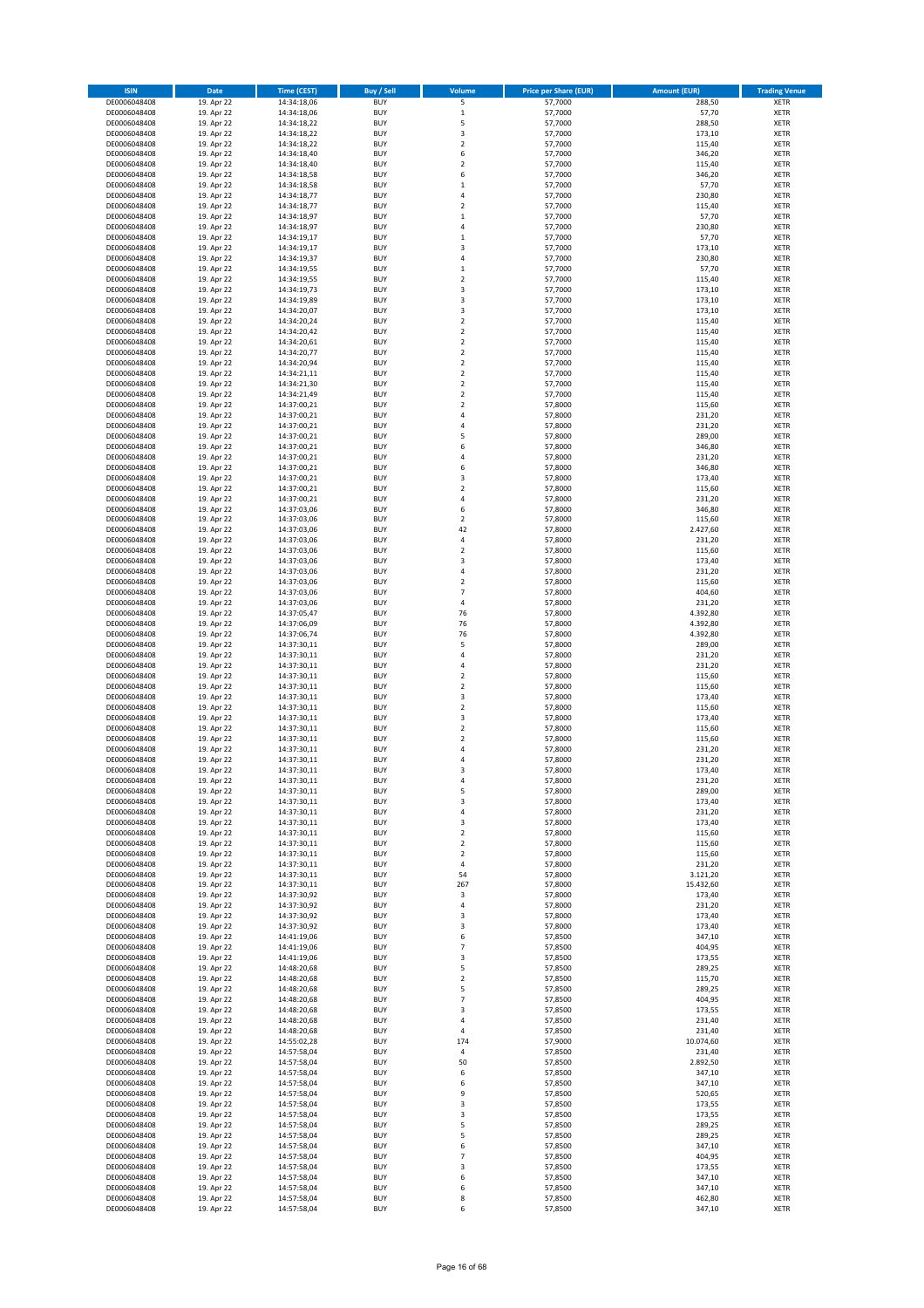| <b>ISIN</b>                  | Date                     | <b>Time (CEST)</b>         | <b>Buy / Sell</b>        | Volume                                    | <b>Price per Share (EUR)</b> | <b>Amount (EUR)</b> | <b>Trading Venue</b>       |
|------------------------------|--------------------------|----------------------------|--------------------------|-------------------------------------------|------------------------------|---------------------|----------------------------|
| DE0006048408                 | 19. Apr 22               | 14:34:18,06                | <b>BUY</b>               | 5                                         | 57,7000                      | 288,50              | <b>XETR</b>                |
| DE0006048408                 | 19. Apr 22               | 14:34:18,06                | <b>BUY</b>               | $\,$ 1                                    | 57,7000                      | 57,70               | <b>XETR</b>                |
| DE0006048408<br>DE0006048408 | 19. Apr 22<br>19. Apr 22 | 14:34:18,22<br>14:34:18,22 | <b>BUY</b><br><b>BUY</b> | 5<br>3                                    | 57,7000<br>57,7000           | 288,50<br>173,10    | <b>XETR</b><br><b>XETR</b> |
| DE0006048408                 | 19. Apr 22               | 14:34:18,22                | <b>BUY</b>               | $\mathbf 2$                               | 57,7000                      | 115,40              | <b>XETR</b>                |
| DE0006048408                 | 19. Apr 22               | 14:34:18,40                | <b>BUY</b>               | 6                                         | 57,7000                      | 346,20              | <b>XETR</b>                |
| DE0006048408                 | 19. Apr 22               | 14:34:18,40                | <b>BUY</b>               | $\overline{2}$                            | 57,7000                      | 115,40              | <b>XETR</b>                |
| DE0006048408                 | 19. Apr 22               | 14:34:18,58                | <b>BUY</b>               | 6                                         | 57,7000                      | 346,20              | <b>XETR</b>                |
| DE0006048408<br>DE0006048408 | 19. Apr 22<br>19. Apr 22 | 14:34:18,58                | <b>BUY</b><br><b>BUY</b> | $\,$ 1<br>$\sqrt{4}$                      | 57,7000<br>57,7000           | 57,70<br>230,80     | XETR<br><b>XETR</b>        |
| DE0006048408                 | 19. Apr 22               | 14:34:18,77<br>14:34:18,77 | <b>BUY</b>               | $\overline{2}$                            | 57,7000                      | 115,40              | XETR                       |
| DE0006048408                 | 19. Apr 22               | 14:34:18,97                | <b>BUY</b>               | $\,1\,$                                   | 57,7000                      | 57,70               | <b>XETR</b>                |
| DE0006048408                 | 19. Apr 22               | 14:34:18,97                | <b>BUY</b>               | 4                                         | 57,7000                      | 230,80              | XETR                       |
| DE0006048408                 | 19. Apr 22               | 14:34:19,17                | <b>BUY</b>               | $\mathbf 1$                               | 57,7000                      | 57,70               | <b>XETR</b>                |
| DE0006048408                 | 19. Apr 22               | 14:34:19,17                | <b>BUY</b>               | 3                                         | 57,7000                      | 173,10              | XETR                       |
| DE0006048408<br>DE0006048408 | 19. Apr 22<br>19. Apr 22 | 14:34:19,37<br>14:34:19,55 | <b>BUY</b><br><b>BUY</b> | $\sqrt{4}$<br>$\,$ 1                      | 57,7000<br>57,7000           | 230,80<br>57,70     | <b>XETR</b><br>XETR        |
| DE0006048408                 | 19. Apr 22               | 14:34:19,55                | <b>BUY</b>               | $\overline{2}$                            | 57,7000                      | 115,40              | <b>XETR</b>                |
| DE0006048408                 | 19. Apr 22               | 14:34:19,73                | <b>BUY</b>               | 3                                         | 57,7000                      | 173,10              | XETR                       |
| DE0006048408                 | 19. Apr 22               | 14:34:19,89                | <b>BUY</b>               | 3                                         | 57,7000                      | 173,10              | XETR                       |
| DE0006048408                 | 19. Apr 22               | 14:34:20,07                | <b>BUY</b>               | 3                                         | 57,7000                      | 173,10              | <b>XETR</b>                |
| DE0006048408<br>DE0006048408 | 19. Apr 22<br>19. Apr 22 | 14:34:20,24<br>14:34:20,42 | <b>BUY</b><br><b>BUY</b> | $\mathbf 2$<br>$\overline{2}$             | 57,7000<br>57,7000           | 115,40<br>115,40    | <b>XETR</b><br><b>XETR</b> |
| DE0006048408                 | 19. Apr 22               | 14:34:20,61                | <b>BUY</b>               | $\mathbf 2$                               | 57,7000                      | 115,40              | <b>XETR</b>                |
| DE0006048408                 | 19. Apr 22               | 14:34:20,77                | <b>BUY</b>               | $\overline{2}$                            | 57,7000                      | 115,40              | <b>XETR</b>                |
| DE0006048408                 | 19. Apr 22               | 14:34:20,94                | <b>BUY</b>               | $\overline{2}$                            | 57,7000                      | 115,40              | <b>XETR</b>                |
| DE0006048408                 | 19. Apr 22               | 14:34:21,11                | <b>BUY</b>               | $\overline{2}$                            | 57,7000                      | 115,40              | <b>XETR</b>                |
| DE0006048408<br>DE0006048408 | 19. Apr 22<br>19. Apr 22 | 14:34:21,30                | <b>BUY</b><br><b>BUY</b> | $\mathbf 2$<br>$\mathbf 2$                | 57,7000<br>57,7000           | 115,40<br>115,40    | <b>XETR</b><br><b>XETR</b> |
| DE0006048408                 | 19. Apr 22               | 14:34:21,49<br>14:37:00,21 | <b>BUY</b>               | $\mathbf 2$                               | 57,8000                      | 115,60              | <b>XETR</b>                |
| DE0006048408                 | 19. Apr 22               | 14:37:00,21                | <b>BUY</b>               | $\sqrt{4}$                                | 57,8000                      | 231,20              | <b>XETR</b>                |
| DE0006048408                 | 19. Apr 22               | 14:37:00,21                | <b>BUY</b>               | $\sqrt{4}$                                | 57,8000                      | 231,20              | <b>XETR</b>                |
| DE0006048408                 | 19. Apr 22               | 14:37:00,21                | <b>BUY</b>               | 5                                         | 57,8000                      | 289,00              | <b>XETR</b>                |
| DE0006048408<br>DE0006048408 | 19. Apr 22<br>19. Apr 22 | 14:37:00,21<br>14:37:00,21 | <b>BUY</b><br><b>BUY</b> | 6<br>4                                    | 57,8000<br>57,8000           | 346,80<br>231,20    | XETR<br><b>XETR</b>        |
| DE0006048408                 | 19. Apr 22               | 14:37:00,21                | <b>BUY</b>               | 6                                         | 57,8000                      | 346,80              | XETR                       |
| DE0006048408                 | 19. Apr 22               | 14:37:00,21                | <b>BUY</b>               | 3                                         | 57,8000                      | 173,40              | <b>XETR</b>                |
| DE0006048408                 | 19. Apr 22               | 14:37:00,21                | <b>BUY</b>               | $\sqrt{2}$                                | 57,8000                      | 115,60              | XETR                       |
| DE0006048408                 | 19. Apr 22               | 14:37:00,21                | <b>BUY</b>               | $\sqrt{4}$                                | 57,8000                      | 231,20              | <b>XETR</b>                |
| DE0006048408                 | 19. Apr 22               | 14:37:03,06                | <b>BUY</b>               | 6                                         | 57,8000                      | 346,80              | <b>XETR</b>                |
| DE0006048408<br>DE0006048408 | 19. Apr 22<br>19. Apr 22 | 14:37:03,06<br>14:37:03,06 | <b>BUY</b><br><b>BUY</b> | $\overline{2}$<br>42                      | 57,8000<br>57,8000           | 115,60<br>2.427,60  | <b>XETR</b><br>XETR        |
| DE0006048408                 | 19. Apr 22               | 14:37:03,06                | <b>BUY</b>               | $\sqrt{4}$                                | 57,8000                      | 231,20              | <b>XETR</b>                |
| DE0006048408                 | 19. Apr 22               | 14:37:03,06                | <b>BUY</b>               | $\overline{2}$                            | 57,8000                      | 115,60              | XETR                       |
| DE0006048408                 | 19. Apr 22               | 14:37:03,06                | <b>BUY</b>               | 3                                         | 57,8000                      | 173,40              | <b>XETR</b>                |
| DE0006048408                 | 19. Apr 22               | 14:37:03,06                | <b>BUY</b>               | $\pmb{4}$                                 | 57,8000                      | 231,20              | XETR                       |
| DE0006048408<br>DE0006048408 | 19. Apr 22<br>19. Apr 22 | 14:37:03,06                | <b>BUY</b><br><b>BUY</b> | $\overline{\mathbf{c}}$<br>$\overline{7}$ | 57,8000<br>57,8000           | 115,60<br>404,60    | <b>XETR</b><br><b>XETR</b> |
| DE0006048408                 | 19. Apr 22               | 14:37:03,06<br>14:37:03,06 | <b>BUY</b>               | $\sqrt{4}$                                | 57,8000                      | 231,20              | <b>XETR</b>                |
| DE0006048408                 | 19. Apr 22               | 14:37:05,47                | <b>BUY</b>               | 76                                        | 57,8000                      | 4.392,80            | <b>XETR</b>                |
| DE0006048408                 | 19. Apr 22               | 14:37:06,09                | <b>BUY</b>               | 76                                        | 57,8000                      | 4.392,80            | <b>XETR</b>                |
| DE0006048408                 | 19. Apr 22               | 14:37:06,74                | <b>BUY</b>               | 76                                        | 57,8000                      | 4.392,80            | <b>XETR</b>                |
| DE0006048408                 | 19. Apr 22               | 14:37:30,11                | <b>BUY</b>               | 5                                         | 57,8000                      | 289,00              | <b>XETR</b>                |
| DE0006048408<br>DE0006048408 | 19. Apr 22<br>19. Apr 22 | 14:37:30,11<br>14:37:30,11 | <b>BUY</b><br><b>BUY</b> | $\sqrt{4}$<br>4                           | 57,8000<br>57,8000           | 231,20<br>231,20    | <b>XETR</b><br><b>XETR</b> |
| DE0006048408                 | 19. Apr 22               | 14:37:30,11                | <b>BUY</b>               | $\overline{2}$                            | 57,8000                      | 115,60              | <b>XETR</b>                |
| DE0006048408                 | 19. Apr 22               | 14:37:30,11                | <b>BUY</b>               | $\mathbf 2$                               | 57,8000                      | 115,60              | <b>XETR</b>                |
| DE0006048408                 | 19. Apr 22               | 14:37:30,11                | <b>BUY</b>               | 3                                         | 57,8000                      | 173,40              | <b>XETR</b>                |
| DE0006048408                 | 19. Apr 22               | 14:37:30,11                | <b>BUY</b>               | $\mathbf 2$                               | 57,8000                      | 115,60              | <b>XETR</b>                |
| DE0006048408<br>DE0006048408 | 19. Apr 22<br>19. Apr 22 | 14:37:30,11<br>14:37:30,11 | <b>BUY</b><br><b>BUY</b> | 3<br>$\overline{2}$                       | 57,8000<br>57,8000           | 173,40<br>115,60    | <b>XETR</b><br>XETR        |
| DE0006048408                 | 19. Apr 22               | 14:37:30,11                | <b>BUY</b>               | $\overline{2}$                            | 57,8000                      | 115,60              | <b>XETR</b>                |
| DE0006048408                 | 19. Apr 22               | 14:37:30,11                | <b>BUY</b>               | 4                                         | 57,8000                      | 231,20              | XETR                       |
| DE0006048408                 | 19. Apr 22               | 14:37:30,11                | <b>BUY</b>               | 4                                         | 57,8000                      | 231,20              | <b>XETR</b>                |
| DE0006048408                 | 19. Apr 22               | 14:37:30,11                | <b>BUY</b>               | 3                                         | 57,8000                      | 173,40              | <b>XETR</b>                |
| DE0006048408<br>DE0006048408 | 19. Apr 22<br>19. Apr 22 | 14:37:30,11<br>14:37:30,11 | <b>BUY</b><br><b>BUY</b> | 4<br>5                                    | 57,8000<br>57,8000           | 231,20<br>289,00    | XETR<br>XETR               |
| DE0006048408                 | 19. Apr 22               | 14:37:30,11                | <b>BUY</b>               | 3                                         | 57,8000                      | 173,40              | XETR                       |
| DE0006048408                 | 19. Apr 22               | 14:37:30,11                | <b>BUY</b>               | 4                                         | 57,8000                      | 231,20              | <b>XETR</b>                |
| DE0006048408                 | 19. Apr 22               | 14:37:30,11                | <b>BUY</b>               | 3                                         | 57,8000                      | 173,40              | <b>XETR</b>                |
| DE0006048408                 | 19. Apr 22               | 14:37:30,11                | <b>BUY</b>               | $\mathbf 2$                               | 57,8000                      | 115,60              | XETR                       |
| DE0006048408<br>DE0006048408 | 19. Apr 22<br>19. Apr 22 | 14:37:30,11<br>14:37:30,11 | <b>BUY</b><br><b>BUY</b> | $\mathbf 2$<br>$\overline{2}$             | 57,8000<br>57,8000           | 115,60<br>115,60    | <b>XETR</b><br>XETR        |
| DE0006048408                 | 19. Apr 22               | 14:37:30,11                | <b>BUY</b>               | 4                                         | 57,8000                      | 231,20              | <b>XETR</b>                |
| DE0006048408                 | 19. Apr 22               | 14:37:30,11                | <b>BUY</b>               | 54                                        | 57,8000                      | 3.121,20            | XETR                       |
| DE0006048408                 | 19. Apr 22               | 14:37:30,11                | <b>BUY</b>               | 267                                       | 57,8000                      | 15.432,60           | <b>XETR</b>                |
| DE0006048408                 | 19. Apr 22               | 14:37:30,92                | <b>BUY</b>               | 3                                         | 57,8000                      | 173,40              | <b>XETR</b>                |
| DE0006048408<br>DE0006048408 | 19. Apr 22<br>19. Apr 22 | 14:37:30,92<br>14:37:30,92 | <b>BUY</b><br><b>BUY</b> | 4<br>3                                    | 57,8000<br>57,8000           | 231,20<br>173,40    | <b>XETR</b><br>XETR        |
| DE0006048408                 | 19. Apr 22               | 14:37:30,92                | <b>BUY</b>               | 3                                         | 57,8000                      | 173,40              | <b>XETR</b>                |
| DE0006048408                 | 19. Apr 22               | 14:41:19,06                | <b>BUY</b>               | 6                                         | 57,8500                      | 347,10              | <b>XETR</b>                |
| DE0006048408                 | 19. Apr 22               | 14:41:19,06                | <b>BUY</b>               | $\overline{\phantom{a}}$                  | 57,8500                      | 404,95              | <b>XETR</b>                |
| DE0006048408                 | 19. Apr 22               | 14:41:19,06                | <b>BUY</b>               | 3                                         | 57,8500                      | 173,55              | <b>XETR</b>                |
| DE0006048408<br>DE0006048408 | 19. Apr 22<br>19. Apr 22 | 14:48:20,68<br>14:48:20,68 | <b>BUY</b><br><b>BUY</b> | 5<br>$\mathbf 2$                          | 57,8500<br>57,8500           | 289,25<br>115,70    | <b>XETR</b><br><b>XETR</b> |
| DE0006048408                 | 19. Apr 22               | 14:48:20,68                | <b>BUY</b>               | 5                                         | 57,8500                      | 289,25              | <b>XETR</b>                |
| DE0006048408                 | 19. Apr 22               | 14:48:20,68                | <b>BUY</b>               | $\overline{7}$                            | 57,8500                      | 404,95              | <b>XETR</b>                |
| DE0006048408                 | 19. Apr 22               | 14:48:20,68                | <b>BUY</b>               | 3                                         | 57,8500                      | 173,55              | XETR                       |
| DE0006048408                 | 19. Apr 22               | 14:48:20,68                | <b>BUY</b>               | 4                                         | 57,8500                      | 231,40              | XETR                       |
| DE0006048408<br>DE0006048408 | 19. Apr 22<br>19. Apr 22 | 14:48:20,68<br>14:55:02,28 | <b>BUY</b><br><b>BUY</b> | 4<br>174                                  | 57,8500<br>57,9000           | 231,40<br>10.074,60 | <b>XETR</b><br><b>XETR</b> |
| DE0006048408                 | 19. Apr 22               | 14:57:58,04                | <b>BUY</b>               | 4                                         | 57,8500                      | 231,40              | XETR                       |
| DE0006048408                 | 19. Apr 22               | 14:57:58,04                | <b>BUY</b>               | 50                                        | 57,8500                      | 2.892,50            | XETR                       |
| DE0006048408                 | 19. Apr 22               | 14:57:58,04                | <b>BUY</b>               | 6                                         | 57,8500                      | 347,10              | XETR                       |
| DE0006048408                 | 19. Apr 22               | 14:57:58,04                | <b>BUY</b>               | 6                                         | 57,8500                      | 347,10              | <b>XETR</b>                |
| DE0006048408<br>DE0006048408 | 19. Apr 22<br>19. Apr 22 | 14:57:58,04<br>14:57:58,04 | <b>BUY</b><br><b>BUY</b> | 9<br>3                                    | 57,8500<br>57,8500           | 520,65<br>173,55    | XETR<br>XETR               |
| DE0006048408                 | 19. Apr 22               | 14:57:58,04                | <b>BUY</b>               | 3                                         | 57,8500                      | 173,55              | <b>XETR</b>                |
| DE0006048408                 | 19. Apr 22               | 14:57:58,04                | <b>BUY</b>               | 5                                         | 57,8500                      | 289,25              | <b>XETR</b>                |
| DE0006048408                 | 19. Apr 22               | 14:57:58,04                | <b>BUY</b>               | 5                                         | 57,8500                      | 289,25              | <b>XETR</b>                |
| DE0006048408                 | 19. Apr 22               | 14:57:58,04                | <b>BUY</b>               | 6                                         | 57,8500                      | 347,10              | <b>XETR</b>                |
| DE0006048408<br>DE0006048408 | 19. Apr 22<br>19. Apr 22 | 14:57:58,04<br>14:57:58,04 | <b>BUY</b><br><b>BUY</b> | $\overline{\phantom{a}}$<br>3             | 57,8500<br>57,8500           | 404,95<br>173,55    | <b>XETR</b><br><b>XETR</b> |
| DE0006048408                 | 19. Apr 22               | 14:57:58,04                | <b>BUY</b>               | 6                                         | 57,8500                      | 347,10              | <b>XETR</b>                |
| DE0006048408                 | 19. Apr 22               | 14:57:58,04                | <b>BUY</b>               | 6                                         | 57,8500                      | 347,10              | <b>XETR</b>                |
| DE0006048408                 | 19. Apr 22               | 14:57:58,04                | <b>BUY</b>               | 8                                         | 57,8500                      | 462,80              | <b>XETR</b>                |
| DE0006048408                 | 19. Apr 22               | 14:57:58,04                | <b>BUY</b>               | 6                                         | 57,8500                      | 347,10              | <b>XETR</b>                |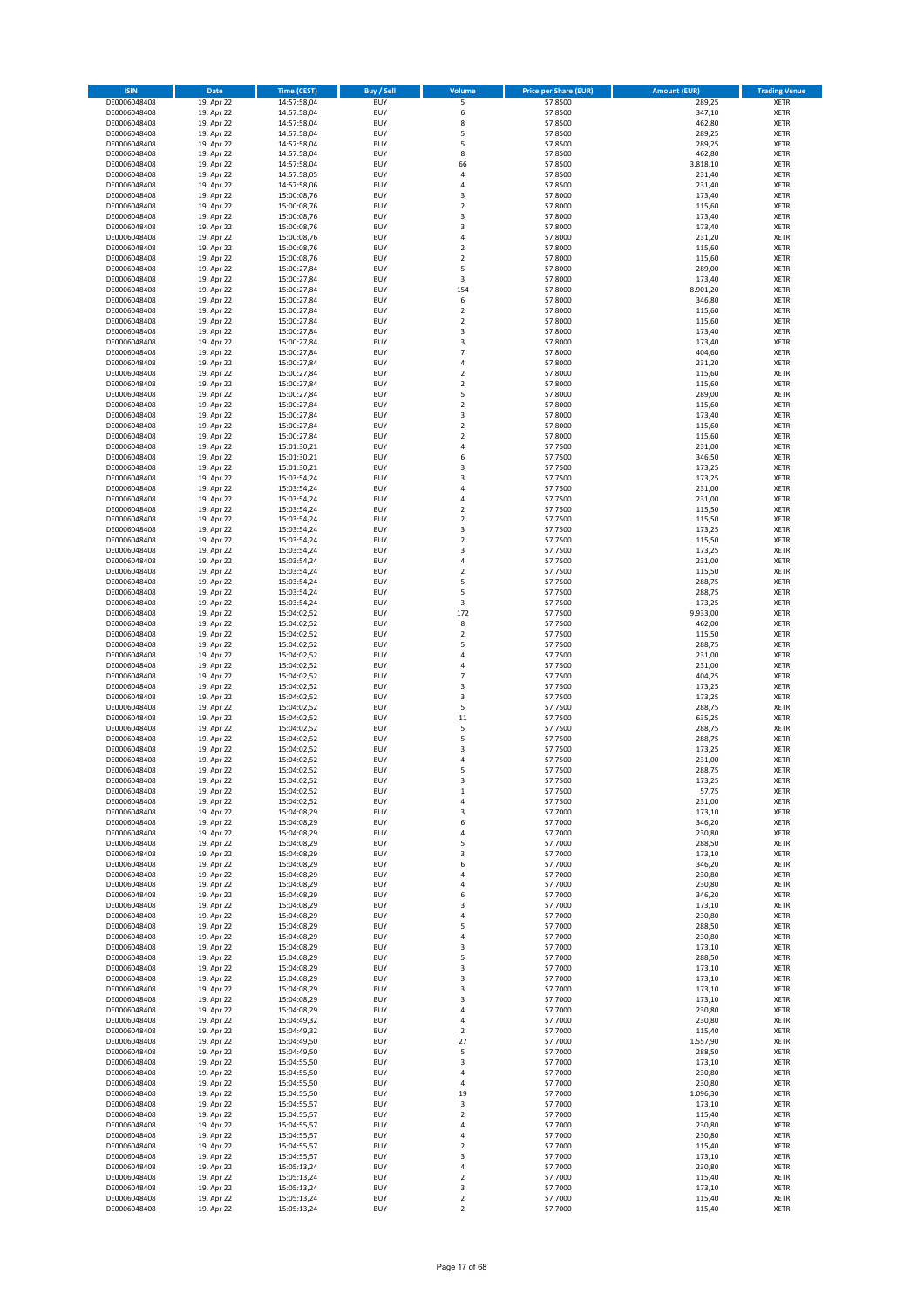| <b>ISIN</b>                  | Date                     | <b>Time (CEST)</b>         | <b>Buy / Sell</b>        | Volume                       | <b>Price per Share (EUR)</b> | <b>Amount (EUR)</b> | <b>Trading Venue</b>       |
|------------------------------|--------------------------|----------------------------|--------------------------|------------------------------|------------------------------|---------------------|----------------------------|
| DE0006048408                 | 19. Apr 22               | 14:57:58,04                | <b>BUY</b>               | 5                            | 57,8500                      | 289,25              | <b>XETR</b>                |
| DE0006048408                 | 19. Apr 22               | 14:57:58,04                | <b>BUY</b>               | 6                            | 57,8500                      | 347,10              | <b>XETR</b>                |
| DE0006048408<br>DE0006048408 | 19. Apr 22<br>19. Apr 22 | 14:57:58,04<br>14:57:58,04 | <b>BUY</b><br><b>BUY</b> | 8<br>5                       | 57,8500<br>57,8500           | 462,80<br>289,25    | <b>XETR</b><br><b>XETR</b> |
| DE0006048408                 | 19. Apr 22               | 14:57:58,04                | <b>BUY</b>               | 5                            | 57,8500                      | 289,25              | <b>XETR</b>                |
| DE0006048408                 | 19. Apr 22               | 14:57:58,04                | <b>BUY</b>               | 8                            | 57,8500                      | 462,80              | <b>XETR</b>                |
| DE0006048408                 | 19. Apr 22               | 14:57:58,04                | <b>BUY</b>               | 66                           | 57,8500                      | 3.818,10            | <b>XETR</b>                |
| DE0006048408                 | 19. Apr 22               | 14:57:58,05                | <b>BUY</b>               | $\sqrt{4}$                   | 57,8500                      | 231,40              | <b>XETR</b>                |
| DE0006048408                 | 19. Apr 22               | 14:57:58,06                | <b>BUY</b><br><b>BUY</b> | $\sqrt{4}$<br>3              | 57,8500                      | 231,40              | XETR<br><b>XETR</b>        |
| DE0006048408<br>DE0006048408 | 19. Apr 22<br>19. Apr 22 | 15:00:08,76<br>15:00:08,76 | <b>BUY</b>               | $\overline{2}$               | 57,8000<br>57,8000           | 173,40<br>115,60    | XETR                       |
| DE0006048408                 | 19. Apr 22               | 15:00:08,76                | <b>BUY</b>               | 3                            | 57,8000                      | 173,40              | <b>XETR</b>                |
| DE0006048408                 | 19. Apr 22               | 15:00:08,76                | <b>BUY</b>               | 3                            | 57,8000                      | 173,40              | XETR                       |
| DE0006048408                 | 19. Apr 22               | 15:00:08,76                | <b>BUY</b>               | $\sqrt{4}$                   | 57,8000                      | 231,20              | <b>XETR</b>                |
| DE0006048408                 | 19. Apr 22               | 15:00:08,76                | <b>BUY</b>               | $\sqrt{2}$                   | 57,8000                      | 115,60              | XETR                       |
| DE0006048408<br>DE0006048408 | 19. Apr 22<br>19. Apr 22 | 15:00:08,76<br>15:00:27,84 | <b>BUY</b><br><b>BUY</b> | $\overline{2}$<br>5          | 57,8000<br>57,8000           | 115,60<br>289,00    | <b>XETR</b><br>XETR        |
| DE0006048408                 | 19. Apr 22               | 15:00:27,84                | <b>BUY</b>               | 3                            | 57,8000                      | 173,40              | <b>XETR</b>                |
| DE0006048408                 | 19. Apr 22               | 15:00:27,84                | <b>BUY</b>               | 154                          | 57,8000                      | 8.901,20            | XETR                       |
| DE0006048408                 | 19. Apr 22               | 15:00:27,84                | <b>BUY</b>               | 6                            | 57,8000                      | 346,80              | <b>XETR</b>                |
| DE0006048408                 | 19. Apr 22               | 15:00:27,84                | <b>BUY</b>               | $\mathbf 2$                  | 57,8000                      | 115,60              | <b>XETR</b>                |
| DE0006048408<br>DE0006048408 | 19. Apr 22<br>19. Apr 22 | 15:00:27,84<br>15:00:27,84 | <b>BUY</b><br><b>BUY</b> | $\mathbf 2$<br>3             | 57,8000<br>57,8000           | 115,60<br>173,40    | <b>XETR</b><br><b>XETR</b> |
| DE0006048408                 | 19. Apr 22               | 15:00:27,84                | <b>BUY</b>               | 3                            | 57,8000                      | 173,40              | <b>XETR</b>                |
| DE0006048408                 | 19. Apr 22               | 15:00:27,84                | <b>BUY</b>               | $\overline{7}$               | 57,8000                      | 404,60              | <b>XETR</b>                |
| DE0006048408                 | 19. Apr 22               | 15:00:27,84                | <b>BUY</b>               | 4                            | 57,8000                      | 231,20              | <b>XETR</b>                |
| DE0006048408                 | 19. Apr 22               | 15:00:27,84                | <b>BUY</b>               | $\overline{2}$               | 57,8000                      | 115,60              | <b>XETR</b>                |
| DE0006048408<br>DE0006048408 | 19. Apr 22<br>19. Apr 22 | 15:00:27,84<br>15:00:27,84 | <b>BUY</b><br><b>BUY</b> | $\mathbf 2$<br>5             | 57,8000<br>57,8000           | 115,60<br>289,00    | <b>XETR</b><br><b>XETR</b> |
| DE0006048408                 | 19. Apr 22               | 15:00:27,84                | <b>BUY</b>               | $\mathbf 2$                  | 57,8000                      | 115,60              | <b>XETR</b>                |
| DE0006048408                 | 19. Apr 22               | 15:00:27,84                | <b>BUY</b>               | 3                            | 57,8000                      | 173,40              | <b>XETR</b>                |
| DE0006048408                 | 19. Apr 22               | 15:00:27,84                | <b>BUY</b>               | $\mathbf 2$                  | 57,8000                      | 115,60              | <b>XETR</b>                |
| DE0006048408                 | 19. Apr 22               | 15:00:27,84                | <b>BUY</b>               | $\overline{2}$               | 57,8000                      | 115,60              | <b>XETR</b>                |
| DE0006048408<br>DE0006048408 | 19. Apr 22<br>19. Apr 22 | 15:01:30,21<br>15:01:30,21 | <b>BUY</b><br><b>BUY</b> | 4<br>6                       | 57,7500<br>57,7500           | 231,00<br>346,50    | XETR<br><b>XETR</b>        |
| DE0006048408                 | 19. Apr 22               | 15:01:30,21                | <b>BUY</b>               | 3                            | 57,7500                      | 173,25              | XETR                       |
| DE0006048408                 | 19. Apr 22               | 15:03:54,24                | <b>BUY</b>               | 3                            | 57,7500                      | 173,25              | <b>XETR</b>                |
| DE0006048408                 | 19. Apr 22               | 15:03:54,24                | <b>BUY</b>               | $\sqrt{4}$                   | 57,7500                      | 231,00              | XETR                       |
| DE0006048408                 | 19. Apr 22               | 15:03:54,24                | <b>BUY</b>               | $\sqrt{4}$                   | 57,7500                      | 231,00              | <b>XETR</b>                |
| DE0006048408                 | 19. Apr 22               | 15:03:54,24                | <b>BUY</b>               | $\overline{2}$               | 57,7500                      | 115,50              | <b>XETR</b>                |
| DE0006048408<br>DE0006048408 | 19. Apr 22<br>19. Apr 22 | 15:03:54,24<br>15:03:54,24 | <b>BUY</b><br><b>BUY</b> | $\overline{2}$<br>3          | 57,7500<br>57,7500           | 115,50<br>173,25    | <b>XETR</b><br>XETR        |
| DE0006048408                 | 19. Apr 22               | 15:03:54,24                | <b>BUY</b>               | $\overline{2}$               | 57,7500                      | 115,50              | <b>XETR</b>                |
| DE0006048408                 | 19. Apr 22               | 15:03:54,24                | <b>BUY</b>               | 3                            | 57,7500                      | 173,25              | <b>XETR</b>                |
| DE0006048408                 | 19. Apr 22               | 15:03:54,24                | <b>BUY</b>               | $\sqrt{4}$                   | 57,7500                      | 231,00              | <b>XETR</b>                |
| DE0006048408                 | 19. Apr 22               | 15:03:54,24                | <b>BUY</b>               | $\sqrt{2}$                   | 57,7500                      | 115,50              | XETR                       |
| DE0006048408<br>DE0006048408 | 19. Apr 22<br>19. Apr 22 | 15:03:54,24<br>15:03:54,24 | <b>BUY</b><br><b>BUY</b> | 5<br>5                       | 57,7500<br>57,7500           | 288,75<br>288,75    | <b>XETR</b><br><b>XETR</b> |
| DE0006048408                 | 19. Apr 22               | 15:03:54,24                | <b>BUY</b>               | 3                            | 57,7500                      | 173,25              | <b>XETR</b>                |
| DE0006048408                 | 19. Apr 22               | 15:04:02,52                | <b>BUY</b>               | 172                          | 57,7500                      | 9.933,00            | <b>XETR</b>                |
| DE0006048408                 | 19. Apr 22               | 15:04:02,52                | <b>BUY</b>               | 8                            | 57,7500                      | 462,00              | <b>XETR</b>                |
| DE0006048408                 | 19. Apr 22               | 15:04:02,52                | <b>BUY</b>               | $\boldsymbol{2}$             | 57,7500                      | 115,50              | <b>XETR</b>                |
| DE0006048408<br>DE0006048408 | 19. Apr 22<br>19. Apr 22 | 15:04:02,52<br>15:04:02,52 | <b>BUY</b><br><b>BUY</b> | 5<br>$\sqrt{4}$              | 57,7500<br>57,7500           | 288,75<br>231,00    | <b>XETR</b><br><b>XETR</b> |
| DE0006048408                 | 19. Apr 22               | 15:04:02,52                | <b>BUY</b>               | 4                            | 57,7500                      | 231,00              | <b>XETR</b>                |
| DE0006048408                 | 19. Apr 22               | 15:04:02,52                | <b>BUY</b>               | $\overline{7}$               | 57,7500                      | 404,25              | <b>XETR</b>                |
| DE0006048408                 | 19. Apr 22               | 15:04:02,52                | <b>BUY</b>               | $\overline{\mathbf{3}}$      | 57,7500                      | 173,25              | <b>XETR</b>                |
| DE0006048408                 | 19. Apr 22               | 15:04:02,52                | <b>BUY</b>               | 3                            | 57,7500                      | 173,25              | <b>XETR</b>                |
| DE0006048408<br>DE0006048408 | 19. Apr 22<br>19. Apr 22 | 15:04:02,52<br>15:04:02,52 | <b>BUY</b><br><b>BUY</b> | 5<br>11                      | 57,7500<br>57,7500           | 288,75<br>635,25    | <b>XETR</b><br><b>XETR</b> |
| DE0006048408                 | 19. Apr 22               | 15:04:02,52                | <b>BUY</b>               | 5                            | 57,7500                      | 288,75              | XETR                       |
| DE0006048408                 | 19. Apr 22               | 15:04:02,52                | <b>BUY</b>               | 5                            | 57,7500                      | 288,75              | <b>XETR</b>                |
| DE0006048408                 | 19. Apr 22               | 15:04:02,52                | <b>BUY</b>               | 3                            | 57,7500                      | 173,25              | XETR                       |
| DE0006048408                 | 19. Apr 22               | 15:04:02,52                | <b>BUY</b>               | 4                            | 57,7500                      | 231,00              | <b>XETR</b>                |
| DE0006048408<br>DE0006048408 | 19. Apr 22<br>19. Apr 22 | 15:04:02,52<br>15:04:02,52 | <b>BUY</b><br><b>BUY</b> | 5<br>3                       | 57,7500                      | 288,75<br>173,25    | <b>XETR</b><br>XETR        |
| DE0006048408                 | 19. Apr 22               | 15:04:02,52                | <b>BUY</b>               | $\,$ 1                       | 57,7500<br>57,7500           | 57,75               | XETR                       |
| DE0006048408                 | 19. Apr 22               | 15:04:02,52                | <b>BUY</b>               | 4                            | 57,7500                      | 231,00              | XETR                       |
| DE0006048408                 | 19. Apr 22               | 15:04:08,29                | <b>BUY</b>               | 3                            | 57,7000                      | 173,10              | <b>XETR</b>                |
| DE0006048408                 | 19. Apr 22               | 15:04:08,29                | <b>BUY</b>               | 6                            | 57,7000                      | 346,20              | <b>XETR</b>                |
| DE0006048408<br>DE0006048408 | 19. Apr 22<br>19. Apr 22 | 15:04:08,29<br>15:04:08,29 | <b>BUY</b><br><b>BUY</b> | 4<br>5                       | 57,7000<br>57,7000           | 230,80<br>288,50    | XETR<br><b>XETR</b>        |
| DE0006048408                 | 19. Apr 22               | 15:04:08,29                | <b>BUY</b>               | 3                            | 57,7000                      | 173,10              | XETR                       |
| DE0006048408                 | 19. Apr 22               | 15:04:08,29                | <b>BUY</b>               | 6                            | 57,7000                      | 346,20              | <b>XETR</b>                |
| DE0006048408                 | 19. Apr 22               | 15:04:08,29                | <b>BUY</b>               | 4                            | 57,7000                      | 230,80              | XETR                       |
| DE0006048408                 | 19. Apr 22               | 15:04:08,29                | <b>BUY</b>               | $\overline{4}$               | 57,7000                      | 230,80              | <b>XETR</b>                |
| DE0006048408<br>DE0006048408 | 19. Apr 22<br>19. Apr 22 | 15:04:08,29<br>15:04:08,29 | <b>BUY</b><br><b>BUY</b> | 6<br>3                       | 57,7000<br>57,7000           | 346,20<br>173,10    | <b>XETR</b><br>XETR        |
| DE0006048408                 | 19. Apr 22               | 15:04:08,29                | <b>BUY</b>               | $\pmb{4}$                    | 57,7000                      | 230,80              | XETR                       |
| DE0006048408                 | 19. Apr 22               | 15:04:08,29                | <b>BUY</b>               | 5                            | 57,7000                      | 288,50              | <b>XETR</b>                |
| DE0006048408                 | 19. Apr 22               | 15:04:08,29                | <b>BUY</b>               | 4                            | 57,7000                      | 230,80              | <b>XETR</b>                |
| DE0006048408                 | 19. Apr 22               | 15:04:08,29                | <b>BUY</b>               | 3                            | 57,7000                      | 173,10              | <b>XETR</b>                |
| DE0006048408<br>DE0006048408 | 19. Apr 22<br>19. Apr 22 | 15:04:08,29<br>15:04:08,29 | <b>BUY</b><br><b>BUY</b> | 5<br>3                       | 57,7000<br>57,7000           | 288,50<br>173,10    | <b>XETR</b><br><b>XETR</b> |
| DE0006048408                 | 19. Apr 22               | 15:04:08,29                | <b>BUY</b>               | 3                            | 57,7000                      | 173,10              | <b>XETR</b>                |
| DE0006048408                 | 19. Apr 22               | 15:04:08,29                | <b>BUY</b>               | 3                            | 57,7000                      | 173,10              | <b>XETR</b>                |
| DE0006048408                 | 19. Apr 22               | 15:04:08,29                | <b>BUY</b>               | 3                            | 57,7000                      | 173,10              | XETR                       |
| DE0006048408                 | 19. Apr 22               | 15:04:08,29                | <b>BUY</b>               | 4                            | 57,7000                      | 230,80              | XETR                       |
| DE0006048408<br>DE0006048408 | 19. Apr 22<br>19. Apr 22 | 15:04:49,32<br>15:04:49,32 | <b>BUY</b><br><b>BUY</b> | 4<br>$\overline{\mathbf{c}}$ | 57,7000<br>57,7000           | 230,80<br>115,40    | XETR<br>XETR               |
| DE0006048408                 | 19. Apr 22               | 15:04:49,50                | <b>BUY</b>               | 27                           | 57,7000                      | 1.557,90            | <b>XETR</b>                |
| DE0006048408                 | 19. Apr 22               | 15:04:49,50                | <b>BUY</b>               | 5                            | 57,7000                      | 288,50              | XETR                       |
| DE0006048408                 | 19. Apr 22               | 15:04:55,50                | <b>BUY</b>               | 3                            | 57,7000                      | 173,10              | XETR                       |
| DE0006048408                 | 19. Apr 22               | 15:04:55,50                | <b>BUY</b>               | 4                            | 57,7000                      | 230,80              | XETR                       |
| DE0006048408<br>DE0006048408 | 19. Apr 22<br>19. Apr 22 | 15:04:55,50<br>15:04:55,50 | <b>BUY</b><br><b>BUY</b> | 4<br>19                      | 57,7000<br>57,7000           | 230,80<br>1.096,30  | XETR<br>XETR               |
| DE0006048408                 | 19. Apr 22               | 15:04:55,57                | <b>BUY</b>               | 3                            | 57,7000                      | 173,10              | XETR                       |
| DE0006048408                 | 19. Apr 22               | 15:04:55,57                | <b>BUY</b>               | $\sqrt{2}$                   | 57,7000                      | 115,40              | XETR                       |
| DE0006048408                 | 19. Apr 22               | 15:04:55,57                | <b>BUY</b>               | $\overline{4}$               | 57,7000                      | 230,80              | <b>XETR</b>                |
| DE0006048408                 | 19. Apr 22               | 15:04:55,57                | <b>BUY</b>               | 4                            | 57,7000                      | 230,80              | <b>XETR</b>                |
| DE0006048408<br>DE0006048408 | 19. Apr 22<br>19. Apr 22 | 15:04:55,57<br>15:04:55,57 | <b>BUY</b><br><b>BUY</b> | $\overline{2}$<br>3          | 57,7000<br>57,7000           | 115,40<br>173,10    | <b>XETR</b><br><b>XETR</b> |
| DE0006048408                 | 19. Apr 22               | 15:05:13,24                | <b>BUY</b>               | 4                            | 57,7000                      | 230,80              | <b>XETR</b>                |
| DE0006048408                 | 19. Apr 22               | 15:05:13,24                | <b>BUY</b>               | $\mathbf 2$                  | 57,7000                      | 115,40              | <b>XETR</b>                |
| DE0006048408                 | 19. Apr 22               | 15:05:13,24                | <b>BUY</b>               | 3                            | 57,7000                      | 173,10              | <b>XETR</b>                |
| DE0006048408                 | 19. Apr 22               | 15:05:13,24                | <b>BUY</b>               | $\mathbf 2$                  | 57,7000                      | 115,40              | <b>XETR</b>                |
| DE0006048408                 | 19. Apr 22               | 15:05:13,24                | <b>BUY</b>               | $\overline{2}$               | 57,7000                      | 115,40              | <b>XETR</b>                |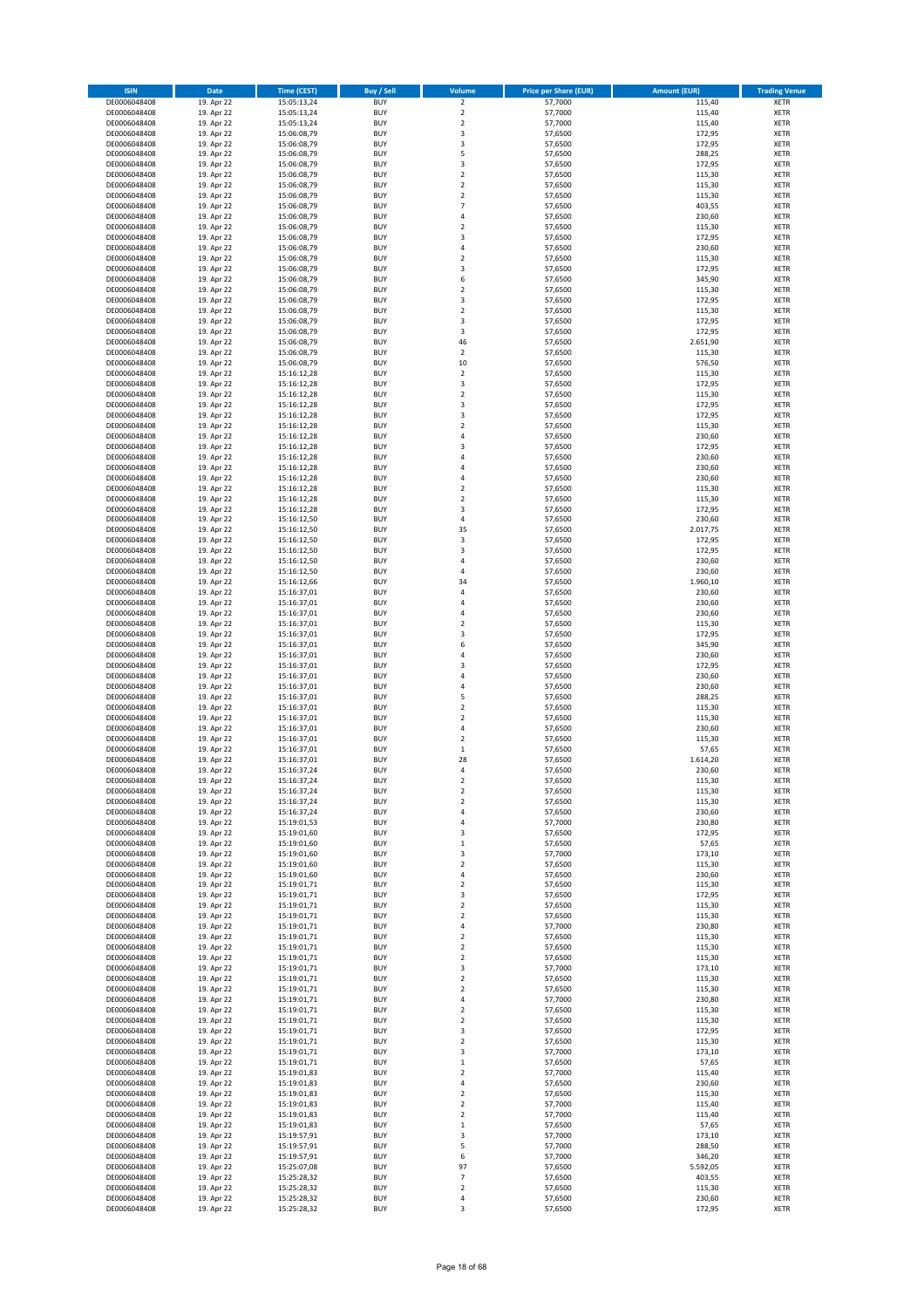| <b>ISIN</b>                  | Date                     | <b>Time (CEST)</b>         | <b>Buy / Sell</b>        | Volume                             | <b>Price per Share (EUR)</b> | <b>Amount (EUR)</b> | <b>Trading Venue</b>       |
|------------------------------|--------------------------|----------------------------|--------------------------|------------------------------------|------------------------------|---------------------|----------------------------|
| DE0006048408                 | 19. Apr 22               | 15:05:13,24                | <b>BUY</b>               | $\overline{2}$                     | 57,7000                      | 115,40              | <b>XETR</b>                |
| DE0006048408                 | 19. Apr 22               | 15:05:13,24                | <b>BUY</b>               | $\mathbf 2$                        | 57,7000                      | 115,40              | <b>XETR</b>                |
| DE0006048408<br>DE0006048408 | 19. Apr 22<br>19. Apr 22 | 15:05:13,24<br>15:06:08,79 | <b>BUY</b><br><b>BUY</b> | $\mathbf 2$<br>3                   | 57,7000<br>57,6500           | 115,40<br>172,95    | <b>XETR</b><br><b>XETR</b> |
| DE0006048408                 | 19. Apr 22               | 15:06:08,79                | <b>BUY</b>               | 3                                  | 57,6500                      | 172,95              | <b>XETR</b>                |
| DE0006048408                 | 19. Apr 22               | 15:06:08,79                | <b>BUY</b>               | 5                                  | 57,6500                      | 288,25              | <b>XETR</b>                |
| DE0006048408                 | 19. Apr 22               | 15:06:08,79                | <b>BUY</b>               | 3                                  | 57,6500                      | 172,95              | <b>XETR</b>                |
| DE0006048408                 | 19. Apr 22               | 15:06:08,79                | <b>BUY</b>               | $\overline{2}$                     | 57,6500                      | 115,30              | <b>XETR</b>                |
| DE0006048408<br>DE0006048408 | 19. Apr 22<br>19. Apr 22 | 15:06:08,79                | <b>BUY</b><br><b>BUY</b> | $\boldsymbol{2}$<br>$\overline{2}$ | 57,6500<br>57,6500           | 115,30<br>115,30    | XETR<br><b>XETR</b>        |
| DE0006048408                 | 19. Apr 22               | 15:06:08,79<br>15:06:08,79 | <b>BUY</b>               | $\overline{7}$                     | 57,6500                      | 403,55              | XETR                       |
| DE0006048408                 | 19. Apr 22               | 15:06:08,79                | <b>BUY</b>               | $\sqrt{4}$                         | 57,6500                      | 230,60              | <b>XETR</b>                |
| DE0006048408                 | 19. Apr 22               | 15:06:08,79                | <b>BUY</b>               | $\sqrt{2}$                         | 57,6500                      | 115,30              | XETR                       |
| DE0006048408                 | 19. Apr 22               | 15:06:08,79                | <b>BUY</b>               | 3                                  | 57,6500                      | 172,95              | <b>XETR</b>                |
| DE0006048408                 | 19. Apr 22               | 15:06:08,79                | <b>BUY</b>               | $\sqrt{4}$                         | 57,6500                      | 230,60              | <b>XETR</b>                |
| DE0006048408<br>DE0006048408 | 19. Apr 22<br>19. Apr 22 | 15:06:08,79<br>15:06:08,79 | <b>BUY</b><br><b>BUY</b> | $\overline{2}$<br>3                | 57,6500<br>57,6500           | 115,30<br>172,95    | <b>XETR</b><br>XETR        |
| DE0006048408                 | 19. Apr 22               | 15:06:08,79                | <b>BUY</b>               | 6                                  | 57,6500                      | 345,90              | <b>XETR</b>                |
| DE0006048408                 | 19. Apr 22               | 15:06:08,79                | <b>BUY</b>               | $\overline{2}$                     | 57,6500                      | 115,30              | XETR                       |
| DE0006048408                 | 19. Apr 22               | 15:06:08,79                | <b>BUY</b>               | 3                                  | 57,6500                      | 172,95              | XETR                       |
| DE0006048408                 | 19. Apr 22               | 15:06:08,79                | <b>BUY</b>               | $\overline{2}$                     | 57,6500                      | 115,30              | <b>XETR</b>                |
| DE0006048408<br>DE0006048408 | 19. Apr 22<br>19. Apr 22 | 15:06:08,79<br>15:06:08,79 | <b>BUY</b><br><b>BUY</b> | 3<br>3                             | 57,6500<br>57,6500           | 172,95<br>172,95    | <b>XETR</b><br><b>XETR</b> |
| DE0006048408                 | 19. Apr 22               | 15:06:08,79                | <b>BUY</b>               | 46                                 | 57,6500                      | 2.651,90            | <b>XETR</b>                |
| DE0006048408                 | 19. Apr 22               | 15:06:08,79                | <b>BUY</b>               | $\overline{2}$                     | 57,6500                      | 115,30              | <b>XETR</b>                |
| DE0006048408                 | 19. Apr 22               | 15:06:08,79                | <b>BUY</b>               | 10                                 | 57,6500                      | 576,50              | <b>XETR</b>                |
| DE0006048408                 | 19. Apr 22               | 15:16:12,28                | <b>BUY</b>               | $\overline{2}$                     | 57,6500                      | 115,30              | <b>XETR</b>                |
| DE0006048408                 | 19. Apr 22               | 15:16:12,28                | <b>BUY</b><br><b>BUY</b> | 3                                  | 57,6500                      | 172,95              | <b>XETR</b><br><b>XETR</b> |
| DE0006048408<br>DE0006048408 | 19. Apr 22<br>19. Apr 22 | 15:16:12,28<br>15:16:12,28 | <b>BUY</b>               | $\boldsymbol{2}$<br>3              | 57,6500<br>57,6500           | 115,30<br>172,95    | <b>XETR</b>                |
| DE0006048408                 | 19. Apr 22               | 15:16:12,28                | <b>BUY</b>               | 3                                  | 57,6500                      | 172,95              | <b>XETR</b>                |
| DE0006048408                 | 19. Apr 22               | 15:16:12,28                | <b>BUY</b>               | $\boldsymbol{2}$                   | 57,6500                      | 115,30              | <b>XETR</b>                |
| DE0006048408                 | 19. Apr 22               | 15:16:12,28                | <b>BUY</b>               | $\overline{4}$                     | 57,6500                      | 230,60              | <b>XETR</b>                |
| DE0006048408                 | 19. Apr 22               | 15:16:12,28                | <b>BUY</b>               | 3<br>$\overline{a}$                | 57,6500                      | 172,95              | XETR                       |
| DE0006048408<br>DE0006048408 | 19. Apr 22<br>19. Apr 22 | 15:16:12,28<br>15:16:12,28 | <b>BUY</b><br><b>BUY</b> | $\overline{4}$                     | 57,6500<br>57,6500           | 230,60<br>230,60    | <b>XETR</b><br>XETR        |
| DE0006048408                 | 19. Apr 22               | 15:16:12,28                | <b>BUY</b>               | $\sqrt{4}$                         | 57,6500                      | 230,60              | <b>XETR</b>                |
| DE0006048408                 | 19. Apr 22               | 15:16:12,28                | <b>BUY</b>               | $\sqrt{2}$                         | 57,6500                      | 115,30              | XETR                       |
| DE0006048408                 | 19. Apr 22               | 15:16:12,28                | <b>BUY</b>               | $\overline{2}$                     | 57,6500                      | 115,30              | <b>XETR</b>                |
| DE0006048408                 | 19. Apr 22               | 15:16:12,28                | <b>BUY</b>               | $\overline{\mathbf{3}}$            | 57,6500                      | 172,95              | <b>XETR</b>                |
| DE0006048408                 | 19. Apr 22               | 15:16:12,50                | <b>BUY</b>               | $\sqrt{4}$                         | 57,6500                      | 230,60<br>2.017,75  | <b>XETR</b>                |
| DE0006048408<br>DE0006048408 | 19. Apr 22<br>19. Apr 22 | 15:16:12,50<br>15:16:12,50 | <b>BUY</b><br><b>BUY</b> | 35<br>3                            | 57,6500<br>57,6500           | 172,95              | XETR<br><b>XETR</b>        |
| DE0006048408                 | 19. Apr 22               | 15:16:12,50                | <b>BUY</b>               | 3                                  | 57,6500                      | 172,95              | XETR                       |
| DE0006048408                 | 19. Apr 22               | 15:16:12,50                | <b>BUY</b>               | $\sqrt{4}$                         | 57,6500                      | 230,60              | <b>XETR</b>                |
| DE0006048408                 | 19. Apr 22               | 15:16:12,50                | <b>BUY</b>               | $\sqrt{4}$                         | 57,6500                      | 230,60              | XETR                       |
| DE0006048408                 | 19. Apr 22               | 15:16:12,66                | <b>BUY</b>               | 34                                 | 57,6500                      | 1.960,10            | <b>XETR</b>                |
| DE0006048408<br>DE0006048408 | 19. Apr 22<br>19. Apr 22 | 15:16:37,01<br>15:16:37,01 | <b>BUY</b><br><b>BUY</b> | $\sqrt{4}$<br>4                    | 57,6500<br>57,6500           | 230,60<br>230,60    | <b>XETR</b><br><b>XETR</b> |
| DE0006048408                 | 19. Apr 22               | 15:16:37,01                | <b>BUY</b>               | $\sqrt{4}$                         | 57,6500                      | 230,60              | <b>XETR</b>                |
| DE0006048408                 | 19. Apr 22               | 15:16:37,01                | <b>BUY</b>               | $\sqrt{2}$                         | 57,6500                      | 115,30              | <b>XETR</b>                |
| DE0006048408                 | 19. Apr 22               | 15:16:37,01                | <b>BUY</b>               | 3                                  | 57,6500                      | 172,95              | <b>XETR</b>                |
| DE0006048408                 | 19. Apr 22               | 15:16:37,01                | <b>BUY</b>               | 6                                  | 57,6500                      | 345,90              | <b>XETR</b>                |
| DE0006048408<br>DE0006048408 | 19. Apr 22<br>19. Apr 22 | 15:16:37,01<br>15:16:37,01 | <b>BUY</b><br><b>BUY</b> | $\sqrt{4}$<br>3                    | 57,6500<br>57,6500           | 230,60<br>172,95    | <b>XETR</b><br><b>XETR</b> |
| DE0006048408                 | 19. Apr 22               | 15:16:37,01                | <b>BUY</b>               | $\overline{4}$                     | 57,6500                      | 230,60              | <b>XETR</b>                |
| DE0006048408                 | 19. Apr 22               | 15:16:37,01                | <b>BUY</b>               | $\sqrt{4}$                         | 57,6500                      | 230,60              | <b>XETR</b>                |
| DE0006048408                 | 19. Apr 22               | 15:16:37,01                | <b>BUY</b>               | 5                                  | 57,6500                      | 288,25              | <b>XETR</b>                |
| DE0006048408                 | 19. Apr 22               | 15:16:37,01                | <b>BUY</b>               | $\overline{2}$                     | 57,6500                      | 115,30              | <b>XETR</b>                |
| DE0006048408                 | 19. Apr 22               | 15:16:37,01                | <b>BUY</b>               | $\overline{2}$                     | 57,6500                      | 115,30              | <b>XETR</b>                |
| DE0006048408<br>DE0006048408 | 19. Apr 22<br>19. Apr 22 | 15:16:37,01<br>15:16:37,01 | <b>BUY</b><br><b>BUY</b> | $\sqrt{4}$<br>$\overline{2}$       | 57,6500<br>57,6500           | 230,60<br>115,30    | XETR<br><b>XETR</b>        |
| DE0006048408                 | 19. Apr 22               | 15:16:37,01                | <b>BUY</b>               | $\,$ 1                             | 57,6500                      | 57,65               | <b>XETR</b>                |
| DE0006048408                 | 19. Apr 22               | 15:16:37,01                | <b>BUY</b>               | 28                                 | 57,6500                      | 1.614,20            | <b>XETR</b>                |
| DE0006048408                 | 19. Apr 22               | 15:16:37,24                | <b>BUY</b>               | $\overline{4}$                     | 57,6500                      | 230,60              | <b>XETR</b>                |
| DE0006048408                 | 19. Apr 22               | 15:16:37,24                | <b>BUY</b>               | $\overline{\mathbf{c}}$            | 57,6500                      | 115,30              | XETR                       |
| DE0006048408<br>DE0006048408 | 19. Apr 22<br>19. Apr 22 | 15:16:37,24<br>15:16:37,24 | <b>BUY</b><br><b>BUY</b> | $\mathbf 2$<br>$\boldsymbol{2}$    | 57,6500<br>57,6500           | 115,30<br>115,30    | XETR<br>XETR               |
| DE0006048408                 | 19. Apr 22               | 15:16:37,24                | <b>BUY</b>               | 4                                  | 57,6500                      | 230,60              | XETR                       |
| DE0006048408                 | 19. Apr 22               | 15:19:01,53                | <b>BUY</b>               | $\sqrt{4}$                         | 57,7000                      | 230,80              | XETR                       |
| DE0006048408                 | 19. Apr 22               | 15:19:01,60                | <b>BUY</b>               | 3                                  | 57,6500                      | 172,95              | XETR                       |
| DE0006048408                 | 19. Apr 22               | 15:19:01,60                | <b>BUY</b>               | $\mathbf 1$                        | 57,6500                      | 57,65               | <b>XETR</b>                |
| DE0006048408<br>DE0006048408 | 19. Apr 22<br>19. Apr 22 | 15:19:01,60<br>15:19:01,60 | <b>BUY</b><br><b>BUY</b> | 3<br>$\boldsymbol{2}$              | 57,7000<br>57,6500           | 173,10<br>115,30    | XETR<br><b>XETR</b>        |
| DE0006048408                 | 19. Apr 22               | 15:19:01,60                | <b>BUY</b>               | 4                                  | 57,6500                      | 230,60              | XETR                       |
| DE0006048408                 | 19. Apr 22               | 15:19:01,71                | <b>BUY</b>               | $\boldsymbol{2}$                   | 57,6500                      | 115,30              | <b>XETR</b>                |
| DE0006048408                 | 19. Apr 22               | 15:19:01,71                | <b>BUY</b>               | 3                                  | 57,6500                      | 172,95              | <b>XETR</b>                |
| DE0006048408                 | 19. Apr 22               | 15:19:01,71                | <b>BUY</b>               | $\overline{2}$                     | 57,6500                      | 115,30              | XETR                       |
| DE0006048408<br>DE0006048408 | 19. Apr 22<br>19. Apr 22 | 15:19:01,71<br>15:19:01,71 | <b>BUY</b><br><b>BUY</b> | $\boldsymbol{2}$<br>4              | 57,6500<br>57,7000           | 115,30<br>230,80    | XETR<br><b>XETR</b>        |
| DE0006048408                 | 19. Apr 22               | 15:19:01,71                | <b>BUY</b>               | $\mathbf 2$                        | 57,6500                      | 115,30              | <b>XETR</b>                |
| DE0006048408                 | 19. Apr 22               | 15:19:01,71                | <b>BUY</b>               | $\boldsymbol{2}$                   | 57,6500                      | 115,30              | <b>XETR</b>                |
| DE0006048408                 | 19. Apr 22               | 15:19:01,71                | <b>BUY</b>               | $\mathbf 2$                        | 57,6500                      | 115,30              | <b>XETR</b>                |
| DE0006048408                 | 19. Apr 22               | 15:19:01,71                | <b>BUY</b>               | 3                                  | 57,7000                      | 173,10              | <b>XETR</b>                |
| DE0006048408                 | 19. Apr 22               | 15:19:01,71                | <b>BUY</b><br><b>BUY</b> | $\boldsymbol{2}$<br>$\overline{2}$ | 57,6500<br>57,6500           | 115,30<br>115,30    | <b>XETR</b>                |
| DE0006048408<br>DE0006048408 | 19. Apr 22<br>19. Apr 22 | 15:19:01,71<br>15:19:01,71 | <b>BUY</b>               | $\sqrt{4}$                         | 57,7000                      | 230,80              | <b>XETR</b><br>XETR        |
| DE0006048408                 | 19. Apr 22               | 15:19:01,71                | <b>BUY</b>               | $\boldsymbol{2}$                   | 57,6500                      | 115,30              | XETR                       |
| DE0006048408                 | 19. Apr 22               | 15:19:01,71                | <b>BUY</b>               | $\overline{2}$                     | 57,6500                      | 115,30              | XETR                       |
| DE0006048408                 | 19. Apr 22               | 15:19:01,71                | <b>BUY</b>               | 3                                  | 57,6500                      | 172,95              | XETR                       |
| DE0006048408                 | 19. Apr 22               | 15:19:01,71                | <b>BUY</b>               | $\overline{2}$                     | 57,6500                      | 115,30              | XETR                       |
| DE0006048408<br>DE0006048408 | 19. Apr 22<br>19. Apr 22 | 15:19:01,71<br>15:19:01,71 | <b>BUY</b><br><b>BUY</b> | 3<br>$\mathbf 1$                   | 57,7000<br>57,6500           | 173,10<br>57,65     | XETR<br>XETR               |
| DE0006048408                 | 19. Apr 22               | 15:19:01,83                | <b>BUY</b>               | $\sqrt{2}$                         | 57,7000                      | 115,40              | XETR                       |
| DE0006048408                 | 19. Apr 22               | 15:19:01,83                | <b>BUY</b>               | $\sqrt{4}$                         | 57,6500                      | 230,60              | XETR                       |
| DE0006048408                 | 19. Apr 22               | 15:19:01,83                | <b>BUY</b>               | $\overline{\mathbf{c}}$            | 57,6500                      | 115,30              | XETR                       |
| DE0006048408                 | 19. Apr 22               | 15:19:01,83                | <b>BUY</b>               | $\boldsymbol{2}$                   | 57,7000                      | 115,40              | XETR                       |
| DE0006048408                 | 19. Apr 22               | 15:19:01,83                | <b>BUY</b>               | $\boldsymbol{2}$                   | 57,7000                      | 115,40              | XETR                       |
| DE0006048408<br>DE0006048408 | 19. Apr 22<br>19. Apr 22 | 15:19:01,83<br>15:19:57,91 | <b>BUY</b><br><b>BUY</b> | $\,$ 1<br>3                        | 57,6500<br>57,7000           | 57,65<br>173,10     | <b>XETR</b><br><b>XETR</b> |
| DE0006048408                 | 19. Apr 22               | 15:19:57,91                | <b>BUY</b>               | 5                                  | 57,7000                      | 288,50              | <b>XETR</b>                |
| DE0006048408                 | 19. Apr 22               | 15:19:57,91                | <b>BUY</b>               | 6                                  | 57,7000                      | 346,20              | <b>XETR</b>                |
| DE0006048408                 | 19. Apr 22               | 15:25:07,08                | <b>BUY</b>               | 97                                 | 57,6500                      | 5.592,05            | <b>XETR</b>                |
| DE0006048408                 | 19. Apr 22               | 15:25:28,32                | <b>BUY</b>               | $\overline{\phantom{a}}$           | 57,6500                      | 403,55              | <b>XETR</b>                |
| DE0006048408<br>DE0006048408 | 19. Apr 22<br>19. Apr 22 | 15:25:28,32<br>15:25:28,32 | <b>BUY</b><br><b>BUY</b> | $\boldsymbol{2}$<br>$\pmb{4}$      | 57,6500<br>57,6500           | 115,30<br>230,60    | <b>XETR</b><br><b>XETR</b> |
| DE0006048408                 | 19. Apr 22               | 15:25:28,32                | <b>BUY</b>               | 3                                  | 57,6500                      | 172,95              | XETR                       |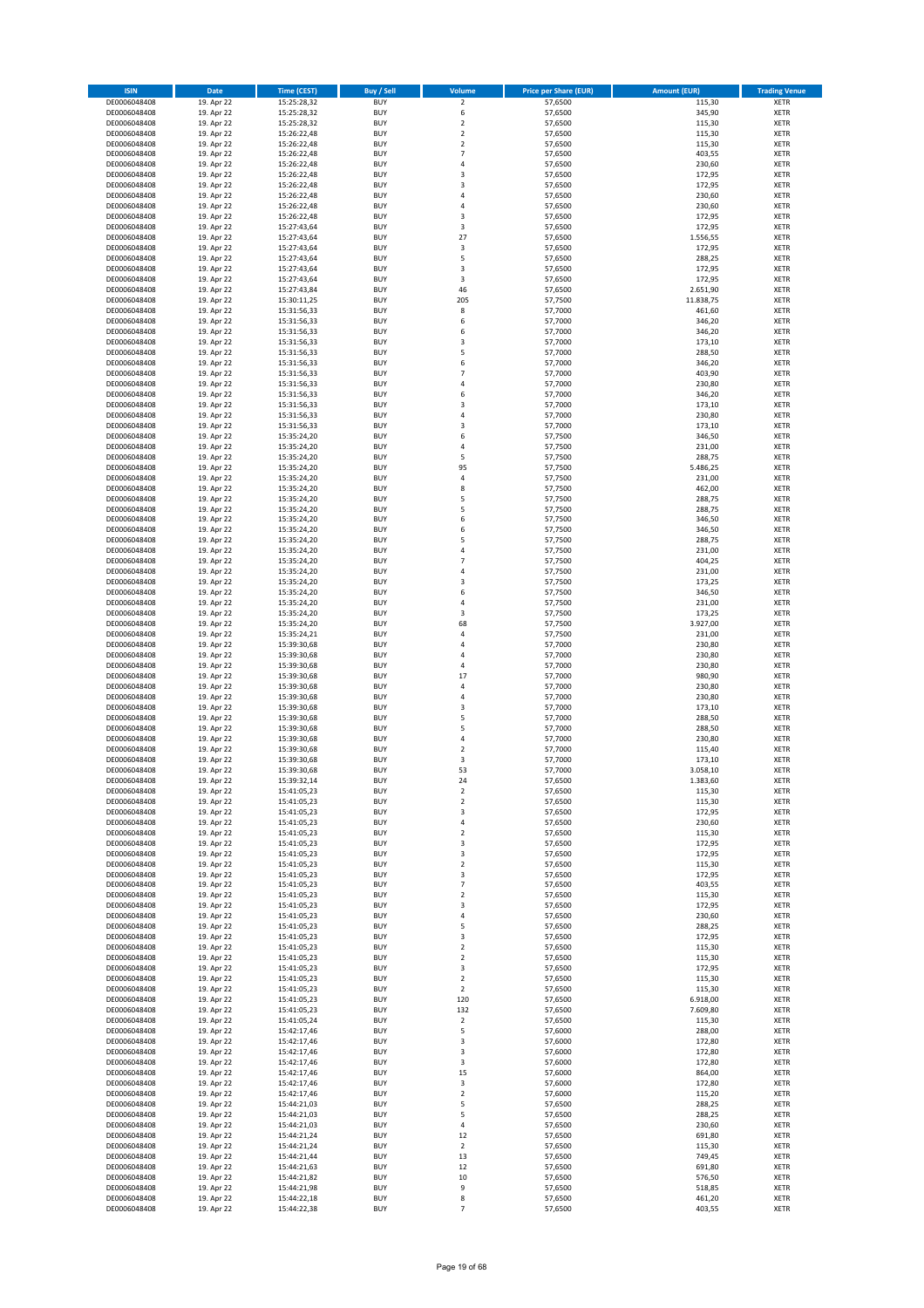| <b>ISIN</b>                  | Date                     | <b>Time (CEST)</b>         | <b>Buy / Sell</b>        | Volume                                 | <b>Price per Share (EUR)</b> | <b>Amount (EUR)</b>  | <b>Trading Venue</b>       |
|------------------------------|--------------------------|----------------------------|--------------------------|----------------------------------------|------------------------------|----------------------|----------------------------|
| DE0006048408                 | 19. Apr 22               | 15:25:28,32                | <b>BUY</b>               | $\overline{2}$                         | 57,6500                      | 115,30               | <b>XETR</b>                |
| DE0006048408                 | 19. Apr 22               | 15:25:28,32                | <b>BUY</b>               | 6                                      | 57,6500                      | 345,90               | <b>XETR</b>                |
| DE0006048408<br>DE0006048408 | 19. Apr 22<br>19. Apr 22 | 15:25:28,32<br>15:26:22,48 | <b>BUY</b><br><b>BUY</b> | $\mathbf 2$<br>$\mathbf 2$             | 57,6500<br>57,6500           | 115,30<br>115,30     | <b>XETR</b><br><b>XETR</b> |
| DE0006048408                 | 19. Apr 22               | 15:26:22,48                | <b>BUY</b>               | $\mathbf 2$                            | 57,6500                      | 115,30               | <b>XETR</b>                |
| DE0006048408                 | 19. Apr 22               | 15:26:22,48                | <b>BUY</b>               | $\overline{7}$                         | 57,6500                      | 403,55               | <b>XETR</b>                |
| DE0006048408                 | 19. Apr 22               | 15:26:22,48                | <b>BUY</b>               | $\overline{4}$                         | 57,6500                      | 230,60               | <b>XETR</b>                |
| DE0006048408                 | 19. Apr 22               | 15:26:22,48                | <b>BUY</b>               | 3                                      | 57,6500                      | 172,95               | <b>XETR</b>                |
| DE0006048408<br>DE0006048408 | 19. Apr 22<br>19. Apr 22 | 15:26:22,48                | <b>BUY</b><br><b>BUY</b> | 3<br>$\sqrt{4}$                        | 57,6500<br>57,6500           | 172,95<br>230,60     | XETR<br><b>XETR</b>        |
| DE0006048408                 | 19. Apr 22               | 15:26:22,48<br>15:26:22,48 | <b>BUY</b>               | $\sqrt{4}$                             | 57,6500                      | 230,60               | XETR                       |
| DE0006048408                 | 19. Apr 22               | 15:26:22,48                | <b>BUY</b>               | 3                                      | 57,6500                      | 172,95               | <b>XETR</b>                |
| DE0006048408                 | 19. Apr 22               | 15:27:43,64                | <b>BUY</b>               | 3                                      | 57,6500                      | 172,95               | XETR                       |
| DE0006048408                 | 19. Apr 22               | 15:27:43,64                | <b>BUY</b>               | 27                                     | 57,6500                      | 1.556,55             | <b>XETR</b>                |
| DE0006048408                 | 19. Apr 22               | 15:27:43,64                | <b>BUY</b>               | 3                                      | 57,6500                      | 172,95               | XETR                       |
| DE0006048408<br>DE0006048408 | 19. Apr 22<br>19. Apr 22 | 15:27:43,64<br>15:27:43,64 | <b>BUY</b><br><b>BUY</b> | 5<br>3                                 | 57,6500<br>57,6500           | 288,25<br>172,95     | <b>XETR</b><br>XETR        |
| DE0006048408                 | 19. Apr 22               | 15:27:43,64                | <b>BUY</b>               | 3                                      | 57,6500                      | 172,95               | <b>XETR</b>                |
| DE0006048408                 | 19. Apr 22               | 15:27:43,84                | <b>BUY</b>               | 46                                     | 57,6500                      | 2.651,90             | XETR                       |
| DE0006048408                 | 19. Apr 22               | 15:30:11,25                | <b>BUY</b>               | 205                                    | 57,7500                      | 11.838,75            | XETR                       |
| DE0006048408                 | 19. Apr 22               | 15:31:56,33                | <b>BUY</b><br><b>BUY</b> | 8<br>6                                 | 57,7000<br>57,7000           | 461,60<br>346,20     | <b>XETR</b><br><b>XETR</b> |
| DE0006048408<br>DE0006048408 | 19. Apr 22<br>19. Apr 22 | 15:31:56,33<br>15:31:56,33 | <b>BUY</b>               | 6                                      | 57,7000                      | 346,20               | <b>XETR</b>                |
| DE0006048408                 | 19. Apr 22               | 15:31:56,33                | <b>BUY</b>               | 3                                      | 57,7000                      | 173,10               | <b>XETR</b>                |
| DE0006048408                 | 19. Apr 22               | 15:31:56,33                | <b>BUY</b>               | 5                                      | 57,7000                      | 288,50               | <b>XETR</b>                |
| DE0006048408                 | 19. Apr 22               | 15:31:56,33                | <b>BUY</b>               | 6                                      | 57,7000                      | 346,20               | <b>XETR</b>                |
| DE0006048408                 | 19. Apr 22               | 15:31:56,33                | <b>BUY</b>               | $\overline{7}$                         | 57,7000                      | 403,90               | <b>XETR</b>                |
| DE0006048408<br>DE0006048408 | 19. Apr 22<br>19. Apr 22 | 15:31:56,33<br>15:31:56,33 | <b>BUY</b><br><b>BUY</b> | $\sqrt{4}$<br>6                        | 57,7000<br>57,7000           | 230,80<br>346,20     | <b>XETR</b><br><b>XETR</b> |
| DE0006048408                 | 19. Apr 22               | 15:31:56,33                | <b>BUY</b>               | 3                                      | 57,7000                      | 173,10               | <b>XETR</b>                |
| DE0006048408                 | 19. Apr 22               | 15:31:56,33                | <b>BUY</b>               | $\sqrt{4}$                             | 57,7000                      | 230,80               | <b>XETR</b>                |
| DE0006048408                 | 19. Apr 22               | 15:31:56,33                | <b>BUY</b>               | 3                                      | 57,7000                      | 173,10               | <b>XETR</b>                |
| DE0006048408                 | 19. Apr 22               | 15:35:24,20                | <b>BUY</b>               | 6                                      | 57,7500                      | 346,50               | <b>XETR</b>                |
| DE0006048408<br>DE0006048408 | 19. Apr 22<br>19. Apr 22 | 15:35:24,20<br>15:35:24,20 | <b>BUY</b><br><b>BUY</b> | 4<br>5                                 | 57,7500<br>57,7500           | 231,00<br>288,75     | XETR<br><b>XETR</b>        |
| DE0006048408                 | 19. Apr 22               | 15:35:24,20                | <b>BUY</b>               | 95                                     | 57,7500                      | 5.486,25             | XETR                       |
| DE0006048408                 | 19. Apr 22               | 15:35:24,20                | <b>BUY</b>               | $\sqrt{4}$                             | 57,7500                      | 231,00               | <b>XETR</b>                |
| DE0006048408                 | 19. Apr 22               | 15:35:24,20                | <b>BUY</b>               | 8                                      | 57,7500                      | 462,00               | XETR                       |
| DE0006048408                 | 19. Apr 22               | 15:35:24,20                | <b>BUY</b>               | 5                                      | 57,7500                      | 288,75               | <b>XETR</b>                |
| DE0006048408<br>DE0006048408 | 19. Apr 22<br>19. Apr 22 | 15:35:24,20<br>15:35:24,20 | <b>BUY</b><br><b>BUY</b> | 5<br>6                                 | 57,7500<br>57,7500           | 288,75<br>346,50     | <b>XETR</b><br><b>XETR</b> |
| DE0006048408                 | 19. Apr 22               | 15:35:24,20                | <b>BUY</b>               | 6                                      | 57,7500                      | 346,50               | XETR                       |
| DE0006048408                 | 19. Apr 22               | 15:35:24,20                | <b>BUY</b>               | 5                                      | 57,7500                      | 288,75               | <b>XETR</b>                |
| DE0006048408                 | 19. Apr 22               | 15:35:24,20                | <b>BUY</b>               | $\overline{4}$                         | 57,7500                      | 231,00               | <b>XETR</b>                |
| DE0006048408                 | 19. Apr 22               | 15:35:24,20                | <b>BUY</b>               | $\overline{7}$                         | 57,7500                      | 404,25               | <b>XETR</b>                |
| DE0006048408                 | 19. Apr 22               | 15:35:24,20                | <b>BUY</b>               | $\sqrt{4}$                             | 57,7500                      | 231,00               | XETR                       |
| DE0006048408<br>DE0006048408 | 19. Apr 22<br>19. Apr 22 | 15:35:24,20<br>15:35:24,20 | <b>BUY</b><br><b>BUY</b> | 3<br>6                                 | 57,7500<br>57,7500           | 173,25<br>346,50     | <b>XETR</b><br><b>XETR</b> |
| DE0006048408                 | 19. Apr 22               | 15:35:24,20                | <b>BUY</b>               | 4                                      | 57,7500                      | 231,00               | <b>XETR</b>                |
| DE0006048408                 | 19. Apr 22               | 15:35:24,20                | <b>BUY</b>               | 3                                      | 57,7500                      | 173,25               | <b>XETR</b>                |
| DE0006048408                 | 19. Apr 22               | 15:35:24,20                | <b>BUY</b>               | 68                                     | 57,7500                      | 3.927,00             | <b>XETR</b>                |
| DE0006048408                 | 19. Apr 22               | 15:35:24,21                | <b>BUY</b>               | $\overline{4}$                         | 57,7500                      | 231,00               | <b>XETR</b>                |
| DE0006048408<br>DE0006048408 | 19. Apr 22<br>19. Apr 22 | 15:39:30,68<br>15:39:30,68 | <b>BUY</b><br><b>BUY</b> | 4<br>$\sqrt{4}$                        | 57,7000<br>57,7000           | 230,80<br>230,80     | XETR<br><b>XETR</b>        |
| DE0006048408                 | 19. Apr 22               | 15:39:30,68                | <b>BUY</b>               | 4                                      | 57,7000                      | 230,80               | <b>XETR</b>                |
| DE0006048408                 | 19. Apr 22               | 15:39:30,68                | <b>BUY</b>               | 17                                     | 57,7000                      | 980,90               | <b>XETR</b>                |
| DE0006048408                 | 19. Apr 22               | 15:39:30,68                | <b>BUY</b>               | $\sqrt{4}$                             | 57,7000                      | 230,80               | <b>XETR</b>                |
| DE0006048408                 | 19. Apr 22               | 15:39:30,68                | <b>BUY</b>               | $\sqrt{4}$                             | 57,7000                      | 230,80               | <b>XETR</b>                |
| DE0006048408<br>DE0006048408 | 19. Apr 22<br>19. Apr 22 | 15:39:30,68<br>15:39:30,68 | <b>BUY</b><br><b>BUY</b> | 3<br>5                                 | 57,7000<br>57,7000           | 173,10<br>288,50     | <b>XETR</b><br><b>XETR</b> |
| DE0006048408                 | 19. Apr 22               | 15:39:30,68                | <b>BUY</b>               | 5                                      | 57,7000                      | 288,50               | XETR                       |
| DE0006048408                 | 19. Apr 22               | 15:39:30,68                | <b>BUY</b>               | $\sqrt{4}$                             | 57,7000                      | 230,80               | <b>XETR</b>                |
| DE0006048408                 | 19. Apr 22               | 15:39:30,68                | <b>BUY</b>               | $\boldsymbol{2}$                       | 57,7000                      | 115,40               | <b>XETR</b>                |
| DE0006048408<br>DE0006048408 | 19. Apr 22               | 15:39:30,68                | <b>BUY</b>               | 3                                      | 57,7000                      | 173,10               | <b>XETR</b>                |
| DE0006048408                 | 19. Apr 22<br>19. Apr 22 | 15:39:30,68<br>15:39:32,14 | <b>BUY</b><br><b>BUY</b> | 53<br>24                               | 57,7000<br>57,6500           | 3.058,10<br>1.383,60 | <b>XETR</b><br>XETR        |
| DE0006048408                 | 19. Apr 22               | 15:41:05,23                | <b>BUY</b>               | $\mathbf 2$                            | 57,6500                      | 115,30               | XETR                       |
| DE0006048408                 | 19. Apr 22               | 15:41:05,23                | <b>BUY</b>               | $\mathbf 2$                            | 57,6500                      | 115,30               | XETR                       |
| DE0006048408                 | 19. Apr 22               | 15:41:05,23                | <b>BUY</b>               | 3                                      | 57,6500                      | 172,95               | XETR                       |
| DE0006048408                 | 19. Apr 22               | 15:41:05,23                | <b>BUY</b>               | $\sqrt{4}$                             | 57,6500                      | 230,60               | XETR                       |
| DE0006048408<br>DE0006048408 | 19. Apr 22<br>19. Apr 22 | 15:41:05,23<br>15:41:05,23 | <b>BUY</b><br><b>BUY</b> | $\mathbf 2$<br>3                       | 57,6500<br>57,6500           | 115,30<br>172,95     | XETR<br><b>XETR</b>        |
| DE0006048408                 | 19. Apr 22               | 15:41:05,23                | <b>BUY</b>               | 3                                      | 57,6500                      | 172,95               | XETR                       |
| DE0006048408                 | 19. Apr 22               | 15:41:05,23                | <b>BUY</b>               | $\mathbf 2$                            | 57,6500                      | 115,30               | <b>XETR</b>                |
| DE0006048408                 | 19. Apr 22               | 15:41:05,23                | <b>BUY</b>               | 3                                      | 57,6500                      | 172,95               | XETR                       |
| DE0006048408<br>DE0006048408 | 19. Apr 22<br>19. Apr 22 | 15:41:05,23<br>15:41:05,23 | <b>BUY</b><br><b>BUY</b> | $\overline{\phantom{a}}$<br>$\sqrt{2}$ | 57,6500<br>57,6500           | 403,55<br>115,30     | <b>XETR</b><br><b>XETR</b> |
| DE0006048408                 | 19. Apr 22               | 15:41:05,23                | <b>BUY</b>               | 3                                      | 57,6500                      | 172,95               | XETR                       |
| DE0006048408                 | 19. Apr 22               | 15:41:05,23                | <b>BUY</b>               | $\pmb{4}$                              | 57,6500                      | 230,60               | XETR                       |
| DE0006048408                 | 19. Apr 22               | 15:41:05,23                | <b>BUY</b>               | 5                                      | 57,6500                      | 288,25               | <b>XETR</b>                |
| DE0006048408                 | 19. Apr 22               | 15:41:05,23                | <b>BUY</b>               | 3                                      | 57,6500                      | 172,95               | <b>XETR</b>                |
| DE0006048408<br>DE0006048408 | 19. Apr 22               | 15:41:05,23                | <b>BUY</b><br><b>BUY</b> | $\mathbf 2$                            | 57,6500<br>57,6500           | 115,30               | <b>XETR</b><br><b>XETR</b> |
| DE0006048408                 | 19. Apr 22<br>19. Apr 22 | 15:41:05,23<br>15:41:05,23 | <b>BUY</b>               | $\mathbf 2$<br>3                       | 57,6500                      | 115,30<br>172,95     | <b>XETR</b>                |
| DE0006048408                 | 19. Apr 22               | 15:41:05,23                | <b>BUY</b>               | $\mathbf 2$                            | 57,6500                      | 115,30               | <b>XETR</b>                |
| DE0006048408                 | 19. Apr 22               | 15:41:05,23                | <b>BUY</b>               | $\overline{2}$                         | 57,6500                      | 115,30               | <b>XETR</b>                |
| DE0006048408                 | 19. Apr 22               | 15:41:05,23                | <b>BUY</b>               | 120                                    | 57,6500                      | 6.918,00             | XETR                       |
| DE0006048408                 | 19. Apr 22               | 15:41:05,23                | <b>BUY</b><br><b>BUY</b> | 132                                    | 57,6500                      | 7.609,80             | XETR                       |
| DE0006048408<br>DE0006048408 | 19. Apr 22<br>19. Apr 22 | 15:41:05,24<br>15:42:17,46 | <b>BUY</b>               | $\mathbf 2$<br>5                       | 57,6500<br>57,6000           | 115,30<br>288,00     | XETR<br>XETR               |
| DE0006048408                 | 19. Apr 22               | 15:42:17,46                | <b>BUY</b>               | 3                                      | 57,6000                      | 172,80               | <b>XETR</b>                |
| DE0006048408                 | 19. Apr 22               | 15:42:17,46                | <b>BUY</b>               | 3                                      | 57,6000                      | 172,80               | XETR                       |
| DE0006048408                 | 19. Apr 22               | 15:42:17,46                | <b>BUY</b>               | 3                                      | 57,6000                      | 172,80               | XETR                       |
| DE0006048408                 | 19. Apr 22               | 15:42:17,46                | <b>BUY</b>               | 15                                     | 57,6000                      | 864,00               | XETR                       |
| DE0006048408<br>DE0006048408 | 19. Apr 22<br>19. Apr 22 | 15:42:17,46<br>15:42:17,46 | <b>BUY</b><br><b>BUY</b> | 3<br>$\mathbf 2$                       | 57,6000<br>57,6000           | 172,80<br>115,20     | XETR<br>XETR               |
| DE0006048408                 | 19. Apr 22               | 15:44:21,03                | <b>BUY</b>               | 5                                      | 57,6500                      | 288,25               | XETR                       |
| DE0006048408                 | 19. Apr 22               | 15:44:21,03                | <b>BUY</b>               | 5                                      | 57,6500                      | 288,25               | <b>XETR</b>                |
| DE0006048408                 | 19. Apr 22               | 15:44:21,03                | <b>BUY</b>               | 4                                      | 57,6500                      | 230,60               | <b>XETR</b>                |
| DE0006048408                 | 19. Apr 22               | 15:44:21,24                | <b>BUY</b>               | 12                                     | 57,6500                      | 691,80               | <b>XETR</b>                |
| DE0006048408<br>DE0006048408 | 19. Apr 22<br>19. Apr 22 | 15:44:21,24<br>15:44:21,44 | <b>BUY</b><br><b>BUY</b> | $\overline{2}$<br>13                   | 57,6500<br>57,6500           | 115,30<br>749,45     | <b>XETR</b><br><b>XETR</b> |
| DE0006048408                 | 19. Apr 22               | 15:44:21,63                | <b>BUY</b>               | 12                                     | 57,6500                      | 691,80               | <b>XETR</b>                |
| DE0006048408                 | 19. Apr 22               | 15:44:21,82                | <b>BUY</b>               | $10\,$                                 | 57,6500                      | 576,50               | <b>XETR</b>                |
| DE0006048408                 | 19. Apr 22               | 15:44:21,98                | <b>BUY</b>               | 9                                      | 57,6500                      | 518,85               | <b>XETR</b>                |
| DE0006048408                 | 19. Apr 22               | 15:44:22,18                | <b>BUY</b>               | 8<br>$\overline{7}$                    | 57,6500                      | 461,20<br>403,55     | <b>XETR</b>                |
| DE0006048408                 | 19. Apr 22               | 15:44:22,38                | <b>BUY</b>               |                                        | 57,6500                      |                      | <b>XETR</b>                |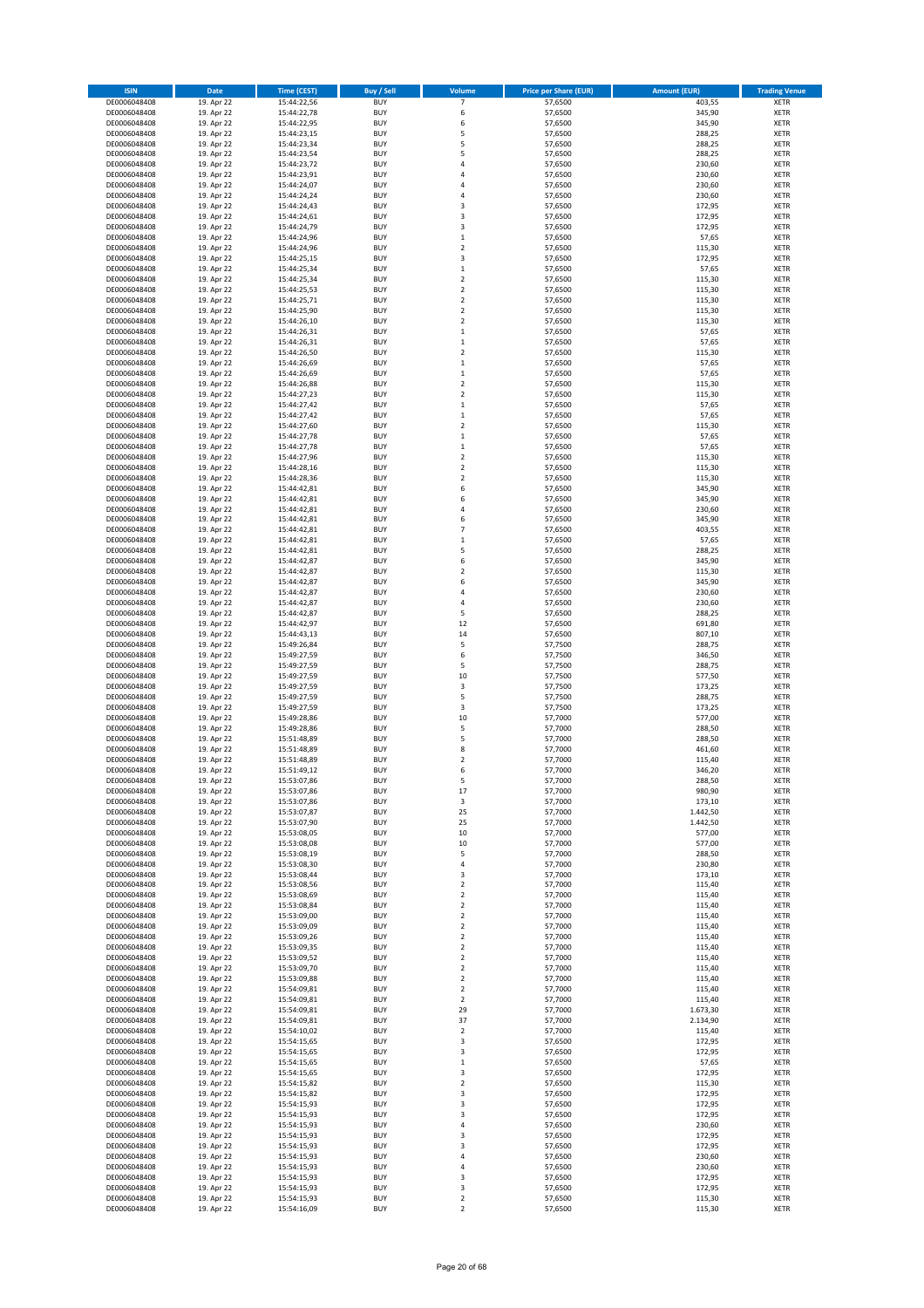| <b>ISIN</b>                  | <b>Date</b>              | <b>Time (CEST)</b>         | <b>Buy / Sell</b>        | Volume                                             | <b>Price per Share (EUR)</b> | <b>Amount (EUR)</b> | <b>Trading Venue</b>       |
|------------------------------|--------------------------|----------------------------|--------------------------|----------------------------------------------------|------------------------------|---------------------|----------------------------|
| DE0006048408                 | 19. Apr 22               | 15:44:22,56                | <b>BUY</b>               | $\overline{7}$                                     | 57,6500                      | 403,55              | XETR                       |
| DE0006048408                 | 19. Apr 22               | 15:44:22,78                | <b>BUY</b>               | 6                                                  | 57,6500                      | 345,90              | XETR                       |
| DE0006048408<br>DE0006048408 | 19. Apr 22<br>19. Apr 22 | 15:44:22,95<br>15:44:23,15 | <b>BUY</b><br><b>BUY</b> | 6<br>5                                             | 57,6500<br>57,6500           | 345,90<br>288,25    | XETR<br>XETR               |
| DE0006048408                 | 19. Apr 22               | 15:44:23,34                | <b>BUY</b>               | 5                                                  | 57,6500                      | 288,25              | XETR                       |
| DE0006048408                 | 19. Apr 22               | 15:44:23,54                | <b>BUY</b>               | 5                                                  | 57,6500                      | 288,25              | <b>XETR</b>                |
| DE0006048408                 | 19. Apr 22               | 15:44:23,72                | <b>BUY</b>               | 4                                                  | 57,6500                      | 230,60              | <b>XETR</b>                |
| DE0006048408                 | 19. Apr 22               | 15:44:23,91                | <b>BUY</b>               | $\overline{4}$                                     | 57,6500                      | 230,60              | <b>XETR</b>                |
| DE0006048408<br>DE0006048408 | 19. Apr 22<br>19. Apr 22 | 15:44:24,07                | <b>BUY</b><br><b>BUY</b> | 4<br>$\overline{a}$                                | 57,6500<br>57,6500           | 230,60<br>230,60    | <b>XETR</b><br><b>XETR</b> |
| DE0006048408                 | 19. Apr 22               | 15:44:24,24<br>15:44:24,43 | <b>BUY</b>               | 3                                                  | 57,6500                      | 172,95              | XETR                       |
| DE0006048408                 | 19. Apr 22               | 15:44:24,61                | <b>BUY</b>               | 3                                                  | 57,6500                      | 172,95              | <b>XETR</b>                |
| DE0006048408                 | 19. Apr 22               | 15:44:24,79                | <b>BUY</b>               | 3                                                  | 57,6500                      | 172,95              | XETR                       |
| DE0006048408                 | 19. Apr 22               | 15:44:24,96                | <b>BUY</b>               | $\mathbf 1$                                        | 57,6500                      | 57,65               | <b>XETR</b>                |
| DE0006048408                 | 19. Apr 22               | 15:44:24,96                | <b>BUY</b>               | $\mathbf 2$                                        | 57,6500                      | 115,30              | XETR                       |
| DE0006048408<br>DE0006048408 | 19. Apr 22<br>19. Apr 22 | 15:44:25,15<br>15:44:25,34 | <b>BUY</b><br><b>BUY</b> | 3<br>$\mathbf 1$                                   | 57,6500<br>57,6500           | 172,95<br>57,65     | <b>XETR</b><br>XETR        |
| DE0006048408                 | 19. Apr 22               | 15:44:25,34                | <b>BUY</b>               | $\overline{\mathbf{c}}$                            | 57,6500                      | 115,30              | <b>XETR</b>                |
| DE0006048408                 | 19. Apr 22               | 15:44:25,53                | <b>BUY</b>               | $\mathbf 2$                                        | 57,6500                      | 115,30              | XETR                       |
| DE0006048408                 | 19. Apr 22               | 15:44:25,71                | <b>BUY</b>               | $\mathbf 2$                                        | 57,6500                      | 115,30              | <b>XETR</b>                |
| DE0006048408                 | 19. Apr 22               | 15:44:25,90                | <b>BUY</b><br><b>BUY</b> | $\overline{\mathbf{c}}$<br>$\overline{\mathbf{c}}$ | 57,6500<br>57,6500           | 115,30<br>115,30    | XETR<br>XETR               |
| DE0006048408<br>DE0006048408 | 19. Apr 22<br>19. Apr 22 | 15:44:26,10<br>15:44:26,31 | <b>BUY</b>               | $\mathbf{1}$                                       | 57,6500                      | 57,65               | <b>XETR</b>                |
| DE0006048408                 | 19. Apr 22               | 15:44:26,31                | <b>BUY</b>               | $\mathbf 1$                                        | 57,6500                      | 57,65               | <b>XETR</b>                |
| DE0006048408                 | 19. Apr 22               | 15:44:26,50                | <b>BUY</b>               | $\overline{\mathbf{c}}$                            | 57,6500                      | 115,30              | <b>XETR</b>                |
| DE0006048408                 | 19. Apr 22               | 15:44:26,69                | <b>BUY</b>               | $\mathbf 1$                                        | 57,6500                      | 57,65               | XETR                       |
| DE0006048408                 | 19. Apr 22               | 15:44:26,69                | <b>BUY</b>               | $\mathbf 1$                                        | 57,6500                      | 57,65               | <b>XETR</b>                |
| DE0006048408<br>DE0006048408 | 19. Apr 22<br>19. Apr 22 | 15:44:26,88<br>15:44:27,23 | <b>BUY</b><br><b>BUY</b> | $\mathbf 2$<br>$\mathbf 2$                         | 57,6500<br>57,6500           | 115,30<br>115,30    | <b>XETR</b><br>XETR        |
| DE0006048408                 | 19. Apr 22               | 15:44:27,42                | <b>BUY</b>               | $\mathbf 1$                                        | 57,6500                      | 57,65               | XETR                       |
| DE0006048408                 | 19. Apr 22               | 15:44:27,42                | <b>BUY</b>               | $\mathbf 1$                                        | 57,6500                      | 57,65               | <b>XETR</b>                |
| DE0006048408                 | 19. Apr 22               | 15:44:27,60                | <b>BUY</b>               | $\mathbf 2$                                        | 57,6500                      | 115,30              | <b>XETR</b>                |
| DE0006048408                 | 19. Apr 22               | 15:44:27,78                | <b>BUY</b>               | $\mathbf 1$                                        | 57,6500                      | 57,65               | <b>XETR</b>                |
| DE0006048408<br>DE0006048408 | 19. Apr 22<br>19. Apr 22 | 15:44:27,78<br>15:44:27,96 | <b>BUY</b><br><b>BUY</b> | $\mathbf 1$<br>$\overline{\mathbf{c}}$             | 57,6500<br>57,6500           | 57,65<br>115,30     | XETR<br><b>XETR</b>        |
| DE0006048408                 | 19. Apr 22               | 15:44:28,16                | <b>BUY</b>               | $\mathbf 2$                                        | 57,6500                      | 115,30              | XETR                       |
| DE0006048408                 | 19. Apr 22               | 15:44:28,36                | <b>BUY</b>               | $\overline{\mathbf{c}}$                            | 57,6500                      | 115,30              | <b>XETR</b>                |
| DE0006048408                 | 19. Apr 22               | 15:44:42,81                | <b>BUY</b>               | 6                                                  | 57,6500                      | 345,90              | XETR                       |
| DE0006048408                 | 19. Apr 22               | 15:44:42,81                | <b>BUY</b>               | 6                                                  | 57,6500                      | 345,90              | <b>XETR</b>                |
| DE0006048408<br>DE0006048408 | 19. Apr 22<br>19. Apr 22 | 15:44:42,81<br>15:44:42,81 | <b>BUY</b><br><b>BUY</b> | 4<br>6                                             | 57,6500                      | 230,60<br>345,90    | <b>XETR</b><br><b>XETR</b> |
| DE0006048408                 | 19. Apr 22               | 15:44:42,81                | <b>BUY</b>               | $\overline{7}$                                     | 57,6500<br>57,6500           | 403,55              | <b>XETR</b>                |
| DE0006048408                 | 19. Apr 22               | 15:44:42,81                | <b>BUY</b>               | $\mathbf 1$                                        | 57,6500                      | 57,65               | <b>XETR</b>                |
| DE0006048408                 | 19. Apr 22               | 15:44:42,81                | <b>BUY</b>               | 5                                                  | 57,6500                      | 288,25              | XETR                       |
| DE0006048408                 | 19. Apr 22               | 15:44:42,87                | <b>BUY</b>               | 6                                                  | 57,6500                      | 345,90              | <b>XETR</b>                |
| DE0006048408                 | 19. Apr 22               | 15:44:42,87                | <b>BUY</b>               | $\mathbf 2$                                        | 57,6500                      | 115,30              | XETR                       |
| DE0006048408<br>DE0006048408 | 19. Apr 22<br>19. Apr 22 | 15:44:42,87<br>15:44:42,87 | <b>BUY</b><br><b>BUY</b> | 6<br>$\overline{4}$                                | 57,6500<br>57,6500           | 345,90<br>230,60    | XETR<br><b>XETR</b>        |
| DE0006048408                 | 19. Apr 22               | 15:44:42,87                | <b>BUY</b>               | 4                                                  | 57,6500                      | 230,60              | <b>XETR</b>                |
| DE0006048408                 | 19. Apr 22               | 15:44:42,87                | <b>BUY</b>               | 5                                                  | 57,6500                      | 288,25              | XETR                       |
| DE0006048408                 | 19. Apr 22               | 15:44:42,97                | <b>BUY</b>               | 12                                                 | 57,6500                      | 691,80              | <b>XETR</b>                |
| DE0006048408                 | 19. Apr 22               | 15:44:43,13                | <b>BUY</b><br><b>BUY</b> | 14<br>5                                            | 57,6500                      | 807,10              | <b>XETR</b>                |
| DE0006048408<br>DE0006048408 | 19. Apr 22<br>19. Apr 22 | 15:49:26,84<br>15:49:27,59 | <b>BUY</b>               | 6                                                  | 57,7500<br>57,7500           | 288,75<br>346,50    | <b>XETR</b><br>XETR        |
| DE0006048408                 | 19. Apr 22               | 15:49:27,59                | <b>BUY</b>               | 5                                                  | 57,7500                      | 288,75              | XETR                       |
| DE0006048408                 | 19. Apr 22               | 15:49:27,59                | <b>BUY</b>               | 10                                                 | 57,7500                      | 577,50              | <b>XETR</b>                |
| DE0006048408                 | 19. Apr 22               | 15:49:27,59                | <b>BUY</b>               | 3                                                  | 57,7500                      | 173,25              | <b>XETR</b>                |
| DE0006048408                 | 19. Apr 22               | 15:49:27,59                | <b>BUY</b><br><b>BUY</b> | 5<br>3                                             | 57,7500                      | 288,75              | <b>XETR</b><br>XETR        |
| DE0006048408<br>DE0006048408 | 19. Apr 22<br>19. Apr 22 | 15:49:27,59<br>15:49:28,86 | <b>BUY</b>               | 10                                                 | 57,7500<br>57,7000           | 173,25<br>577,00    | <b>XETR</b>                |
| DE0006048408                 | 19. Apr 22               | 15:49:28,86                | <b>BUY</b>               | 5                                                  | 57,7000                      | 288,50              | XETR                       |
| DE0006048408                 | 19. Apr 22               | 15:51:48,89                | <b>BUY</b>               | 5                                                  | 57,7000                      | 288,50              | <b>XETR</b>                |
| DE0006048408                 | 19. Apr 22               | 15:51:48,89                | <b>BUY</b>               | 8                                                  | 57,7000                      | 461,60              | XETR                       |
| DE0006048408<br>DE0006048408 | 19. Apr 22               | 15:51:48,89<br>15:51:49,12 | <b>BUY</b><br><b>BUY</b> | $\overline{\mathbf{2}}$<br>6                       | 57,7000<br>57,7000           | 115,40<br>346,20    | <b>XETR</b><br>XETR        |
| DE0006048408                 | 19. Apr 22<br>19. Apr 22 | 15:53:07,86                | <b>BUY</b>               | 5                                                  | 57,7000                      | 288,50              | XETR                       |
| DE0006048408                 | 19. Apr 22               | 15:53:07,86                | <b>BUY</b>               | 17                                                 | 57,7000                      | 980,90              | XETR                       |
| DE0006048408                 | 19. Apr 22               | 15:53:07,86                | <b>BUY</b>               | 3                                                  | 57,7000                      | 173,10              | XETR                       |
| DE0006048408                 | 19. Apr 22               | 15:53:07,87                | <b>BUY</b>               | 25                                                 | 57,7000                      | 1.442,50            | XETR                       |
| DE0006048408                 | 19. Apr 22               | 15:53:07,90<br>15:53:08,05 | <b>BUY</b><br><b>BUY</b> | 25<br>10                                           | 57,7000<br>57,7000           | 1.442,50<br>577,00  | XETR<br>XETR               |
| DE0006048408<br>DE0006048408 | 19. Apr 22<br>19. Apr 22 | 15:53:08.08                | <b>BUY</b>               | 10                                                 | 57,7000                      | 577,00              | <b>XETR</b>                |
| DE0006048408                 | 19. Apr 22               | 15:53:08,19                | <b>BUY</b>               | 5                                                  | 57,7000                      | 288,50              | XETR                       |
| DE0006048408                 | 19. Apr 22               | 15:53:08,30                | <b>BUY</b>               | 4                                                  | 57,7000                      | 230,80              | <b>XETR</b>                |
| DE0006048408                 | 19. Apr 22               | 15:53:08,44                | <b>BUY</b>               | 3                                                  | 57,7000                      | 173,10              | XETR                       |
| DE0006048408<br>DE0006048408 | 19. Apr 22<br>19. Apr 22 | 15:53:08,56<br>15:53:08,69 | <b>BUY</b><br><b>BUY</b> | 2<br>$\mathbf 2$                                   | 57,7000<br>57,7000           | 115,40<br>115,40    | <b>XETR</b><br>XETR        |
| DE0006048408                 | 19. Apr 22               | 15:53:08,84                | <b>BUY</b>               | $\mathbf 2$                                        | 57,7000                      | 115,40              | <b>XETR</b>                |
| DE0006048408                 | 19. Apr 22               | 15:53:09,00                | <b>BUY</b>               | $\mathbf 2$                                        | 57,7000                      | 115,40              | XETR                       |
| DE0006048408                 | 19. Apr 22               | 15:53:09,09                | <b>BUY</b>               | $\mathbf 2$                                        | 57,7000                      | 115,40              | <b>XETR</b>                |
| DE0006048408                 | 19. Apr 22               | 15:53:09,26                | <b>BUY</b>               | $\mathbf 2$                                        | 57,7000                      | 115,40              | XETR                       |
| DE0006048408<br>DE0006048408 | 19. Apr 22<br>19. Apr 22 | 15:53:09,35<br>15:53:09,52 | <b>BUY</b><br><b>BUY</b> | $\mathbf 2$<br>$\boldsymbol{2}$                    | 57,7000<br>57,7000           | 115,40<br>115,40    | <b>XETR</b><br>XETR        |
| DE0006048408                 | 19. Apr 22               | 15:53:09,70                | <b>BUY</b>               | 2                                                  | 57,7000                      | 115,40              | <b>XETR</b>                |
| DE0006048408                 | 19. Apr 22               | 15:53:09,88                | <b>BUY</b>               | $\mathbf 2$                                        | 57,7000                      | 115,40              | XETR                       |
| DE0006048408                 | 19. Apr 22               | 15:54:09,81                | <b>BUY</b>               | $\mathbf 2$                                        | 57,7000                      | 115,40              | <b>XETR</b>                |
| DE0006048408<br>DE0006048408 | 19. Apr 22               | 15:54:09,81<br>15:54:09,81 | <b>BUY</b><br><b>BUY</b> | $\mathbf 2$<br>29                                  | 57,7000<br>57,7000           | 115,40<br>1.673,30  | <b>XETR</b><br>XETR        |
| DE0006048408                 | 19. Apr 22<br>19. Apr 22 | 15:54:09,81                | <b>BUY</b>               | 37                                                 | 57,7000                      | 2.134,90            | <b>XETR</b>                |
| DE0006048408                 | 19. Apr 22               | 15:54:10,02                | <b>BUY</b>               | $\mathbf 2$                                        | 57,7000                      | 115,40              | XETR                       |
| DE0006048408                 | 19. Apr 22               | 15:54:15,65                | <b>BUY</b>               | 3                                                  | 57,6500                      | 172,95              | <b>XETR</b>                |
| DE0006048408                 | 19. Apr 22               | 15:54:15,65                | <b>BUY</b>               | 3                                                  | 57,6500                      | 172,95              | XETR                       |
| DE0006048408                 | 19. Apr 22               | 15:54:15,65                | <b>BUY</b>               | $\mathbf 1$                                        | 57,6500                      | 57,65               | <b>XETR</b>                |
| DE0006048408<br>DE0006048408 | 19. Apr 22<br>19. Apr 22 | 15:54:15,65<br>15:54:15,82 | <b>BUY</b><br><b>BUY</b> | 3<br>$\mathbf 2$                                   | 57,6500<br>57,6500           | 172,95<br>115,30    | XETR<br><b>XETR</b>        |
| DE0006048408                 | 19. Apr 22               | 15:54:15,82                | <b>BUY</b>               | 3                                                  | 57,6500                      | 172,95              | XETR                       |
| DE0006048408                 | 19. Apr 22               | 15:54:15,93                | <b>BUY</b>               | 3                                                  | 57,6500                      | 172,95              | <b>XETR</b>                |
| DE0006048408                 | 19. Apr 22               | 15:54:15,93                | <b>BUY</b>               | 3                                                  | 57,6500                      | 172,95              | XETR                       |
| DE0006048408                 | 19. Apr 22               | 15:54:15,93                | <b>BUY</b>               | 4                                                  | 57,6500                      | 230,60              | <b>XETR</b>                |
| DE0006048408<br>DE0006048408 | 19. Apr 22<br>19. Apr 22 | 15:54:15,93<br>15:54:15,93 | <b>BUY</b><br><b>BUY</b> | 3<br>3                                             | 57,6500<br>57,6500           | 172,95<br>172,95    | <b>XETR</b><br><b>XETR</b> |
| DE0006048408                 | 19. Apr 22               | 15:54:15,93                | <b>BUY</b>               | 4                                                  | 57,6500                      | 230,60              | XETR                       |
| DE0006048408                 | 19. Apr 22               | 15:54:15,93                | <b>BUY</b>               | 4                                                  | 57,6500                      | 230,60              | <b>XETR</b>                |
| DE0006048408                 | 19. Apr 22               | 15:54:15,93                | <b>BUY</b>               | 3                                                  | 57,6500                      | 172,95              | XETR                       |
| DE0006048408<br>DE0006048408 | 19. Apr 22<br>19. Apr 22 | 15:54:15,93<br>15:54:15,93 | <b>BUY</b><br><b>BUY</b> | 3<br>$\mathbf 2$                                   | 57,6500<br>57,6500           | 172,95<br>115,30    | XETR<br>XETR               |
| DE0006048408                 | 19. Apr 22               | 15:54:16,09                | <b>BUY</b>               | $\mathbf 2$                                        | 57,6500                      | 115,30              | XETR                       |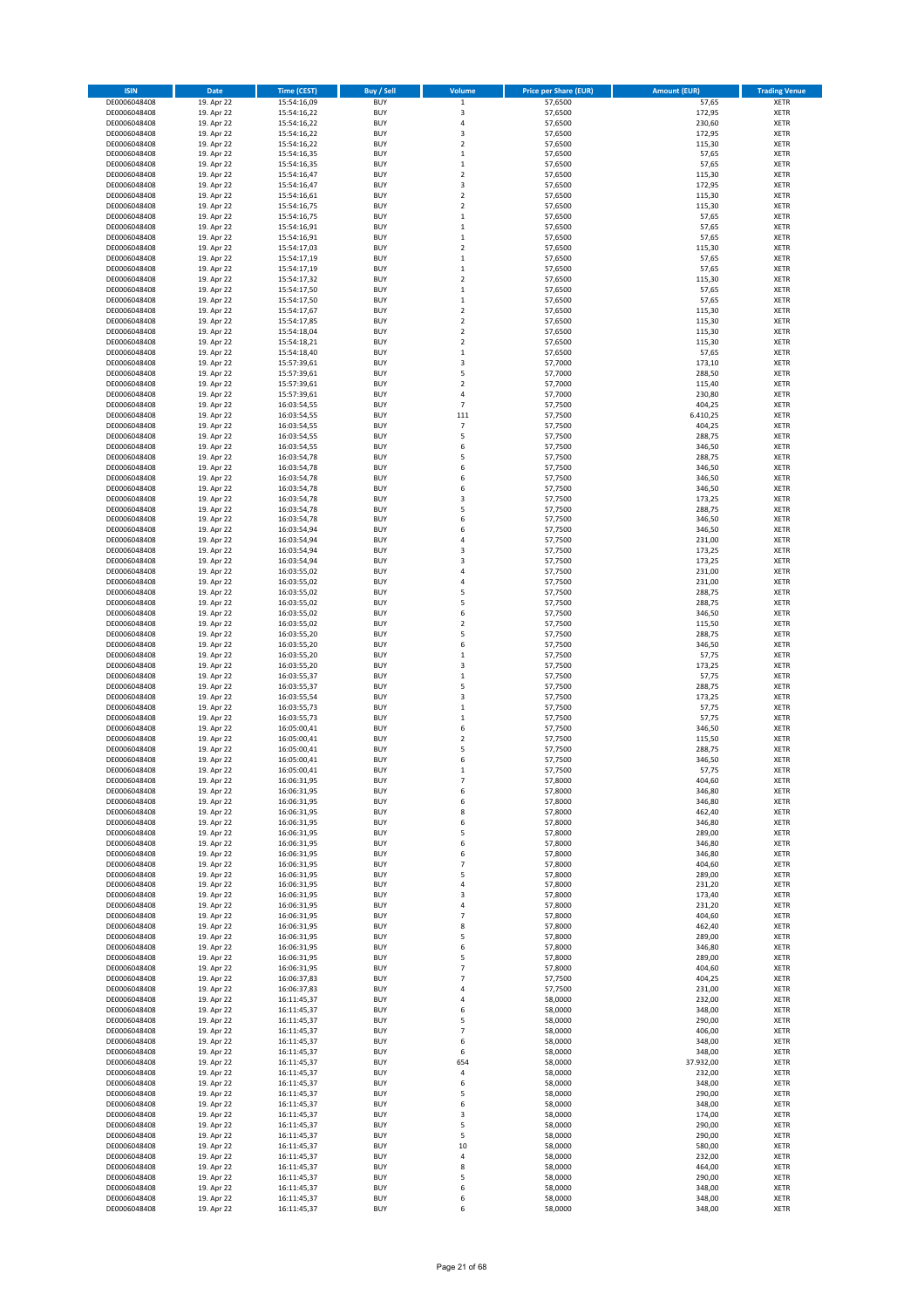| <b>ISIN</b>                  | Date                     | <b>Time (CEST)</b>         | <b>Buy / Sell</b>        | Volume                        | <b>Price per Share (EUR)</b> | <b>Amount (EUR)</b> | <b>Trading Venue</b>       |
|------------------------------|--------------------------|----------------------------|--------------------------|-------------------------------|------------------------------|---------------------|----------------------------|
| DE0006048408                 | 19. Apr 22               | 15:54:16,09                | <b>BUY</b>               | $\mathbf 1$                   | 57,6500                      | 57,65               | <b>XETR</b>                |
| DE0006048408                 | 19. Apr 22               | 15:54:16,22                | <b>BUY</b>               | 3                             | 57,6500                      | 172,95              | <b>XETR</b>                |
| DE0006048408<br>DE0006048408 | 19. Apr 22<br>19. Apr 22 | 15:54:16,22<br>15:54:16,22 | <b>BUY</b><br><b>BUY</b> | $\sqrt{4}$<br>3               | 57,6500<br>57,6500           | 230,60<br>172,95    | <b>XETR</b><br><b>XETR</b> |
| DE0006048408                 | 19. Apr 22               | 15:54:16,22                | <b>BUY</b>               | $\mathbf 2$                   | 57,6500                      | 115,30              | <b>XETR</b>                |
| DE0006048408                 | 19. Apr 22               | 15:54:16,35                | <b>BUY</b>               | $\,1\,$                       | 57,6500                      | 57,65               | <b>XETR</b>                |
| DE0006048408                 | 19. Apr 22               | 15:54:16,35                | <b>BUY</b>               | $\,1\,$                       | 57,6500                      | 57,65               | <b>XETR</b>                |
| DE0006048408                 | 19. Apr 22               | 15:54:16,47                | <b>BUY</b>               | $\overline{2}$                | 57,6500                      | 115,30              | <b>XETR</b>                |
| DE0006048408<br>DE0006048408 | 19. Apr 22<br>19. Apr 22 | 15:54:16,47                | <b>BUY</b><br><b>BUY</b> | 3<br>$\overline{2}$           | 57,6500<br>57,6500           | 172,95<br>115,30    | XETR<br><b>XETR</b>        |
| DE0006048408                 | 19. Apr 22               | 15:54:16,61<br>15:54:16,75 | <b>BUY</b>               | $\overline{2}$                | 57,6500                      | 115,30              | XETR                       |
| DE0006048408                 | 19. Apr 22               | 15:54:16,75                | <b>BUY</b>               | $\,1\,$                       | 57,6500                      | 57,65               | <b>XETR</b>                |
| DE0006048408                 | 19. Apr 22               | 15:54:16,91                | <b>BUY</b>               | $\,$ 1                        | 57,6500                      | 57,65               | XETR                       |
| DE0006048408                 | 19. Apr 22               | 15:54:16,91                | <b>BUY</b>               | $\,1\,$                       | 57,6500                      | 57,65               | <b>XETR</b>                |
| DE0006048408                 | 19. Apr 22               | 15:54:17,03                | <b>BUY</b>               | $\sqrt{2}$                    | 57,6500                      | 115,30              | <b>XETR</b>                |
| DE0006048408<br>DE0006048408 | 19. Apr 22<br>19. Apr 22 | 15:54:17,19<br>15:54:17,19 | <b>BUY</b><br><b>BUY</b> | $\mathbf 1$<br>$\,$ 1         | 57,6500<br>57,6500           | 57,65<br>57,65      | <b>XETR</b><br>XETR        |
| DE0006048408                 | 19. Apr 22               | 15:54:17,32                | <b>BUY</b>               | $\overline{2}$                | 57,6500                      | 115,30              | <b>XETR</b>                |
| DE0006048408                 | 19. Apr 22               | 15:54:17,50                | <b>BUY</b>               | $\,$ 1                        | 57,6500                      | 57,65               | XETR                       |
| DE0006048408                 | 19. Apr 22               | 15:54:17,50                | <b>BUY</b>               | $\,$ 1                        | 57,6500                      | 57,65               | XETR                       |
| DE0006048408                 | 19. Apr 22               | 15:54:17,67                | <b>BUY</b><br><b>BUY</b> | $\overline{2}$<br>$\mathbf 2$ | 57,6500                      | 115,30<br>115,30    | <b>XETR</b><br><b>XETR</b> |
| DE0006048408<br>DE0006048408 | 19. Apr 22<br>19. Apr 22 | 15:54:17,85<br>15:54:18,04 | <b>BUY</b>               | $\overline{2}$                | 57,6500<br>57,6500           | 115,30              | <b>XETR</b>                |
| DE0006048408                 | 19. Apr 22               | 15:54:18,21                | <b>BUY</b>               | $\mathbf 2$                   | 57,6500                      | 115,30              | <b>XETR</b>                |
| DE0006048408                 | 19. Apr 22               | 15:54:18,40                | <b>BUY</b>               | $\,1\,$                       | 57,6500                      | 57,65               | <b>XETR</b>                |
| DE0006048408                 | 19. Apr 22               | 15:57:39,61                | <b>BUY</b>               | 3                             | 57,7000                      | 173,10              | <b>XETR</b>                |
| DE0006048408                 | 19. Apr 22               | 15:57:39,61                | <b>BUY</b>               | 5                             | 57,7000                      | 288,50              | <b>XETR</b>                |
| DE0006048408<br>DE0006048408 | 19. Apr 22<br>19. Apr 22 | 15:57:39,61<br>15:57:39,61 | <b>BUY</b><br><b>BUY</b> | $\overline{2}$<br>$\sqrt{4}$  | 57,7000<br>57,7000           | 115,40<br>230,80    | <b>XETR</b><br><b>XETR</b> |
| DE0006048408                 | 19. Apr 22               | 16:03:54,55                | <b>BUY</b>               | $\overline{7}$                | 57,7500                      | 404,25              | <b>XETR</b>                |
| DE0006048408                 | 19. Apr 22               | 16:03:54,55                | <b>BUY</b>               | 111                           | 57,7500                      | 6.410,25            | <b>XETR</b>                |
| DE0006048408                 | 19. Apr 22               | 16:03:54,55                | <b>BUY</b>               | 7                             | 57,7500                      | 404,25              | <b>XETR</b>                |
| DE0006048408<br>DE0006048408 | 19. Apr 22               | 16:03:54,55                | <b>BUY</b><br><b>BUY</b> | 5<br>6                        | 57,7500                      | 288,75              | <b>XETR</b><br>XETR        |
| DE0006048408                 | 19. Apr 22<br>19. Apr 22 | 16:03:54,55<br>16:03:54,78 | <b>BUY</b>               | 5                             | 57,7500<br>57,7500           | 346,50<br>288,75    | <b>XETR</b>                |
| DE0006048408                 | 19. Apr 22               | 16:03:54,78                | <b>BUY</b>               | 6                             | 57,7500                      | 346,50              | XETR                       |
| DE0006048408                 | 19. Apr 22               | 16:03:54,78                | <b>BUY</b>               | 6                             | 57,7500                      | 346,50              | <b>XETR</b>                |
| DE0006048408                 | 19. Apr 22               | 16:03:54,78                | <b>BUY</b>               | 6                             | 57,7500                      | 346,50              | XETR                       |
| DE0006048408                 | 19. Apr 22               | 16:03:54,78                | <b>BUY</b>               | 3                             | 57,7500                      | 173,25              | <b>XETR</b>                |
| DE0006048408<br>DE0006048408 | 19. Apr 22<br>19. Apr 22 | 16:03:54,78                | <b>BUY</b><br><b>BUY</b> | 5<br>6                        | 57,7500<br>57,7500           | 288,75<br>346,50    | <b>XETR</b><br><b>XETR</b> |
| DE0006048408                 | 19. Apr 22               | 16:03:54,78<br>16:03:54,94 | <b>BUY</b>               | 6                             | 57,7500                      | 346,50              | XETR                       |
| DE0006048408                 | 19. Apr 22               | 16:03:54,94                | <b>BUY</b>               | 4                             | 57,7500                      | 231,00              | <b>XETR</b>                |
| DE0006048408                 | 19. Apr 22               | 16:03:54,94                | <b>BUY</b>               | 3                             | 57,7500                      | 173,25              | XETR                       |
| DE0006048408                 | 19. Apr 22               | 16:03:54,94                | <b>BUY</b>               | 3                             | 57,7500                      | 173,25              | <b>XETR</b>                |
| DE0006048408                 | 19. Apr 22               | 16:03:55,02                | <b>BUY</b>               | $\sqrt{4}$                    | 57,7500                      | 231,00              | XETR                       |
| DE0006048408<br>DE0006048408 | 19. Apr 22<br>19. Apr 22 | 16:03:55,02<br>16:03:55,02 | <b>BUY</b><br><b>BUY</b> | 4<br>5                        | 57,7500<br>57,7500           | 231,00<br>288,75    | <b>XETR</b><br><b>XETR</b> |
| DE0006048408                 | 19. Apr 22               | 16:03:55,02                | <b>BUY</b>               | 5                             | 57,7500                      | 288,75              | <b>XETR</b>                |
| DE0006048408                 | 19. Apr 22               | 16:03:55,02                | <b>BUY</b>               | 6                             | 57,7500                      | 346,50              | <b>XETR</b>                |
| DE0006048408                 | 19. Apr 22               | 16:03:55,02                | <b>BUY</b>               | $\overline{\mathbf{c}}$       | 57,7500                      | 115,50              | <b>XETR</b>                |
| DE0006048408                 | 19. Apr 22               | 16:03:55,20                | <b>BUY</b>               | 5                             | 57,7500                      | 288,75              | <b>XETR</b>                |
| DE0006048408<br>DE0006048408 | 19. Apr 22<br>19. Apr 22 | 16:03:55,20<br>16:03:55,20 | <b>BUY</b><br><b>BUY</b> | 6<br>$\,$ 1                   | 57,7500<br>57,7500           | 346,50<br>57,75     | XETR<br><b>XETR</b>        |
| DE0006048408                 | 19. Apr 22               | 16:03:55,20                | <b>BUY</b>               | 3                             | 57,7500                      | 173,25              | <b>XETR</b>                |
| DE0006048408                 | 19. Apr 22               | 16:03:55,37                | <b>BUY</b>               | $\,1\,$                       | 57,7500                      | 57,75               | <b>XETR</b>                |
| DE0006048408                 | 19. Apr 22               | 16:03:55,37                | <b>BUY</b>               | 5                             | 57,7500                      | 288,75              | <b>XETR</b>                |
| DE0006048408                 | 19. Apr 22               | 16:03:55,54                | <b>BUY</b>               | 3                             | 57,7500                      | 173,25              | <b>XETR</b>                |
| DE0006048408<br>DE0006048408 | 19. Apr 22<br>19. Apr 22 | 16:03:55,73<br>16:03:55,73 | <b>BUY</b><br><b>BUY</b> | $\mathbf 1$<br>$\mathbf 1$    | 57,7500<br>57,7500           | 57,75<br>57,75      | <b>XETR</b><br><b>XETR</b> |
| DE0006048408                 | 19. Apr 22               | 16:05:00,41                | <b>BUY</b>               | 6                             | 57,7500                      | 346,50              | XETR                       |
| DE0006048408                 | 19. Apr 22               | 16:05:00,41                | <b>BUY</b>               | $\overline{2}$                | 57,7500                      | 115,50              | <b>XETR</b>                |
| DE0006048408                 | 19. Apr 22               | 16:05:00,41                | <b>BUY</b>               | 5                             | 57,7500                      | 288,75              | XETR                       |
| DE0006048408                 | 19. Apr 22               | 16:05:00,41                | <b>BUY</b>               | 6                             | 57,7500                      | 346,50              | <b>XETR</b>                |
| DE0006048408<br>DE0006048408 | 19. Apr 22<br>19. Apr 22 | 16:05:00,41<br>16:06:31,95 | <b>BUY</b><br><b>BUY</b> | $\,$ 1                        | 57,7500<br>57,8000           | 57,75<br>404,60     | <b>XETR</b><br>XETR        |
| DE0006048408                 | 19. Apr 22               | 16:06:31,95                | <b>BUY</b>               | 6                             | 57,8000                      | 346,80              | XETR                       |
| DE0006048408                 | 19. Apr 22               | 16:06:31,95                | <b>BUY</b>               | 6                             | 57,8000                      | 346,80              | XETR                       |
| DE0006048408                 | 19. Apr 22               | 16:06:31,95                | <b>BUY</b>               | 8                             | 57,8000                      | 462,40              | XETR                       |
| DE0006048408                 | 19. Apr 22               | 16:06:31,95                | <b>BUY</b>               | 6                             | 57,8000                      | 346,80              | XETR                       |
| DE0006048408<br>DE0006048408 | 19. Apr 22<br>19. Apr 22 | 16:06:31,95<br>16:06:31,95 | <b>BUY</b><br><b>BUY</b> | 5<br>6                        | 57,8000<br>57,8000           | 289,00<br>346,80    | XETR<br><b>XETR</b>        |
| DE0006048408                 | 19. Apr 22               | 16:06:31,95                | <b>BUY</b>               | 6                             | 57,8000                      | 346,80              | XETR                       |
| DE0006048408                 | 19. Apr 22               | 16:06:31,95                | <b>BUY</b>               | $\overline{7}$                | 57,8000                      | 404,60              | <b>XETR</b>                |
| DE0006048408                 | 19. Apr 22               | 16:06:31,95                | <b>BUY</b>               | 5                             | 57,8000                      | 289,00              | XETR                       |
| DE0006048408<br>DE0006048408 | 19. Apr 22<br>19. Apr 22 | 16:06:31,95<br>16:06:31,95 | <b>BUY</b><br><b>BUY</b> | 4<br>3                        | 57,8000<br>57,8000           | 231,20<br>173,40    | <b>XETR</b><br><b>XETR</b> |
| DE0006048408                 | 19. Apr 22               | 16:06:31,95                | <b>BUY</b>               | 4                             | 57,8000                      | 231,20              | <b>XETR</b>                |
| DE0006048408                 | 19. Apr 22               | 16:06:31,95                | <b>BUY</b>               | $\overline{7}$                | 57,8000                      | 404,60              | XETR                       |
| DE0006048408                 | 19. Apr 22               | 16:06:31,95                | <b>BUY</b>               | 8                             | 57,8000                      | 462,40              | <b>XETR</b>                |
| DE0006048408                 | 19. Apr 22               | 16:06:31,95                | <b>BUY</b>               | 5                             | 57,8000                      | 289,00              | <b>XETR</b>                |
| DE0006048408<br>DE0006048408 | 19. Apr 22<br>19. Apr 22 | 16:06:31,95<br>16:06:31,95 | <b>BUY</b><br><b>BUY</b> | 6<br>5                        | 57,8000<br>57,8000           | 346,80<br>289,00    | <b>XETR</b><br><b>XETR</b> |
| DE0006048408                 | 19. Apr 22               | 16:06:31,95                | <b>BUY</b>               | $\overline{\phantom{a}}$      | 57,8000                      | 404,60              | <b>XETR</b>                |
| DE0006048408                 | 19. Apr 22               | 16:06:37,83                | <b>BUY</b>               | $\overline{\phantom{a}}$      | 57,7500                      | 404,25              | <b>XETR</b>                |
| DE0006048408                 | 19. Apr 22               | 16:06:37,83                | <b>BUY</b>               | 4                             | 57,7500                      | 231,00              | <b>XETR</b>                |
| DE0006048408                 | 19. Apr 22               | 16:11:45,37                | <b>BUY</b>               | 4                             | 58,0000                      | 232,00              | XETR                       |
| DE0006048408<br>DE0006048408 | 19. Apr 22<br>19. Apr 22 | 16:11:45,37<br>16:11:45,37 | <b>BUY</b><br><b>BUY</b> | 6<br>5                        | 58,0000<br>58,0000           | 348,00<br>290,00    | XETR<br>XETR               |
| DE0006048408                 | 19. Apr 22               | 16:11:45,37                | <b>BUY</b>               | $\overline{\phantom{a}}$      | 58,0000                      | 406,00              | XETR                       |
| DE0006048408                 | 19. Apr 22               | 16:11:45,37                | <b>BUY</b>               | 6                             | 58,0000                      | 348,00              | <b>XETR</b>                |
| DE0006048408                 | 19. Apr 22               | 16:11:45,37                | <b>BUY</b>               | 6                             | 58,0000                      | 348,00              | XETR                       |
| DE0006048408                 | 19. Apr 22               | 16:11:45,37                | <b>BUY</b>               | 654                           | 58,0000                      | 37.932,00           | XETR                       |
| DE0006048408                 | 19. Apr 22               | 16:11:45,37                | <b>BUY</b><br><b>BUY</b> | 4                             | 58,0000                      | 232,00              | XETR                       |
| DE0006048408<br>DE0006048408 | 19. Apr 22<br>19. Apr 22 | 16:11:45,37<br>16:11:45,37 | <b>BUY</b>               | 6<br>5                        | 58,0000<br>58,0000           | 348,00<br>290,00    | XETR<br>XETR               |
| DE0006048408                 | 19. Apr 22               | 16:11:45,37                | <b>BUY</b>               | 6                             | 58,0000                      | 348,00              | XETR                       |
| DE0006048408                 | 19. Apr 22               | 16:11:45,37                | <b>BUY</b>               | 3                             | 58,0000                      | 174,00              | XETR                       |
| DE0006048408                 | 19. Apr 22               | 16:11:45,37                | <b>BUY</b>               | 5                             | 58,0000                      | 290,00              | <b>XETR</b>                |
| DE0006048408<br>DE0006048408 | 19. Apr 22<br>19. Apr 22 | 16:11:45,37<br>16:11:45,37 | <b>BUY</b><br><b>BUY</b> | 5<br>10                       | 58,0000<br>58,0000           | 290,00<br>580,00    | <b>XETR</b><br><b>XETR</b> |
| DE0006048408                 | 19. Apr 22               | 16:11:45,37                | <b>BUY</b>               | 4                             | 58,0000                      | 232,00              | <b>XETR</b>                |
| DE0006048408                 | 19. Apr 22               | 16:11:45,37                | <b>BUY</b>               | 8                             | 58,0000                      | 464,00              | <b>XETR</b>                |
| DE0006048408                 | 19. Apr 22               | 16:11:45,37                | <b>BUY</b>               | 5                             | 58,0000                      | 290,00              | <b>XETR</b>                |
| DE0006048408                 | 19. Apr 22               | 16:11:45,37                | <b>BUY</b>               | 6                             | 58,0000                      | 348,00              | <b>XETR</b>                |
| DE0006048408<br>DE0006048408 | 19. Apr 22<br>19. Apr 22 | 16:11:45,37<br>16:11:45,37 | <b>BUY</b><br><b>BUY</b> | 6<br>6                        | 58,0000<br>58,0000           | 348,00<br>348,00    | <b>XETR</b><br>XETR        |
|                              |                          |                            |                          |                               |                              |                     |                            |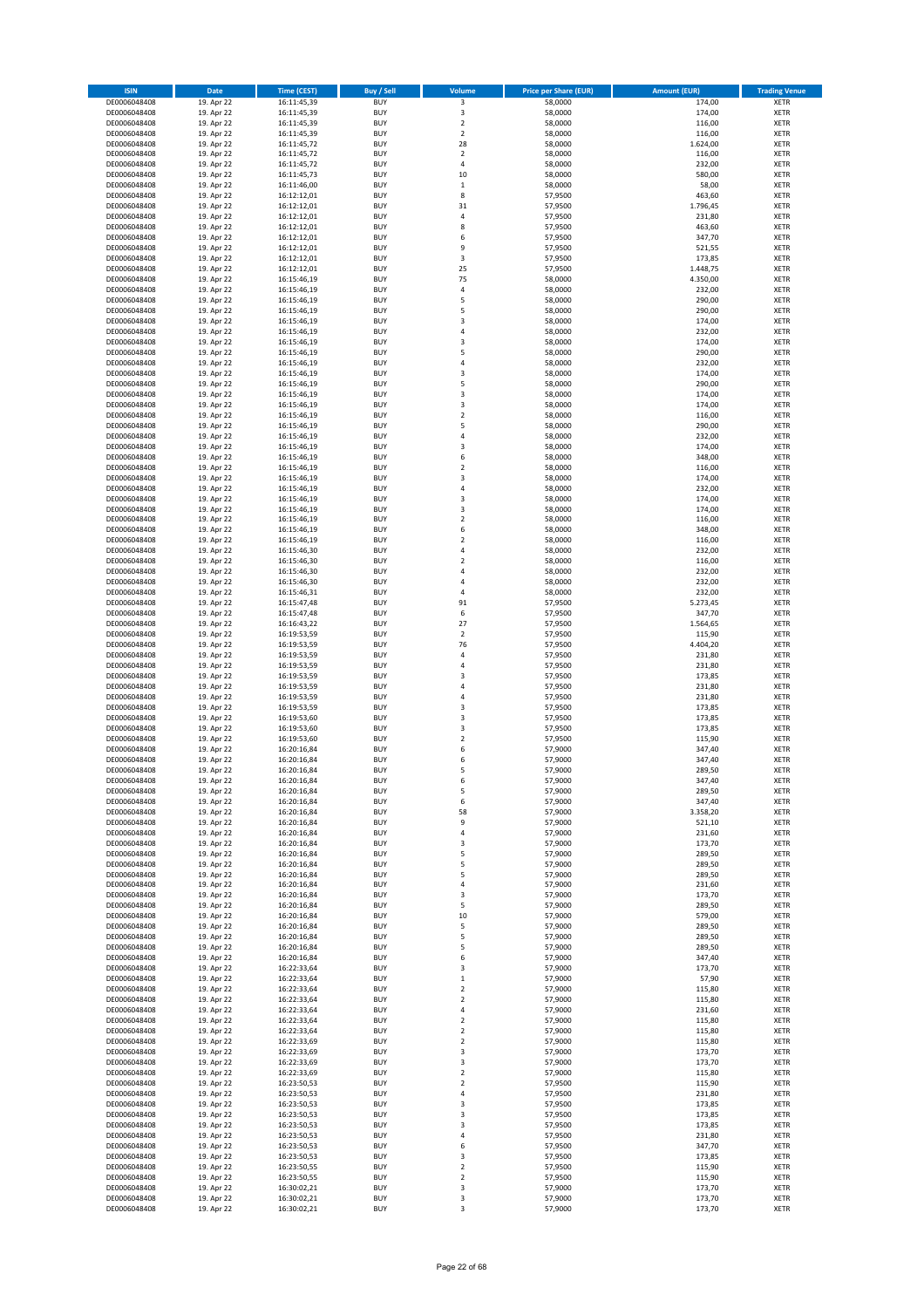| <b>ISIN</b>                  | Date                     | <b>Time (CEST)</b>         | <b>Buy / Sell</b>        | Volume                                    | <b>Price per Share (EUR)</b> | <b>Amount (EUR)</b> | <b>Trading Venue</b>       |
|------------------------------|--------------------------|----------------------------|--------------------------|-------------------------------------------|------------------------------|---------------------|----------------------------|
| DE0006048408                 | 19. Apr 22               | 16:11:45,39                | <b>BUY</b>               | 3                                         | 58,0000                      | 174,00              | <b>XETR</b>                |
| DE0006048408                 | 19. Apr 22               | 16:11:45,39                | <b>BUY</b>               | $\mathsf 3$                               | 58,0000                      | 174,00              | <b>XETR</b>                |
| DE0006048408<br>DE0006048408 | 19. Apr 22<br>19. Apr 22 | 16:11:45,39<br>16:11:45,39 | <b>BUY</b><br><b>BUY</b> | $\mathbf 2$<br>$\mathbf 2$                | 58,0000<br>58,0000           | 116,00<br>116,00    | <b>XETR</b><br><b>XETR</b> |
| DE0006048408                 | 19. Apr 22               | 16:11:45,72                | <b>BUY</b>               | 28                                        | 58,0000                      | 1.624,00            | <b>XETR</b>                |
| DE0006048408                 | 19. Apr 22               | 16:11:45,72                | <b>BUY</b>               | $\overline{2}$                            | 58,0000                      | 116,00              | <b>XETR</b>                |
| DE0006048408                 | 19. Apr 22               | 16:11:45,72                | <b>BUY</b>               | $\sqrt{4}$                                | 58,0000                      | 232,00              | <b>XETR</b>                |
| DE0006048408                 | 19. Apr 22               | 16:11:45,73                | <b>BUY</b>               | 10                                        | 58,0000                      | 580,00              | <b>XETR</b>                |
| DE0006048408<br>DE0006048408 | 19. Apr 22<br>19. Apr 22 | 16:11:46,00                | <b>BUY</b><br><b>BUY</b> | $\,$ 1<br>8                               | 58,0000<br>57,9500           | 58,00<br>463,60     | XETR<br><b>XETR</b>        |
| DE0006048408                 | 19. Apr 22               | 16:12:12,01<br>16:12:12,01 | <b>BUY</b>               | 31                                        | 57,9500                      | 1.796,45            | XETR                       |
| DE0006048408                 | 19. Apr 22               | 16:12:12,01                | <b>BUY</b>               | $\sqrt{4}$                                | 57,9500                      | 231,80              | <b>XETR</b>                |
| DE0006048408                 | 19. Apr 22               | 16:12:12,01                | <b>BUY</b>               | 8                                         | 57,9500                      | 463,60              | XETR                       |
| DE0006048408                 | 19. Apr 22               | 16:12:12,01                | <b>BUY</b>               | 6                                         | 57,9500                      | 347,70              | <b>XETR</b>                |
| DE0006048408                 | 19. Apr 22               | 16:12:12,01                | <b>BUY</b>               | 9                                         | 57,9500                      | 521,55              | <b>XETR</b>                |
| DE0006048408<br>DE0006048408 | 19. Apr 22               | 16:12:12,01<br>16:12:12,01 | <b>BUY</b><br><b>BUY</b> | 3<br>25                                   | 57,9500<br>57,9500           | 173,85<br>1.448,75  | <b>XETR</b><br>XETR        |
| DE0006048408                 | 19. Apr 22<br>19. Apr 22 | 16:15:46,19                | <b>BUY</b>               | 75                                        | 58,0000                      | 4.350,00            | <b>XETR</b>                |
| DE0006048408                 | 19. Apr 22               | 16:15:46,19                | <b>BUY</b>               | $\sqrt{4}$                                | 58,0000                      | 232,00              | XETR                       |
| DE0006048408                 | 19. Apr 22               | 16:15:46,19                | <b>BUY</b>               | 5                                         | 58,0000                      | 290,00              | XETR                       |
| DE0006048408                 | 19. Apr 22               | 16:15:46,19                | <b>BUY</b>               | 5                                         | 58,0000                      | 290,00              | <b>XETR</b>                |
| DE0006048408                 | 19. Apr 22               | 16:15:46,19                | <b>BUY</b>               | 3                                         | 58,0000                      | 174,00              | <b>XETR</b>                |
| DE0006048408                 | 19. Apr 22<br>19. Apr 22 | 16:15:46,19                | <b>BUY</b><br><b>BUY</b> | $\overline{4}$<br>$\overline{\mathbf{3}}$ | 58,0000<br>58,0000           | 232,00<br>174,00    | <b>XETR</b><br><b>XETR</b> |
| DE0006048408<br>DE0006048408 | 19. Apr 22               | 16:15:46,19<br>16:15:46,19 | <b>BUY</b>               | 5                                         | 58,0000                      | 290,00              | <b>XETR</b>                |
| DE0006048408                 | 19. Apr 22               | 16:15:46,19                | <b>BUY</b>               | 4                                         | 58,0000                      | 232,00              | <b>XETR</b>                |
| DE0006048408                 | 19. Apr 22               | 16:15:46,19                | <b>BUY</b>               | 3                                         | 58,0000                      | 174,00              | <b>XETR</b>                |
| DE0006048408                 | 19. Apr 22               | 16:15:46,19                | <b>BUY</b>               | 5                                         | 58,0000                      | 290,00              | <b>XETR</b>                |
| DE0006048408                 | 19. Apr 22               | 16:15:46,19                | <b>BUY</b>               | 3                                         | 58,0000                      | 174,00              | <b>XETR</b>                |
| DE0006048408                 | 19. Apr 22               | 16:15:46,19                | <b>BUY</b>               | 3                                         | 58,0000                      | 174,00              | <b>XETR</b>                |
| DE0006048408<br>DE0006048408 | 19. Apr 22<br>19. Apr 22 | 16:15:46,19<br>16:15:46,19 | <b>BUY</b><br><b>BUY</b> | $\overline{2}$<br>5                       | 58,0000<br>58,0000           | 116,00<br>290,00    | <b>XETR</b><br><b>XETR</b> |
| DE0006048408                 | 19. Apr 22               | 16:15:46,19                | <b>BUY</b>               | $\overline{4}$                            | 58,0000                      | 232,00              | <b>XETR</b>                |
| DE0006048408                 | 19. Apr 22               | 16:15:46,19                | <b>BUY</b>               | 3                                         | 58,0000                      | 174,00              | XETR                       |
| DE0006048408                 | 19. Apr 22               | 16:15:46,19                | <b>BUY</b>               | 6                                         | 58,0000                      | 348,00              | <b>XETR</b>                |
| DE0006048408                 | 19. Apr 22               | 16:15:46,19                | <b>BUY</b>               | $\overline{2}$                            | 58,0000                      | 116,00              | XETR                       |
| DE0006048408                 | 19. Apr 22               | 16:15:46,19                | <b>BUY</b><br><b>BUY</b> | 3<br>$\sqrt{4}$                           | 58,0000                      | 174,00<br>232,00    | <b>XETR</b>                |
| DE0006048408<br>DE0006048408 | 19. Apr 22<br>19. Apr 22 | 16:15:46,19<br>16:15:46,19 | <b>BUY</b>               | 3                                         | 58,0000<br>58,0000           | 174,00              | XETR<br><b>XETR</b>        |
| DE0006048408                 | 19. Apr 22               | 16:15:46,19                | <b>BUY</b>               | $\overline{\mathbf{3}}$                   | 58,0000                      | 174,00              | <b>XETR</b>                |
| DE0006048408                 | 19. Apr 22               | 16:15:46,19                | <b>BUY</b>               | $\overline{2}$                            | 58,0000                      | 116,00              | <b>XETR</b>                |
| DE0006048408                 | 19. Apr 22               | 16:15:46,19                | <b>BUY</b>               | 6                                         | 58,0000                      | 348,00              | XETR                       |
| DE0006048408                 | 19. Apr 22               | 16:15:46,19                | <b>BUY</b>               | $\overline{2}$                            | 58,0000                      | 116,00              | <b>XETR</b>                |
| DE0006048408                 | 19. Apr 22               | 16:15:46,30                | <b>BUY</b><br><b>BUY</b> | $\sqrt{4}$<br>$\overline{2}$              | 58,0000                      | 232,00              | <b>XETR</b><br><b>XETR</b> |
| DE0006048408<br>DE0006048408 | 19. Apr 22<br>19. Apr 22 | 16:15:46,30<br>16:15:46,30 | <b>BUY</b>               | $\sqrt{4}$                                | 58,0000<br>58,0000           | 116,00<br>232,00    | XETR                       |
| DE0006048408                 | 19. Apr 22               | 16:15:46,30                | <b>BUY</b>               | 4                                         | 58,0000                      | 232,00              | <b>XETR</b>                |
| DE0006048408                 | 19. Apr 22               | 16:15:46,31                | <b>BUY</b>               | $\overline{4}$                            | 58,0000                      | 232,00              | <b>XETR</b>                |
| DE0006048408                 | 19. Apr 22               | 16:15:47,48                | <b>BUY</b>               | 91                                        | 57,9500                      | 5.273,45            | <b>XETR</b>                |
| DE0006048408                 | 19. Apr 22               | 16:15:47,48                | <b>BUY</b>               | 6                                         | 57,9500                      | 347,70              | <b>XETR</b>                |
| DE0006048408<br>DE0006048408 | 19. Apr 22               | 16:16:43,22                | <b>BUY</b><br><b>BUY</b> | 27<br>$\mathbf 2$                         | 57,9500<br>57,9500           | 1.564,65<br>115,90  | <b>XETR</b><br><b>XETR</b> |
| DE0006048408                 | 19. Apr 22<br>19. Apr 22 | 16:19:53,59<br>16:19:53,59 | <b>BUY</b>               | 76                                        | 57,9500                      | 4.404,20            | <b>XETR</b>                |
| DE0006048408                 | 19. Apr 22               | 16:19:53,59                | <b>BUY</b>               | $\sqrt{4}$                                | 57,9500                      | 231,80              | <b>XETR</b>                |
| DE0006048408                 | 19. Apr 22               | 16:19:53,59                | <b>BUY</b>               | 4                                         | 57,9500                      | 231,80              | <b>XETR</b>                |
| DE0006048408                 | 19. Apr 22               | 16:19:53,59                | <b>BUY</b>               | 3                                         | 57,9500                      | 173,85              | <b>XETR</b>                |
| DE0006048408                 | 19. Apr 22               | 16:19:53,59                | <b>BUY</b>               | 4                                         | 57,9500                      | 231,80              | <b>XETR</b>                |
| DE0006048408<br>DE0006048408 | 19. Apr 22<br>19. Apr 22 | 16:19:53,59<br>16:19:53,59 | <b>BUY</b><br><b>BUY</b> | $\overline{4}$<br>3                       | 57,9500<br>57,9500           | 231,80<br>173,85    | <b>XETR</b><br><b>XETR</b> |
| DE0006048408                 | 19. Apr 22               | 16:19:53,60                | <b>BUY</b>               | 3                                         | 57,9500                      | 173,85              | <b>XETR</b>                |
| DE0006048408                 | 19. Apr 22               | 16:19:53,60                | <b>BUY</b>               | $\overline{\mathbf{3}}$                   | 57,9500                      | 173,85              | XETR                       |
| DE0006048408                 | 19. Apr 22               | 16:19:53,60                | <b>BUY</b>               | $\overline{2}$                            | 57,9500                      | 115,90              | <b>XETR</b>                |
| DE0006048408                 | 19. Apr 22               | 16:20:16,84                | <b>BUY</b>               | 6                                         | 57,9000                      | 347,40              | <b>XETR</b>                |
| DE0006048408<br>DE0006048408 | 19. Apr 22               | 16:20:16,84                | <b>BUY</b>               | 6                                         | 57,9000                      | 347,40              | <b>XETR</b>                |
| DE0006048408                 | 19. Apr 22<br>19. Apr 22 | 16:20:16,84<br>16:20:16,84 | <b>BUY</b><br><b>BUY</b> | 5<br>6                                    | 57,9000<br>57,9000           | 289,50<br>347,40    | <b>XETR</b><br>XETR        |
| DE0006048408                 | 19. Apr 22               | 16:20:16,84                | <b>BUY</b>               | 5                                         | 57,9000                      | 289,50              | XETR                       |
| DE0006048408                 | 19. Apr 22               | 16:20:16,84                | <b>BUY</b>               | 6                                         | 57,9000                      | 347,40              | XETR                       |
| DE0006048408                 | 19. Apr 22               | 16:20:16,84                | <b>BUY</b>               | 58                                        | 57,9000                      | 3.358,20            | <b>XETR</b>                |
| DE0006048408                 | 19. Apr 22               | 16:20:16,84                | <b>BUY</b>               | 9                                         | 57,9000                      | 521,10              | <b>XETR</b>                |
| DE0006048408                 | 19. Apr 22               | 16:20:16,84                | <b>BUY</b>               | $\sqrt{4}$                                | 57,9000                      | 231,60              | XETR                       |
| DE0006048408<br>DE0006048408 | 19. Apr 22<br>19. Apr 22 | 16:20:16,84<br>16:20:16,84 | <b>BUY</b><br><b>BUY</b> | 3<br>5                                    | 57,9000<br>57,9000           | 173,70<br>289,50    | <b>XETR</b><br>XETR        |
| DE0006048408                 | 19. Apr 22               | 16:20:16,84                | <b>BUY</b>               | 5                                         | 57,9000                      | 289,50              | <b>XETR</b>                |
| DE0006048408                 | 19. Apr 22               | 16:20:16,84                | <b>BUY</b>               | 5                                         | 57,9000                      | 289,50              | XETR                       |
| DE0006048408                 | 19. Apr 22               | 16:20:16,84                | <b>BUY</b>               | 4                                         | 57,9000                      | 231,60              | <b>XETR</b>                |
| DE0006048408                 | 19. Apr 22               | 16:20:16,84                | <b>BUY</b>               | 3                                         | 57,9000                      | 173,70              | <b>XETR</b>                |
| DE0006048408<br>DE0006048408 | 19. Apr 22<br>19. Apr 22 | 16:20:16,84<br>16:20:16,84 | <b>BUY</b><br><b>BUY</b> | 5<br>10                                   | 57,9000<br>57,9000           | 289,50<br>579,00    | <b>XETR</b><br>XETR        |
| DE0006048408                 | 19. Apr 22               | 16:20:16,84                | <b>BUY</b>               | 5                                         | 57,9000                      | 289,50              | <b>XETR</b>                |
| DE0006048408                 | 19. Apr 22               | 16:20:16,84                | <b>BUY</b>               | 5                                         | 57,9000                      | 289,50              | <b>XETR</b>                |
| DE0006048408                 | 19. Apr 22               | 16:20:16,84                | <b>BUY</b>               | 5                                         | 57,9000                      | 289,50              | <b>XETR</b>                |
| DE0006048408                 | 19. Apr 22               | 16:20:16,84                | <b>BUY</b>               | 6                                         | 57,9000                      | 347,40              | <b>XETR</b>                |
| DE0006048408                 | 19. Apr 22               | 16:22:33,64                | <b>BUY</b>               | 3                                         | 57,9000                      | 173,70              | <b>XETR</b>                |
| DE0006048408<br>DE0006048408 | 19. Apr 22<br>19. Apr 22 | 16:22:33,64<br>16:22:33,64 | <b>BUY</b><br><b>BUY</b> | $\,$ 1<br>$\overline{2}$                  | 57,9000<br>57,9000           | 57,90<br>115,80     | <b>XETR</b><br><b>XETR</b> |
| DE0006048408                 | 19. Apr 22               | 16:22:33,64                | <b>BUY</b>               | $\mathbf 2$                               | 57,9000                      | 115,80              | <b>XETR</b>                |
| DE0006048408                 | 19. Apr 22               | 16:22:33,64                | <b>BUY</b>               | 4                                         | 57,9000                      | 231,60              | XETR                       |
| DE0006048408                 | 19. Apr 22               | 16:22:33,64                | <b>BUY</b>               | $\sqrt{2}$                                | 57,9000                      | 115,80              | XETR                       |
| DE0006048408                 | 19. Apr 22               | 16:22:33,64                | <b>BUY</b>               | $\sqrt{2}$                                | 57,9000                      | 115,80              | <b>XETR</b>                |
| DE0006048408                 | 19. Apr 22               | 16:22:33,69                | <b>BUY</b>               | $\overline{2}$                            | 57,9000                      | 115,80              | <b>XETR</b>                |
| DE0006048408<br>DE0006048408 | 19. Apr 22<br>19. Apr 22 | 16:22:33,69<br>16:22:33,69 | <b>BUY</b><br><b>BUY</b> | 3<br>3                                    | 57,9000<br>57,9000           | 173,70<br>173,70    | XETR<br>XETR               |
| DE0006048408                 | 19. Apr 22               | 16:22:33,69                | <b>BUY</b>               | $\sqrt{2}$                                | 57,9000                      | 115,80              | XETR                       |
| DE0006048408                 | 19. Apr 22               | 16:23:50,53                | <b>BUY</b>               | $\mathbf 2$                               | 57,9500                      | 115,90              | <b>XETR</b>                |
| DE0006048408                 | 19. Apr 22               | 16:23:50,53                | <b>BUY</b>               | 4                                         | 57,9500                      | 231,80              | XETR                       |
| DE0006048408                 | 19. Apr 22               | 16:23:50,53                | <b>BUY</b>               | 3                                         | 57,9500                      | 173,85              | XETR                       |
| DE0006048408                 | 19. Apr 22               | 16:23:50,53                | <b>BUY</b>               | 3                                         | 57,9500                      | 173,85              | XETR                       |
| DE0006048408<br>DE0006048408 | 19. Apr 22<br>19. Apr 22 | 16:23:50,53<br>16:23:50,53 | <b>BUY</b><br><b>BUY</b> | 3<br>4                                    | 57,9500<br>57,9500           | 173,85<br>231,80    | <b>XETR</b><br><b>XETR</b> |
| DE0006048408                 | 19. Apr 22               | 16:23:50,53                | <b>BUY</b>               | 6                                         | 57,9500                      | 347,70              | <b>XETR</b>                |
| DE0006048408                 | 19. Apr 22               | 16:23:50,53                | <b>BUY</b>               | 3                                         | 57,9500                      | 173,85              | <b>XETR</b>                |
| DE0006048408                 | 19. Apr 22               | 16:23:50,55                | <b>BUY</b>               | $\overline{2}$                            | 57,9500                      | 115,90              | <b>XETR</b>                |
| DE0006048408                 | 19. Apr 22               | 16:23:50,55                | <b>BUY</b>               | $\mathbf 2$                               | 57,9500                      | 115,90              | <b>XETR</b>                |
| DE0006048408                 | 19. Apr 22               | 16:30:02,21                | <b>BUY</b>               | 3                                         | 57,9000                      | 173,70              | <b>XETR</b>                |
| DE0006048408<br>DE0006048408 | 19. Apr 22<br>19. Apr 22 | 16:30:02,21<br>16:30:02,21 | <b>BUY</b><br><b>BUY</b> | 3<br>3                                    | 57,9000<br>57,9000           | 173,70<br>173,70    | <b>XETR</b><br><b>XETR</b> |
|                              |                          |                            |                          |                                           |                              |                     |                            |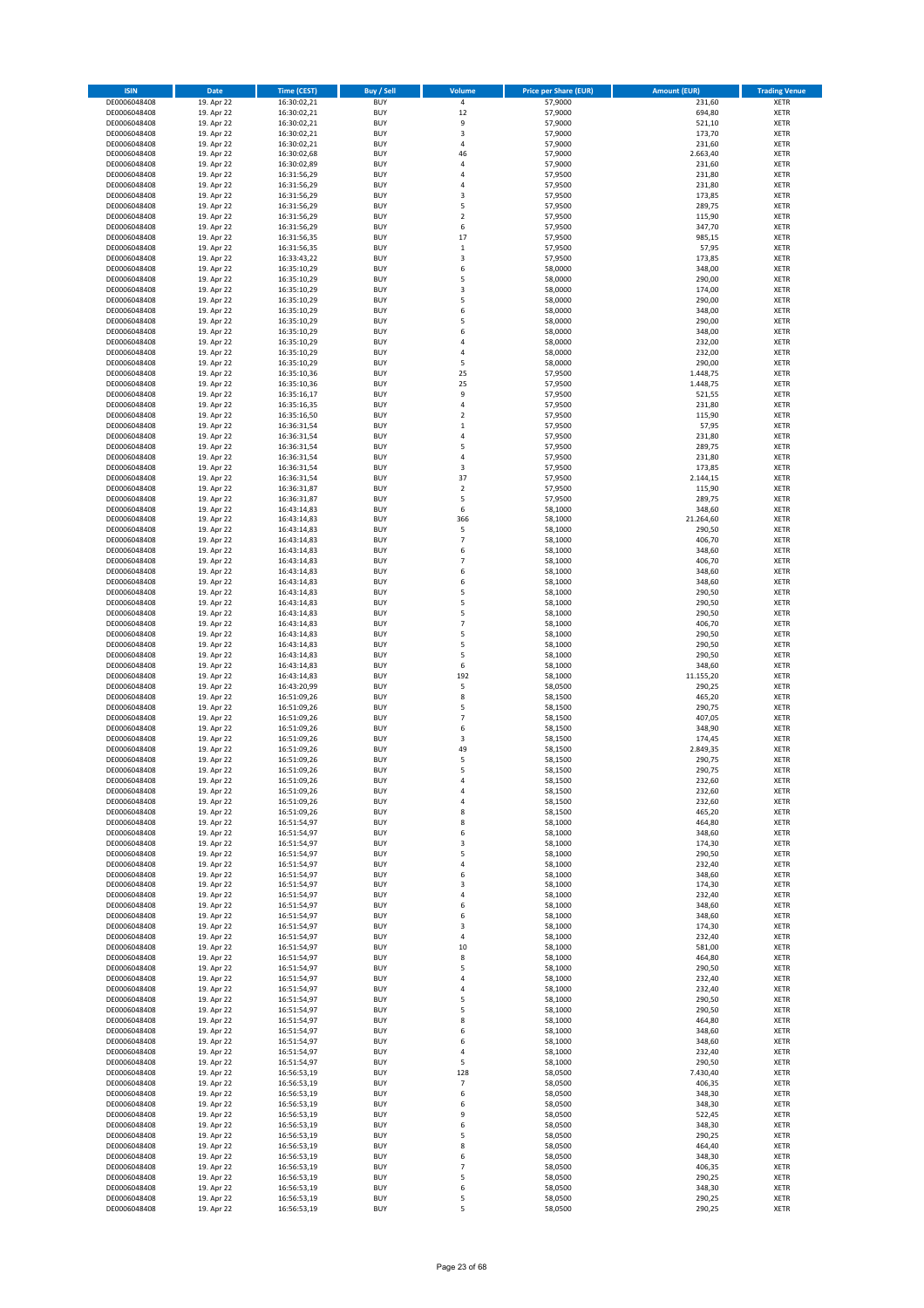| <b>ISIN</b>                  | Date                     | <b>Time (CEST)</b>         | <b>Buy / Sell</b>        | Volume                       | <b>Price per Share (EUR)</b> | <b>Amount (EUR)</b> | <b>Trading Venue</b>       |
|------------------------------|--------------------------|----------------------------|--------------------------|------------------------------|------------------------------|---------------------|----------------------------|
| DE0006048408                 | 19. Apr 22               | 16:30:02,21                | <b>BUY</b>               | $\overline{a}$               | 57,9000                      | 231,60              | <b>XETR</b>                |
| DE0006048408                 | 19. Apr 22               | 16:30:02,21                | <b>BUY</b>               | 12                           | 57,9000                      | 694,80              | <b>XETR</b>                |
| DE0006048408<br>DE0006048408 | 19. Apr 22<br>19. Apr 22 | 16:30:02,21<br>16:30:02,21 | <b>BUY</b><br><b>BUY</b> | 9<br>$\overline{\mathbf{3}}$ | 57,9000<br>57,9000           | 521,10<br>173,70    | <b>XETR</b><br><b>XETR</b> |
| DE0006048408                 | 19. Apr 22               | 16:30:02,21                | <b>BUY</b>               | 4                            | 57,9000                      | 231,60              | <b>XETR</b>                |
| DE0006048408                 | 19. Apr 22               | 16:30:02,68                | <b>BUY</b>               | 46                           | 57,9000                      | 2.663,40            | <b>XETR</b>                |
| DE0006048408                 | 19. Apr 22               | 16:30:02,89                | <b>BUY</b>               | $\sqrt{4}$                   | 57,9000                      | 231,60              | <b>XETR</b>                |
| DE0006048408                 | 19. Apr 22               | 16:31:56,29                | <b>BUY</b>               | $\sqrt{4}$                   | 57,9500                      | 231,80              | <b>XETR</b>                |
| DE0006048408                 | 19. Apr 22               | 16:31:56,29                | <b>BUY</b><br><b>BUY</b> | $\sqrt{4}$<br>3              | 57,9500                      | 231,80              | XETR<br><b>XETR</b>        |
| DE0006048408<br>DE0006048408 | 19. Apr 22<br>19. Apr 22 | 16:31:56,29<br>16:31:56,29 | <b>BUY</b>               | 5                            | 57,9500<br>57,9500           | 173,85<br>289,75    | XETR                       |
| DE0006048408                 | 19. Apr 22               | 16:31:56,29                | <b>BUY</b>               | $\overline{2}$               | 57,9500                      | 115,90              | <b>XETR</b>                |
| DE0006048408                 | 19. Apr 22               | 16:31:56,29                | <b>BUY</b>               | 6                            | 57,9500                      | 347,70              | XETR                       |
| DE0006048408                 | 19. Apr 22               | 16:31:56,35                | <b>BUY</b>               | 17                           | 57,9500                      | 985,15              | <b>XETR</b>                |
| DE0006048408                 | 19. Apr 22               | 16:31:56,35                | <b>BUY</b>               | $\,$ 1                       | 57,9500                      | 57,95               | <b>XETR</b>                |
| DE0006048408<br>DE0006048408 | 19. Apr 22<br>19. Apr 22 | 16:33:43,22<br>16:35:10,29 | <b>BUY</b><br><b>BUY</b> | 3<br>6                       | 57,9500<br>58,0000           | 173,85<br>348,00    | <b>XETR</b><br>XETR        |
| DE0006048408                 | 19. Apr 22               | 16:35:10,29                | <b>BUY</b>               | 5                            | 58,0000                      | 290,00              | <b>XETR</b>                |
| DE0006048408                 | 19. Apr 22               | 16:35:10,29                | <b>BUY</b>               | 3                            | 58,0000                      | 174,00              | XETR                       |
| DE0006048408                 | 19. Apr 22               | 16:35:10,29                | <b>BUY</b>               | 5                            | 58,0000                      | 290,00              | <b>XETR</b>                |
| DE0006048408                 | 19. Apr 22               | 16:35:10,29                | <b>BUY</b>               | 6                            | 58,0000                      | 348,00              | <b>XETR</b>                |
| DE0006048408<br>DE0006048408 | 19. Apr 22<br>19. Apr 22 | 16:35:10,29<br>16:35:10,29 | <b>BUY</b><br><b>BUY</b> | 5<br>6                       | 58,0000<br>58,0000           | 290,00<br>348,00    | <b>XETR</b><br><b>XETR</b> |
| DE0006048408                 | 19. Apr 22               | 16:35:10,29                | <b>BUY</b>               | 4                            | 58,0000                      | 232,00              | <b>XETR</b>                |
| DE0006048408                 | 19. Apr 22               | 16:35:10,29                | <b>BUY</b>               | $\overline{4}$               | 58,0000                      | 232,00              | <b>XETR</b>                |
| DE0006048408                 | 19. Apr 22               | 16:35:10,29                | <b>BUY</b>               | 5                            | 58,0000                      | 290,00              | <b>XETR</b>                |
| DE0006048408                 | 19. Apr 22               | 16:35:10,36                | <b>BUY</b>               | 25                           | 57,9500                      | 1.448,75            | <b>XETR</b>                |
| DE0006048408<br>DE0006048408 | 19. Apr 22<br>19. Apr 22 | 16:35:10,36                | <b>BUY</b><br><b>BUY</b> | 25<br>9                      | 57,9500<br>57,9500           | 1.448,75<br>521,55  | <b>XETR</b><br><b>XETR</b> |
| DE0006048408                 | 19. Apr 22               | 16:35:16,17<br>16:35:16,35 | <b>BUY</b>               | $\sqrt{4}$                   | 57,9500                      | 231,80              | <b>XETR</b>                |
| DE0006048408                 | 19. Apr 22               | 16:35:16,50                | <b>BUY</b>               | $\sqrt{2}$                   | 57,9500                      | 115,90              | <b>XETR</b>                |
| DE0006048408                 | 19. Apr 22               | 16:36:31,54                | <b>BUY</b>               | $\,$ 1                       | 57,9500                      | 57,95               | <b>XETR</b>                |
| DE0006048408                 | 19. Apr 22               | 16:36:31,54                | <b>BUY</b>               | 4                            | 57,9500                      | 231,80              | <b>XETR</b>                |
| DE0006048408<br>DE0006048408 | 19. Apr 22<br>19. Apr 22 | 16:36:31,54<br>16:36:31,54 | <b>BUY</b><br><b>BUY</b> | 5<br>$\sqrt{4}$              | 57,9500<br>57,9500           | 289,75<br>231,80    | XETR<br><b>XETR</b>        |
| DE0006048408                 | 19. Apr 22               | 16:36:31,54                | <b>BUY</b>               | 3                            | 57,9500                      | 173,85              | XETR                       |
| DE0006048408                 | 19. Apr 22               | 16:36:31,54                | <b>BUY</b>               | 37                           | 57,9500                      | 2.144,15            | <b>XETR</b>                |
| DE0006048408                 | 19. Apr 22               | 16:36:31,87                | <b>BUY</b>               | $\sqrt{2}$                   | 57,9500                      | 115,90              | XETR                       |
| DE0006048408                 | 19. Apr 22               | 16:36:31,87                | <b>BUY</b>               | 5                            | 57,9500                      | 289,75              | <b>XETR</b>                |
| DE0006048408<br>DE0006048408 | 19. Apr 22<br>19. Apr 22 | 16:43:14,83                | <b>BUY</b><br><b>BUY</b> | 6<br>366                     | 58,1000                      | 348,60              | <b>XETR</b><br><b>XETR</b> |
| DE0006048408                 | 19. Apr 22               | 16:43:14,83<br>16:43:14,83 | <b>BUY</b>               | 5                            | 58,1000<br>58,1000           | 21.264,60<br>290,50 | XETR                       |
| DE0006048408                 | 19. Apr 22               | 16:43:14,83                | <b>BUY</b>               | $\overline{7}$               | 58,1000                      | 406,70              | <b>XETR</b>                |
| DE0006048408                 | 19. Apr 22               | 16:43:14,83                | <b>BUY</b>               | 6                            | 58,1000                      | 348,60              | <b>XETR</b>                |
| DE0006048408                 | 19. Apr 22               | 16:43:14,83                | <b>BUY</b>               | $\overline{7}$               | 58,1000                      | 406,70              | <b>XETR</b>                |
| DE0006048408                 | 19. Apr 22               | 16:43:14,83                | <b>BUY</b>               | 6                            | 58,1000                      | 348,60              | XETR                       |
| DE0006048408<br>DE0006048408 | 19. Apr 22<br>19. Apr 22 | 16:43:14,83<br>16:43:14,83 | <b>BUY</b><br><b>BUY</b> | 6<br>5                       | 58,1000<br>58,1000           | 348,60<br>290,50    | <b>XETR</b><br><b>XETR</b> |
| DE0006048408                 | 19. Apr 22               | 16:43:14,83                | <b>BUY</b>               | 5                            | 58,1000                      | 290,50              | <b>XETR</b>                |
| DE0006048408                 | 19. Apr 22               | 16:43:14,83                | <b>BUY</b>               | 5                            | 58,1000                      | 290,50              | <b>XETR</b>                |
| DE0006048408                 | 19. Apr 22               | 16:43:14,83                | <b>BUY</b>               | $\overline{7}$               | 58,1000                      | 406,70              | <b>XETR</b>                |
| DE0006048408                 | 19. Apr 22               | 16:43:14,83                | <b>BUY</b>               | 5                            | 58,1000                      | 290,50              | <b>XETR</b>                |
| DE0006048408<br>DE0006048408 | 19. Apr 22<br>19. Apr 22 | 16:43:14,83<br>16:43:14,83 | <b>BUY</b><br><b>BUY</b> | 5<br>5                       | 58,1000<br>58,1000           | 290,50<br>290,50    | <b>XETR</b><br><b>XETR</b> |
| DE0006048408                 | 19. Apr 22               | 16:43:14,83                | <b>BUY</b>               | 6                            | 58,1000                      | 348,60              | <b>XETR</b>                |
| DE0006048408                 | 19. Apr 22               | 16:43:14,83                | <b>BUY</b>               | 192                          | 58,1000                      | 11.155,20           | <b>XETR</b>                |
| DE0006048408                 | 19. Apr 22               | 16:43:20,99                | <b>BUY</b>               | 5                            | 58,0500                      | 290,25              | <b>XETR</b>                |
| DE0006048408                 | 19. Apr 22               | 16:51:09,26                | <b>BUY</b>               | 8                            | 58,1500                      | 465,20              | <b>XETR</b>                |
| DE0006048408<br>DE0006048408 | 19. Apr 22<br>19. Apr 22 | 16:51:09,26<br>16:51:09,26 | <b>BUY</b><br><b>BUY</b> | 5<br>$\overline{7}$          | 58,1500<br>58,1500           | 290,75<br>407,05    | <b>XETR</b><br><b>XETR</b> |
| DE0006048408                 | 19. Apr 22               | 16:51:09,26                | <b>BUY</b>               | 6                            | 58,1500                      | 348,90              | XETR                       |
| DE0006048408                 | 19. Apr 22               | 16:51:09,26                | <b>BUY</b>               | 3                            | 58,1500                      | 174,45              | <b>XETR</b>                |
| DE0006048408                 | 19. Apr 22               | 16:51:09,26                | <b>BUY</b>               | 49                           | 58,1500                      | 2.849,35            | <b>XETR</b>                |
| DE0006048408                 | 19. Apr 22               | 16:51:09,26                | <b>BUY</b>               | 5                            | 58,1500                      | 290,75              | <b>XETR</b>                |
| DE0006048408<br>DE0006048408 | 19. Apr 22               | 16:51:09,26<br>16:51:09,26 | <b>BUY</b><br><b>BUY</b> | 5<br>4                       | 58,1500                      | 290,75<br>232,60    | <b>XETR</b><br>XETR        |
| DE0006048408                 | 19. Apr 22<br>19. Apr 22 | 16:51:09,26                | <b>BUY</b>               | 4                            | 58,1500<br>58,1500           | 232,60              | XETR                       |
| DE0006048408                 | 19. Apr 22               | 16:51:09,26                | <b>BUY</b>               | $\overline{4}$               | 58,1500                      | 232,60              | XETR                       |
| DE0006048408                 | 19. Apr 22               | 16:51:09,26                | <b>BUY</b>               | 8                            | 58,1500                      | 465,20              | XETR                       |
| DE0006048408                 | 19. Apr 22               | 16:51:54,97                | <b>BUY</b>               | 8                            | 58,1000                      | 464,80              | XETR                       |
| DE0006048408<br>DE0006048408 | 19. Apr 22<br>19. Apr 22 | 16:51:54,97<br>16:51:54,97 | <b>BUY</b><br><b>BUY</b> | 6<br>3                       | 58,1000<br>58,1000           | 348,60<br>174,30    | XETR<br><b>XETR</b>        |
| DE0006048408                 | 19. Apr 22               | 16:51:54,97                | <b>BUY</b>               | 5                            | 58,1000                      | 290,50              | <b>XETR</b>                |
| DE0006048408                 | 19. Apr 22               | 16:51:54,97                | <b>BUY</b>               | 4                            | 58,1000                      | 232,40              | <b>XETR</b>                |
| DE0006048408                 | 19. Apr 22               | 16:51:54,97                | <b>BUY</b>               | 6                            | 58,1000                      | 348,60              | XETR                       |
| DE0006048408                 | 19. Apr 22               | 16:51:54,97                | <b>BUY</b>               | 3<br>$\overline{4}$          | 58,1000                      | 174,30              | <b>XETR</b>                |
| DE0006048408<br>DE0006048408 | 19. Apr 22<br>19. Apr 22 | 16:51:54,97<br>16:51:54,97 | <b>BUY</b><br><b>BUY</b> | 6                            | 58,1000<br>58,1000           | 232,40<br>348,60    | <b>XETR</b><br><b>XETR</b> |
| DE0006048408                 | 19. Apr 22               | 16:51:54,97                | <b>BUY</b>               | 6                            | 58,1000                      | 348,60              | XETR                       |
| DE0006048408                 | 19. Apr 22               | 16:51:54,97                | <b>BUY</b>               | 3                            | 58,1000                      | 174,30              | <b>XETR</b>                |
| DE0006048408                 | 19. Apr 22               | 16:51:54,97                | <b>BUY</b>               | 4                            | 58,1000                      | 232,40              | <b>XETR</b>                |
| DE0006048408                 | 19. Apr 22               | 16:51:54,97                | <b>BUY</b>               | 10                           | 58,1000                      | 581,00              | <b>XETR</b>                |
| DE0006048408<br>DE0006048408 | 19. Apr 22<br>19. Apr 22 | 16:51:54,97<br>16:51:54,97 | <b>BUY</b><br><b>BUY</b> | 8<br>5                       | 58,1000<br>58,1000           | 464,80<br>290,50    | <b>XETR</b><br><b>XETR</b> |
| DE0006048408                 | 19. Apr 22               | 16:51:54,97                | <b>BUY</b>               | $\overline{4}$               | 58,1000                      | 232,40              | <b>XETR</b>                |
| DE0006048408                 | 19. Apr 22               | 16:51:54,97                | <b>BUY</b>               | 4                            | 58,1000                      | 232,40              | <b>XETR</b>                |
| DE0006048408                 | 19. Apr 22               | 16:51:54,97                | <b>BUY</b>               | 5                            | 58,1000                      | 290,50              | XETR                       |
| DE0006048408                 | 19. Apr 22               | 16:51:54,97                | <b>BUY</b>               | 5                            | 58,1000                      | 290,50              | XETR                       |
| DE0006048408<br>DE0006048408 | 19. Apr 22<br>19. Apr 22 | 16:51:54,97<br>16:51:54,97 | <b>BUY</b><br><b>BUY</b> | 8<br>6                       | 58,1000<br>58,1000           | 464,80<br>348,60    | XETR<br>XETR               |
| DE0006048408                 | 19. Apr 22               | 16:51:54,97                | <b>BUY</b>               | 6                            | 58,1000                      | 348,60              | <b>XETR</b>                |
| DE0006048408                 | 19. Apr 22               | 16:51:54,97                | <b>BUY</b>               | 4                            | 58,1000                      | 232,40              | XETR                       |
| DE0006048408                 | 19. Apr 22               | 16:51:54,97                | <b>BUY</b>               | 5                            | 58,1000                      | 290,50              | XETR                       |
| DE0006048408                 | 19. Apr 22               | 16:56:53,19                | <b>BUY</b>               | 128                          | 58,0500                      | 7.430,40            | XETR                       |
| DE0006048408<br>DE0006048408 | 19. Apr 22<br>19. Apr 22 | 16:56:53,19<br>16:56:53,19 | <b>BUY</b><br><b>BUY</b> | $\overline{7}$<br>6          | 58,0500<br>58,0500           | 406,35<br>348,30    | XETR<br>XETR               |
| DE0006048408                 | 19. Apr 22               | 16:56:53,19                | <b>BUY</b>               | 6                            | 58,0500                      | 348,30              | XETR                       |
| DE0006048408                 | 19. Apr 22               | 16:56:53,19                | <b>BUY</b>               | 9                            | 58,0500                      | 522,45              | <b>XETR</b>                |
| DE0006048408                 | 19. Apr 22               | 16:56:53,19                | <b>BUY</b>               | 6                            | 58,0500                      | 348,30              | <b>XETR</b>                |
| DE0006048408                 | 19. Apr 22               | 16:56:53,19                | <b>BUY</b>               | 5                            | 58,0500                      | 290,25              | <b>XETR</b>                |
| DE0006048408<br>DE0006048408 | 19. Apr 22<br>19. Apr 22 | 16:56:53,19<br>16:56:53,19 | <b>BUY</b><br><b>BUY</b> | 8<br>6                       | 58,0500<br>58,0500           | 464,40<br>348,30    | <b>XETR</b><br><b>XETR</b> |
| DE0006048408                 | 19. Apr 22               | 16:56:53,19                | <b>BUY</b>               | $\overline{7}$               | 58,0500                      | 406,35              | <b>XETR</b>                |
| DE0006048408                 | 19. Apr 22               | 16:56:53,19                | <b>BUY</b>               | 5                            | 58,0500                      | 290,25              | <b>XETR</b>                |
| DE0006048408                 | 19. Apr 22               | 16:56:53,19                | <b>BUY</b>               | 6                            | 58,0500                      | 348,30              | <b>XETR</b>                |
| DE0006048408                 | 19. Apr 22               | 16:56:53,19                | <b>BUY</b>               | 5                            | 58,0500                      | 290,25              | <b>XETR</b>                |
| DE0006048408                 | 19. Apr 22               | 16:56:53,19                | <b>BUY</b>               | 5                            | 58,0500                      | 290,25              | <b>XETR</b>                |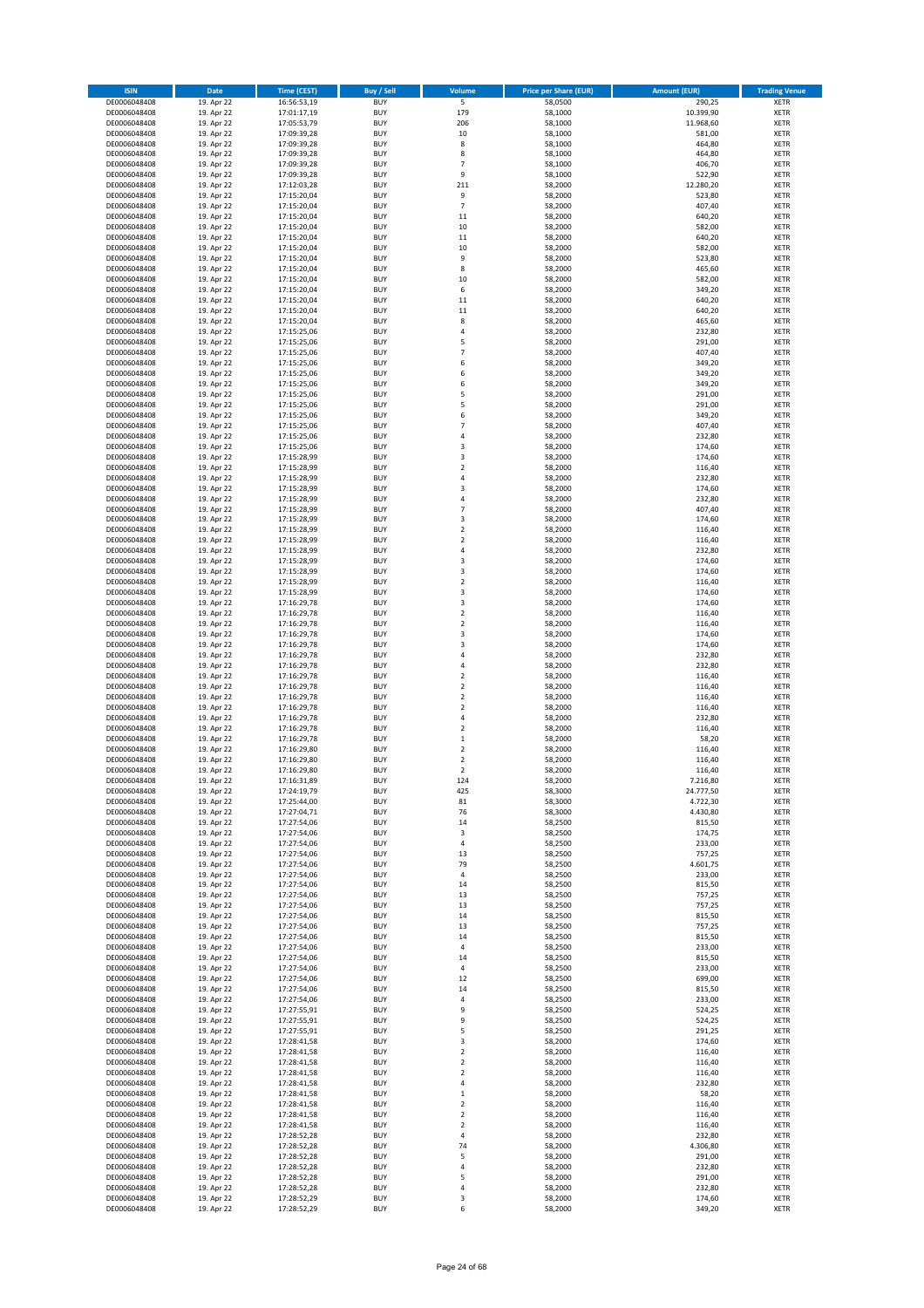| <b>ISIN</b>                  | Date                     | <b>Time (CEST)</b>         | <b>Buy / Sell</b>        | Volume                                    | <b>Price per Share (EUR)</b> | <b>Amount (EUR)</b>   | <b>Trading Venue</b>       |
|------------------------------|--------------------------|----------------------------|--------------------------|-------------------------------------------|------------------------------|-----------------------|----------------------------|
| DE0006048408                 | 19. Apr 22               | 16:56:53,19                | <b>BUY</b>               | $\overline{\mathbf{5}}$                   | 58,0500                      | 290,25                | <b>XETR</b>                |
| DE0006048408                 | 19. Apr 22               | 17:01:17,19                | <b>BUY</b>               | 179                                       | 58,1000                      | 10.399,90             | <b>XETR</b>                |
| DE0006048408<br>DE0006048408 | 19. Apr 22<br>19. Apr 22 | 17:05:53,79<br>17:09:39,28 | <b>BUY</b><br><b>BUY</b> | 206<br>10                                 | 58,1000<br>58,1000           | 11.968,60<br>581,00   | <b>XETR</b><br><b>XETR</b> |
| DE0006048408                 | 19. Apr 22               | 17:09:39,28                | <b>BUY</b>               | 8                                         | 58,1000                      | 464,80                | <b>XETR</b>                |
| DE0006048408                 | 19. Apr 22               | 17:09:39,28                | <b>BUY</b>               | 8                                         | 58,1000                      | 464,80                | <b>XETR</b>                |
| DE0006048408                 | 19. Apr 22               | 17:09:39,28                | <b>BUY</b>               | $\overline{7}$                            | 58,1000                      | 406,70                | <b>XETR</b>                |
| DE0006048408                 | 19. Apr 22               | 17:09:39,28                | <b>BUY</b>               | 9                                         | 58,1000                      | 522,90                | <b>XETR</b>                |
| DE0006048408<br>DE0006048408 | 19. Apr 22<br>19. Apr 22 | 17:12:03,28                | <b>BUY</b><br><b>BUY</b> | 211<br>9                                  | 58,2000<br>58,2000           | 12.280,20<br>523,80   | XETR<br><b>XETR</b>        |
| DE0006048408                 | 19. Apr 22               | 17:15:20,04<br>17:15:20,04 | <b>BUY</b>               | $\overline{7}$                            | 58,2000                      | 407,40                | XETR                       |
| DE0006048408                 | 19. Apr 22               | 17:15:20,04                | <b>BUY</b>               | 11                                        | 58,2000                      | 640,20                | <b>XETR</b>                |
| DE0006048408                 | 19. Apr 22               | 17:15:20,04                | <b>BUY</b>               | 10                                        | 58,2000                      | 582,00                | XETR                       |
| DE0006048408                 | 19. Apr 22               | 17:15:20,04                | <b>BUY</b>               | 11                                        | 58,2000                      | 640,20                | <b>XETR</b>                |
| DE0006048408                 | 19. Apr 22               | 17:15:20,04                | <b>BUY</b>               | 10                                        | 58,2000                      | 582,00                | <b>XETR</b>                |
| DE0006048408<br>DE0006048408 | 19. Apr 22<br>19. Apr 22 | 17:15:20,04<br>17:15:20,04 | <b>BUY</b><br><b>BUY</b> | 9<br>8                                    | 58,2000<br>58,2000           | 523,80<br>465,60      | <b>XETR</b><br>XETR        |
| DE0006048408                 | 19. Apr 22               | 17:15:20,04                | <b>BUY</b>               | 10                                        | 58,2000                      | 582,00                | <b>XETR</b>                |
| DE0006048408                 | 19. Apr 22               | 17:15:20,04                | <b>BUY</b>               | 6                                         | 58,2000                      | 349,20                | XETR                       |
| DE0006048408                 | 19. Apr 22               | 17:15:20,04                | <b>BUY</b>               | 11                                        | 58,2000                      | 640,20                | <b>XETR</b>                |
| DE0006048408                 | 19. Apr 22               | 17:15:20,04                | <b>BUY</b>               | 11                                        | 58,2000                      | 640,20                | <b>XETR</b>                |
| DE0006048408<br>DE0006048408 | 19. Apr 22<br>19. Apr 22 | 17:15:20,04<br>17:15:25,06 | <b>BUY</b><br><b>BUY</b> | 8<br>$\overline{4}$                       | 58,2000<br>58,2000           | 465,60<br>232,80      | <b>XETR</b><br><b>XETR</b> |
| DE0006048408                 | 19. Apr 22               | 17:15:25,06                | <b>BUY</b>               | 5                                         | 58,2000                      | 291,00                | <b>XETR</b>                |
| DE0006048408                 | 19. Apr 22               | 17:15:25,06                | <b>BUY</b>               | $\overline{7}$                            | 58,2000                      | 407,40                | <b>XETR</b>                |
| DE0006048408                 | 19. Apr 22               | 17:15:25,06                | <b>BUY</b>               | 6                                         | 58,2000                      | 349,20                | <b>XETR</b>                |
| DE0006048408                 | 19. Apr 22               | 17:15:25,06                | <b>BUY</b>               | 6                                         | 58,2000                      | 349,20                | <b>XETR</b>                |
| DE0006048408                 | 19. Apr 22               | 17:15:25,06                | <b>BUY</b><br><b>BUY</b> | 6                                         | 58,2000                      | 349,20                | <b>XETR</b><br><b>XETR</b> |
| DE0006048408<br>DE0006048408 | 19. Apr 22<br>19. Apr 22 | 17:15:25,06<br>17:15:25,06 | <b>BUY</b>               | 5<br>5                                    | 58,2000<br>58,2000           | 291,00<br>291,00      | <b>XETR</b>                |
| DE0006048408                 | 19. Apr 22               | 17:15:25,06                | <b>BUY</b>               | 6                                         | 58,2000                      | 349,20                | <b>XETR</b>                |
| DE0006048408                 | 19. Apr 22               | 17:15:25,06                | <b>BUY</b>               | $\overline{7}$                            | 58,2000                      | 407,40                | <b>XETR</b>                |
| DE0006048408                 | 19. Apr 22               | 17:15:25,06                | <b>BUY</b>               | $\overline{4}$                            | 58,2000                      | 232,80                | <b>XETR</b>                |
| DE0006048408                 | 19. Apr 22               | 17:15:25,06                | <b>BUY</b>               | 3                                         | 58,2000                      | 174,60                | XETR                       |
| DE0006048408<br>DE0006048408 | 19. Apr 22<br>19. Apr 22 | 17:15:28,99<br>17:15:28,99 | <b>BUY</b><br><b>BUY</b> | 3<br>$\overline{2}$                       | 58,2000<br>58,2000           | 174,60<br>116,40      | <b>XETR</b><br>XETR        |
| DE0006048408                 | 19. Apr 22               | 17:15:28,99                | <b>BUY</b>               | $\sqrt{4}$                                | 58,2000                      | 232,80                | <b>XETR</b>                |
| DE0006048408                 | 19. Apr 22               | 17:15:28,99                | <b>BUY</b>               | 3                                         | 58,2000                      | 174,60                | XETR                       |
| DE0006048408                 | 19. Apr 22               | 17:15:28,99                | <b>BUY</b>               | $\sqrt{4}$                                | 58,2000                      | 232,80                | <b>XETR</b>                |
| DE0006048408                 | 19. Apr 22               | 17:15:28,99                | <b>BUY</b>               | $\overline{7}$                            | 58,2000                      | 407,40                | <b>XETR</b>                |
| DE0006048408<br>DE0006048408 | 19. Apr 22<br>19. Apr 22 | 17:15:28,99<br>17:15:28,99 | <b>BUY</b><br><b>BUY</b> | 3<br>$\overline{2}$                       | 58,2000<br>58,2000           | 174,60<br>116,40      | <b>XETR</b><br>XETR        |
| DE0006048408                 | 19. Apr 22               | 17:15:28,99                | <b>BUY</b>               | $\overline{2}$                            | 58,2000                      | 116,40                | <b>XETR</b>                |
| DE0006048408                 | 19. Apr 22               | 17:15:28,99                | <b>BUY</b>               | $\sqrt{4}$                                | 58,2000                      | 232,80                | <b>XETR</b>                |
| DE0006048408                 | 19. Apr 22               | 17:15:28,99                | <b>BUY</b>               | 3                                         | 58,2000                      | 174,60                | <b>XETR</b>                |
| DE0006048408                 | 19. Apr 22               | 17:15:28,99                | <b>BUY</b>               | 3                                         | 58,2000                      | 174,60                | XETR                       |
| DE0006048408                 | 19. Apr 22               | 17:15:28,99                | <b>BUY</b>               | $\mathbf 2$                               | 58,2000                      | 116,40                | <b>XETR</b>                |
| DE0006048408<br>DE0006048408 | 19. Apr 22<br>19. Apr 22 | 17:15:28,99<br>17:16:29,78 | <b>BUY</b><br><b>BUY</b> | 3<br>3                                    | 58,2000<br>58,2000           | 174,60<br>174,60      | <b>XETR</b><br><b>XETR</b> |
| DE0006048408                 | 19. Apr 22               | 17:16:29,78                | <b>BUY</b>               | $\mathbf 2$                               | 58,2000                      | 116,40                | <b>XETR</b>                |
| DE0006048408                 | 19. Apr 22               | 17:16:29,78                | <b>BUY</b>               | $\mathbf 2$                               | 58,2000                      | 116,40                | <b>XETR</b>                |
| DE0006048408                 | 19. Apr 22               | 17:16:29,78                | <b>BUY</b>               | 3                                         | 58,2000                      | 174,60                | <b>XETR</b>                |
| DE0006048408                 | 19. Apr 22               | 17:16:29,78                | <b>BUY</b>               | 3                                         | 58,2000                      | 174,60                | <b>XETR</b>                |
| DE0006048408<br>DE0006048408 | 19. Apr 22<br>19. Apr 22 | 17:16:29,78<br>17:16:29,78 | <b>BUY</b><br><b>BUY</b> | $\sqrt{4}$<br>4                           | 58,2000<br>58,2000           | 232,80<br>232,80      | <b>XETR</b><br><b>XETR</b> |
| DE0006048408                 | 19. Apr 22               | 17:16:29,78                | <b>BUY</b>               | $\overline{2}$                            | 58,2000                      | 116,40                | <b>XETR</b>                |
| DE0006048408                 | 19. Apr 22               | 17:16:29,78                | <b>BUY</b>               | $\mathbf 2$                               | 58,2000                      | 116,40                | <b>XETR</b>                |
| DE0006048408                 | 19. Apr 22               | 17:16:29,78                | <b>BUY</b>               | $\overline{2}$                            | 58,2000                      | 116,40                | <b>XETR</b>                |
| DE0006048408                 | 19. Apr 22               | 17:16:29,78                | <b>BUY</b>               | $\mathbf 2$                               | 58,2000                      | 116,40                | <b>XETR</b>                |
| DE0006048408                 | 19. Apr 22               | 17:16:29,78                | <b>BUY</b>               | 4                                         | 58,2000                      | 232,80                | <b>XETR</b>                |
| DE0006048408<br>DE0006048408 | 19. Apr 22<br>19. Apr 22 | 17:16:29,78<br>17:16:29,78 | <b>BUY</b><br><b>BUY</b> | $\overline{2}$<br>$\,1\,$                 | 58,2000<br>58,2000           | 116,40<br>58,20       | XETR<br><b>XETR</b>        |
| DE0006048408                 | 19. Apr 22               | 17:16:29,80                | <b>BUY</b>               | $\sqrt{2}$                                | 58,2000                      | 116,40                | <b>XETR</b>                |
| DE0006048408                 | 19. Apr 22               | 17:16:29,80                | <b>BUY</b>               | $\overline{2}$                            | 58,2000                      | 116,40                | <b>XETR</b>                |
| DE0006048408                 | 19. Apr 22               | 17:16:29,80                | <b>BUY</b>               | $\overline{2}$                            | 58,2000                      | 116,40                | <b>XETR</b>                |
| DE0006048408                 | 19. Apr 22               | 17:16:31,89                | <b>BUY</b>               | 124                                       | 58,2000                      | 7.216,80              | XETR                       |
| DE0006048408<br>DE0006048408 | 19. Apr 22<br>19. Apr 22 | 17:24:19,79<br>17:25:44,00 | <b>BUY</b><br><b>BUY</b> | 425<br>81                                 | 58,3000<br>58,3000           | 24.777,50<br>4.722,30 | XETR<br>XETR               |
| DE0006048408                 | 19. Apr 22               | 17:27:04,71                | <b>BUY</b>               | 76                                        | 58,3000                      | 4.430,80              | <b>XETR</b>                |
| DE0006048408                 | 19. Apr 22               | 17:27:54,06                | <b>BUY</b>               | 14                                        | 58,2500                      | 815,50                | <b>XETR</b>                |
| DE0006048408                 | 19. Apr 22               | 17:27:54,06                | <b>BUY</b>               | 3                                         | 58,2500                      | 174,75                | XETR                       |
| DE0006048408                 | 19. Apr 22               | 17:27:54,06                | <b>BUY</b>               | $\sqrt{4}$                                | 58,2500                      | 233,00                | <b>XETR</b>                |
| DE0006048408<br>DE0006048408 | 19. Apr 22<br>19. Apr 22 | 17:27:54,06<br>17:27:54,06 | <b>BUY</b><br><b>BUY</b> | 13<br>79                                  | 58,2500<br>58,2500           | 757,25<br>4.601,75    | XETR<br><b>XETR</b>        |
| DE0006048408                 | 19. Apr 22               | 17:27:54,06                | <b>BUY</b>               | $\pmb{4}$                                 | 58,2500                      | 233,00                | XETR                       |
| DE0006048408                 | 19. Apr 22               | 17:27:54,06                | <b>BUY</b>               | 14                                        | 58,2500                      | 815,50                | <b>XETR</b>                |
| DE0006048408                 | 19. Apr 22               | 17:27:54,06                | <b>BUY</b>               | 13                                        | 58,2500                      | 757,25                | XETR                       |
| DE0006048408<br>DE0006048408 | 19. Apr 22               | 17:27:54,06                | <b>BUY</b><br><b>BUY</b> | 13<br>14                                  | 58,2500                      | 757,25                | <b>XETR</b><br>XETR        |
| DE0006048408                 | 19. Apr 22<br>19. Apr 22 | 17:27:54,06<br>17:27:54,06 | <b>BUY</b>               | 13                                        | 58,2500<br>58,2500           | 815,50<br>757,25      | <b>XETR</b>                |
| DE0006048408                 | 19. Apr 22               | 17:27:54,06                | <b>BUY</b>               | 14                                        | 58,2500                      | 815,50                | <b>XETR</b>                |
| DE0006048408                 | 19. Apr 22               | 17:27:54,06                | <b>BUY</b>               | 4                                         | 58,2500                      | 233,00                | <b>XETR</b>                |
| DE0006048408                 | 19. Apr 22               | 17:27:54,06                | <b>BUY</b>               | 14                                        | 58,2500                      | 815,50                | <b>XETR</b>                |
| DE0006048408                 | 19. Apr 22               | 17:27:54,06                | <b>BUY</b>               | 4                                         | 58,2500                      | 233,00                | <b>XETR</b>                |
| DE0006048408<br>DE0006048408 | 19. Apr 22<br>19. Apr 22 | 17:27:54,06<br>17:27:54,06 | <b>BUY</b><br><b>BUY</b> | 12<br>14                                  | 58,2500<br>58,2500           | 699,00<br>815,50      | <b>XETR</b><br><b>XETR</b> |
| DE0006048408                 | 19. Apr 22               | 17:27:54,06                | <b>BUY</b>               | 4                                         | 58,2500                      | 233,00                | <b>XETR</b>                |
| DE0006048408                 | 19. Apr 22               | 17:27:55,91                | <b>BUY</b>               | 9                                         | 58,2500                      | 524,25                | XETR                       |
| DE0006048408                 | 19. Apr 22               | 17:27:55,91                | <b>BUY</b>               | 9                                         | 58,2500                      | 524,25                | XETR                       |
| DE0006048408                 | 19. Apr 22               | 17:27:55,91                | <b>BUY</b>               | 5                                         | 58,2500                      | 291,25                | <b>XETR</b>                |
| DE0006048408                 | 19. Apr 22<br>19. Apr 22 | 17:28:41,58                | <b>BUY</b><br><b>BUY</b> | 3                                         | 58,2000<br>58,2000           | 174,60<br>116,40      | <b>XETR</b><br>XETR        |
| DE0006048408<br>DE0006048408 | 19. Apr 22               | 17:28:41,58<br>17:28:41,58 | <b>BUY</b>               | $\overline{\mathbf{c}}$<br>$\overline{2}$ | 58,2000                      | 116,40                | XETR                       |
| DE0006048408                 | 19. Apr 22               | 17:28:41,58                | <b>BUY</b>               | $\sqrt{2}$                                | 58,2000                      | 116,40                | <b>XETR</b>                |
| DE0006048408                 | 19. Apr 22               | 17:28:41,58                | <b>BUY</b>               | $\sqrt{4}$                                | 58,2000                      | 232,80                | <b>XETR</b>                |
| DE0006048408                 | 19. Apr 22               | 17:28:41,58                | <b>BUY</b>               | $\,$ 1                                    | 58,2000                      | 58,20                 | XETR                       |
| DE0006048408                 | 19. Apr 22               | 17:28:41,58                | <b>BUY</b>               | $\mathbf 2$                               | 58,2000                      | 116,40                | XETR                       |
| DE0006048408<br>DE0006048408 | 19. Apr 22               | 17:28:41,58                | <b>BUY</b><br><b>BUY</b> | $\mathbf 2$                               | 58,2000                      | 116,40                | <b>XETR</b>                |
| DE0006048408                 | 19. Apr 22<br>19. Apr 22 | 17:28:41,58<br>17:28:52,28 | <b>BUY</b>               | $\mathbf 2$<br>4                          | 58,2000<br>58,2000           | 116,40<br>232,80      | <b>XETR</b><br><b>XETR</b> |
| DE0006048408                 | 19. Apr 22               | 17:28:52,28                | <b>BUY</b>               | 74                                        | 58,2000                      | 4.306,80              | <b>XETR</b>                |
| DE0006048408                 | 19. Apr 22               | 17:28:52,28                | <b>BUY</b>               | 5                                         | 58,2000                      | 291,00                | <b>XETR</b>                |
| DE0006048408                 | 19. Apr 22               | 17:28:52,28                | <b>BUY</b>               | 4                                         | 58,2000                      | 232,80                | <b>XETR</b>                |
| DE0006048408                 | 19. Apr 22               | 17:28:52,28                | <b>BUY</b>               | 5                                         | 58,2000                      | 291,00                | <b>XETR</b>                |
| DE0006048408<br>DE0006048408 | 19. Apr 22<br>19. Apr 22 | 17:28:52,28<br>17:28:52,29 | <b>BUY</b><br><b>BUY</b> | 4<br>3                                    | 58,2000<br>58,2000           | 232,80<br>174,60      | <b>XETR</b><br><b>XETR</b> |
| DE0006048408                 | 19. Apr 22               | 17:28:52,29                | <b>BUY</b>               | 6                                         | 58,2000                      | 349,20                | <b>XETR</b>                |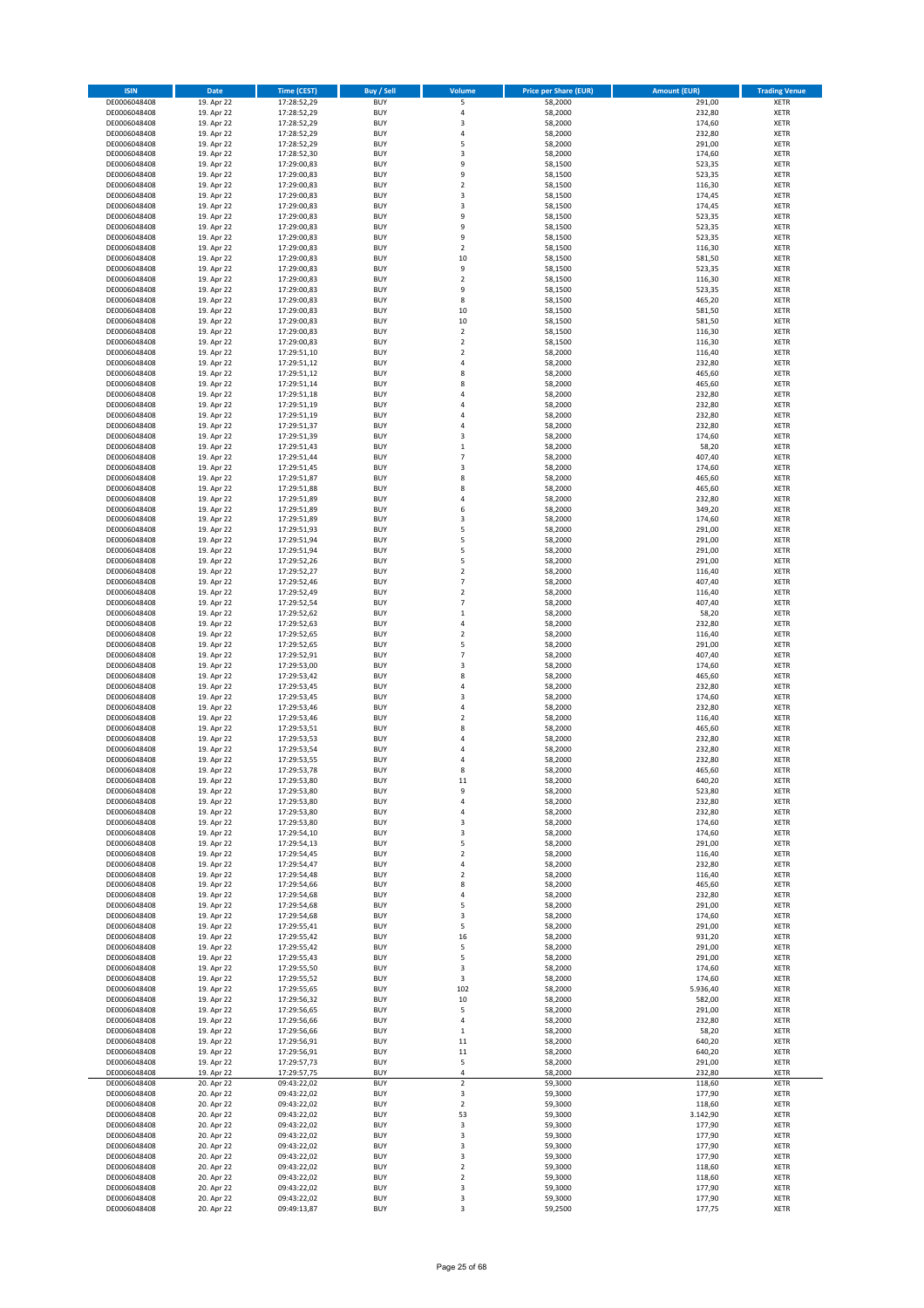| <b>ISIN</b>                  | Date                     | <b>Time (CEST)</b>         | Buy / Sell               | Volume                                             | <b>Price per Share (EUR)</b> | <b>Amount (EUR)</b> | <b>Trading Venue</b>       |
|------------------------------|--------------------------|----------------------------|--------------------------|----------------------------------------------------|------------------------------|---------------------|----------------------------|
| DE0006048408                 | 19. Apr 22               | 17:28:52,29                | <b>BUY</b>               | 5                                                  | 58,2000                      | 291,00              | <b>XETR</b>                |
| DE0006048408                 | 19. Apr 22               | 17:28:52,29                | <b>BUY</b>               | 4                                                  | 58,2000                      | 232,80              | <b>XETR</b>                |
| DE0006048408                 | 19. Apr 22               | 17:28:52,29                | <b>BUY</b>               | 3                                                  | 58,2000                      | 174,60              | <b>XETR</b>                |
| DE0006048408                 | 19. Apr 22               | 17:28:52,29                | <b>BUY</b>               | 4                                                  | 58,2000                      | 232,80              | <b>XETR</b>                |
| DE0006048408                 | 19. Apr 22               | 17:28:52,29                | <b>BUY</b>               | 5                                                  | 58,2000                      | 291,00              | <b>XETR</b>                |
| DE0006048408                 | 19. Apr 22               | 17:28:52,30                | <b>BUY</b>               | 3                                                  | 58,2000                      | 174,60              | <b>XETR</b>                |
| DE0006048408                 | 19. Apr 22               | 17:29:00,83                | <b>BUY</b>               | 9                                                  | 58,1500                      | 523,35              | <b>XETR</b>                |
| DE0006048408                 | 19. Apr 22               | 17:29:00,83                | <b>BUY</b>               | 9                                                  | 58,1500                      | 523,35              | <b>XETR</b>                |
| DE0006048408                 | 19. Apr 22               | 17:29:00,83                | <b>BUY</b><br><b>BUY</b> | $\overline{\mathbf{2}}$<br>3                       | 58,1500                      | 116,30              | <b>XETR</b>                |
| DE0006048408<br>DE0006048408 | 19. Apr 22<br>19. Apr 22 | 17:29:00,83<br>17:29:00,83 | <b>BUY</b>               | 3                                                  | 58,1500<br>58,1500           | 174,45<br>174,45    | <b>XETR</b><br><b>XETR</b> |
| DE0006048408                 | 19. Apr 22               | 17:29:00,83                | <b>BUY</b>               | 9                                                  | 58,1500                      | 523,35              | <b>XETR</b>                |
| DE0006048408                 | 19. Apr 22               | 17:29:00,83                | <b>BUY</b>               | 9                                                  | 58,1500                      | 523,35              | <b>XETR</b>                |
| DE0006048408                 | 19. Apr 22               | 17:29:00,83                | <b>BUY</b>               | 9                                                  | 58,1500                      | 523,35              | <b>XETR</b>                |
| DE0006048408                 | 19. Apr 22               | 17:29:00,83                | <b>BUY</b>               | $\overline{\mathbf{2}}$                            | 58,1500                      | 116,30              | <b>XETR</b>                |
| DE0006048408                 | 19. Apr 22               | 17:29:00,83                | <b>BUY</b>               | 10                                                 | 58,1500                      | 581,50              | <b>XETR</b>                |
| DE0006048408                 | 19. Apr 22               | 17:29:00,83                | <b>BUY</b>               | 9                                                  | 58,1500                      | 523,35              | <b>XETR</b>                |
| DE0006048408                 | 19. Apr 22               | 17:29:00,83                | <b>BUY</b>               | $\mathbf 2$                                        | 58,1500                      | 116,30              | <b>XETR</b>                |
| DE0006048408                 | 19. Apr 22               | 17:29:00,83                | <b>BUY</b>               | 9                                                  | 58,1500                      | 523,35              | <b>XETR</b>                |
| DE0006048408                 | 19. Apr 22               | 17:29:00,83                | <b>BUY</b>               | 8                                                  | 58,1500                      | 465,20              | <b>XETR</b>                |
| DE0006048408                 | 19. Apr 22               | 17:29:00,83                | <b>BUY</b>               | 10                                                 | 58,1500                      | 581,50              | <b>XETR</b>                |
| DE0006048408                 | 19. Apr 22               | 17:29:00,83                | <b>BUY</b>               | 10                                                 | 58,1500                      | 581,50              | <b>XETR</b>                |
| DE0006048408                 | 19. Apr 22               | 17:29:00,83                | <b>BUY</b>               | 2                                                  | 58,1500                      | 116,30              | <b>XETR</b>                |
| DE0006048408<br>DE0006048408 | 19. Apr 22<br>19. Apr 22 | 17:29:00,83<br>17:29:51,10 | <b>BUY</b><br><b>BUY</b> | $\overline{\mathbf{c}}$<br>$\overline{\mathbf{2}}$ | 58,1500<br>58,2000           | 116,30<br>116,40    | <b>XETR</b><br><b>XETR</b> |
| DE0006048408                 | 19. Apr 22               | 17:29:51,12                | <b>BUY</b>               | $\overline{a}$                                     | 58,2000                      | 232,80              | <b>XETR</b>                |
| DE0006048408                 | 19. Apr 22               | 17:29:51,12                | <b>BUY</b>               | 8                                                  | 58,2000                      | 465,60              | <b>XETR</b>                |
| DE0006048408                 | 19. Apr 22               | 17:29:51,14                | <b>BUY</b>               | 8                                                  | 58,2000                      | 465,60              | <b>XETR</b>                |
| DE0006048408                 | 19. Apr 22               | 17:29:51,18                | <b>BUY</b>               | 4                                                  | 58,2000                      | 232,80              | <b>XETR</b>                |
| DE0006048408                 | 19. Apr 22               | 17:29:51,19                | <b>BUY</b>               | $\overline{a}$                                     | 58,2000                      | 232,80              | <b>XETR</b>                |
| DE0006048408                 | 19. Apr 22               | 17:29:51,19                | <b>BUY</b>               | 4                                                  | 58,2000                      | 232,80              | <b>XETR</b>                |
| DE0006048408                 | 19. Apr 22               | 17:29:51,37                | <b>BUY</b>               | $\overline{a}$                                     | 58,2000                      | 232,80              | <b>XETR</b>                |
| DE0006048408                 | 19. Apr 22               | 17:29:51,39                | <b>BUY</b>               | 3                                                  | 58,2000                      | 174,60              | <b>XETR</b>                |
| DE0006048408                 | 19. Apr 22               | 17:29:51,43                | <b>BUY</b>               | $\mathbf{1}$                                       | 58,2000                      | 58,20               | <b>XETR</b>                |
| DE0006048408                 | 19. Apr 22               | 17:29:51,44                | <b>BUY</b>               | $\overline{7}$                                     | 58,2000                      | 407,40              | <b>XETR</b>                |
| DE0006048408                 | 19. Apr 22               | 17:29:51,45                | <b>BUY</b>               | 3                                                  | 58,2000                      | 174,60              | <b>XETR</b>                |
| DE0006048408                 | 19. Apr 22               | 17:29:51,87                | <b>BUY</b>               | 8                                                  | 58,2000                      | 465,60              | <b>XETR</b>                |
| DE0006048408                 | 19. Apr 22               | 17:29:51,88                | <b>BUY</b>               | 8                                                  | 58,2000                      | 465,60              | <b>XETR</b>                |
| DE0006048408<br>DE0006048408 | 19. Apr 22               | 17:29:51,89                | <b>BUY</b><br><b>BUY</b> | 4                                                  | 58,2000                      | 232,80              | <b>XETR</b>                |
| DE0006048408                 | 19. Apr 22<br>19. Apr 22 | 17:29:51,89                | <b>BUY</b>               | 6<br>3                                             | 58,2000<br>58,2000           | 349,20<br>174,60    | <b>XETR</b><br><b>XETR</b> |
| DE0006048408                 | 19. Apr 22               | 17:29:51,89<br>17:29:51,93 | <b>BUY</b>               | 5                                                  | 58,2000                      | 291,00              | <b>XETR</b>                |
| DE0006048408                 | 19. Apr 22               | 17:29:51,94                | <b>BUY</b>               | 5                                                  | 58,2000                      | 291,00              | <b>XETR</b>                |
| DE0006048408                 | 19. Apr 22               | 17:29:51,94                | <b>BUY</b>               | 5                                                  | 58,2000                      | 291,00              | <b>XETR</b>                |
| DE0006048408                 | 19. Apr 22               | 17:29:52,26                | <b>BUY</b>               | 5                                                  | 58,2000                      | 291,00              | <b>XETR</b>                |
| DE0006048408                 | 19. Apr 22               | 17:29:52,27                | <b>BUY</b>               | $\overline{\mathbf{c}}$                            | 58,2000                      | 116,40              | <b>XETR</b>                |
| DE0006048408                 | 19. Apr 22               | 17:29:52,46                | <b>BUY</b>               | $\overline{7}$                                     | 58,2000                      | 407,40              | <b>XETR</b>                |
| DE0006048408                 | 19. Apr 22               | 17:29:52,49                | <b>BUY</b>               | $\overline{\mathbf{c}}$                            | 58,2000                      | 116,40              | <b>XETR</b>                |
| DE0006048408                 | 19. Apr 22               | 17:29:52,54                | <b>BUY</b>               | $\overline{7}$                                     | 58,2000                      | 407,40              | <b>XETR</b>                |
| DE0006048408                 | 19. Apr 22               | 17:29:52,62                | <b>BUY</b>               | $\mathbf{1}$                                       | 58,2000                      | 58,20               | <b>XETR</b>                |
| DE0006048408                 | 19. Apr 22               | 17:29:52,63                | <b>BUY</b>               | $\overline{4}$                                     | 58,2000                      | 232,80              | <b>XETR</b>                |
| DE0006048408                 | 19. Apr 22               | 17:29:52,65                | <b>BUY</b>               | $\overline{\mathbf{2}}$                            | 58,2000                      | 116,40              | <b>XETR</b>                |
| DE0006048408                 | 19. Apr 22               | 17:29:52,65                | <b>BUY</b>               | 5                                                  | 58,2000                      | 291,00              | <b>XETR</b>                |
| DE0006048408                 | 19. Apr 22               | 17:29:52,91                | <b>BUY</b>               | $\overline{7}$                                     | 58,2000                      | 407,40              | <b>XETR</b>                |
| DE0006048408                 | 19. Apr 22               | 17:29:53,00                | <b>BUY</b>               | $\overline{\mathbf{3}}$                            | 58,2000                      | 174,60              | <b>XETR</b>                |
| DE0006048408                 | 19. Apr 22               | 17:29:53,42                | <b>BUY</b>               | 8<br>$\overline{a}$                                | 58,2000                      | 465,60              | <b>XETR</b>                |
| DE0006048408                 | 19. Apr 22               | 17:29:53,45                | <b>BUY</b>               | 3                                                  | 58,2000                      | 232,80              | <b>XETR</b>                |
| DE0006048408<br>DE0006048408 | 19. Apr 22<br>19. Apr 22 | 17:29:53,45<br>17:29:53,46 | <b>BUY</b><br><b>BUY</b> | $\overline{a}$                                     | 58,2000<br>58,2000           | 174,60<br>232,80    | <b>XETR</b><br><b>XETR</b> |
| DE0006048408                 | 19. Apr 22               | 17:29:53,46                | <b>BUY</b>               | 2                                                  | 58,2000                      | 116,40              | <b>XETR</b>                |
| DE0006048408                 | 19. Apr 22               | 17:29:53,51                | <b>BUY</b>               | 8                                                  | 58,2000                      | 465,60              | <b>XETR</b>                |
| DE0006048408                 | 19. Apr 22               | 17:29:53,53                | <b>BUY</b>               | 4                                                  | 58,2000                      | 232,80              | <b>XETR</b>                |
| DE0006048408                 | 19. Apr 22               | 17:29:53,54                | <b>BUY</b>               | $\overline{a}$                                     | 58,2000                      | 232,80              | <b>XETR</b>                |
| DE0006048408                 | 19. Apr 22               | 17:29:53,55                | <b>BUY</b>               | $\overline{a}$                                     | 58,2000                      | 232,80              | <b>XETR</b>                |
| DE0006048408                 | 19. Apr 22               | 17:29:53,78                | <b>BUY</b>               | 8                                                  | 58,2000                      | 465,60              | <b>XETR</b>                |
| DE0006048408                 | 19. Apr 22               | 17:29:53,80                | <b>BUY</b>               | 11                                                 | 58,2000                      | 640,20              | XETR                       |
| DE0006048408                 | 19. Apr 22               | 17:29:53,80                | <b>BUY</b>               | 9                                                  | 58,2000                      | 523,80              | <b>XETR</b>                |
| DE0006048408                 | 19. Apr 22               | 17:29:53,80                | <b>BUY</b>               | 4                                                  | 58,2000                      | 232,80              | <b>XETR</b>                |
| DE0006048408                 | 19. Apr 22               | 17:29:53,80                | <b>BUY</b>               | 4                                                  | 58,2000                      | 232,80              | <b>XETR</b>                |
| DE0006048408                 | 19. Apr 22               | 17:29:53,80                | <b>BUY</b>               | 3                                                  | 58,2000                      | 174,60              | <b>XETR</b>                |
| DE0006048408                 | 19. Apr 22               | 17:29:54,10                | <b>BUY</b>               | 3                                                  | 58,2000                      | 174,60              | <b>XETR</b>                |
| DE0006048408                 | 19. Apr 22<br>19. Apr 22 | 17:29:54,13                | <b>BUY</b>               | 5                                                  | 58,2000                      | 291,00              | <b>XETR</b>                |
| DE0006048408                 | 19. Apr 22               | 17:29:54,45                | <b>BUY</b><br><b>BUY</b> | 2<br>4                                             | 58,2000                      | 116,40              | <b>XETR</b><br><b>XETR</b> |
| DE0006048408<br>DE0006048408 | 19. Apr 22               | 17:29:54,47<br>17:29:54,48 | <b>BUY</b>               | 2                                                  | 58,2000<br>58,2000           | 232,80<br>116,40    | <b>XETR</b>                |
| DE0006048408                 | 19. Apr 22               | 17:29:54,66                | <b>BUY</b>               | 8                                                  | 58,2000                      | 465,60              | <b>XETR</b>                |
| DE0006048408                 | 19. Apr 22               | 17:29:54,68                | <b>BUY</b>               | 4                                                  | 58,2000                      | 232,80              | <b>XETR</b>                |
| DE0006048408                 | 19. Apr 22               | 17:29:54,68                | <b>BUY</b>               | 5                                                  | 58,2000                      | 291,00              | <b>XETR</b>                |
| DE0006048408                 | 19. Apr 22               | 17:29:54,68                | <b>BUY</b>               | 3                                                  | 58,2000                      | 174,60              | <b>XETR</b>                |
| DE0006048408                 | 19. Apr 22               | 17:29:55,41                | <b>BUY</b>               | 5                                                  | 58,2000                      | 291,00              | <b>XETR</b>                |
| DE0006048408                 | 19. Apr 22               | 17:29:55,42                | <b>BUY</b>               | 16                                                 | 58,2000                      | 931,20              | <b>XETR</b>                |
| DE0006048408                 | 19. Apr 22               | 17:29:55,42                | <b>BUY</b>               | 5                                                  | 58,2000                      | 291,00              | <b>XETR</b>                |
| DE0006048408                 | 19. Apr 22               | 17:29:55,43                | <b>BUY</b>               | 5                                                  | 58,2000                      | 291,00              | <b>XETR</b>                |
| DE0006048408                 | 19. Apr 22               | 17:29:55,50                | <b>BUY</b>               | 3                                                  | 58,2000                      | 174,60              | <b>XETR</b>                |
| DE0006048408                 | 19. Apr 22               | 17:29:55,52                | <b>BUY</b>               | 3                                                  | 58,2000                      | 174,60              | <b>XETR</b>                |
| DE0006048408                 | 19. Apr 22               | 17:29:55,65                | <b>BUY</b>               | 102                                                | 58,2000                      | 5.936,40            | <b>XETR</b>                |
| DE0006048408                 | 19. Apr 22               | 17:29:56,32                | <b>BUY</b>               | 10                                                 | 58,2000                      | 582,00              | <b>XETR</b>                |
| DE0006048408<br>DE0006048408 | 19. Apr 22               | 17:29:56,65                | <b>BUY</b><br><b>BUY</b> | 5<br>4                                             | 58,2000                      | 291,00              | <b>XETR</b>                |
| DE0006048408                 | 19. Apr 22<br>19. Apr 22 | 17:29:56,66<br>17:29:56,66 | <b>BUY</b>               | $\mathbf 1$                                        | 58,2000<br>58,2000           | 232,80<br>58,20     | <b>XETR</b><br><b>XETR</b> |
| DE0006048408                 | 19. Apr 22               | 17:29:56,91                | <b>BUY</b>               | 11                                                 | 58,2000                      | 640,20              | <b>XETR</b>                |
| DE0006048408                 | 19. Apr 22               | 17:29:56,91                | <b>BUY</b>               | 11                                                 | 58,2000                      | 640,20              | <b>XETR</b>                |
| DE0006048408                 | 19. Apr 22               | 17:29:57,73                | <b>BUY</b>               | 5                                                  | 58,2000                      | 291,00              | <b>XETR</b>                |
| DE0006048408                 | 19. Apr 22               | 17:29:57,75                | <b>BUY</b>               | 4                                                  | 58,2000                      | 232,80              | <b>XETR</b>                |
| DE0006048408                 | 20. Apr 22               | 09:43:22,02                | <b>BUY</b>               | $\mathbf 2$                                        | 59,3000                      | 118,60              | <b>XETR</b>                |
| DE0006048408                 | 20. Apr 22               | 09:43:22,02                | <b>BUY</b>               | 3                                                  | 59,3000                      | 177,90              | <b>XETR</b>                |
| DE0006048408                 | 20. Apr 22               | 09:43:22,02                | <b>BUY</b>               | $\mathbf 2$                                        | 59,3000                      | 118,60              | <b>XETR</b>                |
| DE0006048408                 | 20. Apr 22               | 09:43:22,02                | <b>BUY</b>               | 53                                                 | 59,3000                      | 3.142,90            | <b>XETR</b>                |
| DE0006048408                 | 20. Apr 22               | 09:43:22,02                | <b>BUY</b>               | 3                                                  | 59,3000                      | 177,90              | <b>XETR</b>                |
| DE0006048408                 | 20. Apr 22               | 09:43:22,02                | <b>BUY</b>               | 3                                                  | 59,3000                      | 177,90              | <b>XETR</b>                |
| DE0006048408                 | 20. Apr 22               | 09:43:22,02                | <b>BUY</b>               | 3                                                  | 59,3000                      | 177,90              | <b>XETR</b>                |
| DE0006048408                 | 20. Apr 22               | 09:43:22,02                | <b>BUY</b><br><b>BUY</b> | 3<br>$\mathbf 2$                                   | 59,3000<br>59,3000           | 177,90              | <b>XETR</b><br><b>XETR</b> |
| DE0006048408<br>DE0006048408 | 20. Apr 22<br>20. Apr 22 | 09:43:22,02<br>09:43:22,02 | <b>BUY</b>               | 2                                                  | 59,3000                      | 118,60<br>118,60    | <b>XETR</b>                |
| DE0006048408                 | 20. Apr 22               | 09:43:22,02                | <b>BUY</b>               | 3                                                  | 59,3000                      | 177,90              | <b>XETR</b>                |
| DE0006048408                 | 20. Apr 22               | 09:43:22,02                | <b>BUY</b>               | 3                                                  | 59,3000                      | 177,90              | <b>XETR</b>                |
| DE0006048408                 | 20. Apr 22               | 09:49:13,87                | <b>BUY</b>               | 3                                                  | 59,2500                      | 177,75              | <b>XETR</b>                |
|                              |                          |                            |                          |                                                    |                              |                     |                            |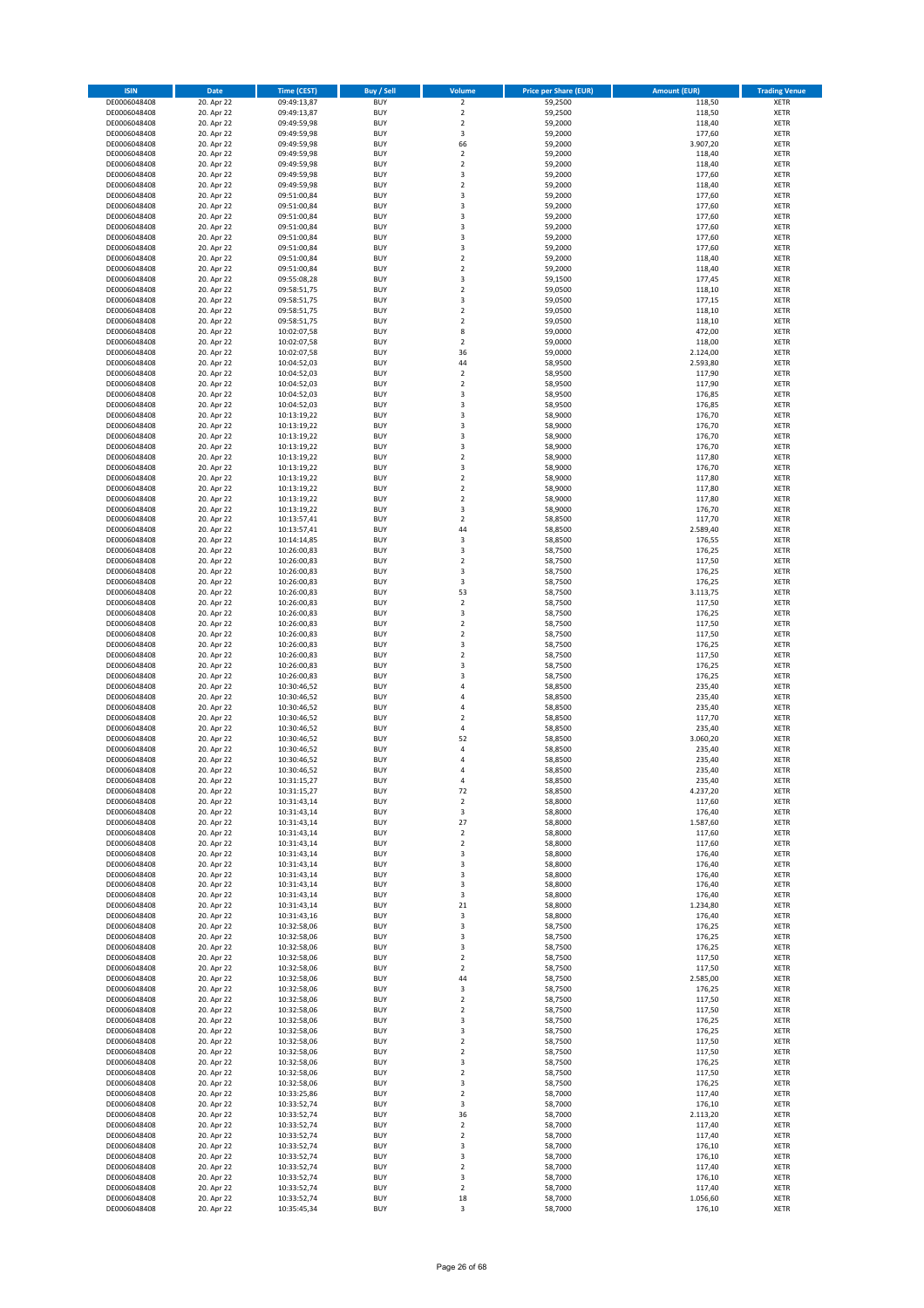| <b>ISIN</b>                  | Date                     | <b>Time (CEST)</b>         | <b>Buy / Sell</b>        | Volume                                 | <b>Price per Share (EUR)</b> | <b>Amount (EUR)</b> | <b>Trading Venue</b>       |
|------------------------------|--------------------------|----------------------------|--------------------------|----------------------------------------|------------------------------|---------------------|----------------------------|
| DE0006048408                 | 20. Apr 22               | 09:49:13,87                | <b>BUY</b>               | $\overline{\mathbf{c}}$                | 59,2500                      | 118,50              | XETR                       |
| DE0006048408                 | 20. Apr 22               | 09:49:13,87                | <b>BUY</b>               | $\mathbf 2$                            | 59,2500                      | 118,50              | XETR                       |
| DE0006048408<br>DE0006048408 | 20. Apr 22<br>20. Apr 22 | 09:49:59,98<br>09:49:59,98 | <b>BUY</b><br><b>BUY</b> | $\mathbf 2$<br>3                       | 59,2000<br>59,2000           | 118,40<br>177,60    | XETR<br>XETR               |
| DE0006048408                 | 20. Apr 22               | 09:49:59,98                | <b>BUY</b>               | 66                                     | 59,2000                      | 3.907,20            | XETR                       |
| DE0006048408                 | 20. Apr 22               | 09:49:59,98                | <b>BUY</b>               | $\overline{\mathbf{c}}$                | 59,2000                      | 118,40              | <b>XETR</b>                |
| DE0006048408                 | 20. Apr 22               | 09:49:59,98                | <b>BUY</b>               | $\overline{\mathbf{c}}$                | 59,2000                      | 118,40              | <b>XETR</b>                |
| DE0006048408                 | 20. Apr 22               | 09:49:59,98                | <b>BUY</b>               | 3                                      | 59,2000                      | 177,60              | <b>XETR</b>                |
| DE0006048408<br>DE0006048408 | 20. Apr 22<br>20. Apr 22 | 09:49:59,98                | <b>BUY</b><br><b>BUY</b> | $\mathbf 2$<br>3                       | 59,2000<br>59,2000           | 118,40<br>177,60    | <b>XETR</b><br><b>XETR</b> |
| DE0006048408                 | 20. Apr 22               | 09:51:00,84<br>09:51:00,84 | <b>BUY</b>               | 3                                      | 59,2000                      | 177,60              | XETR                       |
| DE0006048408                 | 20. Apr 22               | 09:51:00,84                | <b>BUY</b>               | 3                                      | 59,2000                      | 177,60              | <b>XETR</b>                |
| DE0006048408                 | 20. Apr 22               | 09:51:00,84                | <b>BUY</b>               | 3                                      | 59,2000                      | 177,60              | XETR                       |
| DE0006048408                 | 20. Apr 22               | 09:51:00,84                | <b>BUY</b>               | 3                                      | 59,2000                      | 177,60              | <b>XETR</b>                |
| DE0006048408                 | 20. Apr 22               | 09:51:00,84                | <b>BUY</b>               | 3                                      | 59,2000                      | 177,60              | XETR                       |
| DE0006048408<br>DE0006048408 | 20. Apr 22<br>20. Apr 22 | 09:51:00,84<br>09:51:00,84 | <b>BUY</b><br><b>BUY</b> | $\overline{\mathbf{c}}$<br>$\mathbf 2$ | 59,2000<br>59,2000           | 118,40<br>118,40    | <b>XETR</b><br>XETR        |
| DE0006048408                 | 20. Apr 22               | 09:55:08,28                | <b>BUY</b>               | 3                                      | 59,1500                      | 177,45              | <b>XETR</b>                |
| DE0006048408                 | 20. Apr 22               | 09:58:51,75                | <b>BUY</b>               | $\mathbf 2$                            | 59,0500                      | 118,10              | XETR                       |
| DE0006048408                 | 20. Apr 22               | 09:58:51,75                | <b>BUY</b>               | 3                                      | 59,0500                      | 177,15              | <b>XETR</b>                |
| DE0006048408                 | 20. Apr 22               | 09:58:51,75                | <b>BUY</b>               | $\overline{\mathbf{c}}$                | 59,0500                      | 118,10              | XETR                       |
| DE0006048408<br>DE0006048408 | 20. Apr 22<br>20. Apr 22 | 09:58:51,75<br>10:02:07,58 | <b>BUY</b><br><b>BUY</b> | $\overline{\mathbf{c}}$<br>8           | 59,0500<br>59,0000           | 118,10<br>472,00    | <b>XETR</b><br><b>XETR</b> |
| DE0006048408                 | 20. Apr 22               | 10:02:07,58                | <b>BUY</b>               | $\overline{\mathbf{c}}$                | 59,0000                      | 118,00              | <b>XETR</b>                |
| DE0006048408                 | 20. Apr 22               | 10:02:07,58                | <b>BUY</b>               | 36                                     | 59,0000                      | 2.124,00            | <b>XETR</b>                |
| DE0006048408                 | 20. Apr 22               | 10:04:52,03                | <b>BUY</b>               | 44                                     | 58,9500                      | 2.593,80            | <b>XETR</b>                |
| DE0006048408                 | 20. Apr 22               | 10:04:52,03                | <b>BUY</b>               | $\overline{\mathbf{c}}$                | 58,9500                      | 117,90              | <b>XETR</b>                |
| DE0006048408                 | 20. Apr 22               | 10:04:52,03                | <b>BUY</b><br><b>BUY</b> | $\overline{\mathbf{c}}$                | 58,9500                      | 117,90              | <b>XETR</b><br><b>XETR</b> |
| DE0006048408<br>DE0006048408 | 20. Apr 22<br>20. Apr 22 | 10:04:52,03<br>10:04:52,03 | <b>BUY</b>               | 3<br>3                                 | 58,9500<br>58,9500           | 176,85<br>176,85    | <b>XETR</b>                |
| DE0006048408                 | 20. Apr 22               | 10:13:19,22                | <b>BUY</b>               | 3                                      | 58,9000                      | 176,70              | <b>XETR</b>                |
| DE0006048408                 | 20. Apr 22               | 10:13:19,22                | <b>BUY</b>               | 3                                      | 58,9000                      | 176,70              | <b>XETR</b>                |
| DE0006048408                 | 20. Apr 22               | 10:13:19,22                | <b>BUY</b>               | 3                                      | 58,9000                      | 176,70              | <b>XETR</b>                |
| DE0006048408                 | 20. Apr 22               | 10:13:19,22                | <b>BUY</b>               | 3                                      | 58,9000                      | 176,70              | XETR                       |
| DE0006048408<br>DE0006048408 | 20. Apr 22<br>20. Apr 22 | 10:13:19,22<br>10:13:19,22 | <b>BUY</b><br><b>BUY</b> | $\mathbf 2$<br>3                       | 58,9000<br>58,9000           | 117,80<br>176,70    | <b>XETR</b><br>XETR        |
| DE0006048408                 | 20. Apr 22               | 10:13:19,22                | <b>BUY</b>               | $\mathbf 2$                            | 58,9000                      | 117,80              | <b>XETR</b>                |
| DE0006048408                 | 20. Apr 22               | 10:13:19,22                | <b>BUY</b>               | $\mathbf 2$                            | 58,9000                      | 117,80              | XETR                       |
| DE0006048408                 | 20. Apr 22               | 10:13:19,22                | <b>BUY</b>               | $\mathbf 2$                            | 58,9000                      | 117,80              | <b>XETR</b>                |
| DE0006048408                 | 20. Apr 22               | 10:13:19,22                | <b>BUY</b>               | 3                                      | 58,9000                      | 176,70              | <b>XETR</b>                |
| DE0006048408                 | 20. Apr 22               | 10:13:57,41                | <b>BUY</b>               | $\mathbf 2$                            | 58,8500                      | 117,70              | <b>XETR</b>                |
| DE0006048408<br>DE0006048408 | 20. Apr 22<br>20. Apr 22 | 10:13:57,41<br>10:14:14,85 | <b>BUY</b><br><b>BUY</b> | 44<br>3                                | 58,8500<br>58,8500           | 2.589,40<br>176,55  | <b>XETR</b><br><b>XETR</b> |
| DE0006048408                 | 20. Apr 22               | 10:26:00,83                | <b>BUY</b>               | 3                                      | 58,7500                      | 176,25              | <b>XETR</b>                |
| DE0006048408                 | 20. Apr 22               | 10:26:00,83                | <b>BUY</b>               | $\mathbf 2$                            | 58,7500                      | 117,50              | <b>XETR</b>                |
| DE0006048408                 | 20. Apr 22               | 10:26:00,83                | <b>BUY</b>               | 3                                      | 58,7500                      | 176,25              | XETR                       |
| DE0006048408                 | 20. Apr 22               | 10:26:00,83                | <b>BUY</b>               | 3                                      | 58,7500                      | 176,25              | XETR                       |
| DE0006048408<br>DE0006048408 | 20. Apr 22<br>20. Apr 22 | 10:26:00,83<br>10:26:00,83 | <b>BUY</b><br><b>BUY</b> | 53<br>2                                | 58,7500<br>58,7500           | 3.113,75<br>117,50  | <b>XETR</b><br><b>XETR</b> |
| DE0006048408                 | 20. Apr 22               | 10:26:00,83                | <b>BUY</b>               | 3                                      | 58,7500                      | 176,25              | <b>XETR</b>                |
| DE0006048408                 | 20. Apr 22               | 10:26:00,83                | <b>BUY</b>               | 2                                      | 58,7500                      | 117,50              | <b>XETR</b>                |
| DE0006048408                 | 20. Apr 22               | 10:26:00,83                | <b>BUY</b>               | $\mathbf 2$                            | 58,7500                      | 117,50              | <b>XETR</b>                |
| DE0006048408                 | 20. Apr 22               | 10:26:00,83                | <b>BUY</b>               | 3                                      | 58,7500                      | 176,25              | <b>XETR</b>                |
| DE0006048408                 | 20. Apr 22               | 10:26:00,83                | <b>BUY</b>               | $\mathbf 2$                            | 58,7500                      | 117,50              | <b>XETR</b>                |
| DE0006048408<br>DE0006048408 | 20. Apr 22<br>20. Apr 22 | 10:26:00,83<br>10:26:00,83 | <b>BUY</b><br><b>BUY</b> | 3<br>3                                 | 58,7500<br>58,7500           | 176,25<br>176,25    | <b>XETR</b><br><b>XETR</b> |
| DE0006048408                 | 20. Apr 22               | 10:30:46,52                | <b>BUY</b>               | 4                                      | 58,8500                      | 235,40              | <b>XETR</b>                |
| DE0006048408                 | 20. Apr 22               | 10:30:46,52                | <b>BUY</b>               | $\overline{4}$                         | 58,8500                      | 235,40              | <b>XETR</b>                |
| DE0006048408                 | 20. Apr 22               | 10:30:46,52                | <b>BUY</b>               | 4                                      | 58,8500                      | 235,40              | <b>XETR</b>                |
| DE0006048408                 | 20. Apr 22               | 10:30:46,52                | <b>BUY</b>               | $\overline{\mathbf{2}}$                | 58,8500                      | 117,70              | <b>XETR</b>                |
| DE0006048408<br>DE0006048408 | 20. Apr 22<br>20. Apr 22 | 10:30:46,52<br>10:30:46,52 | <b>BUY</b><br><b>BUY</b> | 4<br>52                                | 58,8500<br>58,8500           | 235,40<br>3.060,20  | XETR<br><b>XETR</b>        |
| DE0006048408                 | 20. Apr 22               | 10:30:46,52                | <b>BUY</b>               | 4                                      | 58,8500                      | 235,40              | XETR                       |
| DE0006048408                 | 20. Apr 22               | 10:30:46,52                | <b>BUY</b>               | 4                                      | 58,8500                      | 235,40              | <b>XETR</b>                |
| DE0006048408                 | 20. Apr 22               | 10:30:46,52                | <b>BUY</b>               | $\overline{a}$                         | 58,8500                      | 235,40              | XETR                       |
| DE0006048408                 | 20. Apr 22               | 10:31:15,27                | <b>BUY</b>               | 4                                      | 58,8500                      | 235,40              | XETR                       |
| DE0006048408                 | 20. Apr 22               | 10:31:15,27                | <b>BUY</b><br><b>BUY</b> | 72                                     | 58,8500                      | 4.237,20            | XETR                       |
| DE0006048408<br>DE0006048408 | 20. Apr 22<br>20. Apr 22 | 10:31:43,14<br>10:31:43,14 | <b>BUY</b>               | $\mathbf 2$<br>3                       | 58,8000<br>58,8000           | 117,60<br>176,40    | XETR<br>XETR               |
| DE0006048408                 | 20. Apr 22               | 10:31:43,14                | <b>BUY</b>               | 27                                     | 58,8000                      | 1.587,60            | <b>XETR</b>                |
| DE0006048408                 | 20. Apr 22               | 10:31:43,14                | <b>BUY</b>               | $\mathbf 2$                            | 58,8000                      | 117,60              | XETR                       |
| DE0006048408                 | 20. Apr 22               | 10:31:43,14                | <b>BUY</b>               | $\mathbf 2$                            | 58,8000                      | 117,60              | <b>XETR</b>                |
| DE0006048408                 | 20. Apr 22<br>20. Apr 22 | 10:31:43,14                | <b>BUY</b>               | 3<br>3                                 | 58,8000<br>58,8000           | 176,40<br>176,40    | XETR<br><b>XETR</b>        |
| DE0006048408<br>DE0006048408 | 20. Apr 22               | 10:31:43,14<br>10:31:43,14 | <b>BUY</b><br><b>BUY</b> | 3                                      | 58,8000                      | 176,40              | XETR                       |
| DE0006048408                 | 20. Apr 22               | 10:31:43,14                | <b>BUY</b>               | 3                                      | 58,8000                      | 176,40              | <b>XETR</b>                |
| DE0006048408                 | 20. Apr 22               | 10:31:43,14                | <b>BUY</b>               | 3                                      | 58,8000                      | 176,40              | XETR                       |
| DE0006048408                 | 20. Apr 22               | 10:31:43,14                | <b>BUY</b>               | 21                                     | 58,8000                      | 1.234,80            | <b>XETR</b>                |
| DE0006048408                 | 20. Apr 22               | 10:31:43,16                | <b>BUY</b>               | 3                                      | 58,8000                      | 176,40              | XETR                       |
| DE0006048408<br>DE0006048408 | 20. Apr 22<br>20. Apr 22 | 10:32:58,06<br>10:32:58,06 | <b>BUY</b><br><b>BUY</b> | 3<br>3                                 | 58,7500<br>58,7500           | 176,25<br>176,25    | <b>XETR</b><br>XETR        |
| DE0006048408                 | 20. Apr 22               | 10:32:58,06                | <b>BUY</b>               | 3                                      | 58,7500                      | 176,25              | <b>XETR</b>                |
| DE0006048408                 | 20. Apr 22               | 10:32:58,06                | <b>BUY</b>               | 2                                      | 58,7500                      | 117,50              | <b>XETR</b>                |
| DE0006048408                 | 20. Apr 22               | 10:32:58,06                | <b>BUY</b>               | 2                                      | 58,7500                      | 117,50              | <b>XETR</b>                |
| DE0006048408                 | 20. Apr 22               | 10:32:58,06                | <b>BUY</b>               | 44                                     | 58,7500                      | 2.585,00            | XETR                       |
| DE0006048408<br>DE0006048408 | 20. Apr 22<br>20. Apr 22 | 10:32:58,06<br>10:32:58,06 | <b>BUY</b><br><b>BUY</b> | 3<br>$\mathbf 2$                       | 58,7500<br>58,7500           | 176,25<br>117,50    | <b>XETR</b><br><b>XETR</b> |
| DE0006048408                 | 20. Apr 22               | 10:32:58,06                | <b>BUY</b>               | 2                                      | 58,7500                      | 117,50              | XETR                       |
| DE0006048408                 | 20. Apr 22               | 10:32:58,06                | <b>BUY</b>               | 3                                      | 58,7500                      | 176,25              | <b>XETR</b>                |
| DE0006048408                 | 20. Apr 22               | 10:32:58,06                | <b>BUY</b>               | 3                                      | 58,7500                      | 176,25              | XETR                       |
| DE0006048408                 | 20. Apr 22               | 10:32:58,06                | <b>BUY</b>               | $\mathbf 2$                            | 58,7500                      | 117,50              | <b>XETR</b>                |
| DE0006048408                 | 20. Apr 22               | 10:32:58,06                | <b>BUY</b>               | 2                                      | 58,7500                      | 117,50              | XETR                       |
| DE0006048408<br>DE0006048408 | 20. Apr 22<br>20. Apr 22 | 10:32:58,06<br>10:32:58,06 | <b>BUY</b><br><b>BUY</b> | 3<br>$\mathbf 2$                       | 58,7500<br>58,7500           | 176,25<br>117,50    | <b>XETR</b><br>XETR        |
| DE0006048408                 | 20. Apr 22               | 10:32:58,06                | <b>BUY</b>               | 3                                      | 58,7500                      | 176,25              | <b>XETR</b>                |
| DE0006048408                 | 20. Apr 22               | 10:33:25,86                | <b>BUY</b>               | 2                                      | 58,7000                      | 117,40              | XETR                       |
| DE0006048408                 | 20. Apr 22               | 10:33:52,74                | <b>BUY</b>               | 3                                      | 58,7000                      | 176,10              | <b>XETR</b>                |
| DE0006048408                 | 20. Apr 22               | 10:33:52,74                | <b>BUY</b>               | 36                                     | 58,7000                      | 2.113,20            | XETR                       |
| DE0006048408<br>DE0006048408 | 20. Apr 22<br>20. Apr 22 | 10:33:52,74<br>10:33:52,74 | <b>BUY</b><br><b>BUY</b> | 2<br>2                                 | 58,7000<br>58,7000           | 117,40<br>117,40    | <b>XETR</b><br><b>XETR</b> |
| DE0006048408                 | 20. Apr 22               | 10:33:52,74                | <b>BUY</b>               | 3                                      | 58,7000                      | 176,10              | <b>XETR</b>                |
| DE0006048408                 | 20. Apr 22               | 10:33:52,74                | <b>BUY</b>               | 3                                      | 58,7000                      | 176,10              | XETR                       |
| DE0006048408                 | 20. Apr 22               | 10:33:52,74                | <b>BUY</b>               | $\mathbf 2$                            | 58,7000                      | 117,40              | <b>XETR</b>                |
| DE0006048408                 | 20. Apr 22               | 10:33:52,74                | <b>BUY</b>               | 3                                      | 58,7000                      | 176,10              | XETR                       |
| DE0006048408<br>DE0006048408 | 20. Apr 22<br>20. Apr 22 | 10:33:52,74<br>10:33:52,74 | <b>BUY</b><br><b>BUY</b> | $\mathbf 2$<br>18                      | 58,7000<br>58,7000           | 117,40<br>1.056,60  | XETR<br>XETR               |
| DE0006048408                 | 20. Apr 22               | 10:35:45,34                | <b>BUY</b>               | 3                                      | 58,7000                      | 176,10              | XETR                       |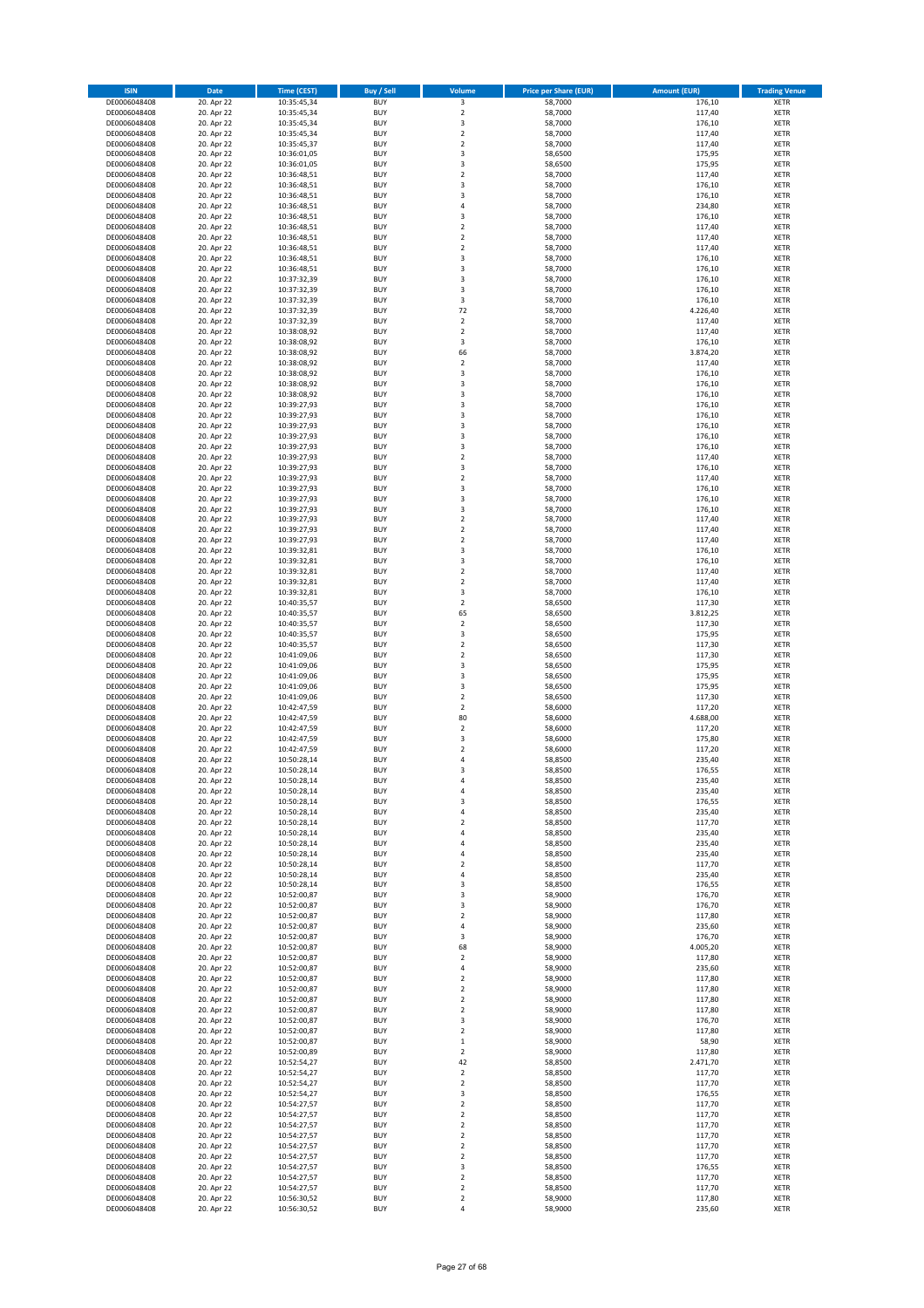| <b>ISIN</b>                  | Date                     | <b>Time (CEST)</b>         | Buy / Sell               | Volume                        | <b>Price per Share (EUR)</b> | <b>Amount (EUR)</b> | <b>Trading Venue</b>       |
|------------------------------|--------------------------|----------------------------|--------------------------|-------------------------------|------------------------------|---------------------|----------------------------|
| DE0006048408                 | 20. Apr 22               | 10:35:45,34                | <b>BUY</b>               | 3                             | 58,7000                      | 176,10              | XETR                       |
| DE0006048408                 | 20. Apr 22               | 10:35:45,34                | <b>BUY</b>               | $\mathbf 2$                   | 58,7000                      | 117,40              | XETR                       |
| DE0006048408<br>DE0006048408 | 20. Apr 22<br>20. Apr 22 | 10:35:45,34<br>10:35:45,34 | <b>BUY</b><br><b>BUY</b> | 3<br>$\mathbf 2$              | 58,7000<br>58,7000           | 176,10<br>117,40    | <b>XETR</b><br><b>XETR</b> |
| DE0006048408                 | 20. Apr 22               | 10:35:45,37                | <b>BUY</b>               | $\mathbf 2$                   | 58,7000                      | 117,40              | <b>XETR</b>                |
| DE0006048408                 | 20. Apr 22               | 10:36:01,05                | <b>BUY</b>               | 3                             | 58,6500                      | 175,95              | <b>XETR</b>                |
| DE0006048408                 | 20. Apr 22               | 10:36:01,05                | <b>BUY</b>               | 3                             | 58,6500                      | 175,95              | <b>XETR</b>                |
| DE0006048408                 | 20. Apr 22               | 10:36:48,51                | <b>BUY</b>               | $\overline{\mathbf{c}}$       | 58,7000                      | 117,40              | <b>XETR</b>                |
| DE0006048408<br>DE0006048408 | 20. Apr 22<br>20. Apr 22 | 10:36:48,51                | <b>BUY</b><br><b>BUY</b> | 3<br>$\overline{\mathbf{3}}$  | 58,7000<br>58,7000           | 176,10<br>176,10    | <b>XETR</b><br><b>XETR</b> |
| DE0006048408                 | 20. Apr 22               | 10:36:48,51<br>10:36:48,51 | <b>BUY</b>               | 4                             | 58,7000                      | 234,80              | XETR                       |
| DE0006048408                 | 20. Apr 22               | 10:36:48,51                | <b>BUY</b>               | 3                             | 58,7000                      | 176,10              | <b>XETR</b>                |
| DE0006048408                 | 20. Apr 22               | 10:36:48,51                | <b>BUY</b>               | $\mathbf 2$                   | 58,7000                      | 117,40              | XETR                       |
| DE0006048408                 | 20. Apr 22               | 10:36:48,51                | <b>BUY</b>               | $\overline{\mathbf{c}}$       | 58,7000                      | 117,40              | <b>XETR</b>                |
| DE0006048408                 | 20. Apr 22               | 10:36:48,51                | <b>BUY</b>               | $\mathbf 2$                   | 58,7000                      | 117,40              | XETR                       |
| DE0006048408<br>DE0006048408 | 20. Apr 22<br>20. Apr 22 | 10:36:48,51<br>10:36:48,51 | <b>BUY</b><br><b>BUY</b> | 3<br>3                        | 58,7000<br>58,7000           | 176,10<br>176,10    | <b>XETR</b><br>XETR        |
| DE0006048408                 | 20. Apr 22               | 10:37:32,39                | <b>BUY</b>               | 3                             | 58,7000                      | 176,10              | <b>XETR</b>                |
| DE0006048408                 | 20. Apr 22               | 10:37:32,39                | <b>BUY</b>               | 3                             | 58,7000                      | 176,10              | XETR                       |
| DE0006048408                 | 20. Apr 22               | 10:37:32,39                | <b>BUY</b>               | 3                             | 58,7000                      | 176,10              | <b>XETR</b>                |
| DE0006048408<br>DE0006048408 | 20. Apr 22<br>20. Apr 22 | 10:37:32,39<br>10:37:32,39 | <b>BUY</b><br><b>BUY</b> | 72<br>$\mathbf 2$             | 58,7000<br>58,7000           | 4.226,40<br>117,40  | <b>XETR</b><br><b>XETR</b> |
| DE0006048408                 | 20. Apr 22               | 10:38:08,92                | <b>BUY</b>               | $\overline{\mathbf{c}}$       | 58,7000                      | 117,40              | <b>XETR</b>                |
| DE0006048408                 | 20. Apr 22               | 10:38:08,92                | <b>BUY</b>               | 3                             | 58,7000                      | 176,10              | <b>XETR</b>                |
| DE0006048408                 | 20. Apr 22               | 10:38:08,92                | <b>BUY</b>               | 66                            | 58,7000                      | 3.874,20            | <b>XETR</b>                |
| DE0006048408                 | 20. Apr 22               | 10:38:08,92                | <b>BUY</b>               | $\overline{\mathbf{c}}$       | 58,7000                      | 117,40              | <b>XETR</b>                |
| DE0006048408                 | 20. Apr 22               | 10:38:08,92                | <b>BUY</b>               | 3                             | 58,7000                      | 176,10              | <b>XETR</b>                |
| DE0006048408<br>DE0006048408 | 20. Apr 22<br>20. Apr 22 | 10:38:08,92<br>10:38:08,92 | <b>BUY</b><br><b>BUY</b> | 3<br>3                        | 58,7000<br>58,7000           | 176,10<br>176,10    | <b>XETR</b><br><b>XETR</b> |
| DE0006048408                 | 20. Apr 22               | 10:39:27,93                | <b>BUY</b>               | 3                             | 58,7000                      | 176,10              | <b>XETR</b>                |
| DE0006048408                 | 20. Apr 22               | 10:39:27,93                | <b>BUY</b>               | 3                             | 58,7000                      | 176,10              | <b>XETR</b>                |
| DE0006048408                 | 20. Apr 22               | 10:39:27,93                | <b>BUY</b>               | 3                             | 58,7000                      | 176,10              | <b>XETR</b>                |
| DE0006048408                 | 20. Apr 22               | 10:39:27,93<br>10:39:27,93 | <b>BUY</b><br><b>BUY</b> | 3                             | 58,7000                      | 176,10<br>176,10    | <b>XETR</b><br>XETR        |
| DE0006048408<br>DE0006048408 | 20. Apr 22<br>20. Apr 22 | 10:39:27,93                | <b>BUY</b>               | 3<br>$\overline{\mathbf{c}}$  | 58,7000<br>58,7000           | 117,40              | <b>XETR</b>                |
| DE0006048408                 | 20. Apr 22               | 10:39:27,93                | <b>BUY</b>               | 3                             | 58,7000                      | 176,10              | XETR                       |
| DE0006048408                 | 20. Apr 22               | 10:39:27,93                | <b>BUY</b>               | $\overline{\mathbf{c}}$       | 58,7000                      | 117,40              | <b>XETR</b>                |
| DE0006048408                 | 20. Apr 22               | 10:39:27,93                | <b>BUY</b>               | 3                             | 58,7000                      | 176,10              | XETR                       |
| DE0006048408                 | 20. Apr 22               | 10:39:27,93                | <b>BUY</b>               | 3                             | 58,7000                      | 176,10              | <b>XETR</b>                |
| DE0006048408<br>DE0006048408 | 20. Apr 22<br>20. Apr 22 | 10:39:27,93<br>10:39:27,93 | <b>BUY</b><br><b>BUY</b> | 3<br>$\overline{\mathbf{c}}$  | 58,7000<br>58,7000           | 176,10<br>117,40    | <b>XETR</b><br><b>XETR</b> |
| DE0006048408                 | 20. Apr 22               | 10:39:27,93                | <b>BUY</b>               | $\mathbf 2$                   | 58,7000                      | 117,40              | <b>XETR</b>                |
| DE0006048408                 | 20. Apr 22               | 10:39:27,93                | <b>BUY</b>               | $\mathbf 2$                   | 58,7000                      | 117,40              | <b>XETR</b>                |
| DE0006048408                 | 20. Apr 22               | 10:39:32,81                | <b>BUY</b>               | 3                             | 58,7000                      | 176,10              | <b>XETR</b>                |
| DE0006048408                 | 20. Apr 22               | 10:39:32,81                | <b>BUY</b>               | 3                             | 58,7000                      | 176,10              | <b>XETR</b>                |
| DE0006048408                 | 20. Apr 22               | 10:39:32,81                | <b>BUY</b>               | $\mathbf 2$                   | 58,7000                      | 117,40              | XETR                       |
| DE0006048408<br>DE0006048408 | 20. Apr 22<br>20. Apr 22 | 10:39:32,81<br>10:39:32,81 | <b>BUY</b><br><b>BUY</b> | 2<br>3                        | 58,7000<br>58,7000           | 117,40<br>176,10    | XETR<br><b>XETR</b>        |
| DE0006048408                 | 20. Apr 22               | 10:40:35,57                | <b>BUY</b>               | $\mathbf 2$                   | 58,6500                      | 117,30              | <b>XETR</b>                |
| DE0006048408                 | 20. Apr 22               | 10:40:35,57                | <b>BUY</b>               | 65                            | 58,6500                      | 3.812,25            | <b>XETR</b>                |
| DE0006048408                 | 20. Apr 22               | 10:40:35,57                | <b>BUY</b>               | 2                             | 58,6500                      | 117,30              | <b>XETR</b>                |
| DE0006048408                 | 20. Apr 22               | 10:40:35,57                | <b>BUY</b>               | 3                             | 58,6500                      | 175,95              | <b>XETR</b>                |
| DE0006048408<br>DE0006048408 | 20. Apr 22<br>20. Apr 22 | 10:40:35,57<br>10:41:09,06 | <b>BUY</b><br><b>BUY</b> | $\mathbf 2$<br>$\mathbf 2$    | 58,6500<br>58,6500           | 117,30<br>117,30    | <b>XETR</b><br><b>XETR</b> |
| DE0006048408                 | 20. Apr 22               | 10:41:09,06                | <b>BUY</b>               | 3                             | 58,6500                      | 175,95              | <b>XETR</b>                |
| DE0006048408                 | 20. Apr 22               | 10:41:09,06                | <b>BUY</b>               | 3                             | 58,6500                      | 175,95              | <b>XETR</b>                |
| DE0006048408                 | 20. Apr 22               | 10:41:09,06                | <b>BUY</b>               | 3                             | 58,6500                      | 175,95              | <b>XETR</b>                |
| DE0006048408                 | 20. Apr 22               | 10:41:09,06                | <b>BUY</b>               | $\mathbf 2$                   | 58,6500                      | 117,30              | <b>XETR</b>                |
| DE0006048408<br>DE0006048408 | 20. Apr 22<br>20. Apr 22 | 10:42:47,59<br>10:42:47,59 | <b>BUY</b><br><b>BUY</b> | $\mathbf 2$<br>80             | 58,6000<br>58,6000           | 117,20<br>4.688,00  | <b>XETR</b><br><b>XETR</b> |
| DE0006048408                 | 20. Apr 22               | 10:42:47,59                | <b>BUY</b>               | $\mathbf 2$                   | 58,6000                      | 117,20              | XETR                       |
| DE0006048408                 | 20. Apr 22               | 10:42:47,59                | <b>BUY</b>               | 3                             | 58,6000                      | 175,80              | <b>XETR</b>                |
| DE0006048408                 | 20. Apr 22               | 10:42:47,59                | <b>BUY</b>               | 2                             | 58,6000                      | 117,20              | XETR                       |
| DE0006048408                 | 20. Apr 22               | 10:50:28,14                | <b>BUY</b>               | 4                             | 58,8500                      | 235,40              | <b>XETR</b>                |
| DE0006048408<br>DE0006048408 | 20. Apr 22<br>20. Apr 22 | 10:50:28,14<br>10:50:28,14 | <b>BUY</b><br><b>BUY</b> | 3<br>4                        | 58,8500<br>58,8500           | 176,55<br>235,40    | XETR<br>XETR               |
| DE0006048408                 | 20. Apr 22               | 10:50:28,14                | <b>BUY</b>               | 4                             | 58,8500                      | 235,40              | XETR                       |
| DE0006048408                 | 20. Apr 22               | 10:50:28,14                | <b>BUY</b>               | 3                             | 58,8500                      | 176,55              | XETR                       |
| DE0006048408                 | 20. Apr 22               | 10:50:28,14                | <b>BUY</b>               | 4                             | 58,8500                      | 235,40              | <b>XETR</b>                |
| DE0006048408                 | 20. Apr 22               | 10:50:28,14                | <b>BUY</b>               | 2                             | 58,8500                      | 117,70              | <b>XETR</b>                |
| DE0006048408<br>DE0006048408 | 20. Apr 22<br>20. Apr 22 | 10:50:28,14<br>10:50:28,14 | <b>BUY</b><br><b>BUY</b> | 4<br>4                        | 58,8500<br>58,8500           | 235,40<br>235,40    | XETR<br><b>XETR</b>        |
| DE0006048408                 | 20. Apr 22               | 10:50:28,14                | <b>BUY</b>               | 4                             | 58,8500                      | 235,40              | XETR                       |
| DE0006048408                 | 20. Apr 22               | 10:50:28,14                | <b>BUY</b>               | $\mathbf 2$                   | 58,8500                      | 117,70              | <b>XETR</b>                |
| DE0006048408                 | 20. Apr 22               | 10:50:28,14                | <b>BUY</b>               | 4                             | 58,8500                      | 235,40              | XETR                       |
| DE0006048408<br>DE0006048408 | 20. Apr 22<br>20. Apr 22 | 10:50:28,14<br>10:52:00,87 | <b>BUY</b><br><b>BUY</b> | 3<br>3                        | 58,8500<br>58,9000           | 176,55<br>176,70    | <b>XETR</b><br>XETR        |
| DE0006048408                 | 20. Apr 22               | 10:52:00,87                | <b>BUY</b>               | 3                             | 58,9000                      | 176,70              | <b>XETR</b>                |
| DE0006048408                 | 20. Apr 22               | 10:52:00,87                | <b>BUY</b>               | $\mathbf 2$                   | 58,9000                      | 117,80              | XETR                       |
| DE0006048408                 | 20. Apr 22               | 10:52:00,87                | <b>BUY</b>               | 4                             | 58,9000                      | 235,60              | <b>XETR</b>                |
| DE0006048408                 | 20. Apr 22               | 10:52:00,87                | <b>BUY</b>               | 3                             | 58,9000                      | 176,70              | XETR                       |
| DE0006048408<br>DE0006048408 | 20. Apr 22<br>20. Apr 22 | 10:52:00,87                | <b>BUY</b><br><b>BUY</b> | 68                            | 58,9000<br>58,9000           | 4.005,20<br>117,80  | <b>XETR</b><br><b>XETR</b> |
| DE0006048408                 | 20. Apr 22               | 10:52:00,87<br>10:52:00,87 | <b>BUY</b>               | 2<br>4                        | 58,9000                      | 235,60              | <b>XETR</b>                |
| DE0006048408                 | 20. Apr 22               | 10:52:00,87                | <b>BUY</b>               | 2                             | 58,9000                      | 117,80              | XETR                       |
| DE0006048408                 | 20. Apr 22               | 10:52:00,87                | <b>BUY</b>               | $\mathbf 2$                   | 58,9000                      | 117,80              | <b>XETR</b>                |
| DE0006048408                 | 20. Apr 22               | 10:52:00,87                | <b>BUY</b>               | 2                             | 58,9000                      | 117,80              | <b>XETR</b>                |
| DE0006048408<br>DE0006048408 | 20. Apr 22<br>20. Apr 22 | 10:52:00,87<br>10:52:00,87 | <b>BUY</b><br><b>BUY</b> | 2<br>3                        | 58,9000<br>58,9000           | 117,80<br>176,70    | XETR<br><b>XETR</b>        |
| DE0006048408                 | 20. Apr 22               | 10:52:00,87                | <b>BUY</b>               | $\mathbf 2$                   | 58,9000                      | 117,80              | XETR                       |
| DE0006048408                 | 20. Apr 22               | 10:52:00,87                | <b>BUY</b>               | $\mathbf 1$                   | 58,9000                      | 58,90               | <b>XETR</b>                |
| DE0006048408                 | 20. Apr 22               | 10:52:00,89                | <b>BUY</b>               | 2                             | 58,9000                      | 117,80              | XETR                       |
| DE0006048408                 | 20. Apr 22               | 10:52:54,27                | <b>BUY</b>               | 42                            | 58,8500                      | 2.471,70            | <b>XETR</b>                |
| DE0006048408                 | 20. Apr 22               | 10:52:54,27                | <b>BUY</b><br><b>BUY</b> | $\mathbf 2$<br>$\overline{2}$ | 58,8500<br>58,8500           | 117,70              | XETR<br><b>XETR</b>        |
| DE0006048408<br>DE0006048408 | 20. Apr 22<br>20. Apr 22 | 10:52:54,27<br>10:52:54,27 | <b>BUY</b>               | 3                             | 58,8500                      | 117,70<br>176,55    | XETR                       |
| DE0006048408                 | 20. Apr 22               | 10:54:27,57                | <b>BUY</b>               | $\mathbf 2$                   | 58,8500                      | 117,70              | <b>XETR</b>                |
| DE0006048408                 | 20. Apr 22               | 10:54:27,57                | <b>BUY</b>               | $\mathbf 2$                   | 58,8500                      | 117,70              | XETR                       |
| DE0006048408                 | 20. Apr 22               | 10:54:27,57                | <b>BUY</b>               | $\overline{\mathbf{2}}$       | 58,8500                      | 117,70              | <b>XETR</b>                |
| DE0006048408<br>DE0006048408 | 20. Apr 22<br>20. Apr 22 | 10:54:27,57<br>10:54:27,57 | <b>BUY</b><br><b>BUY</b> | 2<br>2                        | 58,8500<br>58,8500           | 117,70<br>117,70    | <b>XETR</b><br><b>XETR</b> |
| DE0006048408                 | 20. Apr 22               | 10:54:27,57                | <b>BUY</b>               | $\mathbf 2$                   | 58,8500                      | 117,70              | XETR                       |
| DE0006048408                 | 20. Apr 22               | 10:54:27,57                | <b>BUY</b>               | 3                             | 58,8500                      | 176,55              | <b>XETR</b>                |
| DE0006048408                 | 20. Apr 22               | 10:54:27,57                | <b>BUY</b>               | $\boldsymbol{2}$              | 58,8500                      | 117,70              | XETR                       |
| DE0006048408                 | 20. Apr 22               | 10:54:27,57                | <b>BUY</b>               | $\mathbf 2$                   | 58,8500                      | 117,70              | XETR                       |
| DE0006048408<br>DE0006048408 | 20. Apr 22<br>20. Apr 22 | 10:56:30,52<br>10:56:30,52 | <b>BUY</b><br><b>BUY</b> | $\mathbf 2$<br>4              | 58,9000<br>58,9000           | 117,80<br>235,60    | XETR<br><b>XETR</b>        |
|                              |                          |                            |                          |                               |                              |                     |                            |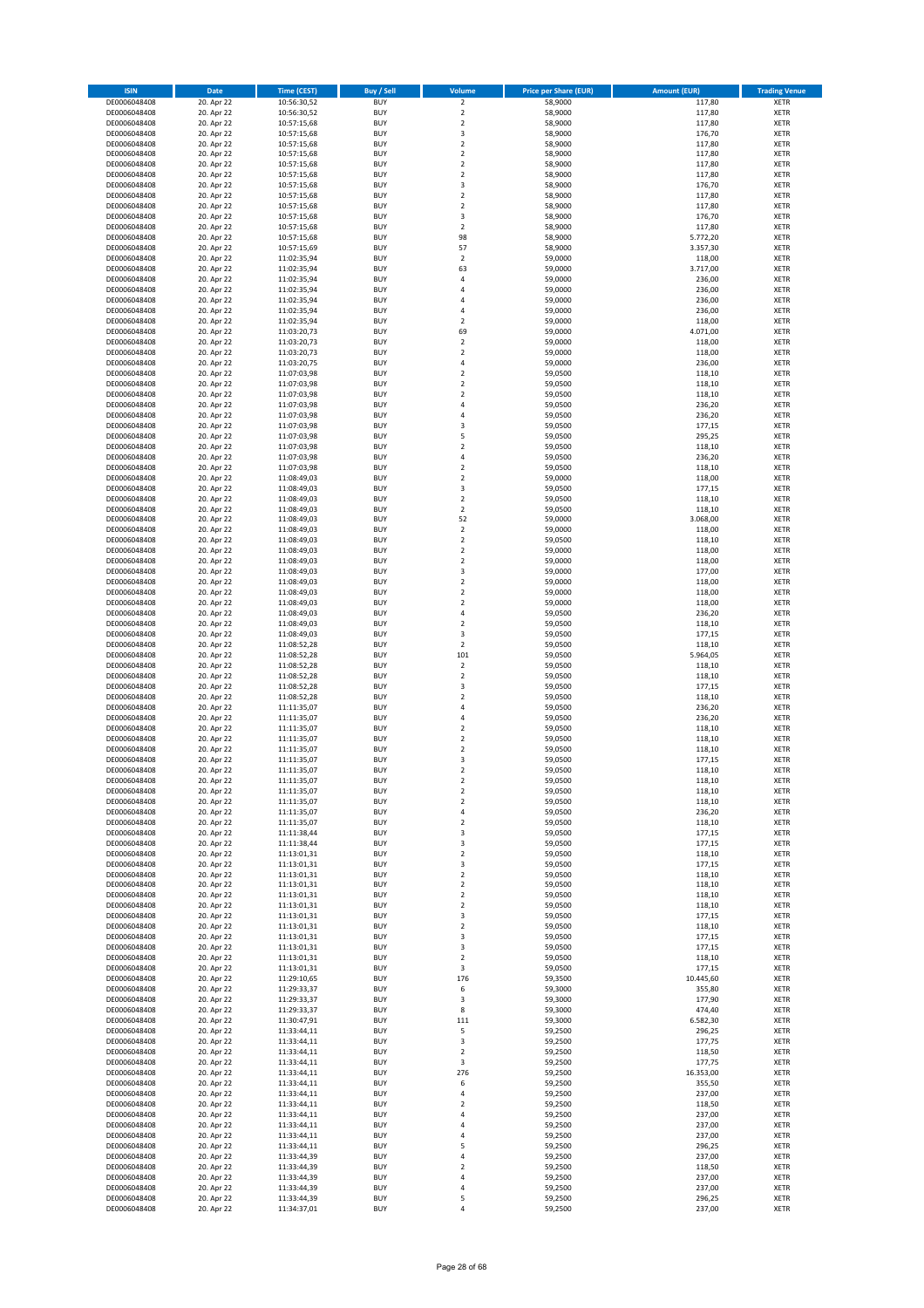| <b>ISIN</b>                  | Date                     | <b>Time (CEST)</b>         | <b>Buy / Sell</b>        | Volume                          | <b>Price per Share (EUR)</b> | <b>Amount (EUR)</b> | <b>Trading Venue</b>       |
|------------------------------|--------------------------|----------------------------|--------------------------|---------------------------------|------------------------------|---------------------|----------------------------|
| DE0006048408                 | 20. Apr 22               | 10:56:30,52                | <b>BUY</b>               | $\overline{2}$                  | 58,9000                      | 117,80              | <b>XETR</b>                |
| DE0006048408                 | 20. Apr 22               | 10:56:30,52                | <b>BUY</b>               | $\mathbf 2$                     | 58,9000                      | 117,80              | <b>XETR</b>                |
| DE0006048408<br>DE0006048408 | 20. Apr 22<br>20. Apr 22 | 10:57:15,68<br>10:57:15,68 | <b>BUY</b><br><b>BUY</b> | $\mathbf 2$<br>3                | 58,9000<br>58,9000           | 117,80<br>176,70    | <b>XETR</b><br><b>XETR</b> |
| DE0006048408                 | 20. Apr 22               | 10:57:15,68                | <b>BUY</b>               | $\mathbf 2$                     | 58,9000                      | 117,80              | <b>XETR</b>                |
| DE0006048408                 | 20. Apr 22               | 10:57:15,68                | <b>BUY</b>               | $\overline{2}$                  | 58,9000                      | 117,80              | <b>XETR</b>                |
| DE0006048408                 | 20. Apr 22               | 10:57:15,68                | <b>BUY</b>               | $\overline{2}$                  | 58,9000                      | 117,80              | <b>XETR</b>                |
| DE0006048408                 | 20. Apr 22               | 10:57:15,68                | <b>BUY</b>               | $\overline{2}$                  | 58,9000                      | 117,80              | <b>XETR</b>                |
| DE0006048408<br>DE0006048408 | 20. Apr 22<br>20. Apr 22 | 10:57:15,68                | <b>BUY</b><br><b>BUY</b> | 3<br>$\overline{2}$             | 58,9000<br>58,9000           | 176,70<br>117,80    | XETR<br><b>XETR</b>        |
| DE0006048408                 | 20. Apr 22               | 10:57:15,68<br>10:57:15,68 | <b>BUY</b>               | $\mathbf 2$                     | 58,9000                      | 117,80              | XETR                       |
| DE0006048408                 | 20. Apr 22               | 10:57:15,68                | <b>BUY</b>               | 3                               | 58,9000                      | 176,70              | <b>XETR</b>                |
| DE0006048408                 | 20. Apr 22               | 10:57:15,68                | <b>BUY</b>               | $\mathbf 2$                     | 58,9000                      | 117,80              | XETR                       |
| DE0006048408                 | 20. Apr 22               | 10:57:15,68                | <b>BUY</b>               | 98                              | 58,9000                      | 5.772,20            | <b>XETR</b>                |
| DE0006048408                 | 20. Apr 22               | 10:57:15,69                | <b>BUY</b>               | 57                              | 58,9000                      | 3.357,30            | XETR                       |
| DE0006048408<br>DE0006048408 | 20. Apr 22<br>20. Apr 22 | 11:02:35,94<br>11:02:35,94 | <b>BUY</b><br><b>BUY</b> | $\overline{2}$<br>63            | 59,0000<br>59,0000           | 118,00<br>3.717,00  | <b>XETR</b><br>XETR        |
| DE0006048408                 | 20. Apr 22               | 11:02:35,94                | <b>BUY</b>               | $\sqrt{4}$                      | 59,0000                      | 236,00              | <b>XETR</b>                |
| DE0006048408                 | 20. Apr 22               | 11:02:35,94                | <b>BUY</b>               | $\overline{4}$                  | 59,0000                      | 236,00              | XETR                       |
| DE0006048408                 | 20. Apr 22               | 11:02:35,94                | <b>BUY</b>               | 4                               | 59,0000                      | 236,00              | <b>XETR</b>                |
| DE0006048408                 | 20. Apr 22               | 11:02:35,94                | <b>BUY</b>               | $\sqrt{4}$                      | 59,0000                      | 236,00              | <b>XETR</b>                |
| DE0006048408<br>DE0006048408 | 20. Apr 22<br>20. Apr 22 | 11:02:35,94<br>11:03:20,73 | <b>BUY</b><br><b>BUY</b> | $\overline{2}$<br>69            | 59,0000<br>59,0000           | 118,00<br>4.071,00  | <b>XETR</b><br><b>XETR</b> |
| DE0006048408                 | 20. Apr 22               | 11:03:20,73                | <b>BUY</b>               | $\mathbf 2$                     | 59,0000                      | 118,00              | <b>XETR</b>                |
| DE0006048408                 | 20. Apr 22               | 11:03:20,73                | <b>BUY</b>               | $\overline{2}$                  | 59,0000                      | 118,00              | <b>XETR</b>                |
| DE0006048408                 | 20. Apr 22               | 11:03:20,75                | <b>BUY</b>               | 4                               | 59,0000                      | 236,00              | <b>XETR</b>                |
| DE0006048408                 | 20. Apr 22               | 11:07:03,98                | <b>BUY</b>               | $\overline{2}$                  | 59,0500                      | 118,10              | <b>XETR</b>                |
| DE0006048408<br>DE0006048408 | 20. Apr 22               | 11:07:03,98<br>11:07:03,98 | <b>BUY</b><br><b>BUY</b> | $\mathbf 2$<br>$\overline{2}$   | 59,0500<br>59,0500           | 118,10<br>118,10    | <b>XETR</b><br><b>XETR</b> |
| DE0006048408                 | 20. Apr 22<br>20. Apr 22 | 11:07:03,98                | <b>BUY</b>               | 4                               | 59,0500                      | 236,20              | <b>XETR</b>                |
| DE0006048408                 | 20. Apr 22               | 11:07:03,98                | <b>BUY</b>               | $\sqrt{4}$                      | 59,0500                      | 236,20              | <b>XETR</b>                |
| DE0006048408                 | 20. Apr 22               | 11:07:03,98                | <b>BUY</b>               | 3                               | 59,0500                      | 177,15              | <b>XETR</b>                |
| DE0006048408                 | 20. Apr 22               | 11:07:03,98                | <b>BUY</b>               | 5                               | 59,0500                      | 295,25              | <b>XETR</b>                |
| DE0006048408                 | 20. Apr 22               | 11:07:03,98<br>11:07:03,98 | <b>BUY</b><br><b>BUY</b> | $\boldsymbol{2}$<br>$\sqrt{4}$  | 59,0500                      | 118,10              | XETR<br><b>XETR</b>        |
| DE0006048408<br>DE0006048408 | 20. Apr 22<br>20. Apr 22 | 11:07:03,98                | <b>BUY</b>               | $\overline{2}$                  | 59,0500<br>59,0500           | 236,20<br>118,10    | XETR                       |
| DE0006048408                 | 20. Apr 22               | 11:08:49,03                | <b>BUY</b>               | $\overline{2}$                  | 59,0000                      | 118,00              | <b>XETR</b>                |
| DE0006048408                 | 20. Apr 22               | 11:08:49,03                | <b>BUY</b>               | 3                               | 59,0500                      | 177,15              | <b>XETR</b>                |
| DE0006048408                 | 20. Apr 22               | 11:08:49,03                | <b>BUY</b>               | $\overline{2}$                  | 59,0500                      | 118,10              | <b>XETR</b>                |
| DE0006048408                 | 20. Apr 22               | 11:08:49,03                | <b>BUY</b>               | $\overline{2}$                  | 59,0500                      | 118,10              | <b>XETR</b>                |
| DE0006048408<br>DE0006048408 | 20. Apr 22<br>20. Apr 22 | 11:08:49,03<br>11:08:49,03 | <b>BUY</b><br><b>BUY</b> | 52<br>$\boldsymbol{2}$          | 59,0000<br>59,0000           | 3.068,00<br>118,00  | <b>XETR</b><br><b>XETR</b> |
| DE0006048408                 | 20. Apr 22               | 11:08:49,03                | <b>BUY</b>               | $\overline{2}$                  | 59,0500                      | 118,10              | <b>XETR</b>                |
| DE0006048408                 | 20. Apr 22               | 11:08:49,03                | <b>BUY</b>               | $\overline{2}$                  | 59,0000                      | 118,00              | <b>XETR</b>                |
| DE0006048408                 | 20. Apr 22               | 11:08:49,03                | <b>BUY</b>               | $\overline{2}$                  | 59,0000                      | 118,00              | <b>XETR</b>                |
| DE0006048408                 | 20. Apr 22               | 11:08:49,03                | <b>BUY</b>               | 3                               | 59,0000                      | 177,00              | <b>XETR</b>                |
| DE0006048408<br>DE0006048408 | 20. Apr 22<br>20. Apr 22 | 11:08:49,03                | <b>BUY</b><br><b>BUY</b> | $\mathbf 2$<br>$\boldsymbol{2}$ | 59,0000<br>59,0000           | 118,00              | XETR<br><b>XETR</b>        |
| DE0006048408                 | 20. Apr 22               | 11:08:49,03<br>11:08:49,03 | <b>BUY</b>               | $\mathbf 2$                     | 59,0000                      | 118,00<br>118,00    | <b>XETR</b>                |
| DE0006048408                 | 20. Apr 22               | 11:08:49,03                | <b>BUY</b>               | $\sqrt{4}$                      | 59,0500                      | 236,20              | <b>XETR</b>                |
| DE0006048408                 | 20. Apr 22               | 11:08:49,03                | <b>BUY</b>               | $\mathbf 2$                     | 59,0500                      | 118,10              | <b>XETR</b>                |
| DE0006048408                 | 20. Apr 22               | 11:08:49,03                | <b>BUY</b>               | 3                               | 59,0500                      | 177,15              | <b>XETR</b>                |
| DE0006048408                 | 20. Apr 22               | 11:08:52,28                | <b>BUY</b>               | $\overline{2}$                  | 59,0500                      | 118,10              | <b>XETR</b>                |
| DE0006048408<br>DE0006048408 | 20. Apr 22<br>20. Apr 22 | 11:08:52,28<br>11:08:52,28 | <b>BUY</b><br><b>BUY</b> | 101<br>$\mathbf 2$              | 59,0500<br>59,0500           | 5.964,05<br>118,10  | <b>XETR</b><br><b>XETR</b> |
| DE0006048408                 | 20. Apr 22               | 11:08:52,28                | <b>BUY</b>               | $\overline{2}$                  | 59,0500                      | 118,10              | <b>XETR</b>                |
| DE0006048408                 | 20. Apr 22               | 11:08:52,28                | <b>BUY</b>               | 3                               | 59,0500                      | 177,15              | <b>XETR</b>                |
| DE0006048408                 | 20. Apr 22               | 11:08:52,28                | <b>BUY</b>               | $\overline{2}$                  | 59,0500                      | 118,10              | <b>XETR</b>                |
| DE0006048408                 | 20. Apr 22               | 11:11:35,07                | <b>BUY</b>               | 4                               | 59,0500                      | 236,20              | <b>XETR</b>                |
| DE0006048408                 | 20. Apr 22               | 11:11:35,07                | <b>BUY</b><br><b>BUY</b> | 4<br>$\overline{2}$             | 59,0500<br>59,0500           | 236,20<br>118,10    | <b>XETR</b><br>XETR        |
| DE0006048408<br>DE0006048408 | 20. Apr 22<br>20. Apr 22 | 11:11:35,07<br>11:11:35,07 | <b>BUY</b>               | $\overline{2}$                  | 59,0500                      | 118,10              | <b>XETR</b>                |
| DE0006048408                 | 20. Apr 22               | 11:11:35,07                | <b>BUY</b>               | $\boldsymbol{2}$                | 59,0500                      | 118,10              | XETR                       |
| DE0006048408                 | 20. Apr 22               | 11:11:35,07                | <b>BUY</b>               | 3                               | 59,0500                      | 177,15              | <b>XETR</b>                |
| DE0006048408                 | 20. Apr 22               | 11:11:35,07                | <b>BUY</b>               | $\overline{2}$                  | 59,0500                      | 118,10              | <b>XETR</b>                |
| DE0006048408<br>DE0006048408 | 20. Apr 22               | 11:11:35,07                | <b>BUY</b>               | $\overline{\mathbf{c}}$         | 59,0500                      | 118,10              | XETR                       |
| DE0006048408                 | 20. Apr 22<br>20. Apr 22 | 11:11:35,07<br>11:11:35,07 | <b>BUY</b><br><b>BUY</b> | $\mathbf 2$<br>$\mathbf 2$      | 59,0500<br>59,0500           | 118,10<br>118,10    | XETR<br>XETR               |
| DE0006048408                 | 20. Apr 22               | 11:11:35,07                | <b>BUY</b>               | 4                               | 59,0500                      | 236,20              | <b>XETR</b>                |
| DE0006048408                 | 20. Apr 22               | 11:11:35,07                | <b>BUY</b>               | $\mathbf 2$                     | 59,0500                      | 118,10              | <b>XETR</b>                |
| DE0006048408                 | 20. Apr 22               | 11:11:38,44                | <b>BUY</b>               | 3                               | 59,0500                      | 177,15              | XETR                       |
| DE0006048408<br>DE0006048408 | 20. Apr 22<br>20. Apr 22 | 11:11:38,44<br>11:13:01,31 | <b>BUY</b><br><b>BUY</b> | 3<br>$\sqrt{2}$                 | 59,0500<br>59,0500           | 177,15<br>118,10    | <b>XETR</b><br><b>XETR</b> |
| DE0006048408                 | 20. Apr 22               | 11:13:01,31                | <b>BUY</b>               | 3                               | 59,0500                      | 177,15              | <b>XETR</b>                |
| DE0006048408                 | 20. Apr 22               | 11:13:01,31                | <b>BUY</b>               | $\mathbf 2$                     | 59,0500                      | 118,10              | XETR                       |
| DE0006048408                 | 20. Apr 22               | 11:13:01,31                | <b>BUY</b>               | $\mathbf 2$                     | 59,0500                      | 118,10              | <b>XETR</b>                |
| DE0006048408                 | 20. Apr 22               | 11:13:01,31                | <b>BUY</b>               | $\mathbf 2$                     | 59,0500                      | 118,10              | <b>XETR</b>                |
| DE0006048408<br>DE0006048408 | 20. Apr 22<br>20. Apr 22 | 11:13:01,31<br>11:13:01,31 | <b>BUY</b><br><b>BUY</b> | $\overline{2}$<br>3             | 59,0500<br>59,0500           | 118,10<br>177,15    | <b>XETR</b><br>XETR        |
| DE0006048408                 | 20. Apr 22               | 11:13:01,31                | <b>BUY</b>               | $\mathbf 2$                     | 59,0500                      | 118,10              | <b>XETR</b>                |
| DE0006048408                 | 20. Apr 22               | 11:13:01,31                | <b>BUY</b>               | 3                               | 59,0500                      | 177,15              | <b>XETR</b>                |
| DE0006048408                 | 20. Apr 22               | 11:13:01,31                | <b>BUY</b>               | 3                               | 59,0500                      | 177,15              | <b>XETR</b>                |
| DE0006048408                 | 20. Apr 22               | 11:13:01,31                | <b>BUY</b>               | $\mathbf 2$                     | 59,0500                      | 118,10              | <b>XETR</b>                |
| DE0006048408                 | 20. Apr 22               | 11:13:01,31                | <b>BUY</b>               | 3                               | 59,0500                      | 177,15              | <b>XETR</b>                |
| DE0006048408<br>DE0006048408 | 20. Apr 22<br>20. Apr 22 | 11:29:10,65<br>11:29:33,37 | <b>BUY</b><br><b>BUY</b> | 176<br>6                        | 59,3500<br>59,3000           | 10.445,60<br>355,80 | <b>XETR</b><br><b>XETR</b> |
| DE0006048408                 | 20. Apr 22               | 11:29:33,37                | <b>BUY</b>               | 3                               | 59,3000                      | 177,90              | <b>XETR</b>                |
| DE0006048408                 | 20. Apr 22               | 11:29:33,37                | <b>BUY</b>               | 8                               | 59,3000                      | 474,40              | XETR                       |
| DE0006048408                 | 20. Apr 22               | 11:30:47,91                | <b>BUY</b>               | 111                             | 59,3000                      | 6.582,30            | XETR                       |
| DE0006048408                 | 20. Apr 22               | 11:33:44,11                | <b>BUY</b>               | 5                               | 59,2500                      | 296,25              | <b>XETR</b>                |
| DE0006048408<br>DE0006048408 | 20. Apr 22<br>20. Apr 22 | 11:33:44,11<br>11:33:44,11 | <b>BUY</b><br><b>BUY</b> | 3<br>$\overline{\mathbf{c}}$    | 59,2500<br>59,2500           | 177,75<br>118,50    | <b>XETR</b><br>XETR        |
| DE0006048408                 | 20. Apr 22               | 11:33:44,11                | <b>BUY</b>               | 3                               | 59,2500                      | 177,75              | XETR                       |
| DE0006048408                 | 20. Apr 22               | 11:33:44,11                | <b>BUY</b>               | 276                             | 59,2500                      | 16.353,00           | XETR                       |
| DE0006048408                 | 20. Apr 22               | 11:33:44,11                | <b>BUY</b>               | 6                               | 59,2500                      | 355,50              | <b>XETR</b>                |
| DE0006048408                 | 20. Apr 22               | 11:33:44,11                | <b>BUY</b>               | 4                               | 59,2500                      | 237,00              | XETR                       |
| DE0006048408                 | 20. Apr 22               | 11:33:44,11                | <b>BUY</b>               | $\overline{\mathbf{c}}$         | 59,2500                      | 118,50              | XETR                       |
| DE0006048408<br>DE0006048408 | 20. Apr 22<br>20. Apr 22 | 11:33:44,11<br>11:33:44,11 | <b>BUY</b><br><b>BUY</b> | 4<br>$\overline{4}$             | 59,2500<br>59,2500           | 237,00<br>237,00    | <b>XETR</b><br><b>XETR</b> |
| DE0006048408                 | 20. Apr 22               | 11:33:44,11                | <b>BUY</b>               | 4                               | 59,2500                      | 237,00              | <b>XETR</b>                |
| DE0006048408                 | 20. Apr 22               | 11:33:44,11                | <b>BUY</b>               | 5                               | 59,2500                      | 296,25              | <b>XETR</b>                |
| DE0006048408                 | 20. Apr 22               | 11:33:44,39                | <b>BUY</b>               | $\overline{4}$                  | 59,2500                      | 237,00              | <b>XETR</b>                |
| DE0006048408                 | 20. Apr 22               | 11:33:44,39                | <b>BUY</b>               | $\mathbf 2$                     | 59,2500                      | 118,50              | <b>XETR</b>                |
| DE0006048408<br>DE0006048408 | 20. Apr 22<br>20. Apr 22 | 11:33:44,39<br>11:33:44,39 | <b>BUY</b><br><b>BUY</b> | $\sqrt{4}$<br>4                 | 59,2500<br>59,2500           | 237,00<br>237,00    | <b>XETR</b><br><b>XETR</b> |
| DE0006048408                 | 20. Apr 22               | 11:33:44,39                | <b>BUY</b>               | 5                               | 59,2500                      | 296,25              | <b>XETR</b>                |
| DE0006048408                 | 20. Apr 22               | 11:34:37,01                | <b>BUY</b>               | 4                               | 59,2500                      | 237,00              | <b>XETR</b>                |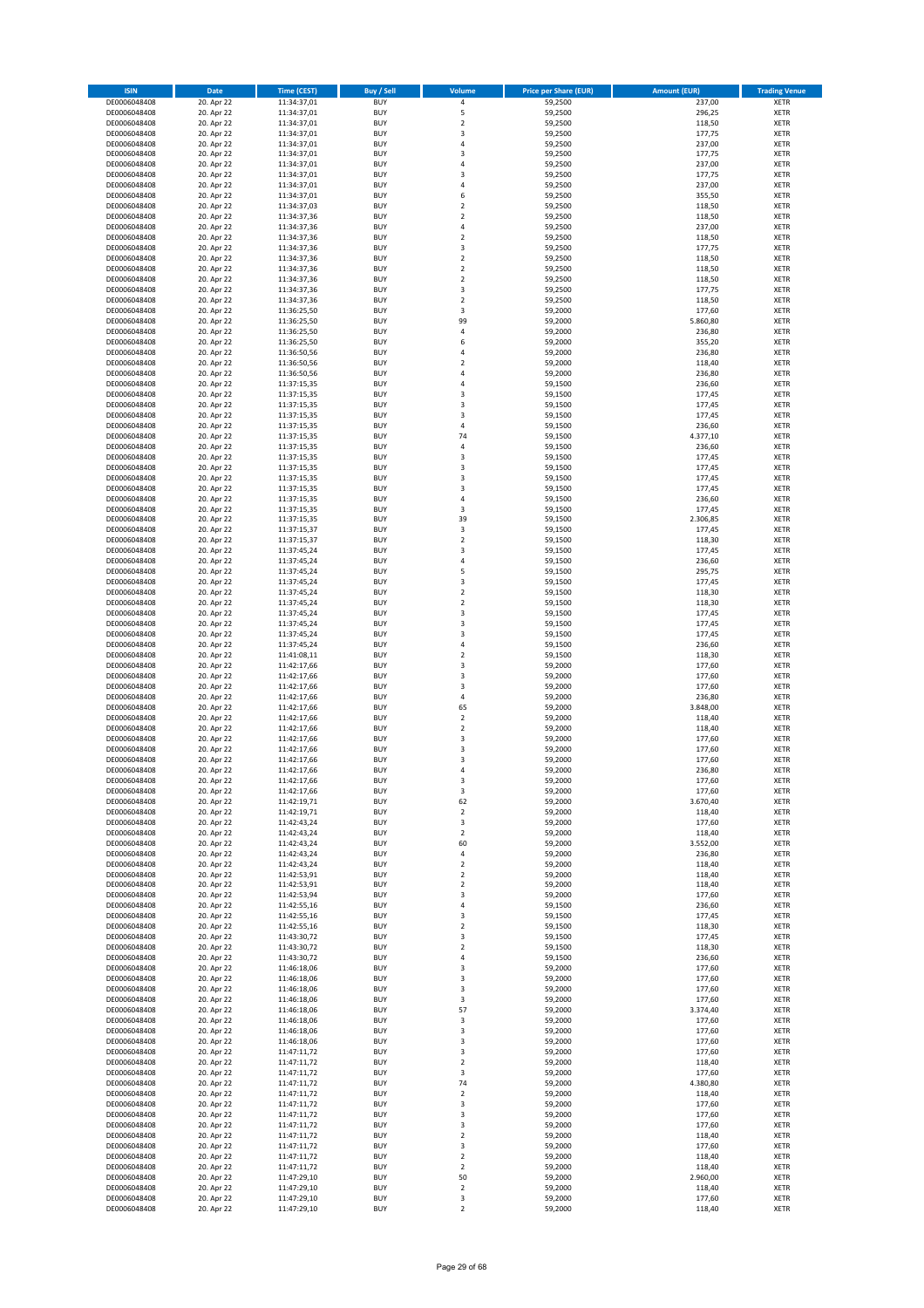| <b>ISIN</b>                  | Date                     | <b>Time (CEST)</b>         | <b>Buy / Sell</b>        | Volume                        | <b>Price per Share (EUR)</b> | <b>Amount (EUR)</b> | <b>Trading Venue</b>       |
|------------------------------|--------------------------|----------------------------|--------------------------|-------------------------------|------------------------------|---------------------|----------------------------|
| DE0006048408                 | 20. Apr 22               | 11:34:37,01                | <b>BUY</b>               | $\pmb{4}$                     | 59,2500                      | 237,00              | <b>XETR</b>                |
| DE0006048408                 | 20. Apr 22               | 11:34:37,01                | <b>BUY</b>               | 5                             | 59,2500                      | 296,25              | <b>XETR</b>                |
| DE0006048408<br>DE0006048408 | 20. Apr 22<br>20. Apr 22 | 11:34:37,01<br>11:34:37,01 | <b>BUY</b><br><b>BUY</b> | $\mathbf 2$<br>3              | 59,2500<br>59,2500           | 118,50<br>177,75    | <b>XETR</b><br><b>XETR</b> |
| DE0006048408                 | 20. Apr 22               | 11:34:37,01                | <b>BUY</b>               | $\sqrt{4}$                    | 59,2500                      | 237,00              | <b>XETR</b>                |
| DE0006048408                 | 20. Apr 22               | 11:34:37,01                | <b>BUY</b>               | 3                             | 59,2500                      | 177,75              | <b>XETR</b>                |
| DE0006048408                 | 20. Apr 22               | 11:34:37,01                | <b>BUY</b>               | $\overline{4}$                | 59,2500                      | 237,00              | <b>XETR</b>                |
| DE0006048408                 | 20. Apr 22               | 11:34:37,01                | <b>BUY</b>               | 3                             | 59,2500                      | 177,75              | <b>XETR</b>                |
| DE0006048408                 | 20. Apr 22               | 11:34:37,01                | <b>BUY</b><br><b>BUY</b> | $\sqrt{4}$<br>6               | 59,2500                      | 237,00              | XETR<br><b>XETR</b>        |
| DE0006048408<br>DE0006048408 | 20. Apr 22<br>20. Apr 22 | 11:34:37,01<br>11:34:37,03 | <b>BUY</b>               | $\overline{2}$                | 59,2500<br>59,2500           | 355,50<br>118,50    | <b>XETR</b>                |
| DE0006048408                 | 20. Apr 22               | 11:34:37,36                | <b>BUY</b>               | $\overline{2}$                | 59,2500                      | 118,50              | <b>XETR</b>                |
| DE0006048408                 | 20. Apr 22               | 11:34:37,36                | <b>BUY</b>               | 4                             | 59,2500                      | 237,00              | XETR                       |
| DE0006048408                 | 20. Apr 22               | 11:34:37,36                | <b>BUY</b>               | $\overline{2}$                | 59,2500                      | 118,50              | <b>XETR</b>                |
| DE0006048408                 | 20. Apr 22               | 11:34:37,36                | <b>BUY</b>               | $\mathsf 3$                   | 59,2500                      | 177,75              | XETR                       |
| DE0006048408<br>DE0006048408 | 20. Apr 22<br>20. Apr 22 | 11:34:37,36<br>11:34:37,36 | <b>BUY</b><br><b>BUY</b> | $\overline{2}$<br>$\mathbf 2$ | 59,2500<br>59,2500           | 118,50<br>118,50    | <b>XETR</b><br>XETR        |
| DE0006048408                 | 20. Apr 22               | 11:34:37,36                | <b>BUY</b>               | $\overline{2}$                | 59,2500                      | 118,50              | <b>XETR</b>                |
| DE0006048408                 | 20. Apr 22               | 11:34:37,36                | <b>BUY</b>               | $\overline{\mathbf{3}}$       | 59,2500                      | 177,75              | XETR                       |
| DE0006048408                 | 20. Apr 22               | 11:34:37,36                | <b>BUY</b>               | $\mathbf 2$                   | 59,2500                      | 118,50              | <b>XETR</b>                |
| DE0006048408                 | 20. Apr 22               | 11:36:25,50                | <b>BUY</b>               | 3                             | 59,2000                      | 177,60              | <b>XETR</b>                |
| DE0006048408<br>DE0006048408 | 20. Apr 22<br>20. Apr 22 | 11:36:25,50<br>11:36:25,50 | <b>BUY</b><br><b>BUY</b> | 99<br>$\overline{4}$          | 59,2000<br>59,2000           | 5.860,80<br>236,80  | <b>XETR</b><br><b>XETR</b> |
| DE0006048408                 | 20. Apr 22               | 11:36:25,50                | <b>BUY</b>               | 6                             | 59,2000                      | 355,20              | <b>XETR</b>                |
| DE0006048408                 | 20. Apr 22               | 11:36:50,56                | <b>BUY</b>               | $\overline{a}$                | 59,2000                      | 236,80              | <b>XETR</b>                |
| DE0006048408                 | 20. Apr 22               | 11:36:50,56                | <b>BUY</b>               | $\overline{2}$                | 59,2000                      | 118,40              | <b>XETR</b>                |
| DE0006048408                 | 20. Apr 22               | 11:36:50,56                | <b>BUY</b>               | $\overline{a}$                | 59,2000                      | 236,80              | <b>XETR</b>                |
| DE0006048408<br>DE0006048408 | 20. Apr 22               | 11:37:15,35                | <b>BUY</b><br><b>BUY</b> | $\sqrt{4}$<br>3               | 59,1500                      | 236,60              | <b>XETR</b><br><b>XETR</b> |
| DE0006048408                 | 20. Apr 22<br>20. Apr 22 | 11:37:15,35<br>11:37:15,35 | <b>BUY</b>               | 3                             | 59,1500<br>59,1500           | 177,45<br>177,45    | <b>XETR</b>                |
| DE0006048408                 | 20. Apr 22               | 11:37:15,35                | <b>BUY</b>               | 3                             | 59,1500                      | 177,45              | <b>XETR</b>                |
| DE0006048408                 | 20. Apr 22               | 11:37:15,35                | <b>BUY</b>               | 4                             | 59,1500                      | 236,60              | <b>XETR</b>                |
| DE0006048408                 | 20. Apr 22               | 11:37:15,35                | <b>BUY</b>               | 74                            | 59,1500                      | 4.377,10            | <b>XETR</b>                |
| DE0006048408                 | 20. Apr 22               | 11:37:15,35<br>11:37:15,35 | <b>BUY</b><br><b>BUY</b> | $\sqrt{4}$<br>3               | 59,1500                      | 236,60              | XETR<br><b>XETR</b>        |
| DE0006048408<br>DE0006048408 | 20. Apr 22<br>20. Apr 22 | 11:37:15,35                | <b>BUY</b>               | $\overline{\mathbf{3}}$       | 59,1500<br>59,1500           | 177,45<br>177,45    | XETR                       |
| DE0006048408                 | 20. Apr 22               | 11:37:15,35                | <b>BUY</b>               | 3                             | 59,1500                      | 177,45              | <b>XETR</b>                |
| DE0006048408                 | 20. Apr 22               | 11:37:15,35                | <b>BUY</b>               | 3                             | 59,1500                      | 177,45              | XETR                       |
| DE0006048408                 | 20. Apr 22               | 11:37:15,35                | <b>BUY</b>               | $\sqrt{4}$                    | 59,1500                      | 236,60              | <b>XETR</b>                |
| DE0006048408                 | 20. Apr 22               | 11:37:15,35                | <b>BUY</b>               | $\overline{\mathbf{3}}$       | 59,1500                      | 177,45              | <b>XETR</b>                |
| DE0006048408<br>DE0006048408 | 20. Apr 22<br>20. Apr 22 | 11:37:15,35<br>11:37:15,37 | <b>BUY</b><br><b>BUY</b> | 39<br>3                       | 59,1500<br>59,1500           | 2.306,85<br>177,45  | <b>XETR</b><br><b>XETR</b> |
| DE0006048408                 | 20. Apr 22               | 11:37:15,37                | <b>BUY</b>               | $\overline{2}$                | 59,1500                      | 118,30              | <b>XETR</b>                |
| DE0006048408                 | 20. Apr 22               | 11:37:45,24                | <b>BUY</b>               | 3                             | 59,1500                      | 177,45              | <b>XETR</b>                |
| DE0006048408                 | 20. Apr 22               | 11:37:45,24                | <b>BUY</b>               | $\sqrt{4}$                    | 59,1500                      | 236,60              | <b>XETR</b>                |
| DE0006048408                 | 20. Apr 22               | 11:37:45,24                | <b>BUY</b>               | 5                             | 59,1500                      | 295,75              | <b>XETR</b>                |
| DE0006048408<br>DE0006048408 | 20. Apr 22<br>20. Apr 22 | 11:37:45,24                | <b>BUY</b><br><b>BUY</b> | 3<br>$\boldsymbol{2}$         | 59,1500<br>59,1500           | 177,45              | <b>XETR</b><br><b>XETR</b> |
| DE0006048408                 | 20. Apr 22               | 11:37:45,24<br>11:37:45,24 | <b>BUY</b>               | $\mathbf 2$                   | 59,1500                      | 118,30<br>118,30    | <b>XETR</b>                |
| DE0006048408                 | 20. Apr 22               | 11:37:45,24                | <b>BUY</b>               | 3                             | 59,1500                      | 177,45              | <b>XETR</b>                |
| DE0006048408                 | 20. Apr 22               | 11:37:45,24                | <b>BUY</b>               | 3                             | 59,1500                      | 177,45              | <b>XETR</b>                |
| DE0006048408                 | 20. Apr 22               | 11:37:45,24                | <b>BUY</b>               | 3                             | 59,1500                      | 177,45              | <b>XETR</b>                |
| DE0006048408                 | 20. Apr 22               | 11:37:45,24                | <b>BUY</b>               | $\sqrt{4}$                    | 59,1500                      | 236,60              | <b>XETR</b>                |
| DE0006048408<br>DE0006048408 | 20. Apr 22<br>20. Apr 22 | 11:41:08,11<br>11:42:17,66 | <b>BUY</b><br><b>BUY</b> | $\overline{2}$<br>$\mathsf 3$ | 59,1500<br>59,2000           | 118,30<br>177,60    | <b>XETR</b><br><b>XETR</b> |
| DE0006048408                 | 20. Apr 22               | 11:42:17,66                | <b>BUY</b>               | 3                             | 59,2000                      | 177,60              | <b>XETR</b>                |
| DE0006048408                 | 20. Apr 22               | 11:42:17,66                | <b>BUY</b>               | 3                             | 59,2000                      | 177,60              | <b>XETR</b>                |
| DE0006048408                 | 20. Apr 22               | 11:42:17,66                | <b>BUY</b>               | $\sqrt{4}$                    | 59,2000                      | 236,80              | <b>XETR</b>                |
| DE0006048408                 | 20. Apr 22               | 11:42:17,66                | <b>BUY</b>               | 65                            | 59,2000                      | 3.848,00            | <b>XETR</b>                |
| DE0006048408                 | 20. Apr 22               | 11:42:17,66<br>11:42:17,66 | <b>BUY</b><br><b>BUY</b> | $\overline{2}$<br>$\mathbf 2$ | 59,2000<br>59,2000           | 118,40<br>118,40    | <b>XETR</b><br>XETR        |
| DE0006048408<br>DE0006048408 | 20. Apr 22<br>20. Apr 22 | 11:42:17,66                | <b>BUY</b>               | 3                             | 59,2000                      | 177,60              | <b>XETR</b>                |
| DE0006048408                 | 20. Apr 22               | 11:42:17,66                | <b>BUY</b>               | 3                             | 59,2000                      | 177,60              | XETR                       |
| DE0006048408                 | 20. Apr 22               | 11:42:17,66                | <b>BUY</b>               | 3                             | 59,2000                      | 177,60              | <b>XETR</b>                |
| DE0006048408                 | 20. Apr 22               | 11:42:17,66                | <b>BUY</b>               | $\overline{4}$                | 59,2000                      | 236,80              | <b>XETR</b>                |
| DE0006048408<br>DE0006048408 | 20. Apr 22               | 11:42:17,66                | <b>BUY</b>               | 3                             | 59,2000                      | 177,60              | XETR                       |
| DE0006048408                 | 20. Apr 22<br>20. Apr 22 | 11:42:17,66<br>11:42:19,71 | <b>BUY</b><br><b>BUY</b> | 3<br>62                       | 59,2000<br>59,2000           | 177,60<br>3.670,40  | XETR<br>XETR               |
| DE0006048408                 | 20. Apr 22               | 11:42:19,71                | <b>BUY</b>               | $\overline{\mathbf{c}}$       | 59,2000                      | 118,40              | <b>XETR</b>                |
| DE0006048408                 | 20. Apr 22               | 11:42:43,24                | <b>BUY</b>               | 3                             | 59,2000                      | 177,60              | <b>XETR</b>                |
| DE0006048408                 | 20. Apr 22               | 11:42:43,24                | <b>BUY</b>               | $\mathbf 2$                   | 59,2000                      | 118,40              | XETR                       |
| DE0006048408<br>DE0006048408 | 20. Apr 22<br>20. Apr 22 | 11:42:43,24<br>11:42:43,24 | <b>BUY</b><br><b>BUY</b> | 60<br>4                       | 59,2000<br>59,2000           | 3.552,00<br>236,80  | <b>XETR</b><br><b>XETR</b> |
| DE0006048408                 | 20. Apr 22               | 11:42:43,24                | <b>BUY</b>               | $\mathbf 2$                   | 59,2000                      | 118,40              | <b>XETR</b>                |
| DE0006048408                 | 20. Apr 22               | 11:42:53,91                | <b>BUY</b>               | $\mathbf 2$                   | 59,2000                      | 118,40              | XETR                       |
| DE0006048408                 | 20. Apr 22               | 11:42:53,91                | <b>BUY</b>               | $\mathbf 2$                   | 59,2000                      | 118,40              | <b>XETR</b>                |
| DE0006048408                 | 20. Apr 22               | 11:42:53,94                | <b>BUY</b>               | 3                             | 59,2000                      | 177,60              | <b>XETR</b>                |
| DE0006048408                 | 20. Apr 22               | 11:42:55,16                | <b>BUY</b>               | 4                             | 59,1500                      | 236,60              | <b>XETR</b>                |
| DE0006048408<br>DE0006048408 | 20. Apr 22<br>20. Apr 22 | 11:42:55,16<br>11:42:55,16 | <b>BUY</b><br><b>BUY</b> | 3<br>$\mathbf 2$              | 59,1500<br>59,1500           | 177,45<br>118,30    | XETR<br><b>XETR</b>        |
| DE0006048408                 | 20. Apr 22               | 11:43:30,72                | <b>BUY</b>               | 3                             | 59,1500                      | 177,45              | <b>XETR</b>                |
| DE0006048408                 | 20. Apr 22               | 11:43:30,72                | <b>BUY</b>               | $\mathbf 2$                   | 59,1500                      | 118,30              | <b>XETR</b>                |
| DE0006048408                 | 20. Apr 22               | 11:43:30,72                | <b>BUY</b>               | 4                             | 59,1500                      | 236,60              | <b>XETR</b>                |
| DE0006048408                 | 20. Apr 22               | 11:46:18,06                | <b>BUY</b><br><b>BUY</b> | 3<br>3                        | 59,2000<br>59,2000           | 177,60              | <b>XETR</b><br><b>XETR</b> |
| DE0006048408<br>DE0006048408 | 20. Apr 22<br>20. Apr 22 | 11:46:18,06<br>11:46:18,06 | <b>BUY</b>               | 3                             | 59,2000                      | 177,60<br>177,60    | <b>XETR</b>                |
| DE0006048408                 | 20. Apr 22               | 11:46:18,06                | <b>BUY</b>               | 3                             | 59,2000                      | 177,60              | <b>XETR</b>                |
| DE0006048408                 | 20. Apr 22               | 11:46:18,06                | <b>BUY</b>               | 57                            | 59,2000                      | 3.374,40            | XETR                       |
| DE0006048408                 | 20. Apr 22               | 11:46:18,06                | <b>BUY</b>               | 3                             | 59,2000                      | 177,60              | XETR                       |
| DE0006048408                 | 20. Apr 22               | 11:46:18,06                | <b>BUY</b>               | 3                             | 59,2000                      | 177,60              | <b>XETR</b>                |
| DE0006048408<br>DE0006048408 | 20. Apr 22<br>20. Apr 22 | 11:46:18,06<br>11:47:11,72 | <b>BUY</b><br><b>BUY</b> | 3<br>3                        | 59,2000<br>59,2000           | 177,60<br>177,60    | <b>XETR</b><br>XETR        |
| DE0006048408                 | 20. Apr 22               | 11:47:11,72                | <b>BUY</b>               | $\overline{2}$                | 59,2000                      | 118,40              | XETR                       |
| DE0006048408                 | 20. Apr 22               | 11:47:11,72                | <b>BUY</b>               | 3                             | 59,2000                      | 177,60              | <b>XETR</b>                |
| DE0006048408                 | 20. Apr 22               | 11:47:11,72                | <b>BUY</b>               | 74                            | 59,2000                      | 4.380,80            | <b>XETR</b>                |
| DE0006048408                 | 20. Apr 22               | 11:47:11,72                | <b>BUY</b>               | $\overline{\mathbf{c}}$       | 59,2000                      | 118,40              | XETR                       |
| DE0006048408<br>DE0006048408 | 20. Apr 22<br>20. Apr 22 | 11:47:11,72<br>11:47:11,72 | <b>BUY</b><br><b>BUY</b> | 3<br>3                        | 59,2000<br>59,2000           | 177,60<br>177,60    | XETR<br><b>XETR</b>        |
| DE0006048408                 | 20. Apr 22               | 11:47:11,72                | <b>BUY</b>               | 3                             | 59,2000                      | 177,60              | <b>XETR</b>                |
| DE0006048408                 | 20. Apr 22               | 11:47:11,72                | <b>BUY</b>               | $\mathbf 2$                   | 59,2000                      | 118,40              | <b>XETR</b>                |
| DE0006048408                 | 20. Apr 22               | 11:47:11,72                | <b>BUY</b>               | 3                             | 59,2000                      | 177,60              | <b>XETR</b>                |
| DE0006048408                 | 20. Apr 22               | 11:47:11,72                | <b>BUY</b>               | $\boldsymbol{2}$              | 59,2000                      | 118,40              | <b>XETR</b>                |
| DE0006048408<br>DE0006048408 | 20. Apr 22<br>20. Apr 22 | 11:47:11,72<br>11:47:29,10 | <b>BUY</b><br><b>BUY</b> | $\overline{2}$<br>50          | 59,2000<br>59,2000           | 118,40<br>2.960,00  | <b>XETR</b><br><b>XETR</b> |
| DE0006048408                 | 20. Apr 22               | 11:47:29,10                | <b>BUY</b>               | $\overline{2}$                | 59,2000                      | 118,40              | <b>XETR</b>                |
| DE0006048408                 | 20. Apr 22               | 11:47:29,10                | <b>BUY</b>               | 3                             | 59,2000                      | 177,60              | <b>XETR</b>                |
| DE0006048408                 | 20. Apr 22               | 11:47:29,10                | <b>BUY</b>               | $\boldsymbol{2}$              | 59,2000                      | 118,40              | <b>XETR</b>                |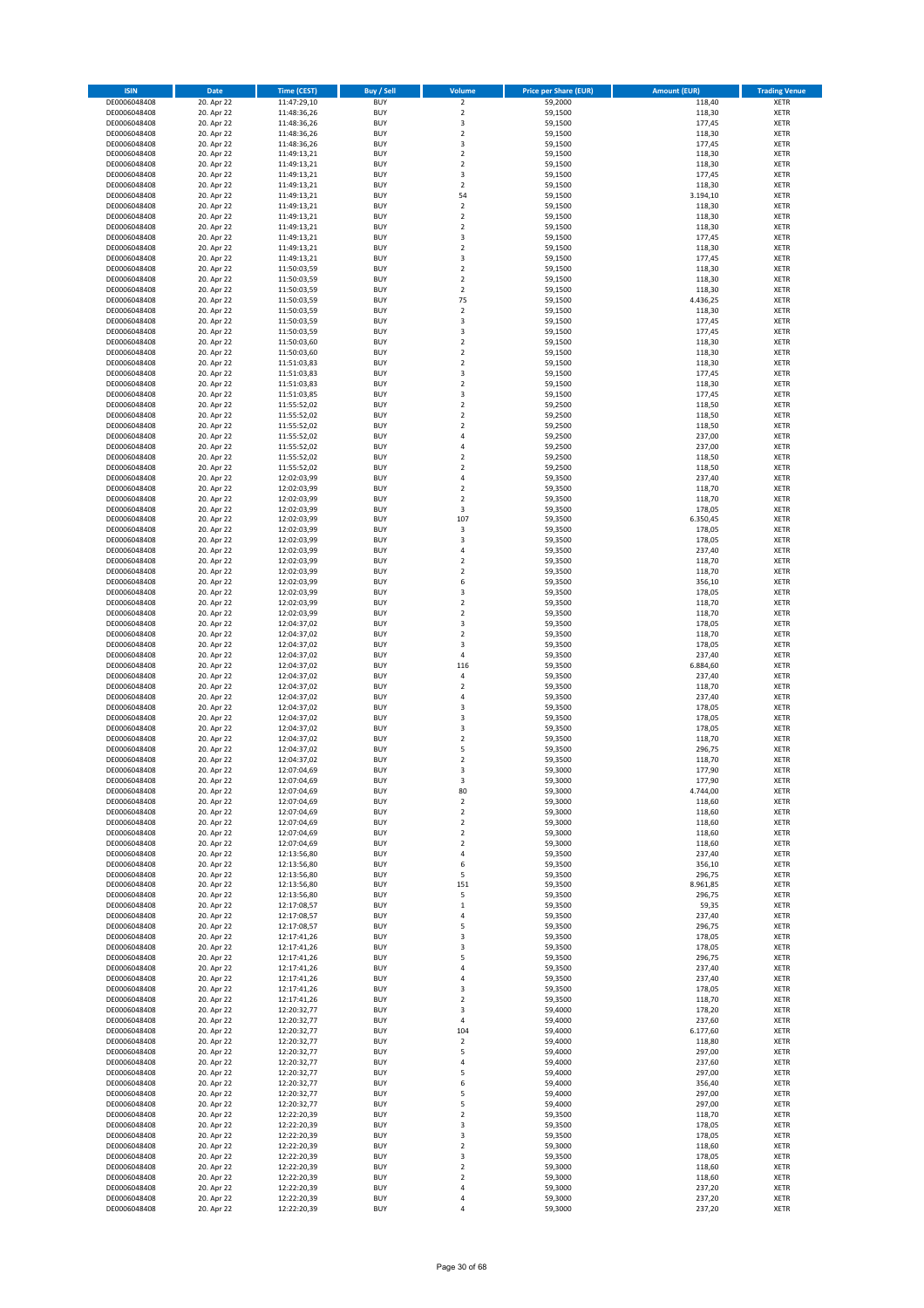| <b>ISIN</b>                  | <b>Date</b>              | <b>Time (CEST)</b>         | <b>Buy / Sell</b>        | Volume                  | <b>Price per Share (EUR)</b> | <b>Amount (EUR)</b> | <b>Trading Venue</b>       |
|------------------------------|--------------------------|----------------------------|--------------------------|-------------------------|------------------------------|---------------------|----------------------------|
| DE0006048408                 | 20. Apr 22               | 11:47:29,10                | <b>BUY</b>               | $\overline{2}$          | 59,2000                      | 118,40              | <b>XETR</b>                |
| DE0006048408                 | 20. Apr 22               | 11:48:36,26                | <b>BUY</b>               | $\mathbf 2$             | 59,1500                      | 118,30              | XETR                       |
| DE0006048408<br>DE0006048408 | 20. Apr 22<br>20. Apr 22 | 11:48:36,26<br>11:48:36,26 | <b>BUY</b><br><b>BUY</b> | 3<br>$\mathbf 2$        | 59,1500<br>59,1500           | 177,45<br>118,30    | XETR<br>XETR               |
| DE0006048408                 | 20. Apr 22               | 11:48:36,26                | <b>BUY</b>               | 3                       | 59,1500                      | 177,45              | XETR                       |
| DE0006048408                 | 20. Apr 22               | 11:49:13,21                | <b>BUY</b>               | $\mathbf 2$             | 59,1500                      | 118,30              | <b>XETR</b>                |
| DE0006048408                 | 20. Apr 22               | 11:49:13,21                | <b>BUY</b>               | $\overline{\mathbf{c}}$ | 59,1500                      | 118,30              | <b>XETR</b>                |
| DE0006048408                 | 20. Apr 22               | 11:49:13,21                | <b>BUY</b>               | 3                       | 59,1500                      | 177,45              | <b>XETR</b>                |
| DE0006048408<br>DE0006048408 | 20. Apr 22<br>20. Apr 22 | 11:49:13,21                | <b>BUY</b><br><b>BUY</b> | $\mathbf 2$<br>54       | 59,1500<br>59,1500           | 118,30<br>3.194,10  | <b>XETR</b><br><b>XETR</b> |
| DE0006048408                 | 20. Apr 22               | 11:49:13,21<br>11:49:13,21 | <b>BUY</b>               | $\mathbf 2$             | 59,1500                      | 118,30              | <b>XETR</b>                |
| DE0006048408                 | 20. Apr 22               | 11:49:13,21                | <b>BUY</b>               | $\overline{\mathbf{c}}$ | 59,1500                      | 118,30              | <b>XETR</b>                |
| DE0006048408                 | 20. Apr 22               | 11:49:13,21                | <b>BUY</b>               | $\mathbf 2$             | 59,1500                      | 118,30              | XETR                       |
| DE0006048408                 | 20. Apr 22               | 11:49:13,21                | <b>BUY</b>               | 3                       | 59,1500                      | 177,45              | <b>XETR</b>                |
| DE0006048408                 | 20. Apr 22               | 11:49:13,21                | <b>BUY</b>               | $\mathbf 2$             | 59,1500                      | 118,30              | XETR                       |
| DE0006048408<br>DE0006048408 | 20. Apr 22<br>20. Apr 22 | 11:49:13,21<br>11:50:03,59 | <b>BUY</b><br><b>BUY</b> | 3<br>$\mathbf 2$        | 59,1500<br>59,1500           | 177,45<br>118,30    | <b>XETR</b><br>XETR        |
| DE0006048408                 | 20. Apr 22               | 11:50:03,59                | <b>BUY</b>               | $\overline{\mathbf{c}}$ | 59,1500                      | 118,30              | <b>XETR</b>                |
| DE0006048408                 | 20. Apr 22               | 11:50:03,59                | <b>BUY</b>               | $\mathbf 2$             | 59,1500                      | 118,30              | XETR                       |
| DE0006048408                 | 20. Apr 22               | 11:50:03,59                | <b>BUY</b>               | 75                      | 59,1500                      | 4.436,25            | <b>XETR</b>                |
| DE0006048408<br>DE0006048408 | 20. Apr 22<br>20. Apr 22 | 11:50:03,59<br>11:50:03,59 | <b>BUY</b><br><b>BUY</b> | $\mathbf 2$<br>3        | 59,1500<br>59,1500           | 118,30<br>177,45    | XETR<br>XETR               |
| DE0006048408                 | 20. Apr 22               | 11:50:03,59                | <b>BUY</b>               | 3                       | 59,1500                      | 177,45              | <b>XETR</b>                |
| DE0006048408                 | 20. Apr 22               | 11:50:03,60                | <b>BUY</b>               | $\mathbf 2$             | 59,1500                      | 118,30              | <b>XETR</b>                |
| DE0006048408                 | 20. Apr 22               | 11:50:03,60                | <b>BUY</b>               | $\overline{\mathbf{c}}$ | 59,1500                      | 118,30              | <b>XETR</b>                |
| DE0006048408                 | 20. Apr 22               | 11:51:03,83                | <b>BUY</b>               | $\mathbf 2$             | 59,1500                      | 118,30              | <b>XETR</b>                |
| DE0006048408                 | 20. Apr 22               | 11:51:03,83                | <b>BUY</b>               | 3<br>$\mathbf 2$        | 59,1500                      | 177,45              | <b>XETR</b>                |
| DE0006048408<br>DE0006048408 | 20. Apr 22<br>20. Apr 22 | 11:51:03,83<br>11:51:03,85 | <b>BUY</b><br><b>BUY</b> | 3                       | 59,1500<br>59,1500           | 118,30<br>177,45    | <b>XETR</b><br><b>XETR</b> |
| DE0006048408                 | 20. Apr 22               | 11:55:52,02                | <b>BUY</b>               | $\mathbf 2$             | 59,2500                      | 118,50              | XETR                       |
| DE0006048408                 | 20. Apr 22               | 11:55:52,02                | <b>BUY</b>               | $\mathbf 2$             | 59,2500                      | 118,50              | <b>XETR</b>                |
| DE0006048408                 | 20. Apr 22               | 11:55:52,02                | <b>BUY</b>               | $\mathbf 2$             | 59,2500                      | 118,50              | <b>XETR</b>                |
| DE0006048408<br>DE0006048408 | 20. Apr 22               | 11:55:52,02<br>11:55:52,02 | <b>BUY</b><br><b>BUY</b> | 4<br>4                  | 59,2500                      | 237,00<br>237,00    | <b>XETR</b><br>XETR        |
| DE0006048408                 | 20. Apr 22<br>20. Apr 22 | 11:55:52,02                | <b>BUY</b>               | $\mathbf 2$             | 59,2500<br>59,2500           | 118,50              | <b>XETR</b>                |
| DE0006048408                 | 20. Apr 22               | 11:55:52,02                | <b>BUY</b>               | $\mathbf 2$             | 59,2500                      | 118,50              | XETR                       |
| DE0006048408                 | 20. Apr 22               | 12:02:03,99                | <b>BUY</b>               | 4                       | 59,3500                      | 237,40              | <b>XETR</b>                |
| DE0006048408                 | 20. Apr 22               | 12:02:03,99                | <b>BUY</b>               | $\mathbf 2$             | 59,3500                      | 118,70              | XETR                       |
| DE0006048408                 | 20. Apr 22               | 12:02:03,99                | <b>BUY</b>               | $\mathbf 2$             | 59,3500                      | 118,70              | <b>XETR</b>                |
| DE0006048408<br>DE0006048408 | 20. Apr 22<br>20. Apr 22 | 12:02:03,99<br>12:02:03,99 | <b>BUY</b><br><b>BUY</b> | 3<br>107                | 59,3500<br>59,3500           | 178,05<br>6.350,45  | <b>XETR</b><br><b>XETR</b> |
| DE0006048408                 | 20. Apr 22               | 12:02:03,99                | <b>BUY</b>               | 3                       | 59,3500                      | 178,05              | <b>XETR</b>                |
| DE0006048408                 | 20. Apr 22               | 12:02:03,99                | <b>BUY</b>               | 3                       | 59,3500                      | 178,05              | <b>XETR</b>                |
| DE0006048408                 | 20. Apr 22               | 12:02:03,99                | <b>BUY</b>               | 4                       | 59,3500                      | 237,40              | <b>XETR</b>                |
| DE0006048408                 | 20. Apr 22               | 12:02:03,99                | <b>BUY</b>               | $\mathbf 2$             | 59,3500                      | 118,70              | <b>XETR</b>                |
| DE0006048408                 | 20. Apr 22               | 12:02:03,99                | <b>BUY</b><br><b>BUY</b> | $\mathbf 2$<br>6        | 59,3500                      | 118,70<br>356,10    | XETR                       |
| DE0006048408<br>DE0006048408 | 20. Apr 22<br>20. Apr 22 | 12:02:03,99<br>12:02:03,99 | <b>BUY</b>               | 3                       | 59,3500<br>59,3500           | 178,05              | XETR<br><b>XETR</b>        |
| DE0006048408                 | 20. Apr 22               | 12:02:03,99                | <b>BUY</b>               | $\mathbf 2$             | 59,3500                      | 118,70              | <b>XETR</b>                |
| DE0006048408                 | 20. Apr 22               | 12:02:03,99                | <b>BUY</b>               | $\mathbf 2$             | 59,3500                      | 118,70              | <b>XETR</b>                |
| DE0006048408                 | 20. Apr 22               | 12:04:37,02                | <b>BUY</b>               | 3                       | 59,3500                      | 178,05              | <b>XETR</b>                |
| DE0006048408                 | 20. Apr 22               | 12:04:37,02                | <b>BUY</b>               | $\overline{\mathbf{c}}$ | 59,3500                      | 118,70              | <b>XETR</b>                |
| DE0006048408<br>DE0006048408 | 20. Apr 22<br>20. Apr 22 | 12:04:37,02<br>12:04:37,02 | <b>BUY</b><br><b>BUY</b> | 3<br>4                  | 59,3500<br>59,3500           | 178,05<br>237,40    | <b>XETR</b><br>XETR        |
| DE0006048408                 | 20. Apr 22               | 12:04:37,02                | <b>BUY</b>               | 116                     | 59,3500                      | 6.884,60            | XETR                       |
| DE0006048408                 | 20. Apr 22               | 12:04:37,02                | <b>BUY</b>               | $\overline{4}$          | 59,3500                      | 237,40              | <b>XETR</b>                |
| DE0006048408                 | 20. Apr 22               | 12:04:37,02                | <b>BUY</b>               | $\mathbf 2$             | 59,3500                      | 118,70              | <b>XETR</b>                |
| DE0006048408                 | 20. Apr 22               | 12:04:37,02                | <b>BUY</b>               | $\overline{4}$          | 59,3500                      | 237,40              | <b>XETR</b>                |
| DE0006048408<br>DE0006048408 | 20. Apr 22<br>20. Apr 22 | 12:04:37,02<br>12:04:37,02 | <b>BUY</b><br><b>BUY</b> | 3<br>3                  | 59,3500<br>59,3500           | 178,05<br>178,05    | XETR<br><b>XETR</b>        |
| DE0006048408                 | 20. Apr 22               | 12:04:37,02                | <b>BUY</b>               | 3                       | 59,3500                      | 178,05              | XETR                       |
| DE0006048408                 | 20. Apr 22               | 12:04:37,02                | <b>BUY</b>               | $\overline{\mathbf{c}}$ | 59,3500                      | 118,70              | <b>XETR</b>                |
| DE0006048408                 | 20. Apr 22               | 12:04:37,02                | <b>BUY</b>               | 5                       | 59,3500                      | 296,75              | XETR                       |
| DE0006048408                 | 20. Apr 22               | 12:04:37,02                | <b>BUY</b>               | $\overline{\mathbf{c}}$ | 59,3500                      | 118,70              | <b>XETR</b>                |
| DE0006048408<br>DE0006048408 | 20. Apr 22<br>20. Apr 22 | 12:07:04,69<br>12:07:04,69 | <b>BUY</b><br><b>BUY</b> | 3<br>3                  | 59,3000<br>59,3000           | 177,90<br>177,90    | XETR<br>XETR               |
| DE0006048408                 | 20. Apr 22               | 12:07:04,69                | <b>BUY</b>               | 80                      | 59,3000                      | 4.744,00            | XETR                       |
| DE0006048408                 | 20. Apr 22               | 12:07:04,69                | <b>BUY</b>               | 2                       | 59,3000                      | 118,60              | XETR                       |
| DE0006048408                 | 20. Apr 22               | 12:07:04,69                | <b>BUY</b>               | 2                       | 59,3000                      | 118,60              | XETR                       |
| DE0006048408                 | 20. Apr 22               | 12:07:04,69                | <b>BUY</b>               | $\mathbf 2$             | 59,3000                      | 118,60              | <b>XETR</b>                |
| DE0006048408<br>DE0006048408 | 20. Apr 22<br>20. Apr 22 | 12:07:04,69<br>12:07:04,69 | <b>BUY</b><br><b>BUY</b> | 2<br>$\mathbf 2$        | 59,3000<br>59.3000           | 118,60<br>118,60    | XETR<br><b>XETR</b>        |
| DE0006048408                 | 20. Apr 22               | 12:13:56,80                | <b>BUY</b>               | 4                       | 59,3500                      | 237,40              | XETR                       |
| DE0006048408                 | 20. Apr 22               | 12:13:56,80                | <b>BUY</b>               | 6                       | 59,3500                      | 356,10              | <b>XETR</b>                |
| DE0006048408                 | 20. Apr 22               | 12:13:56,80                | <b>BUY</b>               | 5                       | 59,3500                      | 296,75              | XETR                       |
| DE0006048408<br>DE0006048408 | 20. Apr 22<br>20. Apr 22 | 12:13:56,80<br>12:13:56,80 | <b>BUY</b><br><b>BUY</b> | 151<br>5                | 59,3500<br>59,3500           | 8.961,85<br>296,75  | <b>XETR</b><br>XETR        |
| DE0006048408                 | 20. Apr 22               | 12:17:08,57                | <b>BUY</b>               | $\mathbf 1$             | 59,3500                      | 59,35               | <b>XETR</b>                |
| DE0006048408                 | 20. Apr 22               | 12:17:08,57                | <b>BUY</b>               | 4                       | 59,3500                      | 237,40              | XETR                       |
| DE0006048408                 | 20. Apr 22               | 12:17:08,57                | <b>BUY</b>               | 5                       | 59,3500                      | 296,75              | <b>XETR</b>                |
| DE0006048408                 | 20. Apr 22               | 12:17:41,26                | <b>BUY</b>               | 3                       | 59,3500                      | 178,05              | XETR                       |
| DE0006048408<br>DE0006048408 | 20. Apr 22<br>20. Apr 22 | 12:17:41,26<br>12:17:41,26 | <b>BUY</b><br><b>BUY</b> | 3<br>5                  | 59,3500<br>59,3500           | 178,05<br>296,75    | <b>XETR</b><br><b>XETR</b> |
| DE0006048408                 | 20. Apr 22               | 12:17:41,26                | <b>BUY</b>               | 4                       | 59,3500                      | 237,40              | <b>XETR</b>                |
| DE0006048408                 | 20. Apr 22               | 12:17:41,26                | <b>BUY</b>               | 4                       | 59,3500                      | 237,40              | XETR                       |
| DE0006048408                 | 20. Apr 22               | 12:17:41,26                | <b>BUY</b>               | 3                       | 59,3500                      | 178,05              | <b>XETR</b>                |
| DE0006048408                 | 20. Apr 22               | 12:17:41,26                | <b>BUY</b>               | 2                       | 59,3500                      | 118,70              | <b>XETR</b>                |
| DE0006048408<br>DE0006048408 | 20. Apr 22<br>20. Apr 22 | 12:20:32,77<br>12:20:32,77 | <b>BUY</b><br><b>BUY</b> | 3<br>4                  | 59,4000<br>59,4000           | 178,20<br>237,60    | XETR<br><b>XETR</b>        |
| DE0006048408                 | 20. Apr 22               | 12:20:32,77                | <b>BUY</b>               | 104                     | 59,4000                      | 6.177,60            | XETR                       |
| DE0006048408                 | 20. Apr 22               | 12:20:32,77                | <b>BUY</b>               | $\mathbf 2$             | 59,4000                      | 118,80              | <b>XETR</b>                |
| DE0006048408                 | 20. Apr 22               | 12:20:32,77                | <b>BUY</b>               | 5                       | 59,4000                      | 297,00              | XETR                       |
| DE0006048408                 | 20. Apr 22               | 12:20:32,77                | <b>BUY</b>               | 4                       | 59,4000                      | 237,60              | <b>XETR</b>                |
| DE0006048408                 | 20. Apr 22               | 12:20:32,77                | <b>BUY</b>               | 5                       | 59,4000                      | 297,00              | XETR                       |
| DE0006048408<br>DE0006048408 | 20. Apr 22<br>20. Apr 22 | 12:20:32,77<br>12:20:32,77 | <b>BUY</b><br><b>BUY</b> | 6<br>5                  | 59,4000<br>59,4000           | 356,40<br>297,00    | <b>XETR</b><br>XETR        |
| DE0006048408                 | 20. Apr 22               | 12:20:32,77                | <b>BUY</b>               | 5                       | 59,4000                      | 297,00              | <b>XETR</b>                |
| DE0006048408                 | 20. Apr 22               | 12:22:20,39                | <b>BUY</b>               | $\mathbf 2$             | 59,3500                      | 118,70              | XETR                       |
| DE0006048408                 | 20. Apr 22               | 12:22:20,39                | <b>BUY</b>               | 3                       | 59,3500                      | 178,05              | <b>XETR</b>                |
| DE0006048408<br>DE0006048408 | 20. Apr 22<br>20. Apr 22 | 12:22:20,39<br>12:22:20,39 | <b>BUY</b><br><b>BUY</b> | 3<br>2                  | 59,3500<br>59,3000           | 178,05<br>118,60    | <b>XETR</b><br><b>XETR</b> |
| DE0006048408                 | 20. Apr 22               | 12:22:20,39                | <b>BUY</b>               | 3                       | 59,3500                      | 178,05              | XETR                       |
| DE0006048408                 | 20. Apr 22               | 12:22:20,39                | <b>BUY</b>               | $\mathbf 2$             | 59,3000                      | 118,60              | <b>XETR</b>                |
| DE0006048408                 | 20. Apr 22               | 12:22:20,39                | <b>BUY</b>               | $\boldsymbol{2}$        | 59,3000                      | 118,60              | XETR                       |
| DE0006048408                 | 20. Apr 22               | 12:22:20,39                | <b>BUY</b>               | 4                       | 59,3000                      | 237,20              | XETR                       |
| DE0006048408                 | 20. Apr 22               | 12:22:20,39                | <b>BUY</b>               | 4                       | 59,3000                      | 237,20              | XETR                       |
| DE0006048408                 | 20. Apr 22               | 12:22:20,39                | <b>BUY</b>               | 4                       | 59,3000                      | 237,20              | <b>XETR</b>                |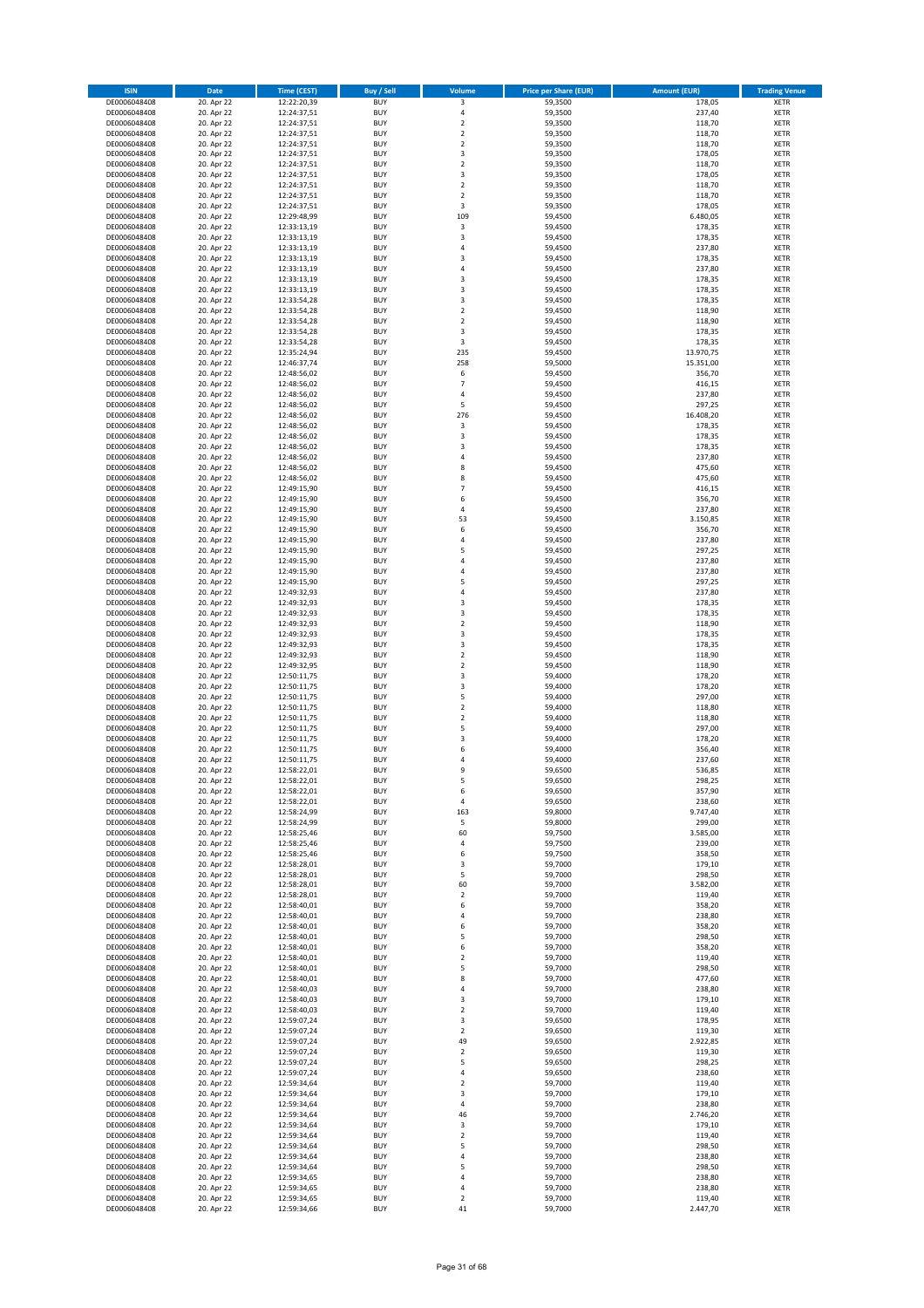| <b>ISIN</b>                  | Date                     | <b>Time (CEST)</b>         | <b>Buy / Sell</b>        | Volume                     | <b>Price per Share (EUR)</b> | <b>Amount (EUR)</b> | <b>Trading Venue</b>       |
|------------------------------|--------------------------|----------------------------|--------------------------|----------------------------|------------------------------|---------------------|----------------------------|
| DE0006048408                 | 20. Apr 22               | 12:22:20,39                | <b>BUY</b>               | 3                          | 59,3500                      | 178,05              | XETR                       |
| DE0006048408                 | 20. Apr 22               | 12:24:37,51                | <b>BUY</b>               | 4                          | 59,3500                      | 237,40              | XETR                       |
| DE0006048408<br>DE0006048408 | 20. Apr 22<br>20. Apr 22 | 12:24:37,51<br>12:24:37,51 | <b>BUY</b><br><b>BUY</b> | $\mathbf 2$<br>$\mathbf 2$ | 59,3500<br>59,3500           | 118,70<br>118,70    | <b>XETR</b><br><b>XETR</b> |
| DE0006048408                 | 20. Apr 22               | 12:24:37,51                | <b>BUY</b>               | $\mathbf 2$                | 59,3500                      | 118,70              | <b>XETR</b>                |
| DE0006048408                 | 20. Apr 22               | 12:24:37,51                | <b>BUY</b>               | 3                          | 59,3500                      | 178,05              | <b>XETR</b>                |
| DE0006048408                 | 20. Apr 22               | 12:24:37,51                | <b>BUY</b>               | $\mathbf 2$                | 59,3500                      | 118,70              | <b>XETR</b>                |
| DE0006048408                 | 20. Apr 22               | 12:24:37,51                | <b>BUY</b>               | 3                          | 59,3500                      | 178,05              | <b>XETR</b>                |
| DE0006048408                 | 20. Apr 22               | 12:24:37,51                | <b>BUY</b><br><b>BUY</b> | $\mathbf 2$<br>$\mathbf 2$ | 59,3500                      | 118,70              | <b>XETR</b><br><b>XETR</b> |
| DE0006048408<br>DE0006048408 | 20. Apr 22<br>20. Apr 22 | 12:24:37,51<br>12:24:37,51 | <b>BUY</b>               | 3                          | 59,3500<br>59,3500           | 118,70<br>178,05    | XETR                       |
| DE0006048408                 | 20. Apr 22               | 12:29:48,99                | <b>BUY</b>               | 109                        | 59,4500                      | 6.480,05            | <b>XETR</b>                |
| DE0006048408                 | 20. Apr 22               | 12:33:13,19                | <b>BUY</b>               | 3                          | 59,4500                      | 178,35              | XETR                       |
| DE0006048408                 | 20. Apr 22               | 12:33:13,19                | <b>BUY</b>               | $\overline{\mathbf{3}}$    | 59,4500                      | 178,35              | <b>XETR</b>                |
| DE0006048408                 | 20. Apr 22               | 12:33:13,19                | <b>BUY</b>               | 4                          | 59,4500                      | 237,80              | XETR                       |
| DE0006048408<br>DE0006048408 | 20. Apr 22<br>20. Apr 22 | 12:33:13,19<br>12:33:13,19 | <b>BUY</b><br><b>BUY</b> | 3<br>4                     | 59,4500<br>59,4500           | 178,35<br>237,80    | <b>XETR</b><br>XETR        |
| DE0006048408                 | 20. Apr 22               | 12:33:13,19                | <b>BUY</b>               | 3                          | 59,4500                      | 178,35              | <b>XETR</b>                |
| DE0006048408                 | 20. Apr 22               | 12:33:13,19                | <b>BUY</b>               | 3                          | 59,4500                      | 178,35              | XETR                       |
| DE0006048408                 | 20. Apr 22               | 12:33:54,28                | <b>BUY</b>               | 3                          | 59,4500                      | 178,35              | <b>XETR</b>                |
| DE0006048408                 | 20. Apr 22               | 12:33:54,28                | <b>BUY</b><br><b>BUY</b> | $\mathbf 2$<br>$\mathbf 2$ | 59,4500<br>59,4500           | 118,90<br>118,90    | <b>XETR</b><br><b>XETR</b> |
| DE0006048408<br>DE0006048408 | 20. Apr 22<br>20. Apr 22 | 12:33:54,28<br>12:33:54,28 | <b>BUY</b>               | 3                          | 59,4500                      | 178,35              | <b>XETR</b>                |
| DE0006048408                 | 20. Apr 22               | 12:33:54,28                | <b>BUY</b>               | 3                          | 59,4500                      | 178,35              | <b>XETR</b>                |
| DE0006048408                 | 20. Apr 22               | 12:35:24,94                | <b>BUY</b>               | 235                        | 59,4500                      | 13.970,75           | <b>XETR</b>                |
| DE0006048408                 | 20. Apr 22               | 12:46:37,74                | <b>BUY</b>               | 258                        | 59,5000                      | 15.351,00           | <b>XETR</b>                |
| DE0006048408                 | 20. Apr 22               | 12:48:56,02                | <b>BUY</b>               | 6                          | 59,4500                      | 356,70              | <b>XETR</b>                |
| DE0006048408<br>DE0006048408 | 20. Apr 22<br>20. Apr 22 | 12:48:56,02<br>12:48:56,02 | <b>BUY</b><br><b>BUY</b> | $\overline{7}$<br>4        | 59,4500<br>59,4500           | 416,15<br>237,80    | <b>XETR</b><br><b>XETR</b> |
| DE0006048408                 | 20. Apr 22               | 12:48:56,02                | <b>BUY</b>               | 5                          | 59,4500                      | 297,25              | <b>XETR</b>                |
| DE0006048408                 | 20. Apr 22               | 12:48:56,02                | <b>BUY</b>               | 276                        | 59,4500                      | 16.408,20           | <b>XETR</b>                |
| DE0006048408                 | 20. Apr 22               | 12:48:56,02                | <b>BUY</b>               | 3                          | 59,4500                      | 178,35              | <b>XETR</b>                |
| DE0006048408                 | 20. Apr 22               | 12:48:56,02                | <b>BUY</b>               | 3                          | 59,4500                      | 178,35              | <b>XETR</b>                |
| DE0006048408<br>DE0006048408 | 20. Apr 22<br>20. Apr 22 | 12:48:56,02<br>12:48:56,02 | <b>BUY</b><br><b>BUY</b> | 3<br>4                     | 59,4500<br>59,4500           | 178,35<br>237,80    | XETR<br><b>XETR</b>        |
| DE0006048408                 | 20. Apr 22               | 12:48:56,02                | <b>BUY</b>               | 8                          | 59,4500                      | 475,60              | XETR                       |
| DE0006048408                 | 20. Apr 22               | 12:48:56,02                | <b>BUY</b>               | 8                          | 59,4500                      | 475,60              | <b>XETR</b>                |
| DE0006048408                 | 20. Apr 22               | 12:49:15,90                | <b>BUY</b>               | $\overline{7}$             | 59,4500                      | 416,15              | XETR                       |
| DE0006048408                 | 20. Apr 22               | 12:49:15,90                | <b>BUY</b>               | 6                          | 59,4500                      | 356,70              | <b>XETR</b>                |
| DE0006048408<br>DE0006048408 | 20. Apr 22               | 12:49:15,90                | <b>BUY</b><br><b>BUY</b> | 4<br>53                    | 59,4500                      | 237,80              | <b>XETR</b><br><b>XETR</b> |
| DE0006048408                 | 20. Apr 22<br>20. Apr 22 | 12:49:15,90<br>12:49:15,90 | <b>BUY</b>               | 6                          | 59,4500<br>59,4500           | 3.150,85<br>356,70  | <b>XETR</b>                |
| DE0006048408                 | 20. Apr 22               | 12:49:15,90                | <b>BUY</b>               | 4                          | 59,4500                      | 237,80              | <b>XETR</b>                |
| DE0006048408                 | 20. Apr 22               | 12:49:15,90                | <b>BUY</b>               | 5                          | 59,4500                      | 297,25              | <b>XETR</b>                |
| DE0006048408                 | 20. Apr 22               | 12:49:15,90                | <b>BUY</b>               | 4                          | 59,4500                      | 237,80              | <b>XETR</b>                |
| DE0006048408                 | 20. Apr 22               | 12:49:15,90                | <b>BUY</b>               | 4                          | 59,4500                      | 237,80              | XETR                       |
| DE0006048408<br>DE0006048408 | 20. Apr 22<br>20. Apr 22 | 12:49:15,90                | <b>BUY</b><br><b>BUY</b> | 5<br>$\overline{4}$        | 59,4500<br>59,4500           | 297,25<br>237,80    | XETR<br><b>XETR</b>        |
| DE0006048408                 | 20. Apr 22               | 12:49:32,93<br>12:49:32,93 | <b>BUY</b>               | 3                          | 59,4500                      | 178,35              | <b>XETR</b>                |
| DE0006048408                 | 20. Apr 22               | 12:49:32,93                | <b>BUY</b>               | 3                          | 59,4500                      | 178,35              | XETR                       |
| DE0006048408                 | 20. Apr 22               | 12:49:32,93                | <b>BUY</b>               | $\mathbf 2$                | 59,4500                      | 118,90              | <b>XETR</b>                |
| DE0006048408                 | 20. Apr 22               | 12:49:32,93                | <b>BUY</b>               | 3                          | 59,4500                      | 178,35              | <b>XETR</b>                |
| DE0006048408                 | 20. Apr 22               | 12:49:32,93                | <b>BUY</b>               | 3                          | 59,4500                      | 178,35              | <b>XETR</b>                |
| DE0006048408<br>DE0006048408 | 20. Apr 22<br>20. Apr 22 | 12:49:32,93<br>12:49:32,95 | <b>BUY</b><br><b>BUY</b> | $\mathbf 2$<br>$\mathbf 2$ | 59,4500<br>59,4500           | 118,90<br>118,90    | <b>XETR</b><br><b>XETR</b> |
| DE0006048408                 | 20. Apr 22               | 12:50:11,75                | <b>BUY</b>               | 3                          | 59,4000                      | 178,20              | <b>XETR</b>                |
| DE0006048408                 | 20. Apr 22               | 12:50:11,75                | <b>BUY</b>               | 3                          | 59,4000                      | 178,20              | <b>XETR</b>                |
| DE0006048408                 | 20. Apr 22               | 12:50:11,75                | <b>BUY</b>               | 5                          | 59,4000                      | 297,00              | <b>XETR</b>                |
| DE0006048408                 | 20. Apr 22               | 12:50:11,75                | <b>BUY</b>               | $\mathbf 2$                | 59,4000                      | 118,80              | <b>XETR</b>                |
| DE0006048408                 | 20. Apr 22               | 12:50:11,75                | <b>BUY</b><br><b>BUY</b> | $\mathbf 2$<br>5           | 59,4000<br>59,4000           | 118,80<br>297,00    | <b>XETR</b><br>XETR        |
| DE0006048408<br>DE0006048408 | 20. Apr 22<br>20. Apr 22 | 12:50:11,75<br>12:50:11,75 | <b>BUY</b>               | 3                          | 59,4000                      | 178,20              | <b>XETR</b>                |
| DE0006048408                 | 20. Apr 22               | 12:50:11,75                | <b>BUY</b>               | 6                          | 59,4000                      | 356,40              | XETR                       |
| DE0006048408                 | 20. Apr 22               | 12:50:11,75                | <b>BUY</b>               | 4                          | 59,4000                      | 237,60              | <b>XETR</b>                |
| DE0006048408                 | 20. Apr 22               | 12:58:22,01                | <b>BUY</b>               | 9                          | 59,6500                      | 536,85              | XETR                       |
| DE0006048408                 | 20. Apr 22               | 12:58:22,01                | <b>BUY</b>               | 5                          | 59,6500                      | 298,25              | XETR                       |
| DE0006048408<br>DE0006048408 | 20. Apr 22<br>20. Apr 22 | 12:58:22,01<br>12:58:22,01 | <b>BUY</b><br><b>BUY</b> | 6<br>4                     | 59,6500<br>59,6500           | 357,90<br>238,60    | XETR<br>XETR               |
| DE0006048408                 | 20. Apr 22               | 12:58:24,99                | <b>BUY</b>               | 163                        | 59,8000                      | 9.747,40            | XETR                       |
| DE0006048408                 | 20. Apr 22               | 12:58:24,99                | <b>BUY</b>               | 5                          | 59,8000                      | 299,00              | XETR                       |
| DE0006048408                 | 20. Apr 22               | 12:58:25,46                | <b>BUY</b>               | 60                         | 59,7500                      | 3.585,00            | XETR                       |
| DE0006048408                 | 20. Apr 22               | 12:58:25,46                | <b>BUY</b>               | 4                          | 59,7500                      | 239,00              | <b>XETR</b>                |
| DE0006048408<br>DE0006048408 | 20. Apr 22<br>20. Apr 22 | 12:58:25,46<br>12:58:28,01 | <b>BUY</b><br><b>BUY</b> | 6<br>3                     | 59,7500<br>59,7000           | 358,50<br>179,10    | XETR<br><b>XETR</b>        |
| DE0006048408                 | 20. Apr 22               | 12:58:28,01                | <b>BUY</b>               | 5                          | 59,7000                      | 298,50              | XETR                       |
| DE0006048408                 | 20. Apr 22               | 12:58:28,01                | <b>BUY</b>               | 60                         | 59,7000                      | 3.582,00            | <b>XETR</b>                |
| DE0006048408                 | 20. Apr 22               | 12:58:28,01                | <b>BUY</b>               | $\mathbf 2$                | 59,7000                      | 119,40              | XETR                       |
| DE0006048408<br>DE0006048408 | 20. Apr 22               | 12:58:40,01                | <b>BUY</b><br><b>BUY</b> | 6<br>4                     | 59,7000<br>59,7000           | 358,20              | <b>XETR</b><br>XETR        |
| DE0006048408                 | 20. Apr 22<br>20. Apr 22 | 12:58:40,01<br>12:58:40,01 | <b>BUY</b>               | 6                          | 59,7000                      | 238,80<br>358,20    | <b>XETR</b>                |
| DE0006048408                 | 20. Apr 22               | 12:58:40,01                | <b>BUY</b>               | 5                          | 59,7000                      | 298,50              | XETR                       |
| DE0006048408                 | 20. Apr 22               | 12:58:40,01                | <b>BUY</b>               | 6                          | 59,7000                      | 358,20              | <b>XETR</b>                |
| DE0006048408                 | 20. Apr 22               | 12:58:40,01                | <b>BUY</b>               | $\mathbf 2$                | 59,7000                      | 119,40              | XETR                       |
| DE0006048408                 | 20. Apr 22               | 12:58:40,01                | <b>BUY</b>               | 5                          | 59,7000                      | 298,50              | <b>XETR</b>                |
| DE0006048408                 | 20. Apr 22<br>20. Apr 22 | 12:58:40,01                | <b>BUY</b><br><b>BUY</b> | 8                          | 59,7000<br>59,7000           | 477,60<br>238,80    | XETR                       |
| DE0006048408<br>DE0006048408 | 20. Apr 22               | 12:58:40,03<br>12:58:40,03 | <b>BUY</b>               | 4<br>3                     | 59,7000                      | 179,10              | <b>XETR</b><br><b>XETR</b> |
| DE0006048408                 | 20. Apr 22               | 12:58:40,03                | <b>BUY</b>               | $\mathbf 2$                | 59,7000                      | 119,40              | XETR                       |
| DE0006048408                 | 20. Apr 22               | 12:59:07,24                | <b>BUY</b>               | 3                          | 59,6500                      | 178,95              | <b>XETR</b>                |
| DE0006048408                 | 20. Apr 22               | 12:59:07,24                | <b>BUY</b>               | $\mathbf 2$                | 59,6500                      | 119,30              | XETR                       |
| DE0006048408                 | 20. Apr 22<br>20. Apr 22 | 12:59:07,24<br>12:59:07,24 | <b>BUY</b><br><b>BUY</b> | 49                         | 59,6500<br>59,6500           | 2.922,85<br>119,30  | <b>XETR</b><br>XETR        |
| DE0006048408<br>DE0006048408 | 20. Apr 22               | 12:59:07,24                | <b>BUY</b>               | 2<br>5                     | 59,6500                      | 298,25              | <b>XETR</b>                |
| DE0006048408                 | 20. Apr 22               | 12:59:07,24                | <b>BUY</b>               | 4                          | 59,6500                      | 238,60              | XETR                       |
| DE0006048408                 | 20. Apr 22               | 12:59:34,64                | <b>BUY</b>               | $\overline{2}$             | 59,7000                      | 119,40              | <b>XETR</b>                |
| DE0006048408                 | 20. Apr 22               | 12:59:34,64                | <b>BUY</b>               | 3                          | 59,7000                      | 179,10              | XETR                       |
| DE0006048408                 | 20. Apr 22               | 12:59:34,64                | <b>BUY</b>               | 4                          | 59,7000                      | 238,80              | <b>XETR</b>                |
| DE0006048408<br>DE0006048408 | 20. Apr 22<br>20. Apr 22 | 12:59:34,64<br>12:59:34,64 | <b>BUY</b><br><b>BUY</b> | 46<br>3                    | 59,7000<br>59,7000           | 2.746,20<br>179,10  | XETR<br><b>XETR</b>        |
| DE0006048408                 | 20. Apr 22               | 12:59:34,64                | <b>BUY</b>               | 2                          | 59,7000                      | 119,40              | <b>XETR</b>                |
| DE0006048408                 | 20. Apr 22               | 12:59:34,64                | <b>BUY</b>               | 5                          | 59,7000                      | 298,50              | <b>XETR</b>                |
| DE0006048408                 | 20. Apr 22               | 12:59:34,64                | <b>BUY</b>               | 4                          | 59,7000                      | 238,80              | XETR                       |
| DE0006048408                 | 20. Apr 22               | 12:59:34,64                | <b>BUY</b>               | 5                          | 59,7000                      | 298,50              | <b>XETR</b>                |
| DE0006048408<br>DE0006048408 | 20. Apr 22<br>20. Apr 22 | 12:59:34,65<br>12:59:34,65 | <b>BUY</b><br><b>BUY</b> | 4<br>4                     | 59,7000<br>59,7000           | 238,80<br>238,80    | XETR<br>XETR               |
| DE0006048408                 | 20. Apr 22               | 12:59:34,65                | <b>BUY</b>               | $\mathbf 2$                | 59,7000                      | 119,40              | XETR                       |
| DE0006048408                 | 20. Apr 22               | 12:59:34,66                | <b>BUY</b>               | 41                         | 59,7000                      | 2.447,70            | XETR                       |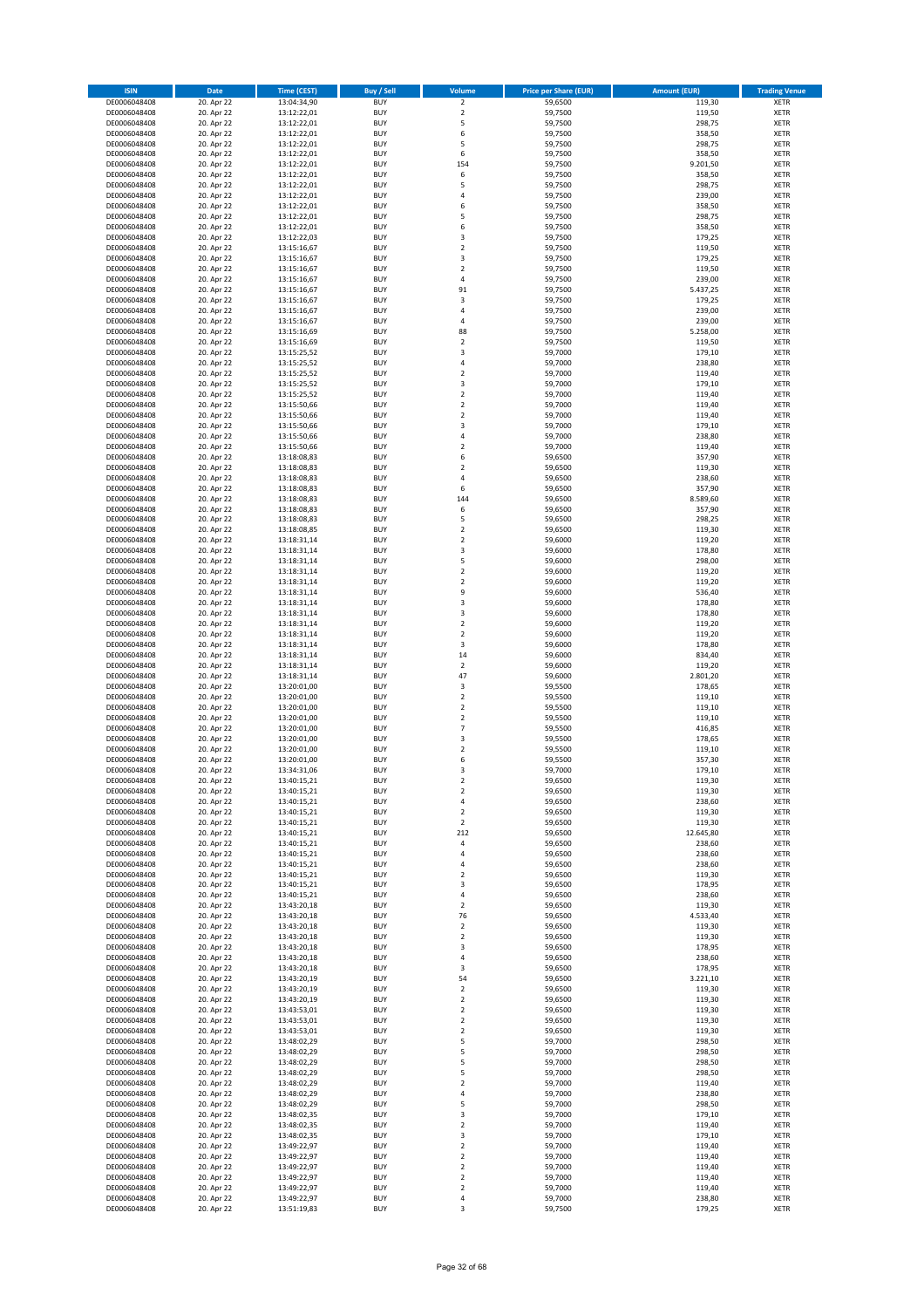| <b>ISIN</b>                  | Date                     | <b>Time (CEST)</b>         | <b>Buy / Sell</b>        | Volume                     | <b>Price per Share (EUR)</b> | <b>Amount (EUR)</b> | <b>Trading Venue</b>       |
|------------------------------|--------------------------|----------------------------|--------------------------|----------------------------|------------------------------|---------------------|----------------------------|
| DE0006048408                 | 20. Apr 22               | 13:04:34,90                | <b>BUY</b>               | $\overline{\mathbf{c}}$    | 59,6500                      | 119,30              | <b>XETR</b>                |
| DE0006048408                 | 20. Apr 22               | 13:12:22,01                | <b>BUY</b>               | $\mathbf 2$                | 59,7500                      | 119,50              | XETR                       |
| DE0006048408<br>DE0006048408 | 20. Apr 22<br>20. Apr 22 | 13:12:22,01<br>13:12:22,01 | <b>BUY</b><br><b>BUY</b> | 5<br>6                     | 59,7500<br>59,7500           | 298,75<br>358,50    | <b>XETR</b><br><b>XETR</b> |
| DE0006048408                 | 20. Apr 22               | 13:12:22,01                | <b>BUY</b>               | 5                          | 59,7500                      | 298,75              | <b>XETR</b>                |
| DE0006048408                 | 20. Apr 22               | 13:12:22,01                | <b>BUY</b>               | 6                          | 59,7500                      | 358,50              | <b>XETR</b>                |
| DE0006048408                 | 20. Apr 22               | 13:12:22,01                | <b>BUY</b>               | 154                        | 59,7500                      | 9.201,50            | <b>XETR</b>                |
| DE0006048408                 | 20. Apr 22               | 13:12:22,01                | <b>BUY</b>               | 6                          | 59,7500                      | 358,50              | <b>XETR</b>                |
| DE0006048408<br>DE0006048408 | 20. Apr 22<br>20. Apr 22 | 13:12:22,01<br>13:12:22,01 | <b>BUY</b><br><b>BUY</b> | 5<br>$\overline{4}$        | 59,7500<br>59,7500           | 298,75<br>239,00    | <b>XETR</b><br><b>XETR</b> |
| DE0006048408                 | 20. Apr 22               | 13:12:22,01                | <b>BUY</b>               | 6                          | 59,7500                      | 358,50              | <b>XETR</b>                |
| DE0006048408                 | 20. Apr 22               | 13:12:22,01                | <b>BUY</b>               | 5                          | 59,7500                      | 298,75              | <b>XETR</b>                |
| DE0006048408                 | 20. Apr 22               | 13:12:22,01                | <b>BUY</b>               | 6                          | 59,7500                      | 358,50              | XETR                       |
| DE0006048408                 | 20. Apr 22               | 13:12:22,03                | <b>BUY</b>               | 3                          | 59,7500                      | 179,25              | <b>XETR</b>                |
| DE0006048408                 | 20. Apr 22               | 13:15:16,67                | <b>BUY</b>               | $\mathbf 2$                | 59,7500                      | 119,50              | XETR                       |
| DE0006048408<br>DE0006048408 | 20. Apr 22<br>20. Apr 22 | 13:15:16,67<br>13:15:16,67 | <b>BUY</b><br><b>BUY</b> | 3<br>$\mathbf 2$           | 59,7500<br>59,7500           | 179,25<br>119,50    | <b>XETR</b><br>XETR        |
| DE0006048408                 | 20. Apr 22               | 13:15:16,67                | <b>BUY</b>               | 4                          | 59,7500                      | 239,00              | <b>XETR</b>                |
| DE0006048408                 | 20. Apr 22               | 13:15:16,67                | <b>BUY</b>               | 91                         | 59,7500                      | 5.437,25            | XETR                       |
| DE0006048408                 | 20. Apr 22               | 13:15:16,67                | <b>BUY</b>               | 3                          | 59,7500                      | 179,25              | <b>XETR</b>                |
| DE0006048408                 | 20. Apr 22<br>20. Apr 22 | 13:15:16,67                | <b>BUY</b><br><b>BUY</b> | 4<br>4                     | 59,7500<br>59,7500           | 239,00<br>239,00    | XETR<br>XETR               |
| DE0006048408<br>DE0006048408 | 20. Apr 22               | 13:15:16,67<br>13:15:16,69 | <b>BUY</b>               | 88                         | 59,7500                      | 5.258,00            | <b>XETR</b>                |
| DE0006048408                 | 20. Apr 22               | 13:15:16,69                | <b>BUY</b>               | $\overline{\mathbf{c}}$    | 59,7500                      | 119,50              | <b>XETR</b>                |
| DE0006048408                 | 20. Apr 22               | 13:15:25,52                | <b>BUY</b>               | 3                          | 59,7000                      | 179,10              | <b>XETR</b>                |
| DE0006048408                 | 20. Apr 22               | 13:15:25,52                | <b>BUY</b>               | 4                          | 59,7000                      | 238,80              | <b>XETR</b>                |
| DE0006048408                 | 20. Apr 22               | 13:15:25,52                | <b>BUY</b>               | $\overline{\mathbf{c}}$    | 59,7000                      | 119,40              | <b>XETR</b>                |
| DE0006048408<br>DE0006048408 | 20. Apr 22<br>20. Apr 22 | 13:15:25,52<br>13:15:25,52 | <b>BUY</b><br><b>BUY</b> | 3<br>$\mathbf 2$           | 59,7000<br>59,7000           | 179,10<br>119,40    | <b>XETR</b><br><b>XETR</b> |
| DE0006048408                 | 20. Apr 22               | 13:15:50,66                | <b>BUY</b>               | $\mathbf 2$                | 59,7000                      | 119,40              | XETR                       |
| DE0006048408                 | 20. Apr 22               | 13:15:50,66                | <b>BUY</b>               | $\overline{\mathbf{c}}$    | 59,7000                      | 119,40              | <b>XETR</b>                |
| DE0006048408                 | 20. Apr 22               | 13:15:50,66                | <b>BUY</b>               | 3                          | 59,7000                      | 179,10              | <b>XETR</b>                |
| DE0006048408<br>DE0006048408 | 20. Apr 22               | 13:15:50,66                | <b>BUY</b>               | 4                          | 59,7000                      | 238,80              | <b>XETR</b>                |
| DE0006048408                 | 20. Apr 22<br>20. Apr 22 | 13:15:50,66<br>13:18:08,83 | <b>BUY</b><br><b>BUY</b> | $\mathbf 2$<br>6           | 59,7000<br>59,6500           | 119,40<br>357,90    | XETR<br><b>XETR</b>        |
| DE0006048408                 | 20. Apr 22               | 13:18:08,83                | <b>BUY</b>               | $\overline{\mathbf{c}}$    | 59,6500                      | 119,30              | XETR                       |
| DE0006048408                 | 20. Apr 22               | 13:18:08,83                | <b>BUY</b>               | 4                          | 59,6500                      | 238,60              | <b>XETR</b>                |
| DE0006048408                 | 20. Apr 22               | 13:18:08,83                | <b>BUY</b>               | 6                          | 59,6500                      | 357,90              | XETR                       |
| DE0006048408                 | 20. Apr 22               | 13:18:08,83                | <b>BUY</b>               | 144                        | 59,6500                      | 8.589,60            | <b>XETR</b>                |
| DE0006048408<br>DE0006048408 | 20. Apr 22<br>20. Apr 22 | 13:18:08,83<br>13:18:08,83 | <b>BUY</b><br><b>BUY</b> | 6<br>5                     | 59,6500<br>59,6500           | 357,90<br>298,25    | <b>XETR</b><br><b>XETR</b> |
| DE0006048408                 | 20. Apr 22               | 13:18:08,85                | <b>BUY</b>               | $\mathbf 2$                | 59,6500                      | 119,30              | <b>XETR</b>                |
| DE0006048408                 | 20. Apr 22               | 13:18:31,14                | <b>BUY</b>               | $\overline{\mathbf{c}}$    | 59,6000                      | 119,20              | <b>XETR</b>                |
| DE0006048408                 | 20. Apr 22               | 13:18:31,14                | <b>BUY</b>               | 3                          | 59,6000                      | 178,80              | <b>XETR</b>                |
| DE0006048408                 | 20. Apr 22               | 13:18:31,14                | <b>BUY</b>               | 5                          | 59,6000                      | 298,00              | <b>XETR</b>                |
| DE0006048408                 | 20. Apr 22               | 13:18:31,14                | <b>BUY</b>               | $\mathbf 2$                | 59,6000                      | 119,20              | XETR                       |
| DE0006048408<br>DE0006048408 | 20. Apr 22<br>20. Apr 22 | 13:18:31,14<br>13:18:31,14 | <b>BUY</b><br><b>BUY</b> | 2<br>9                     | 59,6000<br>59,6000           | 119,20<br>536,40    | XETR<br><b>XETR</b>        |
| DE0006048408                 | 20. Apr 22               | 13:18:31,14                | <b>BUY</b>               | 3                          | 59,6000                      | 178,80              | <b>XETR</b>                |
| DE0006048408                 | 20. Apr 22               | 13:18:31,14                | <b>BUY</b>               | 3                          | 59,6000                      | 178,80              | <b>XETR</b>                |
| DE0006048408                 | 20. Apr 22               | 13:18:31,14                | <b>BUY</b>               | $\mathbf 2$                | 59,6000                      | 119,20              | <b>XETR</b>                |
| DE0006048408                 | 20. Apr 22               | 13:18:31,14                | <b>BUY</b><br><b>BUY</b> | $\mathbf 2$<br>3           | 59,6000                      | 119,20              | <b>XETR</b>                |
| DE0006048408<br>DE0006048408 | 20. Apr 22<br>20. Apr 22 | 13:18:31,14<br>13:18:31,14 | <b>BUY</b>               | 14                         | 59,6000<br>59,6000           | 178,80<br>834,40    | <b>XETR</b><br><b>XETR</b> |
| DE0006048408                 | 20. Apr 22               | 13:18:31,14                | <b>BUY</b>               | $\mathbf 2$                | 59,6000                      | 119,20              | XETR                       |
| DE0006048408                 | 20. Apr 22               | 13:18:31,14                | <b>BUY</b>               | 47                         | 59,6000                      | 2.801,20            | <b>XETR</b>                |
| DE0006048408                 | 20. Apr 22               | 13:20:01,00                | <b>BUY</b>               | 3                          | 59,5500                      | 178,65              | <b>XETR</b>                |
| DE0006048408                 | 20. Apr 22               | 13:20:01,00                | <b>BUY</b>               | $\mathbf 2$                | 59,5500                      | 119,10              | <b>XETR</b>                |
| DE0006048408<br>DE0006048408 | 20. Apr 22<br>20. Apr 22 | 13:20:01,00<br>13:20:01,00 | <b>BUY</b><br><b>BUY</b> | $\mathbf 2$<br>$\mathbf 2$ | 59,5500<br>59,5500           | 119,10<br>119,10    | <b>XETR</b><br><b>XETR</b> |
| DE0006048408                 | 20. Apr 22               | 13:20:01,00                | <b>BUY</b>               | $\overline{7}$             | 59,5500                      | 416,85              | XETR                       |
| DE0006048408                 | 20. Apr 22               | 13:20:01,00                | <b>BUY</b>               | 3                          | 59,5500                      | 178,65              | <b>XETR</b>                |
| DE0006048408                 | 20. Apr 22               | 13:20:01,00                | <b>BUY</b>               | $\mathbf 2$                | 59,5500                      | 119,10              | XETR                       |
| DE0006048408                 | 20. Apr 22               | 13:20:01,00<br>13:34:31,06 | <b>BUY</b><br><b>BUY</b> | 6<br>3                     | 59,5500                      | 357,30              | <b>XETR</b><br><b>XETR</b> |
| DE0006048408<br>DE0006048408 | 20. Apr 22<br>20. Apr 22 | 13:40:15,21                | <b>BUY</b>               | 2                          | 59,7000<br>59,6500           | 179,10<br>119,30    | XETR                       |
| DE0006048408                 | 20. Apr 22               | 13:40:15,21                | <b>BUY</b>               | 2                          | 59,6500                      | 119,30              | XETR                       |
| DE0006048408                 | 20. Apr 22               | 13:40:15,21                | <b>BUY</b>               | 4                          | 59,6500                      | 238,60              | XETR                       |
| DE0006048408                 | 20. Apr 22               | 13:40:15,21                | <b>BUY</b>               | 2                          | 59,6500                      | 119,30              | XETR                       |
| DE0006048408                 | 20. Apr 22               | 13:40:15,21<br>13:40:15,21 | <b>BUY</b>               | $\mathbf 2$                | 59,6500                      | 119,30              | <b>XETR</b>                |
| DE0006048408<br>DE0006048408 | 20. Apr 22<br>20. Apr 22 | 13:40:15,21                | <b>BUY</b><br><b>BUY</b> | 212<br>4                   | 59,6500<br>59,6500           | 12.645,80<br>238,60 | XETR<br><b>XETR</b>        |
| DE0006048408                 | 20. Apr 22               | 13:40:15,21                | <b>BUY</b>               | 4                          | 59,6500                      | 238,60              | XETR                       |
| DE0006048408                 | 20. Apr 22               | 13:40:15,21                | <b>BUY</b>               | 4                          | 59,6500                      | 238,60              | <b>XETR</b>                |
| DE0006048408                 | 20. Apr 22               | 13:40:15,21                | <b>BUY</b>               | 2                          | 59,6500                      | 119,30              | XETR                       |
| DE0006048408<br>DE0006048408 | 20. Apr 22<br>20. Apr 22 | 13:40:15,21<br>13:40:15,21 | <b>BUY</b><br><b>BUY</b> | 3<br>4                     | 59,6500<br>59,6500           | 178,95<br>238,60    | <b>XETR</b><br>XETR        |
| DE0006048408                 | 20. Apr 22               | 13:43:20,18                | <b>BUY</b>               | 2                          | 59,6500                      | 119,30              | <b>XETR</b>                |
| DE0006048408                 | 20. Apr 22               | 13:43:20,18                | <b>BUY</b>               | 76                         | 59,6500                      | 4.533,40            | XETR                       |
| DE0006048408                 | 20. Apr 22               | 13:43:20,18                | <b>BUY</b>               | 2                          | 59,6500                      | 119,30              | <b>XETR</b>                |
| DE0006048408                 | 20. Apr 22               | 13:43:20,18                | <b>BUY</b>               | $\mathbf 2$                | 59,6500                      | 119,30              | XETR                       |
| DE0006048408<br>DE0006048408 | 20. Apr 22<br>20. Apr 22 | 13:43:20,18<br>13:43:20,18 | <b>BUY</b><br><b>BUY</b> | 3<br>4                     | 59,6500<br>59,6500           | 178,95<br>238,60    | <b>XETR</b><br><b>XETR</b> |
| DE0006048408                 | 20. Apr 22               | 13:43:20,18                | <b>BUY</b>               | 3                          | 59,6500                      | 178,95              | <b>XETR</b>                |
| DE0006048408                 | 20. Apr 22               | 13:43:20,19                | <b>BUY</b>               | 54                         | 59,6500                      | 3.221,10            | XETR                       |
| DE0006048408                 | 20. Apr 22               | 13:43:20,19                | <b>BUY</b>               | $\mathbf 2$                | 59,6500                      | 119,30              | <b>XETR</b>                |
| DE0006048408                 | 20. Apr 22               | 13:43:20,19                | <b>BUY</b>               | $\mathbf 2$                | 59,6500                      | 119,30              | <b>XETR</b>                |
| DE0006048408<br>DE0006048408 | 20. Apr 22<br>20. Apr 22 | 13:43:53,01<br>13:43:53,01 | <b>BUY</b><br><b>BUY</b> | 2<br>$\mathbf 2$           | 59,6500<br>59,6500           | 119,30<br>119,30    | XETR<br><b>XETR</b>        |
| DE0006048408                 | 20. Apr 22               | 13:43:53,01                | <b>BUY</b>               | $\mathbf 2$                | 59,6500                      | 119,30              | XETR                       |
| DE0006048408                 | 20. Apr 22               | 13:48:02,29                | <b>BUY</b>               | 5                          | 59,7000                      | 298,50              | <b>XETR</b>                |
| DE0006048408                 | 20. Apr 22               | 13:48:02,29                | <b>BUY</b>               | 5                          | 59,7000                      | 298,50              | XETR                       |
| DE0006048408                 | 20. Apr 22               | 13:48:02,29                | <b>BUY</b>               | 5                          | 59,7000                      | 298,50              | <b>XETR</b>                |
| DE0006048408                 | 20. Apr 22               | 13:48:02,29                | <b>BUY</b><br><b>BUY</b> | 5                          | 59,7000<br>59,7000           | 298,50<br>119,40    | XETR<br><b>XETR</b>        |
| DE0006048408<br>DE0006048408 | 20. Apr 22<br>20. Apr 22 | 13:48:02,29<br>13:48:02,29 | <b>BUY</b>               | 2<br>4                     | 59,7000                      | 238,80              | XETR                       |
| DE0006048408                 | 20. Apr 22               | 13:48:02,29                | <b>BUY</b>               | 5                          | 59,7000                      | 298,50              | <b>XETR</b>                |
| DE0006048408                 | 20. Apr 22               | 13:48:02,35                | <b>BUY</b>               | 3                          | 59,7000                      | 179,10              | XETR                       |
| DE0006048408                 | 20. Apr 22               | 13:48:02,35                | <b>BUY</b>               | $\overline{\mathbf{2}}$    | 59,7000                      | 119,40              | <b>XETR</b>                |
| DE0006048408<br>DE0006048408 | 20. Apr 22<br>20. Apr 22 | 13:48:02,35<br>13:49:22,97 | <b>BUY</b><br><b>BUY</b> | 3<br>2                     | 59,7000<br>59,7000           | 179,10<br>119,40    | <b>XETR</b><br><b>XETR</b> |
| DE0006048408                 | 20. Apr 22               | 13:49:22,97                | <b>BUY</b>               | $\mathbf 2$                | 59,7000                      | 119,40              | XETR                       |
| DE0006048408                 | 20. Apr 22               | 13:49:22,97                | <b>BUY</b>               | $\mathbf 2$                | 59,7000                      | 119,40              | <b>XETR</b>                |
| DE0006048408                 | 20. Apr 22               | 13:49:22,97                | <b>BUY</b>               | $\boldsymbol{2}$           | 59,7000                      | 119,40              | XETR                       |
| DE0006048408                 | 20. Apr 22               | 13:49:22,97                | <b>BUY</b>               | $\mathbf 2$                | 59,7000                      | 119,40              | XETR                       |
| DE0006048408<br>DE0006048408 | 20. Apr 22<br>20. Apr 22 | 13:49:22,97<br>13:51:19,83 | <b>BUY</b><br><b>BUY</b> | 4<br>3                     | 59,7000<br>59,7500           | 238,80<br>179,25    | XETR<br><b>XETR</b>        |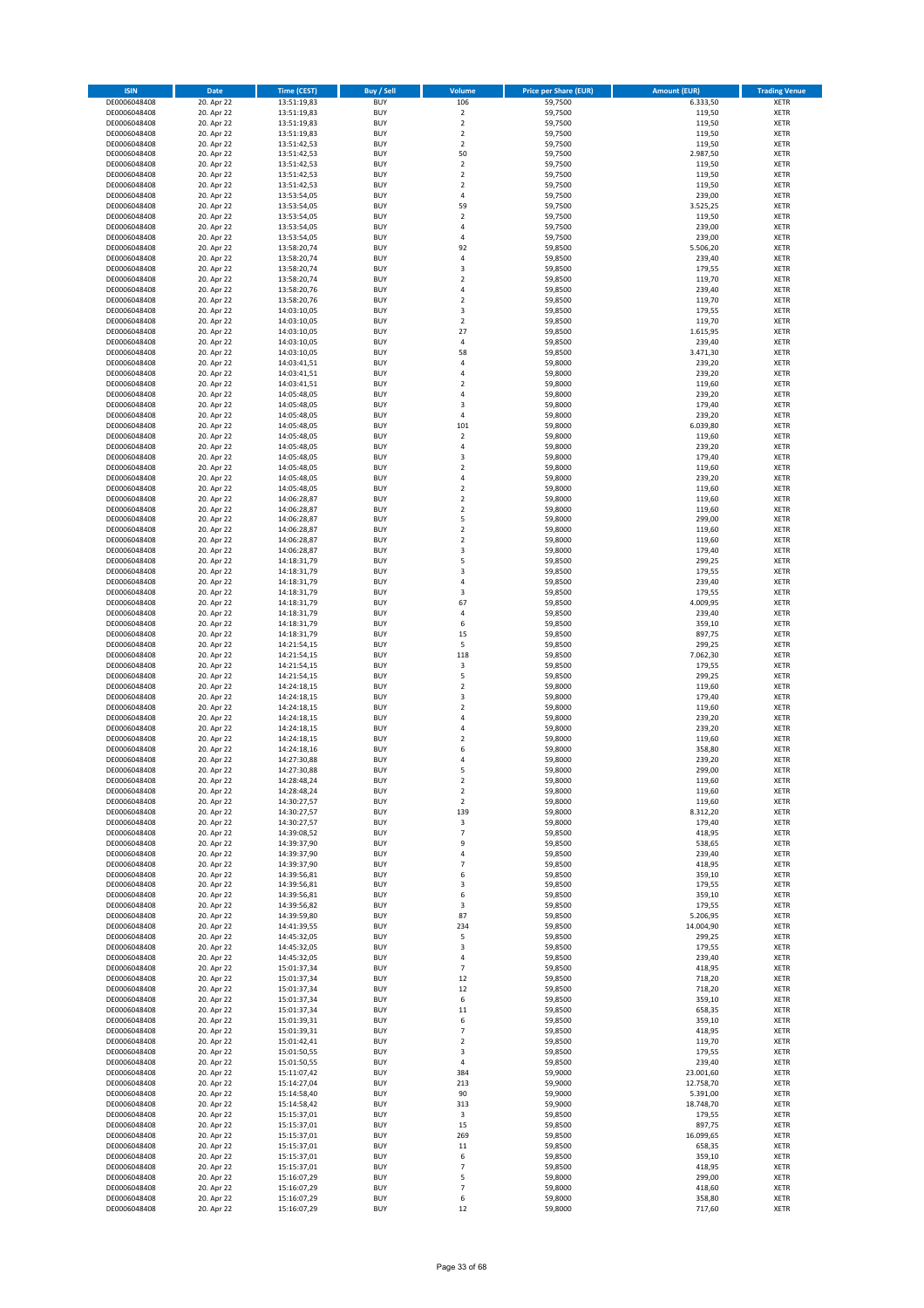| <b>ISIN</b>                  | Date                     | <b>Time (CEST)</b>         | <b>Buy / Sell</b>        | Volume                                 | <b>Price per Share (EUR)</b> | <b>Amount (EUR)</b>   | <b>Trading Venue</b>       |
|------------------------------|--------------------------|----------------------------|--------------------------|----------------------------------------|------------------------------|-----------------------|----------------------------|
| DE0006048408                 | 20. Apr 22               | 13:51:19,83                | <b>BUY</b>               | 106                                    | 59,7500                      | 6.333,50              | <b>XETR</b>                |
| DE0006048408                 | 20. Apr 22               | 13:51:19,83                | <b>BUY</b>               | $\boldsymbol{2}$                       | 59,7500                      | 119,50                | <b>XETR</b>                |
| DE0006048408<br>DE0006048408 | 20. Apr 22<br>20. Apr 22 | 13:51:19,83<br>13:51:19,83 | <b>BUY</b><br><b>BUY</b> | $\mathbf 2$<br>$\mathbf 2$             | 59,7500<br>59,7500           | 119,50<br>119,50      | <b>XETR</b><br><b>XETR</b> |
| DE0006048408                 | 20. Apr 22               | 13:51:42,53                | <b>BUY</b>               | $\mathbf 2$                            | 59,7500                      | 119,50                | <b>XETR</b>                |
| DE0006048408                 | 20. Apr 22               | 13:51:42,53                | <b>BUY</b>               | 50                                     | 59,7500                      | 2.987,50              | <b>XETR</b>                |
| DE0006048408                 | 20. Apr 22               | 13:51:42,53                | <b>BUY</b>               | $\overline{2}$                         | 59,7500                      | 119,50                | <b>XETR</b>                |
| DE0006048408                 | 20. Apr 22               | 13:51:42,53                | <b>BUY</b>               | $\overline{2}$                         | 59,7500                      | 119,50                | <b>XETR</b>                |
| DE0006048408<br>DE0006048408 | 20. Apr 22<br>20. Apr 22 | 13:51:42,53                | <b>BUY</b><br><b>BUY</b> | $\overline{2}$<br>$\sqrt{4}$           | 59,7500<br>59,7500           | 119,50<br>239,00      | XETR<br><b>XETR</b>        |
| DE0006048408                 | 20. Apr 22               | 13:53:54,05<br>13:53:54,05 | <b>BUY</b>               | 59                                     | 59,7500                      | 3.525,25              | XETR                       |
| DE0006048408                 | 20. Apr 22               | 13:53:54,05                | <b>BUY</b>               | $\overline{2}$                         | 59,7500                      | 119,50                | <b>XETR</b>                |
| DE0006048408                 | 20. Apr 22               | 13:53:54,05                | <b>BUY</b>               | 4                                      | 59,7500                      | 239,00                | XETR                       |
| DE0006048408                 | 20. Apr 22               | 13:53:54,05                | <b>BUY</b>               | 4                                      | 59,7500                      | 239,00                | <b>XETR</b>                |
| DE0006048408                 | 20. Apr 22               | 13:58:20,74                | <b>BUY</b>               | 92                                     | 59,8500                      | 5.506,20              | XETR                       |
| DE0006048408<br>DE0006048408 | 20. Apr 22<br>20. Apr 22 | 13:58:20,74<br>13:58:20,74 | <b>BUY</b><br><b>BUY</b> | $\sqrt{4}$<br>3                        | 59,8500<br>59,8500           | 239,40<br>179,55      | <b>XETR</b><br>XETR        |
| DE0006048408                 | 20. Apr 22               | 13:58:20,74                | <b>BUY</b>               | $\overline{2}$                         | 59,8500                      | 119,70                | <b>XETR</b>                |
| DE0006048408                 | 20. Apr 22               | 13:58:20,76                | <b>BUY</b>               | $\overline{4}$                         | 59,8500                      | 239,40                | XETR                       |
| DE0006048408                 | 20. Apr 22               | 13:58:20,76                | <b>BUY</b>               | $\overline{2}$                         | 59,8500                      | 119,70                | <b>XETR</b>                |
| DE0006048408                 | 20. Apr 22               | 14:03:10,05                | <b>BUY</b>               | 3                                      | 59,8500                      | 179,55                | <b>XETR</b>                |
| DE0006048408<br>DE0006048408 | 20. Apr 22<br>20. Apr 22 | 14:03:10,05<br>14:03:10,05 | <b>BUY</b><br><b>BUY</b> | $\mathbf 2$<br>27                      | 59,8500<br>59,8500           | 119,70<br>1.615,95    | <b>XETR</b><br><b>XETR</b> |
| DE0006048408                 | 20. Apr 22               | 14:03:10,05                | <b>BUY</b>               | 4                                      | 59,8500                      | 239,40                | <b>XETR</b>                |
| DE0006048408                 | 20. Apr 22               | 14:03:10,05                | <b>BUY</b>               | 58                                     | 59,8500                      | 3.471,30              | <b>XETR</b>                |
| DE0006048408                 | 20. Apr 22               | 14:03:41,51                | <b>BUY</b>               | 4                                      | 59,8000                      | 239,20                | <b>XETR</b>                |
| DE0006048408                 | 20. Apr 22               | 14:03:41,51                | <b>BUY</b>               | $\overline{4}$                         | 59,8000                      | 239,20                | <b>XETR</b>                |
| DE0006048408<br>DE0006048408 | 20. Apr 22<br>20. Apr 22 | 14:03:41,51<br>14:05:48,05 | <b>BUY</b><br><b>BUY</b> | $\overline{2}$<br>$\sqrt{4}$           | 59,8000<br>59,8000           | 119,60<br>239,20      | <b>XETR</b><br><b>XETR</b> |
| DE0006048408                 | 20. Apr 22               | 14:05:48,05                | <b>BUY</b>               | 3                                      | 59,8000                      | 179,40                | <b>XETR</b>                |
| DE0006048408                 | 20. Apr 22               | 14:05:48,05                | <b>BUY</b>               | $\sqrt{4}$                             | 59,8000                      | 239,20                | <b>XETR</b>                |
| DE0006048408                 | 20. Apr 22               | 14:05:48,05                | <b>BUY</b>               | 101                                    | 59,8000                      | 6.039,80              | <b>XETR</b>                |
| DE0006048408                 | 20. Apr 22               | 14:05:48,05                | <b>BUY</b>               | $\mathbf 2$                            | 59,8000                      | 119,60                | <b>XETR</b>                |
| DE0006048408<br>DE0006048408 | 20. Apr 22<br>20. Apr 22 | 14:05:48,05<br>14:05:48,05 | <b>BUY</b><br><b>BUY</b> | $\sqrt{4}$<br>3                        | 59,8000<br>59,8000           | 239,20<br>179,40      | XETR<br><b>XETR</b>        |
| DE0006048408                 | 20. Apr 22               | 14:05:48,05                | <b>BUY</b>               | $\overline{2}$                         | 59,8000                      | 119,60                | XETR                       |
| DE0006048408                 | 20. Apr 22               | 14:05:48,05                | <b>BUY</b>               | $\sqrt{4}$                             | 59,8000                      | 239,20                | <b>XETR</b>                |
| DE0006048408                 | 20. Apr 22               | 14:05:48,05                | <b>BUY</b>               | $\mathbf 2$                            | 59,8000                      | 119,60                | <b>XETR</b>                |
| DE0006048408                 | 20. Apr 22               | 14:06:28,87                | <b>BUY</b>               | $\overline{2}$                         | 59,8000                      | 119,60                | <b>XETR</b>                |
| DE0006048408                 | 20. Apr 22               | 14:06:28,87                | <b>BUY</b>               | $\overline{2}$                         | 59,8000                      | 119,60                | <b>XETR</b>                |
| DE0006048408<br>DE0006048408 | 20. Apr 22<br>20. Apr 22 | 14:06:28,87<br>14:06:28,87 | <b>BUY</b><br><b>BUY</b> | 5<br>$\overline{2}$                    | 59,8000<br>59,8000           | 299,00<br>119,60      | <b>XETR</b><br><b>XETR</b> |
| DE0006048408                 | 20. Apr 22               | 14:06:28,87                | <b>BUY</b>               | $\overline{2}$                         | 59,8000                      | 119,60                | <b>XETR</b>                |
| DE0006048408                 | 20. Apr 22               | 14:06:28,87                | <b>BUY</b>               | 3                                      | 59,8000                      | 179,40                | <b>XETR</b>                |
| DE0006048408                 | 20. Apr 22               | 14:18:31,79                | <b>BUY</b>               | 5                                      | 59,8500                      | 299,25                | <b>XETR</b>                |
| DE0006048408                 | 20. Apr 22               | 14:18:31,79                | <b>BUY</b>               | 3                                      | 59,8500                      | 179,55                | XETR                       |
| DE0006048408<br>DE0006048408 | 20. Apr 22<br>20. Apr 22 | 14:18:31,79<br>14:18:31,79 | <b>BUY</b><br><b>BUY</b> | 4<br>3                                 | 59,8500<br>59,8500           | 239,40<br>179,55      | <b>XETR</b><br><b>XETR</b> |
| DE0006048408                 | 20. Apr 22               | 14:18:31,79                | <b>BUY</b>               | 67                                     | 59,8500                      | 4.009,95              | <b>XETR</b>                |
| DE0006048408                 | 20. Apr 22               | 14:18:31,79                | <b>BUY</b>               | $\sqrt{4}$                             | 59,8500                      | 239,40                | <b>XETR</b>                |
| DE0006048408                 | 20. Apr 22               | 14:18:31,79                | <b>BUY</b>               | 6                                      | 59,8500                      | 359,10                | <b>XETR</b>                |
| DE0006048408                 | 20. Apr 22               | 14:18:31,79                | <b>BUY</b>               | 15                                     | 59,8500                      | 897,75                | <b>XETR</b>                |
| DE0006048408<br>DE0006048408 | 20. Apr 22               | 14:21:54,15<br>14:21:54,15 | <b>BUY</b><br><b>BUY</b> | 5<br>118                               | 59,8500<br>59,8500           | 299,25<br>7.062,30    | <b>XETR</b><br><b>XETR</b> |
| DE0006048408                 | 20. Apr 22<br>20. Apr 22 | 14:21:54,15                | <b>BUY</b>               | 3                                      | 59,8500                      | 179,55                | <b>XETR</b>                |
| DE0006048408                 | 20. Apr 22               | 14:21:54,15                | <b>BUY</b>               | 5                                      | 59,8500                      | 299,25                | <b>XETR</b>                |
| DE0006048408                 | 20. Apr 22               | 14:24:18,15                | <b>BUY</b>               | $\mathbf 2$                            | 59,8000                      | 119,60                | <b>XETR</b>                |
| DE0006048408                 | 20. Apr 22               | 14:24:18,15                | <b>BUY</b>               | 3                                      | 59,8000                      | 179,40                | <b>XETR</b>                |
| DE0006048408<br>DE0006048408 | 20. Apr 22<br>20. Apr 22 | 14:24:18,15                | <b>BUY</b><br><b>BUY</b> | $\overline{2}$<br>4                    | 59,8000<br>59,8000           | 119,60<br>239,20      | <b>XETR</b><br><b>XETR</b> |
| DE0006048408                 | 20. Apr 22               | 14:24:18,15<br>14:24:18,15 | <b>BUY</b>               | $\sqrt{4}$                             | 59,8000                      | 239,20                | XETR                       |
| DE0006048408                 | 20. Apr 22               | 14:24:18,15                | <b>BUY</b>               | $\overline{2}$                         | 59,8000                      | 119,60                | <b>XETR</b>                |
| DE0006048408                 | 20. Apr 22               | 14:24:18,16                | <b>BUY</b>               | 6                                      | 59,8000                      | 358,80                | XETR                       |
| DE0006048408                 | 20. Apr 22               | 14:27:30,88                | <b>BUY</b>               | 4                                      | 59,8000                      | 239,20                | <b>XETR</b>                |
| DE0006048408                 | 20. Apr 22               | 14:27:30,88                | <b>BUY</b>               | 5                                      | 59,8000                      | 299,00                | <b>XETR</b>                |
| DE0006048408<br>DE0006048408 | 20. Apr 22<br>20. Apr 22 | 14:28:48,24<br>14:28:48,24 | <b>BUY</b><br><b>BUY</b> | $\overline{\mathbf{c}}$<br>$\mathbf 2$ | 59,8000<br>59,8000           | 119,60<br>119,60      | XETR<br>XETR               |
| DE0006048408                 | 20. Apr 22               | 14:30:27,57                | <b>BUY</b>               | $\overline{2}$                         | 59,8000                      | 119,60                | XETR                       |
| DE0006048408                 | 20. Apr 22               | 14:30:27,57                | <b>BUY</b>               | 139                                    | 59,8000                      | 8.312,20              | <b>XETR</b>                |
| DE0006048408                 | 20. Apr 22               | 14:30:27,57                | <b>BUY</b>               | 3                                      | 59,8000                      | 179,40                | <b>XETR</b>                |
| DE0006048408                 | 20. Apr 22               | 14:39:08,52                | <b>BUY</b>               | $\overline{\phantom{a}}$               | 59,8500                      | 418,95                | XETR                       |
| DE0006048408<br>DE0006048408 | 20. Apr 22<br>20. Apr 22 | 14:39:37,90<br>14:39:37,90 | <b>BUY</b><br><b>BUY</b> | 9<br>$\sqrt{4}$                        | 59,8500<br>59,8500           | 538,65<br>239,40      | <b>XETR</b><br>XETR        |
| DE0006048408                 | 20. Apr 22               | 14:39:37,90                | <b>BUY</b>               | $\overline{7}$                         | 59,8500                      | 418,95                | <b>XETR</b>                |
| DE0006048408                 | 20. Apr 22               | 14:39:56,81                | <b>BUY</b>               | 6                                      | 59,8500                      | 359,10                | XETR                       |
| DE0006048408                 | 20. Apr 22               | 14:39:56,81                | <b>BUY</b>               | 3                                      | 59,8500                      | 179,55                | <b>XETR</b>                |
| DE0006048408<br>DE0006048408 | 20. Apr 22<br>20. Apr 22 | 14:39:56,81<br>14:39:56,82 | <b>BUY</b><br><b>BUY</b> | 6<br>3                                 | 59,8500<br>59,8500           | 359,10<br>179,55      | <b>XETR</b><br>XETR        |
| DE0006048408                 | 20. Apr 22               | 14:39:59,80                | <b>BUY</b>               | 87                                     | 59,8500                      | 5.206,95              | XETR                       |
| DE0006048408                 | 20. Apr 22               | 14:41:39,55                | <b>BUY</b>               | 234                                    | 59,8500                      | 14.004,90             | <b>XETR</b>                |
| DE0006048408                 | 20. Apr 22               | 14:45:32,05                | <b>BUY</b>               | 5                                      | 59,8500                      | 299,25                | <b>XETR</b>                |
| DE0006048408                 | 20. Apr 22               | 14:45:32,05                | <b>BUY</b>               | 3                                      | 59,8500                      | 179,55                | <b>XETR</b>                |
| DE0006048408<br>DE0006048408 | 20. Apr 22<br>20. Apr 22 | 14:45:32,05<br>15:01:37,34 | <b>BUY</b><br><b>BUY</b> | 4<br>7                                 | 59,8500<br>59,8500           | 239,40<br>418,95      | <b>XETR</b><br><b>XETR</b> |
| DE0006048408                 | 20. Apr 22               | 15:01:37,34                | <b>BUY</b>               | 12                                     | 59,8500                      | 718,20                | <b>XETR</b>                |
| DE0006048408                 | 20. Apr 22               | 15:01:37,34                | <b>BUY</b>               | 12                                     | 59,8500                      | 718,20                | <b>XETR</b>                |
| DE0006048408                 | 20. Apr 22               | 15:01:37,34                | <b>BUY</b>               | 6                                      | 59,8500                      | 359,10                | XETR                       |
| DE0006048408                 | 20. Apr 22               | 15:01:37,34                | <b>BUY</b>               | 11                                     | 59,8500                      | 658,35                | XETR                       |
| DE0006048408<br>DE0006048408 | 20. Apr 22<br>20. Apr 22 | 15:01:39,31                | <b>BUY</b><br><b>BUY</b> | 6<br>$\overline{\phantom{a}}$          | 59,8500<br>59,8500           | 359,10<br>418,95      | XETR                       |
| DE0006048408                 | 20. Apr 22               | 15:01:39,31<br>15:01:42,41 | <b>BUY</b>               | $\overline{2}$                         | 59,8500                      | 119,70                | XETR<br><b>XETR</b>        |
| DE0006048408                 | 20. Apr 22               | 15:01:50,55                | <b>BUY</b>               | 3                                      | 59,8500                      | 179,55                | XETR                       |
| DE0006048408                 | 20. Apr 22               | 15:01:50,55                | <b>BUY</b>               | 4                                      | 59,8500                      | 239,40                | XETR                       |
| DE0006048408                 | 20. Apr 22               | 15:11:07,42                | <b>BUY</b>               | 384                                    | 59,9000                      | 23.001,60             | XETR                       |
| DE0006048408                 | 20. Apr 22               | 15:14:27,04                | <b>BUY</b>               | 213                                    | 59,9000                      | 12.758,70             | XETR                       |
| DE0006048408<br>DE0006048408 | 20. Apr 22<br>20. Apr 22 | 15:14:58,40<br>15:14:58,42 | <b>BUY</b><br><b>BUY</b> | 90<br>313                              | 59,9000<br>59,9000           | 5.391,00<br>18.748,70 | XETR<br>XETR               |
| DE0006048408                 | 20. Apr 22               | 15:15:37,01                | <b>BUY</b>               | 3                                      | 59,8500                      | 179,55                | XETR                       |
| DE0006048408                 | 20. Apr 22               | 15:15:37,01                | <b>BUY</b>               | 15                                     | 59,8500                      | 897,75                | <b>XETR</b>                |
| DE0006048408                 | 20. Apr 22               | 15:15:37,01                | <b>BUY</b>               | 269                                    | 59,8500                      | 16.099,65             | <b>XETR</b>                |
| DE0006048408                 | 20. Apr 22               | 15:15:37,01                | <b>BUY</b>               | 11                                     | 59,8500                      | 658,35                | <b>XETR</b>                |
| DE0006048408<br>DE0006048408 | 20. Apr 22<br>20. Apr 22 | 15:15:37,01<br>15:15:37,01 | <b>BUY</b><br><b>BUY</b> | 6<br>$\overline{7}$                    | 59,8500<br>59,8500           | 359,10<br>418,95      | <b>XETR</b><br><b>XETR</b> |
| DE0006048408                 | 20. Apr 22               | 15:16:07,29                | <b>BUY</b>               | 5                                      | 59,8000                      | 299,00                | <b>XETR</b>                |
| DE0006048408                 | 20. Apr 22               | 15:16:07,29                | <b>BUY</b>               | $\overline{\phantom{a}}$               | 59,8000                      | 418,60                | <b>XETR</b>                |
| DE0006048408                 | 20. Apr 22               | 15:16:07,29                | <b>BUY</b>               | 6                                      | 59,8000                      | 358,80                | <b>XETR</b>                |
| DE0006048408                 | 20. Apr 22               | 15:16:07,29                | <b>BUY</b>               | 12                                     | 59,8000                      | 717,60                | XETR                       |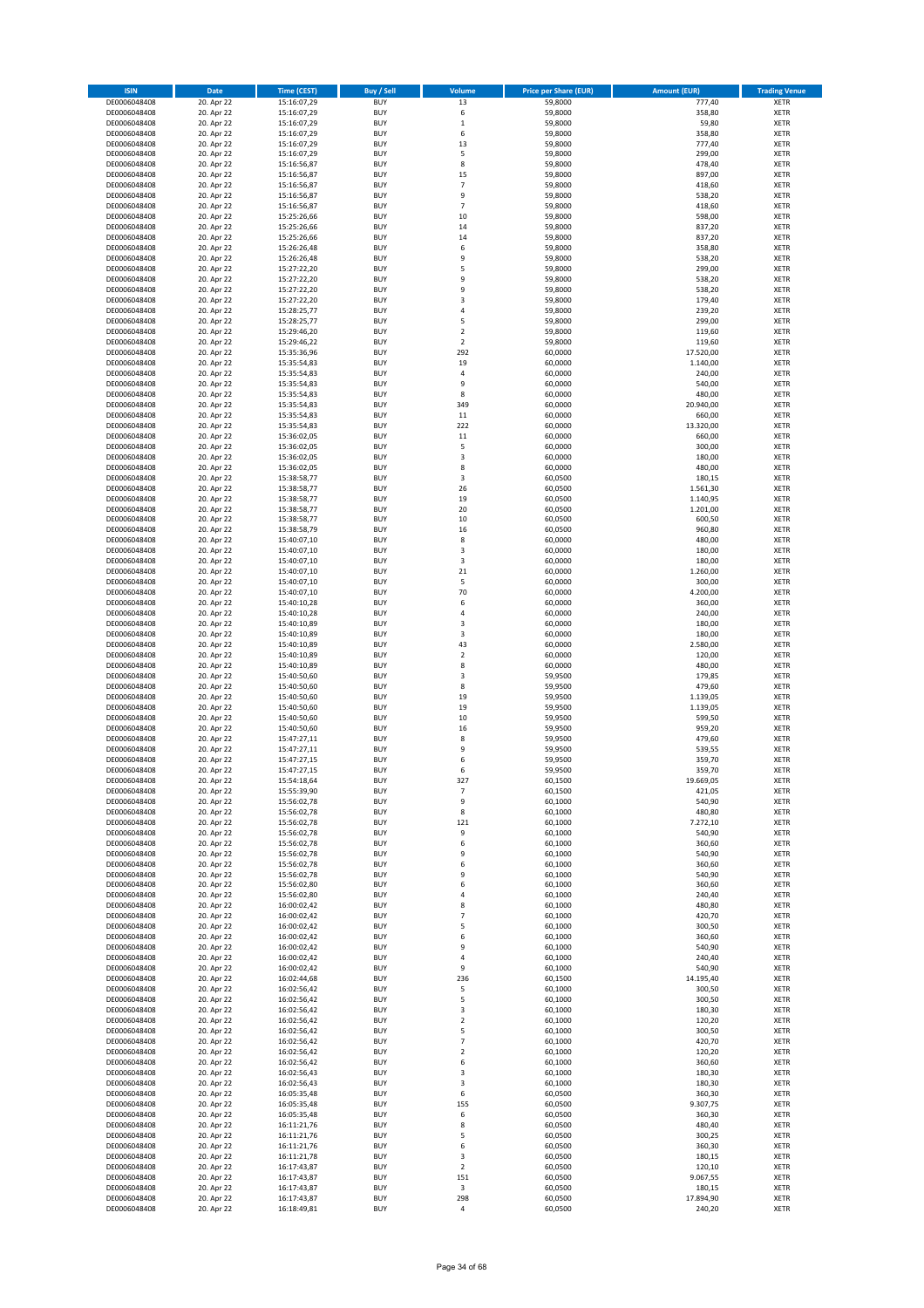| <b>ISIN</b>                  | Date                     | <b>Time (CEST)</b>         | <b>Buy / Sell</b>        | Volume              | <b>Price per Share (EUR)</b> | <b>Amount (EUR)</b> | <b>Trading Venue</b>       |
|------------------------------|--------------------------|----------------------------|--------------------------|---------------------|------------------------------|---------------------|----------------------------|
| DE0006048408                 | 20. Apr 22               | 15:16:07,29                | <b>BUY</b>               | 13                  | 59,8000                      | 777,40              | <b>XETR</b>                |
| DE0006048408                 | 20. Apr 22               | 15:16:07,29                | <b>BUY</b>               | 6                   | 59,8000                      | 358,80              | <b>XETR</b>                |
| DE0006048408<br>DE0006048408 | 20. Apr 22<br>20. Apr 22 | 15:16:07,29<br>15:16:07,29 | <b>BUY</b><br><b>BUY</b> | $\,$ 1<br>6         | 59,8000<br>59,8000           | 59,80<br>358,80     | XETR<br><b>XETR</b>        |
| DE0006048408                 | 20. Apr 22               | 15:16:07,29                | <b>BUY</b>               | 13                  | 59,8000                      | 777,40              | <b>XETR</b>                |
| DE0006048408                 | 20. Apr 22               | 15:16:07,29                | <b>BUY</b>               | 5                   | 59,8000                      | 299,00              | <b>XETR</b>                |
| DE0006048408                 | 20. Apr 22               | 15:16:56,87                | <b>BUY</b>               | 8                   | 59,8000                      | 478,40              | <b>XETR</b>                |
| DE0006048408                 | 20. Apr 22               | 15:16:56,87                | <b>BUY</b>               | 15                  | 59,8000                      | 897,00              | <b>XETR</b>                |
| DE0006048408<br>DE0006048408 | 20. Apr 22<br>20. Apr 22 | 15:16:56,87                | <b>BUY</b><br><b>BUY</b> | $\overline{7}$<br>9 | 59,8000<br>59,8000           | 418,60<br>538,20    | XETR<br><b>XETR</b>        |
| DE0006048408                 | 20. Apr 22               | 15:16:56,87<br>15:16:56,87 | <b>BUY</b>               | $\overline{7}$      | 59,8000                      | 418,60              | XETR                       |
| DE0006048408                 | 20. Apr 22               | 15:25:26,66                | <b>BUY</b>               | 10                  | 59,8000                      | 598,00              | <b>XETR</b>                |
| DE0006048408                 | 20. Apr 22               | 15:25:26,66                | <b>BUY</b>               | 14                  | 59,8000                      | 837,20              | XETR                       |
| DE0006048408                 | 20. Apr 22               | 15:25:26,66                | <b>BUY</b>               | 14                  | 59,8000                      | 837,20              | <b>XETR</b>                |
| DE0006048408                 | 20. Apr 22               | 15:26:26,48                | <b>BUY</b>               | 6                   | 59,8000                      | 358,80              | XETR                       |
| DE0006048408<br>DE0006048408 | 20. Apr 22<br>20. Apr 22 | 15:26:26,48<br>15:27:22,20 | <b>BUY</b><br><b>BUY</b> | 9<br>5              | 59,8000<br>59,8000           | 538,20<br>299,00    | <b>XETR</b><br>XETR        |
| DE0006048408                 | 20. Apr 22               | 15:27:22,20                | <b>BUY</b>               | 9                   | 59,8000                      | 538,20              | <b>XETR</b>                |
| DE0006048408                 | 20. Apr 22               | 15:27:22,20                | <b>BUY</b>               | $\overline{9}$      | 59,8000                      | 538,20              | XETR                       |
| DE0006048408                 | 20. Apr 22               | 15:27:22,20                | <b>BUY</b>               | 3                   | 59,8000                      | 179,40              | <b>XETR</b>                |
| DE0006048408                 | 20. Apr 22               | 15:28:25,77                | <b>BUY</b><br><b>BUY</b> | $\sqrt{4}$<br>5     | 59,8000                      | 239,20<br>299,00    | <b>XETR</b><br><b>XETR</b> |
| DE0006048408<br>DE0006048408 | 20. Apr 22<br>20. Apr 22 | 15:28:25,77<br>15:29:46,20 | <b>BUY</b>               | $\overline{2}$      | 59,8000<br>59,8000           | 119,60              | <b>XETR</b>                |
| DE0006048408                 | 20. Apr 22               | 15:29:46,22                | <b>BUY</b>               | $\mathbf 2$         | 59,8000                      | 119,60              | <b>XETR</b>                |
| DE0006048408                 | 20. Apr 22               | 15:35:36,96                | <b>BUY</b>               | 292                 | 60,0000                      | 17.520,00           | <b>XETR</b>                |
| DE0006048408                 | 20. Apr 22               | 15:35:54,83                | <b>BUY</b>               | 19                  | 60,0000                      | 1.140,00            | <b>XETR</b>                |
| DE0006048408                 | 20. Apr 22               | 15:35:54,83                | <b>BUY</b>               | $\sqrt{4}$          | 60,0000                      | 240,00              | <b>XETR</b>                |
| DE0006048408<br>DE0006048408 | 20. Apr 22<br>20. Apr 22 | 15:35:54,83<br>15:35:54,83 | <b>BUY</b><br><b>BUY</b> | 9<br>8              | 60,0000<br>60,0000           | 540,00<br>480,00    | <b>XETR</b><br><b>XETR</b> |
| DE0006048408                 | 20. Apr 22               | 15:35:54,83                | <b>BUY</b>               | 349                 | 60,0000                      | 20.940,00           | <b>XETR</b>                |
| DE0006048408                 | 20. Apr 22               | 15:35:54,83                | <b>BUY</b>               | $11\,$              | 60,0000                      | 660,00              | <b>XETR</b>                |
| DE0006048408                 | 20. Apr 22               | 15:35:54,83                | <b>BUY</b>               | 222                 | 60,0000                      | 13.320,00           | <b>XETR</b>                |
| DE0006048408<br>DE0006048408 | 20. Apr 22               | 15:36:02,05<br>15:36:02,05 | <b>BUY</b><br><b>BUY</b> | 11<br>5             | 60,0000                      | 660,00<br>300,00    | <b>XETR</b><br>XETR        |
| DE0006048408                 | 20. Apr 22<br>20. Apr 22 | 15:36:02,05                | <b>BUY</b>               | 3                   | 60,0000<br>60,0000           | 180,00              | <b>XETR</b>                |
| DE0006048408                 | 20. Apr 22               | 15:36:02,05                | <b>BUY</b>               | 8                   | 60,0000                      | 480,00              | XETR                       |
| DE0006048408                 | 20. Apr 22               | 15:38:58,77                | <b>BUY</b>               | 3                   | 60,0500                      | 180,15              | <b>XETR</b>                |
| DE0006048408                 | 20. Apr 22               | 15:38:58,77                | <b>BUY</b>               | 26                  | 60,0500                      | 1.561,30            | XETR                       |
| DE0006048408                 | 20. Apr 22               | 15:38:58,77                | <b>BUY</b>               | 19                  | 60,0500                      | 1.140,95            | <b>XETR</b>                |
| DE0006048408<br>DE0006048408 | 20. Apr 22<br>20. Apr 22 | 15:38:58,77                | <b>BUY</b><br><b>BUY</b> | 20<br>10            | 60,0500<br>60,0500           | 1.201,00<br>600,50  | <b>XETR</b><br><b>XETR</b> |
| DE0006048408                 | 20. Apr 22               | 15:38:58,77<br>15:38:58,79 | <b>BUY</b>               | 16                  | 60,0500                      | 960,80              | <b>XETR</b>                |
| DE0006048408                 | 20. Apr 22               | 15:40:07,10                | <b>BUY</b>               | 8                   | 60,0000                      | 480,00              | <b>XETR</b>                |
| DE0006048408                 | 20. Apr 22               | 15:40:07,10                | <b>BUY</b>               | 3                   | 60,0000                      | 180,00              | <b>XETR</b>                |
| DE0006048408                 | 20. Apr 22               | 15:40:07,10                | <b>BUY</b>               | 3                   | 60,0000                      | 180,00              | <b>XETR</b>                |
| DE0006048408                 | 20. Apr 22               | 15:40:07,10                | <b>BUY</b>               | 21                  | 60,0000                      | 1.260,00            | XETR                       |
| DE0006048408<br>DE0006048408 | 20. Apr 22<br>20. Apr 22 | 15:40:07,10<br>15:40:07,10 | <b>BUY</b><br><b>BUY</b> | 5<br>70             | 60,0000<br>60,0000           | 300,00<br>4.200,00  | <b>XETR</b><br><b>XETR</b> |
| DE0006048408                 | 20. Apr 22               | 15:40:10,28                | <b>BUY</b>               | 6                   | 60,0000                      | 360,00              | <b>XETR</b>                |
| DE0006048408                 | 20. Apr 22               | 15:40:10,28                | <b>BUY</b>               | $\sqrt{4}$          | 60,0000                      | 240,00              | <b>XETR</b>                |
| DE0006048408                 | 20. Apr 22               | 15:40:10,89                | <b>BUY</b>               | 3                   | 60,0000                      | 180,00              | <b>XETR</b>                |
| DE0006048408                 | 20. Apr 22               | 15:40:10,89                | <b>BUY</b><br><b>BUY</b> | 3                   | 60,0000                      | 180,00              | <b>XETR</b>                |
| DE0006048408<br>DE0006048408 | 20. Apr 22<br>20. Apr 22 | 15:40:10,89<br>15:40:10,89 | <b>BUY</b>               | 43<br>$\mathbf 2$   | 60,0000<br>60,0000           | 2.580,00<br>120,00  | <b>XETR</b><br><b>XETR</b> |
| DE0006048408                 | 20. Apr 22               | 15:40:10,89                | <b>BUY</b>               | 8                   | 60,0000                      | 480,00              | <b>XETR</b>                |
| DE0006048408                 | 20. Apr 22               | 15:40:50,60                | <b>BUY</b>               | 3                   | 59,9500                      | 179,85              | <b>XETR</b>                |
| DE0006048408                 | 20. Apr 22               | 15:40:50,60                | <b>BUY</b>               | 8                   | 59,9500                      | 479,60              | <b>XETR</b>                |
| DE0006048408                 | 20. Apr 22               | 15:40:50,60                | <b>BUY</b>               | 19                  | 59,9500                      | 1.139,05            | <b>XETR</b>                |
| DE0006048408<br>DE0006048408 | 20. Apr 22<br>20. Apr 22 | 15:40:50,60<br>15:40:50,60 | <b>BUY</b><br><b>BUY</b> | 19<br>10            | 59,9500<br>59,9500           | 1.139,05<br>599,50  | <b>XETR</b><br><b>XETR</b> |
| DE0006048408                 | 20. Apr 22               | 15:40:50,60                | <b>BUY</b>               | 16                  | 59,9500                      | 959,20              | XETR                       |
| DE0006048408                 | 20. Apr 22               | 15:47:27,11                | <b>BUY</b>               | 8                   | 59,9500                      | 479,60              | <b>XETR</b>                |
| DE0006048408                 | 20. Apr 22               | 15:47:27,11                | <b>BUY</b>               | 9                   | 59,9500                      | 539,55              | XETR                       |
| DE0006048408                 | 20. Apr 22               | 15:47:27,15                | <b>BUY</b>               | 6                   | 59,9500                      | 359,70              | <b>XETR</b>                |
| DE0006048408<br>DE0006048408 | 20. Apr 22<br>20. Apr 22 | 15:47:27,15<br>15:54:18,64 | <b>BUY</b><br><b>BUY</b> | 6<br>327            | 59,9500<br>60,1500           | 359,70<br>19.669,05 | <b>XETR</b><br>XETR        |
| DE0006048408                 | 20. Apr 22               | 15:55:39,90                | <b>BUY</b>               | $\overline{7}$      | 60,1500                      | 421,05              | XETR                       |
| DE0006048408                 | 20. Apr 22               | 15:56:02,78                | <b>BUY</b>               | 9                   | 60,1000                      | 540,90              | XETR                       |
| DE0006048408                 | 20. Apr 22               | 15:56:02,78                | <b>BUY</b>               | 8                   | 60,1000                      | 480,80              | <b>XETR</b>                |
| DE0006048408                 | 20. Apr 22               | 15:56:02,78                | <b>BUY</b>               | 121                 | 60,1000                      | 7.272,10            | <b>XETR</b>                |
| DE0006048408<br>DE0006048408 | 20. Apr 22<br>20. Apr 22 | 15:56:02,78<br>15:56:02,78 | <b>BUY</b><br><b>BUY</b> | 9<br>6              | 60,1000<br>60,1000           | 540,90<br>360,60    | XETR<br><b>XETR</b>        |
| DE0006048408                 | 20. Apr 22               | 15:56:02,78                | <b>BUY</b>               | 9                   | 60,1000                      | 540,90              | <b>XETR</b>                |
| DE0006048408                 | 20. Apr 22               | 15:56:02,78                | <b>BUY</b>               | 6                   | 60,1000                      | 360,60              | <b>XETR</b>                |
| DE0006048408                 | 20. Apr 22               | 15:56:02,78                | <b>BUY</b>               | 9                   | 60,1000                      | 540,90              | <b>XETR</b>                |
| DE0006048408<br>DE0006048408 | 20. Apr 22<br>20. Apr 22 | 15:56:02,80<br>15:56:02,80 | <b>BUY</b><br><b>BUY</b> | 6<br>$\sqrt{4}$     | 60,1000<br>60,1000           | 360,60<br>240,40    | <b>XETR</b><br><b>XETR</b> |
| DE0006048408                 | 20. Apr 22               | 16:00:02,42                | <b>BUY</b>               | 8                   | 60,1000                      | 480,80              | <b>XETR</b>                |
| DE0006048408                 | 20. Apr 22               | 16:00:02,42                | <b>BUY</b>               | $\overline{7}$      | 60,1000                      | 420,70              | XETR                       |
| DE0006048408                 | 20. Apr 22               | 16:00:02,42                | <b>BUY</b>               | 5                   | 60,1000                      | 300,50              | <b>XETR</b>                |
| DE0006048408                 | 20. Apr 22               | 16:00:02,42                | <b>BUY</b>               | 6                   | 60,1000                      | 360,60              | <b>XETR</b>                |
| DE0006048408<br>DE0006048408 | 20. Apr 22<br>20. Apr 22 | 16:00:02,42<br>16:00:02,42 | <b>BUY</b><br><b>BUY</b> | 9<br>4              | 60,1000<br>60,1000           | 540,90<br>240,40    | <b>XETR</b><br><b>XETR</b> |
| DE0006048408                 | 20. Apr 22               | 16:00:02,42                | <b>BUY</b>               | 9                   | 60,1000                      | 540,90              | <b>XETR</b>                |
| DE0006048408                 | 20. Apr 22               | 16:02:44,68                | <b>BUY</b>               | 236                 | 60,1500                      | 14.195,40           | <b>XETR</b>                |
| DE0006048408                 | 20. Apr 22               | 16:02:56,42                | <b>BUY</b>               | 5                   | 60,1000                      | 300,50              | <b>XETR</b>                |
| DE0006048408                 | 20. Apr 22               | 16:02:56,42                | <b>BUY</b>               | 5                   | 60,1000                      | 300,50              | <b>XETR</b>                |
| DE0006048408<br>DE0006048408 | 20. Apr 22<br>20. Apr 22 | 16:02:56,42<br>16:02:56,42 | <b>BUY</b><br><b>BUY</b> | 3<br>$\overline{2}$ | 60,1000<br>60,1000           | 180,30<br>120,20    | XETR<br>XETR               |
| DE0006048408                 | 20. Apr 22               | 16:02:56,42                | <b>BUY</b>               | 5                   | 60,1000                      | 300,50              | XETR                       |
| DE0006048408                 | 20. Apr 22               | 16:02:56,42                | <b>BUY</b>               | $\overline{7}$      | 60,1000                      | 420,70              | <b>XETR</b>                |
| DE0006048408                 | 20. Apr 22               | 16:02:56,42                | <b>BUY</b>               | $\boldsymbol{2}$    | 60,1000                      | 120,20              | XETR                       |
| DE0006048408                 | 20. Apr 22               | 16:02:56,42                | <b>BUY</b>               | 6                   | 60,1000                      | 360,60              | XETR                       |
| DE0006048408                 | 20. Apr 22               | 16:02:56,43                | <b>BUY</b><br><b>BUY</b> | 3<br>3              | 60,1000                      | 180,30              | XETR                       |
| DE0006048408<br>DE0006048408 | 20. Apr 22<br>20. Apr 22 | 16:02:56,43<br>16:05:35,48 | <b>BUY</b>               | 6                   | 60,1000<br>60,0500           | 180,30<br>360,30    | <b>XETR</b><br>XETR        |
| DE0006048408                 | 20. Apr 22               | 16:05:35,48                | <b>BUY</b>               | 155                 | 60,0500                      | 9.307,75            | XETR                       |
| DE0006048408                 | 20. Apr 22               | 16:05:35,48                | <b>BUY</b>               | 6                   | 60,0500                      | 360,30              | <b>XETR</b>                |
| DE0006048408                 | 20. Apr 22               | 16:11:21,76                | <b>BUY</b>               | 8                   | 60,0500                      | 480,40              | <b>XETR</b>                |
| DE0006048408<br>DE0006048408 | 20. Apr 22<br>20. Apr 22 | 16:11:21,76<br>16:11:21,76 | <b>BUY</b><br><b>BUY</b> | 5<br>6              | 60,0500<br>60,0500           | 300,25<br>360,30    | <b>XETR</b><br><b>XETR</b> |
| DE0006048408                 | 20. Apr 22               | 16:11:21,78                | <b>BUY</b>               | 3                   | 60,0500                      | 180,15              | <b>XETR</b>                |
| DE0006048408                 | 20. Apr 22               | 16:17:43,87                | <b>BUY</b>               | $\overline{2}$      | 60,0500                      | 120,10              | <b>XETR</b>                |
| DE0006048408                 | 20. Apr 22               | 16:17:43,87                | <b>BUY</b>               | 151                 | 60,0500                      | 9.067,55            | <b>XETR</b>                |
| DE0006048408                 | 20. Apr 22               | 16:17:43,87                | <b>BUY</b>               | 3                   | 60,0500                      | 180,15              | <b>XETR</b>                |
| DE0006048408                 | 20. Apr 22<br>20. Apr 22 | 16:17:43,87<br>16:18:49,81 | <b>BUY</b><br><b>BUY</b> | 298<br>$\sqrt{4}$   | 60,0500<br>60,0500           | 17.894,90<br>240,20 | <b>XETR</b><br><b>XETR</b> |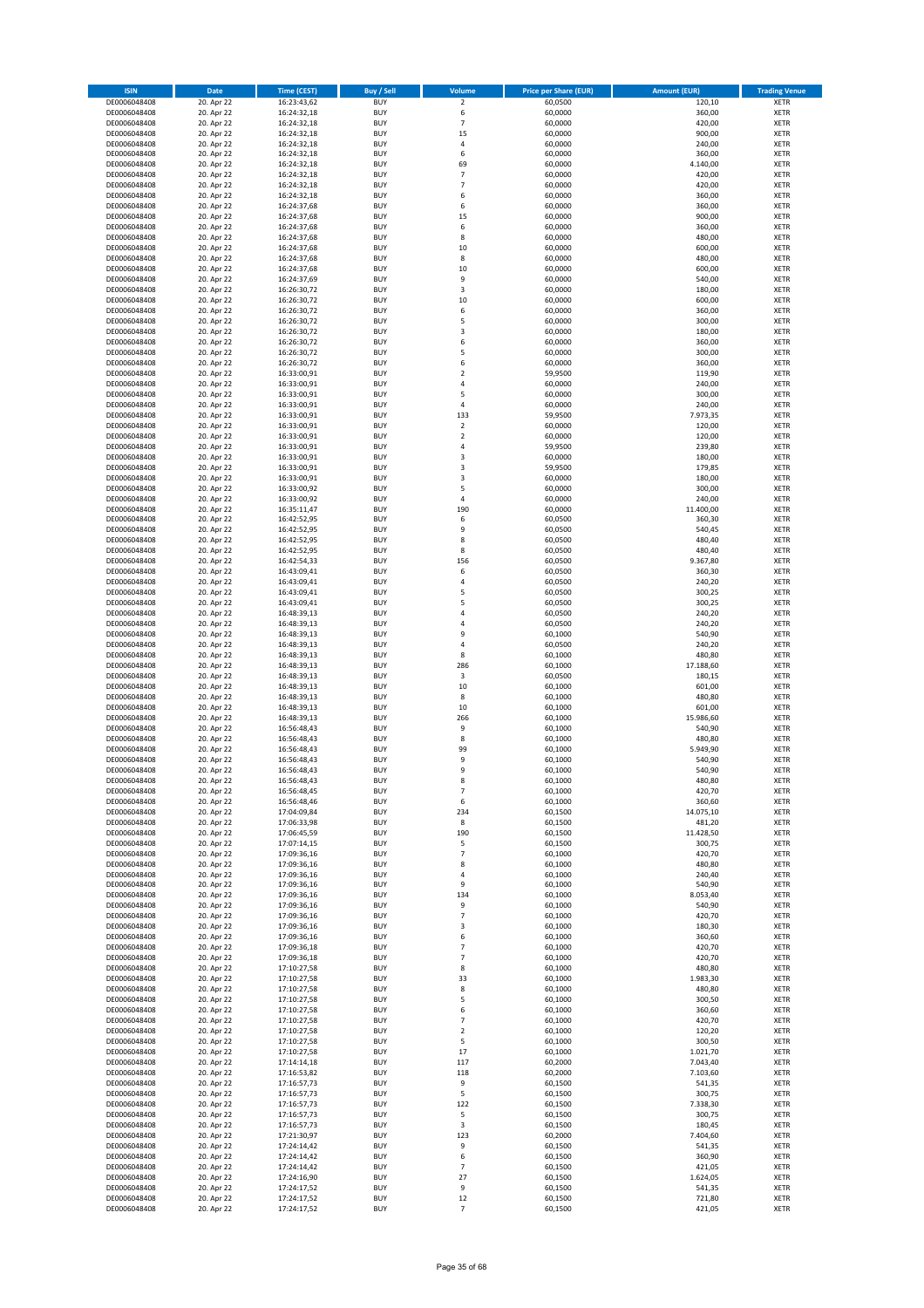| <b>ISIN</b>                  | Date                     | <b>Time (CEST)</b>         | <b>Buy / Sell</b>        | Volume                           | <b>Price per Share (EUR)</b> | <b>Amount (EUR)</b> | <b>Trading Venue</b>       |
|------------------------------|--------------------------|----------------------------|--------------------------|----------------------------------|------------------------------|---------------------|----------------------------|
| DE0006048408                 | 20. Apr 22               | 16:23:43,62                | <b>BUY</b>               | $\overline{2}$                   | 60,0500                      | 120,10              | <b>XETR</b>                |
| DE0006048408                 | 20. Apr 22               | 16:24:32,18                | <b>BUY</b>               | 6                                | 60,0000                      | 360,00              | <b>XETR</b>                |
| DE0006048408<br>DE0006048408 | 20. Apr 22<br>20. Apr 22 | 16:24:32,18<br>16:24:32,18 | <b>BUY</b><br><b>BUY</b> | $\overline{7}$<br>15             | 60,0000<br>60,0000           | 420,00<br>900,00    | <b>XETR</b><br><b>XETR</b> |
| DE0006048408                 | 20. Apr 22               | 16:24:32,18                | <b>BUY</b>               | $\sqrt{4}$                       | 60,0000                      | 240,00              | <b>XETR</b>                |
| DE0006048408                 | 20. Apr 22               | 16:24:32,18                | <b>BUY</b>               | 6                                | 60,0000                      | 360,00              | <b>XETR</b>                |
| DE0006048408                 | 20. Apr 22               | 16:24:32,18                | <b>BUY</b>               | 69                               | 60,0000                      | 4.140,00            | <b>XETR</b>                |
| DE0006048408                 | 20. Apr 22               | 16:24:32,18                | <b>BUY</b>               | $\overline{7}$                   | 60,0000                      | 420,00              | <b>XETR</b>                |
| DE0006048408<br>DE0006048408 | 20. Apr 22<br>20. Apr 22 | 16:24:32,18                | <b>BUY</b><br><b>BUY</b> | $\overline{7}$<br>6              | 60,0000<br>60,0000           | 420,00<br>360,00    | XETR<br><b>XETR</b>        |
| DE0006048408                 | 20. Apr 22               | 16:24:32,18<br>16:24:37,68 | <b>BUY</b>               | 6                                | 60,0000                      | 360,00              | XETR                       |
| DE0006048408                 | 20. Apr 22               | 16:24:37,68                | <b>BUY</b>               | 15                               | 60,0000                      | 900,00              | <b>XETR</b>                |
| DE0006048408                 | 20. Apr 22               | 16:24:37,68                | <b>BUY</b>               | 6                                | 60,0000                      | 360,00              | XETR                       |
| DE0006048408                 | 20. Apr 22               | 16:24:37,68                | <b>BUY</b>               | 8                                | 60,0000                      | 480,00              | <b>XETR</b>                |
| DE0006048408                 | 20. Apr 22               | 16:24:37,68                | <b>BUY</b>               | 10                               | 60,0000                      | 600,00              | <b>XETR</b>                |
| DE0006048408<br>DE0006048408 | 20. Apr 22<br>20. Apr 22 | 16:24:37,68<br>16:24:37,68 | <b>BUY</b><br><b>BUY</b> | 8<br>10                          | 60,0000<br>60,0000           | 480,00<br>600,00    | <b>XETR</b><br>XETR        |
| DE0006048408                 | 20. Apr 22               | 16:24:37,69                | <b>BUY</b>               | 9                                | 60,0000                      | 540,00              | <b>XETR</b>                |
| DE0006048408                 | 20. Apr 22               | 16:26:30,72                | <b>BUY</b>               | 3                                | 60,0000                      | 180,00              | XETR                       |
| DE0006048408                 | 20. Apr 22               | 16:26:30,72                | <b>BUY</b>               | 10                               | 60,0000                      | 600,00              | <b>XETR</b>                |
| DE0006048408                 | 20. Apr 22               | 16:26:30,72                | <b>BUY</b>               | 6                                | 60,0000                      | 360,00              | <b>XETR</b>                |
| DE0006048408<br>DE0006048408 | 20. Apr 22<br>20. Apr 22 | 16:26:30,72<br>16:26:30,72 | <b>BUY</b><br><b>BUY</b> | 5<br>3                           | 60,0000<br>60,0000           | 300,00<br>180,00    | <b>XETR</b><br><b>XETR</b> |
| DE0006048408                 | 20. Apr 22               | 16:26:30,72                | <b>BUY</b>               | 6                                | 60,0000                      | 360,00              | <b>XETR</b>                |
| DE0006048408                 | 20. Apr 22               | 16:26:30,72                | <b>BUY</b>               | 5                                | 60,0000                      | 300,00              | <b>XETR</b>                |
| DE0006048408                 | 20. Apr 22               | 16:26:30,72                | <b>BUY</b>               | 6                                | 60,0000                      | 360,00              | <b>XETR</b>                |
| DE0006048408                 | 20. Apr 22               | 16:33:00,91                | <b>BUY</b>               | $\overline{2}$                   | 59,9500                      | 119,90              | <b>XETR</b>                |
| DE0006048408<br>DE0006048408 | 20. Apr 22<br>20. Apr 22 | 16:33:00,91<br>16:33:00,91 | <b>BUY</b><br><b>BUY</b> | $\sqrt{4}$<br>5                  | 60,0000<br>60,0000           | 240,00<br>300,00    | <b>XETR</b><br><b>XETR</b> |
| DE0006048408                 | 20. Apr 22               | 16:33:00,91                | <b>BUY</b>               | 4                                | 60,0000                      | 240,00              | <b>XETR</b>                |
| DE0006048408                 | 20. Apr 22               | 16:33:00,91                | <b>BUY</b>               | 133                              | 59,9500                      | 7.973,35            | <b>XETR</b>                |
| DE0006048408                 | 20. Apr 22               | 16:33:00,91                | <b>BUY</b>               | $\mathbf 2$                      | 60,0000                      | 120,00              | <b>XETR</b>                |
| DE0006048408                 | 20. Apr 22               | 16:33:00,91                | <b>BUY</b>               | $\overline{2}$                   | 60,0000                      | 120,00              | <b>XETR</b>                |
| DE0006048408<br>DE0006048408 | 20. Apr 22<br>20. Apr 22 | 16:33:00,91<br>16:33:00,91 | <b>BUY</b><br><b>BUY</b> | 4<br>3                           | 59,9500<br>60,0000           | 239,80<br>180,00    | XETR<br><b>XETR</b>        |
| DE0006048408                 | 20. Apr 22               | 16:33:00,91                | <b>BUY</b>               | $\overline{\mathbf{3}}$          | 59,9500                      | 179,85              | XETR                       |
| DE0006048408                 | 20. Apr 22               | 16:33:00,91                | <b>BUY</b>               | 3                                | 60,0000                      | 180,00              | <b>XETR</b>                |
| DE0006048408                 | 20. Apr 22               | 16:33:00,92                | <b>BUY</b>               | 5                                | 60,0000                      | 300,00              | XETR                       |
| DE0006048408                 | 20. Apr 22               | 16:33:00,92                | <b>BUY</b>               | $\sqrt{4}$                       | 60,0000                      | 240,00              | <b>XETR</b>                |
| DE0006048408                 | 20. Apr 22               | 16:35:11,47                | <b>BUY</b>               | 190                              | 60,0000                      | 11.400,00           | <b>XETR</b>                |
| DE0006048408<br>DE0006048408 | 20. Apr 22<br>20. Apr 22 | 16:42:52,95<br>16:42:52,95 | <b>BUY</b><br><b>BUY</b> | 6<br>9                           | 60,0500<br>60,0500           | 360,30<br>540,45    | <b>XETR</b><br><b>XETR</b> |
| DE0006048408                 | 20. Apr 22               | 16:42:52,95                | <b>BUY</b>               | 8                                | 60,0500                      | 480,40              | <b>XETR</b>                |
| DE0006048408                 | 20. Apr 22               | 16:42:52,95                | <b>BUY</b>               | 8                                | 60,0500                      | 480,40              | <b>XETR</b>                |
| DE0006048408                 | 20. Apr 22               | 16:42:54,33                | <b>BUY</b>               | 156                              | 60,0500                      | 9.367,80            | <b>XETR</b>                |
| DE0006048408                 | 20. Apr 22               | 16:43:09,41                | <b>BUY</b>               | 6                                | 60,0500                      | 360,30              | <b>XETR</b>                |
| DE0006048408<br>DE0006048408 | 20. Apr 22<br>20. Apr 22 | 16:43:09,41<br>16:43:09,41 | <b>BUY</b><br><b>BUY</b> | 4<br>5                           | 60,0500<br>60,0500           | 240,20<br>300,25    | <b>XETR</b><br><b>XETR</b> |
| DE0006048408                 | 20. Apr 22               | 16:43:09,41                | <b>BUY</b>               | 5                                | 60,0500                      | 300,25              | <b>XETR</b>                |
| DE0006048408                 | 20. Apr 22               | 16:48:39,13                | <b>BUY</b>               | $\sqrt{4}$                       | 60,0500                      | 240,20              | <b>XETR</b>                |
| DE0006048408                 | 20. Apr 22               | 16:48:39,13                | <b>BUY</b>               | 4                                | 60,0500                      | 240,20              | <b>XETR</b>                |
| DE0006048408                 | 20. Apr 22               | 16:48:39,13                | <b>BUY</b>               | $\overline{9}$                   | 60,1000                      | 540,90              | <b>XETR</b>                |
| DE0006048408<br>DE0006048408 | 20. Apr 22               | 16:48:39,13                | <b>BUY</b><br><b>BUY</b> | $\sqrt{4}$<br>8                  | 60,0500                      | 240,20              | <b>XETR</b><br><b>XETR</b> |
| DE0006048408                 | 20. Apr 22<br>20. Apr 22 | 16:48:39,13<br>16:48:39,13 | <b>BUY</b>               | 286                              | 60,1000<br>60,1000           | 480,80<br>17.188,60 | <b>XETR</b>                |
| DE0006048408                 | 20. Apr 22               | 16:48:39,13                | <b>BUY</b>               | 3                                | 60,0500                      | 180,15              | <b>XETR</b>                |
| DE0006048408                 | 20. Apr 22               | 16:48:39,13                | <b>BUY</b>               | 10                               | 60,1000                      | 601,00              | <b>XETR</b>                |
| DE0006048408                 | 20. Apr 22               | 16:48:39,13                | <b>BUY</b>               | 8                                | 60,1000                      | 480,80              | <b>XETR</b>                |
| DE0006048408                 | 20. Apr 22               | 16:48:39,13                | <b>BUY</b><br><b>BUY</b> | 10<br>266                        | 60,1000                      | 601,00              | <b>XETR</b><br><b>XETR</b> |
| DE0006048408<br>DE0006048408 | 20. Apr 22<br>20. Apr 22 | 16:48:39,13<br>16:56:48,43 | <b>BUY</b>               | 9                                | 60,1000<br>60,1000           | 15.986,60<br>540,90 | XETR                       |
| DE0006048408                 | 20. Apr 22               | 16:56:48,43                | <b>BUY</b>               | 8                                | 60,1000                      | 480,80              | <b>XETR</b>                |
| DE0006048408                 | 20. Apr 22               | 16:56:48,43                | <b>BUY</b>               | 99                               | 60,1000                      | 5.949,90            | <b>XETR</b>                |
| DE0006048408                 | 20. Apr 22               | 16:56:48.43                | <b>BUY</b>               | 9                                | 60,1000                      | 540,90              | <b>XETR</b>                |
| DE0006048408                 | 20. Apr 22               | 16:56:48,43                | <b>BUY</b>               | $\overline{9}$                   | 60,1000                      | 540,90              | <b>XETR</b>                |
| DE0006048408<br>DE0006048408 | 20. Apr 22<br>20. Apr 22 | 16:56:48,43<br>16:56:48,45 | <b>BUY</b><br><b>BUY</b> | 8<br>$\overline{\phantom{a}}$    | 60,1000<br>60,1000           | 480,80<br>420,70    | XETR<br>XETR               |
| DE0006048408                 | 20. Apr 22               | 16:56:48,46                | <b>BUY</b>               | 6                                | 60,1000                      | 360,60              | XETR                       |
| DE0006048408                 | 20. Apr 22               | 17:04:09,84                | <b>BUY</b>               | 234                              | 60,1500                      | 14.075,10           | <b>XETR</b>                |
| DE0006048408                 | 20. Apr 22               | 17:06:33,98                | <b>BUY</b>               | 8                                | 60,1500                      | 481,20              | <b>XETR</b>                |
| DE0006048408                 | 20. Apr 22               | 17:06:45,59                | <b>BUY</b>               | 190                              | 60,1500                      | 11.428,50           | XETR                       |
| DE0006048408<br>DE0006048408 | 20. Apr 22<br>20. Apr 22 | 17:07:14,15<br>17:09:36,16 | <b>BUY</b><br><b>BUY</b> | 5<br>$\overline{7}$              | 60,1500<br>60,1000           | 300,75<br>420,70    | <b>XETR</b><br><b>XETR</b> |
| DE0006048408                 | 20. Apr 22               | 17:09:36,16                | <b>BUY</b>               | 8                                | 60,1000                      | 480,80              | <b>XETR</b>                |
| DE0006048408                 | 20. Apr 22               | 17:09:36,16                | <b>BUY</b>               | $\overline{4}$                   | 60,1000                      | 240,40              | <b>XETR</b>                |
| DE0006048408                 | 20. Apr 22               | 17:09:36,16                | <b>BUY</b>               | 9                                | 60,1000                      | 540,90              | <b>XETR</b>                |
| DE0006048408                 | 20. Apr 22               | 17:09:36,16                | <b>BUY</b>               | 134<br>9                         | 60,1000<br>60,1000           | 8.053,40<br>540,90  | <b>XETR</b>                |
| DE0006048408<br>DE0006048408 | 20. Apr 22<br>20. Apr 22 | 17:09:36,16<br>17:09:36,16 | <b>BUY</b><br><b>BUY</b> | $\overline{\phantom{a}}$         | 60,1000                      | 420,70              | <b>XETR</b><br>XETR        |
| DE0006048408                 | 20. Apr 22               | 17:09:36,16                | <b>BUY</b>               | 3                                | 60,1000                      | 180,30              | <b>XETR</b>                |
| DE0006048408                 | 20. Apr 22               | 17:09:36,16                | <b>BUY</b>               | 6                                | 60,1000                      | 360,60              | <b>XETR</b>                |
| DE0006048408                 | 20. Apr 22               | 17:09:36,18                | <b>BUY</b>               | 7                                | 60,1000                      | 420,70              | <b>XETR</b>                |
| DE0006048408                 | 20. Apr 22<br>20. Apr 22 | 17:09:36,18                | <b>BUY</b>               | $\overline{7}$                   | 60,1000                      | 420,70              | <b>XETR</b>                |
| DE0006048408<br>DE0006048408 | 20. Apr 22               | 17:10:27,58<br>17:10:27,58 | <b>BUY</b><br><b>BUY</b> | 8<br>33                          | 60,1000<br>60,1000           | 480,80<br>1.983,30  | <b>XETR</b><br><b>XETR</b> |
| DE0006048408                 | 20. Apr 22               | 17:10:27,58                | <b>BUY</b>               | 8                                | 60,1000                      | 480,80              | <b>XETR</b>                |
| DE0006048408                 | 20. Apr 22               | 17:10:27,58                | <b>BUY</b>               | 5                                | 60,1000                      | 300,50              | <b>XETR</b>                |
| DE0006048408                 | 20. Apr 22               | 17:10:27,58                | <b>BUY</b>               | 6                                | 60,1000                      | 360,60              | XETR                       |
| DE0006048408                 | 20. Apr 22               | 17:10:27,58                | <b>BUY</b>               | $\overline{7}$<br>$\overline{2}$ | 60,1000                      | 420,70              | XETR                       |
| DE0006048408<br>DE0006048408 | 20. Apr 22<br>20. Apr 22 | 17:10:27,58<br>17:10:27,58 | <b>BUY</b><br><b>BUY</b> | 5                                | 60,1000<br>60,1000           | 120,20<br>300,50    | XETR<br><b>XETR</b>        |
| DE0006048408                 | 20. Apr 22               | 17:10:27,58                | <b>BUY</b>               | 17                               | 60,1000                      | 1.021,70            | XETR                       |
| DE0006048408                 | 20. Apr 22               | 17:14:14,18                | <b>BUY</b>               | 117                              | 60,2000                      | 7.043,40            | XETR                       |
| DE0006048408                 | 20. Apr 22               | 17:16:53,82                | <b>BUY</b>               | 118                              | 60,2000                      | 7.103,60            | XETR                       |
| DE0006048408                 | 20. Apr 22               | 17:16:57,73                | <b>BUY</b>               | 9                                | 60,1500                      | 541,35              | <b>XETR</b>                |
| DE0006048408<br>DE0006048408 | 20. Apr 22<br>20. Apr 22 | 17:16:57,73<br>17:16:57,73 | <b>BUY</b><br><b>BUY</b> | 5<br>122                         | 60,1500<br>60,1500           | 300,75<br>7.338,30  | XETR<br>XETR               |
| DE0006048408                 | 20. Apr 22               | 17:16:57,73                | <b>BUY</b>               | 5                                | 60,1500                      | 300,75              | <b>XETR</b>                |
| DE0006048408                 | 20. Apr 22               | 17:16:57,73                | <b>BUY</b>               | 3                                | 60,1500                      | 180,45              | <b>XETR</b>                |
| DE0006048408                 | 20. Apr 22               | 17:21:30,97                | <b>BUY</b>               | 123                              | 60,2000                      | 7.404,60            | <b>XETR</b>                |
| DE0006048408                 | 20. Apr 22               | 17:24:14,42                | <b>BUY</b>               | 9                                | 60,1500                      | 541,35              | <b>XETR</b>                |
| DE0006048408<br>DE0006048408 | 20. Apr 22<br>20. Apr 22 | 17:24:14,42<br>17:24:14,42 | <b>BUY</b><br><b>BUY</b> | 6<br>7                           | 60,1500<br>60,1500           | 360,90<br>421,05    | <b>XETR</b><br><b>XETR</b> |
| DE0006048408                 | 20. Apr 22               | 17:24:16,90                | <b>BUY</b>               | 27                               | 60,1500                      | 1.624,05            | <b>XETR</b>                |
| DE0006048408                 | 20. Apr 22               | 17:24:17,52                | <b>BUY</b>               | 9                                | 60,1500                      | 541,35              | <b>XETR</b>                |
| DE0006048408                 | 20. Apr 22               | 17:24:17,52                | <b>BUY</b>               | $12\,$                           | 60,1500                      | 721,80              | <b>XETR</b>                |
| DE0006048408                 | 20. Apr 22               | 17:24:17,52                | <b>BUY</b>               | 7                                | 60,1500                      | 421,05              | <b>XETR</b>                |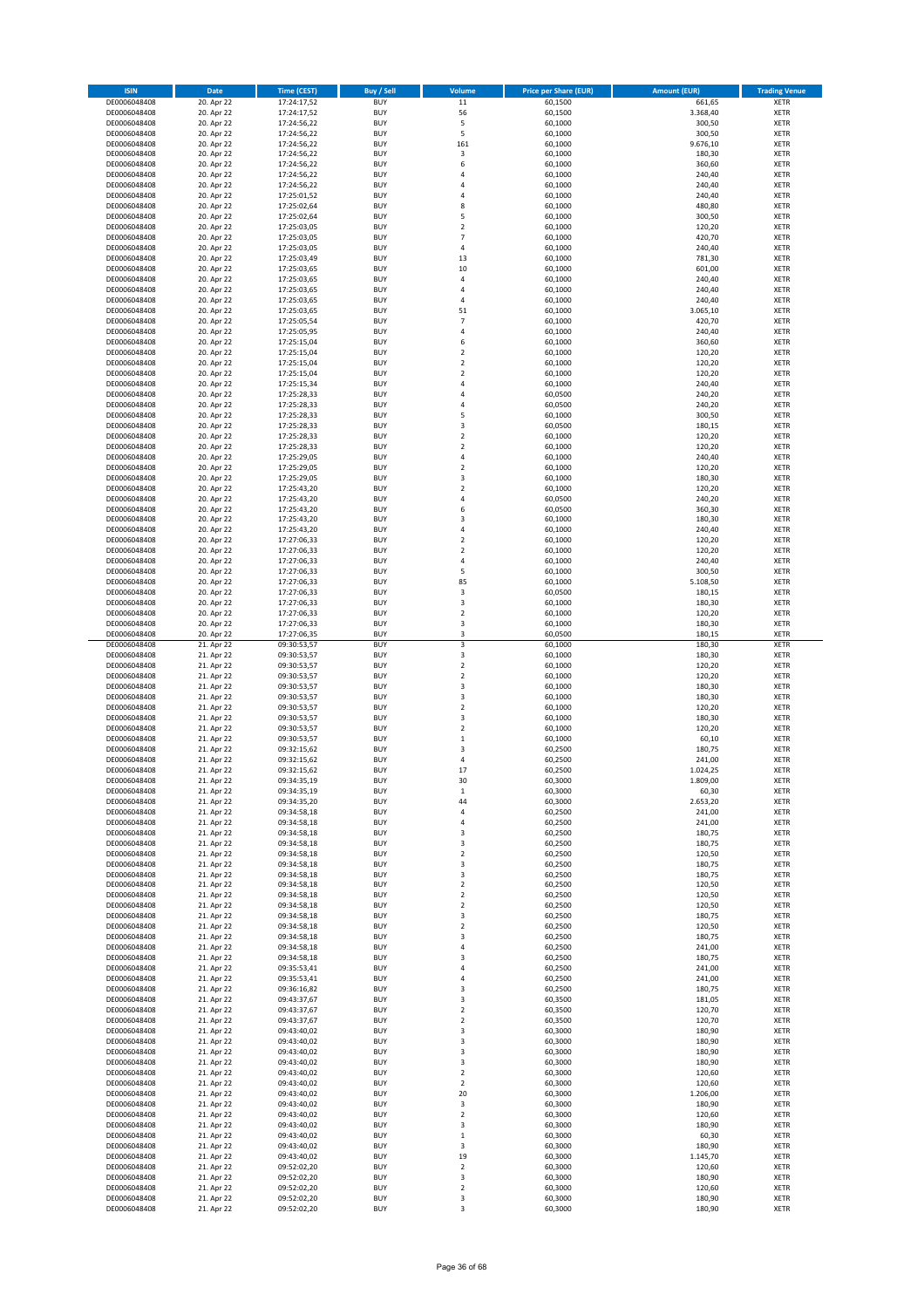| <b>ISIN</b>                  | <b>Date</b>              | <b>Time (CEST)</b>         | <b>Buy / Sell</b>        | Volume                   | <b>Price per Share (EUR)</b> | <b>Amount (EUR)</b> | <b>Trading Venue</b>       |
|------------------------------|--------------------------|----------------------------|--------------------------|--------------------------|------------------------------|---------------------|----------------------------|
| DE0006048408                 | 20. Apr 22               | 17:24:17,52                | <b>BUY</b>               | $11\,$                   | 60,1500                      | 661,65              | XETR                       |
| DE0006048408                 | 20. Apr 22               | 17:24:17,52                | <b>BUY</b>               | 56                       | 60,1500                      | 3.368,40            | XETR                       |
| DE0006048408                 | 20. Apr 22               | 17:24:56,22                | <b>BUY</b>               | 5                        | 60,1000                      | 300,50              | <b>XETR</b>                |
| DE0006048408                 | 20. Apr 22               | 17:24:56,22                | <b>BUY</b>               | 5                        | 60,1000                      | 300,50              | <b>XETR</b>                |
| DE0006048408                 | 20. Apr 22               | 17:24:56,22                | <b>BUY</b>               | 161                      | 60,1000                      | 9.676,10            | <b>XETR</b>                |
| DE0006048408                 | 20. Apr 22               | 17:24:56,22                | <b>BUY</b>               | 3                        | 60,1000                      | 180,30              | <b>XETR</b>                |
| DE0006048408                 | 20. Apr 22               | 17:24:56,22                | <b>BUY</b><br><b>BUY</b> | 6<br>4                   | 60,1000                      | 360,60              | <b>XETR</b>                |
| DE0006048408                 | 20. Apr 22<br>20. Apr 22 | 17:24:56,22                | <b>BUY</b>               | 4                        | 60,1000<br>60,1000           | 240,40<br>240,40    | <b>XETR</b><br>XETR        |
| DE0006048408<br>DE0006048408 | 20. Apr 22               | 17:24:56,22<br>17:25:01,52 | <b>BUY</b>               | 4                        | 60,1000                      | 240,40              | <b>XETR</b>                |
| DE0006048408                 | 20. Apr 22               | 17:25:02,64                | <b>BUY</b>               | 8                        | 60,1000                      | 480,80              | <b>XETR</b>                |
| DE0006048408                 | 20. Apr 22               | 17:25:02,64                | <b>BUY</b>               | 5                        | 60,1000                      | 300,50              | <b>XETR</b>                |
| DE0006048408                 | 20. Apr 22               | 17:25:03,05                | <b>BUY</b>               | $\mathbf 2$              | 60,1000                      | 120,20              | XETR                       |
| DE0006048408                 | 20. Apr 22               | 17:25:03,05                | <b>BUY</b>               | $\overline{7}$           | 60,1000                      | 420,70              | <b>XETR</b>                |
| DE0006048408                 | 20. Apr 22               | 17:25:03,05                | <b>BUY</b>               | 4                        | 60,1000                      | 240,40              | <b>XETR</b>                |
| DE0006048408                 | 20. Apr 22               | 17:25:03,49                | <b>BUY</b>               | 13                       | 60,1000                      | 781,30              | <b>XETR</b>                |
| DE0006048408                 | 20. Apr 22               | 17:25:03,65                | <b>BUY</b>               | $10\,$                   | 60,1000                      | 601,00              | XETR                       |
| DE0006048408                 | 20. Apr 22               | 17:25:03,65                | <b>BUY</b>               | 4                        | 60,1000                      | 240,40              | <b>XETR</b>                |
| DE0006048408                 | 20. Apr 22               | 17:25:03,65                | <b>BUY</b>               | 4                        | 60,1000                      | 240,40              | <b>XETR</b>                |
| DE0006048408                 | 20. Apr 22               | 17:25:03,65                | <b>BUY</b>               | 4                        | 60,1000                      | 240,40              | <b>XETR</b>                |
| DE0006048408                 | 20. Apr 22               | 17:25:03,65                | <b>BUY</b>               | 51                       | 60,1000                      | 3.065,10            | <b>XETR</b>                |
| DE0006048408                 | 20. Apr 22               | 17:25:05,54                | <b>BUY</b>               | $\overline{\phantom{a}}$ | 60,1000                      | 420,70              | <b>XETR</b>                |
| DE0006048408<br>DE0006048408 | 20. Apr 22<br>20. Apr 22 | 17:25:05,95<br>17:25:15,04 | <b>BUY</b><br><b>BUY</b> | 4<br>6                   | 60,1000<br>60,1000           | 240,40<br>360,60    | <b>XETR</b><br><b>XETR</b> |
| DE0006048408                 | 20. Apr 22               | 17:25:15,04                | <b>BUY</b>               | $\mathbf 2$              | 60,1000                      | 120,20              | <b>XETR</b>                |
| DE0006048408                 | 20. Apr 22               | 17:25:15,04                | <b>BUY</b>               | $\mathbf 2$              | 60,1000                      | 120,20              | <b>XETR</b>                |
| DE0006048408                 | 20. Apr 22               | 17:25:15,04                | <b>BUY</b>               | $\mathbf 2$              | 60,1000                      | 120,20              | XETR                       |
| DE0006048408                 | 20. Apr 22               | 17:25:15,34                | <b>BUY</b>               | 4                        | 60,1000                      | 240,40              | <b>XETR</b>                |
| DE0006048408                 | 20. Apr 22               | 17:25:28,33                | <b>BUY</b>               | 4                        | 60,0500                      | 240,20              | <b>XETR</b>                |
| DE0006048408                 | 20. Apr 22               | 17:25:28,33                | <b>BUY</b>               | 4                        | 60,0500                      | 240,20              | <b>XETR</b>                |
| DE0006048408                 | 20. Apr 22               | 17:25:28,33                | <b>BUY</b>               | 5                        | 60,1000                      | 300,50              | <b>XETR</b>                |
| DE0006048408                 | 20. Apr 22               | 17:25:28,33                | <b>BUY</b>               | 3                        | 60,0500                      | 180,15              | <b>XETR</b>                |
| DE0006048408                 | 20. Apr 22               | 17:25:28,33                | <b>BUY</b>               | $\overline{2}$           | 60,1000                      | 120,20              | <b>XETR</b>                |
| DE0006048408                 | 20. Apr 22               | 17:25:28,33                | <b>BUY</b>               | $\mathbf 2$              | 60,1000                      | 120,20              | XETR                       |
| DE0006048408                 | 20. Apr 22               | 17:25:29,05                | <b>BUY</b>               | 4                        | 60,1000                      | 240,40              | <b>XETR</b>                |
| DE0006048408                 | 20. Apr 22               | 17:25:29,05                | <b>BUY</b>               | $\mathbf 2$              | 60,1000                      | 120,20              | <b>XETR</b>                |
| DE0006048408                 | 20. Apr 22               | 17:25:29,05                | <b>BUY</b>               | 3                        | 60,1000                      | 180,30              | <b>XETR</b>                |
| DE0006048408<br>DE0006048408 | 20. Apr 22<br>20. Apr 22 | 17:25:43,20<br>17:25:43,20 | <b>BUY</b><br><b>BUY</b> | $\mathbf 2$<br>4         | 60,1000<br>60,0500           | 120,20<br>240,20    | XETR<br><b>XETR</b>        |
| DE0006048408                 | 20. Apr 22               | 17:25:43,20                | <b>BUY</b>               | 6                        | 60,0500                      | 360,30              | <b>XETR</b>                |
| DE0006048408                 | 20. Apr 22               | 17:25:43,20                | <b>BUY</b>               | 3                        | 60,1000                      | 180,30              | <b>XETR</b>                |
| DE0006048408                 | 20. Apr 22               | 17:25:43,20                | <b>BUY</b>               | 4                        | 60,1000                      | 240,40              | XETR                       |
| DE0006048408                 | 20. Apr 22               | 17:27:06,33                | <b>BUY</b>               | $\overline{2}$           | 60,1000                      | 120,20              | <b>XETR</b>                |
| DE0006048408                 | 20. Apr 22               | 17:27:06,33                | <b>BUY</b>               | $\overline{2}$           | 60,1000                      | 120,20              | <b>XETR</b>                |
| DE0006048408                 | 20. Apr 22               | 17:27:06,33                | <b>BUY</b>               | 4                        | 60,1000                      | 240,40              | <b>XETR</b>                |
| DE0006048408                 | 20. Apr 22               | 17:27:06,33                | <b>BUY</b>               | 5                        | 60,1000                      | 300,50              | XETR                       |
| DE0006048408                 | 20. Apr 22               | 17:27:06,33                | <b>BUY</b>               | 85                       | 60,1000                      | 5.108,50            | <b>XETR</b>                |
| DE0006048408                 | 20. Apr 22               | 17:27:06,33                | <b>BUY</b>               | 3                        | 60,0500                      | 180,15              | <b>XETR</b>                |
| DE0006048408                 | 20. Apr 22               | 17:27:06,33                | <b>BUY</b>               | 3                        | 60,1000                      | 180,30              | <b>XETR</b>                |
| DE0006048408                 | 20. Apr 22               | 17:27:06,33                | <b>BUY</b>               | $\mathbf 2$              | 60,1000                      | 120,20              | <b>XETR</b>                |
| DE0006048408                 | 20. Apr 22               | 17:27:06,33                | <b>BUY</b>               | 3                        | 60,1000                      | 180,30              | <b>XETR</b>                |
| DE0006048408                 | 20. Apr 22               | 17:27:06,35                | <b>BUY</b><br><b>BUY</b> | 3<br>3                   | 60,0500                      | 180,15              | XETR<br><b>XETR</b>        |
| DE0006048408<br>DE0006048408 | 21. Apr 22<br>21. Apr 22 | 09:30:53,57<br>09:30:53,57 | <b>BUY</b>               | 3                        | 60,1000<br>60,1000           | 180,30<br>180,30    | <b>XETR</b>                |
| DE0006048408                 | 21. Apr 22               | 09:30:53,57                | <b>BUY</b>               | $\mathbf 2$              | 60,1000                      | 120,20              | <b>XETR</b>                |
| DE0006048408                 | 21. Apr 22               | 09:30:53,57                | <b>BUY</b>               | $\mathbf 2$              | 60,1000                      | 120,20              | <b>XETR</b>                |
| DE0006048408                 | 21. Apr 22               | 09:30:53,57                | <b>BUY</b>               | 3                        | 60,1000                      | 180,30              | <b>XETR</b>                |
| DE0006048408                 | 21. Apr 22               | 09:30:53,57                | <b>BUY</b>               | 3                        | 60,1000                      | 180,30              | <b>XETR</b>                |
| DE0006048408                 | 21. Apr 22               | 09:30:53,57                | <b>BUY</b>               | $\overline{2}$           | 60,1000                      | 120,20              | <b>XETR</b>                |
| DE0006048408                 | 21. Apr 22               | 09:30:53,57                | <b>BUY</b>               | 3                        | 60,1000                      | 180,30              | <b>XETR</b>                |
| DE0006048408                 | 21. Apr 22               | 09:30:53,57                | <b>BUY</b>               | $\overline{2}$           | 60,1000                      | 120,20              | <b>XETR</b>                |
| DE0006048408                 | 21. Apr 22               | 09:30:53,57                | <b>BUY</b>               | $\mathbf 1$              | 60,1000                      | 60,10               | <b>XETR</b>                |
| DE0006048408                 | 21. Apr 22               | 09:32:15,62                | <b>BUY</b>               | 3                        | 60,2500                      | 180,75              | XETR                       |
| DE0006048408                 | 21. Apr 22               | 09:32:15,62                | <b>BUY</b>               | 4                        | 60,2500                      | 241,00              | <b>XETR</b>                |
| DE0006048408                 | 21. Apr 22               | 09:32:15,62                | <b>BUY</b>               | 17                       | 60,2500                      | 1.024,25            | XETR                       |
| DE0006048408<br>DE0006048408 | 21. Apr 22               | 09:34:35,19                | <b>BUY</b>               | 30                       | 60,3000                      | 1.809,00            | XETR                       |
| DE0006048408                 | 21. Apr 22<br>21. Apr 22 | 09:34:35,19<br>09:34:35,20 | <b>BUY</b><br><b>BUY</b> | $\mathbf 1$<br>44        | 60,3000<br>60,3000           | 60,30<br>2.653,20   | <b>XETR</b><br>XETR        |
| DE0006048408                 | 21. Apr 22               | 09:34:58,18                | <b>BUY</b>               | 4                        | 60,2500                      | 241,00              | <b>XETR</b>                |
| DE0006048408                 | 21. Apr 22               | 09:34:58,18                | <b>BUY</b>               | 4                        | 60,2500                      | 241,00              | <b>XETR</b>                |
| DE0006048408                 | 21. Apr 22               | 09:34:58,18                | <b>BUY</b>               | 3                        | 60,2500                      | 180,75              | XETR                       |
| DE0006048408                 | 21. Apr 22               | 09:34:58,18                | <b>BUY</b>               | 3                        | 60,2500                      | 180,75              | <b>XETR</b>                |
| DE0006048408                 | 21. Apr 22               | 09:34:58,18                | <b>BUY</b>               | $\mathbf 2$              | 60,2500                      | 120,50              | XETR                       |
| DE0006048408                 | 21. Apr 22               | 09:34:58,18                | <b>BUY</b>               | 3                        | 60,2500                      | 180,75              | <b>XETR</b>                |
| DE0006048408                 | 21. Apr 22               | 09:34:58,18                | <b>BUY</b>               | 3                        | 60,2500                      | 180,75              | XETR                       |
| DE0006048408                 | 21. Apr 22               | 09:34:58,18                | <b>BUY</b>               | $\mathbf 2$              | 60,2500                      | 120,50              | <b>XETR</b>                |
| DE0006048408                 | 21. Apr 22               | 09:34:58,18                | <b>BUY</b>               | $\mathbf 2$              | 60,2500                      | 120,50              | XETR                       |
| DE0006048408<br>DE0006048408 | 21. Apr 22<br>21. Apr 22 | 09:34:58,18<br>09:34:58,18 | <b>BUY</b><br><b>BUY</b> | $\mathbf 2$<br>3         | 60,2500<br>60,2500           | 120,50<br>180,75    | <b>XETR</b><br>XETR        |
| DE0006048408                 | 21. Apr 22               | 09:34:58,18                | <b>BUY</b>               | $\mathbf 2$              | 60,2500                      | 120,50              | <b>XETR</b>                |
| DE0006048408                 | 21. Apr 22               | 09:34:58,18                | <b>BUY</b>               | 3                        | 60,2500                      | 180,75              | <b>XETR</b>                |
| DE0006048408                 | 21. Apr 22               | 09:34:58,18                | <b>BUY</b>               | 4                        | 60,2500                      | 241,00              | <b>XETR</b>                |
| DE0006048408                 | 21. Apr 22               | 09:34:58,18                | <b>BUY</b>               | 3                        | 60,2500                      | 180,75              | <b>XETR</b>                |
| DE0006048408                 | 21. Apr 22               | 09:35:53,41                | <b>BUY</b>               | 4                        | 60,2500                      | 241,00              | <b>XETR</b>                |
| DE0006048408                 | 21. Apr 22               | 09:35:53,41                | <b>BUY</b>               | 4                        | 60,2500                      | 241,00              | XETR                       |
| DE0006048408                 | 21. Apr 22               | 09:36:16,82                | <b>BUY</b>               | 3                        | 60,2500                      | 180,75              | <b>XETR</b>                |
| DE0006048408                 | 21. Apr 22               | 09:43:37,67                | <b>BUY</b>               | 3                        | 60,3500                      | 181,05              | <b>XETR</b>                |
| DE0006048408                 | 21. Apr 22               | 09:43:37,67                | <b>BUY</b>               | $\mathbf 2$              | 60,3500                      | 120,70              | XETR                       |
| DE0006048408                 | 21. Apr 22               | 09:43:37,67                | <b>BUY</b>               | $\mathbf 2$              | 60,3500                      | 120,70              | XETR                       |
| DE0006048408                 | 21. Apr 22               | 09:43:40,02                | <b>BUY</b>               | 3                        | 60,3000                      | 180,90              | <b>XETR</b>                |
| DE0006048408                 | 21. Apr 22               | 09:43:40,02                | <b>BUY</b>               | 3                        | 60,3000                      | 180,90              | <b>XETR</b>                |
| DE0006048408                 | 21. Apr 22<br>21. Apr 22 | 09:43:40,02<br>09:43:40,02 | <b>BUY</b><br><b>BUY</b> | 3<br>3                   | 60,3000<br>60,3000           | 180,90<br>180,90    | <b>XETR</b>                |
| DE0006048408<br>DE0006048408 | 21. Apr 22               | 09:43:40,02                | <b>BUY</b>               | $\mathbf 2$              | 60,3000                      | 120,60              | <b>XETR</b><br><b>XETR</b> |
| DE0006048408                 | 21. Apr 22               | 09:43:40,02                | <b>BUY</b>               | $\mathbf 2$              | 60,3000                      | 120,60              | <b>XETR</b>                |
| DE0006048408                 | 21. Apr 22               | 09:43:40,02                | <b>BUY</b>               | 20                       | 60,3000                      | 1.206,00            | XETR                       |
| DE0006048408                 | 21. Apr 22               | 09:43:40,02                | <b>BUY</b>               | 3                        | 60,3000                      | 180,90              | <b>XETR</b>                |
| DE0006048408                 | 21. Apr 22               | 09:43:40,02                | <b>BUY</b>               | $\mathbf 2$              | 60,3000                      | 120,60              | XETR                       |
| DE0006048408                 | 21. Apr 22               | 09:43:40,02                | <b>BUY</b>               | 3                        | 60,3000                      | 180,90              | <b>XETR</b>                |
| DE0006048408                 | 21. Apr 22               | 09:43:40,02                | <b>BUY</b>               | $\,1$                    | 60,3000                      | 60,30               | <b>XETR</b>                |
| DE0006048408                 | 21. Apr 22               | 09:43:40,02                | <b>BUY</b>               | 3                        | 60,3000                      | 180,90              | <b>XETR</b>                |
| DE0006048408                 | 21. Apr 22               | 09:43:40,02                | <b>BUY</b>               | 19                       | 60,3000                      | 1.145,70            | XETR                       |
| DE0006048408                 | 21. Apr 22               | 09:52:02,20                | <b>BUY</b>               | $\mathbf 2$              | 60,3000                      | 120,60              | <b>XETR</b>                |
| DE0006048408                 | 21. Apr 22               | 09:52:02,20                | <b>BUY</b>               | 3                        | 60,3000                      | 180,90              | XETR                       |
| DE0006048408                 | 21. Apr 22               | 09:52:02,20                | <b>BUY</b>               | $\mathbf 2$              | 60,3000                      | 120,60              | <b>XETR</b>                |
| DE0006048408                 | 21. Apr 22               | 09:52:02,20                | <b>BUY</b>               | 3                        | 60,3000                      | 180,90              | <b>XETR</b>                |
| DE0006048408                 | 21. Apr 22               | 09:52:02,20                | <b>BUY</b>               | 3                        | 60,3000                      | 180,90              | <b>XETR</b>                |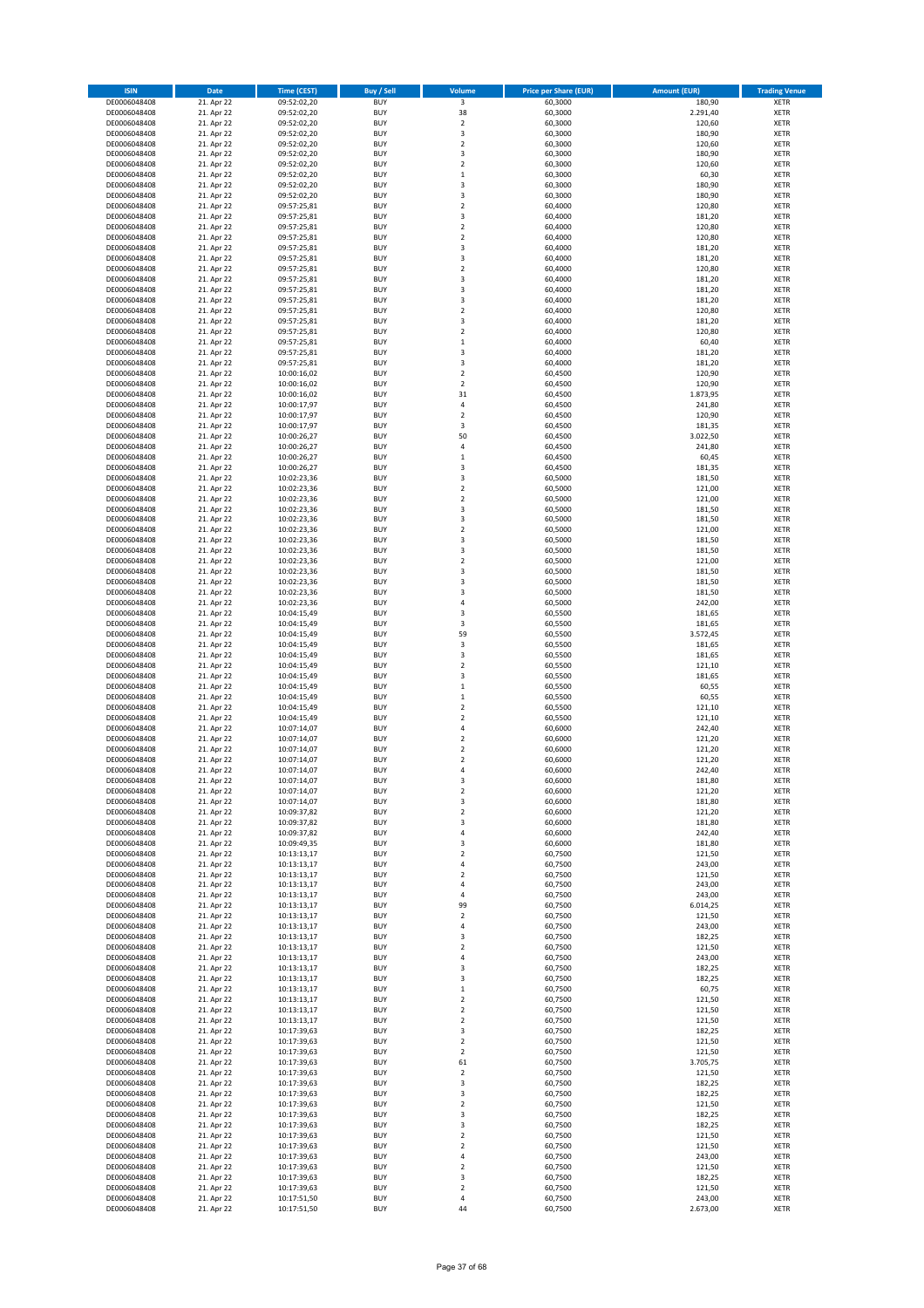| <b>ISIN</b>                  | Date                     | <b>Time (CEST)</b>         | <b>Buy / Sell</b>        | Volume                                    | <b>Price per Share (EUR)</b> | <b>Amount (EUR)</b> | <b>Trading Venue</b>       |
|------------------------------|--------------------------|----------------------------|--------------------------|-------------------------------------------|------------------------------|---------------------|----------------------------|
| DE0006048408                 | 21. Apr 22               | 09:52:02,20                | <b>BUY</b>               | $\overline{\mathbf{3}}$                   | 60,3000                      | 180,90              | <b>XETR</b>                |
| DE0006048408                 | 21. Apr 22               | 09:52:02,20                | <b>BUY</b>               | 38                                        | 60,3000                      | 2.291,40            | <b>XETR</b>                |
| DE0006048408<br>DE0006048408 | 21. Apr 22<br>21. Apr 22 | 09:52:02,20<br>09:52:02,20 | <b>BUY</b><br><b>BUY</b> | $\mathbf 2$<br>3                          | 60,3000<br>60,3000           | 120,60<br>180,90    | <b>XETR</b><br><b>XETR</b> |
| DE0006048408                 | 21. Apr 22               | 09:52:02,20                | <b>BUY</b>               | $\mathbf 2$                               | 60,3000                      | 120,60              | <b>XETR</b>                |
| DE0006048408                 | 21. Apr 22               | 09:52:02,20                | <b>BUY</b>               | 3                                         | 60,3000                      | 180,90              | <b>XETR</b>                |
| DE0006048408                 | 21. Apr 22               | 09:52:02,20                | <b>BUY</b>               | $\overline{2}$                            | 60,3000                      | 120,60              | <b>XETR</b>                |
| DE0006048408                 | 21. Apr 22               | 09:52:02,20                | <b>BUY</b>               | $\,1\,$                                   | 60,3000                      | 60,30               | <b>XETR</b>                |
| DE0006048408                 | 21. Apr 22               | 09:52:02,20                | <b>BUY</b><br><b>BUY</b> | 3<br>3                                    | 60,3000                      | 180,90              | XETR<br><b>XETR</b>        |
| DE0006048408<br>DE0006048408 | 21. Apr 22<br>21. Apr 22 | 09:52:02,20<br>09:57:25,81 | <b>BUY</b>               | $\overline{2}$                            | 60,3000<br>60,4000           | 180,90<br>120,80    | XETR                       |
| DE0006048408                 | 21. Apr 22               | 09:57:25,81                | <b>BUY</b>               | 3                                         | 60,4000                      | 181,20              | <b>XETR</b>                |
| DE0006048408                 | 21. Apr 22               | 09:57:25,81                | <b>BUY</b>               | $\boldsymbol{2}$                          | 60,4000                      | 120,80              | XETR                       |
| DE0006048408                 | 21. Apr 22               | 09:57:25,81                | <b>BUY</b>               | $\overline{2}$                            | 60,4000                      | 120,80              | <b>XETR</b>                |
| DE0006048408                 | 21. Apr 22               | 09:57:25,81                | <b>BUY</b>               | 3                                         | 60,4000                      | 181,20              | <b>XETR</b>                |
| DE0006048408                 | 21. Apr 22<br>21. Apr 22 | 09:57:25,81<br>09:57:25,81 | <b>BUY</b><br><b>BUY</b> | 3<br>$\boldsymbol{2}$                     | 60,4000<br>60,4000           | 181,20<br>120,80    | <b>XETR</b><br>XETR        |
| DE0006048408<br>DE0006048408 | 21. Apr 22               | 09:57:25,81                | <b>BUY</b>               | 3                                         | 60,4000                      | 181,20              | <b>XETR</b>                |
| DE0006048408                 | 21. Apr 22               | 09:57:25,81                | <b>BUY</b>               | $\overline{\mathbf{3}}$                   | 60,4000                      | 181,20              | XETR                       |
| DE0006048408                 | 21. Apr 22               | 09:57:25,81                | <b>BUY</b>               | 3                                         | 60,4000                      | 181,20              | <b>XETR</b>                |
| DE0006048408                 | 21. Apr 22               | 09:57:25,81                | <b>BUY</b>               | $\overline{2}$                            | 60,4000                      | 120,80              | <b>XETR</b>                |
| DE0006048408                 | 21. Apr 22               | 09:57:25,81                | <b>BUY</b>               | 3                                         | 60,4000                      | 181,20              | <b>XETR</b>                |
| DE0006048408                 | 21. Apr 22<br>21. Apr 22 | 09:57:25,81                | <b>BUY</b><br><b>BUY</b> | $\overline{2}$<br>$\,1\,$                 | 60,4000<br>60,4000           | 120,80<br>60,40     | <b>XETR</b><br><b>XETR</b> |
| DE0006048408<br>DE0006048408 | 21. Apr 22               | 09:57:25,81<br>09:57:25,81 | <b>BUY</b>               | 3                                         | 60,4000                      | 181,20              | <b>XETR</b>                |
| DE0006048408                 | 21. Apr 22               | 09:57:25,81                | <b>BUY</b>               | 3                                         | 60,4000                      | 181,20              | <b>XETR</b>                |
| DE0006048408                 | 21. Apr 22               | 10:00:16,02                | <b>BUY</b>               | $\overline{2}$                            | 60,4500                      | 120,90              | <b>XETR</b>                |
| DE0006048408                 | 21. Apr 22               | 10:00:16,02                | <b>BUY</b>               | $\overline{2}$                            | 60,4500                      | 120,90              | <b>XETR</b>                |
| DE0006048408                 | 21. Apr 22               | 10:00:16,02                | <b>BUY</b>               | 31                                        | 60,4500                      | 1.873,95            | <b>XETR</b>                |
| DE0006048408                 | 21. Apr 22<br>21. Apr 22 | 10:00:17,97<br>10:00:17,97 | <b>BUY</b><br><b>BUY</b> | 4                                         | 60,4500                      | 241,80              | <b>XETR</b><br><b>XETR</b> |
| DE0006048408<br>DE0006048408 | 21. Apr 22               | 10:00:17,97                | <b>BUY</b>               | $\sqrt{2}$<br>3                           | 60,4500<br>60,4500           | 120,90<br>181,35    | <b>XETR</b>                |
| DE0006048408                 | 21. Apr 22               | 10:00:26,27                | <b>BUY</b>               | 50                                        | 60,4500                      | 3.022,50            | <b>XETR</b>                |
| DE0006048408                 | 21. Apr 22               | 10:00:26,27                | <b>BUY</b>               | $\sqrt{4}$                                | 60,4500                      | 241,80              | XETR                       |
| DE0006048408                 | 21. Apr 22               | 10:00:26,27                | <b>BUY</b>               | $\mathbf 1$                               | 60,4500                      | 60,45               | <b>XETR</b>                |
| DE0006048408                 | 21. Apr 22               | 10:00:26,27                | <b>BUY</b>               | $\overline{\mathbf{3}}$                   | 60,4500                      | 181,35              | XETR                       |
| DE0006048408                 | 21. Apr 22               | 10:02:23,36                | <b>BUY</b><br><b>BUY</b> | 3                                         | 60,5000                      | 181,50<br>121,00    | <b>XETR</b><br><b>XETR</b> |
| DE0006048408<br>DE0006048408 | 21. Apr 22<br>21. Apr 22 | 10:02:23,36<br>10:02:23,36 | <b>BUY</b>               | $\sqrt{2}$<br>$\overline{2}$              | 60,5000<br>60,5000           | 121,00              | <b>XETR</b>                |
| DE0006048408                 | 21. Apr 22               | 10:02:23,36                | <b>BUY</b>               | $\overline{\mathbf{3}}$                   | 60,5000                      | 181,50              | <b>XETR</b>                |
| DE0006048408                 | 21. Apr 22               | 10:02:23,36                | <b>BUY</b>               | 3                                         | 60,5000                      | 181,50              | <b>XETR</b>                |
| DE0006048408                 | 21. Apr 22               | 10:02:23,36                | <b>BUY</b>               | $\overline{2}$                            | 60,5000                      | 121,00              | XETR                       |
| DE0006048408                 | 21. Apr 22               | 10:02:23,36                | <b>BUY</b>               | 3                                         | 60,5000                      | 181,50              | <b>XETR</b>                |
| DE0006048408                 | 21. Apr 22               | 10:02:23,36                | <b>BUY</b><br><b>BUY</b> | $\overline{\mathbf{3}}$<br>$\overline{2}$ | 60,5000                      | 181,50              | <b>XETR</b><br><b>XETR</b> |
| DE0006048408<br>DE0006048408 | 21. Apr 22<br>21. Apr 22 | 10:02:23,36<br>10:02:23,36 | <b>BUY</b>               | 3                                         | 60,5000<br>60,5000           | 121,00<br>181,50    | XETR                       |
| DE0006048408                 | 21. Apr 22               | 10:02:23,36                | <b>BUY</b>               | 3                                         | 60,5000                      | 181,50              | <b>XETR</b>                |
| DE0006048408                 | 21. Apr 22               | 10:02:23,36                | <b>BUY</b>               | 3                                         | 60,5000                      | 181,50              | <b>XETR</b>                |
| DE0006048408                 | 21. Apr 22               | 10:02:23,36                | <b>BUY</b>               | 4                                         | 60,5000                      | 242,00              | <b>XETR</b>                |
| DE0006048408                 | 21. Apr 22               | 10:04:15,49                | <b>BUY</b>               | 3                                         | 60,5500                      | 181,65              | <b>XETR</b>                |
| DE0006048408<br>DE0006048408 | 21. Apr 22<br>21. Apr 22 | 10:04:15,49<br>10:04:15,49 | <b>BUY</b><br><b>BUY</b> | 3<br>59                                   | 60,5500<br>60,5500           | 181,65<br>3.572,45  | <b>XETR</b><br><b>XETR</b> |
| DE0006048408                 | 21. Apr 22               | 10:04:15,49                | <b>BUY</b>               | 3                                         | 60,5500                      | 181,65              | <b>XETR</b>                |
| DE0006048408                 | 21. Apr 22               | 10:04:15,49                | <b>BUY</b>               | 3                                         | 60,5500                      | 181,65              | <b>XETR</b>                |
| DE0006048408                 | 21. Apr 22               | 10:04:15,49                | <b>BUY</b>               | $\mathbf 2$                               | 60,5500                      | 121,10              | <b>XETR</b>                |
| DE0006048408                 | 21. Apr 22               | 10:04:15,49                | <b>BUY</b>               | 3                                         | 60,5500                      | 181,65              | <b>XETR</b>                |
| DE0006048408                 | 21. Apr 22               | 10:04:15,49                | <b>BUY</b>               | $\,1\,$                                   | 60,5500                      | 60,55               | <b>XETR</b>                |
| DE0006048408<br>DE0006048408 | 21. Apr 22<br>21. Apr 22 | 10:04:15,49<br>10:04:15,49 | <b>BUY</b><br><b>BUY</b> | $\,1\,$<br>$\mathbf 2$                    | 60,5500<br>60,5500           | 60,55<br>121,10     | <b>XETR</b><br><b>XETR</b> |
| DE0006048408                 | 21. Apr 22               | 10:04:15,49                | <b>BUY</b>               | $\overline{2}$                            | 60,5500                      | 121,10              | <b>XETR</b>                |
| DE0006048408                 | 21. Apr 22               | 10:07:14,07                | <b>BUY</b>               | $\sqrt{4}$                                | 60,6000                      | 242,40              | XETR                       |
| DE0006048408                 | 21. Apr 22               | 10:07:14,07                | <b>BUY</b>               | $\overline{2}$                            | 60,6000                      | 121,20              | <b>XETR</b>                |
| DE0006048408                 | 21. Apr 22               | 10:07:14,07                | <b>BUY</b>               | $\boldsymbol{2}$                          | 60,6000                      | 121,20              | <b>XETR</b>                |
| DE0006048408                 | 21. Apr 22               | 10:07:14,07                | <b>BUY</b><br><b>BUY</b> | $\overline{2}$<br>$\overline{4}$          | 60,6000                      | 121,20              | <b>XETR</b>                |
| DE0006048408<br>DE0006048408 | 21. Apr 22<br>21. Apr 22 | 10:07:14,07<br>10:07:14,07 | <b>BUY</b>               | 3                                         | 60,6000<br>60,6000           | 242,40<br>181,80    | <b>XETR</b><br>XETR        |
| DE0006048408                 | 21. Apr 22               | 10:07:14,07                | <b>BUY</b>               | $\mathbf 2$                               | 60,6000                      | 121,20              | XETR                       |
| DE0006048408                 | 21. Apr 22               | 10:07:14,07                | <b>BUY</b>               | 3                                         | 60,6000                      | 181,80              | XETR                       |
| DE0006048408                 | 21. Apr 22               | 10:09:37,82                | <b>BUY</b>               | $\boldsymbol{2}$                          | 60,6000                      | 121,20              | <b>XETR</b>                |
| DE0006048408                 | 21. Apr 22               | 10:09:37,82                | <b>BUY</b>               | 3                                         | 60,6000                      | 181,80              | <b>XETR</b>                |
| DE0006048408                 | 21. Apr 22               | 10:09:37,82                | <b>BUY</b>               | 4                                         | 60,6000                      | 242,40              | XETR                       |
| DE0006048408<br>DE0006048408 | 21. Apr 22<br>21. Apr 22 | 10:09:49,35<br>10:13:13,17 | <b>BUY</b><br><b>BUY</b> | 3<br>$\overline{2}$                       | 60,6000<br>60,7500           | 181,80<br>121,50    | <b>XETR</b><br><b>XETR</b> |
| DE0006048408                 | 21. Apr 22               | 10:13:13,17                | <b>BUY</b>               | $\sqrt{4}$                                | 60,7500                      | 243,00              | <b>XETR</b>                |
| DE0006048408                 | 21. Apr 22               | 10:13:13,17                | <b>BUY</b>               | $\boldsymbol{2}$                          | 60,7500                      | 121,50              | <b>XETR</b>                |
| DE0006048408                 | 21. Apr 22               | 10:13:13,17                | <b>BUY</b>               | 4                                         | 60,7500                      | 243,00              | <b>XETR</b>                |
| DE0006048408                 | 21. Apr 22               | 10:13:13,17                | <b>BUY</b>               | $\sqrt{4}$                                | 60,7500                      | 243,00              | <b>XETR</b>                |
| DE0006048408<br>DE0006048408 | 21. Apr 22<br>21. Apr 22 | 10:13:13,17<br>10:13:13,17 | <b>BUY</b><br><b>BUY</b> | 99<br>$\boldsymbol{2}$                    | 60,7500<br>60,7500           | 6.014,25<br>121,50  | <b>XETR</b><br>XETR        |
| DE0006048408                 | 21. Apr 22               | 10:13:13,17                | <b>BUY</b>               | 4                                         | 60,7500                      | 243,00              | <b>XETR</b>                |
| DE0006048408                 | 21. Apr 22               | 10:13:13,17                | <b>BUY</b>               | 3                                         | 60,7500                      | 182,25              | <b>XETR</b>                |
| DE0006048408                 | 21. Apr 22               | 10:13:13,17                | <b>BUY</b>               | $\boldsymbol{2}$                          | 60,7500                      | 121,50              | <b>XETR</b>                |
| DE0006048408                 | 21. Apr 22               | 10:13:13,17                | <b>BUY</b>               | 4                                         | 60,7500                      | 243,00              | <b>XETR</b>                |
| DE0006048408                 | 21. Apr 22               | 10:13:13,17                | <b>BUY</b>               | 3                                         | 60,7500                      | 182,25              | <b>XETR</b>                |
| DE0006048408<br>DE0006048408 | 21. Apr 22<br>21. Apr 22 | 10:13:13,17<br>10:13:13,17 | <b>BUY</b><br><b>BUY</b> | 3<br>$\,$ 1                               | 60,7500<br>60,7500           | 182,25<br>60,75     | <b>XETR</b><br><b>XETR</b> |
| DE0006048408                 | 21. Apr 22               | 10:13:13,17                | <b>BUY</b>               | $\boldsymbol{2}$                          | 60,7500                      | 121,50              | <b>XETR</b>                |
| DE0006048408                 | 21. Apr 22               | 10:13:13,17                | <b>BUY</b>               | $\overline{2}$                            | 60,7500                      | 121,50              | XETR                       |
| DE0006048408                 | 21. Apr 22               | 10:13:13,17                | <b>BUY</b>               | $\overline{2}$                            | 60,7500                      | 121,50              | XETR                       |
| DE0006048408                 | 21. Apr 22               | 10:17:39,63                | <b>BUY</b>               | 3                                         | 60,7500                      | 182,25              | <b>XETR</b>                |
| DE0006048408                 | 21. Apr 22               | 10:17:39,63                | <b>BUY</b>               | $\overline{2}$                            | 60,7500                      | 121,50              | <b>XETR</b>                |
| DE0006048408<br>DE0006048408 | 21. Apr 22<br>21. Apr 22 | 10:17:39,63<br>10:17:39,63 | <b>BUY</b><br><b>BUY</b> | $\overline{\mathbf{c}}$<br>61             | 60,7500<br>60,7500           | 121,50<br>3.705,75  | XETR<br>XETR               |
| DE0006048408                 | 21. Apr 22               | 10:17:39,63                | <b>BUY</b>               | $\sqrt{2}$                                | 60,7500                      | 121,50              | XETR                       |
| DE0006048408                 | 21. Apr 22               | 10:17:39,63                | <b>BUY</b>               | 3                                         | 60,7500                      | 182,25              | <b>XETR</b>                |
| DE0006048408                 | 21. Apr 22               | 10:17:39,63                | <b>BUY</b>               | 3                                         | 60,7500                      | 182,25              | XETR                       |
| DE0006048408                 | 21. Apr 22               | 10:17:39,63                | <b>BUY</b>               | $\boldsymbol{2}$                          | 60,7500                      | 121,50              | XETR                       |
| DE0006048408                 | 21. Apr 22               | 10:17:39,63                | <b>BUY</b>               | 3                                         | 60,7500                      | 182,25              | <b>XETR</b>                |
| DE0006048408<br>DE0006048408 | 21. Apr 22<br>21. Apr 22 | 10:17:39,63<br>10:17:39,63 | <b>BUY</b><br><b>BUY</b> | 3<br>$\boldsymbol{2}$                     | 60,7500<br>60,7500           | 182,25<br>121,50    | <b>XETR</b><br><b>XETR</b> |
| DE0006048408                 | 21. Apr 22               | 10:17:39,63                | <b>BUY</b>               | $\overline{2}$                            | 60,7500                      | 121,50              | <b>XETR</b>                |
| DE0006048408                 | 21. Apr 22               | 10:17:39,63                | <b>BUY</b>               | 4                                         | 60,7500                      | 243,00              | <b>XETR</b>                |
| DE0006048408                 | 21. Apr 22               | 10:17:39,63                | <b>BUY</b>               | $\overline{2}$                            | 60,7500                      | 121,50              | <b>XETR</b>                |
| DE0006048408                 | 21. Apr 22               | 10:17:39,63                | <b>BUY</b>               | 3                                         | 60,7500                      | 182,25              | <b>XETR</b>                |
| DE0006048408                 | 21. Apr 22               | 10:17:39,63                | <b>BUY</b>               | $\overline{2}$                            | 60,7500                      | 121,50              | <b>XETR</b>                |
| DE0006048408<br>DE0006048408 | 21. Apr 22<br>21. Apr 22 | 10:17:51,50<br>10:17:51,50 | <b>BUY</b><br><b>BUY</b> | $\pmb{4}$<br>44                           | 60,7500<br>60,7500           | 243,00<br>2.673,00  | <b>XETR</b><br><b>XETR</b> |
|                              |                          |                            |                          |                                           |                              |                     |                            |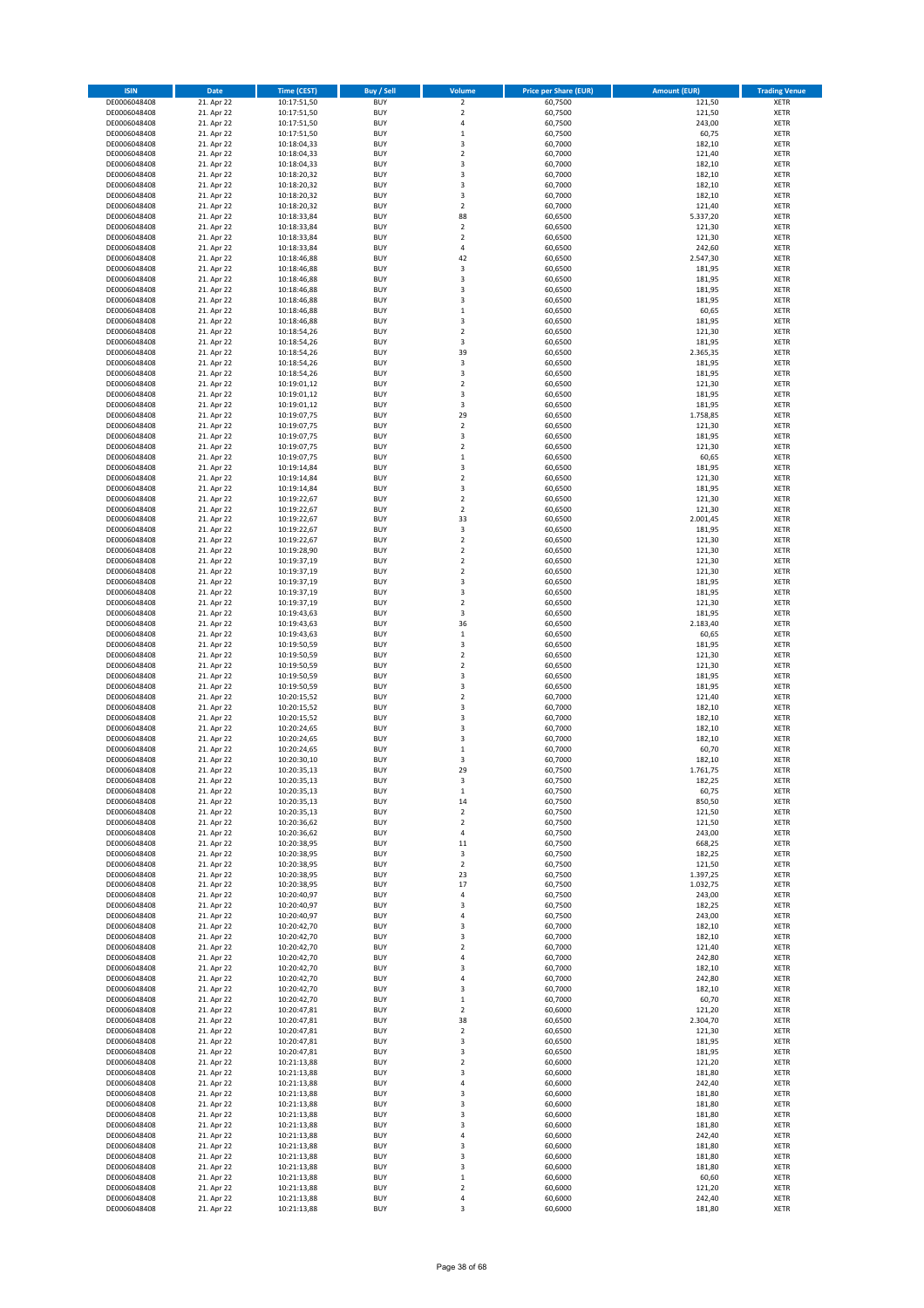| <b>ISIN</b>                  | <b>Date</b>              | <b>Time (CEST)</b>         | Buy / Sell               | Volume                       | <b>Price per Share (EUR)</b> | <b>Amount (EUR)</b> | <b>Trading Venue</b>       |
|------------------------------|--------------------------|----------------------------|--------------------------|------------------------------|------------------------------|---------------------|----------------------------|
| DE0006048408                 | 21. Apr 22               | 10:17:51,50                | <b>BUY</b>               | $\overline{\mathbf{c}}$      | 60,7500                      | 121,50              | XETR                       |
| DE0006048408<br>DE0006048408 | 21. Apr 22<br>21. Apr 22 | 10:17:51,50<br>10:17:51,50 | <b>BUY</b><br><b>BUY</b> | $\mathbf 2$<br>4             | 60,7500<br>60,7500           | 121,50<br>243,00    | XETR<br>XETR               |
| DE0006048408                 | 21. Apr 22               | 10:17:51,50                | <b>BUY</b>               | $\mathbf 1$                  | 60,7500                      | 60,75               | XETR                       |
| DE0006048408                 | 21. Apr 22               | 10:18:04,33                | <b>BUY</b>               | 3                            | 60,7000                      | 182,10              | XETR                       |
| DE0006048408                 | 21. Apr 22               | 10:18:04,33                | <b>BUY</b>               | $\overline{2}$               | 60,7000                      | 121,40              | <b>XETR</b>                |
| DE0006048408<br>DE0006048408 | 21. Apr 22<br>21. Apr 22 | 10:18:04,33<br>10:18:20,32 | <b>BUY</b><br><b>BUY</b> | 3<br>3                       | 60,7000<br>60,7000           | 182,10<br>182,10    | <b>XETR</b><br><b>XETR</b> |
| DE0006048408                 | 21. Apr 22               | 10:18:20,32                | <b>BUY</b>               | 3                            | 60,7000                      | 182,10              | <b>XETR</b>                |
| DE0006048408                 | 21. Apr 22               | 10:18:20,32                | <b>BUY</b>               | 3                            | 60,7000                      | 182,10              | <b>XETR</b>                |
| DE0006048408                 | 21. Apr 22               | 10:18:20,32                | <b>BUY</b>               | $\mathbf 2$                  | 60,7000                      | 121,40              | <b>XETR</b>                |
| DE0006048408<br>DE0006048408 | 21. Apr 22<br>21. Apr 22 | 10:18:33,84<br>10:18:33,84 | <b>BUY</b><br><b>BUY</b> | 88<br>$\mathbf 2$            | 60,6500<br>60,6500           | 5.337,20<br>121,30  | <b>XETR</b><br>XETR        |
| DE0006048408                 | 21. Apr 22               | 10:18:33,84                | <b>BUY</b>               | $\mathbf 2$                  | 60,6500                      | 121,30              | <b>XETR</b>                |
| DE0006048408                 | 21. Apr 22               | 10:18:33,84                | <b>BUY</b>               | 4                            | 60,6500                      | 242,60              | XETR                       |
| DE0006048408                 | 21. Apr 22               | 10:18:46,88                | <b>BUY</b>               | 42                           | 60,6500                      | 2.547,30            | <b>XETR</b>                |
| DE0006048408<br>DE0006048408 | 21. Apr 22<br>21. Apr 22 | 10:18:46,88<br>10:18:46,88 | <b>BUY</b><br><b>BUY</b> | 3<br>3                       | 60,6500<br>60,6500           | 181,95<br>181,95    | XETR<br><b>XETR</b>        |
| DE0006048408                 | 21. Apr 22               | 10:18:46,88                | <b>BUY</b>               | 3                            | 60,6500                      | 181,95              | XETR                       |
| DE0006048408                 | 21. Apr 22               | 10:18:46,88                | <b>BUY</b>               | 3                            | 60,6500                      | 181,95              | <b>XETR</b>                |
| DE0006048408                 | 21. Apr 22               | 10:18:46,88                | <b>BUY</b>               | $\mathbf 1$                  | 60,6500                      | 60,65               | XETR                       |
| DE0006048408<br>DE0006048408 | 21. Apr 22<br>21. Apr 22 | 10:18:46,88<br>10:18:54,26 | <b>BUY</b><br><b>BUY</b> | 3<br>$\mathbf 2$             | 60,6500<br>60,6500           | 181,95<br>121,30    | XETR<br><b>XETR</b>        |
| DE0006048408                 | 21. Apr 22               | 10:18:54,26                | <b>BUY</b>               | 3                            | 60,6500                      | 181,95              | <b>XETR</b>                |
| DE0006048408                 | 21. Apr 22               | 10:18:54,26                | <b>BUY</b>               | 39                           | 60,6500                      | 2.365,35            | <b>XETR</b>                |
| DE0006048408                 | 21. Apr 22               | 10:18:54,26                | <b>BUY</b>               | 3                            | 60,6500                      | 181,95              | <b>XETR</b>                |
| DE0006048408<br>DE0006048408 | 21. Apr 22<br>21. Apr 22 | 10:18:54,26<br>10:19:01,12 | <b>BUY</b><br><b>BUY</b> | 3<br>$\mathbf 2$             | 60,6500<br>60,6500           | 181,95<br>121,30    | <b>XETR</b><br><b>XETR</b> |
| DE0006048408                 | 21. Apr 22               | 10:19:01,12                | <b>BUY</b>               | 3                            | 60,6500                      | 181,95              | <b>XETR</b>                |
| DE0006048408                 | 21. Apr 22               | 10:19:01,12                | <b>BUY</b>               | 3                            | 60,6500                      | 181,95              | XETR                       |
| DE0006048408                 | 21. Apr 22               | 10:19:07,75                | <b>BUY</b>               | 29                           | 60,6500                      | 1.758,85            | <b>XETR</b>                |
| DE0006048408<br>DE0006048408 | 21. Apr 22<br>21. Apr 22 | 10:19:07,75<br>10:19:07,75 | <b>BUY</b><br><b>BUY</b> | $\mathbf 2$<br>3             | 60,6500<br>60,6500           | 121,30<br>181,95    | <b>XETR</b><br><b>XETR</b> |
| DE0006048408                 | 21. Apr 22               | 10:19:07,75                | <b>BUY</b>               | $\mathbf 2$                  | 60,6500                      | 121,30              | XETR                       |
| DE0006048408                 | 21. Apr 22               | 10:19:07,75                | <b>BUY</b>               | $\mathbf 1$                  | 60,6500                      | 60,65               | <b>XETR</b>                |
| DE0006048408                 | 21. Apr 22               | 10:19:14,84<br>10:19:14,84 | <b>BUY</b><br><b>BUY</b> | 3<br>$\overline{\mathbf{c}}$ | 60,6500                      | 181,95              | XETR<br><b>XETR</b>        |
| DE0006048408<br>DE0006048408 | 21. Apr 22<br>21. Apr 22 | 10:19:14,84                | <b>BUY</b>               | 3                            | 60,6500<br>60,6500           | 121,30<br>181,95    | XETR                       |
| DE0006048408                 | 21. Apr 22               | 10:19:22,67                | <b>BUY</b>               | $\overline{\mathbf{c}}$      | 60,6500                      | 121,30              | <b>XETR</b>                |
| DE0006048408                 | 21. Apr 22               | 10:19:22,67                | <b>BUY</b>               | $\mathbf 2$                  | 60,6500                      | 121,30              | <b>XETR</b>                |
| DE0006048408                 | 21. Apr 22               | 10:19:22,67                | <b>BUY</b><br><b>BUY</b> | 33                           | 60,6500                      | 2.001,45<br>181,95  | <b>XETR</b><br><b>XETR</b> |
| DE0006048408<br>DE0006048408 | 21. Apr 22<br>21. Apr 22 | 10:19:22,67<br>10:19:22,67 | <b>BUY</b>               | 3<br>$\overline{\mathbf{c}}$ | 60,6500<br>60,6500           | 121,30              | <b>XETR</b>                |
| DE0006048408                 | 21. Apr 22               | 10:19:28,90                | <b>BUY</b>               | $\mathbf 2$                  | 60,6500                      | 121,30              | <b>XETR</b>                |
| DE0006048408                 | 21. Apr 22               | 10:19:37,19                | <b>BUY</b>               | $\overline{\mathbf{c}}$      | 60,6500                      | 121,30              | <b>XETR</b>                |
| DE0006048408<br>DE0006048408 | 21. Apr 22<br>21. Apr 22 | 10:19:37,19<br>10:19:37,19 | <b>BUY</b><br><b>BUY</b> | $\mathbf 2$<br>3             | 60,6500<br>60,6500           | 121,30<br>181,95    | XETR<br>XETR               |
| DE0006048408                 | 21. Apr 22               | 10:19:37,19                | <b>BUY</b>               | 3                            | 60,6500                      | 181,95              | <b>XETR</b>                |
| DE0006048408                 | 21. Apr 22               | 10:19:37,19                | <b>BUY</b>               | $\mathbf 2$                  | 60,6500                      | 121,30              | <b>XETR</b>                |
| DE0006048408                 | 21. Apr 22               | 10:19:43,63                | <b>BUY</b>               | 3                            | 60,6500                      | 181,95              | <b>XETR</b>                |
| DE0006048408<br>DE0006048408 | 21. Apr 22<br>21. Apr 22 | 10:19:43,63<br>10:19:43,63 | <b>BUY</b><br><b>BUY</b> | 36<br>$\mathbf 1$            | 60,6500<br>60,6500           | 2.183,40<br>60,65   | <b>XETR</b><br><b>XETR</b> |
| DE0006048408                 | 21. Apr 22               | 10:19:50,59                | <b>BUY</b>               | 3                            | 60,6500                      | 181,95              | <b>XETR</b>                |
| DE0006048408                 | 21. Apr 22               | 10:19:50,59                | <b>BUY</b>               | $\mathbf 2$                  | 60,6500                      | 121,30              | <b>XETR</b>                |
| DE0006048408                 | 21. Apr 22               | 10:19:50,59                | <b>BUY</b>               | $\mathbf 2$                  | 60,6500                      | 121,30              | XETR                       |
| DE0006048408<br>DE0006048408 | 21. Apr 22<br>21. Apr 22 | 10:19:50,59<br>10:19:50,59 | <b>BUY</b><br><b>BUY</b> | 3<br>3                       | 60,6500<br>60,6500           | 181,95<br>181,95    | <b>XETR</b><br><b>XETR</b> |
| DE0006048408                 | 21. Apr 22               | 10:20:15,52                | <b>BUY</b>               | $\overline{\mathbf{c}}$      | 60,7000                      | 121,40              | <b>XETR</b>                |
| DE0006048408                 | 21. Apr 22               | 10:20:15,52                | <b>BUY</b>               | 3                            | 60,7000                      | 182,10              | XETR                       |
| DE0006048408                 | 21. Apr 22               | 10:20:15,52                | <b>BUY</b>               | 3<br>3                       | 60,7000                      | 182,10              | <b>XETR</b>                |
| DE0006048408<br>DE0006048408 | 21. Apr 22<br>21. Apr 22 | 10:20:24,65<br>10:20:24,65 | <b>BUY</b><br><b>BUY</b> | 3                            | 60,7000<br>60,7000           | 182,10<br>182,10    | XETR<br><b>XETR</b>        |
| DE0006048408                 | 21. Apr 22               | 10:20:24,65                | <b>BUY</b>               | $\mathbf 1$                  | 60,7000                      | 60,70               | XETR                       |
| DE0006048408                 | 21. Apr 22               | 10:20:30,10                | <b>BUY</b>               | 3                            | 60,7000                      | 182,10              | <b>XETR</b>                |
| DE0006048408                 | 21. Apr 22               | 10:20:35,13                | <b>BUY</b><br><b>BUY</b> | 29<br>3                      | 60,7500                      | 1.761,75            | <b>XETR</b>                |
| DE0006048408<br>DE0006048408 | 21. Apr 22<br>21. Apr 22 | 10:20:35,13<br>10:20:35,13 | <b>BUY</b>               | $\mathbf 1$                  | 60,7500<br>60,7500           | 182,25<br>60,75     | XETR<br>XETR               |
| DE0006048408                 | 21. Apr 22               | 10:20:35,13                | <b>BUY</b>               | 14                           | 60,7500                      | 850,50              | XETR                       |
| DE0006048408                 | 21. Apr 22               | 10:20:35,13                | <b>BUY</b>               | 2                            | 60,7500                      | 121,50              | <b>XETR</b>                |
| DE0006048408<br>DE0006048408 | 21. Apr 22<br>21. Apr 22 | 10:20:36,62<br>10:20:36,62 | <b>BUY</b><br><b>BUY</b> | $\mathbf 2$<br>4             | 60,7500<br>60,7500           | 121,50<br>243,00    | <b>XETR</b><br>XETR        |
| DE0006048408                 | 21. Apr 22               | 10:20:38,95                | <b>BUY</b>               | 11                           | 60.7500                      | 668,25              | <b>XETR</b>                |
| DE0006048408                 | 21. Apr 22               | 10:20:38,95                | <b>BUY</b>               | 3                            | 60,7500                      | 182,25              | XETR                       |
| DE0006048408<br>DE0006048408 | 21. Apr 22<br>21. Apr 22 | 10:20:38,95<br>10:20:38,95 | <b>BUY</b><br><b>BUY</b> | $\mathbf 2$<br>23            | 60,7500<br>60,7500           | 121,50<br>1.397,25  | <b>XETR</b><br>XETR        |
| DE0006048408                 | 21. Apr 22               | 10:20:38,95                | <b>BUY</b>               | 17                           | 60,7500                      | 1.032,75            | <b>XETR</b>                |
| DE0006048408                 | 21. Apr 22               | 10:20:40,97                | <b>BUY</b>               | 4                            | 60,7500                      | 243,00              | XETR                       |
| DE0006048408                 | 21. Apr 22               | 10:20:40,97                | <b>BUY</b>               | 3                            | 60,7500                      | 182,25              | <b>XETR</b>                |
| DE0006048408<br>DE0006048408 | 21. Apr 22<br>21. Apr 22 | 10:20:40,97<br>10:20:42,70 | <b>BUY</b><br><b>BUY</b> | 4<br>3                       | 60,7500<br>60,7000           | 243,00<br>182,10    | XETR<br><b>XETR</b>        |
| DE0006048408                 | 21. Apr 22               | 10:20:42,70                | <b>BUY</b>               | 3                            | 60,7000                      | 182,10              | XETR                       |
| DE0006048408                 | 21. Apr 22               | 10:20:42,70                | <b>BUY</b>               | $\mathbf 2$                  | 60,7000                      | 121,40              | <b>XETR</b>                |
| DE0006048408                 | 21. Apr 22               | 10:20:42,70                | <b>BUY</b>               | 4                            | 60,7000                      | 242,80              | <b>XETR</b>                |
| DE0006048408<br>DE0006048408 | 21. Apr 22<br>21. Apr 22 | 10:20:42,70<br>10:20:42,70 | <b>BUY</b><br><b>BUY</b> | 3<br>4                       | 60,7000<br>60,7000           | 182,10<br>242,80    | <b>XETR</b><br>XETR        |
| DE0006048408                 | 21. Apr 22               | 10:20:42,70                | <b>BUY</b>               | 3                            | 60,7000                      | 182,10              | <b>XETR</b>                |
| DE0006048408                 | 21. Apr 22               | 10:20:42,70                | <b>BUY</b>               | $\mathbf 1$                  | 60,7000                      | 60,70               | <b>XETR</b>                |
| DE0006048408                 | 21. Apr 22               | 10:20:47,81                | <b>BUY</b>               | $\mathbf 2$                  | 60,6000                      | 121,20              | XETR                       |
| DE0006048408<br>DE0006048408 | 21. Apr 22<br>21. Apr 22 | 10:20:47,81<br>10:20:47,81 | <b>BUY</b><br><b>BUY</b> | 38<br>$\mathbf 2$            | 60,6500<br>60,6500           | 2.304,70<br>121,30  | <b>XETR</b><br>XETR        |
| DE0006048408                 | 21. Apr 22               | 10:20:47,81                | <b>BUY</b>               | 3                            | 60,6500                      | 181,95              | <b>XETR</b>                |
| DE0006048408                 | 21. Apr 22               | 10:20:47,81                | <b>BUY</b>               | 3                            | 60,6500                      | 181,95              | XETR                       |
| DE0006048408                 | 21. Apr 22               | 10:21:13,88                | <b>BUY</b>               | $\overline{\mathbf{c}}$      | 60,6000                      | 121,20              | <b>XETR</b>                |
| DE0006048408<br>DE0006048408 | 21. Apr 22<br>21. Apr 22 | 10:21:13,88<br>10:21:13,88 | <b>BUY</b><br><b>BUY</b> | 3<br>4                       | 60,6000<br>60,6000           | 181,80<br>242,40    | XETR<br><b>XETR</b>        |
| DE0006048408                 | 21. Apr 22               | 10:21:13,88                | <b>BUY</b>               | 3                            | 60,6000                      | 181,80              | XETR                       |
| DE0006048408                 | 21. Apr 22               | 10:21:13,88                | <b>BUY</b>               | 3                            | 60,6000                      | 181,80              | <b>XETR</b>                |
| DE0006048408<br>DE0006048408 | 21. Apr 22               | 10:21:13,88                | <b>BUY</b><br><b>BUY</b> | 3                            | 60,6000                      | 181,80              | XETR                       |
| DE0006048408                 | 21. Apr 22<br>21. Apr 22 | 10:21:13,88<br>10:21:13,88 | <b>BUY</b>               | 3<br>4                       | 60,6000<br>60,6000           | 181,80<br>242,40    | <b>XETR</b><br><b>XETR</b> |
| DE0006048408                 | 21. Apr 22               | 10:21:13,88                | <b>BUY</b>               | 3                            | 60,6000                      | 181,80              | <b>XETR</b>                |
| DE0006048408                 | 21. Apr 22               | 10:21:13,88                | <b>BUY</b>               | 3                            | 60,6000                      | 181,80              | XETR                       |
| DE0006048408<br>DE0006048408 | 21. Apr 22<br>21. Apr 22 | 10:21:13,88<br>10:21:13,88 | <b>BUY</b><br><b>BUY</b> | 3<br>$\mathbf 1$             | 60,6000<br>60,6000           | 181,80<br>60,60     | <b>XETR</b><br>XETR        |
| DE0006048408                 | 21. Apr 22               | 10:21:13,88                | <b>BUY</b>               | $\mathbf 2$                  | 60,6000                      | 121,20              | <b>XETR</b>                |
| DE0006048408                 | 21. Apr 22               | 10:21:13,88                | <b>BUY</b>               | 4                            | 60,6000                      | 242,40              | XETR                       |
| DE0006048408                 | 21. Apr 22               | 10:21:13,88                | <b>BUY</b>               | 3                            | 60,6000                      | 181,80              | XETR                       |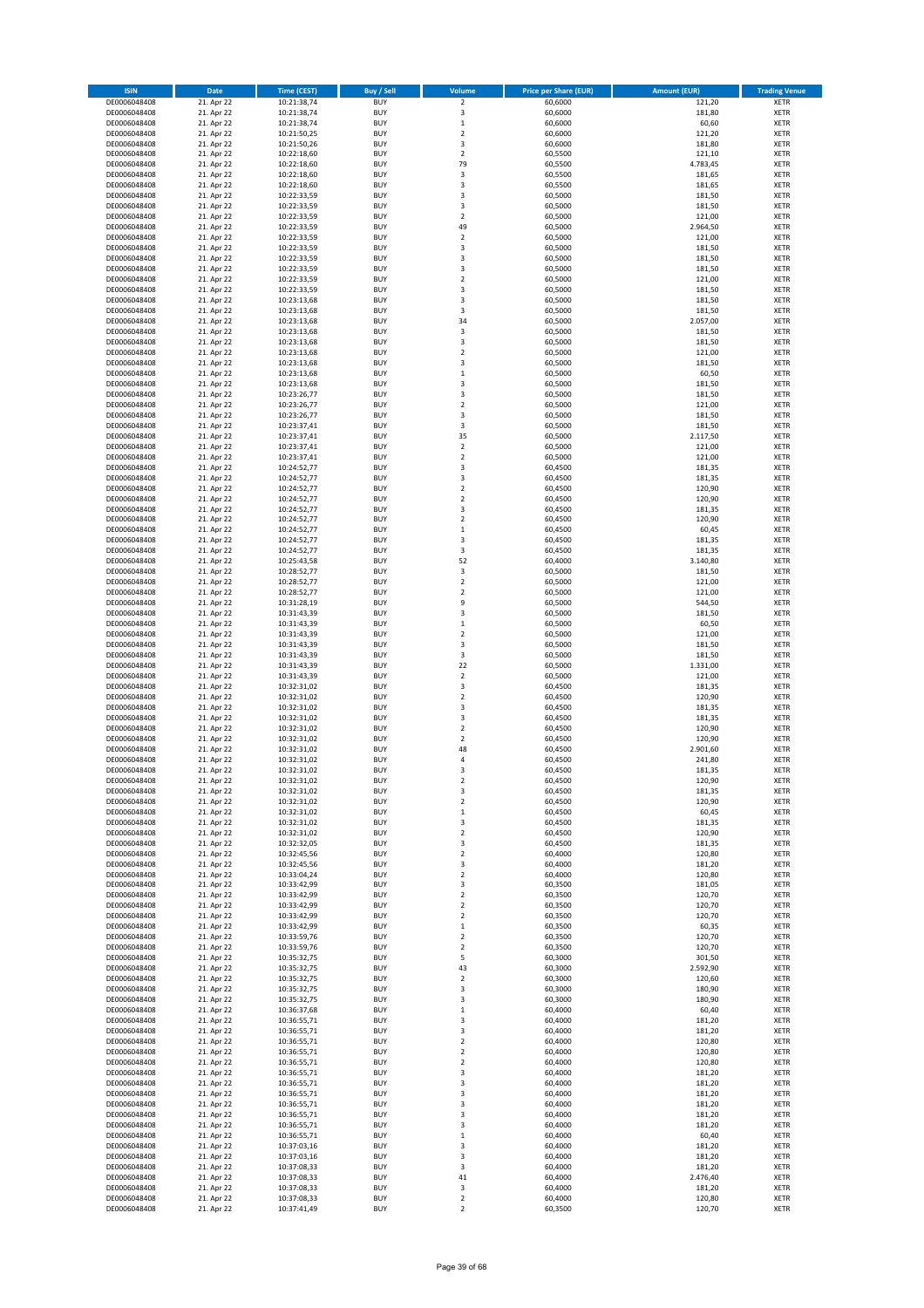| <b>ISIN</b>                  | <b>Date</b>              | <b>Time (CEST)</b>         | Buy / Sell               | Volume                        | <b>Price per Share (EUR)</b> | <b>Amount (EUR)</b> | <b>Trading Venue</b>       |
|------------------------------|--------------------------|----------------------------|--------------------------|-------------------------------|------------------------------|---------------------|----------------------------|
| DE0006048408                 | 21. Apr 22               | 10:21:38,74                | <b>BUY</b>               | $\overline{\mathbf{c}}$       | 60,6000                      | 121,20              | XETR                       |
| DE0006048408<br>DE0006048408 | 21. Apr 22<br>21. Apr 22 | 10:21:38,74<br>10:21:38,74 | <b>BUY</b><br><b>BUY</b> | 3<br>$\mathbf 1$              | 60,6000<br>60,6000           | 181,80<br>60,60     | XETR<br>XETR               |
| DE0006048408                 | 21. Apr 22               | 10:21:50,25                | <b>BUY</b>               | $\mathbf 2$                   | 60,6000                      | 121,20              | XETR                       |
| DE0006048408                 | 21. Apr 22               | 10:21:50,26                | <b>BUY</b>               | 3                             | 60,6000                      | 181,80              | XETR                       |
| DE0006048408                 | 21. Apr 22               | 10:22:18,60                | <b>BUY</b>               | $\mathbf 2$                   | 60,5500                      | 121,10              | <b>XETR</b>                |
| DE0006048408<br>DE0006048408 | 21. Apr 22<br>21. Apr 22 | 10:22:18,60<br>10:22:18,60 | <b>BUY</b><br><b>BUY</b> | 79<br>3                       | 60,5500<br>60,5500           | 4.783,45<br>181,65  | <b>XETR</b><br><b>XETR</b> |
| DE0006048408                 | 21. Apr 22               | 10:22:18,60                | <b>BUY</b>               | 3                             | 60,5500                      | 181,65              | <b>XETR</b>                |
| DE0006048408                 | 21. Apr 22               | 10:22:33,59                | <b>BUY</b>               | 3                             | 60,5000                      | 181,50              | <b>XETR</b>                |
| DE0006048408                 | 21. Apr 22               | 10:22:33,59                | <b>BUY</b>               | 3                             | 60,5000                      | 181,50              | <b>XETR</b>                |
| DE0006048408                 | 21. Apr 22               | 10:22:33,59                | <b>BUY</b>               | $\overline{2}$                | 60,5000                      | 121,00              | <b>XETR</b>                |
| DE0006048408<br>DE0006048408 | 21. Apr 22<br>21. Apr 22 | 10:22:33,59<br>10:22:33,59 | <b>BUY</b><br><b>BUY</b> | 49<br>$\mathbf 2$             | 60,5000<br>60,5000           | 2.964,50<br>121,00  | XETR<br><b>XETR</b>        |
| DE0006048408                 | 21. Apr 22               | 10:22:33,59                | <b>BUY</b>               | 3                             | 60,5000                      | 181,50              | XETR                       |
| DE0006048408                 | 21. Apr 22               | 10:22:33,59                | <b>BUY</b>               | 3                             | 60,5000                      | 181,50              | <b>XETR</b>                |
| DE0006048408                 | 21. Apr 22               | 10:22:33,59                | <b>BUY</b>               | 3                             | 60,5000                      | 181,50              | XETR                       |
| DE0006048408<br>DE0006048408 | 21. Apr 22<br>21. Apr 22 | 10:22:33,59<br>10:22:33,59 | <b>BUY</b><br><b>BUY</b> | $\mathbf 2$<br>3              | 60,5000<br>60,5000           | 121,00<br>181,50    | <b>XETR</b><br>XETR        |
| DE0006048408                 | 21. Apr 22               | 10:23:13,68                | <b>BUY</b>               | 3                             | 60,5000                      | 181,50              | <b>XETR</b>                |
| DE0006048408                 | 21. Apr 22               | 10:23:13,68                | <b>BUY</b>               | 3                             | 60,5000                      | 181,50              | XETR                       |
| DE0006048408                 | 21. Apr 22               | 10:23:13,68                | <b>BUY</b>               | 34                            | 60,5000                      | 2.057,00            | XETR                       |
| DE0006048408<br>DE0006048408 | 21. Apr 22<br>21. Apr 22 | 10:23:13,68<br>10:23:13,68 | <b>BUY</b><br><b>BUY</b> | 3<br>3                        | 60,5000<br>60,5000           | 181,50<br>181,50    | <b>XETR</b><br><b>XETR</b> |
| DE0006048408                 | 21. Apr 22               | 10:23:13,68                | <b>BUY</b>               | $\mathbf 2$                   | 60,5000                      | 121,00              | <b>XETR</b>                |
| DE0006048408                 | 21. Apr 22               | 10:23:13,68                | <b>BUY</b>               | 3                             | 60,5000                      | 181,50              | <b>XETR</b>                |
| DE0006048408                 | 21. Apr 22               | 10:23:13,68                | <b>BUY</b>               | $\mathbf 1$                   | 60,5000                      | 60,50               | <b>XETR</b>                |
| DE0006048408                 | 21. Apr 22               | 10:23:13,68                | <b>BUY</b><br><b>BUY</b> | 3                             | 60,5000                      | 181,50              | <b>XETR</b><br><b>XETR</b> |
| DE0006048408<br>DE0006048408 | 21. Apr 22<br>21. Apr 22 | 10:23:26,77<br>10:23:26,77 | <b>BUY</b>               | 3<br>$\mathbf 2$              | 60,5000<br>60,5000           | 181,50<br>121,00    | <b>XETR</b>                |
| DE0006048408                 | 21. Apr 22               | 10:23:26,77                | <b>BUY</b>               | 3                             | 60,5000                      | 181,50              | <b>XETR</b>                |
| DE0006048408                 | 21. Apr 22               | 10:23:37,41                | <b>BUY</b>               | 3                             | 60,5000                      | 181,50              | <b>XETR</b>                |
| DE0006048408                 | 21. Apr 22               | 10:23:37,41<br>10:23:37,41 | <b>BUY</b>               | 35                            | 60,5000                      | 2.117,50            | <b>XETR</b>                |
| DE0006048408<br>DE0006048408 | 21. Apr 22<br>21. Apr 22 | 10:23:37,41                | <b>BUY</b><br><b>BUY</b> | $\mathbf 2$<br>$\mathbf 2$    | 60,5000<br>60,5000           | 121,00<br>121,00    | XETR<br><b>XETR</b>        |
| DE0006048408                 | 21. Apr 22               | 10:24:52,77                | <b>BUY</b>               | 3                             | 60,4500                      | 181,35              | XETR                       |
| DE0006048408                 | 21. Apr 22               | 10:24:52,77                | <b>BUY</b>               | 3                             | 60,4500                      | 181,35              | <b>XETR</b>                |
| DE0006048408                 | 21. Apr 22               | 10:24:52,77                | <b>BUY</b>               | $\mathbf 2$                   | 60,4500                      | 120,90              | XETR                       |
| DE0006048408<br>DE0006048408 | 21. Apr 22<br>21. Apr 22 | 10:24:52,77<br>10:24:52,77 | <b>BUY</b><br><b>BUY</b> | $\overline{\mathbf{c}}$<br>3  | 60,4500<br>60,4500           | 120,90<br>181,35    | <b>XETR</b><br><b>XETR</b> |
| DE0006048408                 | 21. Apr 22               | 10:24:52,77                | <b>BUY</b>               | $\overline{\mathbf{c}}$       | 60,4500                      | 120,90              | <b>XETR</b>                |
| DE0006048408                 | 21. Apr 22               | 10:24:52,77                | <b>BUY</b>               | $\mathbf 1$                   | 60,4500                      | 60,45               | <b>XETR</b>                |
| DE0006048408                 | 21. Apr 22               | 10:24:52,77                | <b>BUY</b>               | 3                             | 60,4500                      | 181,35              | <b>XETR</b>                |
| DE0006048408                 | 21. Apr 22               | 10:24:52,77                | <b>BUY</b>               | 3                             | 60,4500                      | 181,35              | <b>XETR</b>                |
| DE0006048408<br>DE0006048408 | 21. Apr 22<br>21. Apr 22 | 10:25:43,58<br>10:28:52,77 | <b>BUY</b><br><b>BUY</b> | 52<br>3                       | 60,4000<br>60,5000           | 3.140,80<br>181,50  | <b>XETR</b><br>XETR        |
| DE0006048408                 | 21. Apr 22               | 10:28:52,77                | <b>BUY</b>               | $\mathbf 2$                   | 60,5000                      | 121,00              | XETR                       |
| DE0006048408                 | 21. Apr 22               | 10:28:52,77                | <b>BUY</b>               | $\overline{\mathbf{c}}$       | 60,5000                      | 121,00              | <b>XETR</b>                |
| DE0006048408                 | 21. Apr 22               | 10:31:28,19                | <b>BUY</b>               | 9                             | 60,5000                      | 544,50              | <b>XETR</b>                |
| DE0006048408<br>DE0006048408 | 21. Apr 22<br>21. Apr 22 | 10:31:43,39<br>10:31:43,39 | <b>BUY</b><br><b>BUY</b> | 3<br>$\mathbf 1$              | 60,5000<br>60,5000           | 181,50<br>60,50     | <b>XETR</b><br><b>XETR</b> |
| DE0006048408                 | 21. Apr 22               | 10:31:43,39                | <b>BUY</b>               | $\overline{\mathbf{c}}$       | 60,5000                      | 121,00              | <b>XETR</b>                |
| DE0006048408                 | 21. Apr 22               | 10:31:43,39                | <b>BUY</b>               | 3                             | 60,5000                      | 181,50              | <b>XETR</b>                |
| DE0006048408                 | 21. Apr 22               | 10:31:43,39                | <b>BUY</b>               | 3                             | 60,5000                      | 181,50              | XETR                       |
| DE0006048408<br>DE0006048408 | 21. Apr 22<br>21. Apr 22 | 10:31:43,39<br>10:31:43,39 | <b>BUY</b><br><b>BUY</b> | 22<br>$\overline{\mathbf{c}}$ | 60,5000<br>60,5000           | 1.331,00<br>121,00  | XETR<br><b>XETR</b>        |
| DE0006048408                 | 21. Apr 22               | 10:32:31,02                | <b>BUY</b>               | 3                             | 60,4500                      | 181,35              | <b>XETR</b>                |
| DE0006048408                 | 21. Apr 22               | 10:32:31,02                | <b>BUY</b>               | $\overline{\mathbf{c}}$       | 60,4500                      | 120,90              | <b>XETR</b>                |
| DE0006048408                 | 21. Apr 22               | 10:32:31,02                | <b>BUY</b>               | 3                             | 60,4500                      | 181,35              | XETR                       |
| DE0006048408<br>DE0006048408 | 21. Apr 22<br>21. Apr 22 | 10:32:31,02<br>10:32:31,02 | <b>BUY</b><br><b>BUY</b> | 3<br>$\mathbf 2$              | 60,4500<br>60,4500           | 181,35<br>120,90    | <b>XETR</b><br>XETR        |
| DE0006048408                 | 21. Apr 22               | 10:32:31,02                | <b>BUY</b>               | $\overline{2}$                | 60,4500                      | 120,90              | <b>XETR</b>                |
| DE0006048408                 | 21. Apr 22               | 10:32:31,02                | <b>BUY</b>               | 48                            | 60,4500                      | 2.901,60            | XETR                       |
| DE0006048408                 | 21. Apr 22               | 10:32:31,02                | <b>BUY</b>               | 4                             | 60,4500                      | 241,80              | <b>XETR</b>                |
| DE0006048408                 | 21. Apr 22               | 10:32:31,02                | <b>BUY</b>               | 3                             | 60,4500                      | 181,35              | XETR                       |
| DE0006048408<br>DE0006048408 | 21. Apr 22<br>21. Apr 22 | 10:32:31,02<br>10:32:31,02 | <b>BUY</b><br><b>BUY</b> | 2<br>3                        | 60,4500<br>60,4500           | 120,90<br>181,35    | XETR<br>XETR               |
| DE0006048408                 | 21. Apr 22               | 10:32:31,02                | <b>BUY</b>               | $\mathbf 2$                   | 60,4500                      | 120,90              | XETR                       |
| DE0006048408                 | 21. Apr 22               | 10:32:31,02                | <b>BUY</b>               | $\mathbf 1$                   | 60,4500                      | 60,45               | XETR                       |
| DE0006048408                 | 21. Apr 22               | 10:32:31,02                | <b>BUY</b>               | 3                             | 60,4500                      | 181,35              | <b>XETR</b>                |
| DE0006048408<br>DE0006048408 | 21. Apr 22<br>21. Apr 22 | 10:32:31,02<br>10:32:32,05 | <b>BUY</b><br><b>BUY</b> | 2<br>3                        | 60,4500<br>60,4500           | 120,90<br>181,35    | XETR<br><b>XETR</b>        |
| DE0006048408                 | 21. Apr 22               | 10:32:45,56                | <b>BUY</b>               | $\mathbf 2$                   | 60,4000                      | 120,80              | XETR                       |
| DE0006048408                 | 21. Apr 22               | 10:32:45,56                | <b>BUY</b>               | 3                             | 60,4000                      | 181,20              | <b>XETR</b>                |
| DE0006048408                 | 21. Apr 22<br>21. Apr 22 | 10:33:04,24<br>10:33:42,99 | <b>BUY</b>               | $\mathbf 2$                   | 60,4000                      | 120,80              | XETR                       |
| DE0006048408<br>DE0006048408 | 21. Apr 22               | 10:33:42,99                | <b>BUY</b><br><b>BUY</b> | 3<br>$\mathbf 2$              | 60,3500<br>60,3500           | 181,05<br>120,70    | <b>XETR</b><br>XETR        |
| DE0006048408                 | 21. Apr 22               | 10:33:42,99                | <b>BUY</b>               | $\mathbf 2$                   | 60,3500                      | 120,70              | <b>XETR</b>                |
| DE0006048408                 | 21. Apr 22               | 10:33:42,99                | <b>BUY</b>               | $\boldsymbol{2}$              | 60,3500                      | 120,70              | XETR                       |
| DE0006048408<br>DE0006048408 | 21. Apr 22<br>21. Apr 22 | 10:33:42,99<br>10:33:59,76 | <b>BUY</b><br><b>BUY</b> | $\mathbf 1$<br>$\mathbf 2$    | 60,3500<br>60,3500           | 60,35<br>120,70     | <b>XETR</b><br>XETR        |
| DE0006048408                 | 21. Apr 22               | 10:33:59,76                | <b>BUY</b>               | 2                             | 60,3500                      | 120,70              | <b>XETR</b>                |
| DE0006048408                 | 21. Apr 22               | 10:35:32,75                | <b>BUY</b>               | 5                             | 60,3000                      | 301,50              | <b>XETR</b>                |
| DE0006048408                 | 21. Apr 22               | 10:35:32,75                | <b>BUY</b>               | 43                            | 60,3000                      | 2.592,90            | <b>XETR</b>                |
| DE0006048408                 | 21. Apr 22               | 10:35:32,75                | <b>BUY</b>               | $\mathbf 2$                   | 60,3000                      | 120,60              | XETR                       |
| DE0006048408<br>DE0006048408 | 21. Apr 22<br>21. Apr 22 | 10:35:32,75<br>10:35:32,75 | <b>BUY</b><br><b>BUY</b> | 3<br>3                        | 60,3000<br>60,3000           | 180,90<br>180,90    | <b>XETR</b><br><b>XETR</b> |
| DE0006048408                 | 21. Apr 22               | 10:36:37,68                | <b>BUY</b>               | $\mathbf 1$                   | 60,4000                      | 60,40               | XETR                       |
| DE0006048408                 | 21. Apr 22               | 10:36:55,71                | <b>BUY</b>               | 3                             | 60,4000                      | 181,20              | <b>XETR</b>                |
| DE0006048408<br>DE0006048408 | 21. Apr 22<br>21. Apr 22 | 10:36:55,71<br>10:36:55,71 | <b>BUY</b><br><b>BUY</b> | 3<br>$\mathbf 2$              | 60,4000<br>60,4000           | 181,20<br>120,80    | XETR<br><b>XETR</b>        |
| DE0006048408                 | 21. Apr 22               | 10:36:55,71                | <b>BUY</b>               | 2                             | 60,4000                      | 120,80              | XETR                       |
| DE0006048408                 | 21. Apr 22               | 10:36:55,71                | <b>BUY</b>               | $\mathbf 2$                   | 60,4000                      | 120,80              | <b>XETR</b>                |
| DE0006048408                 | 21. Apr 22               | 10:36:55,71                | <b>BUY</b>               | 3                             | 60,4000                      | 181,20              | XETR                       |
| DE0006048408                 | 21. Apr 22               | 10:36:55,71                | <b>BUY</b>               | 3                             | 60,4000                      | 181,20              | <b>XETR</b>                |
| DE0006048408<br>DE0006048408 | 21. Apr 22<br>21. Apr 22 | 10:36:55,71<br>10:36:55,71 | <b>BUY</b><br><b>BUY</b> | 3<br>3                        | 60,4000<br>60,4000           | 181,20<br>181,20    | XETR<br><b>XETR</b>        |
| DE0006048408                 | 21. Apr 22               | 10:36:55,71                | <b>BUY</b>               | 3                             | 60,4000                      | 181,20              | XETR                       |
| DE0006048408                 | 21. Apr 22               | 10:36:55,71                | <b>BUY</b>               | 3                             | 60,4000                      | 181,20              | <b>XETR</b>                |
| DE0006048408                 | 21. Apr 22               | 10:36:55,71                | <b>BUY</b>               | 1                             | 60,4000                      | 60,40               | <b>XETR</b>                |
| DE0006048408<br>DE0006048408 | 21. Apr 22<br>21. Apr 22 | 10:37:03,16<br>10:37:03,16 | <b>BUY</b><br><b>BUY</b> | 3<br>3                        | 60,4000<br>60,4000           | 181,20<br>181,20    | <b>XETR</b><br>XETR        |
| DE0006048408                 | 21. Apr 22               | 10:37:08,33                | <b>BUY</b>               | 3                             | 60,4000                      | 181,20              | <b>XETR</b>                |
| DE0006048408                 | 21. Apr 22               | 10:37:08,33                | <b>BUY</b>               | 41                            | 60,4000                      | 2.476,40            | XETR                       |
| DE0006048408                 | 21. Apr 22               | 10:37:08,33                | <b>BUY</b>               | 3                             | 60,4000                      | 181,20              | <b>XETR</b>                |
| DE0006048408<br>DE0006048408 | 21. Apr 22<br>21. Apr 22 | 10:37:08,33<br>10:37:41,49 | <b>BUY</b><br><b>BUY</b> | $\mathbf 2$<br>$\mathbf 2$    | 60,4000<br>60,3500           | 120,80<br>120,70    | XETR<br><b>XETR</b>        |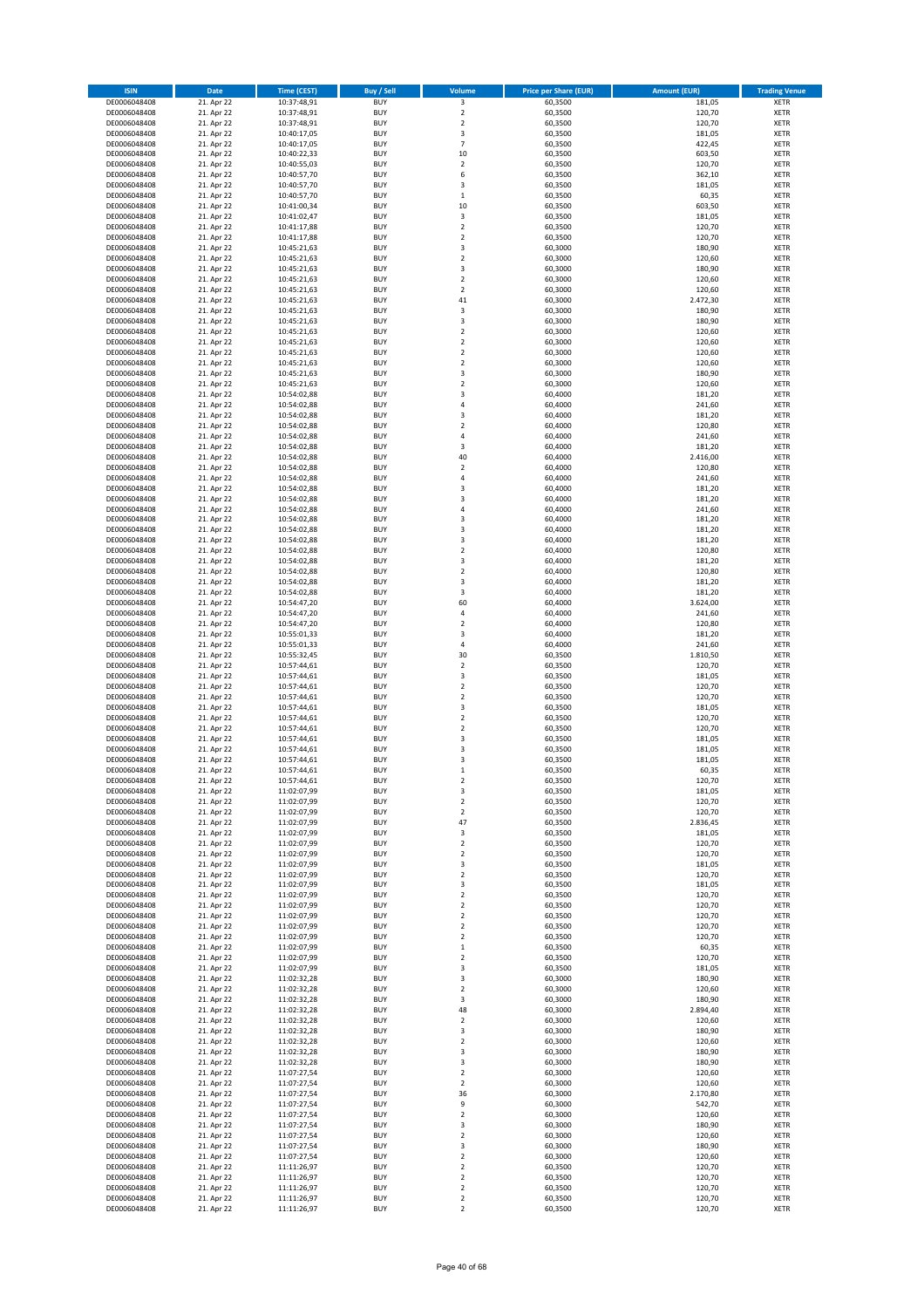| <b>ISIN</b>                  | <b>Date</b>              | <b>Time (CEST)</b>         | Buy / Sell               | Volume                          | <b>Price per Share (EUR)</b> | <b>Amount (EUR)</b> | <b>Trading Venue</b>       |
|------------------------------|--------------------------|----------------------------|--------------------------|---------------------------------|------------------------------|---------------------|----------------------------|
| DE0006048408                 | 21. Apr 22               | 10:37:48,91                | <b>BUY</b>               | 3                               | 60,3500                      | 181,05              | XETR                       |
| DE0006048408                 | 21. Apr 22               | 10:37:48,91                | <b>BUY</b>               | $\mathbf 2$                     | 60,3500                      | 120,70              | XETR                       |
| DE0006048408<br>DE0006048408 | 21. Apr 22<br>21. Apr 22 | 10:37:48,91<br>10:40:17,05 | <b>BUY</b><br><b>BUY</b> | $\mathbf 2$<br>3                | 60,3500<br>60,3500           | 120,70<br>181,05    | XETR<br><b>XETR</b>        |
| DE0006048408                 | 21. Apr 22               | 10:40:17,05                | <b>BUY</b>               | $\overline{7}$                  | 60,3500                      | 422,45              | <b>XETR</b>                |
| DE0006048408                 | 21. Apr 22               | 10:40:22,33                | <b>BUY</b>               | 10                              | 60,3500                      | 603,50              | <b>XETR</b>                |
| DE0006048408                 | 21. Apr 22               | 10:40:55,03                | <b>BUY</b>               | $\mathbf 2$                     | 60,3500                      | 120,70              | <b>XETR</b>                |
| DE0006048408                 | 21. Apr 22               | 10:40:57,70                | <b>BUY</b>               | 6                               | 60,3500                      | 362,10              | <b>XETR</b>                |
| DE0006048408<br>DE0006048408 | 21. Apr 22<br>21. Apr 22 | 10:40:57,70                | <b>BUY</b><br><b>BUY</b> | 3<br>$\mathbf 1$                | 60,3500<br>60,3500           | 181,05<br>60,35     | <b>XETR</b><br><b>XETR</b> |
| DE0006048408                 | 21. Apr 22               | 10:40:57,70<br>10:41:00,34 | <b>BUY</b>               | 10                              | 60,3500                      | 603,50              | XETR                       |
| DE0006048408                 | 21. Apr 22               | 10:41:02,47                | <b>BUY</b>               | 3                               | 60,3500                      | 181,05              | <b>XETR</b>                |
| DE0006048408                 | 21. Apr 22               | 10:41:17,88                | <b>BUY</b>               | $\mathbf 2$                     | 60,3500                      | 120,70              | XETR                       |
| DE0006048408                 | 21. Apr 22               | 10:41:17,88                | <b>BUY</b>               | $\overline{\mathbf{c}}$         | 60,3500                      | 120,70              | <b>XETR</b>                |
| DE0006048408                 | 21. Apr 22               | 10:45:21,63                | <b>BUY</b>               | 3                               | 60,3000                      | 180,90              | XETR                       |
| DE0006048408<br>DE0006048408 | 21. Apr 22<br>21. Apr 22 | 10:45:21,63<br>10:45:21,63 | <b>BUY</b><br><b>BUY</b> | $\overline{\mathbf{c}}$<br>3    | 60,3000<br>60,3000           | 120,60<br>180,90    | <b>XETR</b><br>XETR        |
| DE0006048408                 | 21. Apr 22               | 10:45:21,63                | <b>BUY</b>               | $\overline{\mathbf{c}}$         | 60,3000                      | 120,60              | <b>XETR</b>                |
| DE0006048408                 | 21. Apr 22               | 10:45:21,63                | <b>BUY</b>               | $\mathbf 2$                     | 60,3000                      | 120,60              | XETR                       |
| DE0006048408                 | 21. Apr 22               | 10:45:21,63                | <b>BUY</b>               | 41                              | 60,3000                      | 2.472,30            | <b>XETR</b>                |
| DE0006048408                 | 21. Apr 22<br>21. Apr 22 | 10:45:21,63                | <b>BUY</b><br><b>BUY</b> | 3<br>3                          | 60,3000<br>60,3000           | 180,90<br>180,90    | <b>XETR</b><br><b>XETR</b> |
| DE0006048408<br>DE0006048408 | 21. Apr 22               | 10:45:21,63<br>10:45:21,63 | <b>BUY</b>               | $\overline{\mathbf{c}}$         | 60,3000                      | 120,60              | <b>XETR</b>                |
| DE0006048408                 | 21. Apr 22               | 10:45:21,63                | <b>BUY</b>               | $\mathbf 2$                     | 60,3000                      | 120,60              | <b>XETR</b>                |
| DE0006048408                 | 21. Apr 22               | 10:45:21,63                | <b>BUY</b>               | $\overline{\mathbf{c}}$         | 60,3000                      | 120,60              | <b>XETR</b>                |
| DE0006048408                 | 21. Apr 22               | 10:45:21,63                | <b>BUY</b>               | $\overline{\mathbf{c}}$         | 60,3000                      | 120,60              | <b>XETR</b>                |
| DE0006048408                 | 21. Apr 22               | 10:45:21,63                | <b>BUY</b>               | 3                               | 60,3000                      | 180,90              | <b>XETR</b>                |
| DE0006048408<br>DE0006048408 | 21. Apr 22<br>21. Apr 22 | 10:45:21,63<br>10:54:02,88 | <b>BUY</b><br><b>BUY</b> | $\overline{\mathbf{c}}$<br>3    | 60,3000<br>60,4000           | 120,60<br>181,20    | <b>XETR</b><br><b>XETR</b> |
| DE0006048408                 | 21. Apr 22               | 10:54:02,88                | <b>BUY</b>               | 4                               | 60,4000                      | 241,60              | <b>XETR</b>                |
| DE0006048408                 | 21. Apr 22               | 10:54:02,88                | <b>BUY</b>               | 3                               | 60,4000                      | 181,20              | <b>XETR</b>                |
| DE0006048408                 | 21. Apr 22               | 10:54:02,88                | <b>BUY</b>               | $\mathbf 2$                     | 60,4000                      | 120,80              | <b>XETR</b>                |
| DE0006048408<br>DE0006048408 | 21. Apr 22               | 10:54:02,88                | <b>BUY</b><br><b>BUY</b> | 4<br>3                          | 60,4000                      | 241,60<br>181,20    | <b>XETR</b><br>XETR        |
| DE0006048408                 | 21. Apr 22<br>21. Apr 22 | 10:54:02,88<br>10:54:02,88 | <b>BUY</b>               | 40                              | 60,4000<br>60,4000           | 2.416,00            | <b>XETR</b>                |
| DE0006048408                 | 21. Apr 22               | 10:54:02,88                | <b>BUY</b>               | $\mathbf 2$                     | 60,4000                      | 120,80              | XETR                       |
| DE0006048408                 | 21. Apr 22               | 10:54:02,88                | <b>BUY</b>               | 4                               | 60,4000                      | 241,60              | <b>XETR</b>                |
| DE0006048408                 | 21. Apr 22               | 10:54:02,88                | <b>BUY</b>               | 3                               | 60,4000                      | 181,20              | XETR                       |
| DE0006048408                 | 21. Apr 22               | 10:54:02,88                | <b>BUY</b>               | 3                               | 60,4000                      | 181,20              | <b>XETR</b>                |
| DE0006048408<br>DE0006048408 | 21. Apr 22<br>21. Apr 22 | 10:54:02,88<br>10:54:02,88 | <b>BUY</b><br><b>BUY</b> | 4<br>3                          | 60,4000<br>60,4000           | 241,60<br>181,20    | <b>XETR</b><br><b>XETR</b> |
| DE0006048408                 | 21. Apr 22               | 10:54:02,88                | <b>BUY</b>               | 3                               | 60,4000                      | 181,20              | <b>XETR</b>                |
| DE0006048408                 | 21. Apr 22               | 10:54:02,88                | <b>BUY</b>               | 3                               | 60,4000                      | 181,20              | <b>XETR</b>                |
| DE0006048408                 | 21. Apr 22               | 10:54:02,88                | <b>BUY</b>               | $\mathbf 2$                     | 60,4000                      | 120,80              | <b>XETR</b>                |
| DE0006048408                 | 21. Apr 22               | 10:54:02,88                | <b>BUY</b>               | 3                               | 60,4000                      | 181,20              | <b>XETR</b>                |
| DE0006048408                 | 21. Apr 22               | 10:54:02,88                | <b>BUY</b>               | $\mathbf 2$                     | 60,4000                      | 120,80              | XETR                       |
| DE0006048408<br>DE0006048408 | 21. Apr 22<br>21. Apr 22 | 10:54:02,88<br>10:54:02,88 | <b>BUY</b><br><b>BUY</b> | 3<br>3                          | 60,4000<br>60,4000           | 181,20<br>181,20    | XETR<br><b>XETR</b>        |
| DE0006048408                 | 21. Apr 22               | 10:54:47,20                | <b>BUY</b>               | 60                              | 60,4000                      | 3.624,00            | <b>XETR</b>                |
| DE0006048408                 | 21. Apr 22               | 10:54:47,20                | <b>BUY</b>               | 4                               | 60,4000                      | 241,60              | XETR                       |
| DE0006048408                 | 21. Apr 22               | 10:54:47,20                | <b>BUY</b>               | 2                               | 60,4000                      | 120,80              | <b>XETR</b>                |
| DE0006048408                 | 21. Apr 22               | 10:55:01,33                | <b>BUY</b><br><b>BUY</b> | 3<br>4                          | 60,4000<br>60,4000           | 181,20<br>241,60    | <b>XETR</b><br><b>XETR</b> |
| DE0006048408<br>DE0006048408 | 21. Apr 22<br>21. Apr 22 | 10:55:01,33<br>10:55:32,45 | <b>BUY</b>               | 30                              | 60,3500                      | 1.810,50            | <b>XETR</b>                |
| DE0006048408                 | 21. Apr 22               | 10:57:44,61                | <b>BUY</b>               | $\mathbf 2$                     | 60,3500                      | 120,70              | <b>XETR</b>                |
| DE0006048408                 | 21. Apr 22               | 10:57:44,61                | <b>BUY</b>               | 3                               | 60,3500                      | 181,05              | <b>XETR</b>                |
| DE0006048408                 | 21. Apr 22               | 10:57:44,61                | <b>BUY</b>               | $\mathbf 2$                     | 60,3500                      | 120,70              | <b>XETR</b>                |
| DE0006048408                 | 21. Apr 22<br>21. Apr 22 | 10:57:44,61                | <b>BUY</b><br><b>BUY</b> | $\overline{\mathbf{c}}$<br>3    | 60,3500<br>60,3500           | 120,70<br>181,05    | <b>XETR</b><br><b>XETR</b> |
| DE0006048408<br>DE0006048408 | 21. Apr 22               | 10:57:44,61<br>10:57:44,61 | <b>BUY</b>               | $\overline{\mathbf{c}}$         | 60,3500                      | 120,70              | <b>XETR</b>                |
| DE0006048408                 | 21. Apr 22               | 10:57:44,61                | <b>BUY</b>               | $\mathbf 2$                     | 60,3500                      | 120,70              | XETR                       |
| DE0006048408                 | 21. Apr 22               | 10:57:44,61                | <b>BUY</b>               | 3                               | 60,3500                      | 181,05              | <b>XETR</b>                |
| DE0006048408                 | 21. Apr 22               | 10:57:44,61                | <b>BUY</b>               | 3                               | 60,3500                      | 181,05              | XETR                       |
| DE0006048408<br>DE0006048408 | 21. Apr 22<br>21. Apr 22 | 10:57:44,61<br>10:57:44,61 | <b>BUY</b><br><b>BUY</b> | 3<br>$\mathbf 1$                | 60,3500<br>60,3500           | 181,05<br>60,35     | <b>XETR</b><br>XETR        |
| DE0006048408                 | 21. Apr 22               | 10:57:44,61                | <b>BUY</b>               | 2                               | 60,3500                      | 120,70              | <b>XETR</b>                |
| DE0006048408                 | 21. Apr 22               | 11:02:07,99                | <b>BUY</b>               | 3                               | 60,3500                      | 181,05              | XETR                       |
| DE0006048408                 | 21. Apr 22               | 11:02:07,99                | <b>BUY</b>               | $\mathbf 2$                     | 60,3500                      | 120,70              | XETR                       |
| DE0006048408                 | 21. Apr 22               | 11:02:07,99                | <b>BUY</b>               | 2                               | 60,3500                      | 120,70              | XETR                       |
| DE0006048408<br>DE0006048408 | 21. Apr 22<br>21. Apr 22 | 11:02:07,99<br>11:02:07,99 | <b>BUY</b><br><b>BUY</b> | 47<br>3                         | 60,3500<br>60,3500           | 2.836,45<br>181,05  | <b>XETR</b><br>XETR        |
| DE0006048408                 | 21. Apr 22               | 11:02:07,99                | <b>BUY</b>               | $\overline{\mathbf{c}}$         | 60,3500                      | 120,70              | <b>XETR</b>                |
| DE0006048408                 | 21. Apr 22               | 11:02:07,99                | <b>BUY</b>               | $\mathbf 2$                     | 60,3500                      | 120,70              | XETR                       |
| DE0006048408                 | 21. Apr 22               | 11:02:07,99                | <b>BUY</b>               | 3                               | 60,3500                      | 181,05              | <b>XETR</b>                |
| DE0006048408                 | 21. Apr 22               | 11:02:07,99                | <b>BUY</b>               | $\mathbf 2$                     | 60,3500                      | 120,70              | XETR                       |
| DE0006048408<br>DE0006048408 | 21. Apr 22<br>21. Apr 22 | 11:02:07,99<br>11:02:07,99 | <b>BUY</b><br><b>BUY</b> | 3<br>$\mathbf 2$                | 60,3500<br>60,3500           | 181,05<br>120,70    | <b>XETR</b><br>XETR        |
| DE0006048408                 | 21. Apr 22               | 11:02:07,99                | <b>BUY</b>               | $\mathbf 2$                     | 60,3500                      | 120,70              | <b>XETR</b>                |
| DE0006048408                 | 21. Apr 22               | 11:02:07,99                | <b>BUY</b>               | $\boldsymbol{2}$                | 60,3500                      | 120,70              | XETR                       |
| DE0006048408                 | 21. Apr 22               | 11:02:07,99                | <b>BUY</b>               | $\mathbf 2$                     | 60,3500                      | 120,70              | <b>XETR</b>                |
| DE0006048408                 | 21. Apr 22               | 11:02:07,99<br>11:02:07,99 | <b>BUY</b>               | $\mathbf 2$                     | 60,3500                      | 120,70              | XETR                       |
| DE0006048408<br>DE0006048408 | 21. Apr 22<br>21. Apr 22 | 11:02:07,99                | <b>BUY</b><br><b>BUY</b> | $\mathbf 1$<br>2                | 60,3500<br>60,3500           | 60,35<br>120,70     | <b>XETR</b><br>XETR        |
| DE0006048408                 | 21. Apr 22               | 11:02:07,99                | <b>BUY</b>               | 3                               | 60,3500                      | 181,05              | <b>XETR</b>                |
| DE0006048408                 | 21. Apr 22               | 11:02:32,28                | <b>BUY</b>               | 3                               | 60,3000                      | 180,90              | XETR                       |
| DE0006048408                 | 21. Apr 22               | 11:02:32,28                | <b>BUY</b>               | $\mathbf 2$                     | 60,3000                      | 120,60              | <b>XETR</b>                |
| DE0006048408<br>DE0006048408 | 21. Apr 22<br>21. Apr 22 | 11:02:32,28<br>11:02:32,28 | <b>BUY</b><br><b>BUY</b> | 3<br>48                         | 60,3000<br>60,3000           | 180,90<br>2.894,40  | <b>XETR</b><br>XETR        |
| DE0006048408                 | 21. Apr 22               | 11:02:32,28                | <b>BUY</b>               | $\overline{\mathbf{2}}$         | 60,3000                      | 120,60              | <b>XETR</b>                |
| DE0006048408                 | 21. Apr 22               | 11:02:32,28                | <b>BUY</b>               | 3                               | 60,3000                      | 180,90              | XETR                       |
| DE0006048408                 | 21. Apr 22               | 11:02:32,28                | <b>BUY</b>               | $\overline{\mathbf{c}}$         | 60,3000                      | 120,60              | <b>XETR</b>                |
| DE0006048408                 | 21. Apr 22               | 11:02:32,28                | <b>BUY</b>               | 3                               | 60,3000                      | 180,90              | XETR                       |
| DE0006048408<br>DE0006048408 | 21. Apr 22<br>21. Apr 22 | 11:02:32,28<br>11:07:27,54 | <b>BUY</b><br><b>BUY</b> | 3<br>$\mathbf 2$                | 60,3000<br>60,3000           | 180,90<br>120,60    | <b>XETR</b><br>XETR        |
| DE0006048408                 | 21. Apr 22               | 11:07:27,54                | <b>BUY</b>               | $\mathbf 2$                     | 60,3000                      | 120,60              | <b>XETR</b>                |
| DE0006048408                 | 21. Apr 22               | 11:07:27,54                | <b>BUY</b>               | 36                              | 60,3000                      | 2.170,80            | XETR                       |
| DE0006048408                 | 21. Apr 22               | 11:07:27,54                | <b>BUY</b>               | 9                               | 60,3000                      | 542,70              | <b>XETR</b>                |
| DE0006048408                 | 21. Apr 22               | 11:07:27,54                | <b>BUY</b>               | $\mathbf 2$                     | 60,3000                      | 120,60              | XETR                       |
| DE0006048408<br>DE0006048408 | 21. Apr 22<br>21. Apr 22 | 11:07:27,54<br>11:07:27,54 | <b>BUY</b><br><b>BUY</b> | 3<br>2                          | 60,3000<br>60,3000           | 180,90<br>120,60    | <b>XETR</b><br><b>XETR</b> |
| DE0006048408                 | 21. Apr 22               | 11:07:27,54                | <b>BUY</b>               | 3                               | 60,3000                      | 180,90              | <b>XETR</b>                |
| DE0006048408                 | 21. Apr 22               | 11:07:27,54                | <b>BUY</b>               | $\mathbf 2$                     | 60,3000                      | 120,60              | XETR                       |
| DE0006048408                 | 21. Apr 22               | 11:11:26,97                | <b>BUY</b>               | $\mathbf 2$                     | 60,3500                      | 120,70              | <b>XETR</b>                |
| DE0006048408                 | 21. Apr 22               | 11:11:26,97                | <b>BUY</b>               | $\boldsymbol{2}$                | 60,3500                      | 120,70              | XETR                       |
| DE0006048408<br>DE0006048408 | 21. Apr 22<br>21. Apr 22 | 11:11:26,97<br>11:11:26,97 | <b>BUY</b><br><b>BUY</b> | $\mathbf 2$<br>$\boldsymbol{2}$ | 60,3500<br>60,3500           | 120,70<br>120,70    | XETR<br>XETR               |
| DE0006048408                 | 21. Apr 22               | 11:11:26,97                | <b>BUY</b>               | $\mathbf 2$                     | 60,3500                      | 120,70              | <b>XETR</b>                |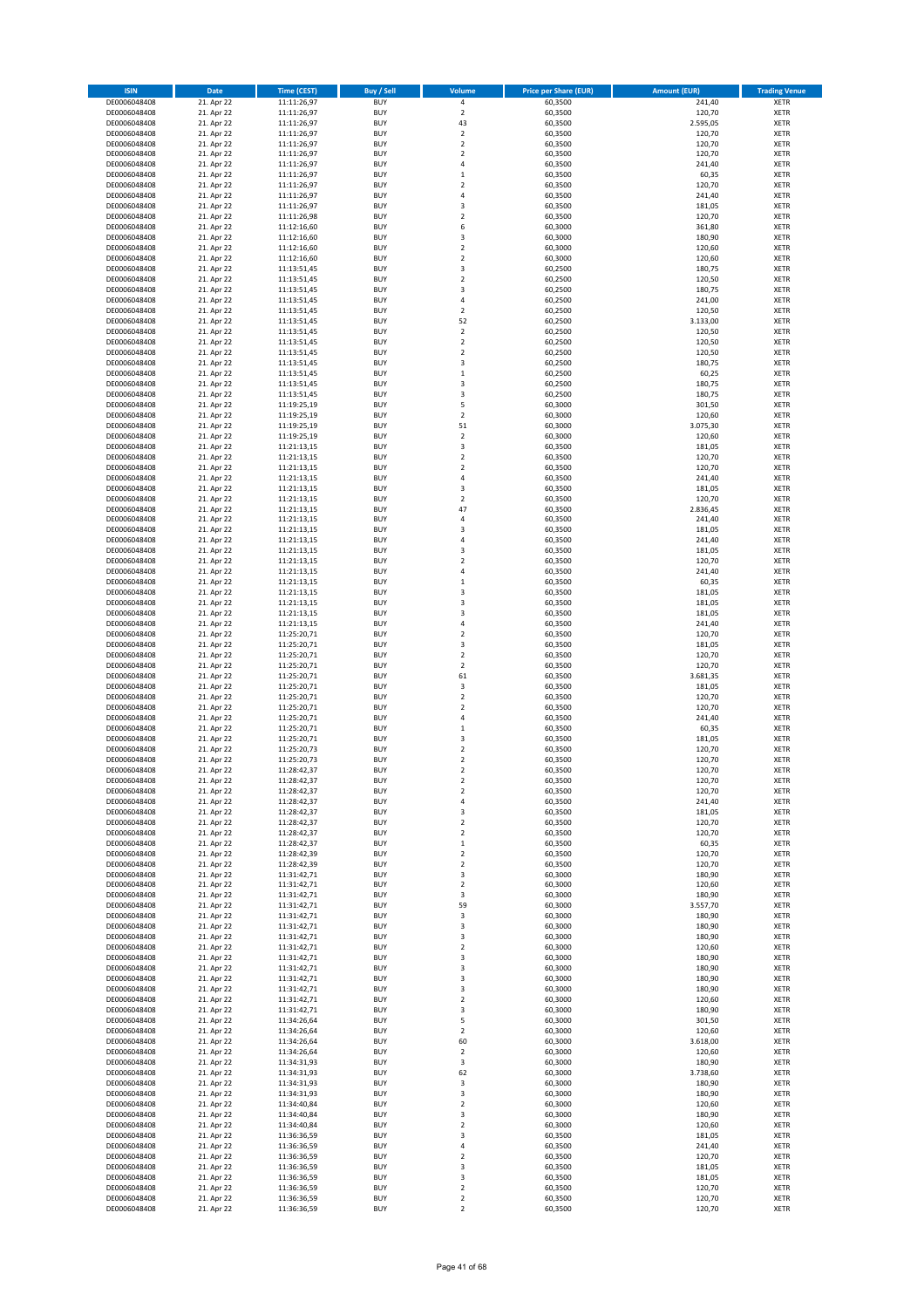| <b>ISIN</b>                  | Date                     | <b>Time (CEST)</b>         | <b>Buy / Sell</b>        | Volume                                 | <b>Price per Share (EUR)</b> | <b>Amount (EUR)</b> | <b>Trading Venue</b>       |
|------------------------------|--------------------------|----------------------------|--------------------------|----------------------------------------|------------------------------|---------------------|----------------------------|
| DE0006048408                 | 21. Apr 22               | 11:11:26,97                | <b>BUY</b>               | $\pmb{4}$                              | 60,3500                      | 241,40              | <b>XETR</b>                |
| DE0006048408                 | 21. Apr 22               | 11:11:26,97                | <b>BUY</b>               | $\mathbf 2$                            | 60,3500                      | 120,70              | <b>XETR</b>                |
| DE0006048408<br>DE0006048408 | 21. Apr 22<br>21. Apr 22 | 11:11:26,97<br>11:11:26,97 | <b>BUY</b><br><b>BUY</b> | 43<br>$\mathbf 2$                      | 60,3500<br>60,3500           | 2.595,05<br>120,70  | <b>XETR</b><br><b>XETR</b> |
| DE0006048408                 | 21. Apr 22               | 11:11:26,97                | <b>BUY</b>               | $\mathbf 2$                            | 60,3500                      | 120,70              | <b>XETR</b>                |
| DE0006048408                 | 21. Apr 22               | 11:11:26,97                | <b>BUY</b>               | $\overline{2}$                         | 60,3500                      | 120,70              | <b>XETR</b>                |
| DE0006048408                 | 21. Apr 22               | 11:11:26,97                | <b>BUY</b>               | $\overline{4}$                         | 60,3500                      | 241,40              | <b>XETR</b>                |
| DE0006048408                 | 21. Apr 22               | 11:11:26,97                | <b>BUY</b>               | $\,1\,$                                | 60,3500                      | 60,35               | <b>XETR</b>                |
| DE0006048408                 | 21. Apr 22               | 11:11:26,97                | <b>BUY</b><br><b>BUY</b> | $\overline{2}$<br>$\sqrt{4}$           | 60,3500                      | 120,70              | <b>XETR</b><br><b>XETR</b> |
| DE0006048408<br>DE0006048408 | 21. Apr 22<br>21. Apr 22 | 11:11:26,97<br>11:11:26,97 | <b>BUY</b>               | $\overline{\mathbf{3}}$                | 60,3500<br>60,3500           | 241,40<br>181,05    | <b>XETR</b>                |
| DE0006048408                 | 21. Apr 22               | 11:11:26,98                | <b>BUY</b>               | $\overline{2}$                         | 60,3500                      | 120,70              | <b>XETR</b>                |
| DE0006048408                 | 21. Apr 22               | 11:12:16,60                | <b>BUY</b>               | 6                                      | 60,3000                      | 361,80              | XETR                       |
| DE0006048408                 | 21. Apr 22               | 11:12:16,60                | <b>BUY</b>               | 3                                      | 60,3000                      | 180,90              | <b>XETR</b>                |
| DE0006048408                 | 21. Apr 22               | 11:12:16,60                | <b>BUY</b>               | $\mathbf 2$                            | 60,3000                      | 120,60              | <b>XETR</b>                |
| DE0006048408<br>DE0006048408 | 21. Apr 22<br>21. Apr 22 | 11:12:16,60<br>11:13:51,45 | <b>BUY</b><br><b>BUY</b> | $\overline{2}$<br>3                    | 60,3000<br>60,2500           | 120,60<br>180,75    | <b>XETR</b><br>XETR        |
| DE0006048408                 | 21. Apr 22               | 11:13:51,45                | <b>BUY</b>               | $\overline{2}$                         | 60,2500                      | 120,50              | <b>XETR</b>                |
| DE0006048408                 | 21. Apr 22               | 11:13:51,45                | <b>BUY</b>               | $\overline{\mathbf{3}}$                | 60,2500                      | 180,75              | XETR                       |
| DE0006048408                 | 21. Apr 22               | 11:13:51,45                | <b>BUY</b>               | $\sqrt{4}$                             | 60,2500                      | 241,00              | <b>XETR</b>                |
| DE0006048408                 | 21. Apr 22               | 11:13:51,45                | <b>BUY</b>               | $\mathbf 2$                            | 60,2500                      | 120,50              | <b>XETR</b>                |
| DE0006048408<br>DE0006048408 | 21. Apr 22<br>21. Apr 22 | 11:13:51,45<br>11:13:51,45 | <b>BUY</b><br><b>BUY</b> | 52<br>$\overline{2}$                   | 60,2500<br>60,2500           | 3.133,00<br>120,50  | <b>XETR</b><br><b>XETR</b> |
| DE0006048408                 | 21. Apr 22               | 11:13:51,45                | <b>BUY</b>               | $\mathbf 2$                            | 60,2500                      | 120,50              | <b>XETR</b>                |
| DE0006048408                 | 21. Apr 22               | 11:13:51,45                | <b>BUY</b>               | $\overline{2}$                         | 60,2500                      | 120,50              | <b>XETR</b>                |
| DE0006048408                 | 21. Apr 22               | 11:13:51,45                | <b>BUY</b>               | 3                                      | 60,2500                      | 180,75              | <b>XETR</b>                |
| DE0006048408                 | 21. Apr 22               | 11:13:51,45                | <b>BUY</b>               | $\,1\,$                                | 60,2500                      | 60,25               | <b>XETR</b>                |
| DE0006048408<br>DE0006048408 | 21. Apr 22<br>21. Apr 22 | 11:13:51,45<br>11:13:51,45 | <b>BUY</b><br><b>BUY</b> | 3<br>3                                 | 60,2500<br>60,2500           | 180,75<br>180,75    | <b>XETR</b><br><b>XETR</b> |
| DE0006048408                 | 21. Apr 22               | 11:19:25,19                | <b>BUY</b>               | 5                                      | 60,3000                      | 301,50              | <b>XETR</b>                |
| DE0006048408                 | 21. Apr 22               | 11:19:25,19                | <b>BUY</b>               | $\mathbf 2$                            | 60,3000                      | 120,60              | <b>XETR</b>                |
| DE0006048408                 | 21. Apr 22               | 11:19:25,19                | <b>BUY</b>               | 51                                     | 60,3000                      | 3.075,30            | <b>XETR</b>                |
| DE0006048408                 | 21. Apr 22               | 11:19:25,19                | <b>BUY</b>               | $\overline{2}$                         | 60,3000                      | 120,60              | <b>XETR</b>                |
| DE0006048408<br>DE0006048408 | 21. Apr 22<br>21. Apr 22 | 11:21:13,15<br>11:21:13,15 | <b>BUY</b><br><b>BUY</b> | 3<br>$\overline{2}$                    | 60,3500<br>60,3500           | 181,05<br>120,70    | XETR<br><b>XETR</b>        |
| DE0006048408                 | 21. Apr 22               | 11:21:13,15                | <b>BUY</b>               | $\mathbf 2$                            | 60,3500                      | 120,70              | XETR                       |
| DE0006048408                 | 21. Apr 22               | 11:21:13,15                | <b>BUY</b>               | $\sqrt{4}$                             | 60,3500                      | 241,40              | <b>XETR</b>                |
| DE0006048408                 | 21. Apr 22               | 11:21:13,15                | <b>BUY</b>               | $\mathsf 3$                            | 60,3500                      | 181,05              | <b>XETR</b>                |
| DE0006048408                 | 21. Apr 22               | 11:21:13.15                | <b>BUY</b>               | $\overline{2}$                         | 60,3500                      | 120,70              | <b>XETR</b>                |
| DE0006048408                 | 21. Apr 22               | 11:21:13,15                | <b>BUY</b>               | 47                                     | 60,3500                      | 2.836,45            | <b>XETR</b>                |
| DE0006048408<br>DE0006048408 | 21. Apr 22<br>21. Apr 22 | 11:21:13,15<br>11:21:13,15 | <b>BUY</b><br><b>BUY</b> | $\sqrt{4}$<br>3                        | 60,3500<br>60,3500           | 241,40<br>181,05    | <b>XETR</b><br><b>XETR</b> |
| DE0006048408                 | 21. Apr 22               | 11:21:13,15                | <b>BUY</b>               | $\overline{a}$                         | 60,3500                      | 241,40              | <b>XETR</b>                |
| DE0006048408                 | 21. Apr 22               | 11:21:13,15                | <b>BUY</b>               | 3                                      | 60,3500                      | 181,05              | <b>XETR</b>                |
| DE0006048408                 | 21. Apr 22               | 11:21:13,15                | <b>BUY</b>               | $\overline{2}$                         | 60,3500                      | 120,70              | <b>XETR</b>                |
| DE0006048408                 | 21. Apr 22               | 11:21:13,15                | <b>BUY</b>               | $\sqrt{4}$                             | 60,3500                      | 241,40              | <b>XETR</b>                |
| DE0006048408<br>DE0006048408 | 21. Apr 22<br>21. Apr 22 | 11:21:13,15<br>11:21:13,15 | <b>BUY</b><br><b>BUY</b> | $\,$ 1<br>3                            | 60,3500<br>60,3500           | 60,35<br>181,05     | <b>XETR</b><br><b>XETR</b> |
| DE0006048408                 | 21. Apr 22               | 11:21:13,15                | <b>BUY</b>               | 3                                      | 60,3500                      | 181,05              | <b>XETR</b>                |
| DE0006048408                 | 21. Apr 22               | 11:21:13,15                | <b>BUY</b>               | 3                                      | 60,3500                      | 181,05              | <b>XETR</b>                |
| DE0006048408                 | 21. Apr 22               | 11:21:13,15                | <b>BUY</b>               | 4                                      | 60,3500                      | 241,40              | <b>XETR</b>                |
| DE0006048408                 | 21. Apr 22               | 11:25:20,71                | <b>BUY</b>               | $\overline{2}$                         | 60,3500                      | 120,70              | <b>XETR</b>                |
| DE0006048408<br>DE0006048408 | 21. Apr 22               | 11:25:20,71                | <b>BUY</b><br><b>BUY</b> | 3<br>$\mathbf 2$                       | 60,3500                      | 181,05              | <b>XETR</b><br><b>XETR</b> |
| DE0006048408                 | 21. Apr 22<br>21. Apr 22 | 11:25:20,71<br>11:25:20,71 | <b>BUY</b>               | $\mathbf 2$                            | 60,3500<br>60,3500           | 120,70<br>120,70    | <b>XETR</b>                |
| DE0006048408                 | 21. Apr 22               | 11:25:20,71                | <b>BUY</b>               | 61                                     | 60,3500                      | 3.681,35            | <b>XETR</b>                |
| DE0006048408                 | 21. Apr 22               | 11:25:20,71                | <b>BUY</b>               | 3                                      | 60,3500                      | 181,05              | <b>XETR</b>                |
| DE0006048408                 | 21. Apr 22               | 11:25:20,71                | <b>BUY</b>               | $\overline{2}$                         | 60,3500                      | 120,70              | <b>XETR</b>                |
| DE0006048408                 | 21. Apr 22               | 11:25:20,71                | <b>BUY</b><br><b>BUY</b> | $\mathbf 2$<br>$\sqrt{4}$              | 60,3500                      | 120,70              | <b>XETR</b><br><b>XETR</b> |
| DE0006048408<br>DE0006048408 | 21. Apr 22<br>21. Apr 22 | 11:25:20,71<br>11:25:20,71 | <b>BUY</b>               | $\,$ 1                                 | 60,3500<br>60,3500           | 241,40<br>60,35     | XETR                       |
| DE0006048408                 | 21. Apr 22               | 11:25:20,71                | <b>BUY</b>               | 3                                      | 60,3500                      | 181,05              | <b>XETR</b>                |
| DE0006048408                 | 21. Apr 22               | 11:25:20,73                | <b>BUY</b>               | $\sqrt{2}$                             | 60,3500                      | 120,70              | <b>XETR</b>                |
| DE0006048408                 | 21. Apr 22               | 11:25:20,73                | <b>BUY</b>               | $\overline{2}$                         | 60,3500                      | 120,70              | <b>XETR</b>                |
| DE0006048408                 | 21. Apr 22               | 11:28:42,37                | <b>BUY</b>               | $\overline{2}$                         | 60,3500                      | 120,70              | <b>XETR</b>                |
| DE0006048408<br>DE0006048408 | 21. Apr 22<br>21. Apr 22 | 11:28:42,37<br>11:28:42,37 | <b>BUY</b><br><b>BUY</b> | $\overline{\mathbf{c}}$<br>$\mathbf 2$ | 60,3500<br>60,3500           | 120,70<br>120,70    | XETR<br>XETR               |
| DE0006048408                 | 21. Apr 22               | 11:28:42,37                | <b>BUY</b>               | $\sqrt{4}$                             | 60,3500                      | 241,40              | XETR                       |
| DE0006048408                 | 21. Apr 22               | 11:28:42,37                | <b>BUY</b>               | 3                                      | 60,3500                      | 181,05              | <b>XETR</b>                |
| DE0006048408                 | 21. Apr 22               | 11:28:42,37                | <b>BUY</b>               | $\mathbf 2$                            | 60,3500                      | 120,70              | <b>XETR</b>                |
| DE0006048408                 | 21. Apr 22               | 11:28:42,37                | <b>BUY</b>               | $\overline{\mathbf{c}}$                | 60,3500                      | 120,70              | XETR                       |
| DE0006048408<br>DE0006048408 | 21. Apr 22<br>21. Apr 22 | 11:28:42,37<br>11:28:42,39 | <b>BUY</b><br><b>BUY</b> | $\mathbf 1$<br>$\sqrt{2}$              | 60,3500<br>60,3500           | 60,35<br>120,70     | <b>XETR</b><br>XETR        |
| DE0006048408                 | 21. Apr 22               | 11:28:42,39                | <b>BUY</b>               | $\mathbf 2$                            | 60,3500                      | 120,70              | <b>XETR</b>                |
| DE0006048408                 | 21. Apr 22               | 11:31:42,71                | <b>BUY</b>               | 3                                      | 60,3000                      | 180,90              | XETR                       |
| DE0006048408                 | 21. Apr 22               | 11:31:42,71                | <b>BUY</b>               | $\mathbf 2$                            | 60,3000                      | 120,60              | <b>XETR</b>                |
| DE0006048408                 | 21. Apr 22<br>21. Apr 22 | 11:31:42,71<br>11:31:42,71 | <b>BUY</b><br><b>BUY</b> | 3                                      | 60,3000<br>60,3000           | 180,90<br>3.557,70  | <b>XETR</b>                |
| DE0006048408<br>DE0006048408 | 21. Apr 22               | 11:31:42,71                | <b>BUY</b>               | 59<br>3                                | 60,3000                      | 180,90              | <b>XETR</b><br>XETR        |
| DE0006048408                 | 21. Apr 22               | 11:31:42,71                | <b>BUY</b>               | 3                                      | 60,3000                      | 180,90              | <b>XETR</b>                |
| DE0006048408                 | 21. Apr 22               | 11:31:42,71                | <b>BUY</b>               | 3                                      | 60,3000                      | 180,90              | <b>XETR</b>                |
| DE0006048408                 | 21. Apr 22               | 11:31:42,71                | <b>BUY</b>               | $\mathbf 2$                            | 60,3000                      | 120,60              | <b>XETR</b>                |
| DE0006048408                 | 21. Apr 22<br>21. Apr 22 | 11:31:42,71                | <b>BUY</b>               | 3                                      | 60,3000                      | 180,90              | <b>XETR</b>                |
| DE0006048408<br>DE0006048408 | 21. Apr 22               | 11:31:42,71<br>11:31:42,71 | <b>BUY</b><br><b>BUY</b> | 3<br>3                                 | 60,3000<br>60,3000           | 180,90<br>180,90    | <b>XETR</b><br><b>XETR</b> |
| DE0006048408                 | 21. Apr 22               | 11:31:42,71                | <b>BUY</b>               | 3                                      | 60,3000                      | 180,90              | <b>XETR</b>                |
| DE0006048408                 | 21. Apr 22               | 11:31:42,71                | <b>BUY</b>               | $\overline{2}$                         | 60,3000                      | 120,60              | <b>XETR</b>                |
| DE0006048408                 | 21. Apr 22               | 11:31:42,71                | <b>BUY</b>               | 3                                      | 60,3000                      | 180,90              | XETR                       |
| DE0006048408<br>DE0006048408 | 21. Apr 22<br>21. Apr 22 | 11:34:26,64                | <b>BUY</b><br><b>BUY</b> | 5<br>$\sqrt{2}$                        | 60,3000<br>60,3000           | 301,50<br>120,60    | XETR                       |
| DE0006048408                 | 21. Apr 22               | 11:34:26,64<br>11:34:26,64 | <b>BUY</b>               | 60                                     | 60,3000                      | 3.618,00            | <b>XETR</b><br><b>XETR</b> |
| DE0006048408                 | 21. Apr 22               | 11:34:26,64                | <b>BUY</b>               | $\overline{\mathbf{c}}$                | 60,3000                      | 120,60              | XETR                       |
| DE0006048408                 | 21. Apr 22               | 11:34:31,93                | <b>BUY</b>               | 3                                      | 60,3000                      | 180,90              | XETR                       |
| DE0006048408                 | 21. Apr 22               | 11:34:31,93                | <b>BUY</b>               | 62                                     | 60,3000                      | 3.738,60            | XETR                       |
| DE0006048408                 | 21. Apr 22               | 11:34:31,93                | <b>BUY</b>               | 3                                      | 60,3000                      | 180,90              | <b>XETR</b>                |
| DE0006048408<br>DE0006048408 | 21. Apr 22<br>21. Apr 22 | 11:34:31,93<br>11:34:40,84 | <b>BUY</b><br><b>BUY</b> | 3<br>$\mathbf 2$                       | 60,3000<br>60,3000           | 180,90<br>120,60    | XETR<br>XETR               |
| DE0006048408                 | 21. Apr 22               | 11:34:40,84                | <b>BUY</b>               | 3                                      | 60,3000                      | 180,90              | <b>XETR</b>                |
| DE0006048408                 | 21. Apr 22               | 11:34:40,84                | <b>BUY</b>               | $\mathbf 2$                            | 60,3000                      | 120,60              | <b>XETR</b>                |
| DE0006048408                 | 21. Apr 22               | 11:36:36,59                | <b>BUY</b>               | 3                                      | 60,3500                      | 181,05              | <b>XETR</b>                |
| DE0006048408                 | 21. Apr 22               | 11:36:36,59                | <b>BUY</b>               | 4                                      | 60,3500                      | 241,40              | <b>XETR</b>                |
| DE0006048408<br>DE0006048408 | 21. Apr 22<br>21. Apr 22 | 11:36:36,59<br>11:36:36,59 | <b>BUY</b><br><b>BUY</b> | $\sqrt{2}$<br>3                        | 60,3500<br>60,3500           | 120,70<br>181,05    | <b>XETR</b><br><b>XETR</b> |
| DE0006048408                 | 21. Apr 22               | 11:36:36,59                | <b>BUY</b>               | 3                                      | 60,3500                      | 181,05              | <b>XETR</b>                |
| DE0006048408                 | 21. Apr 22               | 11:36:36,59                | <b>BUY</b>               | $\overline{2}$                         | 60,3500                      | 120,70              | <b>XETR</b>                |
| DE0006048408                 | 21. Apr 22               | 11:36:36,59                | <b>BUY</b>               | $\mathbf 2$                            | 60,3500                      | 120,70              | <b>XETR</b>                |
| DE0006048408                 | 21. Apr 22               | 11:36:36,59                | <b>BUY</b>               | $\overline{2}$                         | 60,3500                      | 120,70              | <b>XETR</b>                |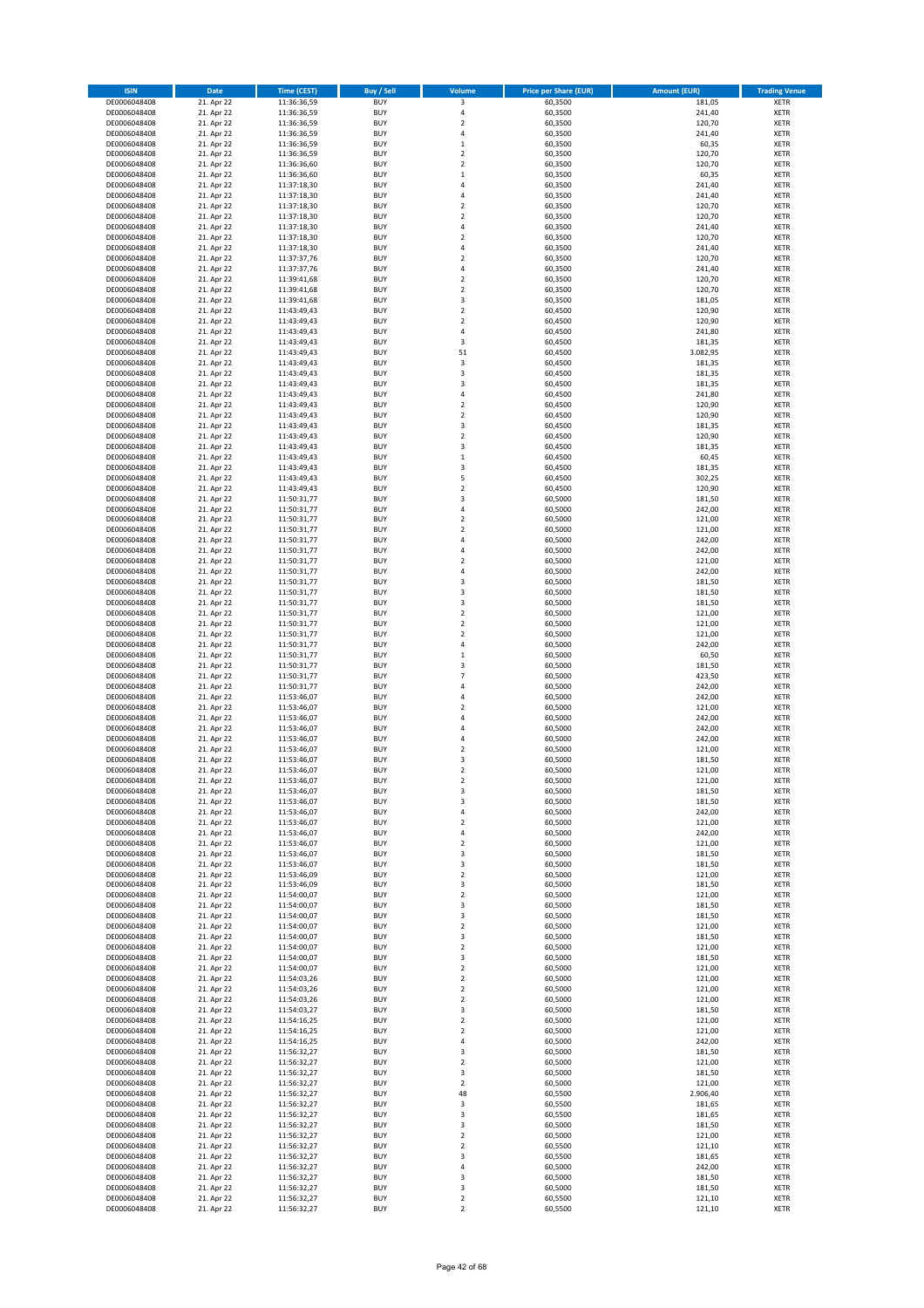| <b>ISIN</b>                  | <b>Date</b>              | <b>Time (CEST)</b>         | Buy / Sell               | Volume                                    | <b>Price per Share (EUR)</b> | <b>Amount (EUR)</b> | <b>Trading Venue</b>       |
|------------------------------|--------------------------|----------------------------|--------------------------|-------------------------------------------|------------------------------|---------------------|----------------------------|
| DE0006048408                 | 21. Apr 22               | 11:36:36,59                | <b>BUY</b>               | 3                                         | 60,3500                      | 181,05              | XETR                       |
| DE0006048408<br>DE0006048408 | 21. Apr 22<br>21. Apr 22 | 11:36:36,59<br>11:36:36,59 | <b>BUY</b><br><b>BUY</b> | 4<br>$\overline{\mathbf{c}}$              | 60,3500<br>60,3500           | 241,40<br>120,70    | XETR<br><b>XETR</b>        |
| DE0006048408                 | 21. Apr 22               | 11:36:36,59                | <b>BUY</b>               | 4                                         | 60,3500                      | 241,40              | <b>XETR</b>                |
| DE0006048408                 | 21. Apr 22               | 11:36:36,59                | <b>BUY</b>               | $\mathbf 1$                               | 60,3500                      | 60,35               | <b>XETR</b>                |
| DE0006048408                 | 21. Apr 22               | 11:36:36,59                | <b>BUY</b>               | $\overline{\mathbf{c}}$                   | 60,3500                      | 120,70              | <b>XETR</b>                |
| DE0006048408<br>DE0006048408 | 21. Apr 22<br>21. Apr 22 | 11:36:36,60<br>11:36:36,60 | <b>BUY</b><br><b>BUY</b> | $\overline{\mathbf{c}}$<br>$\mathbf 1$    | 60,3500<br>60,3500           | 120,70<br>60,35     | <b>XETR</b><br><b>XETR</b> |
| DE0006048408                 | 21. Apr 22               | 11:37:18,30                | <b>BUY</b>               | 4                                         | 60,3500                      | 241,40              | <b>XETR</b>                |
| DE0006048408                 | 21. Apr 22               | 11:37:18,30                | <b>BUY</b>               | $\overline{a}$                            | 60,3500                      | 241,40              | <b>XETR</b>                |
| DE0006048408                 | 21. Apr 22               | 11:37:18,30                | <b>BUY</b>               | $\overline{\mathbf{c}}$                   | 60,3500                      | 120,70              | <b>XETR</b>                |
| DE0006048408<br>DE0006048408 | 21. Apr 22<br>21. Apr 22 | 11:37:18,30<br>11:37:18,30 | <b>BUY</b><br><b>BUY</b> | $\overline{\mathbf{c}}$<br>4              | 60,3500<br>60,3500           | 120,70<br>241,40    | <b>XETR</b><br>XETR        |
| DE0006048408                 | 21. Apr 22               | 11:37:18,30                | <b>BUY</b>               | $\overline{\mathbf{2}}$                   | 60,3500                      | 120,70              | <b>XETR</b>                |
| DE0006048408                 | 21. Apr 22               | 11:37:18,30                | <b>BUY</b>               | 4                                         | 60,3500                      | 241,40              | XETR                       |
| DE0006048408                 | 21. Apr 22               | 11:37:37,76                | <b>BUY</b>               | $\overline{\mathbf{c}}$                   | 60,3500                      | 120,70              | <b>XETR</b>                |
| DE0006048408<br>DE0006048408 | 21. Apr 22<br>21. Apr 22 | 11:37:37,76<br>11:39:41,68 | <b>BUY</b><br><b>BUY</b> | 4<br>$\overline{\mathbf{c}}$              | 60,3500<br>60,3500           | 241,40<br>120,70    | XETR<br><b>XETR</b>        |
| DE0006048408                 | 21. Apr 22               | 11:39:41,68                | <b>BUY</b>               | $\mathbf 2$                               | 60,3500                      | 120,70              | XETR                       |
| DE0006048408                 | 21. Apr 22               | 11:39:41,68                | <b>BUY</b>               | 3                                         | 60,3500                      | 181,05              | <b>XETR</b>                |
| DE0006048408                 | 21. Apr 22               | 11:43:49,43                | <b>BUY</b>               | $\overline{\mathbf{c}}$                   | 60,4500                      | 120,90              | <b>XETR</b>                |
| DE0006048408<br>DE0006048408 | 21. Apr 22<br>21. Apr 22 | 11:43:49,43<br>11:43:49,43 | <b>BUY</b><br><b>BUY</b> | $\overline{\mathbf{c}}$<br>$\overline{4}$ | 60,4500<br>60,4500           | 120,90<br>241,80    | <b>XETR</b><br><b>XETR</b> |
| DE0006048408                 | 21. Apr 22               | 11:43:49,43                | <b>BUY</b>               | 3                                         | 60,4500                      | 181,35              | <b>XETR</b>                |
| DE0006048408                 | 21. Apr 22               | 11:43:49,43                | <b>BUY</b>               | 51                                        | 60,4500                      | 3.082,95            | <b>XETR</b>                |
| DE0006048408                 | 21. Apr 22               | 11:43:49,43                | <b>BUY</b>               | 3                                         | 60,4500                      | 181,35              | <b>XETR</b>                |
| DE0006048408<br>DE0006048408 | 21. Apr 22<br>21. Apr 22 | 11:43:49,43<br>11:43:49,43 | <b>BUY</b><br><b>BUY</b> | 3<br>3                                    | 60,4500<br>60,4500           | 181,35<br>181,35    | <b>XETR</b><br><b>XETR</b> |
| DE0006048408                 | 21. Apr 22               | 11:43:49,43                | <b>BUY</b>               | 4                                         | 60,4500                      | 241,80              | <b>XETR</b>                |
| DE0006048408                 | 21. Apr 22               | 11:43:49,43                | <b>BUY</b>               | $\mathbf 2$                               | 60,4500                      | 120,90              | <b>XETR</b>                |
| DE0006048408                 | 21. Apr 22               | 11:43:49,43                | <b>BUY</b>               | $\mathbf 2$                               | 60,4500                      | 120,90              | <b>XETR</b>                |
| DE0006048408<br>DE0006048408 | 21. Apr 22<br>21. Apr 22 | 11:43:49,43<br>11:43:49,43 | <b>BUY</b><br><b>BUY</b> | 3<br>$\overline{\mathbf{c}}$              | 60,4500<br>60,4500           | 181,35<br>120,90    | <b>XETR</b><br><b>XETR</b> |
| DE0006048408                 | 21. Apr 22               | 11:43:49,43                | <b>BUY</b>               | 3                                         | 60,4500                      | 181,35              | XETR                       |
| DE0006048408                 | 21. Apr 22               | 11:43:49,43                | <b>BUY</b>               | $\mathbf 1$                               | 60,4500                      | 60,45               | <b>XETR</b>                |
| DE0006048408<br>DE0006048408 | 21. Apr 22<br>21. Apr 22 | 11:43:49,43                | <b>BUY</b><br><b>BUY</b> | 3<br>5                                    | 60,4500<br>60,4500           | 181,35<br>302,25    | XETR<br><b>XETR</b>        |
| DE0006048408                 | 21. Apr 22               | 11:43:49,43<br>11:43:49,43 | <b>BUY</b>               | $\mathbf 2$                               | 60,4500                      | 120,90              | XETR                       |
| DE0006048408                 | 21. Apr 22               | 11:50:31,77                | <b>BUY</b>               | 3                                         | 60,5000                      | 181,50              | <b>XETR</b>                |
| DE0006048408                 | 21. Apr 22               | 11:50:31,77                | <b>BUY</b>               | 4                                         | 60,5000                      | 242,00              | <b>XETR</b>                |
| DE0006048408<br>DE0006048408 | 21. Apr 22<br>21. Apr 22 | 11:50:31,77<br>11:50:31,77 | <b>BUY</b><br><b>BUY</b> | $\mathbf 2$<br>$\mathbf 2$                | 60,5000<br>60,5000           | 121,00<br>121,00    | <b>XETR</b><br><b>XETR</b> |
| DE0006048408                 | 21. Apr 22               | 11:50:31,77                | <b>BUY</b>               | $\overline{4}$                            | 60,5000                      | 242,00              | <b>XETR</b>                |
| DE0006048408                 | 21. Apr 22               | 11:50:31,77                | <b>BUY</b>               | 4                                         | 60,5000                      | 242,00              | <b>XETR</b>                |
| DE0006048408                 | 21. Apr 22               | 11:50:31,77                | <b>BUY</b>               | $\mathbf 2$                               | 60,5000                      | 121,00              | <b>XETR</b>                |
| DE0006048408<br>DE0006048408 | 21. Apr 22<br>21. Apr 22 | 11:50:31,77<br>11:50:31,77 | <b>BUY</b><br><b>BUY</b> | 4<br>3                                    | 60,5000<br>60,5000           | 242,00<br>181,50    | XETR<br>XETR               |
| DE0006048408                 | 21. Apr 22               | 11:50:31,77                | <b>BUY</b>               | 3                                         | 60,5000                      | 181,50              | <b>XETR</b>                |
| DE0006048408                 | 21. Apr 22               | 11:50:31,77                | <b>BUY</b>               | 3                                         | 60,5000                      | 181,50              | <b>XETR</b>                |
| DE0006048408                 | 21. Apr 22               | 11:50:31,77                | <b>BUY</b>               | $\mathbf 2$                               | 60,5000                      | 121,00              | <b>XETR</b>                |
| DE0006048408<br>DE0006048408 | 21. Apr 22<br>21. Apr 22 | 11:50:31,77<br>11:50:31,77 | <b>BUY</b><br><b>BUY</b> | $\mathbf 2$<br>$\mathbf 2$                | 60,5000<br>60,5000           | 121,00<br>121,00    | <b>XETR</b><br><b>XETR</b> |
| DE0006048408                 | 21. Apr 22               | 11:50:31,77                | <b>BUY</b>               | 4                                         | 60,5000                      | 242,00              | <b>XETR</b>                |
| DE0006048408                 | 21. Apr 22               | 11:50:31,77                | <b>BUY</b>               | $\mathbf 1$                               | 60,5000                      | 60,50               | <b>XETR</b>                |
| DE0006048408                 | 21. Apr 22               | 11:50:31,77                | <b>BUY</b>               | 3<br>$\overline{7}$                       | 60,5000                      | 181,50              | <b>XETR</b>                |
| DE0006048408<br>DE0006048408 | 21. Apr 22<br>21. Apr 22 | 11:50:31,77<br>11:50:31,77 | <b>BUY</b><br><b>BUY</b> | 4                                         | 60,5000<br>60,5000           | 423,50<br>242,00    | <b>XETR</b><br><b>XETR</b> |
| DE0006048408                 | 21. Apr 22               | 11:53:46,07                | <b>BUY</b>               | $\overline{4}$                            | 60,5000                      | 242,00              | <b>XETR</b>                |
| DE0006048408                 | 21. Apr 22               | 11:53:46,07                | <b>BUY</b>               | $\mathbf 2$                               | 60,5000                      | 121,00              | <b>XETR</b>                |
| DE0006048408                 | 21. Apr 22               | 11:53:46,07                | <b>BUY</b><br><b>BUY</b> | $\overline{a}$<br>4                       | 60,5000<br>60,5000           | 242,00<br>242,00    | <b>XETR</b><br>XETR        |
| DE0006048408<br>DE0006048408 | 21. Apr 22<br>21. Apr 22 | 11:53:46,07<br>11:53:46,07 | <b>BUY</b>               | 4                                         | 60,5000                      | 242,00              | <b>XETR</b>                |
| DE0006048408                 | 21. Apr 22               | 11:53:46,07                | <b>BUY</b>               | $\mathbf 2$                               | 60,5000                      | 121,00              | XETR                       |
| DE0006048408                 | 21. Apr 22               | 11:53:46.07                | <b>BUY</b>               | 3                                         | 60,5000                      | 181,50              | <b>XETR</b>                |
| DE0006048408<br>DE0006048408 | 21. Apr 22<br>21. Apr 22 | 11:53:46,07<br>11:53:46,07 | <b>BUY</b><br><b>BUY</b> | $\mathbf 2$<br>2                          | 60,5000<br>60,5000           | 121,00<br>121,00    | <b>XETR</b><br>XETR        |
| DE0006048408                 | 21. Apr 22               | 11:53:46,07                | <b>BUY</b>               | 3                                         | 60,5000                      | 181,50              | XETR                       |
| DE0006048408                 | 21. Apr 22               | 11:53:46,07                | <b>BUY</b>               | 3                                         | 60,5000                      | 181,50              | XETR                       |
| DE0006048408                 | 21. Apr 22               | 11:53:46,07                | <b>BUY</b>               | 4                                         | 60,5000                      | 242,00              | XETR                       |
| DE0006048408<br>DE0006048408 | 21. Apr 22<br>21. Apr 22 | 11:53:46,07<br>11:53:46,07 | <b>BUY</b><br><b>BUY</b> | 2<br>4                                    | 60,5000<br>60,5000           | 121,00<br>242,00    | <b>XETR</b><br>XETR        |
| DE0006048408                 | 21. Apr 22               | 11:53:46,07                | <b>BUY</b>               | $\overline{\mathbf{2}}$                   | 60,5000                      | 121,00              | <b>XETR</b>                |
| DE0006048408                 | 21. Apr 22               | 11:53:46,07                | <b>BUY</b>               | 3                                         | 60,5000                      | 181,50              | XETR                       |
| DE0006048408<br>DE0006048408 | 21. Apr 22<br>21. Apr 22 | 11:53:46,07<br>11:53:46,09 | <b>BUY</b><br><b>BUY</b> | 3<br>$\mathbf 2$                          | 60,5000<br>60,5000           | 181,50              | <b>XETR</b><br>XETR        |
| DE0006048408                 | 21. Apr 22               | 11:53:46,09                | <b>BUY</b>               | 3                                         | 60,5000                      | 121,00<br>181,50    | <b>XETR</b>                |
| DE0006048408                 | 21. Apr 22               | 11:54:00,07                | <b>BUY</b>               | $\mathbf 2$                               | 60,5000                      | 121,00              | XETR                       |
| DE0006048408                 | 21. Apr 22               | 11:54:00,07                | <b>BUY</b>               | 3                                         | 60,5000                      | 181,50              | <b>XETR</b>                |
| DE0006048408<br>DE0006048408 | 21. Apr 22<br>21. Apr 22 | 11:54:00,07<br>11:54:00,07 | <b>BUY</b><br><b>BUY</b> | 3<br>$\mathbf 2$                          | 60,5000<br>60,5000           | 181,50<br>121,00    | XETR<br><b>XETR</b>        |
| DE0006048408                 | 21. Apr 22               | 11:54:00,07                | <b>BUY</b>               | 3                                         | 60,5000                      | 181,50              | XETR                       |
| DE0006048408                 | 21. Apr 22               | 11:54:00,07                | <b>BUY</b>               | $\mathbf 2$                               | 60,5000                      | 121,00              | <b>XETR</b>                |
| DE0006048408                 | 21. Apr 22               | 11:54:00,07                | <b>BUY</b>               | 3                                         | 60,5000                      | 181,50              | <b>XETR</b>                |
| DE0006048408<br>DE0006048408 | 21. Apr 22<br>21. Apr 22 | 11:54:00,07<br>11:54:03,26 | <b>BUY</b><br><b>BUY</b> | 2<br>$\mathbf 2$                          | 60,5000<br>60,5000           | 121,00<br>121,00    | <b>XETR</b><br>XETR        |
| DE0006048408                 | 21. Apr 22               | 11:54:03,26                | <b>BUY</b>               | $\mathbf 2$                               | 60,5000                      | 121,00              | <b>XETR</b>                |
| DE0006048408                 | 21. Apr 22               | 11:54:03,26                | <b>BUY</b>               | $\mathbf 2$                               | 60,5000                      | 121,00              | <b>XETR</b>                |
| DE0006048408                 | 21. Apr 22               | 11:54:03,27                | <b>BUY</b><br><b>BUY</b> | 3<br>$\overline{\mathbf{c}}$              | 60,5000                      | 181,50              | XETR<br><b>XETR</b>        |
| DE0006048408<br>DE0006048408 | 21. Apr 22<br>21. Apr 22 | 11:54:16,25<br>11:54:16,25 | <b>BUY</b>               | $\mathbf 2$                               | 60,5000<br>60,5000           | 121,00<br>121,00    | XETR                       |
| DE0006048408                 | 21. Apr 22               | 11:54:16,25                | <b>BUY</b>               | 4                                         | 60,5000                      | 242,00              | <b>XETR</b>                |
| DE0006048408                 | 21. Apr 22               | 11:56:32,27                | <b>BUY</b>               | 3                                         | 60,5000                      | 181,50              | XETR                       |
| DE0006048408                 | 21. Apr 22<br>21. Apr 22 | 11:56:32,27                | <b>BUY</b><br><b>BUY</b> | $\overline{\mathbf{c}}$                   | 60,5000<br>60,5000           | 121,00<br>181,50    | <b>XETR</b><br>XETR        |
| DE0006048408<br>DE0006048408 | 21. Apr 22               | 11:56:32,27<br>11:56:32,27 | <b>BUY</b>               | 3<br>$\mathbf 2$                          | 60,5000                      | 121,00              | <b>XETR</b>                |
| DE0006048408                 | 21. Apr 22               | 11:56:32,27                | <b>BUY</b>               | 48                                        | 60,5500                      | 2.906,40            | XETR                       |
| DE0006048408                 | 21. Apr 22               | 11:56:32,27                | <b>BUY</b>               | 3                                         | 60,5500                      | 181,65              | <b>XETR</b>                |
| DE0006048408<br>DE0006048408 | 21. Apr 22<br>21. Apr 22 | 11:56:32,27<br>11:56:32,27 | <b>BUY</b><br><b>BUY</b> | 3<br>3                                    | 60,5500<br>60,5000           | 181,65<br>181,50    | XETR<br><b>XETR</b>        |
| DE0006048408                 | 21. Apr 22               | 11:56:32,27                | <b>BUY</b>               | 2                                         | 60,5000                      | 121,00              | <b>XETR</b>                |
| DE0006048408                 | 21. Apr 22               | 11:56:32,27                | <b>BUY</b>               | 2                                         | 60,5500                      | 121,10              | <b>XETR</b>                |
| DE0006048408                 | 21. Apr 22               | 11:56:32,27                | <b>BUY</b>               | 3                                         | 60,5500                      | 181,65              | XETR                       |
| DE0006048408<br>DE0006048408 | 21. Apr 22<br>21. Apr 22 | 11:56:32,27<br>11:56:32,27 | <b>BUY</b><br><b>BUY</b> | 4<br>3                                    | 60,5000<br>60,5000           | 242,00<br>181,50    | <b>XETR</b><br>XETR        |
| DE0006048408                 | 21. Apr 22               | 11:56:32,27                | <b>BUY</b>               | 3                                         | 60,5000                      | 181,50              | XETR                       |
| DE0006048408                 | 21. Apr 22               | 11:56:32,27                | <b>BUY</b>               | $\mathbf 2$                               | 60,5500                      | 121,10              | XETR                       |
| DE0006048408                 | 21. Apr 22               | 11:56:32,27                | <b>BUY</b>               | $\mathbf 2$                               | 60,5500                      | 121,10              | <b>XETR</b>                |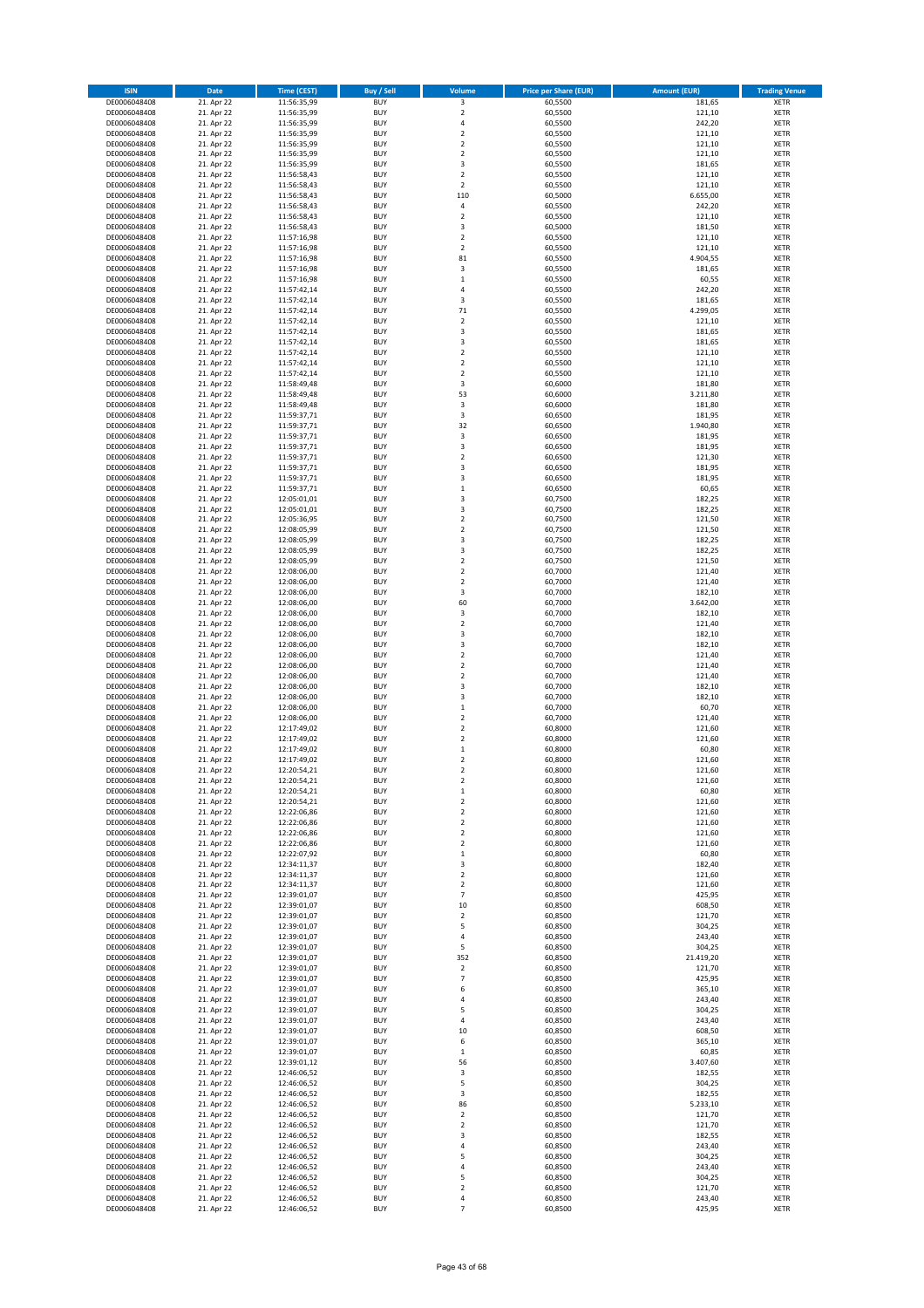| <b>ISIN</b>                  | <b>Date</b>              | <b>Time (CEST)</b>         | Buy / Sell               | Volume                       | <b>Price per Share (EUR)</b> | <b>Amount (EUR)</b> | <b>Trading Venue</b>       |
|------------------------------|--------------------------|----------------------------|--------------------------|------------------------------|------------------------------|---------------------|----------------------------|
| DE0006048408                 | 21. Apr 22               | 11:56:35,99                | <b>BUY</b>               | 3                            | 60,5500                      | 181,65              | XETR                       |
| DE0006048408                 | 21. Apr 22               | 11:56:35,99                | <b>BUY</b>               | $\mathbf 2$                  | 60,5500                      | 121,10              | XETR                       |
| DE0006048408<br>DE0006048408 | 21. Apr 22<br>21. Apr 22 | 11:56:35,99<br>11:56:35,99 | <b>BUY</b><br><b>BUY</b> | 4<br>$\mathbf 2$             | 60,5500<br>60,5500           | 242,20<br>121,10    | XETR<br>XETR               |
| DE0006048408                 | 21. Apr 22               | 11:56:35,99                | <b>BUY</b>               | $\mathbf 2$                  | 60,5500                      | 121,10              | XETR                       |
| DE0006048408                 | 21. Apr 22               | 11:56:35,99                | <b>BUY</b>               | $\overline{2}$               | 60,5500                      | 121,10              | <b>XETR</b>                |
| DE0006048408                 | 21. Apr 22               | 11:56:35,99                | <b>BUY</b>               | 3                            | 60,5500                      | 181,65              | <b>XETR</b>                |
| DE0006048408                 | 21. Apr 22               | 11:56:58,43                | <b>BUY</b>               | $\overline{\mathbf{c}}$      | 60,5500                      | 121,10              | <b>XETR</b>                |
| DE0006048408<br>DE0006048408 | 21. Apr 22<br>21. Apr 22 | 11:56:58,43                | <b>BUY</b><br><b>BUY</b> | $\mathbf 2$<br>110           | 60,5500<br>60,5000           | 121,10<br>6.655,00  | <b>XETR</b><br><b>XETR</b> |
| DE0006048408                 | 21. Apr 22               | 11:56:58,43<br>11:56:58,43 | <b>BUY</b>               | 4                            | 60,5500                      | 242,20              | <b>XETR</b>                |
| DE0006048408                 | 21. Apr 22               | 11:56:58,43                | <b>BUY</b>               | $\overline{\mathbf{c}}$      | 60,5500                      | 121,10              | <b>XETR</b>                |
| DE0006048408                 | 21. Apr 22               | 11:56:58,43                | <b>BUY</b>               | 3                            | 60,5000                      | 181,50              | XETR                       |
| DE0006048408                 | 21. Apr 22               | 11:57:16,98                | <b>BUY</b>               | $\overline{\mathbf{c}}$      | 60,5500                      | 121,10              | <b>XETR</b>                |
| DE0006048408                 | 21. Apr 22               | 11:57:16,98                | <b>BUY</b>               | $\mathbf 2$                  | 60,5500                      | 121,10              | XETR                       |
| DE0006048408<br>DE0006048408 | 21. Apr 22<br>21. Apr 22 | 11:57:16,98<br>11:57:16,98 | <b>BUY</b><br><b>BUY</b> | 81<br>3                      | 60,5500<br>60,5500           | 4.904,55<br>181,65  | <b>XETR</b><br>XETR        |
| DE0006048408                 | 21. Apr 22               | 11:57:16,98                | <b>BUY</b>               | $\mathbf 1$                  | 60,5500                      | 60,55               | <b>XETR</b>                |
| DE0006048408                 | 21. Apr 22               | 11:57:42,14                | <b>BUY</b>               | 4                            | 60,5500                      | 242,20              | XETR                       |
| DE0006048408                 | 21. Apr 22               | 11:57:42,14                | <b>BUY</b>               | 3                            | 60,5500                      | 181,65              | <b>XETR</b>                |
| DE0006048408                 | 21. Apr 22<br>21. Apr 22 | 11:57:42,14                | <b>BUY</b><br><b>BUY</b> | 71<br>$\mathbf 2$            | 60,5500<br>60,5500           | 4.299,05<br>121,10  | XETR<br>XETR               |
| DE0006048408<br>DE0006048408 | 21. Apr 22               | 11:57:42,14<br>11:57:42,14 | <b>BUY</b>               | 3                            | 60,5500                      | 181,65              | <b>XETR</b>                |
| DE0006048408                 | 21. Apr 22               | 11:57:42,14                | <b>BUY</b>               | 3                            | 60,5500                      | 181,65              | <b>XETR</b>                |
| DE0006048408                 | 21. Apr 22               | 11:57:42,14                | <b>BUY</b>               | $\overline{\mathbf{c}}$      | 60,5500                      | 121,10              | <b>XETR</b>                |
| DE0006048408                 | 21. Apr 22               | 11:57:42,14                | <b>BUY</b>               | $\overline{\mathbf{c}}$      | 60,5500                      | 121,10              | <b>XETR</b>                |
| DE0006048408                 | 21. Apr 22               | 11:57:42,14                | <b>BUY</b>               | $\overline{\mathbf{c}}$      | 60,5500                      | 121,10              | <b>XETR</b>                |
| DE0006048408<br>DE0006048408 | 21. Apr 22<br>21. Apr 22 | 11:58:49,48<br>11:58:49,48 | <b>BUY</b><br><b>BUY</b> | 3<br>53                      | 60,6000<br>60,6000           | 181,80<br>3.211,80  | <b>XETR</b><br><b>XETR</b> |
| DE0006048408                 | 21. Apr 22               | 11:58:49,48                | <b>BUY</b>               | 3                            | 60,6000                      | 181,80              | <b>XETR</b>                |
| DE0006048408                 | 21. Apr 22               | 11:59:37,71                | <b>BUY</b>               | 3                            | 60,6500                      | 181,95              | <b>XETR</b>                |
| DE0006048408                 | 21. Apr 22               | 11:59:37,71                | <b>BUY</b>               | 32                           | 60,6500                      | 1.940,80            | <b>XETR</b>                |
| DE0006048408                 | 21. Apr 22               | 11:59:37,71                | <b>BUY</b>               | 3                            | 60,6500                      | 181,95              | <b>XETR</b>                |
| DE0006048408<br>DE0006048408 | 21. Apr 22<br>21. Apr 22 | 11:59:37,71<br>11:59:37,71 | <b>BUY</b><br><b>BUY</b> | 3<br>$\overline{\mathbf{c}}$ | 60,6500<br>60,6500           | 181,95<br>121,30    | XETR<br><b>XETR</b>        |
| DE0006048408                 | 21. Apr 22               | 11:59:37,71                | <b>BUY</b>               | 3                            | 60,6500                      | 181,95              | XETR                       |
| DE0006048408                 | 21. Apr 22               | 11:59:37,71                | <b>BUY</b>               | 3                            | 60,6500                      | 181,95              | <b>XETR</b>                |
| DE0006048408                 | 21. Apr 22               | 11:59:37,71                | <b>BUY</b>               | $\mathbf 1$                  | 60,6500                      | 60,65               | XETR                       |
| DE0006048408                 | 21. Apr 22               | 12:05:01,01                | <b>BUY</b>               | 3                            | 60,7500                      | 182,25              | <b>XETR</b>                |
| DE0006048408<br>DE0006048408 | 21. Apr 22<br>21. Apr 22 | 12:05:01,01<br>12:05:36,95 | <b>BUY</b><br><b>BUY</b> | 3<br>$\mathbf 2$             | 60,7500<br>60,7500           | 182,25<br>121,50    | <b>XETR</b><br><b>XETR</b> |
| DE0006048408                 | 21. Apr 22               | 12:08:05,99                | <b>BUY</b>               | $\mathbf 2$                  | 60,7500                      | 121,50              | <b>XETR</b>                |
| DE0006048408                 | 21. Apr 22               | 12:08:05,99                | <b>BUY</b>               | 3                            | 60,7500                      | 182,25              | <b>XETR</b>                |
| DE0006048408                 | 21. Apr 22               | 12:08:05,99                | <b>BUY</b>               | 3                            | 60,7500                      | 182,25              | <b>XETR</b>                |
| DE0006048408                 | 21. Apr 22               | 12:08:05,99                | <b>BUY</b>               | $\mathbf 2$                  | 60,7500                      | 121,50              | <b>XETR</b>                |
| DE0006048408                 | 21. Apr 22               | 12:08:06,00                | <b>BUY</b>               | $\mathbf 2$                  | 60,7000                      | 121,40              | XETR                       |
| DE0006048408<br>DE0006048408 | 21. Apr 22<br>21. Apr 22 | 12:08:06,00<br>12:08:06,00 | <b>BUY</b><br><b>BUY</b> | 2<br>3                       | 60,7000<br>60,7000           | 121,40<br>182,10    | XETR<br><b>XETR</b>        |
| DE0006048408                 | 21. Apr 22               | 12:08:06,00                | <b>BUY</b>               | 60                           | 60,7000                      | 3.642,00            | <b>XETR</b>                |
| DE0006048408                 | 21. Apr 22               | 12:08:06,00                | <b>BUY</b>               | 3                            | 60,7000                      | 182,10              | <b>XETR</b>                |
| DE0006048408                 | 21. Apr 22               | 12:08:06,00                | <b>BUY</b>               | 2                            | 60,7000                      | 121,40              | <b>XETR</b>                |
| DE0006048408                 | 21. Apr 22               | 12:08:06,00                | <b>BUY</b><br><b>BUY</b> | 3<br>3                       | 60,7000                      | 182,10              | <b>XETR</b>                |
| DE0006048408<br>DE0006048408 | 21. Apr 22<br>21. Apr 22 | 12:08:06,00<br>12:08:06,00 | <b>BUY</b>               | $\mathbf 2$                  | 60,7000<br>60,7000           | 182,10<br>121,40    | <b>XETR</b><br>XETR        |
| DE0006048408                 | 21. Apr 22               | 12:08:06,00                | <b>BUY</b>               | $\mathbf 2$                  | 60,7000                      | 121,40              | XETR                       |
| DE0006048408                 | 21. Apr 22               | 12:08:06,00                | <b>BUY</b>               | $\mathbf 2$                  | 60,7000                      | 121,40              | <b>XETR</b>                |
| DE0006048408                 | 21. Apr 22               | 12:08:06,00                | <b>BUY</b>               | 3                            | 60,7000                      | 182,10              | <b>XETR</b>                |
| DE0006048408                 | 21. Apr 22               | 12:08:06,00                | <b>BUY</b>               | 3                            | 60,7000                      | 182,10              | <b>XETR</b>                |
| DE0006048408<br>DE0006048408 | 21. Apr 22<br>21. Apr 22 | 12:08:06,00<br>12:08:06,00 | <b>BUY</b><br><b>BUY</b> | $\mathbf 1$<br>$\mathbf 2$   | 60,7000<br>60,7000           | 60,70<br>121,40     | XETR<br><b>XETR</b>        |
| DE0006048408                 | 21. Apr 22               | 12:17:49,02                | <b>BUY</b>               | $\mathbf 2$                  | 60,8000                      | 121,60              | XETR                       |
| DE0006048408                 | 21. Apr 22               | 12:17:49,02                | <b>BUY</b>               | $\mathbf 2$                  | 60,8000                      | 121,60              | <b>XETR</b>                |
| DE0006048408                 | 21. Apr 22               | 12:17:49,02                | <b>BUY</b>               | $\mathbf 1$                  | 60,8000                      | 60,80               | XETR                       |
| DE0006048408                 | 21. Apr 22               | 12:17:49,02                | <b>BUY</b><br><b>BUY</b> | $\mathbf 2$                  | 60,8000                      | 121,60              | <b>XETR</b>                |
| DE0006048408<br>DE0006048408 | 21. Apr 22<br>21. Apr 22 | 12:20:54,21<br>12:20:54,21 | <b>BUY</b>               | $\mathbf 2$<br>2             | 60,8000<br>60,8000           | 121,60<br>121,60    | XETR<br>XETR               |
| DE0006048408                 | 21. Apr 22               | 12:20:54,21                | <b>BUY</b>               | $\mathbf 1$                  | 60,8000                      | 60,80               | XETR                       |
| DE0006048408                 | 21. Apr 22               | 12:20:54,21                | <b>BUY</b>               | $\mathbf 2$                  | 60,8000                      | 121,60              | XETR                       |
| DE0006048408                 | 21. Apr 22               | 12:22:06,86                | <b>BUY</b>               | $\mathbf 2$                  | 60,8000                      | 121,60              | XETR                       |
| DE0006048408                 | 21. Apr 22<br>21. Apr 22 | 12:22:06,86                | <b>BUY</b>               | $\mathbf 2$                  | 60,8000                      | 121,60              | <b>XETR</b>                |
| DE0006048408<br>DE0006048408 | 21. Apr 22               | 12:22:06,86<br>12:22:06,86 | <b>BUY</b><br><b>BUY</b> | 2<br>$\overline{\mathbf{c}}$ | 60,8000<br>60,8000           | 121,60<br>121,60    | XETR<br><b>XETR</b>        |
| DE0006048408                 | 21. Apr 22               | 12:22:07,92                | <b>BUY</b>               | $\mathbf 1$                  | 60,8000                      | 60,80               | XETR                       |
| DE0006048408                 | 21. Apr 22               | 12:34:11,37                | <b>BUY</b>               | 3                            | 60,8000                      | 182,40              | <b>XETR</b>                |
| DE0006048408                 | 21. Apr 22               | 12:34:11,37                | <b>BUY</b>               | $\mathbf 2$                  | 60,8000                      | 121,60              | XETR                       |
| DE0006048408<br>DE0006048408 | 21. Apr 22<br>21. Apr 22 | 12:34:11,37<br>12:39:01,07 | <b>BUY</b><br><b>BUY</b> | 2<br>$\overline{7}$          | 60,8000<br>60,8500           | 121,60<br>425,95    | <b>XETR</b><br>XETR        |
| DE0006048408                 | 21. Apr 22               | 12:39:01,07                | <b>BUY</b>               | 10                           | 60,8500                      | 608,50              | <b>XETR</b>                |
| DE0006048408                 | 21. Apr 22               | 12:39:01,07                | <b>BUY</b>               | $\boldsymbol{2}$             | 60,8500                      | 121,70              | XETR                       |
| DE0006048408                 | 21. Apr 22               | 12:39:01,07                | <b>BUY</b>               | 5                            | 60,8500                      | 304,25              | <b>XETR</b>                |
| DE0006048408                 | 21. Apr 22               | 12:39:01,07                | <b>BUY</b>               | 4                            | 60,8500                      | 243,40              | XETR                       |
| DE0006048408<br>DE0006048408 | 21. Apr 22<br>21. Apr 22 | 12:39:01,07<br>12:39:01,07 | <b>BUY</b><br><b>BUY</b> | 5<br>352                     | 60,8500<br>60,8500           | 304,25<br>21.419,20 | <b>XETR</b><br><b>XETR</b> |
| DE0006048408                 | 21. Apr 22               | 12:39:01,07                | <b>BUY</b>               | 2                            | 60,8500                      | 121,70              | <b>XETR</b>                |
| DE0006048408                 | 21. Apr 22               | 12:39:01,07                | <b>BUY</b>               | 7                            | 60,8500                      | 425,95              | XETR                       |
| DE0006048408                 | 21. Apr 22               | 12:39:01,07                | <b>BUY</b>               | 6                            | 60,8500                      | 365,10              | <b>XETR</b>                |
| DE0006048408                 | 21. Apr 22               | 12:39:01,07                | <b>BUY</b>               | 4                            | 60,8500                      | 243,40              | <b>XETR</b>                |
| DE0006048408<br>DE0006048408 | 21. Apr 22<br>21. Apr 22 | 12:39:01,07<br>12:39:01,07 | <b>BUY</b><br><b>BUY</b> | 5<br>4                       | 60,8500<br>60,8500           | 304,25<br>243,40    | XETR<br><b>XETR</b>        |
| DE0006048408                 | 21. Apr 22               | 12:39:01,07                | <b>BUY</b>               | 10                           | 60,8500                      | 608,50              | XETR                       |
| DE0006048408                 | 21. Apr 22               | 12:39:01,07                | <b>BUY</b>               | 6                            | 60,8500                      | 365,10              | <b>XETR</b>                |
| DE0006048408                 | 21. Apr 22               | 12:39:01,07                | <b>BUY</b>               | 1                            | 60,8500                      | 60,85               | XETR                       |
| DE0006048408                 | 21. Apr 22               | 12:39:01,12                | <b>BUY</b>               | 56                           | 60,8500                      | 3.407,60            | <b>XETR</b>                |
| DE0006048408                 | 21. Apr 22               | 12:46:06,52                | <b>BUY</b><br><b>BUY</b> | 3                            | 60,8500                      | 182,55              | XETR<br><b>XETR</b>        |
| DE0006048408<br>DE0006048408 | 21. Apr 22<br>21. Apr 22 | 12:46:06,52<br>12:46:06,52 | <b>BUY</b>               | 5<br>3                       | 60,8500<br>60,8500           | 304,25<br>182,55    | XETR                       |
| DE0006048408                 | 21. Apr 22               | 12:46:06,52                | <b>BUY</b>               | 86                           | 60,8500                      | 5.233,10            | <b>XETR</b>                |
| DE0006048408                 | 21. Apr 22               | 12:46:06,52                | <b>BUY</b>               | $\mathbf 2$                  | 60,8500                      | 121,70              | XETR                       |
| DE0006048408                 | 21. Apr 22               | 12:46:06,52                | <b>BUY</b>               | $\overline{\mathbf{c}}$      | 60,8500                      | 121,70              | <b>XETR</b>                |
| DE0006048408<br>DE0006048408 | 21. Apr 22<br>21. Apr 22 | 12:46:06,52<br>12:46:06,52 | <b>BUY</b><br><b>BUY</b> | 3<br>4                       | 60,8500<br>60,8500           | 182,55<br>243,40    | <b>XETR</b><br><b>XETR</b> |
| DE0006048408                 | 21. Apr 22               | 12:46:06,52                | <b>BUY</b>               | 5                            | 60,8500                      | 304,25              | XETR                       |
| DE0006048408                 | 21. Apr 22               | 12:46:06,52                | <b>BUY</b>               | 4                            | 60,8500                      | 243,40              | <b>XETR</b>                |
| DE0006048408                 | 21. Apr 22               | 12:46:06,52                | <b>BUY</b>               | 5                            | 60,8500                      | 304,25              | XETR                       |
| DE0006048408                 | 21. Apr 22               | 12:46:06,52                | <b>BUY</b>               | $\mathbf 2$                  | 60,8500                      | 121,70              | <b>XETR</b>                |
| DE0006048408<br>DE0006048408 | 21. Apr 22<br>21. Apr 22 | 12:46:06,52<br>12:46:06,52 | <b>BUY</b><br><b>BUY</b> | 4<br>$\overline{7}$          | 60,8500<br>60,8500           | 243,40<br>425,95    | XETR<br>XETR               |
|                              |                          |                            |                          |                              |                              |                     |                            |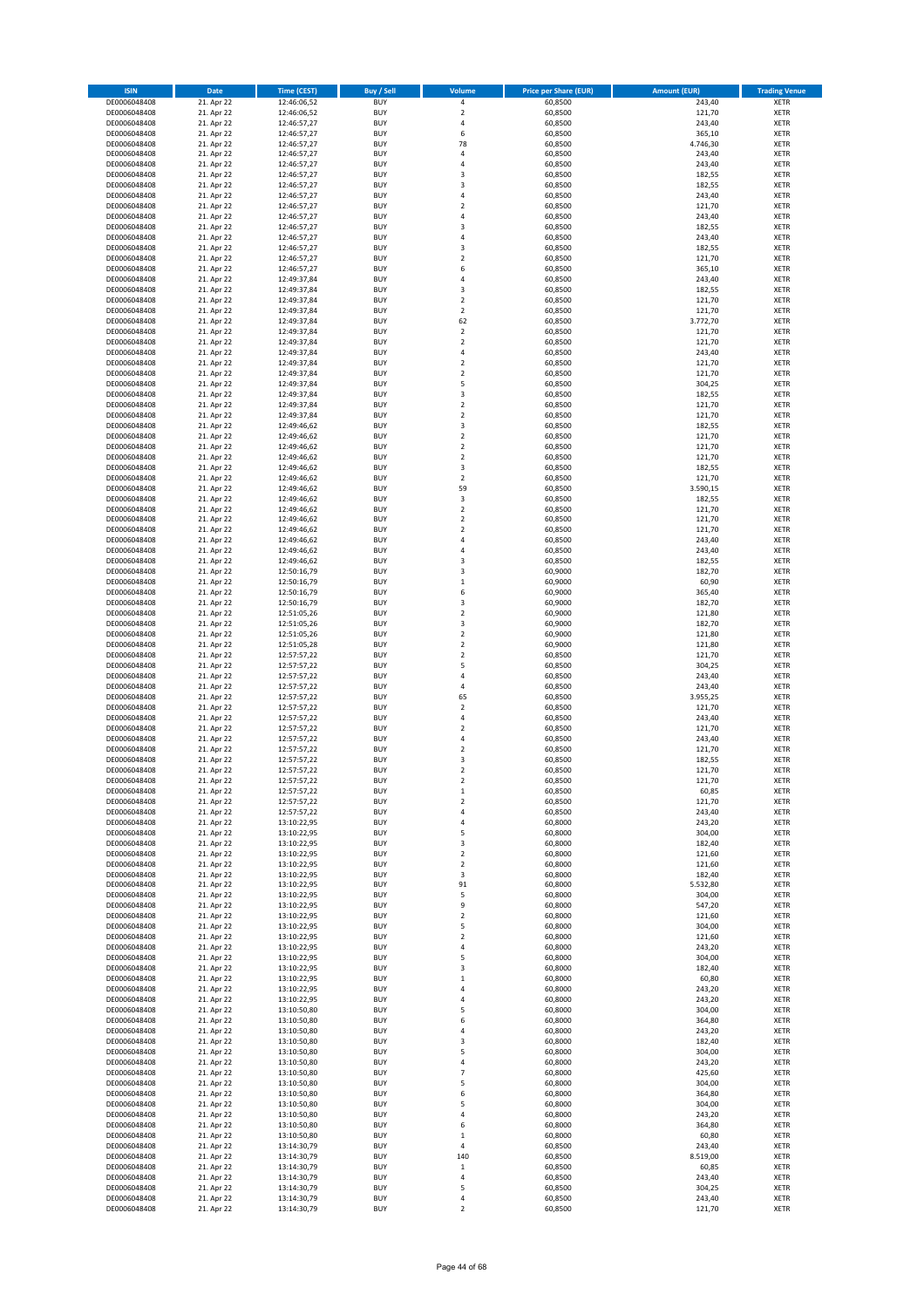| <b>ISIN</b>                  | <b>Date</b>              | <b>Time (CEST)</b>         | Buy / Sell               | Volume                        | <b>Price per Share (EUR)</b> | <b>Amount (EUR)</b> | <b>Trading Venue</b>       |
|------------------------------|--------------------------|----------------------------|--------------------------|-------------------------------|------------------------------|---------------------|----------------------------|
| DE0006048408                 | 21. Apr 22               | 12:46:06,52                | <b>BUY</b>               | 4                             | 60,8500                      | 243,40              | XETR                       |
| DE0006048408<br>DE0006048408 | 21. Apr 22<br>21. Apr 22 | 12:46:06,52<br>12:46:57,27 | <b>BUY</b><br><b>BUY</b> | $\mathbf 2$<br>4              | 60,8500<br>60,8500           | 121,70<br>243,40    | XETR<br>XETR               |
| DE0006048408                 | 21. Apr 22               | 12:46:57,27                | <b>BUY</b>               | 6                             | 60,8500                      | 365,10              | XETR                       |
| DE0006048408                 | 21. Apr 22               | 12:46:57,27                | <b>BUY</b>               | 78                            | 60,8500                      | 4.746,30            | XETR                       |
| DE0006048408                 | 21. Apr 22               | 12:46:57,27                | <b>BUY</b>               | $\overline{4}$                | 60,8500                      | 243,40              | <b>XETR</b>                |
| DE0006048408<br>DE0006048408 | 21. Apr 22<br>21. Apr 22 | 12:46:57,27<br>12:46:57,27 | <b>BUY</b><br><b>BUY</b> | 4<br>$\overline{\mathbf{3}}$  | 60,8500<br>60,8500           | 243,40<br>182,55    | <b>XETR</b><br><b>XETR</b> |
| DE0006048408                 | 21. Apr 22               | 12:46:57,27                | <b>BUY</b>               | 3                             | 60,8500                      | 182,55              | <b>XETR</b>                |
| DE0006048408                 | 21. Apr 22               | 12:46:57,27                | <b>BUY</b>               | 4                             | 60,8500                      | 243,40              | <b>XETR</b>                |
| DE0006048408                 | 21. Apr 22               | 12:46:57,27                | <b>BUY</b>               | $\overline{\mathbf{c}}$       | 60,8500                      | 121,70              | XETR                       |
| DE0006048408<br>DE0006048408 | 21. Apr 22<br>21. Apr 22 | 12:46:57,27<br>12:46:57,27 | <b>BUY</b><br><b>BUY</b> | 4<br>3                        | 60,8500<br>60,8500           | 243,40<br>182,55    | <b>XETR</b><br>XETR        |
| DE0006048408                 | 21. Apr 22               | 12:46:57,27                | <b>BUY</b>               | 4                             | 60,8500                      | 243,40              | <b>XETR</b>                |
| DE0006048408                 | 21. Apr 22               | 12:46:57,27                | <b>BUY</b>               | 3                             | 60,8500                      | 182,55              | XETR                       |
| DE0006048408                 | 21. Apr 22               | 12:46:57,27                | <b>BUY</b>               | $\overline{\mathbf{c}}$       | 60,8500                      | 121,70              | <b>XETR</b>                |
| DE0006048408<br>DE0006048408 | 21. Apr 22<br>21. Apr 22 | 12:46:57,27<br>12:49:37,84 | <b>BUY</b><br><b>BUY</b> | 6<br>4                        | 60,8500<br>60,8500           | 365,10<br>243,40    | XETR<br><b>XETR</b>        |
| DE0006048408                 | 21. Apr 22               | 12:49:37,84                | <b>BUY</b>               | 3                             | 60,8500                      | 182,55              | XETR                       |
| DE0006048408                 | 21. Apr 22               | 12:49:37,84                | <b>BUY</b>               | $\overline{\mathbf{c}}$       | 60,8500                      | 121,70              | <b>XETR</b>                |
| DE0006048408                 | 21. Apr 22               | 12:49:37,84                | <b>BUY</b>               | $\overline{\mathbf{c}}$       | 60,8500                      | 121,70              | XETR                       |
| DE0006048408<br>DE0006048408 | 21. Apr 22<br>21. Apr 22 | 12:49:37,84<br>12:49:37,84 | <b>BUY</b><br><b>BUY</b> | 62<br>$\overline{\mathbf{c}}$ | 60,8500<br>60,8500           | 3.772,70<br>121,70  | XETR<br><b>XETR</b>        |
| DE0006048408                 | 21. Apr 22               | 12:49:37,84                | <b>BUY</b>               | $\mathbf 2$                   | 60,8500                      | 121,70              | <b>XETR</b>                |
| DE0006048408                 | 21. Apr 22               | 12:49:37,84                | <b>BUY</b>               | 4                             | 60,8500                      | 243,40              | <b>XETR</b>                |
| DE0006048408                 | 21. Apr 22               | 12:49:37,84                | <b>BUY</b>               | $\overline{\mathbf{c}}$       | 60,8500                      | 121,70              | <b>XETR</b>                |
| DE0006048408<br>DE0006048408 | 21. Apr 22<br>21. Apr 22 | 12:49:37,84<br>12:49:37,84 | <b>BUY</b><br><b>BUY</b> | $\overline{\mathbf{c}}$<br>5  | 60,8500<br>60,8500           | 121,70<br>304,25    | <b>XETR</b><br><b>XETR</b> |
| DE0006048408                 | 21. Apr 22               | 12:49:37,84                | <b>BUY</b>               | 3                             | 60,8500                      | 182,55              | XETR                       |
| DE0006048408                 | 21. Apr 22               | 12:49:37,84                | <b>BUY</b>               | $\mathbf 2$                   | 60,8500                      | 121,70              | <b>XETR</b>                |
| DE0006048408                 | 21. Apr 22               | 12:49:37,84                | <b>BUY</b>               | $\mathbf 2$                   | 60,8500                      | 121,70              | <b>XETR</b>                |
| DE0006048408<br>DE0006048408 | 21. Apr 22<br>21. Apr 22 | 12:49:46,62<br>12:49:46,62 | <b>BUY</b><br><b>BUY</b> | 3<br>$\overline{\mathbf{c}}$  | 60,8500<br>60,8500           | 182,55<br>121,70    | <b>XETR</b><br><b>XETR</b> |
| DE0006048408                 | 21. Apr 22               | 12:49:46,62                | <b>BUY</b>               | $\mathbf 2$                   | 60,8500                      | 121,70              | XETR                       |
| DE0006048408                 | 21. Apr 22               | 12:49:46,62                | <b>BUY</b>               | $\overline{\mathbf{c}}$       | 60,8500                      | 121,70              | <b>XETR</b>                |
| DE0006048408                 | 21. Apr 22               | 12:49:46,62                | <b>BUY</b>               | 3                             | 60,8500                      | 182,55              | XETR                       |
| DE0006048408<br>DE0006048408 | 21. Apr 22<br>21. Apr 22 | 12:49:46,62<br>12:49:46,62 | <b>BUY</b><br><b>BUY</b> | $\overline{2}$<br>59          | 60,8500<br>60,8500           | 121,70<br>3.590,15  | <b>XETR</b><br>XETR        |
| DE0006048408                 | 21. Apr 22               | 12:49:46,62                | <b>BUY</b>               | 3                             | 60,8500                      | 182,55              | <b>XETR</b>                |
| DE0006048408                 | 21. Apr 22               | 12:49:46,62                | <b>BUY</b>               | $\mathbf 2$                   | 60,8500                      | 121,70              | <b>XETR</b>                |
| DE0006048408                 | 21. Apr 22               | 12:49:46,62                | <b>BUY</b>               | $\mathbf 2$                   | 60,8500                      | 121,70              | <b>XETR</b>                |
| DE0006048408<br>DE0006048408 | 21. Apr 22<br>21. Apr 22 | 12:49:46,62<br>12:49:46,62 | <b>BUY</b><br><b>BUY</b> | $\mathbf 2$<br>$\overline{4}$ | 60,8500<br>60,8500           | 121,70<br>243,40    | <b>XETR</b><br><b>XETR</b> |
| DE0006048408                 | 21. Apr 22               | 12:49:46,62                | <b>BUY</b>               | 4                             | 60,8500                      | 243,40              | XETR                       |
| DE0006048408                 | 21. Apr 22               | 12:49:46,62                | <b>BUY</b>               | 3                             | 60,8500                      | 182,55              | <b>XETR</b>                |
| DE0006048408                 | 21. Apr 22               | 12:50:16,79                | <b>BUY</b>               | 3                             | 60,9000                      | 182,70              | XETR                       |
| DE0006048408<br>DE0006048408 | 21. Apr 22<br>21. Apr 22 | 12:50:16,79<br>12:50:16,79 | <b>BUY</b><br><b>BUY</b> | $\mathbf 1$<br>6              | 60,9000<br>60,9000           | 60,90<br>365,40     | XETR<br><b>XETR</b>        |
| DE0006048408                 | 21. Apr 22               | 12:50:16,79                | <b>BUY</b>               | 3                             | 60,9000                      | 182,70              | <b>XETR</b>                |
| DE0006048408                 | 21. Apr 22               | 12:51:05,26                | <b>BUY</b>               | $\mathbf 2$                   | 60,9000                      | 121,80              | XETR                       |
| DE0006048408                 | 21. Apr 22               | 12:51:05,26                | <b>BUY</b>               | 3                             | 60,9000                      | 182,70              | <b>XETR</b>                |
| DE0006048408<br>DE0006048408 | 21. Apr 22<br>21. Apr 22 | 12:51:05,26<br>12:51:05,28 | <b>BUY</b><br><b>BUY</b> | $\mathbf 2$<br>$\mathbf 2$    | 60,9000<br>60,9000           | 121,80<br>121,80    | <b>XETR</b><br><b>XETR</b> |
| DE0006048408                 | 21. Apr 22               | 12:57:57,22                | <b>BUY</b>               | $\mathbf 2$                   | 60,8500                      | 121,70              | XETR                       |
| DE0006048408                 | 21. Apr 22               | 12:57:57,22                | <b>BUY</b>               | 5                             | 60,8500                      | 304,25              | XETR                       |
| DE0006048408                 | 21. Apr 22               | 12:57:57,22                | <b>BUY</b>               | $\overline{4}$                | 60,8500                      | 243,40              | <b>XETR</b>                |
| DE0006048408<br>DE0006048408 | 21. Apr 22<br>21. Apr 22 | 12:57:57,22<br>12:57:57,22 | <b>BUY</b><br><b>BUY</b> | 4<br>65                       | 60,8500<br>60,8500           | 243,40<br>3.955,25  | <b>XETR</b><br><b>XETR</b> |
| DE0006048408                 | 21. Apr 22               | 12:57:57,22                | <b>BUY</b>               | $\mathbf 2$                   | 60,8500                      | 121,70              | XETR                       |
| DE0006048408                 | 21. Apr 22               | 12:57:57,22                | <b>BUY</b>               | 4                             | 60,8500                      | 243,40              | <b>XETR</b>                |
| DE0006048408<br>DE0006048408 | 21. Apr 22<br>21. Apr 22 | 12:57:57,22<br>12:57:57,22 | <b>BUY</b><br><b>BUY</b> | $\mathbf 2$<br>4              | 60,8500<br>60,8500           | 121,70<br>243,40    | XETR<br><b>XETR</b>        |
| DE0006048408                 | 21. Apr 22               | 12:57:57,22                | <b>BUY</b>               | $\mathbf 2$                   | 60,8500                      | 121,70              | XETR                       |
| DE0006048408                 | 21. Apr 22               | 12:57:57,22                | <b>BUY</b>               | 3                             | 60,8500                      | 182,55              | <b>XETR</b>                |
| DE0006048408                 | 21. Apr 22               | 12:57:57,22                | <b>BUY</b>               | $\mathbf 2$                   | 60,8500                      | 121,70              | XETR                       |
| DE0006048408<br>DE0006048408 | 21. Apr 22<br>21. Apr 22 | 12:57:57,22<br>12:57:57,22 | <b>BUY</b><br><b>BUY</b> | 2<br>$\mathbf 1$              | 60,8500<br>60,8500           | 121,70<br>60,85     | XETR<br>XETR               |
| DE0006048408                 | 21. Apr 22               | 12:57:57,22                | <b>BUY</b>               | $\mathbf 2$                   | 60,8500                      | 121,70              | XETR                       |
| DE0006048408                 | 21. Apr 22               | 12:57:57,22                | <b>BUY</b>               | 4                             | 60,8500                      | 243,40              | XETR                       |
| DE0006048408                 | 21. Apr 22<br>21. Apr 22 | 13:10:22,95                | <b>BUY</b>               | 4                             | 60,8000                      | 243,20              | <b>XETR</b>                |
| DE0006048408<br>DE0006048408 | 21. Apr 22               | 13:10:22,95<br>13:10:22,95 | <b>BUY</b><br><b>BUY</b> | 5<br>3                        | 60,8000<br>60,8000           | 304,00<br>182,40    | XETR<br><b>XETR</b>        |
| DE0006048408                 | 21. Apr 22               | 13:10:22,95                | <b>BUY</b>               | $\mathbf 2$                   | 60,8000                      | 121,60              | XETR                       |
| DE0006048408                 | 21. Apr 22<br>21. Apr 22 | 13:10:22,95<br>13:10:22,95 | <b>BUY</b>               | $\mathbf 2$                   | 60,8000                      | 121,60              | <b>XETR</b>                |
| DE0006048408<br>DE0006048408 | 21. Apr 22               | 13:10:22,95                | <b>BUY</b><br><b>BUY</b> | 3<br>91                       | 60,8000<br>60,8000           | 182,40<br>5.532,80  | XETR<br><b>XETR</b>        |
| DE0006048408                 | 21. Apr 22               | 13:10:22,95                | <b>BUY</b>               | 5                             | 60,8000                      | 304,00              | XETR                       |
| DE0006048408                 | 21. Apr 22               | 13:10:22,95                | <b>BUY</b>               | 9                             | 60,8000                      | 547,20              | <b>XETR</b>                |
| DE0006048408<br>DE0006048408 | 21. Apr 22<br>21. Apr 22 | 13:10:22,95<br>13:10:22,95 | <b>BUY</b>               | $\boldsymbol{2}$              | 60,8000                      | 121,60              | XETR                       |
| DE0006048408                 | 21. Apr 22               | 13:10:22,95                | <b>BUY</b><br><b>BUY</b> | 5<br>$\mathbf 2$              | 60,8000<br>60,8000           | 304,00<br>121,60    | <b>XETR</b><br>XETR        |
| DE0006048408                 | 21. Apr 22               | 13:10:22,95                | <b>BUY</b>               | 4                             | 60,8000                      | 243,20              | <b>XETR</b>                |
| DE0006048408                 | 21. Apr 22               | 13:10:22,95                | <b>BUY</b>               | 5                             | 60,8000                      | 304,00              | <b>XETR</b>                |
| DE0006048408                 | 21. Apr 22               | 13:10:22,95                | <b>BUY</b>               | 3                             | 60,8000                      | 182,40              | <b>XETR</b>                |
| DE0006048408<br>DE0006048408 | 21. Apr 22<br>21. Apr 22 | 13:10:22,95<br>13:10:22,95 | <b>BUY</b><br><b>BUY</b> | $\mathbf 1$<br>4              | 60,8000<br>60,8000           | 60,80<br>243,20     | XETR<br><b>XETR</b>        |
| DE0006048408                 | 21. Apr 22               | 13:10:22,95                | <b>BUY</b>               | 4                             | 60,8000                      | 243,20              | <b>XETR</b>                |
| DE0006048408                 | 21. Apr 22               | 13:10:50,80                | <b>BUY</b>               | 5                             | 60,8000                      | 304,00              | XETR                       |
| DE0006048408<br>DE0006048408 | 21. Apr 22<br>21. Apr 22 | 13:10:50,80<br>13:10:50,80 | <b>BUY</b><br><b>BUY</b> | 6<br>4                        | 60,8000<br>60,8000           | 364,80<br>243,20    | <b>XETR</b><br>XETR        |
| DE0006048408                 | 21. Apr 22               | 13:10:50,80                | <b>BUY</b>               | 3                             | 60,8000                      | 182,40              | <b>XETR</b>                |
| DE0006048408                 | 21. Apr 22               | 13:10:50,80                | <b>BUY</b>               | 5                             | 60,8000                      | 304,00              | XETR                       |
| DE0006048408                 | 21. Apr 22               | 13:10:50,80                | <b>BUY</b>               | 4                             | 60,8000                      | 243,20              | <b>XETR</b>                |
| DE0006048408<br>DE0006048408 | 21. Apr 22<br>21. Apr 22 | 13:10:50,80<br>13:10:50,80 | <b>BUY</b><br><b>BUY</b> | 7<br>5                        | 60,8000<br>60,8000           | 425,60<br>304,00    | XETR<br><b>XETR</b>        |
| DE0006048408                 | 21. Apr 22               | 13:10:50,80                | <b>BUY</b>               | 6                             | 60,8000                      | 364,80              | XETR                       |
| DE0006048408                 | 21. Apr 22               | 13:10:50,80                | <b>BUY</b>               | 5                             | 60,8000                      | 304,00              | <b>XETR</b>                |
| DE0006048408                 | 21. Apr 22               | 13:10:50,80                | <b>BUY</b>               | 4                             | 60,8000                      | 243,20              | XETR                       |
| DE0006048408<br>DE0006048408 | 21. Apr 22<br>21. Apr 22 | 13:10:50,80<br>13:10:50,80 | <b>BUY</b><br><b>BUY</b> | 6<br>1                        | 60,8000<br>60,8000           | 364,80<br>60,80     | <b>XETR</b><br><b>XETR</b> |
| DE0006048408                 | 21. Apr 22               | 13:14:30,79                | <b>BUY</b>               | 4                             | 60,8500                      | 243,40              | <b>XETR</b>                |
| DE0006048408                 | 21. Apr 22               | 13:14:30,79                | <b>BUY</b>               | 140                           | 60,8500                      | 8.519,00            | XETR                       |
| DE0006048408<br>DE0006048408 | 21. Apr 22               | 13:14:30,79                | <b>BUY</b><br><b>BUY</b> | $\mathbf 1$                   | 60,8500                      | 60,85               | <b>XETR</b><br>XETR        |
| DE0006048408                 | 21. Apr 22<br>21. Apr 22 | 13:14:30,79<br>13:14:30,79 | <b>BUY</b>               | 4<br>5                        | 60,8500<br>60,8500           | 243,40<br>304,25    | XETR                       |
| DE0006048408                 | 21. Apr 22               | 13:14:30,79                | <b>BUY</b>               | 4                             | 60,8500                      | 243,40              | XETR                       |
| DE0006048408                 | 21. Apr 22               | 13:14:30,79                | <b>BUY</b>               | $\overline{\mathbf{c}}$       | 60,8500                      | 121,70              | XETR                       |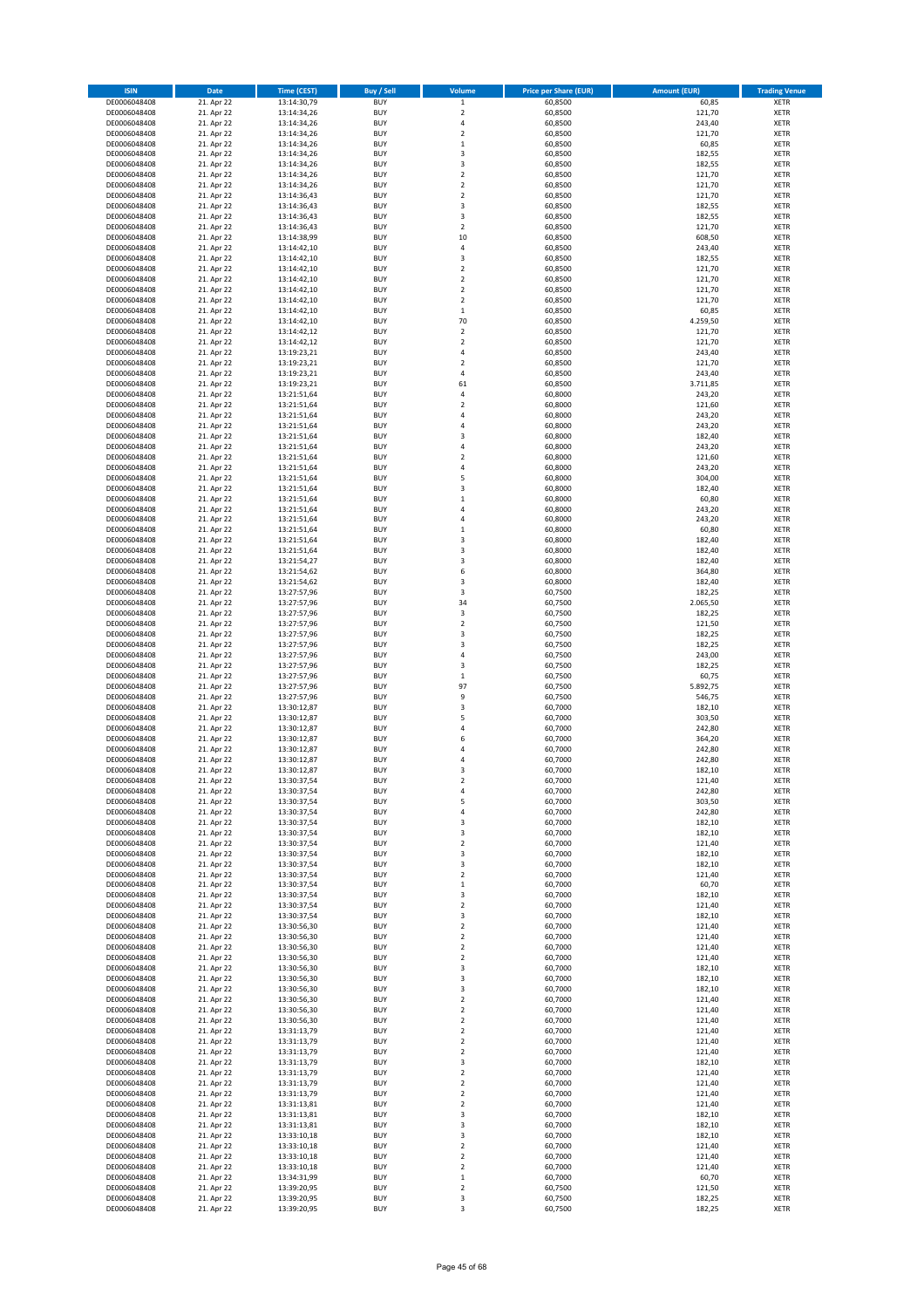| <b>ISIN</b>                  | <b>Date</b>              | Time (CEST)                | Buy / Sell               | Volume                                 | <b>Price per Share (EUR)</b> | <b>Amount (EUR)</b> | <b>Trading Venue</b>       |
|------------------------------|--------------------------|----------------------------|--------------------------|----------------------------------------|------------------------------|---------------------|----------------------------|
| DE0006048408                 | 21. Apr 22               | 13:14:30,79                | <b>BUY</b>               | $\,$ 1 $\,$                            | 60,8500                      | 60,85               | <b>XETR</b>                |
| DE0006048408                 | 21. Apr 22               | 13:14:34,26                | <b>BUY</b>               | $\mathbf 2$                            | 60,8500                      | 121,70              | XETR                       |
| DE0006048408<br>DE0006048408 | 21. Apr 22<br>21. Apr 22 | 13:14:34,26<br>13:14:34,26 | <b>BUY</b><br><b>BUY</b> | 4<br>$\mathbf 2$                       | 60,8500<br>60,8500           | 243,40<br>121,70    | XETR<br>XETR               |
| DE0006048408                 | 21. Apr 22               | 13:14:34,26                | <b>BUY</b>               | $\mathbf 1$                            | 60,8500                      | 60,85               | XETR                       |
| DE0006048408                 | 21. Apr 22               | 13:14:34,26                | <b>BUY</b>               | 3                                      | 60,8500                      | 182,55              | <b>XETR</b>                |
| DE0006048408                 | 21. Apr 22               | 13:14:34,26                | <b>BUY</b>               | 3                                      | 60,8500                      | 182,55              | <b>XETR</b>                |
| DE0006048408                 | 21. Apr 22               | 13:14:34,26                | <b>BUY</b>               | $\overline{\mathbf{c}}$                | 60,8500                      | 121,70              | <b>XETR</b>                |
| DE0006048408<br>DE0006048408 | 21. Apr 22<br>21. Apr 22 | 13:14:34,26<br>13:14:36,43 | <b>BUY</b><br><b>BUY</b> | $\mathbf 2$<br>$\overline{\mathbf{c}}$ | 60,8500<br>60,8500           | 121,70<br>121,70    | <b>XETR</b><br><b>XETR</b> |
| DE0006048408                 | 21. Apr 22               | 13:14:36,43                | <b>BUY</b>               | 3                                      | 60,8500                      | 182,55              | <b>XETR</b>                |
| DE0006048408                 | 21. Apr 22               | 13:14:36,43                | <b>BUY</b>               | 3                                      | 60,8500                      | 182,55              | <b>XETR</b>                |
| DE0006048408                 | 21. Apr 22               | 13:14:36,43                | <b>BUY</b>               | $\mathbf 2$                            | 60,8500                      | 121,70              | XETR                       |
| DE0006048408                 | 21. Apr 22               | 13:14:38,99                | <b>BUY</b>               | 10                                     | 60,8500                      | 608,50              | <b>XETR</b>                |
| DE0006048408                 | 21. Apr 22               | 13:14:42,10                | <b>BUY</b>               | 4                                      | 60,8500                      | 243,40              | XETR                       |
| DE0006048408<br>DE0006048408 | 21. Apr 22<br>21. Apr 22 | 13:14:42,10<br>13:14:42,10 | <b>BUY</b><br><b>BUY</b> | 3<br>$\mathbf 2$                       | 60,8500<br>60,8500           | 182,55<br>121,70    | <b>XETR</b><br>XETR        |
| DE0006048408                 | 21. Apr 22               | 13:14:42,10                | <b>BUY</b>               | $\overline{\mathbf{c}}$                | 60,8500                      | 121,70              | <b>XETR</b>                |
| DE0006048408                 | 21. Apr 22               | 13:14:42,10                | <b>BUY</b>               | $\mathbf 2$                            | 60,8500                      | 121,70              | XETR                       |
| DE0006048408                 | 21. Apr 22               | 13:14:42,10                | <b>BUY</b>               | $\overline{\mathbf{c}}$                | 60,8500                      | 121,70              | <b>XETR</b>                |
| DE0006048408                 | 21. Apr 22               | 13:14:42,10                | <b>BUY</b>               | $\mathbf 1$                            | 60,8500                      | 60,85               | XETR                       |
| DE0006048408<br>DE0006048408 | 21. Apr 22<br>21. Apr 22 | 13:14:42,10<br>13:14:42,12 | <b>BUY</b><br><b>BUY</b> | 70<br>$\overline{\mathbf{c}}$          | 60,8500<br>60,8500           | 4.259,50<br>121,70  | XETR<br><b>XETR</b>        |
| DE0006048408                 | 21. Apr 22               | 13:14:42,12                | <b>BUY</b>               | $\mathbf 2$                            | 60,8500                      | 121,70              | <b>XETR</b>                |
| DE0006048408                 | 21. Apr 22               | 13:19:23,21                | <b>BUY</b>               | $\overline{4}$                         | 60,8500                      | 243,40              | <b>XETR</b>                |
| DE0006048408                 | 21. Apr 22               | 13:19:23,21                | <b>BUY</b>               | $\overline{\mathbf{c}}$                | 60,8500                      | 121,70              | <b>XETR</b>                |
| DE0006048408                 | 21. Apr 22               | 13:19:23,21                | <b>BUY</b>               | $\overline{4}$                         | 60,8500                      | 243,40              | <b>XETR</b>                |
| DE0006048408<br>DE0006048408 | 21. Apr 22<br>21. Apr 22 | 13:19:23,21<br>13:21:51,64 | <b>BUY</b><br><b>BUY</b> | 61<br>4                                | 60,8500<br>60,8000           | 3.711,85<br>243,20  | <b>XETR</b><br><b>XETR</b> |
| DE0006048408                 | 21. Apr 22               | 13:21:51,64                | <b>BUY</b>               | $\mathbf 2$                            | 60,8000                      | 121,60              | XETR                       |
| DE0006048408                 | 21. Apr 22               | 13:21:51,64                | <b>BUY</b>               | $\overline{4}$                         | 60,8000                      | 243,20              | <b>XETR</b>                |
| DE0006048408                 | 21. Apr 22               | 13:21:51,64                | <b>BUY</b>               | 4                                      | 60,8000                      | 243,20              | <b>XETR</b>                |
| DE0006048408                 | 21. Apr 22               | 13:21:51,64                | <b>BUY</b>               | 3                                      | 60,8000                      | 182,40              | <b>XETR</b>                |
| DE0006048408<br>DE0006048408 | 21. Apr 22<br>21. Apr 22 | 13:21:51,64<br>13:21:51,64 | <b>BUY</b><br><b>BUY</b> | 4<br>$\mathbf 2$                       | 60,8000<br>60,8000           | 243,20<br>121,60    | XETR<br><b>XETR</b>        |
| DE0006048408                 | 21. Apr 22               | 13:21:51,64                | <b>BUY</b>               | 4                                      | 60,8000                      | 243,20              | XETR                       |
| DE0006048408                 | 21. Apr 22               | 13:21:51,64                | <b>BUY</b>               | 5                                      | 60,8000                      | 304,00              | <b>XETR</b>                |
| DE0006048408                 | 21. Apr 22               | 13:21:51,64                | <b>BUY</b>               | 3                                      | 60,8000                      | 182,40              | XETR                       |
| DE0006048408                 | 21. Apr 22               | 13:21:51,64                | <b>BUY</b>               | $\mathbf{1}$                           | 60,8000                      | 60,80               | <b>XETR</b>                |
| DE0006048408                 | 21. Apr 22               | 13:21:51,64                | <b>BUY</b>               | $\overline{a}$                         | 60,8000                      | 243,20              | <b>XETR</b>                |
| DE0006048408<br>DE0006048408 | 21. Apr 22<br>21. Apr 22 | 13:21:51,64<br>13:21:51,64 | <b>BUY</b><br><b>BUY</b> | $\overline{4}$<br>$\mathbf{1}$         | 60,8000<br>60,8000           | 243,20<br>60,80     | <b>XETR</b><br><b>XETR</b> |
| DE0006048408                 | 21. Apr 22               | 13:21:51,64                | <b>BUY</b>               | 3                                      | 60,8000                      | 182,40              | <b>XETR</b>                |
| DE0006048408                 | 21. Apr 22               | 13:21:51,64                | <b>BUY</b>               | 3                                      | 60,8000                      | 182,40              | <b>XETR</b>                |
| DE0006048408                 | 21. Apr 22               | 13:21:54,27                | <b>BUY</b>               | 3                                      | 60,8000                      | 182,40              | <b>XETR</b>                |
| DE0006048408                 | 21. Apr 22               | 13:21:54,62                | <b>BUY</b>               | 6                                      | 60,8000                      | 364,80              | XETR                       |
| DE0006048408                 | 21. Apr 22               | 13:21:54,62                | <b>BUY</b><br><b>BUY</b> | 3<br>3                                 | 60,8000                      | 182,40              | XETR<br><b>XETR</b>        |
| DE0006048408<br>DE0006048408 | 21. Apr 22<br>21. Apr 22 | 13:27:57,96<br>13:27:57,96 | <b>BUY</b>               | 34                                     | 60,7500<br>60,7500           | 182,25<br>2.065,50  | <b>XETR</b>                |
| DE0006048408                 | 21. Apr 22               | 13:27:57,96                | <b>BUY</b>               | 3                                      | 60,7500                      | 182,25              | <b>XETR</b>                |
| DE0006048408                 | 21. Apr 22               | 13:27:57,96                | <b>BUY</b>               | $\mathbf 2$                            | 60,7500                      | 121,50              | <b>XETR</b>                |
| DE0006048408                 | 21. Apr 22               | 13:27:57,96                | <b>BUY</b>               | 3                                      | 60,7500                      | 182,25              | <b>XETR</b>                |
| DE0006048408                 | 21. Apr 22               | 13:27:57,96                | <b>BUY</b>               | 3                                      | 60,7500                      | 182,25              | <b>XETR</b>                |
| DE0006048408<br>DE0006048408 | 21. Apr 22<br>21. Apr 22 | 13:27:57,96<br>13:27:57,96 | <b>BUY</b><br><b>BUY</b> | 4<br>3                                 | 60,7500<br>60,7500           | 243,00<br>182,25    | XETR<br>XETR               |
| DE0006048408                 | 21. Apr 22               | 13:27:57,96                | <b>BUY</b>               | $\mathbf{1}$                           | 60,7500                      | 60,75               | <b>XETR</b>                |
| DE0006048408                 | 21. Apr 22               | 13:27:57,96                | <b>BUY</b>               | 97                                     | 60,7500                      | 5.892,75            | <b>XETR</b>                |
| DE0006048408                 | 21. Apr 22               | 13:27:57,96                | <b>BUY</b>               | 9                                      | 60,7500                      | 546,75              | <b>XETR</b>                |
| DE0006048408                 | 21. Apr 22               | 13:30:12,87                | <b>BUY</b>               | 3                                      | 60,7000                      | 182,10              | XETR                       |
| DE0006048408                 | 21. Apr 22<br>21. Apr 22 | 13:30:12,87                | <b>BUY</b><br><b>BUY</b> | 5<br>4                                 | 60,7000<br>60,7000           | 303,50<br>242,80    | <b>XETR</b><br>XETR        |
| DE0006048408<br>DE0006048408 | 21. Apr 22               | 13:30:12,87<br>13:30:12,87 | <b>BUY</b>               | 6                                      | 60,7000                      | 364,20              | <b>XETR</b>                |
| DE0006048408                 | 21. Apr 22               | 13:30:12,87                | <b>BUY</b>               | 4                                      | 60,7000                      | 242,80              | XETR                       |
| DE0006048408                 | 21. Apr 22               | 13:30:12,87                | <b>BUY</b>               | 4                                      | 60,7000                      | 242,80              | <b>XETR</b>                |
| DE0006048408                 | 21. Apr 22               | 13:30:12,87                | <b>BUY</b>               | 3                                      | 60,7000                      | 182,10              | <b>XETR</b>                |
| DE0006048408                 | 21. Apr 22               | 13:30:37,54                | <b>BUY</b>               | 2                                      | 60,7000                      | 121,40              | XETR                       |
| DE0006048408<br>DE0006048408 | 21. Apr 22<br>21. Apr 22 | 13:30:37,54<br>13:30:37,54 | <b>BUY</b><br><b>BUY</b> | 4<br>5                                 | 60,7000<br>60,7000           | 242,80<br>303,50    | XETR<br>XETR               |
| DE0006048408                 | 21. Apr 22               | 13:30:37,54                | <b>BUY</b>               | 4                                      | 60,7000                      | 242,80              | XETR                       |
| DE0006048408                 | 21. Apr 22               | 13:30:37,54                | <b>BUY</b>               | 3                                      | 60,7000                      | 182,10              | <b>XETR</b>                |
| DE0006048408                 | 21. Apr 22               | 13:30:37,54                | <b>BUY</b>               | 3                                      | 60,7000                      | 182,10              | XETR                       |
| DE0006048408                 | 21. Apr 22               | 13:30:37,54                | <b>BUY</b>               | $\mathbf 2$                            | 60,7000                      | 121,40              | <b>XETR</b>                |
| DE0006048408<br>DE0006048408 | 21. Apr 22<br>21. Apr 22 | 13:30:37,54<br>13:30:37,54 | <b>BUY</b><br><b>BUY</b> | 3<br>3                                 | 60,7000<br>60,7000           | 182,10<br>182,10    | XETR<br><b>XETR</b>        |
| DE0006048408                 | 21. Apr 22               | 13:30:37,54                | <b>BUY</b>               | $\mathbf 2$                            | 60,7000                      | 121,40              | XETR                       |
| DE0006048408                 | 21. Apr 22               | 13:30:37,54                | <b>BUY</b>               | $\mathbf 1$                            | 60,7000                      | 60,70               | <b>XETR</b>                |
| DE0006048408                 | 21. Apr 22               | 13:30:37,54                | <b>BUY</b>               | 3                                      | 60,7000                      | 182,10              | XETR                       |
| DE0006048408<br>DE0006048408 | 21. Apr 22<br>21. Apr 22 | 13:30:37,54                | <b>BUY</b><br><b>BUY</b> | $\mathbf 2$<br>3                       | 60,7000<br>60,7000           | 121,40<br>182,10    | <b>XETR</b><br>XETR        |
| DE0006048408                 | 21. Apr 22               | 13:30:37,54<br>13:30:56,30 | <b>BUY</b>               | $\mathbf 2$                            | 60,7000                      | 121,40              | <b>XETR</b>                |
| DE0006048408                 | 21. Apr 22               | 13:30:56,30                | <b>BUY</b>               | $\mathbf 2$                            | 60,7000                      | 121,40              | XETR                       |
| DE0006048408                 | 21. Apr 22               | 13:30:56,30                | <b>BUY</b>               | $\mathbf 2$                            | 60,7000                      | 121,40              | <b>XETR</b>                |
| DE0006048408                 | 21. Apr 22               | 13:30:56,30                | <b>BUY</b>               | 2                                      | 60,7000                      | 121,40              | <b>XETR</b>                |
| DE0006048408                 | 21. Apr 22               | 13:30:56,30                | <b>BUY</b>               | 3                                      | 60,7000                      | 182,10              | <b>XETR</b>                |
| DE0006048408<br>DE0006048408 | 21. Apr 22<br>21. Apr 22 | 13:30:56,30<br>13:30:56,30 | <b>BUY</b><br><b>BUY</b> | 3<br>3                                 | 60,7000<br>60,7000           | 182,10<br>182,10    | XETR<br><b>XETR</b>        |
| DE0006048408                 | 21. Apr 22               | 13:30:56,30                | <b>BUY</b>               | 2                                      | 60,7000                      | 121,40              | <b>XETR</b>                |
| DE0006048408                 | 21. Apr 22               | 13:30:56,30                | <b>BUY</b>               | 2                                      | 60,7000                      | 121,40              | XETR                       |
| DE0006048408                 | 21. Apr 22               | 13:30:56,30                | <b>BUY</b>               | $\mathbf 2$                            | 60,7000                      | 121,40              | <b>XETR</b>                |
| DE0006048408                 | 21. Apr 22               | 13:31:13,79                | <b>BUY</b>               | $\mathbf 2$                            | 60,7000                      | 121,40              | XETR                       |
| DE0006048408<br>DE0006048408 | 21. Apr 22<br>21. Apr 22 | 13:31:13,79<br>13:31:13,79 | <b>BUY</b><br><b>BUY</b> | $\mathbf 2$<br>2                       | 60,7000<br>60,7000           | 121,40<br>121,40    | <b>XETR</b><br>XETR        |
| DE0006048408                 | 21. Apr 22               | 13:31:13,79                | <b>BUY</b>               | 3                                      | 60,7000                      | 182,10              | <b>XETR</b>                |
| DE0006048408                 | 21. Apr 22               | 13:31:13,79                | <b>BUY</b>               | $\mathbf 2$                            | 60,7000                      | 121,40              | XETR                       |
| DE0006048408                 | 21. Apr 22               | 13:31:13,79                | <b>BUY</b>               | $\mathbf 2$                            | 60,7000                      | 121,40              | <b>XETR</b>                |
| DE0006048408                 | 21. Apr 22               | 13:31:13,79                | <b>BUY</b>               | 2                                      | 60,7000                      | 121,40              | XETR                       |
| DE0006048408                 | 21. Apr 22               | 13:31:13,81                | <b>BUY</b>               | $\mathbf 2$                            | 60,7000                      | 121,40              | <b>XETR</b>                |
| DE0006048408<br>DE0006048408 | 21. Apr 22<br>21. Apr 22 | 13:31:13,81<br>13:31:13,81 | <b>BUY</b><br><b>BUY</b> | 3<br>3                                 | 60,7000<br>60,7000           | 182,10<br>182,10    | XETR<br><b>XETR</b>        |
| DE0006048408                 | 21. Apr 22               | 13:33:10,18                | <b>BUY</b>               | 3                                      | 60,7000                      | 182,10              | <b>XETR</b>                |
| DE0006048408                 | 21. Apr 22               | 13:33:10,18                | <b>BUY</b>               | 2                                      | 60,7000                      | 121,40              | <b>XETR</b>                |
| DE0006048408                 | 21. Apr 22               | 13:33:10,18                | <b>BUY</b>               | $\mathbf 2$                            | 60,7000                      | 121,40              | XETR                       |
| DE0006048408                 | 21. Apr 22               | 13:33:10,18                | <b>BUY</b>               | $\mathbf 2$                            | 60,7000                      | 121,40              | <b>XETR</b>                |
| DE0006048408<br>DE0006048408 | 21. Apr 22<br>21. Apr 22 | 13:34:31,99<br>13:39:20,95 | <b>BUY</b><br><b>BUY</b> | $\mathbf 1$<br>$\mathbf 2$             | 60,7000<br>60,7500           | 60,70<br>121,50     | XETR<br>XETR               |
| DE0006048408                 | 21. Apr 22               | 13:39:20,95                | <b>BUY</b>               | 3                                      | 60,7500                      | 182,25              | XETR                       |
| DE0006048408                 | 21. Apr 22               | 13:39:20,95                | <b>BUY</b>               | 3                                      | 60,7500                      | 182,25              | <b>XETR</b>                |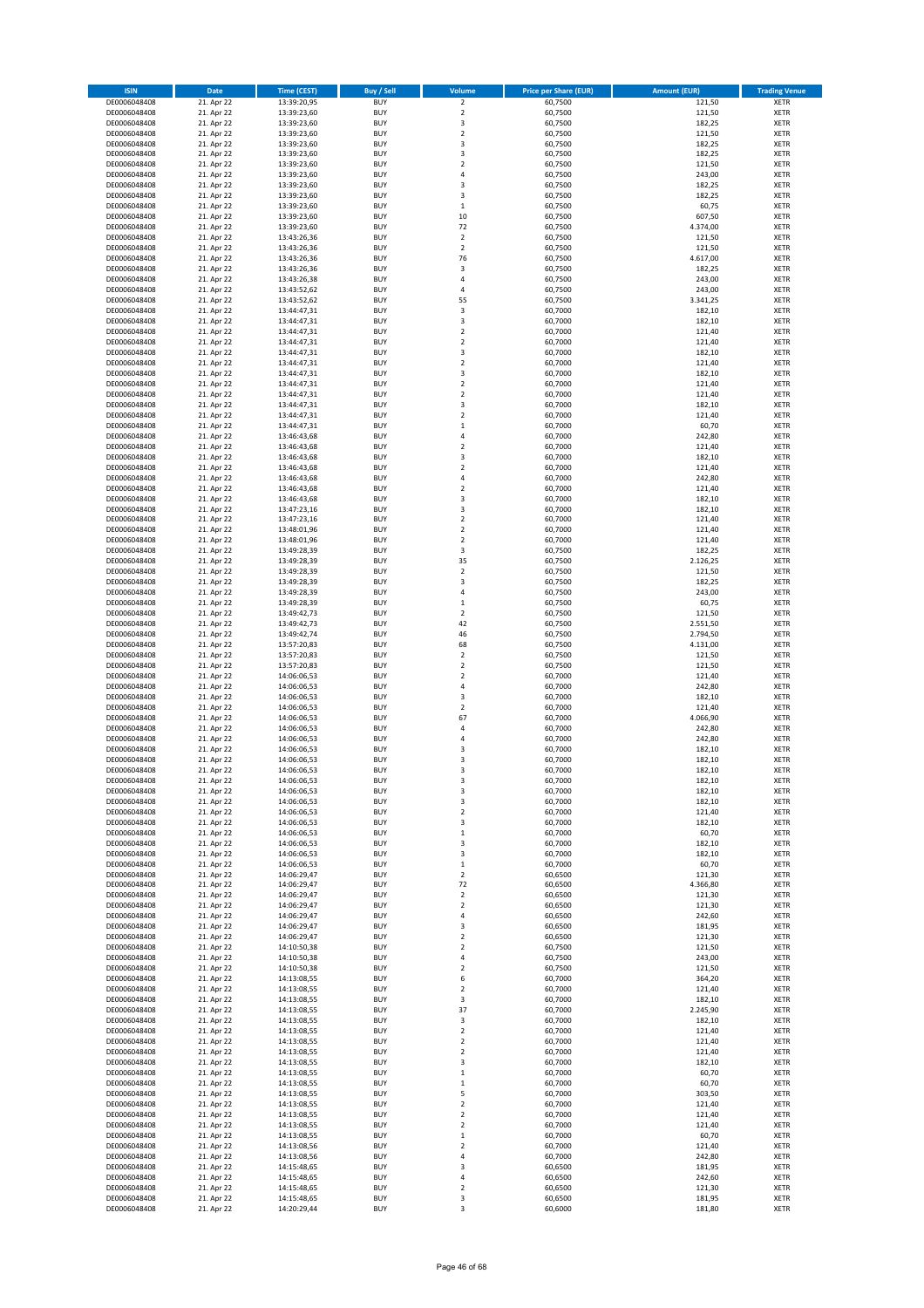| <b>ISIN</b>                  | <b>Date</b>              | <b>Time (CEST)</b>         | Buy / Sell               | Volume                                 | <b>Price per Share (EUR)</b> | <b>Amount (EUR)</b> | <b>Trading Venue</b>       |
|------------------------------|--------------------------|----------------------------|--------------------------|----------------------------------------|------------------------------|---------------------|----------------------------|
| DE0006048408                 | 21. Apr 22               | 13:39:20,95                | <b>BUY</b>               | $\overline{\mathbf{c}}$                | 60,7500                      | 121,50              | XETR                       |
| DE0006048408<br>DE0006048408 | 21. Apr 22<br>21. Apr 22 | 13:39:23,60<br>13:39:23,60 | <b>BUY</b><br><b>BUY</b> | $\mathbf 2$<br>3                       | 60,7500<br>60,7500           | 121,50<br>182,25    | XETR<br>XETR               |
| DE0006048408                 | 21. Apr 22               | 13:39:23,60                | <b>BUY</b>               | $\mathbf 2$                            | 60,7500                      | 121,50              | XETR                       |
| DE0006048408                 | 21. Apr 22               | 13:39:23,60                | <b>BUY</b>               | 3                                      | 60,7500                      | 182,25              | XETR                       |
| DE0006048408                 | 21. Apr 22               | 13:39:23,60                | <b>BUY</b>               | 3                                      | 60,7500                      | 182,25              | <b>XETR</b>                |
| DE0006048408<br>DE0006048408 | 21. Apr 22<br>21. Apr 22 | 13:39:23,60<br>13:39:23,60 | <b>BUY</b><br><b>BUY</b> | $\mathbf 2$<br>4                       | 60,7500<br>60,7500           | 121,50<br>243,00    | <b>XETR</b><br><b>XETR</b> |
| DE0006048408                 | 21. Apr 22               | 13:39:23,60                | <b>BUY</b>               | 3                                      | 60,7500                      | 182,25              | <b>XETR</b>                |
| DE0006048408                 | 21. Apr 22               | 13:39:23,60                | <b>BUY</b>               | 3                                      | 60,7500                      | 182,25              | <b>XETR</b>                |
| DE0006048408                 | 21. Apr 22               | 13:39:23,60                | <b>BUY</b>               | $\mathbf 1$                            | 60,7500                      | 60,75               | <b>XETR</b>                |
| DE0006048408                 | 21. Apr 22               | 13:39:23,60                | <b>BUY</b>               | 10                                     | 60,7500                      | 607,50              | <b>XETR</b>                |
| DE0006048408<br>DE0006048408 | 21. Apr 22<br>21. Apr 22 | 13:39:23,60<br>13:43:26,36 | <b>BUY</b><br><b>BUY</b> | 72<br>$\mathbf 2$                      | 60,7500<br>60,7500           | 4.374,00<br>121,50  | XETR<br><b>XETR</b>        |
| DE0006048408                 | 21. Apr 22               | 13:43:26,36                | <b>BUY</b>               | $\mathbf 2$                            | 60,7500                      | 121,50              | XETR                       |
| DE0006048408                 | 21. Apr 22               | 13:43:26,36                | <b>BUY</b>               | 76                                     | 60,7500                      | 4.617,00            | <b>XETR</b>                |
| DE0006048408                 | 21. Apr 22               | 13:43:26,36                | <b>BUY</b>               | 3                                      | 60,7500                      | 182,25              | XETR                       |
| DE0006048408<br>DE0006048408 | 21. Apr 22<br>21. Apr 22 | 13:43:26,38<br>13:43:52,62 | <b>BUY</b><br><b>BUY</b> | 4<br>$\overline{4}$                    | 60,7500<br>60,7500           | 243,00<br>243,00    | <b>XETR</b><br>XETR        |
| DE0006048408                 | 21. Apr 22               | 13:43:52,62                | <b>BUY</b>               | 55                                     | 60,7500                      | 3.341,25            | <b>XETR</b>                |
| DE0006048408                 | 21. Apr 22               | 13:44:47,31                | <b>BUY</b>               | 3                                      | 60,7000                      | 182,10              | XETR                       |
| DE0006048408                 | 21. Apr 22               | 13:44:47,31                | <b>BUY</b>               | 3                                      | 60,7000                      | 182,10              | XETR                       |
| DE0006048408<br>DE0006048408 | 21. Apr 22<br>21. Apr 22 | 13:44:47,31<br>13:44:47,31 | <b>BUY</b><br><b>BUY</b> | $\mathbf 2$<br>$\mathbf 2$             | 60,7000<br>60,7000           | 121,40<br>121,40    | <b>XETR</b><br><b>XETR</b> |
| DE0006048408                 | 21. Apr 22               | 13:44:47,31                | <b>BUY</b>               | 3                                      | 60,7000                      | 182,10              | <b>XETR</b>                |
| DE0006048408                 | 21. Apr 22               | 13:44:47,31                | <b>BUY</b>               | $\mathbf 2$                            | 60,7000                      | 121,40              | XETR                       |
| DE0006048408                 | 21. Apr 22               | 13:44:47,31                | <b>BUY</b>               | 3                                      | 60,7000                      | 182,10              | <b>XETR</b>                |
| DE0006048408                 | 21. Apr 22               | 13:44:47,31                | <b>BUY</b><br><b>BUY</b> | $\mathbf 2$                            | 60,7000                      | 121,40              | <b>XETR</b><br><b>XETR</b> |
| DE0006048408<br>DE0006048408 | 21. Apr 22<br>21. Apr 22 | 13:44:47,31<br>13:44:47,31 | <b>BUY</b>               | $\mathbf 2$<br>3                       | 60,7000<br>60,7000           | 121,40<br>182,10    | XETR                       |
| DE0006048408                 | 21. Apr 22               | 13:44:47,31                | <b>BUY</b>               | $\mathbf 2$                            | 60,7000                      | 121,40              | <b>XETR</b>                |
| DE0006048408                 | 21. Apr 22               | 13:44:47,31                | <b>BUY</b>               | $\mathbf 1$                            | 60,7000                      | 60,70               | <b>XETR</b>                |
| DE0006048408                 | 21. Apr 22               | 13:46:43,68                | <b>BUY</b>               | 4                                      | 60,7000                      | 242,80              | <b>XETR</b>                |
| DE0006048408<br>DE0006048408 | 21. Apr 22<br>21. Apr 22 | 13:46:43,68<br>13:46:43,68 | <b>BUY</b><br><b>BUY</b> | $\mathbf 2$<br>3                       | 60,7000<br>60,7000           | 121,40<br>182,10    | XETR<br><b>XETR</b>        |
| DE0006048408                 | 21. Apr 22               | 13:46:43,68                | <b>BUY</b>               | $\mathbf 2$                            | 60,7000                      | 121,40              | XETR                       |
| DE0006048408                 | 21. Apr 22               | 13:46:43,68                | <b>BUY</b>               | 4                                      | 60,7000                      | 242,80              | <b>XETR</b>                |
| DE0006048408                 | 21. Apr 22               | 13:46:43,68                | <b>BUY</b>               | $\mathbf 2$                            | 60,7000                      | 121,40              | XETR                       |
| DE0006048408<br>DE0006048408 | 21. Apr 22<br>21. Apr 22 | 13:46:43,68<br>13:47:23,16 | <b>BUY</b><br><b>BUY</b> | 3<br>3                                 | 60,7000<br>60,7000           | 182,10<br>182,10    | <b>XETR</b><br><b>XETR</b> |
| DE0006048408                 | 21. Apr 22               | 13:47:23,16                | <b>BUY</b>               | $\overline{\mathbf{c}}$                | 60,7000                      | 121,40              | <b>XETR</b>                |
| DE0006048408                 | 21. Apr 22               | 13:48:01,96                | <b>BUY</b>               | $\mathbf 2$                            | 60,7000                      | 121,40              | <b>XETR</b>                |
| DE0006048408                 | 21. Apr 22               | 13:48:01,96                | <b>BUY</b>               | $\overline{\mathbf{c}}$                | 60,7000                      | 121,40              | <b>XETR</b>                |
| DE0006048408                 | 21. Apr 22               | 13:49:28,39                | <b>BUY</b>               | 3                                      | 60,7500                      | 182,25              | <b>XETR</b>                |
| DE0006048408<br>DE0006048408 | 21. Apr 22<br>21. Apr 22 | 13:49:28,39<br>13:49:28,39 | <b>BUY</b><br><b>BUY</b> | 35<br>$\mathbf 2$                      | 60,7500<br>60,7500           | 2.126,25<br>121,50  | <b>XETR</b><br>XETR        |
| DE0006048408                 | 21. Apr 22               | 13:49:28,39                | <b>BUY</b>               | 3                                      | 60,7500                      | 182,25              | XETR                       |
| DE0006048408                 | 21. Apr 22               | 13:49:28,39                | <b>BUY</b>               | $\overline{4}$                         | 60,7500                      | 243,00              | <b>XETR</b>                |
| DE0006048408                 | 21. Apr 22               | 13:49:28,39                | <b>BUY</b>               | $\mathbf 1$                            | 60,7500                      | 60,75               | <b>XETR</b>                |
| DE0006048408<br>DE0006048408 | 21. Apr 22<br>21. Apr 22 | 13:49:42,73<br>13:49:42,73 | <b>BUY</b><br><b>BUY</b> | $\mathbf 2$<br>42                      | 60,7500<br>60,7500           | 121,50<br>2.551,50  | <b>XETR</b><br><b>XETR</b> |
| DE0006048408                 | 21. Apr 22               | 13:49:42,74                | <b>BUY</b>               | 46                                     | 60,7500                      | 2.794,50            | <b>XETR</b>                |
| DE0006048408                 | 21. Apr 22               | 13:57:20,83                | <b>BUY</b>               | 68                                     | 60,7500                      | 4.131,00            | <b>XETR</b>                |
| DE0006048408                 | 21. Apr 22               | 13:57:20,83                | <b>BUY</b>               | $\mathbf 2$                            | 60,7500                      | 121,50              | <b>XETR</b>                |
| DE0006048408<br>DE0006048408 | 21. Apr 22<br>21. Apr 22 | 13:57:20,83<br>14:06:06,53 | <b>BUY</b><br><b>BUY</b> | $\mathbf 2$<br>$\overline{\mathbf{c}}$ | 60,7500<br>60,7000           | 121,50<br>121,40    | <b>XETR</b><br><b>XETR</b> |
| DE0006048408                 | 21. Apr 22               | 14:06:06,53                | <b>BUY</b>               | 4                                      | 60,7000                      | 242,80              | <b>XETR</b>                |
| DE0006048408                 | 21. Apr 22               | 14:06:06,53                | <b>BUY</b>               | 3                                      | 60,7000                      | 182,10              | <b>XETR</b>                |
| DE0006048408                 | 21. Apr 22               | 14:06:06,53                | <b>BUY</b>               | $\overline{\mathbf{c}}$                | 60,7000                      | 121,40              | <b>XETR</b>                |
| DE0006048408<br>DE0006048408 | 21. Apr 22<br>21. Apr 22 | 14:06:06,53<br>14:06:06,53 | <b>BUY</b><br><b>BUY</b> | 67<br>4                                | 60,7000<br>60,7000           | 4.066,90<br>242,80  | <b>XETR</b><br>XETR        |
| DE0006048408                 | 21. Apr 22               | 14:06:06,53                | <b>BUY</b>               | 4                                      | 60,7000                      | 242,80              | <b>XETR</b>                |
| DE0006048408                 | 21. Apr 22               | 14:06:06,53                | <b>BUY</b>               | 3                                      | 60,7000                      | 182,10              | XETR                       |
| DE0006048408                 | 21. Apr 22               | 14:06:06,53                | <b>BUY</b>               | 3                                      | 60,7000                      | 182,10              | <b>XETR</b>                |
| DE0006048408                 | 21. Apr 22<br>21. Apr 22 | 14:06:06,53                | <b>BUY</b><br><b>BUY</b> | 3<br>3                                 | 60,7000                      | 182,10              | <b>XETR</b>                |
| DE0006048408<br>DE0006048408 | 21. Apr 22               | 14:06:06,53<br>14:06:06,53 | <b>BUY</b>               | 3                                      | 60,7000<br>60,7000           | 182,10<br>182,10    | XETR<br>XETR               |
| DE0006048408                 | 21. Apr 22               | 14:06:06,53                | <b>BUY</b>               | 3                                      | 60,7000                      | 182,10              | XETR                       |
| DE0006048408                 | 21. Apr 22               | 14:06:06,53                | <b>BUY</b>               | $\mathbf 2$                            | 60,7000                      | 121,40              | XETR                       |
| DE0006048408                 | 21. Apr 22               | 14:06:06,53                | <b>BUY</b>               | 3                                      | 60,7000                      | 182,10              | <b>XETR</b>                |
| DE0006048408<br>DE0006048408 | 21. Apr 22<br>21. Apr 22 | 14:06:06,53<br>14:06:06,53 | <b>BUY</b><br><b>BUY</b> | $\mathbf 1$<br>3                       | 60,7000<br>60,7000           | 60,70<br>182,10     | XETR<br><b>XETR</b>        |
| DE0006048408                 | 21. Apr 22               | 14:06:06,53                | <b>BUY</b>               | 3                                      | 60,7000                      | 182,10              | XETR                       |
| DE0006048408                 | 21. Apr 22               | 14:06:06,53                | <b>BUY</b>               | $\mathbf 1$                            | 60,7000                      | 60,70               | <b>XETR</b>                |
| DE0006048408<br>DE0006048408 | 21. Apr 22<br>21. Apr 22 | 14:06:29,47<br>14:06:29,47 | <b>BUY</b><br><b>BUY</b> | $\mathbf 2$<br>72                      | 60,6500<br>60,6500           | 121,30<br>4.366,80  | XETR<br><b>XETR</b>        |
| DE0006048408                 | 21. Apr 22               | 14:06:29,47                | <b>BUY</b>               | $\mathbf 2$                            | 60,6500                      | 121,30              | XETR                       |
| DE0006048408                 | 21. Apr 22               | 14:06:29,47                | <b>BUY</b>               | $\mathbf 2$                            | 60,6500                      | 121,30              | <b>XETR</b>                |
| DE0006048408                 | 21. Apr 22               | 14:06:29,47                | <b>BUY</b>               | 4                                      | 60,6500                      | 242,60              | XETR                       |
| DE0006048408<br>DE0006048408 | 21. Apr 22<br>21. Apr 22 | 14:06:29,47<br>14:06:29,47 | <b>BUY</b><br><b>BUY</b> | 3<br>$\mathbf 2$                       | 60,6500<br>60,6500           | 181,95<br>121,30    | <b>XETR</b><br>XETR        |
| DE0006048408                 | 21. Apr 22               | 14:10:50,38                | <b>BUY</b>               | 2                                      | 60,7500                      | 121,50              | <b>XETR</b>                |
| DE0006048408                 | 21. Apr 22               | 14:10:50,38                | <b>BUY</b>               | 4                                      | 60,7500                      | 243,00              | <b>XETR</b>                |
| DE0006048408                 | 21. Apr 22               | 14:10:50,38                | <b>BUY</b>               | 2                                      | 60,7500                      | 121,50              | <b>XETR</b>                |
| DE0006048408                 | 21. Apr 22               | 14:13:08,55                | <b>BUY</b>               | 6<br>$\mathbf 2$                       | 60,7000<br>60,7000           | 364,20              | XETR                       |
| DE0006048408<br>DE0006048408 | 21. Apr 22<br>21. Apr 22 | 14:13:08,55<br>14:13:08,55 | <b>BUY</b><br><b>BUY</b> | 3                                      | 60,7000                      | 121,40<br>182,10    | <b>XETR</b><br><b>XETR</b> |
| DE0006048408                 | 21. Apr 22               | 14:13:08,55                | <b>BUY</b>               | 37                                     | 60,7000                      | 2.245,90            | XETR                       |
| DE0006048408                 | 21. Apr 22               | 14:13:08,55                | <b>BUY</b>               | 3                                      | 60,7000                      | 182,10              | <b>XETR</b>                |
| DE0006048408                 | 21. Apr 22               | 14:13:08,55                | <b>BUY</b><br><b>BUY</b> | $\mathbf 2$<br>$\mathbf 2$             | 60,7000                      | 121,40              | XETR                       |
| DE0006048408<br>DE0006048408 | 21. Apr 22<br>21. Apr 22 | 14:13:08,55<br>14:13:08,55 | <b>BUY</b>               | 2                                      | 60,7000<br>60,7000           | 121,40<br>121,40    | <b>XETR</b><br>XETR        |
| DE0006048408                 | 21. Apr 22               | 14:13:08,55                | <b>BUY</b>               | 3                                      | 60,7000                      | 182,10              | <b>XETR</b>                |
| DE0006048408                 | 21. Apr 22               | 14:13:08,55                | <b>BUY</b>               | $\mathbf 1$                            | 60,7000                      | 60,70               | XETR                       |
| DE0006048408                 | 21. Apr 22               | 14:13:08,55                | <b>BUY</b>               | $\mathbf 1$                            | 60,7000                      | 60,70               | <b>XETR</b>                |
| DE0006048408<br>DE0006048408 | 21. Apr 22<br>21. Apr 22 | 14:13:08,55<br>14:13:08,55 | <b>BUY</b><br><b>BUY</b> | 5<br>$\mathbf 2$                       | 60,7000<br>60,7000           | 303,50<br>121,40    | XETR<br><b>XETR</b>        |
| DE0006048408                 | 21. Apr 22               | 14:13:08,55                | <b>BUY</b>               | $\mathbf 2$                            | 60,7000                      | 121,40              | XETR                       |
| DE0006048408                 | 21. Apr 22               | 14:13:08,55                | <b>BUY</b>               | 2                                      | 60,7000                      | 121,40              | <b>XETR</b>                |
| DE0006048408                 | 21. Apr 22               | 14:13:08,55                | <b>BUY</b>               | 1                                      | 60,7000                      | 60,70               | <b>XETR</b>                |
| DE0006048408<br>DE0006048408 | 21. Apr 22<br>21. Apr 22 | 14:13:08,56<br>14:13:08,56 | <b>BUY</b><br><b>BUY</b> | 2<br>4                                 | 60,7000<br>60,7000           | 121,40<br>242,80    | <b>XETR</b><br>XETR        |
| DE0006048408                 | 21. Apr 22               | 14:15:48,65                | <b>BUY</b>               | 3                                      | 60,6500                      | 181,95              | <b>XETR</b>                |
| DE0006048408                 | 21. Apr 22               | 14:15:48,65                | <b>BUY</b>               | 4                                      | 60,6500                      | 242,60              | XETR                       |
| DE0006048408                 | 21. Apr 22               | 14:15:48,65                | <b>BUY</b>               | 2                                      | 60,6500                      | 121,30              | XETR                       |
| DE0006048408<br>DE0006048408 | 21. Apr 22<br>21. Apr 22 | 14:15:48,65<br>14:20:29,44 | <b>BUY</b><br><b>BUY</b> | 3<br>3                                 | 60,6500<br>60,6000           | 181,95<br>181,80    | XETR<br><b>XETR</b>        |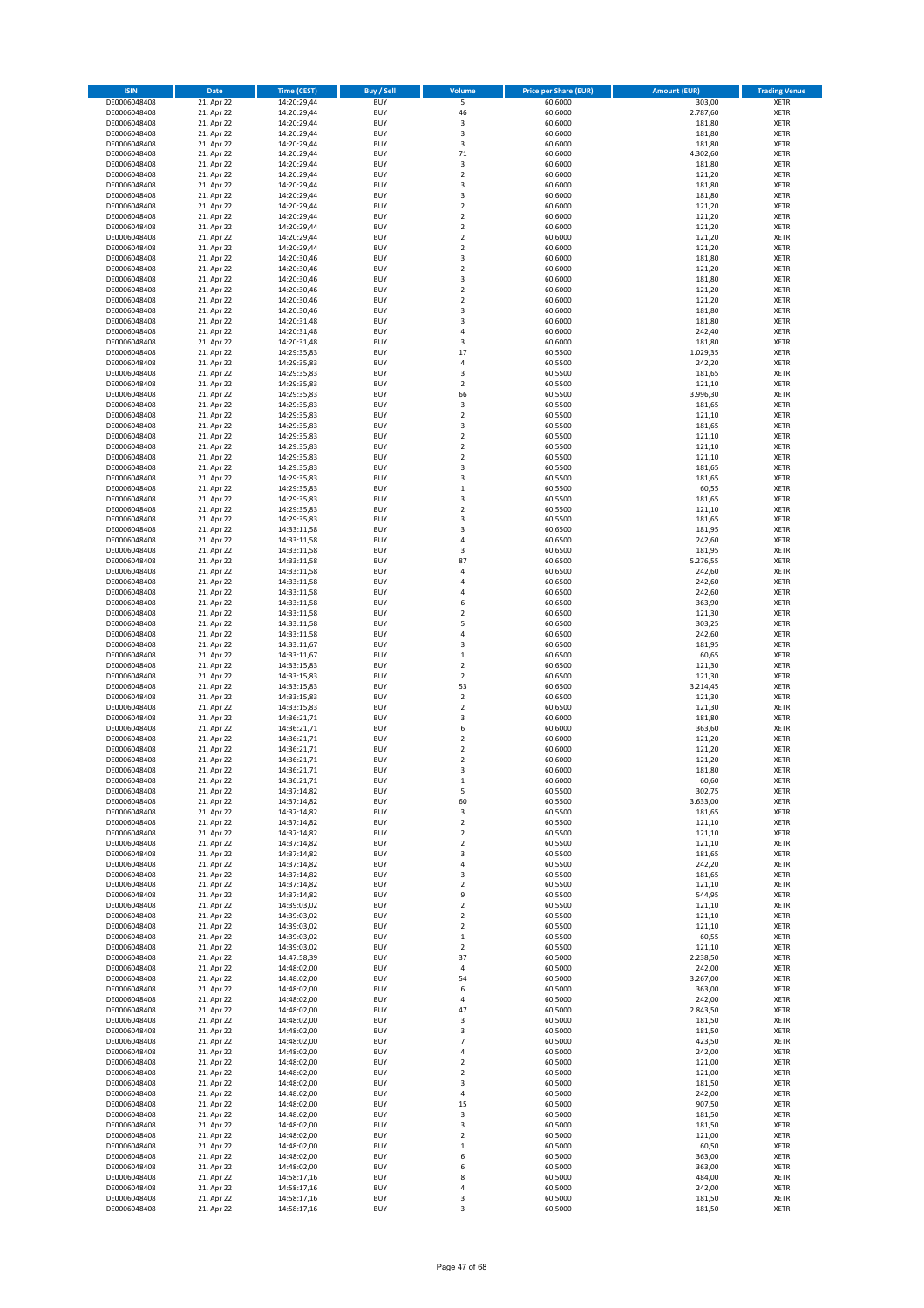| <b>ISIN</b>                  | Date                     | <b>Time (CEST)</b>         | <b>Buy / Sell</b>        | Volume                                    | <b>Price per Share (EUR)</b> | <b>Amount (EUR)</b> | <b>Trading Venue</b>       |
|------------------------------|--------------------------|----------------------------|--------------------------|-------------------------------------------|------------------------------|---------------------|----------------------------|
| DE0006048408                 | 21. Apr 22               | 14:20:29,44                | <b>BUY</b>               | $\overline{\mathsf{S}}$                   | 60,6000                      | 303,00              | <b>XETR</b>                |
| DE0006048408                 | 21. Apr 22               | 14:20:29,44                | <b>BUY</b>               | 46                                        | 60,6000                      | 2.787,60            | <b>XETR</b>                |
| DE0006048408<br>DE0006048408 | 21. Apr 22<br>21. Apr 22 | 14:20:29,44<br>14:20:29,44 | <b>BUY</b><br><b>BUY</b> | 3<br>3                                    | 60,6000<br>60,6000           | 181,80<br>181,80    | <b>XETR</b><br><b>XETR</b> |
| DE0006048408                 | 21. Apr 22               | 14:20:29,44                | <b>BUY</b>               | 3                                         | 60,6000                      | 181,80              | <b>XETR</b>                |
| DE0006048408                 | 21. Apr 22               | 14:20:29,44                | <b>BUY</b>               | 71                                        | 60,6000                      | 4.302,60            | <b>XETR</b>                |
| DE0006048408                 | 21. Apr 22               | 14:20:29,44                | <b>BUY</b>               | $\overline{\mathbf{3}}$                   | 60,6000                      | 181,80              | <b>XETR</b>                |
| DE0006048408                 | 21. Apr 22               | 14:20:29,44                | <b>BUY</b>               | $\overline{2}$                            | 60,6000                      | 121,20              | <b>XETR</b>                |
| DE0006048408<br>DE0006048408 | 21. Apr 22<br>21. Apr 22 | 14:20:29,44                | <b>BUY</b><br><b>BUY</b> | 3<br>3                                    | 60,6000<br>60,6000           | 181,80<br>181,80    | XETR<br><b>XETR</b>        |
| DE0006048408                 | 21. Apr 22               | 14:20:29,44<br>14:20:29,44 | <b>BUY</b>               | $\overline{2}$                            | 60,6000                      | 121,20              | XETR                       |
| DE0006048408                 | 21. Apr 22               | 14:20:29,44                | <b>BUY</b>               | $\overline{2}$                            | 60,6000                      | 121,20              | <b>XETR</b>                |
| DE0006048408                 | 21. Apr 22               | 14:20:29,44                | <b>BUY</b>               | $\boldsymbol{2}$                          | 60,6000                      | 121,20              | XETR                       |
| DE0006048408                 | 21. Apr 22               | 14:20:29,44                | <b>BUY</b>               | $\overline{2}$                            | 60,6000                      | 121,20              | <b>XETR</b>                |
| DE0006048408                 | 21. Apr 22               | 14:20:29,44                | <b>BUY</b><br><b>BUY</b> | $\mathbf 2$<br>3                          | 60,6000                      | 121,20              | <b>XETR</b><br><b>XETR</b> |
| DE0006048408<br>DE0006048408 | 21. Apr 22<br>21. Apr 22 | 14:20:30,46<br>14:20:30,46 | <b>BUY</b>               | $\boldsymbol{2}$                          | 60,6000<br>60,6000           | 181,80<br>121,20    | XETR                       |
| DE0006048408                 | 21. Apr 22               | 14:20:30,46                | <b>BUY</b>               | 3                                         | 60,6000                      | 181,80              | <b>XETR</b>                |
| DE0006048408                 | 21. Apr 22               | 14:20:30,46                | <b>BUY</b>               | $\overline{2}$                            | 60,6000                      | 121,20              | XETR                       |
| DE0006048408                 | 21. Apr 22               | 14:20:30,46                | <b>BUY</b>               | $\mathbf 2$                               | 60,6000                      | 121,20              | <b>XETR</b>                |
| DE0006048408<br>DE0006048408 | 21. Apr 22<br>21. Apr 22 | 14:20:30,46<br>14:20:31,48 | <b>BUY</b><br><b>BUY</b> | 3<br>3                                    | 60,6000<br>60,6000           | 181,80<br>181,80    | <b>XETR</b><br><b>XETR</b> |
| DE0006048408                 | 21. Apr 22               | 14:20:31,48                | <b>BUY</b>               | $\overline{4}$                            | 60,6000                      | 242,40              | <b>XETR</b>                |
| DE0006048408                 | 21. Apr 22               | 14:20:31,48                | <b>BUY</b>               | $\overline{\mathbf{3}}$                   | 60,6000                      | 181,80              | <b>XETR</b>                |
| DE0006048408                 | 21. Apr 22               | 14:29:35,83                | <b>BUY</b>               | 17                                        | 60,5500                      | 1.029,35            | <b>XETR</b>                |
| DE0006048408                 | 21. Apr 22               | 14:29:35,83                | <b>BUY</b>               | 4                                         | 60,5500                      | 242,20              | <b>XETR</b>                |
| DE0006048408                 | 21. Apr 22               | 14:29:35,83                | <b>BUY</b>               | 3                                         | 60,5500                      | 181,65              | <b>XETR</b>                |
| DE0006048408<br>DE0006048408 | 21. Apr 22<br>21. Apr 22 | 14:29:35,83<br>14:29:35,83 | <b>BUY</b><br><b>BUY</b> | $\overline{2}$<br>66                      | 60,5500<br>60,5500           | 121,10<br>3.996,30  | <b>XETR</b><br><b>XETR</b> |
| DE0006048408                 | 21. Apr 22               | 14:29:35,83                | <b>BUY</b>               | 3                                         | 60,5500                      | 181,65              | <b>XETR</b>                |
| DE0006048408                 | 21. Apr 22               | 14:29:35,83                | <b>BUY</b>               | $\mathbf 2$                               | 60,5500                      | 121,10              | <b>XETR</b>                |
| DE0006048408                 | 21. Apr 22               | 14:29:35,83                | <b>BUY</b>               | 3                                         | 60,5500                      | 181,65              | <b>XETR</b>                |
| DE0006048408                 | 21. Apr 22               | 14:29:35,83                | <b>BUY</b><br><b>BUY</b> | $\overline{2}$<br>$\mathbf 2$             | 60,5500                      | 121,10<br>121,10    | <b>XETR</b><br>XETR        |
| DE0006048408<br>DE0006048408 | 21. Apr 22<br>21. Apr 22 | 14:29:35,83<br>14:29:35,83 | <b>BUY</b>               | $\overline{2}$                            | 60,5500<br>60,5500           | 121,10              | <b>XETR</b>                |
| DE0006048408                 | 21. Apr 22               | 14:29:35,83                | <b>BUY</b>               | $\overline{\mathbf{3}}$                   | 60,5500                      | 181,65              | XETR                       |
| DE0006048408                 | 21. Apr 22               | 14:29:35,83                | <b>BUY</b>               | 3                                         | 60,5500                      | 181,65              | <b>XETR</b>                |
| DE0006048408                 | 21. Apr 22               | 14:29:35,83                | <b>BUY</b>               | $\,$ 1                                    | 60,5500                      | 60,55               | <b>XETR</b>                |
| DE0006048408                 | 21. Apr 22               | 14:29:35,83                | <b>BUY</b>               | 3                                         | 60,5500                      | 181,65              | <b>XETR</b>                |
| DE0006048408<br>DE0006048408 | 21. Apr 22<br>21. Apr 22 | 14:29:35,83<br>14:29:35,83 | <b>BUY</b><br><b>BUY</b> | $\overline{2}$<br>3                       | 60,5500<br>60,5500           | 121,10<br>181,65    | <b>XETR</b><br><b>XETR</b> |
| DE0006048408                 | 21. Apr 22               | 14:33:11,58                | <b>BUY</b>               | 3                                         | 60,6500                      | 181,95              | XETR                       |
| DE0006048408                 | 21. Apr 22               | 14:33:11,58                | <b>BUY</b>               | $\sqrt{4}$                                | 60,6500                      | 242,60              | <b>XETR</b>                |
| DE0006048408                 | 21. Apr 22               | 14:33:11,58                | <b>BUY</b>               | 3                                         | 60,6500                      | 181,95              | <b>XETR</b>                |
| DE0006048408                 | 21. Apr 22               | 14:33:11,58                | <b>BUY</b>               | 87                                        | 60,6500                      | 5.276,55            | <b>XETR</b>                |
| DE0006048408                 | 21. Apr 22               | 14:33:11,58                | <b>BUY</b>               | 4                                         | 60,6500                      | 242,60              | <b>XETR</b>                |
| DE0006048408<br>DE0006048408 | 21. Apr 22<br>21. Apr 22 | 14:33:11,58<br>14:33:11,58 | <b>BUY</b><br><b>BUY</b> | 4<br>$\sqrt{4}$                           | 60,6500<br>60,6500           | 242,60<br>242,60    | <b>XETR</b><br><b>XETR</b> |
| DE0006048408                 | 21. Apr 22               | 14:33:11,58                | <b>BUY</b>               | 6                                         | 60,6500                      | 363,90              | <b>XETR</b>                |
| DE0006048408                 | 21. Apr 22               | 14:33:11,58                | <b>BUY</b>               | $\mathbf 2$                               | 60,6500                      | 121,30              | <b>XETR</b>                |
| DE0006048408                 | 21. Apr 22               | 14:33:11,58                | <b>BUY</b>               | 5                                         | 60,6500                      | 303,25              | <b>XETR</b>                |
| DE0006048408                 | 21. Apr 22               | 14:33:11,58                | <b>BUY</b><br><b>BUY</b> | $\overline{4}$<br>3                       | 60,6500                      | 242,60              | <b>XETR</b>                |
| DE0006048408<br>DE0006048408 | 21. Apr 22<br>21. Apr 22 | 14:33:11,67<br>14:33:11,67 | <b>BUY</b>               | $\,$ 1                                    | 60,6500<br>60,6500           | 181,95<br>60,65     | <b>XETR</b><br><b>XETR</b> |
| DE0006048408                 | 21. Apr 22               | 14:33:15,83                | <b>BUY</b>               | $\mathbf 2$                               | 60,6500                      | 121,30              | <b>XETR</b>                |
| DE0006048408                 | 21. Apr 22               | 14:33:15,83                | <b>BUY</b>               | $\overline{2}$                            | 60,6500                      | 121,30              | <b>XETR</b>                |
| DE0006048408                 | 21. Apr 22               | 14:33:15,83                | <b>BUY</b>               | 53                                        | 60,6500                      | 3.214,45            | <b>XETR</b>                |
| DE0006048408                 | 21. Apr 22               | 14:33:15,83                | <b>BUY</b>               | $\overline{2}$<br>$\mathbf 2$             | 60,6500                      | 121,30              | <b>XETR</b>                |
| DE0006048408<br>DE0006048408 | 21. Apr 22<br>21. Apr 22 | 14:33:15,83<br>14:36:21,71 | <b>BUY</b><br><b>BUY</b> | 3                                         | 60,6500<br>60,6000           | 121,30<br>181,80    | <b>XETR</b><br><b>XETR</b> |
| DE0006048408                 | 21. Apr 22               | 14:36:21,71                | <b>BUY</b>               | 6                                         | 60,6000                      | 363,60              | XETR                       |
| DE0006048408                 | 21. Apr 22               | 14:36:21,71                | <b>BUY</b>               | $\overline{2}$                            | 60,6000                      | 121,20              | <b>XETR</b>                |
| DE0006048408                 | 21. Apr 22               | 14:36:21,71                | <b>BUY</b>               | $\boldsymbol{2}$                          | 60,6000                      | 121,20              | <b>XETR</b>                |
| DE0006048408                 | 21. Apr 22               | 14:36:21,71                | <b>BUY</b>               | $\overline{2}$                            | 60,6000                      | 121,20              | <b>XETR</b>                |
| DE0006048408<br>DE0006048408 | 21. Apr 22<br>21. Apr 22 | 14:36:21,71<br>14:36:21,71 | <b>BUY</b><br><b>BUY</b> | 3<br>$\,$ 1                               | 60,6000<br>60,6000           | 181,80<br>60,60     | <b>XETR</b><br>XETR        |
| DE0006048408                 | 21. Apr 22               | 14:37:14,82                | <b>BUY</b>               | 5                                         | 60,5500                      | 302,75              | XETR                       |
| DE0006048408                 | 21. Apr 22               | 14:37:14,82                | <b>BUY</b>               | 60                                        | 60,5500                      | 3.633,00            | XETR                       |
| DE0006048408                 | 21. Apr 22               | 14:37:14,82                | <b>BUY</b>               | 3                                         | 60,5500                      | 181,65              | <b>XETR</b>                |
| DE0006048408                 | 21. Apr 22<br>21. Apr 22 | 14:37:14,82                | <b>BUY</b>               | $\mathbf 2$                               | 60,5500                      | 121,10              | <b>XETR</b>                |
| DE0006048408<br>DE0006048408 | 21. Apr 22               | 14:37:14,82<br>14:37:14,82 | <b>BUY</b><br><b>BUY</b> | $\overline{\mathbf{c}}$<br>$\overline{2}$ | 60,5500<br>60,5500           | 121,10<br>121,10    | XETR<br><b>XETR</b>        |
| DE0006048408                 | 21. Apr 22               | 14:37:14,82                | <b>BUY</b>               | 3                                         | 60,5500                      | 181,65              | <b>XETR</b>                |
| DE0006048408                 | 21. Apr 22               | 14:37:14,82                | <b>BUY</b>               | 4                                         | 60,5500                      | 242,20              | <b>XETR</b>                |
| DE0006048408                 | 21. Apr 22               | 14:37:14,82                | <b>BUY</b>               | 3                                         | 60,5500                      | 181,65              | <b>XETR</b>                |
| DE0006048408<br>DE0006048408 | 21. Apr 22<br>21. Apr 22 | 14:37:14,82<br>14:37:14,82 | <b>BUY</b><br><b>BUY</b> | $\mathbf 2$<br>9                          | 60,5500<br>60,5500           | 121,10<br>544,95    | <b>XETR</b><br><b>XETR</b> |
| DE0006048408                 | 21. Apr 22               | 14:39:03,02                | <b>BUY</b>               | $\overline{2}$                            | 60,5500                      | 121,10              | <b>XETR</b>                |
| DE0006048408                 | 21. Apr 22               | 14:39:03,02                | <b>BUY</b>               | $\overline{2}$                            | 60,5500                      | 121,10              | XETR                       |
| DE0006048408                 | 21. Apr 22               | 14:39:03,02                | <b>BUY</b>               | $\mathbf 2$                               | 60,5500                      | 121,10              | <b>XETR</b>                |
| DE0006048408                 | 21. Apr 22               | 14:39:03,02                | <b>BUY</b>               | $\,$ 1                                    | 60,5500                      | 60,55               | <b>XETR</b>                |
| DE0006048408<br>DE0006048408 | 21. Apr 22<br>21. Apr 22 | 14:39:03,02<br>14:47:58,39 | <b>BUY</b><br><b>BUY</b> | $\mathbf 2$<br>37                         | 60,5500<br>60,5000           | 121,10<br>2.238,50  | <b>XETR</b><br><b>XETR</b> |
| DE0006048408                 | 21. Apr 22               | 14:48:02,00                | <b>BUY</b>               | 4                                         | 60,5000                      | 242,00              | <b>XETR</b>                |
| DE0006048408                 | 21. Apr 22               | 14:48:02,00                | <b>BUY</b>               | 54                                        | 60,5000                      | 3.267,00            | <b>XETR</b>                |
| DE0006048408                 | 21. Apr 22               | 14:48:02,00                | <b>BUY</b>               | 6                                         | 60,5000                      | 363,00              | <b>XETR</b>                |
| DE0006048408                 | 21. Apr 22               | 14:48:02,00                | <b>BUY</b>               | 4                                         | 60,5000                      | 242,00              | <b>XETR</b>                |
| DE0006048408<br>DE0006048408 | 21. Apr 22<br>21. Apr 22 | 14:48:02,00<br>14:48:02,00 | <b>BUY</b><br><b>BUY</b> | 47<br>3                                   | 60,5000<br>60,5000           | 2.843,50<br>181,50  | XETR<br>XETR               |
| DE0006048408                 | 21. Apr 22               | 14:48:02,00                | <b>BUY</b>               | 3                                         | 60,5000                      | 181,50              | <b>XETR</b>                |
| DE0006048408                 | 21. Apr 22               | 14:48:02,00                | <b>BUY</b>               | $\overline{7}$                            | 60,5000                      | 423,50              | <b>XETR</b>                |
| DE0006048408                 | 21. Apr 22               | 14:48:02,00                | <b>BUY</b>               | 4                                         | 60,5000                      | 242,00              | XETR                       |
| DE0006048408                 | 21. Apr 22               | 14:48:02,00                | <b>BUY</b>               | $\overline{2}$                            | 60,5000                      | 121,00              | XETR                       |
| DE0006048408                 | 21. Apr 22               | 14:48:02,00                | <b>BUY</b><br><b>BUY</b> | $\mathbf 2$<br>3                          | 60,5000                      | 121,00              | XETR                       |
| DE0006048408<br>DE0006048408 | 21. Apr 22<br>21. Apr 22 | 14:48:02,00<br>14:48:02,00 | <b>BUY</b>               | 4                                         | 60,5000<br>60,5000           | 181,50<br>242,00    | <b>XETR</b><br>XETR        |
| DE0006048408                 | 21. Apr 22               | 14:48:02,00                | <b>BUY</b>               | 15                                        | 60,5000                      | 907,50              | XETR                       |
| DE0006048408                 | 21. Apr 22               | 14:48:02,00                | <b>BUY</b>               | 3                                         | 60,5000                      | 181,50              | <b>XETR</b>                |
| DE0006048408                 | 21. Apr 22               | 14:48:02,00                | <b>BUY</b>               | 3                                         | 60,5000                      | 181,50              | <b>XETR</b>                |
| DE0006048408<br>DE0006048408 | 21. Apr 22<br>21. Apr 22 | 14:48:02,00<br>14:48:02,00 | <b>BUY</b><br><b>BUY</b> | $\mathbf 2$<br>$\,$ 1                     | 60,5000<br>60,5000           | 121,00<br>60,50     | <b>XETR</b><br><b>XETR</b> |
| DE0006048408                 | 21. Apr 22               | 14:48:02,00                | <b>BUY</b>               | 6                                         | 60,5000                      | 363,00              | <b>XETR</b>                |
| DE0006048408                 | 21. Apr 22               | 14:48:02,00                | <b>BUY</b>               | 6                                         | 60,5000                      | 363,00              | <b>XETR</b>                |
| DE0006048408                 | 21. Apr 22               | 14:58:17,16                | <b>BUY</b>               | 8                                         | 60,5000                      | 484,00              | <b>XETR</b>                |
| DE0006048408                 | 21. Apr 22               | 14:58:17,16                | <b>BUY</b>               | 4                                         | 60,5000                      | 242,00              | <b>XETR</b>                |
| DE0006048408                 | 21. Apr 22<br>21. Apr 22 | 14:58:17,16<br>14:58:17,16 | <b>BUY</b><br><b>BUY</b> | 3<br>3                                    | 60,5000<br>60,5000           | 181,50<br>181,50    | <b>XETR</b><br><b>XETR</b> |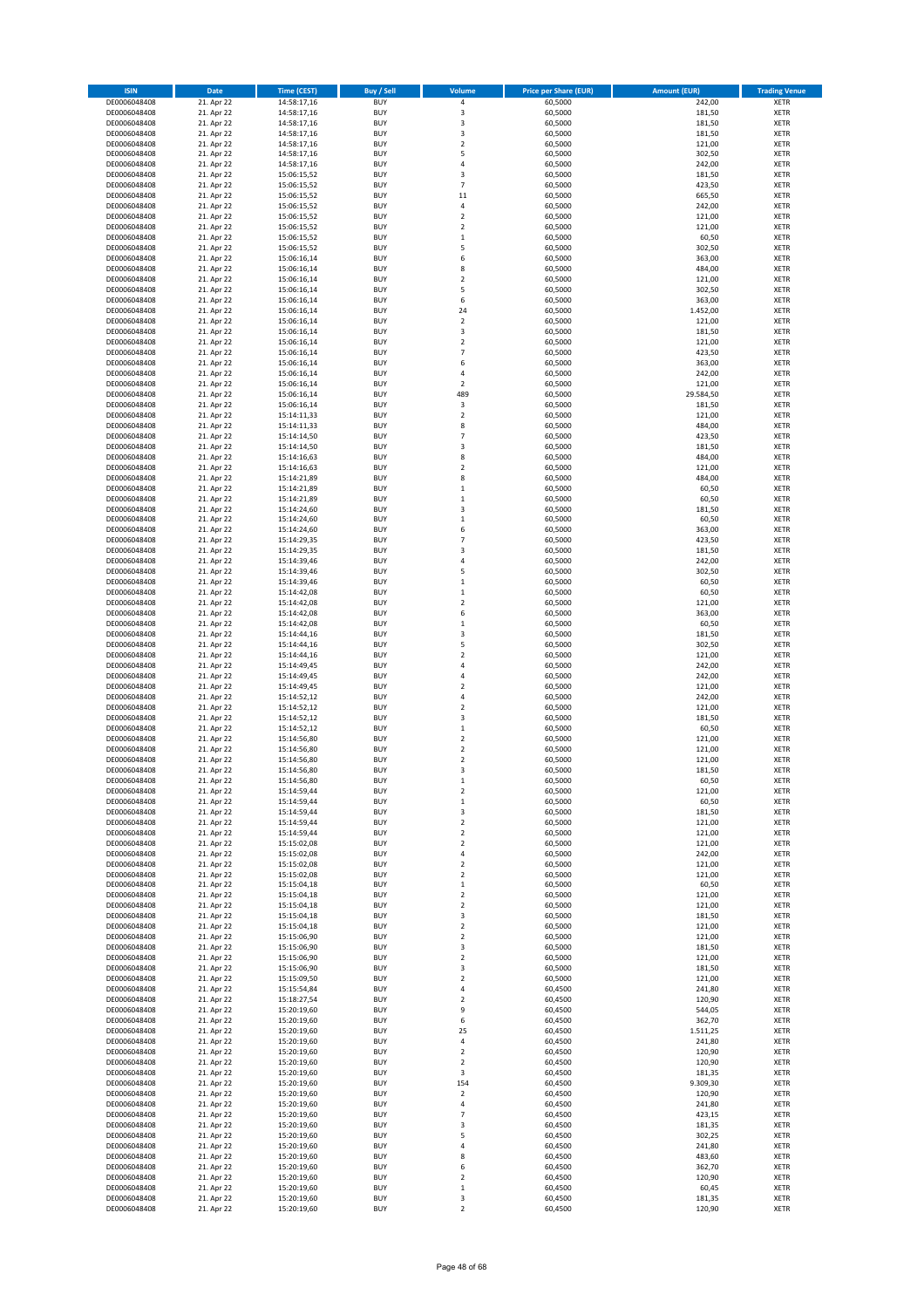| <b>ISIN</b>                  | Date                     | <b>Time (CEST)</b>         | <b>Buy / Sell</b>        | Volume                           | <b>Price per Share (EUR)</b> | <b>Amount (EUR)</b> | <b>Trading Venue</b>       |
|------------------------------|--------------------------|----------------------------|--------------------------|----------------------------------|------------------------------|---------------------|----------------------------|
| DE0006048408                 | 21. Apr 22               | 14:58:17,16                | <b>BUY</b>               | $\pmb{4}$                        | 60,5000                      | 242,00              | <b>XETR</b>                |
| DE0006048408                 | 21. Apr 22               | 14:58:17,16                | <b>BUY</b>               | 3                                | 60,5000                      | 181,50              | <b>XETR</b>                |
| DE0006048408<br>DE0006048408 | 21. Apr 22<br>21. Apr 22 | 14:58:17,16<br>14:58:17,16 | <b>BUY</b><br><b>BUY</b> | 3<br>3                           | 60,5000<br>60,5000           | 181,50<br>181,50    | <b>XETR</b><br><b>XETR</b> |
| DE0006048408                 | 21. Apr 22               | 14:58:17,16                | <b>BUY</b>               | $\mathbf 2$                      | 60,5000                      | 121,00              | <b>XETR</b>                |
| DE0006048408                 | 21. Apr 22               | 14:58:17,16                | <b>BUY</b>               | 5                                | 60,5000                      | 302,50              | <b>XETR</b>                |
| DE0006048408                 | 21. Apr 22               | 14:58:17,16                | <b>BUY</b>               | $\overline{4}$                   | 60,5000                      | 242,00              | <b>XETR</b>                |
| DE0006048408                 | 21. Apr 22               | 15:06:15,52                | <b>BUY</b>               | 3                                | 60,5000                      | 181,50              | <b>XETR</b>                |
| DE0006048408<br>DE0006048408 | 21. Apr 22<br>21. Apr 22 | 15:06:15,52                | <b>BUY</b><br><b>BUY</b> | $\overline{7}$<br>11             | 60,5000<br>60,5000           | 423,50<br>665,50    | XETR<br><b>XETR</b>        |
| DE0006048408                 | 21. Apr 22               | 15:06:15,52<br>15:06:15,52 | <b>BUY</b>               | $\sqrt{4}$                       | 60,5000                      | 242,00              | XETR                       |
| DE0006048408                 | 21. Apr 22               | 15:06:15,52                | <b>BUY</b>               | $\overline{2}$                   | 60,5000                      | 121,00              | <b>XETR</b>                |
| DE0006048408                 | 21. Apr 22               | 15:06:15,52                | <b>BUY</b>               | $\mathbf 2$                      | 60,5000                      | 121,00              | XETR                       |
| DE0006048408                 | 21. Apr 22               | 15:06:15,52                | <b>BUY</b>               | $\,1\,$                          | 60,5000                      | 60,50               | <b>XETR</b>                |
| DE0006048408                 | 21. Apr 22               | 15:06:15,52                | <b>BUY</b>               | 5<br>6                           | 60,5000                      | 302,50              | <b>XETR</b>                |
| DE0006048408<br>DE0006048408 | 21. Apr 22<br>21. Apr 22 | 15:06:16,14<br>15:06:16,14 | <b>BUY</b><br><b>BUY</b> | 8                                | 60,5000<br>60,5000           | 363,00<br>484,00    | <b>XETR</b><br>XETR        |
| DE0006048408                 | 21. Apr 22               | 15:06:16,14                | <b>BUY</b>               | $\overline{2}$                   | 60,5000                      | 121,00              | <b>XETR</b>                |
| DE0006048408                 | 21. Apr 22               | 15:06:16,14                | <b>BUY</b>               | 5                                | 60,5000                      | 302,50              | XETR                       |
| DE0006048408                 | 21. Apr 22               | 15:06:16,14                | <b>BUY</b>               | 6                                | 60,5000                      | 363,00              | <b>XETR</b>                |
| DE0006048408                 | 21. Apr 22               | 15:06:16,14                | <b>BUY</b>               | 24                               | 60,5000                      | 1.452,00            | <b>XETR</b>                |
| DE0006048408<br>DE0006048408 | 21. Apr 22<br>21. Apr 22 | 15:06:16,14<br>15:06:16,14 | <b>BUY</b><br><b>BUY</b> | $\mathbf 2$<br>3                 | 60,5000<br>60,5000           | 121,00<br>181,50    | <b>XETR</b><br><b>XETR</b> |
| DE0006048408                 | 21. Apr 22               | 15:06:16,14                | <b>BUY</b>               | $\mathbf 2$                      | 60,5000                      | 121,00              | <b>XETR</b>                |
| DE0006048408                 | 21. Apr 22               | 15:06:16,14                | <b>BUY</b>               | $\overline{7}$                   | 60,5000                      | 423,50              | <b>XETR</b>                |
| DE0006048408                 | 21. Apr 22               | 15:06:16,14                | <b>BUY</b>               | 6                                | 60,5000                      | 363,00              | <b>XETR</b>                |
| DE0006048408                 | 21. Apr 22               | 15:06:16,14                | <b>BUY</b>               | $\overline{4}$                   | 60,5000                      | 242,00              | <b>XETR</b>                |
| DE0006048408<br>DE0006048408 | 21. Apr 22<br>21. Apr 22 | 15:06:16,14                | <b>BUY</b><br><b>BUY</b> | $\overline{2}$<br>489            | 60,5000<br>60,5000           | 121,00<br>29.584,50 | <b>XETR</b><br><b>XETR</b> |
| DE0006048408                 | 21. Apr 22               | 15:06:16,14<br>15:06:16,14 | <b>BUY</b>               | 3                                | 60,5000                      | 181,50              | <b>XETR</b>                |
| DE0006048408                 | 21. Apr 22               | 15:14:11,33                | <b>BUY</b>               | $\mathbf 2$                      | 60,5000                      | 121,00              | <b>XETR</b>                |
| DE0006048408                 | 21. Apr 22               | 15:14:11,33                | <b>BUY</b>               | 8                                | 60,5000                      | 484,00              | <b>XETR</b>                |
| DE0006048408                 | 21. Apr 22               | 15:14:14,50                | <b>BUY</b>               | $\overline{7}$                   | 60,5000                      | 423,50              | <b>XETR</b>                |
| DE0006048408<br>DE0006048408 | 21. Apr 22<br>21. Apr 22 | 15:14:14,50<br>15:14:16,63 | <b>BUY</b><br><b>BUY</b> | 3<br>8                           | 60,5000<br>60,5000           | 181,50<br>484,00    | XETR<br><b>XETR</b>        |
| DE0006048408                 | 21. Apr 22               | 15:14:16,63                | <b>BUY</b>               | $\overline{2}$                   | 60,5000                      | 121,00              | XETR                       |
| DE0006048408                 | 21. Apr 22               | 15:14:21,89                | <b>BUY</b>               | 8                                | 60,5000                      | 484,00              | <b>XETR</b>                |
| DE0006048408                 | 21. Apr 22               | 15:14:21,89                | <b>BUY</b>               | $\,$ 1                           | 60,5000                      | 60,50               | <b>XETR</b>                |
| DE0006048408                 | 21. Apr 22               | 15:14:21,89                | <b>BUY</b>               | $\,1\,$                          | 60,5000                      | 60,50               | <b>XETR</b>                |
| DE0006048408                 | 21. Apr 22               | 15:14:24,60                | <b>BUY</b>               | $\overline{\mathbf{3}}$          | 60,5000                      | 181,50              | <b>XETR</b>                |
| DE0006048408<br>DE0006048408 | 21. Apr 22<br>21. Apr 22 | 15:14:24,60<br>15:14:24,60 | <b>BUY</b><br><b>BUY</b> | $\,1\,$<br>6                     | 60,5000<br>60,5000           | 60,50<br>363,00     | <b>XETR</b><br>XETR        |
| DE0006048408                 | 21. Apr 22               | 15:14:29,35                | <b>BUY</b>               | $\overline{7}$                   | 60,5000                      | 423,50              | <b>XETR</b>                |
| DE0006048408                 | 21. Apr 22               | 15:14:29,35                | <b>BUY</b>               | $\overline{\mathbf{3}}$          | 60,5000                      | 181,50              | <b>XETR</b>                |
| DE0006048408                 | 21. Apr 22               | 15:14:39,46                | <b>BUY</b>               | $\sqrt{4}$                       | 60,5000                      | 242,00              | <b>XETR</b>                |
| DE0006048408                 | 21. Apr 22               | 15:14:39,46                | <b>BUY</b>               | 5                                | 60,5000                      | 302,50              | <b>XETR</b>                |
| DE0006048408<br>DE0006048408 | 21. Apr 22<br>21. Apr 22 | 15:14:39,46<br>15:14:42,08 | <b>BUY</b><br><b>BUY</b> | $\,$ 1<br>$\,1\,$                | 60,5000<br>60,5000           | 60,50<br>60,50      | XETR<br><b>XETR</b>        |
| DE0006048408                 | 21. Apr 22               | 15:14:42,08                | <b>BUY</b>               | $\boldsymbol{2}$                 | 60,5000                      | 121,00              | <b>XETR</b>                |
| DE0006048408                 | 21. Apr 22               | 15:14:42,08                | <b>BUY</b>               | 6                                | 60,5000                      | 363,00              | <b>XETR</b>                |
| DE0006048408                 | 21. Apr 22               | 15:14:42,08                | <b>BUY</b>               | $\mathbf 1$                      | 60,5000                      | 60,50               | <b>XETR</b>                |
| DE0006048408                 | 21. Apr 22               | 15:14:44,16                | <b>BUY</b>               | 3                                | 60,5000                      | 181,50              | <b>XETR</b>                |
| DE0006048408<br>DE0006048408 | 21. Apr 22<br>21. Apr 22 | 15:14:44,16<br>15:14:44,16 | <b>BUY</b><br><b>BUY</b> | 5<br>$\overline{2}$              | 60,5000<br>60,5000           | 302,50<br>121,00    | <b>XETR</b><br><b>XETR</b> |
| DE0006048408                 | 21. Apr 22               | 15:14:49,45                | <b>BUY</b>               | $\sqrt{4}$                       | 60,5000                      | 242,00              | <b>XETR</b>                |
| DE0006048408                 | 21. Apr 22               | 15:14:49,45                | <b>BUY</b>               | $\overline{4}$                   | 60,5000                      | 242,00              | <b>XETR</b>                |
| DE0006048408                 | 21. Apr 22               | 15:14:49,45                | <b>BUY</b>               | $\overline{2}$                   | 60,5000                      | 121,00              | <b>XETR</b>                |
| DE0006048408                 | 21. Apr 22               | 15:14:52,12                | <b>BUY</b>               | $\overline{a}$                   | 60,5000                      | 242,00              | <b>XETR</b>                |
| DE0006048408<br>DE0006048408 | 21. Apr 22<br>21. Apr 22 | 15:14:52,12<br>15:14:52,12 | <b>BUY</b><br><b>BUY</b> | $\overline{2}$<br>3              | 60,5000<br>60,5000           | 121,00<br>181,50    | <b>XETR</b><br><b>XETR</b> |
| DE0006048408                 | 21. Apr 22               | 15:14:52,12                | <b>BUY</b>               | $\,$ 1                           | 60,5000                      | 60,50               | XETR                       |
| DE0006048408                 | 21. Apr 22               | 15:14:56,80                | <b>BUY</b>               | $\overline{2}$                   | 60,5000                      | 121,00              | <b>XETR</b>                |
| DE0006048408                 | 21. Apr 22               | 15:14:56,80                | <b>BUY</b>               | $\sqrt{2}$                       | 60,5000                      | 121,00              | <b>XETR</b>                |
| DE0006048408                 | 21. Apr 22               | 15:14:56,80                | <b>BUY</b>               | $\overline{2}$                   | 60,5000                      | 121,00              | <b>XETR</b>                |
| DE0006048408<br>DE0006048408 | 21. Apr 22<br>21. Apr 22 | 15:14:56,80<br>15:14:56,80 | <b>BUY</b><br><b>BUY</b> | 3<br>$\mathbf{1}$                | 60,5000                      | 181,50<br>60,50     | <b>XETR</b><br>XETR        |
| DE0006048408                 | 21. Apr 22               | 15:14:59,44                | <b>BUY</b>               | $\mathbf 2$                      | 60,5000<br>60,5000           | 121,00              | XETR                       |
| DE0006048408                 | 21. Apr 22               | 15:14:59,44                | <b>BUY</b>               | $\,$ 1                           | 60,5000                      | 60,50               | XETR                       |
| DE0006048408                 | 21. Apr 22               | 15:14:59,44                | <b>BUY</b>               | 3                                | 60,5000                      | 181,50              | <b>XETR</b>                |
| DE0006048408                 | 21. Apr 22               | 15:14:59,44                | <b>BUY</b>               | $\overline{2}$                   | 60,5000                      | 121,00              | <b>XETR</b>                |
| DE0006048408<br>DE0006048408 | 21. Apr 22<br>21. Apr 22 | 15:14:59,44<br>15:15:02,08 | <b>BUY</b><br><b>BUY</b> | $\overline{2}$<br>$\overline{2}$ | 60,5000<br>60,5000           | 121,00<br>121,00    | XETR<br><b>XETR</b>        |
| DE0006048408                 | 21. Apr 22               | 15:15:02,08                | <b>BUY</b>               | $\sqrt{4}$                       | 60,5000                      | 242,00              | <b>XETR</b>                |
| DE0006048408                 | 21. Apr 22               | 15:15:02,08                | <b>BUY</b>               | $\boldsymbol{2}$                 | 60,5000                      | 121,00              | <b>XETR</b>                |
| DE0006048408                 | 21. Apr 22               | 15:15:02,08                | <b>BUY</b>               | $\boldsymbol{2}$                 | 60,5000                      | 121,00              | <b>XETR</b>                |
| DE0006048408                 | 21. Apr 22               | 15:15:04,18<br>15:15:04,18 | <b>BUY</b>               | $\,$ 1                           | 60,5000                      | 60,50               | <b>XETR</b>                |
| DE0006048408<br>DE0006048408 | 21. Apr 22<br>21. Apr 22 | 15:15:04,18                | <b>BUY</b><br><b>BUY</b> | $\sqrt{2}$<br>$\overline{2}$     | 60,5000<br>60,5000           | 121,00<br>121,00    | <b>XETR</b><br><b>XETR</b> |
| DE0006048408                 | 21. Apr 22               | 15:15:04,18                | <b>BUY</b>               | 3                                | 60,5000                      | 181,50              | XETR                       |
| DE0006048408                 | 21. Apr 22               | 15:15:04,18                | <b>BUY</b>               | $\boldsymbol{2}$                 | 60,5000                      | 121,00              | <b>XETR</b>                |
| DE0006048408                 | 21. Apr 22               | 15:15:06,90                | <b>BUY</b>               | $\boldsymbol{2}$                 | 60,5000                      | 121,00              | <b>XETR</b>                |
| DE0006048408                 | 21. Apr 22               | 15:15:06,90                | <b>BUY</b>               | 3                                | 60,5000                      | 181,50              | <b>XETR</b>                |
| DE0006048408<br>DE0006048408 | 21. Apr 22<br>21. Apr 22 | 15:15:06,90<br>15:15:06,90 | <b>BUY</b><br><b>BUY</b> | $\mathbf 2$<br>3                 | 60,5000<br>60,5000           | 121,00<br>181,50    | <b>XETR</b><br><b>XETR</b> |
| DE0006048408                 | 21. Apr 22               | 15:15:09,50                | <b>BUY</b>               | $\sqrt{2}$                       | 60,5000                      | 121,00              | <b>XETR</b>                |
| DE0006048408                 | 21. Apr 22               | 15:15:54,84                | <b>BUY</b>               | 4                                | 60,4500                      | 241,80              | <b>XETR</b>                |
| DE0006048408                 | 21. Apr 22               | 15:18:27,54                | <b>BUY</b>               | $\mathbf 2$                      | 60,4500                      | 120,90              | <b>XETR</b>                |
| DE0006048408                 | 21. Apr 22               | 15:20:19,60                | <b>BUY</b><br><b>BUY</b> | 9                                | 60,4500                      | 544,05              | XETR                       |
| DE0006048408<br>DE0006048408 | 21. Apr 22<br>21. Apr 22 | 15:20:19,60<br>15:20:19,60 | <b>BUY</b>               | 6<br>25                          | 60,4500<br>60,4500           | 362,70<br>1.511,25  | XETR<br><b>XETR</b>        |
| DE0006048408                 | 21. Apr 22               | 15:20:19,60                | <b>BUY</b>               | 4                                | 60,4500                      | 241,80              | <b>XETR</b>                |
| DE0006048408                 | 21. Apr 22               | 15:20:19,60                | <b>BUY</b>               | $\sqrt{2}$                       | 60,4500                      | 120,90              | XETR                       |
| DE0006048408                 | 21. Apr 22               | 15:20:19,60                | <b>BUY</b>               | $\overline{2}$                   | 60,4500                      | 120,90              | XETR                       |
| DE0006048408                 | 21. Apr 22               | 15:20:19,60                | <b>BUY</b>               | 3                                | 60,4500                      | 181,35              | XETR                       |
| DE0006048408<br>DE0006048408 | 21. Apr 22<br>21. Apr 22 | 15:20:19,60<br>15:20:19,60 | <b>BUY</b><br><b>BUY</b> | 154<br>$\mathbf 2$               | 60,4500<br>60,4500           | 9.309,30<br>120,90  | <b>XETR</b><br>XETR        |
| DE0006048408                 | 21. Apr 22               | 15:20:19,60                | <b>BUY</b>               | $\sqrt{4}$                       | 60,4500                      | 241,80              | XETR                       |
| DE0006048408                 | 21. Apr 22               | 15:20:19,60                | <b>BUY</b>               | $\overline{\phantom{a}}$         | 60,4500                      | 423,15              | <b>XETR</b>                |
| DE0006048408                 | 21. Apr 22               | 15:20:19,60                | <b>BUY</b>               | 3                                | 60,4500                      | 181,35              | <b>XETR</b>                |
| DE0006048408                 | 21. Apr 22               | 15:20:19,60                | <b>BUY</b>               | 5                                | 60,4500                      | 302,25              | <b>XETR</b>                |
| DE0006048408<br>DE0006048408 | 21. Apr 22<br>21. Apr 22 | 15:20:19,60<br>15:20:19,60 | <b>BUY</b><br><b>BUY</b> | 4<br>8                           | 60,4500<br>60,4500           | 241,80<br>483,60    | <b>XETR</b><br><b>XETR</b> |
| DE0006048408                 | 21. Apr 22               | 15:20:19,60                | <b>BUY</b>               | 6                                | 60,4500                      | 362,70              | <b>XETR</b>                |
| DE0006048408                 | 21. Apr 22               | 15:20:19,60                | <b>BUY</b>               | $\mathbf 2$                      | 60,4500                      | 120,90              | <b>XETR</b>                |
| DE0006048408                 | 21. Apr 22               | 15:20:19,60                | <b>BUY</b>               | $\mathbf 1$                      | 60,4500                      | 60,45               | <b>XETR</b>                |
| DE0006048408                 | 21. Apr 22               | 15:20:19,60                | <b>BUY</b>               | 3                                | 60,4500                      | 181,35              | <b>XETR</b>                |
| DE0006048408                 | 21. Apr 22               | 15:20:19,60                | <b>BUY</b>               | $\mathbf 2$                      | 60,4500                      | 120,90              | <b>XETR</b>                |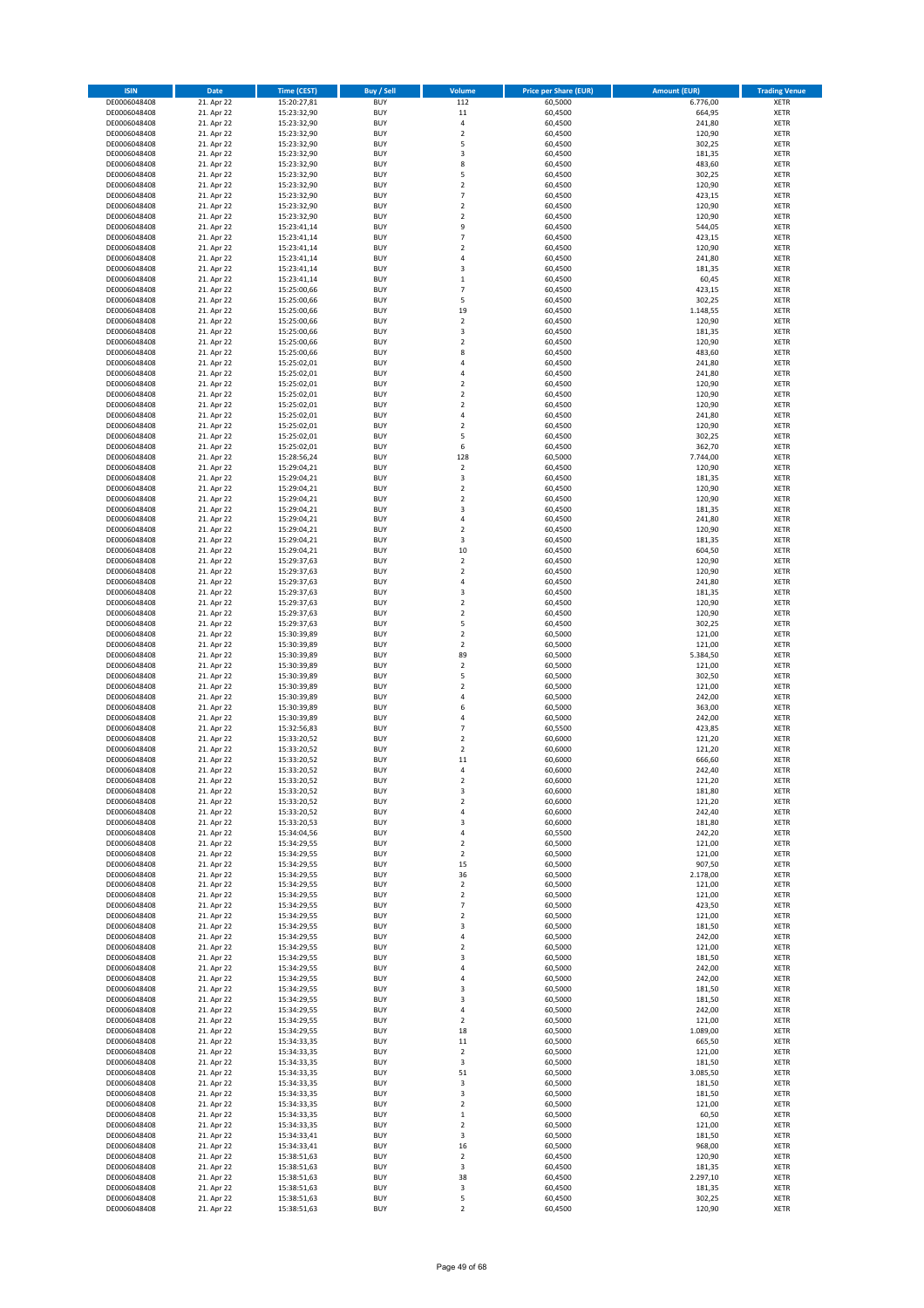| <b>ISIN</b>                  | <b>Date</b>              | <b>Time (CEST)</b>         | Buy / Sell               | Volume                        | <b>Price per Share (EUR)</b> | <b>Amount (EUR)</b> | <b>Trading Venue</b>       |
|------------------------------|--------------------------|----------------------------|--------------------------|-------------------------------|------------------------------|---------------------|----------------------------|
| DE0006048408                 | 21. Apr 22               | 15:20:27,81                | <b>BUY</b>               | 112                           | 60,5000                      | 6.776,00            | XETR                       |
| DE0006048408                 | 21. Apr 22               | 15:23:32,90                | <b>BUY</b>               | 11                            | 60,4500                      | 664,95              | XETR                       |
| DE0006048408<br>DE0006048408 | 21. Apr 22<br>21. Apr 22 | 15:23:32,90<br>15:23:32,90 | <b>BUY</b><br><b>BUY</b> | 4<br>$\mathbf 2$              | 60,4500<br>60,4500           | 241,80<br>120,90    | XETR<br>XETR               |
| DE0006048408                 | 21. Apr 22               | 15:23:32,90                | <b>BUY</b>               | 5                             | 60,4500                      | 302,25              | XETR                       |
| DE0006048408                 | 21. Apr 22               | 15:23:32,90                | <b>BUY</b>               | 3                             | 60,4500                      | 181,35              | <b>XETR</b>                |
| DE0006048408                 | 21. Apr 22               | 15:23:32,90                | <b>BUY</b>               | 8                             | 60,4500                      | 483,60              | <b>XETR</b>                |
| DE0006048408                 | 21. Apr 22               | 15:23:32,90                | <b>BUY</b>               | 5                             | 60,4500                      | 302,25              | <b>XETR</b>                |
| DE0006048408<br>DE0006048408 | 21. Apr 22<br>21. Apr 22 | 15:23:32,90                | <b>BUY</b><br><b>BUY</b> | $\mathbf 2$<br>$\overline{7}$ | 60,4500<br>60,4500           | 120,90<br>423,15    | <b>XETR</b><br><b>XETR</b> |
| DE0006048408                 | 21. Apr 22               | 15:23:32,90<br>15:23:32,90 | <b>BUY</b>               | $\mathbf 2$                   | 60,4500                      | 120,90              | <b>XETR</b>                |
| DE0006048408                 | 21. Apr 22               | 15:23:32,90                | <b>BUY</b>               | $\mathbf 2$                   | 60,4500                      | 120,90              | <b>XETR</b>                |
| DE0006048408                 | 21. Apr 22               | 15:23:41,14                | <b>BUY</b>               | 9                             | 60,4500                      | 544,05              | XETR                       |
| DE0006048408                 | 21. Apr 22               | 15:23:41,14                | <b>BUY</b>               | $\overline{7}$                | 60,4500                      | 423,15              | <b>XETR</b>                |
| DE0006048408                 | 21. Apr 22               | 15:23:41,14                | <b>BUY</b>               | $\mathbf 2$                   | 60,4500                      | 120,90              | XETR                       |
| DE0006048408<br>DE0006048408 | 21. Apr 22<br>21. Apr 22 | 15:23:41,14<br>15:23:41,14 | <b>BUY</b><br><b>BUY</b> | 4<br>3                        | 60,4500<br>60,4500           | 241,80<br>181,35    | <b>XETR</b><br>XETR        |
| DE0006048408                 | 21. Apr 22               | 15:23:41,14                | <b>BUY</b>               | $\mathbf 1$                   | 60,4500                      | 60,45               | <b>XETR</b>                |
| DE0006048408                 | 21. Apr 22               | 15:25:00,66                | <b>BUY</b>               | $\overline{7}$                | 60,4500                      | 423,15              | XETR                       |
| DE0006048408                 | 21. Apr 22               | 15:25:00,66                | <b>BUY</b>               | 5                             | 60,4500                      | 302,25              | <b>XETR</b>                |
| DE0006048408                 | 21. Apr 22               | 15:25:00,66                | <b>BUY</b>               | 19                            | 60,4500                      | 1.148,55            | XETR                       |
| DE0006048408<br>DE0006048408 | 21. Apr 22<br>21. Apr 22 | 15:25:00,66<br>15:25:00,66 | <b>BUY</b><br><b>BUY</b> | $\mathbf 2$<br>3              | 60,4500<br>60,4500           | 120,90<br>181,35    | XETR<br><b>XETR</b>        |
| DE0006048408                 | 21. Apr 22               | 15:25:00,66                | <b>BUY</b>               | $\mathbf 2$                   | 60,4500                      | 120,90              | <b>XETR</b>                |
| DE0006048408                 | 21. Apr 22               | 15:25:00,66                | <b>BUY</b>               | 8                             | 60,4500                      | 483,60              | <b>XETR</b>                |
| DE0006048408                 | 21. Apr 22               | 15:25:02,01                | <b>BUY</b>               | 4                             | 60,4500                      | 241,80              | <b>XETR</b>                |
| DE0006048408                 | 21. Apr 22               | 15:25:02,01                | <b>BUY</b>               | $\overline{4}$                | 60,4500                      | 241,80              | <b>XETR</b>                |
| DE0006048408<br>DE0006048408 | 21. Apr 22<br>21. Apr 22 | 15:25:02,01<br>15:25:02,01 | <b>BUY</b><br><b>BUY</b> | $\mathbf 2$<br>$\mathbf 2$    | 60,4500<br>60,4500           | 120,90<br>120,90    | <b>XETR</b><br><b>XETR</b> |
| DE0006048408                 | 21. Apr 22               | 15:25:02,01                | <b>BUY</b>               | $\mathbf 2$                   | 60,4500                      | 120,90              | <b>XETR</b>                |
| DE0006048408                 | 21. Apr 22               | 15:25:02,01                | <b>BUY</b>               | 4                             | 60,4500                      | 241,80              | <b>XETR</b>                |
| DE0006048408                 | 21. Apr 22               | 15:25:02,01                | <b>BUY</b>               | $\mathbf 2$                   | 60,4500                      | 120,90              | <b>XETR</b>                |
| DE0006048408                 | 21. Apr 22               | 15:25:02,01                | <b>BUY</b>               | 5                             | 60,4500                      | 302,25              | <b>XETR</b>                |
| DE0006048408                 | 21. Apr 22               | 15:25:02,01                | <b>BUY</b><br><b>BUY</b> | 6<br>128                      | 60,4500                      | 362,70              | XETR<br><b>XETR</b>        |
| DE0006048408<br>DE0006048408 | 21. Apr 22<br>21. Apr 22 | 15:28:56,24<br>15:29:04,21 | <b>BUY</b>               | $\mathbf 2$                   | 60,5000<br>60,4500           | 7.744,00<br>120,90  | XETR                       |
| DE0006048408                 | 21. Apr 22               | 15:29:04,21                | <b>BUY</b>               | 3                             | 60,4500                      | 181,35              | <b>XETR</b>                |
| DE0006048408                 | 21. Apr 22               | 15:29:04,21                | <b>BUY</b>               | $\mathbf 2$                   | 60,4500                      | 120,90              | XETR                       |
| DE0006048408                 | 21. Apr 22               | 15:29:04,21                | <b>BUY</b>               | $\mathbf 2$                   | 60,4500                      | 120,90              | <b>XETR</b>                |
| DE0006048408                 | 21. Apr 22               | 15:29:04,21                | <b>BUY</b>               | 3                             | 60,4500                      | 181,35              | <b>XETR</b>                |
| DE0006048408<br>DE0006048408 | 21. Apr 22<br>21. Apr 22 | 15:29:04,21<br>15:29:04,21 | <b>BUY</b><br><b>BUY</b> | 4<br>$\mathbf 2$              | 60,4500<br>60,4500           | 241,80<br>120,90    | <b>XETR</b><br><b>XETR</b> |
| DE0006048408                 | 21. Apr 22               | 15:29:04,21                | <b>BUY</b>               | 3                             | 60,4500                      | 181,35              | <b>XETR</b>                |
| DE0006048408                 | 21. Apr 22               | 15:29:04,21                | <b>BUY</b>               | 10                            | 60,4500                      | 604,50              | <b>XETR</b>                |
| DE0006048408                 | 21. Apr 22               | 15:29:37,63                | <b>BUY</b>               | $\mathbf 2$                   | 60,4500                      | 120,90              | <b>XETR</b>                |
| DE0006048408                 | 21. Apr 22               | 15:29:37,63                | <b>BUY</b>               | $\mathbf 2$                   | 60,4500                      | 120,90              | XETR                       |
| DE0006048408                 | 21. Apr 22               | 15:29:37,63                | <b>BUY</b><br><b>BUY</b> | 4<br>3                        | 60,4500                      | 241,80              | XETR<br><b>XETR</b>        |
| DE0006048408<br>DE0006048408 | 21. Apr 22<br>21. Apr 22 | 15:29:37,63<br>15:29:37,63 | <b>BUY</b>               | $\mathbf 2$                   | 60,4500<br>60,4500           | 181,35<br>120,90    | <b>XETR</b>                |
| DE0006048408                 | 21. Apr 22               | 15:29:37,63                | <b>BUY</b>               | $\mathbf 2$                   | 60,4500                      | 120,90              | XETR                       |
| DE0006048408                 | 21. Apr 22               | 15:29:37,63                | <b>BUY</b>               | 5                             | 60,4500                      | 302,25              | <b>XETR</b>                |
| DE0006048408                 | 21. Apr 22               | 15:30:39,89                | <b>BUY</b>               | $\overline{\mathbf{c}}$       | 60,5000                      | 121,00              | <b>XETR</b>                |
| DE0006048408                 | 21. Apr 22               | 15:30:39,89                | <b>BUY</b>               | $\mathbf 2$                   | 60,5000                      | 121,00              | <b>XETR</b>                |
| DE0006048408<br>DE0006048408 | 21. Apr 22<br>21. Apr 22 | 15:30:39,89<br>15:30:39,89 | <b>BUY</b><br><b>BUY</b> | 89<br>$\mathbf 2$             | 60,5000<br>60,5000           | 5.384,50<br>121,00  | <b>XETR</b><br>XETR        |
| DE0006048408                 | 21. Apr 22               | 15:30:39,89                | <b>BUY</b>               | 5                             | 60,5000                      | 302,50              | <b>XETR</b>                |
| DE0006048408                 | 21. Apr 22               | 15:30:39,89                | <b>BUY</b>               | $\overline{\mathbf{c}}$       | 60,5000                      | 121,00              | <b>XETR</b>                |
| DE0006048408                 | 21. Apr 22               | 15:30:39,89                | <b>BUY</b>               | $\overline{4}$                | 60,5000                      | 242,00              | <b>XETR</b>                |
| DE0006048408                 | 21. Apr 22               | 15:30:39,89                | <b>BUY</b>               | 6                             | 60,5000                      | 363,00              | <b>XETR</b>                |
| DE0006048408                 | 21. Apr 22               | 15:30:39,89                | <b>BUY</b><br><b>BUY</b> | 4<br>$\overline{7}$           | 60,5000                      | 242,00<br>423,85    | <b>XETR</b><br>XETR        |
| DE0006048408<br>DE0006048408 | 21. Apr 22<br>21. Apr 22 | 15:32:56,83<br>15:33:20,52 | <b>BUY</b>               | $\overline{\mathbf{c}}$       | 60,5500<br>60,6000           | 121,20              | <b>XETR</b>                |
| DE0006048408                 | 21. Apr 22               | 15:33:20,52                | <b>BUY</b>               | $\mathbf 2$                   | 60,6000                      | 121,20              | XETR                       |
| DE0006048408                 | 21. Apr 22               | 15:33:20,52                | <b>BUY</b>               | 11                            | 60,6000                      | 666,60              | <b>XETR</b>                |
| DE0006048408                 | 21. Apr 22               | 15:33:20,52                | <b>BUY</b>               | 4                             | 60,6000                      | 242,40              | XETR                       |
| DE0006048408                 | 21. Apr 22               | 15:33:20,52                | <b>BUY</b>               | 2                             | 60,6000                      | 121,20              | XETR                       |
| DE0006048408<br>DE0006048408 | 21. Apr 22<br>21. Apr 22 | 15:33:20,52<br>15:33:20,52 | <b>BUY</b><br><b>BUY</b> | 3<br>$\mathbf 2$              | 60,6000<br>60,6000           | 181,80<br>121,20    | XETR<br>XETR               |
| DE0006048408                 | 21. Apr 22               | 15:33:20,52                | <b>BUY</b>               | 4                             | 60,6000                      | 242,40              | XETR                       |
| DE0006048408                 | 21. Apr 22               | 15:33:20,53                | <b>BUY</b>               | 3                             | 60,6000                      | 181,80              | <b>XETR</b>                |
| DE0006048408                 | 21. Apr 22               | 15:34:04,56                | <b>BUY</b>               | 4                             | 60,5500                      | 242,20              | XETR                       |
| DE0006048408                 | 21. Apr 22               | 15:34:29,55                | <b>BUY</b>               | $\overline{\mathbf{2}}$       | 60,5000                      | 121,00              | <b>XETR</b>                |
| DE0006048408<br>DE0006048408 | 21. Apr 22<br>21. Apr 22 | 15:34:29,55<br>15:34:29,55 | <b>BUY</b><br><b>BUY</b> | $\overline{\mathbf{c}}$<br>15 | 60,5000<br>60,5000           | 121,00<br>907,50    | XETR<br><b>XETR</b>        |
| DE0006048408                 | 21. Apr 22               | 15:34:29,55                | <b>BUY</b>               | 36                            | 60,5000                      | 2.178,00            | XETR                       |
| DE0006048408                 | 21. Apr 22               | 15:34:29,55                | <b>BUY</b>               | $\mathbf 2$                   | 60,5000                      | 121,00              | <b>XETR</b>                |
| DE0006048408                 | 21. Apr 22               | 15:34:29,55                | <b>BUY</b>               | $\mathbf 2$                   | 60,5000                      | 121,00              | XETR                       |
| DE0006048408                 | 21. Apr 22               | 15:34:29,55                | <b>BUY</b>               | 7                             | 60,5000                      | 423,50              | <b>XETR</b>                |
| DE0006048408<br>DE0006048408 | 21. Apr 22<br>21. Apr 22 | 15:34:29,55<br>15:34:29,55 | <b>BUY</b><br><b>BUY</b> | $\mathbf 2$<br>3              | 60,5000<br>60,5000           | 121,00<br>181,50    | XETR<br><b>XETR</b>        |
| DE0006048408                 | 21. Apr 22               | 15:34:29,55                | <b>BUY</b>               | 4                             | 60,5000                      | 242,00              | XETR                       |
| DE0006048408                 | 21. Apr 22               | 15:34:29,55                | <b>BUY</b>               | $\mathbf 2$                   | 60,5000                      | 121,00              | <b>XETR</b>                |
| DE0006048408                 | 21. Apr 22               | 15:34:29,55                | <b>BUY</b>               | 3                             | 60,5000                      | 181,50              | <b>XETR</b>                |
| DE0006048408                 | 21. Apr 22               | 15:34:29,55                | <b>BUY</b>               | 4                             | 60,5000                      | 242,00              | <b>XETR</b>                |
| DE0006048408                 | 21. Apr 22               | 15:34:29,55                | <b>BUY</b>               | 4                             | 60,5000                      | 242,00              | XETR                       |
| DE0006048408<br>DE0006048408 | 21. Apr 22<br>21. Apr 22 | 15:34:29,55<br>15:34:29,55 | <b>BUY</b><br><b>BUY</b> | 3<br>3                        | 60,5000<br>60,5000           | 181,50<br>181,50    | <b>XETR</b><br><b>XETR</b> |
| DE0006048408                 | 21. Apr 22               | 15:34:29,55                | <b>BUY</b>               | 4                             | 60,5000                      | 242,00              | XETR                       |
| DE0006048408                 | 21. Apr 22               | 15:34:29,55                | <b>BUY</b>               | $\overline{\mathbf{2}}$       | 60,5000                      | 121,00              | XETR                       |
| DE0006048408                 | 21. Apr 22               | 15:34:29,55                | <b>BUY</b>               | 18                            | 60,5000                      | 1.089,00            | XETR                       |
| DE0006048408                 | 21. Apr 22               | 15:34:33,35                | <b>BUY</b>               | 11                            | 60,5000                      | 665,50              | <b>XETR</b>                |
| DE0006048408<br>DE0006048408 | 21. Apr 22<br>21. Apr 22 | 15:34:33,35<br>15:34:33,35 | <b>BUY</b><br><b>BUY</b> | $\mathbf 2$<br>3              | 60,5000<br>60,5000           | 121,00<br>181,50    | XETR<br><b>XETR</b>        |
| DE0006048408                 | 21. Apr 22               | 15:34:33,35                | <b>BUY</b>               | 51                            | 60,5000                      | 3.085,50            | XETR                       |
| DE0006048408                 | 21. Apr 22               | 15:34:33,35                | <b>BUY</b>               | 3                             | 60,5000                      | 181,50              | <b>XETR</b>                |
| DE0006048408                 | 21. Apr 22               | 15:34:33,35                | <b>BUY</b>               | 3                             | 60,5000                      | 181,50              | XETR                       |
| DE0006048408                 | 21. Apr 22               | 15:34:33,35                | <b>BUY</b>               | $\mathbf 2$                   | 60,5000                      | 121,00              | <b>XETR</b>                |
| DE0006048408                 | 21. Apr 22               | 15:34:33,35                | <b>BUY</b>               | $\mathbf 1$                   | 60,5000                      | 60,50               | XETR                       |
| DE0006048408<br>DE0006048408 | 21. Apr 22<br>21. Apr 22 | 15:34:33,35<br>15:34:33,41 | <b>BUY</b><br><b>BUY</b> | $\overline{\mathbf{2}}$<br>3  | 60,5000<br>60,5000           | 121,00<br>181,50    | <b>XETR</b><br><b>XETR</b> |
| DE0006048408                 | 21. Apr 22               | 15:34:33,41                | <b>BUY</b>               | 16                            | 60,5000                      | 968,00              | <b>XETR</b>                |
| DE0006048408                 | 21. Apr 22               | 15:38:51,63                | <b>BUY</b>               | $\mathbf 2$                   | 60,4500                      | 120,90              | XETR                       |
| DE0006048408                 | 21. Apr 22               | 15:38:51,63                | <b>BUY</b>               | 3                             | 60,4500                      | 181,35              | <b>XETR</b>                |
| DE0006048408                 | 21. Apr 22               | 15:38:51,63                | <b>BUY</b>               | 38                            | 60,4500                      | 2.297,10            | XETR                       |
| DE0006048408<br>DE0006048408 | 21. Apr 22<br>21. Apr 22 | 15:38:51,63<br>15:38:51,63 | <b>BUY</b><br><b>BUY</b> | 3<br>5                        | 60,4500<br>60,4500           | 181,35<br>302,25    | XETR<br>XETR               |
| DE0006048408                 | 21. Apr 22               | 15:38:51,63                | <b>BUY</b>               | $\mathbf 2$                   | 60,4500                      | 120,90              | <b>XETR</b>                |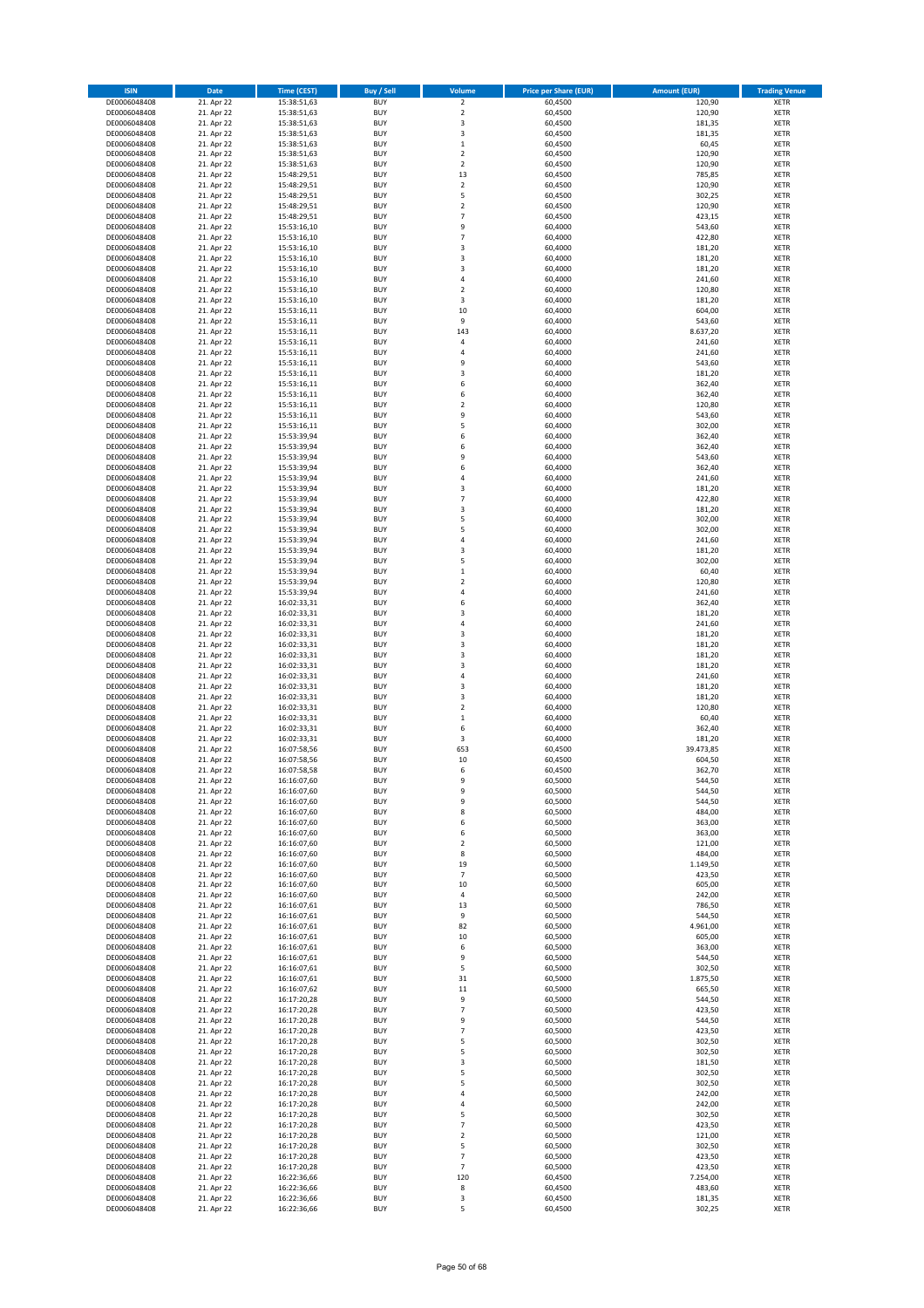| <b>ISIN</b>                  | Date                     | <b>Time (CEST)</b>         | <b>Buy / Sell</b>        | Volume                        | <b>Price per Share (EUR)</b> | <b>Amount (EUR)</b> | <b>Trading Venue</b>       |
|------------------------------|--------------------------|----------------------------|--------------------------|-------------------------------|------------------------------|---------------------|----------------------------|
| DE0006048408                 | 21. Apr 22               | 15:38:51,63                | <b>BUY</b>               | $\overline{2}$                | 60,4500                      | 120,90              | <b>XETR</b>                |
| DE0006048408                 | 21. Apr 22               | 15:38:51,63                | <b>BUY</b>               | $\mathbf 2$                   | 60,4500                      | 120,90              | <b>XETR</b>                |
| DE0006048408<br>DE0006048408 | 21. Apr 22<br>21. Apr 22 | 15:38:51,63<br>15:38:51,63 | <b>BUY</b><br><b>BUY</b> | 3<br>3                        | 60,4500<br>60,4500           | 181,35<br>181,35    | <b>XETR</b><br><b>XETR</b> |
| DE0006048408                 | 21. Apr 22               | 15:38:51,63                | <b>BUY</b>               | $\,$ 1                        | 60,4500                      | 60,45               | <b>XETR</b>                |
| DE0006048408                 | 21. Apr 22               | 15:38:51,63                | <b>BUY</b>               | $\overline{2}$                | 60,4500                      | 120,90              | <b>XETR</b>                |
| DE0006048408                 | 21. Apr 22               | 15:38:51,63                | <b>BUY</b>               | $\mathbf 2$                   | 60,4500                      | 120,90              | <b>XETR</b>                |
| DE0006048408                 | 21. Apr 22               | 15:48:29,51                | <b>BUY</b>               | 13                            | 60,4500                      | 785,85              | <b>XETR</b>                |
| DE0006048408<br>DE0006048408 | 21. Apr 22<br>21. Apr 22 | 15:48:29,51                | <b>BUY</b><br><b>BUY</b> | $\mathbf 2$<br>5              | 60,4500<br>60,4500           | 120,90<br>302,25    | XETR<br><b>XETR</b>        |
| DE0006048408                 | 21. Apr 22               | 15:48:29,51<br>15:48:29,51 | <b>BUY</b>               | $\mathbf 2$                   | 60,4500                      | 120,90              | XETR                       |
| DE0006048408                 | 21. Apr 22               | 15:48:29,51                | <b>BUY</b>               | $\overline{7}$                | 60,4500                      | 423,15              | <b>XETR</b>                |
| DE0006048408                 | 21. Apr 22               | 15:53:16,10                | <b>BUY</b>               | 9                             | 60,4000                      | 543,60              | XETR                       |
| DE0006048408                 | 21. Apr 22               | 15:53:16,10                | <b>BUY</b>               | $\overline{7}$                | 60,4000                      | 422,80              | <b>XETR</b>                |
| DE0006048408                 | 21. Apr 22               | 15:53:16,10<br>15:53:16,10 | <b>BUY</b><br><b>BUY</b> | $\overline{\mathbf{3}}$<br>3  | 60,4000                      | 181,20              | <b>XETR</b><br><b>XETR</b> |
| DE0006048408<br>DE0006048408 | 21. Apr 22<br>21. Apr 22 | 15:53:16,10                | <b>BUY</b>               | 3                             | 60,4000<br>60,4000           | 181,20<br>181,20    | XETR                       |
| DE0006048408                 | 21. Apr 22               | 15:53:16,10                | <b>BUY</b>               | $\sqrt{4}$                    | 60,4000                      | 241,60              | <b>XETR</b>                |
| DE0006048408                 | 21. Apr 22               | 15:53:16,10                | <b>BUY</b>               | $\overline{2}$                | 60,4000                      | 120,80              | XETR                       |
| DE0006048408                 | 21. Apr 22               | 15:53:16,10                | <b>BUY</b>               | 3                             | 60,4000                      | 181,20              | <b>XETR</b>                |
| DE0006048408<br>DE0006048408 | 21. Apr 22<br>21. Apr 22 | 15:53:16,11<br>15:53:16,11 | <b>BUY</b><br><b>BUY</b> | 10<br>9                       | 60,4000<br>60,4000           | 604,00<br>543,60    | <b>XETR</b><br><b>XETR</b> |
| DE0006048408                 | 21. Apr 22               | 15:53:16,11                | <b>BUY</b>               | 143                           | 60,4000                      | 8.637,20            | <b>XETR</b>                |
| DE0006048408                 | 21. Apr 22               | 15:53:16,11                | <b>BUY</b>               | 4                             | 60,4000                      | 241,60              | <b>XETR</b>                |
| DE0006048408                 | 21. Apr 22               | 15:53:16,11                | <b>BUY</b>               | $\sqrt{4}$                    | 60,4000                      | 241,60              | <b>XETR</b>                |
| DE0006048408                 | 21. Apr 22               | 15:53:16,11                | <b>BUY</b>               | 9                             | 60,4000                      | 543,60              | <b>XETR</b>                |
| DE0006048408                 | 21. Apr 22               | 15:53:16,11                | <b>BUY</b>               | 3                             | 60,4000                      | 181,20              | <b>XETR</b>                |
| DE0006048408<br>DE0006048408 | 21. Apr 22<br>21. Apr 22 | 15:53:16,11<br>15:53:16,11 | <b>BUY</b><br><b>BUY</b> | 6<br>6                        | 60,4000<br>60,4000           | 362,40<br>362,40    | <b>XETR</b><br><b>XETR</b> |
| DE0006048408                 | 21. Apr 22               | 15:53:16,11                | <b>BUY</b>               | $\boldsymbol{2}$              | 60,4000                      | 120,80              | <b>XETR</b>                |
| DE0006048408                 | 21. Apr 22               | 15:53:16,11                | <b>BUY</b>               | 9                             | 60,4000                      | 543,60              | <b>XETR</b>                |
| DE0006048408                 | 21. Apr 22               | 15:53:16,11                | <b>BUY</b>               | 5                             | 60,4000                      | 302,00              | <b>XETR</b>                |
| DE0006048408                 | 21. Apr 22               | 15:53:39,94                | <b>BUY</b><br><b>BUY</b> | 6<br>6                        | 60,4000<br>60,4000           | 362,40<br>362,40    | <b>XETR</b><br>XETR        |
| DE0006048408<br>DE0006048408 | 21. Apr 22<br>21. Apr 22 | 15:53:39,94<br>15:53:39,94 | <b>BUY</b>               | 9                             | 60,4000                      | 543,60              | <b>XETR</b>                |
| DE0006048408                 | 21. Apr 22               | 15:53:39,94                | <b>BUY</b>               | 6                             | 60,4000                      | 362,40              | XETR                       |
| DE0006048408                 | 21. Apr 22               | 15:53:39,94                | <b>BUY</b>               | $\sqrt{4}$                    | 60,4000                      | 241,60              | <b>XETR</b>                |
| DE0006048408                 | 21. Apr 22               | 15:53:39,94                | <b>BUY</b>               | 3                             | 60,4000                      | 181,20              | XETR                       |
| DE0006048408                 | 21. Apr 22               | 15:53:39,94                | <b>BUY</b>               | $\overline{7}$                | 60,4000                      | 422,80              | <b>XETR</b>                |
| DE0006048408<br>DE0006048408 | 21. Apr 22<br>21. Apr 22 | 15:53:39,94                | <b>BUY</b><br><b>BUY</b> | $\overline{\mathbf{3}}$<br>5  | 60,4000<br>60,4000           | 181,20<br>302,00    | <b>XETR</b><br><b>XETR</b> |
| DE0006048408                 | 21. Apr 22               | 15:53:39,94<br>15:53:39,94 | <b>BUY</b>               | 5                             | 60,4000                      | 302,00              | XETR                       |
| DE0006048408                 | 21. Apr 22               | 15:53:39,94                | <b>BUY</b>               | $\sqrt{4}$                    | 60,4000                      | 241,60              | <b>XETR</b>                |
| DE0006048408                 | 21. Apr 22               | 15:53:39,94                | <b>BUY</b>               | 3                             | 60,4000                      | 181,20              | <b>XETR</b>                |
| DE0006048408                 | 21. Apr 22               | 15:53:39,94                | <b>BUY</b>               | 5                             | 60,4000                      | 302,00              | <b>XETR</b>                |
| DE0006048408                 | 21. Apr 22               | 15:53:39,94                | <b>BUY</b>               | $\,$ 1                        | 60,4000                      | 60,40               | <b>XETR</b>                |
| DE0006048408<br>DE0006048408 | 21. Apr 22<br>21. Apr 22 | 15:53:39,94<br>15:53:39,94 | <b>BUY</b><br><b>BUY</b> | $\overline{2}$<br>$\sqrt{4}$  | 60,4000<br>60,4000           | 120,80<br>241,60    | <b>XETR</b><br><b>XETR</b> |
| DE0006048408                 | 21. Apr 22               | 16:02:33,31                | <b>BUY</b>               | 6                             | 60,4000                      | 362,40              | <b>XETR</b>                |
| DE0006048408                 | 21. Apr 22               | 16:02:33,31                | <b>BUY</b>               | 3                             | 60,4000                      | 181,20              | <b>XETR</b>                |
| DE0006048408                 | 21. Apr 22               | 16:02:33,31                | <b>BUY</b>               | 4                             | 60,4000                      | 241,60              | <b>XETR</b>                |
| DE0006048408                 | 21. Apr 22               | 16:02:33,31                | <b>BUY</b><br><b>BUY</b> | 3<br>3                        | 60,4000                      | 181,20              | <b>XETR</b>                |
| DE0006048408<br>DE0006048408 | 21. Apr 22<br>21. Apr 22 | 16:02:33,31<br>16:02:33,31 | <b>BUY</b>               | 3                             | 60,4000<br>60,4000           | 181,20<br>181,20    | <b>XETR</b><br><b>XETR</b> |
| DE0006048408                 | 21. Apr 22               | 16:02:33,31                | <b>BUY</b>               | 3                             | 60,4000                      | 181,20              | <b>XETR</b>                |
| DE0006048408                 | 21. Apr 22               | 16:02:33,31                | <b>BUY</b>               | $\overline{4}$                | 60,4000                      | 241,60              | <b>XETR</b>                |
| DE0006048408                 | 21. Apr 22               | 16:02:33,31                | <b>BUY</b>               | $\overline{\mathbf{3}}$       | 60,4000                      | 181,20              | <b>XETR</b>                |
| DE0006048408                 | 21. Apr 22               | 16:02:33,31                | <b>BUY</b>               | 3                             | 60,4000                      | 181,20              | <b>XETR</b>                |
| DE0006048408<br>DE0006048408 | 21. Apr 22<br>21. Apr 22 | 16:02:33,31<br>16:02:33,31 | <b>BUY</b><br><b>BUY</b> | $\overline{2}$<br>$\,1\,$     | 60,4000<br>60,4000           | 120,80<br>60,40     | <b>XETR</b><br><b>XETR</b> |
| DE0006048408                 | 21. Apr 22               | 16:02:33,31                | <b>BUY</b>               | 6                             | 60,4000                      | 362,40              | XETR                       |
| DE0006048408                 | 21. Apr 22               | 16:02:33,31                | <b>BUY</b>               | 3                             | 60,4000                      | 181,20              | <b>XETR</b>                |
| DE0006048408                 | 21. Apr 22               | 16:07:58,56                | <b>BUY</b>               | 653                           | 60,4500                      | 39.473,85           | XETR                       |
| DE0006048408                 | 21. Apr 22               | 16:07:58,56                | <b>BUY</b>               | 10                            | 60,4500                      | 604,50              | <b>XETR</b>                |
| DE0006048408<br>DE0006048408 | 21. Apr 22<br>21. Apr 22 | 16:07:58,58<br>16:16:07,60 | <b>BUY</b><br><b>BUY</b> | 6<br>9                        | 60,4500<br>60,5000           | 362,70<br>544,50    | <b>XETR</b><br>XETR        |
| DE0006048408                 | 21. Apr 22               | 16:16:07,60                | <b>BUY</b>               | 9                             | 60,5000                      | 544,50              | XETR                       |
| DE0006048408                 | 21. Apr 22               | 16:16:07,60                | <b>BUY</b>               | 9                             | 60,5000                      | 544,50              | XETR                       |
| DE0006048408                 | 21. Apr 22               | 16:16:07,60                | <b>BUY</b>               | 8                             | 60,5000                      | 484,00              | <b>XETR</b>                |
| DE0006048408                 | 21. Apr 22<br>21. Apr 22 | 16:16:07,60                | <b>BUY</b>               | 6                             | 60,5000                      | 363,00              | <b>XETR</b>                |
| DE0006048408<br>DE0006048408 | 21. Apr 22               | 16:16:07,60<br>16:16:07.60 | <b>BUY</b><br><b>BUY</b> | 6<br>$\overline{2}$           | 60,5000<br>60,5000           | 363,00<br>121,00    | XETR<br><b>XETR</b>        |
| DE0006048408                 | 21. Apr 22               | 16:16:07,60                | <b>BUY</b>               | 8                             | 60,5000                      | 484,00              | <b>XETR</b>                |
| DE0006048408                 | 21. Apr 22               | 16:16:07,60                | <b>BUY</b>               | 19                            | 60,5000                      | 1.149,50            | <b>XETR</b>                |
| DE0006048408                 | 21. Apr 22               | 16:16:07,60                | <b>BUY</b>               | $\overline{7}$                | 60,5000                      | 423,50              | XETR                       |
| DE0006048408<br>DE0006048408 | 21. Apr 22<br>21. Apr 22 | 16:16:07,60<br>16:16:07,60 | <b>BUY</b><br><b>BUY</b> | 10<br>$\sqrt{4}$              | 60,5000<br>60,5000           | 605,00<br>242,00    | <b>XETR</b><br><b>XETR</b> |
| DE0006048408                 | 21. Apr 22               | 16:16:07,61                | <b>BUY</b>               | 13                            | 60,5000                      | 786,50              | <b>XETR</b>                |
| DE0006048408                 | 21. Apr 22               | 16:16:07,61                | <b>BUY</b>               | 9                             | 60,5000                      | 544,50              | XETR                       |
| DE0006048408                 | 21. Apr 22               | 16:16:07,61                | <b>BUY</b>               | 82                            | 60,5000                      | 4.961,00            | <b>XETR</b>                |
| DE0006048408                 | 21. Apr 22               | 16:16:07,61                | <b>BUY</b>               | 10                            | 60,5000                      | 605,00              | <b>XETR</b>                |
| DE0006048408<br>DE0006048408 | 21. Apr 22<br>21. Apr 22 | 16:16:07,61<br>16:16:07,61 | <b>BUY</b><br><b>BUY</b> | 6<br>9                        | 60,5000<br>60,5000           | 363,00<br>544,50    | <b>XETR</b><br><b>XETR</b> |
| DE0006048408                 | 21. Apr 22               | 16:16:07,61                | <b>BUY</b>               | 5                             | 60,5000                      | 302,50              | <b>XETR</b>                |
| DE0006048408                 | 21. Apr 22               | 16:16:07,61                | <b>BUY</b>               | 31                            | 60,5000                      | 1.875,50            | <b>XETR</b>                |
| DE0006048408                 | 21. Apr 22               | 16:16:07,62                | <b>BUY</b>               | $11\,$                        | 60,5000                      | 665,50              | <b>XETR</b>                |
| DE0006048408                 | 21. Apr 22               | 16:17:20,28                | <b>BUY</b>               | 9                             | 60,5000                      | 544,50              | <b>XETR</b>                |
| DE0006048408<br>DE0006048408 | 21. Apr 22<br>21. Apr 22 | 16:17:20,28<br>16:17:20,28 | <b>BUY</b><br><b>BUY</b> | $\overline{\phantom{a}}$<br>9 | 60,5000<br>60,5000           | 423,50<br>544,50    | XETR<br>XETR               |
| DE0006048408                 | 21. Apr 22               | 16:17:20,28                | <b>BUY</b>               | $\overline{\phantom{a}}$      | 60,5000                      | 423,50              | XETR                       |
| DE0006048408                 | 21. Apr 22               | 16:17:20,28                | <b>BUY</b>               | 5                             | 60,5000                      | 302,50              | <b>XETR</b>                |
| DE0006048408                 | 21. Apr 22               | 16:17:20,28                | <b>BUY</b>               | 5                             | 60,5000                      | 302,50              | XETR                       |
| DE0006048408                 | 21. Apr 22               | 16:17:20,28                | <b>BUY</b>               | 3                             | 60,5000                      | 181,50              | XETR                       |
| DE0006048408                 | 21. Apr 22               | 16:17:20,28                | <b>BUY</b><br><b>BUY</b> | 5                             | 60,5000                      | 302,50              | XETR                       |
| DE0006048408<br>DE0006048408 | 21. Apr 22<br>21. Apr 22 | 16:17:20,28<br>16:17:20,28 | <b>BUY</b>               | 5<br>4                        | 60,5000<br>60,5000           | 302,50<br>242,00    | XETR<br>XETR               |
| DE0006048408                 | 21. Apr 22               | 16:17:20,28                | <b>BUY</b>               | 4                             | 60,5000                      | 242,00              | XETR                       |
| DE0006048408                 | 21. Apr 22               | 16:17:20,28                | <b>BUY</b>               | 5                             | 60,5000                      | 302,50              | <b>XETR</b>                |
| DE0006048408                 | 21. Apr 22               | 16:17:20,28                | <b>BUY</b>               | $\overline{7}$                | 60,5000                      | 423,50              | <b>XETR</b>                |
| DE0006048408<br>DE0006048408 | 21. Apr 22<br>21. Apr 22 | 16:17:20,28<br>16:17:20,28 | <b>BUY</b><br><b>BUY</b> | $\mathbf 2$<br>5              | 60,5000<br>60,5000           | 121,00<br>302,50    | <b>XETR</b><br><b>XETR</b> |
| DE0006048408                 | 21. Apr 22               | 16:17:20,28                | <b>BUY</b>               | $\overline{\phantom{a}}$      | 60,5000                      | 423,50              | <b>XETR</b>                |
| DE0006048408                 | 21. Apr 22               | 16:17:20,28                | <b>BUY</b>               | $\overline{7}$                | 60,5000                      | 423,50              | <b>XETR</b>                |
| DE0006048408                 | 21. Apr 22               | 16:22:36,66                | <b>BUY</b>               | 120                           | 60,4500                      | 7.254,00            | <b>XETR</b>                |
| DE0006048408                 | 21. Apr 22               | 16:22:36,66                | <b>BUY</b>               | 8                             | 60,4500                      | 483,60              | <b>XETR</b>                |
| DE0006048408<br>DE0006048408 | 21. Apr 22<br>21. Apr 22 | 16:22:36,66<br>16:22:36,66 | <b>BUY</b><br><b>BUY</b> | 3<br>5                        | 60,4500<br>60,4500           | 181,35<br>302,25    | <b>XETR</b><br><b>XETR</b> |
|                              |                          |                            |                          |                               |                              |                     |                            |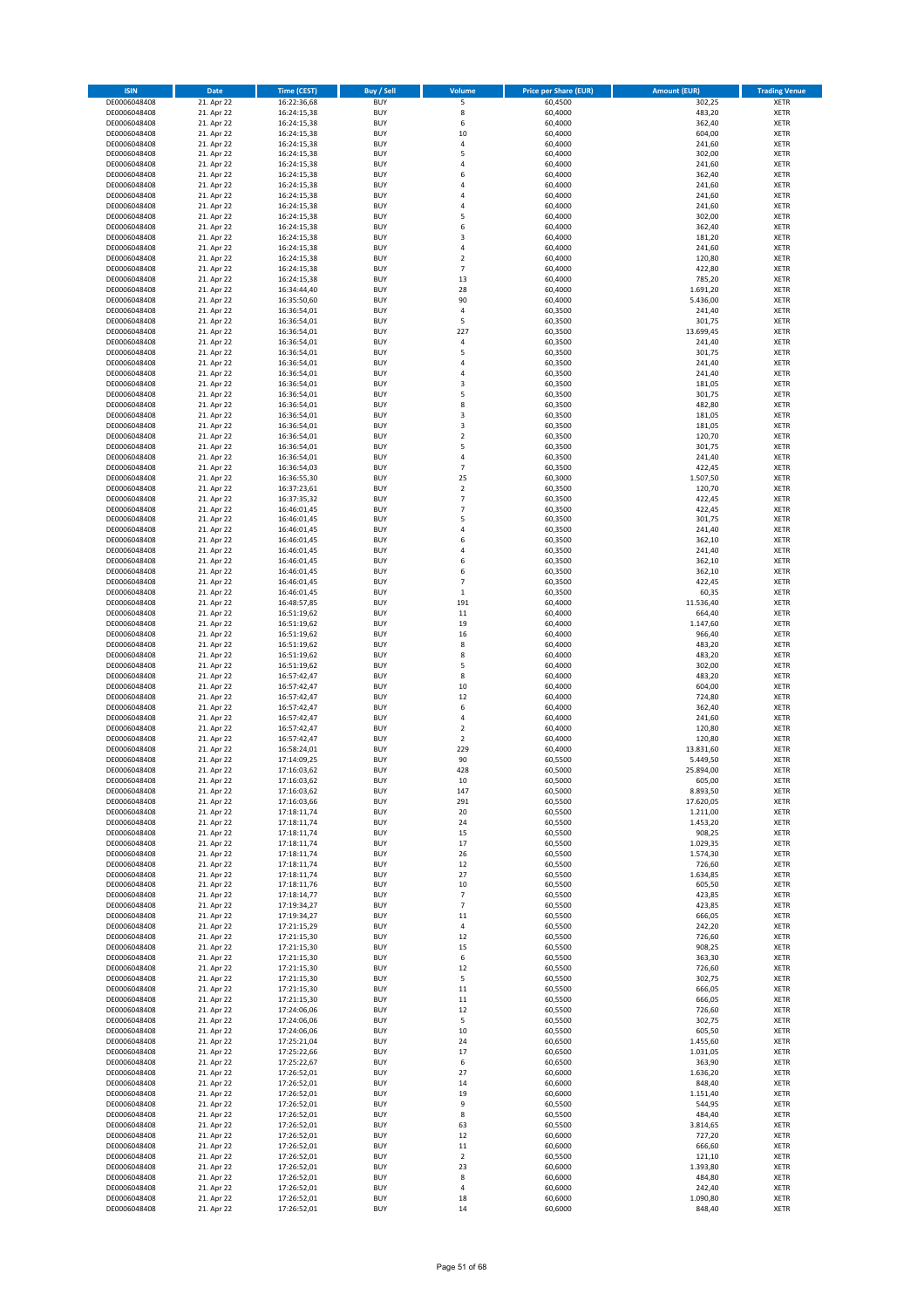| <b>ISIN</b>                  | Date                     | <b>Time (CEST)</b>         | <b>Buy / Sell</b>        | Volume                   | <b>Price per Share (EUR)</b> | <b>Amount (EUR)</b> | <b>Trading Venue</b>       |
|------------------------------|--------------------------|----------------------------|--------------------------|--------------------------|------------------------------|---------------------|----------------------------|
| DE0006048408                 | 21. Apr 22               | 16:22:36,68                | <b>BUY</b>               | 5                        | 60,4500                      | 302,25              | <b>XETR</b>                |
| DE0006048408<br>DE0006048408 | 21. Apr 22<br>21. Apr 22 | 16:24:15,38<br>16:24:15,38 | <b>BUY</b><br><b>BUY</b> | 8<br>6                   | 60,4000<br>60,4000           | 483,20<br>362,40    | <b>XETR</b><br><b>XETR</b> |
| DE0006048408                 | 21. Apr 22               | 16:24:15,38                | <b>BUY</b>               | 10                       | 60,4000                      | 604,00              | <b>XETR</b>                |
| DE0006048408                 | 21. Apr 22               | 16:24:15,38                | <b>BUY</b>               | 4                        | 60,4000                      | 241,60              | <b>XETR</b>                |
| DE0006048408                 | 21. Apr 22               | 16:24:15,38                | <b>BUY</b>               | 5                        | 60,4000                      | 302,00              | <b>XETR</b>                |
| DE0006048408<br>DE0006048408 | 21. Apr 22<br>21. Apr 22 | 16:24:15,38<br>16:24:15,38 | <b>BUY</b><br><b>BUY</b> | $\overline{4}$<br>6      | 60,4000<br>60,4000           | 241,60<br>362,40    | <b>XETR</b><br><b>XETR</b> |
| DE0006048408                 | 21. Apr 22               | 16:24:15,38                | <b>BUY</b>               | 4                        | 60,4000                      | 241,60              | XETR                       |
| DE0006048408                 | 21. Apr 22               | 16:24:15,38                | <b>BUY</b>               | $\overline{a}$           | 60,4000                      | 241,60              | <b>XETR</b>                |
| DE0006048408                 | 21. Apr 22               | 16:24:15,38                | <b>BUY</b>               | $\overline{4}$           | 60,4000                      | 241,60              | XETR                       |
| DE0006048408<br>DE0006048408 | 21. Apr 22<br>21. Apr 22 | 16:24:15,38<br>16:24:15,38 | <b>BUY</b><br><b>BUY</b> | 5<br>6                   | 60,4000<br>60,4000           | 302,00<br>362,40    | <b>XETR</b><br>XETR        |
| DE0006048408                 | 21. Apr 22               | 16:24:15,38                | <b>BUY</b>               | 3                        | 60,4000                      | 181,20              | <b>XETR</b>                |
| DE0006048408                 | 21. Apr 22               | 16:24:15,38                | <b>BUY</b>               | $\sqrt{4}$               | 60,4000                      | 241,60              | <b>XETR</b>                |
| DE0006048408                 | 21. Apr 22               | 16:24:15,38                | <b>BUY</b>               | $\overline{2}$           | 60,4000                      | 120,80              | <b>XETR</b>                |
| DE0006048408<br>DE0006048408 | 21. Apr 22<br>21. Apr 22 | 16:24:15,38<br>16:24:15,38 | <b>BUY</b><br><b>BUY</b> | $\overline{7}$<br>13     | 60,4000<br>60,4000           | 422,80<br>785,20    | XETR<br><b>XETR</b>        |
| DE0006048408                 | 21. Apr 22               | 16:34:44,40                | <b>BUY</b>               | 28                       | 60,4000                      | 1.691,20            | XETR                       |
| DE0006048408                 | 21. Apr 22               | 16:35:50,60                | <b>BUY</b>               | 90                       | 60,4000                      | 5.436,00            | <b>XETR</b>                |
| DE0006048408                 | 21. Apr 22               | 16:36:54,01                | <b>BUY</b>               | $\sqrt{4}$               | 60,3500                      | 241,40              | <b>XETR</b>                |
| DE0006048408<br>DE0006048408 | 21. Apr 22<br>21. Apr 22 | 16:36:54,01<br>16:36:54,01 | <b>BUY</b><br><b>BUY</b> | 5<br>227                 | 60,3500<br>60,3500           | 301,75<br>13.699,45 | <b>XETR</b><br><b>XETR</b> |
| DE0006048408                 | 21. Apr 22               | 16:36:54,01                | <b>BUY</b>               | 4                        | 60,3500                      | 241,40              | <b>XETR</b>                |
| DE0006048408                 | 21. Apr 22               | 16:36:54,01                | <b>BUY</b>               | 5                        | 60,3500                      | 301,75              | <b>XETR</b>                |
| DE0006048408                 | 21. Apr 22               | 16:36:54,01                | <b>BUY</b>               | 4                        | 60,3500                      | 241,40              | <b>XETR</b>                |
| DE0006048408<br>DE0006048408 | 21. Apr 22<br>21. Apr 22 | 16:36:54,01<br>16:36:54,01 | <b>BUY</b><br><b>BUY</b> | $\overline{4}$<br>3      | 60,3500<br>60,3500           | 241,40<br>181,05    | <b>XETR</b><br><b>XETR</b> |
| DE0006048408                 | 21. Apr 22               | 16:36:54,01                | <b>BUY</b>               | 5                        | 60,3500                      | 301,75              | <b>XETR</b>                |
| DE0006048408                 | 21. Apr 22               | 16:36:54,01                | <b>BUY</b>               | 8                        | 60,3500                      | 482,80              | <b>XETR</b>                |
| DE0006048408                 | 21. Apr 22               | 16:36:54,01                | <b>BUY</b>               | 3                        | 60,3500                      | 181,05              | <b>XETR</b>                |
| DE0006048408<br>DE0006048408 | 21. Apr 22<br>21. Apr 22 | 16:36:54,01<br>16:36:54,01 | <b>BUY</b><br><b>BUY</b> | 3<br>$\overline{2}$      | 60,3500<br>60,3500           | 181,05<br>120,70    | <b>XETR</b><br><b>XETR</b> |
| DE0006048408                 | 21. Apr 22               | 16:36:54,01                | <b>BUY</b>               | 5                        | 60,3500                      | 301,75              | XETR                       |
| DE0006048408                 | 21. Apr 22               | 16:36:54,01                | <b>BUY</b>               | $\sqrt{4}$               | 60,3500                      | 241,40              | <b>XETR</b>                |
| DE0006048408                 | 21. Apr 22               | 16:36:54,03                | <b>BUY</b>               | $\overline{7}$           | 60,3500                      | 422,45              | XETR                       |
| DE0006048408<br>DE0006048408 | 21. Apr 22<br>21. Apr 22 | 16:36:55,30<br>16:37:23,61 | <b>BUY</b><br><b>BUY</b> | 25<br>$\sqrt{2}$         | 60,3000<br>60,3500           | 1.507,50<br>120,70  | <b>XETR</b><br>XETR        |
| DE0006048408                 | 21. Apr 22               | 16:37:35,32                | <b>BUY</b>               | $\overline{7}$           | 60,3500                      | 422,45              | <b>XETR</b>                |
| DE0006048408                 | 21. Apr 22               | 16:46:01,45                | <b>BUY</b>               | $\overline{7}$           | 60,3500                      | 422,45              | <b>XETR</b>                |
| DE0006048408                 | 21. Apr 22<br>21. Apr 22 | 16:46:01,45                | <b>BUY</b><br><b>BUY</b> | 5<br>$\sqrt{4}$          | 60,3500                      | 301,75              | <b>XETR</b>                |
| DE0006048408<br>DE0006048408 | 21. Apr 22               | 16:46:01,45<br>16:46:01,45 | <b>BUY</b>               | 6                        | 60,3500<br>60,3500           | 241,40<br>362,10    | XETR<br><b>XETR</b>        |
| DE0006048408                 | 21. Apr 22               | 16:46:01,45                | <b>BUY</b>               | $\sqrt{4}$               | 60,3500                      | 241,40              | <b>XETR</b>                |
| DE0006048408                 | 21. Apr 22               | 16:46:01,45                | <b>BUY</b>               | 6                        | 60,3500                      | 362,10              | <b>XETR</b>                |
| DE0006048408<br>DE0006048408 | 21. Apr 22<br>21. Apr 22 | 16:46:01,45<br>16:46:01,45 | <b>BUY</b><br><b>BUY</b> | 6<br>$\overline{7}$      | 60,3500<br>60,3500           | 362,10<br>422,45    | XETR<br><b>XETR</b>        |
| DE0006048408                 | 21. Apr 22               | 16:46:01,45                | <b>BUY</b>               | $\,1\,$                  | 60,3500                      | 60,35               | <b>XETR</b>                |
| DE0006048408                 | 21. Apr 22               | 16:48:57,85                | <b>BUY</b>               | 191                      | 60,4000                      | 11.536,40           | <b>XETR</b>                |
| DE0006048408                 | 21. Apr 22               | 16:51:19,62                | <b>BUY</b>               | $11\,$                   | 60,4000                      | 664,40              | <b>XETR</b>                |
| DE0006048408<br>DE0006048408 | 21. Apr 22<br>21. Apr 22 | 16:51:19,62                | <b>BUY</b><br><b>BUY</b> | 19<br>16                 | 60,4000<br>60,4000           | 1.147,60<br>966,40  | <b>XETR</b><br><b>XETR</b> |
| DE0006048408                 | 21. Apr 22               | 16:51:19,62<br>16:51:19,62 | <b>BUY</b>               | 8                        | 60,4000                      | 483,20              | <b>XETR</b>                |
| DE0006048408                 | 21. Apr 22               | 16:51:19,62                | <b>BUY</b>               | 8                        | 60,4000                      | 483,20              | <b>XETR</b>                |
| DE0006048408                 | 21. Apr 22               | 16:51:19,62                | <b>BUY</b>               | 5                        | 60,4000                      | 302,00              | <b>XETR</b>                |
| DE0006048408<br>DE0006048408 | 21. Apr 22<br>21. Apr 22 | 16:57:42,47<br>16:57:42,47 | <b>BUY</b><br><b>BUY</b> | 8<br>10                  | 60,4000<br>60,4000           | 483,20<br>604,00    | <b>XETR</b><br><b>XETR</b> |
| DE0006048408                 | 21. Apr 22               | 16:57:42,47                | <b>BUY</b>               | 12                       | 60,4000                      | 724,80              | <b>XETR</b>                |
| DE0006048408                 | 21. Apr 22               | 16:57:42,47                | <b>BUY</b>               | 6                        | 60,4000                      | 362,40              | <b>XETR</b>                |
| DE0006048408                 | 21. Apr 22               | 16:57:42,47                | <b>BUY</b><br><b>BUY</b> | 4<br>$\overline{2}$      | 60,4000<br>60,4000           | 241,60              | <b>XETR</b><br>XETR        |
| DE0006048408<br>DE0006048408 | 21. Apr 22<br>21. Apr 22 | 16:57:42,47<br>16:57:42,47 | <b>BUY</b>               | $\overline{2}$           | 60,4000                      | 120,80<br>120,80    | <b>XETR</b>                |
| DE0006048408                 | 21. Apr 22               | 16:58:24,01                | <b>BUY</b>               | 229                      | 60,4000                      | 13.831,60           | <b>XETR</b>                |
| DE0006048408                 | 21. Apr 22               | 17:14:09,25                | <b>BUY</b>               | 90                       | 60,5500                      | 5.449,50            | <b>XETR</b>                |
| DE0006048408<br>DE0006048408 | 21. Apr 22<br>21. Apr 22 | 17:16:03,62<br>17:16:03,62 | <b>BUY</b><br><b>BUY</b> | 428<br>10                | 60,5000<br>60,5000           | 25.894,00<br>605,00 | <b>XETR</b><br>XETR        |
| DE0006048408                 | 21. Apr 22               | 17:16:03,62                | <b>BUY</b>               | 147                      | 60,5000                      | 8.893,50            | XETR                       |
| DE0006048408                 | 21. Apr 22               | 17:16:03,66                | <b>BUY</b>               | 291                      | 60,5500                      | 17.620,05           | XETR                       |
| DE0006048408                 | 21. Apr 22               | 17:18:11,74                | <b>BUY</b>               | 20                       | 60,5500                      | 1.211,00            | <b>XETR</b>                |
| DE0006048408<br>DE0006048408 | 21. Apr 22<br>21. Apr 22 | 17:18:11,74<br>17:18:11,74 | <b>BUY</b><br><b>BUY</b> | 24<br>15                 | 60,5500<br>60,5500           | 1.453,20<br>908,25  | <b>XETR</b><br>XETR        |
| DE0006048408                 | 21. Apr 22               | 17:18:11,74                | <b>BUY</b>               | 17                       | 60,5500                      | 1.029,35            | <b>XETR</b>                |
| DE0006048408                 | 21. Apr 22               | 17:18:11,74                | <b>BUY</b>               | 26                       | 60,5500                      | 1.574,30            | XETR                       |
| DE0006048408<br>DE0006048408 | 21. Apr 22<br>21. Apr 22 | 17:18:11,74<br>17:18:11,74 | <b>BUY</b><br><b>BUY</b> | 12<br>27                 | 60,5500<br>60,5500           | 726,60<br>1.634,85  | <b>XETR</b><br>XETR        |
| DE0006048408                 | 21. Apr 22               | 17:18:11,76                | <b>BUY</b>               | 10                       | 60,5500                      | 605,50              | <b>XETR</b>                |
| DE0006048408                 | 21. Apr 22               | 17:18:14,77                | <b>BUY</b>               | $\overline{\phantom{a}}$ | 60,5500                      | 423,85              | <b>XETR</b>                |
| DE0006048408                 | 21. Apr 22               | 17:19:34,27                | <b>BUY</b>               | $\overline{7}$           | 60,5500                      | 423,85              | <b>XETR</b>                |
| DE0006048408<br>DE0006048408 | 21. Apr 22<br>21. Apr 22 | 17:19:34,27<br>17:21:15,29 | <b>BUY</b><br><b>BUY</b> | $11\,$<br>4              | 60,5500<br>60,5500           | 666,05<br>242,20    | XETR<br><b>XETR</b>        |
| DE0006048408                 | 21. Apr 22               | 17:21:15,30                | <b>BUY</b>               | 12                       | 60,5500                      | 726,60              | <b>XETR</b>                |
| DE0006048408                 | 21. Apr 22               | 17:21:15,30                | <b>BUY</b>               | 15                       | 60,5500                      | 908,25              | <b>XETR</b>                |
| DE0006048408                 | 21. Apr 22               | 17:21:15,30                | <b>BUY</b>               | 6                        | 60,5500                      | 363,30              | <b>XETR</b>                |
| DE0006048408<br>DE0006048408 | 21. Apr 22<br>21. Apr 22 | 17:21:15,30<br>17:21:15,30 | <b>BUY</b><br><b>BUY</b> | 12<br>5                  | 60,5500<br>60,5500           | 726,60<br>302,75    | <b>XETR</b><br><b>XETR</b> |
| DE0006048408                 | 21. Apr 22               | 17:21:15,30                | <b>BUY</b>               | 11                       | 60,5500                      | 666,05              | <b>XETR</b>                |
| DE0006048408                 | 21. Apr 22               | 17:21:15,30                | <b>BUY</b>               | 11                       | 60,5500                      | 666,05              | <b>XETR</b>                |
| DE0006048408                 | 21. Apr 22               | 17:24:06,06                | <b>BUY</b>               | 12                       | 60,5500                      | 726,60              | XETR                       |
| DE0006048408<br>DE0006048408 | 21. Apr 22<br>21. Apr 22 | 17:24:06,06<br>17:24:06,06 | <b>BUY</b><br><b>BUY</b> | 5<br>10                  | 60,5500<br>60,5500           | 302,75<br>605,50    | XETR<br>XETR               |
| DE0006048408                 | 21. Apr 22               | 17:25:21,04                | <b>BUY</b>               | 24                       | 60,6500                      | 1.455,60            | <b>XETR</b>                |
| DE0006048408                 | 21. Apr 22               | 17:25:22,66                | <b>BUY</b>               | 17                       | 60,6500                      | 1.031,05            | XETR                       |
| DE0006048408                 | 21. Apr 22<br>21. Apr 22 | 17:25:22,67                | <b>BUY</b><br><b>BUY</b> | 6<br>27                  | 60,6500<br>60,6000           | 363,90<br>1.636,20  | XETR<br>XETR               |
| DE0006048408<br>DE0006048408 | 21. Apr 22               | 17:26:52,01<br>17:26:52,01 | <b>BUY</b>               | 14                       | 60,6000                      | 848,40              | XETR                       |
| DE0006048408                 | 21. Apr 22               | 17:26:52,01                | <b>BUY</b>               | 19                       | 60,6000                      | 1.151,40            | XETR                       |
| DE0006048408                 | 21. Apr 22               | 17:26:52,01                | <b>BUY</b>               | 9                        | 60,5500                      | 544,95              | XETR                       |
| DE0006048408<br>DE0006048408 | 21. Apr 22<br>21. Apr 22 | 17:26:52,01<br>17:26:52,01 | <b>BUY</b><br><b>BUY</b> | 8<br>63                  | 60,5500<br>60,5500           | 484,40<br>3.814,65  | XETR<br><b>XETR</b>        |
| DE0006048408                 | 21. Apr 22               | 17:26:52,01                | <b>BUY</b>               | 12                       | 60,6000                      | 727,20              | <b>XETR</b>                |
| DE0006048408                 | 21. Apr 22               | 17:26:52,01                | <b>BUY</b>               | 11                       | 60,6000                      | 666,60              | <b>XETR</b>                |
| DE0006048408                 | 21. Apr 22               | 17:26:52,01                | <b>BUY</b>               | $\boldsymbol{2}$         | 60,5500                      | 121,10              | <b>XETR</b>                |
| DE0006048408<br>DE0006048408 | 21. Apr 22<br>21. Apr 22 | 17:26:52,01<br>17:26:52,01 | <b>BUY</b><br><b>BUY</b> | 23<br>8                  | 60,6000<br>60,6000           | 1.393,80<br>484,80  | <b>XETR</b><br><b>XETR</b> |
| DE0006048408                 | 21. Apr 22               | 17:26:52,01                | <b>BUY</b>               | 4                        | 60,6000                      | 242,40              | <b>XETR</b>                |
| DE0006048408                 | 21. Apr 22               | 17:26:52,01                | <b>BUY</b>               | 18                       | 60,6000                      | 1.090,80            | <b>XETR</b>                |
| DE0006048408                 | 21. Apr 22               | 17:26:52,01                | <b>BUY</b>               | $14\,$                   | 60,6000                      | 848,40              | <b>XETR</b>                |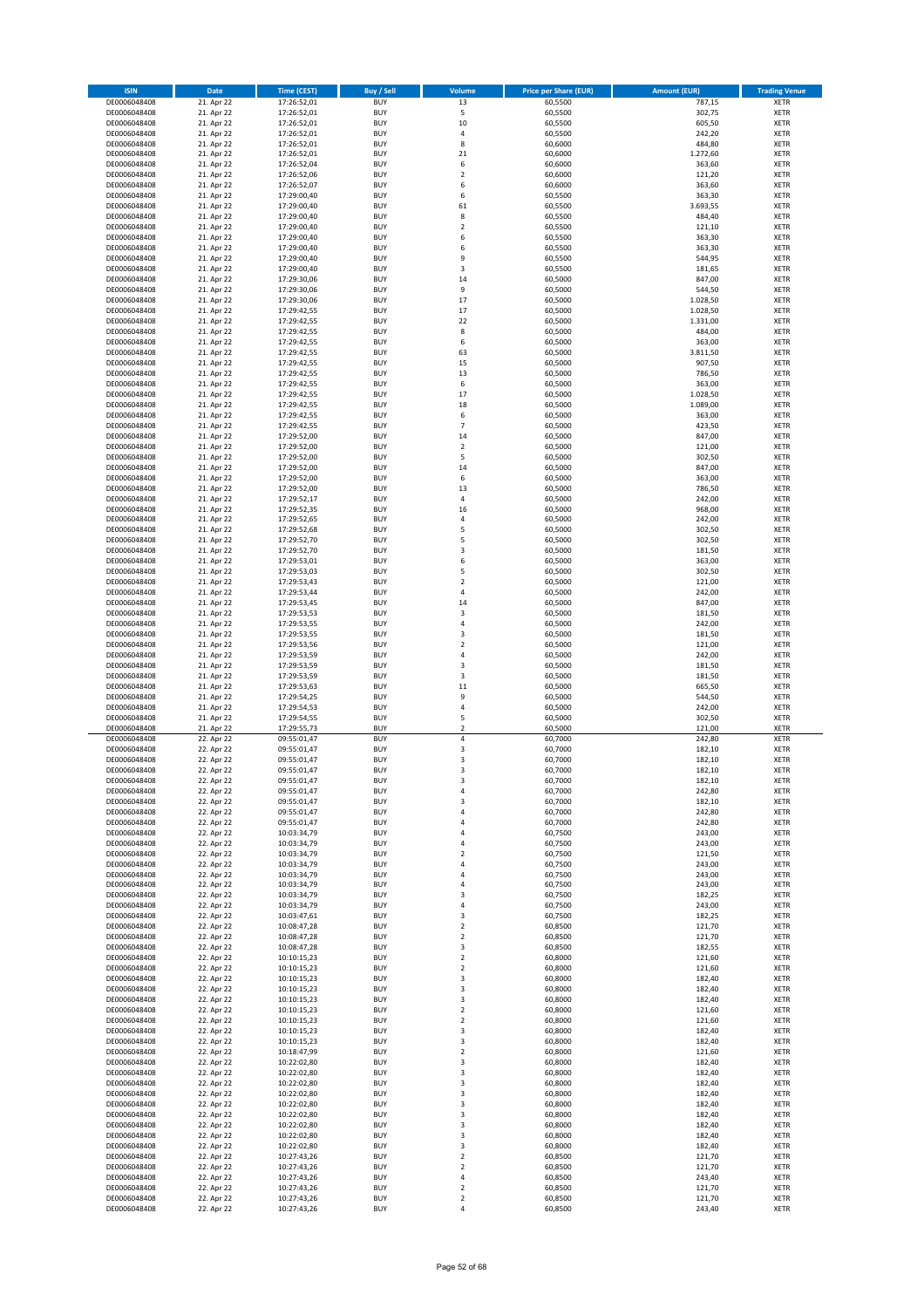| <b>ISIN</b>                  | <b>Date</b>              | <b>Time (CEST)</b>         | <b>Buy / Sell</b>        | Volume                                             | <b>Price per Share (EUR)</b> | <b>Amount (EUR)</b>  | <b>Trading Venue</b>       |
|------------------------------|--------------------------|----------------------------|--------------------------|----------------------------------------------------|------------------------------|----------------------|----------------------------|
| DE0006048408                 | 21. Apr 22               | 17:26:52,01                | <b>BUY</b>               | 13                                                 | 60,5500                      | 787,15               | XETR                       |
| DE0006048408                 | 21. Apr 22               | 17:26:52,01                | <b>BUY</b>               | 5                                                  | 60,5500                      | 302,75               | XETR                       |
| DE0006048408                 | 21. Apr 22               | 17:26:52,01                | <b>BUY</b>               | 10                                                 | 60,5500                      | 605,50               | <b>XETR</b>                |
| DE0006048408<br>DE0006048408 | 21. Apr 22<br>21. Apr 22 | 17:26:52,01<br>17:26:52,01 | <b>BUY</b><br><b>BUY</b> | 4<br>8                                             | 60,5500<br>60,6000           | 242,20<br>484,80     | <b>XETR</b><br><b>XETR</b> |
| DE0006048408                 | 21. Apr 22               | 17:26:52,01                | <b>BUY</b>               | 21                                                 | 60,6000                      | 1.272,60             | <b>XETR</b>                |
| DE0006048408                 | 21. Apr 22               | 17:26:52,04                | <b>BUY</b>               | 6                                                  | 60,6000                      | 363,60               | <b>XETR</b>                |
| DE0006048408                 | 21. Apr 22               | 17:26:52,06                | <b>BUY</b>               | $\overline{2}$                                     | 60,6000                      | 121,20               | <b>XETR</b>                |
| DE0006048408                 | 21. Apr 22               | 17:26:52,07                | <b>BUY</b>               | 6                                                  | 60,6000                      | 363,60               | <b>XETR</b>                |
| DE0006048408<br>DE0006048408 | 21. Apr 22<br>21. Apr 22 | 17:29:00,40<br>17:29:00,40 | <b>BUY</b><br><b>BUY</b> | 6<br>61                                            | 60,5500<br>60,5500           | 363,30<br>3.693,55   | <b>XETR</b><br>XETR        |
| DE0006048408                 | 21. Apr 22               | 17:29:00,40                | <b>BUY</b>               | 8                                                  | 60,5500                      | 484,40               | <b>XETR</b>                |
| DE0006048408                 | 21. Apr 22               | 17:29:00,40                | <b>BUY</b>               | $\overline{\mathbf{c}}$                            | 60,5500                      | 121,10               | XETR                       |
| DE0006048408                 | 21. Apr 22               | 17:29:00,40                | <b>BUY</b>               | 6                                                  | 60,5500                      | 363,30               | <b>XETR</b>                |
| DE0006048408                 | 21. Apr 22               | 17:29:00,40                | <b>BUY</b>               | 6                                                  | 60,5500                      | 363,30               | XETR                       |
| DE0006048408<br>DE0006048408 | 21. Apr 22<br>21. Apr 22 | 17:29:00,40<br>17:29:00,40 | <b>BUY</b><br><b>BUY</b> | 9<br>3                                             | 60,5500<br>60,5500           | 544,95<br>181,65     | <b>XETR</b><br><b>XETR</b> |
| DE0006048408                 | 21. Apr 22               | 17:29:30,06                | <b>BUY</b>               | 14                                                 | 60,5000                      | 847,00               | <b>XETR</b>                |
| DE0006048408                 | 21. Apr 22               | 17:29:30,06                | <b>BUY</b>               | 9                                                  | 60,5000                      | 544,50               | <b>XETR</b>                |
| DE0006048408                 | 21. Apr 22               | 17:29:30,06                | <b>BUY</b>               | 17                                                 | 60,5000                      | 1.028,50             | <b>XETR</b>                |
| DE0006048408                 | 21. Apr 22               | 17:29:42,55                | <b>BUY</b>               | 17                                                 | 60,5000                      | 1.028,50             | <b>XETR</b>                |
| DE0006048408<br>DE0006048408 | 21. Apr 22<br>21. Apr 22 | 17:29:42,55<br>17:29:42,55 | <b>BUY</b><br><b>BUY</b> | 22<br>8                                            | 60,5000<br>60,5000           | 1.331,00<br>484,00   | <b>XETR</b><br><b>XETR</b> |
| DE0006048408                 | 21. Apr 22               | 17:29:42,55                | <b>BUY</b>               | 6                                                  | 60,5000                      | 363,00               | <b>XETR</b>                |
| DE0006048408                 | 21. Apr 22               | 17:29:42,55                | <b>BUY</b>               | 63                                                 | 60,5000                      | 3.811,50             | <b>XETR</b>                |
| DE0006048408                 | 21. Apr 22               | 17:29:42,55                | <b>BUY</b>               | 15                                                 | 60,5000                      | 907,50               | <b>XETR</b>                |
| DE0006048408                 | 21. Apr 22               | 17:29:42,55                | <b>BUY</b>               | 13                                                 | 60,5000                      | 786,50               | <b>XETR</b>                |
| DE0006048408                 | 21. Apr 22               | 17:29:42,55                | <b>BUY</b><br><b>BUY</b> | 6<br>17                                            | 60,5000                      | 363,00               | <b>XETR</b><br><b>XETR</b> |
| DE0006048408<br>DE0006048408 | 21. Apr 22<br>21. Apr 22 | 17:29:42,55<br>17:29:42,55 | <b>BUY</b>               | 18                                                 | 60,5000<br>60,5000           | 1.028,50<br>1.089,00 | <b>XETR</b>                |
| DE0006048408                 | 21. Apr 22               | 17:29:42,55                | <b>BUY</b>               | 6                                                  | 60,5000                      | 363,00               | <b>XETR</b>                |
| DE0006048408                 | 21. Apr 22               | 17:29:42,55                | <b>BUY</b>               | $\overline{7}$                                     | 60,5000                      | 423,50               | <b>XETR</b>                |
| DE0006048408                 | 21. Apr 22               | 17:29:52,00                | <b>BUY</b>               | 14                                                 | 60,5000                      | 847,00               | <b>XETR</b>                |
| DE0006048408                 | 21. Apr 22               | 17:29:52,00<br>17:29:52,00 | <b>BUY</b><br><b>BUY</b> | $\overline{\mathbf{c}}$<br>5                       | 60,5000                      | 121,00               | <b>XETR</b>                |
| DE0006048408<br>DE0006048408 | 21. Apr 22<br>21. Apr 22 | 17:29:52,00                | <b>BUY</b>               | 14                                                 | 60,5000<br>60,5000           | 302,50<br>847,00     | <b>XETR</b><br><b>XETR</b> |
| DE0006048408                 | 21. Apr 22               | 17:29:52,00                | <b>BUY</b>               | 6                                                  | 60,5000                      | 363,00               | <b>XETR</b>                |
| DE0006048408                 | 21. Apr 22               | 17:29:52,00                | <b>BUY</b>               | 13                                                 | 60,5000                      | 786,50               | XETR                       |
| DE0006048408                 | 21. Apr 22               | 17:29:52,17                | <b>BUY</b>               | 4                                                  | 60,5000                      | 242,00               | <b>XETR</b>                |
| DE0006048408                 | 21. Apr 22               | 17:29:52,35                | <b>BUY</b>               | 16                                                 | 60,5000                      | 968,00               | <b>XETR</b>                |
| DE0006048408                 | 21. Apr 22<br>21. Apr 22 | 17:29:52,65                | <b>BUY</b><br><b>BUY</b> | 4<br>5                                             | 60,5000                      | 242,00<br>302,50     | <b>XETR</b><br>XETR        |
| DE0006048408<br>DE0006048408 | 21. Apr 22               | 17:29:52,68<br>17:29:52,70 | <b>BUY</b>               | 5                                                  | 60,5000<br>60,5000           | 302,50               | <b>XETR</b>                |
| DE0006048408                 | 21. Apr 22               | 17:29:52,70                | <b>BUY</b>               | 3                                                  | 60,5000                      | 181,50               | <b>XETR</b>                |
| DE0006048408                 | 21. Apr 22               | 17:29:53,01                | <b>BUY</b>               | 6                                                  | 60,5000                      | 363,00               | <b>XETR</b>                |
| DE0006048408                 | 21. Apr 22               | 17:29:53,03                | <b>BUY</b>               | 5                                                  | 60,5000                      | 302,50               | XETR                       |
| DE0006048408                 | 21. Apr 22               | 17:29:53,43                | <b>BUY</b>               | $\overline{\mathbf{c}}$                            | 60,5000                      | 121,00               | <b>XETR</b>                |
| DE0006048408<br>DE0006048408 | 21. Apr 22<br>21. Apr 22 | 17:29:53,44<br>17:29:53,45 | <b>BUY</b><br><b>BUY</b> | 4<br>14                                            | 60,5000<br>60,5000           | 242,00<br>847,00     | <b>XETR</b><br><b>XETR</b> |
| DE0006048408                 | 21. Apr 22               | 17:29:53,53                | <b>BUY</b>               | 3                                                  | 60,5000                      | 181,50               | <b>XETR</b>                |
| DE0006048408                 | 21. Apr 22               | 17:29:53,55                | <b>BUY</b>               | 4                                                  | 60,5000                      | 242,00               | <b>XETR</b>                |
| DE0006048408                 | 21. Apr 22               | 17:29:53,55                | <b>BUY</b>               | 3                                                  | 60,5000                      | 181,50               | <b>XETR</b>                |
| DE0006048408                 | 21. Apr 22               | 17:29:53,56                | <b>BUY</b>               | $\overline{\mathbf{c}}$                            | 60,5000                      | 121,00               | <b>XETR</b>                |
| DE0006048408<br>DE0006048408 | 21. Apr 22<br>21. Apr 22 | 17:29:53,59<br>17:29:53,59 | <b>BUY</b><br><b>BUY</b> | 4<br>3                                             | 60,5000<br>60,5000           | 242,00<br>181,50     | <b>XETR</b><br><b>XETR</b> |
| DE0006048408                 | 21. Apr 22               | 17:29:53,59                | <b>BUY</b>               | 3                                                  | 60,5000                      | 181,50               | <b>XETR</b>                |
| DE0006048408                 | 21. Apr 22               | 17:29:53,63                | <b>BUY</b>               | 11                                                 | 60,5000                      | 665,50               | <b>XETR</b>                |
| DE0006048408                 | 21. Apr 22               | 17:29:54,25                | <b>BUY</b>               | 9                                                  | 60,5000                      | 544,50               | <b>XETR</b>                |
| DE0006048408                 | 21. Apr 22               | 17:29:54,53                | <b>BUY</b>               | 4                                                  | 60,5000                      | 242,00               | <b>XETR</b>                |
| DE0006048408<br>DE0006048408 | 21. Apr 22<br>21. Apr 22 | 17:29:54,55<br>17:29:55,73 | <b>BUY</b><br><b>BUY</b> | 5<br>$\overline{\mathbf{c}}$                       | 60,5000<br>60,5000           | 302,50<br>121,00     | <b>XETR</b><br>XETR        |
| DE0006048408                 | 22. Apr 22               | 09:55:01,47                | <b>BUY</b>               | 4                                                  | 60,7000                      | 242,80               | <b>XETR</b>                |
| DE0006048408                 | 22. Apr 22               | 09:55:01,47                | <b>BUY</b>               | 3                                                  | 60,7000                      | 182,10               | XETR                       |
| DE0006048408                 | 22. Apr 22               | 09:55:01,47                | <b>BUY</b>               | 3                                                  | 60,7000                      | 182,10               | <b>XETR</b>                |
| DE0006048408                 | 22. Apr 22               | 09:55:01,47                | <b>BUY</b>               | 3                                                  | 60,7000                      | 182,10               | XETR                       |
| DE0006048408<br>DE0006048408 | 22. Apr 22<br>22. Apr 22 | 09:55:01,47<br>09:55:01,47 | <b>BUY</b><br><b>BUY</b> | 3<br>4                                             | 60,7000<br>60,7000           | 182,10<br>242,80     | XETR<br><b>XETR</b>        |
| DE0006048408                 | 22. Apr 22               | 09:55:01,47                | <b>BUY</b>               | 3                                                  | 60,7000                      | 182,10               | <b>XETR</b>                |
| DE0006048408                 | 22. Apr 22               | 09:55:01,47                | <b>BUY</b>               | 4                                                  | 60,7000                      | 242,80               | <b>XETR</b>                |
| DE0006048408                 | 22. Apr 22               | 09:55:01,47                | <b>BUY</b>               | 4                                                  | 60,7000                      | 242,80               | <b>XETR</b>                |
| DE0006048408                 | 22. Apr 22               | 10:03:34,79                | <b>BUY</b>               | 4                                                  | 60,7500                      | 243,00               | <b>XETR</b>                |
| DE0006048408<br>DE0006048408 | 22. Apr 22<br>22. Apr 22 | 10:03:34,79<br>10:03:34,79 | <b>BUY</b><br><b>BUY</b> | 4<br>$\mathbf 2$                                   | 60,7500<br>60,7500           | 243,00<br>121,50     | <b>XETR</b><br><b>XETR</b> |
| DE0006048408                 | 22. Apr 22               | 10:03:34,79                | <b>BUY</b>               | 4                                                  | 60,7500                      | 243,00               | <b>XETR</b>                |
| DE0006048408                 | 22. Apr 22               | 10:03:34,79                | <b>BUY</b>               | 4                                                  | 60,7500                      | 243,00               | <b>XETR</b>                |
| DE0006048408                 | 22. Apr 22               | 10:03:34,79                | <b>BUY</b>               | 4                                                  | 60,7500                      | 243,00               | <b>XETR</b>                |
| DE0006048408<br>DE0006048408 | 22. Apr 22<br>22. Apr 22 | 10:03:34,79<br>10:03:34,79 | <b>BUY</b><br><b>BUY</b> | 3<br>4                                             | 60,7500<br>60,7500           | 182,25<br>243,00     | XETR<br><b>XETR</b>        |
| DE0006048408                 | 22. Apr 22               | 10:03:47,61                | <b>BUY</b>               | 3                                                  | 60,7500                      | 182,25               | XETR                       |
| DE0006048408                 | 22. Apr 22               | 10:08:47,28                | <b>BUY</b>               | $\overline{\mathbf{c}}$                            | 60,8500                      | 121,70               | <b>XETR</b>                |
| DE0006048408                 | 22. Apr 22               | 10:08:47,28                | <b>BUY</b>               | $\overline{\mathbf{c}}$                            | 60,8500                      | 121,70               | <b>XETR</b>                |
| DE0006048408                 | 22. Apr 22               | 10:08:47,28                | <b>BUY</b>               | 3                                                  | 60,8500                      | 182,55               | <b>XETR</b>                |
| DE0006048408                 | 22. Apr 22               | 10:10:15,23                | <b>BUY</b>               | $\overline{\mathbf{c}}$                            | 60,8000                      | 121,60               | <b>XETR</b>                |
| DE0006048408<br>DE0006048408 | 22. Apr 22<br>22. Apr 22 | 10:10:15,23<br>10:10:15,23 | <b>BUY</b><br><b>BUY</b> | 2<br>3                                             | 60,8000<br>60,8000           | 121,60<br>182,40     | <b>XETR</b><br><b>XETR</b> |
| DE0006048408                 | 22. Apr 22               | 10:10:15,23                | <b>BUY</b>               | 3                                                  | 60,8000                      | 182,40               | <b>XETR</b>                |
| DE0006048408                 | 22. Apr 22               | 10:10:15,23                | <b>BUY</b>               | 3                                                  | 60,8000                      | 182,40               | <b>XETR</b>                |
| DE0006048408                 | 22. Apr 22               | 10:10:15,23                | <b>BUY</b>               | $\overline{\mathbf{c}}$                            | 60,8000                      | 121,60               | <b>XETR</b>                |
| DE0006048408<br>DE0006048408 | 22. Apr 22<br>22. Apr 22 | 10:10:15,23<br>10:10:15,23 | <b>BUY</b><br><b>BUY</b> | $\overline{\mathbf{c}}$<br>3                       | 60,8000<br>60,8000           | 121,60<br>182,40     | <b>XETR</b><br><b>XETR</b> |
| DE0006048408                 | 22. Apr 22               | 10:10:15,23                | <b>BUY</b>               | 3                                                  | 60,8000                      | 182,40               | <b>XETR</b>                |
| DE0006048408                 | 22. Apr 22               | 10:18:47,99                | <b>BUY</b>               | $\overline{2}$                                     | 60,8000                      | 121,60               | <b>XETR</b>                |
| DE0006048408                 | 22. Apr 22               | 10:22:02,80                | <b>BUY</b>               | 3                                                  | 60,8000                      | 182,40               | <b>XETR</b>                |
| DE0006048408                 | 22. Apr 22               | 10:22:02,80                | <b>BUY</b>               | 3                                                  | 60,8000                      | 182,40               | <b>XETR</b>                |
| DE0006048408                 | 22. Apr 22               | 10:22:02,80                | <b>BUY</b>               | 3                                                  | 60,8000                      | 182,40               | <b>XETR</b>                |
| DE0006048408<br>DE0006048408 | 22. Apr 22<br>22. Apr 22 | 10:22:02,80<br>10:22:02,80 | <b>BUY</b><br><b>BUY</b> | 3<br>3                                             | 60,8000<br>60,8000           | 182,40<br>182,40     | <b>XETR</b><br><b>XETR</b> |
| DE0006048408                 | 22. Apr 22               | 10:22:02,80                | <b>BUY</b>               | 3                                                  | 60,8000                      | 182,40               | <b>XETR</b>                |
| DE0006048408                 | 22. Apr 22               | 10:22:02,80                | <b>BUY</b>               | 3                                                  | 60,8000                      | 182,40               | <b>XETR</b>                |
| DE0006048408                 | 22. Apr 22               | 10:22:02,80                | <b>BUY</b>               | 3                                                  | 60,8000                      | 182,40               | <b>XETR</b>                |
| DE0006048408                 | 22. Apr 22               | 10:22:02,80                | <b>BUY</b><br><b>BUY</b> | 3                                                  | 60,8000<br>60,8500           | 182,40               | <b>XETR</b>                |
| DE0006048408<br>DE0006048408 | 22. Apr 22<br>22. Apr 22 | 10:27:43,26<br>10:27:43,26 | <b>BUY</b>               | $\overline{\mathbf{c}}$<br>$\overline{\mathbf{c}}$ | 60,8500                      | 121,70<br>121,70     | <b>XETR</b><br><b>XETR</b> |
| DE0006048408                 | 22. Apr 22               | 10:27:43,26                | <b>BUY</b>               | 4                                                  | 60,8500                      | 243,40               | XETR                       |
| DE0006048408                 | 22. Apr 22               | 10:27:43,26                | <b>BUY</b>               | $\overline{\mathbf{c}}$                            | 60,8500                      | 121,70               | <b>XETR</b>                |
| DE0006048408                 | 22. Apr 22               | 10:27:43,26                | <b>BUY</b>               | $\overline{\mathbf{c}}$                            | 60,8500                      | 121,70               | XETR                       |
| DE0006048408                 | 22. Apr 22               | 10:27:43,26                | <b>BUY</b>               | 4                                                  | 60,8500                      | 243,40               | <b>XETR</b>                |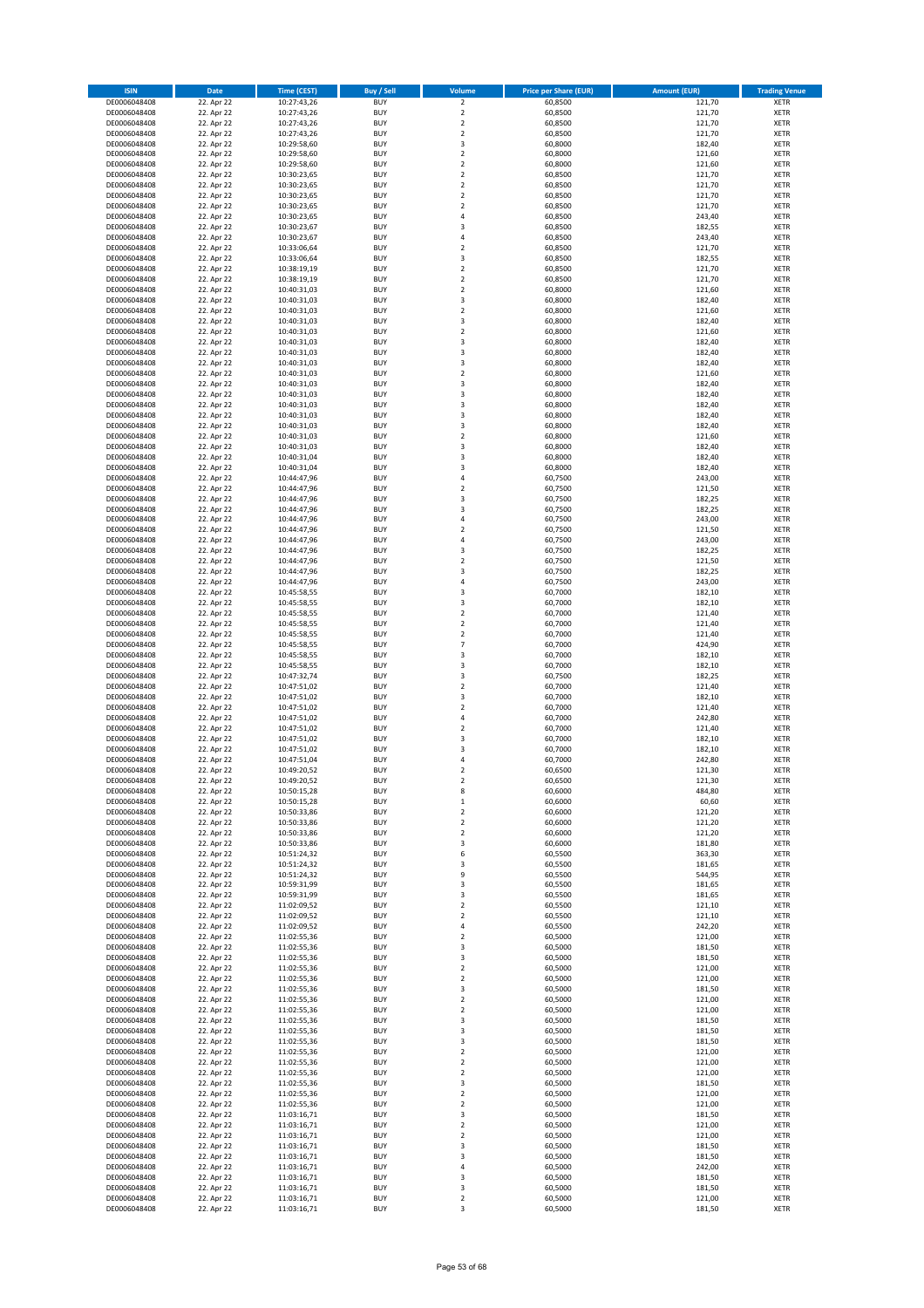| <b>ISIN</b>                  | Date                     | <b>Time (CEST)</b>         | <b>Buy / Sell</b>        | Volume                                             | <b>Price per Share (EUR)</b> | <b>Amount (EUR)</b> | <b>Trading Venue</b>       |
|------------------------------|--------------------------|----------------------------|--------------------------|----------------------------------------------------|------------------------------|---------------------|----------------------------|
| DE0006048408                 | 22. Apr 22               | 10:27:43,26                | <b>BUY</b>               | $\mathbf 2$                                        | 60,8500                      | 121,70              | <b>XETR</b>                |
| DE0006048408                 | 22. Apr 22               | 10:27:43,26                | <b>BUY</b>               | $\mathbf 2$                                        | 60,8500                      | 121,70              | XETR                       |
| DE0006048408<br>DE0006048408 | 22. Apr 22<br>22. Apr 22 | 10:27:43,26<br>10:27:43,26 | <b>BUY</b><br><b>BUY</b> | $\mathbf 2$<br>$\mathbf 2$                         | 60,8500<br>60,8500           | 121,70<br>121,70    | XETR<br><b>XETR</b>        |
| DE0006048408                 | 22. Apr 22               | 10:29:58,60                | <b>BUY</b>               | 3                                                  | 60,8000                      | 182,40              | <b>XETR</b>                |
| DE0006048408                 | 22. Apr 22               | 10:29:58,60                | <b>BUY</b>               | $\overline{2}$                                     | 60,8000                      | 121,60              | <b>XETR</b>                |
| DE0006048408                 | 22. Apr 22               | 10:29:58,60                | <b>BUY</b>               | $\overline{2}$                                     | 60,8000                      | 121,60              | <b>XETR</b>                |
| DE0006048408                 | 22. Apr 22               | 10:30:23,65                | <b>BUY</b>               | $\overline{2}$                                     | 60,8500                      | 121,70              | <b>XETR</b>                |
| DE0006048408<br>DE0006048408 | 22. Apr 22<br>22. Apr 22 | 10:30:23,65                | <b>BUY</b><br><b>BUY</b> | $\overline{2}$<br>$\overline{2}$                   | 60,8500<br>60,8500           | 121,70<br>121,70    | XETR<br><b>XETR</b>        |
| DE0006048408                 | 22. Apr 22               | 10:30:23,65<br>10:30:23,65 | <b>BUY</b>               | $\overline{2}$                                     | 60,8500                      | 121,70              | XETR                       |
| DE0006048408                 | 22. Apr 22               | 10:30:23,65                | <b>BUY</b>               | $\overline{4}$                                     | 60,8500                      | 243,40              | <b>XETR</b>                |
| DE0006048408                 | 22. Apr 22               | 10:30:23,67                | <b>BUY</b>               | 3                                                  | 60,8500                      | 182,55              | XETR                       |
| DE0006048408                 | 22. Apr 22               | 10:30:23,67                | <b>BUY</b>               | $\overline{4}$                                     | 60,8500                      | 243,40              | <b>XETR</b>                |
| DE0006048408                 | 22. Apr 22               | 10:33:06,64                | <b>BUY</b>               | $\overline{2}$                                     | 60,8500                      | 121,70              | <b>XETR</b>                |
| DE0006048408<br>DE0006048408 | 22. Apr 22<br>22. Apr 22 | 10:33:06,64<br>10:38:19,19 | <b>BUY</b><br><b>BUY</b> | $\overline{\mathbf{3}}$<br>$\mathbf 2$             | 60,8500<br>60,8500           | 182,55<br>121,70    | <b>XETR</b><br>XETR        |
| DE0006048408                 | 22. Apr 22               | 10:38:19,19                | <b>BUY</b>               | $\overline{2}$                                     | 60,8500                      | 121,70              | <b>XETR</b>                |
| DE0006048408                 | 22. Apr 22               | 10:40:31,03                | <b>BUY</b>               | $\mathbf 2$                                        | 60,8000                      | 121,60              | <b>XETR</b>                |
| DE0006048408                 | 22. Apr 22               | 10:40:31,03                | <b>BUY</b>               | 3                                                  | 60,8000                      | 182,40              | <b>XETR</b>                |
| DE0006048408                 | 22. Apr 22               | 10:40:31,03                | <b>BUY</b>               | $\mathbf 2$                                        | 60,8000                      | 121,60              | XETR                       |
| DE0006048408<br>DE0006048408 | 22. Apr 22<br>22. Apr 22 | 10:40:31,03<br>10:40:31,03 | <b>BUY</b><br><b>BUY</b> | 3<br>$\overline{2}$                                | 60,8000<br>60,8000           | 182,40<br>121,60    | <b>XETR</b><br><b>XETR</b> |
| DE0006048408                 | 22. Apr 22               | 10:40:31,03                | <b>BUY</b>               | $\overline{\mathbf{3}}$                            | 60,8000                      | 182,40              | <b>XETR</b>                |
| DE0006048408                 | 22. Apr 22               | 10:40:31,03                | <b>BUY</b>               | $\overline{\mathbf{3}}$                            | 60,8000                      | 182,40              | XETR                       |
| DE0006048408                 | 22. Apr 22               | 10:40:31,03                | <b>BUY</b>               | 3                                                  | 60,8000                      | 182,40              | <b>XETR</b>                |
| DE0006048408                 | 22. Apr 22               | 10:40:31,03                | <b>BUY</b>               | $\overline{2}$                                     | 60,8000                      | 121,60              | <b>XETR</b>                |
| DE0006048408<br>DE0006048408 | 22. Apr 22<br>22. Apr 22 | 10:40:31,03<br>10:40:31,03 | <b>BUY</b><br><b>BUY</b> | $\overline{\mathbf{3}}$<br>$\overline{\mathbf{3}}$ | 60,8000<br>60,8000           | 182,40<br>182,40    | <b>XETR</b><br><b>XETR</b> |
| DE0006048408                 | 22. Apr 22               | 10:40:31,03                | <b>BUY</b>               | $\overline{\mathbf{3}}$                            | 60,8000                      | 182,40              | <b>XETR</b>                |
| DE0006048408                 | 22. Apr 22               | 10:40:31,03                | <b>BUY</b>               | $\overline{3}$                                     | 60,8000                      | 182,40              | <b>XETR</b>                |
| DE0006048408                 | 22. Apr 22               | 10:40:31,03                | <b>BUY</b>               | $\overline{\mathbf{3}}$                            | 60,8000                      | 182,40              | <b>XETR</b>                |
| DE0006048408                 | 22. Apr 22               | 10:40:31,03                | <b>BUY</b>               | $\overline{2}$                                     | 60,8000                      | 121,60              | <b>XETR</b>                |
| DE0006048408<br>DE0006048408 | 22. Apr 22<br>22. Apr 22 | 10:40:31,03<br>10:40:31,04 | <b>BUY</b><br><b>BUY</b> | $\overline{\mathbf{3}}$<br>3                       | 60,8000<br>60,8000           | 182,40<br>182,40    | XETR<br><b>XETR</b>        |
| DE0006048408                 | 22. Apr 22               | 10:40:31,04                | <b>BUY</b>               | $\overline{\mathbf{3}}$                            | 60,8000                      | 182,40              | XETR                       |
| DE0006048408                 | 22. Apr 22               | 10:44:47,96                | <b>BUY</b>               | $\overline{4}$                                     | 60,7500                      | 243,00              | <b>XETR</b>                |
| DE0006048408                 | 22. Apr 22               | 10:44:47,96                | <b>BUY</b>               | $\overline{\mathbf{c}}$                            | 60,7500                      | 121,50              | XETR                       |
| DE0006048408                 | 22. Apr 22               | 10:44:47,96                | <b>BUY</b>               | $\overline{\mathbf{3}}$                            | 60,7500                      | 182,25              | <b>XETR</b>                |
| DE0006048408                 | 22. Apr 22               | 10:44:47,96                | <b>BUY</b>               | $\overline{\mathbf{3}}$                            | 60,7500                      | 182,25              | XETR                       |
| DE0006048408<br>DE0006048408 | 22. Apr 22<br>22. Apr 22 | 10:44:47,96<br>10:44:47,96 | <b>BUY</b><br><b>BUY</b> | $\overline{4}$<br>$\mathbf 2$                      | 60,7500<br>60,7500           | 243,00<br>121,50    | <b>XETR</b><br><b>XETR</b> |
| DE0006048408                 | 22. Apr 22               | 10:44:47,96                | <b>BUY</b>               | $\overline{a}$                                     | 60,7500                      | 243,00              | <b>XETR</b>                |
| DE0006048408                 | 22. Apr 22               | 10:44:47,96                | <b>BUY</b>               | $\overline{\mathbf{3}}$                            | 60,7500                      | 182,25              | <b>XETR</b>                |
| DE0006048408                 | 22. Apr 22               | 10:44:47,96                | <b>BUY</b>               | $\overline{2}$                                     | 60,7500                      | 121,50              | <b>XETR</b>                |
| DE0006048408                 | 22. Apr 22               | 10:44:47,96                | <b>BUY</b>               | 3                                                  | 60,7500                      | 182,25              | XETR                       |
| DE0006048408<br>DE0006048408 | 22. Apr 22<br>22. Apr 22 | 10:44:47,96<br>10:45:58,55 | <b>BUY</b><br><b>BUY</b> | $\overline{4}$<br>$\overline{\mathbf{3}}$          | 60,7500<br>60,7000           | 243,00<br>182,10    | <b>XETR</b><br><b>XETR</b> |
| DE0006048408                 | 22. Apr 22               | 10:45:58,55                | <b>BUY</b>               | $\overline{\mathbf{3}}$                            | 60,7000                      | 182,10              | <b>XETR</b>                |
| DE0006048408                 | 22. Apr 22               | 10:45:58,55                | <b>BUY</b>               | $\overline{2}$                                     | 60,7000                      | 121,40              | <b>XETR</b>                |
| DE0006048408                 | 22. Apr 22               | 10:45:58,55                | <b>BUY</b>               | $\overline{2}$                                     | 60,7000                      | 121,40              | <b>XETR</b>                |
| DE0006048408                 | 22. Apr 22               | 10:45:58,55                | <b>BUY</b>               | $\overline{2}$                                     | 60,7000                      | 121,40              | <b>XETR</b>                |
| DE0006048408<br>DE0006048408 | 22. Apr 22               | 10:45:58,55                | <b>BUY</b><br><b>BUY</b> | $\overline{7}$<br>$\overline{\mathbf{3}}$          | 60,7000                      | 424,90              | <b>XETR</b><br><b>XETR</b> |
| DE0006048408                 | 22. Apr 22<br>22. Apr 22 | 10:45:58,55<br>10:45:58,55 | <b>BUY</b>               | $\overline{\mathbf{3}}$                            | 60,7000<br>60,7000           | 182,10<br>182,10    | <b>XETR</b>                |
| DE0006048408                 | 22. Apr 22               | 10:47:32,74                | <b>BUY</b>               | $\overline{\mathbf{3}}$                            | 60,7500                      | 182,25              | <b>XETR</b>                |
| DE0006048408                 | 22. Apr 22               | 10:47:51,02                | <b>BUY</b>               | $\overline{2}$                                     | 60,7000                      | 121,40              | <b>XETR</b>                |
| DE0006048408                 | 22. Apr 22               | 10:47:51,02                | <b>BUY</b>               | $\overline{\mathbf{3}}$                            | 60,7000                      | 182,10              | <b>XETR</b>                |
| DE0006048408                 | 22. Apr 22               | 10:47:51,02                | <b>BUY</b><br><b>BUY</b> | $\overline{2}$<br>$\overline{4}$                   | 60,7000                      | 121,40              | <b>XETR</b><br><b>XETR</b> |
| DE0006048408<br>DE0006048408 | 22. Apr 22<br>22. Apr 22 | 10:47:51,02<br>10:47:51,02 | <b>BUY</b>               | $\overline{\mathbf{c}}$                            | 60,7000<br>60,7000           | 242,80<br>121,40    | XETR                       |
| DE0006048408                 | 22. Apr 22               | 10:47:51,02                | <b>BUY</b>               | 3                                                  | 60,7000                      | 182,10              | <b>XETR</b>                |
| DE0006048408                 | 22. Apr 22               | 10:47:51,02                | <b>BUY</b>               | 3                                                  | 60,7000                      | 182,10              | <b>XETR</b>                |
| DE0006048408                 | 22. Apr 22               | 10:47:51,04                | <b>BUY</b>               | $\overline{4}$                                     | 60,7000                      | 242,80              | <b>XETR</b>                |
| DE0006048408                 | 22. Apr 22               | 10:49:20,52                | <b>BUY</b>               | $\overline{2}$                                     | 60,6500                      | 121,30              | XETR                       |
| DE0006048408<br>DE0006048408 | 22. Apr 22<br>22. Apr 22 | 10:49:20,52<br>10:50:15,28 | <b>BUY</b><br><b>BUY</b> | $\overline{\mathbf{c}}$<br>8                       | 60,6500<br>60,6000           | 121,30<br>484,80    | XETR<br>XETR               |
| DE0006048408                 | 22. Apr 22               | 10:50:15,28                | <b>BUY</b>               | $\mathbf{1}$                                       | 60,6000                      | 60,60               | XETR                       |
| DE0006048408                 | 22. Apr 22               | 10:50:33,86                | <b>BUY</b>               | 2                                                  | 60,6000                      | 121,20              | XETR                       |
| DE0006048408                 | 22. Apr 22               | 10:50:33,86                | <b>BUY</b>               | 2                                                  | 60,6000                      | 121,20              | <b>XETR</b>                |
| DE0006048408<br>DE0006048408 | 22. Apr 22               | 10:50:33,86                | <b>BUY</b><br><b>BUY</b> | 2<br>3                                             | 60,6000                      | 121,20              | XETR<br><b>XETR</b>        |
| DE0006048408                 | 22. Apr 22<br>22. Apr 22 | 10:50:33,86<br>10:51:24,32 | <b>BUY</b>               | 6                                                  | 60,6000<br>60,5500           | 181,80<br>363,30    | <b>XETR</b>                |
| DE0006048408                 | 22. Apr 22               | 10:51:24,32                | <b>BUY</b>               | 3                                                  | 60,5500                      | 181,65              | <b>XETR</b>                |
| DE0006048408                 | 22. Apr 22               | 10:51:24,32                | <b>BUY</b>               | 9                                                  | 60,5500                      | 544,95              | XETR                       |
| DE0006048408                 | 22. Apr 22               | 10:59:31,99                | <b>BUY</b>               | 3                                                  | 60,5500                      | 181,65              | XETR                       |
| DE0006048408<br>DE0006048408 | 22. Apr 22<br>22. Apr 22 | 10:59:31,99<br>11:02:09,52 | <b>BUY</b><br><b>BUY</b> | $\overline{\mathbf{3}}$<br>$\mathbf 2$             | 60,5500<br>60,5500           | 181,65<br>121,10    | XETR<br><b>XETR</b>        |
| DE0006048408                 | 22. Apr 22               | 11:02:09,52                | <b>BUY</b>               | $\mathbf 2$                                        | 60,5500                      | 121,10              | XETR                       |
| DE0006048408                 | 22. Apr 22               | 11:02:09,52                | <b>BUY</b>               | 4                                                  | 60,5500                      | 242,20              | XETR                       |
| DE0006048408                 | 22. Apr 22               | 11:02:55,36                | <b>BUY</b>               | $\overline{2}$                                     | 60,5000                      | 121,00              | XETR                       |
| DE0006048408                 | 22. Apr 22               | 11:02:55,36                | <b>BUY</b>               | 3                                                  | 60,5000                      | 181,50              | <b>XETR</b>                |
| DE0006048408<br>DE0006048408 | 22. Apr 22<br>22. Apr 22 | 11:02:55,36<br>11:02:55,36 | <b>BUY</b><br><b>BUY</b> | 3<br>$\overline{\mathbf{2}}$                       | 60,5000<br>60,5000           | 181,50<br>121,00    | XETR<br>XETR               |
| DE0006048408                 | 22. Apr 22               | 11:02:55,36                | <b>BUY</b>               | $\mathbf 2$                                        | 60,5000                      | 121,00              | XETR                       |
| DE0006048408                 | 22. Apr 22               | 11:02:55,36                | <b>BUY</b>               | 3                                                  | 60,5000                      | 181,50              | <b>XETR</b>                |
| DE0006048408                 | 22. Apr 22               | 11:02:55,36                | <b>BUY</b>               | 2                                                  | 60,5000                      | 121,00              | XETR                       |
| DE0006048408                 | 22. Apr 22               | 11:02:55,36                | <b>BUY</b>               | 2                                                  | 60,5000                      | 121,00              | XETR                       |
| DE0006048408<br>DE0006048408 | 22. Apr 22<br>22. Apr 22 | 11:02:55,36                | <b>BUY</b><br><b>BUY</b> | 3<br>3                                             | 60,5000<br>60,5000           | 181,50<br>181,50    | <b>XETR</b><br><b>XETR</b> |
| DE0006048408                 | 22. Apr 22               | 11:02:55,36<br>11:02:55,36 | <b>BUY</b>               | 3                                                  | 60,5000                      | 181,50              | <b>XETR</b>                |
| DE0006048408                 | 22. Apr 22               | 11:02:55,36                | <b>BUY</b>               | 2                                                  | 60,5000                      | 121,00              | <b>XETR</b>                |
| DE0006048408                 | 22. Apr 22               | 11:02:55,36                | <b>BUY</b>               | $\overline{2}$                                     | 60,5000                      | 121,00              | XETR                       |
| DE0006048408                 | 22. Apr 22               | 11:02:55,36                | <b>BUY</b>               | $\mathbf 2$                                        | 60,5000                      | 121,00              | <b>XETR</b>                |
| DE0006048408                 | 22. Apr 22               | 11:02:55,36                | <b>BUY</b>               | 3                                                  | 60,5000                      | 181,50              | <b>XETR</b>                |
| DE0006048408<br>DE0006048408 | 22. Apr 22<br>22. Apr 22 | 11:02:55,36<br>11:02:55,36 | <b>BUY</b><br><b>BUY</b> | $\mathbf 2$<br>$\overline{2}$                      | 60,5000<br>60,5000           | 121,00<br>121,00    | XETR<br>XETR               |
| DE0006048408                 | 22. Apr 22               | 11:03:16,71                | <b>BUY</b>               | 3                                                  | 60,5000                      | 181,50              | <b>XETR</b>                |
| DE0006048408                 | 22. Apr 22               | 11:03:16,71                | <b>BUY</b>               | $\overline{2}$                                     | 60,5000                      | 121,00              | <b>XETR</b>                |
| DE0006048408                 | 22. Apr 22               | 11:03:16,71                | <b>BUY</b>               | $\overline{2}$                                     | 60,5000                      | 121,00              | XETR                       |
| DE0006048408                 | 22. Apr 22               | 11:03:16,71                | <b>BUY</b>               | 3                                                  | 60,5000                      | 181,50              | <b>XETR</b>                |
| DE0006048408<br>DE0006048408 | 22. Apr 22<br>22. Apr 22 | 11:03:16,71<br>11:03:16,71 | <b>BUY</b><br><b>BUY</b> | $\overline{\mathbf{3}}$<br>4                       | 60,5000<br>60,5000           | 181,50<br>242,00    | XETR<br><b>XETR</b>        |
| DE0006048408                 | 22. Apr 22               | 11:03:16,71                | <b>BUY</b>               | 3                                                  | 60,5000                      | 181,50              | XETR                       |
| DE0006048408                 | 22. Apr 22               | 11:03:16,71                | <b>BUY</b>               | 3                                                  | 60,5000                      | 181,50              | XETR                       |
| DE0006048408                 | 22. Apr 22               | 11:03:16,71                | <b>BUY</b>               | $\mathbf 2$                                        | 60,5000                      | 121,00              | XETR                       |
| DE0006048408                 | 22. Apr 22               | 11:03:16,71                | <b>BUY</b>               | 3                                                  | 60,5000                      | 181,50              | <b>XETR</b>                |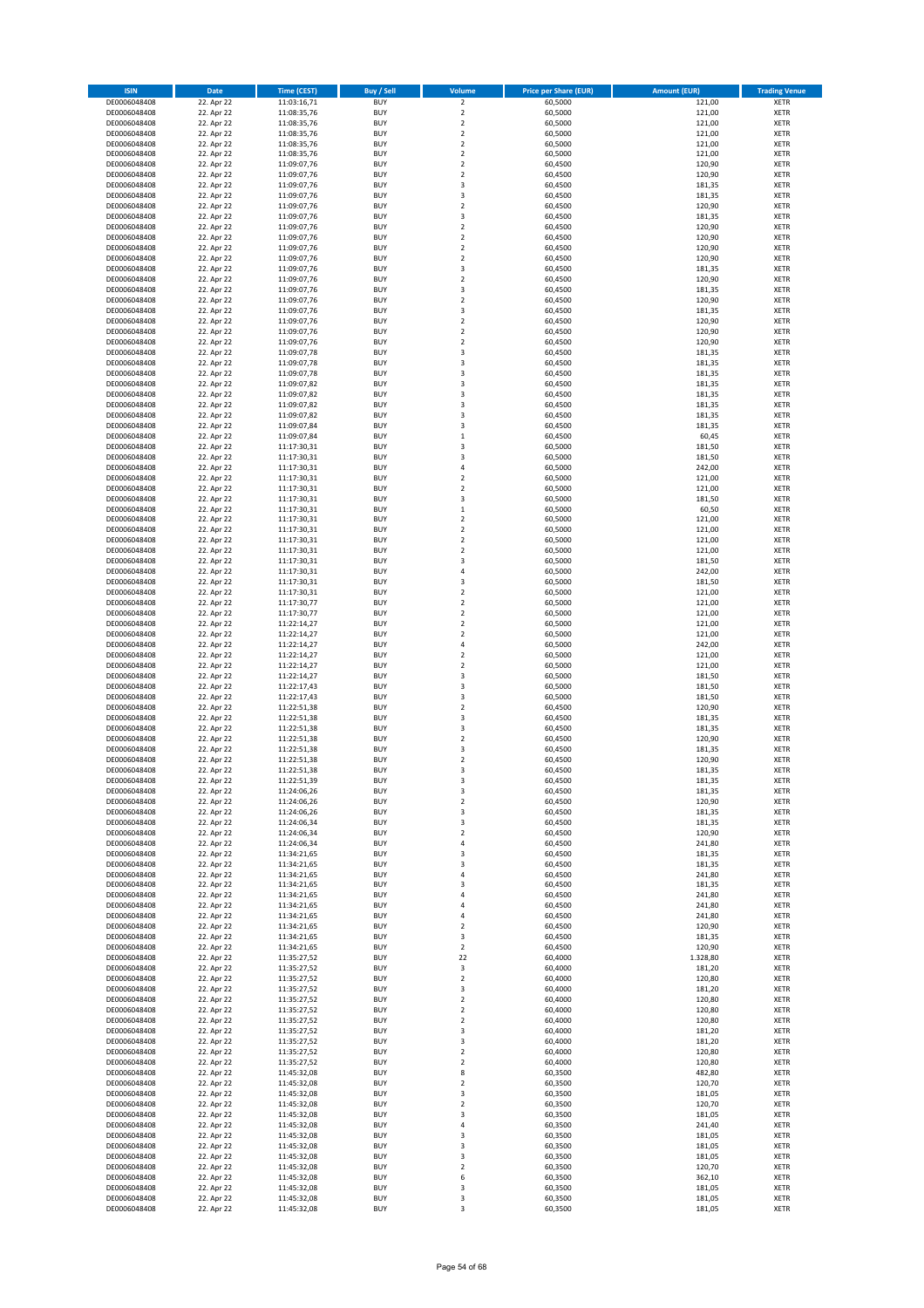| <b>ISIN</b>                  | <b>Date</b>              | <b>Time (CEST)</b>         | Buy / Sell               | Volume                                 | <b>Price per Share (EUR)</b> | <b>Amount (EUR)</b> | <b>Trading Venue</b>       |
|------------------------------|--------------------------|----------------------------|--------------------------|----------------------------------------|------------------------------|---------------------|----------------------------|
| DE0006048408                 | 22. Apr 22               | 11:03:16,71                | <b>BUY</b>               | $\overline{\mathbf{c}}$                | 60,5000                      | 121,00              | XETR                       |
| DE0006048408                 | 22. Apr 22               | 11:08:35,76                | <b>BUY</b>               | $\mathbf 2$                            | 60,5000                      | 121,00              | XETR                       |
| DE0006048408<br>DE0006048408 | 22. Apr 22<br>22. Apr 22 | 11:08:35,76<br>11:08:35,76 | <b>BUY</b><br><b>BUY</b> | $\mathbf 2$<br>$\mathbf 2$             | 60,5000<br>60,5000           | 121,00<br>121,00    | XETR<br>XETR               |
| DE0006048408                 | 22. Apr 22               | 11:08:35,76                | <b>BUY</b>               | $\mathbf 2$                            | 60,5000                      | 121,00              | XETR                       |
| DE0006048408                 | 22. Apr 22               | 11:08:35,76                | <b>BUY</b>               | $\mathbf 2$                            | 60,5000                      | 121,00              | <b>XETR</b>                |
| DE0006048408                 | 22. Apr 22               | 11:09:07,76                | <b>BUY</b>               | $\mathbf 2$                            | 60,4500                      | 120,90              | <b>XETR</b>                |
| DE0006048408                 | 22. Apr 22               | 11:09:07,76                | <b>BUY</b>               | $\mathbf 2$                            | 60,4500                      | 120,90              | <b>XETR</b>                |
| DE0006048408                 | 22. Apr 22               | 11:09:07,76                | <b>BUY</b><br><b>BUY</b> | 3<br>3                                 | 60,4500                      | 181,35              | <b>XETR</b><br><b>XETR</b> |
| DE0006048408<br>DE0006048408 | 22. Apr 22<br>22. Apr 22 | 11:09:07,76<br>11:09:07,76 | <b>BUY</b>               | $\mathbf 2$                            | 60,4500<br>60,4500           | 181,35<br>120,90    | <b>XETR</b>                |
| DE0006048408                 | 22. Apr 22               | 11:09:07,76                | <b>BUY</b>               | 3                                      | 60,4500                      | 181,35              | <b>XETR</b>                |
| DE0006048408                 | 22. Apr 22               | 11:09:07,76                | <b>BUY</b>               | $\mathbf 2$                            | 60,4500                      | 120,90              | XETR                       |
| DE0006048408                 | 22. Apr 22               | 11:09:07,76                | <b>BUY</b>               | $\mathbf 2$                            | 60,4500                      | 120,90              | <b>XETR</b>                |
| DE0006048408                 | 22. Apr 22               | 11:09:07,76                | <b>BUY</b>               | $\mathbf 2$                            | 60,4500                      | 120,90              | XETR                       |
| DE0006048408<br>DE0006048408 | 22. Apr 22<br>22. Apr 22 | 11:09:07,76<br>11:09:07,76 | <b>BUY</b><br><b>BUY</b> | $\mathbf 2$<br>3                       | 60,4500<br>60,4500           | 120,90<br>181,35    | <b>XETR</b><br>XETR        |
| DE0006048408                 | 22. Apr 22               | 11:09:07,76                | <b>BUY</b>               | $\mathbf 2$                            | 60,4500                      | 120,90              | <b>XETR</b>                |
| DE0006048408                 | 22. Apr 22               | 11:09:07,76                | <b>BUY</b>               | 3                                      | 60,4500                      | 181,35              | XETR                       |
| DE0006048408                 | 22. Apr 22               | 11:09:07,76                | <b>BUY</b>               | $\mathbf 2$                            | 60,4500                      | 120,90              | <b>XETR</b>                |
| DE0006048408                 | 22. Apr 22<br>22. Apr 22 | 11:09:07,76                | <b>BUY</b><br><b>BUY</b> | 3<br>$\mathbf 2$                       | 60,4500<br>60,4500           | 181,35<br>120,90    | XETR<br>XETR               |
| DE0006048408<br>DE0006048408 | 22. Apr 22               | 11:09:07,76<br>11:09:07,76 | <b>BUY</b>               | $\mathbf 2$                            | 60,4500                      | 120,90              | <b>XETR</b>                |
| DE0006048408                 | 22. Apr 22               | 11:09:07,76                | <b>BUY</b>               | $\mathbf 2$                            | 60,4500                      | 120,90              | <b>XETR</b>                |
| DE0006048408                 | 22. Apr 22               | 11:09:07,78                | <b>BUY</b>               | 3                                      | 60,4500                      | 181,35              | <b>XETR</b>                |
| DE0006048408                 | 22. Apr 22               | 11:09:07,78                | <b>BUY</b>               | 3                                      | 60,4500                      | 181,35              | <b>XETR</b>                |
| DE0006048408                 | 22. Apr 22               | 11:09:07,78                | <b>BUY</b>               | 3                                      | 60,4500                      | 181,35              | <b>XETR</b>                |
| DE0006048408<br>DE0006048408 | 22. Apr 22<br>22. Apr 22 | 11:09:07,82<br>11:09:07,82 | <b>BUY</b><br><b>BUY</b> | 3<br>3                                 | 60,4500<br>60,4500           | 181,35<br>181,35    | <b>XETR</b><br><b>XETR</b> |
| DE0006048408                 | 22. Apr 22               | 11:09:07,82                | <b>BUY</b>               | 3                                      | 60,4500                      | 181,35              | <b>XETR</b>                |
| DE0006048408                 | 22. Apr 22               | 11:09:07,82                | <b>BUY</b>               | 3                                      | 60,4500                      | 181,35              | <b>XETR</b>                |
| DE0006048408                 | 22. Apr 22               | 11:09:07,84                | <b>BUY</b>               | 3                                      | 60,4500                      | 181,35              | <b>XETR</b>                |
| DE0006048408<br>DE0006048408 | 22. Apr 22               | 11:09:07,84                | <b>BUY</b><br><b>BUY</b> | $\mathbf 1$<br>3                       | 60,4500<br>60,5000           | 60,45<br>181,50     | <b>XETR</b><br>XETR        |
| DE0006048408                 | 22. Apr 22<br>22. Apr 22 | 11:17:30,31<br>11:17:30,31 | <b>BUY</b>               | 3                                      | 60,5000                      | 181,50              | <b>XETR</b>                |
| DE0006048408                 | 22. Apr 22               | 11:17:30,31                | <b>BUY</b>               | 4                                      | 60,5000                      | 242,00              | XETR                       |
| DE0006048408                 | 22. Apr 22               | 11:17:30,31                | <b>BUY</b>               | $\overline{\mathbf{c}}$                | 60,5000                      | 121,00              | <b>XETR</b>                |
| DE0006048408                 | 22. Apr 22               | 11:17:30,31                | <b>BUY</b>               | $\mathbf 2$                            | 60,5000                      | 121,00              | XETR                       |
| DE0006048408                 | 22. Apr 22               | 11:17:30,31                | <b>BUY</b>               | 3                                      | 60,5000                      | 181,50              | <b>XETR</b>                |
| DE0006048408<br>DE0006048408 | 22. Apr 22<br>22. Apr 22 | 11:17:30,31<br>11:17:30,31 | <b>BUY</b><br><b>BUY</b> | $\mathbf 1$<br>$\overline{\mathbf{c}}$ | 60,5000<br>60,5000           | 60,50<br>121,00     | <b>XETR</b><br><b>XETR</b> |
| DE0006048408                 | 22. Apr 22               | 11:17:30,31                | <b>BUY</b>               | $\mathbf 2$                            | 60,5000                      | 121,00              | <b>XETR</b>                |
| DE0006048408                 | 22. Apr 22               | 11:17:30,31                | <b>BUY</b>               | $\overline{\mathbf{c}}$                | 60,5000                      | 121,00              | <b>XETR</b>                |
| DE0006048408                 | 22. Apr 22               | 11:17:30,31                | <b>BUY</b>               | $\mathbf 2$                            | 60,5000                      | 121,00              | <b>XETR</b>                |
| DE0006048408                 | 22. Apr 22               | 11:17:30,31                | <b>BUY</b>               | 3                                      | 60,5000                      | 181,50              | <b>XETR</b>                |
| DE0006048408                 | 22. Apr 22               | 11:17:30,31                | <b>BUY</b><br><b>BUY</b> | 4                                      | 60,5000                      | 242,00              | XETR                       |
| DE0006048408<br>DE0006048408 | 22. Apr 22<br>22. Apr 22 | 11:17:30,31<br>11:17:30,31 | <b>BUY</b>               | 3<br>$\overline{\mathbf{c}}$           | 60,5000<br>60,5000           | 181,50<br>121,00    | XETR<br><b>XETR</b>        |
| DE0006048408                 | 22. Apr 22               | 11:17:30,77                | <b>BUY</b>               | $\mathbf 2$                            | 60,5000                      | 121,00              | <b>XETR</b>                |
| DE0006048408                 | 22. Apr 22               | 11:17:30,77                | <b>BUY</b>               | $\mathbf 2$                            | 60,5000                      | 121,00              | <b>XETR</b>                |
| DE0006048408                 | 22. Apr 22               | 11:22:14,27                | <b>BUY</b>               | $\overline{\mathbf{c}}$                | 60,5000                      | 121,00              | <b>XETR</b>                |
| DE0006048408                 | 22. Apr 22<br>22. Apr 22 | 11:22:14,27                | <b>BUY</b><br><b>BUY</b> | $\overline{\mathbf{c}}$<br>4           | 60,5000<br>60,5000           | 121,00<br>242,00    | <b>XETR</b><br><b>XETR</b> |
| DE0006048408<br>DE0006048408 | 22. Apr 22               | 11:22:14,27<br>11:22:14,27 | <b>BUY</b>               | $\mathbf 2$                            | 60,5000                      | 121,00              | <b>XETR</b>                |
| DE0006048408                 | 22. Apr 22               | 11:22:14,27                | <b>BUY</b>               | $\mathbf 2$                            | 60,5000                      | 121,00              | <b>XETR</b>                |
| DE0006048408                 | 22. Apr 22               | 11:22:14,27                | <b>BUY</b>               | 3                                      | 60,5000                      | 181,50              | <b>XETR</b>                |
| DE0006048408                 | 22. Apr 22               | 11:22:17,43                | <b>BUY</b>               | 3                                      | 60,5000                      | 181,50              | <b>XETR</b>                |
| DE0006048408                 | 22. Apr 22<br>22. Apr 22 | 11:22:17,43<br>11:22:51,38 | <b>BUY</b><br><b>BUY</b> | 3<br>$\mathbf 2$                       | 60,5000<br>60,4500           | 181,50<br>120,90    | <b>XETR</b><br><b>XETR</b> |
| DE0006048408<br>DE0006048408 | 22. Apr 22               | 11:22:51,38                | <b>BUY</b>               | 3                                      | 60,4500                      | 181,35              | <b>XETR</b>                |
| DE0006048408                 | 22. Apr 22               | 11:22:51,38                | <b>BUY</b>               | 3                                      | 60,4500                      | 181,35              | XETR                       |
| DE0006048408                 | 22. Apr 22               | 11:22:51,38                | <b>BUY</b>               | $\mathbf 2$                            | 60,4500                      | 120,90              | <b>XETR</b>                |
| DE0006048408                 | 22. Apr 22               | 11:22:51,38                | <b>BUY</b>               | 3                                      | 60,4500                      | 181,35              | XETR                       |
| DE0006048408<br>DE0006048408 | 22. Apr 22<br>22. Apr 22 | 11:22:51,38<br>11:22:51,38 | <b>BUY</b><br><b>BUY</b> | $\mathbf 2$<br>3                       | 60,4500<br>60,4500           | 120,90<br>181,35    | <b>XETR</b><br><b>XETR</b> |
| DE0006048408                 | 22. Apr 22               | 11:22:51,39                | <b>BUY</b>               | 3                                      | 60,4500                      | 181,35              | XETR                       |
| DE0006048408                 | 22. Apr 22               | 11:24:06,26                | <b>BUY</b>               | 3                                      | 60,4500                      | 181,35              | XETR                       |
| DE0006048408                 | 22. Apr 22               | 11:24:06,26                | <b>BUY</b>               | $\mathbf 2$                            | 60,4500                      | 120,90              | XETR                       |
| DE0006048408                 | 22. Apr 22               | 11:24:06,26                | <b>BUY</b>               | 3                                      | 60,4500                      | 181,35              | XETR                       |
| DE0006048408<br>DE0006048408 | 22. Apr 22<br>22. Apr 22 | 11:24:06,34<br>11:24:06,34 | <b>BUY</b><br><b>BUY</b> | 3<br>2                                 | 60,4500<br>60,4500           | 181,35<br>120,90    | <b>XETR</b><br>XETR        |
| DE0006048408                 | 22. Apr 22               | 11:24:06,34                | <b>BUY</b>               | 4                                      | 60,4500                      | 241,80              | <b>XETR</b>                |
| DE0006048408                 | 22. Apr 22               | 11:34:21,65                | <b>BUY</b>               | 3                                      | 60,4500                      | 181,35              | XETR                       |
| DE0006048408                 | 22. Apr 22               | 11:34:21,65                | <b>BUY</b>               | 3                                      | 60,4500                      | 181,35              | <b>XETR</b>                |
| DE0006048408                 | 22. Apr 22<br>22. Apr 22 | 11:34:21,65                | <b>BUY</b>               | 4                                      | 60,4500                      | 241,80              | XETR                       |
| DE0006048408<br>DE0006048408 | 22. Apr 22               | 11:34:21,65<br>11:34:21,65 | <b>BUY</b><br><b>BUY</b> | 3<br>4                                 | 60,4500<br>60,4500           | 181,35<br>241,80    | <b>XETR</b><br>XETR        |
| DE0006048408                 | 22. Apr 22               | 11:34:21,65                | <b>BUY</b>               | 4                                      | 60,4500                      | 241,80              | <b>XETR</b>                |
| DE0006048408                 | 22. Apr 22               | 11:34:21,65                | <b>BUY</b>               | 4                                      | 60,4500                      | 241,80              | XETR                       |
| DE0006048408                 | 22. Apr 22               | 11:34:21,65                | <b>BUY</b>               | 2                                      | 60,4500                      | 120,90              | <b>XETR</b>                |
| DE0006048408<br>DE0006048408 | 22. Apr 22<br>22. Apr 22 | 11:34:21,65<br>11:34:21,65 | <b>BUY</b><br><b>BUY</b> | 3<br>2                                 | 60,4500<br>60,4500           | 181,35<br>120,90    | XETR<br><b>XETR</b>        |
| DE0006048408                 | 22. Apr 22               | 11:35:27,52                | <b>BUY</b>               | 22                                     | 60,4000                      | 1.328,80            | XETR                       |
| DE0006048408                 | 22. Apr 22               | 11:35:27,52                | <b>BUY</b>               | 3                                      | 60,4000                      | 181,20              | <b>XETR</b>                |
| DE0006048408                 | 22. Apr 22               | 11:35:27,52                | <b>BUY</b>               | $\mathbf 2$                            | 60,4000                      | 120,80              | XETR                       |
| DE0006048408                 | 22. Apr 22               | 11:35:27,52                | <b>BUY</b>               | 3                                      | 60,4000                      | 181,20              | <b>XETR</b>                |
| DE0006048408<br>DE0006048408 | 22. Apr 22<br>22. Apr 22 | 11:35:27,52<br>11:35:27,52 | <b>BUY</b><br><b>BUY</b> | 2<br>2                                 | 60,4000<br>60,4000           | 120,80<br>120,80    | <b>XETR</b><br>XETR        |
| DE0006048408                 | 22. Apr 22               | 11:35:27,52                | <b>BUY</b>               | $\mathbf 2$                            | 60,4000                      | 120,80              | <b>XETR</b>                |
| DE0006048408                 | 22. Apr 22               | 11:35:27,52                | <b>BUY</b>               | 3                                      | 60,4000                      | 181,20              | XETR                       |
| DE0006048408                 | 22. Apr 22               | 11:35:27,52                | <b>BUY</b>               | 3                                      | 60,4000                      | 181,20              | <b>XETR</b>                |
| DE0006048408                 | 22. Apr 22               | 11:35:27,52                | <b>BUY</b>               | 2                                      | 60,4000                      | 120,80              | XETR                       |
| DE0006048408<br>DE0006048408 | 22. Apr 22<br>22. Apr 22 | 11:35:27,52<br>11:45:32,08 | <b>BUY</b><br><b>BUY</b> | $\overline{\mathbf{c}}$<br>8           | 60,4000<br>60,3500           | 120,80<br>482,80    | <b>XETR</b><br>XETR        |
| DE0006048408                 | 22. Apr 22               | 11:45:32,08                | <b>BUY</b>               | $\mathbf 2$                            | 60,3500                      | 120,70              | <b>XETR</b>                |
| DE0006048408                 | 22. Apr 22               | 11:45:32,08                | <b>BUY</b>               | 3                                      | 60,3500                      | 181,05              | XETR                       |
| DE0006048408                 | 22. Apr 22               | 11:45:32,08                | <b>BUY</b>               | $\overline{\mathbf{c}}$                | 60,3500                      | 120,70              | <b>XETR</b>                |
| DE0006048408                 | 22. Apr 22               | 11:45:32,08                | <b>BUY</b>               | 3                                      | 60,3500                      | 181,05              | XETR                       |
| DE0006048408<br>DE0006048408 | 22. Apr 22<br>22. Apr 22 | 11:45:32,08<br>11:45:32,08 | <b>BUY</b><br><b>BUY</b> | 4<br>3                                 | 60,3500<br>60,3500           | 241,40<br>181,05    | <b>XETR</b><br><b>XETR</b> |
| DE0006048408                 | 22. Apr 22               | 11:45:32,08                | <b>BUY</b>               | 3                                      | 60,3500                      | 181,05              | <b>XETR</b>                |
| DE0006048408                 | 22. Apr 22               | 11:45:32,08                | <b>BUY</b>               | 3                                      | 60,3500                      | 181,05              | XETR                       |
| DE0006048408                 | 22. Apr 22               | 11:45:32,08                | <b>BUY</b>               | $\mathbf 2$                            | 60,3500                      | 120,70              | <b>XETR</b>                |
| DE0006048408                 | 22. Apr 22               | 11:45:32,08                | <b>BUY</b>               | 6                                      | 60,3500                      | 362,10              | XETR                       |
| DE0006048408<br>DE0006048408 | 22. Apr 22<br>22. Apr 22 | 11:45:32,08<br>11:45:32,08 | <b>BUY</b><br><b>BUY</b> | 3<br>3                                 | 60,3500<br>60,3500           | 181,05<br>181,05    | XETR<br>XETR               |
| DE0006048408                 | 22. Apr 22               | 11:45:32,08                | <b>BUY</b>               | 3                                      | 60,3500                      | 181,05              | <b>XETR</b>                |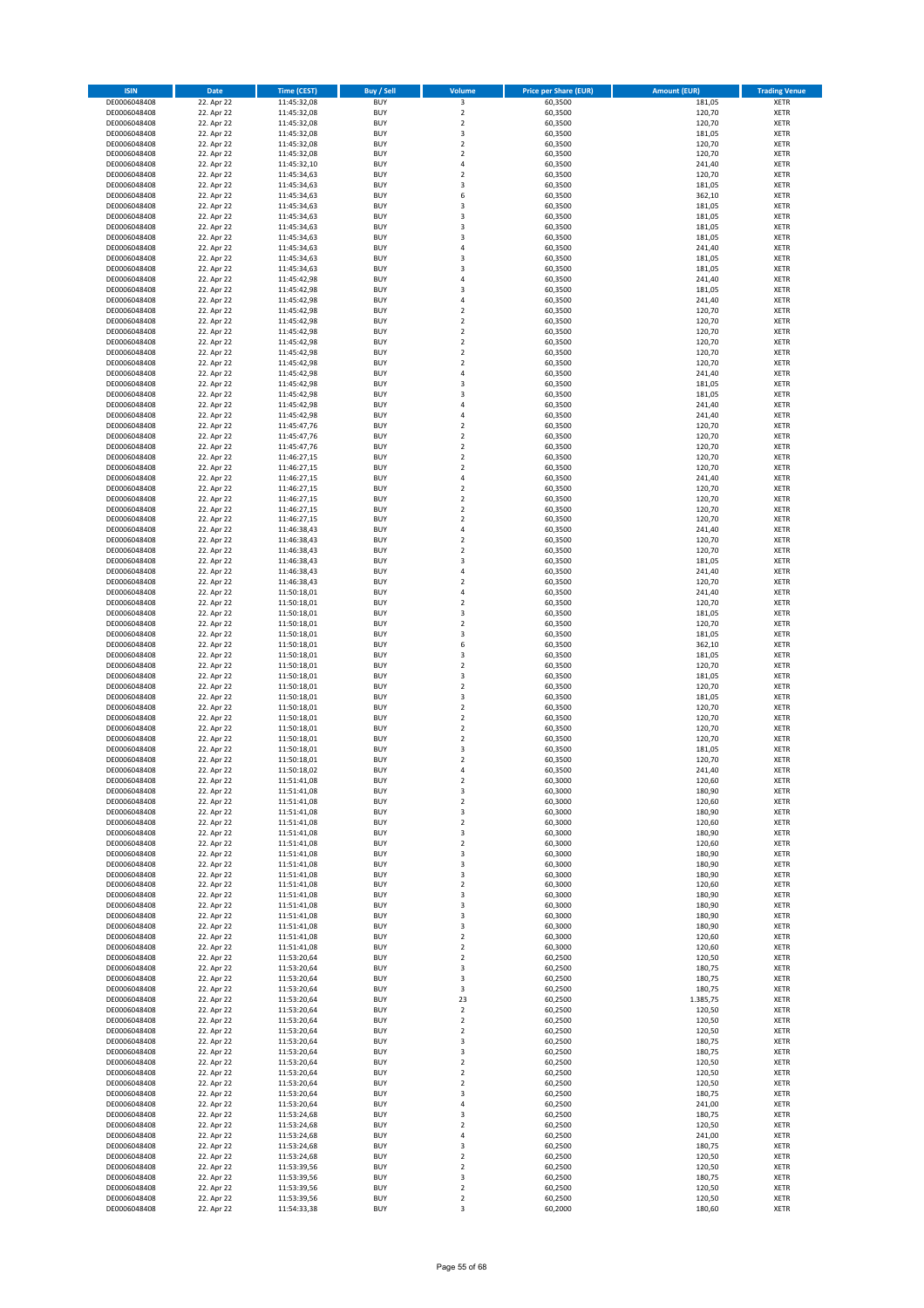| <b>ISIN</b>                  | Date                     | <b>Time (CEST)</b>         | <b>Buy / Sell</b>        | Volume                                             | <b>Price per Share (EUR)</b> | <b>Amount (EUR)</b> | <b>Trading Venue</b>       |
|------------------------------|--------------------------|----------------------------|--------------------------|----------------------------------------------------|------------------------------|---------------------|----------------------------|
| DE0006048408                 | 22. Apr 22               | 11:45:32,08                | <b>BUY</b>               | 3                                                  | 60,3500                      | 181,05              | XETR                       |
| DE0006048408                 | 22. Apr 22               | 11:45:32,08                | <b>BUY</b>               | $\mathbf 2$                                        | 60,3500                      | 120,70              | XETR                       |
| DE0006048408<br>DE0006048408 | 22. Apr 22<br>22. Apr 22 | 11:45:32,08<br>11:45:32,08 | <b>BUY</b><br><b>BUY</b> | $\mathbf 2$<br>3                                   | 60,3500<br>60,3500           | 120,70<br>181,05    | <b>XETR</b><br><b>XETR</b> |
| DE0006048408                 | 22. Apr 22               | 11:45:32,08                | <b>BUY</b>               | $\mathbf 2$                                        | 60,3500                      | 120,70              | <b>XETR</b>                |
| DE0006048408                 | 22. Apr 22               | 11:45:32,08                | <b>BUY</b>               | $\overline{2}$                                     | 60,3500                      | 120,70              | <b>XETR</b>                |
| DE0006048408                 | 22. Apr 22               | 11:45:32,10                | <b>BUY</b>               | $\overline{a}$                                     | 60,3500                      | 241,40              | <b>XETR</b>                |
| DE0006048408                 | 22. Apr 22               | 11:45:34,63                | <b>BUY</b>               | $\overline{2}$                                     | 60,3500                      | 120,70              | <b>XETR</b>                |
| DE0006048408<br>DE0006048408 | 22. Apr 22<br>22. Apr 22 | 11:45:34,63<br>11:45:34,63 | <b>BUY</b><br><b>BUY</b> | $\overline{\mathbf{3}}$<br>6                       | 60,3500<br>60,3500           | 181,05<br>362,10    | XETR<br><b>XETR</b>        |
| DE0006048408                 | 22. Apr 22               | 11:45:34,63                | <b>BUY</b>               | $\overline{\mathbf{3}}$                            | 60,3500                      | 181,05              | XETR                       |
| DE0006048408                 | 22. Apr 22               | 11:45:34,63                | <b>BUY</b>               | $\overline{\mathbf{3}}$                            | 60,3500                      | 181,05              | <b>XETR</b>                |
| DE0006048408                 | 22. Apr 22               | 11:45:34,63                | <b>BUY</b>               | 3                                                  | 60,3500                      | 181,05              | XETR                       |
| DE0006048408                 | 22. Apr 22               | 11:45:34,63                | <b>BUY</b>               | $\overline{\mathbf{3}}$                            | 60,3500                      | 181,05              | <b>XETR</b>                |
| DE0006048408                 | 22. Apr 22               | 11:45:34,63                | <b>BUY</b>               | $\overline{a}$                                     | 60,3500                      | 241,40              | <b>XETR</b>                |
| DE0006048408<br>DE0006048408 | 22. Apr 22<br>22. Apr 22 | 11:45:34,63<br>11:45:34,63 | <b>BUY</b><br><b>BUY</b> | $\overline{\mathbf{3}}$<br>$\overline{\mathbf{3}}$ | 60,3500<br>60,3500           | 181,05<br>181,05    | <b>XETR</b><br>XETR        |
| DE0006048408                 | 22. Apr 22               | 11:45:42,98                | <b>BUY</b>               | $\overline{a}$                                     | 60,3500                      | 241,40              | <b>XETR</b>                |
| DE0006048408                 | 22. Apr 22               | 11:45:42,98                | <b>BUY</b>               | $\overline{\mathbf{3}}$                            | 60,3500                      | 181,05              | <b>XETR</b>                |
| DE0006048408                 | 22. Apr 22               | 11:45:42,98                | <b>BUY</b>               | $\overline{4}$                                     | 60,3500                      | 241,40              | <b>XETR</b>                |
| DE0006048408                 | 22. Apr 22               | 11:45:42,98                | <b>BUY</b>               | $\mathbf 2$                                        | 60,3500                      | 120,70              | XETR                       |
| DE0006048408<br>DE0006048408 | 22. Apr 22<br>22. Apr 22 | 11:45:42,98<br>11:45:42,98 | <b>BUY</b><br><b>BUY</b> | $\mathbf 2$<br>$\overline{2}$                      | 60,3500<br>60,3500           | 120,70<br>120,70    | <b>XETR</b><br><b>XETR</b> |
| DE0006048408                 | 22. Apr 22               | 11:45:42,98                | <b>BUY</b>               | $\overline{2}$                                     | 60,3500                      | 120,70              | <b>XETR</b>                |
| DE0006048408                 | 22. Apr 22               | 11:45:42,98                | <b>BUY</b>               | $\overline{2}$                                     | 60,3500                      | 120,70              | <b>XETR</b>                |
| DE0006048408                 | 22. Apr 22               | 11:45:42,98                | <b>BUY</b>               | $\overline{2}$                                     | 60,3500                      | 120,70              | <b>XETR</b>                |
| DE0006048408                 | 22. Apr 22               | 11:45:42,98                | <b>BUY</b>               | $\overline{a}$                                     | 60,3500                      | 241,40              | <b>XETR</b>                |
| DE0006048408<br>DE0006048408 | 22. Apr 22<br>22. Apr 22 | 11:45:42,98<br>11:45:42,98 | <b>BUY</b><br><b>BUY</b> | $\overline{\mathbf{3}}$<br>$\overline{\mathbf{3}}$ | 60,3500<br>60,3500           | 181,05<br>181,05    | <b>XETR</b><br><b>XETR</b> |
| DE0006048408                 | 22. Apr 22               | 11:45:42,98                | <b>BUY</b>               | $\overline{4}$                                     | 60,3500                      | 241,40              | <b>XETR</b>                |
| DE0006048408                 | 22. Apr 22               | 11:45:42,98                | <b>BUY</b>               | $\overline{a}$                                     | 60,3500                      | 241,40              | <b>XETR</b>                |
| DE0006048408                 | 22. Apr 22               | 11:45:47,76                | <b>BUY</b>               | $\overline{2}$                                     | 60,3500                      | 120,70              | <b>XETR</b>                |
| DE0006048408                 | 22. Apr 22               | 11:45:47,76                | <b>BUY</b>               | $\overline{2}$                                     | 60,3500                      | 120,70              | <b>XETR</b>                |
| DE0006048408                 | 22. Apr 22               | 11:45:47,76                | <b>BUY</b>               | $\overline{2}$                                     | 60,3500                      | 120,70              | XETR                       |
| DE0006048408<br>DE0006048408 | 22. Apr 22<br>22. Apr 22 | 11:46:27,15<br>11:46:27,15 | <b>BUY</b><br><b>BUY</b> | $\overline{2}$<br>$\overline{2}$                   | 60,3500<br>60,3500           | 120,70<br>120,70    | <b>XETR</b><br>XETR        |
| DE0006048408                 | 22. Apr 22               | 11:46:27,15                | <b>BUY</b>               | $\overline{4}$                                     | 60,3500                      | 241,40              | <b>XETR</b>                |
| DE0006048408                 | 22. Apr 22               | 11:46:27,15                | <b>BUY</b>               | $\mathbf 2$                                        | 60,3500                      | 120,70              | XETR                       |
| DE0006048408                 | 22. Apr 22               | 11:46:27,15                | <b>BUY</b>               | $\overline{2}$                                     | 60,3500                      | 120,70              | <b>XETR</b>                |
| DE0006048408                 | 22. Apr 22               | 11:46:27,15                | <b>BUY</b>               | $\mathbf 2$                                        | 60,3500                      | 120,70              | XETR                       |
| DE0006048408                 | 22. Apr 22               | 11:46:27,15                | <b>BUY</b><br><b>BUY</b> | $\overline{2}$<br>$\overline{4}$                   | 60,3500                      | 120,70              | <b>XETR</b>                |
| DE0006048408<br>DE0006048408 | 22. Apr 22<br>22. Apr 22 | 11:46:38,43<br>11:46:38,43 | <b>BUY</b>               | $\overline{2}$                                     | 60,3500<br>60,3500           | 241,40<br>120,70    | XETR<br><b>XETR</b>        |
| DE0006048408                 | 22. Apr 22               | 11:46:38,43                | <b>BUY</b>               | $\mathbf 2$                                        | 60,3500                      | 120,70              | <b>XETR</b>                |
| DE0006048408                 | 22. Apr 22               | 11:46:38,43                | <b>BUY</b>               | $\overline{\mathbf{3}}$                            | 60,3500                      | 181,05              | <b>XETR</b>                |
| DE0006048408                 | 22. Apr 22               | 11:46:38,43                | <b>BUY</b>               | $\overline{4}$                                     | 60,3500                      | 241,40              | XETR                       |
| DE0006048408                 | 22. Apr 22               | 11:46:38,43                | <b>BUY</b>               | $\overline{2}$<br>$\overline{a}$                   | 60,3500                      | 120,70              | <b>XETR</b>                |
| DE0006048408<br>DE0006048408 | 22. Apr 22<br>22. Apr 22 | 11:50:18,01<br>11:50:18,01 | <b>BUY</b><br><b>BUY</b> | $\overline{2}$                                     | 60,3500<br>60,3500           | 241,40<br>120,70    | <b>XETR</b><br><b>XETR</b> |
| DE0006048408                 | 22. Apr 22               | 11:50:18,01                | <b>BUY</b>               | $\overline{\mathbf{3}}$                            | 60,3500                      | 181,05              | <b>XETR</b>                |
| DE0006048408                 | 22. Apr 22               | 11:50:18,01                | <b>BUY</b>               | $\overline{2}$                                     | 60,3500                      | 120,70              | <b>XETR</b>                |
| DE0006048408                 | 22. Apr 22               | 11:50:18,01                | <b>BUY</b>               | $\overline{3}$                                     | 60,3500                      | 181,05              | <b>XETR</b>                |
| DE0006048408                 | 22. Apr 22               | 11:50:18,01                | <b>BUY</b>               | 6                                                  | 60,3500                      | 362,10              | <b>XETR</b>                |
| DE0006048408                 | 22. Apr 22<br>22. Apr 22 | 11:50:18,01                | <b>BUY</b><br><b>BUY</b> | $\overline{\mathbf{3}}$<br>$\overline{2}$          | 60,3500<br>60,3500           | 181,05<br>120,70    | <b>XETR</b><br><b>XETR</b> |
| DE0006048408<br>DE0006048408 | 22. Apr 22               | 11:50:18,01<br>11:50:18,01 | <b>BUY</b>               | $\overline{\mathbf{3}}$                            | 60,3500                      | 181,05              | <b>XETR</b>                |
| DE0006048408                 | 22. Apr 22               | 11:50:18,01                | <b>BUY</b>               | $\overline{2}$                                     | 60,3500                      | 120,70              | <b>XETR</b>                |
| DE0006048408                 | 22. Apr 22               | 11:50:18,01                | <b>BUY</b>               | $\overline{\mathbf{3}}$                            | 60,3500                      | 181,05              | <b>XETR</b>                |
| DE0006048408                 | 22. Apr 22               | 11:50:18,01                | <b>BUY</b>               | $\overline{2}$                                     | 60,3500                      | 120,70              | <b>XETR</b>                |
| DE0006048408                 | 22. Apr 22               | 11:50:18,01                | <b>BUY</b>               | $\overline{2}$                                     | 60,3500                      | 120,70              | <b>XETR</b>                |
| DE0006048408<br>DE0006048408 | 22. Apr 22<br>22. Apr 22 | 11:50:18,01<br>11:50:18,01 | <b>BUY</b><br><b>BUY</b> | $\mathbf 2$<br>$\overline{2}$                      | 60,3500<br>60,3500           | 120,70<br>120,70    | <b>XETR</b><br><b>XETR</b> |
| DE0006048408                 | 22. Apr 22               | 11:50:18,01                | <b>BUY</b>               | 3                                                  | 60,3500                      | 181,05              | <b>XETR</b>                |
| DE0006048408                 | 22. Apr 22               | 11:50:18,01                | <b>BUY</b>               | $\overline{2}$                                     | 60,3500                      | 120,70              | <b>XETR</b>                |
| DE0006048408                 | 22. Apr 22               | 11:50:18,02                | <b>BUY</b>               | $\overline{a}$                                     | 60,3500                      | 241,40              | XETR                       |
| DE0006048408                 | 22. Apr 22               | 11:51:41,08                | <b>BUY</b>               | $\overline{\mathbf{c}}$                            | 60,3000                      | 120,60              | XETR                       |
| DE0006048408<br>DE0006048408 | 22. Apr 22<br>22. Apr 22 | 11:51:41,08<br>11:51:41,08 | <b>BUY</b><br><b>BUY</b> | 3<br>$\mathbf 2$                                   | 60,3000<br>60,3000           | 180,90<br>120,60    | <b>XETR</b><br>XETR        |
| DE0006048408                 | 22. Apr 22               | 11:51:41,08                | <b>BUY</b>               | 3                                                  | 60,3000                      | 180,90              | <b>XETR</b>                |
| DE0006048408                 | 22. Apr 22               | 11:51:41,08                | <b>BUY</b>               | 2                                                  | 60,3000                      | 120,60              | <b>XETR</b>                |
| DE0006048408                 | 22. Apr 22               | 11:51:41,08                | <b>BUY</b>               | 3                                                  | 60,3000                      | 180,90              | <b>XETR</b>                |
| DE0006048408                 | 22. Apr 22               | 11:51:41,08                | <b>BUY</b>               | $\overline{2}$                                     | 60,3000                      | 120,60              | <b>XETR</b>                |
| DE0006048408<br>DE0006048408 | 22. Apr 22<br>22. Apr 22 | 11:51:41,08<br>11:51:41,08 | <b>BUY</b><br><b>BUY</b> | 3<br>$\overline{\mathbf{3}}$                       | 60,3000<br>60,3000           | 180,90<br>180,90    | XETR<br><b>XETR</b>        |
| DE0006048408                 | 22. Apr 22               | 11:51:41,08                | <b>BUY</b>               | $\overline{\mathbf{3}}$                            | 60,3000                      | 180,90              | XETR                       |
| DE0006048408                 | 22. Apr 22               | 11:51:41,08                | <b>BUY</b>               | $\overline{2}$                                     | 60,3000                      | 120,60              | <b>XETR</b>                |
| DE0006048408                 | 22. Apr 22               | 11:51:41,08                | <b>BUY</b>               | $\overline{\mathbf{3}}$                            | 60,3000                      | 180,90              | XETR                       |
| DE0006048408<br>DE0006048408 | 22. Apr 22               | 11:51:41,08                | <b>BUY</b><br><b>BUY</b> | 3<br>3                                             | 60,3000<br>60,3000           | 180,90              | <b>XETR</b><br>XETR        |
| DE0006048408                 | 22. Apr 22<br>22. Apr 22 | 11:51:41,08<br>11:51:41,08 | <b>BUY</b>               | 3                                                  | 60,3000                      | 180,90<br>180,90    | <b>XETR</b>                |
| DE0006048408                 | 22. Apr 22               | 11:51:41,08                | <b>BUY</b>               | $\mathbf 2$                                        | 60,3000                      | 120,60              | XETR                       |
| DE0006048408                 | 22. Apr 22               | 11:51:41,08                | <b>BUY</b>               | $\mathbf 2$                                        | 60,3000                      | 120,60              | <b>XETR</b>                |
| DE0006048408                 | 22. Apr 22               | 11:53:20,64                | <b>BUY</b>               | 2                                                  | 60,2500                      | 120,50              | XETR                       |
| DE0006048408                 | 22. Apr 22               | 11:53:20,64                | <b>BUY</b>               | 3                                                  | 60,2500                      | 180,75              | <b>XETR</b>                |
| DE0006048408<br>DE0006048408 | 22. Apr 22<br>22. Apr 22 | 11:53:20,64<br>11:53:20,64 | <b>BUY</b><br><b>BUY</b> | 3<br>3                                             | 60,2500<br>60,2500           | 180,75<br>180,75    | XETR<br><b>XETR</b>        |
| DE0006048408                 | 22. Apr 22               | 11:53:20,64                | <b>BUY</b>               | 23                                                 | 60,2500                      | 1.385,75            | <b>XETR</b>                |
| DE0006048408                 | 22. Apr 22               | 11:53:20,64                | <b>BUY</b>               | $\mathbf 2$                                        | 60,2500                      | 120,50              | <b>XETR</b>                |
| DE0006048408                 | 22. Apr 22               | 11:53:20,64                | <b>BUY</b>               | $\mathbf 2$                                        | 60,2500                      | 120,50              | XETR                       |
| DE0006048408                 | 22. Apr 22               | 11:53:20,64                | <b>BUY</b>               | $\mathbf 2$                                        | 60,2500                      | 120,50              | <b>XETR</b>                |
| DE0006048408                 | 22. Apr 22               | 11:53:20,64                | <b>BUY</b><br><b>BUY</b> | 3<br>3                                             | 60,2500<br>60,2500           | 180,75              | <b>XETR</b>                |
| DE0006048408<br>DE0006048408 | 22. Apr 22<br>22. Apr 22 | 11:53:20,64<br>11:53:20,64 | <b>BUY</b>               | $\overline{2}$                                     | 60,2500                      | 180,75<br>120,50    | <b>XETR</b><br><b>XETR</b> |
| DE0006048408                 | 22. Apr 22               | 11:53:20,64                | <b>BUY</b>               | $\mathbf 2$                                        | 60,2500                      | 120,50              | <b>XETR</b>                |
| DE0006048408                 | 22. Apr 22               | 11:53:20,64                | <b>BUY</b>               | $\mathbf 2$                                        | 60,2500                      | 120,50              | <b>XETR</b>                |
| DE0006048408                 | 22. Apr 22               | 11:53:20,64                | <b>BUY</b>               | 3                                                  | 60,2500                      | 180,75              | XETR                       |
| DE0006048408                 | 22. Apr 22               | 11:53:20,64                | <b>BUY</b>               | $\overline{4}$                                     | 60,2500                      | 241,00              | XETR                       |
| DE0006048408<br>DE0006048408 | 22. Apr 22<br>22. Apr 22 | 11:53:24,68                | <b>BUY</b><br><b>BUY</b> | 3<br>$\overline{2}$                                | 60,2500                      | 180,75              | XETR                       |
| DE0006048408                 | 22. Apr 22               | 11:53:24,68<br>11:53:24,68 | <b>BUY</b>               | 4                                                  | 60,2500<br>60,2500           | 120,50<br>241,00    | <b>XETR</b><br><b>XETR</b> |
| DE0006048408                 | 22. Apr 22               | 11:53:24,68                | <b>BUY</b>               | 3                                                  | 60,2500                      | 180,75              | <b>XETR</b>                |
| DE0006048408                 | 22. Apr 22               | 11:53:24,68                | <b>BUY</b>               | $\overline{2}$                                     | 60,2500                      | 120,50              | XETR                       |
| DE0006048408                 | 22. Apr 22               | 11:53:39,56                | <b>BUY</b>               | $\mathbf 2$                                        | 60,2500                      | 120,50              | <b>XETR</b>                |
| DE0006048408                 | 22. Apr 22               | 11:53:39,56                | <b>BUY</b>               | 3                                                  | 60,2500                      | 180,75              | XETR                       |
| DE0006048408<br>DE0006048408 | 22. Apr 22<br>22. Apr 22 | 11:53:39,56<br>11:53:39,56 | <b>BUY</b><br><b>BUY</b> | $\mathbf 2$<br>$\mathbf 2$                         | 60,2500<br>60,2500           | 120,50<br>120,50    | <b>XETR</b><br>XETR        |
| DE0006048408                 | 22. Apr 22               | 11:54:33,38                | <b>BUY</b>               | 3                                                  | 60,2000                      | 180,60              | <b>XETR</b>                |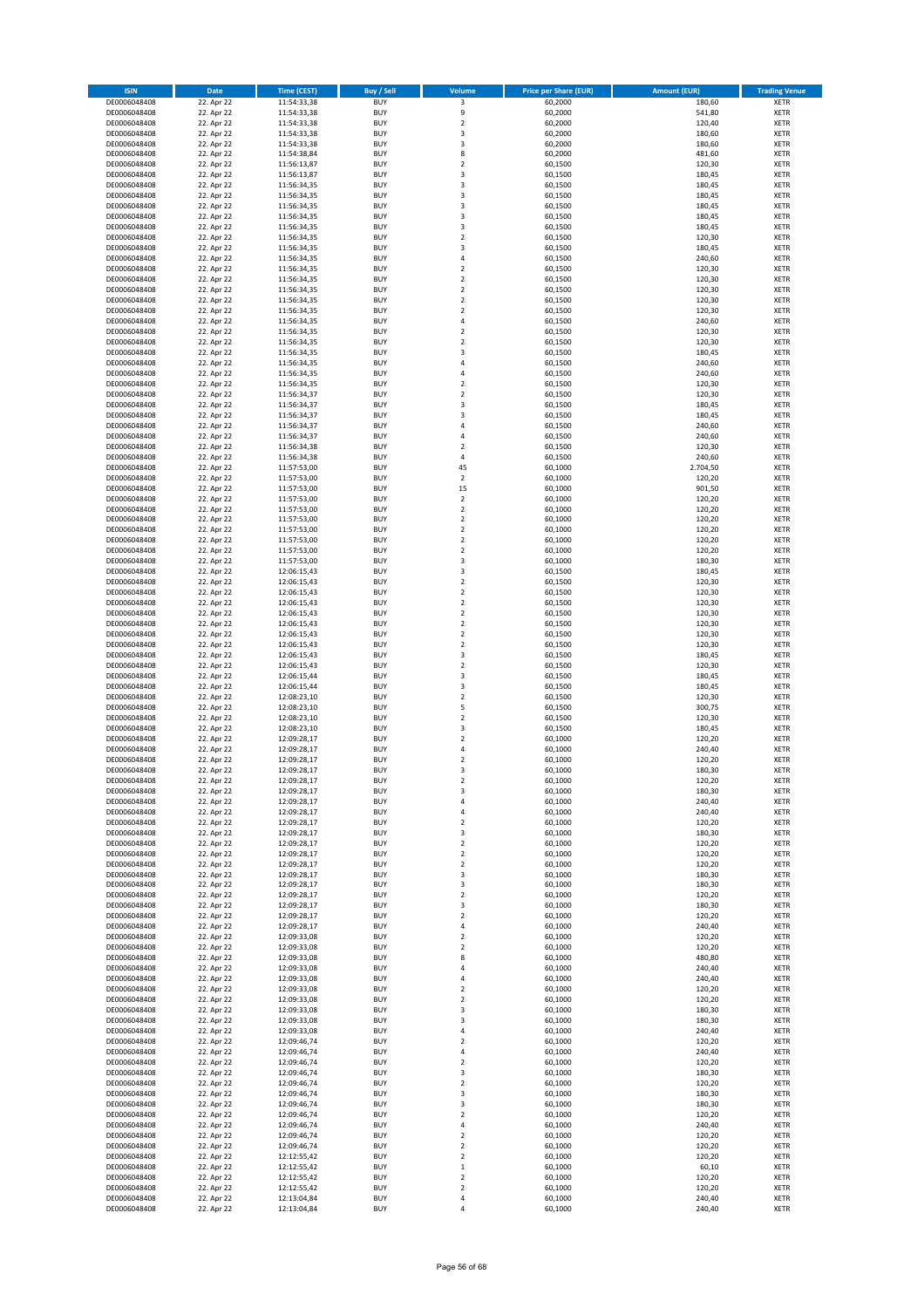| <b>ISIN</b>                  | <b>Date</b>              | <b>Time (CEST)</b>         | Buy / Sell               | Volume                        | <b>Price per Share (EUR)</b> | <b>Amount (EUR)</b> | <b>Trading Venue</b>       |
|------------------------------|--------------------------|----------------------------|--------------------------|-------------------------------|------------------------------|---------------------|----------------------------|
| DE0006048408                 | 22. Apr 22               | 11:54:33,38                | <b>BUY</b>               | 3                             | 60,2000                      | 180,60              | XETR                       |
| DE0006048408                 | 22. Apr 22               | 11:54:33,38                | <b>BUY</b>               | 9                             | 60,2000                      | 541,80              | XETR                       |
| DE0006048408<br>DE0006048408 | 22. Apr 22<br>22. Apr 22 | 11:54:33,38<br>11:54:33,38 | <b>BUY</b><br><b>BUY</b> | $\mathbf 2$<br>3              | 60,2000<br>60,2000           | 120,40<br>180,60    | <b>XETR</b><br><b>XETR</b> |
| DE0006048408                 | 22. Apr 22               | 11:54:33,38                | <b>BUY</b>               | 3                             | 60,2000                      | 180,60              | <b>XETR</b>                |
| DE0006048408                 | 22. Apr 22               | 11:54:38,84                | <b>BUY</b>               | 8                             | 60,2000                      | 481,60              | <b>XETR</b>                |
| DE0006048408                 | 22. Apr 22               | 11:56:13,87                | <b>BUY</b>               | $\overline{\mathbf{c}}$       | 60,1500                      | 120,30              | <b>XETR</b>                |
| DE0006048408                 | 22. Apr 22               | 11:56:13,87                | <b>BUY</b>               | 3                             | 60,1500                      | 180,45              | <b>XETR</b>                |
| DE0006048408<br>DE0006048408 | 22. Apr 22<br>22. Apr 22 | 11:56:34,35                | <b>BUY</b><br><b>BUY</b> | 3<br>3                        | 60,1500<br>60,1500           | 180,45<br>180,45    | <b>XETR</b><br><b>XETR</b> |
| DE0006048408                 | 22. Apr 22               | 11:56:34,35<br>11:56:34,35 | <b>BUY</b>               | 3                             | 60,1500                      | 180,45              | <b>XETR</b>                |
| DE0006048408                 | 22. Apr 22               | 11:56:34,35                | <b>BUY</b>               | 3                             | 60,1500                      | 180,45              | <b>XETR</b>                |
| DE0006048408                 | 22. Apr 22               | 11:56:34,35                | <b>BUY</b>               | 3                             | 60,1500                      | 180,45              | XETR                       |
| DE0006048408                 | 22. Apr 22               | 11:56:34,35                | <b>BUY</b>               | $\overline{\mathbf{c}}$       | 60,1500                      | 120,30              | <b>XETR</b>                |
| DE0006048408                 | 22. Apr 22               | 11:56:34,35                | <b>BUY</b>               | 3                             | 60,1500                      | 180,45              | XETR                       |
| DE0006048408<br>DE0006048408 | 22. Apr 22<br>22. Apr 22 | 11:56:34,35<br>11:56:34,35 | <b>BUY</b><br><b>BUY</b> | 4<br>$\mathbf 2$              | 60,1500<br>60,1500           | 240,60<br>120,30    | <b>XETR</b><br>XETR        |
| DE0006048408                 | 22. Apr 22               | 11:56:34,35                | <b>BUY</b>               | $\mathbf 2$                   | 60,1500                      | 120,30              | <b>XETR</b>                |
| DE0006048408                 | 22. Apr 22               | 11:56:34,35                | <b>BUY</b>               | $\mathbf 2$                   | 60,1500                      | 120,30              | XETR                       |
| DE0006048408                 | 22. Apr 22               | 11:56:34,35                | <b>BUY</b>               | $\mathbf 2$                   | 60,1500                      | 120,30              | <b>XETR</b>                |
| DE0006048408                 | 22. Apr 22<br>22. Apr 22 | 11:56:34,35                | <b>BUY</b><br><b>BUY</b> | $\mathbf 2$<br>4              | 60,1500                      | 120,30<br>240,60    | <b>XETR</b><br><b>XETR</b> |
| DE0006048408<br>DE0006048408 | 22. Apr 22               | 11:56:34,35<br>11:56:34,35 | <b>BUY</b>               | $\mathbf 2$                   | 60,1500<br>60,1500           | 120,30              | <b>XETR</b>                |
| DE0006048408                 | 22. Apr 22               | 11:56:34,35                | <b>BUY</b>               | $\mathbf 2$                   | 60,1500                      | 120,30              | <b>XETR</b>                |
| DE0006048408                 | 22. Apr 22               | 11:56:34,35                | <b>BUY</b>               | 3                             | 60,1500                      | 180,45              | <b>XETR</b>                |
| DE0006048408                 | 22. Apr 22               | 11:56:34,35                | <b>BUY</b>               | 4                             | 60,1500                      | 240,60              | <b>XETR</b>                |
| DE0006048408                 | 22. Apr 22               | 11:56:34,35                | <b>BUY</b>               | $\overline{4}$                | 60,1500                      | 240,60              | <b>XETR</b>                |
| DE0006048408<br>DE0006048408 | 22. Apr 22<br>22. Apr 22 | 11:56:34,35<br>11:56:34,37 | <b>BUY</b><br><b>BUY</b> | $\mathbf 2$<br>$\mathbf 2$    | 60,1500<br>60,1500           | 120,30<br>120,30    | <b>XETR</b><br><b>XETR</b> |
| DE0006048408                 | 22. Apr 22               | 11:56:34,37                | <b>BUY</b>               | 3                             | 60,1500                      | 180,45              | <b>XETR</b>                |
| DE0006048408                 | 22. Apr 22               | 11:56:34,37                | <b>BUY</b>               | 3                             | 60,1500                      | 180,45              | <b>XETR</b>                |
| DE0006048408                 | 22. Apr 22               | 11:56:34,37                | <b>BUY</b>               | 4                             | 60,1500                      | 240,60              | <b>XETR</b>                |
| DE0006048408                 | 22. Apr 22               | 11:56:34,37                | <b>BUY</b>               | 4                             | 60,1500                      | 240,60              | <b>XETR</b>                |
| DE0006048408<br>DE0006048408 | 22. Apr 22<br>22. Apr 22 | 11:56:34,38<br>11:56:34,38 | <b>BUY</b><br><b>BUY</b> | $\mathbf 2$<br>$\overline{4}$ | 60,1500<br>60,1500           | 120,30<br>240,60    | XETR<br><b>XETR</b>        |
| DE0006048408                 | 22. Apr 22               | 11:57:53,00                | <b>BUY</b>               | 45                            | 60,1000                      | 2.704,50            | XETR                       |
| DE0006048408                 | 22. Apr 22               | 11:57:53,00                | <b>BUY</b>               | $\mathbf 2$                   | 60,1000                      | 120,20              | <b>XETR</b>                |
| DE0006048408                 | 22. Apr 22               | 11:57:53,00                | <b>BUY</b>               | 15                            | 60,1000                      | 901,50              | XETR                       |
| DE0006048408                 | 22. Apr 22               | 11:57:53,00                | <b>BUY</b>               | $\mathbf 2$                   | 60,1000                      | 120,20              | <b>XETR</b>                |
| DE0006048408<br>DE0006048408 | 22. Apr 22<br>22. Apr 22 | 11:57:53,00                | <b>BUY</b><br><b>BUY</b> | $\mathbf 2$<br>$\mathbf 2$    | 60,1000<br>60,1000           | 120,20<br>120,20    | <b>XETR</b><br><b>XETR</b> |
| DE0006048408                 | 22. Apr 22               | 11:57:53,00<br>11:57:53,00 | <b>BUY</b>               | $\mathbf 2$                   | 60,1000                      | 120,20              | <b>XETR</b>                |
| DE0006048408                 | 22. Apr 22               | 11:57:53,00                | <b>BUY</b>               | $\mathbf 2$                   | 60,1000                      | 120,20              | <b>XETR</b>                |
| DE0006048408                 | 22. Apr 22               | 11:57:53,00                | <b>BUY</b>               | $\mathbf 2$                   | 60,1000                      | 120,20              | XETR                       |
| DE0006048408                 | 22. Apr 22               | 11:57:53,00                | <b>BUY</b>               | 3                             | 60,1000                      | 180,30              | <b>XETR</b>                |
| DE0006048408                 | 22. Apr 22               | 12:06:15,43                | <b>BUY</b>               | 3                             | 60,1500                      | 180,45              | XETR                       |
| DE0006048408<br>DE0006048408 | 22. Apr 22<br>22. Apr 22 | 12:06:15,43<br>12:06:15,43 | <b>BUY</b><br><b>BUY</b> | 2<br>$\mathbf 2$              | 60,1500<br>60,1500           | 120,30<br>120,30    | XETR<br><b>XETR</b>        |
| DE0006048408                 | 22. Apr 22               | 12:06:15,43                | <b>BUY</b>               | $\mathbf 2$                   | 60,1500                      | 120,30              | <b>XETR</b>                |
| DE0006048408                 | 22. Apr 22               | 12:06:15,43                | <b>BUY</b>               | $\mathbf 2$                   | 60,1500                      | 120,30              | <b>XETR</b>                |
| DE0006048408                 | 22. Apr 22               | 12:06:15,43                | <b>BUY</b>               | $\mathbf 2$                   | 60,1500                      | 120,30              | <b>XETR</b>                |
| DE0006048408                 | 22. Apr 22               | 12:06:15,43                | <b>BUY</b>               | $\mathbf 2$                   | 60,1500                      | 120,30              | <b>XETR</b>                |
| DE0006048408<br>DE0006048408 | 22. Apr 22<br>22. Apr 22 | 12:06:15,43<br>12:06:15,43 | <b>BUY</b><br><b>BUY</b> | $\mathbf 2$<br>3              | 60,1500<br>60,1500           | 120,30<br>180,45    | <b>XETR</b><br>XETR        |
| DE0006048408                 | 22. Apr 22               | 12:06:15,43                | <b>BUY</b>               | $\mathbf 2$                   | 60,1500                      | 120,30              | XETR                       |
| DE0006048408                 | 22. Apr 22               | 12:06:15,44                | <b>BUY</b>               | 3                             | 60,1500                      | 180,45              | <b>XETR</b>                |
| DE0006048408                 | 22. Apr 22               | 12:06:15,44                | <b>BUY</b>               | 3                             | 60,1500                      | 180,45              | <b>XETR</b>                |
| DE0006048408                 | 22. Apr 22               | 12:08:23,10                | <b>BUY</b>               | $\mathbf 2$                   | 60,1500                      | 120,30              | <b>XETR</b>                |
| DE0006048408<br>DE0006048408 | 22. Apr 22<br>22. Apr 22 | 12:08:23,10<br>12:08:23,10 | <b>BUY</b><br><b>BUY</b> | 5<br>$\mathbf 2$              | 60,1500<br>60,1500           | 300,75<br>120,30    | XETR<br><b>XETR</b>        |
| DE0006048408                 | 22. Apr 22               | 12:08:23,10                | <b>BUY</b>               | 3                             | 60,1500                      | 180,45              | XETR                       |
| DE0006048408                 | 22. Apr 22               | 12:09:28,17                | <b>BUY</b>               | $\mathbf 2$                   | 60,1000                      | 120,20              | <b>XETR</b>                |
| DE0006048408                 | 22. Apr 22               | 12:09:28,17                | <b>BUY</b>               | 4                             | 60,1000                      | 240,40              | XETR                       |
| DE0006048408                 | 22. Apr 22               | 12:09:28,17                | <b>BUY</b>               | $\overline{\mathbf{2}}$       | 60,1000                      | 120,20              | <b>XETR</b>                |
| DE0006048408<br>DE0006048408 | 22. Apr 22<br>22. Apr 22 | 12:09:28,17<br>12:09:28,17 | <b>BUY</b><br><b>BUY</b> | 3<br>2                        | 60,1000<br>60,1000           | 180,30<br>120,20    | XETR<br>XETR               |
| DE0006048408                 | 22. Apr 22               | 12:09:28,17                | <b>BUY</b>               | 3                             | 60,1000                      | 180,30              | XETR                       |
| DE0006048408                 | 22. Apr 22               | 12:09:28,17                | <b>BUY</b>               | 4                             | 60,1000                      | 240,40              | XETR                       |
| DE0006048408                 | 22. Apr 22               | 12:09:28,17                | <b>BUY</b>               | 4                             | 60,1000                      | 240,40              | XETR                       |
| DE0006048408                 | 22. Apr 22               | 12:09:28,17                | <b>BUY</b>               | 2                             | 60,1000                      | 120,20              | <b>XETR</b>                |
| DE0006048408<br>DE0006048408 | 22. Apr 22<br>22. Apr 22 | 12:09:28,17<br>12:09:28,17 | <b>BUY</b><br><b>BUY</b> | 3<br>$\mathbf 2$              | 60,1000<br>60,1000           | 180,30<br>120,20    | XETR<br><b>XETR</b>        |
| DE0006048408                 | 22. Apr 22               | 12:09:28,17                | <b>BUY</b>               | $\mathbf 2$                   | 60,1000                      | 120,20              | XETR                       |
| DE0006048408                 | 22. Apr 22               | 12:09:28,17                | <b>BUY</b>               | $\mathbf 2$                   | 60,1000                      | 120,20              | <b>XETR</b>                |
| DE0006048408                 | 22. Apr 22               | 12:09:28,17                | <b>BUY</b>               | 3                             | 60,1000                      | 180,30              | XETR                       |
| DE0006048408                 | 22. Apr 22               | 12:09:28,17                | <b>BUY</b>               | 3                             | 60,1000                      | 180,30              | <b>XETR</b>                |
| DE0006048408<br>DE0006048408 | 22. Apr 22<br>22. Apr 22 | 12:09:28,17<br>12:09:28,17 | <b>BUY</b><br><b>BUY</b> | $\mathbf 2$<br>3              | 60,1000<br>60,1000           | 120,20<br>180,30    | XETR<br><b>XETR</b>        |
| DE0006048408                 | 22. Apr 22               | 12:09:28,17                | <b>BUY</b>               | $\mathbf 2$                   | 60,1000                      | 120,20              | XETR                       |
| DE0006048408                 | 22. Apr 22               | 12:09:28,17                | <b>BUY</b>               | 4                             | 60,1000                      | 240,40              | <b>XETR</b>                |
| DE0006048408                 | 22. Apr 22               | 12:09:33,08                | <b>BUY</b>               | $\mathbf 2$                   | 60,1000                      | 120,20              | XETR                       |
| DE0006048408                 | 22. Apr 22               | 12:09:33,08                | <b>BUY</b>               | $\mathbf 2$                   | 60,1000                      | 120,20              | <b>XETR</b>                |
| DE0006048408<br>DE0006048408 | 22. Apr 22<br>22. Apr 22 | 12:09:33,08<br>12:09:33,08 | <b>BUY</b><br><b>BUY</b> | 8<br>4                        | 60,1000<br>60,1000           | 480,80<br>240,40    | <b>XETR</b><br><b>XETR</b> |
| DE0006048408                 | 22. Apr 22               | 12:09:33,08                | <b>BUY</b>               | 4                             | 60,1000                      | 240,40              | XETR                       |
| DE0006048408                 | 22. Apr 22               | 12:09:33,08                | <b>BUY</b>               | $\mathbf 2$                   | 60,1000                      | 120,20              | <b>XETR</b>                |
| DE0006048408                 | 22. Apr 22               | 12:09:33,08                | <b>BUY</b>               | 2                             | 60,1000                      | 120,20              | <b>XETR</b>                |
| DE0006048408                 | 22. Apr 22               | 12:09:33,08                | <b>BUY</b>               | 3                             | 60,1000                      | 180,30              | XETR                       |
| DE0006048408<br>DE0006048408 | 22. Apr 22<br>22. Apr 22 | 12:09:33,08<br>12:09:33,08 | <b>BUY</b><br><b>BUY</b> | 3<br>4                        | 60,1000<br>60,1000           | 180,30<br>240,40    | <b>XETR</b><br>XETR        |
| DE0006048408                 | 22. Apr 22               | 12:09:46,74                | <b>BUY</b>               | $\mathbf 2$                   | 60,1000                      | 120,20              | <b>XETR</b>                |
| DE0006048408                 | 22. Apr 22               | 12:09:46,74                | <b>BUY</b>               | 4                             | 60,1000                      | 240,40              | XETR                       |
| DE0006048408                 | 22. Apr 22               | 12:09:46,74                | <b>BUY</b>               | $\overline{\mathbf{2}}$       | 60,1000                      | 120,20              | <b>XETR</b>                |
| DE0006048408                 | 22. Apr 22               | 12:09:46,74                | <b>BUY</b>               | 3                             | 60,1000                      | 180,30              | XETR                       |
| DE0006048408<br>DE0006048408 | 22. Apr 22<br>22. Apr 22 | 12:09:46,74                | <b>BUY</b><br><b>BUY</b> | $\mathbf 2$                   | 60,1000<br>60,1000           | 120,20<br>180,30    | <b>XETR</b><br>XETR        |
| DE0006048408                 | 22. Apr 22               | 12:09:46,74<br>12:09:46,74 | <b>BUY</b>               | 3<br>3                        | 60,1000                      | 180,30              | <b>XETR</b>                |
| DE0006048408                 | 22. Apr 22               | 12:09:46,74                | <b>BUY</b>               | $\mathbf 2$                   | 60,1000                      | 120,20              | XETR                       |
| DE0006048408                 | 22. Apr 22               | 12:09:46,74                | <b>BUY</b>               | 4                             | 60,1000                      | 240,40              | <b>XETR</b>                |
| DE0006048408                 | 22. Apr 22               | 12:09:46,74                | <b>BUY</b>               | 2                             | 60,1000                      | 120,20              | <b>XETR</b>                |
| DE0006048408<br>DE0006048408 | 22. Apr 22<br>22. Apr 22 | 12:09:46,74                | <b>BUY</b><br><b>BUY</b> | 2<br>$\mathbf 2$              | 60,1000<br>60,1000           | 120,20<br>120,20    | <b>XETR</b><br>XETR        |
| DE0006048408                 | 22. Apr 22               | 12:12:55,42<br>12:12:55,42 | <b>BUY</b>               | $\mathbf 1$                   | 60,1000                      | 60,10               | <b>XETR</b>                |
| DE0006048408                 | 22. Apr 22               | 12:12:55,42                | <b>BUY</b>               | $\boldsymbol{2}$              | 60,1000                      | 120,20              | XETR                       |
| DE0006048408                 | 22. Apr 22               | 12:12:55,42                | <b>BUY</b>               | $\mathbf 2$                   | 60,1000                      | 120,20              | XETR                       |
| DE0006048408                 | 22. Apr 22               | 12:13:04,84                | <b>BUY</b>               | 4                             | 60,1000                      | 240,40              | XETR                       |
| DE0006048408                 | 22. Apr 22               | 12:13:04,84                | <b>BUY</b>               | 4                             | 60,1000                      | 240,40              | XETR                       |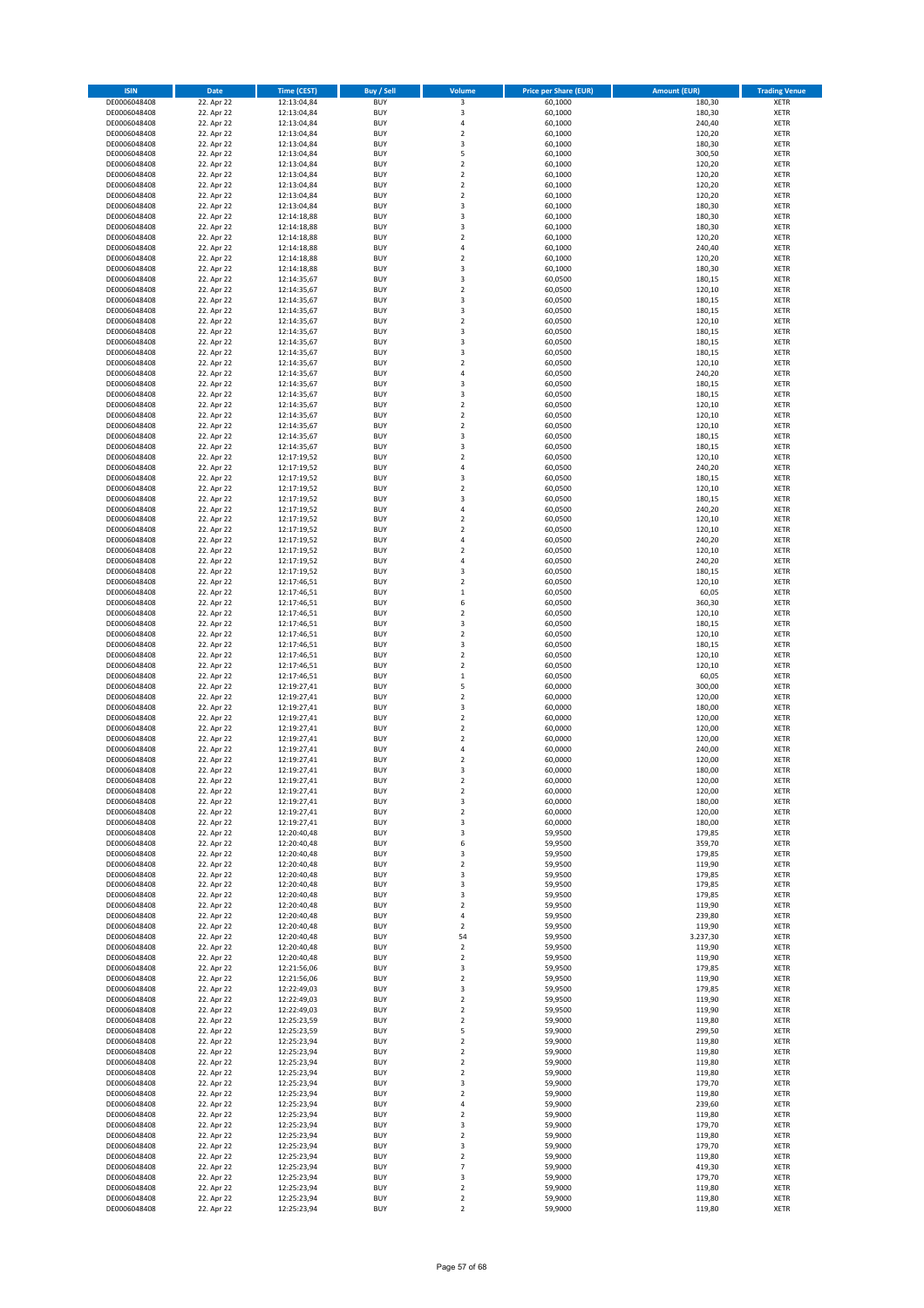| <b>ISIN</b>                  | <b>Date</b>              | Time (CEST)                | Buy / Sell               | Volume                          | <b>Price per Share (EUR)</b> | <b>Amount (EUR)</b> | <b>Trading Venue</b>       |
|------------------------------|--------------------------|----------------------------|--------------------------|---------------------------------|------------------------------|---------------------|----------------------------|
| DE0006048408                 | 22. Apr 22               | 12:13:04,84                | <b>BUY</b>               | 3                               | 60,1000                      | 180,30              | <b>XETR</b>                |
| DE0006048408                 | 22. Apr 22               | 12:13:04,84                | <b>BUY</b>               | 3                               | 60,1000                      | 180,30              | XETR                       |
| DE0006048408<br>DE0006048408 | 22. Apr 22<br>22. Apr 22 | 12:13:04,84<br>12:13:04,84 | <b>BUY</b><br><b>BUY</b> | 4<br>$\mathbf 2$                | 60,1000<br>60,1000           | 240,40<br>120,20    | XETR<br>XETR               |
| DE0006048408                 | 22. Apr 22               | 12:13:04,84                | <b>BUY</b>               | 3                               | 60,1000                      | 180,30              | XETR                       |
| DE0006048408                 | 22. Apr 22               | 12:13:04,84                | <b>BUY</b>               | 5                               | 60,1000                      | 300,50              | <b>XETR</b>                |
| DE0006048408                 | 22. Apr 22               | 12:13:04,84                | <b>BUY</b>               | $\overline{\mathbf{c}}$         | 60,1000                      | 120,20              | <b>XETR</b>                |
| DE0006048408                 | 22. Apr 22               | 12:13:04,84                | <b>BUY</b>               | $\overline{\mathbf{c}}$         | 60,1000                      | 120,20              | <b>XETR</b>                |
| DE0006048408                 | 22. Apr 22               | 12:13:04,84                | <b>BUY</b>               | $\mathbf 2$                     | 60,1000                      | 120,20              | <b>XETR</b>                |
| DE0006048408<br>DE0006048408 | 22. Apr 22<br>22. Apr 22 | 12:13:04,84<br>12:13:04,84 | <b>BUY</b><br><b>BUY</b> | $\overline{\mathbf{c}}$<br>3    | 60,1000<br>60,1000           | 120,20<br>180,30    | <b>XETR</b><br><b>XETR</b> |
| DE0006048408                 | 22. Apr 22               | 12:14:18,88                | <b>BUY</b>               | 3                               | 60,1000                      | 180,30              | <b>XETR</b>                |
| DE0006048408                 | 22. Apr 22               | 12:14:18,88                | <b>BUY</b>               | 3                               | 60,1000                      | 180,30              | XETR                       |
| DE0006048408                 | 22. Apr 22               | 12:14:18,88                | <b>BUY</b>               | $\mathbf 2$                     | 60,1000                      | 120,20              | <b>XETR</b>                |
| DE0006048408                 | 22. Apr 22               | 12:14:18,88                | <b>BUY</b>               | 4                               | 60,1000                      | 240,40              | XETR                       |
| DE0006048408                 | 22. Apr 22<br>22. Apr 22 | 12:14:18,88                | <b>BUY</b>               | $\mathbf 2$                     | 60,1000                      | 120,20              | <b>XETR</b>                |
| DE0006048408<br>DE0006048408 | 22. Apr 22               | 12:14:18,88<br>12:14:35,67 | <b>BUY</b><br><b>BUY</b> | 3<br>3                          | 60,1000<br>60,0500           | 180,30<br>180,15    | XETR<br><b>XETR</b>        |
| DE0006048408                 | 22. Apr 22               | 12:14:35,67                | <b>BUY</b>               | $\mathbf 2$                     | 60,0500                      | 120,10              | XETR                       |
| DE0006048408                 | 22. Apr 22               | 12:14:35,67                | <b>BUY</b>               | 3                               | 60,0500                      | 180,15              | <b>XETR</b>                |
| DE0006048408                 | 22. Apr 22               | 12:14:35,67                | <b>BUY</b>               | 3                               | 60,0500                      | 180,15              | XETR                       |
| DE0006048408                 | 22. Apr 22               | 12:14:35,67                | <b>BUY</b>               | $\mathbf 2$                     | 60,0500                      | 120,10              | XETR                       |
| DE0006048408                 | 22. Apr 22<br>22. Apr 22 | 12:14:35,67                | <b>BUY</b><br><b>BUY</b> | 3<br>3                          | 60,0500<br>60,0500           | 180,15<br>180,15    | <b>XETR</b><br><b>XETR</b> |
| DE0006048408<br>DE0006048408 | 22. Apr 22               | 12:14:35,67<br>12:14:35,67 | <b>BUY</b>               | 3                               | 60,0500                      | 180,15              | <b>XETR</b>                |
| DE0006048408                 | 22. Apr 22               | 12:14:35,67                | <b>BUY</b>               | $\mathbf 2$                     | 60,0500                      | 120,10              | <b>XETR</b>                |
| DE0006048408                 | 22. Apr 22               | 12:14:35,67                | <b>BUY</b>               | $\overline{4}$                  | 60,0500                      | 240,20              | <b>XETR</b>                |
| DE0006048408                 | 22. Apr 22               | 12:14:35,67                | <b>BUY</b>               | 3                               | 60,0500                      | 180,15              | <b>XETR</b>                |
| DE0006048408                 | 22. Apr 22               | 12:14:35,67                | <b>BUY</b>               | 3                               | 60,0500                      | 180,15              | <b>XETR</b>                |
| DE0006048408                 | 22. Apr 22<br>22. Apr 22 | 12:14:35,67                | <b>BUY</b><br><b>BUY</b> | $\mathbf 2$                     | 60,0500                      | 120,10              | XETR<br><b>XETR</b>        |
| DE0006048408<br>DE0006048408 | 22. Apr 22               | 12:14:35,67<br>12:14:35,67 | <b>BUY</b>               | $\mathbf 2$<br>$\mathbf 2$      | 60,0500<br>60,0500           | 120,10<br>120,10    | <b>XETR</b>                |
| DE0006048408                 | 22. Apr 22               | 12:14:35,67                | <b>BUY</b>               | 3                               | 60,0500                      | 180,15              | <b>XETR</b>                |
| DE0006048408                 | 22. Apr 22               | 12:14:35,67                | <b>BUY</b>               | 3                               | 60,0500                      | 180,15              | XETR                       |
| DE0006048408                 | 22. Apr 22               | 12:17:19,52                | <b>BUY</b>               | $\mathbf 2$                     | 60,0500                      | 120,10              | <b>XETR</b>                |
| DE0006048408                 | 22. Apr 22               | 12:17:19,52                | <b>BUY</b>               | 4                               | 60,0500                      | 240,20              | XETR                       |
| DE0006048408                 | 22. Apr 22<br>22. Apr 22 | 12:17:19,52                | <b>BUY</b><br><b>BUY</b> | 3                               | 60,0500                      | 180,15<br>120,10    | <b>XETR</b>                |
| DE0006048408<br>DE0006048408 | 22. Apr 22               | 12:17:19,52<br>12:17:19,52 | <b>BUY</b>               | $\mathbf 2$<br>3                | 60,0500<br>60,0500           | 180,15              | XETR<br><b>XETR</b>        |
| DE0006048408                 | 22. Apr 22               | 12:17:19,52                | <b>BUY</b>               | 4                               | 60,0500                      | 240,20              | <b>XETR</b>                |
| DE0006048408                 | 22. Apr 22               | 12:17:19,52                | <b>BUY</b>               | $\mathbf 2$                     | 60,0500                      | 120,10              | <b>XETR</b>                |
| DE0006048408                 | 22. Apr 22               | 12:17:19,52                | <b>BUY</b>               | $\mathbf 2$                     | 60,0500                      | 120,10              | <b>XETR</b>                |
| DE0006048408                 | 22. Apr 22               | 12:17:19,52                | <b>BUY</b>               | $\overline{4}$                  | 60,0500                      | 240,20              | <b>XETR</b>                |
| DE0006048408                 | 22. Apr 22               | 12:17:19,52                | <b>BUY</b><br><b>BUY</b> | $\mathbf 2$<br>4                | 60,0500                      | 120,10              | <b>XETR</b><br><b>XETR</b> |
| DE0006048408<br>DE0006048408 | 22. Apr 22<br>22. Apr 22 | 12:17:19,52<br>12:17:19,52 | <b>BUY</b>               | 3                               | 60,0500<br>60,0500           | 240,20<br>180,15    | XETR                       |
| DE0006048408                 | 22. Apr 22               | 12:17:46,51                | <b>BUY</b>               | 2                               | 60,0500                      | 120,10              | XETR                       |
| DE0006048408                 | 22. Apr 22               | 12:17:46,51                | <b>BUY</b>               | $\mathbf 1$                     | 60,0500                      | 60,05               | <b>XETR</b>                |
| DE0006048408                 | 22. Apr 22               | 12:17:46,51                | <b>BUY</b>               | 6                               | 60,0500                      | 360,30              | <b>XETR</b>                |
| DE0006048408                 | 22. Apr 22               | 12:17:46,51                | <b>BUY</b>               | $\mathbf 2$                     | 60,0500                      | 120,10              | <b>XETR</b>                |
| DE0006048408<br>DE0006048408 | 22. Apr 22<br>22. Apr 22 | 12:17:46,51<br>12:17:46,51 | <b>BUY</b><br><b>BUY</b> | 3<br>$\overline{\mathbf{c}}$    | 60,0500<br>60,0500           | 180,15<br>120,10    | <b>XETR</b><br><b>XETR</b> |
| DE0006048408                 | 22. Apr 22               | 12:17:46,51                | <b>BUY</b>               | 3                               | 60,0500                      | 180,15              | <b>XETR</b>                |
| DE0006048408                 | 22. Apr 22               | 12:17:46,51                | <b>BUY</b>               | $\mathbf 2$                     | 60,0500                      | 120,10              | <b>XETR</b>                |
| DE0006048408                 | 22. Apr 22               | 12:17:46,51                | <b>BUY</b>               | $\mathbf 2$                     | 60,0500                      | 120,10              | XETR                       |
| DE0006048408                 | 22. Apr 22               | 12:17:46,51                | <b>BUY</b>               | $\mathbf{1}$                    | 60,0500                      | 60,05               | <b>XETR</b>                |
| DE0006048408                 | 22. Apr 22               | 12:19:27,41                | <b>BUY</b>               | 5                               | 60,0000                      | 300,00              | <b>XETR</b>                |
| DE0006048408<br>DE0006048408 | 22. Apr 22<br>22. Apr 22 | 12:19:27,41<br>12:19:27,41 | <b>BUY</b><br><b>BUY</b> | $\overline{\mathbf{c}}$<br>3    | 60,0000<br>60,0000           | 120,00<br>180,00    | <b>XETR</b><br>XETR        |
| DE0006048408                 | 22. Apr 22               | 12:19:27,41                | <b>BUY</b>               | $\overline{\mathbf{c}}$         | 60,0000                      | 120,00              | <b>XETR</b>                |
| DE0006048408                 | 22. Apr 22               | 12:19:27,41                | <b>BUY</b>               | $\mathbf 2$                     | 60,0000                      | 120,00              | XETR                       |
| DE0006048408                 | 22. Apr 22               | 12:19:27,41                | <b>BUY</b>               | $\overline{\mathbf{c}}$         | 60,0000                      | 120,00              | <b>XETR</b>                |
| DE0006048408                 | 22. Apr 22               | 12:19:27,41                | <b>BUY</b>               | 4                               | 60,0000                      | 240,00              | XETR                       |
| DE0006048408                 | 22. Apr 22               | 12:19:27,41                | <b>BUY</b><br><b>BUY</b> | $\overline{\mathbf{2}}$<br>3    | 60,0000                      | 120,00              | <b>XETR</b><br><b>XETR</b> |
| DE0006048408<br>DE0006048408 | 22. Apr 22<br>22. Apr 22 | 12:19:27,41<br>12:19:27,41 | <b>BUY</b>               | 2                               | 60,0000<br>60,0000           | 180,00<br>120,00    | XETR                       |
| DE0006048408                 | 22. Apr 22               | 12:19:27,41                | <b>BUY</b>               | $\boldsymbol{2}$                | 60,0000                      | 120,00              | XETR                       |
| DE0006048408                 | 22. Apr 22               | 12:19:27,41                | <b>BUY</b>               | 3                               | 60,0000                      | 180,00              | XETR                       |
| DE0006048408                 | 22. Apr 22               | 12:19:27,41                | <b>BUY</b>               | $\mathbf 2$                     | 60,0000                      | 120,00              | XETR                       |
| DE0006048408                 | 22. Apr 22               | 12:19:27,41                | <b>BUY</b>               | 3                               | 60,0000                      | 180,00              | <b>XETR</b>                |
| DE0006048408                 | 22. Apr 22               | 12:20:40,48                | <b>BUY</b>               | 3                               | 59,9500                      | 179,85              | XETR                       |
| DE0006048408<br>DE0006048408 | 22. Apr 22<br>22. Apr 22 | 12:20:40,48<br>12:20:40,48 | <b>BUY</b><br><b>BUY</b> | 6<br>3                          | 59,9500<br>59,9500           | 359,70<br>179,85    | <b>XETR</b><br>XETR        |
| DE0006048408                 | 22. Apr 22               | 12:20:40,48                | <b>BUY</b>               | $\mathbf 2$                     | 59,9500                      | 119,90              | <b>XETR</b>                |
| DE0006048408                 | 22. Apr 22               | 12:20:40,48                | <b>BUY</b>               | 3                               | 59,9500                      | 179,85              | XETR                       |
| DE0006048408                 | 22. Apr 22               | 12:20:40,48                | <b>BUY</b>               | 3                               | 59,9500                      | 179,85              | <b>XETR</b>                |
| DE0006048408                 | 22. Apr 22               | 12:20:40,48                | <b>BUY</b>               | 3                               | 59,9500                      | 179,85              | XETR                       |
| DE0006048408<br>DE0006048408 | 22. Apr 22<br>22. Apr 22 | 12:20:40,48<br>12:20:40,48 | <b>BUY</b><br><b>BUY</b> | $\mathbf 2$<br>4                | 59,9500<br>59,9500           | 119,90<br>239,80    | <b>XETR</b><br>XETR        |
| DE0006048408                 | 22. Apr 22               | 12:20:40,48                | <b>BUY</b>               | 2                               | 59,9500                      | 119,90              | <b>XETR</b>                |
| DE0006048408                 | 22. Apr 22               | 12:20:40,48                | <b>BUY</b>               | 54                              | 59,9500                      | 3.237,30            | XETR                       |
| DE0006048408                 | 22. Apr 22               | 12:20:40,48                | <b>BUY</b>               | 2                               | 59,9500                      | 119,90              | <b>XETR</b>                |
| DE0006048408                 | 22. Apr 22               | 12:20:40,48                | <b>BUY</b>               | 2                               | 59,9500                      | 119,90              | <b>XETR</b>                |
| DE0006048408                 | 22. Apr 22               | 12:21:56,06                | <b>BUY</b>               | 3                               | 59,9500                      | 179,85              | <b>XETR</b>                |
| DE0006048408<br>DE0006048408 | 22. Apr 22<br>22. Apr 22 | 12:21:56,06<br>12:22:49,03 | <b>BUY</b><br><b>BUY</b> | $\mathbf 2$<br>3                | 59,9500<br>59,9500           | 119,90<br>179,85    | XETR<br><b>XETR</b>        |
| DE0006048408                 | 22. Apr 22               | 12:22:49,03                | <b>BUY</b>               | $\mathbf 2$                     | 59,9500                      | 119,90              | <b>XETR</b>                |
| DE0006048408                 | 22. Apr 22               | 12:22:49,03                | <b>BUY</b>               | 2                               | 59,9500                      | 119,90              | XETR                       |
| DE0006048408                 | 22. Apr 22               | 12:25:23,59                | <b>BUY</b>               | $\overline{\mathbf{c}}$         | 59,9000                      | 119,80              | <b>XETR</b>                |
| DE0006048408                 | 22. Apr 22               | 12:25:23,59                | <b>BUY</b>               | 5                               | 59,9000                      | 299,50              | XETR                       |
| DE0006048408                 | 22. Apr 22<br>22. Apr 22 | 12:25:23,94<br>12:25:23,94 | <b>BUY</b><br><b>BUY</b> | $\overline{\mathbf{c}}$         | 59,9000<br>59,9000           | 119,80<br>119,80    | <b>XETR</b><br>XETR        |
| DE0006048408<br>DE0006048408 | 22. Apr 22               | 12:25:23,94                | <b>BUY</b>               | 2<br>$\overline{\mathbf{c}}$    | 59,9000                      | 119,80              | <b>XETR</b>                |
| DE0006048408                 | 22. Apr 22               | 12:25:23,94                | <b>BUY</b>               | $\mathbf 2$                     | 59,9000                      | 119,80              | XETR                       |
| DE0006048408                 | 22. Apr 22               | 12:25:23,94                | <b>BUY</b>               | 3                               | 59,9000                      | 179,70              | <b>XETR</b>                |
| DE0006048408                 | 22. Apr 22               | 12:25:23,94                | <b>BUY</b>               | 2                               | 59,9000                      | 119,80              | XETR                       |
| DE0006048408                 | 22. Apr 22               | 12:25:23,94                | <b>BUY</b>               | 4                               | 59,9000                      | 239,60              | <b>XETR</b>                |
| DE0006048408<br>DE0006048408 | 22. Apr 22<br>22. Apr 22 | 12:25:23,94<br>12:25:23,94 | <b>BUY</b><br><b>BUY</b> | 2<br>3                          | 59,9000<br>59,9000           | 119,80<br>179,70    | XETR<br><b>XETR</b>        |
| DE0006048408                 | 22. Apr 22               | 12:25:23,94                | <b>BUY</b>               | 2                               | 59,9000                      | 119,80              | <b>XETR</b>                |
| DE0006048408                 | 22. Apr 22               | 12:25:23,94                | <b>BUY</b>               | 3                               | 59,9000                      | 179,70              | <b>XETR</b>                |
| DE0006048408                 | 22. Apr 22               | 12:25:23,94                | <b>BUY</b>               | $\mathbf 2$                     | 59,9000                      | 119,80              | XETR                       |
| DE0006048408                 | 22. Apr 22               | 12:25:23,94                | <b>BUY</b>               | 7                               | 59,9000                      | 419,30              | <b>XETR</b>                |
| DE0006048408                 | 22. Apr 22               | 12:25:23,94                | <b>BUY</b>               | 3                               | 59,9000                      | 179,70              | XETR                       |
| DE0006048408<br>DE0006048408 | 22. Apr 22<br>22. Apr 22 | 12:25:23,94<br>12:25:23,94 | <b>BUY</b><br><b>BUY</b> | $\mathbf 2$<br>$\boldsymbol{2}$ | 59,9000<br>59,9000           | 119,80<br>119,80    | <b>XETR</b><br>XETR        |
| DE0006048408                 | 22. Apr 22               | 12:25:23,94                | <b>BUY</b>               | $\mathbf 2$                     | 59,9000                      | 119,80              | <b>XETR</b>                |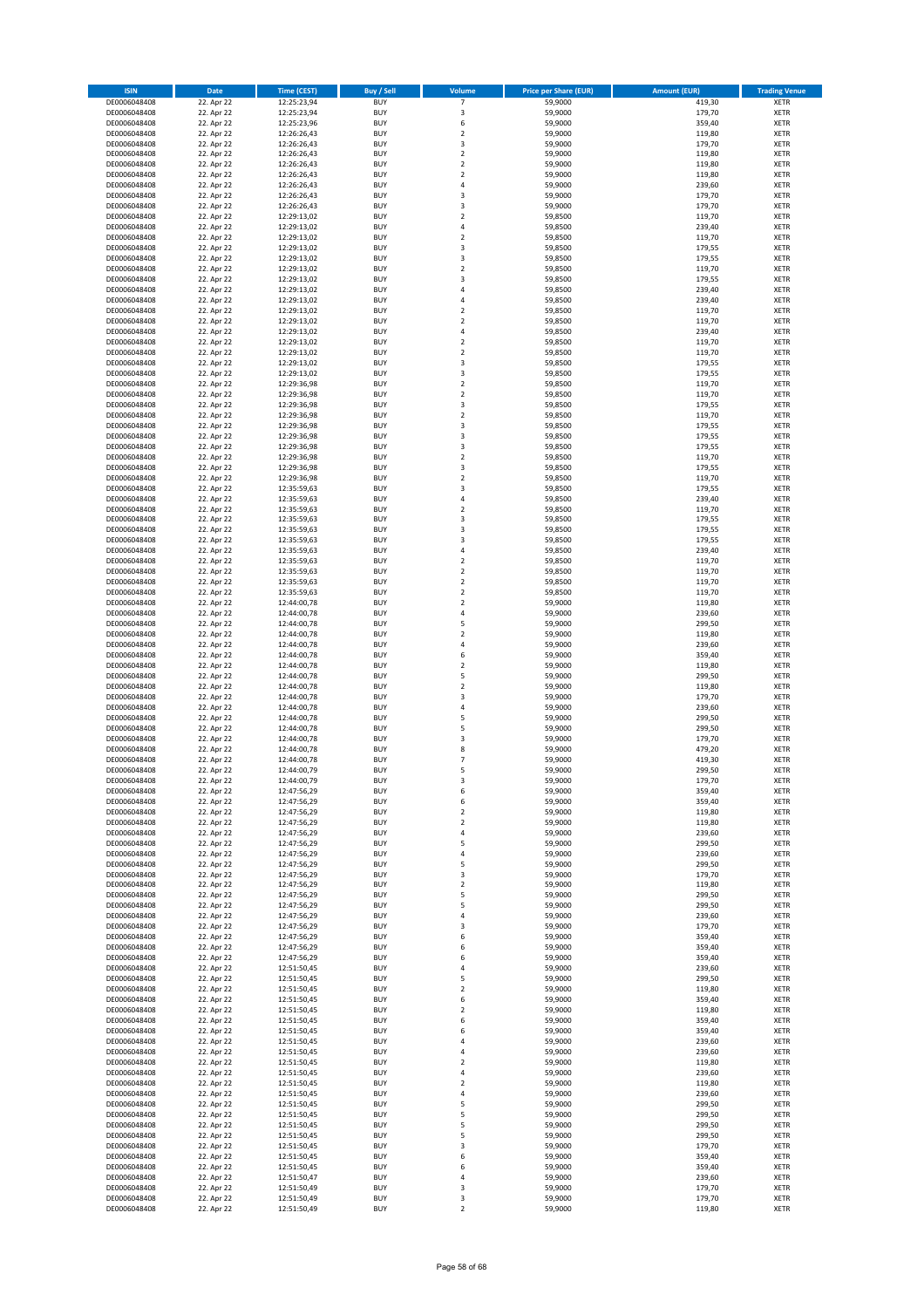| <b>ISIN</b>                  | <b>Date</b>              | <b>Time (CEST)</b>         | Buy / Sell               | Volume                                 | <b>Price per Share (EUR)</b> | <b>Amount (EUR)</b> | <b>Trading Venue</b>       |
|------------------------------|--------------------------|----------------------------|--------------------------|----------------------------------------|------------------------------|---------------------|----------------------------|
| DE0006048408                 | 22. Apr 22               | 12:25:23,94                | <b>BUY</b>               | $\overline{7}$                         | 59,9000                      | 419,30              | XETR                       |
| DE0006048408<br>DE0006048408 | 22. Apr 22<br>22. Apr 22 | 12:25:23,94<br>12:25:23,96 | <b>BUY</b><br><b>BUY</b> | 3<br>6                                 | 59,9000<br>59,9000           | 179,70<br>359,40    | XETR<br>XETR               |
| DE0006048408                 | 22. Apr 22               | 12:26:26,43                | <b>BUY</b>               | $\mathbf 2$                            | 59,9000                      | 119,80              | XETR                       |
| DE0006048408                 | 22. Apr 22               | 12:26:26,43                | <b>BUY</b>               | 3                                      | 59,9000                      | 179,70              | XETR                       |
| DE0006048408                 | 22. Apr 22               | 12:26:26,43                | <b>BUY</b>               | $\mathbf 2$                            | 59,9000                      | 119,80              | <b>XETR</b>                |
| DE0006048408                 | 22. Apr 22               | 12:26:26,43                | <b>BUY</b>               | $\overline{\mathbf{c}}$                | 59,9000                      | 119,80              | <b>XETR</b>                |
| DE0006048408<br>DE0006048408 | 22. Apr 22<br>22. Apr 22 | 12:26:26,43<br>12:26:26,43 | <b>BUY</b><br><b>BUY</b> | $\overline{\mathbf{c}}$<br>4           | 59,9000<br>59,9000           | 119,80<br>239,60    | <b>XETR</b><br><b>XETR</b> |
| DE0006048408                 | 22. Apr 22               | 12:26:26,43                | <b>BUY</b>               | 3                                      | 59,9000                      | 179,70              | <b>XETR</b>                |
| DE0006048408                 | 22. Apr 22               | 12:26:26,43                | <b>BUY</b>               | 3                                      | 59,9000                      | 179,70              | <b>XETR</b>                |
| DE0006048408                 | 22. Apr 22               | 12:29:13,02                | <b>BUY</b>               | $\overline{\mathbf{c}}$                | 59,8500                      | 119,70              | <b>XETR</b>                |
| DE0006048408                 | 22. Apr 22               | 12:29:13,02                | <b>BUY</b>               | 4                                      | 59,8500                      | 239,40              | XETR                       |
| DE0006048408                 | 22. Apr 22               | 12:29:13,02                | <b>BUY</b>               | $\overline{\mathbf{c}}$<br>3           | 59,8500                      | 119,70              | <b>XETR</b>                |
| DE0006048408<br>DE0006048408 | 22. Apr 22<br>22. Apr 22 | 12:29:13,02<br>12:29:13,02 | <b>BUY</b><br><b>BUY</b> | 3                                      | 59,8500<br>59,8500           | 179,55<br>179,55    | XETR<br><b>XETR</b>        |
| DE0006048408                 | 22. Apr 22               | 12:29:13,02                | <b>BUY</b>               | $\mathbf 2$                            | 59,8500                      | 119,70              | XETR                       |
| DE0006048408                 | 22. Apr 22               | 12:29:13,02                | <b>BUY</b>               | 3                                      | 59,8500                      | 179,55              | <b>XETR</b>                |
| DE0006048408                 | 22. Apr 22               | 12:29:13,02                | <b>BUY</b>               | 4                                      | 59,8500                      | 239,40              | XETR                       |
| DE0006048408                 | 22. Apr 22               | 12:29:13,02                | <b>BUY</b>               | 4                                      | 59,8500                      | 239,40              | <b>XETR</b>                |
| DE0006048408<br>DE0006048408 | 22. Apr 22<br>22. Apr 22 | 12:29:13,02<br>12:29:13,02 | <b>BUY</b><br><b>BUY</b> | $\overline{\mathbf{c}}$<br>$\mathbf 2$ | 59,8500<br>59,8500           | 119,70<br>119,70    | XETR<br>XETR               |
| DE0006048408                 | 22. Apr 22               | 12:29:13,02                | <b>BUY</b>               | $\overline{4}$                         | 59,8500                      | 239,40              | <b>XETR</b>                |
| DE0006048408                 | 22. Apr 22               | 12:29:13,02                | <b>BUY</b>               | $\mathbf 2$                            | 59,8500                      | 119,70              | <b>XETR</b>                |
| DE0006048408                 | 22. Apr 22               | 12:29:13,02                | <b>BUY</b>               | $\mathbf 2$                            | 59,8500                      | 119,70              | <b>XETR</b>                |
| DE0006048408                 | 22. Apr 22               | 12:29:13,02                | <b>BUY</b>               | 3                                      | 59,8500                      | 179,55              | XETR                       |
| DE0006048408<br>DE0006048408 | 22. Apr 22<br>22. Apr 22 | 12:29:13,02<br>12:29:36,98 | <b>BUY</b><br><b>BUY</b> | 3<br>$\mathbf 2$                       | 59,8500<br>59,8500           | 179,55<br>119,70    | <b>XETR</b><br><b>XETR</b> |
| DE0006048408                 | 22. Apr 22               | 12:29:36,98                | <b>BUY</b>               | $\mathbf 2$                            | 59,8500                      | 119,70              | <b>XETR</b>                |
| DE0006048408                 | 22. Apr 22               | 12:29:36,98                | <b>BUY</b>               | 3                                      | 59,8500                      | 179,55              | XETR                       |
| DE0006048408                 | 22. Apr 22               | 12:29:36,98                | <b>BUY</b>               | $\mathbf 2$                            | 59,8500                      | 119,70              | <b>XETR</b>                |
| DE0006048408                 | 22. Apr 22               | 12:29:36,98                | <b>BUY</b>               | 3                                      | 59,8500                      | 179,55              | <b>XETR</b>                |
| DE0006048408<br>DE0006048408 | 22. Apr 22<br>22. Apr 22 | 12:29:36,98<br>12:29:36,98 | <b>BUY</b><br><b>BUY</b> | 3<br>3                                 | 59,8500<br>59,8500           | 179,55<br>179,55    | <b>XETR</b><br>XETR        |
| DE0006048408                 | 22. Apr 22               | 12:29:36,98                | <b>BUY</b>               | $\mathbf 2$                            | 59,8500                      | 119,70              | <b>XETR</b>                |
| DE0006048408                 | 22. Apr 22               | 12:29:36,98                | <b>BUY</b>               | 3                                      | 59,8500                      | 179,55              | XETR                       |
| DE0006048408                 | 22. Apr 22               | 12:29:36,98                | <b>BUY</b>               | $\overline{\mathbf{c}}$                | 59,8500                      | 119,70              | <b>XETR</b>                |
| DE0006048408                 | 22. Apr 22               | 12:35:59,63                | <b>BUY</b>               | 3                                      | 59,8500                      | 179,55              | XETR                       |
| DE0006048408                 | 22. Apr 22               | 12:35:59,63                | <b>BUY</b>               | 4                                      | 59,8500                      | 239,40              | <b>XETR</b><br><b>XETR</b> |
| DE0006048408<br>DE0006048408 | 22. Apr 22<br>22. Apr 22 | 12:35:59,63<br>12:35:59,63 | <b>BUY</b><br><b>BUY</b> | $\overline{\mathbf{c}}$<br>3           | 59,8500<br>59,8500           | 119,70<br>179,55    | <b>XETR</b>                |
| DE0006048408                 | 22. Apr 22               | 12:35:59,63                | <b>BUY</b>               | 3                                      | 59,8500                      | 179,55              | <b>XETR</b>                |
| DE0006048408                 | 22. Apr 22               | 12:35:59,63                | <b>BUY</b>               | 3                                      | 59,8500                      | 179,55              | <b>XETR</b>                |
| DE0006048408                 | 22. Apr 22               | 12:35:59,63                | <b>BUY</b>               | 4                                      | 59,8500                      | 239,40              | <b>XETR</b>                |
| DE0006048408                 | 22. Apr 22               | 12:35:59,63                | <b>BUY</b>               | $\overline{\mathbf{c}}$                | 59,8500                      | 119,70              | <b>XETR</b>                |
| DE0006048408                 | 22. Apr 22               | 12:35:59,63                | <b>BUY</b><br><b>BUY</b> | $\mathbf 2$                            | 59,8500                      | 119,70              | XETR                       |
| DE0006048408<br>DE0006048408 | 22. Apr 22<br>22. Apr 22 | 12:35:59,63<br>12:35:59,63 | <b>BUY</b>               | 2<br>$\overline{\mathbf{c}}$           | 59,8500<br>59,8500           | 119,70<br>119,70    | XETR<br><b>XETR</b>        |
| DE0006048408                 | 22. Apr 22               | 12:44:00,78                | <b>BUY</b>               | $\mathbf 2$                            | 59,9000                      | 119,80              | <b>XETR</b>                |
| DE0006048408                 | 22. Apr 22               | 12:44:00,78                | <b>BUY</b>               | 4                                      | 59,9000                      | 239,60              | <b>XETR</b>                |
| DE0006048408                 | 22. Apr 22               | 12:44:00,78                | <b>BUY</b>               | 5                                      | 59,9000                      | 299,50              | <b>XETR</b>                |
| DE0006048408                 | 22. Apr 22               | 12:44:00,78                | <b>BUY</b>               | $\overline{\mathbf{c}}$                | 59,9000                      | 119,80              | <b>XETR</b>                |
| DE0006048408<br>DE0006048408 | 22. Apr 22<br>22. Apr 22 | 12:44:00,78<br>12:44:00,78 | <b>BUY</b><br><b>BUY</b> | 4<br>6                                 | 59,9000<br>59,9000           | 239,60<br>359,40    | <b>XETR</b><br>XETR        |
| DE0006048408                 | 22. Apr 22               | 12:44:00,78                | <b>BUY</b>               | $\mathbf 2$                            | 59,9000                      | 119,80              | XETR                       |
| DE0006048408                 | 22. Apr 22               | 12:44:00,78                | <b>BUY</b>               | 5                                      | 59,9000                      | 299,50              | <b>XETR</b>                |
| DE0006048408                 | 22. Apr 22               | 12:44:00,78                | <b>BUY</b>               | $\mathbf 2$                            | 59,9000                      | 119,80              | <b>XETR</b>                |
| DE0006048408                 | 22. Apr 22               | 12:44:00,78                | <b>BUY</b>               | 3                                      | 59,9000                      | 179,70              | <b>XETR</b>                |
| DE0006048408<br>DE0006048408 | 22. Apr 22<br>22. Apr 22 | 12:44:00,78<br>12:44:00,78 | <b>BUY</b><br><b>BUY</b> | 4<br>5                                 | 59,9000<br>59,9000           | 239,60<br>299,50    | XETR<br><b>XETR</b>        |
| DE0006048408                 | 22. Apr 22               | 12:44:00,78                | <b>BUY</b>               | 5                                      | 59,9000                      | 299,50              | XETR                       |
| DE0006048408                 | 22. Apr 22               | 12:44:00,78                | <b>BUY</b>               | 3                                      | 59,9000                      | 179,70              | <b>XETR</b>                |
| DE0006048408                 | 22. Apr 22               | 12:44:00,78                | <b>BUY</b>               | 8                                      | 59,9000                      | 479,20              | XETR                       |
| DE0006048408                 | 22. Apr 22               | 12:44:00,78                | <b>BUY</b>               | $\overline{7}$                         | 59,9000                      | 419,30              | <b>XETR</b>                |
| DE0006048408<br>DE0006048408 | 22. Apr 22               | 12:44:00,79<br>12:44:00,79 | <b>BUY</b><br><b>BUY</b> | 5<br>3                                 | 59,9000<br>59,9000           | 299,50<br>179,70    | <b>XETR</b><br>XETR        |
| DE0006048408                 | 22. Apr 22<br>22. Apr 22 | 12:47:56,29                | <b>BUY</b>               | 6                                      | 59,9000                      | 359,40              | XETR                       |
| DE0006048408                 | 22. Apr 22               | 12:47:56,29                | <b>BUY</b>               | 6                                      | 59,9000                      | 359,40              | XETR                       |
| DE0006048408                 | 22. Apr 22               | 12:47:56,29                | <b>BUY</b>               | 2                                      | 59,9000                      | 119,80              | XETR                       |
| DE0006048408                 | 22. Apr 22               | 12:47:56,29                | <b>BUY</b>               | $\mathbf 2$                            | 59,9000                      | 119,80              | <b>XETR</b>                |
| DE0006048408<br>DE0006048408 | 22. Apr 22<br>22. Apr 22 | 12:47:56,29<br>12:47:56,29 | <b>BUY</b><br><b>BUY</b> | 4<br>5                                 | 59,9000<br>59,9000           | 239,60<br>299,50    | XETR<br><b>XETR</b>        |
| DE0006048408                 | 22. Apr 22               | 12:47:56,29                | <b>BUY</b>               | 4                                      | 59,9000                      | 239,60              | XETR                       |
| DE0006048408                 | 22. Apr 22               | 12:47:56,29                | <b>BUY</b>               | 5                                      | 59,9000                      | 299,50              | <b>XETR</b>                |
| DE0006048408                 | 22. Apr 22               | 12:47:56,29                | <b>BUY</b>               | 3                                      | 59,9000                      | 179,70              | XETR                       |
| DE0006048408                 | 22. Apr 22               | 12:47:56,29                | <b>BUY</b>               | 2                                      | 59,9000                      | 119,80              | <b>XETR</b>                |
| DE0006048408<br>DE0006048408 | 22. Apr 22<br>22. Apr 22 | 12:47:56,29<br>12:47:56,29 | <b>BUY</b><br><b>BUY</b> | 5<br>5                                 | 59,9000<br>59,9000           | 299,50<br>299,50    | XETR<br><b>XETR</b>        |
| DE0006048408                 | 22. Apr 22               | 12:47:56,29                | <b>BUY</b>               | 4                                      | 59,9000                      | 239,60              | XETR                       |
| DE0006048408                 | 22. Apr 22               | 12:47:56,29                | <b>BUY</b>               | 3                                      | 59,9000                      | 179,70              | <b>XETR</b>                |
| DE0006048408                 | 22. Apr 22               | 12:47:56,29                | <b>BUY</b>               | 6                                      | 59,9000                      | 359,40              | XETR                       |
| DE0006048408                 | 22. Apr 22               | 12:47:56,29                | <b>BUY</b>               | 6                                      | 59,9000                      | 359,40              | <b>XETR</b>                |
| DE0006048408<br>DE0006048408 | 22. Apr 22<br>22. Apr 22 | 12:47:56,29<br>12:51:50,45 | <b>BUY</b><br><b>BUY</b> | 6<br>4                                 | 59,9000<br>59,9000           | 359,40<br>239,60    | <b>XETR</b><br><b>XETR</b> |
| DE0006048408                 | 22. Apr 22               | 12:51:50,45                | <b>BUY</b>               | 5                                      | 59,9000                      | 299,50              | XETR                       |
| DE0006048408                 | 22. Apr 22               | 12:51:50,45                | <b>BUY</b>               | $\mathbf 2$                            | 59,9000                      | 119,80              | <b>XETR</b>                |
| DE0006048408                 | 22. Apr 22               | 12:51:50,45                | <b>BUY</b>               | 6                                      | 59,9000                      | 359,40              | <b>XETR</b>                |
| DE0006048408                 | 22. Apr 22               | 12:51:50,45                | <b>BUY</b>               | 2                                      | 59,9000                      | 119,80              | XETR                       |
| DE0006048408<br>DE0006048408 | 22. Apr 22<br>22. Apr 22 | 12:51:50,45<br>12:51:50,45 | <b>BUY</b><br><b>BUY</b> | 6<br>6                                 | 59,9000<br>59,9000           | 359,40<br>359,40    | <b>XETR</b><br>XETR        |
| DE0006048408                 | 22. Apr 22               | 12:51:50,45                | <b>BUY</b>               | 4                                      | 59,9000                      | 239,60              | <b>XETR</b>                |
| DE0006048408                 | 22. Apr 22               | 12:51:50,45                | <b>BUY</b>               | 4                                      | 59,9000                      | 239,60              | XETR                       |
| DE0006048408                 | 22. Apr 22               | 12:51:50,45                | <b>BUY</b>               | $\overline{\mathbf{2}}$                | 59,9000                      | 119,80              | <b>XETR</b>                |
| DE0006048408                 | 22. Apr 22               | 12:51:50,45                | <b>BUY</b>               | 4                                      | 59,9000                      | 239,60              | XETR                       |
| DE0006048408                 | 22. Apr 22               | 12:51:50,45                | <b>BUY</b>               | $\overline{\mathbf{2}}$                | 59,9000                      | 119,80              | <b>XETR</b>                |
| DE0006048408<br>DE0006048408 | 22. Apr 22<br>22. Apr 22 | 12:51:50,45<br>12:51:50,45 | <b>BUY</b><br><b>BUY</b> | 4<br>5                                 | 59,9000<br>59,9000           | 239,60<br>299,50    | XETR<br><b>XETR</b>        |
| DE0006048408                 | 22. Apr 22               | 12:51:50,45                | <b>BUY</b>               | 5                                      | 59,9000                      | 299,50              | XETR                       |
| DE0006048408                 | 22. Apr 22               | 12:51:50,45                | <b>BUY</b>               | 5                                      | 59,9000                      | 299,50              | <b>XETR</b>                |
| DE0006048408                 | 22. Apr 22               | 12:51:50,45                | <b>BUY</b>               | 5                                      | 59,9000                      | 299,50              | <b>XETR</b>                |
| DE0006048408                 | 22. Apr 22               | 12:51:50,45                | <b>BUY</b>               | 3                                      | 59,9000                      | 179,70              | <b>XETR</b>                |
| DE0006048408<br>DE0006048408 | 22. Apr 22<br>22. Apr 22 | 12:51:50,45<br>12:51:50,45 | <b>BUY</b><br><b>BUY</b> | 6<br>6                                 | 59,9000<br>59,9000           | 359,40<br>359,40    | XETR<br><b>XETR</b>        |
| DE0006048408                 | 22. Apr 22               | 12:51:50,47                | <b>BUY</b>               | 4                                      | 59,9000                      | 239,60              | XETR                       |
| DE0006048408                 | 22. Apr 22               | 12:51:50,49                | <b>BUY</b>               | 3                                      | 59,9000                      | 179,70              | <b>XETR</b>                |
| DE0006048408                 | 22. Apr 22               | 12:51:50,49                | <b>BUY</b>               | 3                                      | 59,9000                      | 179,70              | XETR                       |
| DE0006048408                 | 22. Apr 22               | 12:51:50,49                | <b>BUY</b>               | $\mathbf 2$                            | 59,9000                      | 119,80              | <b>XETR</b>                |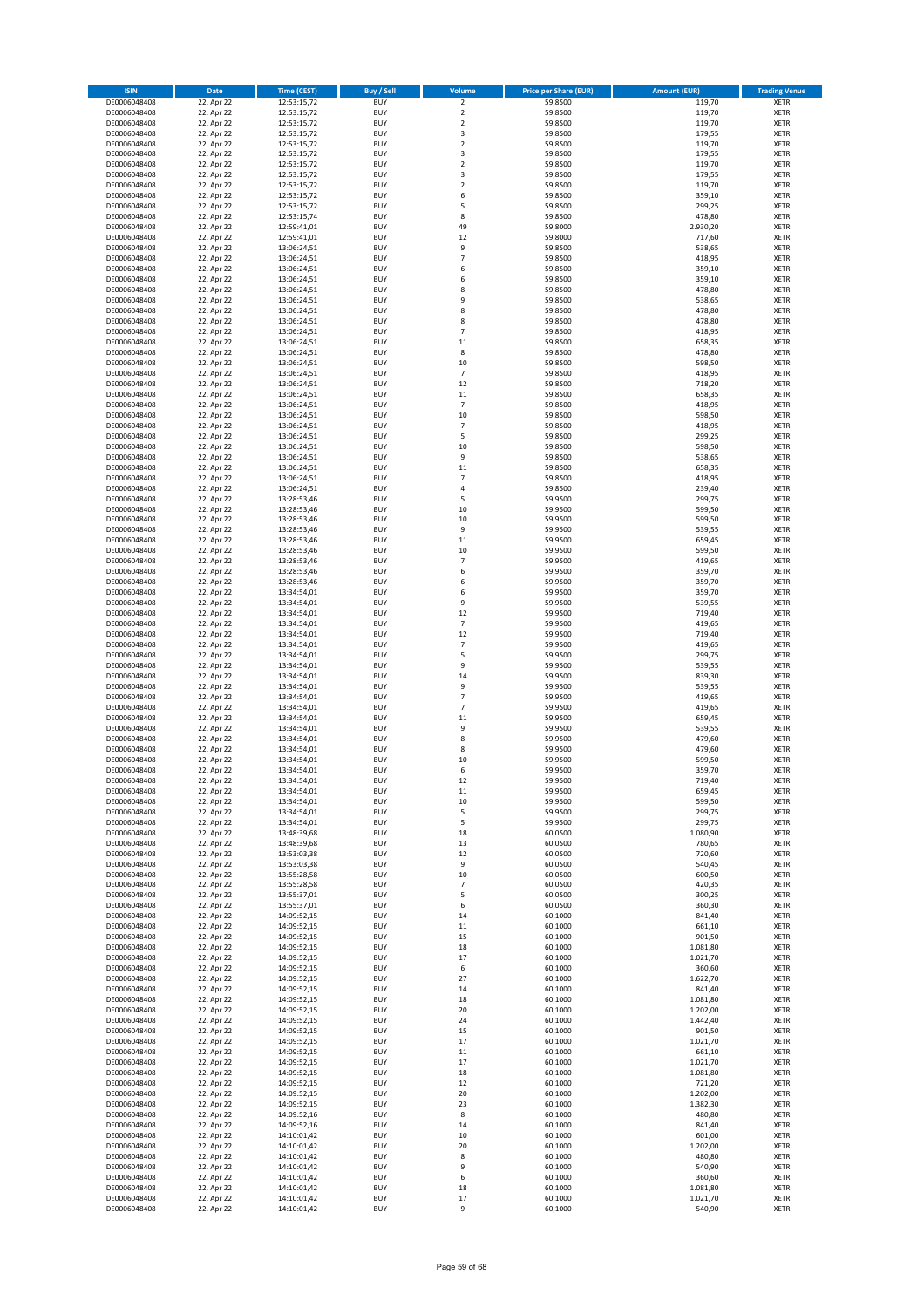| <b>ISIN</b>                  | <b>Date</b>              | <b>Time (CEST)</b>         | Buy / Sell               | Volume                           | <b>Price per Share (EUR)</b> | <b>Amount (EUR)</b>  | <b>Trading Venue</b>       |
|------------------------------|--------------------------|----------------------------|--------------------------|----------------------------------|------------------------------|----------------------|----------------------------|
| DE0006048408                 | 22. Apr 22               | 12:53:15,72                | <b>BUY</b>               | $\overline{\mathbf{c}}$          | 59,8500                      | 119,70               | XETR                       |
| DE0006048408                 | 22. Apr 22               | 12:53:15,72                | <b>BUY</b>               | $\mathbf 2$                      | 59,8500                      | 119,70               | XETR                       |
| DE0006048408<br>DE0006048408 | 22. Apr 22<br>22. Apr 22 | 12:53:15,72<br>12:53:15,72 | <b>BUY</b><br><b>BUY</b> | $\mathbf 2$<br>3                 | 59,8500<br>59,8500           | 119,70<br>179,55     | XETR<br>XETR               |
| DE0006048408                 | 22. Apr 22               | 12:53:15,72                | <b>BUY</b>               | $\mathbf 2$                      | 59,8500                      | 119,70               | XETR                       |
| DE0006048408                 | 22. Apr 22               | 12:53:15,72                | <b>BUY</b>               | 3                                | 59,8500                      | 179,55               | <b>XETR</b>                |
| DE0006048408                 | 22. Apr 22               | 12:53:15,72                | <b>BUY</b>               | $\overline{\mathbf{c}}$          | 59,8500                      | 119,70               | <b>XETR</b>                |
| DE0006048408                 | 22. Apr 22               | 12:53:15,72                | <b>BUY</b>               | 3                                | 59,8500                      | 179,55               | <b>XETR</b>                |
| DE0006048408<br>DE0006048408 | 22. Apr 22<br>22. Apr 22 | 12:53:15,72                | <b>BUY</b><br><b>BUY</b> | $\mathbf 2$<br>6                 | 59,8500<br>59,8500           | 119,70<br>359,10     | <b>XETR</b><br><b>XETR</b> |
| DE0006048408                 | 22. Apr 22               | 12:53:15,72<br>12:53:15,72 | <b>BUY</b>               | 5                                | 59,8500                      | 299,25               | XETR                       |
| DE0006048408                 | 22. Apr 22               | 12:53:15,74                | <b>BUY</b>               | 8                                | 59,8500                      | 478,80               | <b>XETR</b>                |
| DE0006048408                 | 22. Apr 22               | 12:59:41,01                | <b>BUY</b>               | 49                               | 59,8000                      | 2.930,20             | XETR                       |
| DE0006048408                 | 22. Apr 22               | 12:59:41,01                | <b>BUY</b>               | 12                               | 59,8000                      | 717,60               | <b>XETR</b>                |
| DE0006048408                 | 22. Apr 22<br>22. Apr 22 | 13:06:24,51                | <b>BUY</b><br><b>BUY</b> | 9<br>$\overline{7}$              | 59,8500<br>59,8500           | 538,65               | XETR<br><b>XETR</b>        |
| DE0006048408<br>DE0006048408 | 22. Apr 22               | 13:06:24,51<br>13:06:24,51 | <b>BUY</b>               | 6                                | 59,8500                      | 418,95<br>359,10     | XETR                       |
| DE0006048408                 | 22. Apr 22               | 13:06:24,51                | <b>BUY</b>               | 6                                | 59,8500                      | 359,10               | <b>XETR</b>                |
| DE0006048408                 | 22. Apr 22               | 13:06:24,51                | <b>BUY</b>               | 8                                | 59,8500                      | 478,80               | XETR                       |
| DE0006048408                 | 22. Apr 22               | 13:06:24,51                | <b>BUY</b>               | 9                                | 59,8500                      | 538,65               | <b>XETR</b>                |
| DE0006048408<br>DE0006048408 | 22. Apr 22<br>22. Apr 22 | 13:06:24,51<br>13:06:24,51 | <b>BUY</b><br><b>BUY</b> | 8<br>8                           | 59,8500<br>59,8500           | 478,80<br>478,80     | XETR<br>XETR               |
| DE0006048408                 | 22. Apr 22               | 13:06:24,51                | <b>BUY</b>               | $\overline{7}$                   | 59,8500                      | 418,95               | <b>XETR</b>                |
| DE0006048408                 | 22. Apr 22               | 13:06:24,51                | <b>BUY</b>               | 11                               | 59,8500                      | 658,35               | <b>XETR</b>                |
| DE0006048408                 | 22. Apr 22               | 13:06:24,51                | <b>BUY</b>               | 8                                | 59,8500                      | 478,80               | <b>XETR</b>                |
| DE0006048408                 | 22. Apr 22               | 13:06:24,51                | <b>BUY</b>               | 10                               | 59,8500                      | 598,50               | <b>XETR</b>                |
| DE0006048408                 | 22. Apr 22               | 13:06:24,51                | <b>BUY</b>               | $\overline{7}$                   | 59,8500                      | 418,95               | <b>XETR</b>                |
| DE0006048408<br>DE0006048408 | 22. Apr 22<br>22. Apr 22 | 13:06:24,51<br>13:06:24,51 | <b>BUY</b><br><b>BUY</b> | 12<br>11                         | 59,8500<br>59,8500           | 718,20<br>658,35     | <b>XETR</b><br><b>XETR</b> |
| DE0006048408                 | 22. Apr 22               | 13:06:24,51                | <b>BUY</b>               | $\overline{7}$                   | 59,8500                      | 418,95               | XETR                       |
| DE0006048408                 | 22. Apr 22               | 13:06:24,51                | <b>BUY</b>               | 10                               | 59,8500                      | 598,50               | <b>XETR</b>                |
| DE0006048408                 | 22. Apr 22               | 13:06:24,51                | <b>BUY</b>               | 7                                | 59,8500                      | 418,95               | <b>XETR</b>                |
| DE0006048408                 | 22. Apr 22               | 13:06:24,51                | <b>BUY</b>               | 5                                | 59,8500                      | 299,25               | <b>XETR</b>                |
| DE0006048408<br>DE0006048408 | 22. Apr 22<br>22. Apr 22 | 13:06:24,51<br>13:06:24,51 | <b>BUY</b><br><b>BUY</b> | 10<br>9                          | 59,8500<br>59,8500           | 598,50<br>538,65     | XETR<br><b>XETR</b>        |
| DE0006048408                 | 22. Apr 22               | 13:06:24,51                | <b>BUY</b>               | 11                               | 59,8500                      | 658,35               | XETR                       |
| DE0006048408                 | 22. Apr 22               | 13:06:24,51                | <b>BUY</b>               | $\overline{7}$                   | 59,8500                      | 418,95               | <b>XETR</b>                |
| DE0006048408                 | 22. Apr 22               | 13:06:24,51                | <b>BUY</b>               | 4                                | 59,8500                      | 239,40               | XETR                       |
| DE0006048408                 | 22. Apr 22               | 13:28:53,46                | <b>BUY</b>               | 5                                | 59,9500                      | 299,75               | <b>XETR</b>                |
| DE0006048408<br>DE0006048408 | 22. Apr 22<br>22. Apr 22 | 13:28:53,46                | <b>BUY</b><br><b>BUY</b> | 10<br>10                         | 59,9500<br>59,9500           | 599,50<br>599,50     | <b>XETR</b><br><b>XETR</b> |
| DE0006048408                 | 22. Apr 22               | 13:28:53,46<br>13:28:53,46 | <b>BUY</b>               | 9                                | 59,9500                      | 539,55               | <b>XETR</b>                |
| DE0006048408                 | 22. Apr 22               | 13:28:53,46                | <b>BUY</b>               | 11                               | 59,9500                      | 659,45               | <b>XETR</b>                |
| DE0006048408                 | 22. Apr 22               | 13:28:53,46                | <b>BUY</b>               | 10                               | 59,9500                      | 599,50               | <b>XETR</b>                |
| DE0006048408                 | 22. Apr 22               | 13:28:53,46                | <b>BUY</b>               | $\overline{7}$                   | 59,9500                      | 419,65               | <b>XETR</b>                |
| DE0006048408                 | 22. Apr 22               | 13:28:53,46                | <b>BUY</b>               | 6                                | 59,9500                      | 359,70               | XETR                       |
| DE0006048408<br>DE0006048408 | 22. Apr 22<br>22. Apr 22 | 13:28:53,46<br>13:34:54,01 | <b>BUY</b><br><b>BUY</b> | 6<br>6                           | 59,9500<br>59,9500           | 359,70<br>359,70     | XETR<br><b>XETR</b>        |
| DE0006048408                 | 22. Apr 22               | 13:34:54,01                | <b>BUY</b>               | 9                                | 59,9500                      | 539,55               | <b>XETR</b>                |
| DE0006048408                 | 22. Apr 22               | 13:34:54,01                | <b>BUY</b>               | 12                               | 59,9500                      | 719,40               | XETR                       |
| DE0006048408                 | 22. Apr 22               | 13:34:54,01                | <b>BUY</b>               | $\overline{7}$                   | 59,9500                      | 419,65               | <b>XETR</b>                |
| DE0006048408                 | 22. Apr 22               | 13:34:54,01                | <b>BUY</b><br><b>BUY</b> | 12<br>$\overline{7}$             | 59,9500                      | 719,40               | <b>XETR</b>                |
| DE0006048408<br>DE0006048408 | 22. Apr 22<br>22. Apr 22 | 13:34:54,01<br>13:34:54,01 | <b>BUY</b>               | 5                                | 59,9500<br>59,9500           | 419,65<br>299,75     | <b>XETR</b><br>XETR        |
| DE0006048408                 | 22. Apr 22               | 13:34:54,01                | <b>BUY</b>               | 9                                | 59,9500                      | 539,55               | XETR                       |
| DE0006048408                 | 22. Apr 22               | 13:34:54,01                | <b>BUY</b>               | 14                               | 59,9500                      | 839,30               | <b>XETR</b>                |
| DE0006048408                 | 22. Apr 22               | 13:34:54,01                | <b>BUY</b>               | 9                                | 59,9500                      | 539,55               | <b>XETR</b>                |
| DE0006048408                 | 22. Apr 22               | 13:34:54,01                | <b>BUY</b><br><b>BUY</b> | $\overline{7}$<br>$\overline{7}$ | 59,9500                      | 419,65               | <b>XETR</b><br>XETR        |
| DE0006048408<br>DE0006048408 | 22. Apr 22<br>22. Apr 22 | 13:34:54,01<br>13:34:54,01 | <b>BUY</b>               | 11                               | 59,9500<br>59,9500           | 419,65<br>659,45     | <b>XETR</b>                |
| DE0006048408                 | 22. Apr 22               | 13:34:54,01                | <b>BUY</b>               | 9                                | 59,9500                      | 539,55               | XETR                       |
| DE0006048408                 | 22. Apr 22               | 13:34:54,01                | <b>BUY</b>               | 8                                | 59,9500                      | 479,60               | <b>XETR</b>                |
| DE0006048408                 | 22. Apr 22               | 13:34:54,01                | <b>BUY</b>               | 8                                | 59,9500                      | 479,60               | XETR                       |
| DE0006048408                 | 22. Apr 22               | 13:34:54.01                | <b>BUY</b><br><b>BUY</b> | 10                               | 59,9500                      | 599,50               | <b>XETR</b><br><b>XETR</b> |
| DE0006048408<br>DE0006048408 | 22. Apr 22<br>22. Apr 22 | 13:34:54,01<br>13:34:54,01 | <b>BUY</b>               | 6<br>12                          | 59,9500<br>59,9500           | 359,70<br>719,40     | XETR                       |
| DE0006048408                 | 22. Apr 22               | 13:34:54,01                | <b>BUY</b>               | 11                               | 59,9500                      | 659,45               | XETR                       |
| DE0006048408                 | 22. Apr 22               | 13:34:54,01                | <b>BUY</b>               | 10                               | 59,9500                      | 599,50               | XETR                       |
| DE0006048408                 | 22. Apr 22               | 13:34:54,01                | <b>BUY</b>               | 5                                | 59,9500                      | 299,75               | XETR                       |
| DE0006048408                 | 22. Apr 22               | 13:34:54,01                | <b>BUY</b>               | 5                                | 59,9500                      | 299,75<br>1.080,90   | <b>XETR</b>                |
| DE0006048408<br>DE0006048408 | 22. Apr 22<br>22. Apr 22 | 13:48:39,68<br>13:48:39,68 | <b>BUY</b><br><b>BUY</b> | 18<br>13                         | 60,0500<br>60,0500           | 780,65               | XETR<br><b>XETR</b>        |
| DE0006048408                 | 22. Apr 22               | 13:53:03,38                | <b>BUY</b>               | 12                               | 60,0500                      | 720,60               | XETR                       |
| DE0006048408                 | 22. Apr 22               | 13:53:03,38                | <b>BUY</b>               | 9                                | 60,0500                      | 540,45               | <b>XETR</b>                |
| DE0006048408                 | 22. Apr 22               | 13:55:28,58                | <b>BUY</b>               | 10                               | 60,0500                      | 600,50               | XETR                       |
| DE0006048408<br>DE0006048408 | 22. Apr 22<br>22. Apr 22 | 13:55:28,58<br>13:55:37,01 | <b>BUY</b><br><b>BUY</b> | $\overline{7}$<br>5              | 60,0500<br>60,0500           | 420,35<br>300,25     | <b>XETR</b><br>XETR        |
| DE0006048408                 | 22. Apr 22               | 13:55:37,01                | <b>BUY</b>               | 6                                | 60,0500                      | 360,30               | <b>XETR</b>                |
| DE0006048408                 | 22. Apr 22               | 14:09:52,15                | <b>BUY</b>               | 14                               | 60,1000                      | 841,40               | XETR                       |
| DE0006048408                 | 22. Apr 22               | 14:09:52,15                | <b>BUY</b>               | 11                               | 60,1000                      | 661,10               | <b>XETR</b>                |
| DE0006048408                 | 22. Apr 22               | 14:09:52,15                | <b>BUY</b>               | 15                               | 60,1000                      | 901,50               | XETR                       |
| DE0006048408<br>DE0006048408 | 22. Apr 22<br>22. Apr 22 | 14:09:52,15<br>14:09:52,15 | <b>BUY</b><br><b>BUY</b> | 18<br>17                         | 60,1000<br>60,1000           | 1.081,80<br>1.021,70 | <b>XETR</b><br><b>XETR</b> |
| DE0006048408                 | 22. Apr 22               | 14:09:52,15                | <b>BUY</b>               | 6                                | 60,1000                      | 360,60               | <b>XETR</b>                |
| DE0006048408                 | 22. Apr 22               | 14:09:52,15                | <b>BUY</b>               | 27                               | 60,1000                      | 1.622,70             | XETR                       |
| DE0006048408                 | 22. Apr 22               | 14:09:52,15                | <b>BUY</b>               | 14                               | 60,1000                      | 841,40               | <b>XETR</b>                |
| DE0006048408                 | 22. Apr 22               | 14:09:52,15                | <b>BUY</b>               | 18                               | 60,1000                      | 1.081,80             | <b>XETR</b>                |
| DE0006048408<br>DE0006048408 | 22. Apr 22<br>22. Apr 22 | 14:09:52,15<br>14:09:52,15 | <b>BUY</b><br><b>BUY</b> | 20<br>24                         | 60,1000<br>60,1000           | 1.202,00<br>1.442,40 | XETR<br><b>XETR</b>        |
| DE0006048408                 | 22. Apr 22               | 14:09:52,15                | <b>BUY</b>               | 15                               | 60,1000                      | 901,50               | XETR                       |
| DE0006048408                 | 22. Apr 22               | 14:09:52,15                | <b>BUY</b>               | 17                               | 60,1000                      | 1.021,70             | <b>XETR</b>                |
| DE0006048408                 | 22. Apr 22               | 14:09:52,15                | <b>BUY</b>               | 11                               | 60,1000                      | 661,10               | XETR                       |
| DE0006048408                 | 22. Apr 22               | 14:09:52,15                | <b>BUY</b>               | 17                               | 60,1000                      | 1.021,70             | <b>XETR</b>                |
| DE0006048408                 | 22. Apr 22               | 14:09:52,15                | <b>BUY</b><br><b>BUY</b> | 18                               | 60,1000                      | 1.081,80             | XETR<br><b>XETR</b>        |
| DE0006048408<br>DE0006048408 | 22. Apr 22<br>22. Apr 22 | 14:09:52,15<br>14:09:52,15 | <b>BUY</b>               | 12<br>20                         | 60,1000<br>60,1000           | 721,20<br>1.202,00   | XETR                       |
| DE0006048408                 | 22. Apr 22               | 14:09:52,15                | <b>BUY</b>               | 23                               | 60,1000                      | 1.382,30             | <b>XETR</b>                |
| DE0006048408                 | 22. Apr 22               | 14:09:52,16                | <b>BUY</b>               | 8                                | 60,1000                      | 480,80               | XETR                       |
| DE0006048408                 | 22. Apr 22               | 14:09:52,16                | <b>BUY</b>               | 14                               | 60,1000                      | 841,40               | <b>XETR</b>                |
| DE0006048408<br>DE0006048408 | 22. Apr 22<br>22. Apr 22 | 14:10:01,42<br>14:10:01,42 | <b>BUY</b><br><b>BUY</b> | 10<br>20                         | 60,1000<br>60,1000           | 601,00<br>1.202,00   | <b>XETR</b><br><b>XETR</b> |
| DE0006048408                 | 22. Apr 22               | 14:10:01,42                | <b>BUY</b>               | 8                                | 60,1000                      | 480,80               | XETR                       |
| DE0006048408                 | 22. Apr 22               | 14:10:01,42                | <b>BUY</b>               | 9                                | 60,1000                      | 540,90               | <b>XETR</b>                |
| DE0006048408                 | 22. Apr 22               | 14:10:01,42                | <b>BUY</b>               | 6                                | 60,1000                      | 360,60               | XETR                       |
| DE0006048408                 | 22. Apr 22               | 14:10:01,42                | <b>BUY</b>               | 18                               | 60,1000                      | 1.081,80             | XETR                       |
| DE0006048408<br>DE0006048408 | 22. Apr 22<br>22. Apr 22 | 14:10:01,42<br>14:10:01,42 | <b>BUY</b><br><b>BUY</b> | 17<br>9                          | 60,1000<br>60,1000           | 1.021,70<br>540,90   | XETR<br>XETR               |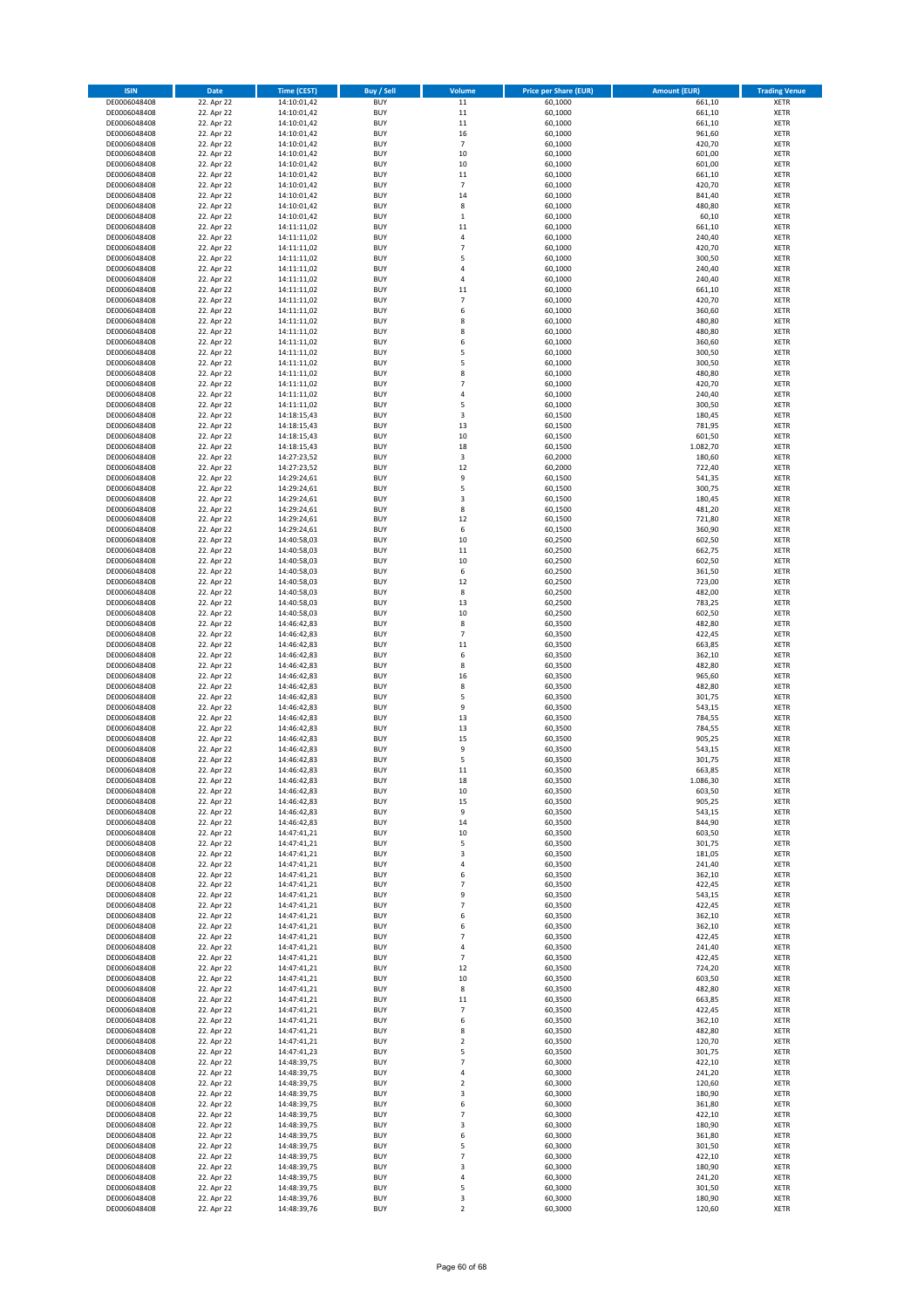| <b>ISIN</b>                  | <b>Date</b>              | Time (CEST)                | Buy / Sell               | Volume                       | <b>Price per Share (EUR)</b> | <b>Amount (EUR)</b> | <b>Trading Venue</b>       |
|------------------------------|--------------------------|----------------------------|--------------------------|------------------------------|------------------------------|---------------------|----------------------------|
| DE0006048408                 | 22. Apr 22               | 14:10:01,42                | <b>BUY</b>               | 11                           | 60,1000                      | 661,10              | <b>XETR</b>                |
| DE0006048408                 | 22. Apr 22               | 14:10:01,42                | <b>BUY</b>               | 11                           | 60,1000                      | 661,10              | XETR                       |
| DE0006048408<br>DE0006048408 | 22. Apr 22<br>22. Apr 22 | 14:10:01,42<br>14:10:01,42 | <b>BUY</b><br><b>BUY</b> | $11\,$<br>16                 | 60,1000<br>60,1000           | 661,10<br>961,60    | XETR<br>XETR               |
| DE0006048408                 | 22. Apr 22               | 14:10:01,42                | <b>BUY</b>               | $\overline{7}$               | 60,1000                      | 420,70              | XETR                       |
| DE0006048408                 | 22. Apr 22               | 14:10:01,42                | <b>BUY</b>               | 10                           | 60,1000                      | 601,00              | <b>XETR</b>                |
| DE0006048408                 | 22. Apr 22               | 14:10:01,42                | <b>BUY</b>               | 10                           | 60,1000                      | 601,00              | <b>XETR</b>                |
| DE0006048408                 | 22. Apr 22               | 14:10:01,42                | <b>BUY</b>               | 11                           | 60,1000                      | 661,10              | <b>XETR</b>                |
| DE0006048408<br>DE0006048408 | 22. Apr 22<br>22. Apr 22 | 14:10:01,42<br>14:10:01,42 | <b>BUY</b><br><b>BUY</b> | $\overline{7}$<br>14         | 60,1000<br>60,1000           | 420,70<br>841,40    | <b>XETR</b><br><b>XETR</b> |
| DE0006048408                 | 22. Apr 22               | 14:10:01,42                | <b>BUY</b>               | 8                            | 60,1000                      | 480,80              | <b>XETR</b>                |
| DE0006048408                 | 22. Apr 22               | 14:10:01,42                | <b>BUY</b>               | $\mathbf 1$                  | 60,1000                      | 60,10               | <b>XETR</b>                |
| DE0006048408                 | 22. Apr 22               | 14:11:11,02                | <b>BUY</b>               | 11                           | 60,1000                      | 661,10              | XETR                       |
| DE0006048408                 | 22. Apr 22               | 14:11:11,02                | <b>BUY</b>               | 4                            | 60,1000                      | 240,40              | <b>XETR</b>                |
| DE0006048408                 | 22. Apr 22               | 14:11:11,02                | <b>BUY</b>               | $\overline{7}$               | 60,1000                      | 420,70              | XETR                       |
| DE0006048408<br>DE0006048408 | 22. Apr 22<br>22. Apr 22 | 14:11:11,02<br>14:11:11,02 | <b>BUY</b><br><b>BUY</b> | 5<br>4                       | 60,1000<br>60,1000           | 300,50<br>240,40    | <b>XETR</b><br>XETR        |
| DE0006048408                 | 22. Apr 22               | 14:11:11,02                | <b>BUY</b>               | 4                            | 60,1000                      | 240,40              | <b>XETR</b>                |
| DE0006048408                 | 22. Apr 22               | 14:11:11,02                | <b>BUY</b>               | 11                           | 60,1000                      | 661,10              | XETR                       |
| DE0006048408                 | 22. Apr 22               | 14:11:11,02                | <b>BUY</b>               | $\overline{7}$               | 60,1000                      | 420,70              | <b>XETR</b>                |
| DE0006048408                 | 22. Apr 22               | 14:11:11,02                | <b>BUY</b>               | 6                            | 60,1000                      | 360,60              | XETR                       |
| DE0006048408<br>DE0006048408 | 22. Apr 22<br>22. Apr 22 | 14:11:11,02<br>14:11:11,02 | <b>BUY</b><br><b>BUY</b> | 8<br>8                       | 60,1000<br>60,1000           | 480,80<br>480,80    | XETR<br><b>XETR</b>        |
| DE0006048408                 | 22. Apr 22               | 14:11:11,02                | <b>BUY</b>               | 6                            | 60,1000                      | 360,60              | <b>XETR</b>                |
| DE0006048408                 | 22. Apr 22               | 14:11:11,02                | <b>BUY</b>               | 5                            | 60,1000                      | 300,50              | <b>XETR</b>                |
| DE0006048408                 | 22. Apr 22               | 14:11:11,02                | <b>BUY</b>               | 5                            | 60,1000                      | 300,50              | XETR                       |
| DE0006048408                 | 22. Apr 22               | 14:11:11,02                | <b>BUY</b>               | 8                            | 60,1000                      | 480,80              | <b>XETR</b>                |
| DE0006048408<br>DE0006048408 | 22. Apr 22<br>22. Apr 22 | 14:11:11,02<br>14:11:11,02 | <b>BUY</b><br><b>BUY</b> | $\overline{7}$<br>4          | 60,1000<br>60,1000           | 420,70<br>240,40    | <b>XETR</b><br><b>XETR</b> |
| DE0006048408                 | 22. Apr 22               | 14:11:11,02                | <b>BUY</b>               | 5                            | 60,1000                      | 300,50              | XETR                       |
| DE0006048408                 | 22. Apr 22               | 14:18:15,43                | <b>BUY</b>               | 3                            | 60,1500                      | 180,45              | <b>XETR</b>                |
| DE0006048408                 | 22. Apr 22               | 14:18:15,43                | <b>BUY</b>               | 13                           | 60,1500                      | 781,95              | <b>XETR</b>                |
| DE0006048408                 | 22. Apr 22               | 14:18:15,43                | <b>BUY</b>               | 10                           | 60,1500                      | 601,50              | <b>XETR</b>                |
| DE0006048408                 | 22. Apr 22               | 14:18:15,43                | <b>BUY</b>               | 18                           | 60,1500                      | 1.082,70            | XETR                       |
| DE0006048408<br>DE0006048408 | 22. Apr 22<br>22. Apr 22 | 14:27:23,52<br>14:27:23,52 | <b>BUY</b><br><b>BUY</b> | 3<br>12                      | 60,2000<br>60,2000           | 180,60<br>722,40    | <b>XETR</b><br>XETR        |
| DE0006048408                 | 22. Apr 22               | 14:29:24,61                | <b>BUY</b>               | 9                            | 60,1500                      | 541,35              | <b>XETR</b>                |
| DE0006048408                 | 22. Apr 22               | 14:29:24,61                | <b>BUY</b>               | 5                            | 60,1500                      | 300,75              | XETR                       |
| DE0006048408                 | 22. Apr 22               | 14:29:24,61                | <b>BUY</b>               | 3                            | 60,1500                      | 180,45              | <b>XETR</b>                |
| DE0006048408                 | 22. Apr 22               | 14:29:24,61                | <b>BUY</b>               | 8                            | 60,1500                      | 481,20              | <b>XETR</b>                |
| DE0006048408                 | 22. Apr 22               | 14:29:24,61                | <b>BUY</b><br><b>BUY</b> | 12                           | 60,1500                      | 721,80<br>360,90    | <b>XETR</b><br><b>XETR</b> |
| DE0006048408<br>DE0006048408 | 22. Apr 22<br>22. Apr 22 | 14:29:24,61<br>14:40:58,03 | <b>BUY</b>               | 6<br>10                      | 60,1500<br>60,2500           | 602,50              | <b>XETR</b>                |
| DE0006048408                 | 22. Apr 22               | 14:40:58,03                | <b>BUY</b>               | 11                           | 60,2500                      | 662,75              | XETR                       |
| DE0006048408                 | 22. Apr 22               | 14:40:58,03                | <b>BUY</b>               | 10                           | 60,2500                      | 602,50              | <b>XETR</b>                |
| DE0006048408                 | 22. Apr 22               | 14:40:58,03                | <b>BUY</b>               | 6                            | 60,2500                      | 361,50              | XETR                       |
| DE0006048408                 | 22. Apr 22               | 14:40:58,03                | <b>BUY</b>               | 12                           | 60,2500                      | 723,00              | XETR                       |
| DE0006048408<br>DE0006048408 | 22. Apr 22<br>22. Apr 22 | 14:40:58,03<br>14:40:58,03 | <b>BUY</b><br><b>BUY</b> | 8<br>13                      | 60,2500<br>60,2500           | 482,00<br>783,25    | <b>XETR</b><br><b>XETR</b> |
| DE0006048408                 | 22. Apr 22               | 14:40:58,03                | <b>BUY</b>               | 10                           | 60,2500                      | 602,50              | <b>XETR</b>                |
| DE0006048408                 | 22. Apr 22               | 14:46:42,83                | <b>BUY</b>               | 8                            | 60,3500                      | 482,80              | <b>XETR</b>                |
| DE0006048408                 | 22. Apr 22               | 14:46:42,83                | <b>BUY</b>               | $\overline{7}$               | 60,3500                      | 422,45              | <b>XETR</b>                |
| DE0006048408                 | 22. Apr 22               | 14:46:42,83                | <b>BUY</b>               | $11\,$                       | 60,3500                      | 663,85              | <b>XETR</b>                |
| DE0006048408<br>DE0006048408 | 22. Apr 22<br>22. Apr 22 | 14:46:42,83<br>14:46:42,83 | <b>BUY</b><br><b>BUY</b> | 6<br>8                       | 60,3500<br>60,3500           | 362,10<br>482,80    | XETR<br>XETR               |
| DE0006048408                 | 22. Apr 22               | 14:46:42,83                | <b>BUY</b>               | 16                           | 60,3500                      | 965,60              | <b>XETR</b>                |
| DE0006048408                 | 22. Apr 22               | 14:46:42,83                | <b>BUY</b>               | 8                            | 60,3500                      | 482,80              | <b>XETR</b>                |
| DE0006048408                 | 22. Apr 22               | 14:46:42,83                | <b>BUY</b>               | 5                            | 60,3500                      | 301,75              | <b>XETR</b>                |
| DE0006048408                 | 22. Apr 22               | 14:46:42,83                | <b>BUY</b>               | 9                            | 60,3500                      | 543,15              | XETR                       |
| DE0006048408<br>DE0006048408 | 22. Apr 22               | 14:46:42,83                | <b>BUY</b><br><b>BUY</b> | 13<br>13                     | 60,3500                      | 784,55              | <b>XETR</b><br>XETR        |
| DE0006048408                 | 22. Apr 22<br>22. Apr 22 | 14:46:42,83<br>14:46:42,83 | <b>BUY</b>               | 15                           | 60,3500<br>60,3500           | 784,55<br>905,25    | <b>XETR</b>                |
| DE0006048408                 | 22. Apr 22               | 14:46:42,83                | <b>BUY</b>               | 9                            | 60,3500                      | 543,15              | XETR                       |
| DE0006048408                 | 22. Apr 22               | 14:46:42,83                | <b>BUY</b>               | 5                            | 60,3500                      | 301,75              | <b>XETR</b>                |
| DE0006048408                 | 22. Apr 22               | 14:46:42,83                | <b>BUY</b>               | 11                           | 60,3500                      | 663,85              | <b>XETR</b>                |
| DE0006048408                 | 22. Apr 22               | 14:46:42,83                | <b>BUY</b>               | 18                           | 60,3500                      | 1.086,30            | XETR                       |
| DE0006048408<br>DE0006048408 | 22. Apr 22<br>22. Apr 22 | 14:46:42,83<br>14:46:42,83 | <b>BUY</b><br><b>BUY</b> | 10<br>15                     | 60,3500<br>60,3500           | 603,50<br>905,25    | XETR<br>XETR               |
| DE0006048408                 | 22. Apr 22               | 14:46:42,83                | <b>BUY</b>               | 9                            | 60,3500                      | 543,15              | XETR                       |
| DE0006048408                 | 22. Apr 22               | 14:46:42,83                | <b>BUY</b>               | 14                           | 60,3500                      | 844,90              | <b>XETR</b>                |
| DE0006048408                 | 22. Apr 22               | 14:47:41,21                | <b>BUY</b>               | 10                           | 60,3500                      | 603,50              | XETR                       |
| DE0006048408                 | 22. Apr 22               | 14:47:41,21                | <b>BUY</b>               | 5                            | 60,3500                      | 301,75              | <b>XETR</b>                |
| DE0006048408<br>DE0006048408 | 22. Apr 22<br>22. Apr 22 | 14:47:41,21<br>14:47:41,21 | <b>BUY</b><br><b>BUY</b> | 3<br>4                       | 60,3500<br>60,3500           | 181,05<br>241,40    | XETR<br><b>XETR</b>        |
| DE0006048408                 | 22. Apr 22               | 14:47:41,21                | <b>BUY</b>               | 6                            | 60,3500                      | 362,10              | XETR                       |
| DE0006048408                 | 22. Apr 22               | 14:47:41,21                | <b>BUY</b>               | $\overline{7}$               | 60,3500                      | 422,45              | <b>XETR</b>                |
| DE0006048408                 | 22. Apr 22               | 14:47:41,21                | <b>BUY</b>               | 9                            | 60,3500                      | 543,15              | XETR                       |
| DE0006048408<br>DE0006048408 | 22. Apr 22               | 14:47:41,21                | <b>BUY</b><br><b>BUY</b> | $\overline{7}$               | 60,3500                      | 422,45              | <b>XETR</b><br>XETR        |
| DE0006048408                 | 22. Apr 22<br>22. Apr 22 | 14:47:41,21<br>14:47:41,21 | <b>BUY</b>               | 6<br>6                       | 60,3500<br>60,3500           | 362,10<br>362,10    | <b>XETR</b>                |
| DE0006048408                 | 22. Apr 22               | 14:47:41,21                | <b>BUY</b>               | $\overline{7}$               | 60,3500                      | 422,45              | XETR                       |
| DE0006048408                 | 22. Apr 22               | 14:47:41,21                | <b>BUY</b>               | 4                            | 60,3500                      | 241,40              | <b>XETR</b>                |
| DE0006048408                 | 22. Apr 22               | 14:47:41,21                | <b>BUY</b>               | $\overline{7}$               | 60,3500                      | 422,45              | <b>XETR</b>                |
| DE0006048408                 | 22. Apr 22               | 14:47:41,21                | <b>BUY</b>               | 12                           | 60,3500                      | 724,20              | <b>XETR</b>                |
| DE0006048408<br>DE0006048408 | 22. Apr 22<br>22. Apr 22 | 14:47:41,21<br>14:47:41,21 | <b>BUY</b><br><b>BUY</b> | 10<br>8                      | 60,3500<br>60,3500           | 603,50<br>482,80    | XETR<br><b>XETR</b>        |
| DE0006048408                 | 22. Apr 22               | 14:47:41,21                | <b>BUY</b>               | 11                           | 60,3500                      | 663,85              | <b>XETR</b>                |
| DE0006048408                 | 22. Apr 22               | 14:47:41,21                | <b>BUY</b>               | 7                            | 60,3500                      | 422,45              | XETR                       |
| DE0006048408                 | 22. Apr 22               | 14:47:41,21                | <b>BUY</b>               | 6                            | 60,3500                      | 362,10              | <b>XETR</b>                |
| DE0006048408                 | 22. Apr 22               | 14:47:41,21                | <b>BUY</b>               | 8                            | 60,3500                      | 482,80              | XETR                       |
| DE0006048408                 | 22. Apr 22<br>22. Apr 22 | 14:47:41,21                | <b>BUY</b><br><b>BUY</b> | $\overline{\mathbf{c}}$<br>5 | 60,3500<br>60,3500           | 120,70<br>301,75    | <b>XETR</b><br>XETR        |
| DE0006048408<br>DE0006048408 | 22. Apr 22               | 14:47:41,23<br>14:48:39,75 | <b>BUY</b>               | $\overline{7}$               | 60,3000                      | 422,10              | <b>XETR</b>                |
| DE0006048408                 | 22. Apr 22               | 14:48:39,75                | <b>BUY</b>               | 4                            | 60,3000                      | 241,20              | XETR                       |
| DE0006048408                 | 22. Apr 22               | 14:48:39,75                | <b>BUY</b>               | $\overline{2}$               | 60,3000                      | 120,60              | <b>XETR</b>                |
| DE0006048408                 | 22. Apr 22               | 14:48:39,75                | <b>BUY</b>               | 3                            | 60,3000                      | 180,90              | XETR                       |
| DE0006048408                 | 22. Apr 22               | 14:48:39,75                | <b>BUY</b>               | 6                            | 60,3000                      | 361,80              | <b>XETR</b>                |
| DE0006048408<br>DE0006048408 | 22. Apr 22               | 14:48:39,75                | <b>BUY</b><br><b>BUY</b> | 7<br>3                       | 60,3000                      | 422,10              | XETR                       |
| DE0006048408                 | 22. Apr 22<br>22. Apr 22 | 14:48:39,75<br>14:48:39,75 | <b>BUY</b>               | 6                            | 60,3000<br>60,3000           | 180,90<br>361,80    | <b>XETR</b><br><b>XETR</b> |
| DE0006048408                 | 22. Apr 22               | 14:48:39,75                | <b>BUY</b>               | 5                            | 60,3000                      | 301,50              | <b>XETR</b>                |
| DE0006048408                 | 22. Apr 22               | 14:48:39,75                | <b>BUY</b>               | $\overline{7}$               | 60,3000                      | 422,10              | XETR                       |
| DE0006048408                 | 22. Apr 22               | 14:48:39,75                | <b>BUY</b>               | 3                            | 60,3000                      | 180,90              | <b>XETR</b>                |
| DE0006048408                 | 22. Apr 22               | 14:48:39,75                | <b>BUY</b>               | 4                            | 60,3000                      | 241,20              | XETR                       |
| DE0006048408<br>DE0006048408 | 22. Apr 22<br>22. Apr 22 | 14:48:39,75<br>14:48:39,76 | <b>BUY</b><br><b>BUY</b> | 5<br>3                       | 60,3000<br>60,3000           | 301,50<br>180,90    | XETR<br>XETR               |
| DE0006048408                 | 22. Apr 22               | 14:48:39,76                | <b>BUY</b>               | $\mathbf 2$                  | 60,3000                      | 120,60              | XETR                       |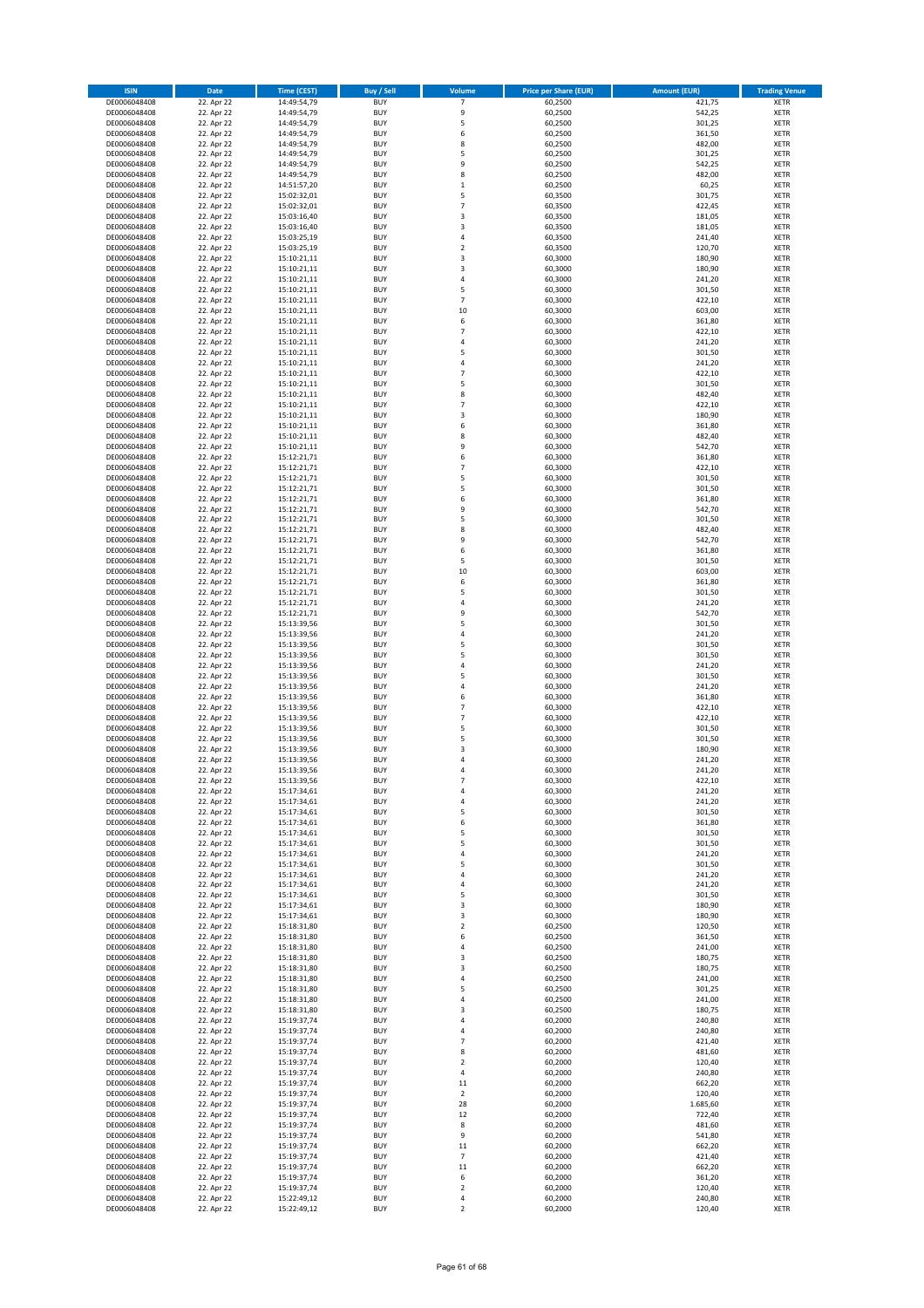| <b>ISIN</b>                  | <b>Date</b>              | <b>Time (CEST)</b>         | <b>Buy / Sell</b>        | Volume                  | <b>Price per Share (EUR)</b> | <b>Amount (EUR)</b> | <b>Trading Venue</b>       |
|------------------------------|--------------------------|----------------------------|--------------------------|-------------------------|------------------------------|---------------------|----------------------------|
| DE0006048408                 | 22. Apr 22               | 14:49:54,79                | <b>BUY</b>               | $\overline{7}$          | 60,2500                      | 421,75              | XETR                       |
| DE0006048408                 | 22. Apr 22               | 14:49:54,79                | <b>BUY</b>               | 9<br>5                  | 60,2500                      | 542,25              | XETR                       |
| DE0006048408<br>DE0006048408 | 22. Apr 22<br>22. Apr 22 | 14:49:54,79<br>14:49:54,79 | <b>BUY</b><br><b>BUY</b> | 6                       | 60,2500<br>60,2500           | 301,25<br>361,50    | XETR<br>XETR               |
| DE0006048408                 | 22. Apr 22               | 14:49:54,79                | <b>BUY</b>               | 8                       | 60,2500                      | 482,00              | XETR                       |
| DE0006048408                 | 22. Apr 22               | 14:49:54,79                | <b>BUY</b>               | 5                       | 60,2500                      | 301,25              | <b>XETR</b>                |
| DE0006048408                 | 22. Apr 22               | 14:49:54,79                | <b>BUY</b>               | 9                       | 60,2500                      | 542,25              | <b>XETR</b>                |
| DE0006048408<br>DE0006048408 | 22. Apr 22<br>22. Apr 22 | 14:49:54,79<br>14:51:57,20 | <b>BUY</b><br><b>BUY</b> | 8<br>$\mathbf 1$        | 60,2500<br>60,2500           | 482,00<br>60,25     | <b>XETR</b><br><b>XETR</b> |
| DE0006048408                 | 22. Apr 22               | 15:02:32,01                | <b>BUY</b>               | 5                       | 60,3500                      | 301,75              | <b>XETR</b>                |
| DE0006048408                 | 22. Apr 22               | 15:02:32,01                | <b>BUY</b>               | $\overline{7}$          | 60,3500                      | 422,45              | <b>XETR</b>                |
| DE0006048408                 | 22. Apr 22               | 15:03:16,40                | <b>BUY</b>               | 3                       | 60,3500                      | 181,05              | <b>XETR</b>                |
| DE0006048408                 | 22. Apr 22               | 15:03:16,40                | <b>BUY</b>               | 3                       | 60,3500                      | 181,05              | XETR                       |
| DE0006048408<br>DE0006048408 | 22. Apr 22<br>22. Apr 22 | 15:03:25,19<br>15:03:25,19 | <b>BUY</b><br><b>BUY</b> | 4<br>$\mathbf 2$        | 60,3500<br>60,3500           | 241,40<br>120,70    | <b>XETR</b><br>XETR        |
| DE0006048408                 | 22. Apr 22               | 15:10:21,11                | <b>BUY</b>               | 3                       | 60,3000                      | 180,90              | <b>XETR</b>                |
| DE0006048408                 | 22. Apr 22               | 15:10:21,11                | <b>BUY</b>               | 3                       | 60,3000                      | 180,90              | XETR                       |
| DE0006048408                 | 22. Apr 22               | 15:10:21,11                | <b>BUY</b>               | 4                       | 60,3000                      | 241,20              | <b>XETR</b>                |
| DE0006048408<br>DE0006048408 | 22. Apr 22<br>22. Apr 22 | 15:10:21,11<br>15:10:21,11 | <b>BUY</b><br><b>BUY</b> | 5<br>$\overline{7}$     | 60,3000<br>60,3000           | 301,50<br>422,10    | XETR<br><b>XETR</b>        |
| DE0006048408                 | 22. Apr 22               | 15:10:21,11                | <b>BUY</b>               | 10                      | 60,3000                      | 603,00              | XETR                       |
| DE0006048408                 | 22. Apr 22               | 15:10:21,11                | <b>BUY</b>               | 6                       | 60,3000                      | 361,80              | XETR                       |
| DE0006048408                 | 22. Apr 22               | 15:10:21,11                | <b>BUY</b>               | $\overline{7}$          | 60,3000                      | 422,10              | <b>XETR</b>                |
| DE0006048408<br>DE0006048408 | 22. Apr 22               | 15:10:21,11                | <b>BUY</b><br><b>BUY</b> | 4<br>5                  | 60,3000                      | 241,20              | <b>XETR</b><br><b>XETR</b> |
| DE0006048408                 | 22. Apr 22<br>22. Apr 22 | 15:10:21,11<br>15:10:21,11 | <b>BUY</b>               | 4                       | 60,3000<br>60,3000           | 301,50<br>241,20    | <b>XETR</b>                |
| DE0006048408                 | 22. Apr 22               | 15:10:21,11                | <b>BUY</b>               | $\overline{7}$          | 60,3000                      | 422,10              | <b>XETR</b>                |
| DE0006048408                 | 22. Apr 22               | 15:10:21,11                | <b>BUY</b>               | 5                       | 60,3000                      | 301,50              | <b>XETR</b>                |
| DE0006048408                 | 22. Apr 22               | 15:10:21,11                | <b>BUY</b>               | 8                       | 60,3000                      | 482,40              | <b>XETR</b>                |
| DE0006048408<br>DE0006048408 | 22. Apr 22<br>22. Apr 22 | 15:10:21,11<br>15:10:21,11 | <b>BUY</b><br><b>BUY</b> | $\overline{7}$<br>3     | 60,3000<br>60,3000           | 422,10<br>180,90    | <b>XETR</b><br><b>XETR</b> |
| DE0006048408                 | 22. Apr 22               | 15:10:21,11                | <b>BUY</b>               | 6                       | 60,3000                      | 361,80              | <b>XETR</b>                |
| DE0006048408                 | 22. Apr 22               | 15:10:21,11                | <b>BUY</b>               | 8                       | 60,3000                      | 482,40              | <b>XETR</b>                |
| DE0006048408                 | 22. Apr 22               | 15:10:21,11                | <b>BUY</b>               | 9                       | 60,3000                      | 542,70              | XETR                       |
| DE0006048408                 | 22. Apr 22               | 15:12:21,71                | <b>BUY</b><br><b>BUY</b> | 6<br>$\overline{7}$     | 60,3000                      | 361,80              | <b>XETR</b>                |
| DE0006048408<br>DE0006048408 | 22. Apr 22<br>22. Apr 22 | 15:12:21,71<br>15:12:21,71 | <b>BUY</b>               | 5                       | 60,3000<br>60,3000           | 422,10<br>301,50    | XETR<br><b>XETR</b>        |
| DE0006048408                 | 22. Apr 22               | 15:12:21,71                | <b>BUY</b>               | 5                       | 60,3000                      | 301,50              | XETR                       |
| DE0006048408                 | 22. Apr 22               | 15:12:21,71                | <b>BUY</b>               | 6                       | 60,3000                      | 361,80              | <b>XETR</b>                |
| DE0006048408                 | 22. Apr 22               | 15:12:21,71                | <b>BUY</b>               | 9                       | 60,3000                      | 542,70              | <b>XETR</b>                |
| DE0006048408<br>DE0006048408 | 22. Apr 22<br>22. Apr 22 | 15:12:21,71<br>15:12:21,71 | <b>BUY</b><br><b>BUY</b> | 5<br>8                  | 60,3000<br>60,3000           | 301,50<br>482,40    | <b>XETR</b><br><b>XETR</b> |
| DE0006048408                 | 22. Apr 22               | 15:12:21,71                | <b>BUY</b>               | 9                       | 60,3000                      | 542,70              | <b>XETR</b>                |
| DE0006048408                 | 22. Apr 22               | 15:12:21,71                | <b>BUY</b>               | 6                       | 60,3000                      | 361,80              | <b>XETR</b>                |
| DE0006048408                 | 22. Apr 22               | 15:12:21,71                | <b>BUY</b>               | 5                       | 60,3000                      | 301,50              | <b>XETR</b>                |
| DE0006048408                 | 22. Apr 22               | 15:12:21,71                | <b>BUY</b>               | 10                      | 60,3000                      | 603,00              | XETR                       |
| DE0006048408<br>DE0006048408 | 22. Apr 22<br>22. Apr 22 | 15:12:21,71<br>15:12:21,71 | <b>BUY</b><br><b>BUY</b> | 6<br>5                  | 60,3000<br>60,3000           | 361,80<br>301,50    | XETR<br><b>XETR</b>        |
| DE0006048408                 | 22. Apr 22               | 15:12:21,71                | <b>BUY</b>               | 4                       | 60,3000                      | 241,20              | <b>XETR</b>                |
| DE0006048408                 | 22. Apr 22               | 15:12:21,71                | <b>BUY</b>               | 9                       | 60,3000                      | 542,70              | <b>XETR</b>                |
| DE0006048408                 | 22. Apr 22               | 15:13:39,56                | <b>BUY</b>               | 5                       | 60,3000                      | 301,50              | <b>XETR</b>                |
| DE0006048408<br>DE0006048408 | 22. Apr 22<br>22. Apr 22 | 15:13:39,56<br>15:13:39,56 | <b>BUY</b><br><b>BUY</b> | $\overline{4}$<br>5     | 60,3000<br>60,3000           | 241,20<br>301,50    | <b>XETR</b><br><b>XETR</b> |
| DE0006048408                 | 22. Apr 22               | 15:13:39,56                | <b>BUY</b>               | 5                       | 60,3000                      | 301,50              | <b>XETR</b>                |
| DE0006048408                 | 22. Apr 22               | 15:13:39,56                | <b>BUY</b>               | 4                       | 60,3000                      | 241,20              | XETR                       |
| DE0006048408                 | 22. Apr 22               | 15:13:39,56                | <b>BUY</b>               | 5                       | 60,3000                      | 301,50              | <b>XETR</b>                |
| DE0006048408<br>DE0006048408 | 22. Apr 22<br>22. Apr 22 | 15:13:39,56<br>15:13:39,56 | <b>BUY</b><br><b>BUY</b> | 4<br>6                  | 60,3000<br>60,3000           | 241,20<br>361,80    | <b>XETR</b><br><b>XETR</b> |
| DE0006048408                 | 22. Apr 22               | 15:13:39,56                | <b>BUY</b>               | $\overline{7}$          | 60,3000                      | 422,10              | <b>XETR</b>                |
| DE0006048408                 | 22. Apr 22               | 15:13:39,56                | <b>BUY</b>               | $\overline{7}$          | 60,3000                      | 422,10              | <b>XETR</b>                |
| DE0006048408                 | 22. Apr 22               | 15:13:39,56                | <b>BUY</b>               | 5                       | 60,3000                      | 301,50              | XETR                       |
| DE0006048408                 | 22. Apr 22               | 15:13:39,56                | <b>BUY</b>               | 5                       | 60,3000                      | 301,50              | <b>XETR</b>                |
| DE0006048408<br>DE0006048408 | 22. Apr 22<br>22. Apr 22 | 15:13:39,56<br>15:13:39,56 | <b>BUY</b><br><b>BUY</b> | 3<br>4                  | 60,3000<br>60,3000           | 180,90<br>241,20    | XETR<br><b>XETR</b>        |
| DE0006048408                 | 22. Apr 22               | 15:13:39,56                | <b>BUY</b>               | $\overline{a}$          | 60,3000                      | 241,20              | <b>XETR</b>                |
| DE0006048408                 | 22. Apr 22               | 15:13:39,56                | <b>BUY</b>               |                         | 60,3000                      | 422,10              | XETR                       |
| DE0006048408                 | 22. Apr 22               | 15:17:34,61                | <b>BUY</b>               | 4                       | 60,3000                      | 241,20              | XETR                       |
| DE0006048408<br>DE0006048408 | 22. Apr 22<br>22. Apr 22 | 15:17:34,61<br>15:17:34,61 | <b>BUY</b><br><b>BUY</b> | 4<br>5                  | 60,3000<br>60,3000           | 241,20<br>301,50    | XETR<br>XETR               |
| DE0006048408                 | 22. Apr 22               | 15:17:34,61                | <b>BUY</b>               | 6                       | 60,3000                      | 361,80              | <b>XETR</b>                |
| DE0006048408                 | 22. Apr 22               | 15:17:34,61                | <b>BUY</b>               | 5                       | 60,3000                      | 301,50              | XETR                       |
| DE0006048408                 | 22. Apr 22               | 15:17:34.61                | <b>BUY</b>               | 5                       | 60,3000                      | 301,50              | <b>XETR</b>                |
| DE0006048408<br>DE0006048408 | 22. Apr 22<br>22. Apr 22 | 15:17:34,61<br>15:17:34,61 | <b>BUY</b><br><b>BUY</b> | 4<br>5                  | 60,3000<br>60,3000           | 241,20<br>301,50    | XETR<br><b>XETR</b>        |
| DE0006048408                 | 22. Apr 22               | 15:17:34,61                | <b>BUY</b>               | 4                       | 60,3000                      | 241,20              | XETR                       |
| DE0006048408                 | 22. Apr 22               | 15:17:34,61                | <b>BUY</b>               | 4                       | 60,3000                      | 241,20              | <b>XETR</b>                |
| DE0006048408                 | 22. Apr 22               | 15:17:34,61                | <b>BUY</b>               | 5                       | 60,3000                      | 301,50              | XETR                       |
| DE0006048408<br>DE0006048408 | 22. Apr 22<br>22. Apr 22 | 15:17:34,61<br>15:17:34,61 | <b>BUY</b><br><b>BUY</b> | 3<br>3                  | 60,3000<br>60,3000           | 180,90<br>180,90    | <b>XETR</b><br>XETR        |
| DE0006048408                 | 22. Apr 22               | 15:18:31,80                | <b>BUY</b>               | $\mathbf 2$             | 60,2500                      | 120,50              | <b>XETR</b>                |
| DE0006048408                 | 22. Apr 22               | 15:18:31,80                | <b>BUY</b>               | 6                       | 60,2500                      | 361,50              | XETR                       |
| DE0006048408                 | 22. Apr 22               | 15:18:31,80                | <b>BUY</b>               | 4                       | 60,2500                      | 241,00              | <b>XETR</b>                |
| DE0006048408<br>DE0006048408 | 22. Apr 22<br>22. Apr 22 | 15:18:31,80<br>15:18:31,80 | <b>BUY</b><br><b>BUY</b> | 3<br>3                  | 60,2500<br>60,2500           | 180,75<br>180,75    | <b>XETR</b><br><b>XETR</b> |
| DE0006048408                 | 22. Apr 22               | 15:18:31,80                | <b>BUY</b>               | 4                       | 60,2500                      | 241,00              | XETR                       |
| DE0006048408                 | 22. Apr 22               | 15:18:31,80                | <b>BUY</b>               | 5                       | 60,2500                      | 301,25              | <b>XETR</b>                |
| DE0006048408                 | 22. Apr 22               | 15:18:31,80                | <b>BUY</b>               | 4                       | 60,2500                      | 241,00              | <b>XETR</b>                |
| DE0006048408<br>DE0006048408 | 22. Apr 22<br>22. Apr 22 | 15:18:31,80<br>15:19:37,74 | <b>BUY</b><br><b>BUY</b> | 3<br>4                  | 60,2500<br>60,2000           | 180,75<br>240,80    | XETR<br>XETR               |
| DE0006048408                 | 22. Apr 22               | 15:19:37,74                | <b>BUY</b>               | 4                       | 60,2000                      | 240,80              | XETR                       |
| DE0006048408                 | 22. Apr 22               | 15:19:37,74                | <b>BUY</b>               | $\overline{7}$          | 60,2000                      | 421,40              | <b>XETR</b>                |
| DE0006048408                 | 22. Apr 22               | 15:19:37,74                | <b>BUY</b>               | 8                       | 60,2000                      | 481,60              | XETR                       |
| DE0006048408                 | 22. Apr 22               | 15:19:37,74                | <b>BUY</b>               | $\overline{\mathbf{2}}$ | 60,2000                      | 120,40              | <b>XETR</b>                |
| DE0006048408<br>DE0006048408 | 22. Apr 22<br>22. Apr 22 | 15:19:37,74<br>15:19:37,74 | <b>BUY</b><br><b>BUY</b> | 4<br>$11\,$             | 60,2000<br>60,2000           | 240,80<br>662,20    | XETR<br><b>XETR</b>        |
| DE0006048408                 | 22. Apr 22               | 15:19:37,74                | <b>BUY</b>               | $\mathbf 2$             | 60,2000                      | 120,40              | XETR                       |
| DE0006048408                 | 22. Apr 22               | 15:19:37,74                | <b>BUY</b>               | 28                      | 60,2000                      | 1.685,60            | <b>XETR</b>                |
| DE0006048408                 | 22. Apr 22               | 15:19:37,74                | <b>BUY</b>               | 12                      | 60,2000                      | 722,40              | XETR                       |
| DE0006048408<br>DE0006048408 | 22. Apr 22<br>22. Apr 22 | 15:19:37,74<br>15:19:37,74 | <b>BUY</b><br><b>BUY</b> | 8<br>9                  | 60,2000<br>60,2000           | 481,60<br>541,80    | <b>XETR</b><br><b>XETR</b> |
| DE0006048408                 | 22. Apr 22               | 15:19:37,74                | <b>BUY</b>               | 11                      | 60,2000                      | 662,20              | <b>XETR</b>                |
| DE0006048408                 | 22. Apr 22               | 15:19:37,74                | <b>BUY</b>               | $\overline{7}$          | 60,2000                      | 421,40              | XETR                       |
| DE0006048408                 | 22. Apr 22               | 15:19:37,74                | <b>BUY</b>               | $11\,$                  | 60,2000                      | 662,20              | <b>XETR</b>                |
| DE0006048408<br>DE0006048408 | 22. Apr 22<br>22. Apr 22 | 15:19:37,74<br>15:19:37,74 | <b>BUY</b><br><b>BUY</b> | 6<br>2                  | 60,2000<br>60,2000           | 361,20<br>120,40    | XETR<br>XETR               |
| DE0006048408                 | 22. Apr 22               | 15:22:49,12                | <b>BUY</b>               | 4                       | 60,2000                      | 240,80              | XETR                       |
| DE0006048408                 | 22. Apr 22               | 15:22:49,12                | <b>BUY</b>               | $\overline{\mathbf{c}}$ | 60,2000                      | 120,40              | XETR                       |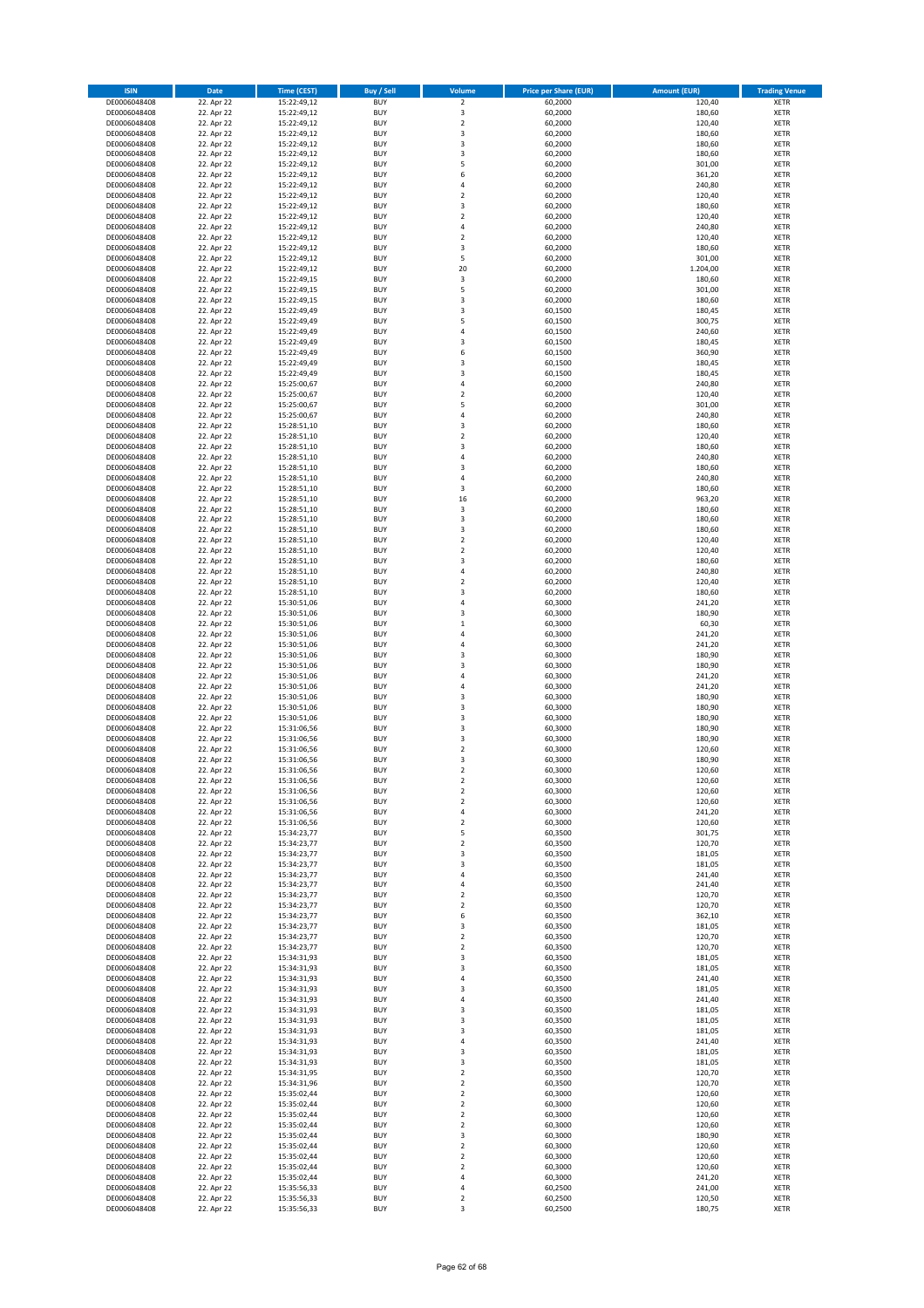| <b>ISIN</b>                  | <b>Date</b>              | <b>Time (CEST)</b>         | Buy / Sell               | Volume                                 | <b>Price per Share (EUR)</b> | <b>Amount (EUR)</b> | <b>Trading Venue</b>       |
|------------------------------|--------------------------|----------------------------|--------------------------|----------------------------------------|------------------------------|---------------------|----------------------------|
| DE0006048408                 | 22. Apr 22               | 15:22:49,12                | <b>BUY</b>               | $\overline{\mathbf{c}}$                | 60,2000                      | 120,40              | XETR                       |
| DE0006048408                 | 22. Apr 22               | 15:22:49,12                | <b>BUY</b>               | 3                                      | 60,2000                      | 180,60              | XETR                       |
| DE0006048408<br>DE0006048408 | 22. Apr 22<br>22. Apr 22 | 15:22:49,12<br>15:22:49,12 | <b>BUY</b><br><b>BUY</b> | $\mathbf 2$<br>3                       | 60,2000<br>60,2000           | 120,40<br>180,60    | XETR<br>XETR               |
| DE0006048408                 | 22. Apr 22               | 15:22:49,12                | <b>BUY</b>               | 3                                      | 60,2000                      | 180,60              | XETR                       |
| DE0006048408                 | 22. Apr 22               | 15:22:49,12                | <b>BUY</b>               | 3                                      | 60,2000                      | 180,60              | <b>XETR</b>                |
| DE0006048408                 | 22. Apr 22               | 15:22:49,12                | <b>BUY</b>               | 5                                      | 60,2000                      | 301,00              | <b>XETR</b>                |
| DE0006048408                 | 22. Apr 22               | 15:22:49,12                | <b>BUY</b>               | 6                                      | 60,2000                      | 361,20              | <b>XETR</b>                |
| DE0006048408<br>DE0006048408 | 22. Apr 22<br>22. Apr 22 | 15:22:49,12<br>15:22:49,12 | <b>BUY</b><br><b>BUY</b> | 4<br>$\mathbf 2$                       | 60,2000<br>60,2000           | 240,80<br>120,40    | <b>XETR</b><br><b>XETR</b> |
| DE0006048408                 | 22. Apr 22               | 15:22:49,12                | <b>BUY</b>               | 3                                      | 60,2000                      | 180,60              | <b>XETR</b>                |
| DE0006048408                 | 22. Apr 22               | 15:22:49,12                | <b>BUY</b>               | $\mathbf 2$                            | 60,2000                      | 120,40              | <b>XETR</b>                |
| DE0006048408                 | 22. Apr 22               | 15:22:49,12                | <b>BUY</b>               | 4                                      | 60,2000                      | 240,80              | XETR                       |
| DE0006048408                 | 22. Apr 22               | 15:22:49,12                | <b>BUY</b>               | $\mathbf 2$                            | 60,2000                      | 120,40              | <b>XETR</b>                |
| DE0006048408                 | 22. Apr 22               | 15:22:49,12                | <b>BUY</b>               | 3                                      | 60,2000                      | 180,60              | XETR                       |
| DE0006048408                 | 22. Apr 22               | 15:22:49,12<br>15:22:49,12 | <b>BUY</b><br><b>BUY</b> | 5<br>20                                | 60,2000                      | 301,00<br>1.204,00  | <b>XETR</b><br>XETR        |
| DE0006048408<br>DE0006048408 | 22. Apr 22<br>22. Apr 22 | 15:22:49,15                | <b>BUY</b>               | 3                                      | 60,2000<br>60,2000           | 180,60              | <b>XETR</b>                |
| DE0006048408                 | 22. Apr 22               | 15:22:49,15                | <b>BUY</b>               | 5                                      | 60,2000                      | 301,00              | XETR                       |
| DE0006048408                 | 22. Apr 22               | 15:22:49,15                | <b>BUY</b>               | 3                                      | 60,2000                      | 180,60              | <b>XETR</b>                |
| DE0006048408                 | 22. Apr 22               | 15:22:49,49                | <b>BUY</b>               | 3                                      | 60,1500                      | 180,45              | XETR                       |
| DE0006048408                 | 22. Apr 22               | 15:22:49,49                | <b>BUY</b>               | 5<br>$\overline{4}$                    | 60,1500                      | 300,75              | XETR                       |
| DE0006048408<br>DE0006048408 | 22. Apr 22<br>22. Apr 22 | 15:22:49,49<br>15:22:49,49 | <b>BUY</b><br><b>BUY</b> | 3                                      | 60,1500<br>60,1500           | 240,60<br>180,45    | <b>XETR</b><br><b>XETR</b> |
| DE0006048408                 | 22. Apr 22               | 15:22:49,49                | <b>BUY</b>               | 6                                      | 60,1500                      | 360,90              | <b>XETR</b>                |
| DE0006048408                 | 22. Apr 22               | 15:22:49,49                | <b>BUY</b>               | 3                                      | 60,1500                      | 180,45              | XETR                       |
| DE0006048408                 | 22. Apr 22               | 15:22:49,49                | <b>BUY</b>               | 3                                      | 60,1500                      | 180,45              | <b>XETR</b>                |
| DE0006048408                 | 22. Apr 22               | 15:25:00,67                | <b>BUY</b>               | 4                                      | 60,2000                      | 240,80              | <b>XETR</b>                |
| DE0006048408                 | 22. Apr 22               | 15:25:00,67<br>15:25:00,67 | <b>BUY</b><br><b>BUY</b> | $\mathbf 2$<br>5                       | 60,2000                      | 120,40              | <b>XETR</b><br>XETR        |
| DE0006048408<br>DE0006048408 | 22. Apr 22<br>22. Apr 22 | 15:25:00,67                | <b>BUY</b>               | $\overline{4}$                         | 60,2000<br>60,2000           | 301,00<br>240,80    | <b>XETR</b>                |
| DE0006048408                 | 22. Apr 22               | 15:28:51,10                | <b>BUY</b>               | 3                                      | 60,2000                      | 180,60              | <b>XETR</b>                |
| DE0006048408                 | 22. Apr 22               | 15:28:51,10                | <b>BUY</b>               | $\mathbf 2$                            | 60,2000                      | 120,40              | <b>XETR</b>                |
| DE0006048408                 | 22. Apr 22               | 15:28:51,10                | <b>BUY</b>               | 3                                      | 60,2000                      | 180,60              | XETR                       |
| DE0006048408                 | 22. Apr 22               | 15:28:51,10                | <b>BUY</b>               | $\overline{a}$                         | 60,2000                      | 240,80              | <b>XETR</b>                |
| DE0006048408<br>DE0006048408 | 22. Apr 22<br>22. Apr 22 | 15:28:51,10<br>15:28:51,10 | <b>BUY</b><br><b>BUY</b> | $\overline{\mathbf{3}}$<br>4           | 60,2000<br>60,2000           | 180,60<br>240,80    | XETR<br><b>XETR</b>        |
| DE0006048408                 | 22. Apr 22               | 15:28:51,10                | <b>BUY</b>               | 3                                      | 60,2000                      | 180,60              | XETR                       |
| DE0006048408                 | 22. Apr 22               | 15:28:51,10                | <b>BUY</b>               | 16                                     | 60,2000                      | 963,20              | <b>XETR</b>                |
| DE0006048408                 | 22. Apr 22               | 15:28:51,10                | <b>BUY</b>               | 3                                      | 60,2000                      | 180,60              | <b>XETR</b>                |
| DE0006048408                 | 22. Apr 22               | 15:28:51,10                | <b>BUY</b>               | 3                                      | 60,2000                      | 180,60              | <b>XETR</b>                |
| DE0006048408                 | 22. Apr 22               | 15:28:51,10                | <b>BUY</b>               | 3                                      | 60,2000                      | 180,60              | <b>XETR</b>                |
| DE0006048408                 | 22. Apr 22<br>22. Apr 22 | 15:28:51,10                | <b>BUY</b><br><b>BUY</b> | $\overline{\mathbf{c}}$<br>$\mathbf 2$ | 60,2000<br>60,2000           | 120,40<br>120,40    | <b>XETR</b><br><b>XETR</b> |
| DE0006048408<br>DE0006048408 | 22. Apr 22               | 15:28:51,10<br>15:28:51,10 | <b>BUY</b>               | 3                                      | 60,2000                      | 180,60              | <b>XETR</b>                |
| DE0006048408                 | 22. Apr 22               | 15:28:51,10                | <b>BUY</b>               | 4                                      | 60,2000                      | 240,80              | XETR                       |
| DE0006048408                 | 22. Apr 22               | 15:28:51,10                | <b>BUY</b>               | 2                                      | 60,2000                      | 120,40              | XETR                       |
| DE0006048408                 | 22. Apr 22               | 15:28:51,10                | <b>BUY</b>               | 3                                      | 60,2000                      | 180,60              | <b>XETR</b>                |
| DE0006048408                 | 22. Apr 22               | 15:30:51,06                | <b>BUY</b>               | 4                                      | 60,3000                      | 241,20              | <b>XETR</b>                |
| DE0006048408<br>DE0006048408 | 22. Apr 22<br>22. Apr 22 | 15:30:51,06<br>15:30:51,06 | <b>BUY</b><br><b>BUY</b> | 3<br>$\mathbf 1$                       | 60,3000<br>60,3000           | 180,90<br>60,30     | <b>XETR</b><br><b>XETR</b> |
| DE0006048408                 | 22. Apr 22               | 15:30:51,06                | <b>BUY</b>               | $\overline{4}$                         | 60,3000                      | 241,20              | <b>XETR</b>                |
| DE0006048408                 | 22. Apr 22               | 15:30:51,06                | <b>BUY</b>               | 4                                      | 60,3000                      | 241,20              | <b>XETR</b>                |
| DE0006048408                 | 22. Apr 22               | 15:30:51,06                | <b>BUY</b>               | 3                                      | 60,3000                      | 180,90              | XETR                       |
| DE0006048408                 | 22. Apr 22               | 15:30:51,06                | <b>BUY</b>               | 3                                      | 60,3000                      | 180,90              | XETR                       |
| DE0006048408                 | 22. Apr 22               | 15:30:51,06                | <b>BUY</b>               | $\overline{4}$                         | 60,3000                      | 241,20              | <b>XETR</b>                |
| DE0006048408<br>DE0006048408 | 22. Apr 22<br>22. Apr 22 | 15:30:51,06<br>15:30:51,06 | <b>BUY</b><br><b>BUY</b> | 4<br>3                                 | 60,3000<br>60,3000           | 241,20<br>180,90    | <b>XETR</b><br><b>XETR</b> |
| DE0006048408                 | 22. Apr 22               | 15:30:51,06                | <b>BUY</b>               | 3                                      | 60,3000                      | 180,90              | XETR                       |
| DE0006048408                 | 22. Apr 22               | 15:30:51,06                | <b>BUY</b>               | 3                                      | 60,3000                      | 180,90              | <b>XETR</b>                |
| DE0006048408                 | 22. Apr 22               | 15:31:06,56                | <b>BUY</b>               | 3                                      | 60,3000                      | 180,90              | XETR                       |
| DE0006048408                 | 22. Apr 22               | 15:31:06,56                | <b>BUY</b>               | 3                                      | 60,3000                      | 180,90              | <b>XETR</b>                |
| DE0006048408                 | 22. Apr 22               | 15:31:06,56                | <b>BUY</b>               | $\mathbf 2$                            | 60,3000                      | 120,60              | XETR                       |
| DE0006048408<br>DE0006048408 | 22. Apr 22<br>22. Apr 22 | 15:31:06,56<br>15:31:06,56 | <b>BUY</b><br><b>BUY</b> | 3<br>$\overline{\mathbf{c}}$           | 60,3000<br>60,3000           | 180,90<br>120,60    | <b>XETR</b><br><b>XETR</b> |
| DE0006048408                 | 22. Apr 22               | 15:31:06,56                | <b>BUY</b>               | 2                                      | 60,3000                      | 120,60              | XETR                       |
| DE0006048408                 | 22. Apr 22               | 15:31:06,56                | <b>BUY</b>               | $\boldsymbol{2}$                       | 60,3000                      | 120,60              | XETR                       |
| DE0006048408                 | 22. Apr 22               | 15:31:06,56                | <b>BUY</b>               | $\mathbf 2$                            | 60,3000                      | 120,60              | XETR                       |
| DE0006048408                 | 22. Apr 22               | 15:31:06,56                | <b>BUY</b>               | 4                                      | 60,3000                      | 241,20              | XETR                       |
| DE0006048408                 | 22. Apr 22               | 15:31:06,56                | <b>BUY</b>               | $\mathbf 2$                            | 60,3000                      | 120,60              | <b>XETR</b>                |
| DE0006048408<br>DE0006048408 | 22. Apr 22<br>22. Apr 22 | 15:34:23,77<br>15:34:23,77 | <b>BUY</b><br><b>BUY</b> | 5<br>$\mathbf 2$                       | 60,3500<br>60,3500           | 301,75<br>120,70    | XETR<br><b>XETR</b>        |
| DE0006048408                 | 22. Apr 22               | 15:34:23,77                | <b>BUY</b>               | 3                                      | 60,3500                      | 181,05              | XETR                       |
| DE0006048408                 | 22. Apr 22               | 15:34:23,77                | <b>BUY</b>               | 3                                      | 60,3500                      | 181,05              | <b>XETR</b>                |
| DE0006048408                 | 22. Apr 22               | 15:34:23,77                | <b>BUY</b>               | 4                                      | 60,3500                      | 241,40              | XETR                       |
| DE0006048408                 | 22. Apr 22               | 15:34:23,77                | <b>BUY</b>               | 4                                      | 60,3500                      | 241,40              | <b>XETR</b>                |
| DE0006048408<br>DE0006048408 | 22. Apr 22<br>22. Apr 22 | 15:34:23,77<br>15:34:23,77 | <b>BUY</b><br><b>BUY</b> | $\mathbf 2$<br>$\mathbf 2$             | 60,3500<br>60,3500           | 120,70<br>120,70    | XETR<br><b>XETR</b>        |
| DE0006048408                 | 22. Apr 22               | 15:34:23,77                | <b>BUY</b>               | 6                                      | 60,3500                      | 362,10              | XETR                       |
| DE0006048408                 | 22. Apr 22               | 15:34:23,77                | <b>BUY</b>               | 3                                      | 60,3500                      | 181,05              | <b>XETR</b>                |
| DE0006048408                 | 22. Apr 22               | 15:34:23,77                | <b>BUY</b>               | $\mathbf 2$                            | 60,3500                      | 120,70              | XETR                       |
| DE0006048408                 | 22. Apr 22               | 15:34:23,77                | <b>BUY</b>               | $\mathbf 2$                            | 60,3500                      | 120,70              | <b>XETR</b>                |
| DE0006048408                 | 22. Apr 22               | 15:34:31,93                | <b>BUY</b>               | 3                                      | 60,3500                      | 181,05              | <b>XETR</b>                |
| DE0006048408<br>DE0006048408 | 22. Apr 22<br>22. Apr 22 | 15:34:31,93<br>15:34:31,93 | <b>BUY</b><br><b>BUY</b> | 3<br>4                                 | 60,3500<br>60,3500           | 181,05<br>241,40    | <b>XETR</b><br>XETR        |
| DE0006048408                 | 22. Apr 22               | 15:34:31,93                | <b>BUY</b>               | 3                                      | 60,3500                      | 181,05              | <b>XETR</b>                |
| DE0006048408                 | 22. Apr 22               | 15:34:31,93                | <b>BUY</b>               | 4                                      | 60,3500                      | 241,40              | <b>XETR</b>                |
| DE0006048408                 | 22. Apr 22               | 15:34:31,93                | <b>BUY</b>               | 3                                      | 60,3500                      | 181,05              | XETR                       |
| DE0006048408                 | 22. Apr 22               | 15:34:31,93                | <b>BUY</b>               | 3                                      | 60,3500                      | 181,05              | <b>XETR</b>                |
| DE0006048408                 | 22. Apr 22               | 15:34:31,93                | <b>BUY</b>               | 3                                      | 60,3500                      | 181,05              | XETR                       |
| DE0006048408<br>DE0006048408 | 22. Apr 22<br>22. Apr 22 | 15:34:31,93<br>15:34:31,93 | <b>BUY</b><br><b>BUY</b> | 4<br>3                                 | 60,3500<br>60,3500           | 241,40<br>181,05    | <b>XETR</b><br>XETR        |
| DE0006048408                 | 22. Apr 22               | 15:34:31,93                | <b>BUY</b>               | 3                                      | 60,3500                      | 181,05              | <b>XETR</b>                |
| DE0006048408                 | 22. Apr 22               | 15:34:31,95                | <b>BUY</b>               | $\mathbf 2$                            | 60,3500                      | 120,70              | XETR                       |
| DE0006048408                 | 22. Apr 22               | 15:34:31,96                | <b>BUY</b>               | $\overline{2}$                         | 60,3500                      | 120,70              | <b>XETR</b>                |
| DE0006048408                 | 22. Apr 22               | 15:35:02,44                | <b>BUY</b>               | 2                                      | 60,3000                      | 120,60              | XETR                       |
| DE0006048408                 | 22. Apr 22               | 15:35:02,44                | <b>BUY</b>               | $\mathbf 2$                            | 60,3000                      | 120,60              | <b>XETR</b>                |
| DE0006048408<br>DE0006048408 | 22. Apr 22<br>22. Apr 22 | 15:35:02,44<br>15:35:02,44 | <b>BUY</b><br><b>BUY</b> | $\mathbf 2$<br>$\mathbf 2$             | 60,3000<br>60,3000           | 120,60<br>120,60    | XETR<br><b>XETR</b>        |
| DE0006048408                 | 22. Apr 22               | 15:35:02,44                | <b>BUY</b>               | 3                                      | 60,3000                      | 180,90              | <b>XETR</b>                |
| DE0006048408                 | 22. Apr 22               | 15:35:02,44                | <b>BUY</b>               | 2                                      | 60,3000                      | 120,60              | <b>XETR</b>                |
| DE0006048408                 | 22. Apr 22               | 15:35:02,44                | <b>BUY</b>               | $\mathbf 2$                            | 60,3000                      | 120,60              | XETR                       |
| DE0006048408                 | 22. Apr 22               | 15:35:02,44                | <b>BUY</b>               | $\mathbf 2$                            | 60,3000                      | 120,60              | <b>XETR</b>                |
| DE0006048408                 | 22. Apr 22               | 15:35:02,44                | <b>BUY</b>               | 4                                      | 60,3000                      | 241,20              | XETR                       |
| DE0006048408<br>DE0006048408 | 22. Apr 22<br>22. Apr 22 | 15:35:56,33<br>15:35:56,33 | <b>BUY</b><br><b>BUY</b> | 4<br>$\mathbf 2$                       | 60,2500<br>60,2500           | 241,00<br>120,50    | XETR<br>XETR               |
| DE0006048408                 | 22. Apr 22               | 15:35:56,33                | <b>BUY</b>               | 3                                      | 60,2500                      | 180,75              | XETR                       |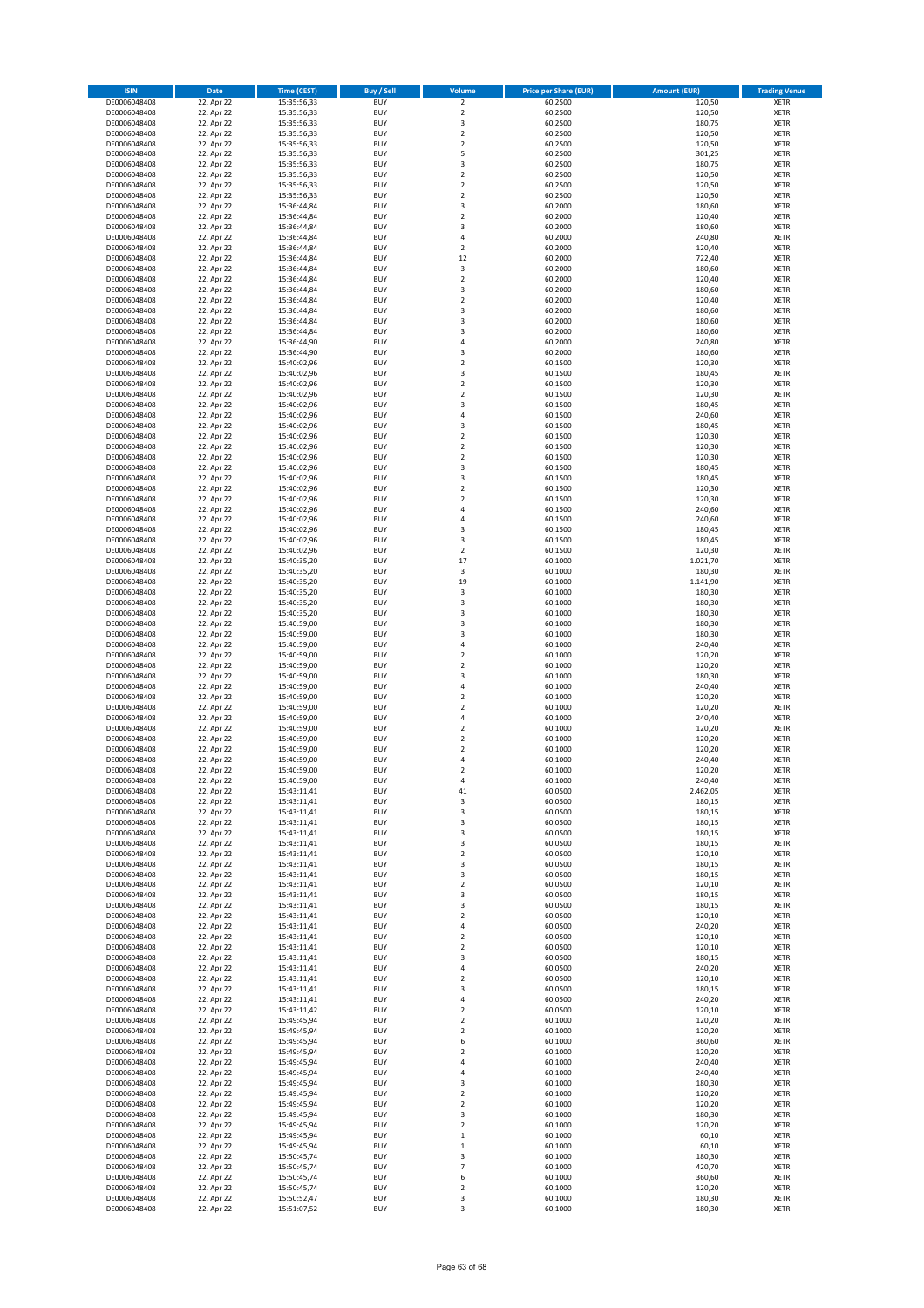| <b>ISIN</b>                  | <b>Date</b>              | <b>Time (CEST)</b>         | Buy / Sell               | Volume                                 | <b>Price per Share (EUR)</b> | <b>Amount (EUR)</b> | <b>Trading Venue</b>       |
|------------------------------|--------------------------|----------------------------|--------------------------|----------------------------------------|------------------------------|---------------------|----------------------------|
| DE0006048408                 | 22. Apr 22               | 15:35:56,33                | <b>BUY</b>               | $\overline{\mathbf{c}}$                | 60,2500                      | 120,50              | XETR                       |
| DE0006048408                 | 22. Apr 22               | 15:35:56,33                | <b>BUY</b>               | $\mathbf 2$                            | 60,2500                      | 120,50              | XETR                       |
| DE0006048408<br>DE0006048408 | 22. Apr 22<br>22. Apr 22 | 15:35:56,33<br>15:35:56,33 | <b>BUY</b><br><b>BUY</b> | 3<br>$\mathbf 2$                       | 60,2500<br>60,2500           | 180,75<br>120,50    | XETR<br>XETR               |
| DE0006048408                 | 22. Apr 22               | 15:35:56,33                | <b>BUY</b>               | $\mathbf 2$                            | 60,2500                      | 120,50              | XETR                       |
| DE0006048408                 | 22. Apr 22               | 15:35:56,33                | <b>BUY</b>               | 5                                      | 60,2500                      | 301,25              | <b>XETR</b>                |
| DE0006048408                 | 22. Apr 22               | 15:35:56,33                | <b>BUY</b>               | 3                                      | 60,2500                      | 180,75              | <b>XETR</b>                |
| DE0006048408                 | 22. Apr 22               | 15:35:56,33                | <b>BUY</b>               | $\mathbf 2$                            | 60,2500                      | 120,50              | <b>XETR</b>                |
| DE0006048408<br>DE0006048408 | 22. Apr 22<br>22. Apr 22 | 15:35:56,33                | <b>BUY</b><br><b>BUY</b> | $\mathbf 2$<br>$\mathbf 2$             | 60,2500<br>60,2500           | 120,50<br>120,50    | <b>XETR</b><br><b>XETR</b> |
| DE0006048408                 | 22. Apr 22               | 15:35:56,33<br>15:36:44,84 | <b>BUY</b>               | 3                                      | 60,2000                      | 180,60              | XETR                       |
| DE0006048408                 | 22. Apr 22               | 15:36:44,84                | <b>BUY</b>               | $\mathbf 2$                            | 60,2000                      | 120,40              | <b>XETR</b>                |
| DE0006048408                 | 22. Apr 22               | 15:36:44,84                | <b>BUY</b>               | 3                                      | 60,2000                      | 180,60              | XETR                       |
| DE0006048408                 | 22. Apr 22               | 15:36:44,84                | <b>BUY</b>               | 4                                      | 60,2000                      | 240,80              | <b>XETR</b>                |
| DE0006048408                 | 22. Apr 22               | 15:36:44,84                | <b>BUY</b>               | $\mathbf 2$                            | 60,2000                      | 120,40              | XETR                       |
| DE0006048408<br>DE0006048408 | 22. Apr 22<br>22. Apr 22 | 15:36:44,84<br>15:36:44,84 | <b>BUY</b><br><b>BUY</b> | 12<br>3                                | 60,2000<br>60,2000           | 722,40<br>180,60    | <b>XETR</b><br>XETR        |
| DE0006048408                 | 22. Apr 22               | 15:36:44,84                | <b>BUY</b>               | $\mathbf 2$                            | 60,2000                      | 120,40              | <b>XETR</b>                |
| DE0006048408                 | 22. Apr 22               | 15:36:44,84                | <b>BUY</b>               | 3                                      | 60,2000                      | 180,60              | XETR                       |
| DE0006048408                 | 22. Apr 22               | 15:36:44,84                | <b>BUY</b>               | $\mathbf 2$                            | 60,2000                      | 120,40              | <b>XETR</b>                |
| DE0006048408                 | 22. Apr 22               | 15:36:44,84                | <b>BUY</b>               | 3                                      | 60,2000                      | 180,60              | XETR                       |
| DE0006048408<br>DE0006048408 | 22. Apr 22<br>22. Apr 22 | 15:36:44,84<br>15:36:44,84 | <b>BUY</b><br><b>BUY</b> | 3<br>3                                 | 60,2000<br>60,2000           | 180,60<br>180,60    | XETR<br><b>XETR</b>        |
| DE0006048408                 | 22. Apr 22               | 15:36:44,90                | <b>BUY</b>               | 4                                      | 60,2000                      | 240,80              | <b>XETR</b>                |
| DE0006048408                 | 22. Apr 22               | 15:36:44,90                | <b>BUY</b>               | 3                                      | 60,2000                      | 180,60              | <b>XETR</b>                |
| DE0006048408                 | 22. Apr 22               | 15:40:02,96                | <b>BUY</b>               | $\overline{\mathbf{c}}$                | 60,1500                      | 120,30              | XETR                       |
| DE0006048408                 | 22. Apr 22               | 15:40:02,96                | <b>BUY</b>               | 3                                      | 60,1500                      | 180,45              | <b>XETR</b>                |
| DE0006048408<br>DE0006048408 | 22. Apr 22               | 15:40:02,96<br>15:40:02,96 | <b>BUY</b><br><b>BUY</b> | $\overline{\mathbf{c}}$<br>$\mathbf 2$ | 60,1500                      | 120,30              | <b>XETR</b><br>XETR        |
| DE0006048408                 | 22. Apr 22<br>22. Apr 22 | 15:40:02,96                | <b>BUY</b>               | 3                                      | 60,1500<br>60,1500           | 120,30<br>180,45    | <b>XETR</b>                |
| DE0006048408                 | 22. Apr 22               | 15:40:02,96                | <b>BUY</b>               | $\overline{4}$                         | 60,1500                      | 240,60              | <b>XETR</b>                |
| DE0006048408                 | 22. Apr 22               | 15:40:02,96                | <b>BUY</b>               | 3                                      | 60,1500                      | 180,45              | <b>XETR</b>                |
| DE0006048408                 | 22. Apr 22               | 15:40:02,96                | <b>BUY</b>               | $\overline{\mathbf{c}}$                | 60,1500                      | 120,30              | <b>XETR</b>                |
| DE0006048408                 | 22. Apr 22               | 15:40:02,96                | <b>BUY</b>               | $\mathbf 2$                            | 60,1500                      | 120,30              | XETR                       |
| DE0006048408<br>DE0006048408 | 22. Apr 22<br>22. Apr 22 | 15:40:02,96<br>15:40:02,96 | <b>BUY</b><br><b>BUY</b> | $\overline{\mathbf{c}}$<br>3           | 60,1500<br>60,1500           | 120,30<br>180,45    | <b>XETR</b><br>XETR        |
| DE0006048408                 | 22. Apr 22               | 15:40:02,96                | <b>BUY</b>               | 3                                      | 60,1500                      | 180,45              | <b>XETR</b>                |
| DE0006048408                 | 22. Apr 22               | 15:40:02,96                | <b>BUY</b>               | $\mathbf 2$                            | 60,1500                      | 120,30              | XETR                       |
| DE0006048408                 | 22. Apr 22               | 15:40:02,96                | <b>BUY</b>               | $\overline{\mathbf{c}}$                | 60,1500                      | 120,30              | <b>XETR</b>                |
| DE0006048408                 | 22. Apr 22               | 15:40:02,96                | <b>BUY</b>               | 4                                      | 60,1500                      | 240,60              | <b>XETR</b>                |
| DE0006048408                 | 22. Apr 22               | 15:40:02,96                | <b>BUY</b>               | $\overline{4}$                         | 60,1500                      | 240,60              | <b>XETR</b>                |
| DE0006048408<br>DE0006048408 | 22. Apr 22<br>22. Apr 22 | 15:40:02,96<br>15:40:02,96 | <b>BUY</b><br><b>BUY</b> | 3<br>3                                 | 60,1500<br>60,1500           | 180,45<br>180,45    | <b>XETR</b><br><b>XETR</b> |
| DE0006048408                 | 22. Apr 22               | 15:40:02,96                | <b>BUY</b>               | $\mathbf 2$                            | 60,1500                      | 120,30              | XETR                       |
| DE0006048408                 | 22. Apr 22               | 15:40:35,20                | <b>BUY</b>               | 17                                     | 60,1000                      | 1.021,70            | <b>XETR</b>                |
| DE0006048408                 | 22. Apr 22               | 15:40:35,20                | <b>BUY</b>               | 3                                      | 60,1000                      | 180,30              | XETR                       |
| DE0006048408                 | 22. Apr 22               | 15:40:35,20                | <b>BUY</b>               | 19                                     | 60,1000                      | 1.141,90            | XETR                       |
| DE0006048408                 | 22. Apr 22               | 15:40:35,20                | <b>BUY</b>               | 3                                      | 60,1000                      | 180,30              | <b>XETR</b>                |
| DE0006048408<br>DE0006048408 | 22. Apr 22<br>22. Apr 22 | 15:40:35,20<br>15:40:35,20 | <b>BUY</b><br><b>BUY</b> | 3<br>3                                 | 60,1000<br>60,1000           | 180,30<br>180,30    | <b>XETR</b><br>XETR        |
| DE0006048408                 | 22. Apr 22               | 15:40:59,00                | <b>BUY</b>               | 3                                      | 60,1000                      | 180,30              | <b>XETR</b>                |
| DE0006048408                 | 22. Apr 22               | 15:40:59,00                | <b>BUY</b>               | 3                                      | 60,1000                      | 180,30              | <b>XETR</b>                |
| DE0006048408                 | 22. Apr 22               | 15:40:59,00                | <b>BUY</b>               | 4                                      | 60,1000                      | 240,40              | <b>XETR</b>                |
| DE0006048408                 | 22. Apr 22               | 15:40:59,00                | <b>BUY</b>               | $\mathbf 2$                            | 60,1000                      | 120,20              | XETR                       |
| DE0006048408                 | 22. Apr 22               | 15:40:59,00                | <b>BUY</b>               | $\mathbf 2$                            | 60,1000                      | 120,20              | XETR                       |
| DE0006048408<br>DE0006048408 | 22. Apr 22<br>22. Apr 22 | 15:40:59,00<br>15:40:59,00 | <b>BUY</b><br><b>BUY</b> | 3<br>4                                 | 60,1000<br>60,1000           | 180,30<br>240,40    | <b>XETR</b><br><b>XETR</b> |
| DE0006048408                 | 22. Apr 22               | 15:40:59,00                | <b>BUY</b>               | $\mathbf 2$                            | 60,1000                      | 120,20              | <b>XETR</b>                |
| DE0006048408                 | 22. Apr 22               | 15:40:59,00                | <b>BUY</b>               | $\mathbf 2$                            | 60,1000                      | 120,20              | XETR                       |
| DE0006048408                 | 22. Apr 22               | 15:40:59,00                | <b>BUY</b>               | 4                                      | 60,1000                      | 240,40              | <b>XETR</b>                |
| DE0006048408                 | 22. Apr 22               | 15:40:59,00                | <b>BUY</b>               | $\mathbf 2$                            | 60,1000                      | 120,20              | XETR                       |
| DE0006048408<br>DE0006048408 | 22. Apr 22<br>22. Apr 22 | 15:40:59,00<br>15:40:59,00 | <b>BUY</b><br><b>BUY</b> | $\mathbf 2$<br>2                       | 60,1000<br>60,1000           | 120,20<br>120,20    | <b>XETR</b><br>XETR        |
| DE0006048408                 | 22. Apr 22               | 15:40:59,00                | <b>BUY</b>               | 4                                      | 60,1000                      | 240,40              | <b>XETR</b>                |
| DE0006048408                 | 22. Apr 22               | 15:40:59,00                | <b>BUY</b>               | 2                                      | 60,1000                      | 120,20              | XETR                       |
| DE0006048408                 | 22. Apr 22               | 15:40:59,00                | <b>BUY</b>               | 4                                      | 60,1000                      | 240,40              | XETR                       |
| DE0006048408                 | 22. Apr 22               | 15:43:11,41                | <b>BUY</b>               | 41                                     | 60,0500                      | 2.462,05            | XETR                       |
| DE0006048408                 | 22. Apr 22               | 15:43:11,41                | <b>BUY</b>               | 3                                      | 60,0500                      | 180,15              | XETR                       |
| DE0006048408<br>DE0006048408 | 22. Apr 22<br>22. Apr 22 | 15:43:11,41<br>15:43:11,41 | <b>BUY</b><br><b>BUY</b> | 3<br>3                                 | 60,0500<br>60,0500           | 180,15<br>180,15    | XETR<br><b>XETR</b>        |
| DE0006048408                 | 22. Apr 22               | 15:43:11,41                | <b>BUY</b>               | 3                                      | 60,0500                      | 180,15              | XETR                       |
| DE0006048408                 | 22. Apr 22               | 15:43:11,41                | <b>BUY</b>               | 3                                      | 60,0500                      | 180,15              | <b>XETR</b>                |
| DE0006048408                 | 22. Apr 22               | 15:43:11,41                | <b>BUY</b>               | $\overline{\mathbf{c}}$                | 60,0500                      | 120,10              | XETR                       |
| DE0006048408                 | 22. Apr 22               | 15:43:11,41                | <b>BUY</b>               | 3                                      | 60,0500                      | 180,15              | <b>XETR</b>                |
| DE0006048408<br>DE0006048408 | 22. Apr 22<br>22. Apr 22 | 15:43:11,41<br>15:43:11,41 | <b>BUY</b><br><b>BUY</b> | 3<br>$\mathbf 2$                       | 60,0500<br>60,0500           | 180,15<br>120,10    | XETR<br><b>XETR</b>        |
| DE0006048408                 | 22. Apr 22               | 15:43:11,41                | <b>BUY</b>               | 3                                      | 60,0500                      | 180,15              | XETR                       |
| DE0006048408                 | 22. Apr 22               | 15:43:11,41                | <b>BUY</b>               | 3                                      | 60,0500                      | 180,15              | <b>XETR</b>                |
| DE0006048408                 | 22. Apr 22               | 15:43:11,41                | <b>BUY</b>               | $\mathbf 2$                            | 60,0500                      | 120,10              | XETR                       |
| DE0006048408                 | 22. Apr 22               | 15:43:11,41                | <b>BUY</b>               | 4                                      | 60,0500                      | 240,20              | <b>XETR</b>                |
| DE0006048408                 | 22. Apr 22<br>22. Apr 22 | 15:43:11,41<br>15:43:11,41 | <b>BUY</b><br><b>BUY</b> | $\mathbf 2$<br>$\mathbf 2$             | 60,0500<br>60,0500           | 120,10<br>120,10    | XETR                       |
| DE0006048408<br>DE0006048408 | 22. Apr 22               | 15:43:11,41                | <b>BUY</b>               | 3                                      | 60,0500                      | 180,15              | <b>XETR</b><br><b>XETR</b> |
| DE0006048408                 | 22. Apr 22               | 15:43:11,41                | <b>BUY</b>               | 4                                      | 60,0500                      | 240,20              | <b>XETR</b>                |
| DE0006048408                 | 22. Apr 22               | 15:43:11,41                | <b>BUY</b>               | $\mathbf 2$                            | 60,0500                      | 120,10              | XETR                       |
| DE0006048408                 | 22. Apr 22               | 15:43:11,41                | <b>BUY</b>               | 3                                      | 60,0500                      | 180,15              | <b>XETR</b>                |
| DE0006048408                 | 22. Apr 22               | 15:43:11,41                | <b>BUY</b>               | 4                                      | 60,0500                      | 240,20              | <b>XETR</b>                |
| DE0006048408<br>DE0006048408 | 22. Apr 22<br>22. Apr 22 | 15:43:11,42<br>15:49:45,94 | <b>BUY</b><br><b>BUY</b> | $\mathbf 2$<br>$\mathbf 2$             | 60,0500<br>60,1000           | 120,10<br>120,20    | XETR<br><b>XETR</b>        |
| DE0006048408                 | 22. Apr 22               | 15:49:45,94                | <b>BUY</b>               | $\mathbf 2$                            | 60,1000                      | 120,20              | XETR                       |
| DE0006048408                 | 22. Apr 22               | 15:49:45,94                | <b>BUY</b>               | 6                                      | 60,1000                      | 360,60              | <b>XETR</b>                |
| DE0006048408                 | 22. Apr 22               | 15:49:45,94                | <b>BUY</b>               | 2                                      | 60,1000                      | 120,20              | XETR                       |
| DE0006048408                 | 22. Apr 22               | 15:49:45,94                | <b>BUY</b>               | 4                                      | 60,1000                      | 240,40              | <b>XETR</b>                |
| DE0006048408                 | 22. Apr 22               | 15:49:45,94                | <b>BUY</b><br><b>BUY</b> | 4                                      | 60,1000                      | 240,40              | XETR<br><b>XETR</b>        |
| DE0006048408<br>DE0006048408 | 22. Apr 22<br>22. Apr 22 | 15:49:45,94<br>15:49:45,94 | <b>BUY</b>               | 3<br>2                                 | 60,1000<br>60,1000           | 180,30<br>120,20    | XETR                       |
| DE0006048408                 | 22. Apr 22               | 15:49:45,94                | <b>BUY</b>               | $\mathbf 2$                            | 60,1000                      | 120,20              | <b>XETR</b>                |
| DE0006048408                 | 22. Apr 22               | 15:49:45,94                | <b>BUY</b>               | 3                                      | 60,1000                      | 180,30              | XETR                       |
| DE0006048408                 | 22. Apr 22               | 15:49:45,94                | <b>BUY</b>               | $\overline{\mathbf{2}}$                | 60,1000                      | 120,20              | <b>XETR</b>                |
| DE0006048408                 | 22. Apr 22               | 15:49:45,94                | <b>BUY</b>               | 1                                      | 60,1000                      | 60,10               | <b>XETR</b>                |
| DE0006048408<br>DE0006048408 | 22. Apr 22<br>22. Apr 22 | 15:49:45,94<br>15:50:45,74 | <b>BUY</b><br><b>BUY</b> | $\mathbf 1$<br>3                       | 60,1000<br>60,1000           | 60,10<br>180,30     | <b>XETR</b><br>XETR        |
| DE0006048408                 | 22. Apr 22               | 15:50:45,74                | <b>BUY</b>               | 7                                      | 60,1000                      | 420,70              | <b>XETR</b>                |
| DE0006048408                 | 22. Apr 22               | 15:50:45,74                | <b>BUY</b>               | 6                                      | 60,1000                      | 360,60              | XETR                       |
| DE0006048408                 | 22. Apr 22               | 15:50:45,74                | <b>BUY</b>               | 2                                      | 60,1000                      | 120,20              | XETR                       |
| DE0006048408                 | 22. Apr 22               | 15:50:52,47                | <b>BUY</b>               | 3                                      | 60,1000                      | 180,30              | XETR                       |
| DE0006048408                 | 22. Apr 22               | 15:51:07,52                | <b>BUY</b>               | 3                                      | 60,1000                      | 180,30              | XETR                       |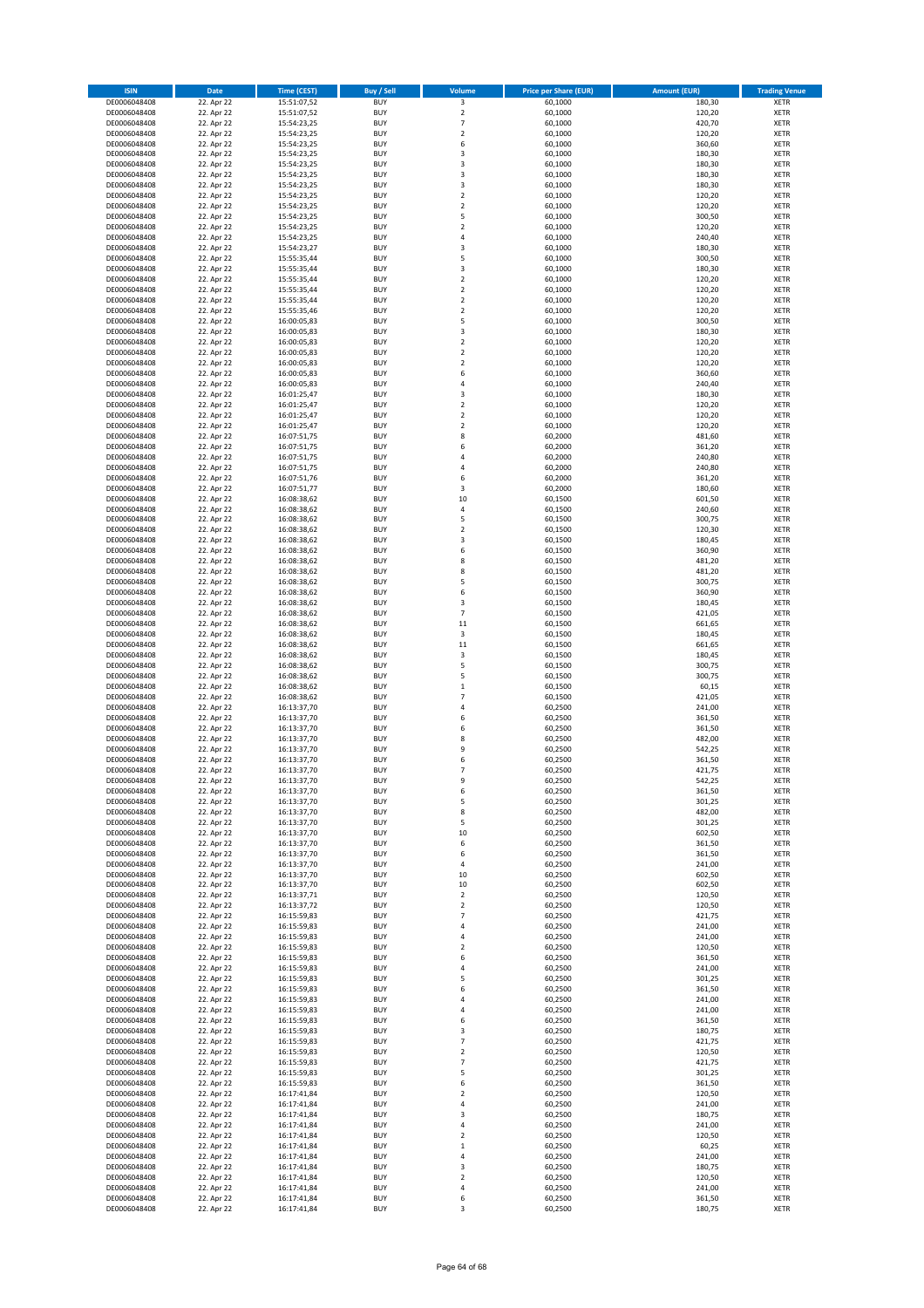| <b>ISIN</b>                  | <b>Date</b>              | <b>Time (CEST)</b>         | Buy / Sell               | Volume                        | <b>Price per Share (EUR)</b> | <b>Amount (EUR)</b> | <b>Trading Venue</b>       |
|------------------------------|--------------------------|----------------------------|--------------------------|-------------------------------|------------------------------|---------------------|----------------------------|
| DE0006048408                 | 22. Apr 22               | 15:51:07,52                | <b>BUY</b>               | 3                             | 60,1000                      | 180,30              | XETR                       |
| DE0006048408                 | 22. Apr 22               | 15:51:07,52                | <b>BUY</b>               | $\mathbf 2$                   | 60,1000                      | 120,20              | XETR                       |
| DE0006048408<br>DE0006048408 | 22. Apr 22<br>22. Apr 22 | 15:54:23,25<br>15:54:23,25 | <b>BUY</b><br><b>BUY</b> | $\overline{7}$<br>$\mathbf 2$ | 60,1000<br>60,1000           | 420,70<br>120,20    | XETR<br>XETR               |
| DE0006048408                 | 22. Apr 22               | 15:54:23,25                | <b>BUY</b>               | 6                             | 60,1000                      | 360,60              | XETR                       |
| DE0006048408                 | 22. Apr 22               | 15:54:23,25                | <b>BUY</b>               | 3                             | 60,1000                      | 180,30              | <b>XETR</b>                |
| DE0006048408                 | 22. Apr 22               | 15:54:23,25                | <b>BUY</b>               | 3                             | 60,1000                      | 180,30              | <b>XETR</b>                |
| DE0006048408                 | 22. Apr 22               | 15:54:23,25                | <b>BUY</b>               | 3                             | 60,1000                      | 180,30              | <b>XETR</b>                |
| DE0006048408<br>DE0006048408 | 22. Apr 22<br>22. Apr 22 | 15:54:23,25                | <b>BUY</b><br><b>BUY</b> | 3<br>$\overline{\mathbf{c}}$  | 60,1000<br>60,1000           | 180,30<br>120,20    | <b>XETR</b><br><b>XETR</b> |
| DE0006048408                 | 22. Apr 22               | 15:54:23,25<br>15:54:23,25 | <b>BUY</b>               | $\mathbf 2$                   | 60,1000                      | 120,20              | XETR                       |
| DE0006048408                 | 22. Apr 22               | 15:54:23,25                | <b>BUY</b>               | 5                             | 60,1000                      | 300,50              | <b>XETR</b>                |
| DE0006048408                 | 22. Apr 22               | 15:54:23,25                | <b>BUY</b>               | $\mathbf 2$                   | 60,1000                      | 120,20              | XETR                       |
| DE0006048408                 | 22. Apr 22               | 15:54:23,25                | <b>BUY</b>               | 4                             | 60,1000                      | 240,40              | <b>XETR</b>                |
| DE0006048408                 | 22. Apr 22<br>22. Apr 22 | 15:54:23,27                | <b>BUY</b>               | 3                             | 60,1000                      | 180,30              | XETR                       |
| DE0006048408<br>DE0006048408 | 22. Apr 22               | 15:55:35,44<br>15:55:35,44 | <b>BUY</b><br><b>BUY</b> | 5<br>3                        | 60,1000<br>60,1000           | 300,50<br>180,30    | <b>XETR</b><br>XETR        |
| DE0006048408                 | 22. Apr 22               | 15:55:35,44                | <b>BUY</b>               | $\overline{\mathbf{c}}$       | 60,1000                      | 120,20              | <b>XETR</b>                |
| DE0006048408                 | 22. Apr 22               | 15:55:35,44                | <b>BUY</b>               | $\mathbf 2$                   | 60,1000                      | 120,20              | XETR                       |
| DE0006048408                 | 22. Apr 22               | 15:55:35,44                | <b>BUY</b>               | $\overline{\mathbf{c}}$       | 60,1000                      | 120,20              | <b>XETR</b>                |
| DE0006048408                 | 22. Apr 22<br>22. Apr 22 | 15:55:35,46                | <b>BUY</b><br><b>BUY</b> | $\overline{\mathbf{c}}$<br>5  | 60,1000                      | 120,20<br>300,50    | XETR<br>XETR               |
| DE0006048408<br>DE0006048408 | 22. Apr 22               | 16:00:05,83<br>16:00:05,83 | <b>BUY</b>               | 3                             | 60,1000<br>60,1000           | 180,30              | <b>XETR</b>                |
| DE0006048408                 | 22. Apr 22               | 16:00:05,83                | <b>BUY</b>               | $\mathbf 2$                   | 60,1000                      | 120,20              | <b>XETR</b>                |
| DE0006048408                 | 22. Apr 22               | 16:00:05,83                | <b>BUY</b>               | $\overline{\mathbf{c}}$       | 60,1000                      | 120,20              | <b>XETR</b>                |
| DE0006048408                 | 22. Apr 22               | 16:00:05,83                | <b>BUY</b>               | $\overline{\mathbf{c}}$       | 60,1000                      | 120,20              | <b>XETR</b>                |
| DE0006048408                 | 22. Apr 22               | 16:00:05,83                | <b>BUY</b>               | 6                             | 60,1000                      | 360,60              | <b>XETR</b>                |
| DE0006048408<br>DE0006048408 | 22. Apr 22<br>22. Apr 22 | 16:00:05,83<br>16:01:25,47 | <b>BUY</b><br><b>BUY</b> | 4<br>3                        | 60,1000<br>60,1000           | 240,40<br>180,30    | <b>XETR</b><br><b>XETR</b> |
| DE0006048408                 | 22. Apr 22               | 16:01:25,47                | <b>BUY</b>               | $\mathbf 2$                   | 60,1000                      | 120,20              | <b>XETR</b>                |
| DE0006048408                 | 22. Apr 22               | 16:01:25,47                | <b>BUY</b>               | $\mathbf 2$                   | 60,1000                      | 120,20              | <b>XETR</b>                |
| DE0006048408                 | 22. Apr 22               | 16:01:25,47                | <b>BUY</b>               | $\mathbf 2$                   | 60,1000                      | 120,20              | <b>XETR</b>                |
| DE0006048408                 | 22. Apr 22               | 16:07:51,75                | <b>BUY</b>               | 8                             | 60,2000                      | 481,60              | <b>XETR</b>                |
| DE0006048408<br>DE0006048408 | 22. Apr 22<br>22. Apr 22 | 16:07:51,75<br>16:07:51,75 | <b>BUY</b><br><b>BUY</b> | 6<br>$\overline{a}$           | 60,2000<br>60,2000           | 361,20<br>240,80    | XETR<br><b>XETR</b>        |
| DE0006048408                 | 22. Apr 22               | 16:07:51,75                | <b>BUY</b>               | 4                             | 60,2000                      | 240,80              | XETR                       |
| DE0006048408                 | 22. Apr 22               | 16:07:51,76                | <b>BUY</b>               | 6                             | 60,2000                      | 361,20              | <b>XETR</b>                |
| DE0006048408                 | 22. Apr 22               | 16:07:51,77                | <b>BUY</b>               | 3                             | 60,2000                      | 180,60              | XETR                       |
| DE0006048408                 | 22. Apr 22               | 16:08:38,62                | <b>BUY</b>               | 10                            | 60,1500                      | 601,50              | <b>XETR</b>                |
| DE0006048408<br>DE0006048408 | 22. Apr 22               | 16:08:38,62                | <b>BUY</b><br><b>BUY</b> | 4<br>5                        | 60,1500                      | 240,60<br>300,75    | <b>XETR</b><br><b>XETR</b> |
| DE0006048408                 | 22. Apr 22<br>22. Apr 22 | 16:08:38,62<br>16:08:38,62 | <b>BUY</b>               | $\mathbf 2$                   | 60,1500<br>60,1500           | 120,30              | <b>XETR</b>                |
| DE0006048408                 | 22. Apr 22               | 16:08:38,62                | <b>BUY</b>               | 3                             | 60,1500                      | 180,45              | <b>XETR</b>                |
| DE0006048408                 | 22. Apr 22               | 16:08:38,62                | <b>BUY</b>               | 6                             | 60,1500                      | 360,90              | <b>XETR</b>                |
| DE0006048408                 | 22. Apr 22               | 16:08:38,62                | <b>BUY</b>               | 8                             | 60,1500                      | 481,20              | <b>XETR</b>                |
| DE0006048408                 | 22. Apr 22               | 16:08:38,62                | <b>BUY</b>               | 8                             | 60,1500                      | 481,20              | XETR                       |
| DE0006048408<br>DE0006048408 | 22. Apr 22<br>22. Apr 22 | 16:08:38,62<br>16:08:38,62 | <b>BUY</b><br><b>BUY</b> | 5<br>6                        | 60,1500<br>60,1500           | 300,75<br>360,90    | XETR<br><b>XETR</b>        |
| DE0006048408                 | 22. Apr 22               | 16:08:38,62                | <b>BUY</b>               | 3                             | 60,1500                      | 180,45              | <b>XETR</b>                |
| DE0006048408                 | 22. Apr 22               | 16:08:38,62                | <b>BUY</b>               | $\overline{7}$                | 60,1500                      | 421,05              | XETR                       |
| DE0006048408                 | 22. Apr 22               | 16:08:38,62                | <b>BUY</b>               | $11\,$                        | 60,1500                      | 661,65              | <b>XETR</b>                |
| DE0006048408                 | 22. Apr 22               | 16:08:38,62                | <b>BUY</b>               | 3                             | 60,1500                      | 180,45              | <b>XETR</b>                |
| DE0006048408<br>DE0006048408 | 22. Apr 22<br>22. Apr 22 | 16:08:38,62<br>16:08:38,62 | <b>BUY</b><br><b>BUY</b> | $11\,$<br>3                   | 60,1500<br>60,1500           | 661,65<br>180,45    | <b>XETR</b><br>XETR        |
| DE0006048408                 | 22. Apr 22               | 16:08:38,62                | <b>BUY</b>               | 5                             | 60,1500                      | 300,75              | XETR                       |
| DE0006048408                 | 22. Apr 22               | 16:08:38,62                | <b>BUY</b>               | 5                             | 60,1500                      | 300,75              | <b>XETR</b>                |
| DE0006048408                 | 22. Apr 22               | 16:08:38,62                | <b>BUY</b>               | $\mathbf 1$                   | 60,1500                      | 60,15               | <b>XETR</b>                |
| DE0006048408                 | 22. Apr 22               | 16:08:38,62                | <b>BUY</b>               | $\overline{7}$                | 60,1500                      | 421,05              | <b>XETR</b>                |
| DE0006048408<br>DE0006048408 | 22. Apr 22<br>22. Apr 22 | 16:13:37,70<br>16:13:37,70 | <b>BUY</b><br><b>BUY</b> | 4<br>6                        | 60,2500<br>60,2500           | 241,00<br>361,50    | XETR<br><b>XETR</b>        |
| DE0006048408                 | 22. Apr 22               | 16:13:37,70                | <b>BUY</b>               | 6                             | 60,2500                      | 361,50              | XETR                       |
| DE0006048408                 | 22. Apr 22               | 16:13:37,70                | <b>BUY</b>               | 8                             | 60,2500                      | 482,00              | <b>XETR</b>                |
| DE0006048408                 | 22. Apr 22               | 16:13:37,70                | <b>BUY</b>               | 9                             | 60,2500                      | 542,25              | XETR                       |
| DE0006048408                 | 22. Apr 22               | 16:13:37,70                | <b>BUY</b>               | 6                             | 60,2500                      | 361,50              | <b>XETR</b>                |
| DE0006048408<br>DE0006048408 | 22. Apr 22<br>22. Apr 22 | 16:13:37,70<br>16:13:37,70 | <b>BUY</b><br><b>BUY</b> | $\overline{7}$<br>9           | 60,2500<br>60,2500           | 421,75<br>542,25    | XETR<br>XETR               |
| DE0006048408                 | 22. Apr 22               | 16:13:37,70                | <b>BUY</b>               | 6                             | 60,2500                      | 361,50              | XETR                       |
| DE0006048408                 | 22. Apr 22               | 16:13:37,70                | <b>BUY</b>               | 5                             | 60,2500                      | 301,25              | XETR                       |
| DE0006048408                 | 22. Apr 22               | 16:13:37,70                | <b>BUY</b>               | 8                             | 60,2500                      | 482,00              | <b>XETR</b>                |
| DE0006048408                 | 22. Apr 22               | 16:13:37,70                | <b>BUY</b>               | 5                             | 60,2500                      | 301,25              | <b>XETR</b>                |
| DE0006048408<br>DE0006048408 | 22. Apr 22<br>22. Apr 22 | 16:13:37,70<br>16:13:37,70 | <b>BUY</b><br><b>BUY</b> | 10<br>6                       | 60,2500<br>60,2500           | 602,50<br>361,50    | XETR<br><b>XETR</b>        |
| DE0006048408                 | 22. Apr 22               | 16:13:37,70                | <b>BUY</b>               | 6                             | 60,2500                      | 361,50              | XETR                       |
| DE0006048408                 | 22. Apr 22               | 16:13:37,70                | <b>BUY</b>               | 4                             | 60,2500                      | 241,00              | <b>XETR</b>                |
| DE0006048408                 | 22. Apr 22               | 16:13:37,70                | <b>BUY</b>               | 10                            | 60,2500                      | 602,50              | XETR                       |
| DE0006048408                 | 22. Apr 22               | 16:13:37,70                | <b>BUY</b>               | 10                            | 60,2500                      | 602,50              | <b>XETR</b>                |
| DE0006048408<br>DE0006048408 | 22. Apr 22<br>22. Apr 22 | 16:13:37,71<br>16:13:37,72 | <b>BUY</b><br><b>BUY</b> | $\mathbf 2$<br>$\mathbf 2$    | 60,2500<br>60,2500           | 120,50<br>120,50    | XETR<br><b>XETR</b>        |
| DE0006048408                 | 22. Apr 22               | 16:15:59,83                | <b>BUY</b>               | $\overline{7}$                | 60,2500                      | 421,75              | XETR                       |
| DE0006048408                 | 22. Apr 22               | 16:15:59,83                | <b>BUY</b>               | 4                             | 60,2500                      | 241,00              | <b>XETR</b>                |
| DE0006048408                 | 22. Apr 22               | 16:15:59,83                | <b>BUY</b>               | 4                             | 60,2500                      | 241,00              | XETR                       |
| DE0006048408                 | 22. Apr 22               | 16:15:59,83                | <b>BUY</b>               | $\mathbf 2$                   | 60,2500                      | 120,50              | <b>XETR</b>                |
| DE0006048408<br>DE0006048408 | 22. Apr 22<br>22. Apr 22 | 16:15:59,83<br>16:15:59,83 | <b>BUY</b><br><b>BUY</b> | 6<br>4                        | 60,2500<br>60,2500           | 361,50<br>241,00    | <b>XETR</b><br><b>XETR</b> |
| DE0006048408                 | 22. Apr 22               | 16:15:59,83                | <b>BUY</b>               | 5                             | 60,2500                      | 301,25              | XETR                       |
| DE0006048408                 | 22. Apr 22               | 16:15:59,83                | <b>BUY</b>               | 6                             | 60,2500                      | 361,50              | <b>XETR</b>                |
| DE0006048408                 | 22. Apr 22               | 16:15:59,83                | <b>BUY</b>               | 4                             | 60,2500                      | 241,00              | <b>XETR</b>                |
| DE0006048408                 | 22. Apr 22               | 16:15:59,83                | <b>BUY</b>               | 4                             | 60,2500                      | 241,00              | XETR                       |
| DE0006048408<br>DE0006048408 | 22. Apr 22<br>22. Apr 22 | 16:15:59,83<br>16:15:59,83 | <b>BUY</b><br><b>BUY</b> | 6<br>3                        | 60,2500<br>60,2500           | 361,50<br>180,75    | <b>XETR</b><br>XETR        |
| DE0006048408                 | 22. Apr 22               | 16:15:59,83                | <b>BUY</b>               | $\overline{7}$                | 60,2500                      | 421,75              | <b>XETR</b>                |
| DE0006048408                 | 22. Apr 22               | 16:15:59,83                | <b>BUY</b>               | $\mathbf 2$                   | 60,2500                      | 120,50              | XETR                       |
| DE0006048408                 | 22. Apr 22               | 16:15:59,83                | <b>BUY</b>               | $\overline{7}$                | 60,2500                      | 421,75              | <b>XETR</b>                |
| DE0006048408                 | 22. Apr 22               | 16:15:59,83                | <b>BUY</b>               | 5                             | 60,2500                      | 301,25              | XETR                       |
| DE0006048408                 | 22. Apr 22               | 16:15:59,83                | <b>BUY</b>               | 6                             | 60,2500                      | 361,50              | <b>XETR</b>                |
| DE0006048408<br>DE0006048408 | 22. Apr 22<br>22. Apr 22 | 16:17:41,84<br>16:17:41,84 | <b>BUY</b><br><b>BUY</b> | 2<br>4                        | 60,2500<br>60,2500           | 120,50<br>241,00    | XETR<br><b>XETR</b>        |
| DE0006048408                 | 22. Apr 22               | 16:17:41,84                | <b>BUY</b>               | 3                             | 60,2500                      | 180,75              | XETR                       |
| DE0006048408                 | 22. Apr 22               | 16:17:41,84                | <b>BUY</b>               | 4                             | 60,2500                      | 241,00              | <b>XETR</b>                |
| DE0006048408                 | 22. Apr 22               | 16:17:41,84                | <b>BUY</b>               | 2                             | 60,2500                      | 120,50              | <b>XETR</b>                |
| DE0006048408                 | 22. Apr 22               | 16:17:41,84                | <b>BUY</b><br><b>BUY</b> | $\mathbf 1$<br>4              | 60,2500                      | 60,25               | <b>XETR</b><br>XETR        |
| DE0006048408<br>DE0006048408 | 22. Apr 22<br>22. Apr 22 | 16:17:41,84<br>16:17:41,84 | <b>BUY</b>               | 3                             | 60,2500<br>60,2500           | 241,00<br>180,75    | <b>XETR</b>                |
| DE0006048408                 | 22. Apr 22               | 16:17:41,84                | <b>BUY</b>               | $\mathbf 2$                   | 60,2500                      | 120,50              | XETR                       |
| DE0006048408                 | 22. Apr 22               | 16:17:41,84                | <b>BUY</b>               | 4                             | 60,2500                      | 241,00              | XETR                       |
| DE0006048408                 | 22. Apr 22               | 16:17:41,84                | <b>BUY</b>               | 6                             | 60,2500                      | 361,50              | XETR                       |
| DE0006048408                 | 22. Apr 22               | 16:17:41,84                | <b>BUY</b>               | 3                             | 60,2500                      | 180,75              | XETR                       |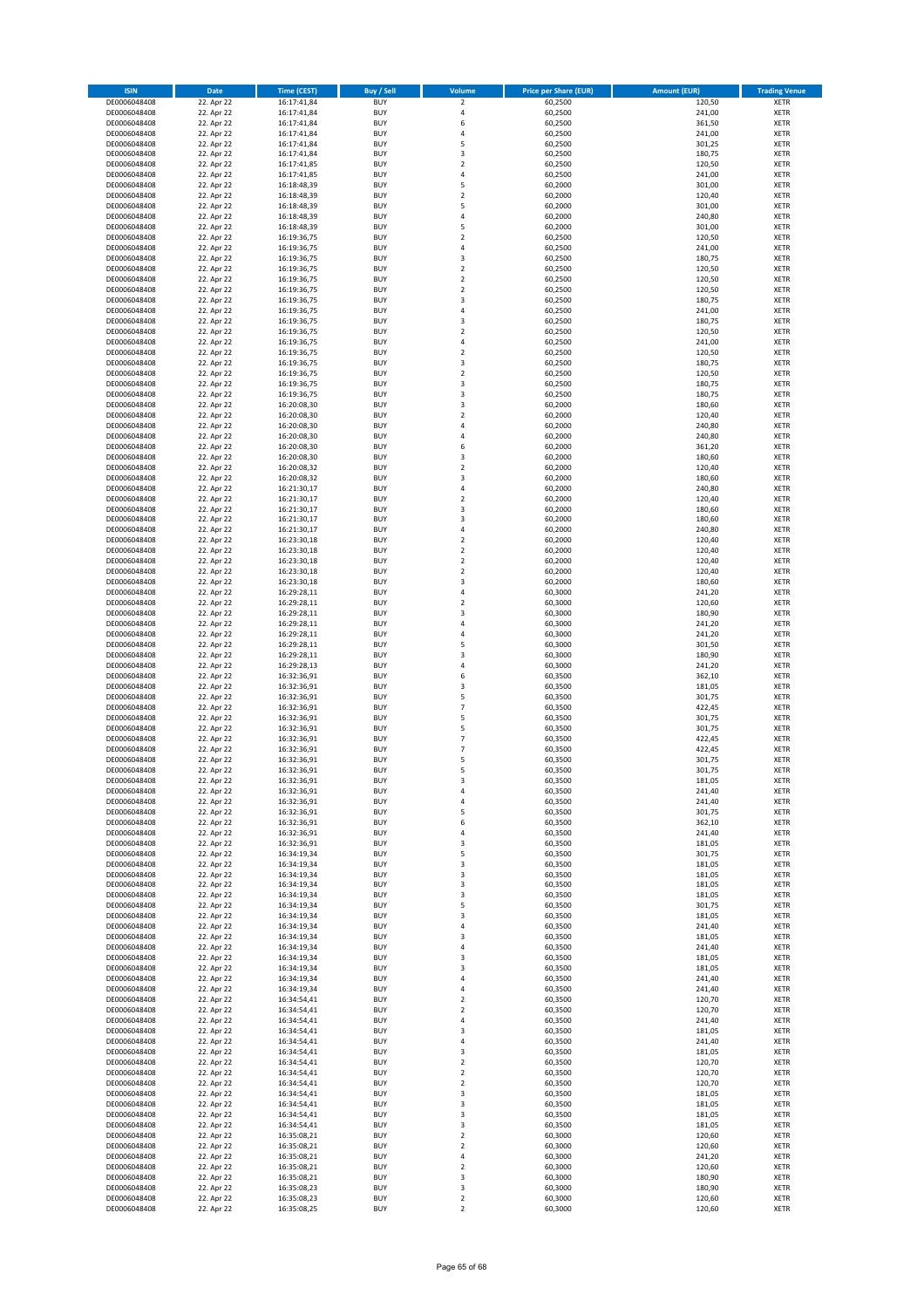| <b>ISIN</b>                  | <b>Date</b>              | <b>Time (CEST)</b>         | Buy / Sell               | Volume              | <b>Price per Share (EUR)</b> | <b>Amount (EUR)</b> | <b>Trading Venue</b>       |
|------------------------------|--------------------------|----------------------------|--------------------------|---------------------|------------------------------|---------------------|----------------------------|
| DE0006048408                 | 22. Apr 22               | 16:17:41,84                | <b>BUY</b>               | $\mathbf 2$         | 60,2500                      | 120,50              | XETR                       |
| DE0006048408                 | 22. Apr 22               | 16:17:41,84                | <b>BUY</b>               | 4                   | 60,2500                      | 241,00              | XETR                       |
| DE0006048408<br>DE0006048408 | 22. Apr 22<br>22. Apr 22 | 16:17:41,84<br>16:17:41,84 | <b>BUY</b><br><b>BUY</b> | 6<br>4              | 60,2500<br>60,2500           | 361,50<br>241,00    | XETR<br>XETR               |
| DE0006048408                 | 22. Apr 22               | 16:17:41,84                | <b>BUY</b>               | 5                   | 60,2500                      | 301,25              | XETR                       |
| DE0006048408                 | 22. Apr 22               | 16:17:41,84                | <b>BUY</b>               | 3                   | 60,2500                      | 180,75              | <b>XETR</b>                |
| DE0006048408                 | 22. Apr 22               | 16:17:41,85                | <b>BUY</b>               | $\mathbf 2$         | 60,2500                      | 120,50              | <b>XETR</b>                |
| DE0006048408                 | 22. Apr 22               | 16:17:41,85                | <b>BUY</b>               | $\overline{4}$      | 60,2500                      | 241,00              | <b>XETR</b>                |
| DE0006048408<br>DE0006048408 | 22. Apr 22<br>22. Apr 22 | 16:18:48,39<br>16:18:48,39 | <b>BUY</b><br><b>BUY</b> | 5<br>$\mathbf 2$    | 60,2000<br>60,2000           | 301,00<br>120,40    | <b>XETR</b><br><b>XETR</b> |
| DE0006048408                 | 22. Apr 22               | 16:18:48,39                | <b>BUY</b>               | 5                   | 60,2000                      | 301,00              | XETR                       |
| DE0006048408                 | 22. Apr 22               | 16:18:48,39                | <b>BUY</b>               | 4                   | 60,2000                      | 240,80              | <b>XETR</b>                |
| DE0006048408                 | 22. Apr 22               | 16:18:48,39                | <b>BUY</b>               | 5                   | 60,2000                      | 301,00              | XETR                       |
| DE0006048408                 | 22. Apr 22               | 16:19:36,75                | <b>BUY</b>               | $\mathbf 2$         | 60,2500                      | 120,50              | <b>XETR</b>                |
| DE0006048408                 | 22. Apr 22               | 16:19:36,75                | <b>BUY</b>               | 4                   | 60,2500                      | 241,00              | XETR                       |
| DE0006048408<br>DE0006048408 | 22. Apr 22<br>22. Apr 22 | 16:19:36,75<br>16:19:36,75 | <b>BUY</b><br><b>BUY</b> | 3<br>$\mathbf 2$    | 60,2500<br>60,2500           | 180,75<br>120,50    | <b>XETR</b><br>XETR        |
| DE0006048408                 | 22. Apr 22               | 16:19:36,75                | <b>BUY</b>               | $\mathbf 2$         | 60,2500                      | 120,50              | <b>XETR</b>                |
| DE0006048408                 | 22. Apr 22               | 16:19:36,75                | <b>BUY</b>               | $\mathbf 2$         | 60,2500                      | 120,50              | XETR                       |
| DE0006048408                 | 22. Apr 22               | 16:19:36,75                | <b>BUY</b>               | 3                   | 60,2500                      | 180,75              | <b>XETR</b>                |
| DE0006048408                 | 22. Apr 22<br>22. Apr 22 | 16:19:36,75                | <b>BUY</b><br><b>BUY</b> | 4<br>3              | 60,2500<br>60,2500           | 241,00<br>180,75    | XETR<br>XETR               |
| DE0006048408<br>DE0006048408 | 22. Apr 22               | 16:19:36,75<br>16:19:36,75 | <b>BUY</b>               | $\overline{2}$      | 60,2500                      | 120,50              | <b>XETR</b>                |
| DE0006048408                 | 22. Apr 22               | 16:19:36,75                | <b>BUY</b>               | 4                   | 60,2500                      | 241,00              | <b>XETR</b>                |
| DE0006048408                 | 22. Apr 22               | 16:19:36,75                | <b>BUY</b>               | $\mathbf 2$         | 60,2500                      | 120,50              | <b>XETR</b>                |
| DE0006048408                 | 22. Apr 22               | 16:19:36,75                | <b>BUY</b>               | 3                   | 60,2500                      | 180,75              | <b>XETR</b>                |
| DE0006048408                 | 22. Apr 22               | 16:19:36,75                | <b>BUY</b>               | $\mathbf 2$         | 60,2500                      | 120,50              | <b>XETR</b>                |
| DE0006048408<br>DE0006048408 | 22. Apr 22<br>22. Apr 22 | 16:19:36,75<br>16:19:36,75 | <b>BUY</b><br><b>BUY</b> | 3<br>3              | 60,2500<br>60,2500           | 180,75<br>180,75    | <b>XETR</b><br><b>XETR</b> |
| DE0006048408                 | 22. Apr 22               | 16:20:08,30                | <b>BUY</b>               | 3                   | 60,2000                      | 180,60              | <b>XETR</b>                |
| DE0006048408                 | 22. Apr 22               | 16:20:08,30                | <b>BUY</b>               | $\mathbf 2$         | 60,2000                      | 120,40              | <b>XETR</b>                |
| DE0006048408                 | 22. Apr 22               | 16:20:08,30                | <b>BUY</b>               | 4                   | 60,2000                      | 240,80              | <b>XETR</b>                |
| DE0006048408                 | 22. Apr 22               | 16:20:08,30                | <b>BUY</b>               | 4                   | 60,2000                      | 240,80              | <b>XETR</b>                |
| DE0006048408<br>DE0006048408 | 22. Apr 22<br>22. Apr 22 | 16:20:08,30<br>16:20:08,30 | <b>BUY</b><br><b>BUY</b> | 6<br>3              | 60,2000<br>60,2000           | 361,20<br>180,60    | XETR<br><b>XETR</b>        |
| DE0006048408                 | 22. Apr 22               | 16:20:08,32                | <b>BUY</b>               | $\mathbf 2$         | 60,2000                      | 120,40              | XETR                       |
| DE0006048408                 | 22. Apr 22               | 16:20:08,32                | <b>BUY</b>               | 3                   | 60,2000                      | 180,60              | <b>XETR</b>                |
| DE0006048408                 | 22. Apr 22               | 16:21:30,17                | <b>BUY</b>               | 4                   | 60,2000                      | 240,80              | XETR                       |
| DE0006048408                 | 22. Apr 22               | 16:21:30,17                | <b>BUY</b>               | $\mathbf 2$         | 60,2000                      | 120,40              | <b>XETR</b>                |
| DE0006048408<br>DE0006048408 | 22. Apr 22<br>22. Apr 22 | 16:21:30,17                | <b>BUY</b><br><b>BUY</b> | 3<br>3              | 60,2000                      | 180,60              | <b>XETR</b><br><b>XETR</b> |
| DE0006048408                 | 22. Apr 22               | 16:21:30,17<br>16:21:30,17 | <b>BUY</b>               | 4                   | 60,2000<br>60,2000           | 180,60<br>240,80    | <b>XETR</b>                |
| DE0006048408                 | 22. Apr 22               | 16:23:30,18                | <b>BUY</b>               | $\mathbf 2$         | 60,2000                      | 120,40              | <b>XETR</b>                |
| DE0006048408                 | 22. Apr 22               | 16:23:30,18                | <b>BUY</b>               | $\mathbf 2$         | 60,2000                      | 120,40              | <b>XETR</b>                |
| DE0006048408                 | 22. Apr 22               | 16:23:30,18                | <b>BUY</b>               | $\mathbf 2$         | 60,2000                      | 120,40              | <b>XETR</b>                |
| DE0006048408                 | 22. Apr 22               | 16:23:30,18                | <b>BUY</b>               | $\mathbf 2$         | 60,2000                      | 120,40              | XETR                       |
| DE0006048408<br>DE0006048408 | 22. Apr 22<br>22. Apr 22 | 16:23:30,18                | <b>BUY</b><br><b>BUY</b> | 3<br>$\overline{4}$ | 60,2000<br>60,3000           | 180,60              | XETR<br><b>XETR</b>        |
| DE0006048408                 | 22. Apr 22               | 16:29:28,11<br>16:29:28,11 | <b>BUY</b>               | $\mathbf 2$         | 60,3000                      | 241,20<br>120,60    | <b>XETR</b>                |
| DE0006048408                 | 22. Apr 22               | 16:29:28,11                | <b>BUY</b>               | 3                   | 60,3000                      | 180,90              | XETR                       |
| DE0006048408                 | 22. Apr 22               | 16:29:28,11                | <b>BUY</b>               | 4                   | 60,3000                      | 241,20              | <b>XETR</b>                |
| DE0006048408                 | 22. Apr 22               | 16:29:28,11                | <b>BUY</b>               | $\overline{4}$      | 60,3000                      | 241,20              | <b>XETR</b>                |
| DE0006048408                 | 22. Apr 22               | 16:29:28,11                | <b>BUY</b>               | 5                   | 60,3000                      | 301,50              | <b>XETR</b>                |
| DE0006048408<br>DE0006048408 | 22. Apr 22<br>22. Apr 22 | 16:29:28,11<br>16:29:28,13 | <b>BUY</b><br><b>BUY</b> | 3<br>4              | 60,3000<br>60,3000           | 180,90<br>241,20    | XETR<br>XETR               |
| DE0006048408                 | 22. Apr 22               | 16:32:36,91                | <b>BUY</b>               | 6                   | 60,3500                      | 362,10              | <b>XETR</b>                |
| DE0006048408                 | 22. Apr 22               | 16:32:36,91                | <b>BUY</b>               | 3                   | 60,3500                      | 181,05              | <b>XETR</b>                |
| DE0006048408                 | 22. Apr 22               | 16:32:36,91                | <b>BUY</b>               | 5                   | 60,3500                      | 301,75              | <b>XETR</b>                |
| DE0006048408                 | 22. Apr 22               | 16:32:36,91                | <b>BUY</b>               | $\overline{7}$      | 60,3500                      | 422,45              | XETR                       |
| DE0006048408                 | 22. Apr 22               | 16:32:36,91                | <b>BUY</b>               | 5                   | 60,3500                      | 301,75              | <b>XETR</b>                |
| DE0006048408<br>DE0006048408 | 22. Apr 22<br>22. Apr 22 | 16:32:36,91<br>16:32:36,91 | <b>BUY</b><br><b>BUY</b> | 5<br>$\overline{7}$ | 60,3500<br>60,3500           | 301,75<br>422,45    | XETR<br><b>XETR</b>        |
| DE0006048408                 | 22. Apr 22               | 16:32:36,91                | <b>BUY</b>               | $\overline{7}$      | 60,3500                      | 422,45              | XETR                       |
| DE0006048408                 | 22. Apr 22               | 16:32:36,91                | <b>BUY</b>               | 5                   | 60,3500                      | 301,75              | <b>XETR</b>                |
| DE0006048408                 | 22. Apr 22               | 16:32:36,91                | <b>BUY</b>               | 5                   | 60,3500                      | 301,75              | XETR                       |
| DE0006048408                 | 22. Apr 22               | 16:32:36,91                | <b>BUY</b>               | 3                   | 60,3500                      | 181,05              | XETR                       |
| DE0006048408<br>DE0006048408 | 22. Apr 22<br>22. Apr 22 | 16:32:36,91<br>16:32:36,91 | <b>BUY</b><br><b>BUY</b> | 4<br>4              | 60,3500<br>60,3500           | 241,40<br>241,40    | XETR<br>XETR               |
| DE0006048408                 | 22. Apr 22               | 16:32:36,91                | <b>BUY</b>               | 5                   | 60,3500                      | 301,75              | <b>XETR</b>                |
| DE0006048408                 | 22. Apr 22               | 16:32:36,91                | <b>BUY</b>               | 6                   | 60,3500                      | 362,10              | <b>XETR</b>                |
| DE0006048408                 | 22. Apr 22               | 16:32:36,91                | <b>BUY</b>               | 4                   | 60,3500                      | 241,40              | XETR                       |
| DE0006048408                 | 22. Apr 22               | 16:32:36,91                | <b>BUY</b>               | 3                   | 60,3500                      | 181,05              | <b>XETR</b>                |
| DE0006048408<br>DE0006048408 | 22. Apr 22<br>22. Apr 22 | 16:34:19,34<br>16:34:19,34 | <b>BUY</b><br><b>BUY</b> | 5<br>3              | 60,3500<br>60,3500           | 301,75<br>181,05    | XETR<br><b>XETR</b>        |
| DE0006048408                 | 22. Apr 22               | 16:34:19,34                | <b>BUY</b>               | 3                   | 60,3500                      | 181,05              | XETR                       |
| DE0006048408                 | 22. Apr 22               | 16:34:19,34                | <b>BUY</b>               | 3                   | 60,3500                      | 181,05              | <b>XETR</b>                |
| DE0006048408                 | 22. Apr 22               | 16:34:19,34                | <b>BUY</b>               | 3                   | 60,3500                      | 181,05              | XETR                       |
| DE0006048408                 | 22. Apr 22               | 16:34:19,34                | <b>BUY</b>               | 5                   | 60,3500                      | 301,75              | <b>XETR</b>                |
| DE0006048408                 | 22. Apr 22<br>22. Apr 22 | 16:34:19,34                | <b>BUY</b><br><b>BUY</b> | 3                   | 60,3500                      | 181,05<br>241,40    | XETR                       |
| DE0006048408<br>DE0006048408 | 22. Apr 22               | 16:34:19,34<br>16:34:19,34 | <b>BUY</b>               | 4<br>3              | 60,3500<br>60,3500           | 181,05              | <b>XETR</b><br>XETR        |
| DE0006048408                 | 22. Apr 22               | 16:34:19,34                | <b>BUY</b>               | 4                   | 60,3500                      | 241,40              | <b>XETR</b>                |
| DE0006048408                 | 22. Apr 22               | 16:34:19,34                | <b>BUY</b>               | 3                   | 60,3500                      | 181,05              | <b>XETR</b>                |
| DE0006048408                 | 22. Apr 22               | 16:34:19,34                | <b>BUY</b>               | 3                   | 60,3500                      | 181,05              | <b>XETR</b>                |
| DE0006048408                 | 22. Apr 22               | 16:34:19,34                | <b>BUY</b>               | 4                   | 60,3500                      | 241,40              | XETR                       |
| DE0006048408<br>DE0006048408 | 22. Apr 22<br>22. Apr 22 | 16:34:19,34<br>16:34:54,41 | <b>BUY</b><br><b>BUY</b> | 4<br>2              | 60,3500<br>60,3500           | 241,40<br>120,70    | <b>XETR</b><br><b>XETR</b> |
| DE0006048408                 | 22. Apr 22               | 16:34:54,41                | <b>BUY</b>               | 2                   | 60,3500                      | 120,70              | XETR                       |
| DE0006048408                 | 22. Apr 22               | 16:34:54,41                | <b>BUY</b>               | 4                   | 60,3500                      | 241,40              | XETR                       |
| DE0006048408                 | 22. Apr 22               | 16:34:54,41                | <b>BUY</b>               | 3                   | 60,3500                      | 181,05              | XETR                       |
| DE0006048408                 | 22. Apr 22               | 16:34:54,41                | <b>BUY</b>               | 4                   | 60,3500                      | 241,40              | <b>XETR</b>                |
| DE0006048408<br>DE0006048408 | 22. Apr 22<br>22. Apr 22 | 16:34:54,41<br>16:34:54,41 | <b>BUY</b><br><b>BUY</b> | 3<br>$\mathbf 2$    | 60,3500<br>60,3500           | 181,05<br>120,70    | XETR<br><b>XETR</b>        |
| DE0006048408                 | 22. Apr 22               | 16:34:54,41                | <b>BUY</b>               | $\mathbf 2$         | 60,3500                      | 120,70              | XETR                       |
| DE0006048408                 | 22. Apr 22               | 16:34:54,41                | <b>BUY</b>               | $\mathbf 2$         | 60,3500                      | 120,70              | <b>XETR</b>                |
| DE0006048408                 | 22. Apr 22               | 16:34:54,41                | <b>BUY</b>               | 3                   | 60,3500                      | 181,05              | XETR                       |
| DE0006048408                 | 22. Apr 22               | 16:34:54,41                | <b>BUY</b>               | 3                   | 60,3500                      | 181,05              | <b>XETR</b>                |
| DE0006048408                 | 22. Apr 22               | 16:34:54,41                | <b>BUY</b>               | 3                   | 60,3500                      | 181,05              | XETR                       |
| DE0006048408<br>DE0006048408 | 22. Apr 22<br>22. Apr 22 | 16:34:54,41<br>16:35:08,21 | <b>BUY</b><br><b>BUY</b> | 3<br>2              | 60,3500<br>60,3000           | 181,05<br>120,60    | <b>XETR</b><br><b>XETR</b> |
| DE0006048408                 | 22. Apr 22               | 16:35:08,21                | <b>BUY</b>               | 2                   | 60,3000                      | 120,60              | <b>XETR</b>                |
| DE0006048408                 | 22. Apr 22               | 16:35:08,21                | <b>BUY</b>               | 4                   | 60,3000                      | 241,20              | XETR                       |
| DE0006048408                 | 22. Apr 22               | 16:35:08,21                | <b>BUY</b>               | $\mathbf 2$         | 60,3000                      | 120,60              | <b>XETR</b>                |
| DE0006048408                 | 22. Apr 22               | 16:35:08,21                | <b>BUY</b>               | 3                   | 60,3000                      | 180,90              | XETR                       |
| DE0006048408<br>DE0006048408 | 22. Apr 22<br>22. Apr 22 | 16:35:08,23<br>16:35:08,23 | <b>BUY</b><br><b>BUY</b> | 3<br>$\mathbf 2$    | 60,3000<br>60,3000           | 180,90<br>120,60    | <b>XETR</b><br>XETR        |
| DE0006048408                 | 22. Apr 22               | 16:35:08,25                | <b>BUY</b>               | $\mathbf 2$         | 60,3000                      | 120,60              | XETR                       |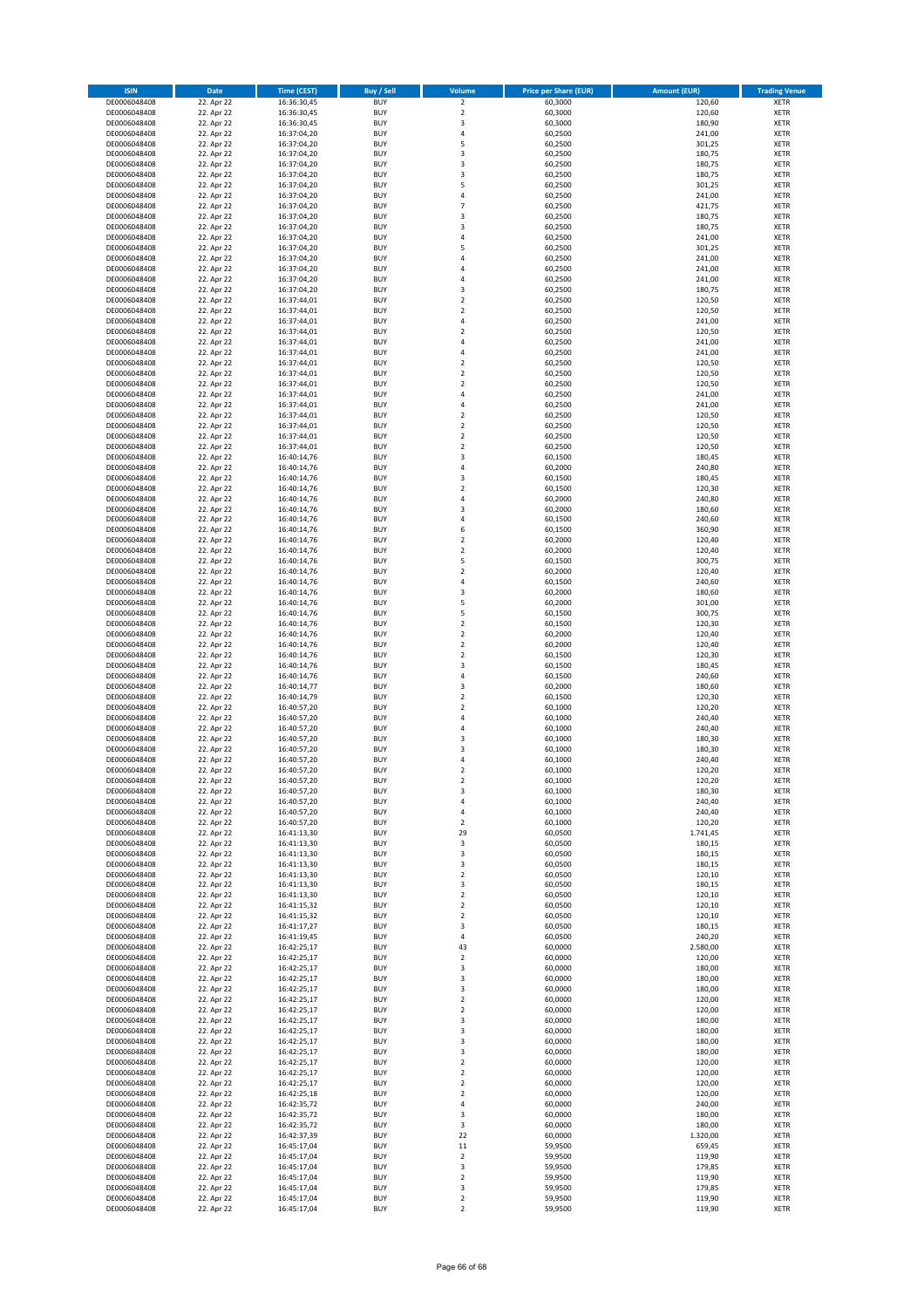| <b>ISIN</b>                  | <b>Date</b>              | <b>Time (CEST)</b>         | Buy / Sell               | Volume                       | <b>Price per Share (EUR)</b> | <b>Amount (EUR)</b> | <b>Trading Venue</b>       |
|------------------------------|--------------------------|----------------------------|--------------------------|------------------------------|------------------------------|---------------------|----------------------------|
| DE0006048408                 | 22. Apr 22               | 16:36:30,45                | <b>BUY</b>               | $\overline{\mathbf{c}}$      | 60,3000                      | 120,60              | XETR                       |
| DE0006048408                 | 22. Apr 22               | 16:36:30,45                | <b>BUY</b>               | $\mathbf 2$                  | 60,3000                      | 120,60              | XETR                       |
| DE0006048408<br>DE0006048408 | 22. Apr 22<br>22. Apr 22 | 16:36:30,45<br>16:37:04,20 | <b>BUY</b><br><b>BUY</b> | 3<br>4                       | 60,3000<br>60,2500           | 180,90<br>241,00    | XETR<br>XETR               |
| DE0006048408                 | 22. Apr 22               | 16:37:04,20                | <b>BUY</b>               | 5                            | 60,2500                      | 301,25              | XETR                       |
| DE0006048408                 | 22. Apr 22               | 16:37:04,20                | <b>BUY</b>               | 3                            | 60,2500                      | 180,75              | <b>XETR</b>                |
| DE0006048408                 | 22. Apr 22               | 16:37:04,20                | <b>BUY</b>               | 3                            | 60,2500                      | 180,75              | <b>XETR</b>                |
| DE0006048408                 | 22. Apr 22               | 16:37:04,20                | <b>BUY</b>               | 3                            | 60,2500                      | 180,75              | <b>XETR</b>                |
| DE0006048408<br>DE0006048408 | 22. Apr 22<br>22. Apr 22 | 16:37:04,20                | <b>BUY</b><br><b>BUY</b> | 5<br>4                       | 60,2500<br>60,2500           | 301,25<br>241,00    | <b>XETR</b><br><b>XETR</b> |
| DE0006048408                 | 22. Apr 22               | 16:37:04,20<br>16:37:04,20 | <b>BUY</b>               | $\overline{7}$               | 60,2500                      | 421,75              | XETR                       |
| DE0006048408                 | 22. Apr 22               | 16:37:04,20                | <b>BUY</b>               | $\overline{\mathbf{3}}$      | 60,2500                      | 180,75              | <b>XETR</b>                |
| DE0006048408                 | 22. Apr 22               | 16:37:04,20                | <b>BUY</b>               | 3                            | 60,2500                      | 180,75              | XETR                       |
| DE0006048408                 | 22. Apr 22               | 16:37:04,20                | <b>BUY</b>               | 4                            | 60,2500                      | 241,00              | <b>XETR</b>                |
| DE0006048408                 | 22. Apr 22               | 16:37:04,20                | <b>BUY</b>               | 5                            | 60,2500                      | 301,25              | XETR                       |
| DE0006048408<br>DE0006048408 | 22. Apr 22<br>22. Apr 22 | 16:37:04,20<br>16:37:04,20 | <b>BUY</b><br><b>BUY</b> | 4<br>4                       | 60,2500<br>60,2500           | 241,00<br>241,00    | <b>XETR</b><br>XETR        |
| DE0006048408                 | 22. Apr 22               | 16:37:04,20                | <b>BUY</b>               | 4                            | 60,2500                      | 241,00              | <b>XETR</b>                |
| DE0006048408                 | 22. Apr 22               | 16:37:04,20                | <b>BUY</b>               | 3                            | 60,2500                      | 180,75              | XETR                       |
| DE0006048408                 | 22. Apr 22               | 16:37:44,01                | <b>BUY</b>               | $\overline{\mathbf{c}}$      | 60,2500                      | 120,50              | <b>XETR</b>                |
| DE0006048408                 | 22. Apr 22               | 16:37:44,01                | <b>BUY</b>               | $\overline{\mathbf{c}}$      | 60,2500                      | 120,50              | XETR                       |
| DE0006048408<br>DE0006048408 | 22. Apr 22<br>22. Apr 22 | 16:37:44,01<br>16:37:44,01 | <b>BUY</b><br><b>BUY</b> | 4<br>$\overline{2}$          | 60,2500<br>60,2500           | 241,00<br>120,50    | XETR<br><b>XETR</b>        |
| DE0006048408                 | 22. Apr 22               | 16:37:44,01                | <b>BUY</b>               | 4                            | 60,2500                      | 241,00              | <b>XETR</b>                |
| DE0006048408                 | 22. Apr 22               | 16:37:44,01                | <b>BUY</b>               | 4                            | 60,2500                      | 241,00              | <b>XETR</b>                |
| DE0006048408                 | 22. Apr 22               | 16:37:44,01                | <b>BUY</b>               | $\overline{\mathbf{c}}$      | 60,2500                      | 120,50              | XETR                       |
| DE0006048408                 | 22. Apr 22               | 16:37:44,01                | <b>BUY</b>               | $\overline{\mathbf{c}}$      | 60,2500                      | 120,50              | <b>XETR</b>                |
| DE0006048408<br>DE0006048408 | 22. Apr 22<br>22. Apr 22 | 16:37:44,01<br>16:37:44,01 | <b>BUY</b><br><b>BUY</b> | $\overline{\mathbf{c}}$<br>4 | 60,2500<br>60,2500           | 120,50<br>241,00    | <b>XETR</b><br><b>XETR</b> |
| DE0006048408                 | 22. Apr 22               | 16:37:44,01                | <b>BUY</b>               | 4                            | 60,2500                      | 241,00              | <b>XETR</b>                |
| DE0006048408                 | 22. Apr 22               | 16:37:44,01                | <b>BUY</b>               | $\mathbf 2$                  | 60,2500                      | 120,50              | <b>XETR</b>                |
| DE0006048408                 | 22. Apr 22               | 16:37:44,01                | <b>BUY</b>               | $\mathbf 2$                  | 60,2500                      | 120,50              | <b>XETR</b>                |
| DE0006048408                 | 22. Apr 22               | 16:37:44,01                | <b>BUY</b>               | $\overline{\mathbf{c}}$      | 60,2500                      | 120,50              | <b>XETR</b>                |
| DE0006048408                 | 22. Apr 22<br>22. Apr 22 | 16:37:44,01                | <b>BUY</b>               | $\mathbf 2$                  | 60,2500                      | 120,50              | XETR                       |
| DE0006048408<br>DE0006048408 | 22. Apr 22               | 16:40:14,76<br>16:40:14,76 | <b>BUY</b><br><b>BUY</b> | 3<br>4                       | 60,1500<br>60,2000           | 180,45<br>240,80    | <b>XETR</b><br>XETR        |
| DE0006048408                 | 22. Apr 22               | 16:40:14,76                | <b>BUY</b>               | 3                            | 60,1500                      | 180,45              | <b>XETR</b>                |
| DE0006048408                 | 22. Apr 22               | 16:40:14,76                | <b>BUY</b>               | $\mathbf 2$                  | 60,1500                      | 120,30              | XETR                       |
| DE0006048408                 | 22. Apr 22               | 16:40:14,76                | <b>BUY</b>               | 4                            | 60,2000                      | 240,80              | <b>XETR</b>                |
| DE0006048408                 | 22. Apr 22               | 16:40:14,76                | <b>BUY</b>               | $\overline{\mathbf{3}}$      | 60,2000                      | 180,60              | <b>XETR</b>                |
| DE0006048408                 | 22. Apr 22               | 16:40:14,76                | <b>BUY</b>               | $\overline{4}$               | 60,1500                      | 240,60              | <b>XETR</b>                |
| DE0006048408<br>DE0006048408 | 22. Apr 22<br>22. Apr 22 | 16:40:14,76<br>16:40:14,76 | <b>BUY</b><br><b>BUY</b> | 6<br>$\overline{\mathbf{c}}$ | 60,1500<br>60,2000           | 360,90<br>120,40    | <b>XETR</b><br><b>XETR</b> |
| DE0006048408                 | 22. Apr 22               | 16:40:14,76                | <b>BUY</b>               | $\overline{\mathbf{c}}$      | 60,2000                      | 120,40              | XETR                       |
| DE0006048408                 | 22. Apr 22               | 16:40:14,76                | <b>BUY</b>               | 5                            | 60,1500                      | 300,75              | <b>XETR</b>                |
| DE0006048408                 | 22. Apr 22               | 16:40:14,76                | <b>BUY</b>               | $\mathbf 2$                  | 60,2000                      | 120,40              | XETR                       |
| DE0006048408                 | 22. Apr 22               | 16:40:14,76                | <b>BUY</b>               | 4                            | 60,1500                      | 240,60              | XETR                       |
| DE0006048408<br>DE0006048408 | 22. Apr 22<br>22. Apr 22 | 16:40:14,76<br>16:40:14,76 | <b>BUY</b><br><b>BUY</b> | 3<br>5                       | 60,2000<br>60,2000           | 180,60<br>301,00    | <b>XETR</b><br><b>XETR</b> |
| DE0006048408                 | 22. Apr 22               | 16:40:14,76                | <b>BUY</b>               | 5                            | 60,1500                      | 300,75              | XETR                       |
| DE0006048408                 | 22. Apr 22               | 16:40:14,76                | <b>BUY</b>               | $\mathbf 2$                  | 60,1500                      | 120,30              | <b>XETR</b>                |
| DE0006048408                 | 22. Apr 22               | 16:40:14,76                | <b>BUY</b>               | $\overline{\mathbf{c}}$      | 60,2000                      | 120,40              | <b>XETR</b>                |
| DE0006048408                 | 22. Apr 22               | 16:40:14,76                | <b>BUY</b>               | $\mathbf 2$                  | 60,2000                      | 120,40              | <b>XETR</b>                |
| DE0006048408                 | 22. Apr 22               | 16:40:14,76                | <b>BUY</b>               | $\mathbf 2$                  | 60,1500                      | 120,30              | XETR                       |
| DE0006048408<br>DE0006048408 | 22. Apr 22<br>22. Apr 22 | 16:40:14,76<br>16:40:14,76 | <b>BUY</b><br><b>BUY</b> | 3<br>$\overline{4}$          | 60,1500<br>60,1500           | 180,45<br>240,60    | XETR<br><b>XETR</b>        |
| DE0006048408                 | 22. Apr 22               | 16:40:14,77                | <b>BUY</b>               | 3                            | 60,2000                      | 180,60              | <b>XETR</b>                |
| DE0006048408                 | 22. Apr 22               | 16:40:14,79                | <b>BUY</b>               | $\overline{\mathbf{c}}$      | 60,1500                      | 120,30              | <b>XETR</b>                |
| DE0006048408                 | 22. Apr 22               | 16:40:57,20                | <b>BUY</b>               | $\overline{\mathbf{c}}$      | 60,1000                      | 120,20              | XETR                       |
| DE0006048408                 | 22. Apr 22               | 16:40:57,20                | <b>BUY</b>               | 4                            | 60,1000                      | 240,40              | <b>XETR</b>                |
| DE0006048408<br>DE0006048408 | 22. Apr 22<br>22. Apr 22 | 16:40:57,20                | <b>BUY</b><br><b>BUY</b> | 4<br>3                       | 60,1000<br>60,1000           | 240,40<br>180,30    | XETR<br><b>XETR</b>        |
| DE0006048408                 | 22. Apr 22               | 16:40:57,20<br>16:40:57,20 | <b>BUY</b>               | 3                            | 60,1000                      | 180,30              | XETR                       |
| DE0006048408                 | 22. Apr 22               | 16:40:57,20                | <b>BUY</b>               | 4                            | 60,1000                      | 240,40              | <b>XETR</b>                |
| DE0006048408                 | 22. Apr 22               | 16:40:57,20                | <b>BUY</b>               | $\overline{\mathbf{2}}$      | 60,1000                      | 120,20              | XETR                       |
| DE0006048408                 | 22. Apr 22               | 16:40:57,20                | <b>BUY</b>               | 2                            | 60,1000                      | 120,20              | XETR                       |
| DE0006048408                 | 22. Apr 22               | 16:40:57,20                | <b>BUY</b><br><b>BUY</b> | 3                            | 60,1000                      | 180,30              | XETR                       |
| DE0006048408<br>DE0006048408 | 22. Apr 22<br>22. Apr 22 | 16:40:57,20<br>16:40:57,20 | <b>BUY</b>               | 4<br>4                       | 60,1000<br>60,1000           | 240,40<br>240,40    | XETR<br>XETR               |
| DE0006048408                 | 22. Apr 22               | 16:40:57,20                | <b>BUY</b>               | $\overline{2}$               | 60,1000                      | 120,20              | <b>XETR</b>                |
| DE0006048408                 | 22. Apr 22               | 16:41:13,30                | <b>BUY</b>               | 29                           | 60,0500                      | 1.741,45            | XETR                       |
| DE0006048408                 | 22. Apr 22               | 16:41:13,30                | <b>BUY</b>               | 3                            | 60,0500                      | 180,15              | <b>XETR</b>                |
| DE0006048408                 | 22. Apr 22               | 16:41:13,30<br>16:41:13,30 | <b>BUY</b>               | 3                            | 60,0500                      | 180,15              | XETR                       |
| DE0006048408<br>DE0006048408 | 22. Apr 22<br>22. Apr 22 | 16:41:13,30                | <b>BUY</b><br><b>BUY</b> | 3<br>$\mathbf 2$             | 60,0500<br>60,0500           | 180,15<br>120,10    | <b>XETR</b><br>XETR        |
| DE0006048408                 | 22. Apr 22               | 16:41:13,30                | <b>BUY</b>               | 3                            | 60,0500                      | 180,15              | <b>XETR</b>                |
| DE0006048408                 | 22. Apr 22               | 16:41:13,30                | <b>BUY</b>               | $\mathbf 2$                  | 60,0500                      | 120,10              | XETR                       |
| DE0006048408                 | 22. Apr 22               | 16:41:15,32                | <b>BUY</b>               | $\mathbf 2$                  | 60,0500                      | 120,10              | <b>XETR</b>                |
| DE0006048408                 | 22. Apr 22               | 16:41:15,32                | <b>BUY</b>               | $\mathbf 2$                  | 60,0500                      | 120,10              | XETR                       |
| DE0006048408<br>DE0006048408 | 22. Apr 22<br>22. Apr 22 | 16:41:17,27<br>16:41:19,45 | <b>BUY</b><br><b>BUY</b> | 3<br>4                       | 60,0500<br>60,0500           | 180,15<br>240,20    | <b>XETR</b><br>XETR        |
| DE0006048408                 | 22. Apr 22               | 16:42:25,17                | <b>BUY</b>               | 43                           | 60,0000                      | 2.580,00            | <b>XETR</b>                |
| DE0006048408                 | 22. Apr 22               | 16:42:25,17                | <b>BUY</b>               | 2                            | 60,0000                      | 120,00              | <b>XETR</b>                |
| DE0006048408                 | 22. Apr 22               | 16:42:25,17                | <b>BUY</b>               | 3                            | 60,0000                      | 180,00              | <b>XETR</b>                |
| DE0006048408                 | 22. Apr 22               | 16:42:25,17                | <b>BUY</b>               | 3                            | 60,0000                      | 180,00              | XETR                       |
| DE0006048408                 | 22. Apr 22               | 16:42:25,17                | <b>BUY</b>               | 3                            | 60,0000                      | 180,00              | <b>XETR</b>                |
| DE0006048408<br>DE0006048408 | 22. Apr 22<br>22. Apr 22 | 16:42:25,17<br>16:42:25,17 | <b>BUY</b><br><b>BUY</b> | $\mathbf 2$<br>2             | 60,0000<br>60,0000           | 120,00<br>120,00    | <b>XETR</b><br>XETR        |
| DE0006048408                 | 22. Apr 22               | 16:42:25,17                | <b>BUY</b>               | 3                            | 60,0000                      | 180,00              | <b>XETR</b>                |
| DE0006048408                 | 22. Apr 22               | 16:42:25,17                | <b>BUY</b>               | 3                            | 60,0000                      | 180,00              | XETR                       |
| DE0006048408                 | 22. Apr 22               | 16:42:25,17                | <b>BUY</b>               | 3                            | 60,0000                      | 180,00              | <b>XETR</b>                |
| DE0006048408                 | 22. Apr 22               | 16:42:25,17                | <b>BUY</b>               | 3                            | 60,0000                      | 180,00              | XETR                       |
| DE0006048408                 | 22. Apr 22               | 16:42:25,17                | <b>BUY</b>               | $\mathbf 2$                  | 60,0000<br>60,0000           | 120,00              | <b>XETR</b>                |
| DE0006048408<br>DE0006048408 | 22. Apr 22<br>22. Apr 22 | 16:42:25,17<br>16:42:25,17 | <b>BUY</b><br><b>BUY</b> | $\mathbf 2$<br>$\mathbf 2$   | 60,0000                      | 120,00<br>120,00    | XETR<br><b>XETR</b>        |
| DE0006048408                 | 22. Apr 22               | 16:42:25,18                | <b>BUY</b>               | 2                            | 60,0000                      | 120,00              | XETR                       |
| DE0006048408                 | 22. Apr 22               | 16:42:35,72                | <b>BUY</b>               | 4                            | 60,0000                      | 240,00              | <b>XETR</b>                |
| DE0006048408                 | 22. Apr 22               | 16:42:35,72                | <b>BUY</b>               | 3                            | 60,0000                      | 180,00              | XETR                       |
| DE0006048408                 | 22. Apr 22               | 16:42:35,72                | <b>BUY</b>               | 3                            | 60,0000                      | 180,00              | <b>XETR</b>                |
| DE0006048408<br>DE0006048408 | 22. Apr 22<br>22. Apr 22 | 16:42:37,39<br>16:45:17,04 | <b>BUY</b><br><b>BUY</b> | 22<br>11                     | 60,0000<br>59,9500           | 1.320,00<br>659,45  | <b>XETR</b><br><b>XETR</b> |
| DE0006048408                 | 22. Apr 22               | 16:45:17,04                | <b>BUY</b>               | $\boldsymbol{2}$             | 59,9500                      | 119,90              | XETR                       |
| DE0006048408                 | 22. Apr 22               | 16:45:17,04                | <b>BUY</b>               | 3                            | 59,9500                      | 179,85              | <b>XETR</b>                |
| DE0006048408                 | 22. Apr 22               | 16:45:17,04                | <b>BUY</b>               | $\mathbf 2$                  | 59,9500                      | 119,90              | XETR                       |
| DE0006048408                 | 22. Apr 22<br>22. Apr 22 | 16:45:17,04<br>16:45:17,04 | <b>BUY</b>               | 3                            | 59,9500                      | 179,85              | XETR                       |
| DE0006048408                 |                          |                            | <b>BUY</b>               | $\mathbf 2$                  | 59,9500                      | 119,90              | XETR                       |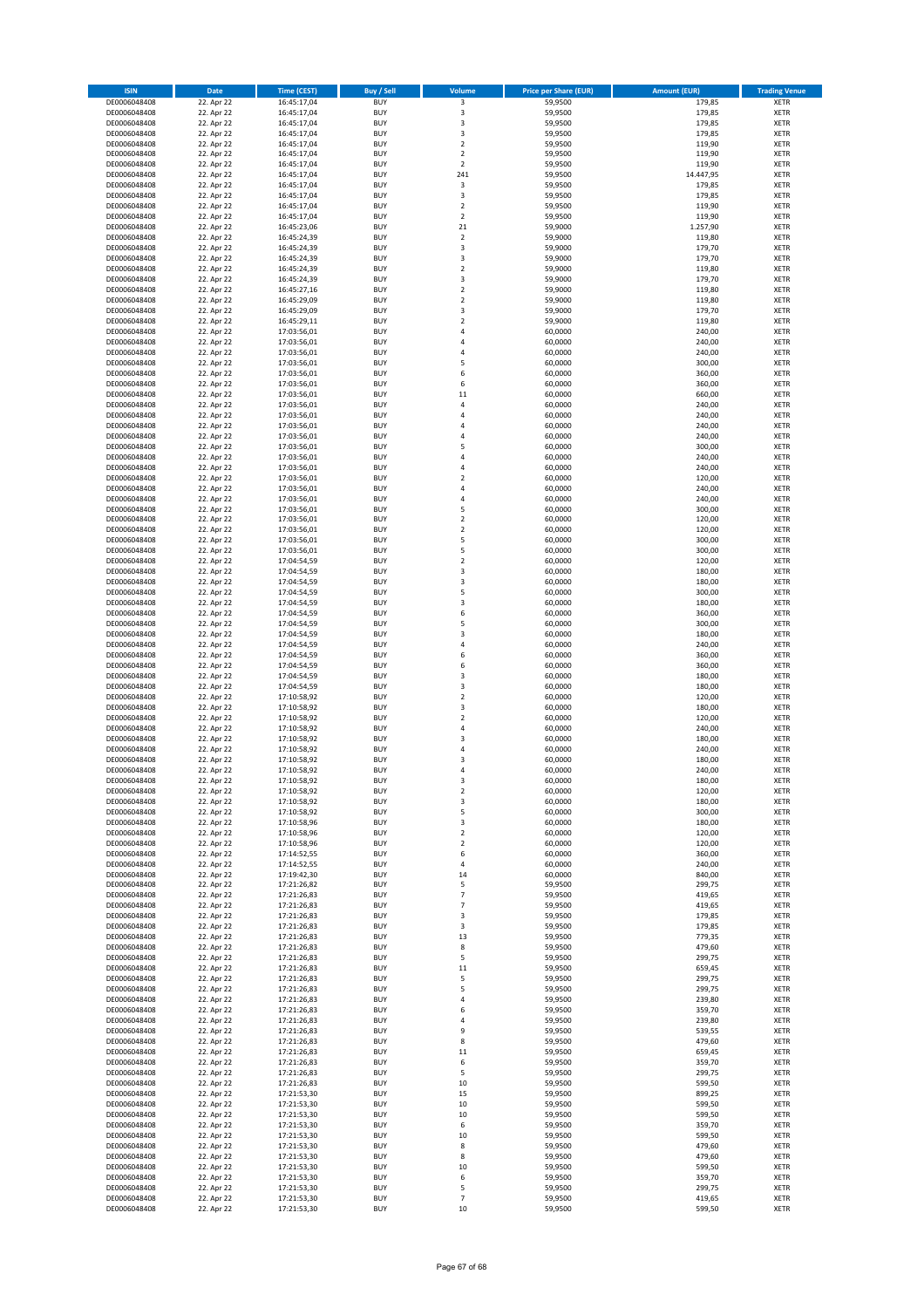| <b>ISIN</b>                  | <b>Date</b>              | <b>Time (CEST)</b>         | Buy / Sell               | Volume              | <b>Price per Share (EUR)</b> | <b>Amount (EUR)</b> | <b>Trading Venue</b>       |
|------------------------------|--------------------------|----------------------------|--------------------------|---------------------|------------------------------|---------------------|----------------------------|
| DE0006048408                 | 22. Apr 22               | 16:45:17,04                | <b>BUY</b>               | 3                   | 59,9500                      | 179,85              | XETR                       |
| DE0006048408<br>DE0006048408 | 22. Apr 22<br>22. Apr 22 | 16:45:17,04<br>16:45:17,04 | <b>BUY</b><br><b>BUY</b> | 3<br>3              | 59,9500<br>59,9500           | 179,85<br>179,85    | XETR<br>XETR               |
| DE0006048408                 | 22. Apr 22               | 16:45:17,04                | <b>BUY</b>               | 3                   | 59,9500                      | 179,85              | XETR                       |
| DE0006048408                 | 22. Apr 22               | 16:45:17,04                | <b>BUY</b>               | $\mathbf 2$         | 59,9500                      | 119,90              | XETR                       |
| DE0006048408                 | 22. Apr 22               | 16:45:17,04                | <b>BUY</b>               | $\mathbf 2$         | 59,9500                      | 119,90              | <b>XETR</b>                |
| DE0006048408                 | 22. Apr 22               | 16:45:17,04                | <b>BUY</b>               | $\mathbf 2$         | 59,9500                      | 119,90              | <b>XETR</b>                |
| DE0006048408<br>DE0006048408 | 22. Apr 22<br>22. Apr 22 | 16:45:17,04<br>16:45:17,04 | <b>BUY</b><br><b>BUY</b> | 241<br>3            | 59,9500<br>59,9500           | 14.447,95<br>179,85 | <b>XETR</b><br><b>XETR</b> |
| DE0006048408                 | 22. Apr 22               | 16:45:17,04                | <b>BUY</b>               | 3                   | 59,9500                      | 179,85              | <b>XETR</b>                |
| DE0006048408                 | 22. Apr 22               | 16:45:17,04                | <b>BUY</b>               | $\mathbf 2$         | 59,9500                      | 119,90              | <b>XETR</b>                |
| DE0006048408                 | 22. Apr 22               | 16:45:17,04                | <b>BUY</b>               | $\mathbf 2$         | 59,9500                      | 119,90              | <b>XETR</b>                |
| DE0006048408                 | 22. Apr 22               | 16:45:23,06                | <b>BUY</b>               | 21                  | 59,9000                      | 1.257,90            | XETR                       |
| DE0006048408                 | 22. Apr 22               | 16:45:24,39                | <b>BUY</b>               | $\mathbf 2$<br>3    | 59,9000                      | 119,80              | <b>XETR</b>                |
| DE0006048408<br>DE0006048408 | 22. Apr 22<br>22. Apr 22 | 16:45:24,39<br>16:45:24,39 | <b>BUY</b><br><b>BUY</b> | 3                   | 59,9000<br>59,9000           | 179,70<br>179,70    | XETR<br><b>XETR</b>        |
| DE0006048408                 | 22. Apr 22               | 16:45:24,39                | <b>BUY</b>               | $\mathbf 2$         | 59,9000                      | 119,80              | XETR                       |
| DE0006048408                 | 22. Apr 22               | 16:45:24,39                | <b>BUY</b>               | 3                   | 59,9000                      | 179,70              | <b>XETR</b>                |
| DE0006048408                 | 22. Apr 22               | 16:45:27,16                | <b>BUY</b>               | $\mathbf 2$         | 59,9000                      | 119,80              | XETR                       |
| DE0006048408<br>DE0006048408 | 22. Apr 22               | 16:45:29,09                | <b>BUY</b><br><b>BUY</b> | $\mathbf 2$<br>3    | 59,9000                      | 119,80              | <b>XETR</b><br>XETR        |
| DE0006048408                 | 22. Apr 22<br>22. Apr 22 | 16:45:29,09<br>16:45:29,11 | <b>BUY</b>               | $\mathbf 2$         | 59,9000<br>59,9000           | 179,70<br>119,80    | XETR                       |
| DE0006048408                 | 22. Apr 22               | 17:03:56,01                | <b>BUY</b>               | $\overline{4}$      | 60,0000                      | 240,00              | <b>XETR</b>                |
| DE0006048408                 | 22. Apr 22               | 17:03:56,01                | <b>BUY</b>               | 4                   | 60,0000                      | 240,00              | <b>XETR</b>                |
| DE0006048408                 | 22. Apr 22               | 17:03:56,01                | <b>BUY</b>               | $\overline{4}$      | 60,0000                      | 240,00              | <b>XETR</b>                |
| DE0006048408                 | 22. Apr 22               | 17:03:56,01                | <b>BUY</b>               | 5                   | 60,0000                      | 300,00              | <b>XETR</b>                |
| DE0006048408<br>DE0006048408 | 22. Apr 22<br>22. Apr 22 | 17:03:56,01<br>17:03:56,01 | <b>BUY</b><br><b>BUY</b> | 6<br>6              | 60,0000<br>60,0000           | 360,00<br>360,00    | <b>XETR</b><br><b>XETR</b> |
| DE0006048408                 | 22. Apr 22               | 17:03:56,01                | <b>BUY</b>               | 11                  | 60,0000                      | 660,00              | <b>XETR</b>                |
| DE0006048408                 | 22. Apr 22               | 17:03:56,01                | <b>BUY</b>               | 4                   | 60,0000                      | 240,00              | <b>XETR</b>                |
| DE0006048408                 | 22. Apr 22               | 17:03:56,01                | <b>BUY</b>               | $\overline{4}$      | 60,0000                      | 240,00              | <b>XETR</b>                |
| DE0006048408                 | 22. Apr 22               | 17:03:56,01                | <b>BUY</b>               | 4                   | 60,0000                      | 240,00              | <b>XETR</b>                |
| DE0006048408<br>DE0006048408 | 22. Apr 22<br>22. Apr 22 | 17:03:56,01<br>17:03:56,01 | <b>BUY</b><br><b>BUY</b> | 4<br>5              | 60,0000<br>60,0000           | 240,00<br>300,00    | <b>XETR</b><br>XETR        |
| DE0006048408                 | 22. Apr 22               | 17:03:56,01                | <b>BUY</b>               | $\overline{a}$      | 60,0000                      | 240,00              | <b>XETR</b>                |
| DE0006048408                 | 22. Apr 22               | 17:03:56,01                | <b>BUY</b>               | 4                   | 60,0000                      | 240,00              | XETR                       |
| DE0006048408                 | 22. Apr 22               | 17:03:56,01                | <b>BUY</b>               | $\mathbf 2$         | 60,0000                      | 120,00              | <b>XETR</b>                |
| DE0006048408                 | 22. Apr 22               | 17:03:56,01                | <b>BUY</b>               | 4                   | 60,0000                      | 240,00              | XETR                       |
| DE0006048408                 | 22. Apr 22               | 17:03:56,01                | <b>BUY</b>               | 4<br>5              | 60,0000                      | 240,00              | <b>XETR</b>                |
| DE0006048408<br>DE0006048408 | 22. Apr 22<br>22. Apr 22 | 17:03:56,01<br>17:03:56,01 | <b>BUY</b><br><b>BUY</b> | $\mathbf 2$         | 60,0000<br>60,0000           | 300,00<br>120,00    | <b>XETR</b><br><b>XETR</b> |
| DE0006048408                 | 22. Apr 22               | 17:03:56,01                | <b>BUY</b>               | $\mathbf 2$         | 60,0000                      | 120,00              | <b>XETR</b>                |
| DE0006048408                 | 22. Apr 22               | 17:03:56,01                | <b>BUY</b>               | 5                   | 60,0000                      | 300,00              | <b>XETR</b>                |
| DE0006048408                 | 22. Apr 22               | 17:03:56,01                | <b>BUY</b>               | 5                   | 60,0000                      | 300,00              | <b>XETR</b>                |
| DE0006048408                 | 22. Apr 22               | 17:04:54,59                | <b>BUY</b>               | $\mathbf 2$         | 60,0000                      | 120,00              | <b>XETR</b>                |
| DE0006048408<br>DE0006048408 | 22. Apr 22<br>22. Apr 22 | 17:04:54,59<br>17:04:54,59 | <b>BUY</b><br><b>BUY</b> | 3<br>3              | 60,0000<br>60,0000           | 180,00<br>180,00    | XETR<br>XETR               |
| DE0006048408                 | 22. Apr 22               | 17:04:54,59                | <b>BUY</b>               | 5                   | 60,0000                      | 300,00              | <b>XETR</b>                |
| DE0006048408                 | 22. Apr 22               | 17:04:54,59                | <b>BUY</b>               | 3                   | 60,0000                      | 180,00              | <b>XETR</b>                |
| DE0006048408                 | 22. Apr 22               | 17:04:54,59                | <b>BUY</b>               | 6                   | 60,0000                      | 360,00              | <b>XETR</b>                |
| DE0006048408                 | 22. Apr 22               | 17:04:54,59                | <b>BUY</b>               | 5                   | 60,0000                      | 300,00              | <b>XETR</b>                |
| DE0006048408                 | 22. Apr 22               | 17:04:54,59                | <b>BUY</b><br><b>BUY</b> | 3<br>4              | 60,0000<br>60,0000           | 180,00<br>240,00    | <b>XETR</b><br><b>XETR</b> |
| DE0006048408<br>DE0006048408 | 22. Apr 22<br>22. Apr 22 | 17:04:54,59<br>17:04:54,59 | <b>BUY</b>               | 6                   | 60,0000                      | 360,00              | <b>XETR</b>                |
| DE0006048408                 | 22. Apr 22               | 17:04:54,59                | <b>BUY</b>               | 6                   | 60,0000                      | 360,00              | XETR                       |
| DE0006048408                 | 22. Apr 22               | 17:04:54,59                | <b>BUY</b>               | 3                   | 60,0000                      | 180,00              | <b>XETR</b>                |
| DE0006048408                 | 22. Apr 22               | 17:04:54,59                | <b>BUY</b>               | 3                   | 60,0000                      | 180,00              | <b>XETR</b>                |
| DE0006048408                 | 22. Apr 22               | 17:10:58,92<br>17:10:58,92 | <b>BUY</b><br><b>BUY</b> | $\mathbf 2$<br>3    | 60,0000                      | 120,00              | <b>XETR</b><br><b>XETR</b> |
| DE0006048408<br>DE0006048408 | 22. Apr 22<br>22. Apr 22 | 17:10:58,92                | <b>BUY</b>               | $\mathbf 2$         | 60,0000<br>60,0000           | 180,00<br>120,00    | <b>XETR</b>                |
| DE0006048408                 | 22. Apr 22               | 17:10:58,92                | <b>BUY</b>               | 4                   | 60,0000                      | 240,00              | XETR                       |
| DE0006048408                 | 22. Apr 22               | 17:10:58,92                | <b>BUY</b>               | 3                   | 60,0000                      | 180,00              | <b>XETR</b>                |
| DE0006048408                 | 22. Apr 22               | 17:10:58,92                | <b>BUY</b>               | 4                   | 60,0000                      | 240,00              | XETR                       |
| DE0006048408                 | 22. Apr 22               | 17:10:58,92                | <b>BUY</b><br><b>BUY</b> | 3<br>$\overline{a}$ | 60,0000                      | 180,00              | <b>XETR</b><br><b>XETR</b> |
| DE0006048408<br>DE0006048408 | 22. Apr 22<br>22. Apr 22 | 17:10:58,92<br>17:10:58,92 | <b>BUY</b>               | 3                   | 60,0000<br>60,0000           | 240,00<br>180,00    | XETR                       |
| DE0006048408                 | 22. Apr 22               | 17:10:58,92                | <b>BUY</b>               | $\boldsymbol{2}$    | 60,0000                      | 120,00              | XETR                       |
| DE0006048408                 | 22. Apr 22               | 17:10:58,92                | <b>BUY</b>               | 3                   | 60,0000                      | 180,00              | XETR                       |
| DE0006048408                 | 22. Apr 22               | 17:10:58,92                | <b>BUY</b>               | 5                   | 60,0000                      | 300,00              | XETR                       |
| DE0006048408<br>DE0006048408 | 22. Apr 22               | 17:10:58,96                | <b>BUY</b>               | 3                   | 60,0000                      | 180,00              | <b>XETR</b>                |
| DE0006048408                 | 22. Apr 22<br>22. Apr 22 | 17:10:58,96<br>17:10:58,96 | <b>BUY</b><br><b>BUY</b> | 2<br>$\mathbf 2$    | 60,0000<br>60,0000           | 120,00<br>120,00    | XETR<br><b>XETR</b>        |
| DE0006048408                 | 22. Apr 22               | 17:14:52,55                | <b>BUY</b>               | 6                   | 60,0000                      | 360,00              | XETR                       |
| DE0006048408                 | 22. Apr 22               | 17:14:52,55                | <b>BUY</b>               | 4                   | 60,0000                      | 240,00              | <b>XETR</b>                |
| DE0006048408                 | 22. Apr 22               | 17:19:42,30                | <b>BUY</b>               | 14                  | 60,0000                      | 840,00              | XETR                       |
| DE0006048408<br>DE0006048408 | 22. Apr 22<br>22. Apr 22 | 17:21:26,82<br>17:21:26,83 | <b>BUY</b><br><b>BUY</b> | 5<br>$\overline{7}$ | 59,9500<br>59,9500           | 299,75<br>419,65    | <b>XETR</b><br>XETR        |
| DE0006048408                 | 22. Apr 22               | 17:21:26,83                | <b>BUY</b>               | $\overline{7}$      | 59,9500                      | 419,65              | <b>XETR</b>                |
| DE0006048408                 | 22. Apr 22               | 17:21:26,83                | <b>BUY</b>               | 3                   | 59,9500                      | 179,85              | XETR                       |
| DE0006048408                 | 22. Apr 22               | 17:21:26,83                | <b>BUY</b>               | 3                   | 59,9500                      | 179,85              | <b>XETR</b>                |
| DE0006048408                 | 22. Apr 22               | 17:21:26,83                | <b>BUY</b>               | 13                  | 59,9500                      | 779,35              | XETR                       |
| DE0006048408                 | 22. Apr 22               | 17:21:26,83                | <b>BUY</b><br><b>BUY</b> | 8                   | 59,9500                      | 479,60              | <b>XETR</b>                |
| DE0006048408<br>DE0006048408 | 22. Apr 22<br>22. Apr 22 | 17:21:26,83<br>17:21:26,83 | <b>BUY</b>               | 5<br>11             | 59,9500<br>59,9500           | 299,75<br>659,45    | <b>XETR</b><br><b>XETR</b> |
| DE0006048408                 | 22. Apr 22               | 17:21:26,83                | <b>BUY</b>               | 5                   | 59,9500                      | 299,75              | XETR                       |
| DE0006048408                 | 22. Apr 22               | 17:21:26,83                | <b>BUY</b>               | 5                   | 59,9500                      | 299,75              | <b>XETR</b>                |
| DE0006048408                 | 22. Apr 22               | 17:21:26,83                | <b>BUY</b>               | 4                   | 59,9500                      | 239,80              | <b>XETR</b>                |
| DE0006048408                 | 22. Apr 22               | 17:21:26,83                | <b>BUY</b>               | 6                   | 59,9500                      | 359,70              | XETR                       |
| DE0006048408<br>DE0006048408 | 22. Apr 22<br>22. Apr 22 | 17:21:26,83<br>17:21:26,83 | <b>BUY</b><br><b>BUY</b> | 4<br>9              | 59,9500<br>59,9500           | 239,80<br>539,55    | <b>XETR</b><br>XETR        |
| DE0006048408                 | 22. Apr 22               | 17:21:26,83                | <b>BUY</b>               | 8                   | 59,9500                      | 479,60              | <b>XETR</b>                |
| DE0006048408                 | 22. Apr 22               | 17:21:26,83                | <b>BUY</b>               | 11                  | 59,9500                      | 659,45              | XETR                       |
| DE0006048408                 | 22. Apr 22               | 17:21:26,83                | <b>BUY</b>               | 6                   | 59,9500                      | 359,70              | <b>XETR</b>                |
| DE0006048408                 | 22. Apr 22               | 17:21:26,83                | <b>BUY</b>               | 5                   | 59,9500                      | 299,75              | XETR                       |
| DE0006048408<br>DE0006048408 | 22. Apr 22<br>22. Apr 22 | 17:21:26,83<br>17:21:53,30 | <b>BUY</b><br><b>BUY</b> | 10<br>15            | 59,9500<br>59,9500           | 599,50<br>899,25    | <b>XETR</b><br>XETR        |
| DE0006048408                 | 22. Apr 22               | 17:21:53,30                | <b>BUY</b>               | 10                  | 59,9500                      | 599,50              | <b>XETR</b>                |
| DE0006048408                 | 22. Apr 22               | 17:21:53,30                | <b>BUY</b>               | 10                  | 59,9500                      | 599,50              | XETR                       |
| DE0006048408                 | 22. Apr 22               | 17:21:53,30                | <b>BUY</b>               | 6                   | 59,9500                      | 359,70              | <b>XETR</b>                |
| DE0006048408                 | 22. Apr 22               | 17:21:53,30                | <b>BUY</b>               | 10                  | 59,9500                      | 599,50              | <b>XETR</b>                |
| DE0006048408<br>DE0006048408 | 22. Apr 22<br>22. Apr 22 | 17:21:53,30                | <b>BUY</b><br><b>BUY</b> | 8<br>8              | 59,9500<br>59,9500           | 479,60<br>479,60    | <b>XETR</b><br>XETR        |
| DE0006048408                 | 22. Apr 22               | 17:21:53,30<br>17:21:53,30 | <b>BUY</b>               | 10                  | 59,9500                      | 599,50              | <b>XETR</b>                |
| DE0006048408                 | 22. Apr 22               | 17:21:53,30                | <b>BUY</b>               | 6                   | 59,9500                      | 359,70              | XETR                       |
| DE0006048408                 | 22. Apr 22               | 17:21:53,30                | <b>BUY</b>               | 5                   | 59,9500                      | 299,75              | XETR                       |
| DE0006048408                 | 22. Apr 22               | 17:21:53,30                | <b>BUY</b>               | 7                   | 59,9500                      | 419,65              | XETR                       |
| DE0006048408                 | 22. Apr 22               | 17:21:53,30                | <b>BUY</b>               | 10                  | 59,9500                      | 599,50              | <b>XETR</b>                |